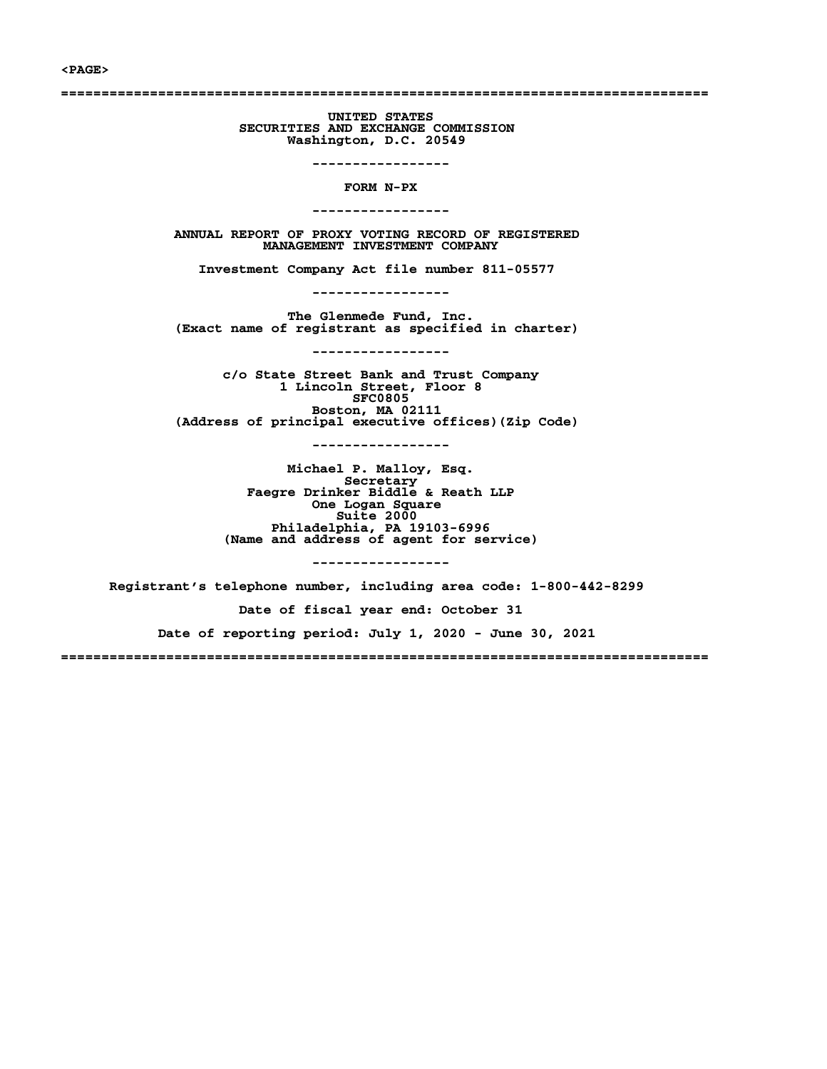#### **<PAGE>**

**================================================================================**

**UNITED STATES SECURITIES AND EXCHANGE COMMISSION Washington, D.C. 20549**

**-----------------**

**FORM N-PX**

**-----------------**

**ANNUAL REPORT OF PROXY VOTING RECORD OF REGISTERED MANAGEMENT INVESTMENT COMPANY**

**Investment Company Act file number 811-05577**

**-----------------**

**The Glenmede Fund, Inc. (Exact name of registrant as specified in charter)**

**-----------------**

**c/o State Street Bank and Trust Company 1 Lincoln Street, Floor 8 SFC0805 Boston, MA 02111 (Address of principal executive offices)(Zip Code)**

**-----------------**

**Michael P. Malloy, Esq. Secretary Faegre Drinker Biddle & Reath LLP One Logan Square Suite 2000 Philadelphia, PA 19103-6996 (Name and address of agent for service)**

**-----------------**

**Registrant's telephone number, including area code: 1-800-442-8299 Date of fiscal year end: October 31 Date of reporting period: July 1, 2020 - June 30, 2021 ================================================================================**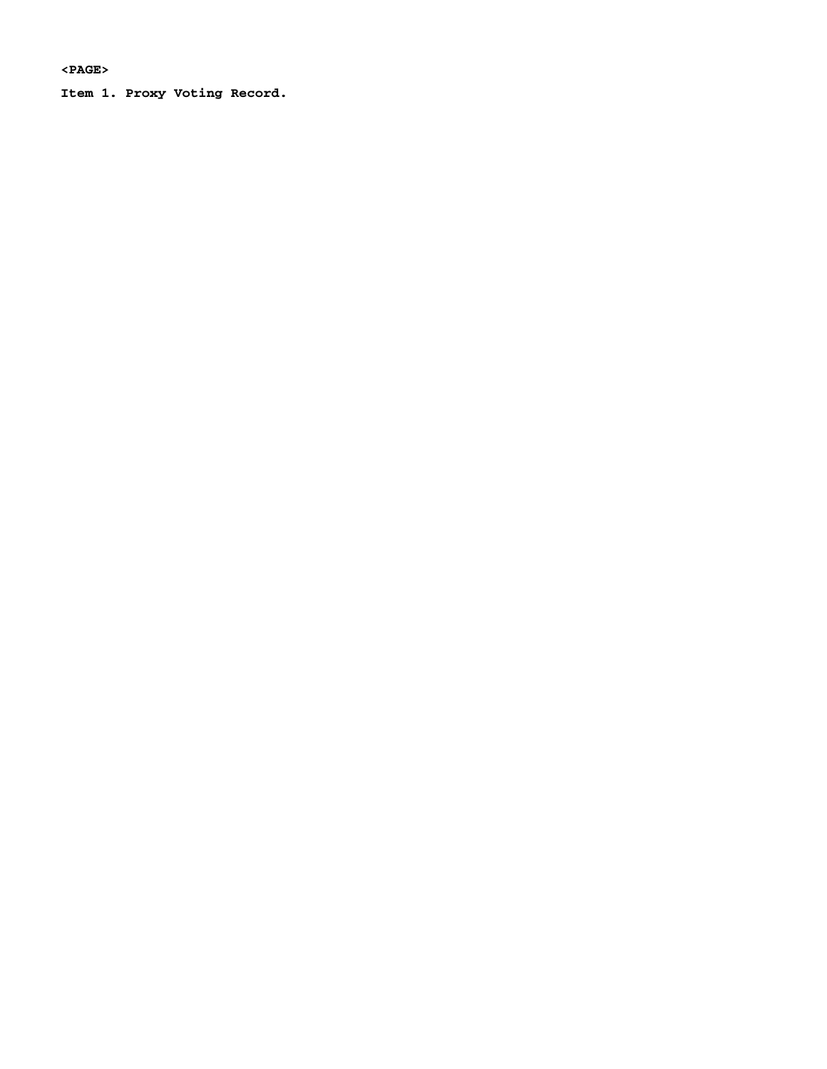**<PAGE>**

**Item 1. Proxy Voting Record.**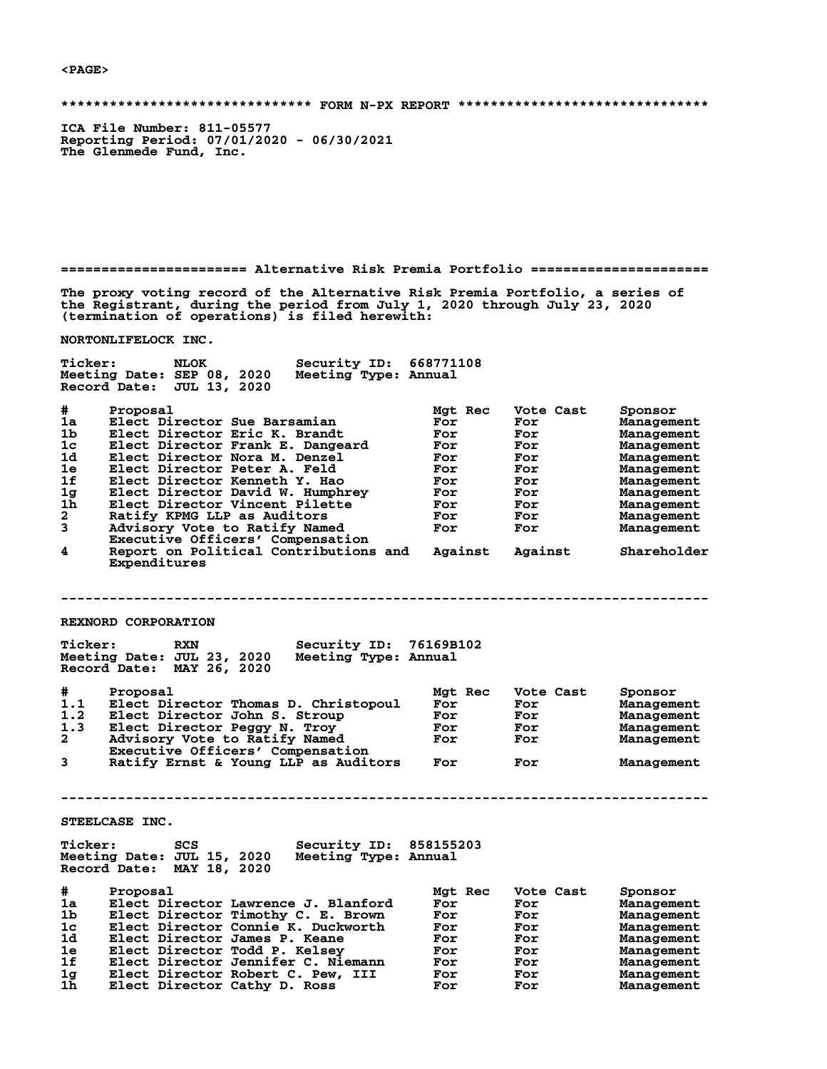**<PAGE>**

**\*\*\*\*\*\*\*\*\*\*\*\*\*\*\*\*\*\*\*\*\*\*\*\*\*\*\*\*\*\*\* FORM N-PX REPORT \*\*\*\*\*\*\*\*\*\*\*\*\*\*\*\*\*\*\*\*\*\*\*\*\*\*\*\*\*\*\***

**ICA File Number: 811-05577 Reporting Period: 07/01/2020 - 06/30/2021 The Glenmede Fund, Inc.**

**======================= Alternative Risk Premia Portfolio ======================**

**The proxy voting record of the Alternative Risk Premia Portfolio, a series of the Registrant, during the period from July 1, 2020 through July 23, 2020 (termination of operations) is filed herewith:**

**NORTONLIFELOCK INC.**

| <b>Ticker:</b>                                                                                       | Security ID:<br><b>NLOK</b><br>Meeting Date: SEP 08, 2020<br>Meeting Type: Annual<br>Record Date: JUL 13, 2020                                                                                                                                                                                                                                                                                                                                     | 668771108                                                                            |                                                                                                    |                                                                                                                                                                           |
|------------------------------------------------------------------------------------------------------|----------------------------------------------------------------------------------------------------------------------------------------------------------------------------------------------------------------------------------------------------------------------------------------------------------------------------------------------------------------------------------------------------------------------------------------------------|--------------------------------------------------------------------------------------|----------------------------------------------------------------------------------------------------|---------------------------------------------------------------------------------------------------------------------------------------------------------------------------|
| #<br>1a<br>1b<br>1 <sub>c</sub><br>1d<br>1e<br>1f<br>1 <sub>g</sub><br>1 <sub>h</sub><br>2<br>3<br>4 | Proposal<br>Elect Director Sue Barsamian<br>Elect Director Eric K. Brandt<br>Elect Director Frank E. Dangeard<br>Elect Director Nora M. Denzel<br>Elect Director Peter A. Feld<br>Elect Director Kenneth Y. Hao<br>Elect Director David W. Humphrey<br>Elect Director Vincent Pilette<br>Ratify KPMG LLP as Auditors<br>Advisory Vote to Ratify Named<br>Executive Officers' Compensation<br>Report on Political Contributions and<br>Expenditures | Mgt Rec<br>For<br>For<br>For<br>For<br>For<br>For<br><b>For</b><br>For<br>For<br>For | Vote Cast<br>For<br>For<br>For<br>For<br>For<br>For<br>For<br>For<br>For<br>For<br>Against Against | Sponsor<br>Management<br><b>Management</b><br>Management<br>Management<br>Management<br>Management<br>Management<br>Management<br>Management<br>Management<br>Shareholder |
|                                                                                                      | REXNORD CORPORATION                                                                                                                                                                                                                                                                                                                                                                                                                                |                                                                                      |                                                                                                    |                                                                                                                                                                           |
| <b>Ticker:</b>                                                                                       | <b>RXN</b><br>Meeting Date: JUL 23, 2020<br>Meeting Type: Annual<br>Record Date: MAY 26, 2020                                                                                                                                                                                                                                                                                                                                                      | Security ID: 76169B102                                                               |                                                                                                    |                                                                                                                                                                           |
| #.<br>1.1<br>1.2<br>1.3<br>$\mathbf{2}$<br>3                                                         | Proposal<br>Elect Director Thomas D. Christopoul<br>Elect Director John S. Stroup<br>Elect Director Peggy N. Troy<br>Advisory Vote to Ratify Named<br>Executive Officers' Compensation<br>Ratify Ernst & Young LLP as Auditors                                                                                                                                                                                                                     | Mgt Rec<br>For<br>For<br>For<br>For<br>For                                           | Vote Cast<br>For<br>For<br>For<br>For<br>For                                                       | Sponsor<br>Management<br>Management<br>Management<br>Management<br>Management                                                                                             |
|                                                                                                      |                                                                                                                                                                                                                                                                                                                                                                                                                                                    |                                                                                      |                                                                                                    |                                                                                                                                                                           |
| <b>Ticker:</b>                                                                                       | STEELCASE INC.<br>SCS<br>Meeting Date: JUL 15, 2020<br>Meeting Type: Annual<br>Record Date: MAY 18, 2020                                                                                                                                                                                                                                                                                                                                           | <b>Security ID: 858155203</b>                                                        |                                                                                                    |                                                                                                                                                                           |
| #<br>1a<br>1b<br>1c<br>1d<br>1e<br>1f<br>1g<br>1 <sub>h</sub>                                        | Proposal<br>Elect Director Lawrence J. Blanford<br>Elect Director Timothy C. E. Brown<br>Elect Director Connie K. Duckworth<br>Elect Director James P. Keane<br>Elect Director Todd P. Kelsey<br>Elect Director Jennifer C. Niemann<br>Elect Director Robert C. Pew, III<br>Elect Director Cathy D. Ross                                                                                                                                           | Mgt Rec<br>For<br>For<br>For<br>For<br>For<br>For<br>For<br>For                      | Vote Cast<br>For<br>For<br>For<br>For<br>For<br>For<br>For<br>For                                  | Sponsor<br>Management<br>Management<br>Management<br>Management<br>Management<br>Management<br>Management<br>Management                                                   |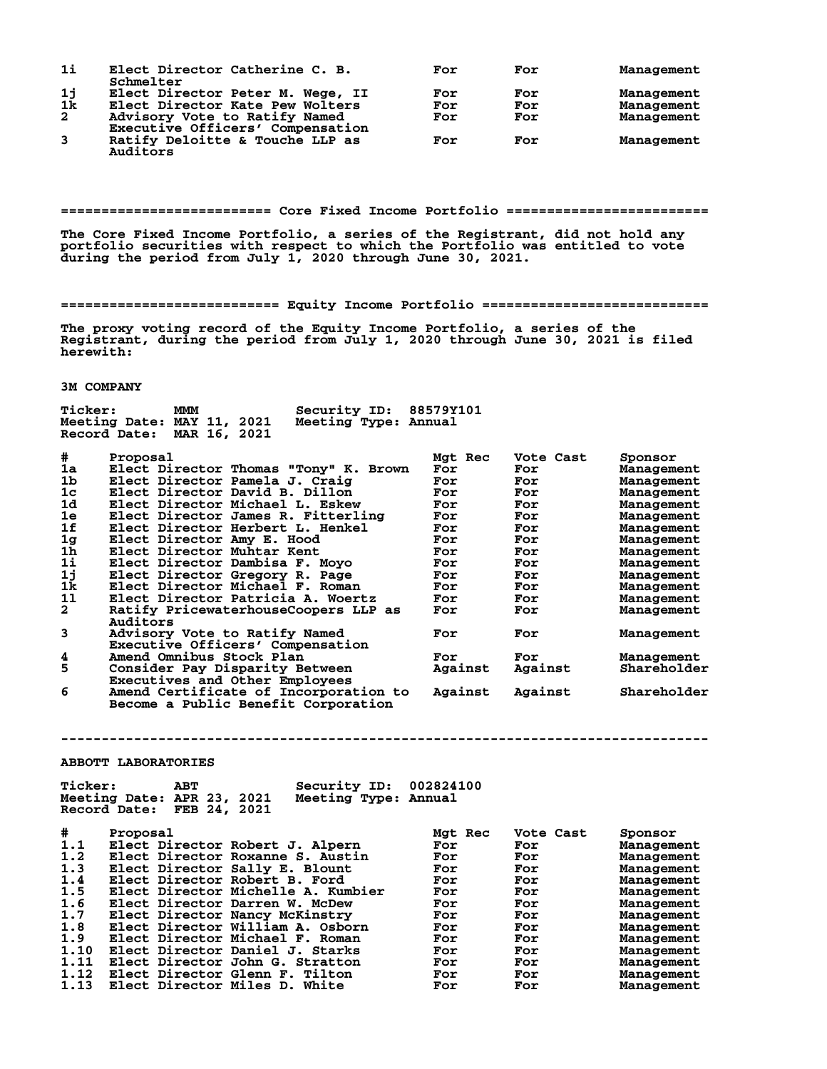| $1\text{i}$             | Elect Director Catherine C. B.<br>Schmelter                       | For | For | Management |
|-------------------------|-------------------------------------------------------------------|-----|-----|------------|
|                         | Elect Director Peter M. Wege, II                                  | For | For | Management |
|                         |                                                                   |     |     |            |
| $\frac{1}{1}$           | Elect Director Kate Pew Wolters                                   | For | For | Management |
| $\overline{a}$          | Advisory Vote to Ratify Named<br>Executive Officers' Compensation | For | For | Management |
| $\overline{\mathbf{3}}$ | Ratify Deloitte & Touche LLP as<br>Auditors                       | For | For | Management |

**========================== Core Fixed Income Portfolio =========================**

**The Core Fixed Income Portfolio, a series of the Registrant, did not hold any portfolio securities with respect to which the Portfolio was entitled to vote during the period from July 1, 2020 through June 30, 2021.**

**=========================== Equity Income Portfolio ============================**

**The proxy voting record of the Equity Income Portfolio, a series of the Registrant, during the period from July 1, 2020 through June 30, 2021 is filed herewith:**

### **3M COMPANY**

| Ticker:              | Security ID:<br><b>MMM</b><br>Meeting Date: MAY 11, 2021<br>Meeting Type: Annual<br>MAR 16, 2021<br>Record Date: | 88579Y101 |           |                   |
|----------------------|------------------------------------------------------------------------------------------------------------------|-----------|-----------|-------------------|
| #                    | Proposal                                                                                                         | Mgt Rec   | Vote Cast | Sponsor           |
| 1a                   | Elect Director Thomas "Tony" K. Brown                                                                            | For       | For       | Management        |
| 1 <sub>b</sub>       | Elect Director Pamela J. Craig                                                                                   | For       | For       | Management        |
| 1 <sub>c</sub>       | Elect Director David B. Dillon                                                                                   | For       | For       | Management        |
| 1d                   | Elect Director Michael L. Eskew                                                                                  | For       | For       | Management        |
| 1e                   | Elect Director James R. Fitterling                                                                               | For       | For       | Management        |
| 1f                   | Elect Director Herbert L. Henkel                                                                                 | For       | For       | Management        |
| $_{\rm 1h}^{\rm 1g}$ | Elect Director Amy E. Hood                                                                                       | For       | For       | Management        |
|                      | Elect Director Muhtar Kent                                                                                       | For       | For       | Management        |
| 1i                   | Elect Director Dambisa F. Moyo                                                                                   | For       | For       | Management        |
| 1j                   | Elect Director Gregory R. Page                                                                                   | For       | For       | Management        |
| 1k                   | Elect Director Michael F. Roman                                                                                  | For       | For       | Management        |
| 11                   | Elect Director Patricia A. Woertz                                                                                | For       | For       | Management        |
| $\overline{a}$       | Ratify PricewaterhouseCoopers LLP as                                                                             | For       | For       | Management        |
|                      | Auditors                                                                                                         |           |           |                   |
| 3                    | Advisory Vote to Ratify Named                                                                                    | For       | For       | Management        |
|                      | Executive Officers' Compensation                                                                                 |           |           |                   |
| 4                    | Amend Omnibus Stock Plan                                                                                         | For       | For       | <b>Management</b> |
| 5                    | Consider Pay Disparity Between                                                                                   | Against   | Against   | Shareholder       |
|                      | Executives and Other Employees                                                                                   |           |           |                   |
| 6                    | Amend Certificate of Incorporation to                                                                            | Against   | Against   | Shareholder       |
|                      | Become a Public Benefit Corporation                                                                              |           |           |                   |

**ABBOTT LABORATORIES**

| #<br>Proposal<br>Mgt Rec<br>Vote Cast<br>Sponsor<br>1.1<br>Elect Director Robert J. Alpern<br>For<br>Management<br>For<br>1.2<br>Elect Director Roxanne S. Austin<br>For<br>For<br>Management<br>1.3<br>Elect Director Sally E. Blount<br>For<br>For<br>Management<br>Elect Director Robert B. Ford<br>1.4<br>For<br>For<br>Management<br>Elect Director Michelle A. Kumbier<br>1.5<br>For<br>For<br>Management<br>1.6<br>Elect Director Darren W. McDew<br>For<br>For<br>Management<br>1.7<br>Elect Director Nancy McKinstry<br>For<br>For<br>Management<br>Elect Director William A. Osborn<br>1.8<br>For<br>For<br>Management<br>1.9<br>Elect Director Michael F. Roman<br>For<br>For<br>Management<br>1.10<br>Elect Director Daniel J. Starks<br>For<br>For<br>Management<br>1.11<br>Elect Director John G. Stratton<br>For<br>For<br>Management<br>1.12<br>Elect Director Glenn F. Tilton<br>For<br>For<br>Management<br>Elect Director Miles D. White | <b>Ticker:</b><br>ABT<br>Meeting Date: APR 23, 2021<br>Record Date:<br>FEB 24, 2021 | Security ID:<br>Meeting Type: Annual | 002824100 |     |            |
|-------------------------------------------------------------------------------------------------------------------------------------------------------------------------------------------------------------------------------------------------------------------------------------------------------------------------------------------------------------------------------------------------------------------------------------------------------------------------------------------------------------------------------------------------------------------------------------------------------------------------------------------------------------------------------------------------------------------------------------------------------------------------------------------------------------------------------------------------------------------------------------------------------------------------------------------------------------|-------------------------------------------------------------------------------------|--------------------------------------|-----------|-----|------------|
|                                                                                                                                                                                                                                                                                                                                                                                                                                                                                                                                                                                                                                                                                                                                                                                                                                                                                                                                                             | 1.13                                                                                |                                      | For       | For | Management |

**--------------------------------------------------------------------------------**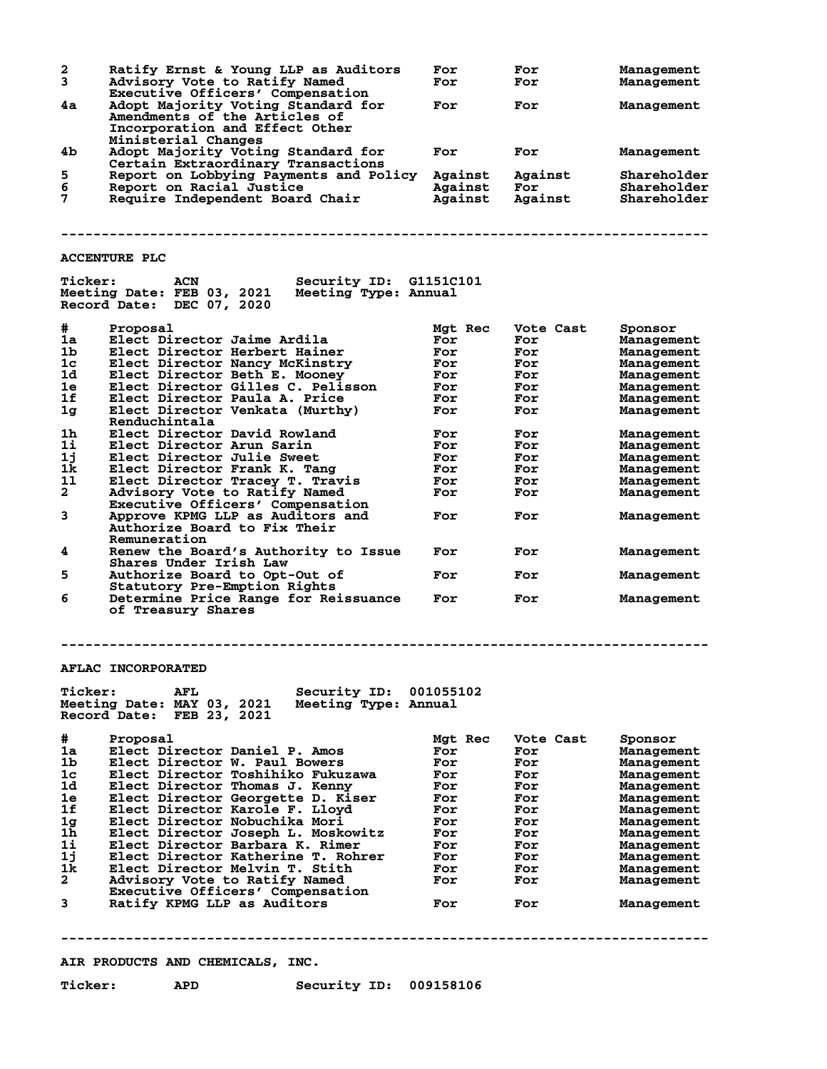| 2<br>3         | Ratify Ernst & Young LLP as Auditors<br>Advisory Vote to Ratify Named<br>Executive Officers' Compensation | For<br>For | For<br>For | Management<br>Management |
|----------------|-----------------------------------------------------------------------------------------------------------|------------|------------|--------------------------|
| 4a             | Adopt Majority Voting Standard for<br>Amendments of the Articles of<br>Incorporation and Effect Other     | For        | For        | Management               |
|                | Ministerial Changes                                                                                       |            |            |                          |
| 4b             | Adopt Majority Voting Standard for<br>Certain Extraordinary Transactions                                  | For        | For        | Management               |
| 5              | Report on Lobbying Payments and Policy                                                                    | Against    | Against    | Shareholder              |
| 6              | Report on Racial Justice                                                                                  | Against    | For        | Shareholder              |
| 7              | Require Independent Board Chair                                                                           | Against    | Against    | Shareholder              |
|                |                                                                                                           |            |            |                          |
|                | <b>ACCENTURE PLC</b>                                                                                      |            |            |                          |
| <b>Ticker:</b> | Security ID: G1151C101<br>ACN                                                                             |            |            |                          |
|                | Meeting Date: FEB 03, 2021<br>Meeting Type: Annual<br>Record Date: DEC 07, 2020                           |            |            |                          |
| #              | Proposal                                                                                                  | Mgt Rec    | Vote Cast  | Sponsor                  |
| 1a             | Elect Director Jaime Ardila                                                                               | For        | For        | Management               |
| 1b             | Elect Director Herbert Hainer                                                                             | For        | For        | Management               |
| 1c             | Elect Director Nancy McKinstry                                                                            | For        | For        | Management               |
| 1d             | Elect Director Beth E. Mooney                                                                             | For        | For        | Management               |
| 1e             | Elect Director Gilles C. Pelisson                                                                         | For        | For        | Management               |
| 1f             | Elect Director Paula A. Price                                                                             | For        | For        | Management               |
| 1 <sub>g</sub> | Elect Director Venkata (Murthy)                                                                           | For        | For        | Management               |
|                | Renduchintala                                                                                             |            |            |                          |
| 1h             | Elect Director David Rowland                                                                              | For        | For        | Management               |
| 11             | Elect Director Arun Sarin                                                                                 | For        | For        | Management               |
| 1j             | Elect Director Julie Sweet                                                                                | For        | For        | Management               |
| 1k             | Elect Director Frank K. Tang                                                                              | For        | For        | Management               |
| 11             | Elect Director Tracey T. Travis                                                                           | For        | For        | Management               |
| $\overline{a}$ | Advisory Vote to Ratify Named                                                                             | For        | For        | Management               |
|                | Executive Officers' Compensation                                                                          |            |            |                          |
| 3              | Approve KPMG LLP as Auditors and<br>Authorize Board to Fix Their<br>Remuneration                          | For        | For        | Management               |
| 4              | Renew the Board's Authority to Issue<br>Shares Under Irish Law                                            | For        | For        | Management               |
| 5              | Authorize Board to Opt-Out of<br>Statutory Pre-Emption Rights                                             | For        | For        | Management               |
| 6              | Determine Price Range for Reissuance<br>of Treasury Shares                                                | For        | For        | Management               |
|                |                                                                                                           |            |            |                          |
|                | <b>AFLAC INCORPORATED</b>                                                                                 |            |            |                          |
| <b>Ticker:</b> | AFL<br>Security ID:<br>Meeting Date: MAY 03, 2021<br>Meeting Type: Annual                                 | 001055102  |            |                          |
|                | Record Date: FEB 23, 2021                                                                                 |            |            |                          |
| #              | Proposal                                                                                                  | Mgt Rec    | Vote Cast  | Sponsor                  |
| 1a             | Elect Director Daniel P. Amos                                                                             | For        | For        | Management               |
| 1b             | Elect Director W. Paul Bowers                                                                             | For        | For        | Management               |
| 1c             | Elect Director Toshihiko Fukuzawa                                                                         | For        | For        | Management               |
| 1d             | Elect Director Thomas J. Kenny                                                                            | For        | For        | Management               |
| 1e             | Elect Director Georgette D. Kiser                                                                         | For        | For        | Management               |
| 1f             | Elect Director Karole F. Lloyd                                                                            | For        | For        | Management               |
| 1 <sub>g</sub> | Elect Director Nobuchika Mori                                                                             |            | For        |                          |
|                |                                                                                                           | For        |            | Management               |
| 1h             | Elect Director Joseph L. Moskowitz                                                                        | For        | For        | Management               |
| 1i             | Elect Director Barbara K. Rimer                                                                           | For        | For        | Management               |
| 1j             | Elect Director Katherine T. Rohrer                                                                        | For        | For        | Management               |
| 1k             | Elect Director Melvin T. Stith                                                                            | For        | For        | Management               |
| $\overline{a}$ | Advisory Vote to Ratify Named                                                                             | For        | For        | Management               |
|                | Executive Officers' Compensation                                                                          |            |            |                          |
| 3              | Ratify KPMG LLP as Auditors                                                                               | For        | For        | Management               |
|                |                                                                                                           |            |            |                          |
|                | AIR PRODUCTS AND CHEMICALS, INC.                                                                          |            |            |                          |
| <b>Ticker:</b> | <b>APD</b><br>Security ID: 009158106                                                                      |            |            |                          |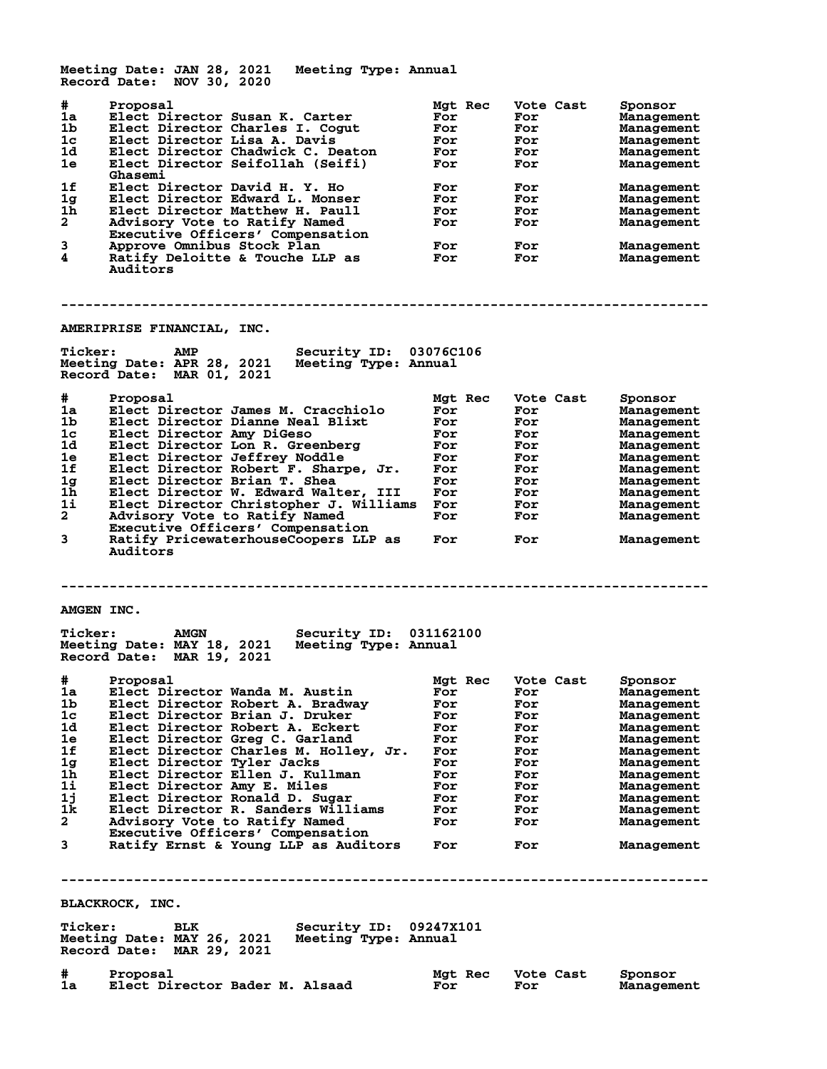**Meeting Date: JAN 28, 2021 Meeting Type: Annual Record Date: NOV 30, 2020 # Proposal Mgt Rec Vote Cast Sponsor 1a Elect Director Susan K. Carter For For Management 1b Elect Director Charles I. Cogut For For Management 1c Elect Director Lisa A. Davis For For Management 1d Elect Director Chadwick C. Deaton For For Management 1e Elect Director Seifollah (Seifi) For For Management Ghasemi**<br>1f Elect Di **1f Elect Director David H. Y. Ho For For Management 1g Elect Director Edward L. Monser For For Management 1h Elect Director Matthew H. Paull For For Management 2 Advisory Vote to Ratify Named For For Management Executive Construct Construct Compensation<br>
Executive Officers' Compensation<br>
Approve Omnibus Stock Plan** Executive Officers Compensation<br> **3** Approve Omnibus Stock Plan For For Management<br> **4** Ratify Deloitte & Touche LLP as For For Management **Ratify Deloitte & Touche LLP as Auditors -------------------------------------------------------------------------------- AMERIPRISE FINANCIAL, INC. Ticker: AMP Security ID: 03076C106 Meeting Date: APR 28, 2021 Meeting Type: Annual Record Date: MAR 01, 2021 # Proposal Mgt Rec Vote Cast Sponsor 1a Elect Director James M. Cracchiolo For For Management 1b Elect Director Dianne Neal Blixt For For Management 1c Elect Director Amy DiGeso For For Management 1d Elect Director Lon R. Greenberg For For Management 1e Elect Director Jeffrey Noddle For For Management 1f Elect Director Robert F. Sharpe, Jr. For For Management 1g Elect Director Brian T. Shea For For Management 1h Elect Director W. Edward Walter, III For For Management 1i Elect Director Christopher J. Williams For For Management 2 Advisory Vote to Ratify Named For For Management Executive Officers' Compensation 3 Ratify PricewaterhouseCoopers LLP as For For Management Auditors -------------------------------------------------------------------------------- AMGEN INC. Ticker: AMGN Security ID: 031162100 Meeting Date: MAY 18, 2021 Meeting Type: Annual Record Date: MAR 19, 2021 # Proposal Mgt Rec Vote Cast Sponsor 1a Elect Director Wanda M. Austin For For Management 1b Elect Director Robert A. Bradway For For Management 1c Elect Director Brian J. Druker For For Management 1d Elect Director Robert A. Eckert For For Management 1e Elect Director Greg C. Garland For For Management 1f Elect Director Charles M. Holley, Jr. For For Management 1g Elect Director Tyler Jacks For For Management 1h Elect Director Ellen J. Kullman For For Management 1i Elect Director Amy E. Miles For For Management 1j Elect Director Ronald D. Sugar For For Management 1k Elect Director R. Sanders Williams For For Management 2 Advisory Vote to Ratify Named For For Management Executive Officers' Compensation 3 Ratify Ernst & Young LLP as Auditors For For Management -------------------------------------------------------------------------------- BLACKROCK, INC. Ticker: BLK Security ID: 09247X101 Meeting Date: MAY 26, 2021 Meeting Type: Annual Record Date: MAR 29, 2021 # Proposal Mgt Rec Vote Cast Sponsor 1a Elect Director Bader M. Alsaad For For Management**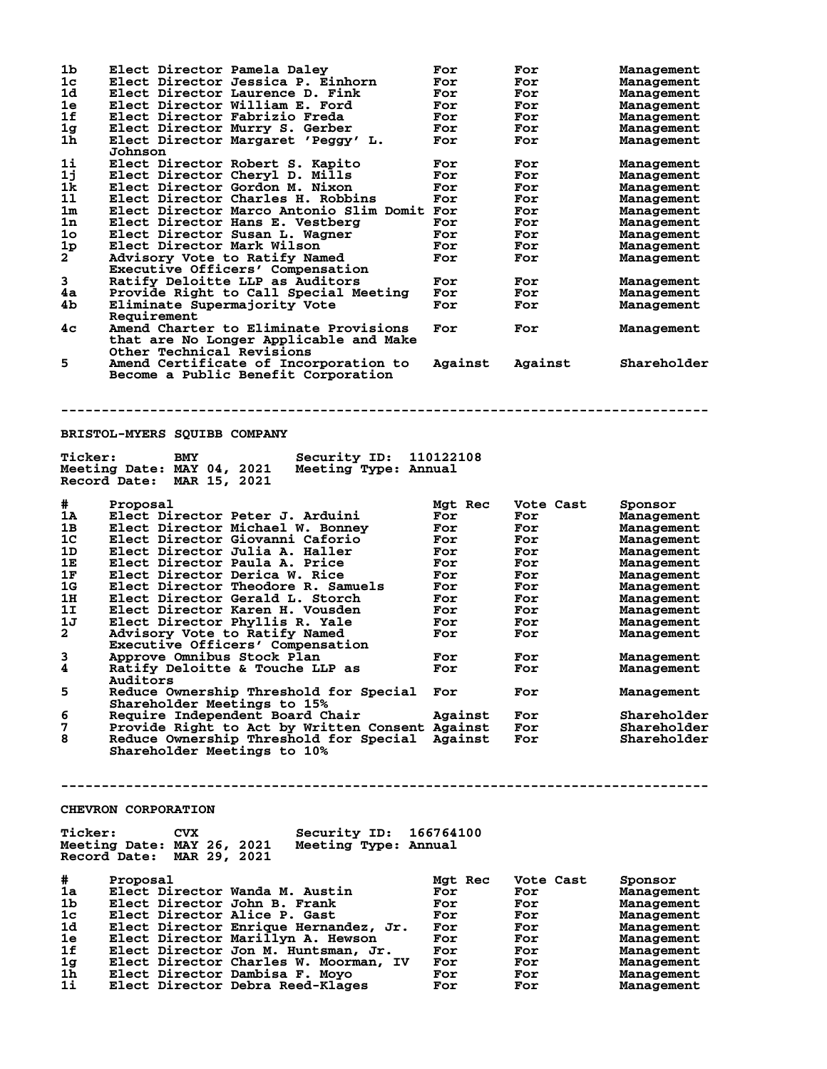| 1b                   | Elect Director Pamela Daley                                        | For       | For       | Management  |
|----------------------|--------------------------------------------------------------------|-----------|-----------|-------------|
| 1 <sub>c</sub>       | Elect Director Jessica P. Einhorn                                  | For       | For       | Management  |
| 1d                   | Elect Director Laurence D. Fink                                    | For       | For       | Management  |
| 1e                   | Elect Director William E. Ford                                     | For       | For       | Management  |
| 1f                   | Elect Director Fabrizio Freda                                      | For       | For       | Management  |
| 1 <sub>g</sub>       | Elect Director Murry S. Gerber                                     | For       | For       | Management  |
| $1\bar{h}$           | Elect Director Margaret 'Peggy' L.                                 | For       | For       | Management  |
|                      | Johnson                                                            |           |           |             |
| 11                   | Elect Director Robert S. Kapito                                    | For       | For       | Management  |
| 1j                   | Elect Director Cheryl D. Mills                                     | For       | For       |             |
|                      |                                                                    |           |           | Management  |
| 1k                   | Elect Director Gordon M. Nixon                                     | For       | For       | Management  |
| 11                   | Elect Director Charles H. Robbins                                  | For       | For       | Management  |
| $1\mathrm{m}$        | Elect Director Marco Antonio Slim Domit For                        |           | For       | Management  |
| 1n                   | Elect Director Hans E. Vestberg                                    | For       | For       | Management  |
| 1 <sub>o</sub>       | Elect Director Susan L. Wagner                                     | For       | For       | Management  |
| 1 <sub>p</sub>       | Elect Director Mark Wilson                                         | For       | For       | Management  |
| $\mathbf{2}^{-}$     | Advisory Vote to Ratify Named                                      | For       | For       | Management  |
|                      | Executive Officers' Compensation                                   |           |           |             |
| 3                    | Ratify Deloitte LLP as Auditors                                    | For       | For       | Management  |
| 4a                   | Provide Right to Call Special Meeting                              | For       | For       | Management  |
| 4b                   | Eliminate Supermajority Vote                                       | For       | For       | Management  |
|                      | Requirement                                                        |           |           |             |
| 4c                   | Amend Charter to Eliminate Provisions                              | For       | For       | Management  |
|                      | that are No Longer Applicable and Make                             |           |           |             |
|                      | Other Technical Revisions                                          |           |           |             |
|                      |                                                                    |           |           |             |
| 5.                   | Amend Certificate of Incorporation to                              | Against   | Against   | Shareholder |
|                      | Become a Public Benefit Corporation                                |           |           |             |
|                      |                                                                    |           |           |             |
|                      |                                                                    |           |           |             |
|                      |                                                                    |           |           |             |
|                      |                                                                    |           |           |             |
|                      | <b>BRISTOL-MYERS SQUIBB COMPANY</b>                                |           |           |             |
|                      |                                                                    |           |           |             |
| <b>Ticker:</b>       | Security ID:<br>BMY                                                | 110122108 |           |             |
|                      | Meeting Date: MAY 04, 2021<br>Meeting Type: Annual                 |           |           |             |
|                      | Record Date: MAR 15, 2021                                          |           |           |             |
|                      |                                                                    |           |           |             |
| #                    | Proposal                                                           | Mgt Rec   | Vote Cast | Sponsor     |
| 1A                   | Elect Director Peter J. Arduini                                    | For       | For       | Management  |
| 1B                   | Elect Director Michael W. Bonney                                   | For       | For       | Management  |
| 1 <sub>C</sub>       | Elect Director Giovanni Caforio                                    | For       | For       | Management  |
| 1D                   | Elect Director Julia A. Haller                                     | For       | For       | Management  |
| 1E                   | Elect Director Paula A. Price                                      | For       | For       | Management  |
| 1F                   | Elect Director Derica W. Rice                                      | For       |           |             |
|                      |                                                                    |           | For       | Management  |
|                      |                                                                    | For       | For       | Management  |
| 1 <sub>G</sub>       | Elect Director Theodore R. Samuels                                 |           |           |             |
| 1H                   | Elect Director Gerald L. Storch                                    | For       | For       | Management  |
| 1I                   | Elect Director Karen H. Vousden                                    | For       | For       | Management  |
| 1J                   | Elect Director Phyllis R. Yale                                     | For       | For       | Management  |
| $\mathbf{2}$         | Advisory Vote to Ratify Named                                      | For       | For       | Management  |
|                      | Executive Officers' Compensation                                   |           |           |             |
| 3                    | Approve Omnibus Stock Plan                                         | For       | For       |             |
|                      |                                                                    |           |           | Management  |
| 4                    | Ratify Deloitte & Touche LLP as                                    | For       | For       | Management  |
|                      | Auditors                                                           |           |           |             |
| 5                    | Reduce Ownership Threshold for Special                             | For       | For       | Management  |
|                      | Shareholder Meetings to 15%                                        |           |           |             |
| 6                    | Require Independent Board Chair                                    | Against   | For       | Shareholder |
| 7                    | Provide Right to Act by Written Consent Against                    |           | For       | Shareholder |
| 8                    | Reduce Ownership Threshold for Special Against                     |           | For       | Shareholder |
|                      | Shareholder Meetings to 10%                                        |           |           |             |
|                      |                                                                    |           |           |             |
|                      |                                                                    |           |           |             |
|                      |                                                                    |           |           |             |
|                      |                                                                    |           |           |             |
|                      | <b>CHEVRON CORPORATION</b>                                         |           |           |             |
|                      |                                                                    |           |           |             |
| <b>Ticker:</b>       | Security ID:<br><b>CVX</b>                                         | 166764100 |           |             |
|                      | Meeting Type: Annual                                               |           |           |             |
|                      | Meeting Date: MAY 26, 2021                                         |           |           |             |
|                      | Record Date: MAR 29, 2021                                          |           |           |             |
|                      |                                                                    |           |           |             |
| #                    | Proposal                                                           | Mgt Rec   | Vote Cast | Sponsor     |
| 1a                   | Elect Director Wanda M. Austin                                     | For       | For       | Management  |
| 1b                   | Elect Director John B. Frank                                       | For       | For       | Management  |
| 1 <sub>c</sub>       | Elect Director Alice P. Gast                                       | For       | For       | Management  |
| 1d                   | Elect Director Enrique Hernandez, Jr.                              | For       | For       | Management  |
| 1e                   | Elect Director Marillyn A. Hewson                                  | For       | For       | Management  |
| 1f                   | Elect Director Jon M. Huntsman, Jr.                                | For       | For       | Management  |
| 1 <sub>g</sub>       | Elect Director Charles W. Moorman, IV                              | For       | For       | Management  |
| 1 <sub>h</sub><br>1i | Elect Director Dambisa F. Moyo<br>Elect Director Debra Reed-Klages | For       | For       | Management  |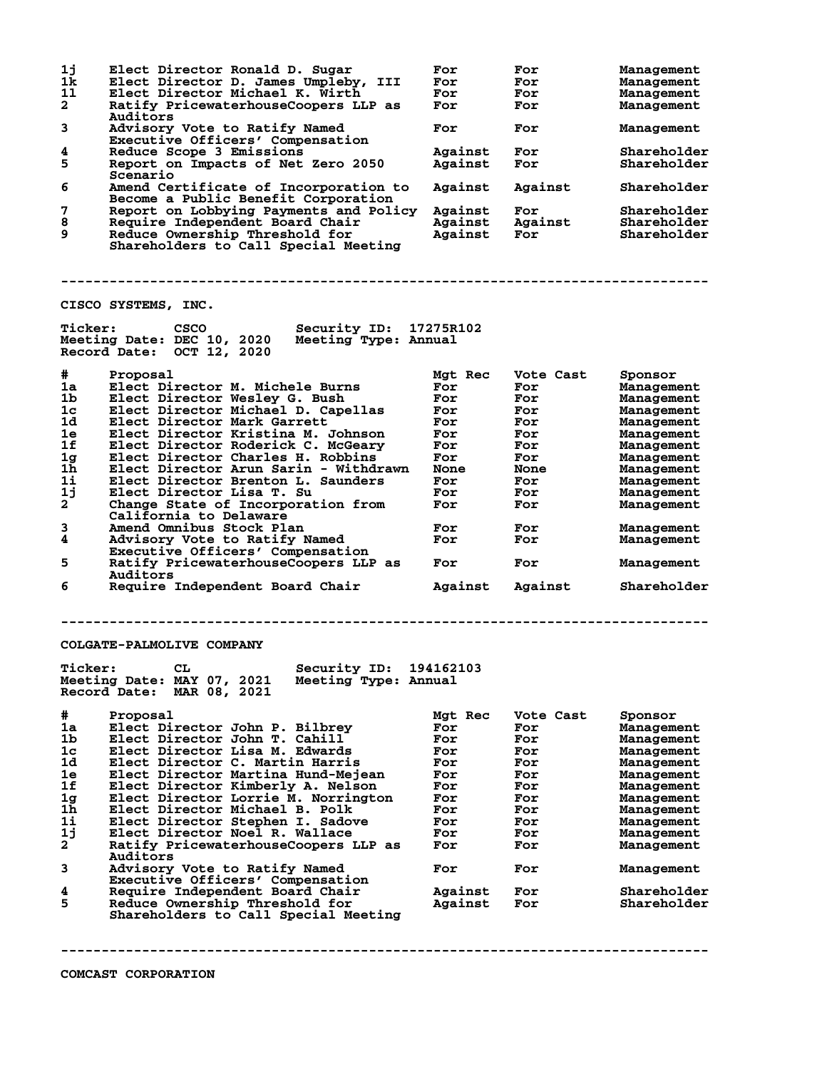**1j Elect Director Ronald D. Sugar For For Management 1k Elect Director D. James Umpleby, III For For Management 1l Elect Director Michael K. Wirth For For Management 2 Ratify PricewaterhouseCoopers LLP as For For Management** 2 Ratify Pr<br>Auditors<br>3 Advisory **3 Advisory Vote to Ratify Named For For Management Executive Officers' Compensation 4** Reduce Scope 3 Emissions<br> **5** Report on Impacts of Net Zero 2050 Against For Shareholder<br> **1** Report on Impacts of Net Zero 2050 Against For Shareholder Report on Impacts of Net Zero 2050  **Scenario 6 Amend Certificate of Incorporation to Against Against Shareholder Become a Public Benefit Corporation 7 Report on Lobbying Payments and Policy Against For Shareholder 8 Require Independent Board Chair Against Against Shareholder 9 Reduce Ownership Threshold for Against For Shareholder Shareholders to Call Special Meeting -------------------------------------------------------------------------------- CISCO SYSTEMS, INC. Ticker: CSCO Security ID: 17275R102 Meeting Date: DEC 10, 2020 Meeting Type: Annual Record Date: OCT 12, 2020 # Proposal Mgt Rec Vote Cast Sponsor 1a Elect Director M. Michele Burns For For Management 1b Elect Director Wesley G. Bush For For Management 1c Elect Director Michael D. Capellas For For Management 1d Elect Director Mark Garrett For For Management 1e Elect Director Kristina M. Johnson For For Management 1f Elect Director Roderick C. McGeary For For Management 1g Elect Director Charles H. Robbins For For Management 1h Elect Director Arun Sarin - Withdrawn None None Management 1i Elect Director Brenton L. Saunders For For Management 1j Elect Director Lisa T. Su For For Management 2 Change State of Incorporation from For For Management California to Delaware 3 Amend Omnibus Stock Plan For For Management 4 Amend Omnibus Stock Plan For For For Management**<br>4 Advisory Vote to Ratify Named For For Management **Executive Officers' Compensation<br>5 Ratify PricewaterhouseCoopers LLP 5 Ratify PricewaterhouseCoopers LLP as For For Management** Auditors<br>**6** Require **6 Require Independent Board Chair Against Against Shareholder -------------------------------------------------------------------------------- COLGATE-PALMOLIVE COMPANY Ticker: CL Security ID: 194162103 Meeting Date: MAY 07, 2021 Meeting Type: Annual Record Date: MAR 08, 2021 # Proposal Mgt Rec Vote Cast Sponsor 1a Elect Director John P. Bilbrey For For Management 1b Elect Director John T. Cahill For For Management 1c Elect Director Lisa M. Edwards For For Management 1d Elect Director C. Martin Harris For For Management 1e Elect Director Martina Hund-Mejean For For Management 1f Elect Director Kimberly A. Nelson For For Management 1g Elect Director Lorrie M. Norrington For For Management 1h Elect Director Michael B. Polk For For Management 1i Elect Director Stephen I. Sadove For For Management 1j Elect Director Noel R. Wallace For For Management 2 Ratify PricewaterhouseCoopers LLP as For For Management Auditors 3 Advisory Vote to Ratify Named For For Management Executive Officers' Compensation 4 Require Independent Board Chair Against For Shareholder 5 Reduce Ownership Threshold for Against For Shareholder Shareholders to Call Special Meeting --------------------------------------------------------------------------------**

**COMCAST CORPORATION**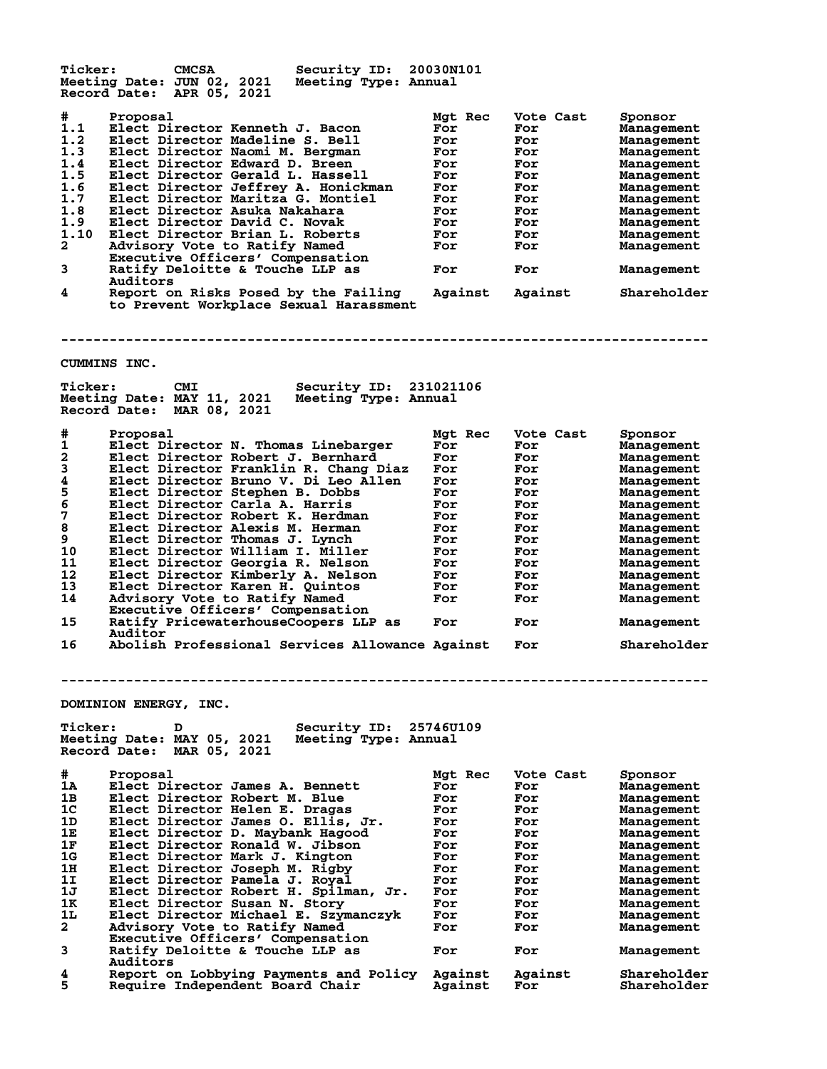| <b>Ticker:</b> | <b>CMCSA</b><br>Security ID:<br>Meeting Date: JUN 02, 2021                                                  | 20030N101 |           |             |
|----------------|-------------------------------------------------------------------------------------------------------------|-----------|-----------|-------------|
|                | Meeting Type: Annual<br>Record Date: APR 05, 2021                                                           |           |           |             |
| #              | Proposal                                                                                                    | Mgt Rec   | Vote Cast | Sponsor     |
| 1.1            | Elect Director Kenneth J. Bacon                                                                             | For       | For       | Management  |
| 1.2            | Elect Director Madeline S. Bell                                                                             | For       | For       | Management  |
| 1.3            | Elect Director Naomi M. Bergman                                                                             | For       | For       | Management  |
| 1.4            | Elect Director Edward D. Breen                                                                              | For       | For       | Management  |
| 1.5            | Elect Director Gerald L. Hassell                                                                            | For       | For       | Management  |
| 1.6            | Elect Director Jeffrey A. Honickman                                                                         | For       | For       | Management  |
| 1.7            | Elect Director Maritza G. Montiel                                                                           | For       | For       | Management  |
| 1.8            | Elect Director Asuka Nakahara                                                                               | For       | For       | Management  |
| 1.9            | Elect Director David C. Novak                                                                               | For       | For       | Management  |
| 1.10           | Elect Director Brian L. Roberts                                                                             | For       | For       | Management  |
| $\mathbf{2}$   | Advisory Vote to Ratify Named                                                                               | For       | For       | Management  |
|                | Executive Officers' Compensation                                                                            |           |           |             |
| 3              | Ratify Deloitte & Touche LLP as                                                                             | For       | For       | Management  |
|                | Auditors                                                                                                    |           |           |             |
| 4              | Report on Risks Posed by the Failing<br>to Prevent Workplace Sexual Harassment                              | Against   | Against   | Shareholder |
| <b>Ticker:</b> | CUMMINS INC.<br>Security ID:<br><b>CMI</b><br>Meeting Date: MAY 11, 2021<br>Meeting Type: Annual            | 231021106 |           |             |
|                | Record Date: MAR 08, 2021                                                                                   |           |           |             |
| #              | Proposal                                                                                                    | Mgt Rec   | Vote Cast | Sponsor     |
| 1              | Elect Director N. Thomas Linebarger                                                                         | For       | For       | Management  |
| 2              | Elect Director Robert J. Bernhard                                                                           | For       | For       | Management  |
| 3              | Elect Director Franklin R. Chang Diaz                                                                       | For       | For       | Management  |
| 4              | Elect Director Bruno V. Di Leo Allen                                                                        | For       | For       | Management  |
| 5              | Elect Director Stephen B. Dobbs                                                                             | For       | For       | Management  |
| 6              | Elect Director Carla A. Harris                                                                              | For       |           |             |
|                |                                                                                                             |           | For       | Management  |
| 7              | Elect Director Robert K. Herdman                                                                            | For       | For       | Management  |
| 8              | Elect Director Alexis M. Herman                                                                             | For       | For       | Management  |
| 9              | Elect Director Thomas J. Lynch                                                                              | For       | For       | Management  |
| 10             | Elect Director William I. Miller                                                                            | For       | For       | Management  |
| 11             | Elect Director Georgia R. Nelson                                                                            | For       | For       | Management  |
| 12             | Elect Director Kimberly A. Nelson                                                                           | For       | For       | Management  |
| 13             | Elect Director Karen H. Quintos                                                                             | For       | For       | Management  |
| 14             | Advisory Vote to Ratify Named                                                                               | For       | For       | Management  |
|                | Executive Officers' Compensation                                                                            |           |           |             |
| 15             | Ratify PricewaterhouseCoopers LLP as                                                                        | For       | For       | Management  |
|                | Auditor                                                                                                     |           |           |             |
| 16             | Abolish Professional Services Allowance Against                                                             |           | For       | Shareholder |
|                | DOMINION ENERGY, INC.                                                                                       |           |           |             |
|                |                                                                                                             |           |           |             |
| <b>Ticker:</b> | <b>Security ID:</b><br>D<br>Meeting Date: MAY 05, 2021<br>Meeting Type: Annual<br>Record Date: MAR 05, 2021 | 25746U109 |           |             |
| #              | Proposal                                                                                                    | Mgt Rec   | Vote Cast | Sponsor     |
| 1A             | Elect Director James A. Bennett                                                                             | For       | For       | Management  |
| 1B             | Elect Director Robert M. Blue                                                                               | For       | For       | Management  |
| 1 <sub>C</sub> | Elect Director Helen E. Dragas                                                                              | For       | For       | Management  |
| 1D             | Elect Director James O. Ellis, Jr.                                                                          | For       | For       | Management  |
| 1E             | Elect Director D. Maybank Hagood                                                                            | For       | For       | Management  |
| 1F             | Elect Director Ronald W. Jibson                                                                             | For       | For       | Management  |
| 1G             | Elect Director Mark J. Kington                                                                              | For       | For       | Management  |
| 1H             | Elect Director Joseph M. Rigby                                                                              | For       | For       | Management  |
| 1I             | Elect Director Pamela J. Royal                                                                              | For       | For       | Management  |
| 1J             | Elect Director Robert H. Spilman, Jr.                                                                       | For       | For       | Management  |
| 1к             | Elect Director Susan N. Story                                                                               | For       | For       | Management  |
| 1L             |                                                                                                             | For       | For       | Management  |
| 2              | Elect Director Michael E. Szymanczyk<br>Advisory Vote to Ratify Named                                       | For       | For       |             |
|                |                                                                                                             |           |           | Management  |
|                | Executive Officers' Compensation                                                                            |           |           |             |
| 3              | Ratify Deloitte & Touche LLP as<br>Auditors                                                                 | For       | For       | Management  |
| 4              | Report on Lobbying Payments and Policy                                                                      | Against   | Against   | Shareholder |
| 5              | Require Independent Board Chair                                                                             | Against   | For       | Shareholder |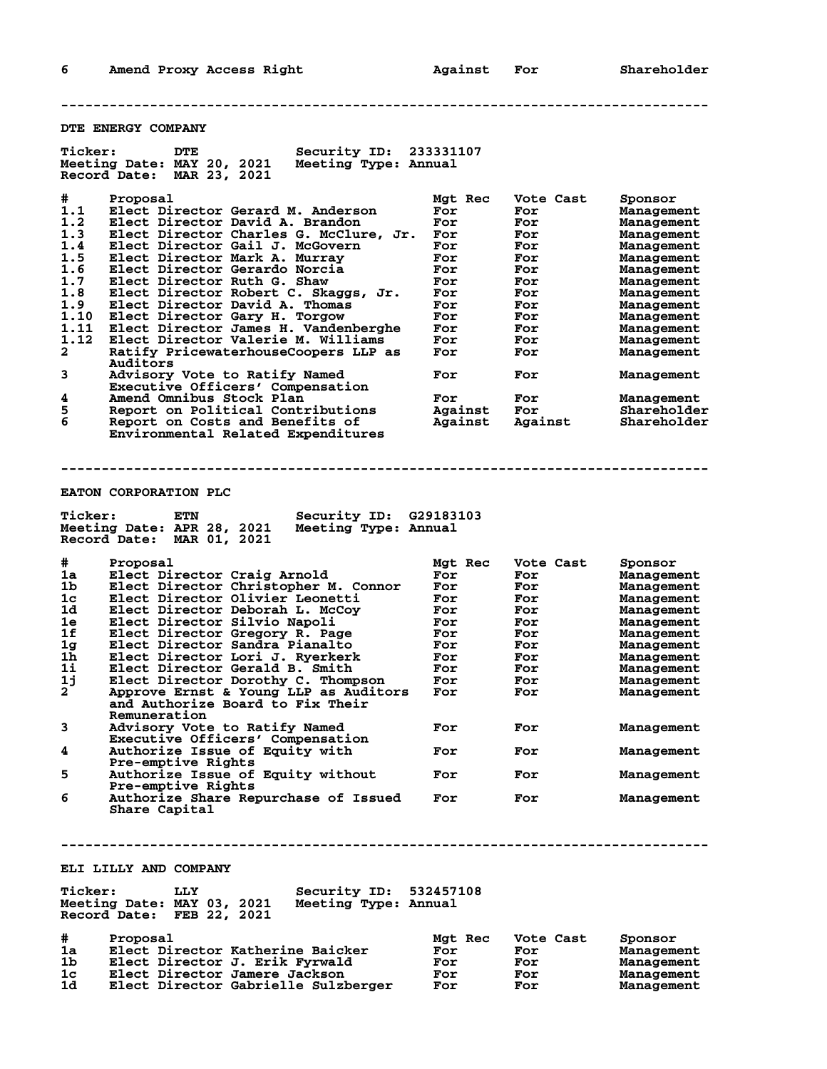**DTE ENERGY COMPANY Ticker: DTE Security ID: 233331107 Meeting Date: MAY 20, 2021 Meeting Type: Annual Record Date: MAR 23, 2021 # Proposal Mgt Rec Vote Cast Sponsor 1.1 Elect Director Gerard M. Anderson For For Management 1.2 Elect Director David A. Brandon For For Management 1.3 Elect Director Charles G. McClure, Jr. For For Management 1.4 Elect Director Gail J. McGovern For For Management 1.5 Elect Director Mark A. Murray For For Management 1.6 Elect Director Gerardo Norcia For For Management 1.7 Elect Director Ruth G. Shaw For For Management 1.8 Elect Director Robert C. Skaggs, Jr. For For Management 1.9 Elect Director David A. Thomas For For Management 1.10 Elect Director Gary H. Torgow For For Management 1.11 Elect Director James H. Vandenberghe For For Management 1.12 Elect Director Valerie M. Williams For For Management 2 Ratify PricewaterhouseCoopers LLP as For For Management Auditors 3 Advisory Vote to Ratify Named For For Management Executive Officers' Compensation 4 Amend Omnibus Stock Plan For For Management 5 Report on Political Contributions Against For Shareholder 6 Report on Costs and Benefits of Against Against Shareholder Environmental Related Expenditures -------------------------------------------------------------------------------- EATON CORPORATION PLC Ticker: ETN Security ID: G29183103 Meeting Date: APR 28, 2021 Meeting Type: Annual Record Date: MAR 01, 2021 # Proposal Mgt Rec Vote Cast Sponsor 1a Elect Director Craig Arnold For For Management 1b Elect Director Christopher M. Connor For For Management 1c Elect Director Olivier Leonetti For For Management 1d Elect Director Deborah L. McCoy For For Management 1e Elect Director Silvio Napoli For For Management 1f Elect Director Gregory R. Page For For Management 1g Elect Director Sandra Pianalto For For Management 1h Elect Director Lori J. Ryerkerk For For Management 1i Elect Director Gerald B. Smith For For Management 1j Elect Director Dorothy C. Thompson For For Management 2 Approve Ernst & Young LLP as Auditors For For Management and Authorize Board to Fix Their Remuneration 3 Advisory Vote to Ratify Named For For Management Remuneration<br>3 Advisory Vote to Ratify Named<br>Executive Officers' Compensation<br>4 Authorize Issue of Equity with** Authorize Issue of Equity with For For Management  **Pre-emptive Rights 5 Authorize Issue of Equity without For For Management Pre-emptive Rights 6 Authorize Share Repurchase of Issued For For Management Share Capital -------------------------------------------------------------------------------- ELI LILLY AND COMPANY Ticker: LLY Security ID: 532457108 Meeting Date: MAY 03, 2021 Meeting Type: Annual Record Date: FEB 22, 2021 # Proposal Mgt Rec Vote Cast Sponsor 1a Elect Director Katherine Baicker For For Management 1b Elect Director J. Erik Fyrwald For For Management 1c Elect Director Jamere Jackson For For Management**

**1d Elect Director Gabrielle Sulzberger For For Management**

**--------------------------------------------------------------------------------**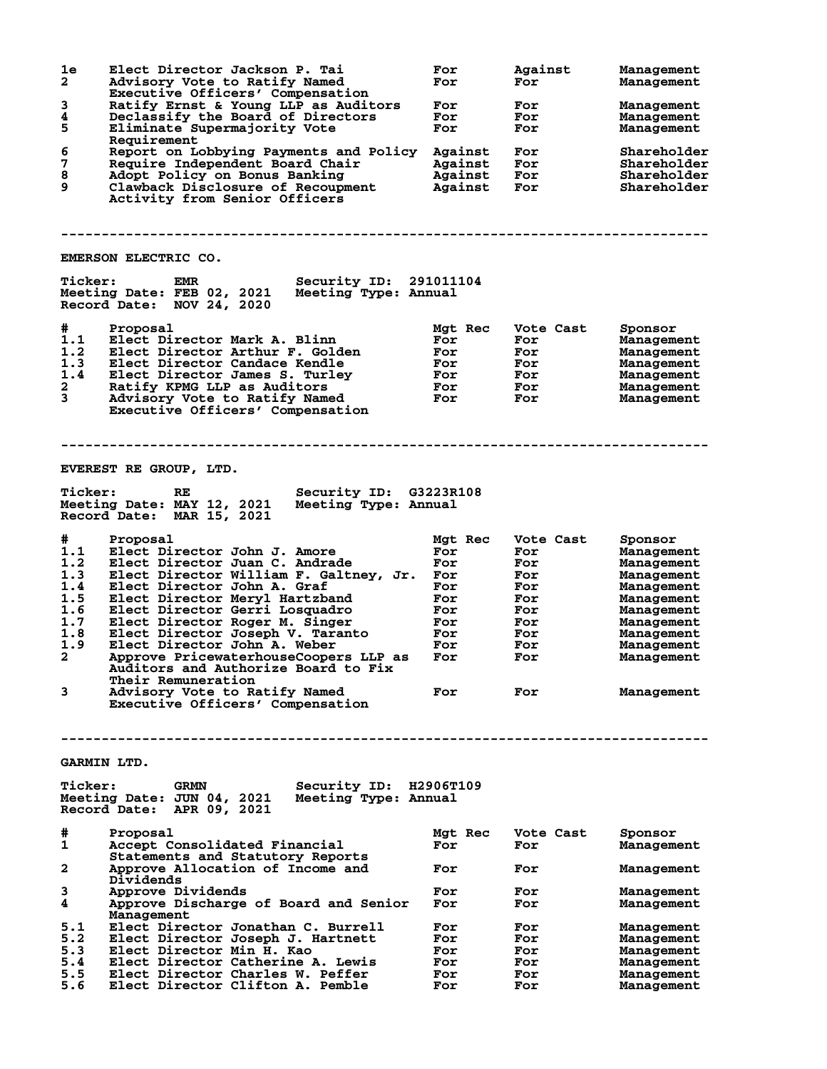| 1e<br>$\overline{\mathbf{2}}$ | Elect Director Jackson P. Tai<br>Advisory Vote to Ratify Named<br>Executive Officers' Compensation                       | For<br>For     | Against<br>For   | Management<br>Management |
|-------------------------------|--------------------------------------------------------------------------------------------------------------------------|----------------|------------------|--------------------------|
| 3                             | Ratify Ernst & Young LLP as Auditors                                                                                     | For            | For              | Management               |
| 4                             | Declassify the Board of Directors                                                                                        | For            | For              | Management               |
| 5                             | Eliminate Supermajority Vote<br>Requirement                                                                              | For            | For              | Management               |
| 6                             | Report on Lobbying Payments and Policy                                                                                   | Against        | For              | Shareholder              |
| 7                             | Require Independent Board Chair                                                                                          | Against        | For              | Shareholder              |
| 8                             | Adopt Policy on Bonus Banking                                                                                            | Against        | For              | Shareholder              |
| 9                             | Clawback Disclosure of Recoupment                                                                                        | Against        | For              | Shareholder              |
|                               | Activity from Senior Officers                                                                                            |                |                  |                          |
|                               | EMERSON ELECTRIC CO.                                                                                                     |                |                  |                          |
| <b>Ticker:</b>                | EMR<br>Security ID: 291011104                                                                                            |                |                  |                          |
|                               | Meeting Date: FEB 02, 2021<br>Meeting Type: Annual<br>Record Date: NOV 24, 2020                                          |                |                  |                          |
| #                             | Proposal                                                                                                                 | Mgt Rec        | Vote Cast        | Sponsor                  |
| 1.1                           | Elect Director Mark A. Blinn                                                                                             | For            | For              | Management               |
| 1.2                           | Elect Director Arthur F. Golden                                                                                          | For            | For              | Management               |
| 1.3                           | Elect Director Candace Kendle                                                                                            | For            | For              | Management               |
| 1.4                           |                                                                                                                          |                |                  |                          |
|                               | Elect Director James S. Turley                                                                                           | For            | For              | Management               |
| $\mathbf{2}$                  | Ratify KPMG LLP as Auditors                                                                                              | For            | For              | Management               |
| 3                             | Advisory Vote to Ratify Named<br>Executive Officers' Compensation                                                        | For            | For              | Management               |
|                               |                                                                                                                          |                |                  |                          |
|                               | <b>EVEREST RE GROUP, LTD.</b>                                                                                            |                |                  |                          |
| <b>Ticker:</b>                | Security ID: G3223R108<br>RE<br>Meeting Date: MAY 12, 2021<br>Meeting Type: Annual<br>Record Date: MAR 15, 2021          |                |                  |                          |
| #                             | Proposal                                                                                                                 | Mgt Rec        | Vote Cast        |                          |
| 1.1                           |                                                                                                                          |                |                  | Sponsor                  |
|                               | Elect Director John J. Amore                                                                                             | For            | For              | Management               |
| 1.2                           | Elect Director Juan C. Andrade                                                                                           | For            | For              | Management               |
| 1.3                           | Elect Director William F. Galtney, Jr.                                                                                   | For            | For              | Management               |
| 1.4                           | Elect Director John A. Graf                                                                                              | For            | For              | Management               |
| 1.5                           | Elect Director Meryl Hartzband                                                                                           | For            | For              | Management               |
| 1.6                           | Elect Director Gerri Losquadro                                                                                           | For            | For              | Management               |
| 1.7                           | Elect Director Roger M. Singer                                                                                           | For            | For              |                          |
|                               |                                                                                                                          |                |                  | Management               |
| 1.8                           | Elect Director Joseph V. Taranto                                                                                         | For            | For              | Management               |
| 1.9                           | Elect Director John A. Weber                                                                                             | For            | For              | Management               |
| $\mathbf{2}^-$                | Approve PricewaterhouseCoopers LLP as                                                                                    | For            | For              | Management               |
|                               | Auditors and Authorize Board to Fix<br>Their Remuneration                                                                |                |                  |                          |
| 3                             | Advisory Vote to Ratify Named<br>Executive Officers' Compensation                                                        | For            | For              | Management               |
|                               |                                                                                                                          |                |                  |                          |
|                               | <b>GARMIN LTD.</b>                                                                                                       |                |                  |                          |
|                               |                                                                                                                          |                |                  |                          |
| <b>Ticker:</b>                | Security ID: H2906T109<br><b>GRMN</b><br>Meeting Date: JUN 04, 2021<br>Meeting Type: Annual<br>Record Date: APR 09, 2021 |                |                  |                          |
| #<br>1                        | Proposal<br>Accept Consolidated Financial                                                                                | Mgt Rec<br>For | Vote Cast<br>For | Sponsor<br>Management    |
| $\mathbf{2}$                  | Statements and Statutory Reports<br>Approve Allocation of Income and                                                     | For            | For              | Management               |
| 3                             | Dividends<br>Approve Dividends                                                                                           | For            | For              | Management               |
| 4                             | Approve Discharge of Board and Senior<br>Management                                                                      | For            | For              | Management               |
| 5.1                           | Elect Director Jonathan C. Burrell                                                                                       | For            | For              | Management               |
| 5.2                           | Elect Director Joseph J. Hartnett                                                                                        | For            | For              | Management               |
| 5.3                           | Elect Director Min H. Kao                                                                                                | For            | For              | Management               |
| 5.4                           | Elect Director Catherine A. Lewis                                                                                        | For            | For              | Management               |
| 5.5                           | Elect Director Charles W. Peffer                                                                                         | For            | For              | Management               |
| 5.6                           | Elect Director Clifton A. Pemble                                                                                         | For            | For              | Management               |
|                               |                                                                                                                          |                |                  |                          |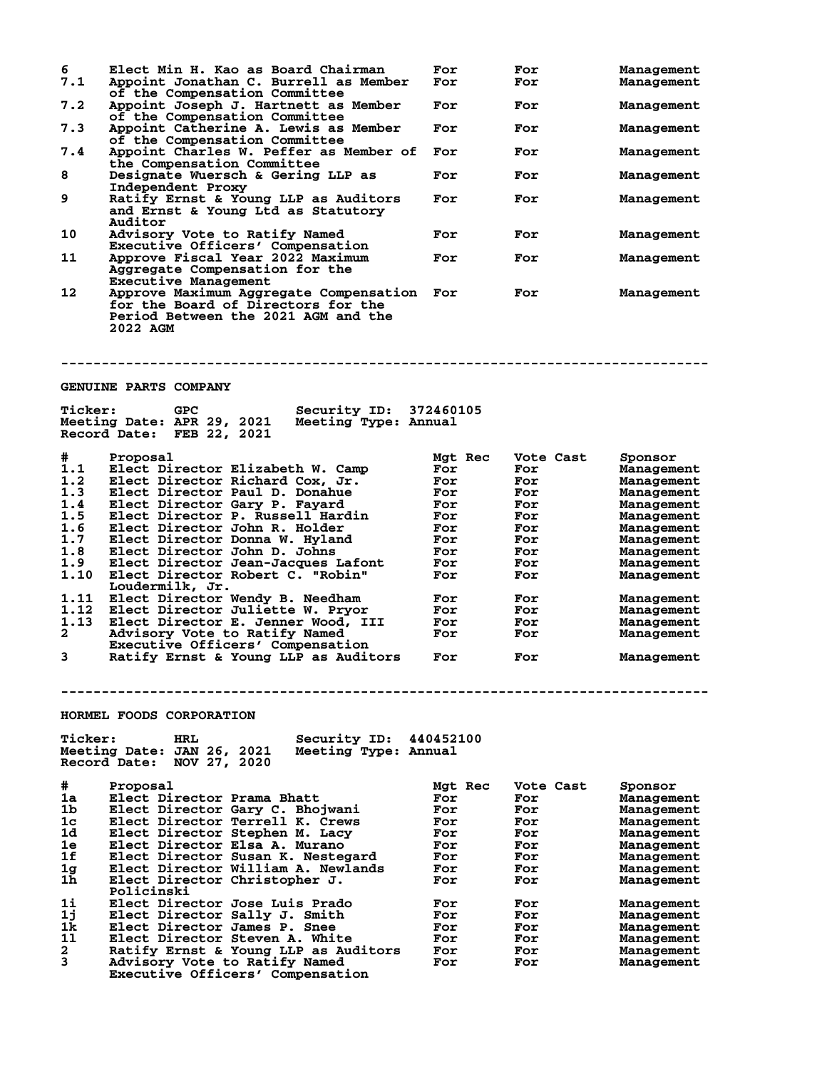| 6<br>7.1       | Elect Min H. Kao as Board Chairman<br>Appoint Jonathan C. Burrell as Member                                                     | For<br>For | For<br>For | Management<br>Management |
|----------------|---------------------------------------------------------------------------------------------------------------------------------|------------|------------|--------------------------|
| 7.2            | of the Compensation Committee<br>Appoint Joseph J. Hartnett as Member<br>of the Compensation Committee                          | For        | For        | Management               |
| 7.3            | Appoint Catherine A. Lewis as Member<br>of the Compensation Committee                                                           | For        | For        | Management               |
| 7.4            | Appoint Charles W. Peffer as Member of<br>the Compensation Committee                                                            | For        | For        | Management               |
| 8              | Designate Wuersch & Gering LLP as<br>Independent Proxy                                                                          | For        | For        | Management               |
| 9              | Ratify Ernst & Young LLP as Auditors<br>and Ernst & Young Ltd as Statutory<br>Auditor                                           | For        | For        | Management               |
| 10             | Advisory Vote to Ratify Named<br>Executive Officers' Compensation                                                               | For        | For        | Management               |
| 11             | Approve Fiscal Year 2022 Maximum<br>Aggregate Compensation for the<br><b>Executive Management</b>                               | For        | For        | Management               |
| 12             | Approve Maximum Aggregate Compensation<br>for the Board of Directors for the<br>Period Between the 2021 AGM and the<br>2022 AGM | For        | For        | Management               |
|                | <b>GENUINE PARTS COMPANY</b>                                                                                                    |            |            |                          |
| <b>Ticker:</b> | Security ID: 372460105<br>GPC                                                                                                   |            |            |                          |
|                | Meeting Date: APR 29, 2021<br>Meeting Type: Annual<br>Record Date: FEB 22, 2021                                                 |            |            |                          |
| #              | Proposal                                                                                                                        | Mgt Rec    | Vote Cast  | Sponsor                  |
| 1.1            | Elect Director Elizabeth W. Camp                                                                                                | For        | For        | Management               |
| 1.2            | Elect Director Richard Cox, Jr.                                                                                                 | For        | For        | Management               |
| 1.3            | Elect Director Paul D. Donahue                                                                                                  | For        | For        | Management               |
| 1.4            | Elect Director Gary P. Fayard                                                                                                   | For        | For        | Management               |
| 1.5            | Elect Director P. Russell Hardin                                                                                                | For        | For        | Management               |
| 1.6            | Elect Director John R. Holder                                                                                                   | For        | For        | Management               |
| 1.7            | Elect Director Donna W. Hyland                                                                                                  | For        | For        | Management               |
| 1.8            | Elect Director John D. Johns                                                                                                    | For        | For        | Management               |
| 1.9            |                                                                                                                                 | For        | For        |                          |
|                | Elect Director Jean-Jacques Lafont                                                                                              |            |            | Management               |
| 1.10           | Elect Director Robert C. "Robin"                                                                                                | For        | For        | Management               |
|                | Loudermilk, Jr.                                                                                                                 |            |            |                          |
| 1.11           | Elect Director Wendy B. Needham                                                                                                 | For        | For        | Management               |
| 1.12           | Elect Director Juliette W. Pryor                                                                                                | For        | For        | Management               |
| 1.13           | Elect Director E. Jenner Wood, III                                                                                              | For        | For        | Management               |
| 2              | Advisory Vote to Ratify Named                                                                                                   | For        | For        | Management               |
|                | Executive Officers' Compensation                                                                                                |            |            |                          |
| 3              | Ratify Ernst & Young LLP as Auditors                                                                                            | For        | For        | Management               |
|                |                                                                                                                                 |            |            |                          |
|                | HORMEL FOODS CORPORATION                                                                                                        |            |            |                          |
| <b>Ticker:</b> | Security ID:<br>HRL<br>Meeting Date: JAN 26, 2021<br>Meeting Type: Annual<br>Record Date:<br>NOV 27, 2020                       | 440452100  |            |                          |
| #              |                                                                                                                                 |            |            |                          |
| 1a             | Proposal                                                                                                                        | Mgt Rec    | Vote Cast  | Sponsor                  |
| 1b             | Elect Director Prama Bhatt                                                                                                      | For<br>For | For        | Management               |
|                | Elect Director Gary C. Bhojwani                                                                                                 |            | For        | Management               |
| $1\mathrm{c}$  | Elect Director Terrell K. Crews                                                                                                 | For        | For        | Management               |
| 1d             | Elect Director Stephen M. Lacy                                                                                                  | For        | For        | Management               |
| 1e             | Elect Director Elsa A. Murano                                                                                                   | For        | For        | Management               |
| 1f             | Elect Director Susan K. Nestegard                                                                                               | For        | For        | Management               |
| 1 <sub>g</sub> | Elect Director William A. Newlands                                                                                              | For        | For        | Management               |
| 1 <sub>h</sub> | Elect Director Christopher J.                                                                                                   | For        | For        | Management               |
|                | Policinski                                                                                                                      |            |            |                          |
| 1i             | Elect Director Jose Luis Prado                                                                                                  | For        | For        | Management               |
| 1j             | Elect Director Sally J. Smith                                                                                                   | For        | For        | Management               |
| 1k             | Elect Director James P. Snee                                                                                                    | For        | For        | Management               |
| 11             | Elect Director Steven A. White                                                                                                  | For        | For        | Management               |
| 2              | Ratify Ernst & Young LLP as Auditors                                                                                            | For        | For        | Management               |
| 3              | Advisory Vote to Ratify Named                                                                                                   | For        | For        | Management               |
|                | Executive Officers' Compensation                                                                                                |            |            |                          |
|                |                                                                                                                                 |            |            |                          |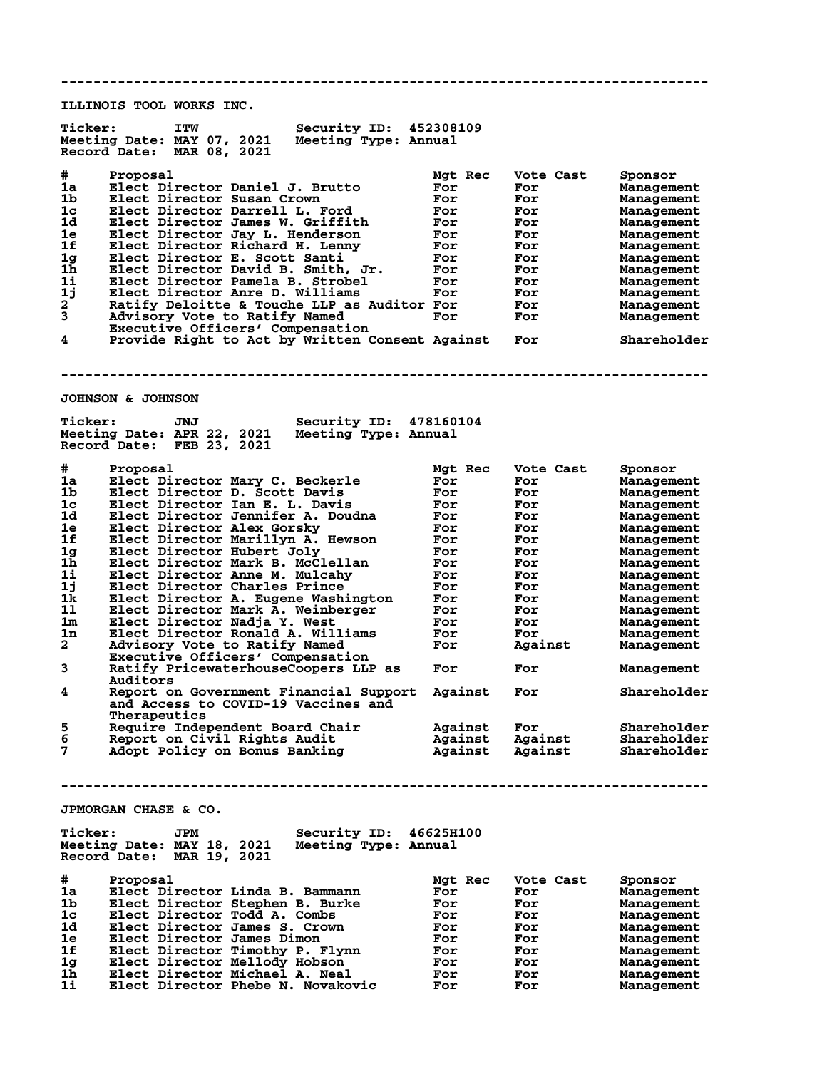**-------------------------------------------------------------------------------- ILLINOIS TOOL WORKS INC. Ticker: ITW Security ID: 452308109 Meeting Date: MAY 07, 2021 Meeting Type: Annual Record Date: MAR 08, 2021 # Proposal Mgt Rec Vote Cast Sponsor 1a Elect Director Daniel J. Brutto For For Management 1b Elect Director Susan Crown For For Management 1c Elect Director Darrell L. Ford For For Management 1d Elect Director James W. Griffith For For Management 1e Elect Director Jay L. Henderson For For Management 1f Elect Director Richard H. Lenny For For Management 1g Elect Director E. Scott Santi For For Management 1h Elect Director David B. Smith, Jr. For For Management 1i Elect Director Pamela B. Strobel For For Management 1j Elect Director Anre D. Williams For For Management 2 Ratify Deloitte & Touche LLP as Auditor For For Management 3 Advisory Vote to Ratify Named For For Management Executive Officers' Compensation 4 Provide Right to Act by Written Consent Against For Shareholder -------------------------------------------------------------------------------- JOHNSON & JOHNSON Ticker: JNJ Security ID: 478160104 Meeting Date: APR 22, 2021 Meeting Type: Annual Record Date: FEB 23, 2021 # Proposal Mgt Rec Vote Cast Sponsor 1a Elect Director Mary C. Beckerle For For Management 1b Elect Director D. Scott Davis For For Management 1c Elect Director Ian E. L. Davis For For Management 1d Elect Director Jennifer A. Doudna For For Management 1e Elect Director Alex Gorsky For For Management 1f Elect Director Marillyn A. Hewson For For Management 1g Elect Director Hubert Joly For For Management 1h Elect Director Mark B. McClellan For For Management 1i Elect Director Anne M. Mulcahy For For Management 1j Elect Director Charles Prince For For Management 1k Elect Director A. Eugene Washington For For Management 1l Elect Director Mark A. Weinberger For For Management 1m Elect Director Nadja Y. West For For Management 1n Elect Director Ronald A. Williams For For Management 2 Advisory Vote to Ratify Named For Against Management Executive Officers' Compensation 3 Ratify PricewaterhouseCoopers LLP as For For Management Auditors**<br>4 Report or **4 Report on Government Financial Support Against For Shareholder and Access to COVID-19 Vaccines and Therapeutics**<br>Require Inder **5 Require Independent Board Chair Against For Shareholder 6 Report on Civil Rights Audit Against Against Shareholder 7 Adopt Policy on Bonus Banking Against Against Shareholder -------------------------------------------------------------------------------- JPMORGAN CHASE & CO. Ticker: JPM Security ID: 46625H100 Meeting Date: MAY 18, 2021 Meeting Type: Annual Record Date: MAR 19, 2021 # Proposal Mgt Rec Vote Cast Sponsor 1a Elect Director Linda B. Bammann For For Management 1b Elect Director Stephen B. Burke For For Management 1c Elect Director Todd A. Combs For For Management 1d Elect Director James S. Crown For For Management 1e Elect Director James Dimon For For Management 1f Elect Director Timothy P. Flynn For For Management 1g Elect Director Mellody Hobson For For Management 1h Elect Director Michael A. Neal For For Management 1i Elect Director Phebe N. Novakovic For For Management**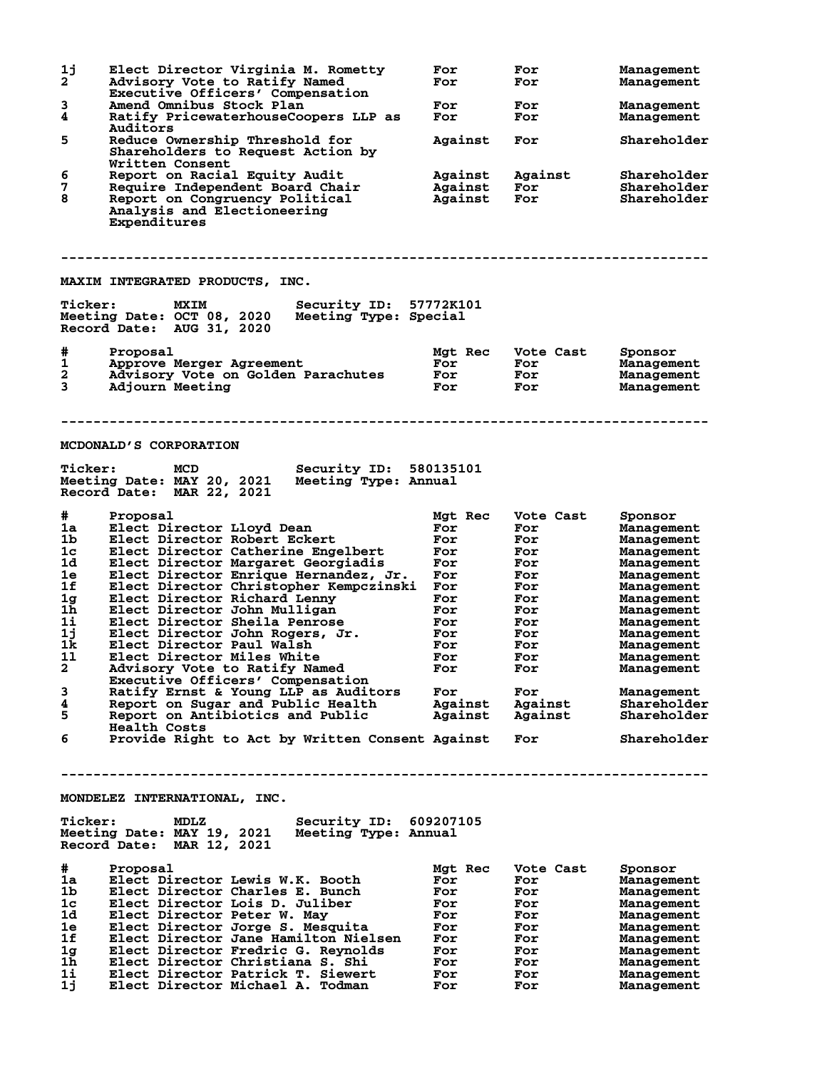| 1j<br>$\mathbf{2}^{\mathsf{T}}$ | Elect Director Virginia M. Rometty<br>Advisory Vote to Ratify Named<br>Executive Officers' Compensation                   | For<br>For         | For<br>For         | Management<br>Management   |
|---------------------------------|---------------------------------------------------------------------------------------------------------------------------|--------------------|--------------------|----------------------------|
| 3<br>4                          | Amend Omnibus Stock Plan<br>Ratify PricewaterhouseCoopers LLP as                                                          | For<br>For         | For<br>For         | Management<br>Management   |
|                                 | Auditors                                                                                                                  |                    |                    |                            |
| 5                               | Reduce Ownership Threshold for<br>Shareholders to Request Action by<br>Written Consent                                    | Against            | For                | Shareholder                |
| 6                               | Report on Racial Equity Audit                                                                                             | Against            | Against            | Shareholder                |
| 7<br>8                          | Require Independent Board Chair<br>Report on Congruency Political<br>Analysis and Electioneering<br>Expenditures          | Against<br>Against | For<br><b>For</b>  | Shareholder<br>Shareholder |
|                                 | MAXIM INTEGRATED PRODUCTS, INC.                                                                                           |                    |                    |                            |
|                                 |                                                                                                                           |                    |                    |                            |
| <b>Ticker:</b>                  | Security ID: 57772K101<br><b>MXIM</b><br>Meeting Date: OCT 08, 2020<br>Meeting Type: Special<br>Record Date: AUG 31, 2020 |                    |                    |                            |
| #                               | Proposal                                                                                                                  | Mgt Rec            | Vote Cast          | Sponsor                    |
| 1                               | Approve Merger Agreement                                                                                                  | For                | For                | Management                 |
| 2<br>3                          | Advisory Vote on Golden Parachutes<br>Adjourn Meeting                                                                     | For<br>For         | For<br>For         | Management<br>Management   |
|                                 | MCDONALD'S CORPORATION                                                                                                    |                    |                    |                            |
| <b>Ticker:</b>                  | <b>MCD</b><br>Security ID: 580135101<br>Meeting Date: MAY 20, 2021<br>Meeting Type: Annual                                |                    |                    |                            |
|                                 | Record Date: MAR 22, 2021                                                                                                 |                    |                    |                            |
| #                               | Proposal                                                                                                                  | Mgt Rec            | Vote Cast          | Sponsor                    |
| 1a                              | Elect Director Lloyd Dean                                                                                                 | For                | For                | Management                 |
| 1b<br>1 <sub>c</sub>            | Elect Director Robert Eckert<br>Elect Director Catherine Engelbert                                                        | For<br>For         | For                | Management                 |
| 1d                              | Elect Director Margaret Georgiadis                                                                                        | For                | For<br>For         | Management<br>Management   |
| 1e                              | Elect Director Enrique Hernandez, Jr.                                                                                     | For                | For                | Management                 |
| 1f                              | Elect Director Christopher Kempczinski                                                                                    | For                | For                | Management                 |
| 1 <sub>g</sub>                  | Elect Director Richard Lenny                                                                                              | For                | For                | Management                 |
| 1 <sub>h</sub><br>11            | Elect Director John Mulligan                                                                                              | For                | For                | Management                 |
| 1j                              | Elect Director Sheila Penrose<br>Elect Director John Rogers, Jr.                                                          | For<br>For         | For<br>For         | Management                 |
| 1k.                             | Elect Director Paul Walsh                                                                                                 | For                | For                | Management<br>Management   |
| 11                              | Elect Director Miles White                                                                                                | For                | For                | Management                 |
| $\mathbf{2}$                    | Advisory Vote to Ratify Named<br>Executive Officers' Compensation                                                         | For                | For                | Management                 |
| 3                               | Ratify Ernst & Young LLP as Auditors                                                                                      | For                | For                | Management                 |
| 4<br>5                          | Report on Sugar and Public Health<br>Report on Antibiotics and Public<br><b>Health Costs</b>                              | Against<br>Against | Against<br>Against | Shareholder<br>Shareholder |
| 6                               | Provide Right to Act by Written Consent Against                                                                           |                    | For                | Shareholder                |
|                                 |                                                                                                                           |                    |                    |                            |
|                                 | MONDELEZ INTERNATIONAL, INC.                                                                                              |                    |                    |                            |
| <b>Ticker:</b>                  | Security ID: 609207105<br>MDLZ<br>Meeting Date: MAY 19, 2021<br>Meeting Type: Annual<br>Record Date: MAR 12, 2021         |                    |                    |                            |
| #                               | Proposal                                                                                                                  | Mgt Rec            | Vote Cast          | Sponsor                    |
| 1a                              | Elect Director Lewis W.K. Booth                                                                                           | For                | For                | Management                 |
| 1b                              | Elect Director Charles E. Bunch                                                                                           | For                | For                | Management                 |
| 1 <sub>c</sub><br>1d            | Elect Director Lois D. Juliber<br>Elect Director Peter W. May                                                             | For<br>For         | For<br>For         | Management<br>Management   |
| 1e                              | Elect Director Jorge S. Mesquita                                                                                          | For                | For                | Management                 |
| 1f                              | Elect Director Jane Hamilton Nielsen                                                                                      | For                | For                | Management                 |
| 1 <sub>g</sub>                  | Elect Director Fredric G. Reynolds                                                                                        | For                | For                | Management                 |
| 1h<br>1i                        | Elect Director Christiana S. Shi                                                                                          | For                | For                | Management                 |
| 1j                              | Elect Director Patrick T. Siewert<br>Elect Director Michael A. Todman                                                     | For<br>For         | For<br>For         | Management<br>Management   |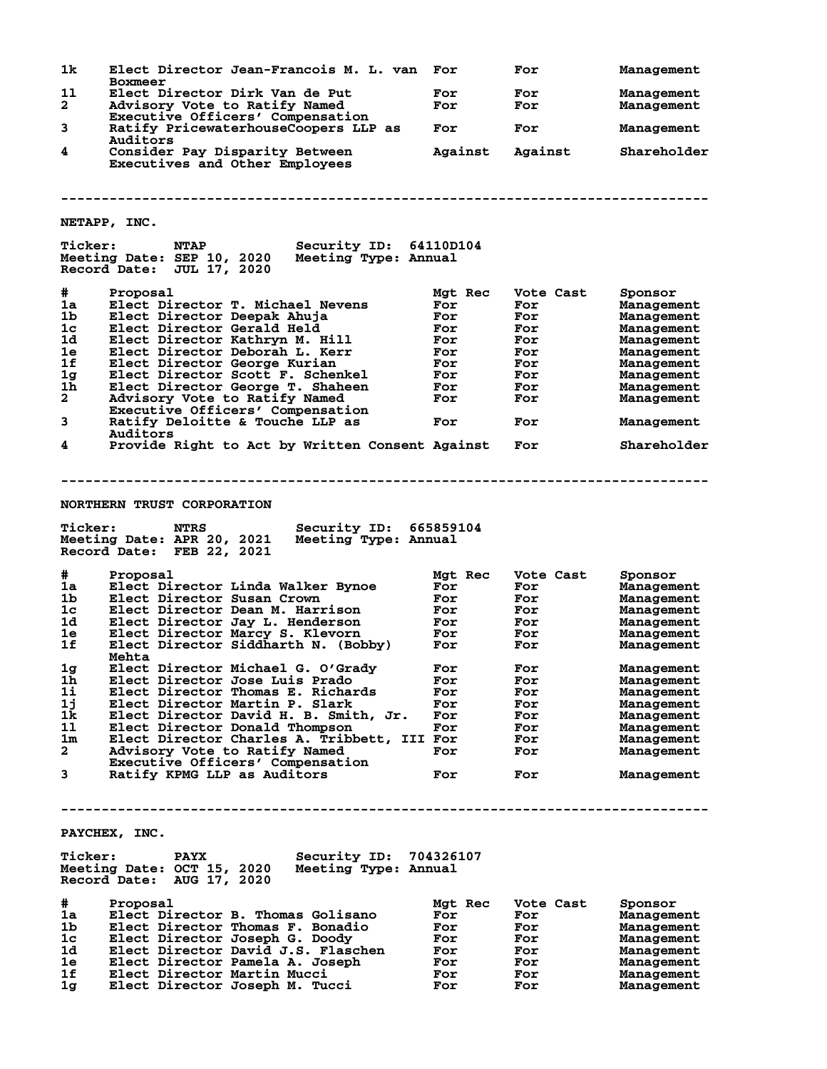| 1k                 | Elect Director Jean-Francois M. L. van<br><b>Boxmeer</b>                                                                                                      | For        | For        | Management               |
|--------------------|---------------------------------------------------------------------------------------------------------------------------------------------------------------|------------|------------|--------------------------|
| 11<br>$\mathbf{2}$ | Elect Director Dirk Van de Put<br>Advisory Vote to Ratify Named                                                                                               | For<br>For | For<br>For | Management<br>Management |
| 3                  | Executive Officers' Compensation<br>Ratify PricewaterhouseCoopers LLP as                                                                                      | For        | For        | <b>Management</b>        |
|                    | Auditors                                                                                                                                                      |            |            |                          |
| 4                  | Consider Pay Disparity Between<br>Executives and Other Employees                                                                                              | Against    | Against    | Shareholder              |
|                    |                                                                                                                                                               |            |            |                          |
|                    | NETAPP, INC.                                                                                                                                                  |            |            |                          |
| <b>Ticker:</b>     | <b>NTAP</b><br>Security ID: 64110D104<br>Meeting Date: SEP 10, 2020<br>Meeting Type: Annual<br>Record Date: JUL 17, 2020                                      |            |            |                          |
| $\#$               | Proposal                                                                                                                                                      | Mgt Rec    | Vote Cast  | Sponsor                  |
| 1a                 | Elect Director T. Michael Nevens                                                                                                                              | For        | For        | <b>Management</b>        |
| 1 <sub>b</sub>     | Elect Director Deepak Ahuja                                                                                                                                   | For        | For        | Management               |
| 1 <sub>c</sub>     | Elect Director Gerald Held                                                                                                                                    | For        | For        | Management               |
| 1d                 | Elect Director Kathryn M. Hill                                                                                                                                | For        | For        | Management               |
| 1e                 | Elect Director Deborah L. Kerr                                                                                                                                | For        | For        | Management               |
| 1f                 | Elect Director George Kurian                                                                                                                                  | For        | For        | Management               |
| 1g                 | Elect Director Scott F. Schenkel                                                                                                                              | For        | For        | Management               |
| 1 <sub>h</sub>     | Elect Director George T. Shaheen                                                                                                                              | For        | For        | Management               |
| $\mathbf{2}$       | Advisory Vote to Ratify Named                                                                                                                                 | For        | For        | Management               |
| 3                  | Executive Officers' Compensation<br>Ratify Deloitte & Touche LLP as                                                                                           | For        | For        | Management               |
| 4                  | Auditors<br>Provide Right to Act by Written Consent Against                                                                                                   |            | For        | Shareholder              |
| <b>Ticker:</b>     | <b>NORTHERN TRUST CORPORATION</b><br><b>NTRS</b><br>Security ID: 665859104<br>Meeting Date: APR 20, 2021<br>Meeting Type: Annual<br>Record Date: FEB 22, 2021 |            |            |                          |
|                    |                                                                                                                                                               |            |            |                          |
| #                  | Proposal                                                                                                                                                      | Mgt Rec    | Vote Cast  | Sponsor                  |
| 1a                 | Elect Director Linda Walker Bynoe                                                                                                                             | For        | For        | Management               |
| 1 <sub>b</sub>     | Elect Director Susan Crown                                                                                                                                    | For        | For        | Management               |
| 1c                 | Elect Director Dean M. Harrison                                                                                                                               | For        | For        | Management               |
| 1d                 | Elect Director Jay L. Henderson                                                                                                                               | For        | For        | Management               |
| 1e                 | Elect Director Marcy S. Klevorn                                                                                                                               | For        | For        | Management               |
| 1f                 | Elect Director Siddharth N. (Bobby)<br>Mehta                                                                                                                  | For        | For        | Management               |
| 1g                 | Elect Director Michael G. O'Grady                                                                                                                             | For        | For        | Management               |
| 1h                 | Elect Director Jose Luis Prado                                                                                                                                | For        | For        | Management               |
| 11                 | Elect Director Thomas E. Richards                                                                                                                             | For        | For        | Management               |
| 1j                 | Elect Director Martin P. Slark                                                                                                                                | For        | For        | Management               |
| 1k                 | Elect Director David H. B. Smith, Jr.                                                                                                                         | For        | For        | Management               |
| 11                 | Elect Director Donald Thompson                                                                                                                                | For        | For        | Management               |
| 1m<br>$\mathbf{2}$ | Elect Director Charles A. Tribbett, III For                                                                                                                   |            | For        | Management               |
|                    | Advisory Vote to Ratify Named                                                                                                                                 | For        | For        | Management               |
| 3                  | Executive Officers' Compensation<br>Ratify KPMG LLP as Auditors                                                                                               | For        | For        | Management               |
|                    |                                                                                                                                                               |            |            |                          |
|                    |                                                                                                                                                               |            |            |                          |
|                    | PAYCHEX, INC.                                                                                                                                                 |            |            |                          |
| <b>Ticker:</b>     | Security ID: 704326107<br><b>PAYX</b><br>Meeting Date: OCT 15, 2020<br>Meeting Type: Annual<br>Record Date: AUG 17, 2020                                      |            |            |                          |
| #                  | Proposal                                                                                                                                                      | Mgt Rec    | Vote Cast  |                          |
| 1a                 | Elect Director B. Thomas Golisano                                                                                                                             | For        | For        | Sponsor<br>Management    |
| 1b                 | Elect Director Thomas F. Bonadio                                                                                                                              | For        | For        | Management               |
| 1c                 | Elect Director Joseph G. Doody                                                                                                                                | For        | For        | Management               |
| 1d                 | Elect Director David J.S. Flaschen                                                                                                                            | For        | For        | Management               |
| 1e                 | Elect Director Pamela A. Joseph                                                                                                                               | For        | For        | Management               |
| 1f                 |                                                                                                                                                               |            |            |                          |
|                    | Elect Director Martin Mucci                                                                                                                                   | For        | For        | Management               |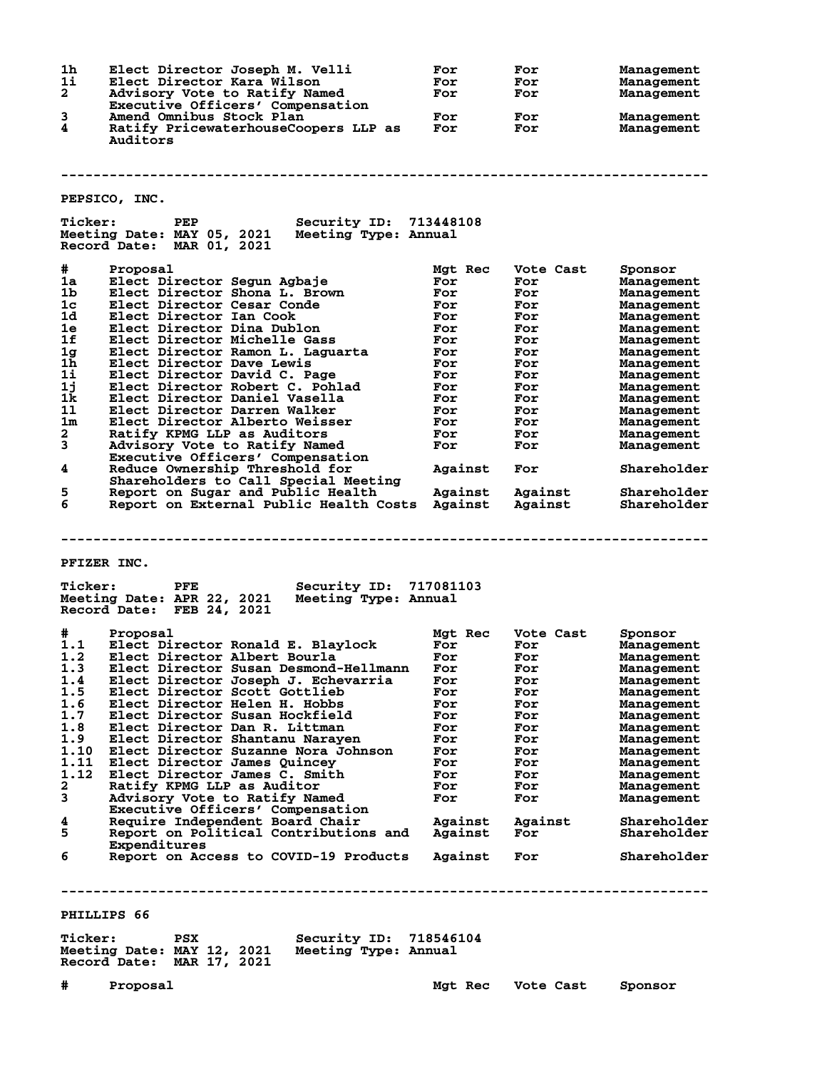| 1h             | Elect Director Joseph M. Velli                                                                 | For       | For       | Management        |
|----------------|------------------------------------------------------------------------------------------------|-----------|-----------|-------------------|
| 1i             | Elect Director Kara Wilson                                                                     | For       | For       | Management        |
| $\mathbf{2}$   | Advisory Vote to Ratify Named                                                                  | For       | For       | Management        |
|                |                                                                                                |           |           |                   |
|                | Executive Officers' Compensation                                                               |           |           |                   |
| 3              | Amend Omnibus Stock Plan                                                                       | For       | For       | Management        |
| 4              | Ratify PricewaterhouseCoopers LLP as                                                           | For       | For       | Management        |
|                | Auditors                                                                                       |           |           |                   |
|                |                                                                                                |           |           |                   |
|                |                                                                                                |           |           |                   |
|                |                                                                                                |           |           |                   |
|                |                                                                                                |           |           |                   |
|                | PEPSICO, INC.                                                                                  |           |           |                   |
|                |                                                                                                |           |           |                   |
| <b>Ticker:</b> | Security ID: 713448108<br>PEP                                                                  |           |           |                   |
|                | Meeting Date: MAY 05, 2021<br>Meeting Type: Annual                                             |           |           |                   |
|                | Record Date: MAR 01, 2021                                                                      |           |           |                   |
|                |                                                                                                |           |           |                   |
|                |                                                                                                |           |           |                   |
| #              | Proposal                                                                                       | Mgt Rec   | Vote Cast | Sponsor           |
| 1a             | Elect Director Segun Agbaje                                                                    | For       | For       | <b>Management</b> |
| 1b             | Elect Director Shona L. Brown                                                                  | For       | For       | Management        |
| $1c$           | Elect Director Cesar Conde                                                                     | For       | For       | Management        |
| 1d             | Elect Director Ian Cook                                                                        | For       | For       | Management        |
| 1e             | Elect Director Dina Dublon                                                                     | For       | For       | Management        |
| 1f             | Elect Director Michelle Gass                                                                   | For       | For       | Management        |
| 1g             | Elect Director Ramon L. Laguarta                                                               | For       | For       | Management        |
| 1h             | Elect Director Dave Lewis                                                                      | For       | For       | Management        |
| 11             | Elect Director David C. Page                                                                   | For       | For       |                   |
|                |                                                                                                |           |           | Management        |
| 1j             | Elect Director Robert C. Pohlad                                                                | For       | For       | Management        |
| 1k             | Elect Director Daniel Vasella                                                                  | For       | For       | Management        |
| 11             | Elect Director Darren Walker                                                                   | For       | For       | Management        |
| 1 <sub>m</sub> | Elect Director Alberto Weisser                                                                 | For       | For       | Management        |
| $\mathbf{2}$   | Ratify KPMG LLP as Auditors                                                                    | For       | For       | Management        |
| 3              | Advisory Vote to Ratify Named                                                                  | For       | For       | Management        |
|                | Executive Officers' Compensation                                                               |           |           |                   |
| 4              | Reduce Ownership Threshold for                                                                 | Against   | For       | Shareholder       |
|                | Shareholders to Call Special Meeting                                                           |           |           |                   |
| 5              | Report on Sugar and Public Health                                                              | Against   | Against   | Shareholder       |
| 6              | Report on External Public Health Costs Against                                                 |           |           |                   |
|                |                                                                                                |           | Against   | Shareholder       |
|                |                                                                                                |           |           |                   |
|                |                                                                                                |           |           |                   |
|                |                                                                                                |           |           |                   |
|                |                                                                                                |           |           |                   |
|                | <b>PFIZER INC.</b>                                                                             |           |           |                   |
|                |                                                                                                |           |           |                   |
| <b>Ticker:</b> | <b>Security ID:</b><br>PFE                                                                     | 717081103 |           |                   |
|                |                                                                                                |           |           |                   |
|                |                                                                                                |           |           |                   |
|                | Meeting Date: APR 22, 2021<br>Meeting Type: Annual                                             |           |           |                   |
|                | Record Date: FEB 24, 2021                                                                      |           |           |                   |
|                |                                                                                                |           |           |                   |
| #              | Proposal                                                                                       | Mgt Rec   | Vote Cast | Sponsor           |
| 1.1            | Elect Director Ronald E. Blaylock                                                              | For       | For       | Management        |
| 1.2            | Elect Director Albert Bourla                                                                   | For       | For       | Management        |
|                | 1.3 Elect Director Susan Desmond-Hellmann For                                                  |           | For       | Management        |
| 1.4            | Elect Director Joseph J. Echevarria                                                            | For       | For       | Management        |
| 1.5            | Elect Director Scott Gottlieb                                                                  | For       | For       | Management        |
| 1.6            | Elect Director Helen H. Hobbs                                                                  | For       | For       | Management        |
| 1.7            | Elect Director Susan Hockfield                                                                 | For       | For       |                   |
|                |                                                                                                |           |           | Management        |
| 1.8            | Elect Director Dan R. Littman                                                                  | For       | For       | Management        |
| 1.9            | Elect Director Shantanu Narayen                                                                | For       | For       | Management        |
| 1.10           | Elect Director Suzanne Nora Johnson                                                            | For       | For       | Management        |
| 1.11           | Elect Director James Ouincey                                                                   | For       | For       | Management        |
| 1.12           | Elect Director James C. Smith                                                                  | For       | For       | Management        |
| $\mathbf{2}$   | Ratify KPMG LLP as Auditor                                                                     | For       | For       | Management        |
| 3              | Advisory Vote to Ratify Named                                                                  | For       | For       | Management        |
|                | Executive Officers' Compensation                                                               |           |           |                   |
| 4              | Require Independent Board Chair                                                                | Against   | Against   | Shareholder       |
| 5              | Report on Political Contributions and                                                          | Against   | For       | Shareholder       |
|                |                                                                                                |           |           |                   |
|                | Expenditures                                                                                   |           |           |                   |
| 6              | Report on Access to COVID-19 Products                                                          | Against   | For       | Shareholder       |
|                |                                                                                                |           |           |                   |
|                |                                                                                                |           |           |                   |
|                |                                                                                                |           |           |                   |
|                |                                                                                                |           |           |                   |
|                | PHILLIPS 66                                                                                    |           |           |                   |
|                |                                                                                                |           |           |                   |
| <b>Ticker:</b> | <b>PSX</b><br><b>Security ID: 718546104</b><br>Meeting Date: MAY 12, 2021 Meeting Type: Annual |           |           |                   |

**Record Date: MAR 17, 2021**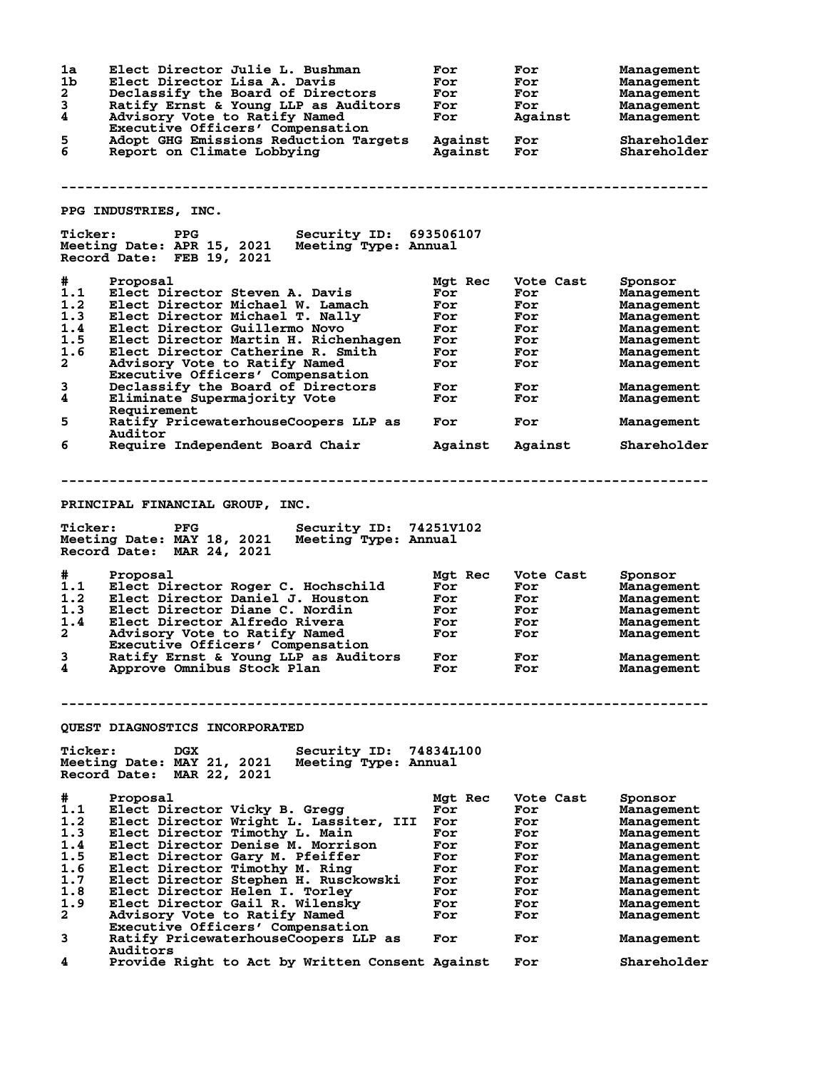**1a Elect Director Julie L. Bushman For For Management 1b Elect Director Lisa A. Davis For For Management 2 Declassify the Board of Directors For For Management 3 Ratify Ernst & Young LLP as Auditors For For Management 4 Advisory Vote to Ratify Named For Against Management Executive Officers' Compensation 5 Adopt GHG Emissions Reduction Targets Against For Shareholder 6 Report on Climate Lobbying Against For Shareholder -------------------------------------------------------------------------------- PPG INDUSTRIES, INC. Ticker: PPG Security ID: 693506107 Meeting Date: APR 15, 2021 Meeting Type: Annual Record Date: FEB 19, 2021 # Proposal Mgt Rec Vote Cast Sponsor 1.1 Elect Director Steven A. Davis For For Management 1.2 Elect Director Michael W. Lamach For For Management 1.3 Elect Director Michael T. Nally For For Management 1.4 Elect Director Guillermo Novo For For Management 1.5 Elect Director Martin H. Richenhagen For For Management 1.6 Elect Director Catherine R. Smith For For Management 2 Advisory Vote to Ratify Named For For Management Executive Officers' Compensation 3 Declassify the Board of Directors For For Management 4 Eliminate Supermajority Vote For For Management Requirement**<br>5 Ratify Price **5 Ratify PricewaterhouseCoopers LLP as For For Management** Auditor<br>6 Require Require Independent Board Chair **Against Against Shareholder -------------------------------------------------------------------------------- PRINCIPAL FINANCIAL GROUP, INC. Ticker: PFG Security ID: 74251V102 Meeting Date: MAY 18, 2021 Meeting Type: Annual Record Date: MAR 24, 2021 # Proposal Mgt Rec Vote Cast Sponsor 1.1 Elect Director Roger C. Hochschild For For Management 1.2 Elect Director Daniel J. Houston For For Management 1.3 Elect Director Diane C. Nordin For For Management 1.4 Elect Director Alfredo Rivera For For Management 2 Advisory Vote to Ratify Named For For Management Executive Officers' Compensation 3 Ratify Ernst & Young LLP as Auditors For For Management 4 Approve Omnibus Stock Plan For For Management -------------------------------------------------------------------------------- QUEST DIAGNOSTICS INCORPORATED Ticker: DGX Security ID: 74834L100 Meeting Date: MAY 21, 2021 Meeting Type: Annual Record Date: MAR 22, 2021 # Proposal Mgt Rec Vote Cast Sponsor 1.1 Elect Director Vicky B. Gregg For For Management 1.2 Elect Director Wright L. Lassiter, III For For Management 1.3 Elect Director Timothy L. Main For For Management 1.4 Elect Director Denise M. Morrison For For Management 1.5 Elect Director Gary M. Pfeiffer For For Management 1.6 Elect Director Timothy M. Ring For For Management 1.7 Elect Director Stephen H. Rusckowski For For Management 1.8 Elect Director Helen I. Torley For For Management 1.9 Elect Director Gail R. Wilensky For For Management 2 Advisory Vote to Ratify Named For For Management Executive Officers' Compensation 3 Ratify PricewaterhouseCoopers LLP as For For Management Auditors 4 Provide Right to Act by Written Consent Against For Shareholder**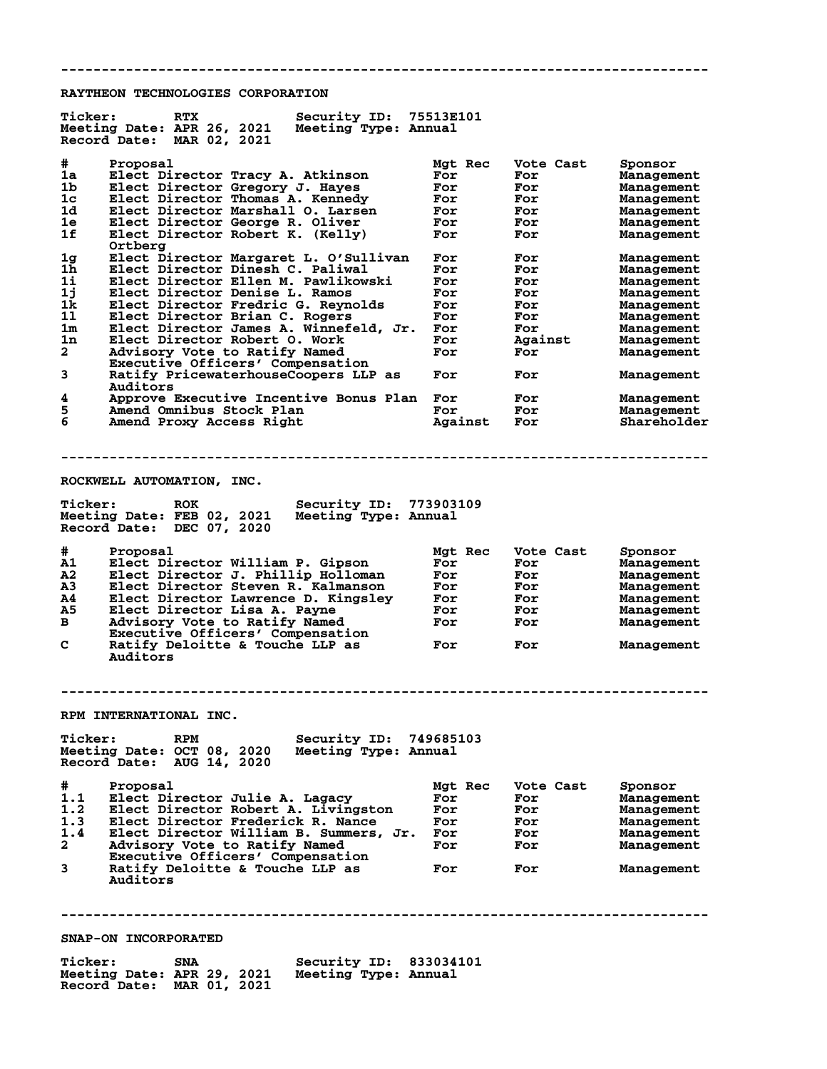**RAYTHEON TECHNOLOGIES CORPORATION**

| <b>Ticker:</b><br>RTX<br>Meeting Date: APR 26, 2021<br>Record Date: MAR 02, 2021                                                                                                                                                                                                                                                                                                                                                                                                                   | Security ID: 75513E101<br>Meeting Type: Annual |                                                                    |                                                                        |                                                                                                                                          |
|----------------------------------------------------------------------------------------------------------------------------------------------------------------------------------------------------------------------------------------------------------------------------------------------------------------------------------------------------------------------------------------------------------------------------------------------------------------------------------------------------|------------------------------------------------|--------------------------------------------------------------------|------------------------------------------------------------------------|------------------------------------------------------------------------------------------------------------------------------------------|
| #<br>Proposal<br>Elect Director Tracy A. Atkinson<br>1a<br>1b<br>Elect Director Gregory J. Hayes<br>Elect Director Thomas A. Kennedy<br>1c<br>Elect Director Marshall O. Larsen<br>1d.<br>1е<br>Elect Director George R. Oliver<br>1f<br>Elect Director Robert K. (Kelly)<br>Ortbera                                                                                                                                                                                                               |                                                | Mgt Rec<br>For<br>For<br>For<br>For<br>For<br>For                  | Vote Cast<br>For<br>For<br>For<br>For<br>For<br>For                    | Sponsor<br>Management<br>Management<br>Management<br>Management<br>Management<br>Management                                              |
| Elect Director Margaret L. O'Sullivan<br>1g<br>1h<br>Elect Director Dinesh C. Paliwal<br>$1\mathbf{i}$<br>Elect Director Ellen M. Pawlikowski<br>1j<br>Elect Director Denise L. Ramos<br>1k<br>Elect Director Fredric G. Reynolds<br>11<br>Elect Director Brian C. Rogers<br>1m<br>Elect Director James A. Winnefeld, Jr.<br>1n<br>Elect Director Robert O. Work<br>$\mathbf{2}$<br>Advisory Vote to Ratify Named<br>Executive Officers' Compensation<br>3<br>Ratify PricewaterhouseCoopers LLP as |                                                | For<br>For<br>For<br>For<br>For<br>For<br>For<br>For<br>For<br>For | For<br>For<br>For<br>For<br>For<br>For<br>For<br>Against<br>For<br>For | Management<br>Management<br>Management<br>Management<br>Management<br>Management<br>Management<br>Management<br>Management<br>Management |
| Auditors<br>4<br>Approve Executive Incentive Bonus Plan<br>5<br>Amend Omnibus Stock Plan<br>6<br>Amend Proxy Access Right                                                                                                                                                                                                                                                                                                                                                                          |                                                | For<br>For<br>Against                                              | For<br>For<br>For                                                      | Management<br>Management<br>Shareholder                                                                                                  |
| ROCKWELL AUTOMATION, INC.                                                                                                                                                                                                                                                                                                                                                                                                                                                                          |                                                |                                                                    |                                                                        |                                                                                                                                          |
| <b>Ticker:</b><br><b>ROK</b><br>Meeting Date: FEB 02, 2021<br>Record Date: DEC 07, 2020                                                                                                                                                                                                                                                                                                                                                                                                            | Security ID: 773903109<br>Meeting Type: Annual |                                                                    |                                                                        |                                                                                                                                          |
| #<br>Proposal<br>Elect Director William P. Gipson<br>A1<br>Elect Director J. Phillip Holloman<br>A2<br>A3<br>Elect Director Steven R. Kalmanson<br>Elect Director Lawrence D. Kingsley<br>A4<br>A5<br>Elect Director Lisa A. Payne<br>в<br>Advisory Vote to Ratify Named<br>Executive Officers' Compensation<br>c<br>Ratify Deloitte & Touche LLP as<br>Auditors                                                                                                                                   |                                                | Mgt Rec<br>For<br>For<br>For<br>For<br>For<br>For<br>For           | Vote Cast<br>For<br>For<br>For<br>For<br>For<br>For<br>For             | Sponsor<br>Management<br>Management<br>Management<br>Management<br>Management<br>Management<br>Management                                |
| RPM INTERNATIONAL INC.                                                                                                                                                                                                                                                                                                                                                                                                                                                                             |                                                |                                                                    |                                                                        |                                                                                                                                          |
| <b>Ticker:</b><br><b>RPM</b><br>Meeting Date: OCT 08, 2020<br>Record Date: AUG 14, 2020                                                                                                                                                                                                                                                                                                                                                                                                            | Security ID: 749685103<br>Meeting Type: Annual |                                                                    |                                                                        |                                                                                                                                          |
| #<br>Proposal<br>1.1<br>Elect Director Julie A. Lagacy<br>1.2<br>Elect Director Robert A. Livingston<br>Elect Director Frederick R. Nance<br>1.3<br>Elect Director William B. Summers, Jr.<br>1.4<br>$\mathbf{2}$<br>Advisory Vote to Ratify Named<br>Executive Officers' Compensation<br>3<br>Ratify Deloitte & Touche LLP as<br>Auditors                                                                                                                                                         |                                                | Mgt Rec<br>For<br>For<br>For<br>For<br>For<br>For                  | Vote Cast<br>For<br>For<br>For<br>For<br>For<br>For                    | Sponsor<br>Management<br>Management<br>Management<br>Management<br>Management<br>Management                                              |
| SNAP-ON INCORPORATED                                                                                                                                                                                                                                                                                                                                                                                                                                                                               |                                                |                                                                    |                                                                        |                                                                                                                                          |
| Ticker:<br><b>SNA</b>                                                                                                                                                                                                                                                                                                                                                                                                                                                                              | Security ID: 833034101                         |                                                                    |                                                                        |                                                                                                                                          |

**--------------------------------------------------------------------------------**

**Meeting Date: APR 29, 2021 Meeting Type: Annual Record Date: MAR 01, 2021**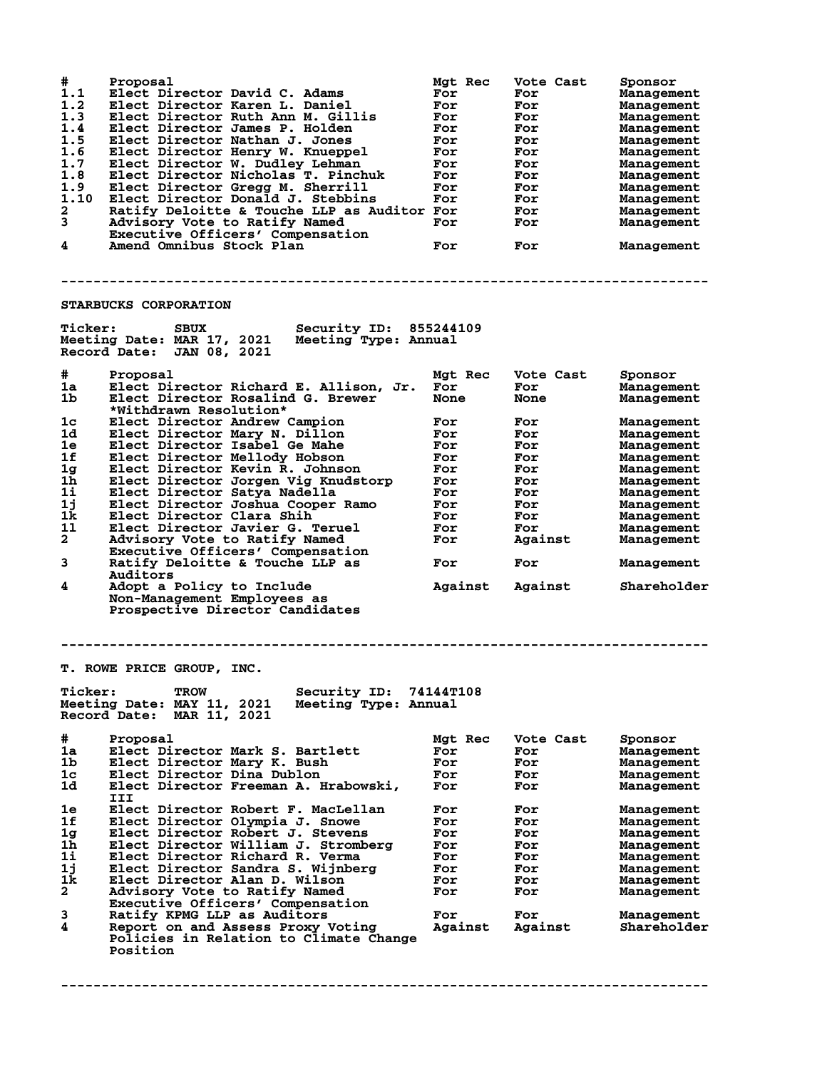| #<br>1.1<br>1.2<br>1.3<br>1.4<br>1.5<br>1.6<br>1.7<br>1.8<br>1.9<br>1.10<br>2<br>3<br>4 | Proposal<br>Elect Director David C. Adams<br>Elect Director Karen L. Daniel<br>Elect Director Ruth Ann M. Gillis<br>Elect Director James P. Holden<br>Elect Director Nathan J. Jones<br>Elect Director Henry W. Knueppel<br>Elect Director W. Dudley Lehman<br>Elect Director Nicholas T. Pinchuk<br>Elect Director Gregg M. Sherrill<br>Elect Director Donald J. Stebbins<br>Ratify Deloitte & Touche LLP as Auditor For<br>Advisory Vote to Ratify Named<br>Executive Officers' Compensation<br>Amend Omnibus Stock Plan | Mgt Rec<br>For<br>For<br>For<br>For<br>For<br>For<br>For<br>For<br>For<br>For<br>For<br>For | Vote Cast<br>For<br>For<br>For<br>For<br>For<br>For<br>For<br>For<br>For<br>For<br>For<br>For<br>For | Sponsor<br>Management<br>Management<br>Management<br>Management<br>Management<br>Management<br>Management<br>Management<br>Management<br>Management<br>Management<br>Management<br>Management |
|-----------------------------------------------------------------------------------------|----------------------------------------------------------------------------------------------------------------------------------------------------------------------------------------------------------------------------------------------------------------------------------------------------------------------------------------------------------------------------------------------------------------------------------------------------------------------------------------------------------------------------|---------------------------------------------------------------------------------------------|------------------------------------------------------------------------------------------------------|-----------------------------------------------------------------------------------------------------------------------------------------------------------------------------------------------|
|                                                                                         |                                                                                                                                                                                                                                                                                                                                                                                                                                                                                                                            |                                                                                             |                                                                                                      |                                                                                                                                                                                               |
|                                                                                         | STARBUCKS CORPORATION                                                                                                                                                                                                                                                                                                                                                                                                                                                                                                      |                                                                                             |                                                                                                      |                                                                                                                                                                                               |
| <b>Ticker:</b>                                                                          | Security ID:<br><b>SBUX</b><br>Meeting Date: MAR 17, 2021<br>Meeting Type: Annual<br>Record Date: JAN 08, 2021                                                                                                                                                                                                                                                                                                                                                                                                             | 855244109                                                                                   |                                                                                                      |                                                                                                                                                                                               |
| #                                                                                       | Proposal                                                                                                                                                                                                                                                                                                                                                                                                                                                                                                                   | Mgt Rec                                                                                     | Vote Cast                                                                                            | Sponsor                                                                                                                                                                                       |
| 1a                                                                                      | Elect Director Richard E. Allison, Jr.                                                                                                                                                                                                                                                                                                                                                                                                                                                                                     | For                                                                                         | For                                                                                                  | Management                                                                                                                                                                                    |
| 1b                                                                                      | Elect Director Rosalind G. Brewer<br>*Withdrawn Resolution*                                                                                                                                                                                                                                                                                                                                                                                                                                                                | <b>None</b>                                                                                 | None                                                                                                 | Management                                                                                                                                                                                    |
| 1c                                                                                      | Elect Director Andrew Campion                                                                                                                                                                                                                                                                                                                                                                                                                                                                                              | For                                                                                         | For                                                                                                  | Management                                                                                                                                                                                    |
| 1d                                                                                      | Elect Director Mary N. Dillon                                                                                                                                                                                                                                                                                                                                                                                                                                                                                              | For                                                                                         | For                                                                                                  | Management                                                                                                                                                                                    |
| 1e                                                                                      | Elect Director Isabel Ge Mahe                                                                                                                                                                                                                                                                                                                                                                                                                                                                                              | For                                                                                         | For                                                                                                  | Management                                                                                                                                                                                    |
| 1f                                                                                      | Elect Director Mellody Hobson                                                                                                                                                                                                                                                                                                                                                                                                                                                                                              | For                                                                                         | For                                                                                                  | Management                                                                                                                                                                                    |
| 1 <sub>g</sub>                                                                          | Elect Director Kevin R. Johnson                                                                                                                                                                                                                                                                                                                                                                                                                                                                                            | For                                                                                         | For                                                                                                  | Management                                                                                                                                                                                    |
| 1h                                                                                      |                                                                                                                                                                                                                                                                                                                                                                                                                                                                                                                            | For                                                                                         |                                                                                                      |                                                                                                                                                                                               |
|                                                                                         | Elect Director Jorgen Vig Knudstorp                                                                                                                                                                                                                                                                                                                                                                                                                                                                                        |                                                                                             | For                                                                                                  | Management                                                                                                                                                                                    |
| 1i                                                                                      | Elect Director Satya Nadella                                                                                                                                                                                                                                                                                                                                                                                                                                                                                               | For                                                                                         | For                                                                                                  | Management                                                                                                                                                                                    |
| 1j                                                                                      | Elect Director Joshua Cooper Ramo                                                                                                                                                                                                                                                                                                                                                                                                                                                                                          | For                                                                                         | For                                                                                                  | Management                                                                                                                                                                                    |
| 1k                                                                                      | Elect Director Clara Shih                                                                                                                                                                                                                                                                                                                                                                                                                                                                                                  | For                                                                                         | For                                                                                                  | Management                                                                                                                                                                                    |
| 11                                                                                      | Elect Director Javier G. Teruel                                                                                                                                                                                                                                                                                                                                                                                                                                                                                            | For                                                                                         | For                                                                                                  | Management                                                                                                                                                                                    |
| $\mathbf{2}$                                                                            | Advisory Vote to Ratify Named<br>Executive Officers' Compensation                                                                                                                                                                                                                                                                                                                                                                                                                                                          | For                                                                                         | Against                                                                                              | Management                                                                                                                                                                                    |
| 3                                                                                       | Ratify Deloitte & Touche LLP as<br>Auditors                                                                                                                                                                                                                                                                                                                                                                                                                                                                                | For                                                                                         | For                                                                                                  | Management                                                                                                                                                                                    |
| 4                                                                                       | Adopt a Policy to Include<br>Non-Management Employees as                                                                                                                                                                                                                                                                                                                                                                                                                                                                   | Against                                                                                     | Against                                                                                              | Shareholder                                                                                                                                                                                   |
|                                                                                         | Prospective Director Candidates                                                                                                                                                                                                                                                                                                                                                                                                                                                                                            |                                                                                             |                                                                                                      |                                                                                                                                                                                               |
|                                                                                         | T. ROWE PRICE GROUP, INC.                                                                                                                                                                                                                                                                                                                                                                                                                                                                                                  |                                                                                             |                                                                                                      |                                                                                                                                                                                               |
| <b>Ticker:</b>                                                                          | Security ID:<br><b>TROW</b><br>Meeting Date: MAY 11, 2021<br>Meeting Type: Annual<br>Record Date:<br>MAR 11, 2021                                                                                                                                                                                                                                                                                                                                                                                                          | 74144T108                                                                                   |                                                                                                      |                                                                                                                                                                                               |
|                                                                                         |                                                                                                                                                                                                                                                                                                                                                                                                                                                                                                                            |                                                                                             |                                                                                                      |                                                                                                                                                                                               |
| #                                                                                       | Proposal                                                                                                                                                                                                                                                                                                                                                                                                                                                                                                                   | Mgt Rec                                                                                     | Vote Cast                                                                                            | Sponsor                                                                                                                                                                                       |
| 1a                                                                                      | Elect Director Mark S. Bartlett                                                                                                                                                                                                                                                                                                                                                                                                                                                                                            | For                                                                                         | For                                                                                                  | Management                                                                                                                                                                                    |
| 1b                                                                                      | Elect Director Mary K. Bush                                                                                                                                                                                                                                                                                                                                                                                                                                                                                                | For                                                                                         | For                                                                                                  | Management                                                                                                                                                                                    |
| $1\mathrm{c}$                                                                           | Elect Director Dina Dublon                                                                                                                                                                                                                                                                                                                                                                                                                                                                                                 | For                                                                                         | For                                                                                                  | Management                                                                                                                                                                                    |
| 1d.                                                                                     | Elect Director Freeman A. Hrabowski,<br>III                                                                                                                                                                                                                                                                                                                                                                                                                                                                                | For                                                                                         | For                                                                                                  | Management                                                                                                                                                                                    |
| 1e                                                                                      | Elect Director Robert F. MacLellan                                                                                                                                                                                                                                                                                                                                                                                                                                                                                         | For                                                                                         | For                                                                                                  | Management                                                                                                                                                                                    |
| 1f                                                                                      | Elect Director Olympia J. Snowe                                                                                                                                                                                                                                                                                                                                                                                                                                                                                            | For                                                                                         | For                                                                                                  | Management                                                                                                                                                                                    |
| 1g                                                                                      | Elect Director Robert J. Stevens                                                                                                                                                                                                                                                                                                                                                                                                                                                                                           | For                                                                                         | For                                                                                                  | Management                                                                                                                                                                                    |
| 1h                                                                                      | Elect Director William J. Stromberg                                                                                                                                                                                                                                                                                                                                                                                                                                                                                        | For                                                                                         | For                                                                                                  | Management                                                                                                                                                                                    |
| 1i                                                                                      | Elect Director Richard R. Verma                                                                                                                                                                                                                                                                                                                                                                                                                                                                                            | For                                                                                         | For                                                                                                  | Management                                                                                                                                                                                    |
| 1j                                                                                      | Elect Director Sandra S. Wijnberg                                                                                                                                                                                                                                                                                                                                                                                                                                                                                          | For                                                                                         | For                                                                                                  |                                                                                                                                                                                               |
|                                                                                         |                                                                                                                                                                                                                                                                                                                                                                                                                                                                                                                            |                                                                                             |                                                                                                      | Management                                                                                                                                                                                    |
| 1k                                                                                      | Elect Director Alan D. Wilson                                                                                                                                                                                                                                                                                                                                                                                                                                                                                              | For                                                                                         | For                                                                                                  | Management                                                                                                                                                                                    |
| $\mathbf{2}$                                                                            | Advisory Vote to Ratify Named                                                                                                                                                                                                                                                                                                                                                                                                                                                                                              | For                                                                                         | For                                                                                                  | Management                                                                                                                                                                                    |
|                                                                                         | Executive Officers' Compensation                                                                                                                                                                                                                                                                                                                                                                                                                                                                                           |                                                                                             |                                                                                                      |                                                                                                                                                                                               |
| 3                                                                                       | Ratify KPMG LLP as Auditors                                                                                                                                                                                                                                                                                                                                                                                                                                                                                                | For                                                                                         | For                                                                                                  | Management                                                                                                                                                                                    |
| 4                                                                                       | Report on and Assess Proxy Voting<br>Policies in Relation to Climate Change<br>Position                                                                                                                                                                                                                                                                                                                                                                                                                                    | Against                                                                                     | Against                                                                                              | Shareholder                                                                                                                                                                                   |
|                                                                                         |                                                                                                                                                                                                                                                                                                                                                                                                                                                                                                                            |                                                                                             |                                                                                                      |                                                                                                                                                                                               |

**--------------------------------------------------------------------------------**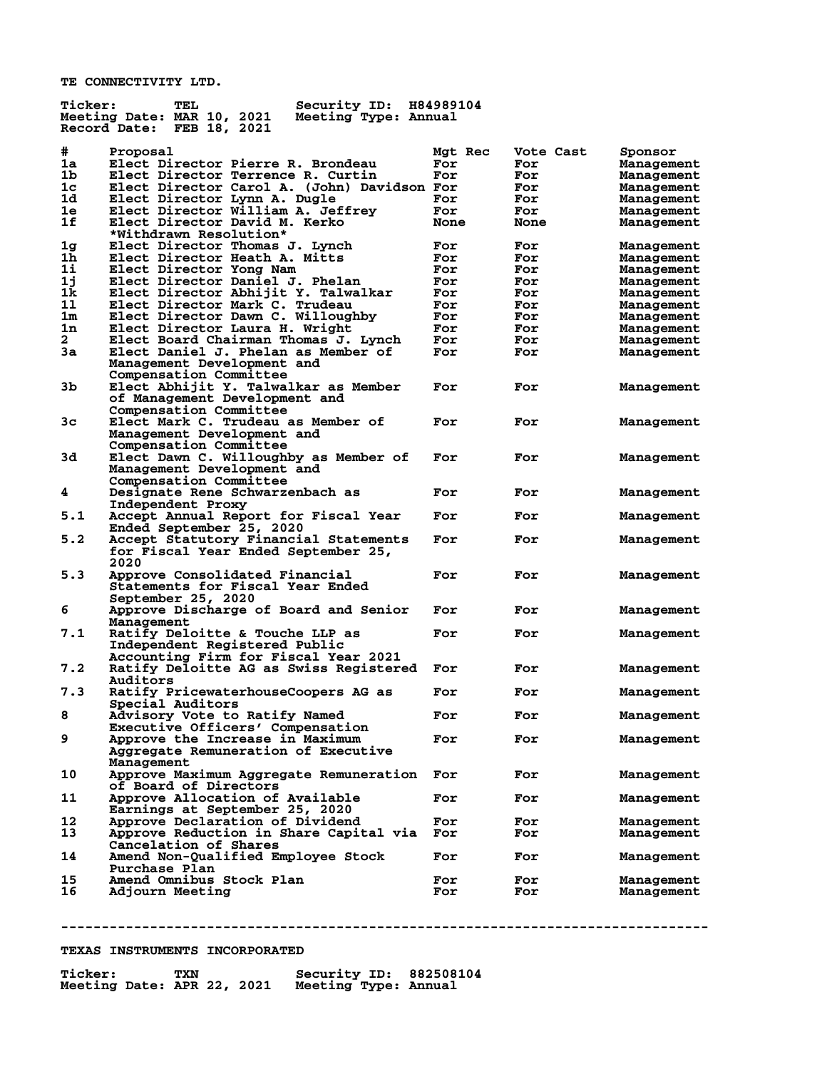**TE CONNECTIVITY LTD.**

| <b>Ticker:</b> | TEL<br>Security ID:                                | H84989104   |           |                   |
|----------------|----------------------------------------------------|-------------|-----------|-------------------|
|                | Meeting Date: MAR 10, 2021<br>Meeting Type: Annual |             |           |                   |
|                | Record Date:<br>FEB 18, 2021                       |             |           |                   |
|                |                                                    |             |           |                   |
| #              | Proposal                                           | Mgt Rec     | Vote Cast | Sponsor           |
| 1a             | Elect Director Pierre R. Brondeau                  | For         | For       | <b>Management</b> |
| 1b             | Elect Director Terrence R. Curtin                  | For         | For       | <b>Management</b> |
| 1c             | Elect Director Carol A. (John) Davidson For        |             | For       | <b>Management</b> |
| 1d.            | Elect Director Lynn A. Dugle                       | For         | For       | <b>Management</b> |
| 1e             | Elect Director William A. Jeffrey                  | For         | For       | <b>Management</b> |
| 1f             | Elect Director David M. Kerko                      | <b>None</b> | None      | <b>Management</b> |
|                | *Withdrawn Resolution*                             |             |           |                   |
| 1g             | Elect Director Thomas J. Lynch                     | For         | For       | <b>Management</b> |
| 1 <sub>h</sub> | Elect Director Heath A. Mitts                      | For         | For       | <b>Management</b> |
| 1i             | Elect Director Yong Nam                            | For         | For       | Management        |
| 1j             | Elect Director Daniel J. Phelan                    | For         | For       |                   |
| 1k             | Elect Director Abhijit Y. Talwalkar                |             |           | <b>Management</b> |
|                |                                                    | For         | For       | <b>Management</b> |
| 11             | Elect Director Mark C. Trudeau                     | For         | For       | <b>Management</b> |
| 1 <sub>m</sub> | Elect Director Dawn C. Willoughby                  | For         | For       | <b>Management</b> |
| 1n             | Elect Director Laura H. Wright                     | For         | For       | <b>Management</b> |
| $\mathbf{2}$   | Elect Board Chairman Thomas J. Lynch               | For         | For       | <b>Management</b> |
| 3a             | Elect Daniel J. Phelan as Member of                | For         | For       | <b>Management</b> |
|                | Management Development and                         |             |           |                   |
|                | Compensation Committee                             |             |           |                   |
| 3b             | Elect Abhijit Y. Talwalkar as Member               | For         | For       | Management        |
|                | of Management Development and                      |             |           |                   |
|                | Compensation Committee                             |             |           |                   |
| 3 <sub>c</sub> | Elect Mark C. Trudeau as Member of                 | For         | For       | <b>Management</b> |
|                | Management Development and                         |             |           |                   |
|                | Compensation Committee                             |             |           |                   |
| 3d             | Elect Dawn C. Willoughby as Member of              | For         | For       | Management        |
|                | Management Development and                         |             |           |                   |
|                | Compensation Committee                             |             |           |                   |
| 4              |                                                    | For         | For       |                   |
|                | Designate Rene Schwarzenbach as                    |             |           | <b>Management</b> |
|                | Independent Proxy                                  |             |           |                   |
| 5.1            | Accept Annual Report for Fiscal Year               | For         | For       | <b>Management</b> |
|                | Ended September 25, 2020                           |             |           |                   |
| 5.2            | Accept Statutory Financial Statements              | For         | For       | <b>Management</b> |
|                | for Fiscal Year Ended September 25,                |             |           |                   |
|                | 2020                                               |             |           |                   |
| 5.3            | Approve Consolidated Financial                     | For         | For       | <b>Management</b> |
|                | Statements for Fiscal Year Ended                   |             |           |                   |
|                | September 25, 2020                                 |             |           |                   |
| 6              | Approve Discharge of Board and Senior              | For         | For       | <b>Management</b> |
|                | Management                                         |             |           |                   |
| 7.1            | Ratify Deloitte & Touche LLP as                    | For         | For       | Management        |
|                | Independent Registered Public                      |             |           |                   |
|                | Accounting Firm for Fiscal Year 2021               |             |           |                   |
| 7.2            | Ratify Deloitte AG as Swiss Registered             | For         | For       | Management        |
|                | <b>Auditors</b>                                    |             |           |                   |
| 7.3            | Ratify PricewaterhouseCoopers AG as                | For         | For       | <b>Management</b> |
|                | Special Auditors                                   |             |           |                   |
| 8              | Advisory Vote to Ratify Named                      | For         | For       | Management        |
|                | Executive Officers' Compensation                   |             |           |                   |
|                |                                                    |             |           |                   |
| 9              | Approve the Increase in Maximum                    | For         | For       | <b>Management</b> |
|                | Aggregate Remuneration of Executive                |             |           |                   |
|                | Management                                         |             |           |                   |
| 10             | Approve Maximum Aggregate Remuneration             | For         | For       | Management        |
|                | of Board of Directors                              |             |           |                   |
| 11             | Approve Allocation of Available                    | For         | For       | <b>Management</b> |
|                | Earnings at September 25, 2020                     |             |           |                   |
| 12             | Approve Declaration of Dividend                    | For         | For       | Management        |
| 13             | Approve Reduction in Share Capital via             | For         | For       | Management        |
|                | Cancelation of Shares                              |             |           |                   |
| 14             | Amend Non-Qualified Employee Stock                 | For         | For       | Management        |
|                | Purchase Plan                                      |             |           |                   |
| 15             | Amend Omnibus Stock Plan                           | For         | For       | Management        |
| 16             | Adjourn Meeting                                    | For         | For       | Management        |
|                |                                                    |             |           |                   |

**--------------------------------------------------------------------------------**

### **TEXAS INSTRUMENTS INCORPORATED**

| <b>Ticker:</b>             | TXN |  |                      | <b>Security ID: 882508104</b> |
|----------------------------|-----|--|----------------------|-------------------------------|
| Meeting Date: APR 22, 2021 |     |  | Meeting Type: Annual |                               |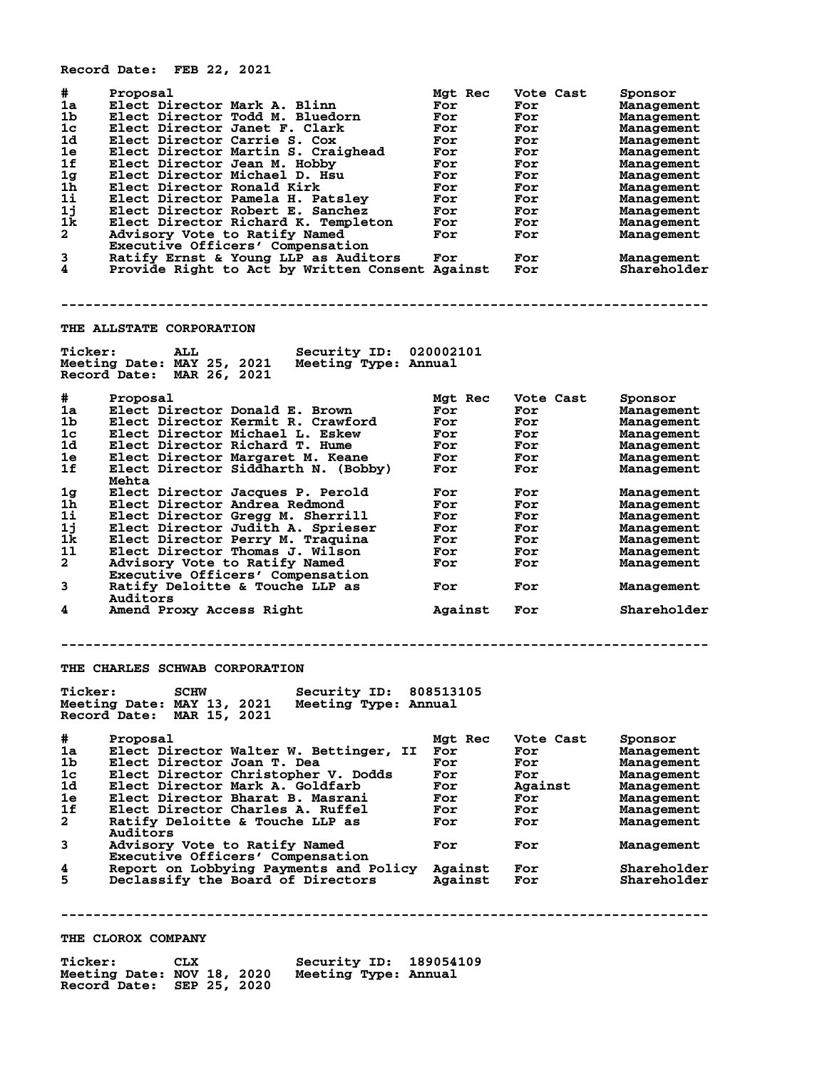**Record Date: FEB 22, 2021**

| #<br>Proposal<br>1a<br>Elect Director Mark A. Blinn<br>1b<br>Elect Director Todd M. Bluedorn<br>1c<br>Elect Director Janet F. Clark<br>1d<br>Elect Director Carrie S. Cox<br>1e<br>Elect Director Martin S. Craighead<br>1f<br>Elect Director Jean M. Hobby<br>1 <sub>g</sub><br>Elect Director Michael D. Hsu<br>1h<br>Elect Director Ronald Kirk<br>1i<br>Elect Director Pamela H. Patsley<br>1j<br>Elect Director Robert E. Sanchez<br>1k<br>Elect Director Richard K. Templeton<br>$\overline{a}$<br>Advisory Vote to Ratify Named<br>Executive Officers' Compensation<br>3<br>Ratify Ernst & Young LLP as Auditors<br>Provide Right to Act by Written Consent Against For<br>4 | Mgt Rec<br>For<br>For<br>For<br>For<br>For<br>For<br>For<br>For<br>For<br>For<br>For<br>For<br>For | Vote Cast<br>For<br>For<br>For<br>For<br>For<br>For<br>For<br>For<br>For<br>For<br>For<br>For<br>For | Sponsor<br>Management<br><b>Management</b><br>Management<br>Management<br>Management<br>Management<br>Management<br>Management<br>Management<br>Management<br>Management<br>Management<br><b>Management</b><br>Shareholder |
|-------------------------------------------------------------------------------------------------------------------------------------------------------------------------------------------------------------------------------------------------------------------------------------------------------------------------------------------------------------------------------------------------------------------------------------------------------------------------------------------------------------------------------------------------------------------------------------------------------------------------------------------------------------------------------------|----------------------------------------------------------------------------------------------------|------------------------------------------------------------------------------------------------------|----------------------------------------------------------------------------------------------------------------------------------------------------------------------------------------------------------------------------|
|                                                                                                                                                                                                                                                                                                                                                                                                                                                                                                                                                                                                                                                                                     |                                                                                                    |                                                                                                      |                                                                                                                                                                                                                            |
| <b>THE ALLSTATE CORPORATION</b>                                                                                                                                                                                                                                                                                                                                                                                                                                                                                                                                                                                                                                                     |                                                                                                    |                                                                                                      |                                                                                                                                                                                                                            |
| <b>Ticker:</b><br>Security ID: 020002101<br>ALL<br>Meeting Date: MAY 25, 2021<br>Meeting Type: Annual<br>Record Date: MAR 26, 2021                                                                                                                                                                                                                                                                                                                                                                                                                                                                                                                                                  |                                                                                                    |                                                                                                      |                                                                                                                                                                                                                            |
| #<br>Proposal                                                                                                                                                                                                                                                                                                                                                                                                                                                                                                                                                                                                                                                                       | Mgt Rec                                                                                            | Vote Cast                                                                                            | Sponsor                                                                                                                                                                                                                    |
| 1a<br>Elect Director Donald E. Brown                                                                                                                                                                                                                                                                                                                                                                                                                                                                                                                                                                                                                                                | For                                                                                                | For                                                                                                  | Management                                                                                                                                                                                                                 |
| Elect Director Kermit R. Crawford<br>1b                                                                                                                                                                                                                                                                                                                                                                                                                                                                                                                                                                                                                                             | For                                                                                                | For                                                                                                  | Management                                                                                                                                                                                                                 |
| Elect Director Michael L. Eskew<br>1c<br>1d                                                                                                                                                                                                                                                                                                                                                                                                                                                                                                                                                                                                                                         | For                                                                                                | For                                                                                                  | Management                                                                                                                                                                                                                 |
| Elect Director Richard T. Hume<br>1e<br>Elect Director Margaret M. Keane                                                                                                                                                                                                                                                                                                                                                                                                                                                                                                                                                                                                            | For<br>For                                                                                         | For<br>For                                                                                           | Management<br>Management                                                                                                                                                                                                   |
| 1f<br>Elect Director Siddharth N. (Bobby)                                                                                                                                                                                                                                                                                                                                                                                                                                                                                                                                                                                                                                           | For                                                                                                | For                                                                                                  | Management                                                                                                                                                                                                                 |
| Mehta                                                                                                                                                                                                                                                                                                                                                                                                                                                                                                                                                                                                                                                                               |                                                                                                    |                                                                                                      |                                                                                                                                                                                                                            |
| Elect Director Jacques P. Perold<br>1g                                                                                                                                                                                                                                                                                                                                                                                                                                                                                                                                                                                                                                              | For                                                                                                | For                                                                                                  | <b>Management</b>                                                                                                                                                                                                          |
| 1h<br>Elect Director Andrea Redmond                                                                                                                                                                                                                                                                                                                                                                                                                                                                                                                                                                                                                                                 | For                                                                                                | For                                                                                                  | Management                                                                                                                                                                                                                 |
| 11<br>Elect Director Gregg M. Sherrill                                                                                                                                                                                                                                                                                                                                                                                                                                                                                                                                                                                                                                              | For                                                                                                | For                                                                                                  | Management                                                                                                                                                                                                                 |
| 1j<br>Elect Director Judith A. Sprieser                                                                                                                                                                                                                                                                                                                                                                                                                                                                                                                                                                                                                                             | For                                                                                                | For                                                                                                  | Management                                                                                                                                                                                                                 |
| 1k<br>Elect Director Perry M. Traquina                                                                                                                                                                                                                                                                                                                                                                                                                                                                                                                                                                                                                                              | For                                                                                                | For                                                                                                  | Management                                                                                                                                                                                                                 |
| 11<br>Elect Director Thomas J. Wilson<br>$\mathbf{2}$                                                                                                                                                                                                                                                                                                                                                                                                                                                                                                                                                                                                                               | For                                                                                                | For                                                                                                  | Management                                                                                                                                                                                                                 |
| Advisory Vote to Ratify Named<br>Executive Officers' Compensation                                                                                                                                                                                                                                                                                                                                                                                                                                                                                                                                                                                                                   | For                                                                                                | For                                                                                                  | Management                                                                                                                                                                                                                 |
| 3<br>Ratify Deloitte & Touche LLP as                                                                                                                                                                                                                                                                                                                                                                                                                                                                                                                                                                                                                                                | For                                                                                                | For                                                                                                  | Management                                                                                                                                                                                                                 |
| Auditors                                                                                                                                                                                                                                                                                                                                                                                                                                                                                                                                                                                                                                                                            |                                                                                                    |                                                                                                      |                                                                                                                                                                                                                            |
| 4<br>Amend Proxy Access Right                                                                                                                                                                                                                                                                                                                                                                                                                                                                                                                                                                                                                                                       | Against                                                                                            | For                                                                                                  | Shareholder                                                                                                                                                                                                                |
| THE CHARLES SCHWAB CORPORATION<br><b>Ticker:</b><br><b>SCHW</b><br>Security ID: 808513105                                                                                                                                                                                                                                                                                                                                                                                                                                                                                                                                                                                           |                                                                                                    |                                                                                                      |                                                                                                                                                                                                                            |
| Meeting Date: MAY 13, 2021<br>Meeting Type: Annual<br>Record Date: MAR 15, 2021                                                                                                                                                                                                                                                                                                                                                                                                                                                                                                                                                                                                     |                                                                                                    |                                                                                                      |                                                                                                                                                                                                                            |
| #<br>Proposal                                                                                                                                                                                                                                                                                                                                                                                                                                                                                                                                                                                                                                                                       | Mgt Rec                                                                                            | Vote Cast                                                                                            | Sponsor                                                                                                                                                                                                                    |
| Elect Director Walter W. Bettinger, II<br>1a                                                                                                                                                                                                                                                                                                                                                                                                                                                                                                                                                                                                                                        | For                                                                                                | For                                                                                                  | Management                                                                                                                                                                                                                 |
| 1b.<br>Elect Director Joan T. Dea                                                                                                                                                                                                                                                                                                                                                                                                                                                                                                                                                                                                                                                   | For                                                                                                | For                                                                                                  | Management                                                                                                                                                                                                                 |
| Elect Director Christopher V. Dodds<br>1c<br>Elect Director Mark A. Goldfarb<br>1d                                                                                                                                                                                                                                                                                                                                                                                                                                                                                                                                                                                                  | For<br>For                                                                                         | For<br>Against                                                                                       | Management<br>Management                                                                                                                                                                                                   |
| 1e<br>Elect Director Bharat B. Masrani                                                                                                                                                                                                                                                                                                                                                                                                                                                                                                                                                                                                                                              | For                                                                                                | For                                                                                                  | Management                                                                                                                                                                                                                 |
| 1f<br>Elect Director Charles A. Ruffel                                                                                                                                                                                                                                                                                                                                                                                                                                                                                                                                                                                                                                              | For                                                                                                | For                                                                                                  | Management                                                                                                                                                                                                                 |
| $\mathbf{2}$<br>Ratify Deloitte & Touche LLP as                                                                                                                                                                                                                                                                                                                                                                                                                                                                                                                                                                                                                                     | For                                                                                                | For                                                                                                  | Management                                                                                                                                                                                                                 |
| Auditors                                                                                                                                                                                                                                                                                                                                                                                                                                                                                                                                                                                                                                                                            |                                                                                                    |                                                                                                      |                                                                                                                                                                                                                            |
| 3<br>Advisory Vote to Ratify Named<br>Executive Officers' Compensation                                                                                                                                                                                                                                                                                                                                                                                                                                                                                                                                                                                                              | For                                                                                                | For                                                                                                  | Management                                                                                                                                                                                                                 |
| 4<br>Report on Lobbying Payments and Policy                                                                                                                                                                                                                                                                                                                                                                                                                                                                                                                                                                                                                                         | Against                                                                                            | For                                                                                                  | Shareholder                                                                                                                                                                                                                |
| 5<br>Declassify the Board of Directors                                                                                                                                                                                                                                                                                                                                                                                                                                                                                                                                                                                                                                              | Against                                                                                            | For                                                                                                  | Shareholder                                                                                                                                                                                                                |
|                                                                                                                                                                                                                                                                                                                                                                                                                                                                                                                                                                                                                                                                                     |                                                                                                    |                                                                                                      |                                                                                                                                                                                                                            |
|                                                                                                                                                                                                                                                                                                                                                                                                                                                                                                                                                                                                                                                                                     |                                                                                                    |                                                                                                      |                                                                                                                                                                                                                            |
| THE CLOROX COMPANY                                                                                                                                                                                                                                                                                                                                                                                                                                                                                                                                                                                                                                                                  |                                                                                                    |                                                                                                      |                                                                                                                                                                                                                            |

| <b>Ticker:</b><br>CLX<br>Meeting Date: NOV 18, 2020<br>Record Date: SEP 25, 2020 | Security ID: 189054109<br>Meeting Type: Annual |
|----------------------------------------------------------------------------------|------------------------------------------------|
|----------------------------------------------------------------------------------|------------------------------------------------|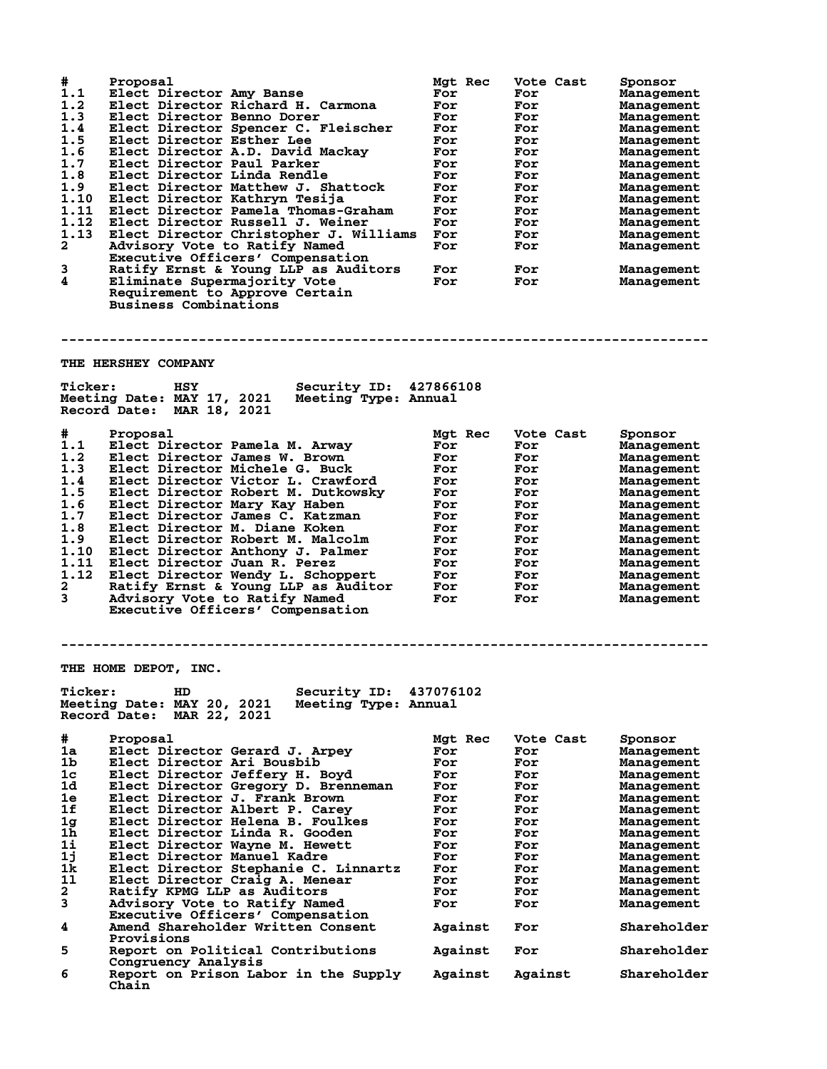| #<br>1.1<br>1.2<br>1.3<br>1.4<br>1.5<br>1.6<br>1.7<br>1.8<br>1.9<br>1.10<br>1.11<br>1.12<br>1.13<br>$\mathbf{2}$<br>3<br>4 | Proposal<br>Elect Director Amy Banse<br>Elect Director Richard H. Carmona<br>Elect Director Benno Dorer<br>Elect Director Spencer C. Fleischer<br>Elect Director Esther Lee<br>Elect Director A.D. David Mackay<br>Elect Director Paul Parker<br>Elect Director Linda Rendle<br>Elect Director Matthew J. Shattock<br>Elect Director Kathryn Tesija<br>Elect Director Pamela Thomas-Graham<br>Elect Director Russell J. Weiner<br>Elect Director Christopher J. Williams<br>Advisory Vote to Ratify Named<br>Executive Officers' Compensation<br>Ratify Ernst & Young LLP as Auditors<br>Eliminate Supermajority Vote<br>Requirement to Approve Certain<br><b>Business Combinations</b> | Mgt Rec<br>For<br>For<br>For<br>For<br>For<br>For<br>For<br>For<br>For<br>For<br>For<br>For<br>For<br>For<br>For<br>For | Vote Cast<br>For<br>For<br>For<br>For<br>For<br>For<br>For<br>For<br>For<br>For<br>For<br>For<br>For<br>For<br>For<br>For | Sponsor<br>Management<br>Management<br>Management<br>Management<br>Management<br>Management<br>Management<br>Management<br>Management<br>Management<br>Management<br>Management<br>Management<br>Management<br>Management<br>Management |
|----------------------------------------------------------------------------------------------------------------------------|-----------------------------------------------------------------------------------------------------------------------------------------------------------------------------------------------------------------------------------------------------------------------------------------------------------------------------------------------------------------------------------------------------------------------------------------------------------------------------------------------------------------------------------------------------------------------------------------------------------------------------------------------------------------------------------------|-------------------------------------------------------------------------------------------------------------------------|---------------------------------------------------------------------------------------------------------------------------|-----------------------------------------------------------------------------------------------------------------------------------------------------------------------------------------------------------------------------------------|
|                                                                                                                            |                                                                                                                                                                                                                                                                                                                                                                                                                                                                                                                                                                                                                                                                                         |                                                                                                                         |                                                                                                                           |                                                                                                                                                                                                                                         |
|                                                                                                                            | <b>THE HERSHEY COMPANY</b>                                                                                                                                                                                                                                                                                                                                                                                                                                                                                                                                                                                                                                                              |                                                                                                                         |                                                                                                                           |                                                                                                                                                                                                                                         |
| <b>Ticker:</b>                                                                                                             | Security ID: 427866108<br><b>HSY</b><br>Meeting Date: MAY 17, 2021<br>Meeting Type: Annual<br>Record Date: MAR 18, 2021                                                                                                                                                                                                                                                                                                                                                                                                                                                                                                                                                                 |                                                                                                                         |                                                                                                                           |                                                                                                                                                                                                                                         |
| #                                                                                                                          | Proposal                                                                                                                                                                                                                                                                                                                                                                                                                                                                                                                                                                                                                                                                                | Mgt Rec                                                                                                                 | Vote Cast                                                                                                                 | Sponsor                                                                                                                                                                                                                                 |
| 1.1                                                                                                                        | Elect Director Pamela M. Arway                                                                                                                                                                                                                                                                                                                                                                                                                                                                                                                                                                                                                                                          | For                                                                                                                     | For                                                                                                                       | Management                                                                                                                                                                                                                              |
| 1.2<br>1.3                                                                                                                 | Elect Director James W. Brown<br>Elect Director Michele G. Buck                                                                                                                                                                                                                                                                                                                                                                                                                                                                                                                                                                                                                         | For<br>For                                                                                                              | For<br>For                                                                                                                | Management                                                                                                                                                                                                                              |
| 1.4                                                                                                                        | Elect Director Victor L. Crawford                                                                                                                                                                                                                                                                                                                                                                                                                                                                                                                                                                                                                                                       | For                                                                                                                     | For                                                                                                                       | Management<br>Management                                                                                                                                                                                                                |
| 1.5                                                                                                                        | Elect Director Robert M. Dutkowsky                                                                                                                                                                                                                                                                                                                                                                                                                                                                                                                                                                                                                                                      | For                                                                                                                     | For                                                                                                                       | Management                                                                                                                                                                                                                              |
| 1.6                                                                                                                        | Elect Director Mary Kay Haben                                                                                                                                                                                                                                                                                                                                                                                                                                                                                                                                                                                                                                                           | For                                                                                                                     | For                                                                                                                       | Management                                                                                                                                                                                                                              |
| 1.7                                                                                                                        | Elect Director James C. Katzman                                                                                                                                                                                                                                                                                                                                                                                                                                                                                                                                                                                                                                                         | For                                                                                                                     | For                                                                                                                       | Management                                                                                                                                                                                                                              |
| 1.8                                                                                                                        | Elect Director M. Diane Koken                                                                                                                                                                                                                                                                                                                                                                                                                                                                                                                                                                                                                                                           | For                                                                                                                     | For                                                                                                                       | Management                                                                                                                                                                                                                              |
| 1.9                                                                                                                        | Elect Director Robert M. Malcolm                                                                                                                                                                                                                                                                                                                                                                                                                                                                                                                                                                                                                                                        | For                                                                                                                     | For                                                                                                                       | Management                                                                                                                                                                                                                              |
| 1.10<br>1.11                                                                                                               | Elect Director Anthony J. Palmer<br>Elect Director Juan R. Perez                                                                                                                                                                                                                                                                                                                                                                                                                                                                                                                                                                                                                        | For<br>For                                                                                                              | For<br>For                                                                                                                | Management<br>Management                                                                                                                                                                                                                |
| 1.12                                                                                                                       | Elect Director Wendy L. Schoppert                                                                                                                                                                                                                                                                                                                                                                                                                                                                                                                                                                                                                                                       | For                                                                                                                     | For                                                                                                                       | Management                                                                                                                                                                                                                              |
| 2                                                                                                                          | Ratify Ernst & Young LLP as Auditor                                                                                                                                                                                                                                                                                                                                                                                                                                                                                                                                                                                                                                                     | For                                                                                                                     | For                                                                                                                       | Management                                                                                                                                                                                                                              |
| 3                                                                                                                          | Advisory Vote to Ratify Named                                                                                                                                                                                                                                                                                                                                                                                                                                                                                                                                                                                                                                                           | For                                                                                                                     | For                                                                                                                       | Management                                                                                                                                                                                                                              |
|                                                                                                                            | Executive Officers' Compensation                                                                                                                                                                                                                                                                                                                                                                                                                                                                                                                                                                                                                                                        |                                                                                                                         |                                                                                                                           |                                                                                                                                                                                                                                         |
|                                                                                                                            |                                                                                                                                                                                                                                                                                                                                                                                                                                                                                                                                                                                                                                                                                         |                                                                                                                         |                                                                                                                           |                                                                                                                                                                                                                                         |
|                                                                                                                            |                                                                                                                                                                                                                                                                                                                                                                                                                                                                                                                                                                                                                                                                                         |                                                                                                                         |                                                                                                                           |                                                                                                                                                                                                                                         |
|                                                                                                                            | THE HOME DEPOT, INC.                                                                                                                                                                                                                                                                                                                                                                                                                                                                                                                                                                                                                                                                    |                                                                                                                         |                                                                                                                           |                                                                                                                                                                                                                                         |
| <b>Ticker:</b>                                                                                                             | Security ID:<br>HD                                                                                                                                                                                                                                                                                                                                                                                                                                                                                                                                                                                                                                                                      | 437076102                                                                                                               |                                                                                                                           |                                                                                                                                                                                                                                         |
|                                                                                                                            | Meeting Date: MAY 20, 2021<br>Meeting Type: Annual                                                                                                                                                                                                                                                                                                                                                                                                                                                                                                                                                                                                                                      |                                                                                                                         |                                                                                                                           |                                                                                                                                                                                                                                         |
|                                                                                                                            | Record Date:<br>MAR 22, 2021                                                                                                                                                                                                                                                                                                                                                                                                                                                                                                                                                                                                                                                            |                                                                                                                         |                                                                                                                           |                                                                                                                                                                                                                                         |
| #                                                                                                                          | Proposal                                                                                                                                                                                                                                                                                                                                                                                                                                                                                                                                                                                                                                                                                | Mgt Rec                                                                                                                 | Vote Cast                                                                                                                 | Sponsor                                                                                                                                                                                                                                 |
| 1a                                                                                                                         | Elect Director Gerard J. Arpey                                                                                                                                                                                                                                                                                                                                                                                                                                                                                                                                                                                                                                                          | For                                                                                                                     | For                                                                                                                       | Management                                                                                                                                                                                                                              |
| 1b                                                                                                                         | Elect Director Ari Bousbib                                                                                                                                                                                                                                                                                                                                                                                                                                                                                                                                                                                                                                                              | For                                                                                                                     | For                                                                                                                       | Management                                                                                                                                                                                                                              |
| 1 <sub>c</sub>                                                                                                             | Elect Director Jeffery H. Boyd                                                                                                                                                                                                                                                                                                                                                                                                                                                                                                                                                                                                                                                          | For                                                                                                                     | For                                                                                                                       | Management                                                                                                                                                                                                                              |
| 1d                                                                                                                         | Elect Director Gregory D. Brenneman                                                                                                                                                                                                                                                                                                                                                                                                                                                                                                                                                                                                                                                     | For                                                                                                                     | For                                                                                                                       | Management                                                                                                                                                                                                                              |
| 1e                                                                                                                         | Elect Director J. Frank Brown                                                                                                                                                                                                                                                                                                                                                                                                                                                                                                                                                                                                                                                           | For                                                                                                                     | For                                                                                                                       | Management                                                                                                                                                                                                                              |
| 1f                                                                                                                         | Elect Director Albert P. Carey                                                                                                                                                                                                                                                                                                                                                                                                                                                                                                                                                                                                                                                          | For                                                                                                                     | For                                                                                                                       | Management                                                                                                                                                                                                                              |
| 1 <sub>g</sub><br>1h                                                                                                       | Elect Director Helena B. Foulkes<br>Elect Director Linda R. Gooden                                                                                                                                                                                                                                                                                                                                                                                                                                                                                                                                                                                                                      | For<br>For                                                                                                              | For<br>For                                                                                                                | Management                                                                                                                                                                                                                              |
| 1i                                                                                                                         | Elect Director Wayne M. Hewett                                                                                                                                                                                                                                                                                                                                                                                                                                                                                                                                                                                                                                                          | For                                                                                                                     | For                                                                                                                       | Management<br>Management                                                                                                                                                                                                                |
| 1j                                                                                                                         | Elect Director Manuel Kadre                                                                                                                                                                                                                                                                                                                                                                                                                                                                                                                                                                                                                                                             | For                                                                                                                     | For                                                                                                                       | Management                                                                                                                                                                                                                              |
| 1k                                                                                                                         | Elect Director Stephanie C. Linnartz                                                                                                                                                                                                                                                                                                                                                                                                                                                                                                                                                                                                                                                    | For                                                                                                                     | For                                                                                                                       | Management                                                                                                                                                                                                                              |
| 11                                                                                                                         | Elect Director Craig A. Menear                                                                                                                                                                                                                                                                                                                                                                                                                                                                                                                                                                                                                                                          | For                                                                                                                     | For                                                                                                                       | Management                                                                                                                                                                                                                              |
| 2                                                                                                                          | Ratify KPMG LLP as Auditors                                                                                                                                                                                                                                                                                                                                                                                                                                                                                                                                                                                                                                                             | For                                                                                                                     | For                                                                                                                       | Management                                                                                                                                                                                                                              |
| 3                                                                                                                          | Advisory Vote to Ratify Named                                                                                                                                                                                                                                                                                                                                                                                                                                                                                                                                                                                                                                                           | For                                                                                                                     | For                                                                                                                       | Management                                                                                                                                                                                                                              |
| 4                                                                                                                          | Executive Officers' Compensation<br>Amend Shareholder Written Consent                                                                                                                                                                                                                                                                                                                                                                                                                                                                                                                                                                                                                   | Against                                                                                                                 | For                                                                                                                       | Shareholder                                                                                                                                                                                                                             |
|                                                                                                                            | Provisions                                                                                                                                                                                                                                                                                                                                                                                                                                                                                                                                                                                                                                                                              |                                                                                                                         |                                                                                                                           |                                                                                                                                                                                                                                         |
| 5                                                                                                                          | Report on Political Contributions                                                                                                                                                                                                                                                                                                                                                                                                                                                                                                                                                                                                                                                       | Against                                                                                                                 | For                                                                                                                       | Shareholder                                                                                                                                                                                                                             |
| 6                                                                                                                          | Congruency Analysis<br>Report on Prison Labor in the Supply<br>Chain                                                                                                                                                                                                                                                                                                                                                                                                                                                                                                                                                                                                                    | Against                                                                                                                 | Against                                                                                                                   | Shareholder                                                                                                                                                                                                                             |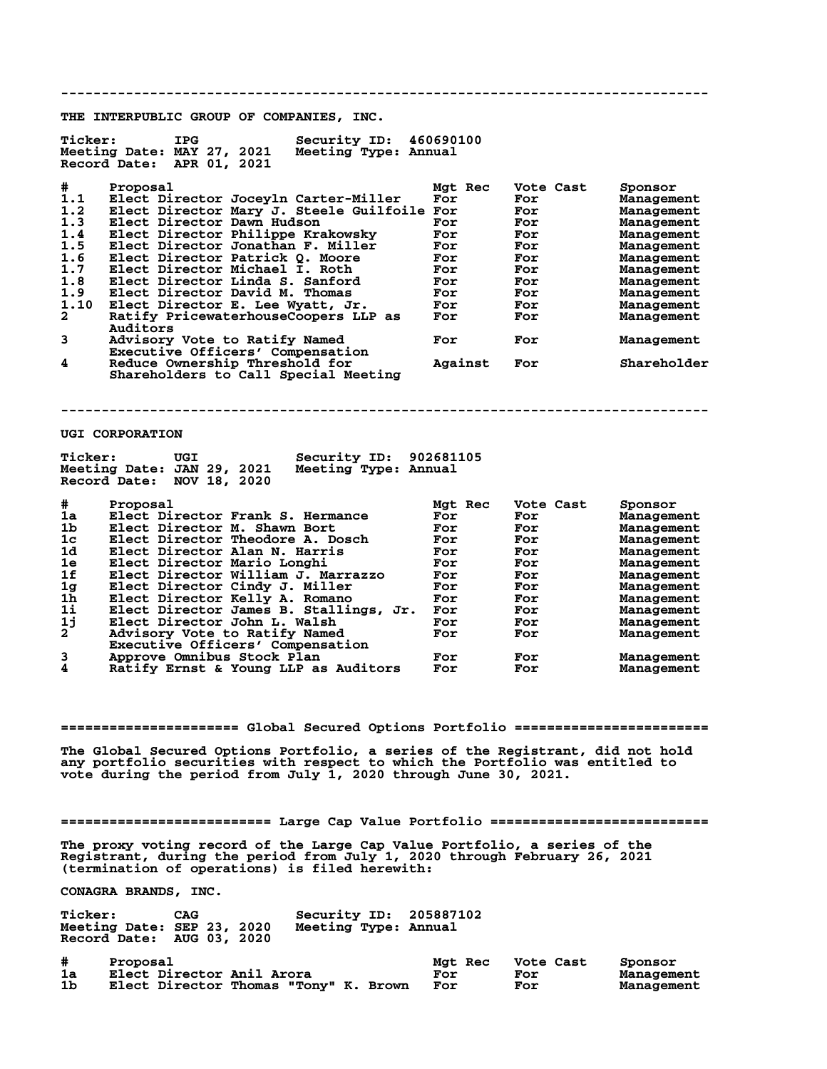**-------------------------------------------------------------------------------- THE INTERPUBLIC GROUP OF COMPANIES, INC. Ticker: IPG Security ID: 460690100 Meeting Date: MAY 27, 2021 Meeting Type: Annual Record Date: APR 01, 2021 # Proposal Mgt Rec Vote Cast Sponsor 1.1 Elect Director Joceyln Carter-Miller For For Management 1.2 Elect Director Mary J. Steele Guilfoile For For Management 1.3 Elect Director Dawn Hudson For For Management 1.4 Elect Director Philippe Krakowsky For For Management 1.5 Elect Director Jonathan F. Miller For For Management 1.6 Elect Director Patrick Q. Moore For For Management 1.7 Elect Director Michael I. Roth For For Management 1.8 Elect Director Linda S. Sanford For For Management 1.9 Elect Director David M. Thomas For For Management 1.10 Elect Director E. Lee Wyatt, Jr. For For Management 2 Ratify PricewaterhouseCoopers LLP as For For Management Auditors 3 Advisory Vote to Ratify Named For For Management Executive Officers' Compensation**<br>4 Reduce Ownership Threshold for **4 Reduce Ownership Threshold for Against For Shareholder Shareholders to Call Special Meeting -------------------------------------------------------------------------------- UGI CORPORATION** Ticker: UGI Security ID: 902681105<br>Meeting Date: JAN 29, 2021 Meeting Type: Annual **Meeting Date: JAN 29, 2021 Record Date: NOV 18, 2020 # Proposal Mgt Rec Vote Cast Sponsor 1a Elect Director Frank S. Hermance For For Management 1b Elect Director M. Shawn Bort For For Management 1c Elect Director Theodore A. Dosch For For Management 1d Elect Director Alan N. Harris For For Management 1e Elect Director Mario Longhi For For Management 1f Elect Director William J. Marrazzo For For Management 1g Elect Director Cindy J. Miller For For Management 1h Elect Director Kelly A. Romano For For Management 1i Elect Director James B. Stallings, Jr. For For Management 1j Elect Director John L. Walsh For For Management 2 Advisory Vote to Ratify Named For For Management Executive Officers' Compensation 3 Approve Omnibus Stock Plan For For Management** Ratify Ernst & Young LLP as Auditors **====================== Global Secured Options Portfolio ======================== The Global Secured Options Portfolio, a series of the Registrant, did not hold any portfolio securities with respect to which the Portfolio was entitled to vote during the period from July 1, 2020 through June 30, 2021. ========================== Large Cap Value Portfolio =========================== The proxy voting record of the Large Cap Value Portfolio, a series of the Registrant, during the period from July 1, 2020 through February 26, 2021 (termination of operations) is filed herewith: CONAGRA BRANDS, INC.** Ticker: CAG Security ID: 205887102<br>Meeting Date: SEP 23, 2020 Meeting Type: Annual **Meeting Date: SEP 23, 2020 Meeting Type: Annual Record Date: AUG 03, 2020 # Proposal Mgt Rec Vote Cast Sponsor 1a Elect Director Anil Arora For For Management**

**Elect Director Thomas "Tony" K. Brown For**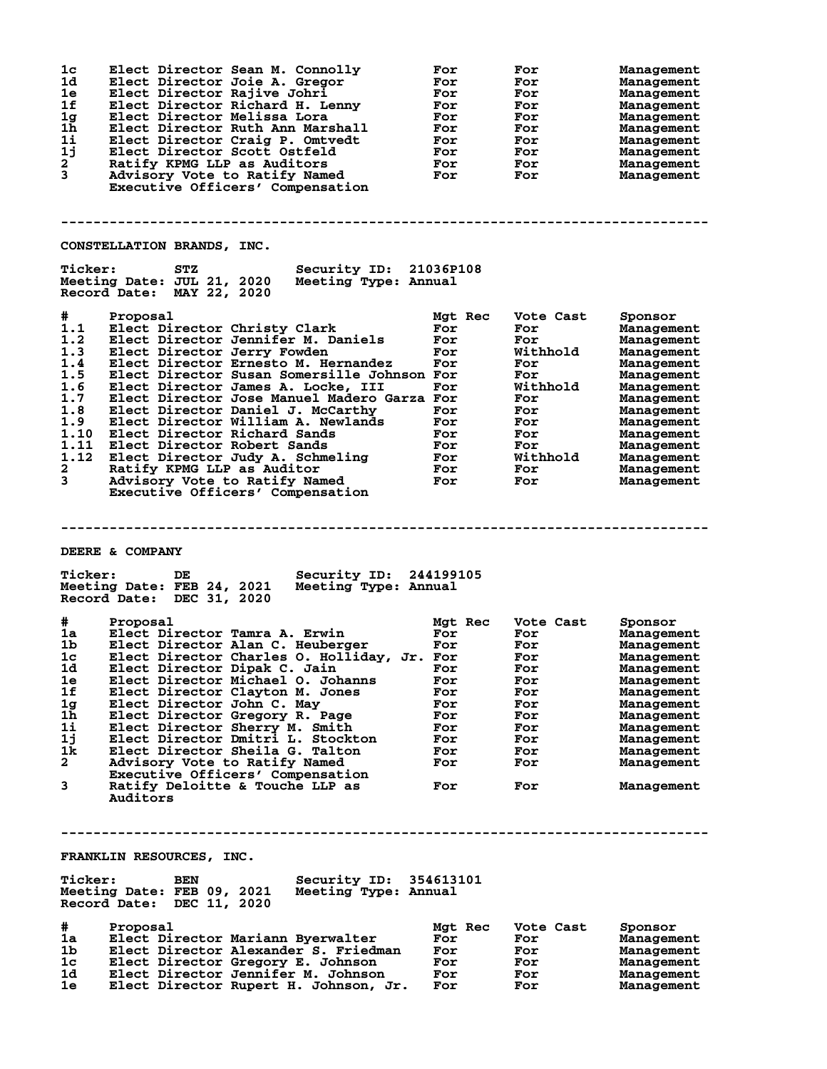| 1 <sub>c</sub><br>1d<br>1e<br>1f<br>1g<br>1h<br>1i<br>1j<br>$\mathbf{2}^{-}$<br>3 | Elect Director Sean M. Connolly<br>Elect Director Joie A. Gregor<br>Elect Director Rajive Johri<br>Elect Director Richard H. Lenny<br>Elect Director Melissa Lora<br>Elect Director Ruth Ann Marshall<br>Elect Director Craig P. Omtvedt<br>Elect Director Scott Ostfeld<br>Ratify KPMG LLP as Auditors<br>Advisory Vote to Ratify Named<br>Executive Officers' Compensation | For<br>For<br>For<br>For<br>For<br>For<br>For<br>For<br>For<br>For | For<br>For<br>For<br>For<br>For<br>For<br>For<br>For<br>For<br>For | Management<br>Management<br>Management<br>Management<br>Management<br>Management<br>Management<br>Management<br>Management<br>Management |
|-----------------------------------------------------------------------------------|------------------------------------------------------------------------------------------------------------------------------------------------------------------------------------------------------------------------------------------------------------------------------------------------------------------------------------------------------------------------------|--------------------------------------------------------------------|--------------------------------------------------------------------|------------------------------------------------------------------------------------------------------------------------------------------|
|                                                                                   |                                                                                                                                                                                                                                                                                                                                                                              |                                                                    |                                                                    |                                                                                                                                          |
|                                                                                   | CONSTELLATION BRANDS, INC.                                                                                                                                                                                                                                                                                                                                                   |                                                                    |                                                                    |                                                                                                                                          |
| <b>Ticker:</b>                                                                    | Security ID: 21036P108<br><b>STZ</b><br>Meeting Date: JUL 21, 2020<br>Meeting Type: Annual<br>Record Date: MAY 22, 2020                                                                                                                                                                                                                                                      |                                                                    |                                                                    |                                                                                                                                          |
| #                                                                                 | Proposal                                                                                                                                                                                                                                                                                                                                                                     | Mgt Rec                                                            | Vote Cast                                                          | Sponsor                                                                                                                                  |
| 1.1                                                                               | Elect Director Christy Clark                                                                                                                                                                                                                                                                                                                                                 | For                                                                | For                                                                | Management                                                                                                                               |
| 1.2                                                                               | Elect Director Jennifer M. Daniels                                                                                                                                                                                                                                                                                                                                           | For                                                                | For                                                                | Management                                                                                                                               |
| 1.3                                                                               | Elect Director Jerry Fowden                                                                                                                                                                                                                                                                                                                                                  | For                                                                | Withhold                                                           | Management                                                                                                                               |
| 1.4<br>1.5                                                                        | Elect Director Ernesto M. Hernandez<br>Elect Director Susan Somersille Johnson For                                                                                                                                                                                                                                                                                           | For                                                                | For<br>For                                                         | Management<br>Management                                                                                                                 |
| 1.6                                                                               | Elect Director James A. Locke, III                                                                                                                                                                                                                                                                                                                                           | For                                                                | Withhold                                                           | Management                                                                                                                               |
| 1.7                                                                               | Elect Director Jose Manuel Madero Garza For                                                                                                                                                                                                                                                                                                                                  |                                                                    | For                                                                | Management                                                                                                                               |
| 1.8                                                                               | Elect Director Daniel J. McCarthy                                                                                                                                                                                                                                                                                                                                            | For                                                                | For                                                                | Management                                                                                                                               |
| 1.9                                                                               | Elect Director William A. Newlands                                                                                                                                                                                                                                                                                                                                           | For                                                                | For                                                                | Management                                                                                                                               |
| 1.10<br>1.11                                                                      | Elect Director Richard Sands<br>Elect Director Robert Sands                                                                                                                                                                                                                                                                                                                  | For<br>For                                                         | For<br>For                                                         | Management<br>Management                                                                                                                 |
| 1.12                                                                              | Elect Director Judy A. Schmeling                                                                                                                                                                                                                                                                                                                                             | For                                                                | Withhold                                                           | Management                                                                                                                               |
| $\mathbf{2}$                                                                      | Ratify KPMG LLP as Auditor                                                                                                                                                                                                                                                                                                                                                   | For                                                                | For                                                                | Management                                                                                                                               |
| 3                                                                                 | Advisory Vote to Ratify Named                                                                                                                                                                                                                                                                                                                                                | For                                                                | For                                                                | Management                                                                                                                               |
|                                                                                   | Executive Officers' Compensation                                                                                                                                                                                                                                                                                                                                             |                                                                    |                                                                    |                                                                                                                                          |
|                                                                                   |                                                                                                                                                                                                                                                                                                                                                                              |                                                                    |                                                                    |                                                                                                                                          |
| <b>Ticker:</b>                                                                    | DEERE & COMPANY<br>Security ID: 244199105<br>DE<br>Meeting Date: FEB 24, 2021<br>Meeting Type: Annual                                                                                                                                                                                                                                                                        |                                                                    |                                                                    |                                                                                                                                          |
|                                                                                   | Record Date: DEC 31, 2020                                                                                                                                                                                                                                                                                                                                                    |                                                                    |                                                                    |                                                                                                                                          |
|                                                                                   |                                                                                                                                                                                                                                                                                                                                                                              |                                                                    |                                                                    |                                                                                                                                          |
| #<br>1a                                                                           | Proposal<br>Elect Director Tamra A. Erwin                                                                                                                                                                                                                                                                                                                                    | Mgt Rec<br>For                                                     | Vote Cast<br>For                                                   | Sponsor<br>Management                                                                                                                    |
| 1b.                                                                               | Elect Director Alan C. Heuberger                                                                                                                                                                                                                                                                                                                                             | For                                                                | For                                                                | Management                                                                                                                               |
| 1c                                                                                | Elect Director Charles O. Holliday, Jr. For                                                                                                                                                                                                                                                                                                                                  |                                                                    | For                                                                | Management                                                                                                                               |
| 1d                                                                                | Elect Director Dipak C. Jain<br>$\overline{\text{For}}$                                                                                                                                                                                                                                                                                                                      |                                                                    | For                                                                | Management                                                                                                                               |
| 1e<br>1f                                                                          | Elect Director Michael O. Johanns                                                                                                                                                                                                                                                                                                                                            | For<br>For                                                         | For<br>For                                                         | Management                                                                                                                               |
| 1 <sub>g</sub>                                                                    | Elect Director Clayton M. Jones<br>Elect Director John C. May                                                                                                                                                                                                                                                                                                                | For                                                                | For                                                                | Management<br>Management                                                                                                                 |
| 1 <sub>h</sub>                                                                    | Elect Director Gregory R. Page                                                                                                                                                                                                                                                                                                                                               | For                                                                | For                                                                | Management                                                                                                                               |
| 1i                                                                                | Elect Director Sherry M. Smith                                                                                                                                                                                                                                                                                                                                               | For                                                                | For                                                                | Management                                                                                                                               |
| 1j                                                                                | Elect Director Dmitri L. Stockton                                                                                                                                                                                                                                                                                                                                            | For                                                                | For                                                                | Management                                                                                                                               |
| 1k<br>$\mathbf{2}$                                                                | Elect Director Sheila G. Talton                                                                                                                                                                                                                                                                                                                                              | For<br>For                                                         | For<br>For                                                         | Management                                                                                                                               |
|                                                                                   | Advisory Vote to Ratify Named<br>Executive Officers' Compensation                                                                                                                                                                                                                                                                                                            |                                                                    |                                                                    | Management                                                                                                                               |
| 3                                                                                 | Ratify Deloitte & Touche LLP as                                                                                                                                                                                                                                                                                                                                              | For                                                                | For                                                                | Management                                                                                                                               |
|                                                                                   | Auditors                                                                                                                                                                                                                                                                                                                                                                     |                                                                    |                                                                    |                                                                                                                                          |
|                                                                                   |                                                                                                                                                                                                                                                                                                                                                                              |                                                                    |                                                                    |                                                                                                                                          |
|                                                                                   |                                                                                                                                                                                                                                                                                                                                                                              |                                                                    |                                                                    |                                                                                                                                          |
|                                                                                   |                                                                                                                                                                                                                                                                                                                                                                              |                                                                    |                                                                    |                                                                                                                                          |
|                                                                                   | FRANKLIN RESOURCES, INC.                                                                                                                                                                                                                                                                                                                                                     |                                                                    |                                                                    |                                                                                                                                          |
| <b>Ticker:</b>                                                                    | Security ID: 354613101<br>BEN<br>Meeting Date: FEB 09, 2021<br>Meeting Type: Annual<br>Record Date: DEC 11, 2020                                                                                                                                                                                                                                                             |                                                                    |                                                                    |                                                                                                                                          |
|                                                                                   | Proposal                                                                                                                                                                                                                                                                                                                                                                     | Mgt Rec                                                            | Vote Cast                                                          | Sponsor                                                                                                                                  |
| #<br>1a                                                                           | Elect Director Mariann Byerwalter                                                                                                                                                                                                                                                                                                                                            | For                                                                | For                                                                | Management                                                                                                                               |
| 1 <sub>b</sub>                                                                    | Elect Director Alexander S. Friedman                                                                                                                                                                                                                                                                                                                                         | For                                                                | For                                                                | Management                                                                                                                               |
| 1c<br>1d                                                                          | Elect Director Gregory E. Johnson<br>Elect Director Jennifer M. Johnson                                                                                                                                                                                                                                                                                                      | For<br>For                                                         | For<br>For                                                         | Management<br>Management                                                                                                                 |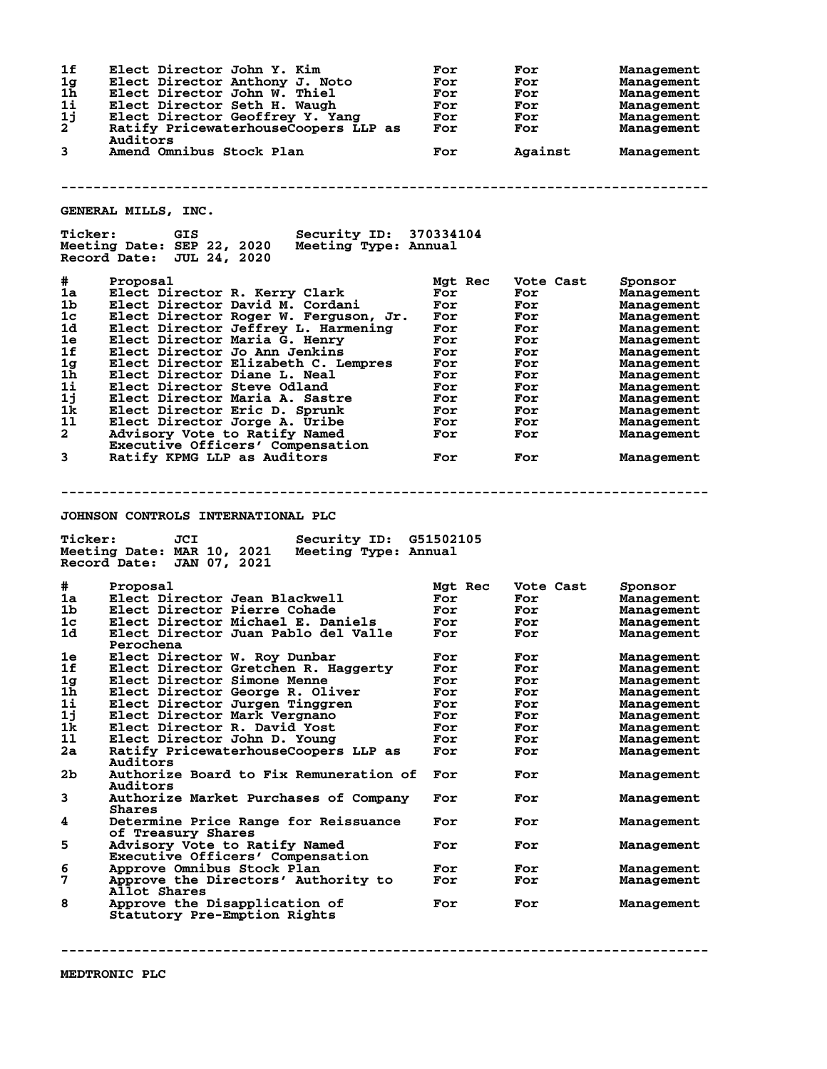**1f Elect Director John Y. Kim For For Management 1g Elect Director Anthony J. Noto For For Management 1h Elect Director John W. Thiel For For Management 1i Elect Director Seth H. Waugh For For Management 1j Elect Director Geoffrey Y. Yang For For Management 2 Ratify PricewaterhouseCoopers LLP as For For Management Auditors**<br>3 **Amend Omi 3 Amend Omnibus Stock Plan For Against Management -------------------------------------------------------------------------------- GENERAL MILLS, INC. Ticker: GIS Security ID: 370334104 Meeting Date: SEP 22, 2020 Meeting Type: Annual Record Date: JUL 24, 2020 # Proposal Mgt Rec Vote Cast Sponsor 1a Elect Director R. Kerry Clark For For Management 1b Elect Director David M. Cordani For For Management 1c Elect Director Roger W. Ferguson, Jr. For For Management 1d Elect Director Jeffrey L. Harmening For For Management 1e Elect Director Maria G. Henry For For Management 1f Elect Director Jo Ann Jenkins For For Management 1g Elect Director Elizabeth C. Lempres For For Management 1h Elect Director Diane L. Neal For For Management 1i Elect Director Steve Odland For For Management 1j Elect Director Maria A. Sastre For For Management 1k Elect Director Eric D. Sprunk For For Management 1l Elect Director Jorge A. Uribe For For Management 2 Advisory Vote to Ratify Named For For Management Executive Officers' Compensation 3 Ratify KPMG LLP as Auditors For For Management -------------------------------------------------------------------------------- JOHNSON CONTROLS INTERNATIONAL PLC Ticker: JCI Security ID: G51502105 Meeting Date: MAR 10, 2021 Meeting Type: Annual Record Date: JAN 07, 2021 # Proposal Mgt Rec Vote Cast Sponsor 1a Elect Director Jean Blackwell For For Management 1b Elect Director Pierre Cohade For For Management 1c Elect Director Michael E. Daniels For For Management 1d Elect Director Juan Pablo del Valle For For Management Perochena 1e Elect Director W. Roy Dunbar For For Management 1f Elect Director Gretchen R. Haggerty For For Management 1g Elect Director Simone Menne For For Management 1h Elect Director George R. Oliver For For Management 1i Elect Director Jurgen Tinggren For For Management 1j Elect Director Mark Vergnano For For Management 1k Elect Director R. David Yost For For Management 1l Elect Director John D. Young For For Management 2a Ratify PricewaterhouseCoopers LLP as For For Management Auditors 2b Authorize Board to Fix Remuneration of For For Management Auditors 3 Authorize Market Purchases of Company For For Management Shares 4 Determine Price Range for Reissuance For For Management of Treasury Shares 5 Advisory Vote to Ratify Named For For Management Executive Officers' Compensation 6 Approve Omnibus Stock Plan For For Management Approve the Directors' Authority to For Formando Formando Formando Formando Formando Formando Formando Formando Formando Formando Formando Formando Formando Formando Formando Formando Formando Formando Formando Formando F** Allot Shares<br>8 **Approve the I 8 Approve the Disapplication of For For Management Statutory Pre-Emption Rights**

**--------------------------------------------------------------------------------**

**MEDTRONIC PLC**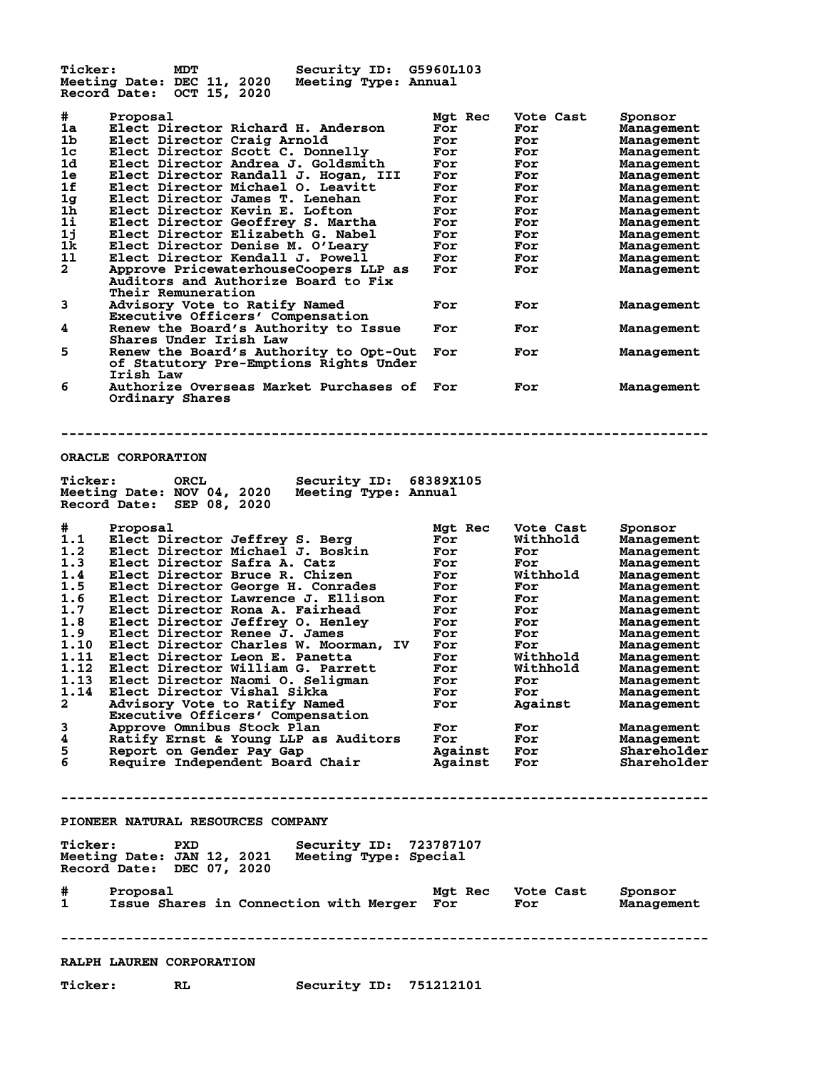**Ticker: MDT Security ID: G5960L103 Meeting Date: DEC 11, 2020 Meeting Type: Annual Record Date: OCT 15, 2020 # Proposal Mgt Rec Vote Cast Sponsor 1a Elect Director Richard H. Anderson For For Management 1b Elect Director Craig Arnold For For Management 1c Elect Director Scott C. Donnelly For For Management 1d Elect Director Andrea J. Goldsmith For For Management 1e Elect Director Randall J. Hogan, III For For Management 1f Elect Director Michael O. Leavitt For For Management 1g Elect Director James T. Lenehan For For Management 1h Elect Director Kevin E. Lofton For For Management 1i Elect Director Geoffrey S. Martha For For Management 1j Elect Director Elizabeth G. Nabel For For Management 1k Elect Director Denise M. O'Leary For For Management 1l Elect Director Kendall J. Powell For For Management 2 Approve PricewaterhouseCoopers LLP as For For Management Auditors and Authorize Board to Fix Auditors and Authorize Board to Fix<br>Their Remuneration<br>3 Advisory Vote to Ratify Named 3 Advisory Vote to Ratify Named For For Management Executive Officers' Compensation 4 Renew the Board's Authority to Issue For For Management Example 2018 1996 Shares Under Irish Law**<br> **Shares Under Irish Law**<br> **Shares Under Irish Law**<br> **S** Renew the Board's Authority to Opt-Out For **5 Renew the Board's Authority to Opt-Out For For Management of Statutory Pre-Emptions Rights Under Irish Law 6 Authorize Overseas Market Purchases of For For Management Ordinary Shares -------------------------------------------------------------------------------- ORACLE CORPORATION Ticker: ORCL Security ID: 68389X105 Meeting Date: NOV 04, 2020 Meeting Type: Annual Record Date: SEP 08, 2020 # Proposal Mgt Rec Vote Cast Sponsor 1.1 Elect Director Jeffrey S. Berg For Withhold Management 1.2 Elect Director Michael J. Boskin For For Management 1.3 Elect Director Safra A. Catz For For Management 1.4 Elect Director Bruce R. Chizen For Withhold Management 1.5 Elect Director George H. Conrades For For Management 1.6 Elect Director Lawrence J. Ellison For For Management 1.7 Elect Director Rona A. Fairhead For For Management 1.8 Elect Director Jeffrey O. Henley For For Management 1.9 Elect Director Renee J. James For For Management 1.10 Elect Director Charles W. Moorman, IV For For Management 1.11 Elect Director Leon E. Panetta For Withhold Management 1.12 Elect Director William G. Parrett For Withhold Management 1.13 Elect Director Naomi O. Seligman For For Management 1.14 Elect Director Vishal Sikka For For Management 2 Advisory Vote to Ratify Named For Against Management Executive Officers' Compensation 3 Approve Omnibus Stock Plan For For Management 4 Ratify Ernst & Young LLP as Auditors For For Management 5 Report on Gender Pay Gap Against For Shareholder 6 Require Independent Board Chair Against For Shareholder -------------------------------------------------------------------------------- PIONEER NATURAL RESOURCES COMPANY** Ticker: PXD Security ID: 723787107<br>Meeting Date: JAN 12, 2021 Meeting Type: Special **Meeting Date: JAN 12, 2021 Meeting Type: Special Record Date: DEC 07, 2020 # Proposal Mgt Rec Vote Cast Sponsor 1 Issue Shares in Connection with Merger For For Management -------------------------------------------------------------------------------- RALPH LAUREN CORPORATION Ticker: RL Security ID: 751212101**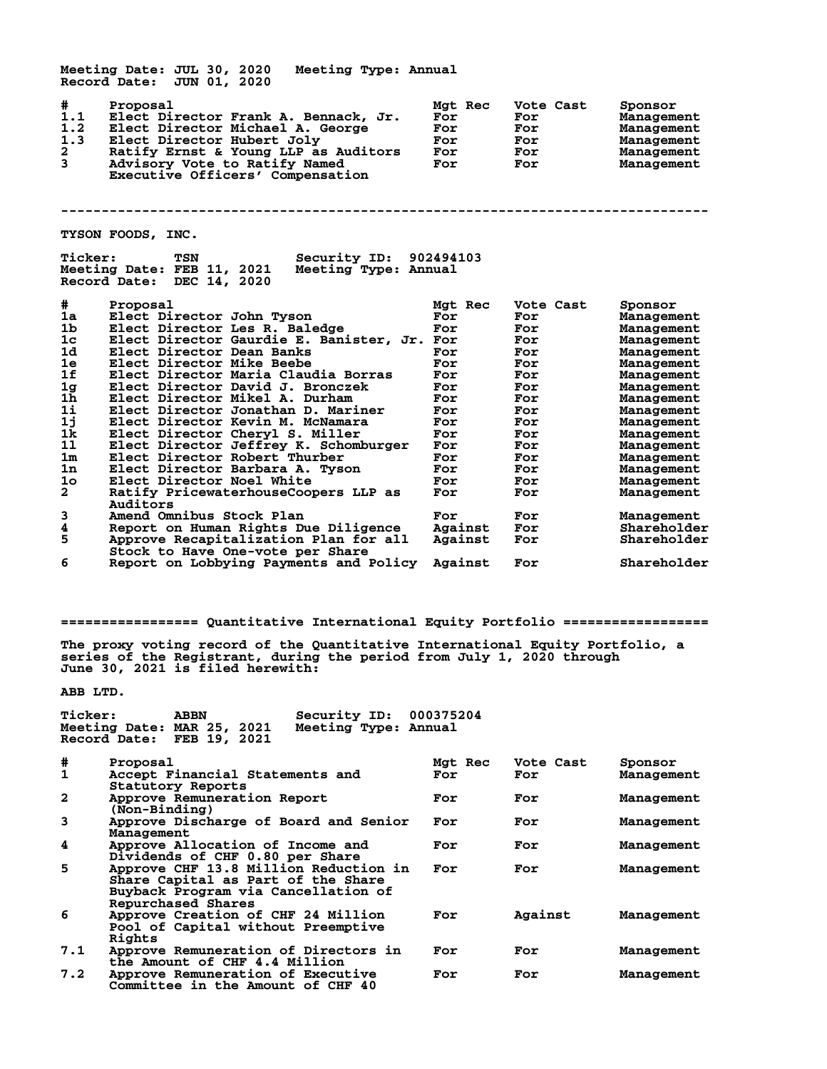**Meeting Date: JUL 30, 2020 Meeting Type: Annual Record Date: JUN 01, 2020 # Proposal Mgt Rec Vote Cast Sponsor 1.1 Elect Director Frank A. Bennack, Jr. For For Management 1.2 Elect Director Michael A. George For For Management 1.3 Elect Director Hubert Joly For For Management 2 2 Ratify Ernst & Young LLP as Auditors For For For Management<br>2 Ratify Ernst & Young LLP as Auditors For For Management<br>3 Advisory Vote to Ratify Named For For Management 3 Advisory Vote to Ratify Named For For Management Executive Officers' Compensation -------------------------------------------------------------------------------- TYSON FOODS, INC. Ticker: TSN Security ID: 902494103** Meeting Date: FEB 11, 2021 **Record Date: DEC 14, 2020 # Proposal Mgt Rec Vote Cast Sponsor 1a Elect Director John Tyson For For Management 1b Elect Director Les R. Baledge For For Management 1c Elect Director Gaurdie E. Banister, Jr. For For Management 1d Elect Director Dean Banks For For Management 1e Elect Director Mike Beebe For For Management 1f Elect Director Maria Claudia Borras For For Management 1g Elect Director David J. Bronczek For For Management 1h Elect Director Mikel A. Durham For For Management 1i Elect Director Jonathan D. Mariner For For Management 1j Elect Director Kevin M. McNamara For For Management 1k Elect Director Cheryl S. Miller For For Management 1l Elect Director Jeffrey K. Schomburger For For Management 1m Elect Director Robert Thurber For For Management 1n Elect Director Barbara A. Tyson For For Management** 1m Elect Director Robert Thurber For For Management<br>
1n Elect Director Barbara A. Tyson For For Management<br>
10 Elect Director Noel White For For Management<br>
2 Ratify PricewaterhouseCoopers LLP as For For Management Ratify PricewaterhouseCoopers LLP as For  **Auditors 3 Amend Omnibus Stock Plan For For Management 4 Report on Human Rights Due Diligence Against For Shareholder** Approve Recapitalization Plan for all **Stock to Have One-vote per Share**<br>**6** Report on Lobbying Payments and I **6 Report on Lobbying Payments and Policy Against For Shareholder**

**================= Quantitative International Equity Portfolio ==================**

**The proxy voting record of the Quantitative International Equity Portfolio, a series of the Registrant, during the period from July 1, 2020 through June 30, 2021 is filed herewith:**

**ABB LTD.**

| <b>Ticker:</b>             | <b>ABBN</b> | Security ID: 000375204 |  |
|----------------------------|-------------|------------------------|--|
| Meeting Date: MAR 25, 2021 |             | Meeting Type: Annual   |  |
| Record Date: FEB 19, 2021  |             |                        |  |

| #            | Proposal                                                                                                                                 | Mgt Rec | Vote Cast | Sponsor    |
|--------------|------------------------------------------------------------------------------------------------------------------------------------------|---------|-----------|------------|
| 1            | Accept Financial Statements and                                                                                                          | For     | For       | Management |
| $\mathbf{2}$ | Statutory Reports<br>Approve Remuneration Report<br>(Non-Binding)                                                                        | For     | For       | Management |
| 3            | Approve Discharge of Board and Senior<br>Management                                                                                      | For     | For       | Management |
| 4            | Approve Allocation of Income and<br>Dividends of CHF 0.80 per Share                                                                      | For     | For       | Management |
| 5            | Approve CHF 13.8 Million Reduction in<br>Share Capital as Part of the Share<br>Buyback Program via Cancellation of<br>Repurchased Shares | For     | For       | Management |
| 6            | Approve Creation of CHF 24 Million<br>Pool of Capital without Preemptive<br>Rights                                                       | For     | Against   | Management |
| 7.1          | Approve Remuneration of Directors in<br>the Amount of CHF 4.4 Million                                                                    | For     | For       | Management |
| 7.2          | Approve Remuneration of Executive<br>Committee in the Amount of CHF 40                                                                   | For     | For       | Management |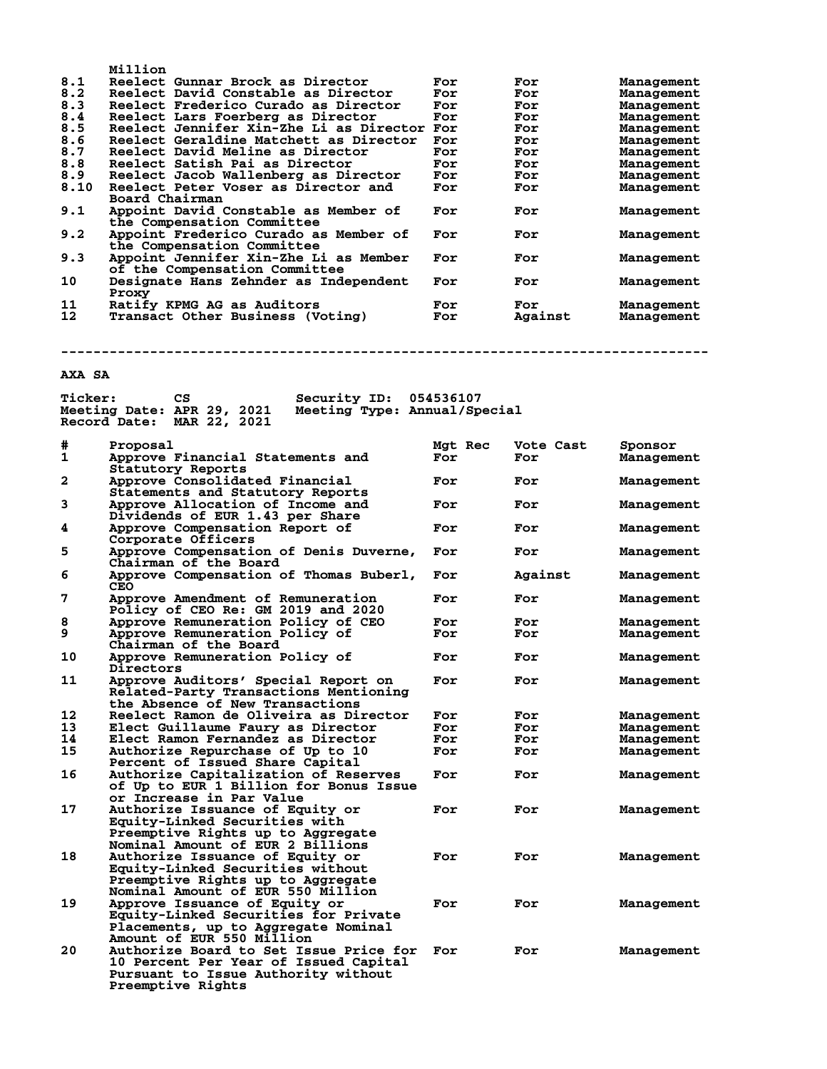| 8.1  | Million<br>Reelect Gunnar Brock as Director | For | For     | Management |
|------|---------------------------------------------|-----|---------|------------|
| 8.2  | Reelect David Constable as Director         | For | For     | Management |
| 8.3  | Reelect Frederico Curado as Director        | For | For     | Management |
| 8.4  | Reelect Lars Foerberg as Director           | For | For     | Management |
| 8.5  | Reelect Jennifer Xin-Zhe Li as Director     | For | For     | Management |
| 8.6  | Reelect Geraldine Matchett as Director      | For | For     | Management |
| 8.7  | Reelect David Meline as Director            | For | For     | Management |
| 8.8  | Reelect Satish Pai as Director              | For | For     | Management |
| 8.9  | Reelect Jacob Wallenberg as Director        | For | For     | Management |
| 8.10 | Reelect Peter Voser as Director and         | For | For     | Management |
|      | Board Chairman                              |     |         |            |
| 9.1  | Appoint David Constable as Member of        | For | For     | Management |
|      | the Compensation Committee                  |     |         |            |
| 9.2  | Appoint Frederico Curado as Member of       | For | For     | Management |
|      | the Compensation Committee                  |     |         |            |
| 9.3  | Appoint Jennifer Xin-Zhe Li as Member       | For | For     | Management |
|      | of the Compensation Committee               |     |         |            |
| 10   | Designate Hans Zehnder as Independent       | For | For     | Management |
|      | Proxy                                       |     |         |            |
| 11   | Ratify KPMG AG as Auditors                  | For | For     | Management |
| 12   | Transact Other Business (Voting)            | For | Against | Management |

**--------------------------------------------------------------------------------**

# **AXA SA**

| <b>Ticker:</b> | СS                                                                                                                                          | Security ID:                 | 054536107 |         |           |                   |
|----------------|---------------------------------------------------------------------------------------------------------------------------------------------|------------------------------|-----------|---------|-----------|-------------------|
|                | Meeting Date: APR 29, 2021                                                                                                                  | Meeting Type: Annual/Special |           |         |           |                   |
|                | Record Date: MAR 22, 2021                                                                                                                   |                              |           |         |           |                   |
| #              | Proposal                                                                                                                                    |                              | Mgt Rec   |         | Vote Cast | Sponsor           |
| 1              | Approve Financial Statements and<br>Statutory Reports                                                                                       |                              | For       | For     |           | <b>Management</b> |
| 2              | Approve Consolidated Financial                                                                                                              |                              | For       | For     |           | Management        |
|                | Statements and Statutory Reports                                                                                                            |                              |           |         |           |                   |
| 3              | Approve Allocation of Income and<br>Dividends of EUR 1.43 per Share                                                                         |                              | For       | For     |           | <b>Management</b> |
| 4              | Approve Compensation Report of                                                                                                              |                              | For       | For     |           | Management        |
|                | Corporate Officers                                                                                                                          |                              |           |         |           |                   |
| 5              | Approve Compensation of Denis Duverne,<br>Chairman of the Board                                                                             |                              | For       | For     |           | <b>Management</b> |
| 6              | Approve Compensation of Thomas Buberl,<br>CEO                                                                                               |                              | For       | Against |           | <b>Management</b> |
| 7              | Approve Amendment of Remuneration<br>Policy of CEO Re: GM 2019 and 2020                                                                     |                              | For       | For     |           | <b>Management</b> |
| 8              | Approve Remuneration Policy of CEO                                                                                                          |                              | For       | For     |           | <b>Management</b> |
| 9              | Approve Remuneration Policy of<br>Chairman of the Board                                                                                     |                              | For       | For     |           | <b>Management</b> |
| 10             | Approve Remuneration Policy of<br>Directors                                                                                                 |                              | For       | For     |           | Management        |
| 11             | Approve Auditors' Special Report on<br>Related-Party Transactions Mentioning<br>the Absence of New Transactions                             |                              | For       | For     |           | <b>Management</b> |
| 12             | Reelect Ramon de Oliveira as Director                                                                                                       |                              | For       | For     |           | <b>Management</b> |
| 13             | Elect Guillaume Faury as Director                                                                                                           |                              | For       | For     |           | Management        |
| 14             | Elect Ramon Fernandez as Director                                                                                                           |                              | For       | For     |           | <b>Management</b> |
| 15             | Authorize Repurchase of Up to 10<br>Percent of Issued Share Capital                                                                         |                              | For       | For     |           | Management        |
| 16             | Authorize Capitalization of Reserves<br>of Up to EUR 1 Billion for Bonus Issue<br>or Increase in Par Value                                  |                              | For       | For     |           | <b>Management</b> |
| 17             | Authorize Issuance of Equity or<br>Equity-Linked Securities with<br>Preemptive Rights up to Aggregate<br>Nominal Amount of EUR 2 Billions   |                              | For       | For     |           | <b>Management</b> |
| 18             | Authorize Issuance of Equity or<br>Equity-Linked Securities without<br>Preemptive Rights up to Aggregate                                    |                              | For       | For     |           | <b>Management</b> |
| 19             | Nominal Amount of EUR 550 Million<br>Approve Issuance of Equity or                                                                          |                              | For       | For     |           | <b>Management</b> |
|                | Equity-Linked Securities for Private<br>Placements, up to Aggregate Nominal<br>Amount of EUR 550 Million                                    |                              |           |         |           |                   |
| 20             | Authorize Board to Set Issue Price for<br>10 Percent Per Year of Issued Capital<br>Pursuant to Issue Authority without<br>Preemptive Rights |                              | For       | For     |           | <b>Management</b> |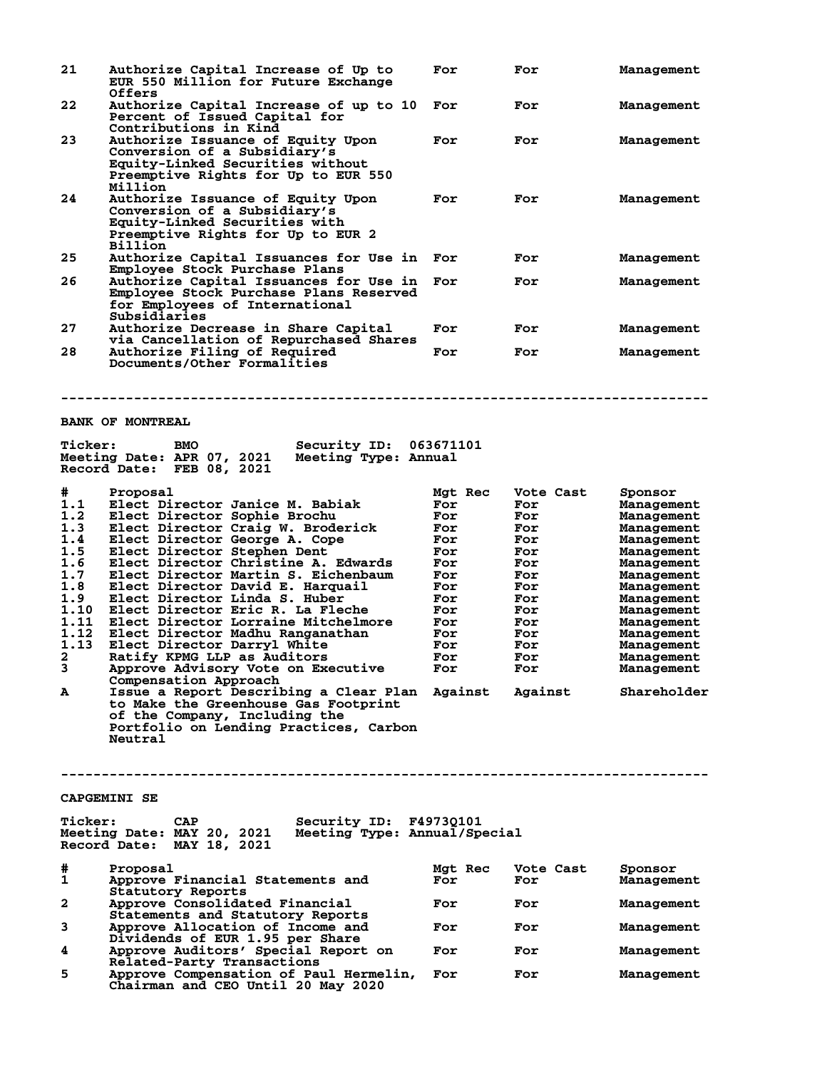| 21             | Authorize Capital Increase of Up to<br>EUR 550 Million for Future Exchange<br><b>Offers</b>                                                                                          | For            | For              | Management                      |
|----------------|--------------------------------------------------------------------------------------------------------------------------------------------------------------------------------------|----------------|------------------|---------------------------------|
| 22             | Authorize Capital Increase of up to 10<br>Percent of Issued Capital for                                                                                                              | For            | For              | Management                      |
| 23             | Contributions in Kind<br>Authorize Issuance of Equity Upon<br>Conversion of a Subsidiary's<br>Equity-Linked Securities without<br>Preemptive Rights for Up to EUR 550<br>Million     | For            | For              | Management                      |
| 24             | Authorize Issuance of Equity Upon<br>Conversion of a Subsidiary's<br>Equity-Linked Securities with<br>Preemptive Rights for Up to EUR 2<br><b>Billion</b>                            | For            | For              | Management                      |
| 25             | Authorize Capital Issuances for Use in<br>Employee Stock Purchase Plans                                                                                                              | For            | For              | Management                      |
| 26             | Authorize Capital Issuances for Use in<br>Employee Stock Purchase Plans Reserved<br>for Employees of International<br>Subsidiaries                                                   | For            | For              | Management                      |
| 27             | Authorize Decrease in Share Capital<br>via Cancellation of Repurchased Shares                                                                                                        | For            | For              | Management                      |
| 28             | Authorize Filing of Required<br>Documents/Other Formalities                                                                                                                          | For            | For              | Management                      |
|                | <b>BANK OF MONTREAL</b>                                                                                                                                                              |                |                  |                                 |
|                |                                                                                                                                                                                      |                |                  |                                 |
| <b>Ticker:</b> | Security ID:<br><b>BMO</b><br>Meeting Date: APR 07, 2021<br>Meeting Type: Annual<br>Record Date: FEB 08, 2021                                                                        | 063671101      |                  |                                 |
| #              | Proposal                                                                                                                                                                             | Mgt Rec        | Vote Cast        | Sponsor                         |
| 1.1<br>1.2     | Elect Director Janice M. Babiak<br>Elect Director Sophie Brochu                                                                                                                      | For<br>For     | For<br>For       | Management<br><b>Management</b> |
| 1.3            | Elect Director Craig W. Broderick                                                                                                                                                    | For            | For              | <b>Management</b>               |
| 1.4            | Elect Director George A. Cope                                                                                                                                                        | For            | For              | Management                      |
| 1.5            | Elect Director Stephen Dent                                                                                                                                                          | For            | For              | Management                      |
| 1.6            | Elect Director Christine A. Edwards                                                                                                                                                  | For            | For              | Management                      |
| 1.7            | Elect Director Martin S. Eichenbaum                                                                                                                                                  | For            | For              | Management                      |
| 1.8            | Elect Director David E. Harquail                                                                                                                                                     | For            | For              | Management                      |
| 1.9            | Elect Director Linda S. Huber                                                                                                                                                        | For            | For              | Management                      |
|                | 1.10 Elect Director Eric R. La Fleche                                                                                                                                                | For            | For              | Management                      |
| 1.11           | Elect Director Lorraine Mitchelmore                                                                                                                                                  | For            | For              | Management                      |
| 1.12           | Elect Director Madhu Ranganathan                                                                                                                                                     | For            | For              | Management                      |
| 1.13<br>2      | Elect Director Darryl White<br>Ratify KPMG LLP as Auditors                                                                                                                           | For<br>For     | For              | Management                      |
| 3              | Approve Advisory Vote on Executive                                                                                                                                                   | For            | For<br>For       | <b>Management</b><br>Management |
|                | Compensation Approach                                                                                                                                                                |                |                  |                                 |
| A              | Issue a Report Describing a Clear Plan Against Against<br>to Make the Greenhouse Gas Footprint<br>of the Company, Including the<br>Portfolio on Lending Practices, Carbon<br>Neutral |                |                  | Shareholder                     |
|                | <b>CAPGEMINI SE</b>                                                                                                                                                                  |                |                  |                                 |
| <b>Ticker:</b> | <b>CAP</b><br><b>Security ID: F4973Q101</b><br>Meeting Date: MAY 20, 2021<br>Meeting Type: Annual/Special<br>Record Date: MAY 18, 2021                                               |                |                  |                                 |
| #<br>1         | Proposal<br>Approve Financial Statements and                                                                                                                                         | Mgt Rec<br>For | Vote Cast<br>For | Sponsor<br>Management           |
| 2              | Statutory Reports<br>Approve Consolidated Financial                                                                                                                                  | For            | For              | Management                      |
| 3              | Statements and Statutory Reports<br>Approve Allocation of Income and                                                                                                                 | For            | For              | Management                      |
| 4              | Dividends of EUR 1.95 per Share<br>Approve Auditors' Special Report on                                                                                                               | For            | For              | Management                      |
| 5              | Related-Party Transactions<br>Approve Compensation of Paul Hermelin,<br>Chairman and CEO Until 20 May 2020                                                                           | For            | For              | Management                      |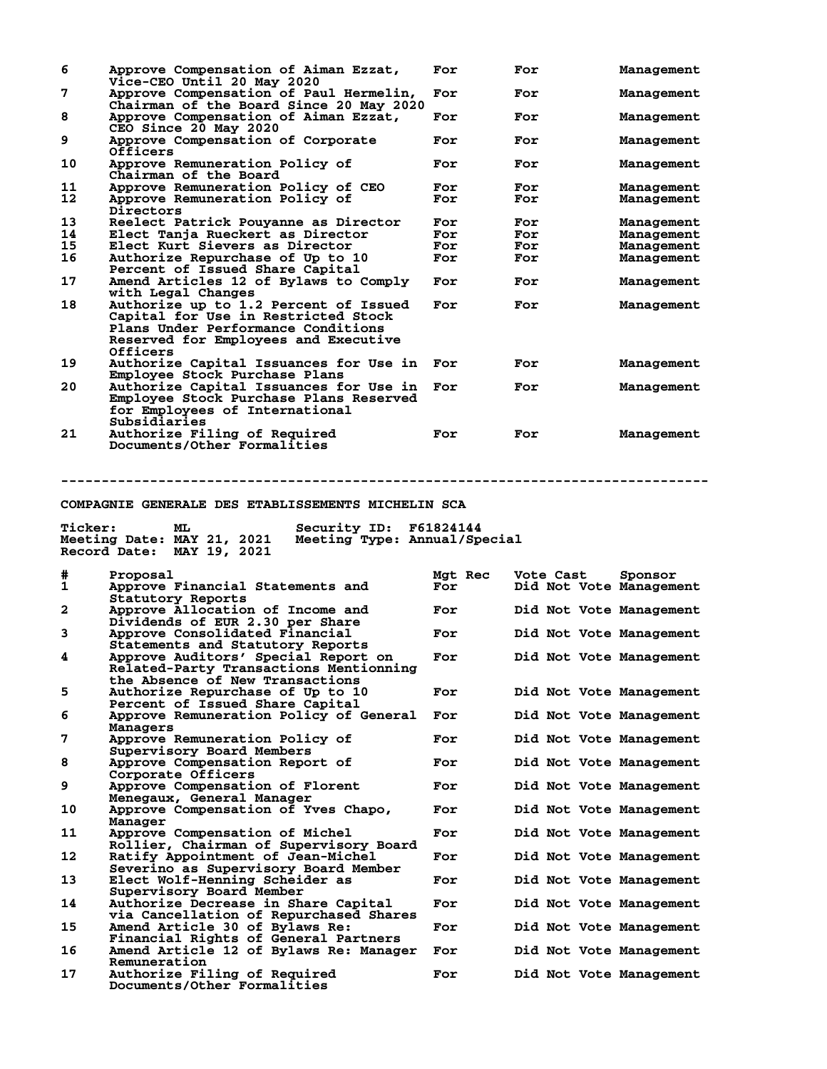| 6              | Approve Compensation of Aiman Ezzat,<br>Vice-CEO Until 20 May 2020                                                                                                     | For            | For                                                | Management               |
|----------------|------------------------------------------------------------------------------------------------------------------------------------------------------------------------|----------------|----------------------------------------------------|--------------------------|
| 7              | Approve Compensation of Paul Hermelin,<br>Chairman of the Board Since 20 May 2020                                                                                      | For            | For                                                | Management               |
| 8              | Approve Compensation of Aiman Ezzat,<br>CEO Since 20 May 2020                                                                                                          | For            | For                                                | Management               |
| 9              | Approve Compensation of Corporate<br>Officers                                                                                                                          | For            | For                                                | Management               |
| 10             | Approve Remuneration Policy of<br>Chairman of the Board                                                                                                                | For            | For                                                | Management               |
| 11<br>12       | Approve Remuneration Policy of CEO<br>Approve Remuneration Policy of                                                                                                   | For<br>For     | For<br>For                                         | Management<br>Management |
| 13             | Directors<br>Reelect Patrick Pouyanne as Director                                                                                                                      | For            | For                                                |                          |
| 14             | Elect Tanja Rueckert as Director                                                                                                                                       | For            | For                                                | Management<br>Management |
| 15             | Elect Kurt Sievers as Director                                                                                                                                         | For            | For                                                | Management               |
| 16             | Authorize Repurchase of Up to 10                                                                                                                                       | For            | For                                                | Management               |
|                | Percent of Issued Share Capital                                                                                                                                        |                |                                                    |                          |
| 17             | Amend Articles 12 of Bylaws to Comply<br>with Legal Changes                                                                                                            | For            | For                                                | Management               |
| 18             | Authorize up to 1.2 Percent of Issued<br>Capital for Use in Restricted Stock<br>Plans Under Performance Conditions<br>Reserved for Employees and Executive<br>Officers | For            | For                                                | Management               |
| 19             | Authorize Capital Issuances for Use in                                                                                                                                 | For            | For                                                | Management               |
| 20             | Employee Stock Purchase Plans<br>Authorize Capital Issuances for Use in                                                                                                | For            | For                                                | Management               |
|                | Employee Stock Purchase Plans Reserved<br>for Employees of International<br>Subsidiaries                                                                               |                |                                                    |                          |
| 21             | Authorize Filing of Required<br>Documents/Other Formalities                                                                                                            | For            | For                                                | Management               |
|                |                                                                                                                                                                        |                |                                                    |                          |
| <b>Ticker:</b> | Security ID: F61824144<br>ML<br>Meeting Date: MAY 21, 2021<br>Meeting Type: Annual/Special<br>Record Date: MAY 19, 2021                                                |                |                                                    |                          |
| #<br>1         | Proposal<br>Approve Financial Statements and                                                                                                                           | Mgt Rec<br>For | Vote Cast<br>Did Not Vote Management               | Sponsor                  |
| 2              | Statutory Reports<br>Approve Allocation of Income and                                                                                                                  | For            | Did Not Vote Management                            |                          |
| 3              | Dividends of EUR 2.30 per Share<br>Approve Consolidated Financial                                                                                                      | For            | Did Not Vote Management                            |                          |
| 4              | Statements and Statutory Reports<br>Approve Auditors' Special Report on<br>Related-Party Transactions Mentionning                                                      | For            | Did Not Vote Management                            |                          |
| 5              | the Absence of New Transactions<br>Authorize Repurchase of Up to 10                                                                                                    | For            | Did Not Vote Management                            |                          |
| 6              | Percent of Issued Share Capital                                                                                                                                        | For            |                                                    |                          |
| 7              | Approve Remuneration Policy of General<br>Managers<br>Approve Remuneration Policy of                                                                                   | For            | Did Not Vote Management<br>Did Not Vote Management |                          |
| 8              | Supervisory Board Members<br>Approve Compensation Report of                                                                                                            | For            | Did Not Vote Management                            |                          |
| 9              | Corporate Officers<br>Approve Compensation of Florent                                                                                                                  | For            | Did Not Vote Management                            |                          |
| 10             | Menegaux, General Manager<br>Approve Compensation of Yves Chapo,                                                                                                       | For            | Did Not Vote Management                            |                          |
| 11             | Manager<br>Approve Compensation of Michel                                                                                                                              | For            | Did Not Vote Management                            |                          |
| 12             | Rollier, Chairman of Supervisory Board<br>Ratify Appointment of Jean-Michel                                                                                            | For            | Did Not Vote Management                            |                          |
| 13             | Severino as Supervisory Board Member<br>Elect Wolf-Henning Scheider as                                                                                                 | For            | Did Not Vote Management                            |                          |
| 14             | Supervisory Board Member<br>Authorize Decrease in Share Capital                                                                                                        | For            | Did Not Vote Management                            |                          |
| 15             | via Cancellation of Repurchased Shares<br>Amend Article 30 of Bylaws Re:                                                                                               | For            | Did Not Vote Management                            |                          |
| 16             | Financial Rights of General Partners<br>Amend Article 12 of Bylaws Re: Manager<br>Remuneration                                                                         | For            | Did Not Vote Management                            |                          |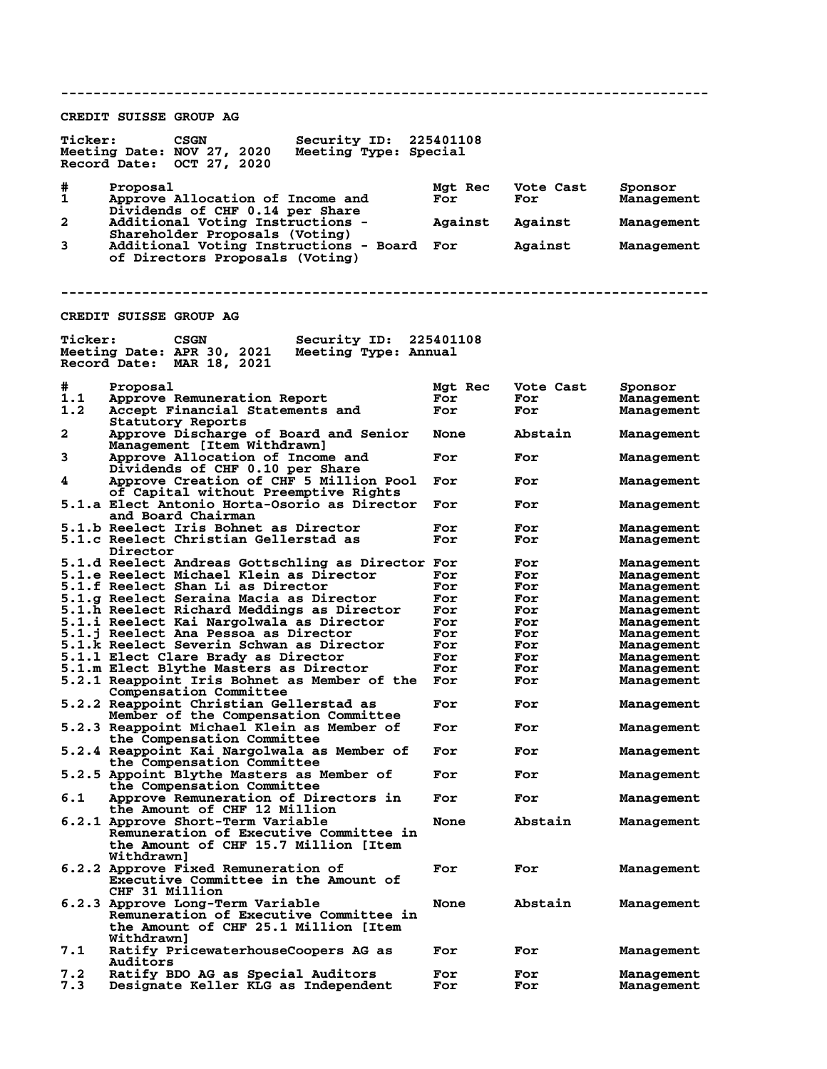**-------------------------------------------------------------------------------- CREDIT SUISSE GROUP AG Ticker: CSGN Security ID: 225401108 Meeting Date: NOV 27, 2020 Meeting Type: Special Record Date: OCT 27, 2020 # Proposal Mgt Rec Vote Cast Sponsor 1 Approve Allocation of Income and For For Management Dividends of CHF 0.14 per Share 2 Additional Voting Instructions - Against Against Management Shareholder Proposals (Voting) 3 Additional Voting Instructions - Board For Against Management of Directors Proposals (Voting) -------------------------------------------------------------------------------- CREDIT SUISSE GROUP AG Ticker: CSGN Security ID: 225401108 Meeting Date: APR 30, 2021 Meeting Type: Annual Record Date: MAR 18, 2021 # Proposal Mgt Rec Vote Cast Sponsor 1.1 Approve Remuneration Report For For Management** Accept Financial Statements and **Statutory Reports<br>
2** Approve Discharge **2 Approve Discharge of Board and Senior None Abstain Management Management [Item Withdrawn] 3 Approve Allocation of Income and For For Management Dividends of CHF 0.10 per Share 4 Approve Creation of CHF 5 Million Pool For For Management of Capital without Preemptive Rights 5.1.a Elect Antonio Horta-Osorio as Director For For Management and Board Chairman 5.1.b Reelect Iris Bohnet as Director For For Management 5.1.c Reelect Christian Gellerstad as For For Management Director 5.1.d Reelect Andreas Gottschling as Director For For Management 5.1.e Reelect Michael Klein as Director For For Management 5.1.f Reelect Shan Li as Director For For Management 5.1.g Reelect Seraina Macia as Director For For Management 5.1.h Reelect Richard Meddings as Director For For Management 5.1.i Reelect Kai Nargolwala as Director For For Management 5.1.j Reelect Ana Pessoa as Director For For Management 5.1.k Reelect Severin Schwan as Director For For Management 5.1.1 Elect Clare Brady as Director For For The Management**<br> **5.1.m Elect Blythe Masters as Director For For Management** 5.1.m Elect Blythe Masters as Director **For For For Management**<br>5.2.1 Reappoint Iris Bohnet as Member of the For For Management **5.2.1 Reappoint Iris Bohnet as Member of the For For Management Compensation Committee 5.2.2 Reappoint Christian Gellerstad as For For Management Member of the Compensation Committee 5.2.3 Reappoint Michael Klein as Member of For For Management the Compensation Committee 5.2.4 Reappoint Kai Nargolwala as Member of For For Management the Compensation Committee 5.2.5 Appoint Blythe Masters as Member of For For Management the Compensation Committee 6.1 Approve Remuneration of Directors in For For Management the Amount of CHF 12 Million 6.2.1 Approve Short-Term Variable None Abstain Management Remuneration of Executive Committee in the Amount of CHF 15.7 Million [Item Withdrawn] 6.2.2 Approve Fixed Remuneration of For For Management Executive Committee in the Amount of CHF 31 Million 6.2.3 Approve Long-Term Variable None Abstain Management Remuneration of Executive Committee in the Amount of CHF 25.1 Million [Item** Withdrawn]<br>7.1 Ratify Pri **7.1 Ratify PricewaterhouseCoopers AG as For For Management** Auditors<br>7.2 Ratify Bl **7.2 Ratify BDO AG as Special Auditors For For Management** Designate Keller KLG as Independent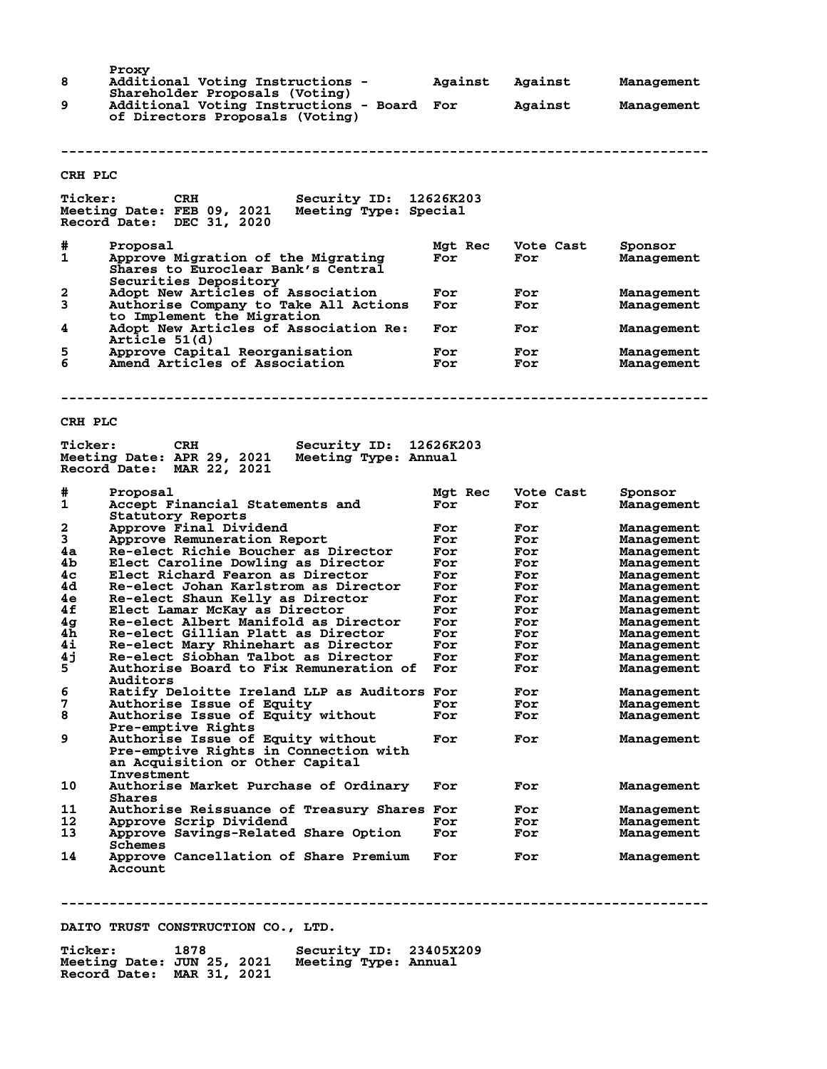| 8<br>9         | Proxy<br>Additional Voting Instructions -<br>Shareholder Proposals (Voting)<br>Additional Voting Instructions - Board For | Against        | Against<br>Against | Management<br>Management        |
|----------------|---------------------------------------------------------------------------------------------------------------------------|----------------|--------------------|---------------------------------|
|                | of Directors Proposals (Voting)                                                                                           |                |                    |                                 |
| CRH PLC        |                                                                                                                           |                |                    |                                 |
| <b>Ticker:</b> | Security ID: 12626K203<br>CRH<br>Meeting Date: FEB 09, 2021<br>Meeting Type: Special<br>Record Date: DEC 31, 2020         |                |                    |                                 |
| #<br>1         | Proposal<br>Approve Migration of the Migrating<br>Shares to Euroclear Bank's Central<br>Securities Depository             | Mgt Rec<br>For | Vote Cast<br>For   | Sponsor<br><b>Management</b>    |
| 2<br>3         | Adopt New Articles of Association<br>Authorise Company to Take All Actions<br>to Implement the Migration                  | For<br>For     | For<br>For         | Management<br>Management        |
| 4              | Adopt New Articles of Association Re:<br>Article 51(d)                                                                    | For            | For                | Management                      |
| 5<br>6         | Approve Capital Reorganisation<br>Amend Articles of Association                                                           | For<br>For     | For<br>For         | Management<br>Management        |
|                |                                                                                                                           |                |                    |                                 |
| CRH PLC        |                                                                                                                           |                |                    |                                 |
| <b>Ticker:</b> | Security ID: 12626K203<br><b>CRH</b><br>Meeting Date: APR 29, 2021<br>Meeting Type: Annual<br>Record Date: MAR 22, 2021   |                |                    |                                 |
| #<br>1         | Proposal<br>Accept Financial Statements and<br>Statutory Reports                                                          | Mgt Rec<br>For | Vote Cast<br>For   | Sponsor<br><b>Management</b>    |
| 2<br>3         | Approve Final Dividend                                                                                                    | For<br>For     | For<br>For         | <b>Management</b>               |
| 4a             | Approve Remuneration Report<br>Re-elect Richie Boucher as Director                                                        | For            | For                | Management<br><b>Management</b> |
| 4b             | Elect Caroline Dowling as Director                                                                                        | For            | For                | <b>Management</b>               |
| 4c             | Elect Richard Fearon as Director                                                                                          | For            | For                | <b>Management</b>               |
| 4d<br>4e       | Re-elect Johan Karlstrom as Director<br>Re-elect Shaun Kelly as Director                                                  | For<br>For     | For<br>For         | Management                      |
| 4f             | Elect Lamar McKay as Director                                                                                             | For            | For                | <b>Management</b><br>Management |
| 4 <sub>g</sub> | Re-elect Albert Manifold as Director                                                                                      | For            | For                | Management                      |
| 4h             | Re-elect Gillian Platt as Director                                                                                        | For            | For                | Management                      |
| 4i             | Re-elect Mary Rhinehart as Director                                                                                       | For            | For                | <b>Management</b>               |
| 4j             | Re-elect Siobhan Talbot as Director                                                                                       | For            | For                | Management                      |
| 5              | Authorise Board to Fix Remuneration of<br><b>Auditors</b>                                                                 | For            | For                | Management                      |
| 6              | Ratify Deloitte Ireland LLP as Auditors For                                                                               |                | For                | Management                      |
| 7              | Authorise Issue of Equity                                                                                                 | For            | For                | Management                      |
| 8              | Authorise Issue of Equity without<br>Pre-emptive Rights                                                                   | For            | For                | Management                      |
| 9              | Authorise Issue of Equity without<br>Pre-emptive Rights in Connection with<br>an Acquisition or Other Capital             | For            | For                | <b>Management</b>               |
| 10             | Investment<br>Authorise Market Purchase of Ordinary<br>Shares                                                             | For            | For                | Management                      |
| 11             | Authorise Reissuance of Treasury Shares For                                                                               |                | For                | <b>Management</b>               |
| 12             | Approve Scrip Dividend                                                                                                    | For            | For                | Management                      |
| 13             | Approve Savings-Related Share Option<br>Schemes                                                                           | For            | For                | Management                      |
| 14             | Approve Cancellation of Share Premium<br><b>Account</b>                                                                   | For            | For                | <b>Management</b>               |

**--------------------------------------------------------------------------------**

**DAITO TRUST CONSTRUCTION CO., LTD.**

| <b>Ticker:</b>                                          | 1878 | Security ID: 23405X209 |  |
|---------------------------------------------------------|------|------------------------|--|
| Meeting Date: JUN 25, 2021<br>Record Date: MAR 31, 2021 |      | Meeting Type: Annual   |  |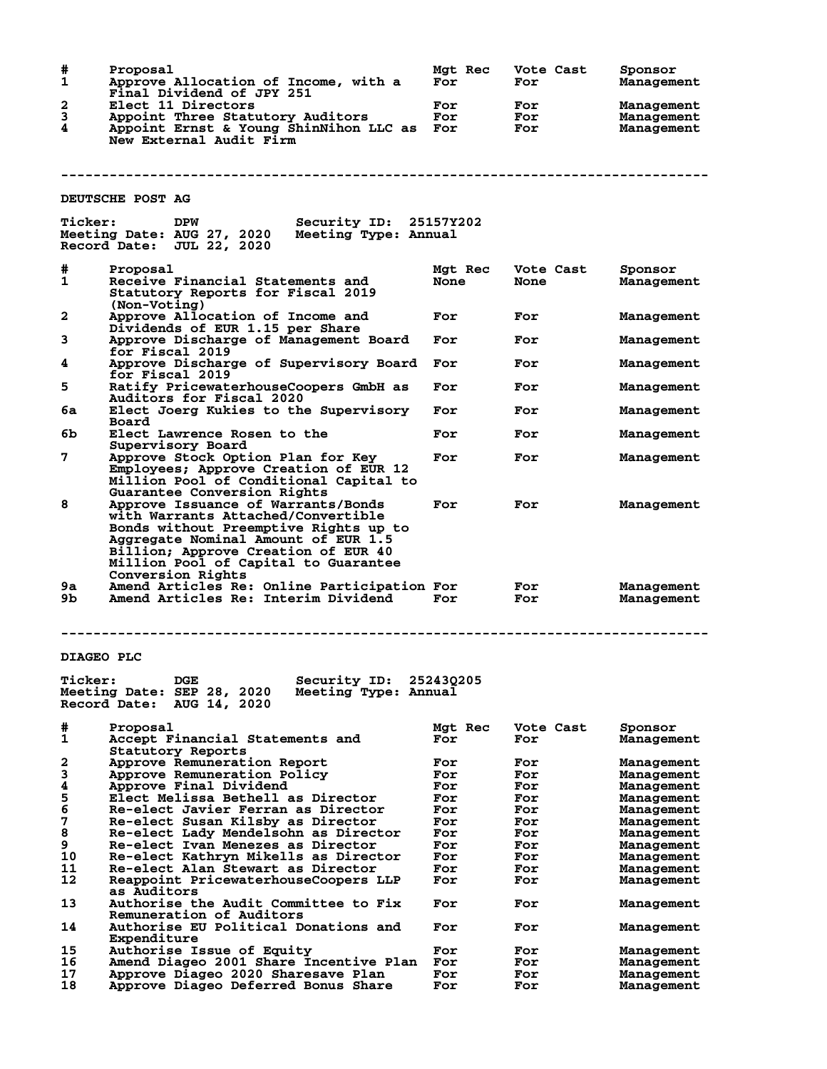| #<br>1                              | Proposal<br>Approve Allocation of Income, with a<br>Final Dividend of JPY 251                                                                                                                                                           | <b>Mat Rec</b><br>For | Vote Cast<br>For  | Sponsor<br>Management                         |
|-------------------------------------|-----------------------------------------------------------------------------------------------------------------------------------------------------------------------------------------------------------------------------------------|-----------------------|-------------------|-----------------------------------------------|
| 2<br>3<br>4                         | Elect 11 Directors<br>Appoint Three Statutory Auditors<br>Appoint Ernst & Young ShinNihon LLC as For<br>New External Audit Firm                                                                                                         | For<br>For            | For<br>For<br>For | <b>Management</b><br>Management<br>Management |
|                                     |                                                                                                                                                                                                                                         |                       |                   |                                               |
|                                     | DEUTSCHE POST AG                                                                                                                                                                                                                        |                       |                   |                                               |
| <b>Ticker:</b>                      | Security ID: 25157Y202<br>DPW<br>Meeting Date: AUG 27, 2020<br>Meeting Type: Annual<br>Record Date: JUL 22, 2020                                                                                                                        |                       |                   |                                               |
| #<br>1                              | Proposal<br>Receive Financial Statements and<br>Statutory Reports for Fiscal 2019<br>(Non-Voting)                                                                                                                                       | Mgt Rec<br>None       | Vote Cast<br>None | Sponsor<br>Management                         |
| 2                                   | Approve Allocation of Income and<br>Dividends of EUR 1.15 per Share                                                                                                                                                                     | For                   | For               | <b>Management</b>                             |
| 3                                   | Approve Discharge of Management Board<br>for Fiscal 2019                                                                                                                                                                                | For                   | For               | Management                                    |
| 4                                   | Approve Discharge of Supervisory Board<br>for Fiscal 2019                                                                                                                                                                               | For                   | For               | Management                                    |
| 5                                   | Ratify PricewaterhouseCoopers GmbH as<br><b>Auditors for Fiscal 2020</b>                                                                                                                                                                | For                   | For               | <b>Management</b>                             |
| 6а                                  | Elect Joerg Kukies to the Supervisory<br>Board                                                                                                                                                                                          | For                   | For               | Management                                    |
| 6b                                  | Elect Lawrence Rosen to the<br>Supervisory Board                                                                                                                                                                                        | For                   | For               | <b>Management</b>                             |
| 7                                   | Approve Stock Option Plan for Key<br>Employees; Approve Creation of EUR 12<br>Million Pool of Conditional Capital to<br>Guarantee Conversion Rights                                                                                     | For                   | For               | <b>Management</b>                             |
| 8                                   | Approve Issuance of Warrants/Bonds<br>with Warrants Attached/Convertible<br>Bonds without Preemptive Rights up to<br>Aggregate Nominal Amount of EUR 1.5<br>Billion; Approve Creation of EUR 40<br>Million Pool of Capital to Guarantee | For                   | For               | Management                                    |
| 9a<br>9Ъ.                           | Conversion Rights<br>Amend Articles Re: Online Participation For<br>Amend Articles Re: Interim Dividend                                                                                                                                 | For                   | For<br>For        | Management<br>Management                      |
|                                     |                                                                                                                                                                                                                                         |                       |                   |                                               |
| <b>DIAGEO PLC</b><br><b>Ticker:</b> | Security ID:<br><b>DGE</b><br>Meeting Date: SEP 28, 2020<br>Meeting Type: Annual<br>Record Date:<br>AUG 14, 2020                                                                                                                        | 252430205             |                   |                                               |
| #<br>1                              | Proposal<br>Accept Financial Statements and<br>Statutory Reports                                                                                                                                                                        | Mat Rec<br>For        | Vote Cast<br>For  | Sponsor<br>Management                         |
| 2                                   | Approve Remuneration Report                                                                                                                                                                                                             | For                   | For               | <b>Management</b>                             |
| 3                                   | Approve Remuneration Policy                                                                                                                                                                                                             | For                   | For               | <b>Management</b>                             |
| 4                                   | Approve Final Dividend                                                                                                                                                                                                                  | For                   | For               | <b>Management</b>                             |
| 5                                   | Elect Melissa Bethell as Director                                                                                                                                                                                                       | For                   | For               | Management                                    |
| 6                                   | Re-elect Javier Ferran as Director                                                                                                                                                                                                      | For                   | For               | Management                                    |
| 7                                   | Re-elect Susan Kilsby as Director                                                                                                                                                                                                       | For                   | For               | <b>Management</b>                             |
| 8                                   | Re-elect Lady Mendelsohn as Director                                                                                                                                                                                                    | For                   | For               | Management                                    |
| 9                                   | Re-elect Ivan Menezes as Director                                                                                                                                                                                                       | For                   | For               | Management                                    |
| 10<br>11                            | Re-elect Kathryn Mikells as Director                                                                                                                                                                                                    | For                   | For               | <b>Management</b>                             |
| 12                                  | Re-elect Alan Stewart as Director<br>Reappoint PricewaterhouseCoopers LLP                                                                                                                                                               | For<br>For            | For<br>For        | <b>Management</b><br><b>Management</b>        |
| 13                                  | as Auditors<br><b>Authorise the Audit Committee to Fix</b>                                                                                                                                                                              | For                   | For               | <b>Management</b>                             |
| 14                                  | Remuneration of Auditors<br><b>Authorise EU Political Donations and</b>                                                                                                                                                                 | For                   | For               | <b>Management</b>                             |
| 15                                  | Expenditure                                                                                                                                                                                                                             |                       |                   |                                               |
| 16                                  | <b>Authorise Issue of Equity</b><br>Amend Diageo 2001 Share Incentive Plan                                                                                                                                                              | For<br>For            | For<br>For        | <b>Management</b><br>Management               |
| 17                                  | Approve Diageo 2020 Sharesave Plan                                                                                                                                                                                                      | For                   | For               | <b>Management</b>                             |
| 18                                  | Approve Diageo Deferred Bonus Share                                                                                                                                                                                                     | For                   | For               | <b>Management</b>                             |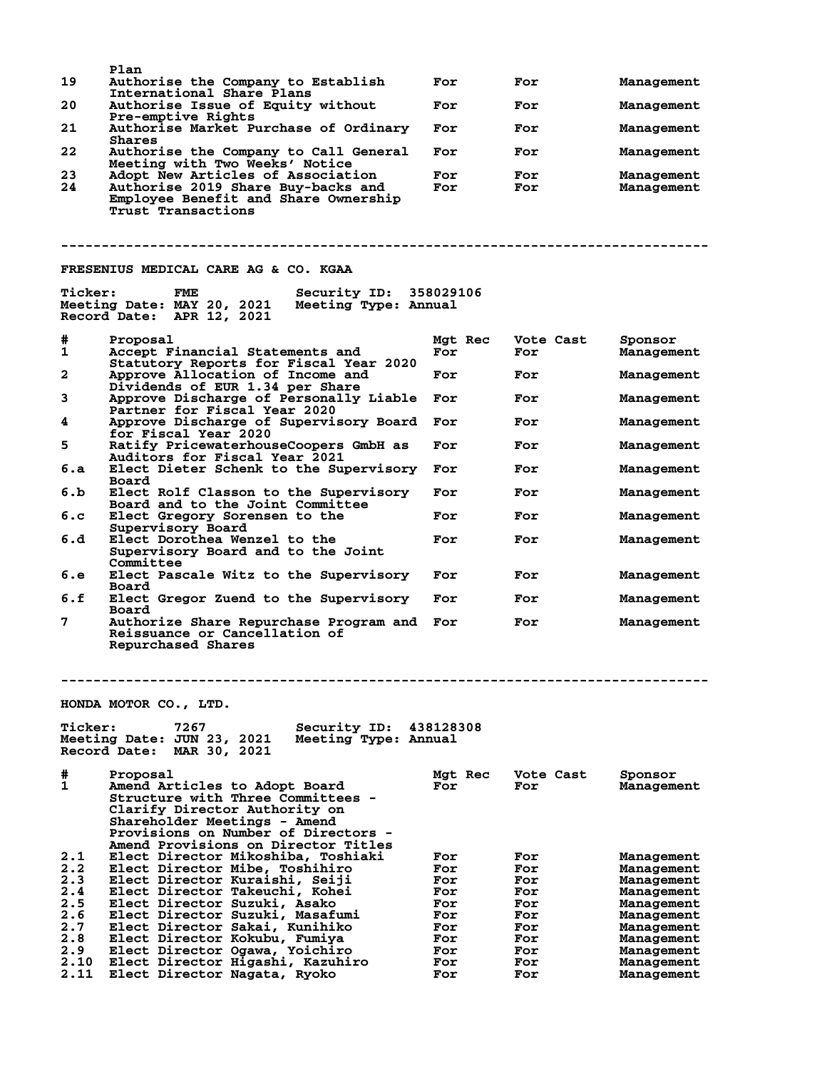| 19                                                                          | Plan<br>Authorise the Company to Establish                                                                                                                                                                                                                                                                                                                                           | For                                                                       | For                                                                       | Management                                                                                                                                             |
|-----------------------------------------------------------------------------|--------------------------------------------------------------------------------------------------------------------------------------------------------------------------------------------------------------------------------------------------------------------------------------------------------------------------------------------------------------------------------------|---------------------------------------------------------------------------|---------------------------------------------------------------------------|--------------------------------------------------------------------------------------------------------------------------------------------------------|
| 20                                                                          | International Share Plans<br><b>Authorise Issue of Equity without</b>                                                                                                                                                                                                                                                                                                                | For                                                                       | For                                                                       | Management                                                                                                                                             |
| 21                                                                          | Pre-emptive Rights<br>Authorise Market Purchase of Ordinary                                                                                                                                                                                                                                                                                                                          | For                                                                       | For                                                                       | Management                                                                                                                                             |
| 22                                                                          | Shares<br>Authorise the Company to Call General                                                                                                                                                                                                                                                                                                                                      | For                                                                       | For                                                                       | Management                                                                                                                                             |
| 23<br>24                                                                    | Meeting with Two Weeks' Notice<br>Adopt New Articles of Association<br>Authorise 2019 Share Buy-backs and<br>Employee Benefit and Share Ownership<br>Trust Transactions                                                                                                                                                                                                              | For<br>For                                                                | For<br>For                                                                | Management<br>Management                                                                                                                               |
|                                                                             |                                                                                                                                                                                                                                                                                                                                                                                      |                                                                           |                                                                           |                                                                                                                                                        |
|                                                                             | FRESENIUS MEDICAL CARE AG & CO. KGAA                                                                                                                                                                                                                                                                                                                                                 |                                                                           |                                                                           |                                                                                                                                                        |
| <b>Ticker:</b>                                                              | Security ID: 358029106<br>FME<br>Meeting Date: MAY 20, 2021<br>Meeting Type: Annual<br>Record Date: APR 12, 2021                                                                                                                                                                                                                                                                     |                                                                           |                                                                           |                                                                                                                                                        |
| #<br>1                                                                      | Proposal<br>Accept Financial Statements and<br>Statutory Reports for Fiscal Year 2020                                                                                                                                                                                                                                                                                                | Mgt Rec<br>For                                                            | Vote Cast<br>For                                                          | Sponsor<br>Management                                                                                                                                  |
| 2                                                                           | Approve Allocation of Income and<br>Dividends of EUR 1.34 per Share                                                                                                                                                                                                                                                                                                                  | For                                                                       | For                                                                       | Management                                                                                                                                             |
| 3                                                                           | Approve Discharge of Personally Liable<br>Partner for Fiscal Year 2020                                                                                                                                                                                                                                                                                                               | For                                                                       | For                                                                       | Management                                                                                                                                             |
| 4                                                                           | Approve Discharge of Supervisory Board<br>for Fiscal Year 2020                                                                                                                                                                                                                                                                                                                       | For                                                                       | For                                                                       | Management                                                                                                                                             |
| 5                                                                           | Ratify PricewaterhouseCoopers GmbH as<br>Auditors for Fiscal Year 2021                                                                                                                                                                                                                                                                                                               | For                                                                       | For                                                                       | Management                                                                                                                                             |
| 6.a                                                                         | Elect Dieter Schenk to the Supervisory<br>Board                                                                                                                                                                                                                                                                                                                                      | For                                                                       | For                                                                       | Management                                                                                                                                             |
| 6.b                                                                         | Elect Rolf Classon to the Supervisory<br>Board and to the Joint Committee                                                                                                                                                                                                                                                                                                            | For                                                                       | For                                                                       | Management                                                                                                                                             |
| 6.c                                                                         | Elect Gregory Sorensen to the<br>Supervisory Board                                                                                                                                                                                                                                                                                                                                   | For                                                                       | For                                                                       | Management                                                                                                                                             |
| 6.d                                                                         | <b>Elect Dorothea Wenzel to the</b><br>Supervisory Board and to the Joint<br>Committee                                                                                                                                                                                                                                                                                               | For                                                                       | For                                                                       | Management                                                                                                                                             |
| 6.е                                                                         | Elect Pascale Witz to the Supervisory<br>Board                                                                                                                                                                                                                                                                                                                                       | For                                                                       | For                                                                       | Management                                                                                                                                             |
| 6.f                                                                         | Elect Gregor Zuend to the Supervisory<br>Board                                                                                                                                                                                                                                                                                                                                       | For                                                                       | For                                                                       | Management                                                                                                                                             |
| 7                                                                           | Authorize Share Repurchase Program and For<br>Reissuance or Cancellation of<br><b>Repurchased Shares</b>                                                                                                                                                                                                                                                                             |                                                                           | For                                                                       | Management                                                                                                                                             |
|                                                                             | HONDA MOTOR CO., LTD.                                                                                                                                                                                                                                                                                                                                                                |                                                                           |                                                                           |                                                                                                                                                        |
| <b>Ticker:</b>                                                              | 7267<br>Security ID:<br>Meeting Date: JUN 23, 2021<br>Meeting Type: Annual<br><b>Record Date:</b><br>MAR 30, 2021                                                                                                                                                                                                                                                                    | 438128308                                                                 |                                                                           |                                                                                                                                                        |
| #<br>1                                                                      | Proposal<br>Amend Articles to Adopt Board<br><b>Structure with Three Committees -</b><br>Clarify Director Authority on<br>Shareholder Meetings – Amend<br>Provisions on Number of Directors -<br>Amend Provisions on Director Titles                                                                                                                                                 | Mgt Rec<br>For                                                            | Vote Cast<br>For                                                          | Sponsor<br>Management                                                                                                                                  |
| 2.1<br>2.2<br>2.3<br>2.4<br>2.5<br>2.6<br>2.7<br>2.8<br>2.9<br>2.10<br>2.11 | Elect Director Mikoshiba, Toshiaki<br>Elect Director Mibe, Toshihiro<br>Elect Director Kuraishi, Seiji<br>Elect Director Takeuchi, Kohei<br>Elect Director Suzuki, Asako<br>Elect Director Suzuki, Masafumi<br>Elect Director Sakai, Kunihiko<br>Elect Director Kokubu, Fumiya<br>Elect Director Ogawa, Yoichiro<br>Elect Director Higashi, Kazuhiro<br>Elect Director Nagata, Ryoko | For<br>For<br>For<br>For<br>For<br>For<br>For<br>For<br>For<br>For<br>For | For<br>For<br>For<br>For<br>For<br>For<br>For<br>For<br>For<br>For<br>For | Management<br>Management<br>Management<br>Management<br>Management<br>Management<br>Management<br>Management<br>Management<br>Management<br>Management |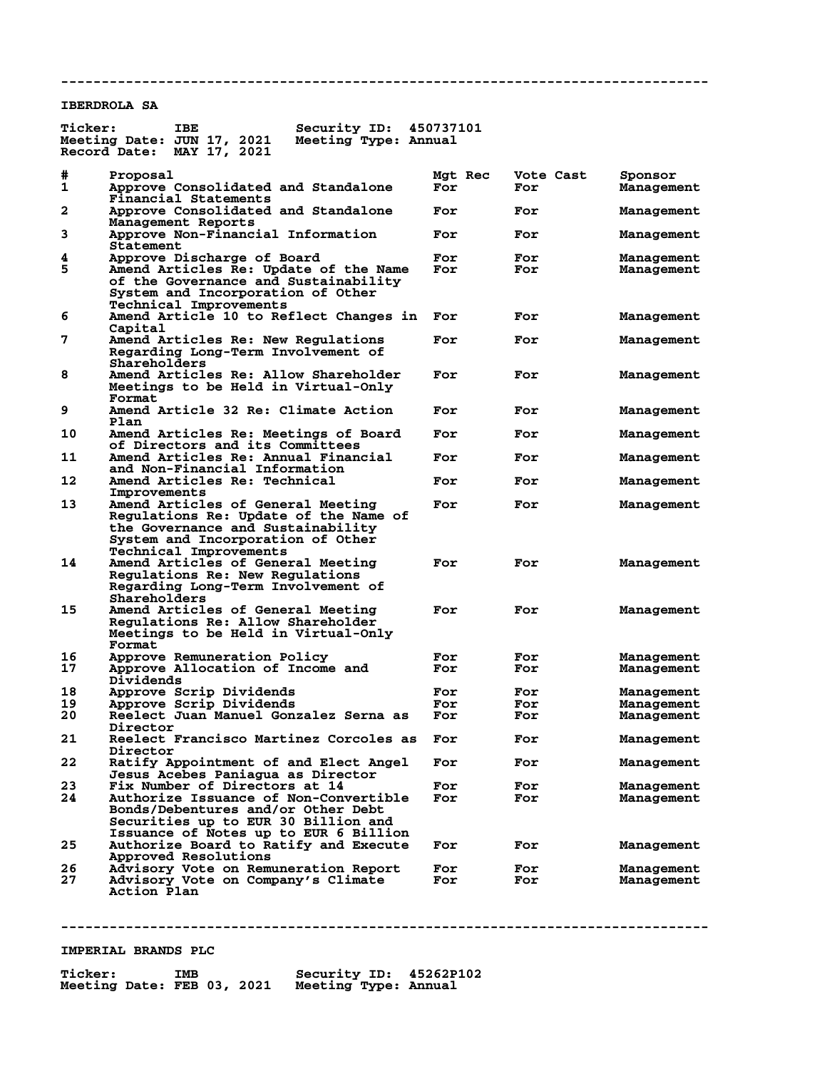### **IBERDROLA SA**

| <b>Ticker:</b> | <b>IBE</b><br>Security ID:<br>Meeting Date: JUN 17, 2021<br>Meeting Type: Annual                                                                                                             | 450737101      |                  |                                 |
|----------------|----------------------------------------------------------------------------------------------------------------------------------------------------------------------------------------------|----------------|------------------|---------------------------------|
|                | MAY 17, 2021<br>Record Date:                                                                                                                                                                 |                |                  |                                 |
| #<br>1         | Proposal<br>Approve Consolidated and Standalone<br>Financial Statements                                                                                                                      | Mgt Rec<br>For | Vote Cast<br>For | Sponsor<br><b>Management</b>    |
| $\mathbf{2}$   | Approve Consolidated and Standalone<br>Management Reports                                                                                                                                    | For            | For              | <b>Management</b>               |
| 3              | Approve Non-Financial Information<br>Statement                                                                                                                                               | For            | For              | <b>Management</b>               |
| 4<br>5         | Approve Discharge of Board<br>Amend Articles Re: Update of the Name<br>of the Governance and Sustainability<br>System and Incorporation of Other<br>Technical Improvements                   | For<br>For     | For<br>For       | <b>Management</b><br>Management |
| 6              | Amend Article 10 to Reflect Changes in<br>Capital                                                                                                                                            | For            | For              | <b>Management</b>               |
| 7              | Amend Articles Re: New Regulations<br>Regarding Long-Term Involvement of<br>Shareholders                                                                                                     | For            | For              | <b>Management</b>               |
| 8              | Amend Articles Re: Allow Shareholder<br>Meetings to be Held in Virtual-Only<br>Format                                                                                                        | For            | For              | <b>Management</b>               |
| 9              | Amend Article 32 Re: Climate Action<br>Plan                                                                                                                                                  | For            | For              | <b>Management</b>               |
| 10             | Amend Articles Re: Meetings of Board<br>of Directors and its Committees                                                                                                                      | For            | For              | <b>Management</b>               |
| 11             | Amend Articles Re: Annual Financial<br>and Non-Financial Information                                                                                                                         | For            | For              | <b>Management</b>               |
| 12             | Amend Articles Re: Technical<br>Improvements                                                                                                                                                 | For            | For              | <b>Management</b>               |
| 13             | Amend Articles of General Meeting<br>Regulations Re: Update of the Name of<br>the Governance and Sustainability<br>System and Incorporation of Other<br><b>Technical Improvements</b>        | For            | For              | Management                      |
| 14             | Amend Articles of General Meeting<br>Regulations Re: New Regulations<br>Regarding Long-Term Involvement of<br>Shareholders                                                                   | For            | For              | <b>Management</b>               |
| 15             | Amend Articles of General Meeting<br>Regulations Re: Allow Shareholder<br>Meetings to be Held in Virtual-Only<br>Format                                                                      | For            | For              | <b>Management</b>               |
| 16             | Approve Remuneration Policy                                                                                                                                                                  | For            | For              | <b>Management</b>               |
| 17             | Approve Allocation of Income and<br>Dividends                                                                                                                                                | For            | For              | <b>Management</b>               |
| 18             | Approve Scrip Dividends                                                                                                                                                                      | For            | For              | <b>Management</b>               |
| 19<br>20       | Approve Scrip Dividends<br>Reelect Juan Manuel Gonzalez Serna as                                                                                                                             | For<br>For     | For<br>For       | Management<br><b>Management</b> |
| 21             | Director<br>Reelect Francisco Martinez Corcoles as                                                                                                                                           | For            | For              | Management                      |
| 22             | Director<br>Ratify Appointment of and Elect Angel                                                                                                                                            | For            | For              | <b>Management</b>               |
|                | Jesus Acebes Paniagua as Director                                                                                                                                                            |                |                  |                                 |
| 23<br>24       | Fix Number of Directors at 14<br>Authorize Issuance of Non-Convertible<br>Bonds/Debentures and/or Other Debt<br>Securities up to EUR 30 Billion and<br>Issuance of Notes up to EUR 6 Billion | For<br>For     | For<br>For       | Management<br>Management        |
| 25             | Authorize Board to Ratify and Execute<br>Approved Resolutions                                                                                                                                | For            | For              | Management                      |
| 26             | Advisory Vote on Remuneration Report                                                                                                                                                         | For            | For              | <b>Management</b>               |
| 27             | Advisory Vote on Company's Climate<br><b>Action Plan</b>                                                                                                                                     | For            | For              | Management                      |

**--------------------------------------------------------------------------------**

**--------------------------------------------------------------------------------**

# **IMPERIAL BRANDS PLC**

| <b>Ticker:</b>             | <b>IMB</b> | Security ID: 45262P102 |  |
|----------------------------|------------|------------------------|--|
| Meeting Date: FEB 03, 2021 |            | Meeting Type: Annual   |  |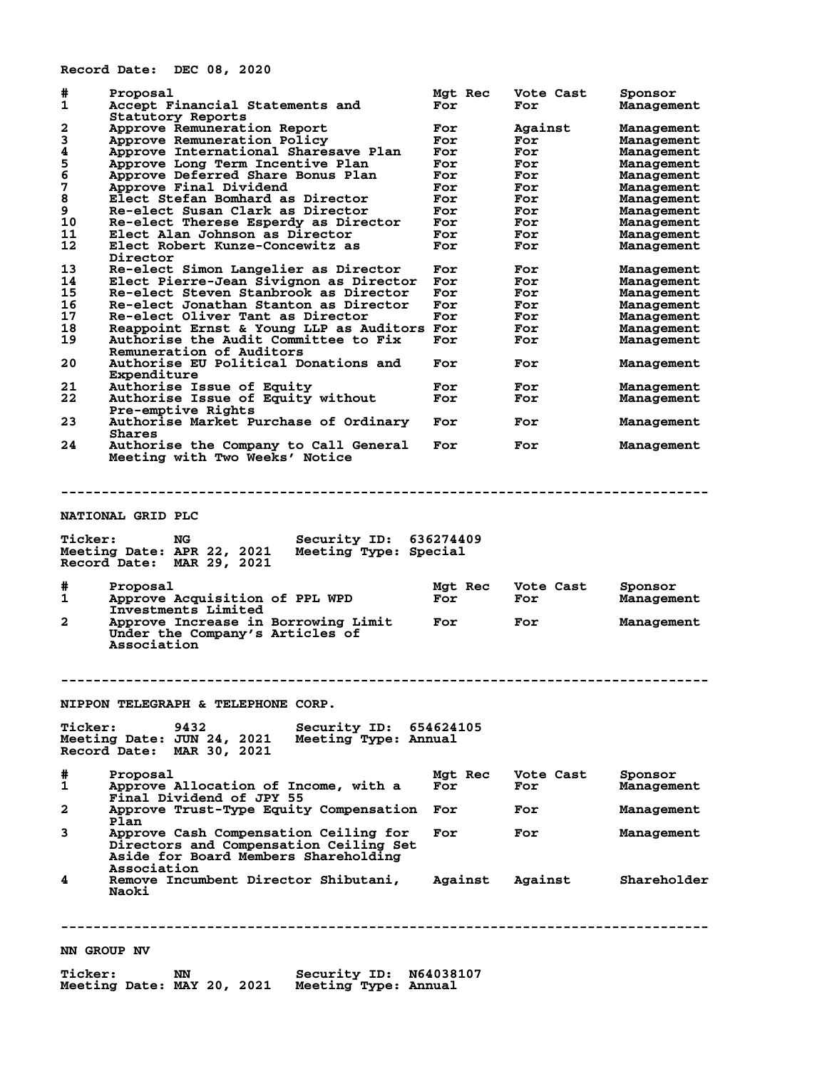**Record Date: DEC 08, 2020**

| #<br>1                  | Proposal<br>Accept Financial Statements and                 | Mgt Rec<br>For | Vote Cast<br>For | Sponsor<br>Management |
|-------------------------|-------------------------------------------------------------|----------------|------------------|-----------------------|
|                         | Statutory Reports                                           |                |                  |                       |
| 2                       | Approve Remuneration Report                                 | For            | Against          | Management            |
| 3                       | Approve Remuneration Policy                                 | For            | For              | Management            |
| $\pmb{4}$               | Approve International Sharesave Plan                        | For            | For              | Management            |
| 5                       | Approve Long Term Incentive Plan                            | For            | For              | Management            |
| $\overline{6}$          | Approve Deferred Share Bonus Plan                           | For            | For              | Management            |
| 7                       | Approve Final Dividend                                      | For            | For              | Management            |
| 8                       | Elect Stefan Bomhard as Director                            | For            | For              | Management            |
| 9                       | Re-elect Susan Clark as Director                            | For            | For              | Management            |
| 10                      | Re-elect Therese Esperdy as Director                        | For            | For              | Management            |
| 11                      | Elect Alan Johnson as Director                              | For            | For              | Management            |
| 12                      | Elect Robert Kunze-Concewitz as<br>Director                 | For            | For              | Management            |
| 13                      | Re-elect Simon Langelier as Director                        | For            | For              | Management            |
| 14                      |                                                             |                |                  |                       |
|                         | Elect Pierre-Jean Sivignon as Director                      | For            | For              | Management            |
| 15                      | Re-elect Steven Stanbrook as Director                       | For            | For              | Management            |
| 16                      | Re-elect Jonathan Stanton as Director                       | For            | For              | Management            |
| 17                      | Re-elect Oliver Tant as Director                            | For            | For              | Management            |
| 18                      | Reappoint Ernst & Young LLP as Auditors For                 |                | For              | Management            |
| 19                      | Authorise the Audit Committee to Fix                        | For            | For              | Management            |
|                         | Remuneration of Auditors                                    |                |                  |                       |
| 20                      | Authorise EU Political Donations and                        | For            | For              | Management            |
|                         | Expenditure                                                 |                |                  |                       |
| 21                      | Authorise Issue of Equity                                   | For            | For              |                       |
|                         |                                                             |                |                  | Management            |
| 22                      | Authorise Issue of Equity without                           | For            | For              | Management            |
| 23                      | Pre-emptive Rights<br>Authorise Market Purchase of Ordinary | For            | For              | Management            |
|                         | Shares                                                      |                |                  |                       |
| 24                      | Authorise the Company to Call General                       | For            | For              | Management            |
|                         | Meeting with Two Weeks' Notice                              |                |                  |                       |
|                         |                                                             |                |                  |                       |
|                         |                                                             |                |                  |                       |
|                         |                                                             |                |                  |                       |
|                         |                                                             |                |                  |                       |
|                         | NATIONAL GRID PLC                                           |                |                  |                       |
|                         |                                                             |                |                  |                       |
|                         |                                                             |                |                  |                       |
|                         |                                                             |                |                  |                       |
| <b>Ticker:</b>          | NG<br>Security ID:                                          | 636274409      |                  |                       |
|                         | Meeting Type: Special                                       |                |                  |                       |
|                         | Meeting Date: APR 22, 2021                                  |                |                  |                       |
|                         | Record Date: MAR 29, 2021                                   |                |                  |                       |
|                         |                                                             |                |                  |                       |
| #                       | Proposal                                                    | Mgt Rec        | Vote Cast        | Sponsor               |
| 1                       | Approve Acquisition of PPL WPD                              | For            | For              | Management            |
|                         | Investments Limited                                         |                |                  |                       |
| $\overline{\mathbf{2}}$ | Approve Increase in Borrowing Limit                         | For            | For              | Management            |
|                         | Under the Company's Articles of                             |                |                  |                       |
|                         | Association                                                 |                |                  |                       |
|                         |                                                             |                |                  |                       |
|                         |                                                             |                |                  |                       |
|                         |                                                             |                |                  |                       |
|                         |                                                             |                |                  |                       |
|                         |                                                             |                |                  |                       |
|                         | NIPPON TELEGRAPH & TELEPHONE CORP.                          |                |                  |                       |
|                         |                                                             |                |                  |                       |
| <b>Ticker:</b>          | 9432<br>Security ID: 654624105                              |                |                  |                       |
|                         | Meeting Date: JUN 24, 2021<br>Meeting Type: Annual          |                |                  |                       |
|                         | Record Date: MAR 30, 2021                                   |                |                  |                       |
|                         |                                                             |                |                  |                       |
|                         |                                                             |                | Vote Cast        |                       |
| #                       | Proposal                                                    | Mgt Rec        |                  | Sponsor               |
| 1                       | Approve Allocation of Income, with a                        | For            | For              | Management            |
|                         | Final Dividend of JPY 55                                    |                |                  |                       |
| 2                       | Approve Trust-Type Equity Compensation                      | For            | For              | Management            |
|                         | Plan                                                        |                |                  |                       |
| 3                       | Approve Cash Compensation Ceiling for                       | For            | For              | Management            |
|                         | Directors and Compensation Ceiling Set                      |                |                  |                       |
|                         | Aside for Board Members Shareholding                        |                |                  |                       |
|                         | Association                                                 |                |                  |                       |
|                         |                                                             |                |                  |                       |
| 4                       | Remove Incumbent Director Shibutani,                        | Against        | Against          | Shareholder           |
|                         | Naoki                                                       |                |                  |                       |
|                         |                                                             |                |                  |                       |
|                         |                                                             |                |                  |                       |
|                         |                                                             |                |                  |                       |
|                         | NN GROUP NV                                                 |                |                  |                       |

**Ticker: NN Security ID: N64038107 Meeting Date: MAY 20, 2021 Meeting Type: Annual**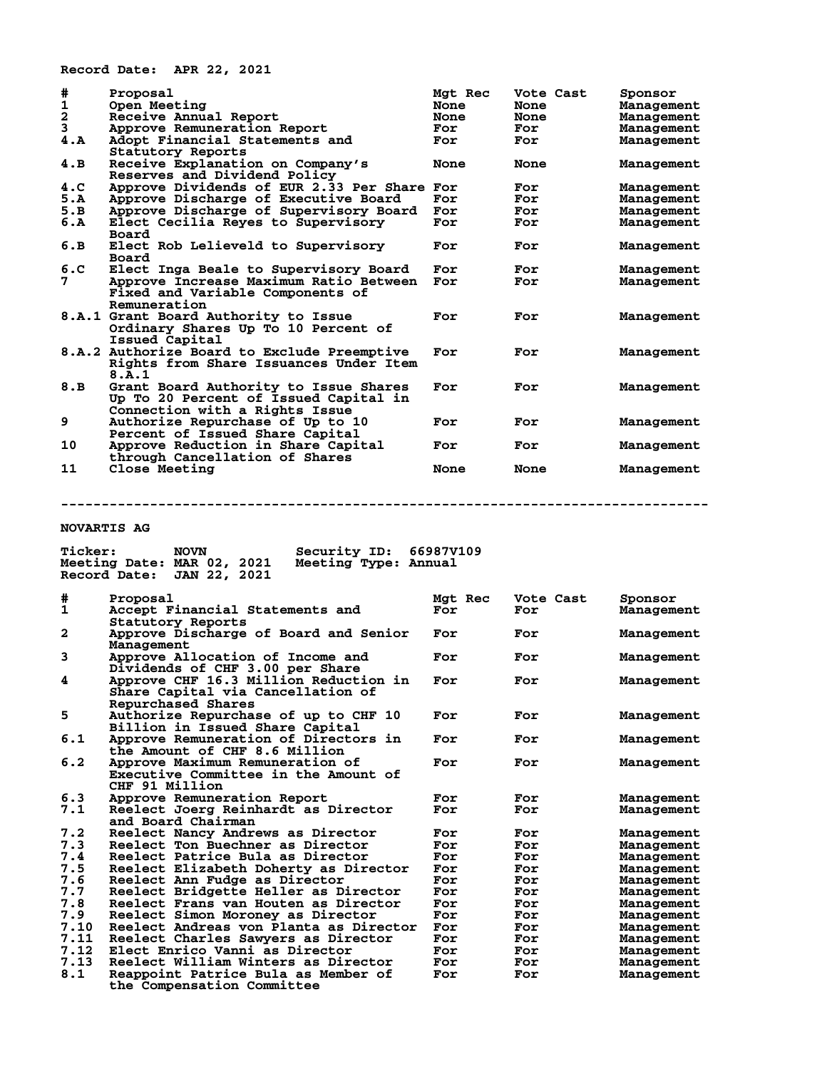**Record Date: APR 22, 2021**

| #                                  | Proposal                                    | Mgt Rec | Vote Cast | Sponsor    |
|------------------------------------|---------------------------------------------|---------|-----------|------------|
|                                    | Open Meeting                                | None    | None      | Management |
| $\frac{1}{2}$<br>$\frac{3}{4}$ . A | Receive Annual Report                       | None    | None      | Management |
|                                    | Approve Remuneration Report                 | For     | For       | Management |
|                                    | Adopt Financial Statements and              | For     | For       | Management |
|                                    | Statutory Reports                           |         |           |            |
| 4.B                                | Receive Explanation on Company's            | None    | None      | Management |
|                                    | Reserves and Dividend Policy                |         |           |            |
| 4.C                                | Approve Dividends of EUR 2.33 Per Share     | For     | For       | Management |
| 5.A                                | Approve Discharge of Executive Board        | For     | For       | Management |
| 5.B                                | Approve Discharge of Supervisory Board      | For     | For       | Management |
| 6.A                                | Elect Cecilia Reyes to Supervisory          | For     | For       | Management |
|                                    | Board                                       |         |           |            |
| 6.B                                | Elect Rob Lelieveld to Supervisory          | For     | For       | Management |
|                                    | Board                                       |         |           |            |
| 6.C                                | Elect Inga Beale to Supervisory Board       | For     | For       | Management |
| 7                                  | Approve Increase Maximum Ratio Between      | For     | For       | Management |
|                                    | Fixed and Variable Components of            |         |           |            |
|                                    | Remuneration                                |         |           |            |
|                                    | 8.A.1 Grant Board Authority to Issue        | For     | For       | Management |
|                                    | Ordinary Shares Up To 10 Percent of         |         |           |            |
|                                    | Issued Capital                              |         |           |            |
|                                    | 8.A.2 Authorize Board to Exclude Preemptive | For     | For       | Management |
|                                    | Rights from Share Issuances Under Item      |         |           |            |
|                                    | 8.A.1                                       |         |           |            |
| 8.B                                | Grant Board Authority to Issue Shares       | For     | For       | Management |
|                                    | Up To 20 Percent of Issued Capital in       |         |           |            |
|                                    | Connection with a Rights Issue              |         |           |            |
| 9                                  | Authorize Repurchase of Up to 10            | For     | For       | Management |
|                                    | Percent of Issued Share Capital             |         |           |            |
| 10                                 | Approve Reduction in Share Capital          | For     | For       | Management |
|                                    | through Cancellation of Shares              |         |           |            |
| 11                                 | <b>Close Meeting</b>                        | None    | None      | Management |

**--------------------------------------------------------------------------------**

**Ticker: NOVN Security ID: 66987V109**

### **NOVARTIS AG**

|              | Meeting Type: Annual<br>Meeting Date: MAR 02, 2021<br>Record Date:<br><b>JAN 22, 2021</b>     |         |           |            |
|--------------|-----------------------------------------------------------------------------------------------|---------|-----------|------------|
| #            | Proposal                                                                                      | Mgt Rec | Vote Cast | Sponsor    |
| $\mathbf 1$  | Accept Financial Statements and<br>Statutory Reports                                          | For     | For       | Management |
| $\mathbf{2}$ | Approve Discharge of Board and Senior<br>Management                                           | For     | For       | Management |
| 3            | Approve Allocation of Income and<br>Dividends of CHF 3.00 per Share                           | For     | For       | Management |
| 4            | Approve CHF 16.3 Million Reduction in<br>Share Capital via Cancellation of                    | For     | For       | Management |
| 5            | Repurchased Shares<br>Authorize Repurchase of up to CHF 10<br>Billion in Issued Share Capital | For     | For       | Management |
| 6.1          | Approve Remuneration of Directors in<br>the Amount of CHF 8.6 Million                         | For     | For       | Management |
| 6.2          | Approve Maximum Remuneration of<br>Executive Committee in the Amount of<br>CHF 91 Million     | For     | For       | Management |
| 6.3          | Approve Remuneration Report                                                                   | For     | For       | Management |
| 7.1          | Reelect Joerg Reinhardt as Director<br>and Board Chairman                                     | For     | For       | Management |
| 7.2          | Reelect Nancy Andrews as Director                                                             | For     | For       | Management |
| 7.3          | Reelect Ton Buechner as Director                                                              | For     | For       | Management |
| 7.4          | Reelect Patrice Bula as Director                                                              | For     | For       | Management |
| 7.5          | Reelect Elizabeth Doherty as Director                                                         | For     | For       | Management |
| 7.6          | Reelect Ann Fudge as Director                                                                 | For     | For       | Management |
| 7.7          | Reelect Bridgette Heller as Director                                                          | For     | For       | Management |
| 7.8          | Reelect Frans van Houten as Director                                                          | For     | For       | Management |
| 7.9          | Reelect Simon Moroney as Director                                                             | For     | For       | Management |
| 7.10         | Reelect Andreas von Planta as Director                                                        | For     | For       | Management |
| 7.11         | Reelect Charles Sawyers as Director                                                           | For     | For       | Management |
| 7.12         | Elect Enrico Vanni as Director                                                                | For     | For       | Management |
| 7.13         | Reelect William Winters as Director                                                           | For     | For       | Management |
| 8.1          | Reappoint Patrice Bula as Member of<br>the Compensation Committee                             | For     | For       | Management |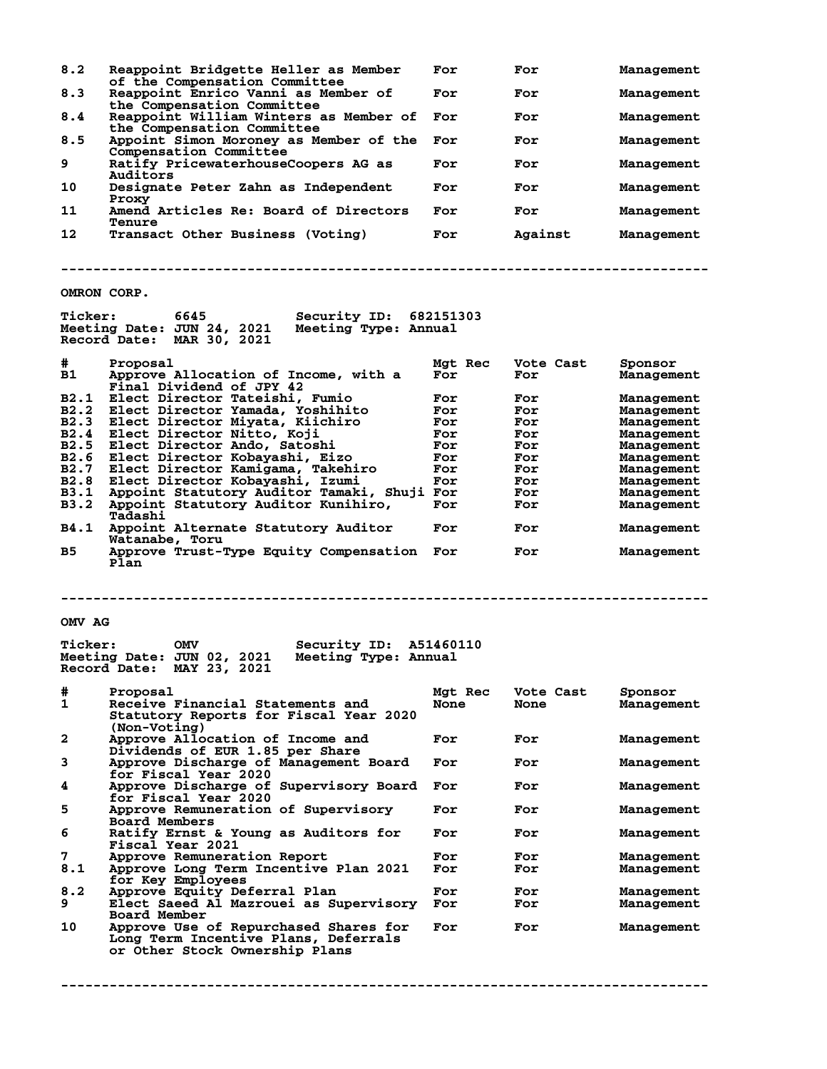| 8.2                 | Reappoint Bridgette Heller as Member                                                                                  | For         | For        | Management               |
|---------------------|-----------------------------------------------------------------------------------------------------------------------|-------------|------------|--------------------------|
| 8.3                 | of the Compensation Committee<br>Reappoint Enrico Vanni as Member of                                                  | For         | For        | Management               |
| 8.4                 | the Compensation Committee<br>Reappoint William Winters as Member of                                                  | For         | For        | Management               |
| 8.5                 | the Compensation Committee<br>Appoint Simon Moroney as Member of the                                                  | For         | For        | Management               |
| 9                   | Compensation Committee<br>Ratify PricewaterhouseCoopers AG as                                                         | For         | For        | Management               |
| 10                  | Auditors<br>Designate Peter Zahn as Independent                                                                       | For         | For        | Management               |
| 11                  | <b>Proxy</b><br>Amend Articles Re: Board of Directors                                                                 | For         | For        | Management               |
| 12                  | <b>Tenure</b><br>Transact Other Business (Voting)                                                                     | For         | Against    | Management               |
|                     |                                                                                                                       |             |            |                          |
| OMRON CORP.         |                                                                                                                       |             |            |                          |
| <b>Ticker:</b>      | <b>Security ID: 682151303</b><br>6645<br>Meeting Date: JUN 24, 2021 Meeting Type: Annual<br>Record Date: MAR 30, 2021 |             |            |                          |
| #.                  | Proposal                                                                                                              | Mat Rec     | Vote Cast  | Sponsor                  |
| B1                  | Approve Allocation of Income, with a                                                                                  | For         | For        | Management               |
|                     | Final Dividend of JPY 42<br>B2.1 Elect Director Tateishi, Fumio                                                       |             |            |                          |
| B2.2                | Elect Director Yamada, Yoshihito                                                                                      | For<br>For  | For<br>For | Management<br>Management |
| B2.3                | Elect Director Miyata, Kiichiro                                                                                       | For         | For        | Management               |
| B2.4                | Elect Director Nitto, Koji                                                                                            | For         | For        | Management               |
| B <sub>2</sub> .5   | Elect Director Ando, Satoshi                                                                                          | For         | For        | Management               |
| B2.6<br><b>B2.7</b> | Elect Director Kobayashi, Eizo                                                                                        | For         | For        | Management               |
| B2.8                | Elect Director Kamigama, Takehiro<br>Elect Director Kobayashi, Izumi                                                  | For<br>For  | For<br>For | Management<br>Management |
| B3.1                | Appoint Statutory Auditor Tamaki, Shuji For                                                                           |             | For        | Management               |
| B3.2                | Appoint Statutory Auditor Kunihiro,<br>Tadashi                                                                        | For         | For        | Management               |
| B4.1                | Appoint Alternate Statutory Auditor<br>Watanabe, Toru                                                                 | For         | For        | Management               |
| B5.                 | Approve Trust-Type Equity Compensation For<br>Plan                                                                    |             | For        | Management               |
|                     |                                                                                                                       |             |            |                          |
| OMV AG              |                                                                                                                       |             |            |                          |
|                     |                                                                                                                       |             |            |                          |
| <b>Ticker:</b>      | Security ID: A51460110<br>OMV<br>Meeting Date: JUN 02, 2021 Meeting Type: Annual<br>Record Date: MAY 23, 2021         |             |            |                          |
| #                   | Proposal                                                                                                              | Mgt Rec     | Vote Cast  | Sponsor                  |
| 1                   | Receive Financial Statements and<br>Statutory Reports for Fiscal Year 2020                                            | <b>None</b> | None       | Management               |
| 2                   | (Non-Voting)<br>Approve Allocation of Income and<br>Dividends of EUR 1.85 per Share                                   | For         | For        | Management               |
| 3                   | Approve Discharge of Management Board<br>for Fiscal Year 2020                                                         | For         | For        | Management               |
| 4                   | Approve Discharge of Supervisory Board<br><b>for Fiscal Year 2020</b>                                                 | For         | For        | Management               |
| 5                   | Approve Remuneration of Supervisory<br><b>Board Members</b>                                                           | For         | For        | Management               |
| 6                   | Ratify Ernst & Young as Auditors for<br><b>Fiscal Year 2021</b>                                                       | For         | For        | Management               |
| 7<br>8.1            | Approve Remuneration Report<br>Approve Long Term Incentive Plan 2021                                                  | For<br>For  | For<br>For | Management<br>Management |
| 8.2                 | for Key Employees<br>Approve Equity Deferral Plan                                                                     | For         | For        | Management               |
| 9                   | Elect Saeed Al Mazrouei as Supervisory<br>Board Member                                                                | For         | For        | Management               |
| 10                  | Approve Use of Repurchased Shares for<br>Long Term Incentive Plans, Deferrals<br>or Other Stock Ownership Plans       | For         | For        | Management               |
|                     |                                                                                                                       |             |            |                          |

**--------------------------------------------------------------------------------**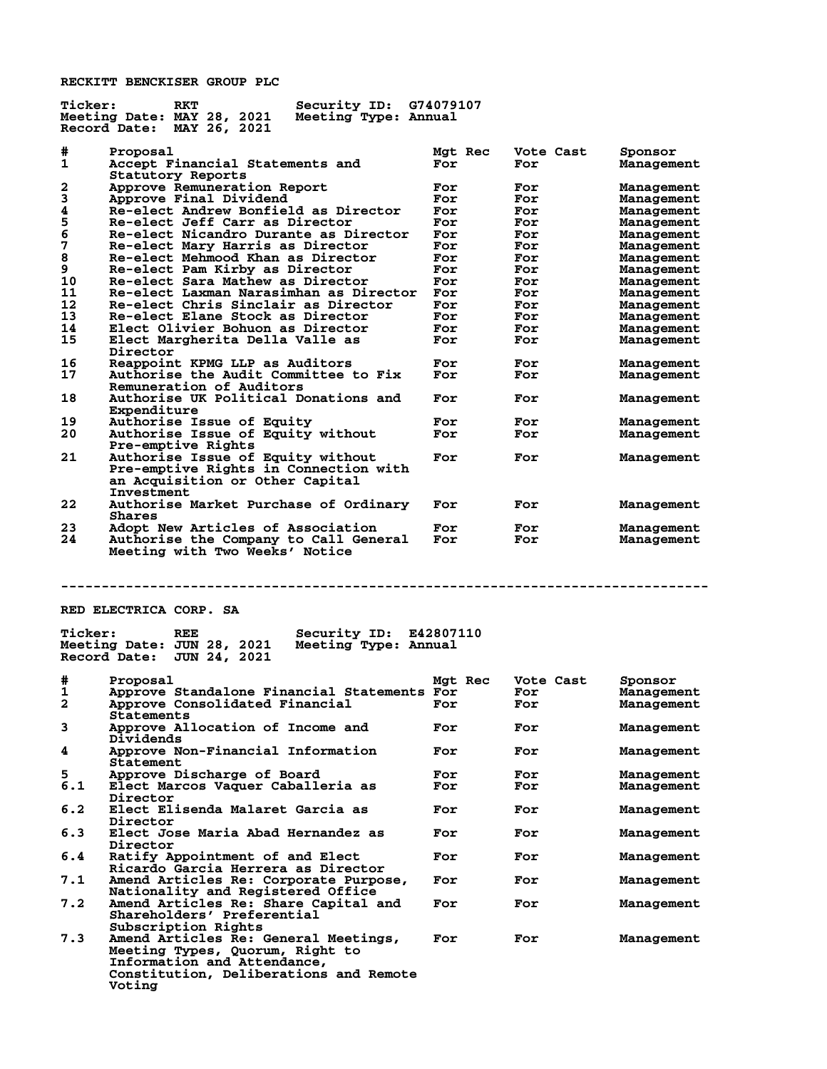**RECKITT BENCKISER GROUP PLC**

| <b>Ticker:</b> | RKT<br>Security ID:                                                       | G74079107      |           |                          |
|----------------|---------------------------------------------------------------------------|----------------|-----------|--------------------------|
|                | Meeting Date: MAY 28, 2021<br>Meeting Type: Annual                        |                |           |                          |
|                | Record Date: MAY 26, 2021                                                 |                |           |                          |
|                |                                                                           |                |           |                          |
| #<br>1         | Proposal                                                                  | Mgt Rec<br>For | Vote Cast | Sponsor                  |
|                | Accept Financial Statements and                                           |                | For       | Management               |
| 2              | Statutory Reports<br>Approve Remuneration Report                          | For            | For       |                          |
| 3              | Approve Final Dividend                                                    | For            | For       | Management<br>Management |
| 4              | Re-elect Andrew Bonfield as Director                                      | For            | For       | Management               |
| 5              | Re-elect Jeff Carr as Director                                            | For            | For       | Management               |
| 6              | Re-elect Nicandro Durante as Director                                     | For            | For       | Management               |
| 7              | Re-elect Mary Harris as Director                                          | For            | For       | Management               |
| 8              | Re-elect Mehmood Khan as Director                                         | For            | For       | Management               |
| 9              | Re-elect Pam Kirby as Director                                            | For            | For       | Management               |
| 10             | Re-elect Sara Mathew as Director                                          | For            | For       | Management               |
| 11             | Re-elect Laxman Narasimhan as Director                                    | For            | For       | Management               |
| 12             | Re-elect Chris Sinclair as Director                                       | For            | For       | Management               |
| 13             | Re-elect Elane Stock as Director                                          | For            | For       | Management               |
| 14             | Elect Olivier Bohuon as Director                                          | For            | For       | Management               |
| 15             | Elect Margherita Della Valle as                                           | For            | For       | Management               |
|                | Director                                                                  |                |           |                          |
| 16             | Reappoint KPMG LLP as Auditors                                            | For            | For       | Management               |
| 17             | <b>Authorise the Audit Committee to Fix</b>                               | For            | For       | Management               |
|                | Remuneration of Auditors                                                  |                |           |                          |
| 18             | Authorise UK Political Donations and                                      | For            | For       | Management               |
|                | Expenditure                                                               |                |           |                          |
| 19             | <b>Authorise Issue of Equity</b>                                          | For            | For       | Management               |
| 20             | Authorise Issue of Equity without                                         | For            | For       | Management               |
|                | Pre-emptive Rights                                                        |                |           |                          |
| 21             | Authorise Issue of Equity without                                         | For            | For       | Management               |
|                | Pre-emptive Rights in Connection with                                     |                |           |                          |
|                | an Acquisition or Other Capital                                           |                |           |                          |
| 22             | <b>Investment</b>                                                         | For            | For       |                          |
|                | Authorise Market Purchase of Ordinary<br>Shares                           |                |           | Management               |
| 23             | Adopt New Articles of Association                                         | For            | For       | Management               |
| 24             | Authorise the Company to Call General                                     | For            | For       | Management               |
|                |                                                                           |                |           |                          |
|                |                                                                           |                |           |                          |
|                | Meeting with Two Weeks' Notice                                            |                |           |                          |
|                |                                                                           |                |           |                          |
|                |                                                                           |                |           |                          |
|                |                                                                           |                |           |                          |
|                | RED ELECTRICA CORP. SA                                                    |                |           |                          |
|                |                                                                           |                |           |                          |
| <b>Ticker:</b> | REE<br>Security ID:                                                       | E42807110      |           |                          |
|                | Meeting Date: JUN 28, 2021<br>Meeting Type: Annual                        |                |           |                          |
|                | Record Date:<br>JUN 24, 2021                                              |                |           |                          |
|                |                                                                           |                |           |                          |
| #              | Proposal                                                                  | Mgt Rec        | Vote Cast | Sponsor                  |
| 1              | Approve Standalone Financial Statements For                               |                | For       | Management               |
| 2              | Approve Consolidated Financial For                                        |                | For       | Management               |
|                | Statements                                                                |                |           |                          |
| 3              | Approve Allocation of Income and                                          | For            | For       | Management               |
|                | Dividends                                                                 |                |           |                          |
| 4              | Approve Non-Financial Information                                         | For            | For       | Management               |
|                | Statement                                                                 |                |           |                          |
| 5              | Approve Discharge of Board                                                | For            | For       | Management               |
| 6.1            | Elect Marcos Vaquer Caballeria as                                         | For            | For       | Management               |
|                | Director                                                                  |                |           |                          |
| 6.2            | Elect Elisenda Malaret Garcia as                                          | For            | For       | Management               |
|                | Director                                                                  |                |           |                          |
| 6.3            | Elect Jose Maria Abad Hernandez as                                        | For            | For       | Management               |
|                | Director                                                                  |                |           |                          |
| 6.4            | Ratify Appointment of and Elect<br>Ricardo Garcia Herrera as Director     | For            | For       | Management               |
| 7.1            |                                                                           | For            | For       | Management               |
|                | Amend Articles Re: Corporate Purpose,                                     |                |           |                          |
| 7.2            | Nationality and Registered Office<br>Amend Articles Re: Share Capital and | For            | For       | Management               |
|                | Shareholders' Preferential                                                |                |           |                          |
|                | Subscription Rights                                                       |                |           |                          |
| 7.3            | Amend Articles Re: General Meetings,                                      | For            | For       | Management               |
|                | Meeting Types, Quorum, Right to                                           |                |           |                          |
|                | Information and Attendance,                                               |                |           |                          |
|                | Constitution, Deliberations and Remote<br>Voting                          |                |           |                          |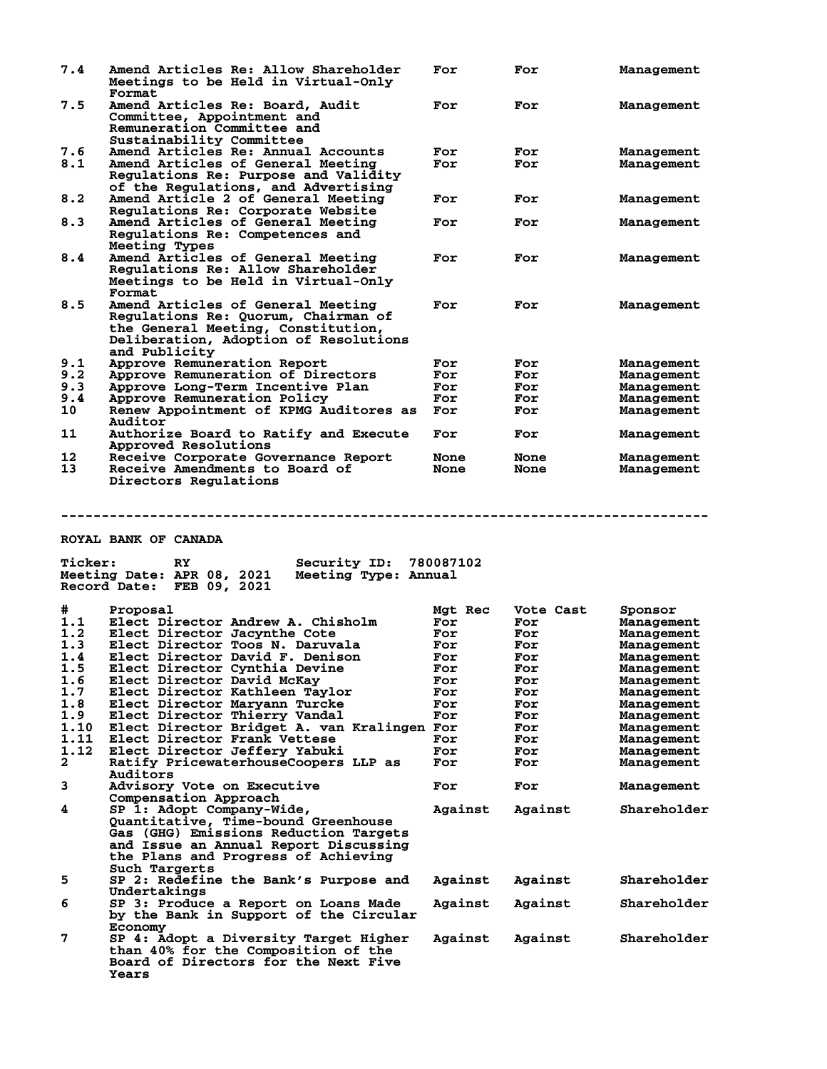| 7.4            | Amend Articles Re: Allow Shareholder                 | For         | For         | Management  |
|----------------|------------------------------------------------------|-------------|-------------|-------------|
|                | Meetings to be Held in Virtual-Only                  |             |             |             |
|                | Format                                               |             |             |             |
| 7.5            | Amend Articles Re: Board, Audit                      | For         | For         | Management  |
|                | Committee, Appointment and                           |             |             |             |
|                | Remuneration Committee and                           |             |             |             |
|                | Sustainability Committee                             |             |             |             |
| 7.6            | Amend Articles Re: Annual Accounts                   | For         | For         | Management  |
| 8.1            | Amend Articles of General Meeting                    | For         | For         | Management  |
|                | Regulations Re: Purpose and Validity                 |             |             |             |
|                | of the Regulations, and Advertising                  |             |             |             |
| 8.2            | Amend Article 2 of General Meeting                   | For         | For         | Management  |
|                | Regulations Re: Corporate Website                    |             |             |             |
| 8.3            | Amend Articles of General Meeting                    | For         | For         | Management  |
|                | Regulations Re: Competences and                      |             |             |             |
|                | Meeting Types                                        |             |             |             |
| 8.4            | Amend Articles of General Meeting                    | For         | For         | Management  |
|                | Regulations Re: Allow Shareholder                    |             |             |             |
|                | Meetings to be Held in Virtual-Only                  |             |             |             |
|                | Format                                               |             |             |             |
|                |                                                      |             |             |             |
| 8.5            | Amend Articles of General Meeting                    | For         | For         | Management  |
|                | Regulations Re: Quorum, Chairman of                  |             |             |             |
|                | the General Meeting, Constitution,                   |             |             |             |
|                | Deliberation, Adoption of Resolutions                |             |             |             |
|                | and Publicity                                        |             |             |             |
| 9.1            | Approve Remuneration Report                          | For         | For         | Management  |
| 9.2            | Approve Remuneration of Directors                    | For         | For         | Management  |
| 9.3            | Approve Long-Term Incentive Plan                     | For         | For         | Management  |
| 9.4            | Approve Remuneration Policy                          | For         | For         | Management  |
| 10             | Renew Appointment of KPMG Auditores as               | For         | For         | Management  |
|                | Auditor                                              |             |             |             |
| 11             | Authorize Board to Ratify and Execute                | For         | For         | Management  |
|                | Approved Resolutions                                 |             |             |             |
| 12             | Receive Corporate Governance Report                  | None        | None        | Management  |
| 13             | Receive Amendments to Board of                       | <b>None</b> | <b>None</b> | Management  |
|                | Directors Regulations                                |             |             |             |
| <b>Ticker:</b> | ROYAL BANK OF CANADA<br>Security ID: 780087102<br>RY |             |             |             |
|                | Meeting Date: APR 08, 2021<br>Meeting Type: Annual   |             |             |             |
|                | Record Date: FEB 09, 2021                            |             |             |             |
|                |                                                      |             |             |             |
| #              | Proposal                                             | Mgt Rec     | Vote Cast   | Sponsor     |
| 1.1            | Elect Director Andrew A. Chisholm                    | For         | For         | Management  |
| 1.2            | Elect Director Jacynthe Cote                         | For         | For         | Management  |
| 1.3            | Elect Director Toos N. Daruvala                      | For         | For         | Management  |
| 1.4            | Elect Director David F. Denison                      |             |             |             |
| 1.5            | Elect Director Cynthia Devine                        | For         | For         | Management  |
|                |                                                      | For<br>For  | For<br>For  | Management  |
| 1.6            | Elect Director David McKay                           |             |             |             |
| 1.7            |                                                      |             |             | Management  |
| 1.8            | Elect Director Kathleen Taylor                       | For         | For         | Management  |
| 1.9            | Elect Director Maryann Turcke                        | For         | For         | Management  |
|                | Elect Director Thierry Vandal                        | For         | For         | Management  |
| 1.10           | Elect Director Bridget A. van Kralingen For          |             | For         | Management  |
| 1.11           | Elect Director Frank Vettese                         | For         | For         | Management  |
| 1.12           | Elect Director Jeffery Yabuki                        | For         | For         | Management  |
| $\mathbf{2}$   | Ratify PricewaterhouseCoopers LLP as                 | For         | For         | Management  |
|                | Auditors                                             |             |             |             |
|                |                                                      |             |             |             |
| 3              | Advisory Vote on Executive                           | For         | For         | Management  |
|                | Compensation Approach                                |             |             |             |
| 4              | SP 1: Adopt Company-Wide,                            | Against     | Against     | Shareholder |
|                | Quantitative, Time-bound Greenhouse                  |             |             |             |
|                | Gas (GHG) Emissions Reduction Targets                |             |             |             |
|                | and Issue an Annual Report Discussing                |             |             |             |
|                | the Plans and Progress of Achieving                  |             |             |             |
|                | Such Targerts                                        |             |             |             |
| 5              | SP 2: Redefine the Bank's Purpose and                | Against     | Against     | Shareholder |
|                | Undertakings                                         |             |             |             |
| 6              | SP 3: Produce a Report on Loans Made                 | Against     | Against     | Shareholder |
|                | by the Bank in Support of the Circular<br>Economy    |             |             |             |

**7 SP 4: Adopt a Diversity Target Higher Against Against Shareholder than 40% for the Composition of the Board of Directors for the Next Five Years**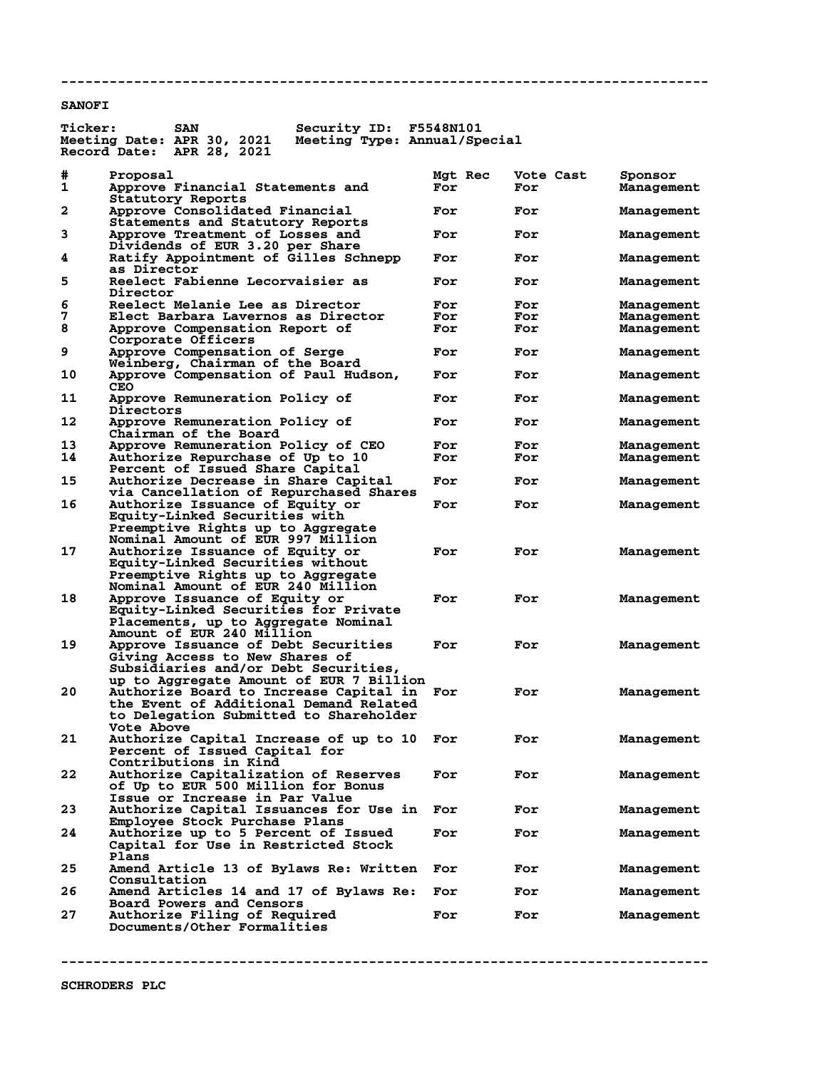## **SANOFI**

| <b>Ticker:</b> | <b>SAN</b>                                                                    | Security ID:                 | F5548N101      |                  |                       |
|----------------|-------------------------------------------------------------------------------|------------------------------|----------------|------------------|-----------------------|
|                | Meeting Date: APR 30, 2021<br>Record Date:<br>APR 28, 2021                    | Meeting Type: Annual/Special |                |                  |                       |
|                |                                                                               |                              |                |                  |                       |
| #<br>1         | Proposal<br>Approve Financial Statements and<br>Statutory Reports             |                              | Mgt Rec<br>For | Vote Cast<br>For | Sponsor<br>Management |
| $\mathbf{2}$   | Approve Consolidated Financial<br>Statements and Statutory Reports            |                              | For            | For              | Management            |
| 3              | Approve Treatment of Losses and<br>Dividends of EUR 3.20 per Share            |                              | For            | For              | Management            |
| 4              | Ratify Appointment of Gilles Schnepp<br>as Director                           |                              | For            | For              | Management            |
| 5              | <b>Reelect Fabienne Lecorvaisier as</b><br>Director                           |                              | For            | For              | Management            |
| 6              | Reelect Melanie Lee as Director                                               |                              | For            | For              | Management            |
| 7              | Elect Barbara Lavernos as Director                                            |                              | For            | For              | Management            |
| 8              | Approve Compensation Report of                                                |                              | For            | For              | Management            |
|                | Corporate Officers                                                            |                              |                |                  |                       |
| 9              | Approve Compensation of Serge                                                 |                              | For            | For              | Management            |
|                | Weinberg, Chairman of the Board                                               |                              |                |                  |                       |
| 10             | Approve Compensation of Paul Hudson,<br><b>CEO</b>                            |                              | For            | For              | Management            |
| 11             | Approve Remuneration Policy of<br>Directors                                   |                              | For            | For              | Management            |
| 12             | Approve Remuneration Policy of<br>Chairman of the Board                       |                              | For            | For              | Management            |
| 13             | Approve Remuneration Policy of CEO                                            |                              | For            | For              | Management            |
| 14             | Authorize Repurchase of Up to 10                                              |                              | For            | For              | Management            |
|                | Percent of Issued Share Capital                                               |                              |                |                  |                       |
| 15             | Authorize Decrease in Share Capital<br>via Cancellation of Repurchased Shares |                              | For            | For              | Management            |
| 16             | Authorize Issuance of Equity or                                               |                              | For            | For              |                       |
|                | <b>Equity-Linked Securities with</b>                                          |                              |                |                  | Management            |
|                | Preemptive Rights up to Aggregate<br>Nominal Amount of EUR 997 Million        |                              |                |                  |                       |
|                |                                                                               |                              |                |                  |                       |
| 17             | Authorize Issuance of Equity or                                               |                              | For            | For              | Management            |
|                | Equity-Linked Securities without                                              |                              |                |                  |                       |
|                | Preemptive Rights up to Aggregate                                             |                              |                |                  |                       |
|                | Nominal Amount of EUR 240 Million                                             |                              |                |                  |                       |
| 18             | Approve Issuance of Equity or                                                 |                              | For            | For              | Management            |
|                | Equity-Linked Securities for Private                                          |                              |                |                  |                       |
|                | Placements, up to Aggregate Nominal                                           |                              |                |                  |                       |
|                | Amount of EUR 240 Million                                                     |                              |                |                  |                       |
| 19             | Approve Issuance of Debt Securities                                           |                              | For            | For              | Management            |
|                | Giving Access to New Shares of                                                |                              |                |                  |                       |
|                | Subsidiaries and/or Debt Securities,                                          |                              |                |                  |                       |
|                | up to Aggregate Amount of EUR 7 Billion                                       |                              |                |                  |                       |
| 20             | Authorize Board to Increase Capital in                                        |                              | For            | For              | Management            |
|                | the Event of Additional Demand Related                                        |                              |                |                  |                       |
|                | to Delegation Submitted to Shareholder                                        |                              |                |                  |                       |
|                | <b>Vote Above</b>                                                             |                              |                |                  |                       |
| 21             | Authorize Capital Increase of up to 10                                        |                              | For            | For              | Management            |
|                | Percent of Issued Capital for                                                 |                              |                |                  |                       |
|                | Contributions in Kind                                                         |                              |                |                  |                       |
| 22             | Authorize Capitalization of Reserves                                          |                              | For            | For              | Management            |
|                | of Up to EUR 500 Million for Bonus                                            |                              |                |                  |                       |
|                | Issue or Increase in Par Value                                                |                              |                |                  |                       |
| 23             | Authorize Capital Issuances for Use in                                        |                              | For            | For              | Management            |
|                | Employee Stock Purchase Plans                                                 |                              |                |                  |                       |
|                |                                                                               |                              |                |                  |                       |
| 24             | Authorize up to 5 Percent of Issued                                           |                              | For            | For              | Management            |
|                | Capital for Use in Restricted Stock                                           |                              |                |                  |                       |
|                | Plans                                                                         |                              |                |                  |                       |
| 25             | Amend Article 13 of Bylaws Re: Written                                        |                              | For            | For              | Management            |
|                | Consultation                                                                  |                              |                |                  |                       |
| 26             | Amend Articles 14 and 17 of Bylaws Re:                                        |                              | For            | For              | Management            |
|                | Board Powers and Censors                                                      |                              |                |                  |                       |
| 27             | Authorize Filing of Required                                                  |                              | For            | For              | Management            |
|                | Documents/Other Formalities                                                   |                              |                |                  |                       |
|                |                                                                               |                              |                |                  |                       |

**--------------------------------------------------------------------------------**

**--------------------------------------------------------------------------------**

**SCHRODERS PLC**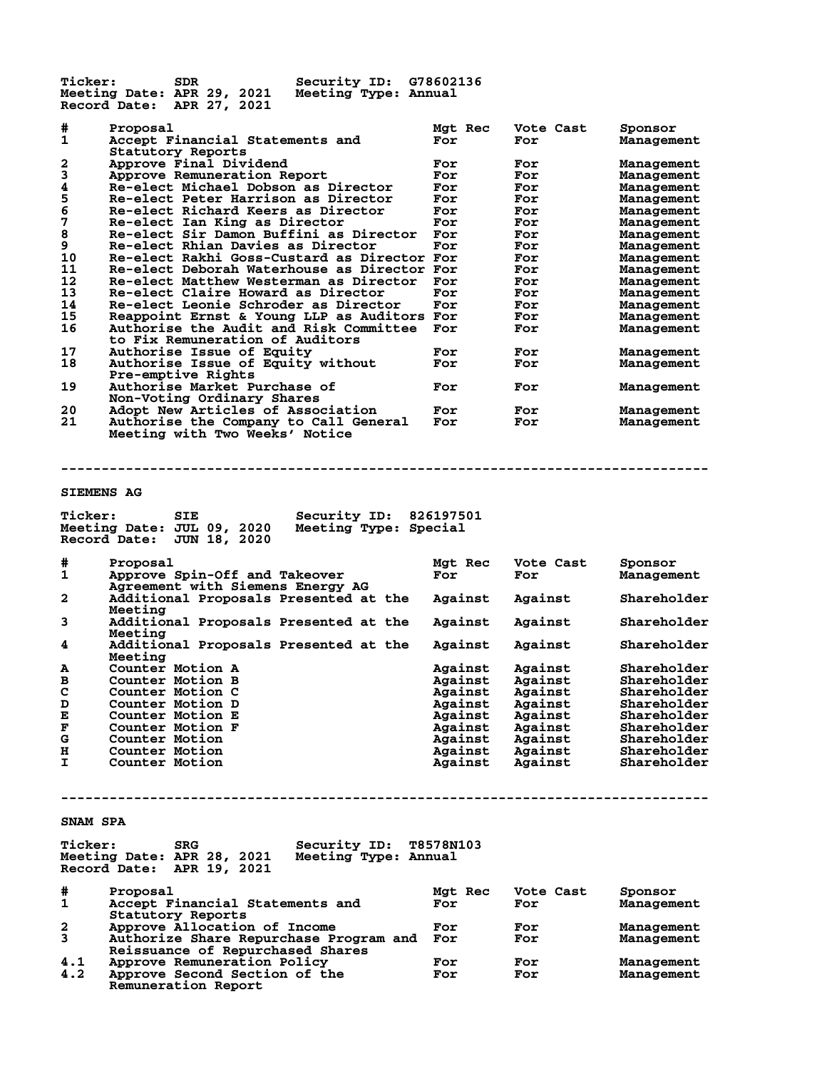**Ticker: SDR Security ID: G78602136 Meeting Date: APR 29, 2021 Meeting Type: Annual Record Date: APR 27, 2021 # Proposal Mgt Rec Vote Cast Sponsor** Accept Financial Statements and For For **Statutory Reports<br>2 Approve Final Dividend 2 Approve Final Dividend For For Management 3 Approve Remuneration Report For For Management 4 Re-elect Michael Dobson as Director For For Management 5 Re-elect Peter Harrison as Director For For Management 6** Re-elect Peter Harrison as Director For For Management<br> **6** Re-elect Richard Keers as Director For For Management<br> **6** Re-elect Ian King as Director For For Management<br> **8** Re-elect Sir Damon Buffini as Director For Fo **7 Re-elect Ian King as Director For For Management 8 Re-elect Sir Damon Buffini as Director For For Management 9 Re-elect Ian King as Director Consumers as Director For The Management<br>
9 Re-elect Rhian Davies as Director For For Management<br>
10 Re-elect Rakhi Goss-Custard as Director For For Management<br>
11 Re-elect Deborah Waterhou 10 Re-elect Rakhi Goss-Custard as Director For For Management 11 Re-elect Deborah Waterhouse as Director For For Management** 11 Re-elect Deborah Waterhouse as Director For Management<br>12 Re-elect Matthew Westerman as Director For Management<br>13 Re-elect Claire Howard as Director **13 Re-elect Claire Howard as Director For For Management 14 Re-elect Leonie Schroder as Director For For Management 15 Reappoint Ernst & Young LLP as Auditors For For Management 16 Authorise the Audit and Risk Committee For For Management to Fix Remuneration of Auditors 17 Authorise Issue of Equity For For Management 18 Authorise Issue of Equity without For For Management Pre-emptive Rights** Authorise Market Purchase of **For For For Management** Non-Voting Ordinary Shares  **Non-Voting Ordinary Shares 20 Adopt New Articles of Association For For Management 21 Authorise the Company to Call General For For Management Meeting with Two Weeks' Notice -------------------------------------------------------------------------------- SIEMENS AG Ticker: SIE Security ID: 826197501 Meeting Date: JUL 09, 2020 Meeting Type: Special Record Date: JUN 18, 2020 # Proposal Mgt Rec Vote Cast Sponsor** Approve Spin-Off and Takeover For  **Agreement with Siemens Energy AG 2 Additional Proposals Presented at the Against Against Shareholder** Meeting<br>3 Additio<sub>1</sub> **3 Additional Proposals Presented at the Against Against Shareholder** Meeting<br>4 Addition **4 Additional Proposals Presented at the Against Against Shareholder Meeting A Counter Motion A Against Against Shareholder B Counter Motion B Against Against Shareholder C Counter Motion C Against Against Shareholder D Counter Motion D Against Against Shareholder E Counter Motion D E Counter Motion E** Against Against Shareholder<br> **E Counter Motion E Against Against Shareholder**<br> **E Counter Motion F Against Against Shareholder**<br> **G Counter Motion B** Against Against Shareholder **F Counter Motion F Against Against Shareholder G Counter Motion Against Against Shareholder France Counter Motion Against Against Shareholder<br>
H Counter Motion Against Against Shareholder<br>
H Counter Motion Against Against Shareholder<br>
Against Against Shareholder Counter Motion -------------------------------------------------------------------------------- SNAM SPA Ticker: SRG Security ID: T8578N103 Meeting Date: APR 28, 2021 Meeting Type: Annual Record Date: APR 19, 2021 # Proposal Mgt Rec Vote Cast Sponsor** Accept Financial Statements and **Statutory Reports<br>2 Approve Allocation<br>3 Authorize Share Re 2 Approve Allocation of Income For For Management 3 Authorize Share Repurchase Program and For For Management Reissuance of Repurchased Shares 4.1 Approve Remuneration Policy For For Management 4.2 Approve Second Section of the For For Management**

 **Remuneration Report**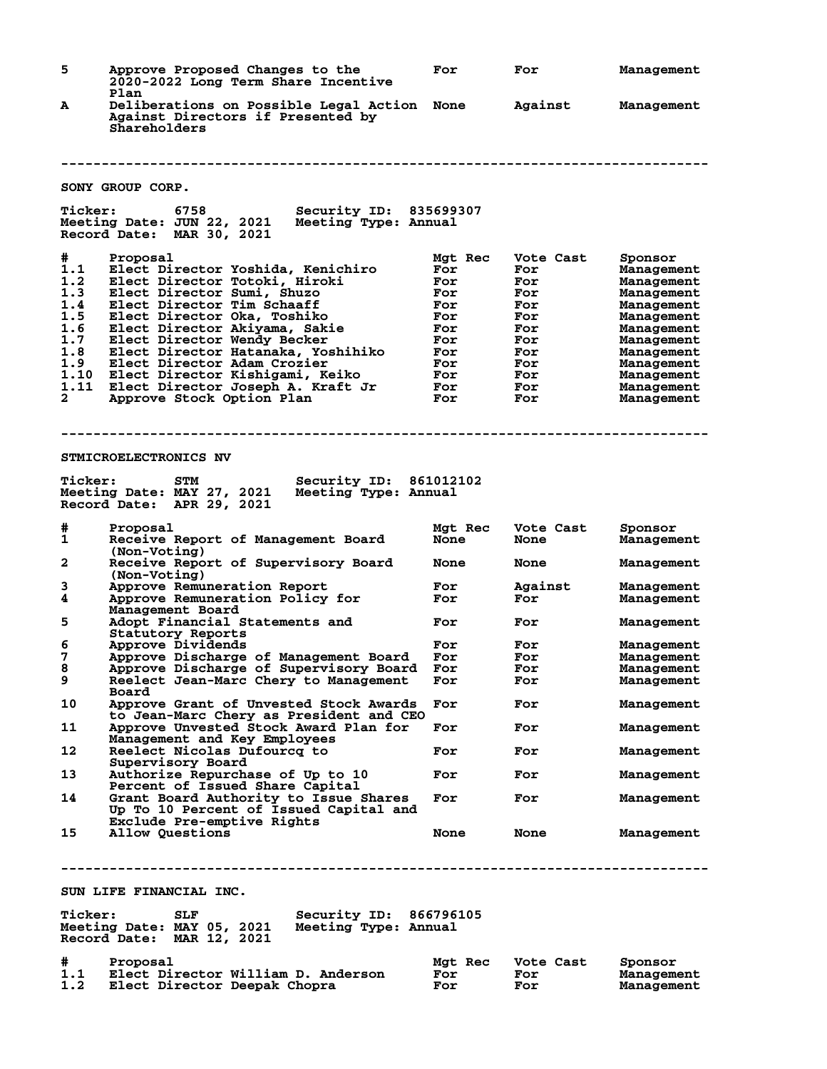| 5              | Approve Proposed Changes to the<br>2020-2022 Long Term Share Incentive<br>Plan                                   | For         | For            | Management               |
|----------------|------------------------------------------------------------------------------------------------------------------|-------------|----------------|--------------------------|
| A              | Deliberations on Possible Legal Action None<br>Against Directors if Presented by<br>Shareholders                 |             | Against        | Management               |
|                |                                                                                                                  |             |                |                          |
|                | SONY GROUP CORP.                                                                                                 |             |                |                          |
| <b>Ticker:</b> | 6758<br><b>Security ID: 835699307</b>                                                                            |             |                |                          |
|                | Meeting Date: JUN 22, 2021<br>Meeting Type: Annual<br>Record Date: MAR 30, 2021                                  |             |                |                          |
| #              | Proposal                                                                                                         | Mgt Rec     | Vote Cast      | Sponsor                  |
| 1.1            | Elect Director Yoshida, Kenichiro                                                                                | For         | For            | Management               |
| 1.2<br>1.3     | Elect Director Totoki, Hiroki<br>Elect Director Sumi, Shuzo                                                      | For<br>For  | For<br>For     | Management<br>Management |
| 1.4            | Elect Director Tim Schaaff                                                                                       | For         | For            | Management               |
| 1.5            | Elect Director Oka, Toshiko                                                                                      | For         | For            | Management               |
| 1.6            | Elect Director Akiyama, Sakie                                                                                    | For         | For            | Management               |
| 1.7            | Elect Director Wendy Becker                                                                                      | For         | For            | Management               |
| 1.8<br>1.9     | Elect Director Hatanaka, Yoshihiko<br>Elect Director Adam Crozier                                                | For<br>For  | For<br>For     | Management               |
| 1.10           | Elect Director Kishigami, Keiko                                                                                  | For         | For            | Management<br>Management |
| 1.11           | Elect Director Joseph A. Kraft Jr                                                                                | For         | For            | Management               |
| $\mathbf{2}$   | Approve Stock Option Plan                                                                                        | For         | For            | Management               |
|                | <b>STMICROELECTRONICS NV</b>                                                                                     |             |                |                          |
|                |                                                                                                                  |             |                |                          |
| <b>Ticker:</b> | Security ID: 861012102<br>STM<br>Meeting Date: MAY 27, 2021<br>Meeting Type: Annual<br>Record Date: APR 29, 2021 |             |                |                          |
| #              | Proposal                                                                                                         | Mgt Rec     | Vote Cast      | Sponsor                  |
| 1              | Receive Report of Management Board<br>(Non-Voting)                                                               | <b>None</b> | <b>None</b>    | Management               |
| 2              | Receive Report of Supervisory Board<br>(Non-Voting)                                                              | <b>None</b> | <b>None</b>    | Management               |
| 3<br>4         | Approve Remuneration Report<br>Approve Remuneration Policy for                                                   | For<br>For  | Against<br>For | Management<br>Management |
|                | Management Board                                                                                                 |             |                |                          |
| 5              | Adopt Financial Statements and                                                                                   | For         | For            | Management               |
|                | Statutory Reports                                                                                                |             |                |                          |
| 6<br>7         | <b>Approve Dividends</b>                                                                                         | For<br>For  | For<br>For     | Management               |
| 8              | Approve Discharge of Management Board<br>Approve Discharge of Supervisory Board                                  | For         | For            | Management<br>Management |
| 9              | Reelect Jean-Marc Chery to Management                                                                            | For         | For            | Management               |
|                | Board                                                                                                            |             |                |                          |
| 10             | Approve Grant of Unvested Stock Awards<br>to Jean-Marc Chery as President and CEO                                | For         | For            | Management               |
| 11             | Approve Unvested Stock Award Plan for                                                                            | For         | For            | Management               |
|                | Management and Key Employees                                                                                     |             |                |                          |
| 12             | Reelect Nicolas Dufourcq to                                                                                      | For         | For            | Management               |
|                | Supervisory Board                                                                                                |             |                |                          |
| 13             | Authorize Repurchase of Up to 10<br>Percent of Issued Share Capital                                              | For         | For            | Management               |
| 14             | Grant Board Authority to Issue Shares<br>Up To 10 Percent of Issued Capital and                                  | For         | For            | Management               |
|                | Exclude Pre-emptive Rights                                                                                       |             |                |                          |
| 15             | Allow Ouestions                                                                                                  | <b>None</b> | <b>None</b>    | Management               |
|                | SUN LIFE FINANCIAL INC.                                                                                          |             |                |                          |
|                |                                                                                                                  |             |                |                          |
| <b>Ticker:</b> | Security ID: 866796105<br>SLF<br>Meeting Date: MAY 05, 2021<br>Meeting Type: Annual<br>Record Date: MAR 12, 2021 |             |                |                          |
| #              | Proposal                                                                                                         | Mgt Rec     | Vote Cast      | Sponsor                  |
| 1.1<br>1.2     | Elect Director William D. Anderson<br>Elect Director Deepak Chopra                                               | For<br>For  | For<br>For     | Management<br>Management |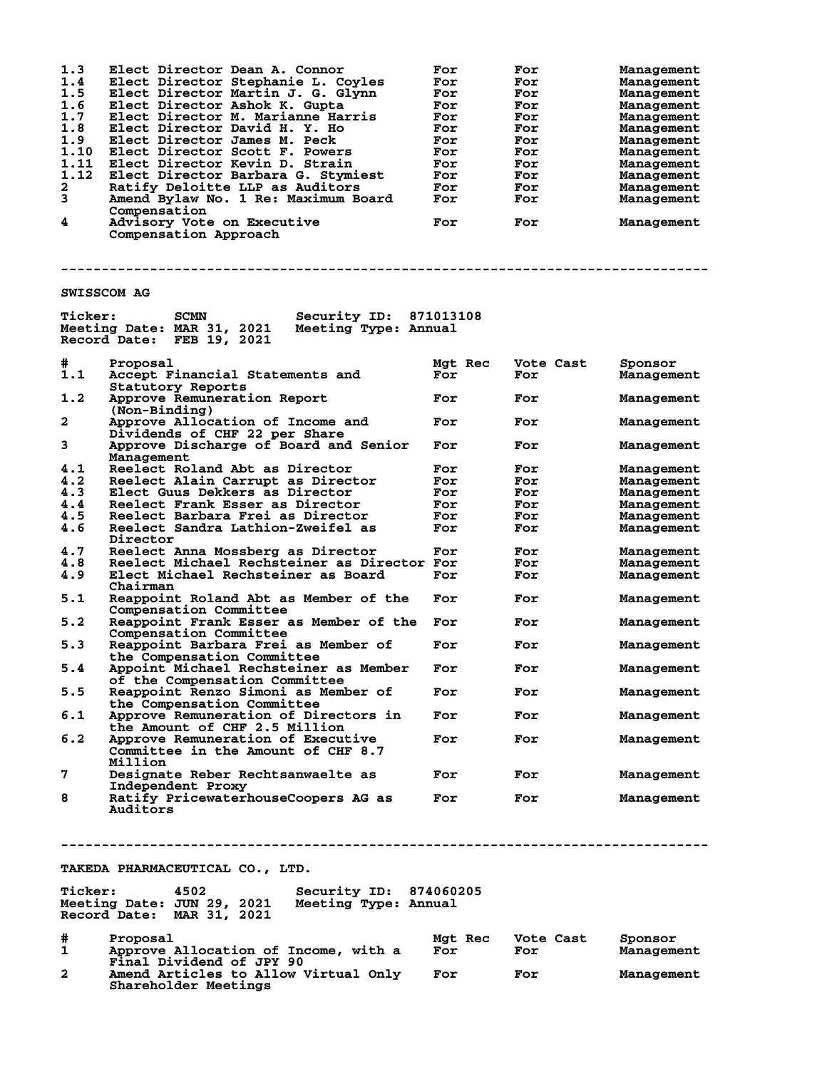| 1.3                | Elect Director Dean A. Connor                                                                                            | For     | For       | Management |
|--------------------|--------------------------------------------------------------------------------------------------------------------------|---------|-----------|------------|
| 1.4                | Elect Director Stephanie L. Coyles                                                                                       | For     | For       | Management |
| 1.5                | Elect Director Martin J. G. Glynn                                                                                        | For     | For       | Management |
| 1.6                | Elect Director Ashok K. Gupta                                                                                            | For     |           |            |
|                    |                                                                                                                          |         | For       | Management |
| 1.7                | Elect Director M. Marianne Harris                                                                                        | For     | For       | Management |
| 1.8                | Elect Director David H. Y. Ho                                                                                            | For     | For       | Management |
| 1.9                | Elect Director James M. Peck                                                                                             | For     | For       | Management |
| 1.10               | Elect Director Scott F. Powers                                                                                           | For     | For       | Management |
| 1.11               | Elect Director Kevin D. Strain                                                                                           | For     | For       | Management |
| 1.12               |                                                                                                                          |         |           |            |
|                    | Elect Director Barbara G. Stymiest                                                                                       | For     | For       | Management |
| 2                  | Ratify Deloitte LLP as Auditors                                                                                          | For     | For       | Management |
| 3                  | Amend Bylaw No. 1 Re: Maximum Board                                                                                      | For     | For       | Management |
|                    | Compensation                                                                                                             |         |           |            |
| 4                  | Advisory Vote on Executive                                                                                               | For     | For       | Management |
|                    | Compensation Approach                                                                                                    |         |           |            |
|                    |                                                                                                                          |         |           |            |
|                    |                                                                                                                          |         |           |            |
| <b>SWISSCOM AG</b> |                                                                                                                          |         |           |            |
| <b>Ticker:</b>     | Security ID: 871013108<br><b>SCMN</b><br>Meeting Date: MAR 31, 2021<br>Meeting Type: Annual<br>Record Date: FEB 19, 2021 |         |           |            |
| #                  | Proposal                                                                                                                 | Mgt Rec | Vote Cast | Sponsor    |
| 1.1                | Accept Financial Statements and<br>Statutory Reports                                                                     | For     | For       | Management |
| 1.2                | Approve Remuneration Report<br>$(Non-Binding)$                                                                           | For     | For       | Management |
| $\mathbf{2}$       | Approve Allocation of Income and<br>Dividends of CHF 22 per Share                                                        | For     | For       | Management |
| 3                  | Approve Discharge of Board and Senior<br>Management                                                                      | For     | For       | Management |
|                    |                                                                                                                          |         |           |            |
| 4.1                | Reelect Roland Abt as Director                                                                                           | For     | For       | Management |
| 4.2                | Reelect Alain Carrupt as Director                                                                                        | For     | For       | Management |
| 4.3                | Elect Guus Dekkers as Director                                                                                           | For     | For       | Management |
| 4.4                | Reelect Frank Esser as Director                                                                                          | For     | For       |            |
|                    |                                                                                                                          |         |           | Management |
| 4.5                | Reelect Barbara Frei as Director                                                                                         | For     | For       | Management |
| 4.6                | Reelect Sandra Lathion-Zweifel as                                                                                        | For     | For       | Management |
|                    | Director                                                                                                                 |         |           |            |
| 4.7                | Reelect Anna Mossberg as Director                                                                                        | For     | For       | Management |
| 4.8                | Reelect Michael Rechsteiner as Director For                                                                              |         | For       | Management |
| 4.9                | Elect Michael Rechsteiner as Board                                                                                       | For     |           |            |
|                    |                                                                                                                          |         | For       | Management |
|                    | Chairman                                                                                                                 |         |           |            |
| 5.1                | Reappoint Roland Abt as Member of the                                                                                    | For     | For       | Management |
|                    | Compensation Committee                                                                                                   |         |           |            |
| 5.2                | Reappoint Frank Esser as Member of the For                                                                               |         | For       | Management |
|                    | Compensation Committee                                                                                                   |         |           |            |
|                    |                                                                                                                          |         |           |            |
| 5.3                | Reappoint Barbara Frei as Member of                                                                                      | For     | For       | Management |
|                    | the Compensation Committee                                                                                               |         |           |            |
| 5.4                | Appoint Michael Rechsteiner as Member                                                                                    | For     | For       | Management |
|                    | of the Compensation Committee                                                                                            |         |           |            |
| 5.5                | Reappoint Renzo Simoni as Member of                                                                                      | For     | For       | Management |
|                    |                                                                                                                          |         |           |            |
|                    | the Compensation Committee                                                                                               |         |           |            |
| 6.1                | Approve Remuneration of Directors in                                                                                     | For     | For       | Management |
|                    | the Amount of CHF 2.5 Million                                                                                            |         |           |            |
| 6.2                | Approve Remuneration of Executive                                                                                        | For     | For       | Management |
|                    | Committee in the Amount of CHF 8.7                                                                                       |         |           |            |
|                    | Million                                                                                                                  |         |           |            |
|                    |                                                                                                                          |         |           |            |
| 7                  | Designate Reber Rechtsanwaelte as                                                                                        | For     | For       | Management |
|                    | Independent Proxy                                                                                                        |         |           |            |
| 8                  | Ratify PricewaterhouseCoopers AG as                                                                                      | For     | For       | Management |
|                    | Auditors                                                                                                                 |         |           |            |
|                    |                                                                                                                          |         |           |            |
|                    |                                                                                                                          |         |           |            |
|                    |                                                                                                                          |         |           |            |
|                    |                                                                                                                          |         |           |            |
|                    |                                                                                                                          |         |           |            |
|                    | <b>TAKEDA PHARMACEUTICAL CO., LTD.</b>                                                                                   |         |           |            |
|                    |                                                                                                                          |         |           |            |
|                    |                                                                                                                          |         |           |            |
| <b>Ticker:</b>     | 4502<br>Security ID: 874060205                                                                                           |         |           |            |
|                    | Meeting Date: JUN 29, 2021 Meeting Type: Annual                                                                          |         |           |            |
|                    | Record Date: MAR 31, 2021                                                                                                |         |           |            |
|                    |                                                                                                                          |         |           |            |
| #                  | Proposal                                                                                                                 | Mgt Rec | Vote Cast | Sponsor    |
|                    |                                                                                                                          |         |           |            |
| 1                  | Approve Allocation of Income, with a                                                                                     | For     | For       | Management |
|                    | Final Dividend of JPY 90                                                                                                 |         |           |            |
| $\mathbf{2}$       | Amend Articles to Allow Virtual Only                                                                                     | For     | For       | Management |
|                    | Shareholder Meetings                                                                                                     |         |           |            |
|                    |                                                                                                                          |         |           |            |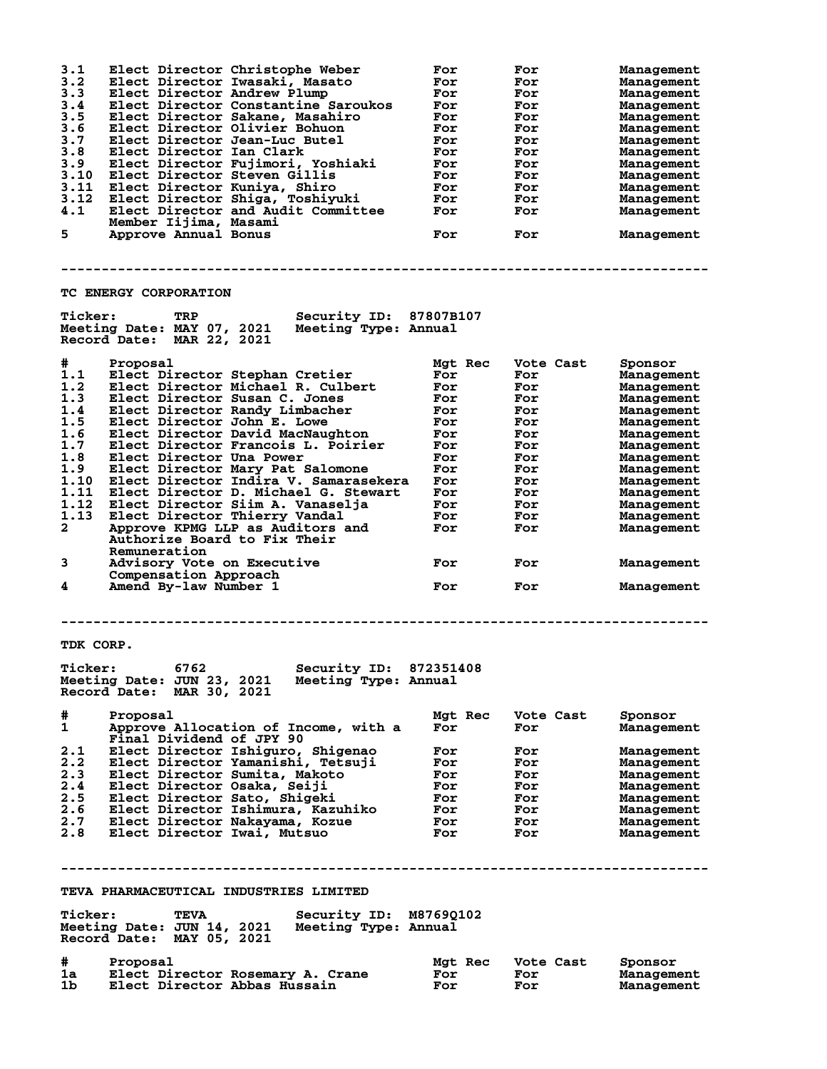| 3.1<br>3.2<br>3.3<br>3.4<br>3.5<br>3.6<br>3.7<br>3.8<br>3.9<br>3.10<br>3.11<br>3.12<br>4.1<br>5. | Elect Director Christophe Weber<br>Elect Director Iwasaki, Masato<br>Elect Director Andrew Plump<br>Elect Director Constantine Saroukos<br>Elect Director Sakane, Masahiro<br>Elect Director Olivier Bohuon<br>Elect Director Jean-Luc Butel<br>Elect Director Ian Clark<br>Elect Director Fujimori, Yoshiaki<br>Elect Director Steven Gillis<br>Elect Director Kuniya, Shiro<br>Elect Director Shiga, Toshiyuki<br>Elect Director and Audit Committee<br>Member Iijima, Masami<br>Approve Annual Bonus | For<br>For<br>For<br>For<br>For<br>For<br>For<br>For<br>For<br>For<br>For<br>For<br>For<br>For | For<br>For<br>For<br>For<br>For<br>For<br>For<br>For<br>For<br>For<br>For<br>For<br>For<br>For | Management<br>Management<br>Management<br>Management<br>Management<br>Management<br>Management<br>Management<br>Management<br>Management<br>Management<br>Management<br>Management<br>Management |
|--------------------------------------------------------------------------------------------------|---------------------------------------------------------------------------------------------------------------------------------------------------------------------------------------------------------------------------------------------------------------------------------------------------------------------------------------------------------------------------------------------------------------------------------------------------------------------------------------------------------|------------------------------------------------------------------------------------------------|------------------------------------------------------------------------------------------------|--------------------------------------------------------------------------------------------------------------------------------------------------------------------------------------------------|
|                                                                                                  | <b>TC ENERGY CORPORATION</b>                                                                                                                                                                                                                                                                                                                                                                                                                                                                            |                                                                                                |                                                                                                |                                                                                                                                                                                                  |
| <b>Ticker:</b>                                                                                   | TRP<br>Security ID: 87807B107<br>Meeting Date: MAY 07, 2021<br>Meeting Type: Annual<br>Record Date: MAR 22, 2021                                                                                                                                                                                                                                                                                                                                                                                        |                                                                                                |                                                                                                |                                                                                                                                                                                                  |
| #                                                                                                | Proposal                                                                                                                                                                                                                                                                                                                                                                                                                                                                                                | Mgt Rec                                                                                        | Vote Cast                                                                                      | Sponsor                                                                                                                                                                                          |
| 1.1                                                                                              | Elect Director Stephan Cretier                                                                                                                                                                                                                                                                                                                                                                                                                                                                          | For                                                                                            | For                                                                                            | Management                                                                                                                                                                                       |
| 1.2                                                                                              | Elect Director Michael R. Culbert                                                                                                                                                                                                                                                                                                                                                                                                                                                                       | For                                                                                            | For                                                                                            | Management                                                                                                                                                                                       |
| 1.3                                                                                              | Elect Director Susan C. Jones                                                                                                                                                                                                                                                                                                                                                                                                                                                                           | For                                                                                            | For                                                                                            | Management                                                                                                                                                                                       |
| 1.4                                                                                              | Elect Director Randy Limbacher                                                                                                                                                                                                                                                                                                                                                                                                                                                                          | For                                                                                            | For                                                                                            | Management                                                                                                                                                                                       |
| 1.5<br>1.6                                                                                       | Elect Director John E. Lowe<br>Elect Director David MacNaughton                                                                                                                                                                                                                                                                                                                                                                                                                                         | For<br>For                                                                                     | For                                                                                            | Management                                                                                                                                                                                       |
| 1.7                                                                                              | Elect Director Francois L. Poirier                                                                                                                                                                                                                                                                                                                                                                                                                                                                      | For                                                                                            | For<br>For                                                                                     | Management<br>Management                                                                                                                                                                         |
| 1.8                                                                                              | Elect Director Una Power                                                                                                                                                                                                                                                                                                                                                                                                                                                                                | For                                                                                            | For                                                                                            | Management                                                                                                                                                                                       |
| 1.9                                                                                              | Elect Director Mary Pat Salomone                                                                                                                                                                                                                                                                                                                                                                                                                                                                        | For                                                                                            | For                                                                                            | Management                                                                                                                                                                                       |
| 1.10                                                                                             | Elect Director Indira V. Samarasekera                                                                                                                                                                                                                                                                                                                                                                                                                                                                   | For                                                                                            | For                                                                                            | Management                                                                                                                                                                                       |
| 1.11                                                                                             | Elect Director D. Michael G. Stewart                                                                                                                                                                                                                                                                                                                                                                                                                                                                    | For                                                                                            | For                                                                                            | Management                                                                                                                                                                                       |
| 1.12                                                                                             | Elect Director Siim A. Vanaselja                                                                                                                                                                                                                                                                                                                                                                                                                                                                        | For                                                                                            | For                                                                                            | Management                                                                                                                                                                                       |
| 1.13                                                                                             | Elect Director Thierry Vandal                                                                                                                                                                                                                                                                                                                                                                                                                                                                           | For                                                                                            | For                                                                                            | Management                                                                                                                                                                                       |
| $\overline{\mathbf{2}}$                                                                          | Approve KPMG LLP as Auditors and<br>Authorize Board to Fix Their<br>Remuneration                                                                                                                                                                                                                                                                                                                                                                                                                        | For                                                                                            | For                                                                                            | Management                                                                                                                                                                                       |
| 3                                                                                                | Advisory Vote on Executive<br>Compensation Approach                                                                                                                                                                                                                                                                                                                                                                                                                                                     | For                                                                                            | For                                                                                            | Management                                                                                                                                                                                       |
| 4                                                                                                | Amend By-law Number 1                                                                                                                                                                                                                                                                                                                                                                                                                                                                                   | For                                                                                            | For                                                                                            | Management                                                                                                                                                                                       |
| TDK CORP.                                                                                        | Security ID: 872351408<br>Ticker: 6762                                                                                                                                                                                                                                                                                                                                                                                                                                                                  |                                                                                                |                                                                                                |                                                                                                                                                                                                  |
|                                                                                                  | Meeting Date: JUN 23, 2021<br>Meeting Type: Annual<br>Record Date: MAR 30, 2021                                                                                                                                                                                                                                                                                                                                                                                                                         |                                                                                                |                                                                                                |                                                                                                                                                                                                  |
| #                                                                                                | Proposal                                                                                                                                                                                                                                                                                                                                                                                                                                                                                                | Mgt Rec                                                                                        | Vote Cast                                                                                      | Sponsor                                                                                                                                                                                          |
| $\mathbf{1}$                                                                                     | Approve Allocation of Income, with a<br>Final Dividend of JPY 90                                                                                                                                                                                                                                                                                                                                                                                                                                        | For                                                                                            | For                                                                                            | Management                                                                                                                                                                                       |
| 2.1                                                                                              | Elect Director Ishiguro, Shigenao                                                                                                                                                                                                                                                                                                                                                                                                                                                                       | For                                                                                            | For                                                                                            | Management                                                                                                                                                                                       |
| 2.2                                                                                              | Elect Director Yamanishi, Tetsuji                                                                                                                                                                                                                                                                                                                                                                                                                                                                       | For                                                                                            | For                                                                                            | Management                                                                                                                                                                                       |
| 2.3<br>2.4                                                                                       | Elect Director Sumita, Makoto                                                                                                                                                                                                                                                                                                                                                                                                                                                                           | For                                                                                            | For                                                                                            | Management                                                                                                                                                                                       |
| 2.5                                                                                              | Elect Director Osaka, Seiji<br>Elect Director Sato, Shigeki                                                                                                                                                                                                                                                                                                                                                                                                                                             | For<br>For                                                                                     | For<br>For                                                                                     | Management<br>Management                                                                                                                                                                         |
| 2.6                                                                                              | Elect Director Ishimura, Kazuhiko                                                                                                                                                                                                                                                                                                                                                                                                                                                                       | For                                                                                            | <b>For</b>                                                                                     | Management                                                                                                                                                                                       |
| $2.6$<br>$2.7$                                                                                   | Elect Director Nakayama, Kozue                                                                                                                                                                                                                                                                                                                                                                                                                                                                          | For                                                                                            | For                                                                                            | Management                                                                                                                                                                                       |
| 2.8                                                                                              | Elect Director Iwai, Mutsuo                                                                                                                                                                                                                                                                                                                                                                                                                                                                             | For                                                                                            | <b>For</b>                                                                                     | Management                                                                                                                                                                                       |
|                                                                                                  |                                                                                                                                                                                                                                                                                                                                                                                                                                                                                                         |                                                                                                |                                                                                                |                                                                                                                                                                                                  |
|                                                                                                  | TEVA PHARMACEUTICAL INDUSTRIES LIMITED                                                                                                                                                                                                                                                                                                                                                                                                                                                                  |                                                                                                |                                                                                                |                                                                                                                                                                                                  |
|                                                                                                  | Ticker: TEVA Security ID: M87690102<br>Meeting Date: JUN 14, 2021 Meeting Type: Annual<br>Record Date: MAY 05, 2021                                                                                                                                                                                                                                                                                                                                                                                     |                                                                                                |                                                                                                |                                                                                                                                                                                                  |
| #                                                                                                | Proposal                                                                                                                                                                                                                                                                                                                                                                                                                                                                                                | Mgt Rec                                                                                        | Vote Cast                                                                                      | Sponsor                                                                                                                                                                                          |
| 1a                                                                                               | Elect Director Rosemary A. Crane                                                                                                                                                                                                                                                                                                                                                                                                                                                                        | For                                                                                            | For                                                                                            | Management                                                                                                                                                                                       |
| 1b                                                                                               | Elect Director Abbas Hussain                                                                                                                                                                                                                                                                                                                                                                                                                                                                            | For                                                                                            | <b>For</b>                                                                                     | Management                                                                                                                                                                                       |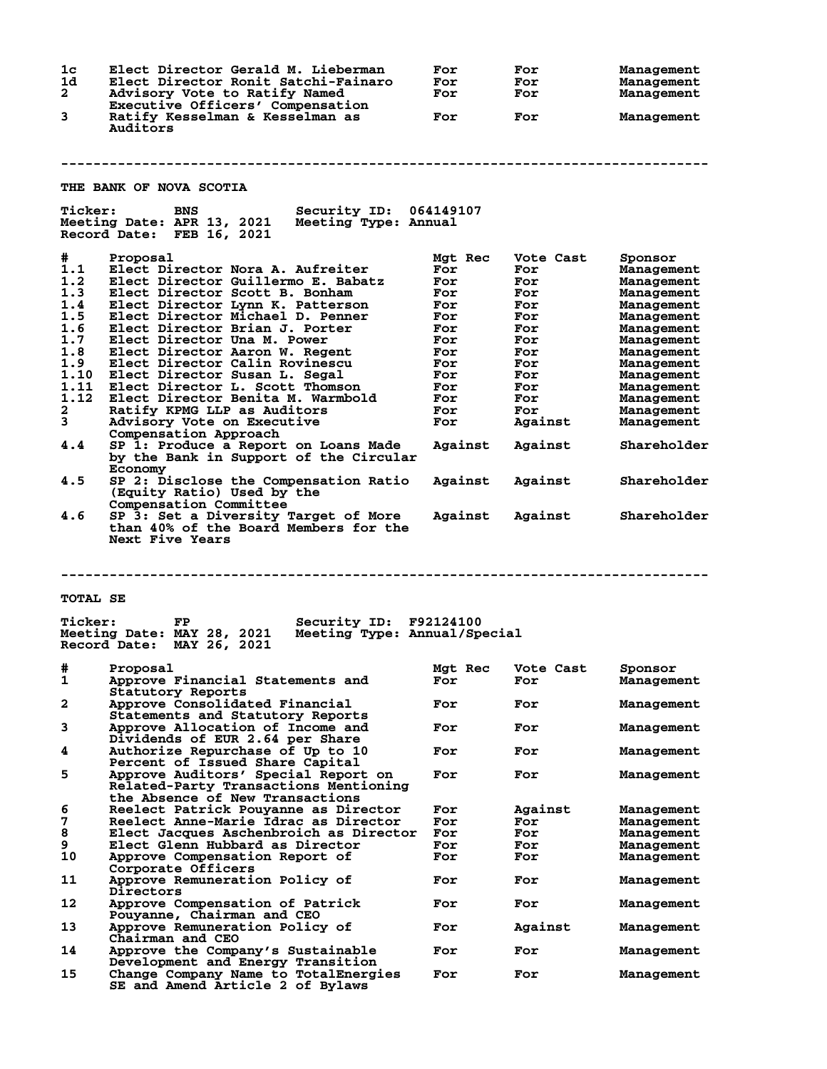| 1 <sub>c</sub><br>1d<br>$\mathbf{2}$ | Elect Director Gerald M. Lieberman<br>Elect Director Ronit Satchi-Fainaro<br>Advisory Vote to Ratify Named                     | For<br>For<br>For | For<br>For<br>For | <b>Management</b><br>Management<br>Management |
|--------------------------------------|--------------------------------------------------------------------------------------------------------------------------------|-------------------|-------------------|-----------------------------------------------|
| 3                                    | Executive Officers' Compensation<br>Ratify Kesselman & Kesselman as<br>Auditors                                                | For               | For               | Management                                    |
|                                      | THE BANK OF NOVA SCOTIA                                                                                                        |                   |                   |                                               |
|                                      |                                                                                                                                |                   |                   |                                               |
| <b>Ticker:</b>                       | Security ID: 064149107<br><b>BNS</b><br>Meeting Date: APR 13, 2021 Meeting Type: Annual<br>Record Date: FEB 16, 2021           |                   |                   |                                               |
| #                                    | Proposal                                                                                                                       | Mgt Rec           | Vote Cast         | Sponsor                                       |
| 1.1                                  | Elect Director Nora A. Aufreiter                                                                                               | For               | For               | Management                                    |
| 1.2                                  | Elect Director Guillermo E. Babatz                                                                                             | For               | For               | Management                                    |
| 1.3                                  | Elect Director Scott B. Bonham                                                                                                 | For               | For               | Management                                    |
| 1.4                                  | Elect Director Lynn K. Patterson                                                                                               | For               | For               | Management                                    |
| 1.5                                  | Elect Director Michael D. Penner                                                                                               | For               | For               | Management                                    |
| 1.6<br>1.7                           | Elect Director Brian J. Porter                                                                                                 | For               | For               | Management                                    |
| 1.8                                  | Elect Director Una M. Power                                                                                                    | For               | For               | Management                                    |
| 1.9                                  | Elect Director Aaron W. Regent<br>Elect Director Calin Rovinescu                                                               | For<br>For        | For<br>For        | Management                                    |
| 1.10                                 | Elect Director Susan L. Segal                                                                                                  | For               | For               | Management<br>Management                      |
| 1.11                                 | Elect Director L. Scott Thomson                                                                                                | For               | For               | Management                                    |
| 1.12                                 | Elect Director Benita M. Warmbold                                                                                              | For               | For               | Management                                    |
| 2                                    | Ratify KPMG LLP as Auditors                                                                                                    | For               | For               | Management                                    |
| 3                                    | Advisory Vote on Executive                                                                                                     | For               | Against           | Management                                    |
| 4.4                                  | Compensation Approach<br>SP 1: Produce a Report on Loans Made                                                                  | Against           | Against           | Shareholder                                   |
| 4.5                                  | by the Bank in Support of the Circular<br>Economy<br>SP 2: Disclose the Compensation Ratio                                     | Against           | Against           | Shareholder                                   |
|                                      | (Equity Ratio) Used by the<br>Compensation Committee                                                                           |                   |                   |                                               |
| 4.6                                  | SP 3: Set a Diversity Target of More<br>than 40% of the Board Members for the<br>Next Five Years                               | Against           | Against           | Shareholder                                   |
| <b>TOTAL SE</b>                      |                                                                                                                                |                   |                   |                                               |
| <b>Ticker:</b>                       | Security ID: F92124100<br><b>FP</b><br>Meeting Date: MAY 28, 2021<br>Meeting Type: Annual/Special<br>Record Date: MAY 26, 2021 |                   |                   |                                               |
|                                      | # Proposal                                                                                                                     | Mgt Rec           | Vote Cast         | Sponsor                                       |
| 1                                    | Approve Financial Statements and<br>Statutory Reports                                                                          | For               | For               | Management                                    |
| $\mathbf{2}$                         | Approve Consolidated Financial<br>Statements and Statutory Reports                                                             | For               | For               | Management                                    |
| 3<br>4                               | Approve Allocation of Income and<br>Dividends of EUR 2.64 per Share<br>Authorize Repurchase of Up to 10                        | For<br>For        | For<br>For        | Management<br>Management                      |
|                                      | Percent of Issued Share Capital                                                                                                |                   |                   |                                               |
| 5                                    | Approve Auditors' Special Report on<br>Related-Party Transactions Mentioning<br>the Absence of New Transactions                | For               | For               | Management                                    |
| 6                                    | Reelect Patrick Pouyanne as Director                                                                                           | For               | Against           | Management                                    |
| 7                                    | Reelect Anne-Marie Idrac as Director                                                                                           | For               | For               | Management                                    |
| 8                                    | Elect Jacques Aschenbroich as Director                                                                                         | For               | For               | Management                                    |
| 9                                    | Elect Glenn Hubbard as Director                                                                                                | For               | For               | Management                                    |
| 10                                   | Approve Compensation Report of                                                                                                 | For               | For               | Management                                    |
| 11                                   | Corporate Officers<br>Approve Remuneration Policy of                                                                           | For               | For               | Management                                    |
| 12                                   | Directors<br>Approve Compensation of Patrick                                                                                   | For               | For               | Management                                    |
| 13                                   | Pouyanne, Chairman and CEO<br>Approve Remuneration Policy of                                                                   | For               | Against           | Management                                    |
| 14                                   | Chairman and CEO<br>Approve the Company's Sustainable                                                                          | For               | For               | Management                                    |
|                                      | Development and Energy Transition                                                                                              |                   |                   |                                               |
| 15                                   | Change Company Name to TotalEnergies<br>SE and Amend Article 2 of Bylaws                                                       | For               | For               | Management                                    |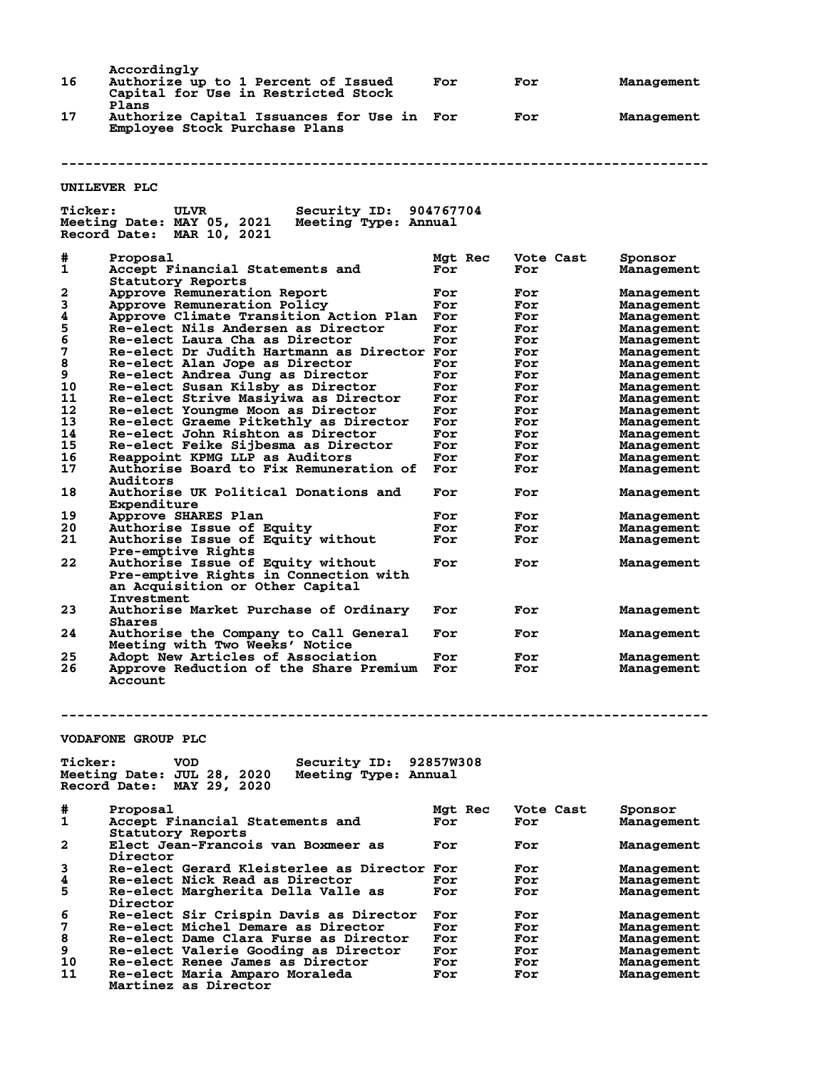| 16             | Accordingly<br>Authorize up to 1 Percent of Issued<br>Capital for Use in Restricted Stock<br>Plans                                  | For        | For        | Management               |
|----------------|-------------------------------------------------------------------------------------------------------------------------------------|------------|------------|--------------------------|
| 17             | Authorize Capital Issuances for Use in<br>Employee Stock Purchase Plans                                                             | For        | For        | Management               |
|                |                                                                                                                                     |            |            |                          |
|                | UNILEVER PLC                                                                                                                        |            |            |                          |
| <b>Ticker:</b> | Security ID:<br>ULVR<br>Meeting Date: MAY 05, 2021<br>Meeting Type: Annual<br>Record Date:<br><b>MAR 10, 2021</b>                   | 904767704  |            |                          |
| #              | Proposal                                                                                                                            | Mgt Rec    | Vote Cast  | Sponsor                  |
| 1              | Accept Financial Statements and                                                                                                     | For        | For        | Management               |
| 2              | Statutory Reports<br>Approve Remuneration Report                                                                                    | For        | For        | Management               |
| 3              | Approve Remuneration Policy                                                                                                         | For        | For        | Management               |
| 4              | Approve Climate Transition Action Plan                                                                                              | For        | For        | Management               |
| 5              | Re-elect Nils Andersen as Director                                                                                                  | For        | For        | Management               |
| 6              | Re-elect Laura Cha as Director                                                                                                      | For        | For        | Management               |
| 7<br>8         | Re-elect Dr Judith Hartmann as Director For                                                                                         |            | For        | Management               |
| 9              | Re-elect Alan Jope as Director<br>Re-elect Andrea Jung as Director                                                                  | For<br>For | For<br>For | Management<br>Management |
| 10             | Re-elect Susan Kilsby as Director                                                                                                   | For        | For        | Management               |
| 11             | Re-elect Strive Masiyiwa as Director                                                                                                | For        | For        | Management               |
| 12             | Re-elect Youngme Moon as Director                                                                                                   | For        | For        | Management               |
| 13             | Re-elect Graeme Pitkethly as Director                                                                                               | For        | For        | Management               |
| 14             | Re-elect John Rishton as Director                                                                                                   | For        | For        | Management               |
| 15<br>16       | Re-elect Feike Sijbesma as Director                                                                                                 | For        | For        | Management               |
| 17             | Reappoint KPMG LLP as Auditors<br>Authorise Board to Fix Remuneration of                                                            | For<br>For | For<br>For | Management<br>Management |
|                | Auditors                                                                                                                            |            |            |                          |
| 18             | Authorise UK Political Donations and<br>Expenditure                                                                                 | For        | For        | Management               |
| 19             | Approve SHARES Plan                                                                                                                 | For        | For        | Management               |
| 20             | <b>Authorise Issue of Equity</b>                                                                                                    | For        | For        | Management               |
| 21             | <b>Authorise Issue of Equity without</b>                                                                                            | For        | For        | Management               |
| 22             | Pre-emptive Rights<br>Authorise Issue of Equity without<br>Pre-emptive Rights in Connection with<br>an Acquisition or Other Capital | For        | For        | Management               |
| 23             | Investment<br>Authorise Market Purchase of Ordinary<br>Shares                                                                       | For        | For        | Management               |
| 24             | Authorise the Company to Call General<br>Meeting with Two Weeks' Notice                                                             | For        | For        | Management               |
| 25             | Adopt New Articles of Association                                                                                                   | For        | For        | Management               |
| 26             | Approve Reduction of the Share Premium For<br><b>Account</b>                                                                        |            | For        | Management               |
|                | <b>VODAFONE GROUP PLC</b>                                                                                                           |            |            |                          |
|                |                                                                                                                                     |            |            |                          |
| <b>Ticker:</b> | Security ID: 92857W308<br>VOD<br>Meeting Date: JUL 28, 2020<br>Meeting Type: Annual<br>Record Date: MAY 29, 2020                    |            |            |                          |
| #              | Proposal                                                                                                                            | Mgt Rec    | Vote Cast  | Sponsor                  |
| 1              | Accept Financial Statements and                                                                                                     | For        | For        | Management               |
| 2              | Statutory Reports<br>Elect Jean-Francois van Boxmeer as                                                                             | For        | For        | Management               |
|                | Director                                                                                                                            |            |            |                          |
| 3<br>4         | Re-elect Gerard Kleisterlee as Director For<br>Re-elect Nick Read as Director                                                       | For        | For<br>For | Management<br>Management |
| 5              | Re-elect Margherita Della Valle as                                                                                                  | For        | For        | Management               |
|                | Director                                                                                                                            |            |            |                          |
| 6              | Re-elect Sir Crispin Davis as Director                                                                                              | For        | For        | Management               |
| 7              | Re-elect Michel Demare as Director                                                                                                  | For        | For        | Management               |
| 8              | Re-elect Dame Clara Furse as Director                                                                                               | For        | For        | Management               |
| 9              | Re-elect Valerie Gooding as Director                                                                                                | For        | For        | Management               |
| 10             | Re-elect Renee James as Director                                                                                                    | For        | For        | Management               |
| 11             | Re-elect Maria Amparo Moraleda<br>Martinez as Director                                                                              | For        | For        | Management               |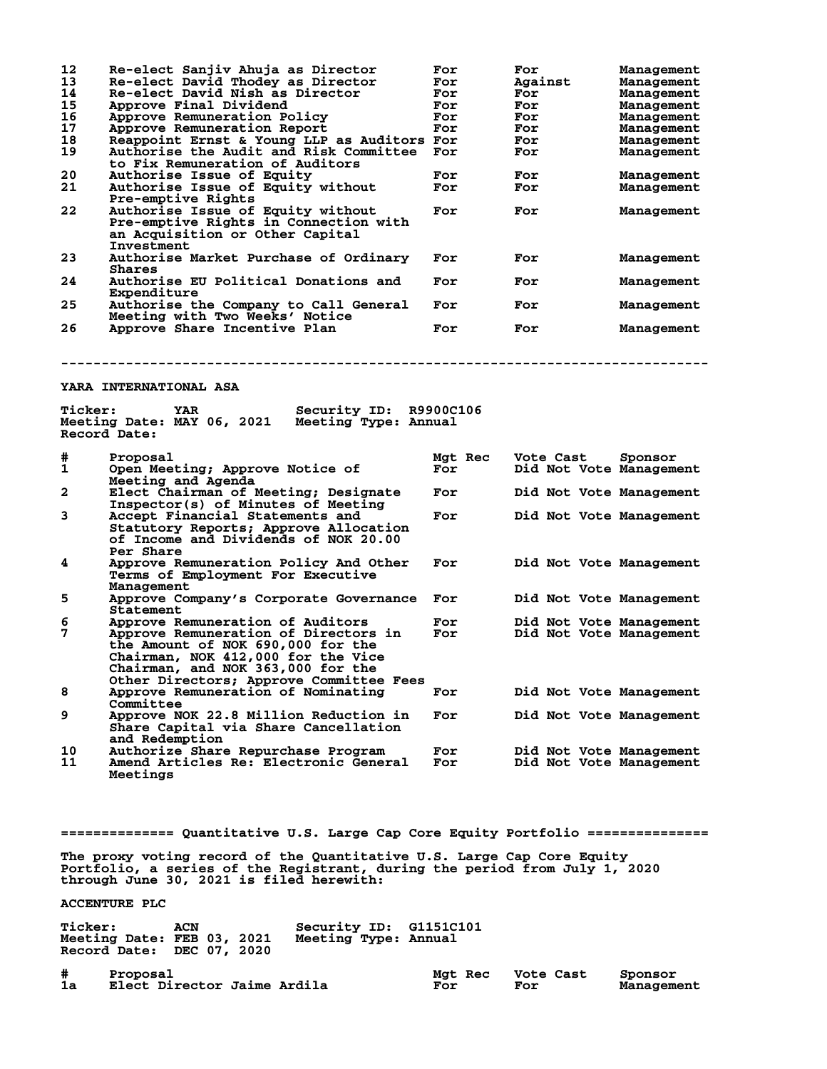| 12<br>13<br>14<br>15<br>16<br>17<br>18<br>19 | Re-elect Sanjiv Ahuja as Director<br>Re-elect David Thodey as Director<br>Re-elect David Nish as Director<br>Approve Final Dividend<br>Approve Remuneration Policy<br><b>Approve Remuneration Report</b><br>Reappoint Ernst & Young LLP as Auditors For<br>Authorise the Audit and Risk Committee<br>to Fix Remuneration of Auditors | For<br>For<br>For<br>For<br>For<br>For<br>For | For<br>Against<br>For<br>For<br>For<br>For<br>For<br>For | Management<br>Management<br>Management<br>Management<br>Management<br>Management<br>Management<br>Management |
|----------------------------------------------|--------------------------------------------------------------------------------------------------------------------------------------------------------------------------------------------------------------------------------------------------------------------------------------------------------------------------------------|-----------------------------------------------|----------------------------------------------------------|--------------------------------------------------------------------------------------------------------------|
| 20<br>21                                     | Authorise Issue of Equity<br>Authorise Issue of Equity without                                                                                                                                                                                                                                                                       | For<br>For                                    | For<br>For                                               | Management<br>Management                                                                                     |
| 22                                           | <b>Pre-emptive Rights</b><br>Authorise Issue of Equity without<br>Pre-emptive Rights in Connection with<br>an Acquisition or Other Capital<br>Investment                                                                                                                                                                             | For                                           | For                                                      | Management                                                                                                   |
| 23                                           | Authorise Market Purchase of Ordinary<br>Shares                                                                                                                                                                                                                                                                                      | For                                           | For                                                      | Management                                                                                                   |
| 24                                           | Authorise EU Political Donations and<br><b>Expenditure</b>                                                                                                                                                                                                                                                                           | For                                           | For                                                      | Management                                                                                                   |
| 25                                           | Authorise the Company to Call General<br>Meeting with Two Weeks' Notice                                                                                                                                                                                                                                                              | For                                           | For                                                      | Management                                                                                                   |
| 26                                           | Approve Share Incentive Plan                                                                                                                                                                                                                                                                                                         | For                                           | For                                                      | Management                                                                                                   |
|                                              |                                                                                                                                                                                                                                                                                                                                      |                                               |                                                          |                                                                                                              |
|                                              | Meeting Date: MAY 06, 2021 Meeting Type: Annual<br>Record Date:                                                                                                                                                                                                                                                                      |                                               |                                                          |                                                                                                              |
|                                              | Proposal<br>Open Meeting; Approve Notice of                                                                                                                                                                                                                                                                                          | Mgt Rec<br>For                                | Vote Cast<br>Did Not Vote Management                     | Sponsor                                                                                                      |
|                                              | Meeting and Agenda<br>Elect Chairman of Meeting; Designate                                                                                                                                                                                                                                                                           | For                                           | Did Not Vote Management                                  |                                                                                                              |
| 3                                            | Inspector(s) of Minutes of Meeting<br>Accept Financial Statements and<br>Statutory Reports; Approve Allocation<br>of Income and Dividends of NOK 20.00                                                                                                                                                                               | For                                           | Did Not Vote Management                                  |                                                                                                              |
| 4                                            | Per Share<br>Approve Remuneration Policy And Other<br>Terms of Employment For Executive                                                                                                                                                                                                                                              | For                                           | Did Not Vote Management                                  |                                                                                                              |
| #<br>1<br>2<br>5                             | Management<br>Approve Company's Corporate Governance                                                                                                                                                                                                                                                                                 | For                                           | Did Not Vote Management                                  |                                                                                                              |
| 6<br>7                                       | Statement<br>Approve Remuneration of Auditors<br>Approve Remuneration of Directors in<br>the Amount of NOK 690,000 for the<br>Chairman, NOK 412,000 for the Vice<br>Chairman, and NOK 363,000 for the                                                                                                                                | For<br>For                                    | Did Not Vote Management<br>Did Not Vote Management       |                                                                                                              |
| 8                                            | Other Directors; Approve Committee Fees<br>Approve Remuneration of Nominating                                                                                                                                                                                                                                                        | For                                           | Did Not Vote Management                                  |                                                                                                              |
| 9                                            | Committee<br>Approve NOK 22.8 Million Reduction in<br>Share Capital via Share Cancellation<br>and Redemption                                                                                                                                                                                                                         | For                                           | Did Not Vote Management                                  |                                                                                                              |

**============== Quantitative U.S. Large Cap Core Equity Portfolio =============== The proxy voting record of the Quantitative U.S. Large Cap Core Equity Portfolio, a series of the Registrant, during the period from July 1, 2020 through June 30, 2021 is filed herewith: ACCENTURE PLC**

**Ticker: ACN Security ID: G1151C101 Meeting Date: FEB 03, 2021 Meeting Type: Annual Record Date: DEC 07, 2020**

**# Proposal Mgt Rec Vote Cast Sponsor Elect Director Jaime Ardila**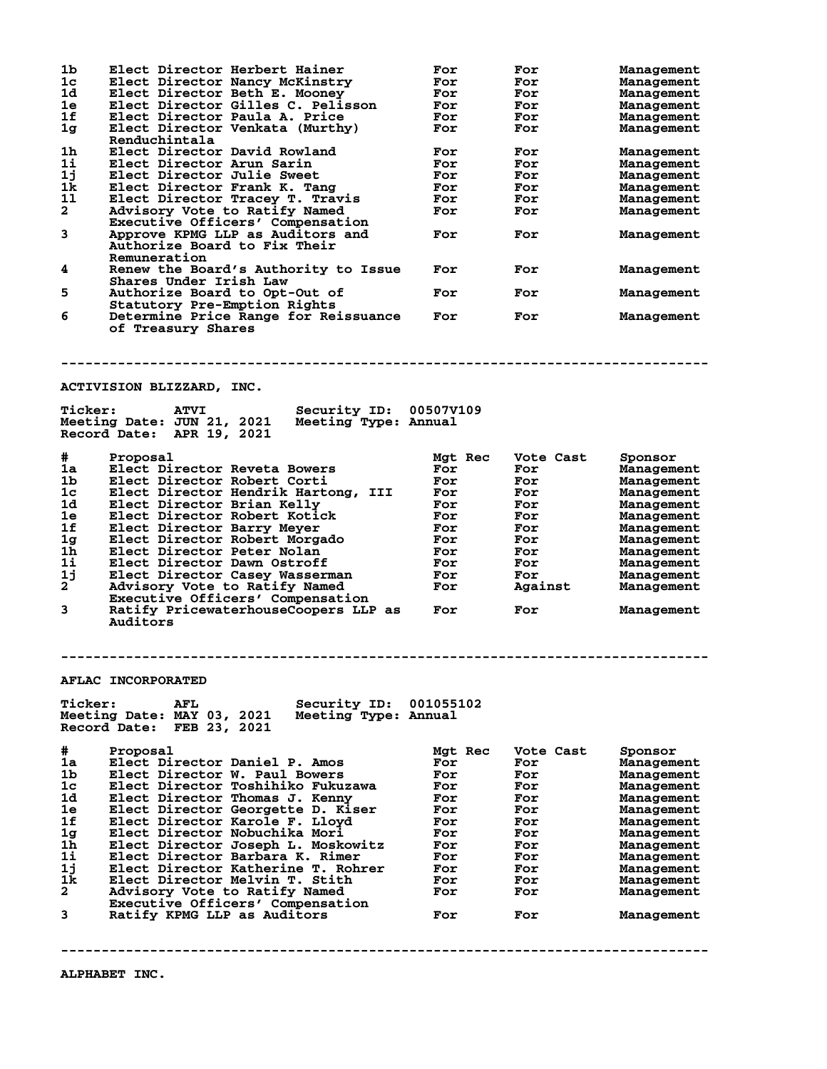| #<br>1a<br>1b<br>1 <sub>c</sub><br>1d<br>1e<br>1f<br>1g<br>1 <sub>h</sub><br>1i<br>1j<br>1k<br>$\mathbf{2}$<br>3 | Record Date: FEB 23, 2021<br>Proposal<br>Elect Director Daniel P. Amos<br>Elect Director W. Paul Bowers<br>Elect Director Toshihiko Fukuzawa<br>Elect Director Thomas J. Kenny<br>Elect Director Georgette D. Kiser<br>Elect Director Karole F. Llovd<br>Elect Director Nobuchika Mori<br>Elect Director Joseph L. Moskowitz<br>Elect Director Barbara K. Rimer<br>Elect Director Katherine T. Rohrer<br>Elect Director Melvin T. Stith<br>Advisory Vote to Ratify Named<br>Executive Officers' Compensation<br>Ratify KPMG LLP as Auditors | Mgt Rec<br>For<br>For<br>For<br>For<br>For<br>For<br>For<br>For<br>For<br>For<br>For<br>For<br>For | Vote Cast<br>For<br>For<br>For<br>For<br>For<br>For<br>For<br>For<br>For<br>For<br>For<br>For<br>For | Sponsor<br>Management<br>Management<br>Management<br>Management<br>Management<br>Management<br>Management<br>Management<br>Management<br>Management<br>Management<br>Management<br>Management |
|------------------------------------------------------------------------------------------------------------------|---------------------------------------------------------------------------------------------------------------------------------------------------------------------------------------------------------------------------------------------------------------------------------------------------------------------------------------------------------------------------------------------------------------------------------------------------------------------------------------------------------------------------------------------|----------------------------------------------------------------------------------------------------|------------------------------------------------------------------------------------------------------|-----------------------------------------------------------------------------------------------------------------------------------------------------------------------------------------------|
|                                                                                                                  |                                                                                                                                                                                                                                                                                                                                                                                                                                                                                                                                             |                                                                                                    |                                                                                                      |                                                                                                                                                                                               |
|                                                                                                                  |                                                                                                                                                                                                                                                                                                                                                                                                                                                                                                                                             |                                                                                                    |                                                                                                      |                                                                                                                                                                                               |
|                                                                                                                  |                                                                                                                                                                                                                                                                                                                                                                                                                                                                                                                                             |                                                                                                    |                                                                                                      |                                                                                                                                                                                               |
|                                                                                                                  |                                                                                                                                                                                                                                                                                                                                                                                                                                                                                                                                             |                                                                                                    |                                                                                                      |                                                                                                                                                                                               |
|                                                                                                                  |                                                                                                                                                                                                                                                                                                                                                                                                                                                                                                                                             |                                                                                                    |                                                                                                      |                                                                                                                                                                                               |
|                                                                                                                  |                                                                                                                                                                                                                                                                                                                                                                                                                                                                                                                                             |                                                                                                    |                                                                                                      |                                                                                                                                                                                               |
|                                                                                                                  |                                                                                                                                                                                                                                                                                                                                                                                                                                                                                                                                             |                                                                                                    |                                                                                                      |                                                                                                                                                                                               |
|                                                                                                                  |                                                                                                                                                                                                                                                                                                                                                                                                                                                                                                                                             |                                                                                                    |                                                                                                      |                                                                                                                                                                                               |
|                                                                                                                  |                                                                                                                                                                                                                                                                                                                                                                                                                                                                                                                                             |                                                                                                    |                                                                                                      |                                                                                                                                                                                               |
|                                                                                                                  |                                                                                                                                                                                                                                                                                                                                                                                                                                                                                                                                             |                                                                                                    |                                                                                                      |                                                                                                                                                                                               |
|                                                                                                                  |                                                                                                                                                                                                                                                                                                                                                                                                                                                                                                                                             |                                                                                                    |                                                                                                      |                                                                                                                                                                                               |
|                                                                                                                  |                                                                                                                                                                                                                                                                                                                                                                                                                                                                                                                                             |                                                                                                    |                                                                                                      |                                                                                                                                                                                               |
|                                                                                                                  |                                                                                                                                                                                                                                                                                                                                                                                                                                                                                                                                             |                                                                                                    |                                                                                                      |                                                                                                                                                                                               |
|                                                                                                                  |                                                                                                                                                                                                                                                                                                                                                                                                                                                                                                                                             |                                                                                                    |                                                                                                      |                                                                                                                                                                                               |
|                                                                                                                  |                                                                                                                                                                                                                                                                                                                                                                                                                                                                                                                                             |                                                                                                    |                                                                                                      |                                                                                                                                                                                               |
| <b>Ticker:</b>                                                                                                   | Security ID:<br><b>AFL</b><br>Meeting Date: MAY 03, 2021<br>Meeting Type: Annual                                                                                                                                                                                                                                                                                                                                                                                                                                                            | 001055102                                                                                          |                                                                                                      |                                                                                                                                                                                               |
|                                                                                                                  |                                                                                                                                                                                                                                                                                                                                                                                                                                                                                                                                             |                                                                                                    |                                                                                                      |                                                                                                                                                                                               |
|                                                                                                                  | <b>AFLAC INCORPORATED</b>                                                                                                                                                                                                                                                                                                                                                                                                                                                                                                                   |                                                                                                    |                                                                                                      |                                                                                                                                                                                               |
|                                                                                                                  |                                                                                                                                                                                                                                                                                                                                                                                                                                                                                                                                             |                                                                                                    |                                                                                                      |                                                                                                                                                                                               |
|                                                                                                                  | Auditors                                                                                                                                                                                                                                                                                                                                                                                                                                                                                                                                    |                                                                                                    |                                                                                                      |                                                                                                                                                                                               |
| 3                                                                                                                | Ratify PricewaterhouseCoopers LLP as                                                                                                                                                                                                                                                                                                                                                                                                                                                                                                        | For                                                                                                | For                                                                                                  | Management                                                                                                                                                                                    |
|                                                                                                                  | Executive Officers' Compensation                                                                                                                                                                                                                                                                                                                                                                                                                                                                                                            |                                                                                                    |                                                                                                      |                                                                                                                                                                                               |
| $\mathbf{2}^{\mathsf{T}}$                                                                                        | Advisory Vote to Ratify Named                                                                                                                                                                                                                                                                                                                                                                                                                                                                                                               | For                                                                                                | Against                                                                                              | Management<br>Management                                                                                                                                                                      |
| 1j                                                                                                               | Elect Director Dawn Ostroff<br>Elect Director Casey Wasserman                                                                                                                                                                                                                                                                                                                                                                                                                                                                               | For<br>For                                                                                         | For<br>For                                                                                           | Management                                                                                                                                                                                    |
| 1 <sub>h</sub><br>11                                                                                             | Elect Director Peter Nolan                                                                                                                                                                                                                                                                                                                                                                                                                                                                                                                  | For                                                                                                | For                                                                                                  | Management                                                                                                                                                                                    |
| 1g                                                                                                               | Elect Director Robert Morgado                                                                                                                                                                                                                                                                                                                                                                                                                                                                                                               | For                                                                                                | For                                                                                                  | Management                                                                                                                                                                                    |
| 1f                                                                                                               | Elect Director Barry Meyer                                                                                                                                                                                                                                                                                                                                                                                                                                                                                                                  | For                                                                                                | For                                                                                                  | Management                                                                                                                                                                                    |
| 1e                                                                                                               | Elect Director Robert Kotick                                                                                                                                                                                                                                                                                                                                                                                                                                                                                                                | For                                                                                                | For                                                                                                  | Management                                                                                                                                                                                    |
| 1d                                                                                                               | Elect Director Brian Kelly                                                                                                                                                                                                                                                                                                                                                                                                                                                                                                                  | For                                                                                                | For                                                                                                  | Management                                                                                                                                                                                    |
| 1 <sub>c</sub>                                                                                                   | Elect Director Hendrik Hartong,<br>III                                                                                                                                                                                                                                                                                                                                                                                                                                                                                                      | For                                                                                                | For                                                                                                  | Management                                                                                                                                                                                    |
| 1 <sub>b</sub>                                                                                                   | Elect Director Robert Corti                                                                                                                                                                                                                                                                                                                                                                                                                                                                                                                 | For                                                                                                | For                                                                                                  | Management                                                                                                                                                                                    |
| 1a                                                                                                               | Elect Director Reveta Bowers                                                                                                                                                                                                                                                                                                                                                                                                                                                                                                                | For                                                                                                | For                                                                                                  | Sponsor<br>Management                                                                                                                                                                         |
| #                                                                                                                | Proposal                                                                                                                                                                                                                                                                                                                                                                                                                                                                                                                                    | Mgt Rec                                                                                            | Vote Cast                                                                                            |                                                                                                                                                                                               |
|                                                                                                                  | Record Date: APR 19, 2021                                                                                                                                                                                                                                                                                                                                                                                                                                                                                                                   |                                                                                                    |                                                                                                      |                                                                                                                                                                                               |
|                                                                                                                  | Meeting Date: JUN 21, 2021<br>Meeting Type: Annual                                                                                                                                                                                                                                                                                                                                                                                                                                                                                          |                                                                                                    |                                                                                                      |                                                                                                                                                                                               |
| <b>Ticker:</b>                                                                                                   | <b>ATVI</b><br>Security ID: 00507V109                                                                                                                                                                                                                                                                                                                                                                                                                                                                                                       |                                                                                                    |                                                                                                      |                                                                                                                                                                                               |
|                                                                                                                  | ACTIVISION BLIZZARD, INC.                                                                                                                                                                                                                                                                                                                                                                                                                                                                                                                   |                                                                                                    |                                                                                                      |                                                                                                                                                                                               |
|                                                                                                                  |                                                                                                                                                                                                                                                                                                                                                                                                                                                                                                                                             |                                                                                                    |                                                                                                      |                                                                                                                                                                                               |
|                                                                                                                  |                                                                                                                                                                                                                                                                                                                                                                                                                                                                                                                                             |                                                                                                    |                                                                                                      |                                                                                                                                                                                               |
|                                                                                                                  | of Treasury Shares                                                                                                                                                                                                                                                                                                                                                                                                                                                                                                                          |                                                                                                    |                                                                                                      |                                                                                                                                                                                               |
| 6                                                                                                                | Determine Price Range for Reissuance                                                                                                                                                                                                                                                                                                                                                                                                                                                                                                        | For                                                                                                | For                                                                                                  | Management                                                                                                                                                                                    |
|                                                                                                                  | Statutory Pre-Emption Rights                                                                                                                                                                                                                                                                                                                                                                                                                                                                                                                |                                                                                                    |                                                                                                      |                                                                                                                                                                                               |
| 5                                                                                                                | Shares Under Irish Law<br>Authorize Board to Opt-Out of                                                                                                                                                                                                                                                                                                                                                                                                                                                                                     | For                                                                                                | For                                                                                                  | Management                                                                                                                                                                                    |
| 4                                                                                                                | Renew the Board's Authority to Issue                                                                                                                                                                                                                                                                                                                                                                                                                                                                                                        | For                                                                                                | For                                                                                                  | Management                                                                                                                                                                                    |
|                                                                                                                  | Remuneration                                                                                                                                                                                                                                                                                                                                                                                                                                                                                                                                |                                                                                                    |                                                                                                      |                                                                                                                                                                                               |
| 3                                                                                                                | Approve KPMG LLP as Auditors and<br><b>Authorize Board to Fix Their</b>                                                                                                                                                                                                                                                                                                                                                                                                                                                                     | For                                                                                                | For                                                                                                  | Management                                                                                                                                                                                    |
|                                                                                                                  | Executive Officers' Compensation                                                                                                                                                                                                                                                                                                                                                                                                                                                                                                            |                                                                                                    |                                                                                                      |                                                                                                                                                                                               |
| $\overline{a}$                                                                                                   | Advisory Vote to Ratify Named                                                                                                                                                                                                                                                                                                                                                                                                                                                                                                               | For                                                                                                | For                                                                                                  | Management                                                                                                                                                                                    |
| 11                                                                                                               | Elect Director Tracey T. Travis                                                                                                                                                                                                                                                                                                                                                                                                                                                                                                             | For                                                                                                | For                                                                                                  | Management                                                                                                                                                                                    |
| 1k                                                                                                               | Elect Director Frank K. Tang                                                                                                                                                                                                                                                                                                                                                                                                                                                                                                                | For                                                                                                | For                                                                                                  | Management                                                                                                                                                                                    |
| 1j                                                                                                               | Elect Director Julie Sweet                                                                                                                                                                                                                                                                                                                                                                                                                                                                                                                  | For                                                                                                | For                                                                                                  | Management                                                                                                                                                                                    |
| 11                                                                                                               | Elect Director Arun Sarin                                                                                                                                                                                                                                                                                                                                                                                                                                                                                                                   | For                                                                                                | For                                                                                                  | Management                                                                                                                                                                                    |
| 1h                                                                                                               | Elect Director David Rowland                                                                                                                                                                                                                                                                                                                                                                                                                                                                                                                | For                                                                                                | For                                                                                                  | Management                                                                                                                                                                                    |
|                                                                                                                  | Renduchintala                                                                                                                                                                                                                                                                                                                                                                                                                                                                                                                               |                                                                                                    |                                                                                                      |                                                                                                                                                                                               |
| 1f<br>1 <sub>g</sub>                                                                                             | Elect Director Paula A. Price<br>Elect Director Venkata (Murthy)                                                                                                                                                                                                                                                                                                                                                                                                                                                                            | For<br>For                                                                                         | For<br>For                                                                                           | Management<br>Management                                                                                                                                                                      |
| 1e                                                                                                               | Elect Director Gilles C. Pelisson                                                                                                                                                                                                                                                                                                                                                                                                                                                                                                           | For                                                                                                | For                                                                                                  | Management                                                                                                                                                                                    |
|                                                                                                                  | Elect Director Beth E. Mooney                                                                                                                                                                                                                                                                                                                                                                                                                                                                                                               | For                                                                                                | For                                                                                                  | Management                                                                                                                                                                                    |
|                                                                                                                  | Elect Director Nancy McKinstry                                                                                                                                                                                                                                                                                                                                                                                                                                                                                                              | For                                                                                                | For                                                                                                  | Management                                                                                                                                                                                    |
| 1d                                                                                                               |                                                                                                                                                                                                                                                                                                                                                                                                                                                                                                                                             |                                                                                                    |                                                                                                      |                                                                                                                                                                                               |
| 1 <sub>b</sub><br>$1c$                                                                                           | Elect Director Herbert Hainer                                                                                                                                                                                                                                                                                                                                                                                                                                                                                                               | For                                                                                                | For                                                                                                  | Management                                                                                                                                                                                    |

**ALPHABET INC.**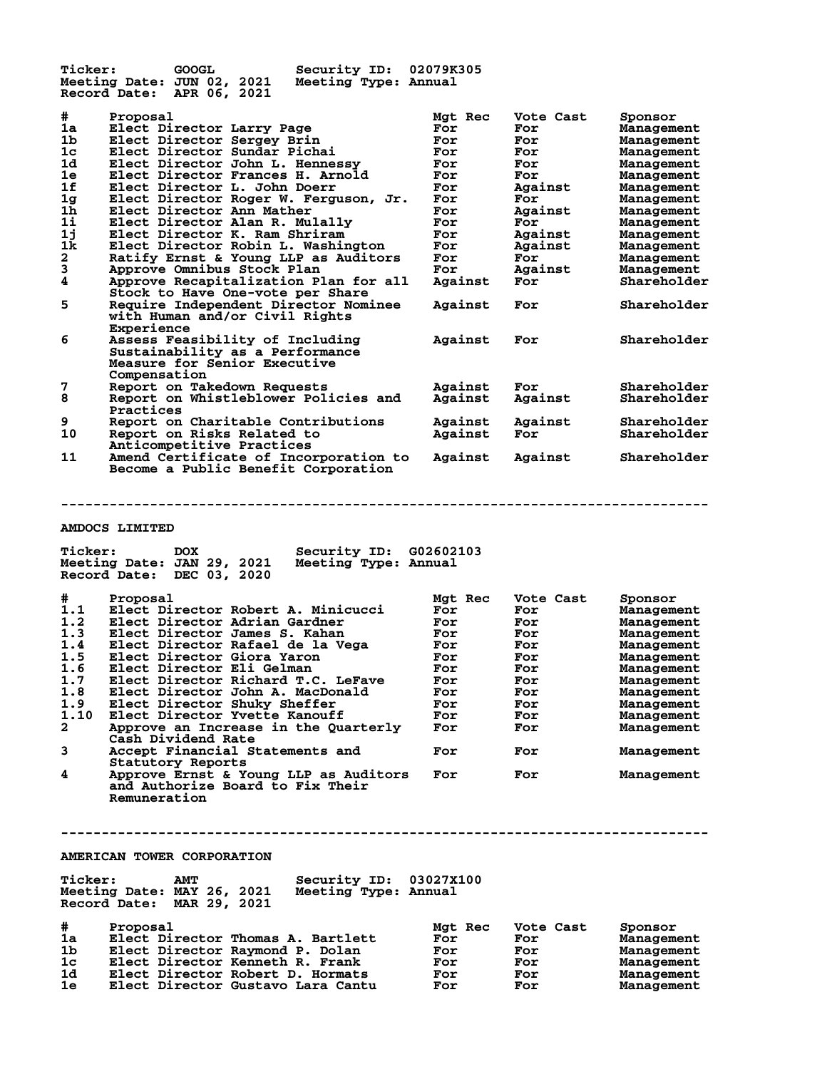| <b>Ticker:</b>                                                                        | <b>GOOGL</b><br>Security ID: 02079K305<br>Meeting Date: JUN 02, 2021<br>Meeting Type: Annual<br>Record Date: APR 06, 2021                                                                                                                                                        |                                                                 |                                                                           |                                                                                                                         |
|---------------------------------------------------------------------------------------|----------------------------------------------------------------------------------------------------------------------------------------------------------------------------------------------------------------------------------------------------------------------------------|-----------------------------------------------------------------|---------------------------------------------------------------------------|-------------------------------------------------------------------------------------------------------------------------|
| #<br>1a<br>1 <sub>b</sub><br>1 <sub>c</sub><br>1d<br>1e<br>1f<br>1g<br>1 <sub>h</sub> | Proposal<br>Elect Director Larry Page<br>Elect Director Sergey Brin<br>Elect Director Sundar Pichai<br>Elect Director John L. Hennessy<br>Elect Director Frances H. Arnold<br>Elect Director L. John Doerr<br>Elect Director Roger W. Ferguson, Jr.<br>Elect Director Ann Mather | Mgt Rec<br>For<br>For<br>For<br>For<br>For<br>For<br>For<br>For | Vote Cast<br>For<br>For<br>For<br>For<br>For<br>Against<br>For<br>Against | Sponsor<br>Management<br>Management<br>Management<br>Management<br>Management<br>Management<br>Management<br>Management |
| $1\text{i}$<br>1j<br>1k<br>$\frac{2}{3}$                                              | Elect Director Alan R. Mulally<br>Elect Director K. Ram Shriram<br>Elect Director Robin L. Washington<br>Ratify Ernst & Young LLP as Auditors<br>Approve Omnibus Stock Plan<br>Approve Recapitalization Plan for all                                                             | For<br>For<br>For<br>For<br>For<br>Against                      | For<br>Against<br>Against<br>For<br>Against<br>For                        | Management<br>Management<br>Management<br>Management<br>Management<br>Shareholder                                       |
| 5                                                                                     | Stock to Have One-vote per Share<br>Require Independent Director Nominee<br>with Human and/or Civil Rights<br>Experience                                                                                                                                                         | Against                                                         | For                                                                       | Shareholder                                                                                                             |
| 6                                                                                     | Assess Feasibility of Including<br>Sustainability as a Performance<br>Measure for Senior Executive<br>Compensation                                                                                                                                                               | Against                                                         | For                                                                       | Shareholder                                                                                                             |
| 7<br>8                                                                                | Report on Takedown Requests<br>Report on Whistleblower Policies and<br>Practices                                                                                                                                                                                                 | Against<br>Against                                              | For<br>Against                                                            | Shareholder<br>Shareholder                                                                                              |
| 9<br>10                                                                               | Report on Charitable Contributions<br>Report on Risks Related to<br>Anticompetitive Practices                                                                                                                                                                                    | Against<br>Against                                              | Against<br>For                                                            | Shareholder<br>Shareholder                                                                                              |
| 11                                                                                    | Amend Certificate of Incorporation to<br>Become a Public Benefit Corporation                                                                                                                                                                                                     | Against                                                         | Against                                                                   | Shareholder                                                                                                             |

### **AMDOCS LIMITED**

| Meeting Date: JAN 29, 2021<br>Meeting Type: Annual<br>DEC 03, 2020<br>Record Date: |         |           |            |
|------------------------------------------------------------------------------------|---------|-----------|------------|
| #<br>Proposal                                                                      | Mgt Rec | Vote Cast | Sponsor    |
| 1.1<br>Elect Director Robert A. Minicucci                                          | For     | For       | Management |
| 1.2<br>Elect Director Adrian Gardner                                               | For     | For       | Management |
| 1.3<br>Elect Director James S. Kahan                                               | For     | For       | Management |
| 1.4<br>Elect Director Rafael de la Vega                                            | For     | For       | Management |
| 1.5<br>Elect Director Giora Yaron                                                  | For     | For       | Management |
| 1.6<br>Elect Director Eli Gelman                                                   | For     | For       | Management |
| 1.7<br>Elect Director Richard T.C. LeFave                                          | For     | For       | Management |
| 1.8<br>Elect Director John A. MacDonald                                            | For     | For       | Management |
| 1.9<br>Elect Director Shuky Sheffer                                                | For     | For       | Management |
| 1.10<br>Elect Director Yvette Kanouff                                              | For     | For       | Management |
| 2<br>Approve an Increase in the Quarterly                                          | For     | For       | Management |
| Cash Dividend Rate                                                                 |         |           |            |
| 3<br>Accept Financial Statements and                                               | For     | For       | Management |
| Statutory Reports                                                                  |         |           |            |
| 4<br>Approve Ernst & Young LLP as Auditors                                         | For     | For       | Management |
| and Authorize Board to Fix Their                                                   |         |           |            |
| Remuneration                                                                       |         |           |            |

**--------------------------------------------------------------------------------**

**Ticker: DOX Security ID: G02602103**

# **--------------------------------------------------------------------------------**

### **AMERICAN TOWER CORPORATION**

| <b>Ticker:</b> | Meeting Date: MAY 26, 2021<br>Record Date: MAR 29, 2021 | <b>AMT</b> |  | Security ID: 03027X100<br>Meeting Type: Annual |     |         |           |            |
|----------------|---------------------------------------------------------|------------|--|------------------------------------------------|-----|---------|-----------|------------|
| #              | Proposal                                                |            |  |                                                |     | Mgt Rec | Vote Cast | Sponsor    |
| 1a             |                                                         |            |  | Elect Director Thomas A. Bartlett              | For |         | For       | Management |
| 1 <sub>b</sub> |                                                         |            |  | Elect Director Raymond P. Dolan                | For |         | For       | Management |
| 1c             |                                                         |            |  | Elect Director Kenneth R. Frank                | For |         | For       | Management |
| 1 <sub>d</sub> |                                                         |            |  | Elect Director Robert D. Hormats               | For |         | For       | Management |
| 1e             |                                                         |            |  | Elect Director Gustavo Lara Cantu              | For |         | For       | Management |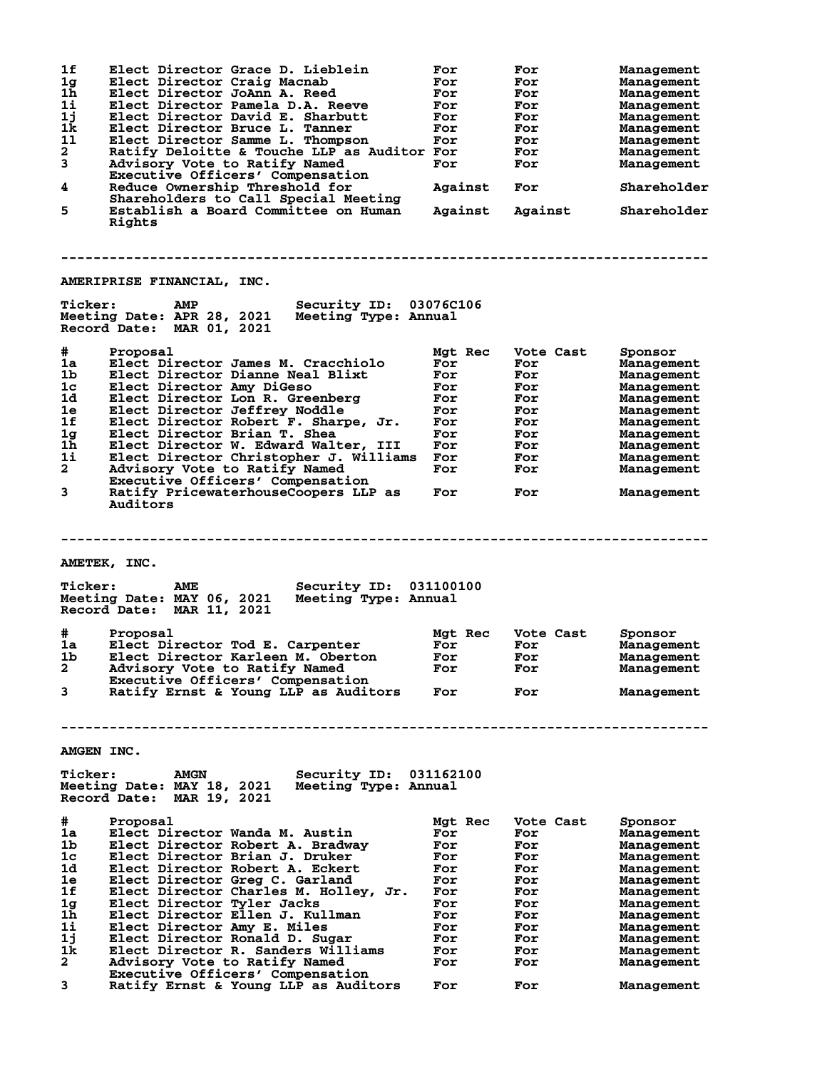**1f Elect Director Grace D. Lieblein For For Management 1g Elect Director Craig Macnab For For Management 1h Elect Director JoAnn A. Reed For For Management 1i Elect Director Pamela D.A. Reeve For For Management 1j Elect Director David E. Sharbutt For For Management 1k Elect Director Bruce L. Tanner For For Management 1l Elect Director Samme L. Thompson For For Management 2 Ratify Deloitte & Touche LLP as Auditor For For Management 3 Advisory Vote to Ratify Named For For Management Executive Officers' Compensation 4 Reduce Ownership Threshold for Against For Shareholder Shareholders to Call Special Meeting 5 Establish a Board Committee on Human Against Against Shareholder Rights -------------------------------------------------------------------------------- AMERIPRISE FINANCIAL, INC. Ticker: AMP Security ID: 03076C106 Meeting Date: APR 28, 2021 Meeting Type: Annual Record Date: MAR 01, 2021 # Proposal Mgt Rec Vote Cast Sponsor 1a Elect Director James M. Cracchiolo For For Management 1b Elect Director Dianne Neal Blixt For For Management 1c Elect Director Amy DiGeso For For Management 1d Elect Director Lon R. Greenberg For For Management 1e Elect Director Jeffrey Noddle For For Management 1f Elect Director Robert F. Sharpe, Jr. For For Management 1g Elect Director Brian T. Shea For For Management 1h Elect Director W. Edward Walter, III For For Management 1i Elect Director Christopher J. Williams For For Management 2 Advisory Vote to Ratify Named For For Management Executive Officers' Compensation 3 Ratify PricewaterhouseCoopers LLP as For For Management Auditors -------------------------------------------------------------------------------- AMETEK, INC. Ticker: AME Security ID: 031100100 Meeting Date: MAY 06, 2021 Meeting Type: Annual Record Date: MAR 11, 2021 # Proposal Mgt Rec Vote Cast Sponsor 1a Elect Director Tod E. Carpenter For For Management 1b Elect Director Karleen M. Oberton For For Management 2 Advisory Vote to Ratify Named For For Management Executive Officers' Compensation 3 Ratify Ernst & Young LLP as Auditors For For Management -------------------------------------------------------------------------------- AMGEN INC. Ticker: AMGN Security ID: 031162100 Meeting Date: MAY 18, 2021 Meeting Type: Annual Record Date: MAR 19, 2021 # Proposal Mgt Rec Vote Cast Sponsor 1a Elect Director Wanda M. Austin For For Management 1b Elect Director Robert A. Bradway For For Management 1c Elect Director Brian J. Druker For For Management 1d Elect Director Robert A. Eckert For For Management 1e Elect Director Greg C. Garland For For Management 1f Elect Director Charles M. Holley, Jr. For For Management 1g Elect Director Tyler Jacks For For Management 1h Elect Director Ellen J. Kullman For For Management 1i Elect Director Amy E. Miles For For Management 1j Elect Director Ronald D. Sugar For For Management 1k Elect Director R. Sanders Williams For For Management 2 Advisory Vote to Ratify Named For For Management Executive Officers' Compensation 3 Ratify Ernst & Young LLP as Auditors For For Management**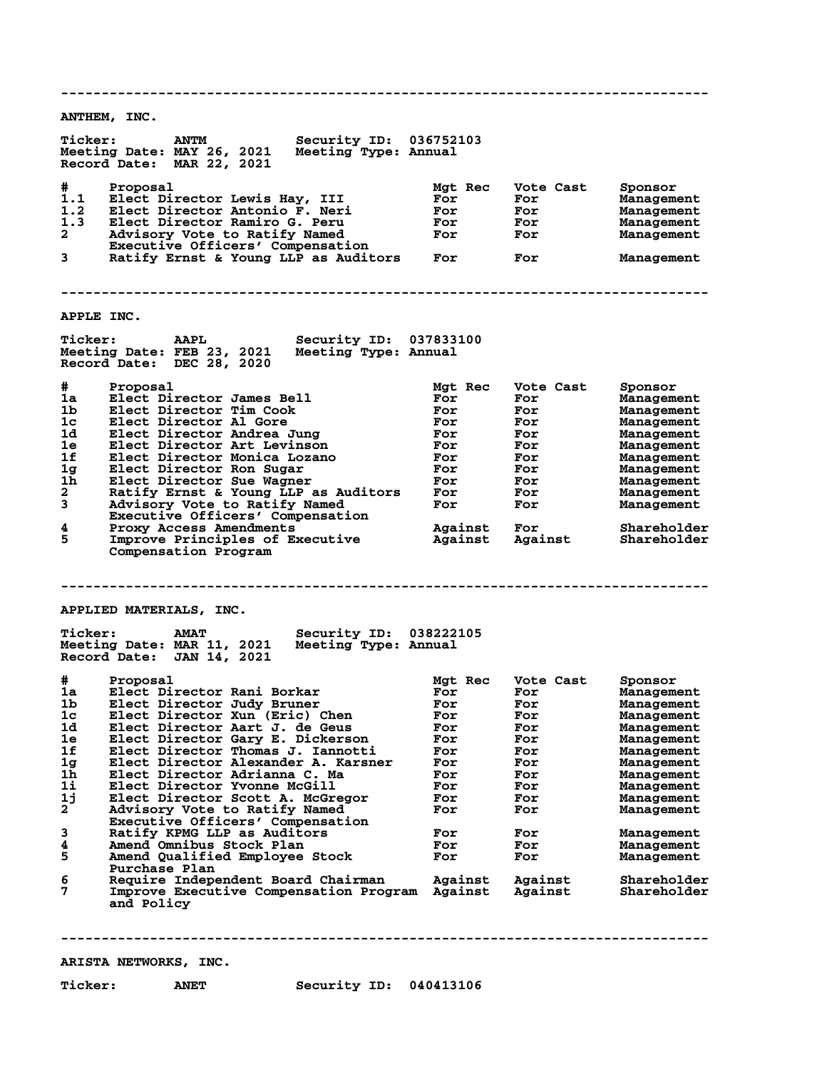**-------------------------------------------------------------------------------- ANTHEM, INC. Ticker: ANTM Security ID: 036752103 Meeting Date: MAY 26, 2021 Meeting Type: Annual Record Date: MAR 22, 2021 # Proposal Mgt Rec Vote Cast Sponsor 1.1 Elect Director Lewis Hay, III For For Management 1.2 Elect Director Antonio F. Neri For For Management 1.3 Elect Director Ramiro G. Peru For For Management 2 Advisory Vote to Ratify Named For For Management** 1.3 Elect Director Ramino F. Neri<br>
2 Advisory Vote to Ratify Named<br>
Executive Officers' Compensation<br>
3 Ratify Frnst & Young LLP as Auditors **3 Ratify Ernst & Young LLP as Auditors For For Management -------------------------------------------------------------------------------- APPLE INC. Ticker: AAPL Security ID: 037833100 Meeting Date: FEB 23, 2021 Meeting Type: Annual Record Date: DEC 28, 2020 # Proposal Mgt Rec Vote Cast Sponsor 1a Elect Director James Bell For For Management 1b Elect Director Tim Cook For For Management 1c Elect Director Al Gore For For Management 1d Elect Director Andrea Jung For For Management 1e Elect Director Art Levinson For For Management 1f Elect Director Monica Lozano For For Management 1g Elect Director Ron Sugar For For Management 1h Elect Director Sue Wagner For For Management 2 Ratify Ernst & Young LLP as Auditors For For Management 3 Advisory Vote to Ratify Named For For Management Executive Officers' Compensation 4 Proxy Access Amendments Against For Shareholder 5 Improve Principles of Executive Against Against Shareholder Compensation Program -------------------------------------------------------------------------------- APPLIED MATERIALS, INC. Ticker: AMAT Security ID: 038222105 Meeting Date: MAR 11, 2021 Meeting Type: Annual Record Date: JAN 14, 2021 # Proposal Mgt Rec Vote Cast Sponsor 1a Elect Director Rani Borkar For For Management 1b Elect Director Judy Bruner For For Management 1c Elect Director Xun (Eric) Chen For For Management 1d Elect Director Aart J. de Geus For For Management 1e Elect Director Gary E. Dickerson For For Management 1f Elect Director Thomas J. Iannotti For For Management 1g Elect Director Alexander A. Karsner For For Management 1h Elect Director Adrianna C. Ma For For Management 1i Elect Director Yvonne McGill For For Management 1j Elect Director Scott A. McGregor For For Management 2 Advisory Vote to Ratify Named For For Management Executive Officers' Compensation 3 Ratify KPMG LLP as Auditors For For Management 4 Amend Omnibus Stock Plan For For Management 5 Amend Qualified Employee Stock For For Management** Purchase Plan<br>6 Require Indepe **6 Require Independent Board Chairman Against Against Shareholder 7 Improve Executive Compensation Program Against Against Shareholder and Policy --------------------------------------------------------------------------------**

**ARISTA NETWORKS, INC.**

**Ticker: ANET Security ID: 040413106**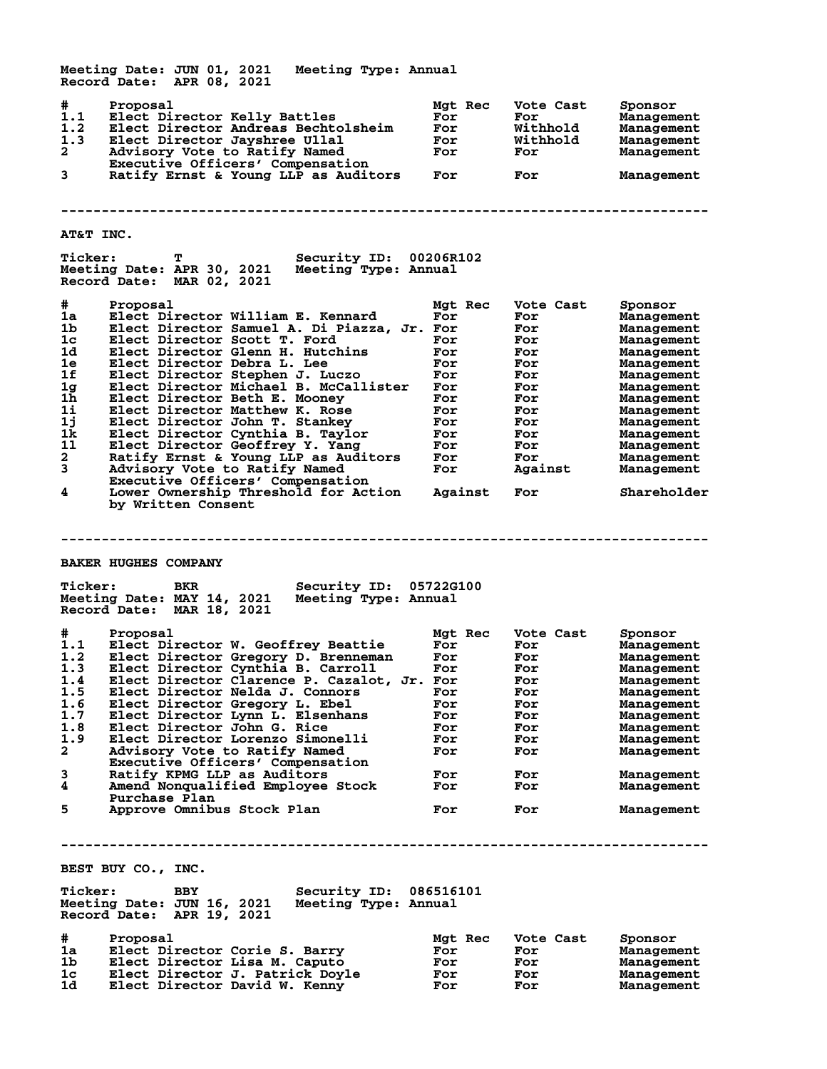**Meeting Date: JUN 01, 2021 Meeting Type: Annual Record Date: APR 08, 2021 # Proposal Mgt Rec Vote Cast Sponsor 1.1 Elect Director Kelly Battles For For Management 1.2 Elect Director Andreas Bechtolsheim For Withhold Management 1.3 Elect Director Jayshree Ullal For Withhold Management 2 Advisory Vote to Ratify Named For For Management Executive Officers' Compensation**<br>3 Ratify Ernst & Young LLP as Auditors **3 Ratify Ernst & Young LLP as Auditors For For Management -------------------------------------------------------------------------------- AT&T INC. Ticker: T Security ID: 00206R102 Meeting Date: APR 30, 2021 Record Date: MAR 02, 2021 # Proposal Mgt Rec Vote Cast Sponsor 1a Elect Director William E. Kennard For For Management 1b Elect Director Samuel A. Di Piazza, Jr. For For Management 1c Elect Director Scott T. Ford For For Management 1d Elect Director Glenn H. Hutchins For For Management 1e Elect Director Debra L. Lee For For Management 1f Elect Director Stephen J. Luczo For For Management 1g Elect Director Michael B. McCallister For For Management 1h Elect Director Beth E. Mooney For For Management 1i Elect Director Matthew K. Rose For For Management 1j Elect Director John T. Stankey For For Management 1k Elect Director Cynthia B. Taylor For For Management 1l Elect Director Geoffrey Y. Yang For For Management 2 Ratify Ernst & Young LLP as Auditors For For Management 3 Advisory Vote to Ratify Named For Against Management Executive Officers' Compensation 4 Lower Ownership Threshold for Action Against For Shareholder by Written Consent -------------------------------------------------------------------------------- BAKER HUGHES COMPANY Ticker: BKR Security ID: 05722G100 Meeting Date: MAY 14, 2021 Meeting Type: Annual Record Date: MAR 18, 2021 # Proposal Mgt Rec Vote Cast Sponsor 1.1 Elect Director W. Geoffrey Beattie For For Management 1.2 Elect Director Gregory D. Brenneman For For Management 1.3 Elect Director Cynthia B. Carroll For For Management 1.4 Elect Director Clarence P. Cazalot, Jr. For For Management 1.5 Elect Director Nelda J. Connors For For Management 1.6 Elect Director Gregory L. Ebel For For Management 1.7 Elect Director Lynn L. Elsenhans For For Management 1.8 Elect Director John G. Rice For For Management 1.9 Elect Director Lorenzo Simonelli For For Management 2 Advisory Vote to Ratify Named For For Management Executive Officers' Compensation 3 Ratify KPMG LLP as Auditors For For Management 4 Amend Nonqualified Employee Stock For For Management Purchase Plan** Purchase Plan<br>
5 Approve Omnibus Stock Plan **For** For Management **-------------------------------------------------------------------------------- BEST BUY CO., INC. Ticker: BBY Security ID: 086516101 Meeting Date: JUN 16, 2021 Meeting Type: Annual Record Date: APR 19, 2021 # Proposal Mgt Rec Vote Cast Sponsor 1a Elect Director Corie S. Barry For For Management 1b Elect Director Lisa M. Caputo For For Management 1c Elect Director J. Patrick Doyle For For Management 1d Elect Director David W. Kenny For For Management**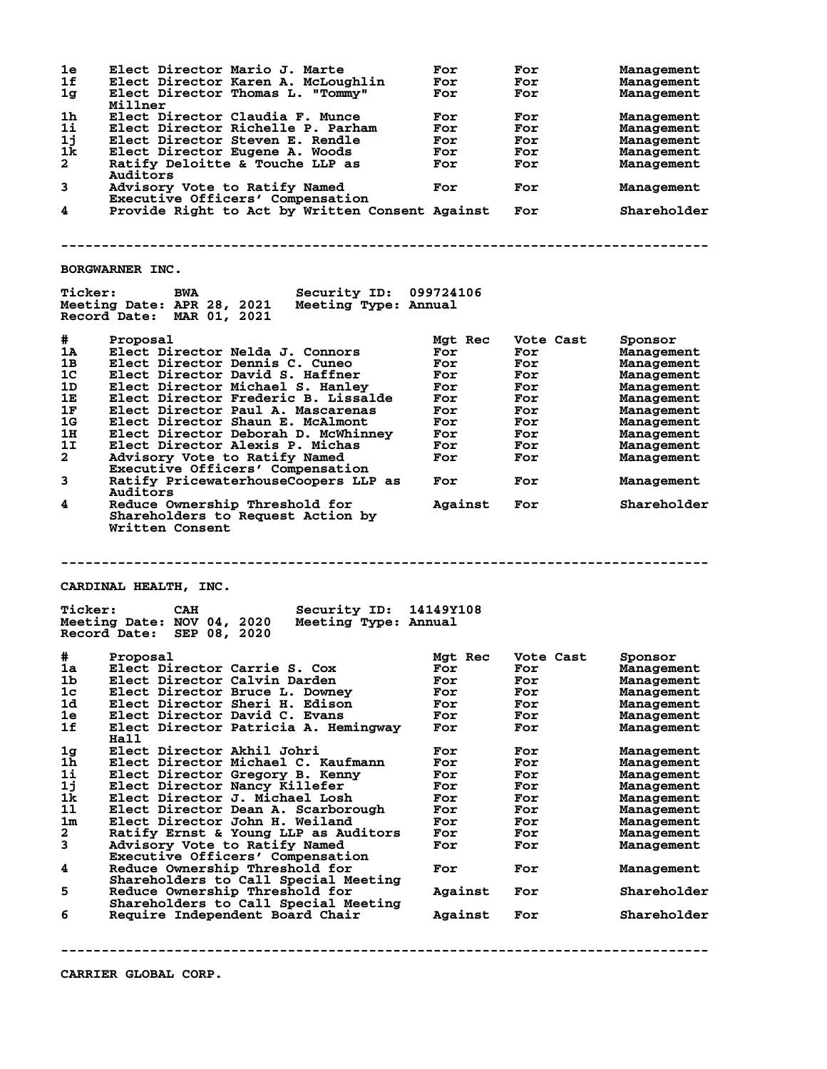**1e Elect Director Mario J. Marte For For Management 1f Elect Director Karen A. McLoughlin For For Management 1g Elect Director Thomas L. "Tommy" For For Management Millner 1h Elect Director Claudia F. Munce For For Management 1i Elect Director Richelle P. Parham For For Management 1j Elect Director Steven E. Rendle For For Management** miller<br>
1k Elect Director Claudia F. Munce<br>
1i Elect Director Richelle P. Parham<br>
1j Elect Director Steven E. Rendle<br>
1k Elect Director Eugene A. Woods<br>
2 Ratify Deloitte & Touche LLP as<br>
2 Ratify Por Hor Management<br>
2 Rat Ratify Deloitte & Touche LLP as  **Auditors** Advisory Vote to Ratify Named **For** For **For** Management **Executive Officers' Compensation<br>4** Provide Right to Act by Written Co **4 Provide Right to Act by Written Consent Against For Shareholder -------------------------------------------------------------------------------- BORGWARNER INC. Ticker: BWA Security ID: 099724106 Meeting Date: APR 28, 2021 Meeting Type: Annual Record Date: MAR 01, 2021 # Proposal Mgt Rec Vote Cast Sponsor 1A Elect Director Nelda J. Connors For For Management 1B Elect Director Dennis C. Cuneo For For Management 1C Elect Director David S. Haffner For For Management 1D Elect Director Michael S. Hanley For For Management 1E Elect Director Frederic B. Lissalde For For Management 1F Elect Director Paul A. Mascarenas For For Management 1G Elect Director Shaun E. McAlmont For For Management 1H Elect Director Deborah D. McWhinney For For Management 1I Elect Director Alexis P. Michas For For Management 2 Advisory Vote to Ratify Named For For Management Executive Officers' Compensation 3 Ratify PricewaterhouseCoopers LLP as For For Management** Executive UITICers' Compensation<br> **3** Ratify PricewaterhouseCoopers LLP as For For<br>
Auditors<br>
4 Reduce Ownership Threshold for Against For **4 Reduce Ownership Threshold for Against For Shareholder Shareholders to Request Action by Written Consent -------------------------------------------------------------------------------- CARDINAL HEALTH, INC. Ticker: CAH Security ID: 14149Y108 Meeting Date: NOV 04, 2020 Meeting Type: Annual Record Date: SEP 08, 2020 # Proposal Mgt Rec Vote Cast Sponsor 1a Elect Director Carrie S. Cox For For Management 1b Elect Director Calvin Darden For For Management 1c Elect Director Bruce L. Downey For For Management 1d Elect Director Sheri H. Edison For For Management 1e Elect Director David C. Evans For For Management 1f Elect Director Patricia A. Hemingway For For Management Hall 1g Elect Director Akhil Johri For For Management 1h Elect Director Michael C. Kaufmann For For Management 1i Elect Director Gregory B. Kenny For For Management 1j Elect Director Nancy Killefer For For Management 1k Elect Director J. Michael Losh For For Management 1l Elect Director Dean A. Scarborough For For Management 1m Elect Director John H. Weiland For For Management 2 Ratify Ernst & Young LLP as Auditors For For Management 3 Advisory Vote to Ratify Named For For Management Executive Officers' Compensation 4 Reduce Ownership Threshold for For For Management Shareholders to Call Special Meeting 5 Reduce Ownership Threshold for Against For Shareholder Shareholders to Call Special Meeting 6 Require Independent Board Chair Against For Shareholder --------------------------------------------------------------------------------**

**CARRIER GLOBAL CORP.**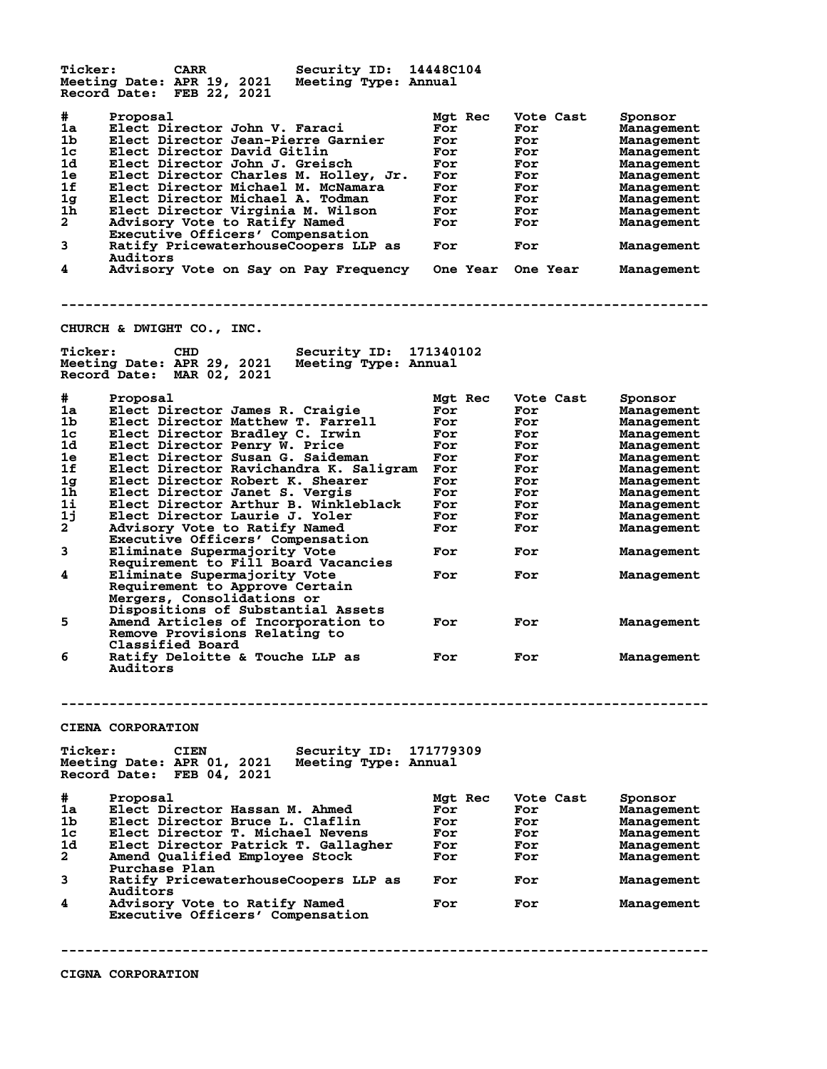**Ticker: CARR Security ID: 14448C104 Meeting Date: APR 19, 2021 Meeting Type: Annual Record Date: FEB 22, 2021 # Proposal Mgt Rec Vote Cast Sponsor 1a Elect Director John V. Faraci For For Management 1b Elect Director Jean-Pierre Garnier For For Management 1c Elect Director David Gitlin For For Management 1d Elect Director John J. Greisch For For Management 1e Elect Director Charles M. Holley, Jr. For For Management 1f Elect Director Michael M. McNamara For For Management 1g Elect Director Michael A. Todman For For Management 1h Elect Director Virginia M. Wilson For For Management 2 Advisory Vote to Ratify Named For For Management Executive Constitution Inc. 1988**<br> **Executive Officers' Compensation<br>
Ratify PricewaterhouseCoopers LLP 3 Ratify PricewaterhouseCoopers LLP as For For Management** Auditors<br>4 Advisory **4 Advisory Vote on Say on Pay Frequency One Year One Year Management -------------------------------------------------------------------------------- CHURCH & DWIGHT CO., INC. Ticker: CHD Security ID: 171340102 Meeting Date: APR 29, 2021 Meeting Type: Annual Record Date: MAR 02, 2021 # Proposal Mgt Rec Vote Cast Sponsor 1a Elect Director James R. Craigie For For Management 1b Elect Director Matthew T. Farrell For For Management 1c Elect Director Bradley C. Irwin For For Management 1d Elect Director Penry W. Price For For Management 1e Elect Director Susan G. Saideman For For Management 1f Elect Director Ravichandra K. Saligram For For Management 1g Elect Director Robert K. Shearer For For Management 1h Elect Director Janet S. Vergis For For Management 1i Elect Director Arthur B. Winkleblack For For Management 1j Elect Director Laurie J. Yoler For For Management 2 Advisory Vote to Ratify Named For For Management Executive Officers' Compensation 3 Eliminate Supermajority Vote For For Management Requirement to Fill Board Vacancies 4 Eliminate Supermajority Vote For For Management Requirement to Approve Certain Mergers, Consolidations or Dispositions of Substantial Assets 5 Amend Articles of Incorporation to For For Management Remove Provisions Relating to Classified Board<br>6** Ratify Deloitte & Ratify Deloitte & Touche LLP as For For Management  **Auditors -------------------------------------------------------------------------------- CIENA CORPORATION Ticker: CIEN Security ID: 171779309 Meeting Date: APR 01, 2021 Meeting Type: Annual Record Date: FEB 04, 2021 #** Proposal<br> **1a** Elect Director Hassan M. Ahmed<br> **1b** Elect Director Bruce L. Claflin<br> **1c** Elect Director T. Michael Nevens<br> **1d** Elect Director Patrick T. Gallagher<br> **1d** Elect Director Patrick T. Gallagher<br> **1d** Elect **1a Elect Director Hassan M. Ahmed For For Management 1b Elect Director Bruce L. Claflin For For Management 1c Elect Director T. Michael Nevens For For Management 1d Elect Director Patrick T. Gallagher For For Management 2 Amend Qualified Employee Stock For For Management Purchase Plan**<br>**3** Ratify Pricewa Ratify PricewaterhouseCoopers LLP as For For Management  **Auditors 4 Advisory Vote to Ratify Named For For Management Executive Officers' Compensation --------------------------------------------------------------------------------**

**CIGNA CORPORATION**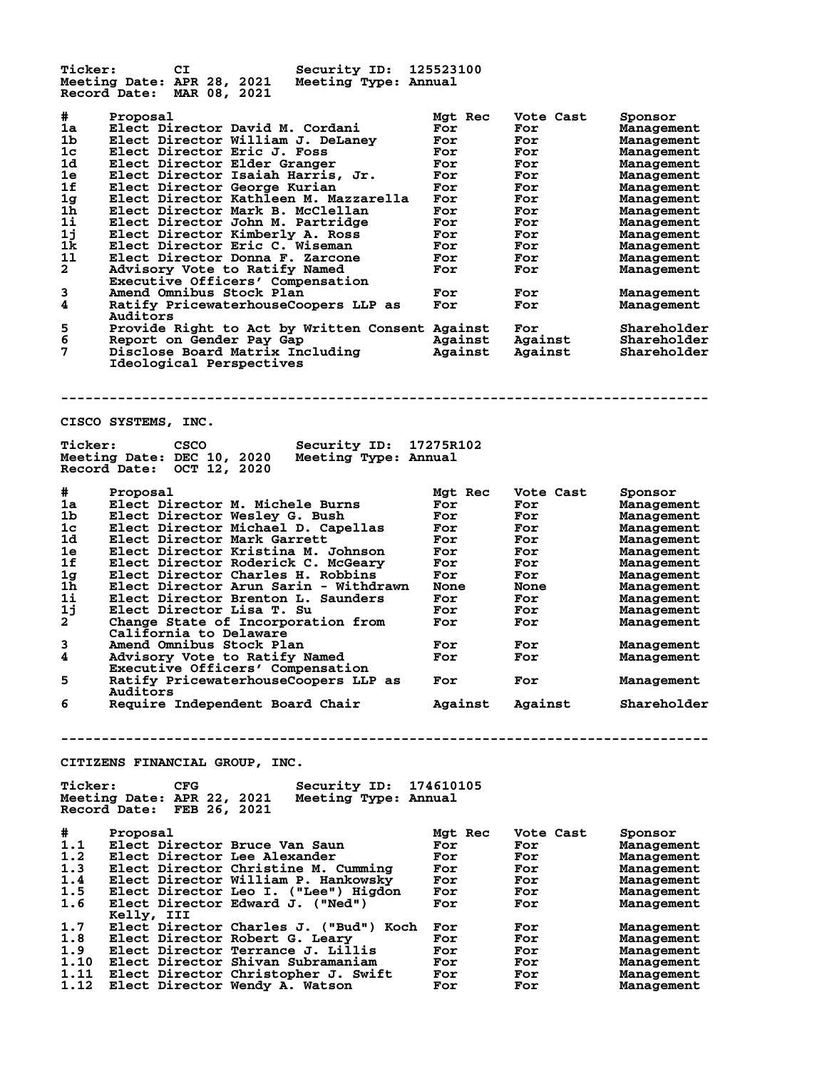**Ticker: CI Security ID: 125523100 Meeting Date: APR 28, 2021 Meeting Type: Annual Record Date: MAR 08, 2021 # Proposal Mgt Rec Vote Cast Sponsor 1a Elect Director David M. Cordani For For Management 1b Elect Director William J. DeLaney For For Management 1c Elect Director Eric J. Foss For For Management 1d Elect Director Elder Granger For For Management 1e Elect Director Isaiah Harris, Jr. For For Management 1f Elect Director George Kurian For For Management 1g Elect Director Kathleen M. Mazzarella For For Management 1h Elect Director Mark B. McClellan For For Management 1i Elect Director John M. Partridge For For Management 1j Elect Director Kimberly A. Ross For For Management 1k Elect Director Eric C. Wiseman For For Management 1l Elect Director Donna F. Zarcone For For Management 2 Advisory Vote to Ratify Named For For Management Executive Officers' Compensation 3 Amend Omnibus Stock Plan For For Management 4 Ratify PricewaterhouseCoopers LLP as For For Management** Executive Officers' Compensation<br> **Amend Omnibus Stock Plan**<br> **Auditors**<br> **Auditors**<br> **Auditors**<br> **Auditors**<br> **Auditors**<br> **Auditors**<br> **Auditors 5 Provide Right to Act by Written Consent Against For Shareholder 6 Report on Gender Pay Gap Against Against Shareholder 7 Disclose Board Matrix Including Against Against Shareholder Ideological Perspectives -------------------------------------------------------------------------------- CISCO SYSTEMS, INC. Ticker: CSCO Security ID: 17275R102 Meeting Date: DEC 10, 2020 Meeting Type: Annual Record Date: OCT 12, 2020 # Proposal Mgt Rec Vote Cast Sponsor 1a Elect Director M. Michele Burns For For Management 1b Elect Director Wesley G. Bush For For Management 1c Elect Director Michael D. Capellas For For Management 1d Elect Director Mark Garrett For For Management 1e Elect Director Kristina M. Johnson For For Management 1f Elect Director Roderick C. McGeary For For Management 1g Elect Director Charles H. Robbins For For Management 1h Elect Director Arun Sarin - Withdrawn None None Management 1i Elect Director Brenton L. Saunders For For Management 1j Elect Director Lisa T. Su For For Management 2 Change State of Incorporation from For For Management California to Delaware 3 Amend Omnibus Stock Plan For For Management 4 Advisory Vote to Ratify Named For For Management Executive Officers' Compensation 5 Ratify PricewaterhouseCoopers LLP as For For Management Auditors 6 Require Independent Board Chair Against Against Shareholder -------------------------------------------------------------------------------- CITIZENS FINANCIAL GROUP, INC. Ticker: CFG Security ID: 174610105 Meeting Date: APR 22, 2021 Meeting Type: Annual Record Date: FEB 26, 2021 # Proposal Mgt Rec Vote Cast Sponsor 1.1 Elect Director Bruce Van Saun For For Management 1.2 Elect Director Lee Alexander For For Management 1.3 Elect Director Christine M. Cumming For For Management 1.4 Elect Director William P. Hankowsky For For Management 1.5 Elect Director Leo I. ("Lee") Higdon For For Management 1.6 Elect Director Edward J. ("Ned") For For Management Kelly, III 1.7 Elect Director Charles J. ("Bud") Koch For For Management 1.8 Elect Director Robert G. Leary For For Management 1.9 Elect Director Terrance J. Lillis For For Management 1.10 Elect Director Shivan Subramaniam For For Management 1.11 Elect Director Christopher J. Swift For For Management 1.12 Elect Director Wendy A. Watson For For Management**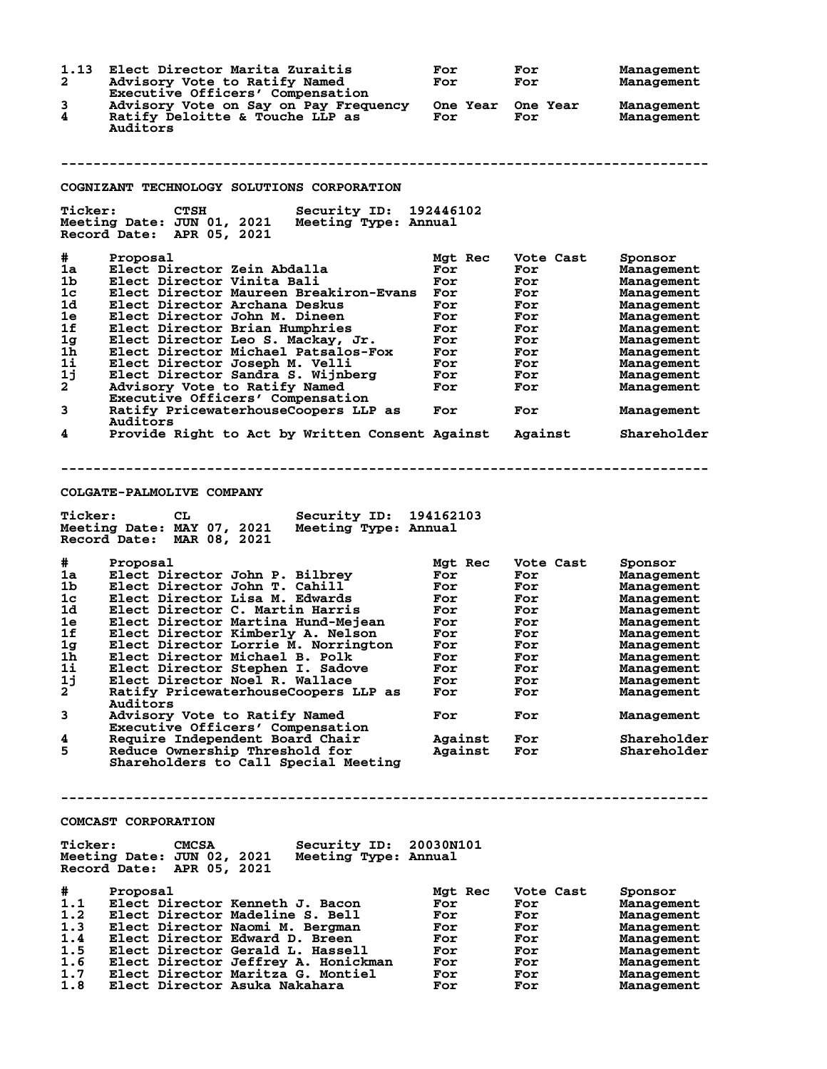**1.13 Elect Director Marita Zuraitis For For Management 2 Advisory Vote to Ratify Named For For Management Executive Officers' Compensation 3 Advisory Vote on Say on Pay Frequency One Year One Year Management 4 Ratify Deloitte & Touche LLP as For For Management Auditors -------------------------------------------------------------------------------- COGNIZANT TECHNOLOGY SOLUTIONS CORPORATION**<br> **Ticker:** CTSH Security ID: **Ticker: CTSH Security ID: 192446102 Meeting Date: JUN 01, 2021 Meeting Type: Annual Record Date: APR 05, 2021 # Proposal Mgt Rec Vote Cast Sponsor 1a Elect Director Zein Abdalla For For Management 1b Elect Director Vinita Bali For For Management 1c Elect Director Maureen Breakiron-Evans For For Management 1d Elect Director Archana Deskus For For Management 1e Elect Director John M. Dineen For For Management 1f Elect Director Brian Humphries For For Management 1g Elect Director Leo S. Mackay, Jr. For For Management 1h Elect Director Michael Patsalos-Fox For For Management 1i Elect Director Joseph M. Velli For For Management 1j Elect Director Sandra S. Wijnberg For For Management 2 Advisory Vote to Ratify Named For For Management Executive Officers' Compensation 3 Ratify PricewaterhouseCoopers LLP as For For Management Auditors 4 Provide Right to Act by Written Consent Against Against Shareholder -------------------------------------------------------------------------------- COLGATE-PALMOLIVE COMPANY Ticker: CL Security ID: 194162103 Meeting Date: MAY 07, 2021 Meeting Type: Annual Record Date: MAR 08, 2021 # Proposal Mgt Rec Vote Cast Sponsor 1a Elect Director John P. Bilbrey For For Management 1b Elect Director John T. Cahill For For Management 1c Elect Director Lisa M. Edwards For For Management 1d Elect Director C. Martin Harris For For Management 1e Elect Director Martina Hund-Mejean For For Management 1f Elect Director Kimberly A. Nelson For For Management 1g Elect Director Lorrie M. Norrington For For Management 1h Elect Director Michael B. Polk For For Management 1i Elect Director Stephen I. Sadove For For Management 1j Elect Director Noel R. Wallace For For Management 2 Ratify PricewaterhouseCoopers LLP as For For Management Auditors 3 Advisory Vote to Ratify Named For For Management Executive Officers' Compensation 4 Require Independent Board Chair Against For Shareholder 5 Reduce Ownership Threshold for Against For Shareholder Shareholders to Call Special Meeting -------------------------------------------------------------------------------- COMCAST CORPORATION Ticker: CMCSA Security ID: 20030N101 Meeting Date: JUN 02, 2021 Meeting Type: Annual Record Date: APR 05, 2021 # Proposal Mgt Rec Vote Cast Sponsor 1.1 Elect Director Kenneth J. Bacon For For Management 1.2 Elect Director Madeline S. Bell For For Management 1.3 Elect Director Naomi M. Bergman For For Management 1.4 Elect Director Edward D. Breen For For Management 1.5 Elect Director Gerald L. Hassell For For Management 1.6 Elect Director Jeffrey A. Honickman For For Management 1.7 Elect Director Maritza G. Montiel For For Management 1.8 Elect Director Asuka Nakahara For For Management**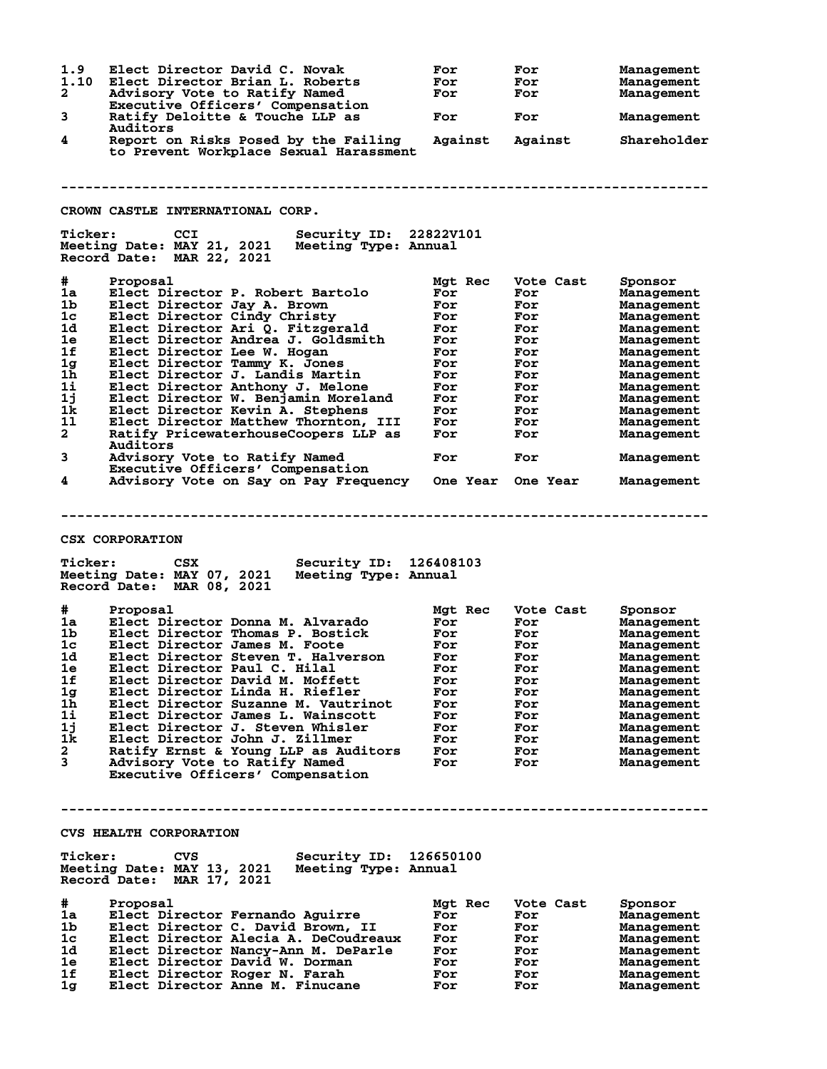| 1.9<br>1.10                      | Elect Director David C. Novak<br>Elect Director Brian L. Roberts                                                                                  | For<br>For | For<br>For | Management<br>Management |
|----------------------------------|---------------------------------------------------------------------------------------------------------------------------------------------------|------------|------------|--------------------------|
| $\mathbf{2}$                     | Advisory Vote to Ratify Named<br>Executive Officers' Compensation                                                                                 | For        | For        | Management               |
| 3                                | Ratify Deloitte & Touche LLP as<br>Auditors                                                                                                       | For        | For        | Management               |
| 4                                | Report on Risks Posed by the Failing<br>to Prevent Workplace Sexual Harassment                                                                    | Against    | Against    | Shareholder              |
|                                  |                                                                                                                                                   |            |            |                          |
|                                  | CROWN CASTLE INTERNATIONAL CORP.                                                                                                                  |            |            |                          |
| <b>Ticker:</b>                   | CCI<br>Security ID: 22822V101<br>Meeting Date: MAY 21, 2021<br>Meeting Type: Annual<br>Record Date: MAR 22, 2021                                  |            |            |                          |
| #                                | Proposal                                                                                                                                          | Mgt Rec    | Vote Cast  | Sponsor                  |
| 1a                               | Elect Director P. Robert Bartolo                                                                                                                  | For        | For        | Management               |
| 1 <sub>b</sub><br>1 <sub>c</sub> | Elect Director Jay A. Brown                                                                                                                       | For        | For        | Management               |
| 1d                               | Elect Director Cindy Christy<br>Elect Director Ari Q. Fitzgerald                                                                                  | For<br>For | For<br>For | Management<br>Management |
| 1e                               | Elect Director Andrea J. Goldsmith                                                                                                                | For        | For        | Management               |
| 1f                               | Elect Director Lee W. Hogan                                                                                                                       | For        | For        | Management               |
| 1 <sub>g</sub>                   | Elect Director Tammy K. Jones                                                                                                                     | For        | For        | Management               |
| 1 <sub>h</sub>                   | Elect Director J. Landis Martin                                                                                                                   | For        | For        | Management               |
| 1i                               | Elect Director Anthony J. Melone                                                                                                                  | For        | For        | Management               |
| 1j                               | Elect Director W. Benjamin Moreland                                                                                                               | For        | For        | Management               |
| 1k                               | Elect Director Kevin A. Stephens                                                                                                                  | For        | For        | Management               |
| 11                               | Elect Director Matthew Thornton, III                                                                                                              | For        | For        | Management               |
| $\mathbf{2}$                     | Ratify PricewaterhouseCoopers LLP as<br>Auditors                                                                                                  | For        | For        | Management               |
| 3                                | Advisory Vote to Ratify Named<br>Executive Officers' Compensation                                                                                 | For        | For        | Management               |
| 4                                | Advisory Vote on Say on Pay Frequency One Year One Year                                                                                           |            |            | Management               |
| <b>Ticker:</b>                   | <b>CSX CORPORATION</b><br>Security ID: 126408103<br><b>CSX</b><br>Meeting Date: MAY 07, 2021<br>Meeting Type: Annual<br>Record Date: MAR 08, 2021 |            |            |                          |
| #                                | Proposal                                                                                                                                          | Mgt Rec    | Vote Cast  | Sponsor                  |
| 1a                               | Elect Director Donna M. Alvarado                                                                                                                  | For        | For        | Management               |
| 1 <sub>b</sub>                   | Elect Director Thomas P. Bostick                                                                                                                  | For        | For        | Management               |
| 1 <sub>c</sub>                   | Elect Director James M. Foote                                                                                                                     | For        | For        | Management               |
| 1d                               | Elect Director Steven T. Halverson                                                                                                                | For        | For        | Management               |
| <b>1e</b>                        | Elect Director Paul C. Hilal                                                                                                                      | For        | For        | Management               |
| 1f                               | Elect Director David M. Moffett                                                                                                                   | For        | For        | Management               |
| 1g                               | Elect Director Linda H. Riefler                                                                                                                   | For        | For        | Management               |
| 1h                               | Elect Director Suzanne M. Vautrinot                                                                                                               | For        | For        | Management               |
| 1i<br>1j                         | Elect Director James L. Wainscott<br>Elect Director J. Steven Whisler                                                                             | For<br>For | For<br>For | Management               |
| 1k                               | Elect Director John J. Zillmer                                                                                                                    | For        | For        | Management<br>Management |
| 2                                | Ratify Ernst & Young LLP as Auditors                                                                                                              | For        | For        | Management               |
| 3                                | Advisory Vote to Ratify Named<br>Executive Officers' Compensation                                                                                 | For        | For        | Management               |
|                                  |                                                                                                                                                   |            |            |                          |
|                                  | <b>CVS HEALTH CORPORATION</b>                                                                                                                     |            |            |                          |
| <b>Ticker:</b>                   | Security ID: 126650100<br>CVS<br>Meeting Date: MAY 13, 2021<br>Meeting Type: Annual<br>Record Date: MAR 17, 2021                                  |            |            |                          |
| #                                | Proposal                                                                                                                                          | Mgt Rec    | Vote Cast  | Sponsor                  |
| 1a                               | Elect Director Fernando Aguirre                                                                                                                   | For        | For        | <b>Management</b>        |
| 1b.                              | Elect Director C. David Brown, II                                                                                                                 | For        | For        | <b>Management</b>        |
| 1c                               | Elect Director Alecia A. DeCoudreaux                                                                                                              | For        | For        | Management               |
| 1d.                              | Elect Director Nancy-Ann M. DeParle                                                                                                               | For        | For        | Management               |
| 1e                               | Elect Director David W. Dorman                                                                                                                    | For        | For        | Management               |
| 1f<br>1 <sub>g</sub>             | Elect Director Roger N. Farah<br>Elect Director Anne M. Finucane                                                                                  | For<br>For | For<br>For | Management<br>Management |
|                                  |                                                                                                                                                   |            |            |                          |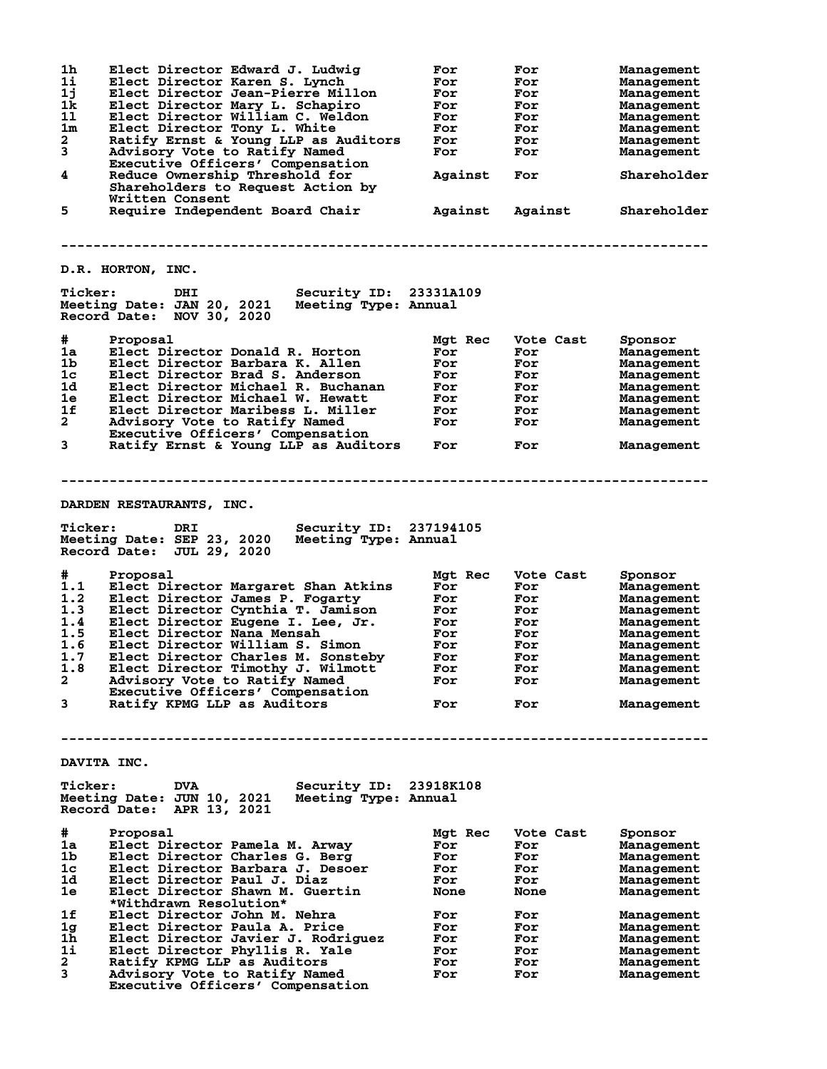| 1 <sub>h</sub><br>$1\text{i}$<br>1j<br>1k<br>11<br>1 <sub>m</sub><br>2<br>3<br>4<br>5 | Elect Director Edward J. Ludwig<br>Elect Director Karen S. Lynch<br>Elect Director Jean-Pierre Millon<br>Elect Director Mary L. Schapiro<br>Elect Director William C. Weldon<br>Elect Director Tony L. White<br>Ratify Ernst & Young LLP as Auditors<br>Advisory Vote to Ratify Named<br>Executive Officers' Compensation<br>Reduce Ownership Threshold for<br>Shareholders to Request Action by<br>Written Consent<br>Require Independent Board Chair                                                                                                       | For<br>For<br>For<br>For<br>For<br>For<br>For<br>For<br>Against<br>Against    | For<br>For<br>For<br>For<br>For<br>For<br>For<br>For<br>For<br>Against                 | Management<br>Management<br>Management<br>Management<br>Management<br>Management<br>Management<br>Management<br>Shareholder<br>Shareholder          |
|---------------------------------------------------------------------------------------|--------------------------------------------------------------------------------------------------------------------------------------------------------------------------------------------------------------------------------------------------------------------------------------------------------------------------------------------------------------------------------------------------------------------------------------------------------------------------------------------------------------------------------------------------------------|-------------------------------------------------------------------------------|----------------------------------------------------------------------------------------|-----------------------------------------------------------------------------------------------------------------------------------------------------|
|                                                                                       | <b>D.R. HORTON, INC.</b>                                                                                                                                                                                                                                                                                                                                                                                                                                                                                                                                     |                                                                               |                                                                                        |                                                                                                                                                     |
| <b>Ticker:</b>                                                                        | <b>Security ID: 23331A109</b><br>DHI<br>Meeting Date: JAN 20, 2021 Meeting Type: Annual<br>Record Date: NOV 30, 2020                                                                                                                                                                                                                                                                                                                                                                                                                                         |                                                                               |                                                                                        |                                                                                                                                                     |
| #<br>1a<br>1b<br>1 <sub>c</sub><br>1d<br>1e<br>1f<br>$\mathbf{2}$                     | Proposal<br>Elect Director Donald R. Horton<br>Elect Director Barbara K. Allen<br>Elect Director Brad S. Anderson<br>Elect Director Michael R. Buchanan<br>Elect Director Michael W. Hewatt<br>Elect Director Maribess L. Miller<br>Advisory Vote to Ratify Named<br>Executive Officers' Compensation                                                                                                                                                                                                                                                        | Mgt Rec<br>For<br>For<br>For<br>For<br>For<br>For<br>For                      | Vote Cast<br>For<br>For<br>For<br>For<br>For<br>For<br>For                             | Sponsor<br>Management<br>Management<br>Management<br>Management<br>Management<br>Management<br>Management                                           |
| $\mathbf{3}$                                                                          | Ratify Ernst & Young LLP as Auditors                                                                                                                                                                                                                                                                                                                                                                                                                                                                                                                         | For                                                                           | For                                                                                    | Management                                                                                                                                          |
| <b>Ticker:</b><br>#<br>1.1<br>1.2<br>1.3<br>1.4<br>1.5<br>1.6<br>1.7<br>1.8<br>2<br>3 | DARDEN RESTAURANTS, INC.<br>Security ID: 237194105<br>DRI<br>Meeting Date: SEP 23, 2020<br>Meeting Type: Annual<br>Record Date: JUL 29, 2020<br>Proposal<br>Elect Director Margaret Shan Atkins<br>Elect Director James P. Fogarty<br>Elect Director Cynthia T. Jamison<br>Elect Director Eugene I. Lee, Jr.<br>Elect Director Nana Mensah<br>Elect Director William S. Simon<br>Elect Director Charles M. Sonsteby<br>Elect Director Timothy J. Wilmott<br>Advisory Vote to Ratify Named<br>Executive Officers' Compensation<br>Ratify KPMG LLP as Auditors | Mgt Rec<br>For<br>For<br>For<br>For<br>For<br>For<br>For<br>For<br>For<br>For | Vote Cast<br>For<br><b>For</b><br>For<br>For<br>For<br>For<br>For<br>For<br>For<br>For | Sponsor<br>Management<br>Management<br>Management<br>Management<br>Management<br>Management<br>Management<br>Management<br>Management<br>Management |
|                                                                                       | DAVITA INC.                                                                                                                                                                                                                                                                                                                                                                                                                                                                                                                                                  |                                                                               |                                                                                        |                                                                                                                                                     |
| <b>Ticker:</b>                                                                        | Security ID: 23918K108<br><b>DVA</b><br>Meeting Date: JUN 10, 2021 Meeting Type: Annual<br>Record Date: APR 13, 2021                                                                                                                                                                                                                                                                                                                                                                                                                                         |                                                                               |                                                                                        |                                                                                                                                                     |
| #<br>1a                                                                               | Proposal<br>Elect Director Pamela M. Arway<br>Elect Director Charles G. Berg<br>Elect Director Barbara J. Desoer                                                                                                                                                                                                                                                                                                                                                                                                                                             | Mgt Rec<br>For<br>For<br>For                                                  | Vote Cast<br>For<br>For<br>For                                                         | Sponsor<br>Management<br>Management<br>Management                                                                                                   |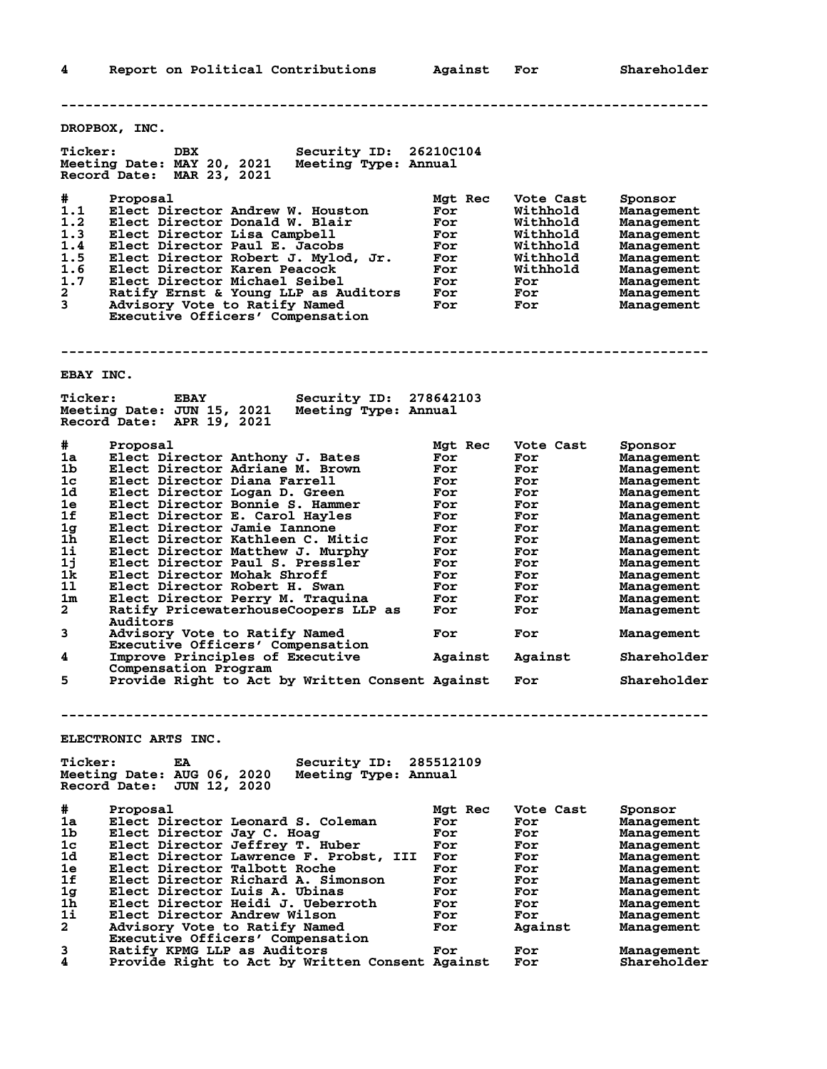**4 Report on Political Contributions Against For Shareholder -------------------------------------------------------------------------------- DROPBOX, INC. Ticker: DBX Security ID: 26210C104 Meeting Date: MAY 20, 2021 Meeting Type: Annual Record Date: MAR 23, 2021 # Proposal Mgt Rec Vote Cast Sponsor 1.1 Elect Director Andrew W. Houston For Withhold Management 1.2 Elect Director Donald W. Blair For Withhold Management 1.3 Elect Director Lisa Campbell For Withhold Management 1.4 Elect Director Paul E. Jacobs For Withhold Management 1.5 Elect Director Robert J. Mylod, Jr. For Withhold Management 1.6 Elect Director Karen Peacock For Withhold Management 1.7 Elect Director Michael Seibel For For Management 2 Ratify Ernst & Young LLP as Auditors For For Management 3 Advisory Vote to Ratify Named For For Management Executive Officers' Compensation -------------------------------------------------------------------------------- EBAY INC. Ticker: EBAY Security ID: 278642103 Meeting Date: JUN 15, 2021 Meeting Type: Annual Record Date: APR 19, 2021 # Proposal Mgt Rec Vote Cast Sponsor 1a Elect Director Anthony J. Bates For For Management 1b Elect Director Adriane M. Brown For For Management 1c Elect Director Diana Farrell For For Management 1d Elect Director Logan D. Green For For Management 1e Elect Director Bonnie S. Hammer For For Management 1f Elect Director E. Carol Hayles For For Management 1g Elect Director Jamie Iannone For For Management 1h Elect Director Kathleen C. Mitic For For Management 1i Elect Director Matthew J. Murphy For For Management 1j Elect Director Paul S. Pressler For For Management 1k Elect Director Mohak Shroff For For Management 1l Elect Director Robert H. Swan For For Management 1m Elect Director Perry M. Traquina For For Management 2 Ratify PricewaterhouseCoopers LLP as For For Management Auditors 3 Advisory Vote to Ratify Named For For Management Executive Officers' Compensation 4 Improve Principles of Executive Against Against Shareholder Compensation Program 5 Provide Right to Act by Written Consent Against For Shareholder -------------------------------------------------------------------------------- ELECTRONIC ARTS INC. Ticker: EA Security ID: 285512109 Meeting Date: AUG 06, 2020 Meeting Type: Annual Record Date: JUN 12, 2020 # Proposal Mgt Rec Vote Cast Sponsor 1a Elect Director Leonard S. Coleman For For Management 1b Elect Director Jay C. Hoag For For Management 1c Elect Director Jeffrey T. Huber For For Management 1d Elect Director Lawrence F. Probst, III For For Management 1e Elect Director Talbott Roche For For Management 1f Elect Director Richard A. Simonson For For Management 1g Elect Director Luis A. Ubinas For For Management 1h Elect Director Heidi J. Ueberroth For For Management 1i Elect Director Andrew Wilson For For Management 2 Advisory Vote to Ratify Named For Against Management Executive Officers' Compensation 3 Ratify KPMG LLP as Auditors For For Management 4 Provide Right to Act by Written Consent Against For Shareholder**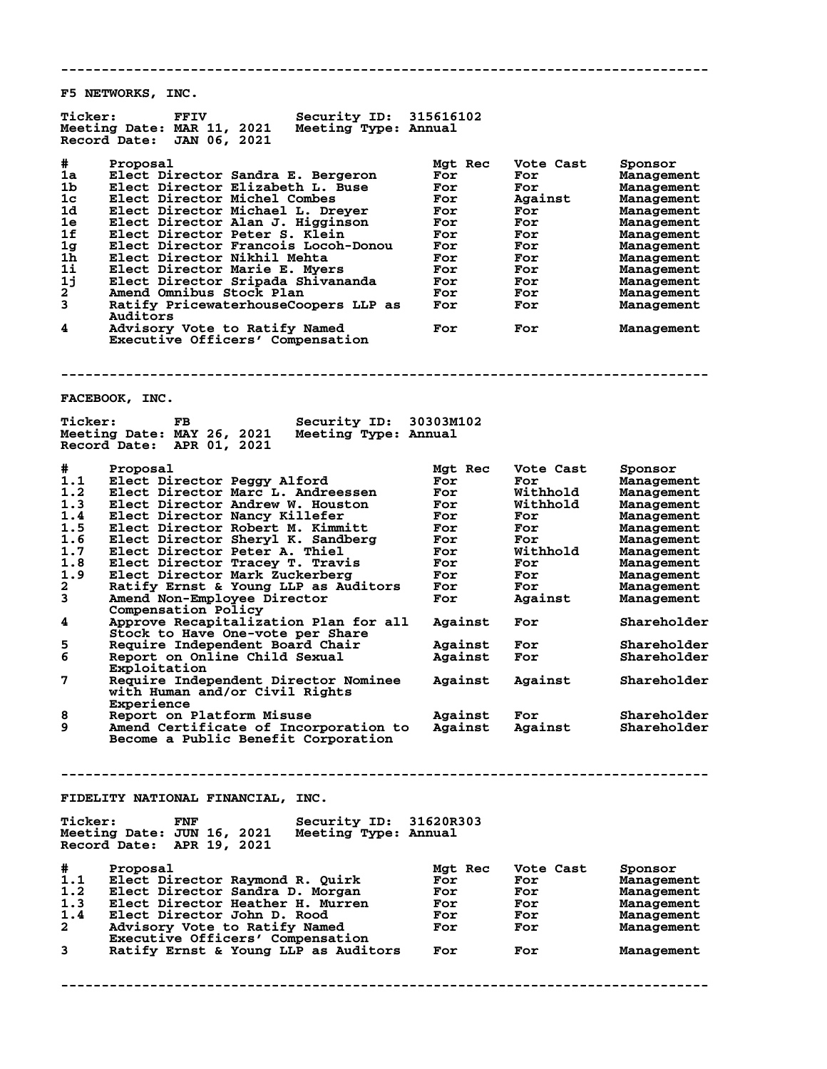**-------------------------------------------------------------------------------- F5 NETWORKS, INC. Ticker: FFIV Security ID: 315616102 Meeting Date: MAR 11, 2021 Meeting Type: Annual Record Date: JAN 06, 2021 #** Proposal Mgt Rec Vote Cast Sponsor<br> **1a** Elect Director Sandra E. Bergeron For For Management<br>
1b Elect Director Elizabeth L. Buse For For Management<br>
Trade Terminal Management **1** Elect Director Sandra E. Bergeron For For Management<br>
1 Elect Director Elizabeth L. Buse For For Management **1b Elect Director Elizabeth L. Buse For For Management 1c Elect Director Michel Combes For Against Management 1d Elect Director Michael L. Dreyer For For Management 1e Elect Director Alan J. Higginson For For Management 1f Elect Director Peter S. Klein For For Management 1g Elect Director Francois Locoh-Donou For For Management 1h Elect Director Nikhil Mehta For For Management 1i Elect Director Marie E. Myers For For Management 1j Elect Director Sripada Shivananda For For Management 2 Amend Omnibus Stock Plan For For Management 3 Ratify PricewaterhouseCoopers LLP as For For Management Auditors 4 Advisory Vote to Ratify Named For For Management Executive Officers' Compensation -------------------------------------------------------------------------------- FACEBOOK, INC. Ticker: FB Security ID: 30303M102 Meeting Date: MAY 26, 2021 Meeting Type: Annual Record Date: APR 01, 2021 # Proposal Mgt Rec Vote Cast Sponsor 1.1 Elect Director Peggy Alford For For Management 1.2 Elect Director Marc L. Andreessen For Withhold Management 1.3 Elect Director Andrew W. Houston For Withhold Management 1.4 Elect Director Nancy Killefer For For Management 1.5 Elect Director Robert M. Kimmitt For For Management 1.6 Elect Director Sheryl K. Sandberg For For Management 1.7 Elect Director Peter A. Thiel For Withhold Management 1.8 Elect Director Tracey T. Travis For For Management 1.9 Elect Director Mark Zuckerberg For For Management 2 Ratify Ernst & Young LLP as Auditors For For Management 3 Amend Non-Employee Director For Against Management Compensation Policy 4 Approve Recapitalization Plan for all Against For Shareholder Stock to Have One-vote per Share 5 Require Independent Board Chair Against For Shareholder 6 Brock to have one-vote per phase**<br>5 Require Independent Board Chair Against For Shareholder<br>6 Report on Online Child Sexual Against For Shareholder **Exploitation<br>Require Inder 7 Require Independent Director Nominee Against Against Shareholder with Human and/or Civil Rights Experience 8 Report on Platform Misuse Against For Shareholder 9 Amend Certificate of Incorporation to Against Against Shareholder Become a Public Benefit Corporation -------------------------------------------------------------------------------- FIDELITY NATIONAL FINANCIAL, INC.** Ticker: FNF Security ID: 31620R303<br>Meeting Date: JUN 16, 2021 Meeting Type: Annual **Meeting Date: JUN 16, 2021 Meeting Type: Annual Record Date: APR 19, 2021 #** Proposal<br>
1.1 Elect Director Raymond R. Quirk<br>
1.2 Elect Director Sandra D. Morgan<br>
1.3 Elect Director Heather H. Murren<br>
1.4 Elect Director John D. Rood<br>
1.4 Elect Director John D. Rood<br>
1.4 Elect Director John D. Roo 1.1 Elect Director Raymond R. Quirk For For Management<br>1.2 Elect Director Sandra D. Morgan For For Management 1.2 Elect Director Sandra D. Morgan For For Management<br>1.3 Elect Director Heather H. Murren For For Management **1.3 Elect Director Heather H. Murren For For Management 1.4 Elect Director John D. Rood For For Management 2 Advisory Vote to Ratify Named For For Management Executive Officers' Compensation 3 Ratify Ernst & Young LLP as Auditors For For Management --------------------------------------------------------------------------------**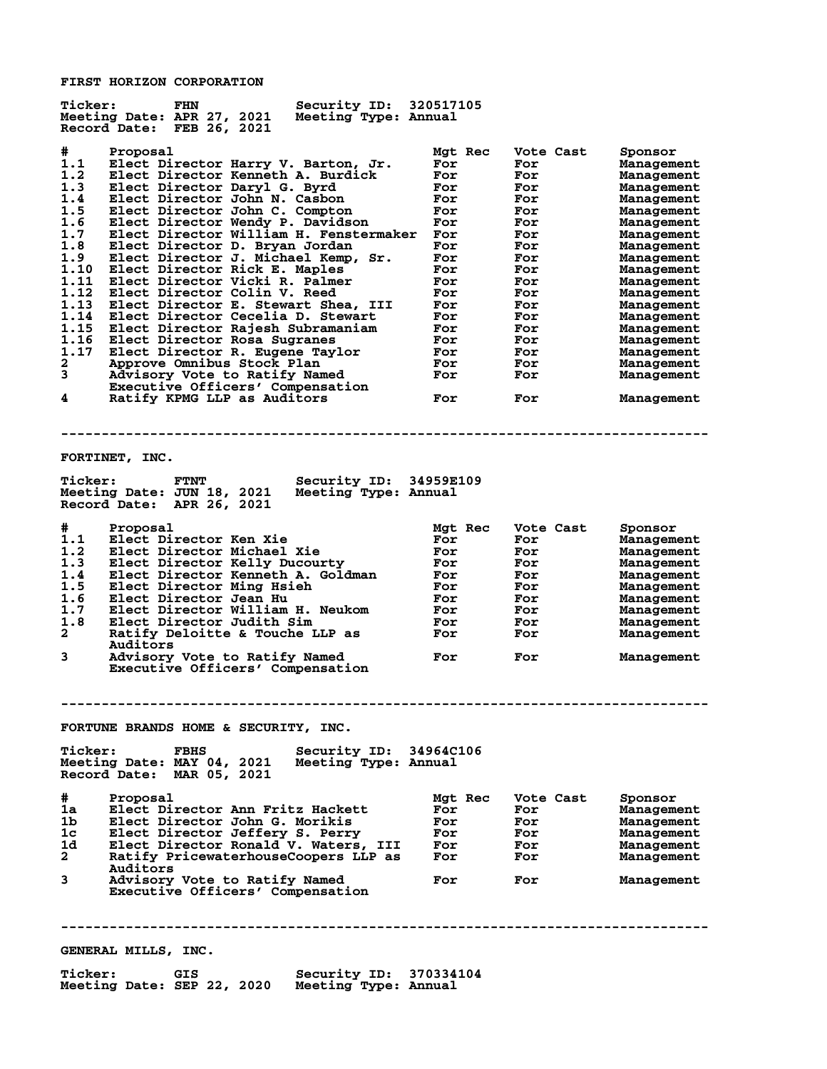**FIRST HORIZON CORPORATION**

| <b>Ticker:</b><br>FHN<br>Meeting Date: APR 27, 2021<br>Record Date: FEB 26, 2021                                                                                       | Security ID: 320517105<br>Meeting Type: Annual                                                                                                                                                                                                                                                                                                                                                                                                                                                                                                                                                                                                                                                                                                              |                                                                                                                                                     |                                                                                                                                                       |                                                                                                                                                                                                                                                                                                 |
|------------------------------------------------------------------------------------------------------------------------------------------------------------------------|-------------------------------------------------------------------------------------------------------------------------------------------------------------------------------------------------------------------------------------------------------------------------------------------------------------------------------------------------------------------------------------------------------------------------------------------------------------------------------------------------------------------------------------------------------------------------------------------------------------------------------------------------------------------------------------------------------------------------------------------------------------|-----------------------------------------------------------------------------------------------------------------------------------------------------|-------------------------------------------------------------------------------------------------------------------------------------------------------|-------------------------------------------------------------------------------------------------------------------------------------------------------------------------------------------------------------------------------------------------------------------------------------------------|
| #<br>Proposal<br>1.1<br>1.2<br>1.3<br>1.4<br>1.5<br>1.6<br>1.7<br>1.8<br>1.9<br>1.10<br>1.11<br>1.12<br>1.13<br>1.14<br>1.15<br>1.16<br>1.17<br>$\mathbf{2}$<br>3<br>4 | Elect Director Harry V. Barton, Jr.<br>Elect Director Kenneth A. Burdick<br>Elect Director Daryl G. Byrd<br>Elect Director John N. Casbon<br>Elect Director John C. Compton<br>Elect Director Wendy P. Davidson<br>Elect Director William H. Fenstermaker<br>Elect Director D. Bryan Jordan<br>Elect Director J. Michael Kemp, Sr.<br>Elect Director Rick E. Maples<br>Elect Director Vicki R. Palmer<br>Elect Director Colin V. Reed<br>Elect Director E. Stewart Shea, III<br>Elect Director Cecelia D. Stewart<br>Elect Director Rajesh Subramaniam<br>Elect Director Rosa Sugranes<br>Elect Director R. Eugene Taylor<br>Approve Omnibus Stock Plan<br>Advisory Vote to Ratify Named<br>Executive Officers' Compensation<br>Ratify KPMG LLP as Auditors | Mgt Rec<br>For<br>For<br>For<br>For<br>For<br>For<br>For<br>For<br>For<br>For<br>For<br>For<br>For<br>For<br>For<br>For<br>For<br>For<br>For<br>For | Vote Cast<br>For<br>For<br>For<br>For<br>For<br>For<br>For<br>For<br>For<br>For<br>For<br>For<br>For<br>For<br>For<br>For<br>For<br>For<br>For<br>For | Sponsor<br>Management<br>Management<br>Management<br>Management<br>Management<br>Management<br>Management<br>Management<br>Management<br>Management<br>Management<br>Management<br>Management<br>Management<br>Management<br>Management<br>Management<br>Management<br>Management<br>Management |
|                                                                                                                                                                        |                                                                                                                                                                                                                                                                                                                                                                                                                                                                                                                                                                                                                                                                                                                                                             |                                                                                                                                                     |                                                                                                                                                       |                                                                                                                                                                                                                                                                                                 |
| FORTINET, INC.<br><b>Ticker:</b><br><b>FTNT</b><br>Meeting Date: JUN 18, 2021<br>Record Date: APR 26, 2021                                                             | Security ID: 34959E109<br>Meeting Type: Annual                                                                                                                                                                                                                                                                                                                                                                                                                                                                                                                                                                                                                                                                                                              |                                                                                                                                                     |                                                                                                                                                       |                                                                                                                                                                                                                                                                                                 |
| #<br>Proposal<br>1.1<br>Elect Director Ken Xie<br>1.2<br>1.3<br>1.4<br>1.5<br>1.6<br>Elect Director Jean Hu<br>1.7<br>1.8<br>2<br>Auditors<br>3                        | Elect Director Michael Xie<br>Elect Director Kelly Ducourty<br>Elect Director Kenneth A. Goldman<br>Elect Director Ming Hsieh<br>Elect Director William H. Neukom<br>Elect Director Judith Sim<br>Ratify Deloitte & Touche LLP as<br>Advisory Vote to Ratify Named<br>Executive Officers' Compensation                                                                                                                                                                                                                                                                                                                                                                                                                                                      | Mgt Rec<br>For<br>For<br>For<br>For<br>For<br>For<br>For<br>For<br>For<br>For                                                                       | Vote Cast<br>For<br>For<br>For<br>For<br>For<br>For<br>For<br>For<br>For<br>For                                                                       | Sponsor<br>Management<br>Management<br>Management<br>Management<br>Management<br>Management<br>Management<br>Management<br>Management<br>Management                                                                                                                                             |
|                                                                                                                                                                        |                                                                                                                                                                                                                                                                                                                                                                                                                                                                                                                                                                                                                                                                                                                                                             |                                                                                                                                                     |                                                                                                                                                       |                                                                                                                                                                                                                                                                                                 |
| <b>Ticker:</b><br><b>FBHS</b><br>Meeting Date: MAY 04, 2021<br>Record Date: MAR 05, 2021                                                                               | FORTUNE BRANDS HOME & SECURITY, INC.<br>Security ID: 34964C106<br>Meeting Type: Annual                                                                                                                                                                                                                                                                                                                                                                                                                                                                                                                                                                                                                                                                      |                                                                                                                                                     |                                                                                                                                                       |                                                                                                                                                                                                                                                                                                 |
| #<br>Proposal<br>1a<br>1b<br>1c<br>1d<br>$\mathbf{2}$<br>Auditors<br>3                                                                                                 | Elect Director Ann Fritz Hackett<br>Elect Director John G. Morikis<br>Elect Director Jeffery S. Perry<br>Elect Director Ronald V. Waters, III<br>Ratify PricewaterhouseCoopers LLP as<br>Advisory Vote to Ratify Named<br>Executive Officers' Compensation                                                                                                                                                                                                                                                                                                                                                                                                                                                                                                  | Mgt Rec<br>For<br>For<br>For<br>For<br>For<br>For                                                                                                   | Vote Cast<br>For<br>For<br>For<br>For<br>For<br>For                                                                                                   | Sponsor<br>Management<br>Management<br>Management<br>Management<br>Management<br>Management                                                                                                                                                                                                     |
|                                                                                                                                                                        |                                                                                                                                                                                                                                                                                                                                                                                                                                                                                                                                                                                                                                                                                                                                                             |                                                                                                                                                     |                                                                                                                                                       |                                                                                                                                                                                                                                                                                                 |
| GENERAL MILLS, INC.<br><b>Ticker:</b><br>GIS                                                                                                                           | Security ID: 370334104                                                                                                                                                                                                                                                                                                                                                                                                                                                                                                                                                                                                                                                                                                                                      |                                                                                                                                                     |                                                                                                                                                       |                                                                                                                                                                                                                                                                                                 |
| Meeting Date: SEP 22, 2020                                                                                                                                             | Meeting Type: Annual                                                                                                                                                                                                                                                                                                                                                                                                                                                                                                                                                                                                                                                                                                                                        |                                                                                                                                                     |                                                                                                                                                       |                                                                                                                                                                                                                                                                                                 |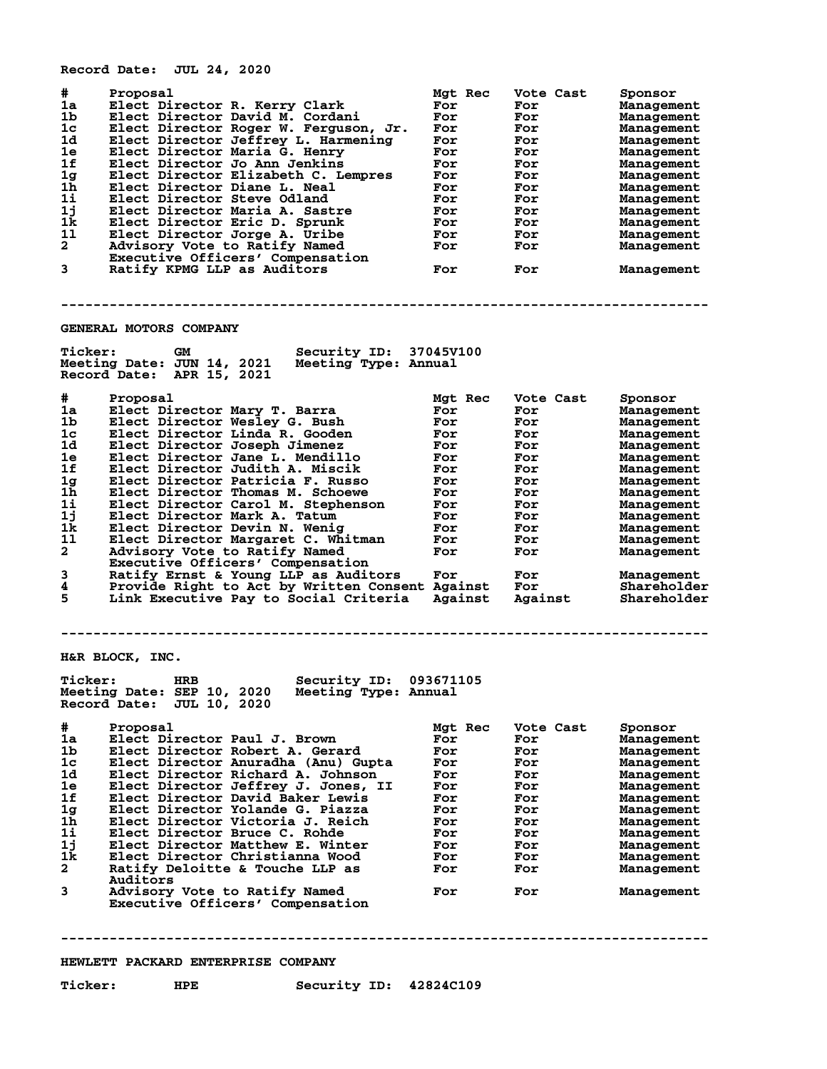**Record Date: JUL 24, 2020**

| #<br>1a<br>1 <sub>b</sub><br>1c<br>1d<br>1e<br>1f<br>1g<br>1 <sub>h</sub><br>$1\mathbf{i}$<br>1j<br>1k<br>11<br>$\mathbf{2}$<br>3 | Proposal<br>Elect Director R. Kerry Clark<br>Elect Director David M. Cordani<br>Elect Director Roger W. Ferguson, Jr.<br>Elect Director Jeffrey L. Harmening<br>Elect Director Maria G. Henry<br>Elect Director Jo Ann Jenkins<br>Elect Director Elizabeth C. Lempres<br>Elect Director Diane L. Neal<br>Elect Director Steve Odland<br>Elect Director Maria A. Sastre<br>Elect Director Eric D. Sprunk<br>Elect Director Jorge A. Uribe<br>Advisory Vote to Ratify Named<br>Executive Officers' Compensation<br>Ratify KPMG LLP as Auditors | Mgt Rec<br>For<br>For<br>For<br>For<br>For<br>For<br>For<br>For<br>For<br>For<br>For<br>For<br>For<br>For | Vote Cast<br>For<br>For<br>For<br>For<br>For<br>For<br>For<br>For<br>For<br>For<br>For<br>For<br>For<br>For | Sponsor<br><b>Management</b><br><b>Management</b><br>Management<br><b>Management</b><br><b>Management</b><br><b>Management</b><br><b>Management</b><br>Management<br>Management<br>Management<br>Management<br>Management<br>Management<br>Management |
|-----------------------------------------------------------------------------------------------------------------------------------|----------------------------------------------------------------------------------------------------------------------------------------------------------------------------------------------------------------------------------------------------------------------------------------------------------------------------------------------------------------------------------------------------------------------------------------------------------------------------------------------------------------------------------------------|-----------------------------------------------------------------------------------------------------------|-------------------------------------------------------------------------------------------------------------|-------------------------------------------------------------------------------------------------------------------------------------------------------------------------------------------------------------------------------------------------------|
|                                                                                                                                   | GENERAL MOTORS COMPANY                                                                                                                                                                                                                                                                                                                                                                                                                                                                                                                       |                                                                                                           |                                                                                                             |                                                                                                                                                                                                                                                       |
| <b>Ticker:</b>                                                                                                                    | <b>Security ID: 37045V100</b><br>GM<br>Meeting Date: JUN 14, 2021<br>Meeting Type: Annual<br>Record Date: APR 15, 2021                                                                                                                                                                                                                                                                                                                                                                                                                       |                                                                                                           |                                                                                                             |                                                                                                                                                                                                                                                       |
| #<br>1a<br>1 <sub>b</sub><br>1c<br>1d<br>1e<br>1f<br>1g<br>1 <sub>h</sub><br>$1\text{i}$                                          | Proposal<br>Elect Director Marv T. Barra<br>Elect Director Wesley G. Bush<br>Elect Director Linda R. Gooden<br>Elect Director Joseph Jimenez<br>Elect Director Jane L. Mendillo<br>Elect Director Judith A. Miscik<br>Elect Director Patricia F. Russo<br>Elect Director Thomas M. Schoewe<br>Elect Director Carol M. Stephenson                                                                                                                                                                                                             | Mgt Rec<br>For<br>For<br>For<br>For<br>For<br>For<br>For<br>For<br>For                                    | Vote Cast<br>For<br>For<br>For<br>For<br>For<br>For<br>For<br>For<br>For                                    | Sponsor<br>Management<br>Management<br>Management<br>Management<br>Management<br><b>Management</b><br>Management<br><b>Management</b><br>Management                                                                                                   |
| 1j<br>1k<br>11<br>$\mathbf{2}$<br>3<br>4<br>5                                                                                     | Elect Director Mark A. Tatum<br>Elect Director Devin N. Wenig<br>Elect Director Margaret C. Whitman<br>Advisory Vote to Ratify Named<br>Executive Officers' Compensation<br>Ratify Ernst & Young LLP as Auditors<br>Provide Right to Act by Written Consent Against<br>Link Executive Pay to Social Criteria                                                                                                                                                                                                                                 | For<br>For<br>For<br>For<br>For<br>Against                                                                | For<br>For<br>For<br>For<br>For<br>For<br>Against                                                           | Management<br>Management<br>Management<br>Management<br>Management<br>Shareholder<br>Shareholder                                                                                                                                                      |
|                                                                                                                                   | H&R BLOCK, INC.                                                                                                                                                                                                                                                                                                                                                                                                                                                                                                                              |                                                                                                           |                                                                                                             |                                                                                                                                                                                                                                                       |
| <b>Ticker:</b>                                                                                                                    | <b>HRB</b><br>Security ID:<br>Meeting Date: SEP 10, 2020 Meeting Type: Annual<br>Record Date: JUL 10, 2020                                                                                                                                                                                                                                                                                                                                                                                                                                   | 093671105                                                                                                 |                                                                                                             |                                                                                                                                                                                                                                                       |
| #<br>1a -<br>1b<br>$1\mathrm{c}$<br>1d<br>1e<br>1f<br>1 <sub>g</sub><br>1 <sub>h</sub><br>11<br>1j<br>1k.<br>$\mathbf{2}^-$<br>3  | Proposal<br>Elect Director Paul J. Brown<br>Elect Director Robert A. Gerard<br>Elect Director Anuradha (Anu) Gupta<br>Elect Director Richard A. Johnson<br>Elect Director Jeffrey J. Jones, II<br>Elect Director David Baker Lewis<br>Elect Director Yolande G. Piazza<br>Elect Director Victoria J. Reich<br>Elect Director Bruce C. Rohde<br>Elect Director Matthew E. Winter<br>Elect Director Christianna Wood<br>Ratify Deloitte & Touche LLP as<br>Auditors<br>Advisory Vote to Ratify Named<br>Executive Officers' Compensation       | Mgt Rec<br>For<br>For<br>For<br>For<br>For<br>For<br>For<br>For<br>For<br>For<br>For<br>For<br>For        | Vote Cast<br>For<br>For<br>For<br>For<br>For<br>For<br>For<br>For<br>For<br>For<br>For<br>For<br>For        | Sponsor<br>Management<br><b>Management</b><br>Management<br>Management<br>Management<br>Management<br>Management<br>Management<br>Management<br>Management<br>Management<br>Management<br>Management                                                  |
|                                                                                                                                   | HEWLETT PACKARD ENTERPRISE COMPANY                                                                                                                                                                                                                                                                                                                                                                                                                                                                                                           |                                                                                                           |                                                                                                             |                                                                                                                                                                                                                                                       |
| <b>Ticker:</b>                                                                                                                    | Security ID: 42824C109<br>HPE                                                                                                                                                                                                                                                                                                                                                                                                                                                                                                                |                                                                                                           |                                                                                                             |                                                                                                                                                                                                                                                       |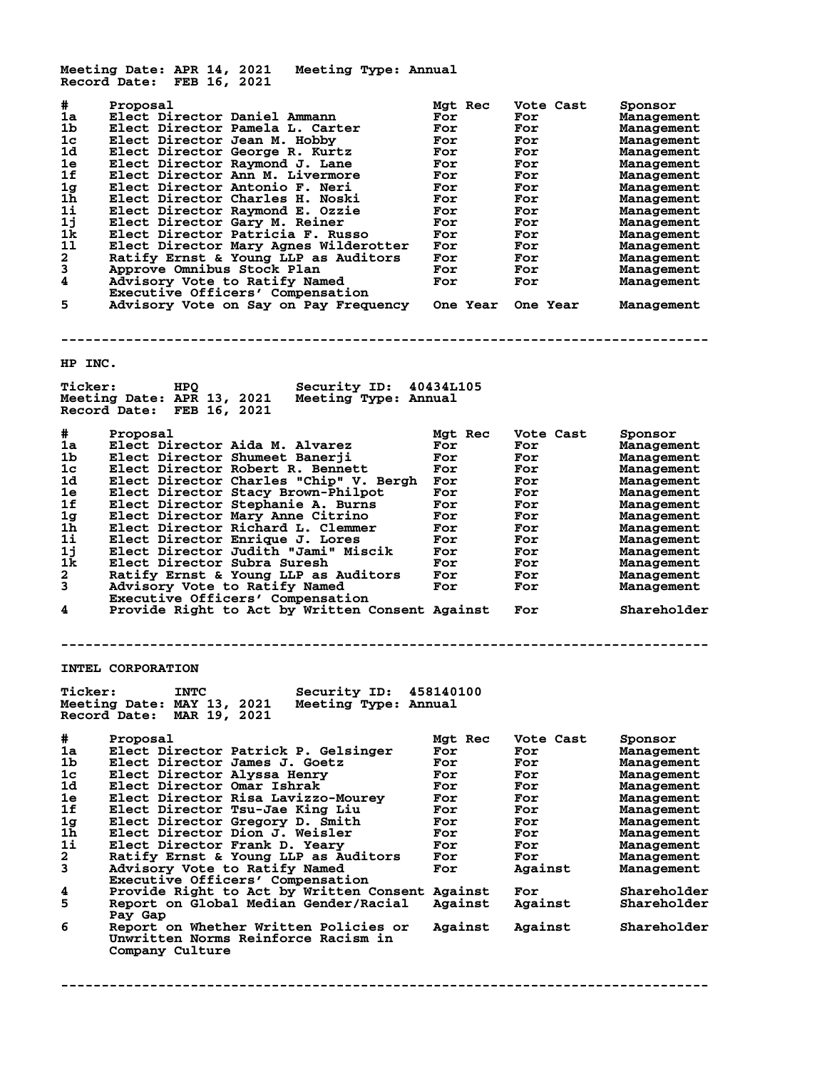**Meeting Date: APR 14, 2021 Meeting Type: Annual Record Date: FEB 16, 2021 # Proposal Mgt Rec Vote Cast Sponsor 1a Elect Director Daniel Ammann For For Management 1b Elect Director Pamela L. Carter For For Management 1c Elect Director Jean M. Hobby For For Management 1d Elect Director George R. Kurtz For For Management 1e Elect Director Raymond J. Lane For For Management 1f Elect Director Ann M. Livermore For For Management 1g Elect Director Antonio F. Neri For For Management 1h Elect Director Charles H. Noski For For Management 1i Elect Director Raymond E. Ozzie For For Management 1j Elect Director Gary M. Reiner For For Management 1k Elect Director Patricia F. Russo For For Management 1l Elect Director Mary Agnes Wilderotter For For Management 2 Ratify Ernst & Young LLP as Auditors For For Management 3 Approve Omnibus Stock Plan For For Management 4 Advisory Vote to Ratify Named For For Management Executive Officers' Compensation 5 Advisory Vote to Ratify Named**<br> **1998 Executive Officers' Compensation**<br> **5 Advisory Vote on Say on Pay Frequency One Year One Year Management -------------------------------------------------------------------------------- HP INC. Ticker: HPQ Security ID: 40434L105 Meeting Date: APR 13, 2021 Meeting Type: Annual Record Date: FEB 16, 2021 # Proposal Mgt Rec Vote Cast Sponsor 1a Elect Director Aida M. Alvarez For For Management 1b Elect Director Shumeet Banerji For For Management 1c Elect Director Robert R. Bennett For For Management 1d Elect Director Charles "Chip" V. Bergh For For Management 1e Elect Director Stacy Brown-Philpot For For Management 1f Elect Director Stephanie A. Burns For For Management 1g Elect Director Mary Anne Citrino For For Management 1h Elect Director Richard L. Clemmer For For Management 1i Elect Director Enrique J. Lores For For Management 1j Elect Director Judith "Jami" Miscik For For Management 1k Elect Director Subra Suresh For For Management 2 Ratify Ernst & Young LLP as Auditors For For Management 3 Advisory Vote to Ratify Named For For Management Executive Officers' Compensation 4 Provide Right to Act by Written Consent Against For Shareholder -------------------------------------------------------------------------------- INTEL CORPORATION Ticker: INTC Security ID: 458140100 Meeting Date: MAY 13, 2021 Meeting Type: Annual Record Date: MAR 19, 2021 # Proposal Mgt Rec Vote Cast Sponsor 1a Elect Director Patrick P. Gelsinger For For Management 1b Elect Director James J. Goetz For For Management 1c Elect Director Alyssa Henry For For Management 1d Elect Director Omar Ishrak For For Management 1e Elect Director Risa Lavizzo-Mourey For For Management 1f Elect Director Tsu-Jae King Liu For For Management 1g Elect Director Gregory D. Smith For For Management 1h Elect Director Dion J. Weisler For For Management 1i Elect Director Frank D. Yeary For For Management 2 Ratify Ernst & Young LLP as Auditors For For Management 3 Advisory Vote to Ratify Named For Against Management Executive Officers' Compensation 4 Provide Right to Act by Written Consent Against For Shareholder 5 Report on Global Median Gender/Racial Against Against Shareholder 8** Pay Gap<br>6 Report o **6 Report on Whether Written Policies or Against Against Shareholder Unwritten Norms Reinforce Racism in Company Culture**

**--------------------------------------------------------------------------------**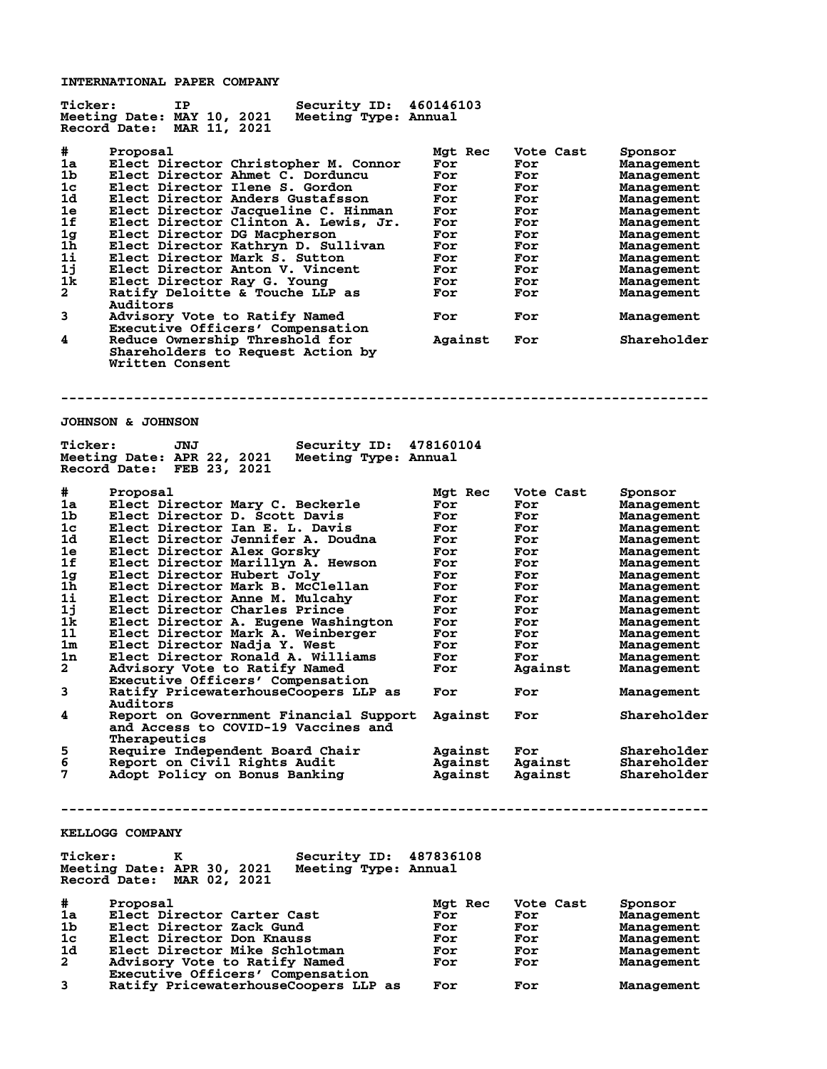**INTERNATIONAL PAPER COMPANY**

| <b>Ticker:</b>                                                                                               | IΡ<br>Security ID:<br>Meeting Date: MAY 10, 2021<br>Meeting Type: Annual<br><b>MAR 11, 2021</b><br>Record Date:                                                                                                                                                                                                                                                                                                                                                                                                                                                                                                                  | 460146103                                                                                                     |                                                                                                             |                                                                                                                                                                                                                     |
|--------------------------------------------------------------------------------------------------------------|----------------------------------------------------------------------------------------------------------------------------------------------------------------------------------------------------------------------------------------------------------------------------------------------------------------------------------------------------------------------------------------------------------------------------------------------------------------------------------------------------------------------------------------------------------------------------------------------------------------------------------|---------------------------------------------------------------------------------------------------------------|-------------------------------------------------------------------------------------------------------------|---------------------------------------------------------------------------------------------------------------------------------------------------------------------------------------------------------------------|
| #.<br>1a<br>1b<br>1c<br>1d<br>1e<br>1f<br>1 <sub>g</sub><br>1h<br>1i<br>1j<br>1k<br>$\overline{a}$<br>3<br>4 | Proposal<br>Elect Director Christopher M. Connor<br>Elect Director Ahmet C. Dorduncu<br>Elect Director Ilene S. Gordon<br>Elect Director Anders Gustafsson<br>Elect Director Jacqueline C. Hinman<br>Elect Director Clinton A. Lewis, Jr.<br>Elect Director DG Macpherson<br>Elect Director Kathryn D. Sullivan<br>Elect Director Mark S. Sutton<br>Elect Director Anton V. Vincent<br>Elect Director Ray G. Young<br>Ratify Deloitte & Touche LLP as<br>Auditors<br>Advisory Vote to Ratify Named<br>Executive Officers' Compensation<br>Reduce Ownership Threshold for<br>Shareholders to Request Action by<br>Written Consent | Mgt Rec<br>For<br>For<br>For<br>For<br>For<br>For<br>For<br>For<br>For<br>For<br>For<br>For<br>For<br>Against | Vote Cast<br>For<br>For<br>For<br>For<br>For<br>For<br>For<br>For<br>For<br>For<br>For<br>For<br>For<br>For | Sponsor<br><b>Management</b><br>Management<br>Management<br>Management<br>Management<br>Management<br>Management<br>Management<br>Management<br>Management<br>Management<br>Management<br>Management<br>Shareholder |
|                                                                                                              |                                                                                                                                                                                                                                                                                                                                                                                                                                                                                                                                                                                                                                  |                                                                                                               |                                                                                                             |                                                                                                                                                                                                                     |
|                                                                                                              | JOHNSON & JOHNSON                                                                                                                                                                                                                                                                                                                                                                                                                                                                                                                                                                                                                |                                                                                                               |                                                                                                             |                                                                                                                                                                                                                     |
| <b>Ticker:</b>                                                                                               | JNJ<br>Security ID:<br>Meeting Date: APR 22, 2021<br>Meeting Type: Annual<br>Record Date: FEB 23, 2021                                                                                                                                                                                                                                                                                                                                                                                                                                                                                                                           | 478160104                                                                                                     |                                                                                                             |                                                                                                                                                                                                                     |
| #                                                                                                            | Proposal                                                                                                                                                                                                                                                                                                                                                                                                                                                                                                                                                                                                                         | Mgt Rec                                                                                                       | Vote Cast                                                                                                   | Sponsor                                                                                                                                                                                                             |
| 1a                                                                                                           | Elect Director Mary C. Beckerle                                                                                                                                                                                                                                                                                                                                                                                                                                                                                                                                                                                                  | For                                                                                                           | For                                                                                                         | <b>Management</b>                                                                                                                                                                                                   |
| 1b                                                                                                           | Elect Director D. Scott Davis                                                                                                                                                                                                                                                                                                                                                                                                                                                                                                                                                                                                    | For                                                                                                           | For                                                                                                         | Management                                                                                                                                                                                                          |
| 1c                                                                                                           | Elect Director Ian E. L. Davis                                                                                                                                                                                                                                                                                                                                                                                                                                                                                                                                                                                                   | For                                                                                                           | For                                                                                                         | Management                                                                                                                                                                                                          |
| 1d                                                                                                           | Elect Director Jennifer A. Doudna                                                                                                                                                                                                                                                                                                                                                                                                                                                                                                                                                                                                | For                                                                                                           | For                                                                                                         | Management                                                                                                                                                                                                          |
| 1e                                                                                                           | Elect Director Alex Gorsky                                                                                                                                                                                                                                                                                                                                                                                                                                                                                                                                                                                                       | For                                                                                                           | For                                                                                                         | Management                                                                                                                                                                                                          |
| 1f                                                                                                           | Elect Director Marillyn A. Hewson                                                                                                                                                                                                                                                                                                                                                                                                                                                                                                                                                                                                | For                                                                                                           | For                                                                                                         | Management                                                                                                                                                                                                          |
| 1g                                                                                                           | Elect Director Hubert Joly                                                                                                                                                                                                                                                                                                                                                                                                                                                                                                                                                                                                       | For                                                                                                           | For                                                                                                         | Management                                                                                                                                                                                                          |
| 1h                                                                                                           | Elect Director Mark B. McClellan                                                                                                                                                                                                                                                                                                                                                                                                                                                                                                                                                                                                 | For                                                                                                           | For                                                                                                         | Management                                                                                                                                                                                                          |
| 1i                                                                                                           | Elect Director Anne M. Mulcahy                                                                                                                                                                                                                                                                                                                                                                                                                                                                                                                                                                                                   | For                                                                                                           | For                                                                                                         | Management                                                                                                                                                                                                          |
| 1j                                                                                                           | Elect Director Charles Prince                                                                                                                                                                                                                                                                                                                                                                                                                                                                                                                                                                                                    | For                                                                                                           | For                                                                                                         | Management                                                                                                                                                                                                          |
| 1k                                                                                                           | Elect Director A. Eugene Washington                                                                                                                                                                                                                                                                                                                                                                                                                                                                                                                                                                                              | For                                                                                                           | For                                                                                                         | Management                                                                                                                                                                                                          |
| 11                                                                                                           | Elect Director Mark A. Weinberger                                                                                                                                                                                                                                                                                                                                                                                                                                                                                                                                                                                                | For                                                                                                           | For                                                                                                         | Management                                                                                                                                                                                                          |
| 1m                                                                                                           | Elect Director Nadja Y. West                                                                                                                                                                                                                                                                                                                                                                                                                                                                                                                                                                                                     | For                                                                                                           | For                                                                                                         | Management                                                                                                                                                                                                          |
| 1n                                                                                                           | Elect Director Ronald A. Williams                                                                                                                                                                                                                                                                                                                                                                                                                                                                                                                                                                                                | For                                                                                                           | For                                                                                                         | Management                                                                                                                                                                                                          |
| $\mathbf{2}$                                                                                                 | Advisory Vote to Ratify Named                                                                                                                                                                                                                                                                                                                                                                                                                                                                                                                                                                                                    | For                                                                                                           | Against                                                                                                     | Management                                                                                                                                                                                                          |
|                                                                                                              | Executive Officers' Compensation                                                                                                                                                                                                                                                                                                                                                                                                                                                                                                                                                                                                 |                                                                                                               |                                                                                                             |                                                                                                                                                                                                                     |
| 3                                                                                                            | Ratify PricewaterhouseCoopers LLP as                                                                                                                                                                                                                                                                                                                                                                                                                                                                                                                                                                                             | For                                                                                                           | For                                                                                                         | Management                                                                                                                                                                                                          |
|                                                                                                              | Auditors                                                                                                                                                                                                                                                                                                                                                                                                                                                                                                                                                                                                                         |                                                                                                               |                                                                                                             |                                                                                                                                                                                                                     |
| 4                                                                                                            | Report on Government Financial Support<br>and Access to COVID-19 Vaccines and<br>Therapeutics                                                                                                                                                                                                                                                                                                                                                                                                                                                                                                                                    | Against                                                                                                       | For                                                                                                         | Shareholder                                                                                                                                                                                                         |
| 5                                                                                                            | Require Independent Board Chair                                                                                                                                                                                                                                                                                                                                                                                                                                                                                                                                                                                                  | Against                                                                                                       | For                                                                                                         | Shareholder                                                                                                                                                                                                         |
| 6                                                                                                            | Report on Civil Rights Audit                                                                                                                                                                                                                                                                                                                                                                                                                                                                                                                                                                                                     | Against                                                                                                       | Against                                                                                                     | Shareholder                                                                                                                                                                                                         |
| 7                                                                                                            | Adopt Policy on Bonus Banking                                                                                                                                                                                                                                                                                                                                                                                                                                                                                                                                                                                                    | Against                                                                                                       | Against                                                                                                     | Shareholder                                                                                                                                                                                                         |
|                                                                                                              | KELLOGG COMPANY                                                                                                                                                                                                                                                                                                                                                                                                                                                                                                                                                                                                                  |                                                                                                               |                                                                                                             |                                                                                                                                                                                                                     |
| <b>Ticker:</b>                                                                                               | <b>Security ID: 487836108</b><br>к<br>Meeting Date: APR 30, 2021 Meeting Type: Annual<br>Record Date: MAR 02, 2021                                                                                                                                                                                                                                                                                                                                                                                                                                                                                                               |                                                                                                               |                                                                                                             |                                                                                                                                                                                                                     |
| #                                                                                                            | Proposal                                                                                                                                                                                                                                                                                                                                                                                                                                                                                                                                                                                                                         | Mgt Rec                                                                                                       | Vote Cast                                                                                                   | Sponsor                                                                                                                                                                                                             |
| 1a                                                                                                           | Elect Director Carter Cast                                                                                                                                                                                                                                                                                                                                                                                                                                                                                                                                                                                                       | For                                                                                                           | For                                                                                                         | Management                                                                                                                                                                                                          |
| 1b                                                                                                           | Elect Director Zack Gund                                                                                                                                                                                                                                                                                                                                                                                                                                                                                                                                                                                                         | For                                                                                                           | For                                                                                                         | Management                                                                                                                                                                                                          |
| 1c                                                                                                           | Elect Director Don Knauss                                                                                                                                                                                                                                                                                                                                                                                                                                                                                                                                                                                                        | For                                                                                                           | For                                                                                                         | Management                                                                                                                                                                                                          |
| 1d                                                                                                           | Elect Director Mike Schlotman                                                                                                                                                                                                                                                                                                                                                                                                                                                                                                                                                                                                    | For                                                                                                           | For                                                                                                         | Management                                                                                                                                                                                                          |
| $\mathbf{2}$                                                                                                 | Advisory Vote to Ratify Named                                                                                                                                                                                                                                                                                                                                                                                                                                                                                                                                                                                                    | For                                                                                                           | For                                                                                                         | Management                                                                                                                                                                                                          |
|                                                                                                              | Executive Officers' Compensation                                                                                                                                                                                                                                                                                                                                                                                                                                                                                                                                                                                                 |                                                                                                               |                                                                                                             |                                                                                                                                                                                                                     |
| 3                                                                                                            | Ratify PricewaterhouseCoopers LLP as                                                                                                                                                                                                                                                                                                                                                                                                                                                                                                                                                                                             | For                                                                                                           | For                                                                                                         | Management                                                                                                                                                                                                          |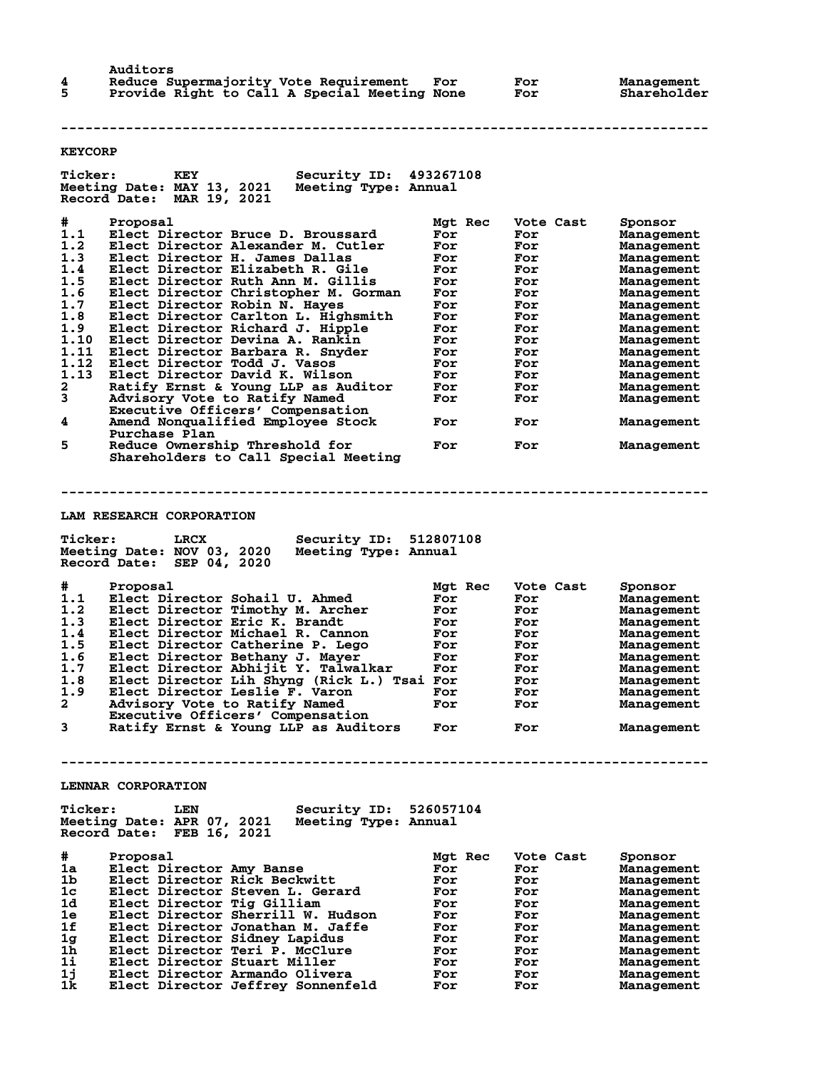| Auditors                                     |     |     |             |
|----------------------------------------------|-----|-----|-------------|
| Reduce Supermajority Vote Requirement        | For | For | Management  |
| Provide Right to Call A Special Meeting None |     | For | Shareholder |

**--------------------------------------------------------------------------------**

### **KEYCORP**

| <b>Ticker:</b> | Security ID:<br>KEY                                                             | 493267108      |                  |                          |
|----------------|---------------------------------------------------------------------------------|----------------|------------------|--------------------------|
|                | Meeting Date: MAY 13, 2021<br>Meeting Type: Annual<br>Record Date: MAR 19, 2021 |                |                  |                          |
| #              | Proposal                                                                        | Mgt Rec        | Vote Cast        | Sponsor                  |
| 1.1            | Elect Director Bruce D. Broussard                                               | For            | For              | Management               |
| 1.2            | Elect Director Alexander M. Cutler                                              | For            | For              | Management               |
| 1.3            | Elect Director H. James Dallas                                                  |                |                  |                          |
|                |                                                                                 | For            | For              | Management               |
| 1.4            | Elect Director Elizabeth R. Gile                                                | For            | For              | Management               |
| 1.5            | Elect Director Ruth Ann M. Gillis                                               | For            | For              | <b>Management</b>        |
| 1.6            | Elect Director Christopher M. Gorman                                            | For            | For              | Management               |
| 1.7            | Elect Director Robin N. Hayes                                                   | For            | For              | Management               |
| 1.8            | Elect Director Carlton L. Highsmith                                             | For            | For              | Management               |
| 1.9            | Elect Director Richard J. Hipple                                                | For            | For              | Management               |
| 1.10           | Elect Director Devina A. Rankin                                                 | For            | For              | <b>Management</b>        |
| 1.11           | Elect Director Barbara R. Snyder                                                | For            | For              | Management               |
| 1.12           | Elect Director Todd J. Vasos                                                    | For            | For              | Management               |
| 1.13           | Elect Director David K. Wilson                                                  | For            | For              | Management               |
| 2              | Ratify Ernst & Young LLP as Auditor                                             | For            | For              | Management               |
| 3              | Advisory Vote to Ratify Named                                                   | For            | For              | Management               |
|                | Executive Officers' Compensation                                                |                |                  |                          |
| 4              | Amend Nonqualified Employee Stock                                               | For            | For              | Management               |
|                | Purchase Plan                                                                   |                |                  |                          |
| 5              | Reduce Ownership Threshold for<br>Shareholders to Call Special Meeting          | For            | For              | Management               |
|                |                                                                                 |                |                  |                          |
|                |                                                                                 |                |                  |                          |
|                | LAM RESEARCH CORPORATION                                                        |                |                  |                          |
|                |                                                                                 |                |                  |                          |
| <b>Ticker:</b> | Security ID: 512807108<br>LRCX                                                  |                |                  |                          |
|                | Meeting Date: NOV 03, 2020<br>Meeting Type: Annual                              |                |                  |                          |
|                | Record Date: SEP 04, 2020                                                       |                |                  |                          |
|                |                                                                                 |                |                  |                          |
|                |                                                                                 |                |                  |                          |
|                | Proposal                                                                        |                |                  |                          |
| #<br>1.1       | Elect Director Sohail U. Ahmed                                                  | Mgt Rec<br>For | Vote Cast<br>For | Sponsor                  |
| 1.2            | Elect Director Timothy M. Archer                                                | For            | For              | Management<br>Management |
| 1.3            | Elect Director Eric K. Brandt                                                   | For            | For              | <b>Management</b>        |
| 1.4            | Elect Director Michael R. Cannon                                                | For            | For              | Management               |
| 1.5            | Elect Director Catherine P. Lego                                                | For            | For              | Management               |
|                |                                                                                 | For            | For              |                          |
| 1.6<br>1.7     | Elect Director Bethany J. Mayer                                                 | For            | For              | Management               |
| 1.8            | Elect Director Abhijit Y. Talwalkar                                             |                | For              | Management               |
| 1.9            | Elect Director Lih Shyng (Rick L.) Tsai For                                     | For            | For              | Management               |
| $\mathbf{2}$   | Elect Director Leslie F. Varon                                                  | For            | For              | Management               |
|                | Advisory Vote to Ratify Named                                                   |                |                  | Management               |
| 3              | Executive Officers' Compensation<br>Ratify Ernst & Young LLP as Auditors        | For            | For              | Management               |
|                |                                                                                 |                |                  |                          |
|                |                                                                                 |                |                  |                          |
|                |                                                                                 |                |                  |                          |
|                | LENNAR CORPORATION                                                              |                |                  |                          |
| <b>Ticker:</b> | Security ID: 526057104<br>LEN                                                   |                |                  |                          |
|                | Meeting Type: Annual                                                            |                |                  |                          |
|                | Meeting Date: APR 07, 2021<br>FEB 16, 2021<br>Record Date:                      |                |                  |                          |
|                |                                                                                 |                |                  |                          |
| #              | Proposal                                                                        | Mgt Rec        | Vote Cast        | Sponsor                  |
| 1a             | Elect Director Amy Banse                                                        | For            | For              | Management               |
| 1b             | Elect Director Rick Beckwitt                                                    | For            | For              | Management               |
| 1c             | Elect Director Steven L. Gerard                                                 | For            | For              | Management               |
| 1d             | Elect Director Tig Gilliam                                                      | For            | For              | Management               |
| 1e             | Elect Director Sherrill W. Hudson                                               | For            | For              | Management               |
| 1f             | Elect Director Jonathan M. Jaffe                                                | For            | For              | Management               |
| 1 <sub>g</sub> | Elect Director Sidney Lapidus                                                   | For            | For              | Management               |
| 1 <sub>h</sub> | Elect Director Teri P. McClure                                                  | For            | For              | Management               |
| $1\mathbf{i}$  | Elect Director Stuart Miller                                                    | For            | For              | Management               |
| 1j<br>1k       | Elect Director Armando Olivera<br>Elect Director Jeffrey Sonnenfeld             | For<br>For     | For<br>For       | Management<br>Management |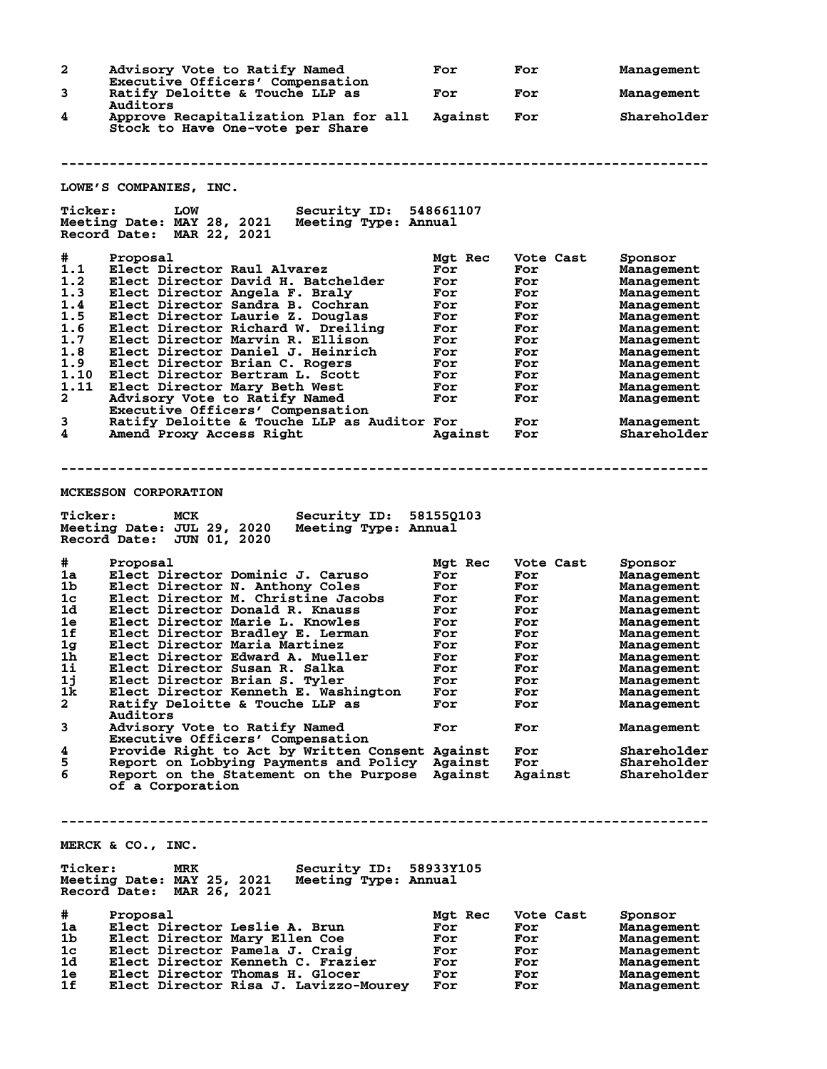| 2                   | Advisory Vote to Ratify Named                                                                                                                               | For        | For        | Management                |
|---------------------|-------------------------------------------------------------------------------------------------------------------------------------------------------------|------------|------------|---------------------------|
| 3                   | Executive Officers' Compensation<br>Ratify Deloitte & Touche LLP as                                                                                         | For        | For        | Management                |
| 4                   | Auditors<br>Approve Recapitalization Plan for all                                                                                                           | Against    | For        | Shareholder               |
| <b>Ticker:</b>      | Stock to Have One-vote per Share<br>LOWE'S COMPANIES, INC.<br><b>LOW</b><br><b>Security ID: 548661107</b>                                                   |            |            |                           |
|                     | Meeting Date: MAY 28, 2021<br>Meeting Type: Annual<br>Record Date: MAR 22, 2021                                                                             |            |            |                           |
| #                   | Proposal                                                                                                                                                    | Mgt Rec    | Vote Cast  | Sponsor                   |
| 1.1                 | Elect Director Raul Alvarez                                                                                                                                 | For        | For        | Management                |
| 1.2                 | Elect Director David H. Batchelder                                                                                                                          | For        | For        | Management                |
| 1.3                 | Elect Director Angela F. Braly                                                                                                                              | For        | For        | Management                |
| 1.4                 | Elect Director Sandra B. Cochran                                                                                                                            | For        | For        | Management                |
| 1.5                 | Elect Director Laurie Z. Douglas                                                                                                                            | For        | For        | Management                |
| 1.6                 | Elect Director Richard W. Dreiling                                                                                                                          | For        | For        | Management                |
| 1.7                 | Elect Director Marvin R. Ellison                                                                                                                            | For        | For        | Management                |
| 1.8                 | Elect Director Daniel J. Heinrich                                                                                                                           | For        | For        | Management                |
| 1.9                 | Elect Director Brian C. Rogers                                                                                                                              | For        | For        | Management                |
| 1.10                | Elect Director Bertram L. Scott                                                                                                                             | For        | For        | Management                |
| 1.11                | Elect Director Mary Beth West                                                                                                                               | For        | For        | Management                |
| 2                   | Advisory Vote to Ratify Named                                                                                                                               | For        | For        | Management                |
|                     | Executive Officers' Compensation                                                                                                                            |            |            |                           |
| 3<br>4              | Ratify Deloitte & Touche LLP as Auditor For<br>Amend Proxy Access Right                                                                                     | Against    | For<br>For | Management<br>Shareholder |
| <b>Ticker:</b><br># | <b>MCKESSON CORPORATION</b><br>MCK<br>Security ID: 581550103<br>Meeting Date: JUL 29, 2020<br>Meeting Type: Annual<br>Record Date: JUN 01, 2020<br>Proposal | Mgt Rec    | Vote Cast  | Sponsor                   |
| 1a                  | Elect Director Dominic J. Caruso                                                                                                                            | For        | For        |                           |
| 1b                  | Elect Director N. Anthony Coles                                                                                                                             | For        | For        | Management                |
| 1c                  | Elect Director M. Christine Jacobs                                                                                                                          | For        | For        | Management                |
| 1d                  | Elect Director Donald R. Knauss                                                                                                                             | For        | For        | Management<br>Management  |
| 1e                  | Elect Director Marie L. Knowles                                                                                                                             | For        | For        | Management                |
| 1f                  | Elect Director Bradley E. Lerman                                                                                                                            | For        | For        | Management                |
| 1 <sub>g</sub>      | Elect Director Maria Martinez                                                                                                                               | For        | For        | Management                |
| 1h.                 | Elect Director Edward A. Mueller                                                                                                                            | For        | For        | Management                |
| 1i                  | Elect Director Susan R. Salka                                                                                                                               | For        | For        | Management                |
| 1j                  | Elect Director Brian S. Tyler                                                                                                                               | For        | For        | Management                |
| 1k                  | Elect Director Kenneth E. Washington                                                                                                                        | For        | For        | Management                |
| 2                   | Ratify Deloitte & Touche LLP as                                                                                                                             | For        | For        | Management                |
|                     | Auditors                                                                                                                                                    |            |            |                           |
| 3                   | Advisory Vote to Ratify Named<br>Executive Officers' Compensation                                                                                           | For        | For        | Management                |
| 4                   | Provide Right to Act by Written Consent Against                                                                                                             |            | For        | Shareholder               |
| 5                   | Report on Lobbying Payments and Policy Against                                                                                                              |            | For        | Shareholder               |
| 6                   | Report on the Statement on the Purpose Against<br>of a Corporation                                                                                          |            | Against    | Shareholder               |
|                     |                                                                                                                                                             |            |            |                           |
|                     | MERCK & CO., INC.                                                                                                                                           |            |            |                           |
| <b>Ticker:</b>      | Security ID: 58933Y105<br>MRK                                                                                                                               |            |            |                           |
|                     | Meeting Date: MAY 25, 2021<br>Meeting Type: Annual<br>Record Date: MAR 26, 2021                                                                             |            |            |                           |
|                     |                                                                                                                                                             |            |            |                           |
| #                   | Proposal                                                                                                                                                    | Mgt Rec    | Vote Cast  | Sponsor                   |
| 1a                  | Elect Director Leslie A. Brun                                                                                                                               | For        | For        | Management                |
| 1 <sub>b</sub>      | Elect Director Mary Ellen Coe                                                                                                                               | For        | For        | Management                |
| 1c                  | Elect Director Pamela J. Craig                                                                                                                              | For        | For        | Management                |
| 1d<br>1e            | Elect Director Kenneth C. Frazier                                                                                                                           | For        | For        | Management                |
| 1f                  | Elect Director Thomas H. Glocer<br>Elect Director Risa J. Lavizzo-Mourey                                                                                    | For<br>For | For<br>For | Management<br>Management  |
|                     |                                                                                                                                                             |            |            |                           |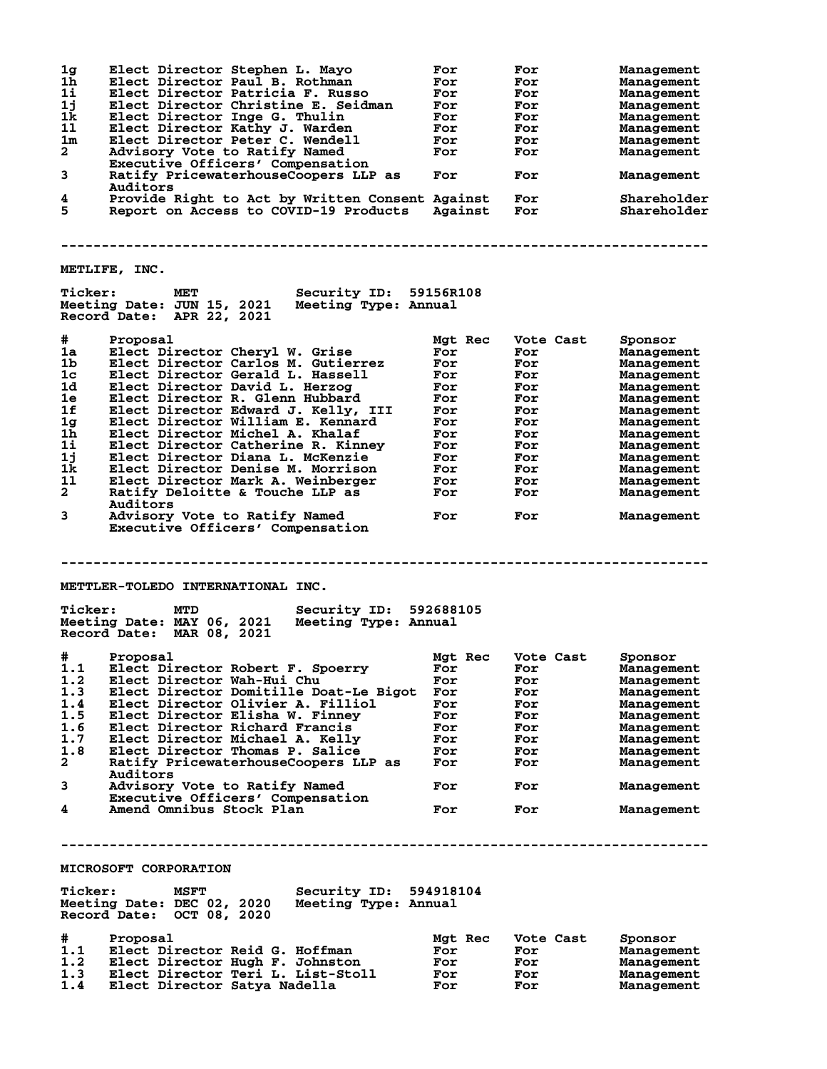|                         | Elect Director Stephen L. Mayo                                    | For        | For        | Management               |
|-------------------------|-------------------------------------------------------------------|------------|------------|--------------------------|
| 1g<br>1h                | Elect Director Paul B. Rothman                                    | For        | For        | Management               |
| 1i                      | Elect Director Patricia F. Russo                                  | For        |            |                          |
|                         |                                                                   |            | For        | Management               |
| 1j                      | Elect Director Christine E. Seidman                               | For        | For        | Management               |
| 1k                      | Elect Director Inge G. Thulin                                     | For        | For        | Management               |
| 11                      | Elect Director Kathy J. Warden                                    | For        | For        | Management               |
| 1m                      | Elect Director Peter C. Wendell                                   | For        | For        | Management               |
| $\mathbf{2}$            | Advisory Vote to Ratify Named                                     | For        | For        | Management               |
|                         | Executive Officers' Compensation                                  |            |            |                          |
|                         |                                                                   |            |            |                          |
| 3                       | Ratify PricewaterhouseCoopers LLP as                              | For        | For        | Management               |
|                         | Auditors                                                          |            |            |                          |
| 4                       | Provide Right to Act by Written Consent Against                   |            | For        | Shareholder              |
| 5                       | Report on Access to COVID-19 Products                             | Against    | <b>For</b> | Shareholder              |
|                         |                                                                   |            |            |                          |
|                         |                                                                   |            |            |                          |
|                         |                                                                   |            |            |                          |
|                         |                                                                   |            |            |                          |
|                         |                                                                   |            |            |                          |
|                         | METLIFE, INC.                                                     |            |            |                          |
|                         |                                                                   |            |            |                          |
| <b>Ticker:</b>          | <b>Security ID: 59156R108</b><br><b>MET</b>                       |            |            |                          |
|                         | Meeting Date: JUN 15, 2021 Meeting Type: Annual                   |            |            |                          |
|                         | Record Date: APR 22, 2021                                         |            |            |                          |
|                         |                                                                   |            |            |                          |
|                         |                                                                   |            |            |                          |
| #                       | Proposal                                                          | Mgt Rec    | Vote Cast  | Sponsor                  |
| 1a                      | Elect Director Cheryl W. Grise                                    | For        | For        | Management               |
| 1b                      | Elect Director Carlos M. Gutierrez                                | For        | For        | Management               |
| 1 <sub>c</sub>          | Elect Director Gerald L. Hassell                                  | For        | For        |                          |
|                         |                                                                   |            |            | Management               |
| 1d                      | Elect Director David L. Herzog                                    | For        | For        | Management               |
| 1e                      | Elect Director R. Glenn Hubbard                                   | For        | For        | Management               |
| 1f                      | Elect Director Edward J. Kelly, III                               | For        | For        | Management               |
|                         |                                                                   |            |            |                          |
| 1 <sub>g</sub>          | Elect Director William E. Kennard                                 | For        | For        | Management               |
| 1 <sub>h</sub>          | Elect Director Michel A. Khalaf                                   | For        | For        | Management               |
| 1i                      | Elect Director Catherine R. Kinney                                | For        | For        | Management               |
| 1j                      | Elect Director Diana L. McKenzie                                  | For        | For        |                          |
|                         |                                                                   |            |            | Management               |
| 1k                      | Elect Director Denise M. Morrison                                 | For        | For        | Management               |
| 11                      | Elect Director Mark A. Weinberger                                 | For        | For        | Management               |
| $\mathbf{2}^-$          | Ratify Deloitte & Touche LLP as                                   | For        | For        | Management               |
|                         | Auditors                                                          |            |            |                          |
|                         |                                                                   |            |            |                          |
| 3                       | Advisory Vote to Ratify Named                                     | For        | For        | Management               |
|                         | Executive Officers' Compensation                                  |            |            |                          |
|                         |                                                                   |            |            |                          |
|                         |                                                                   |            |            |                          |
|                         |                                                                   |            |            |                          |
|                         |                                                                   |            |            |                          |
|                         |                                                                   |            |            |                          |
|                         |                                                                   |            |            |                          |
|                         | <b>METTLER-TOLEDO INTERNATIONAL INC.</b>                          |            |            |                          |
|                         |                                                                   |            |            |                          |
|                         |                                                                   |            |            |                          |
| <b>Ticker:</b>          | Security ID: 592688105<br>MTD                                     |            |            |                          |
|                         | Meeting Date: MAY 06, 2021<br>Meeting Type: Annual                |            |            |                          |
|                         |                                                                   |            |            |                          |
|                         | Record Date: MAR 08, 2021                                         |            |            |                          |
|                         |                                                                   |            |            |                          |
| #                       | Proposal                                                          | Mgt Rec    | Vote Cast  | Sponsor                  |
|                         |                                                                   | For        | For        |                          |
|                         | 1.1 Elect Director Robert F. Spoerry                              |            |            | Management               |
| 1.2                     | Elect Director Wah-Hui Chu                                        | For        | For        | Management               |
| 1.3                     | Elect Director Domitille Doat-Le Bigot                            | For        | For        | Management               |
| 1.4                     | Elect Director Olivier A. Filliol                                 | For        | For        | Management               |
| 1.5                     | Elect Director Elisha W. Finney                                   | For        | For        | Management               |
| 1.6                     | Elect Director Richard Francis                                    | For        | For        | Management               |
|                         |                                                                   |            |            |                          |
| 1.7                     | Elect Director Michael A. Kelly                                   | For        | For        | Management               |
| 1.8                     | Elect Director Thomas P. Salice                                   | For        | For        | Management               |
| $\overline{\mathbf{2}}$ | Ratify PricewaterhouseCoopers LLP as                              | For        | For        |                          |
|                         | Auditors                                                          |            |            | Management               |
|                         |                                                                   |            |            |                          |
| 3                       | Advisory Vote to Ratify Named                                     | For        | For        | Management               |
|                         | Executive Officers' Compensation                                  |            |            |                          |
| 4                       | Amend Omnibus Stock Plan                                          | For        | For        | Management               |
|                         |                                                                   |            |            |                          |
|                         |                                                                   |            |            |                          |
|                         |                                                                   |            |            |                          |
|                         |                                                                   |            |            |                          |
|                         |                                                                   |            |            |                          |
|                         | MICROSOFT CORPORATION                                             |            |            |                          |
|                         |                                                                   |            |            |                          |
|                         |                                                                   |            |            |                          |
| <b>Ticker:</b>          | Security ID: 594918104<br><b>MSFT</b>                             |            |            |                          |
|                         | Meeting Date: DEC 02, 2020<br>Meeting Type: Annual                |            |            |                          |
|                         | Record Date: OCT 08, 2020                                         |            |            |                          |
|                         |                                                                   |            |            |                          |
|                         |                                                                   |            |            |                          |
| #                       | Proposal                                                          | Mgt Rec    | Vote Cast  | Sponsor                  |
| 1.1                     | Elect Director Reid G. Hoffman                                    | For        | For        | Management               |
| 1.2                     | Elect Director Hugh F. Johnston                                   | For        | For        | Management               |
|                         |                                                                   |            |            |                          |
| 1.3<br>1.4              | Elect Director Teri L. List-Stoll<br>Elect Director Satya Nadella | For<br>For | For<br>For | Management<br>Management |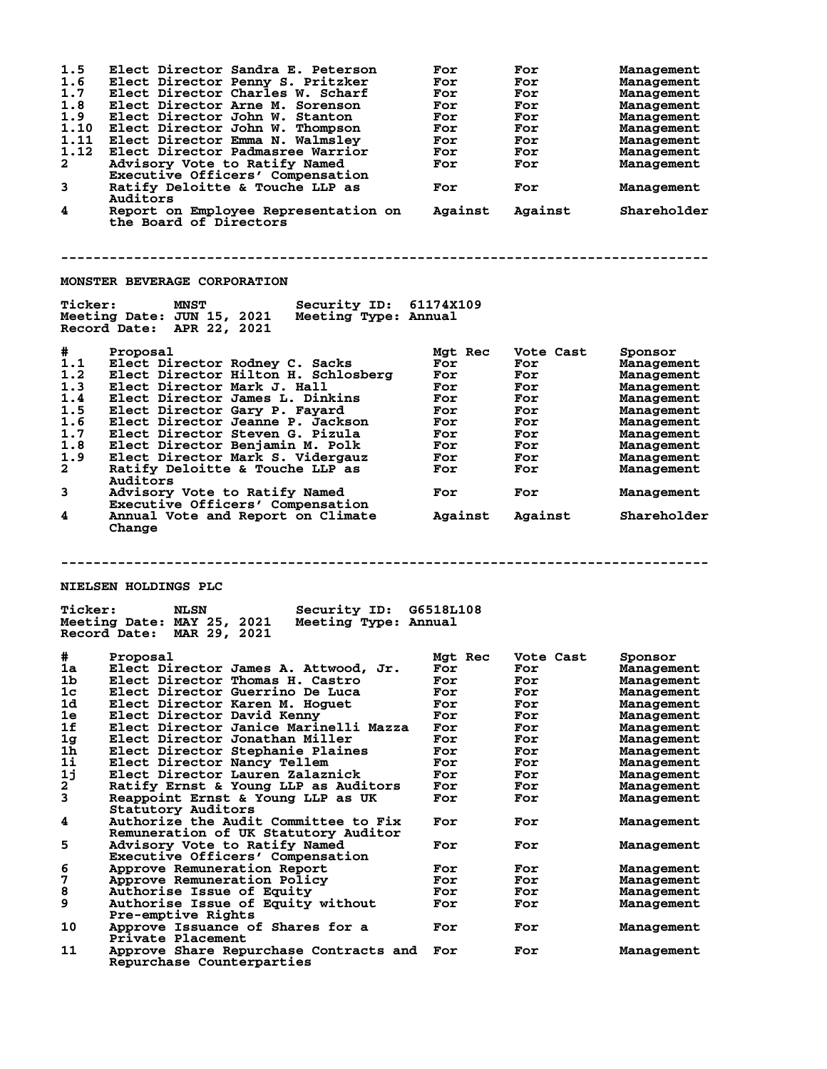| 1.5<br>1.6<br>1.7<br>1.8<br>1.9<br>1.10<br>1.11<br>1.12<br>$\mathbf{2}$<br>3<br>4 | Elect Director Sandra E. Peterson<br>Elect Director Penny S. Pritzker<br>Elect Director Charles W. Scharf<br>Elect Director Arne M. Sorenson<br>Elect Director John W. Stanton<br>Elect Director John W. Thompson<br>Elect Director Emma N. Walmsley<br>Elect Director Padmasree Warrior<br>Advisory Vote to Ratify Named<br>Executive Officers' Compensation<br>Ratify Deloitte & Touche LLP as<br>Auditors<br>Report on Employee Representation on Against<br>the Board of Directors | For<br>For<br>For<br>For<br>For<br>For<br>For<br>For<br>For<br>For | For<br>For<br>For<br>For<br>For<br>For<br>For<br>For<br>For<br>For<br>Against | Management<br>Management<br>Management<br>Management<br>Management<br>Management<br>Management<br>Management<br>Management<br>Management<br>Shareholder |
|-----------------------------------------------------------------------------------|----------------------------------------------------------------------------------------------------------------------------------------------------------------------------------------------------------------------------------------------------------------------------------------------------------------------------------------------------------------------------------------------------------------------------------------------------------------------------------------|--------------------------------------------------------------------|-------------------------------------------------------------------------------|---------------------------------------------------------------------------------------------------------------------------------------------------------|
|                                                                                   | MONSTER BEVERAGE CORPORATION                                                                                                                                                                                                                                                                                                                                                                                                                                                           |                                                                    |                                                                               |                                                                                                                                                         |
| <b>Ticker:</b>                                                                    | <b>MNST</b><br>Security ID: 61174X109<br>Meeting Date: JUN 15, 2021<br>Meeting Type: Annual<br>Record Date: APR 22, 2021                                                                                                                                                                                                                                                                                                                                                               |                                                                    |                                                                               |                                                                                                                                                         |
| #                                                                                 | Proposal                                                                                                                                                                                                                                                                                                                                                                                                                                                                               | Mgt Rec                                                            | Vote Cast                                                                     | Sponsor                                                                                                                                                 |
| 1.1                                                                               | Elect Director Rodney C. Sacks                                                                                                                                                                                                                                                                                                                                                                                                                                                         | For                                                                | For                                                                           | Management                                                                                                                                              |
| 1.2                                                                               | Elect Director Hilton H. Schlosberg                                                                                                                                                                                                                                                                                                                                                                                                                                                    | For                                                                | For                                                                           | Management                                                                                                                                              |
| 1.3                                                                               | Elect Director Mark J. Hall                                                                                                                                                                                                                                                                                                                                                                                                                                                            | For                                                                | For                                                                           | Management                                                                                                                                              |
| 1.4                                                                               | Elect Director James L. Dinkins                                                                                                                                                                                                                                                                                                                                                                                                                                                        | For                                                                | For                                                                           | Management                                                                                                                                              |
| 1.5                                                                               | Elect Director Gary P. Fayard                                                                                                                                                                                                                                                                                                                                                                                                                                                          | For                                                                | For                                                                           | Management                                                                                                                                              |
| 1.6                                                                               | Elect Director Jeanne P. Jackson                                                                                                                                                                                                                                                                                                                                                                                                                                                       | For                                                                | For                                                                           | Management                                                                                                                                              |
| 1.7                                                                               | Elect Director Steven G. Pizula                                                                                                                                                                                                                                                                                                                                                                                                                                                        | For                                                                | For                                                                           | Management                                                                                                                                              |
| 1.8                                                                               | Elect Director Benjamin M. Polk                                                                                                                                                                                                                                                                                                                                                                                                                                                        | For                                                                | For                                                                           | Management                                                                                                                                              |
| 1.9                                                                               | Elect Director Mark S. Vidergauz                                                                                                                                                                                                                                                                                                                                                                                                                                                       | For                                                                | For                                                                           | Management                                                                                                                                              |
| $\mathbf{2}$                                                                      | Ratify Deloitte & Touche LLP as<br>Auditors                                                                                                                                                                                                                                                                                                                                                                                                                                            | For                                                                | For                                                                           | Management                                                                                                                                              |
| 3                                                                                 | Advisory Vote to Ratify Named<br>Executive Officers' Compensation                                                                                                                                                                                                                                                                                                                                                                                                                      | For                                                                | For                                                                           | Management                                                                                                                                              |
| 4                                                                                 | Annual Vote and Report on Climate<br>Change                                                                                                                                                                                                                                                                                                                                                                                                                                            | Against                                                            | Against                                                                       | Shareholder                                                                                                                                             |
| <b>Ticker:</b>                                                                    | <b>NIELSEN HOLDINGS PLC</b><br><b>Security ID: G6518L108</b><br><b>NLSN</b><br>Meeting Date: MAY 25, 2021<br>Meeting Type: Annual<br>Record Date: MAR 29, 2021                                                                                                                                                                                                                                                                                                                         |                                                                    |                                                                               |                                                                                                                                                         |
| #                                                                                 | Proposal                                                                                                                                                                                                                                                                                                                                                                                                                                                                               | Mgt Rec                                                            | Vote Cast                                                                     | Sponsor                                                                                                                                                 |
| ıa                                                                                | Elect Director James A. Attwood, Jr.                                                                                                                                                                                                                                                                                                                                                                                                                                                   | For                                                                | For                                                                           | Management                                                                                                                                              |
| 1 <sub>b</sub>                                                                    | Elect Director Thomas H. Castro                                                                                                                                                                                                                                                                                                                                                                                                                                                        | For                                                                | For                                                                           | <b>Management</b>                                                                                                                                       |
| 1 <sub>c</sub>                                                                    | Elect Director Guerrino De Luca                                                                                                                                                                                                                                                                                                                                                                                                                                                        | For                                                                | For                                                                           | Management                                                                                                                                              |
| 1d                                                                                | Elect Director Karen M. Hoquet                                                                                                                                                                                                                                                                                                                                                                                                                                                         | For                                                                | For                                                                           | Management                                                                                                                                              |
| 1e                                                                                | Elect Director David Kenny                                                                                                                                                                                                                                                                                                                                                                                                                                                             | For                                                                | For                                                                           | <b>Management</b>                                                                                                                                       |
| 1f                                                                                | Elect Director Janice Marinelli Mazza                                                                                                                                                                                                                                                                                                                                                                                                                                                  | For                                                                | For                                                                           | Management                                                                                                                                              |
| 1g                                                                                | Elect Director Jonathan Miller                                                                                                                                                                                                                                                                                                                                                                                                                                                         | For                                                                | For                                                                           | Management                                                                                                                                              |
| $1\overline{h}$                                                                   | Elect Director Stephanie Plaines                                                                                                                                                                                                                                                                                                                                                                                                                                                       | For                                                                | For                                                                           | Management                                                                                                                                              |
| 11                                                                                | Elect Director Nancy Tellem                                                                                                                                                                                                                                                                                                                                                                                                                                                            | For                                                                | For                                                                           | Management                                                                                                                                              |
| 1j                                                                                | Elect Director Lauren Zalaznick                                                                                                                                                                                                                                                                                                                                                                                                                                                        | For                                                                | For                                                                           | Management                                                                                                                                              |
| 2                                                                                 | Ratify Ernst & Young LLP as Auditors                                                                                                                                                                                                                                                                                                                                                                                                                                                   | For                                                                | For                                                                           | Management                                                                                                                                              |
| 3                                                                                 | Reappoint Ernst & Young LLP as UK<br>Statutory Auditors                                                                                                                                                                                                                                                                                                                                                                                                                                | For                                                                | For                                                                           | Management                                                                                                                                              |
| 4                                                                                 | Authorize the Audit Committee to Fix<br>Remuneration of UK Statutory Auditor                                                                                                                                                                                                                                                                                                                                                                                                           | For                                                                | For                                                                           | Management                                                                                                                                              |
| 5                                                                                 | Advisory Vote to Ratify Named<br>Executive Officers' Compensation                                                                                                                                                                                                                                                                                                                                                                                                                      | For                                                                | For                                                                           | Management                                                                                                                                              |
| 6                                                                                 | Approve Remuneration Report                                                                                                                                                                                                                                                                                                                                                                                                                                                            | For                                                                | For                                                                           | Management                                                                                                                                              |
| 7                                                                                 | Approve Remuneration Policy                                                                                                                                                                                                                                                                                                                                                                                                                                                            | For                                                                | For                                                                           | Management                                                                                                                                              |
| 8                                                                                 | <b>Authorise Issue of Equity</b>                                                                                                                                                                                                                                                                                                                                                                                                                                                       | For                                                                | For                                                                           | Management                                                                                                                                              |
| 9                                                                                 | <b>Authorise Issue of Equity without</b>                                                                                                                                                                                                                                                                                                                                                                                                                                               | For                                                                | For                                                                           | Management                                                                                                                                              |
| 10                                                                                |                                                                                                                                                                                                                                                                                                                                                                                                                                                                                        |                                                                    |                                                                               |                                                                                                                                                         |
|                                                                                   | Pre-emptive Rights                                                                                                                                                                                                                                                                                                                                                                                                                                                                     |                                                                    |                                                                               |                                                                                                                                                         |
| 11                                                                                | Approve Issuance of Shares for a<br>Private Placement<br>Approve Share Repurchase Contracts and                                                                                                                                                                                                                                                                                                                                                                                        | For                                                                | For                                                                           | Management                                                                                                                                              |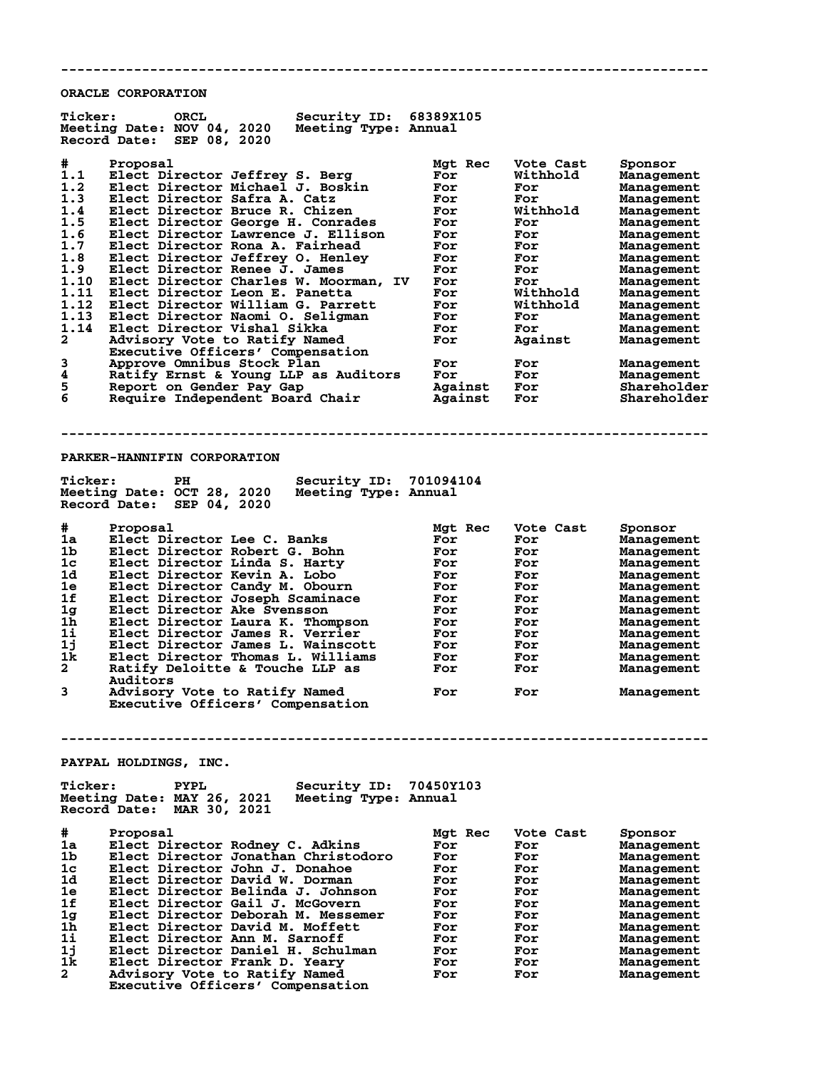**ORACLE CORPORATION**

| <b>Ticker:</b>                                                                                                                    | <b>ORCL</b><br>Security ID: 68389X105<br>Meeting Date: NOV 04, 2020<br>Meeting Type: Annual<br>Record Date: SEP 08, 2020                                                                                                                                                                                                                                                                                                                                                                                                                                                                                                                                                                                                         |                                                                                                                                                      |                                                                                                                                                                        |                                                                                                                                                                                                                                                                                     |
|-----------------------------------------------------------------------------------------------------------------------------------|----------------------------------------------------------------------------------------------------------------------------------------------------------------------------------------------------------------------------------------------------------------------------------------------------------------------------------------------------------------------------------------------------------------------------------------------------------------------------------------------------------------------------------------------------------------------------------------------------------------------------------------------------------------------------------------------------------------------------------|------------------------------------------------------------------------------------------------------------------------------------------------------|------------------------------------------------------------------------------------------------------------------------------------------------------------------------|-------------------------------------------------------------------------------------------------------------------------------------------------------------------------------------------------------------------------------------------------------------------------------------|
| #<br>1.1<br>1.2<br>1.3<br>1.4<br>1.5<br>1.6<br>1.7<br>1.8<br>1.9<br>1.10<br>1.11<br>1.12<br>1.13<br>1.14<br>2<br>3<br>4<br>5<br>6 | Proposal<br>Elect Director Jeffrey S. Berg<br>Elect Director Michael J. Boskin<br>Elect Director Safra A. Catz<br>Elect Director Bruce R. Chizen<br>Elect Director George H. Conrades<br>Elect Director Lawrence J. Ellison<br>Elect Director Rona A. Fairhead<br>Elect Director Jeffrey O. Henley<br>Elect Director Renee J. James<br>Elect Director Charles W. Moorman, IV<br>Elect Director Leon E. Panetta<br>Elect Director William G. Parrett<br>Elect Director Naomi O. Seligman<br>Elect Director Vishal Sikka<br>Advisory Vote to Ratify Named<br>Executive Officers' Compensation<br>Approve Omnibus Stock Plan<br>Ratify Ernst & Young LLP as Auditors<br>Report on Gender Pay Gap<br>Require Independent Board Chair | Mgt Rec<br>For<br>For<br>For<br>For<br>For<br>For<br>For<br>For<br>For<br>For<br>For<br>For<br>For<br>For<br>For<br>For<br>For<br>Against<br>Against | Vote Cast<br>Withhold<br>For<br>For<br>Withhold<br>For<br>For<br>For<br>For<br>For<br>For<br>Withhold<br>Withhold<br>For<br>For<br>Against<br>For<br>For<br>For<br>For | Sponsor<br>Management<br>Management<br>Management<br>Management<br>Management<br>Management<br>Management<br>Management<br>Management<br>Management<br>Management<br>Management<br>Management<br>Management<br>Management<br>Management<br>Management<br>Shareholder<br>Shareholder |
|                                                                                                                                   |                                                                                                                                                                                                                                                                                                                                                                                                                                                                                                                                                                                                                                                                                                                                  |                                                                                                                                                      |                                                                                                                                                                        |                                                                                                                                                                                                                                                                                     |
| <b>Ticker:</b>                                                                                                                    | PARKER-HANNIFIN CORPORATION<br>Security ID: 701094104<br>PH.<br>Meeting Date: OCT 28, 2020<br>Meeting Type: Annual<br>Record Date: SEP 04, 2020                                                                                                                                                                                                                                                                                                                                                                                                                                                                                                                                                                                  |                                                                                                                                                      |                                                                                                                                                                        |                                                                                                                                                                                                                                                                                     |
| #<br>1a<br>1b<br>1c<br>1d<br>1e<br>1f<br>1 <sub>g</sub><br>1h<br>1i<br>1j<br>1k<br>$\mathbf{2}$<br>3                              | Proposal<br>Elect Director Lee C. Banks<br>Elect Director Robert G. Bohn<br>Elect Director Linda S. Harty<br>Elect Director Kevin A. Lobo<br>Elect Director Candy M. Obourn<br>Elect Director Joseph Scaminace<br>Elect Director Ake Svensson<br>Elect Director Laura K. Thompson<br>Elect Director James R. Verrier<br>Elect Director James L. Wainscott<br>Elect Director Thomas L. Williams<br>Ratify Deloitte & Touche LLP as<br>Auditors<br>Advisory Vote to Ratify Named<br>Executive Officers' Compensation                                                                                                                                                                                                               | Mgt Rec<br>For<br>For<br>For<br>For<br>For<br>For<br>For<br>For<br>For<br>For<br>For<br>For<br>For                                                   | Vote Cast<br>For<br>For<br>For<br>For<br>For<br>For<br>For<br>For<br>For<br>For<br>For<br>For<br>For                                                                   | Sponsor<br>Management<br>Management<br>Management<br>Management<br>Management<br>Management<br>Management<br>Management<br>Management<br>Management<br>Management<br>Management<br>Management                                                                                       |
| <b>Ticker:</b>                                                                                                                    | PAYPAL HOLDINGS, INC.<br>Security ID: 70450Y103<br>PYPL                                                                                                                                                                                                                                                                                                                                                                                                                                                                                                                                                                                                                                                                          |                                                                                                                                                      |                                                                                                                                                                        |                                                                                                                                                                                                                                                                                     |
|                                                                                                                                   | Meeting Date: MAY 26, 2021<br>Meeting Type: Annual<br>Record Date:<br>MAR 30, 2021                                                                                                                                                                                                                                                                                                                                                                                                                                                                                                                                                                                                                                               |                                                                                                                                                      |                                                                                                                                                                        |                                                                                                                                                                                                                                                                                     |
| #<br>1a<br>1b<br>1c<br>1d<br>1e<br>1f<br>1g<br>1h<br>$1\mathbf{i}$<br>1j                                                          | Proposal<br>Elect Director Rodney C. Adkins<br>Elect Director Jonathan Christodoro<br>Elect Director John J. Donahoe<br>Elect Director David W. Dorman<br>Elect Director Belinda J. Johnson<br>Elect Director Gail J. McGovern<br>Elect Director Deborah M. Messemer<br>Elect Director David M. Moffett<br>Elect Director Ann M. Sarnoff<br>Elect Director Daniel H. Schulman                                                                                                                                                                                                                                                                                                                                                    | Mgt Rec<br>For<br>For<br>For<br>For<br>For<br>For<br>For<br>For<br>For<br>For                                                                        | Vote Cast<br>For<br>For<br>For<br>For<br>For<br>For<br>For<br>For<br>For<br>For                                                                                        | Sponsor<br>Management<br>Management<br>Management<br>Management<br>Management<br>Management<br>Management<br>Management<br>Management<br>Management                                                                                                                                 |

**--------------------------------------------------------------------------------**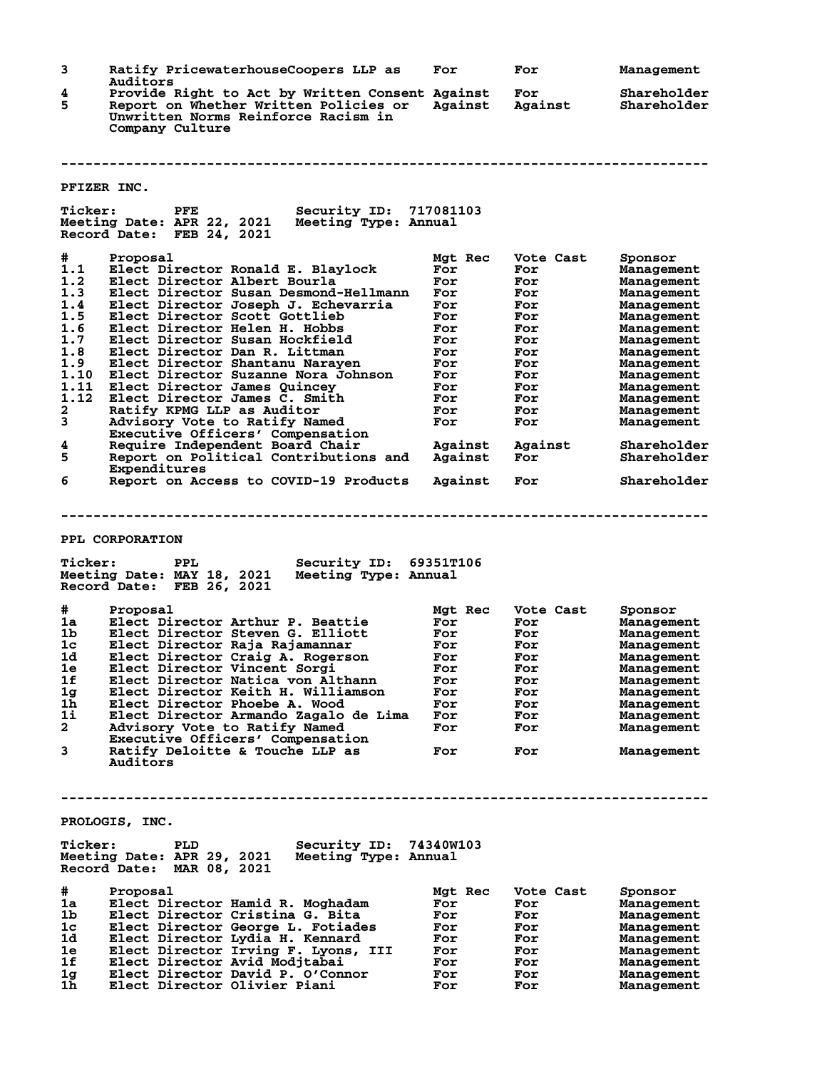**3 Ratify PricewaterhouseCoopers LLP as For For Management Auditors 4 Provide Right to Act by Written Consent Against For Shareholder 5 Report on Whether Written Policies or Against Against Shareholder Unwritten Norms Reinforce Racism in Company Culture -------------------------------------------------------------------------------- PFIZER INC. Ticker: PFE Security ID: 717081103 Meeting Date: APR 22, 2021 Meeting Type: Annual Record Date: FEB 24, 2021 # Proposal Mgt Rec Vote Cast Sponsor 1.1 Elect Director Ronald E. Blaylock For For Management 1.2 Elect Director Albert Bourla For For Management 1.3 Elect Director Susan Desmond-Hellmann For For Management 1.4 Elect Director Joseph J. Echevarria For For Management 1.5 Elect Director Scott Gottlieb For For Management 1.6 Elect Director Helen H. Hobbs For For Management 1.7 Elect Director Susan Hockfield For For Management 1.8 Elect Director Dan R. Littman For For Management 1.9 Elect Director Shantanu Narayen For For Management 1.10 Elect Director Suzanne Nora Johnson For For Management 1.11 Elect Director James Quincey For For Management 1.12 Elect Director James C. Smith For For Management 2 Ratify KPMG LLP as Auditor For For Management 3 Advisory Vote to Ratify Named For For Management Executive Officers' Compensation 4 Require Independent Board Chair Against Against Shareholder 5 Report on Political Contributions and Against For Shareholder Experiment South Against Against Shareholder**<br> **Expenditures**<br> **Expenditures**<br> **Expenditures**<br> **Expenditures**<br> **Expenditures**<br> **Expenditures**<br> **Expenditures**<br> **Expenditures**<br> **Expenditures**<br> **Expenditures**<br> **Expenditures 6 Report on Access to COVID-19 Products Against For Shareholder -------------------------------------------------------------------------------- PPL CORPORATION Ticker: PPL Security ID: 69351T106 Meeting Date: MAY 18, 2021 Meeting Type: Annual Record Date: FEB 26, 2021 # Proposal Mgt Rec Vote Cast Sponsor 1a Elect Director Arthur P. Beattie For For Management 1b Elect Director Steven G. Elliott For For Management 1c Elect Director Raja Rajamannar For For Management 1d Elect Director Craig A. Rogerson For For Management 1e Elect Director Vincent Sorgi For For Management 1f Elect Director Natica von Althann For For Management 1g Elect Director Keith H. Williamson For For Management 1h Elect Director Phoebe A. Wood For For Management 1i Elect Director Armando Zagalo de Lima For For Management 2 Advisory Vote to Ratify Named For For Management Executive Officers' Compensation 3 Ratify Deloitte & Touche LLP as For For Management Auditors -------------------------------------------------------------------------------- PROLOGIS, INC. Ticker: PLD Security ID: 74340W103 Meeting Date: APR 29, 2021 Meeting Type: Annual Record Date: MAR 08, 2021 # Proposal Mgt Rec Vote Cast Sponsor 1a Elect Director Hamid R. Moghadam For For Management 1b Elect Director Cristina G. Bita For For Management 1c Elect Director George L. Fotiades For For Management 1d Elect Director Lydia H. Kennard For For Management 1e Elect Director Irving F. Lyons, III For For Management 1f Elect Director Avid Modjtabai For For Management 1g Elect Director David P. O'Connor For For Management 1h Elect Director Olivier Piani For For Management**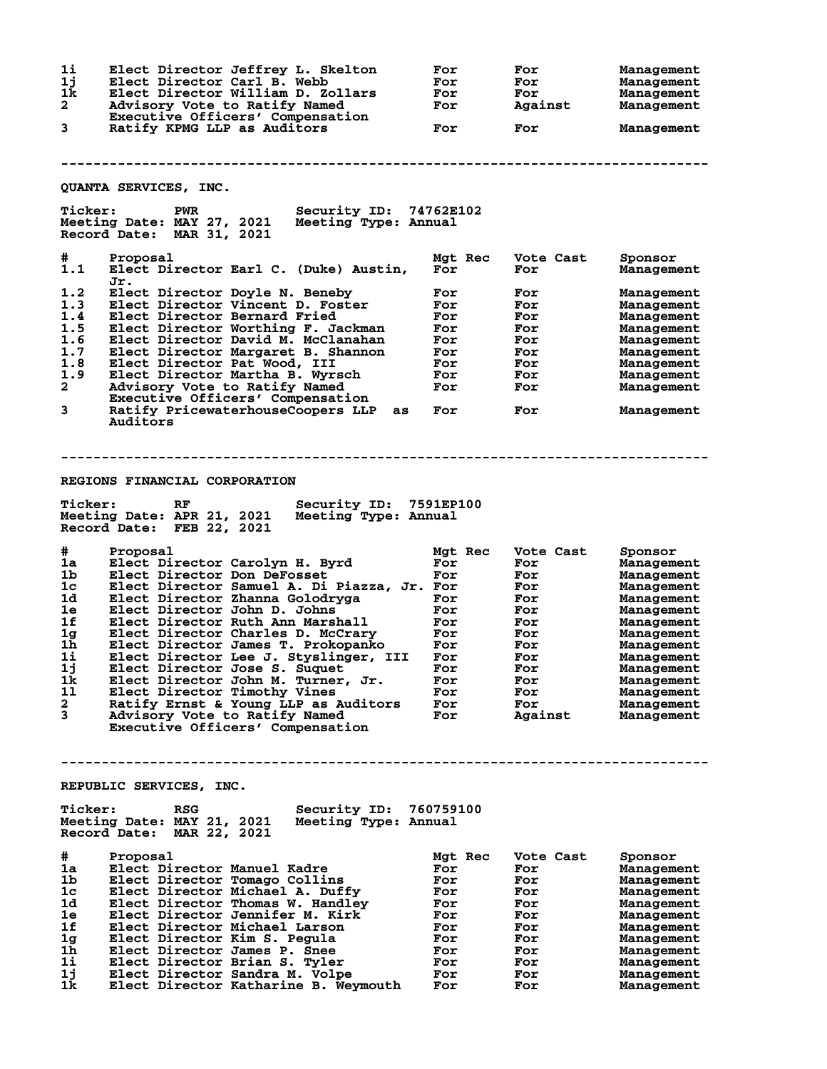| 1i<br>1j<br>1k<br>$\mathbf{2}$<br>3 | Elect Director Jeffrey L. Skelton<br>Elect Director Carl B. Webb<br>Elect Director William D. Zollars<br>Advisory Vote to Ratify Named<br>Executive Officers' Compensation<br>Ratify KPMG LLP as Auditors | For<br>For<br>For<br>For<br>For | For<br>For<br>For<br>Against<br>For | Management<br>Management<br>Management<br>Management<br>Management |
|-------------------------------------|-----------------------------------------------------------------------------------------------------------------------------------------------------------------------------------------------------------|---------------------------------|-------------------------------------|--------------------------------------------------------------------|
|                                     | QUANTA SERVICES, INC.                                                                                                                                                                                     |                                 |                                     |                                                                    |
| <b>Ticker:</b>                      | <b>Security ID: 74762E102</b><br><b>PWR</b><br>Meeting Date: MAY 27, 2021<br>Meeting Type: Annual<br>Record Date: MAR 31, 2021                                                                            |                                 |                                     |                                                                    |
| #<br>1.1                            | Proposal<br>Elect Director Earl C. (Duke) Austin,                                                                                                                                                         | Mgt Rec<br>For                  | Vote Cast<br>For                    | Sponsor<br>Management                                              |
| 1.2                                 | Jr.                                                                                                                                                                                                       |                                 |                                     |                                                                    |
| 1.3                                 | Elect Director Doyle N. Beneby<br>Elect Director Vincent D. Foster                                                                                                                                        | For<br>For                      | For<br>For                          | Management<br>Management                                           |
| 1.4                                 | Elect Director Bernard Fried                                                                                                                                                                              | For                             | For                                 | Management                                                         |
| 1.5                                 | Elect Director Worthing F. Jackman                                                                                                                                                                        | For                             | For                                 | Management                                                         |
| 1.6                                 | Elect Director David M. McClanahan                                                                                                                                                                        | For                             | For                                 | Management                                                         |
| 1.7                                 | Elect Director Margaret B. Shannon                                                                                                                                                                        | For                             | For                                 | Management                                                         |
| 1.8                                 | Elect Director Pat Wood, III                                                                                                                                                                              | For                             | For                                 | Management                                                         |
| 1.9                                 | Elect Director Martha B. Wyrsch                                                                                                                                                                           | For                             | For                                 | Management                                                         |
| $\mathbf{2}$                        | Advisory Vote to Ratify Named                                                                                                                                                                             | For                             | For                                 | Management                                                         |
|                                     | Executive Officers' Compensation                                                                                                                                                                          |                                 |                                     |                                                                    |
| 3                                   | Ratify PricewaterhouseCoopers LLP<br>as<br>Auditors                                                                                                                                                       | For                             | For                                 | Management                                                         |
|                                     |                                                                                                                                                                                                           |                                 |                                     |                                                                    |
|                                     | REGIONS FINANCIAL CORPORATION                                                                                                                                                                             |                                 |                                     |                                                                    |
| <b>Ticker:</b>                      | Security ID: 7591EP100<br>RF<br>Meeting Date: APR 21, 2021<br>Meeting Type: Annual<br>Record Date: FEB 22, 2021                                                                                           |                                 |                                     |                                                                    |
| #                                   | Proposal                                                                                                                                                                                                  | Mgt Rec                         | Vote Cast                           | Sponsor                                                            |
| 1a                                  | Elect Director Carolyn H. Byrd                                                                                                                                                                            | For                             | For                                 | Management                                                         |
| 1b                                  | Elect Director Don DeFosset                                                                                                                                                                               | For                             | For                                 | Management                                                         |
| 1c                                  | Elect Director Samuel A. Di Piazza, Jr. For                                                                                                                                                               |                                 | For                                 | Management                                                         |
| 1d                                  | Elect Director Zhanna Golodryga                                                                                                                                                                           | For                             | For                                 | Management                                                         |
| 1e<br>1f                            | Elect Director John D. Johns                                                                                                                                                                              | For                             | For                                 | Management                                                         |
| 1g                                  | Elect Director Ruth Ann Marshall<br>Elect Director Charles D. McCrary                                                                                                                                     | For<br>For                      | For<br>For                          | Management                                                         |
| 1h                                  | Elect Director James T. Prokopanko                                                                                                                                                                        | For                             | For                                 | Management<br>Management                                           |
| 1i                                  | Elect Director Lee J. Styslinger, III                                                                                                                                                                     | For                             | For                                 | Management                                                         |
| lj                                  | Elect Director Jose S. Suquet                                                                                                                                                                             | For                             | For                                 | Management                                                         |
| 1k                                  | Elect Director John M. Turner, Jr.                                                                                                                                                                        | For                             | For                                 | Management                                                         |
| 11                                  | Elect Director Timothy Vines                                                                                                                                                                              | For                             | For                                 | Management                                                         |
| 2                                   | Ratify Ernst & Young LLP as Auditors                                                                                                                                                                      | For                             | For                                 | Management                                                         |
| 3                                   | Advisory Vote to Ratify Named                                                                                                                                                                             | For                             | Against                             | Management                                                         |
|                                     | Executive Officers' Compensation                                                                                                                                                                          |                                 |                                     |                                                                    |
|                                     |                                                                                                                                                                                                           |                                 |                                     |                                                                    |
|                                     | REPUBLIC SERVICES, INC.                                                                                                                                                                                   |                                 |                                     |                                                                    |
| <b>Ticker:</b>                      | Security ID: 760759100<br><b>RSG</b><br>Meeting Date: MAY 21, 2021<br>Meeting Type: Annual<br>Record Date: MAR 22, 2021                                                                                   |                                 |                                     |                                                                    |
| #                                   | Proposal                                                                                                                                                                                                  | Mgt Rec                         | Vote Cast                           | Sponsor                                                            |
| 1a                                  | Elect Director Manuel Kadre                                                                                                                                                                               | For                             | For                                 | Management                                                         |
| 1b                                  | Elect Director Tomago Collins                                                                                                                                                                             | For                             | For                                 | Management                                                         |
| 1c                                  | Elect Director Michael A. Duffy                                                                                                                                                                           | For                             | For                                 | Management                                                         |
| 1d                                  | Elect Director Thomas W. Handley                                                                                                                                                                          | For                             | For                                 | Management                                                         |
| 1e                                  | Elect Director Jennifer M. Kirk                                                                                                                                                                           | For                             | For                                 | Management                                                         |
| 1f                                  | Elect Director Michael Larson                                                                                                                                                                             | For                             | For                                 | Management                                                         |
| 1g                                  | Elect Director Kim S. Pegula                                                                                                                                                                              | For                             | For                                 | Management                                                         |
| 1 <sub>h</sub>                      | Elect Director James P. Snee                                                                                                                                                                              | For                             | For                                 | Management                                                         |
| 1i<br>1j                            | Elect Director Brian S. Tyler<br>Elect Director Sandra M. Volpe                                                                                                                                           | For                             | For                                 | Management                                                         |
| 1k                                  | Elect Director Katharine B. Weymouth                                                                                                                                                                      | For<br>For                      | For<br>For                          | Management<br>Management                                           |
|                                     |                                                                                                                                                                                                           |                                 |                                     |                                                                    |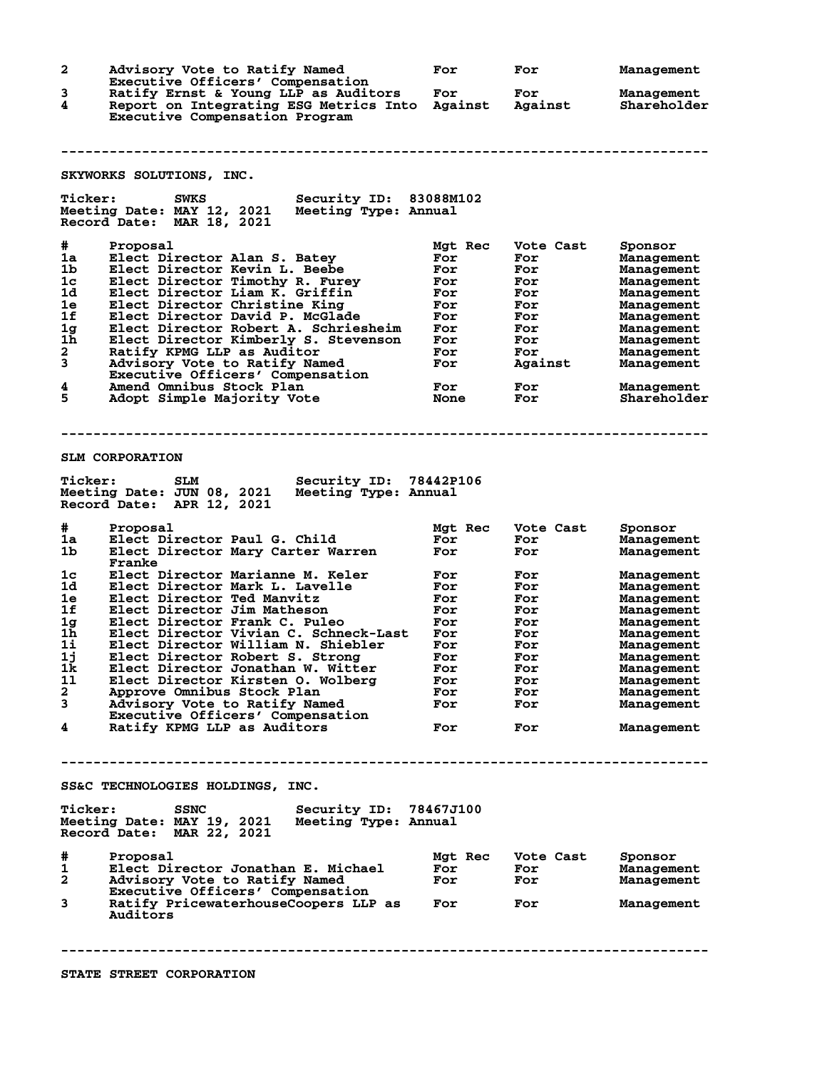**2 Advisory Vote to Ratify Named For For Management Executive Officers' Compensation<br>3** Ratify Ernst & Young LLP as Audite **3 Ratify Ernst & Young LLP as Auditors For For Management 4 Report on Integrating ESG Metrics Into Against Against Shareholder Executive Compensation Program -------------------------------------------------------------------------------- SKYWORKS SOLUTIONS, INC. Ticker: SWKS Security ID: 83088M102 Meeting Date: MAY 12, 2021 Meeting Type: Annual Record Date: MAR 18, 2021 # Proposal Mgt Rec Vote Cast Sponsor 1a Elect Director Alan S. Batey For For Management 1b Elect Director Kevin L. Beebe For For Management 1c Elect Director Timothy R. Furey For For Management 1d Elect Director Liam K. Griffin For For Management 1e Elect Director Christine King For For Management 1f Elect Director David P. McGlade For For Management 1g Elect Director Robert A. Schriesheim For For Management 1h Elect Director Kimberly S. Stevenson For For Management 2 Ratify KPMG LLP as Auditor For For Management 3 Advisory Vote to Ratify Named For Against Management Executive Officers' Compensation 4 Amend Omnibus Stock Plan For For Management 5 Adopt Simple Majority Vote None For Shareholder -------------------------------------------------------------------------------- SLM CORPORATION Ticker: SLM Security ID: 78442P106 Meeting Date: JUN 08, 2021 Meeting Type: Annual Record Date: APR 12, 2021 # Proposal Mgt Rec Vote Cast Sponsor 1a Elect Director Paul G. Child For For Management 1b Elect Director Mary Carter Warren For For Management Franke 1c Elect Director Marianne M. Keler For For Management 1d Elect Director Mark L. Lavelle For For Management 1e Elect Director Ted Manvitz For For Management 1f Elect Director Jim Matheson For For Management 1g Elect Director Frank C. Puleo For For Management 1h Elect Director Vivian C. Schneck-Last For For Management 1i Elect Director William N. Shiebler For For Management 1j Elect Director Robert S. Strong For For Management 1k Elect Director Jonathan W. Witter For For Management 1l Elect Director Kirsten O. Wolberg For For Management 2 Approve Omnibus Stock Plan For For Management 3 Advisory Vote to Ratify Named For For Management Executive Officers' Compensation 4 Ratify KPMG LLP as Auditors For For Management -------------------------------------------------------------------------------- SS&C TECHNOLOGIES HOLDINGS, INC. Ticker: SSNC Security ID: 78467J100 Meeting Date: MAY 19, 2021 Meeting Type: Annual Record Date: MAR 22, 2021 # Proposal Mgt Rec Vote Cast Sponsor 1 Elect Director Jonathan E. Michael For For Management 2 Advisory Vote to Ratify Named For For Management Executive Officers' Compensation 3 Ratify PricewaterhouseCoopers LLP as For For Management Ratify PricewaterhouseCoopers LLP as For For For Auditors -------------------------------------------------------------------------------- STATE STREET CORPORATION**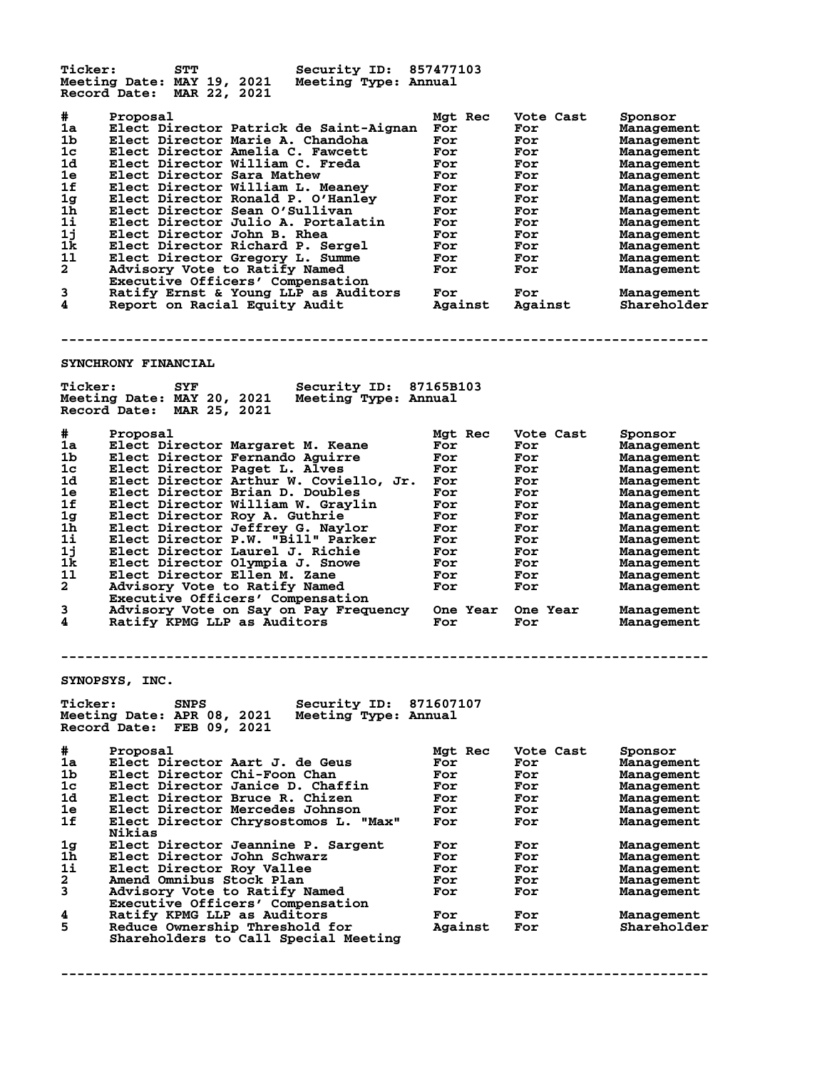**Ticker: STT Security ID: 857477103 Meeting Date: MAY 19, 2021 Meeting Type: Annual Record Date: MAR 22, 2021 # Proposal Mgt Rec Vote Cast Sponsor 1a Elect Director Patrick de Saint-Aignan For For Management 1b Elect Director Marie A. Chandoha For For Management 1c Elect Director Amelia C. Fawcett For For Management 1d Elect Director William C. Freda For For Management 1e Elect Director Sara Mathew For For Management 1f Elect Director William L. Meaney For For Management 1g Elect Director Ronald P. O'Hanley For For Management 1h Elect Director Sean O'Sullivan For For Management 1i Elect Director Julio A. Portalatin For For Management 1j Elect Director John B. Rhea For For Management 1k Elect Director Richard P. Sergel For For Management 1l Elect Director Gregory L. Summe For For Management 2 Advisory Vote to Ratify Named For For Management Executive Officers' Compensation 3 Ratify Ernst & Young LLP as Auditors For For Management 4 Report on Racial Equity Audit Against Against Shareholder -------------------------------------------------------------------------------- SYNCHRONY FINANCIAL Ticker: SYF Security ID: 87165B103 Meeting Date: MAY 20, 2021 Meeting Type: Annual Record Date: MAR 25, 2021 # Proposal Mgt Rec Vote Cast Sponsor 1a Elect Director Margaret M. Keane For For Management 1b Elect Director Fernando Aguirre For For Management 1c Elect Director Paget L. Alves For For Management 1d Elect Director Arthur W. Coviello, Jr. For For Management 1e Elect Director Brian D. Doubles For For Management 1f Elect Director William W. Graylin For For Management 1g Elect Director Roy A. Guthrie For For Management 1h Elect Director Jeffrey G. Naylor For For Management 1i Elect Director P.W. "Bill" Parker For For Management 1j Elect Director Laurel J. Richie For For Management 1k Elect Director Olympia J. Snowe For For Management 1l Elect Director Ellen M. Zane For For Management 2 Advisory Vote to Ratify Named For For Management Executive Officers' Compensation 3 Advisory Vote on Say on Pay Frequency One Year One Year Management 4 Ratify KPMG LLP as Auditors For For Management -------------------------------------------------------------------------------- SYNOPSYS, INC. Ticker: SNPS Security ID: 871607107 Meeting Date: APR 08, 2021 Meeting Type: Annual Record Date: FEB 09, 2021 # Proposal Mgt Rec Vote Cast Sponsor 1a Elect Director Aart J. de Geus For For Management 1b Elect Director Chi-Foon Chan For For Management 1c Elect Director Janice D. Chaffin For For Management 1d Elect Director Bruce R. Chizen For For Management 1e Elect Director Mercedes Johnson For For Management 1f Elect Director Chrysostomos L. "Max" For For Management Nikias 1g Elect Director Jeannine P. Sargent For For Management 1h Elect Director John Schwarz For For Management 1i Elect Director Roy Vallee For For Management 2 Amend Omnibus Stock Plan For For Management 3 Advisory Vote to Ratify Named For For Management Executive Officers' Compensation 4 Ratify KPMG LLP as Auditors For For Management 5 Reduce Ownership Threshold for Against For Shareholder Shareholders to Call Special Meeting --------------------------------------------------------------------------------**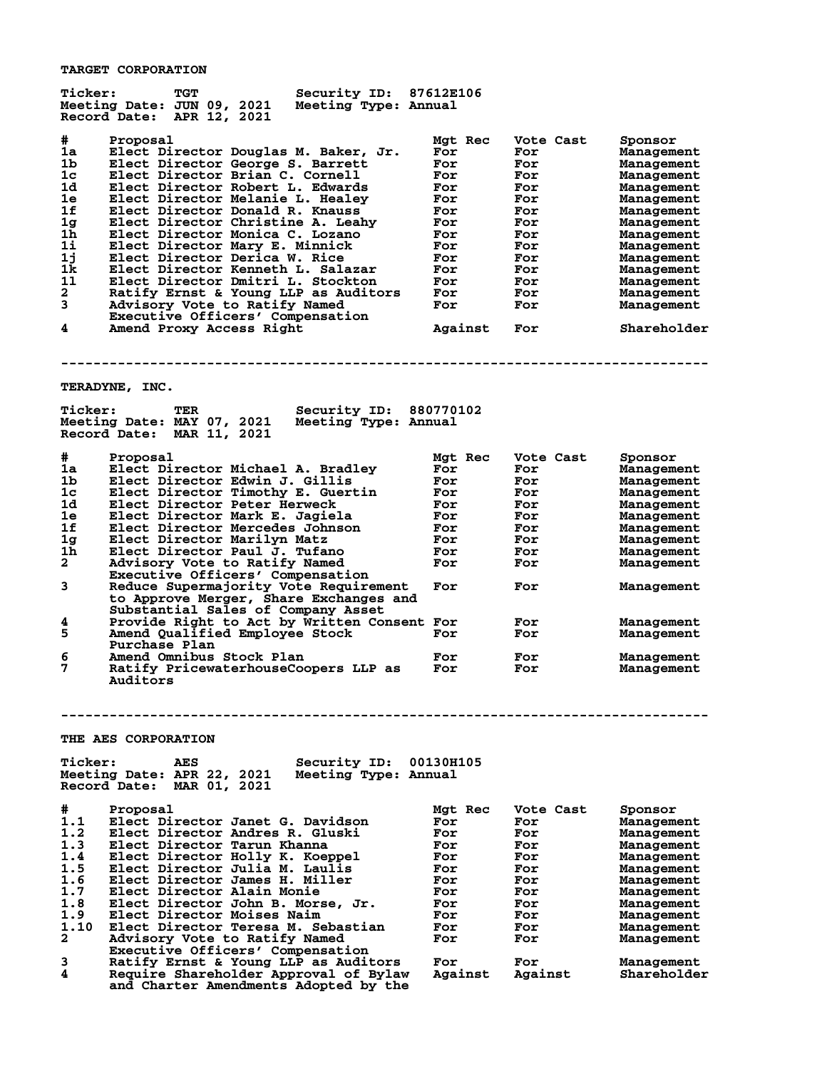**TARGET CORPORATION**

| <b>Ticker:</b>                                                                                         | TGT<br><b>Security ID:</b><br>Meeting Date: JUN 09, 2021<br>Meeting Type: Annual<br>Record Date:<br>APR 12, 2021                                                                                                                                                                                                                                                                                                                                                                                                                                                                                                                                                                 | 87612E106                                                                                                            |                                                                                                                    |                                                                                                                                                                                                                                                                             |
|--------------------------------------------------------------------------------------------------------|----------------------------------------------------------------------------------------------------------------------------------------------------------------------------------------------------------------------------------------------------------------------------------------------------------------------------------------------------------------------------------------------------------------------------------------------------------------------------------------------------------------------------------------------------------------------------------------------------------------------------------------------------------------------------------|----------------------------------------------------------------------------------------------------------------------|--------------------------------------------------------------------------------------------------------------------|-----------------------------------------------------------------------------------------------------------------------------------------------------------------------------------------------------------------------------------------------------------------------------|
| #<br>1a<br>1b<br>1c<br>1d<br>1e<br>1f<br>1 <sub>g</sub><br>1h<br>1i<br>1j<br>1k<br>11<br>2<br>3<br>4   | Proposal<br>Elect Director Douglas M. Baker, Jr.<br>Elect Director George S. Barrett<br>Elect Director Brian C. Cornell<br>Elect Director Robert L. Edwards<br>Elect Director Melanie L. Healey<br>Elect Director Donald R. Knauss<br>Elect Director Christine A. Leahy<br>Elect Director Monica C. Lozano<br>Elect Director Marv E. Minnick<br>Elect Director Derica W. Rice<br>Elect Director Kenneth L. Salazar<br>Elect Director Dmitri L. Stockton<br>Ratify Ernst & Young LLP as Auditors<br>Advisory Vote to Ratify Named<br>Executive Officers' Compensation<br>Amend Proxy Access Right                                                                                 | Mgt Rec<br>For<br>For<br>For<br>For<br>For<br>For<br>For<br>For<br>For<br>For<br>For<br>For<br>For<br>For<br>Against | Vote Cast<br>For<br>For<br>For<br>For<br>For<br>For<br>For<br>For<br>For<br>For<br>For<br>For<br>For<br>For<br>For | Sponsor<br>Management<br>Management<br><b>Management</b><br>Management<br><b>Management</b><br><b>Management</b><br><b>Management</b><br><b>Management</b><br>Management<br><b>Management</b><br>Management<br>Management<br><b>Management</b><br>Management<br>Shareholder |
|                                                                                                        | <b>TERADYNE, INC.</b>                                                                                                                                                                                                                                                                                                                                                                                                                                                                                                                                                                                                                                                            |                                                                                                                      |                                                                                                                    |                                                                                                                                                                                                                                                                             |
| <b>Ticker:</b>                                                                                         | Security ID: 880770102<br>TER<br>Meeting Date: MAY 07, 2021<br>Meeting Type: Annual<br>Record Date: MAR 11, 2021                                                                                                                                                                                                                                                                                                                                                                                                                                                                                                                                                                 |                                                                                                                      |                                                                                                                    |                                                                                                                                                                                                                                                                             |
| #<br>1a<br>1b<br>1c<br>1d<br>1e<br>1f<br>1 <sub>g</sub><br>1h<br>$\mathbf{2}$<br>3<br>4<br>5<br>6<br>7 | Proposal<br>Elect Director Michael A. Bradlev<br>Elect Director Edwin J. Gillis<br>Elect Director Timothy E. Guertin<br>Elect Director Peter Herweck<br>Elect Director Mark E. Jagiela<br>Elect Director Mercedes Johnson<br>Elect Director Marilyn Matz<br>Elect Director Paul J. Tufano<br>Advisory Vote to Ratify Named<br>Executive Officers' Compensation<br>Reduce Supermajority Vote Requirement<br>to Approve Merger, Share Exchanges and<br>Substantial Sales of Company Asset<br>Provide Right to Act by Written Consent For<br>Amend Qualified Employee Stock<br>Purchase Plan<br>Amend Omnibus Stock Plan<br>Ratify PricewaterhouseCoopers LLP as<br><b>Auditors</b> | Mgt Rec<br>For<br>For<br>For<br>For<br>For<br>For<br>For<br>For<br>For<br>For<br>For<br>For<br>For                   | Vote Cast<br>For<br>For<br>For<br>For<br>For<br>For<br>For<br>For<br>For<br>For<br>For<br>For<br>For<br>For        | Sponsor<br>Management<br><b>Management</b><br><b>Management</b><br>Management<br><b>Management</b><br><b>Management</b><br>Management<br>Management<br>Management<br>Management<br>Management<br>Management<br><b>Management</b><br>Management                              |
|                                                                                                        |                                                                                                                                                                                                                                                                                                                                                                                                                                                                                                                                                                                                                                                                                  |                                                                                                                      |                                                                                                                    |                                                                                                                                                                                                                                                                             |
| <b>Ticker:</b>                                                                                         | <b>THE AES CORPORATION</b><br>Security ID:<br><b>AES</b><br>Meeting Date: APR 22, 2021<br>Meeting Type: Annual<br>Record Date:<br>MAR 01, 2021                                                                                                                                                                                                                                                                                                                                                                                                                                                                                                                                   | 00130H105                                                                                                            |                                                                                                                    |                                                                                                                                                                                                                                                                             |
| #<br>1.1<br>1.2<br>1.3<br>1.4<br>1.5<br>1.6<br>1.7<br>1.8<br>1.9<br>1.10<br>$\mathbf{2}$<br>3<br>4     | Proposal<br>Elect Director Janet G. Davidson<br>Elect Director Andres R. Gluski<br>Elect Director Tarun Khanna<br>Elect Director Holly K. Koeppel<br>Elect Director Julia M. Laulis<br>Elect Director James H. Miller<br>Elect Director Alain Monie<br>Elect Director John B. Morse, Jr.<br>Elect Director Moises Naim<br>Elect Director Teresa M. Sebastian<br>Advisory Vote to Ratify Named<br>Executive Officers' Compensation<br>Ratify Ernst & Young LLP as Auditors<br>Require Shareholder Approval of Bylaw<br>and Charter Amendments Adopted by the                                                                                                                      | Mgt Rec<br>For<br>For<br>For<br>For<br>For<br>For<br>For<br>For<br>For<br>For<br>For<br>For<br>Against               | Vote Cast<br>For<br>For<br>For<br>For<br>For<br>For<br>For<br>For<br>For<br>For<br>For<br>For<br>Against           | Sponsor<br>Management<br>Management<br>Management<br><b>Management</b><br><b>Management</b><br>Management<br><b>Management</b><br><b>Management</b><br><b>Management</b><br>Management<br>Management<br>Management<br>Shareholder                                           |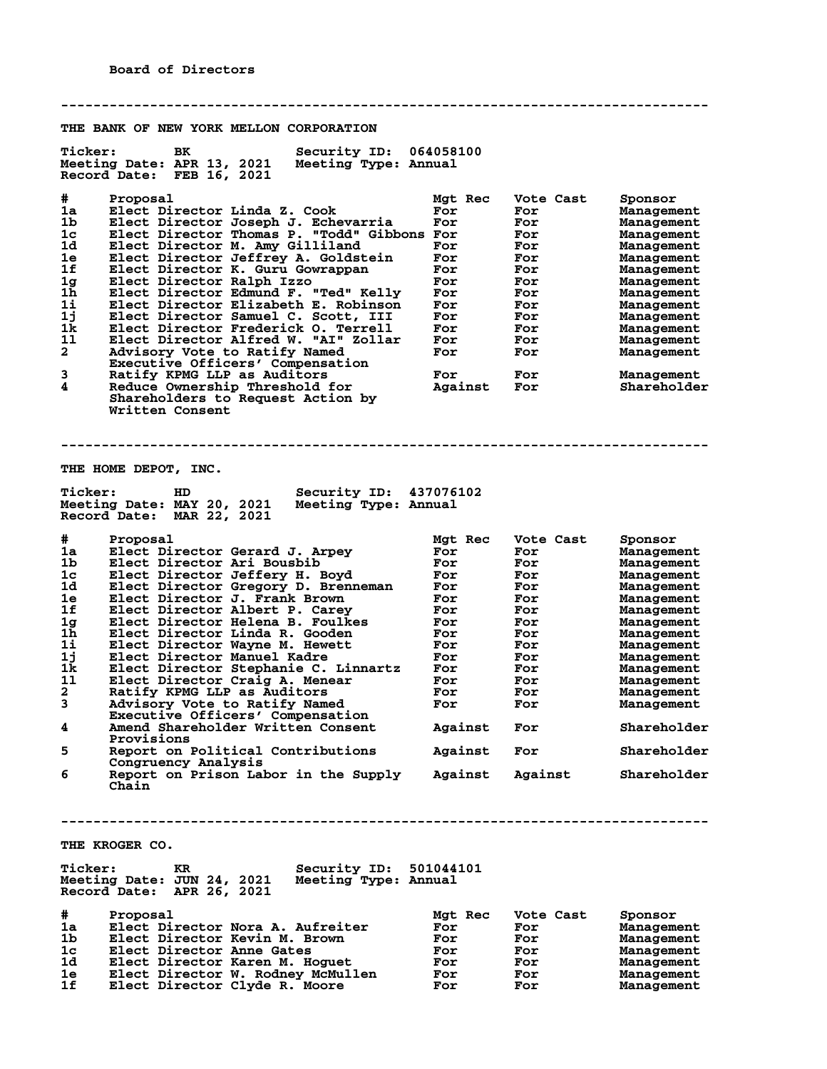**-------------------------------------------------------------------------------- THE BANK OF NEW YORK MELLON CORPORATION Ticker: BK Security ID: 064058100**<br>Meeting Date: APR 13, 2021 Meeting Type: Annual **Meeting Date: APR 13, 2021 Meeting Type: Annual Record Date: FEB 16, 2021 # Proposal Mgt Rec Vote Cast Sponsor 1a Elect Director Linda Z. Cook For For Management 1b Elect Director Joseph J. Echevarria For For Management 1c Elect Director Thomas P. "Todd" Gibbons For For Management 1d Elect Director M. Amy Gilliland For For Management 1e Elect Director Jeffrey A. Goldstein For For Management 1f Elect Director K. Guru Gowrappan For For Management 1g Elect Director Ralph Izzo For For Management 1h Elect Director Edmund F. "Ted" Kelly For For Management 1i Elect Director Elizabeth E. Robinson For For Management 1j Elect Director Samuel C. Scott, III For For Management 1k Elect Director Frederick O. Terrell For For Management 1l Elect Director Alfred W. "AI" Zollar For For Management 2 Advisory Vote to Ratify Named For For Management Executive Officers' Compensation 3 Ratify KPMG LLP as Auditors For For Management 4 Reduce Ownership Threshold for Against For Shareholder Shareholders to Request Action by Written Consent -------------------------------------------------------------------------------- THE HOME DEPOT, INC. Ticker: HD Security ID: 437076102 Meeting Date: MAY 20, 2021 Meeting Type: Annual Record Date: MAR 22, 2021 # Proposal Mgt Rec Vote Cast Sponsor 1a Elect Director Gerard J. Arpey For For Management 1b Elect Director Ari Bousbib For For Management 1c Elect Director Jeffery H. Boyd For For Management 1d Elect Director Gregory D. Brenneman For For Management 1e Elect Director J. Frank Brown For For Management 1f Elect Director Albert P. Carey For For Management 1g Elect Director Helena B. Foulkes For For Management 1h Elect Director Linda R. Gooden For For Management 1i Elect Director Wayne M. Hewett For For Management 1j Elect Director Manuel Kadre For For Management 1k Elect Director Stephanie C. Linnartz For For Management 1l Elect Director Craig A. Menear For For Management 2 Ratify KPMG LLP as Auditors For For Management 3 Advisory Vote to Ratify Named For For Management Executive Officers' Compensation 4 Amend Shareholder Written Consent Against For Shareholder Provisions 5 Report on Political Contributions Against For Shareholder Congruency Analysis 6 Report on Prison Labor in the Supply Against Against Shareholder Chain -------------------------------------------------------------------------------- THE KROGER CO. Ticker: KR Security ID: 501044101 Meeting Date: JUN 24, 2021 Meeting Type: Annual Record Date: APR 26, 2021 # Proposal Mgt Rec Vote Cast Sponsor 1a Elect Director Nora A. Aufreiter For For Management 1b Elect Director Kevin M. Brown For For Management 1c Elect Director Anne Gates For For Management 1d Elect Director Karen M. Hoguet For For Management 1e Elect Director W. Rodney McMullen For For Management**

**1f Elect Director Clyde R. Moore For For Management**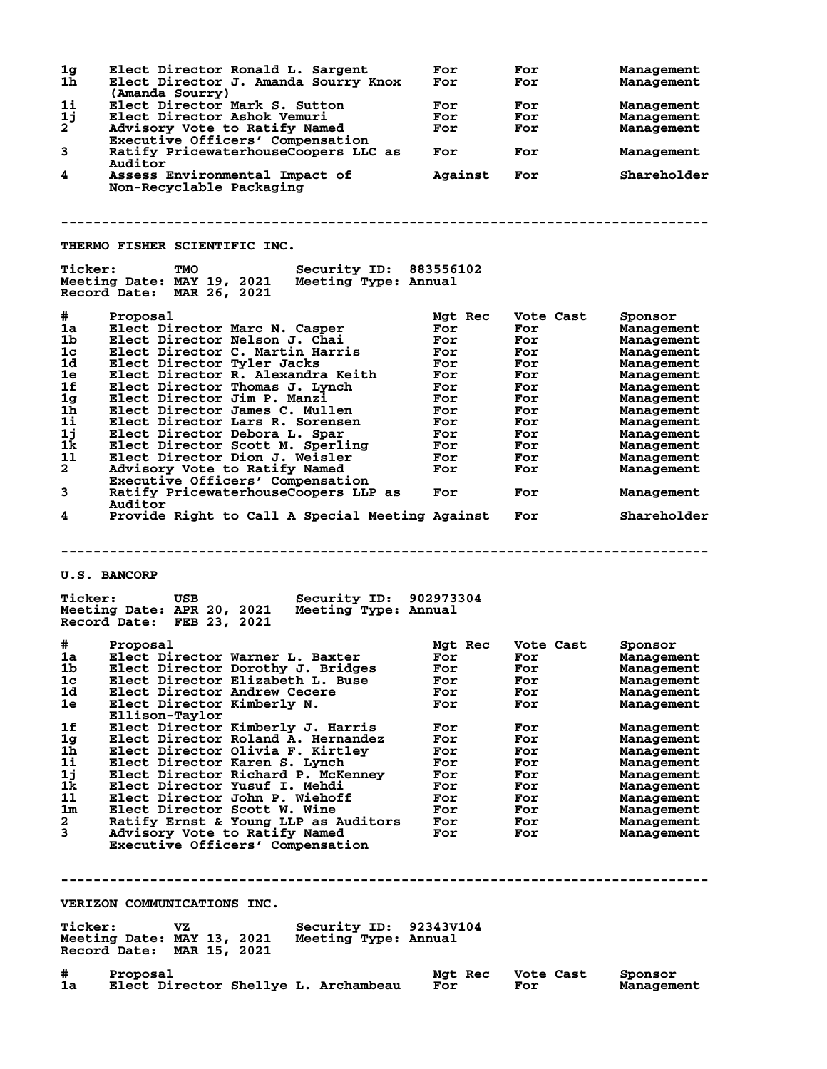**1g Elect Director Ronald L. Sargent For For Management 1h Elect Director J. Amanda Sourry Knox For For Management** (**Amanda Sourry**)<br>1i Elect Director ! **1i Elect Director Mark S. Sutton For For Management 1j Elect Director Ashok Vemuri For For Management 2 Advisory Vote to Ratify Named For For Management Executive Officers' Compensation 3 Ratify PricewaterhouseCoopers LLC as For For Management Auditor**<br>4 **Assess** F **4 Assess Environmental Impact of Against For Shareholder Non-Recyclable Packaging -------------------------------------------------------------------------------- THERMO FISHER SCIENTIFIC INC. Ticker: TMO Security ID: 883556102 Meeting Date: MAY 19, 2021 Meeting Type: Annual Record Date: MAR 26, 2021 # Proposal Mgt Rec Vote Cast Sponsor 1a Elect Director Marc N. Casper For For Management 1b Elect Director Nelson J. Chai For For Management 1c Elect Director C. Martin Harris For For Management 1d Elect Director Tyler Jacks For For Management 1e Elect Director R. Alexandra Keith For For Management 1f Elect Director Thomas J. Lynch For For Management 1g Elect Director Jim P. Manzi For For Management 1h Elect Director James C. Mullen For For Management 1i Elect Director Lars R. Sorensen For For Management 1j Elect Director Debora L. Spar For For Management 1k Elect Director Scott M. Sperling For For Management 1l Elect Director Dion J. Weisler For For Management 2 Advisory Vote to Ratify Named For For Management Executive Officers' Compensation 3 Ratify PricewaterhouseCoopers LLP as For For Management Auditor 4 Provide Right to Call A Special Meeting Against For Shareholder -------------------------------------------------------------------------------- U.S. BANCORP Ticker: USB Security ID: 902973304 Meeting Date: APR 20, 2021 Meeting Type: Annual Record Date: FEB 23, 2021 # Proposal Mgt Rec Vote Cast Sponsor 1a Elect Director Warner L. Baxter For For Management 1b Elect Director Dorothy J. Bridges For For Management 1c Elect Director Elizabeth L. Buse For For Management 1d Elect Director Andrew Cecere For For Management 1e Elect Director Kimberly N. For For Management Ellison-Taylor 1f Elect Director Kimberly J. Harris For For Management 1g Elect Director Roland A. Hernandez For For Management 1h Elect Director Olivia F. Kirtley For For Management 1i Elect Director Karen S. Lynch For For Management 1j Elect Director Richard P. McKenney For For Management 1k Elect Director Yusuf I. Mehdi For For Management 1l Elect Director John P. Wiehoff For For Management 1m Elect Director Scott W. Wine For For Management 2 Ratify Ernst & Young LLP as Auditors For For Management 3 Advisory Vote to Ratify Named For For Management Advisory Vote to Ratify Named<br>Executive Officers' Compensation -------------------------------------------------------------------------------- VERIZON COMMUNICATIONS INC. Ticker: VZ Security ID: 92343V104 Meeting Date: MAY 13, 2021 Meeting Type: Annual Record Date: MAR 15, 2021 # Proposal Mgt Rec Vote Cast Sponsor 1a Elect Director Shellye L. Archambeau For For Management**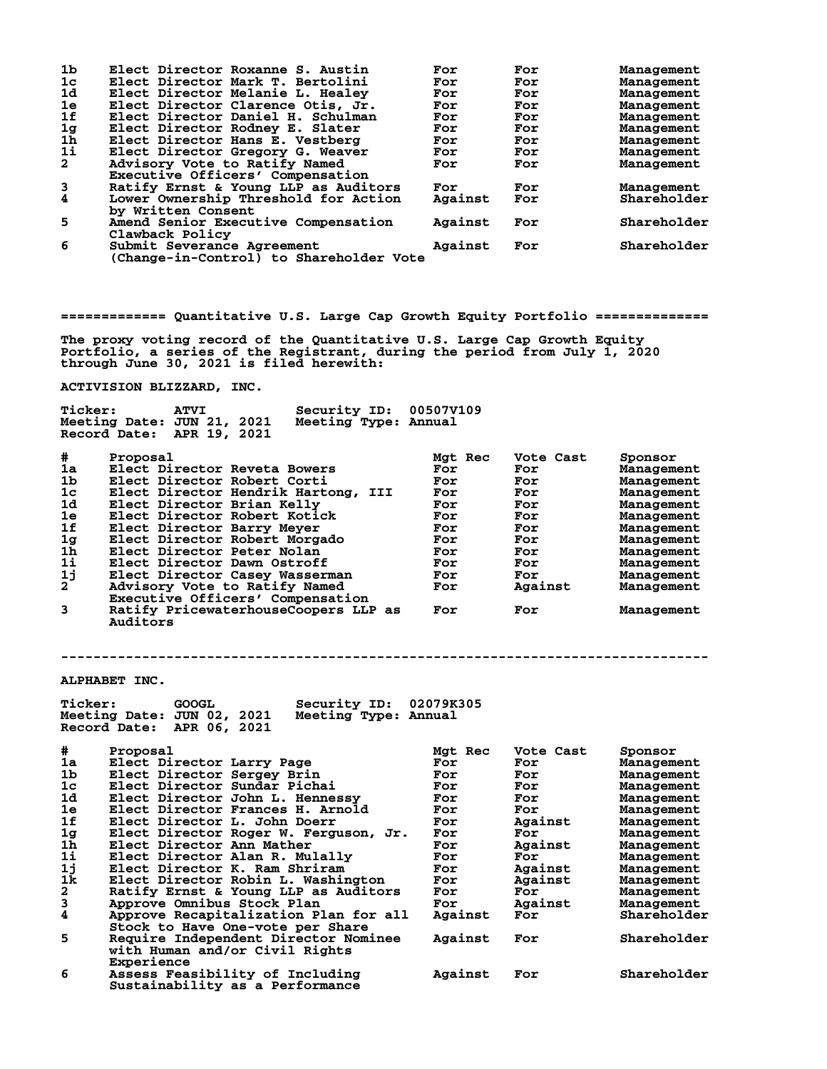| 1 <sub>b</sub>          | Elect Director Roxanne S. Austin        | For     | For | Management  |
|-------------------------|-----------------------------------------|---------|-----|-------------|
| 1 <sub>c</sub>          | Elect Director Mark T. Bertolini        | For     | For | Management  |
| 1d                      | Elect Director Melanie L. Healev        | For     | For | Management  |
| 1e                      | Elect Director Clarence Otis, Jr.       | For     | For | Management  |
| 1f                      | Elect Director Daniel H. Schulman       | For     | For | Management  |
| 1 <sub>g</sub>          | Elect Director Rodney E. Slater         | For     | For | Management  |
| $1\bar{h}$              | Elect Director Hans E. Vestberg         | For     | For | Management  |
| 11                      | Elect Director Gregory G. Weaver        | For     | For | Management  |
| $\mathbf{2}$            | Advisory Vote to Ratify Named           | For     | For | Management  |
|                         | Executive Officers' Compensation        |         |     |             |
| 3                       | Ratify Ernst & Young LLP as Auditors    | For     | For | Management  |
| $\overline{\mathbf{4}}$ | Lower Ownership Threshold for Action    | Against | For | Shareholder |
|                         | by Written Consent                      |         |     |             |
| 5                       | Amend Senior Executive Compensation     | Against | For | Shareholder |
|                         | Clawback Policy                         |         |     |             |
| 6                       | Submit Severance Agreement              | Against | For | Shareholder |
|                         | (Change-in-Control) to Shareholder Vote |         |     |             |

**============= Quantitative U.S. Large Cap Growth Equity Portfolio ==============**

**The proxy voting record of the Quantitative U.S. Large Cap Growth Equity Portfolio, a series of the Registrant, during the period from July 1, 2020 through June 30, 2021 is filed herewith:**

**ACTIVISION BLIZZARD, INC.**

 **Executive Officers' Compensation**

| <b>Ticker:</b> | Meeting Date: JUN 21, 2021<br>Record Date: APR 19, 2021 | <b>ATVI</b> |  | Security ID: 00507V109<br>Meeting Type: Annual |         |           |            |
|----------------|---------------------------------------------------------|-------------|--|------------------------------------------------|---------|-----------|------------|
| $\#$           | Proposal                                                |             |  |                                                | Mat Rec | Vote Cast | Sponsor    |
| 1a             | Elect Director Reveta Bowers                            |             |  |                                                | For     | For       | Management |
| 1b             | Elect Director Robert Corti                             |             |  |                                                | For     | For       | Management |
| 1 <sub>c</sub> |                                                         |             |  | Elect Director Hendrik Hartong, III            | For     | For       | Management |

**1d Elect Director Brian Kelly For For Management 1e Elect Director Robert Kotick For For Management 1f Elect Director Barry Meyer For For Management 1g Elect Director Robert Morgado For For Management 1h Elect Director Peter Nolan For For Management 1i Elect Director Dawn Ostroff For For Management 1j Elect Director Casey Wasserman For For Management 2 Advisory Vote to Ratify Named For Against Management**

**3 Ratify PricewaterhouseCoopers LLP as For For Management**

**--------------------------------------------------------------------------------**

**ALPHABET INC.**

 **Auditors**

| <b>Ticker:</b>                             | Security ID:<br><b>GOOGL</b><br>Meeting Date: JUN 02, 2021<br>Meeting Type: Annual<br>Record Date: APR 06, 2021 | 02079K305 |           |             |
|--------------------------------------------|-----------------------------------------------------------------------------------------------------------------|-----------|-----------|-------------|
| #                                          | Proposal                                                                                                        | Mgt Rec   | Vote Cast | Sponsor     |
| 1a                                         | Elect Director Larry Page                                                                                       | For       | For       | Management  |
| 1 <sub>b</sub>                             | Elect Director Sergey Brin                                                                                      | For       | For       | Management  |
| 1 <sub>c</sub>                             | Elect Director Sundar Pichai                                                                                    | For       | For       | Management  |
| 1d                                         | Elect Director John L. Hennessy                                                                                 | For       | For       | Management  |
| 1e                                         | Elect Director Frances H. Arnold                                                                                | For       | For       | Management  |
| 1f                                         | Elect Director L. John Doerr                                                                                    | For       | Against   | Management  |
| 1g                                         | Elect Director Roger W. Ferguson, Jr.                                                                           | For       | For       | Management  |
| $1\bar{h}$                                 | Elect Director Ann Mather                                                                                       | For       | Against   | Management  |
| 1i                                         | Elect Director Alan R. Mulally                                                                                  | For       | For       | Management  |
| 1j                                         | Elect Director K. Ram Shriram                                                                                   | For       | Against   | Management  |
| 1k                                         | Elect Director Robin L. Washington                                                                              | For       | Against   | Management  |
| $\begin{array}{c} 2 \\ 3 \\ 4 \end{array}$ | Ratify Ernst & Young LLP as Auditors                                                                            | For       | For       | Management  |
|                                            | Approve Omnibus Stock Plan                                                                                      | For       | Against   | Management  |
|                                            | Approve Recapitalization Plan for all<br>Stock to Have One-vote per Share                                       | Against   | For       | Shareholder |
| 5                                          | Require Independent Director Nominee<br>with Human and/or Civil Rights<br>Experience                            | Against   | For       | Shareholder |
| 6                                          | Assess Feasibility of Including<br>Sustainability as a Performance                                              | Against   | For       | Shareholder |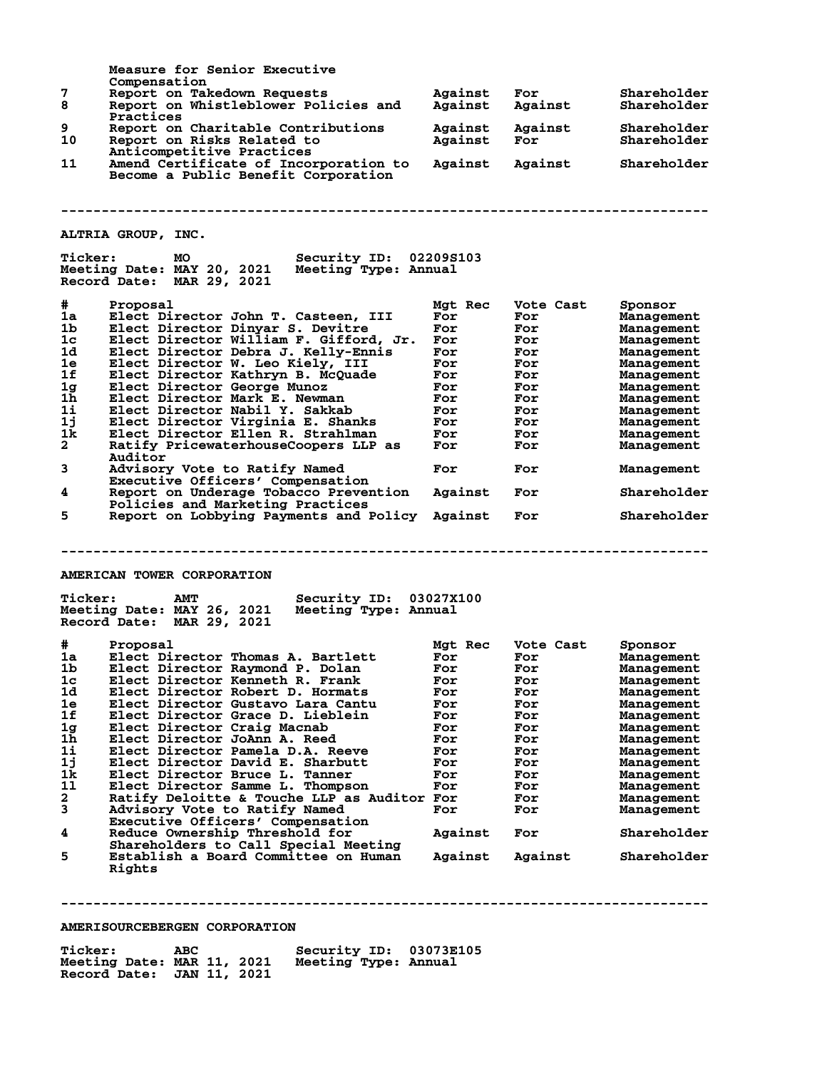|                                  | Measure for Senior Executive                       |         |           |             |
|----------------------------------|----------------------------------------------------|---------|-----------|-------------|
| 7                                | Compensation<br>Report on Takedown Requests        | Against | For       | Shareholder |
| 8                                | Report on Whistleblower Policies and               | Against | Against   | Shareholder |
|                                  | Practices                                          |         |           |             |
| 9                                | Report on Charitable Contributions                 | Against | Against   | Shareholder |
| 10                               | Report on Risks Related to                         | Against | For       | Shareholder |
|                                  | Anticompetitive Practices                          |         |           |             |
| 11                               | Amend Certificate of Incorporation to              | Against | Against   | Shareholder |
|                                  | Become a Public Benefit Corporation                |         |           |             |
|                                  |                                                    |         |           |             |
|                                  |                                                    |         |           |             |
|                                  |                                                    |         |           |             |
|                                  |                                                    |         |           |             |
|                                  | ALTRIA GROUP, INC.                                 |         |           |             |
| <b>Ticker:</b>                   | Security ID: 02209S103<br>MO                       |         |           |             |
|                                  | Meeting Date: MAY 20, 2021 Meeting Type: Annual    |         |           |             |
|                                  | Record Date: MAR 29, 2021                          |         |           |             |
|                                  |                                                    |         |           |             |
| #                                | Proposal                                           | Mgt Rec | Vote Cast | Sponsor     |
| 1a                               | Elect Director John T. Casteen, III                | For     | For       | Management  |
| 1b                               | Elect Director Dinyar S. Devitre                   | For     | For       | Management  |
| 1 <sub>c</sub>                   | Elect Director William F. Gifford, Jr. For         |         | For       | Management  |
| 1d                               | Elect Director Debra J. Kelly-Ennis                | For     | For       | Management  |
| 1e                               | Elect Director W. Leo Kiely, III                   | For     | For       | Management  |
| 1f                               | Elect Director Kathryn B. McQuade                  | For     | For       | Management  |
| 1 <sub>g</sub>                   | Elect Director George Munoz                        | For     | For       | Management  |
| 1h                               | Elect Director Mark E. Newman                      | For     | For       | Management  |
| $1\mathbf{i}$                    | Elect Director Nabil Y. Sakkab                     | For     | For       | Management  |
| 1j                               | Elect Director Virginia E. Shanks                  | For     | For       | Management  |
| 1k                               | Elect Director Ellen R. Strahlman                  | For     | For       | Management  |
| $\mathbf{2}$                     | Ratify PricewaterhouseCoopers LLP as               | For     | For       | Management  |
|                                  | Auditor                                            |         |           |             |
| 3                                | Advisory Vote to Ratify Named                      | For     | For       | Management  |
|                                  | Executive Officers' Compensation                   |         |           |             |
| 4                                | Report on Underage Tobacco Prevention              | Against | For       | Shareholder |
|                                  | Policies and Marketing Practices                   |         |           |             |
| 5.                               | Report on Lobbying Payments and Policy Against     |         | For       | Shareholder |
|                                  |                                                    |         |           |             |
|                                  |                                                    |         |           |             |
|                                  |                                                    |         |           |             |
|                                  |                                                    |         |           |             |
|                                  | AMERICAN TOWER CORPORATION                         |         |           |             |
|                                  |                                                    |         |           |             |
| <b>Ticker:</b>                   | Security ID: 03027X100<br><b>AMT</b>               |         |           |             |
|                                  | Meeting Date: MAY 26, 2021<br>Meeting Type: Annual |         |           |             |
|                                  | Record Date: MAR 29, 2021                          |         |           |             |
|                                  |                                                    |         |           |             |
| #                                | Proposal<br>Elect Director Thomas A. Bartlett      | Mgt Rec | Vote Cast | Sponsor     |
| 1a -                             |                                                    | For     | For       | Management  |
| 1 <sub>b</sub><br>1 <sub>c</sub> | Elect Director Raymond P. Dolan                    | For     | For       | Management  |
|                                  | Elect Director Kenneth R. Frank                    | For     | For       | Management  |
| 1d                               | Elect Director Robert D. Hormats                   | For     | For       | Management  |
| 1e                               | Elect Director Gustavo Lara Cantu                  | For     | For       | Management  |
| 1f                               | Elect Director Grace D. Lieblein                   | For     | For       | Management  |
| 1 <sub>g</sub>                   | Elect Director Craig Macnab                        | For     | For       | Management  |
| 1 <sub>h</sub>                   | Elect Director JoAnn A. Reed                       | For     | For       | Management  |
| 1i                               | Elect Director Pamela D.A. Reeve                   | For     | For       | Management  |
| 1j                               | Elect Director David E. Sharbutt                   | For     | For       | Management  |
| 1k                               | Elect Director Bruce L. Tanner                     | For     | For       | Management  |
| 11                               | Elect Director Samme L. Thompson                   | For     | For       | Management  |
| $\mathbf{2}$                     | Ratify Deloitte & Touche LLP as Auditor For        |         | For       | Management  |
| 3                                | Advisory Vote to Ratify Named                      | For     | For       | Management  |
|                                  | Executive Officers' Compensation                   |         |           |             |
| 4                                | Reduce Ownership Threshold for                     | Against | For       | Shareholder |
| 5                                | Shareholders to Call Special Meeting               |         | Against   |             |
|                                  | Establish a Board Committee on Human<br>Rights     | Against |           | Shareholder |
|                                  |                                                    |         |           |             |
|                                  |                                                    |         |           |             |

**AMERISOURCEBERGEN CORPORATION**

| <b>Ticker:</b>                                          | ABC | Security ID: 03073E105 |  |
|---------------------------------------------------------|-----|------------------------|--|
| Meeting Date: MAR 11, 2021<br>Record Date: JAN 11, 2021 |     | Meeting Type: Annual   |  |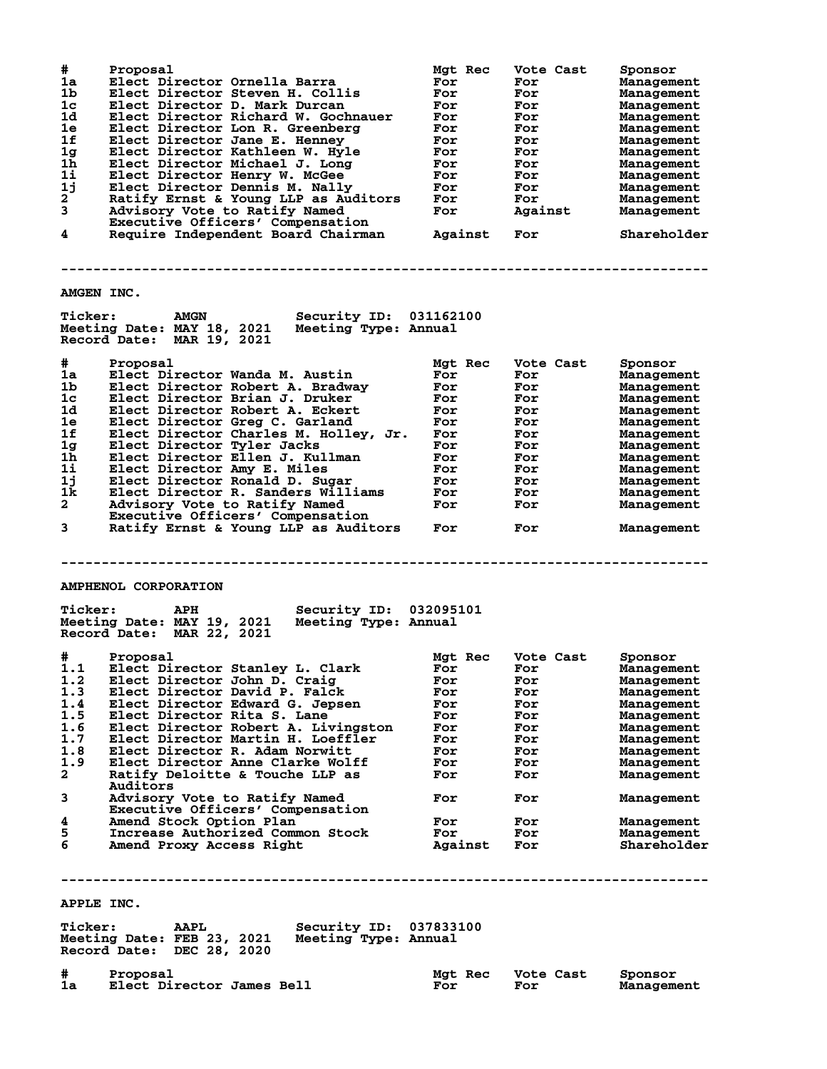| #<br>1a<br>1 <sub>b</sub><br>1 <sub>c</sub><br>1d<br>1e<br>1f<br>1g<br>1 <sub>h</sub><br>11<br>1j<br>$\mathbf{2}$<br>3<br>4 | Proposal<br>Elect Director Ornella Barra<br>Elect Director Steven H. Collis<br>Elect Director D. Mark Durcan<br>Elect Director Richard W. Gochnauer<br>Elect Director Lon R. Greenberg<br>Elect Director Jane E. Henney<br>Elect Director Kathleen W. Hyle<br>Elect Director Michael J. Long<br>Elect Director Henry W. McGee<br>Elect Director Dennis M. Nally<br>Ratify Ernst & Young LLP as Auditors<br>Advisory Vote to Ratify Named<br>Executive Officers' Compensation<br>Require Independent Board Chairman | Mgt Rec<br>For<br>For<br>For<br>For<br>For<br>For<br>For<br>For<br>For<br><b>For</b><br><b>For</b><br><b>For</b><br>Against | Vote Cast<br>For<br>For<br>For<br>For<br>For<br>For<br>For<br>For<br>For<br>For<br>For<br>Against<br>For | Sponsor<br>Management<br>Management<br>Management<br>Management<br>Management<br>Management<br>Management<br>Management<br>Management<br>Management<br>Management<br>Management<br>Shareholder |
|-----------------------------------------------------------------------------------------------------------------------------|--------------------------------------------------------------------------------------------------------------------------------------------------------------------------------------------------------------------------------------------------------------------------------------------------------------------------------------------------------------------------------------------------------------------------------------------------------------------------------------------------------------------|-----------------------------------------------------------------------------------------------------------------------------|----------------------------------------------------------------------------------------------------------|------------------------------------------------------------------------------------------------------------------------------------------------------------------------------------------------|
| <b>AMGEN INC.</b>                                                                                                           |                                                                                                                                                                                                                                                                                                                                                                                                                                                                                                                    |                                                                                                                             |                                                                                                          |                                                                                                                                                                                                |
| <b>Ticker:</b>                                                                                                              | <b>Security ID: 031162100</b><br><b>AMGN</b><br>Meeting Date: MAY 18, 2021 Meeting Type: Annual<br>Record Date: MAR 19, 2021                                                                                                                                                                                                                                                                                                                                                                                       |                                                                                                                             |                                                                                                          |                                                                                                                                                                                                |
|                                                                                                                             |                                                                                                                                                                                                                                                                                                                                                                                                                                                                                                                    |                                                                                                                             |                                                                                                          |                                                                                                                                                                                                |
| #<br>1a                                                                                                                     | Proposal                                                                                                                                                                                                                                                                                                                                                                                                                                                                                                           | Mgt Rec                                                                                                                     | Vote Cast                                                                                                | Sponsor                                                                                                                                                                                        |
| 1b                                                                                                                          | Elect Director Wanda M. Austin                                                                                                                                                                                                                                                                                                                                                                                                                                                                                     | For                                                                                                                         | For                                                                                                      | Management                                                                                                                                                                                     |
| 1c                                                                                                                          | Elect Director Robert A. Bradway                                                                                                                                                                                                                                                                                                                                                                                                                                                                                   | For                                                                                                                         | For                                                                                                      | Management                                                                                                                                                                                     |
| 1d                                                                                                                          | Elect Director Brian J. Druker<br>Elect Director Robert A. Eckert                                                                                                                                                                                                                                                                                                                                                                                                                                                  | For                                                                                                                         | For                                                                                                      | Management                                                                                                                                                                                     |
| 1e                                                                                                                          | Elect Director Greg C. Garland                                                                                                                                                                                                                                                                                                                                                                                                                                                                                     | For<br>For                                                                                                                  | For                                                                                                      | Management                                                                                                                                                                                     |
| 1f                                                                                                                          | Elect Director Charles M. Holley, Jr.                                                                                                                                                                                                                                                                                                                                                                                                                                                                              | For                                                                                                                         | For<br>For                                                                                               | Management                                                                                                                                                                                     |
| 1g                                                                                                                          | Elect Director Tyler Jacks                                                                                                                                                                                                                                                                                                                                                                                                                                                                                         | For                                                                                                                         | For                                                                                                      | Management<br>Management                                                                                                                                                                       |
| 1 <sub>h</sub>                                                                                                              | Elect Director Ellen J. Kullman                                                                                                                                                                                                                                                                                                                                                                                                                                                                                    | For                                                                                                                         | For                                                                                                      | Management                                                                                                                                                                                     |
| 11                                                                                                                          | Elect Director Amy E. Miles                                                                                                                                                                                                                                                                                                                                                                                                                                                                                        | For                                                                                                                         | For                                                                                                      | Management                                                                                                                                                                                     |
| 1j                                                                                                                          | Elect Director Ronald D. Sugar                                                                                                                                                                                                                                                                                                                                                                                                                                                                                     | For                                                                                                                         | For                                                                                                      | Management                                                                                                                                                                                     |
| 1k.                                                                                                                         | Elect Director R. Sanders Williams                                                                                                                                                                                                                                                                                                                                                                                                                                                                                 | For                                                                                                                         | For                                                                                                      | Management                                                                                                                                                                                     |
| $\mathbf{2}$                                                                                                                | Advisory Vote to Ratify Named                                                                                                                                                                                                                                                                                                                                                                                                                                                                                      | For                                                                                                                         | For                                                                                                      | Management                                                                                                                                                                                     |
|                                                                                                                             | Executive Officers' Compensation                                                                                                                                                                                                                                                                                                                                                                                                                                                                                   |                                                                                                                             |                                                                                                          |                                                                                                                                                                                                |
| 3                                                                                                                           | Ratify Ernst & Young LLP as Auditors                                                                                                                                                                                                                                                                                                                                                                                                                                                                               | For                                                                                                                         | For                                                                                                      | Management                                                                                                                                                                                     |
|                                                                                                                             |                                                                                                                                                                                                                                                                                                                                                                                                                                                                                                                    |                                                                                                                             |                                                                                                          |                                                                                                                                                                                                |
|                                                                                                                             |                                                                                                                                                                                                                                                                                                                                                                                                                                                                                                                    |                                                                                                                             |                                                                                                          |                                                                                                                                                                                                |
|                                                                                                                             |                                                                                                                                                                                                                                                                                                                                                                                                                                                                                                                    |                                                                                                                             |                                                                                                          |                                                                                                                                                                                                |
|                                                                                                                             |                                                                                                                                                                                                                                                                                                                                                                                                                                                                                                                    |                                                                                                                             |                                                                                                          |                                                                                                                                                                                                |
|                                                                                                                             | <b>AMPHENOL CORPORATION</b>                                                                                                                                                                                                                                                                                                                                                                                                                                                                                        |                                                                                                                             |                                                                                                          |                                                                                                                                                                                                |
| <b>Ticker:</b>                                                                                                              | <b>Security ID:</b><br><b>APH</b><br>Meeting Date: MAY 19, 2021<br>Meeting Type: Annual<br>Record Date: MAR 22, 2021                                                                                                                                                                                                                                                                                                                                                                                               | 032095101                                                                                                                   |                                                                                                          |                                                                                                                                                                                                |
|                                                                                                                             |                                                                                                                                                                                                                                                                                                                                                                                                                                                                                                                    |                                                                                                                             |                                                                                                          |                                                                                                                                                                                                |
| #                                                                                                                           | Proposal                                                                                                                                                                                                                                                                                                                                                                                                                                                                                                           | Mgt Rec                                                                                                                     | Vote Cast                                                                                                | Sponsor                                                                                                                                                                                        |
| 1.1                                                                                                                         | Elect Director Stanley L. Clark                                                                                                                                                                                                                                                                                                                                                                                                                                                                                    | ror                                                                                                                         | For                                                                                                      | Management                                                                                                                                                                                     |
| 1.2<br>1.3                                                                                                                  | Elect Director John D. Craig<br>Elect Director David P. Falck                                                                                                                                                                                                                                                                                                                                                                                                                                                      | For<br>For                                                                                                                  | For<br>For                                                                                               | Management<br>Management                                                                                                                                                                       |
|                                                                                                                             |                                                                                                                                                                                                                                                                                                                                                                                                                                                                                                                    | For                                                                                                                         | For                                                                                                      | Management                                                                                                                                                                                     |
| 1.4<br>1.5                                                                                                                  | Elect Director Edward G. Jepsen<br>Elect Director Rita S. Lane                                                                                                                                                                                                                                                                                                                                                                                                                                                     | For                                                                                                                         | For                                                                                                      | Management                                                                                                                                                                                     |
| 1.6                                                                                                                         | Elect Director Robert A. Livingston                                                                                                                                                                                                                                                                                                                                                                                                                                                                                | For                                                                                                                         | For                                                                                                      | Management                                                                                                                                                                                     |
| 1.7                                                                                                                         | Elect Director Martin H. Loeffler                                                                                                                                                                                                                                                                                                                                                                                                                                                                                  | For                                                                                                                         | For                                                                                                      | Management                                                                                                                                                                                     |
| 1.8                                                                                                                         | Elect Director R. Adam Norwitt                                                                                                                                                                                                                                                                                                                                                                                                                                                                                     | For                                                                                                                         | For                                                                                                      | Management                                                                                                                                                                                     |
| 1.9                                                                                                                         | Elect Director Anne Clarke Wolff                                                                                                                                                                                                                                                                                                                                                                                                                                                                                   | For                                                                                                                         | For                                                                                                      | Management                                                                                                                                                                                     |
| $\mathbf{2}$                                                                                                                | Ratify Deloitte & Touche LLP as                                                                                                                                                                                                                                                                                                                                                                                                                                                                                    | For                                                                                                                         | For                                                                                                      | Management                                                                                                                                                                                     |
| 3                                                                                                                           | Auditors<br>Advisory Vote to Ratify Named<br>Executive Officers' Compensation                                                                                                                                                                                                                                                                                                                                                                                                                                      | For                                                                                                                         | For                                                                                                      | Management                                                                                                                                                                                     |
| 4                                                                                                                           | Amend Stock Option Plan                                                                                                                                                                                                                                                                                                                                                                                                                                                                                            | For                                                                                                                         | For                                                                                                      | Management                                                                                                                                                                                     |
| 5                                                                                                                           | Increase Authorized Common Stock                                                                                                                                                                                                                                                                                                                                                                                                                                                                                   | For                                                                                                                         | For                                                                                                      | Management                                                                                                                                                                                     |
| 6                                                                                                                           | Amend Proxy Access Right                                                                                                                                                                                                                                                                                                                                                                                                                                                                                           | Against                                                                                                                     | For                                                                                                      | Shareholder                                                                                                                                                                                    |
|                                                                                                                             |                                                                                                                                                                                                                                                                                                                                                                                                                                                                                                                    |                                                                                                                             |                                                                                                          |                                                                                                                                                                                                |
|                                                                                                                             |                                                                                                                                                                                                                                                                                                                                                                                                                                                                                                                    |                                                                                                                             |                                                                                                          |                                                                                                                                                                                                |
| APPLE INC.                                                                                                                  |                                                                                                                                                                                                                                                                                                                                                                                                                                                                                                                    |                                                                                                                             |                                                                                                          |                                                                                                                                                                                                |
| <b>Ticker:</b>                                                                                                              | Security ID: 037833100<br><b>AAPL</b><br>Meeting Date: FEB 23, 2021<br>Meeting Type: Annual<br>Record Date: DEC 28, 2020                                                                                                                                                                                                                                                                                                                                                                                           |                                                                                                                             |                                                                                                          |                                                                                                                                                                                                |

**# Proposal Mgt Rec Vote Cast Sponsor 1a Elect Director James Bell For For Management**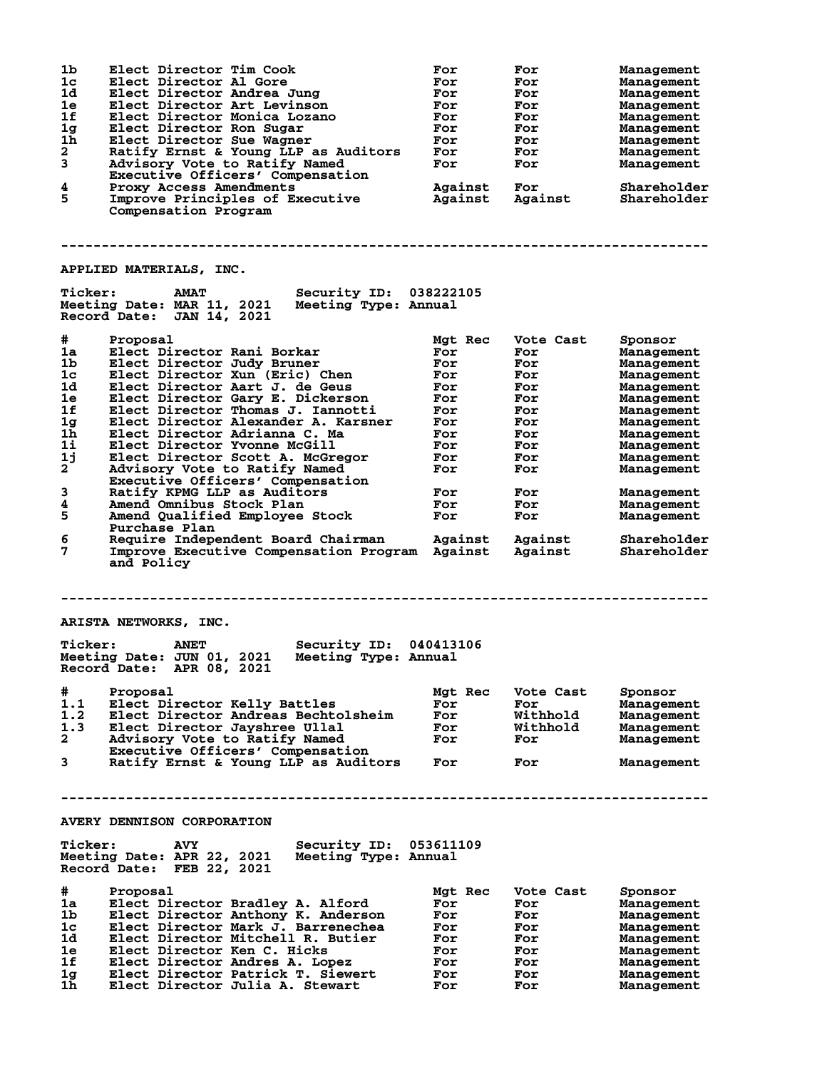| 1 <sub>b</sub><br>1 <sub>c</sub><br>1d<br>1e<br>1f<br>1 <sub>g</sub><br>1h<br>$\mathbf{2}$<br>3<br>4<br>5 | Elect Director Tim Cook<br>Elect Director Al Gore<br>Elect Director Andrea Jung<br>Elect Director Art Levinson<br>Elect Director Monica Lozano<br>Elect Director Ron Sugar<br>Elect Director Sue Wagner<br>Ratify Ernst & Young LLP as Auditors<br>Advisory Vote to Ratify Named<br>Executive Officers' Compensation<br>Proxy Access Amendments<br>Improve Principles of Executive<br>Compensation Program | For<br>For<br>For<br>For<br>For<br>For<br>For<br>For<br>For<br>Against<br>Against | For<br>For<br>For<br>For<br>For<br>For<br>For<br>For<br>For<br>For<br>Against | Management<br>Management<br>Management<br>Management<br>Management<br>Management<br>Management<br>Management<br>Management<br>Shareholder<br>Shareholder |
|-----------------------------------------------------------------------------------------------------------|------------------------------------------------------------------------------------------------------------------------------------------------------------------------------------------------------------------------------------------------------------------------------------------------------------------------------------------------------------------------------------------------------------|-----------------------------------------------------------------------------------|-------------------------------------------------------------------------------|----------------------------------------------------------------------------------------------------------------------------------------------------------|
|                                                                                                           | <b>APPLIED MATERIALS, INC.</b>                                                                                                                                                                                                                                                                                                                                                                             |                                                                                   |                                                                               |                                                                                                                                                          |
| <b>Ticker:</b>                                                                                            | <b>Security ID: 038222105</b><br><b>AMAT</b><br>Meeting Date: MAR 11, 2021 Meeting Type: Annual<br>Record Date: JAN 14, 2021                                                                                                                                                                                                                                                                               |                                                                                   |                                                                               |                                                                                                                                                          |
| #                                                                                                         | Proposal                                                                                                                                                                                                                                                                                                                                                                                                   | Mgt Rec                                                                           | Vote Cast                                                                     | Sponsor                                                                                                                                                  |
| 1a                                                                                                        | Elect Director Rani Borkar                                                                                                                                                                                                                                                                                                                                                                                 | For                                                                               | For                                                                           | Management                                                                                                                                               |
| 1b                                                                                                        | Elect Director Judy Bruner                                                                                                                                                                                                                                                                                                                                                                                 | For                                                                               | For                                                                           | Management                                                                                                                                               |
| 1c                                                                                                        | Elect Director Xun (Eric) Chen                                                                                                                                                                                                                                                                                                                                                                             | For                                                                               | For                                                                           | Management                                                                                                                                               |
| 1d                                                                                                        | Elect Director Aart J. de Geus                                                                                                                                                                                                                                                                                                                                                                             | For                                                                               | For                                                                           | Management                                                                                                                                               |
| 1e                                                                                                        | Elect Director Gary E. Dickerson                                                                                                                                                                                                                                                                                                                                                                           | For                                                                               | For                                                                           | Management                                                                                                                                               |
| 1f<br>1g                                                                                                  | Elect Director Thomas J. Iannotti<br>Elect Director Alexander A. Karsner                                                                                                                                                                                                                                                                                                                                   | For<br>For                                                                        | For<br>For                                                                    | Management<br>Management                                                                                                                                 |
| 1h                                                                                                        | Elect Director Adrianna C. Ma                                                                                                                                                                                                                                                                                                                                                                              | For                                                                               | For                                                                           | Management                                                                                                                                               |
| $1\text{i}$                                                                                               | Elect Director Yvonne McGill                                                                                                                                                                                                                                                                                                                                                                               | For                                                                               | For                                                                           | Management                                                                                                                                               |
| 1j                                                                                                        | Elect Director Scott A. McGregor                                                                                                                                                                                                                                                                                                                                                                           | For                                                                               | For                                                                           | Management                                                                                                                                               |
| $\mathbf{2}$                                                                                              | Advisory Vote to Ratify Named                                                                                                                                                                                                                                                                                                                                                                              | For                                                                               | For                                                                           | Management                                                                                                                                               |
|                                                                                                           | Executive Officers' Compensation                                                                                                                                                                                                                                                                                                                                                                           |                                                                                   |                                                                               |                                                                                                                                                          |
| 3<br>4                                                                                                    | Ratify KPMG LLP as Auditors                                                                                                                                                                                                                                                                                                                                                                                | For<br>For                                                                        | For                                                                           | Management                                                                                                                                               |
| 5                                                                                                         | Amend Omnibus Stock Plan<br>Amend Qualified Employee Stock                                                                                                                                                                                                                                                                                                                                                 | For                                                                               | For<br>For                                                                    | Management<br>Management                                                                                                                                 |
|                                                                                                           | Purchase Plan                                                                                                                                                                                                                                                                                                                                                                                              |                                                                                   |                                                                               |                                                                                                                                                          |
| 6<br>7                                                                                                    | Require Independent Board Chairman<br>Improve Executive Compensation Program Against<br>and Policy                                                                                                                                                                                                                                                                                                         | Against                                                                           | Against<br>Against                                                            | Shareholder<br>Shareholder                                                                                                                               |
|                                                                                                           | ARISTA NETWORKS, INC.                                                                                                                                                                                                                                                                                                                                                                                      |                                                                                   |                                                                               |                                                                                                                                                          |
| <b>Ticker:</b>                                                                                            | Security ID: 040413106<br><b>ANET</b><br>Meeting Date: JUN 01, 2021<br>Meeting Type: Annual<br>Record Date: APR 08, 2021                                                                                                                                                                                                                                                                                   |                                                                                   |                                                                               |                                                                                                                                                          |
| #                                                                                                         | Proposal                                                                                                                                                                                                                                                                                                                                                                                                   | Mgt Rec                                                                           | Vote Cast                                                                     | Sponsor                                                                                                                                                  |
| 1.1                                                                                                       | Elect Director Kelly Battles                                                                                                                                                                                                                                                                                                                                                                               | For                                                                               | For                                                                           | Management                                                                                                                                               |
| 1.2                                                                                                       | Elect Director Andreas Bechtolsheim                                                                                                                                                                                                                                                                                                                                                                        | For                                                                               | Withhold                                                                      | Management                                                                                                                                               |
| 1.3<br>$\mathbf{2}^-$                                                                                     | Elect Director Jayshree Ullal<br>Advisory Vote to Ratify Named                                                                                                                                                                                                                                                                                                                                             | For<br>For                                                                        | Withhold<br>For                                                               | Management<br>Management                                                                                                                                 |
|                                                                                                           | Executive Officers' Compensation                                                                                                                                                                                                                                                                                                                                                                           |                                                                                   |                                                                               |                                                                                                                                                          |
| 3                                                                                                         | Ratify Ernst & Young LLP as Auditors                                                                                                                                                                                                                                                                                                                                                                       | For                                                                               | For                                                                           | Management                                                                                                                                               |
|                                                                                                           |                                                                                                                                                                                                                                                                                                                                                                                                            |                                                                                   |                                                                               |                                                                                                                                                          |
|                                                                                                           | <b>AVERY DENNISON CORPORATION</b>                                                                                                                                                                                                                                                                                                                                                                          |                                                                                   |                                                                               |                                                                                                                                                          |
| <b>Ticker:</b>                                                                                            | Security ID: 053611109<br><b>AVY</b><br>Meeting Date: APR 22, 2021<br>Meeting Type: Annual<br>Record Date: FEB 22, 2021                                                                                                                                                                                                                                                                                    |                                                                                   |                                                                               |                                                                                                                                                          |
| #                                                                                                         |                                                                                                                                                                                                                                                                                                                                                                                                            |                                                                                   |                                                                               |                                                                                                                                                          |
| 1a                                                                                                        | Proposal<br>Elect Director Bradley A. Alford                                                                                                                                                                                                                                                                                                                                                               | Mgt Rec<br>For                                                                    | Vote Cast<br>For                                                              | Sponsor<br>Management                                                                                                                                    |
| 1b.                                                                                                       | Elect Director Anthony K. Anderson                                                                                                                                                                                                                                                                                                                                                                         | For                                                                               | For                                                                           | Management                                                                                                                                               |
| 1c                                                                                                        | Elect Director Mark J. Barrenechea                                                                                                                                                                                                                                                                                                                                                                         | For                                                                               | For                                                                           | Management                                                                                                                                               |
| 1d.                                                                                                       | Elect Director Mitchell R. Butier                                                                                                                                                                                                                                                                                                                                                                          | For                                                                               | For                                                                           | Management                                                                                                                                               |
| 1e                                                                                                        | Elect Director Ken C. Hicks                                                                                                                                                                                                                                                                                                                                                                                | For                                                                               | For                                                                           | Management                                                                                                                                               |
| 1f                                                                                                        | Elect Director Andres A. Lopez                                                                                                                                                                                                                                                                                                                                                                             | For                                                                               | For                                                                           | Management                                                                                                                                               |
| 1g.<br>1h                                                                                                 | Elect Director Patrick T. Siewert<br>Elect Director Julia A. Stewart                                                                                                                                                                                                                                                                                                                                       | For<br>For                                                                        | For<br>For                                                                    | Management<br>Management                                                                                                                                 |
|                                                                                                           |                                                                                                                                                                                                                                                                                                                                                                                                            |                                                                                   |                                                                               |                                                                                                                                                          |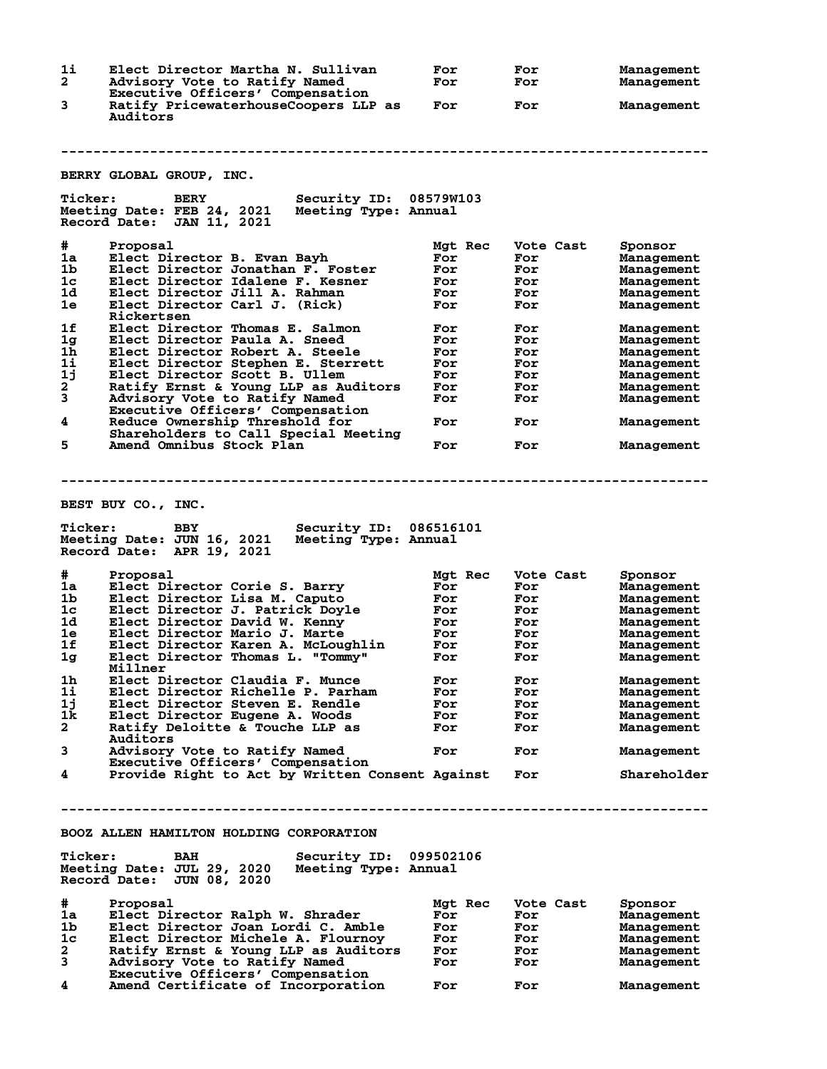**1i Elect Director Martha N. Sullivan For For Management 2 Advisory Vote to Ratify Named For For Management Executive Officers' Compensation 3 Ratify PricewaterhouseCoopers LLP as For For Management Auditors -------------------------------------------------------------------------------- BERRY GLOBAL GROUP, INC. Ticker: BERY Security ID: 08579W103 Meeting Date: FEB 24, 2021 Meeting Type: Annual Record Date: JAN 11, 2021 # Proposal Mgt Rec Vote Cast Sponsor 1a Elect Director B. Evan Bayh For For Management 1b Elect Director Jonathan F. Foster For For Management 1c Elect Director Idalene F. Kesner For For Management 1d Elect Director Jill A. Rahman For For Management 1e Elect Director Carl J. (Rick) For For Management** Rickertsen<br>1f Elect Direo **1f Elect Director Thomas E. Salmon For For Management 1g Elect Director Paula A. Sneed For For Management 1h Elect Director Robert A. Steele For For Management 1i Elect Director Stephen E. Sterrett For For Management 1j Elect Director Scott B. Ullem For For Management 2 Ratify Ernst & Young LLP as Auditors For For Management 3 Advisory Vote to Ratify Named For For Management Executive Officers' Compensation 4 Reduce Ownership Threshold for For For Management Shareholders to Call Special Meeting 5 Amend Omnibus Stock Plan For For Management -------------------------------------------------------------------------------- BEST BUY CO., INC. Ticker: BBY Security ID: 086516101 Meeting Date: JUN 16, 2021 Meeting Type: Annual Record Date: APR 19, 2021 # Proposal Mgt Rec Vote Cast Sponsor 1a Elect Director Corie S. Barry For For Management 1b Elect Director Lisa M. Caputo For For Management 1c Elect Director J. Patrick Doyle For For Management 1d Elect Director David W. Kenny For For Management 1e Elect Director Mario J. Marte For For Management 1f Elect Director Karen A. McLoughlin For For Management 1g Elect Director Thomas L. "Tommy" For For Management Millner 1h Elect Director Claudia F. Munce For For Management 1i Elect Director Richelle P. Parham For For Management 1j Elect Director Steven E. Rendle For For Management 1k Elect Director Eugene A. Woods For For Management 2 Ratify Deloitte & Touche LLP as For For Management Auditors 3 Advisory Vote to Ratify Named For For Management 2 Advisory Vote to Ratify Named<br>Executive Officers' Compensation<br>4 Provide Right to Act by Written C 4 Provide Right to Act by Written Consent Against For Shareholder -------------------------------------------------------------------------------- BOOZ ALLEN HAMILTON HOLDING CORPORATION Ticker: BAH Security ID: 099502106 Meeting Date: JUL 29, 2020 Meeting Type: Annual Record Date: JUN 08, 2020 # Proposal Mgt Rec Vote Cast Sponsor 1a Elect Director Ralph W. Shrader For For Management 1b Elect Director Joan Lordi C. Amble For For Management 1c Elect Director Michele A. Flournoy For For Management 2 Ratify Ernst & Young LLP as Auditors For For Management 3 Advisory Vote to Ratify Named For For Management Executive Officers' Compensation 4 Amend Certificate of Incorporation For For Management**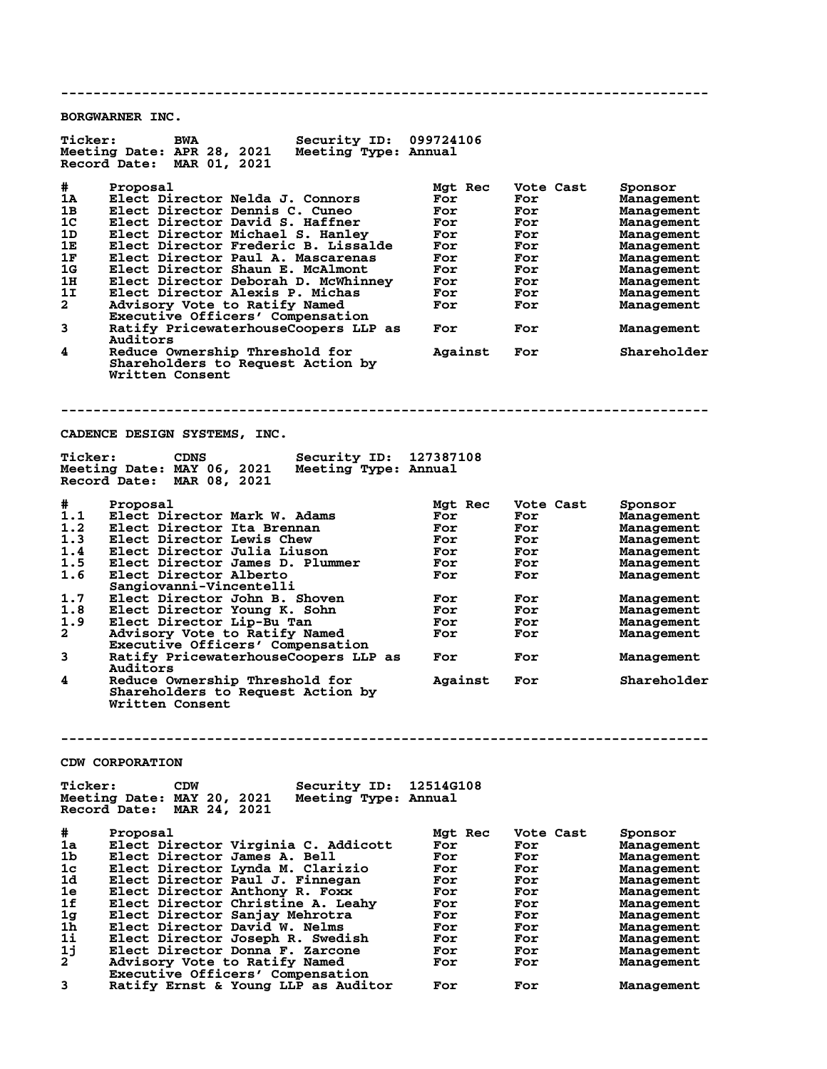**-------------------------------------------------------------------------------- BORGWARNER INC. Ticker: BWA Security ID: 099724106 Meeting Date: APR 28, 2021 Meeting Type: Annual Record Date: MAR 01, 2021 # Proposal Mgt Rec Vote Cast Sponsor 1A Elect Director Nelda J. Connors For For Management 1B Elect Director Dennis C. Cuneo For For Management 1C Elect Director David S. Haffner For For Management 1D Elect Director Michael S. Hanley For For Management** 1C Elect Director David S. Haffner<br>
1D Elect Director Michael S. Hanley For For Management<br>
1E Elect Director Frederic B. Lissalde For For Management<br>
1F Elect Director Shaun E. McAlmont For For Management<br>
1G Elect Direct **1F Elect Director Paul A. Mascarenas For For Management 1G Elect Director Shaun E. McAlmont For For Management 1H Elect Director Deborah D. McWhinney For For Management 1I Elect Director Alexis P. Michas For For Management 2 Advisory Vote to Ratify Name Reserves School of the Construction of the Management<br>2 Advisory Vote to Ratify Named For For Management<br>2 Advisory Vote to Ratify Named For For Management Executive Officers' Compensation 3 Ratify PricewaterhouseCoopers LLP as For For Management Auditors**<br>1 Reduce O **4 Reduce Ownership Threshold for Against For Shareholder Shareholders to Request Action by Written Consent -------------------------------------------------------------------------------- CADENCE DESIGN SYSTEMS, INC. Ticker: CDNS Security ID: 127387108** Meeting Date: MAY 06, 2021 **Record Date: MAR 08, 2021 # Proposal Mgt Rec Vote Cast Sponsor 1.1 Elect Director Mark W. Adams For For Management 1.2 Elect Director Ita Brennan For For Management 1.3 Elect Director Lewis Chew For For Management 1.4 Elect Director Julia Liuson For For Management 1.5 Elect Director James D. Plummer For For Management 1.6 Elect Director Alberto For For Management** 1.6 Elect Director Alberto<br>Sangiovanni-Vincentelli<br>1.7 Elect Director John B. **1.7 Elect Director John B. Shoven For For Management 1.8 Elect Director Young K. Sohn For For Management 1.9 Elect Director Lip-Bu Tan For For Management 2 Advisory Vote to Ratify Named For For Management Executive Officers' Compensation 3 Ratify PricewaterhouseCoopers LLP as For For Management Auditors**<br>4 Reduce O **4 Reduce Ownership Threshold for Against For Shareholder Shareholders to Request Action by Written Consent -------------------------------------------------------------------------------- CDW CORPORATION Ticker: CDW Security ID: 12514G108 Meeting Date: MAY 20, 2021 Meeting Type: Annual Record Date: MAR 24, 2021 # Proposal Mgt Rec Vote Cast Sponsor 1a Elect Director Virginia C. Addicott For For Management 1b Elect Director James A. Bell For For Management 1c Elect Director Lynda M. Clarizio For For Management 1d Elect Director Paul J. Finnegan For For Management 1e Elect Director Anthony R. Foxx For For Management 1f Elect Director Christine A. Leahy For For Management 1g Elect Director Sanjay Mehrotra For For Management 1h Elect Director David W. Nelms For For Management 1i Elect Director Joseph R. Swedish For For Management** 1) Health Director David W. Nelms<br>
1j Elect Director Joseph R. Swedish<br>
1j Elect Director Donna F. Zarcone<br>
2 Advisory Vote to Ranagement<br>
Prophetics Companishes and Forman Form Management<br>
Prophetics Companishes **2 Advisory Vote to Ratify Named For For Management Executive Officers' Compensation 3 Ratify Ernst & Young LLP as Auditor For For Management**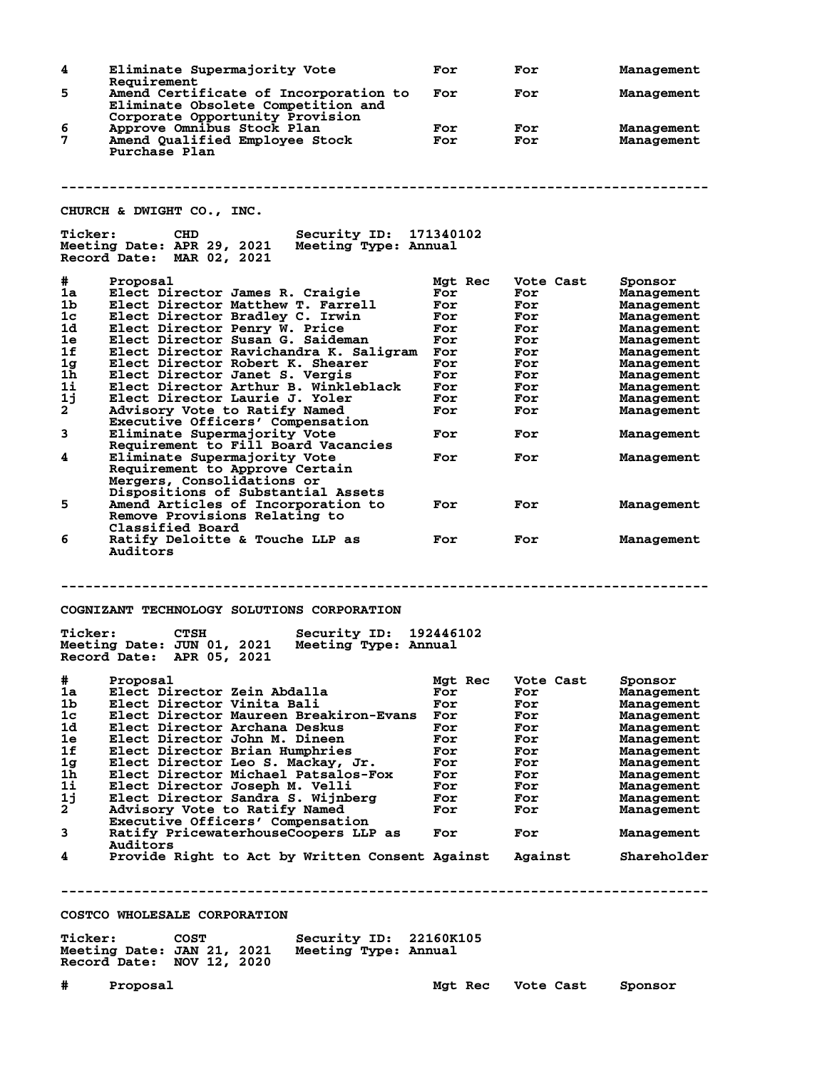| 4              | Eliminate Supermajority Vote                                                                                            | For        | For        | Management               |
|----------------|-------------------------------------------------------------------------------------------------------------------------|------------|------------|--------------------------|
| 5              | Requirement<br>Amend Certificate of Incorporation to                                                                    | For        | For        | Management               |
|                | Eliminate Obsolete Competition and<br>Corporate Opportunity Provision                                                   |            |            |                          |
| 6<br>7         | Approve Omnibus Stock Plan<br>Amend Qualified Employee Stock                                                            | For<br>For | For<br>For | Management<br>Management |
|                | Purchase Plan                                                                                                           |            |            |                          |
|                |                                                                                                                         |            |            |                          |
|                |                                                                                                                         |            |            |                          |
|                | CHURCH & DWIGHT CO., INC.                                                                                               |            |            |                          |
| <b>Ticker:</b> | Security ID: 171340102<br><b>CHD</b><br>Meeting Date: APR 29, 2021<br>Meeting Type: Annual<br>Record Date: MAR 02, 2021 |            |            |                          |
| #              | Proposal                                                                                                                | Mgt Rec    | Vote Cast  | Sponsor                  |
| 1a             | Elect Director James R. Craigie                                                                                         | For        | For        | Management               |
| 1 <sub>b</sub> | Elect Director Matthew T. Farrell                                                                                       | For        | For        | Management               |
| 1c             | Elect Director Bradley C. Irwin                                                                                         | For        | For        | Management               |
| 1d             | Elect Director Penry W. Price                                                                                           | For        | For        | Management               |
| 1e             | Elect Director Susan G. Saideman                                                                                        | For        | For        | Management               |
| 1f             | Elect Director Ravichandra K. Saligram                                                                                  | For        | For        | Management               |
| 1 <sub>g</sub> | Elect Director Robert K. Shearer                                                                                        | For        | For        | Management               |
| 1 <sub>h</sub> | Elect Director Janet S. Vergis                                                                                          | For        | For        | Management               |
| $1\mathbf{i}$  | Elect Director Arthur B. Winkleblack                                                                                    | For        | For        | Management               |
| 1j             | Elect Director Laurie J. Yoler                                                                                          | For        | For        | Management               |
| $\mathbf{2}$   | Advisory Vote to Ratify Named                                                                                           | For        | For        | Management               |
|                | Executive Officers' Compensation                                                                                        |            |            |                          |
| 3              | Eliminate Supermajority Vote<br>Requirement to Fill Board Vacancies                                                     | For        | For        | Management               |
| 4              | Eliminate Supermajority Vote                                                                                            | For        | For        | Management               |
|                | Requirement to Approve Certain                                                                                          |            |            |                          |
|                | Mergers, Consolidations or                                                                                              |            |            |                          |
|                |                                                                                                                         |            |            |                          |
|                | Dispositions of Substantial Assets                                                                                      |            |            |                          |
| 5              | Amend Articles of Incorporation to<br>Remove Provisions Relating to                                                     | For        | For        | Management               |
|                | Classified Board                                                                                                        |            |            |                          |
| 6              | Ratify Deloitte & Touche LLP as                                                                                         |            | For        | Management               |
|                |                                                                                                                         |            |            |                          |
|                | Auditors                                                                                                                | For        |            |                          |
|                |                                                                                                                         |            |            |                          |
|                |                                                                                                                         |            |            |                          |
|                | COGNIZANT TECHNOLOGY SOLUTIONS CORPORATION                                                                              |            |            |                          |
|                |                                                                                                                         |            |            |                          |
| <b>Ticker:</b> | Security ID:<br><b>CTSH</b>                                                                                             | 192446102  |            |                          |
|                | Meeting Date: JUN 01, 2021<br>Meeting Type: Annual<br>Record Date:                                                      |            |            |                          |
|                | APR 05, 2021                                                                                                            |            |            |                          |
| #              | Proposal                                                                                                                | Mgt Rec    | Vote Cast  | Sponsor                  |
| 1a             | Elect Director Zein Abdalla                                                                                             | For        | For        | Management               |
| 1b             | Elect Director Vinita Bali                                                                                              | For        | For        | Management               |
| 1 <sub>c</sub> | Elect Director Maureen Breakiron-Evans                                                                                  | For        | For        | Management               |
| 1d             | Elect Director Archana Deskus                                                                                           | For        | For        | Management               |
| 1e             | Elect Director John M. Dineen                                                                                           | For        | For        | Management               |
| 1f             | Elect Director Brian Humphries                                                                                          | For        | For        | Management               |
| 1 <sub>g</sub> | Elect Director Leo S. Mackay, Jr.                                                                                       | For        | For        | Management               |
| 1h.            | Elect Director Michael Patsalos-Fox                                                                                     | For        | For        |                          |
| 1i             |                                                                                                                         | For        | For        | Management               |
|                | Elect Director Joseph M. Velli                                                                                          |            |            | Management               |
| 1j             | Elect Director Sandra S. Wijnberg                                                                                       | For        | For        | Management               |
| $\mathbf{2}$   | Advisory Vote to Ratify Named                                                                                           | For        | For        | Management               |
|                | Executive Officers' Compensation                                                                                        | For        |            |                          |
| 3              | Ratify PricewaterhouseCoopers LLP as<br>Auditors                                                                        |            | For        | Management               |
| 4              | Provide Right to Act by Written Consent Against                                                                         |            | Against    | Shareholder              |
|                |                                                                                                                         |            |            |                          |
|                |                                                                                                                         |            |            |                          |
|                | COSTCO WHOLESALE CORPORATION                                                                                            |            |            |                          |
|                |                                                                                                                         |            |            |                          |
| <b>Ticker:</b> | Security ID: 22160K105<br><b>COST</b>                                                                                   |            |            |                          |
|                | Meeting Date: JAN 21, 2021<br>Meeting Type: Annual                                                                      |            |            |                          |
|                | Record Date: NOV 12, 2020                                                                                               |            |            |                          |
|                |                                                                                                                         |            |            |                          |
| #              | Proposal                                                                                                                | Mgt Rec    | Vote Cast  | Sponsor                  |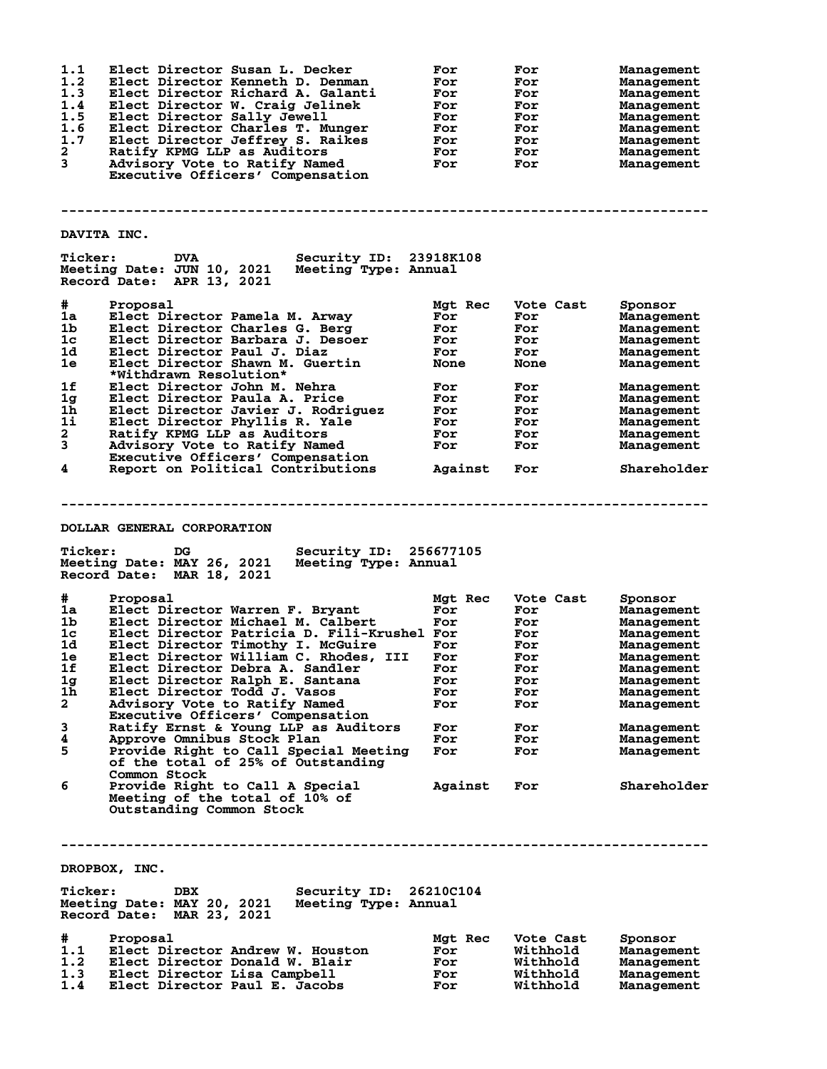| 1.1<br>1.2<br>1.3<br>1.4<br>1.5<br>1.6<br>1.7<br>2<br>3                                                                                                                                                        | Elect Director Susan L. Decker<br>Elect Director Kenneth D. Denman<br>Elect Director Richard A. Galanti<br>Elect Director W. Craig Jelinek<br>Elect Director Sally Jewell<br>Elect Director Charles T. Munger<br>Elect Director Jeffrey S. Raikes<br>Ratify KPMG LLP as Auditors<br>Advisory Vote to Ratify Named<br>Executive Officers' Compensation                                                                                                                                                                                                                                            | For<br>For<br>For<br>For<br>For<br>For<br>For<br>For<br>For                                             | For<br>For<br>For<br>For<br>For<br>For<br>For<br>For<br>For                                          | <b>Management</b><br>Management<br>Management<br>Management<br>Management<br>Management<br>Management<br>Management<br>Management                                                                            |  |
|----------------------------------------------------------------------------------------------------------------------------------------------------------------------------------------------------------------|--------------------------------------------------------------------------------------------------------------------------------------------------------------------------------------------------------------------------------------------------------------------------------------------------------------------------------------------------------------------------------------------------------------------------------------------------------------------------------------------------------------------------------------------------------------------------------------------------|---------------------------------------------------------------------------------------------------------|------------------------------------------------------------------------------------------------------|--------------------------------------------------------------------------------------------------------------------------------------------------------------------------------------------------------------|--|
| DAVITA INC.                                                                                                                                                                                                    |                                                                                                                                                                                                                                                                                                                                                                                                                                                                                                                                                                                                  |                                                                                                         |                                                                                                      |                                                                                                                                                                                                              |  |
| <b>Ticker:</b>                                                                                                                                                                                                 | <b>Security ID:</b><br><b>DVA</b><br>Meeting Date: JUN 10, 2021<br>Meeting Type: Annual<br>Record Date: APR 13, 2021                                                                                                                                                                                                                                                                                                                                                                                                                                                                             | 23918K108                                                                                               |                                                                                                      |                                                                                                                                                                                                              |  |
| #<br>1a<br>1b<br>1c<br>1d<br>1e<br>1f<br>1 <sub>g</sub><br>1 <sub>h</sub><br>1i<br>$\mathbf{2}$<br>$\mathbf{3}$<br>4                                                                                           | Proposal<br>Elect Director Pamela M. Arway<br>Elect Director Charles G. Berg<br>Elect Director Barbara J. Desoer<br>Elect Director Paul J. Diaz<br>Elect Director Shawn M. Guertin<br>*Withdrawn Resolution*<br>Elect Director John M. Nehra<br>Elect Director Paula A. Price<br>Elect Director Javier J. Rodriguez<br>Elect Director Phyllis R. Yale<br>Ratify KPMG LLP as Auditors<br>Advisory Vote to Ratify Named<br>Executive Officers' Compensation<br>Report on Political Contributions                                                                                                   | Mgt Rec<br>For<br>For<br>For<br>For<br><b>None</b><br>For<br>For<br>For<br>For<br>For<br>For<br>Against | Vote Cast<br>For<br>For<br>For<br>For<br>None<br>For<br>For<br>For<br>For<br>For<br>For<br>For       | Sponsor<br><b>Management</b><br>Management<br>Management<br>Management<br>Management<br>Management<br>Management<br>Management<br>Management<br>Management<br>Management<br>Shareholder                      |  |
| <b>Ticker:</b>                                                                                                                                                                                                 | DOLLAR GENERAL CORPORATION<br>DG<br>Security ID:<br>Meeting Date: MAY 26, 2021<br>Meeting Type: Annual<br>Record Date: MAR 18, 2021                                                                                                                                                                                                                                                                                                                                                                                                                                                              | 256677105                                                                                               |                                                                                                      |                                                                                                                                                                                                              |  |
| #<br>1a<br>1 <sub>b</sub><br>1 <sub>c</sub><br>1d<br>1e<br>1f<br>1 <sub>g</sub><br>1 <sub>h</sub><br>$\mathbf{2}$<br>3<br>4<br>5<br>6                                                                          | Proposal<br>Elect Director Warren F. Bryant<br>Elect Director Michael M. Calbert<br>Elect Director Patricia D. Fili-Krushel For<br>Elect Director Timothy I. McGuire<br>Elect Director William C. Rhodes, III<br>Elect Director Debra A. Sandler<br>Elect Director Ralph E. Santana<br>Elect Director Todd J. Vasos<br>Advisory Vote to Ratify Named<br>Executive Officers' Compensation<br>Ratify Ernst & Young LLP as Auditors<br>Approve Omnibus Stock Plan<br>Provide Right to Call Special Meeting<br>of the total of 25% of Outstanding<br>Common Stock<br>Provide Right to Call A Special | Mgt Rec<br>For<br>For<br>For<br>For<br>For<br>For<br>For<br>For<br>For<br>For<br>For<br>Against         | Vote Cast<br>For<br>For<br>For<br>For<br>For<br>For<br>For<br>For<br>For<br>For<br>For<br>For<br>For | Sponsor<br>Management<br>Management<br>Management<br><b>Management</b><br><b>Management</b><br>Management<br>Management<br>Management<br>Management<br>Management<br>Management<br>Management<br>Shareholder |  |
| Meeting of the total of 10% of<br>Outstanding Common Stock<br>DROPBOX, INC.<br>Security ID: 26210C104<br><b>Ticker:</b><br>DBX<br>Meeting Date: MAY 20, 2021 Meeting Type: Annual<br>Record Date: MAR 23, 2021 |                                                                                                                                                                                                                                                                                                                                                                                                                                                                                                                                                                                                  |                                                                                                         |                                                                                                      |                                                                                                                                                                                                              |  |
| #<br>1.1<br>1.2<br>1.3<br>1.4                                                                                                                                                                                  | Proposal<br>Elect Director Andrew W. Houston<br>Elect Director Donald W. Blair<br>Elect Director Lisa Campbell<br>Elect Director Paul E. Jacobs                                                                                                                                                                                                                                                                                                                                                                                                                                                  | Mgt Rec<br>For<br>For<br>For<br>For                                                                     | Vote Cast<br>Withhold<br>Withhold<br>Withhold<br>Withhold                                            | Sponsor<br>Management<br>Management<br>Management<br>Management                                                                                                                                              |  |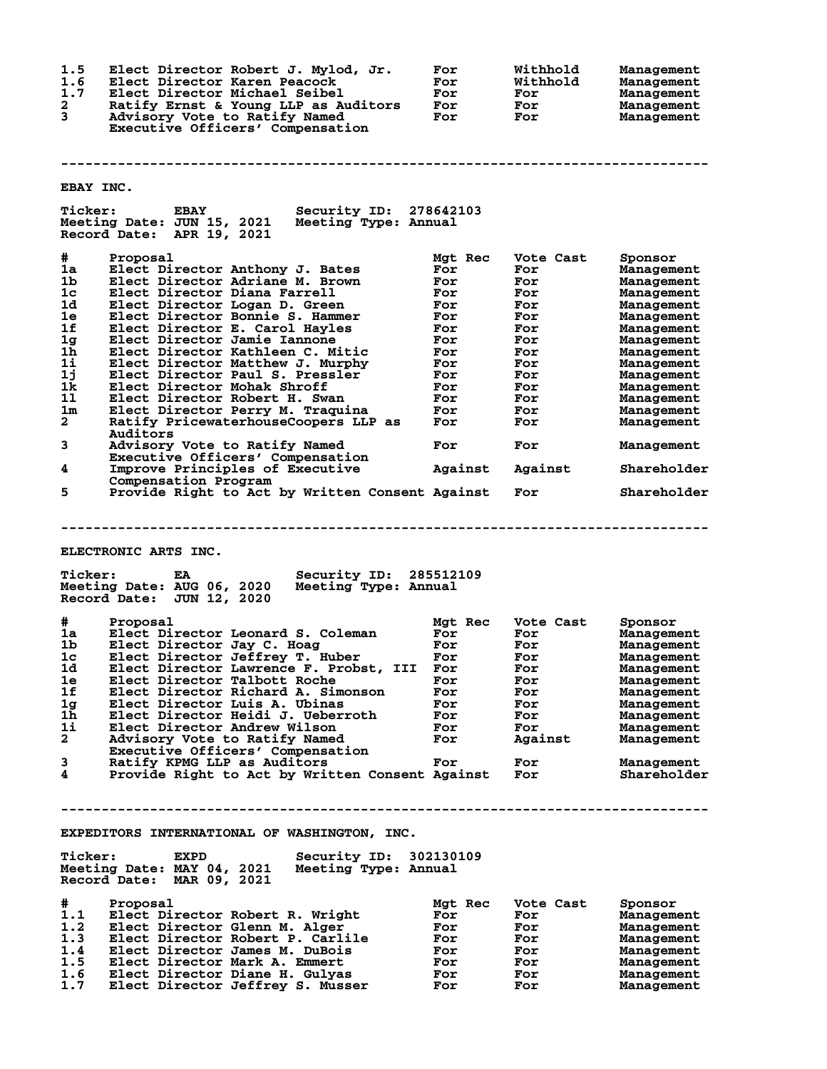**1.5 Elect Director Robert J. Mylod, Jr. For Withhold Management 1.6 Elect Director Karen Peacock For Withhold Management 1.7 Elect Director Michael Seibel For For Management 2 Ratify Ernst & Young LLP as Auditors For For Management 3 Advisory Vote to Ratify Named For For Management Executive Officers' Compensation -------------------------------------------------------------------------------- EBAY INC. Ticker: EBAY Security ID: 278642103 Meeting Date: JUN 15, 2021 Meeting Type: Annual Record Date: APR 19, 2021 # Proposal Mgt Rec Vote Cast Sponsor 1a Elect Director Anthony J. Bates For For Management 1b Elect Director Adriane M. Brown For For Management 1c Elect Director Diana Farrell For For Management 1d Elect Director Logan D. Green For For Management 1e Elect Director Bonnie S. Hammer For For Management 1f Elect Director E. Carol Hayles For For Management 1g Elect Director Jamie Iannone For For Management 1h Elect Director Kathleen C. Mitic For For Management 1i Elect Director Matthew J. Murphy For For Management 1j Elect Director Paul S. Pressler For For Management 1k Elect Director Mohak Shroff For For Management 1l Elect Director Robert H. Swan For For Management 1m Elect Director Perry M. Traquina For For Management 2 Ratify PricewaterhouseCoopers LLP as For For Management Auditors 3 Advisory Vote to Ratify Named For For Management Executive Officers' Compensation 4 Improve Principles of Executive Against Against Shareholder Compensation Program**<br>5 Provide Right to Act **5 Provide Right to Act by Written Consent Against For Shareholder -------------------------------------------------------------------------------- ELECTRONIC ARTS INC. Ticker: EA Security ID: 285512109 Meeting Date: AUG 06, 2020 Meeting Type: Annual Record Date: JUN 12, 2020 # Proposal Mgt Rec Vote Cast Sponsor 1a Elect Director Leonard S. Coleman For For Management 1b Elect Director Jay C. Hoag For For Management 1c Elect Director Jeffrey T. Huber For For Management 1d Elect Director Lawrence F. Probst, III For For Management 1e Elect Director Talbott Roche For For Management 1f Elect Director Richard A. Simonson For For Management 1g Elect Director Luis A. Ubinas For For Management 1h Elect Director Heidi J. Ueberroth For For Management 1i Elect Director Andrew Wilson For For Management 2 Advisory Vote to Ratify Named For Against Management Executive Officers' Compensation 3 Ratify KPMG LLP as Auditors For For Management 4 Provide Right to Act by Written Consent Against For Shareholder -------------------------------------------------------------------------------- EXPEDITORS INTERNATIONAL OF WASHINGTON, INC. Ticker: EXPD Security ID: 302130109 Meeting Date: MAY 04, 2021 Meeting Type: Annual Record Date: MAR 09, 2021 # Proposal Mgt Rec Vote Cast Sponsor 1.1 Elect Director Robert R. Wright For For Management 1.2 Elect Director Glenn M. Alger For For Management 1.3 Elect Director Robert P. Carlile For For Management 1.4 Elect Director James M. DuBois For For Management 1.5 Elect Director Mark A. Emmert For For Management 1.6 Elect Director Diane H. Gulyas For For Management 1.7 Elect Director Jeffrey S. Musser For For Management**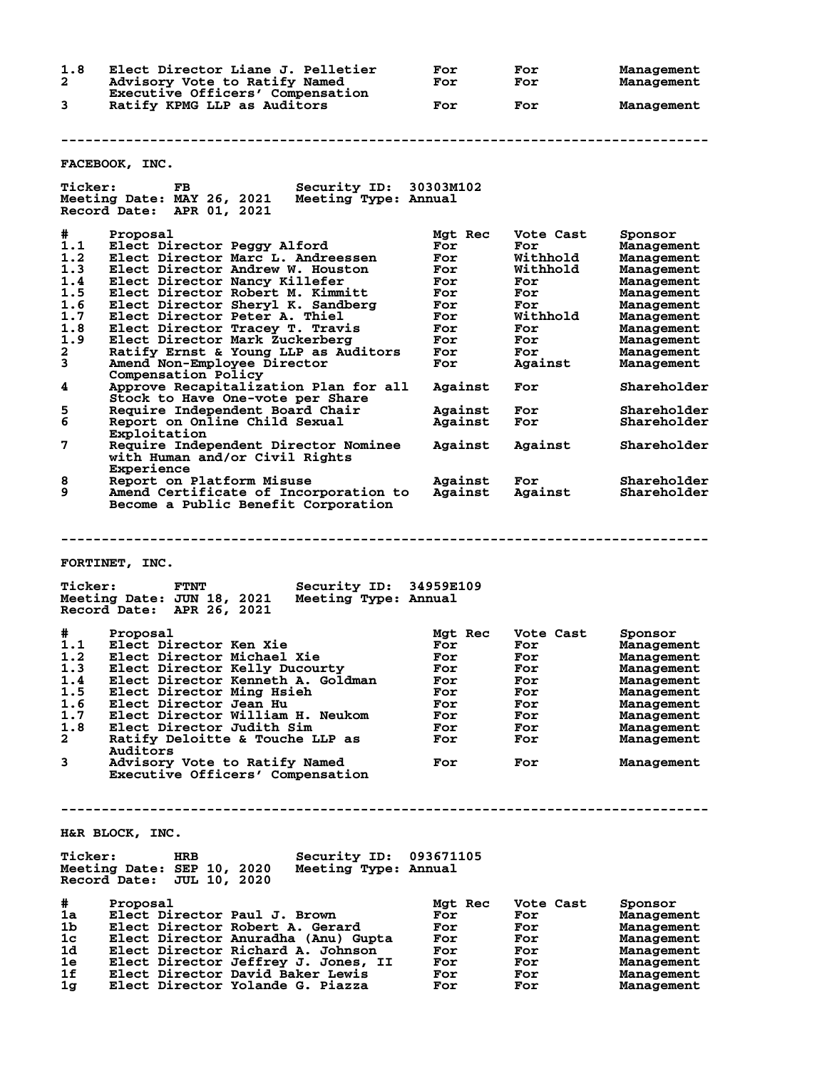| 1.8 | Elect Director Liane J. Pelletier | For | For | Management |
|-----|-----------------------------------|-----|-----|------------|
|     | Advisory Vote to Ratify Named     | For | For | Management |
|     | Executive Officers' Compensation  |     |     |            |
|     | Ratify KPMG LLP as Auditors       | For | For | Management |

**FACEBOOK, INC.**

| <b>Ticker:</b>                        | FB<br><b>Security ID:</b><br>Meeting Date: MAY 26, 2021<br>Meeting Type: Annual<br>Record Date: APR 01, 2021                                                                                                                       | 30303M102                                         |                                                     |                                                                                                    |
|---------------------------------------|------------------------------------------------------------------------------------------------------------------------------------------------------------------------------------------------------------------------------------|---------------------------------------------------|-----------------------------------------------------|----------------------------------------------------------------------------------------------------|
| #<br>1.1<br>1.2<br>1.3<br>1.4         | Proposal<br>Elect Director Peggy Alford<br>Elect Director Marc L. Andreessen<br>Elect Director Andrew W. Houston<br>Elect Director Nancy Killefer                                                                                  | Mgt Rec<br>For<br>For<br>For<br>For               | Vote Cast<br>For<br>Withhold<br>Withhold<br>For     | Sponsor<br>Management<br>Management<br><b>Management</b><br><b>Management</b>                      |
| 1.5                                   | Elect Director Robert M. Kimmitt                                                                                                                                                                                                   | For                                               | For                                                 | <b>Management</b>                                                                                  |
| 1.6<br>1.7                            | Elect Director Sheryl K. Sandberg<br>Elect Director Peter A. Thiel                                                                                                                                                                 | For<br>For                                        | For<br>Withhold                                     | <b>Management</b><br><b>Management</b>                                                             |
| 1.8                                   | Elect Director Tracey T. Travis                                                                                                                                                                                                    | For                                               | For                                                 | Management                                                                                         |
| 1.9                                   | Elect Director Mark Zuckerberg                                                                                                                                                                                                     | For                                               | For                                                 | Management                                                                                         |
| $\mathbf{2}$<br>3                     | Ratify Ernst & Young LLP as Auditors<br>Amend Non-Employee Director                                                                                                                                                                | For<br>For                                        | For<br>Against                                      | Management<br>Management                                                                           |
| 4                                     | Compensation Policy<br>Approve Recapitalization Plan for all<br>Stock to Have One-vote per Share                                                                                                                                   | Against                                           | For                                                 | Shareholder                                                                                        |
| 5                                     | Require Independent Board Chair                                                                                                                                                                                                    | Against                                           | For                                                 | Shareholder                                                                                        |
| 6                                     | Report on Online Child Sexual<br>Exploitation                                                                                                                                                                                      | Against                                           | For                                                 | Shareholder                                                                                        |
| 7                                     | Require Independent Director Nominee<br>with Human and/or Civil Rights<br>Experience                                                                                                                                               | Against                                           | Against                                             | Shareholder                                                                                        |
| 8                                     | Report on Platform Misuse                                                                                                                                                                                                          | Against                                           | For                                                 | Shareholder                                                                                        |
| 9                                     | Amend Certificate of Incorporation to<br>Become a Public Benefit Corporation                                                                                                                                                       | Against                                           | Against                                             | Shareholder                                                                                        |
| <b>Ticker:</b>                        | FORTINET, INC.<br><b>FTNT</b><br>Security ID: 34959E109<br>Meeting Date: JUN 18, 2021<br>Meeting Type: Annual                                                                                                                      |                                                   |                                                     |                                                                                                    |
| #.                                    | Record Date: APR 26, 2021<br>Proposal                                                                                                                                                                                              |                                                   | Vote Cast                                           |                                                                                                    |
| 1.1                                   | Elect Director Ken Xie                                                                                                                                                                                                             | Mgt Rec<br>For                                    | For                                                 | Sponsor<br>Management                                                                              |
| 1.2                                   | Elect Director Michael Xie                                                                                                                                                                                                         | For                                               | For                                                 | Management                                                                                         |
| 1.3                                   | Elect Director Kelly Ducourty                                                                                                                                                                                                      | For                                               | For                                                 | <b>Management</b>                                                                                  |
| 1.4                                   | Elect Director Kenneth A. Goldman                                                                                                                                                                                                  | For                                               | For                                                 | <b>Management</b>                                                                                  |
| 1.5                                   | Elect Director Ming Hsieh                                                                                                                                                                                                          | For                                               | For                                                 | <b>Management</b>                                                                                  |
| 1.6<br>1.7                            | Elect Director Jean Hu<br>Elect Director William H. Neukom                                                                                                                                                                         | For<br>For                                        | For<br>For                                          | Management<br><b>Management</b>                                                                    |
| 1.8                                   | Elect Director Judith Sim                                                                                                                                                                                                          | For                                               | For                                                 | Management                                                                                         |
| $\mathbf{2}$                          | Ratify Deloitte & Touche LLP as                                                                                                                                                                                                    | For                                               | For                                                 | Management                                                                                         |
|                                       | Auditors                                                                                                                                                                                                                           |                                                   |                                                     |                                                                                                    |
| 3                                     | Advisory Vote to Ratify Named<br>Executive Officers' Compensation                                                                                                                                                                  | For                                               | For                                                 | Management                                                                                         |
|                                       |                                                                                                                                                                                                                                    |                                                   |                                                     |                                                                                                    |
|                                       | H&R BLOCK, INC.                                                                                                                                                                                                                    |                                                   |                                                     |                                                                                                    |
| <b>Ticker:</b>                        | <b>HRB</b><br>Security ID:<br>Meeting Date: SEP 10, 2020<br>Meeting Type: Annual<br>Record Date:<br><b>JUL 10, 2020</b>                                                                                                            | 093671105                                         |                                                     |                                                                                                    |
| #<br>1a<br>1b<br>1c<br>1d<br>1e<br>1f | Proposal<br>Elect Director Paul J. Brown<br>Elect Director Robert A. Gerard<br>Elect Director Anuradha (Anu) Gupta<br>Elect Director Richard A. Johnson<br>Elect Director Jeffrey J. Jones, II<br>Elect Director David Baker Lewis | Mgt Rec<br>For<br>For<br>For<br>For<br>For<br>For | Vote Cast<br>For<br>For<br>For<br>For<br>For<br>For | Sponsor<br><b>Management</b><br>Management<br>Management<br>Management<br>Management<br>Management |
| 1g                                    | Elect Director Yolande G. Piazza                                                                                                                                                                                                   | For                                               | For                                                 | Management                                                                                         |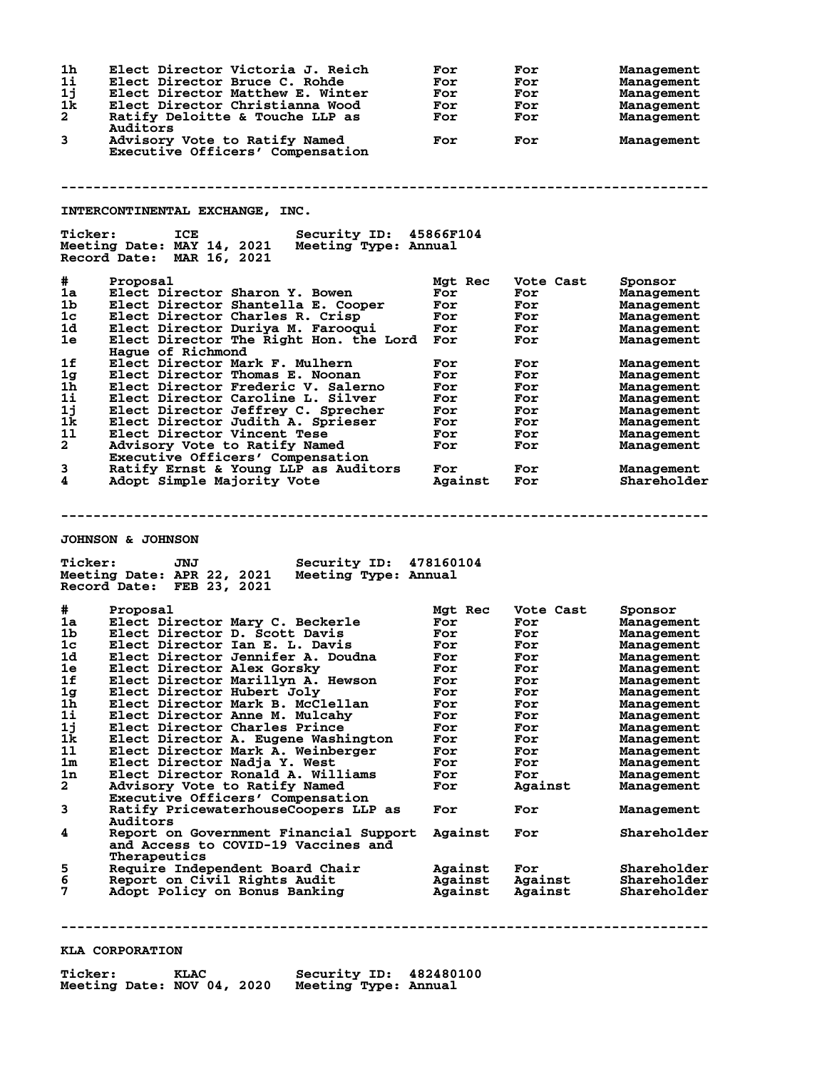| 1h<br>11<br>1j<br>1k<br>$\mathbf{2}$ | Elect Director Victoria J. Reich<br>Elect Director Bruce C. Rohde<br>Elect Director Matthew E. Winter<br>Elect Director Christianna Wood<br>Ratify Deloitte & Touche LLP as<br>Auditors | For<br>For<br>For<br>For<br>For | For<br>For<br>For<br>For<br>For | Management<br>Management<br>Management<br>Management<br>Management |
|--------------------------------------|-----------------------------------------------------------------------------------------------------------------------------------------------------------------------------------------|---------------------------------|---------------------------------|--------------------------------------------------------------------|
| 3                                    | Advisory Vote to Ratify Named<br>Executive Officers' Compensation                                                                                                                       | For                             | For                             | Management                                                         |
|                                      |                                                                                                                                                                                         |                                 |                                 |                                                                    |
|                                      | INTERCONTINENTAL EXCHANGE, INC.                                                                                                                                                         |                                 |                                 |                                                                    |
| <b>Ticker:</b>                       | ICE<br>Security ID: 45866F104<br>Meeting Date: MAY 14, 2021<br>Meeting Type: Annual<br>Record Date: MAR 16, 2021                                                                        |                                 |                                 |                                                                    |
| #                                    | Proposal                                                                                                                                                                                | Mgt Rec                         | Vote Cast                       | Sponsor                                                            |
| 1a                                   | Elect Director Sharon Y. Bowen                                                                                                                                                          | For                             | For                             | Management                                                         |
| 1 <sub>b</sub>                       | Elect Director Shantella E. Cooper                                                                                                                                                      | For                             | For                             | Management                                                         |
| 1 <sub>c</sub>                       | Elect Director Charles R. Crisp                                                                                                                                                         | For                             | For                             | Management                                                         |
| 1d.                                  | Elect Director Duriya M. Farooqui                                                                                                                                                       | For                             | For                             | Management                                                         |
| 1e                                   | Elect Director The Right Hon. the Lord For                                                                                                                                              |                                 | For                             | Management                                                         |
|                                      | Hague of Richmond                                                                                                                                                                       |                                 |                                 |                                                                    |
| 1f                                   | Elect Director Mark F. Mulhern                                                                                                                                                          | For                             | For                             | Management                                                         |
| 1 <sub>g</sub>                       | Elect Director Thomas E. Noonan                                                                                                                                                         | For                             | For                             | Management                                                         |
| 1h                                   | Elect Director Frederic V. Salerno                                                                                                                                                      | For                             | For                             | Management                                                         |
| 1i                                   | Elect Director Caroline L. Silver                                                                                                                                                       | For                             | For                             | Management                                                         |
| 1j<br>1k                             | Elect Director Jeffrey C. Sprecher                                                                                                                                                      | For                             | For                             | Management                                                         |
| 11                                   | Elect Director Judith A. Sprieser<br>Elect Director Vincent Tese                                                                                                                        | For<br>For                      | For<br>For                      | Management                                                         |
| $\mathbf{2}$                         | Advisory Vote to Ratify Named                                                                                                                                                           | For                             | For                             | Management                                                         |
|                                      | Executive Officers' Compensation                                                                                                                                                        |                                 |                                 | Management                                                         |
| 3                                    | Ratify Ernst & Young LLP as Auditors                                                                                                                                                    | For                             | <b>For</b>                      |                                                                    |
| 4                                    | Adopt Simple Majority Vote                                                                                                                                                              | Against                         | For                             | Management<br>Shareholder                                          |
|                                      | <b>JOHNSON &amp; JOHNSON</b>                                                                                                                                                            |                                 |                                 |                                                                    |
| <b>Ticker:</b>                       | <b>Security ID: 478160104</b><br>JNJ<br>Meeting Date: APR 22, 2021<br>Meeting Type: Annual<br>Record Date: FEB 23, 2021                                                                 |                                 |                                 |                                                                    |
| #                                    | Proposal                                                                                                                                                                                | Mgt Rec                         | Vote Cast                       | Sponsor                                                            |
| 1a                                   | Elect Director Mary C. Beckerle                                                                                                                                                         | For                             | For                             | Management                                                         |
| 1b                                   | Elect Director D. Scott Davis                                                                                                                                                           | For                             | For                             | Management                                                         |
| 1 <sub>c</sub>                       | Elect Director Ian E. L. Davis                                                                                                                                                          | For                             | For                             | Management                                                         |
| 1d                                   | Elect Director Jennifer A. Doudna                                                                                                                                                       | For                             | For                             | Management                                                         |
| 1e                                   | Elect Director Alex Gorsky                                                                                                                                                              | For                             | For                             | Management                                                         |
| 1f                                   | Elect Director Marillyn A. Hewson                                                                                                                                                       | For                             | For                             | Management                                                         |
| 1g                                   | Elect Director Hubert Joly                                                                                                                                                              | For                             | For                             | Management                                                         |
| 1 <sub>h</sub>                       | Elect Director Mark B. McClellan                                                                                                                                                        | For                             | For                             | Management                                                         |
| 1i                                   | Elect Director Anne M. Mulcahy                                                                                                                                                          | For                             | For                             | Management                                                         |
| 1j                                   | Elect Director Charles Prince                                                                                                                                                           | For                             | For                             | Management                                                         |
| 1k<br>11                             | Elect Director A. Eugene Washington                                                                                                                                                     | For                             | For                             | Management                                                         |
|                                      | Elect Director Mark A. Weinberger                                                                                                                                                       | For                             | For                             | Management                                                         |
| 1 <sub>m</sub>                       | Elect Director Nadja Y. West                                                                                                                                                            | For                             | For                             | Management                                                         |
| 1n<br>2                              | Elect Director Ronald A. Williams<br>Advisory Vote to Ratify Named                                                                                                                      | For<br>For                      | For<br>Against                  | Management                                                         |
|                                      | Executive Officers' Compensation                                                                                                                                                        |                                 |                                 | Management                                                         |
| 3                                    | Ratify PricewaterhouseCoopers LLP as                                                                                                                                                    | For                             | For                             | Management                                                         |
|                                      | Auditors                                                                                                                                                                                |                                 |                                 |                                                                    |
| 4                                    | Report on Government Financial Support<br>and Access to COVID-19 Vaccines and<br>Therapeutics                                                                                           | Against                         | For                             | Shareholder                                                        |
| 5                                    | Require Independent Board Chair                                                                                                                                                         | Against                         | For                             | Shareholder                                                        |
| 6                                    | Report on Civil Rights Audit                                                                                                                                                            | Against                         | Against                         | Shareholder                                                        |
| 7                                    | Adopt Policy on Bonus Banking                                                                                                                                                           | Against                         | Against                         | Shareholder                                                        |

## **KLA CORPORATION**

| <b>Ticker:</b>             | KLAC |  | Security ID: 482480100 |  |
|----------------------------|------|--|------------------------|--|
| Meeting Date: NOV 04, 2020 |      |  | Meeting Type: Annual   |  |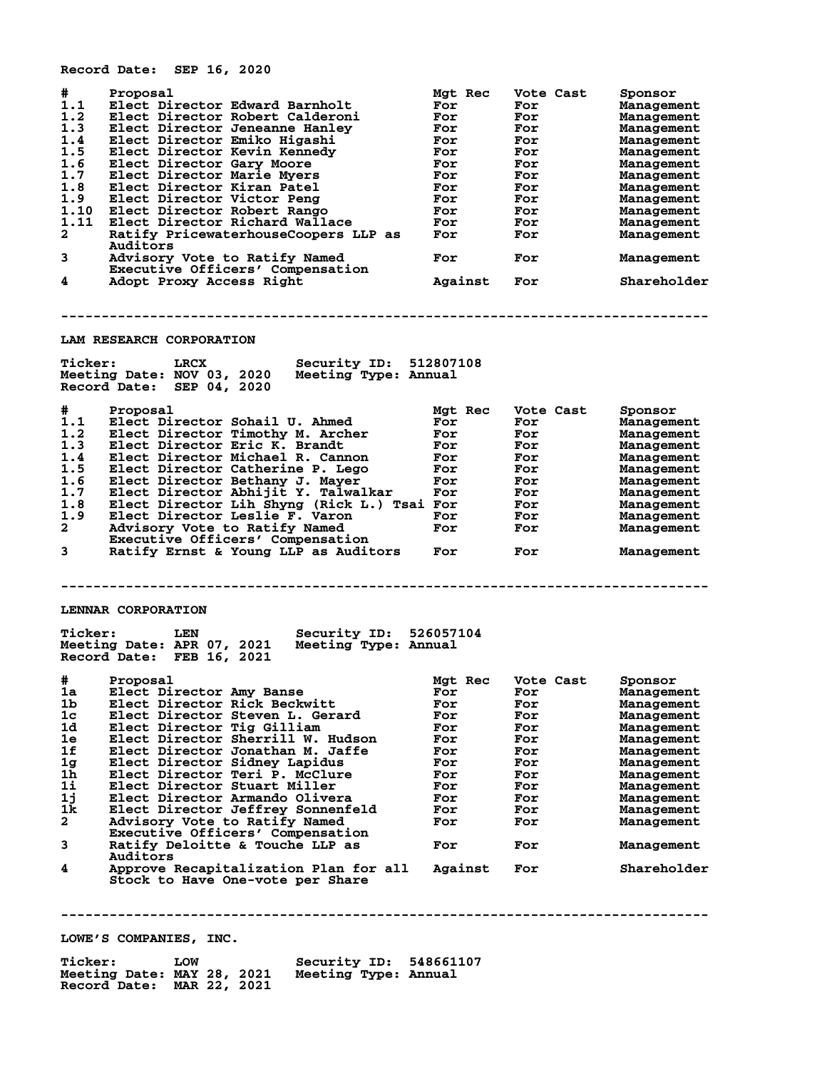**Record Date: SEP 16, 2020**

| #            | Proposal                                                          | Mgt Rec | Vote Cast | Sponsor     |
|--------------|-------------------------------------------------------------------|---------|-----------|-------------|
| 1.1          | Elect Director Edward Barnholt                                    | For     | For       | Management  |
| 1.2          | Elect Director Robert Calderoni                                   | For     | For       | Management  |
| 1.3          | Elect Director Jeneanne Hanley                                    | For     | For       | Management  |
| 1.4          | Elect Director Emiko Higashi                                      | For     | For       | Management  |
| 1.5          | Elect Director Kevin Kennedy                                      | For     | For       | Management  |
| 1.6          | Elect Director Gary Moore                                         | For     | For       | Management  |
| 1.7          | Elect Director Marie Myers                                        | For     | For       | Management  |
| 1.8          | Elect Director Kiran Patel                                        | For     | For       | Management  |
| 1.9          | Elect Director Victor Peng                                        | For     | For       | Management  |
| 1.10         | Elect Director Robert Rango                                       | For     | For       | Management  |
| 1.11         | Elect Director Richard Wallace                                    | For     | For       | Management  |
| $\mathbf{2}$ | Ratify PricewaterhouseCoopers LLP as<br>Auditors                  | For     | For       | Management  |
| 3            | Advisory Vote to Ratify Named<br>Executive Officers' Compensation | For     | For       | Management  |
| 4            | Adopt Proxy Access Right                                          | Against | For       | Shareholder |

**--------------------------------------------------------------------------------**

**LAM RESEARCH CORPORATION**

| <b>Ticker:</b>                                                                        | Security ID:<br>LRCX                                                                                                                                                                                                                                                                                                                                                                                                    | 512807108                                                              |                                                                                 |                                                                                                                                                     |  |  |
|---------------------------------------------------------------------------------------|-------------------------------------------------------------------------------------------------------------------------------------------------------------------------------------------------------------------------------------------------------------------------------------------------------------------------------------------------------------------------------------------------------------------------|------------------------------------------------------------------------|---------------------------------------------------------------------------------|-----------------------------------------------------------------------------------------------------------------------------------------------------|--|--|
|                                                                                       | Meeting Type: Annual<br>Meeting Date: NOV 03, 2020<br>Record Date:<br>SEP 04, 2020                                                                                                                                                                                                                                                                                                                                      |                                                                        |                                                                                 |                                                                                                                                                     |  |  |
| #<br>1.1<br>1.2<br>1.3<br>1.4<br>1.5<br>1.6<br>1.7<br>1.8<br>1.9<br>$\mathbf{2}$<br>3 | Proposal<br>Elect Director Sohail U. Ahmed<br>Elect Director Timothy M. Archer<br>Elect Director Eric K. Brandt<br>Elect Director Michael R. Cannon<br>Elect Director Catherine P. Lego<br>Elect Director Bethany J. Mayer<br>Elect Director Abhijit Y. Talwalkar<br>Elect Director Lih Shyng (Rick L.) Tsai For<br>Elect Director Leslie F. Varon<br>Advisory Vote to Ratify Named<br>Executive Officers' Compensation | Mgt Rec<br>For<br>For<br>For<br>For<br>For<br>For<br>For<br>For<br>For | Vote Cast<br>For<br>For<br>For<br>For<br>For<br>For<br>For<br>For<br>For<br>For | Sponsor<br>Management<br>Management<br>Management<br>Management<br>Management<br>Management<br>Management<br>Management<br>Management<br>Management |  |  |
|                                                                                       | Ratify Ernst & Young LLP as Auditors                                                                                                                                                                                                                                                                                                                                                                                    | For                                                                    | For                                                                             | Management                                                                                                                                          |  |  |
|                                                                                       | LENNAR CORPORATION                                                                                                                                                                                                                                                                                                                                                                                                      |                                                                        |                                                                                 |                                                                                                                                                     |  |  |

| <b>Ticker:</b>             | LEN | Security ID: 526057104 |  |
|----------------------------|-----|------------------------|--|
| Meeting Date: APR 07, 2021 |     | Meeting Type: Annual   |  |
| Record Date: FEB 16, 2021  |     |                        |  |

| #              | Proposal                              | Mgt Rec | Vote Cast | Sponsor     |
|----------------|---------------------------------------|---------|-----------|-------------|
| 1a             | Elect Director Amy Banse              | For     | For       | Management  |
| 1b             | Elect Director Rick Beckwitt          | For     | For       | Management  |
| 1c             | Elect Director Steven L. Gerard       | For     | For       | Management  |
| 1d             | Elect Director Tig Gilliam            | For     | For       | Management  |
| 1e             | Elect Director Sherrill W. Hudson     | For     | For       | Management  |
| 1f             | Elect Director Jonathan M. Jaffe      | For     | For       | Management  |
| 1 <sub>g</sub> | Elect Director Sidney Lapidus         | For     | For       | Management  |
| 1 <sub>h</sub> | Elect Director Teri P. McClure        | For     | For       | Management  |
| $1\text{i}$    | Elect Director Stuart Miller          | For     | For       | Management  |
| 1j             | Elect Director Armando Olivera        | For     | For       | Management  |
| 1k             | Elect Director Jeffrey Sonnenfeld     | For     | For       | Management  |
| $\overline{a}$ | Advisory Vote to Ratify Named         | For     | For       | Management  |
|                | Executive Officers' Compensation      |         |           |             |
| 3              | Ratify Deloitte & Touche LLP as       | For     | For       | Management  |
|                | Auditors                              |         |           |             |
| 4              | Approve Recapitalization Plan for all | Against | For       | Shareholder |
|                | Stock to Have One-vote per Share      |         |           |             |

**--------------------------------------------------------------------------------**

**LOWE'S COMPANIES, INC.**

| <b>Ticker:</b>             | LOW | Security ID: 548661107 |  |
|----------------------------|-----|------------------------|--|
| Meeting Date: MAY 28, 2021 |     | Meeting Type: Annual   |  |
| Record Date: MAR 22, 2021  |     |                        |  |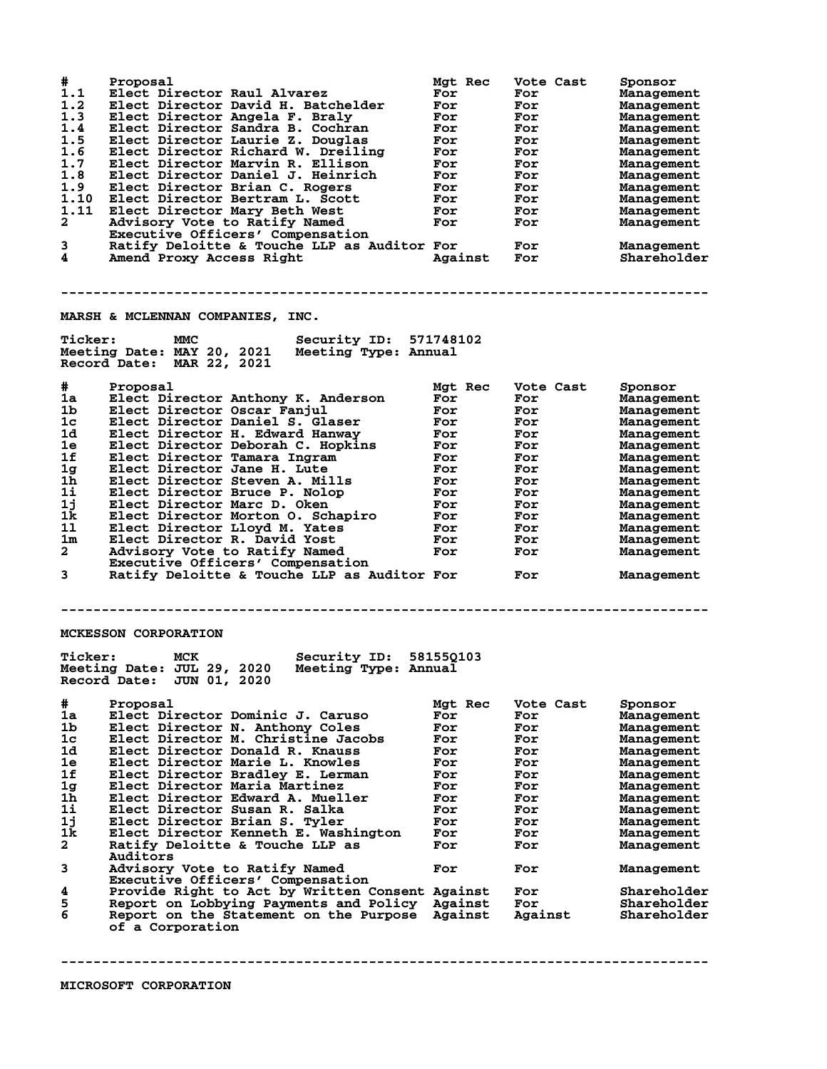| #<br>1.1<br>1.2<br>1.3<br>1.4<br>1.5<br>1.6<br>1.7<br>1.8<br>1.9<br>1.10<br>1.11<br>$\mathbf{2}$<br>3<br>4 | Proposal<br>Elect Director Raul Alvarez<br>Elect Director David H. Batchelder<br>Elect Director Angela F. Braly<br>Elect Director Sandra B. Cochran<br>Elect Director Laurie Z. Douglas<br>Elect Director Richard W. Dreiling<br>Elect Director Marvin R. Ellison<br>Elect Director Daniel J. Heinrich<br>Elect Director Brian C. Rogers<br>Elect Director Bertram L. Scott<br>Elect Director Mary Beth West<br>Advisory Vote to Ratify Named<br>Executive Officers' Compensation<br>Ratify Deloitte & Touche LLP as Auditor For<br>Amend Proxy Access Right | Mgt Rec<br>For<br>For<br>For<br>For<br>For<br>For<br>For<br>For<br>For<br>For<br>For<br>For<br>Against | Vote Cast<br>For<br>For<br>For<br>For<br>For<br>For<br>For<br>For<br>For<br>For<br>For<br>For<br>For<br><b>For</b> | Sponsor<br>Management<br>Management<br>Management<br>Management<br>Management<br>Management<br>Management<br>Management<br>Management<br>Management<br>Management<br>Management<br>Management<br>Shareholder |  |  |
|------------------------------------------------------------------------------------------------------------|--------------------------------------------------------------------------------------------------------------------------------------------------------------------------------------------------------------------------------------------------------------------------------------------------------------------------------------------------------------------------------------------------------------------------------------------------------------------------------------------------------------------------------------------------------------|--------------------------------------------------------------------------------------------------------|--------------------------------------------------------------------------------------------------------------------|--------------------------------------------------------------------------------------------------------------------------------------------------------------------------------------------------------------|--|--|
|                                                                                                            | MARSH & MCLENNAN COMPANIES, INC.                                                                                                                                                                                                                                                                                                                                                                                                                                                                                                                             |                                                                                                        |                                                                                                                    |                                                                                                                                                                                                              |  |  |
| <b>Ticker:</b>                                                                                             | Security ID: 571748102<br>MMC<br>Meeting Date: MAY 20, 2021<br>Meeting Type: Annual<br>Record Date: MAR 22, 2021                                                                                                                                                                                                                                                                                                                                                                                                                                             |                                                                                                        |                                                                                                                    |                                                                                                                                                                                                              |  |  |
| #                                                                                                          | Proposal                                                                                                                                                                                                                                                                                                                                                                                                                                                                                                                                                     | Mgt Rec                                                                                                | Vote Cast                                                                                                          | Sponsor                                                                                                                                                                                                      |  |  |
| 1a                                                                                                         | Elect Director Anthony K. Anderson                                                                                                                                                                                                                                                                                                                                                                                                                                                                                                                           | For                                                                                                    | For                                                                                                                | Management                                                                                                                                                                                                   |  |  |
| 1b                                                                                                         | Elect Director Oscar Fanjul                                                                                                                                                                                                                                                                                                                                                                                                                                                                                                                                  | For                                                                                                    | For                                                                                                                | Management                                                                                                                                                                                                   |  |  |
| 1c                                                                                                         | Elect Director Daniel S. Glaser                                                                                                                                                                                                                                                                                                                                                                                                                                                                                                                              | For                                                                                                    | For                                                                                                                | Management                                                                                                                                                                                                   |  |  |
| 1d<br>1e                                                                                                   | Elect Director H. Edward Hanway<br>Elect Director Deborah C. Hopkins                                                                                                                                                                                                                                                                                                                                                                                                                                                                                         | For<br>For                                                                                             | For<br>For                                                                                                         | Management<br>Management                                                                                                                                                                                     |  |  |
| 1f                                                                                                         | Elect Director Tamara Ingram                                                                                                                                                                                                                                                                                                                                                                                                                                                                                                                                 | For                                                                                                    | For                                                                                                                | Management                                                                                                                                                                                                   |  |  |
| 1g                                                                                                         | Elect Director Jane H. Lute                                                                                                                                                                                                                                                                                                                                                                                                                                                                                                                                  | For                                                                                                    | For                                                                                                                | Management                                                                                                                                                                                                   |  |  |
| 1 <sub>h</sub>                                                                                             | Elect Director Steven A. Mills                                                                                                                                                                                                                                                                                                                                                                                                                                                                                                                               | For                                                                                                    | For                                                                                                                | Management                                                                                                                                                                                                   |  |  |
| $1\text{i}$                                                                                                | Elect Director Bruce P. Nolop                                                                                                                                                                                                                                                                                                                                                                                                                                                                                                                                | For                                                                                                    | For                                                                                                                | Management                                                                                                                                                                                                   |  |  |
| 1j                                                                                                         | Elect Director Marc D. Oken                                                                                                                                                                                                                                                                                                                                                                                                                                                                                                                                  | For                                                                                                    | For                                                                                                                | Management                                                                                                                                                                                                   |  |  |
| 1k                                                                                                         | Elect Director Morton 0. Schapiro                                                                                                                                                                                                                                                                                                                                                                                                                                                                                                                            | For                                                                                                    | For                                                                                                                | Management                                                                                                                                                                                                   |  |  |
| 11                                                                                                         | Elect Director Lloyd M. Yates                                                                                                                                                                                                                                                                                                                                                                                                                                                                                                                                | For                                                                                                    | For                                                                                                                | Management                                                                                                                                                                                                   |  |  |
| 1m<br>$\mathbf{2}$                                                                                         | Elect Director R. David Yost                                                                                                                                                                                                                                                                                                                                                                                                                                                                                                                                 | For                                                                                                    | For                                                                                                                | Management                                                                                                                                                                                                   |  |  |
|                                                                                                            | Advisory Vote to Ratify Named<br>Executive Officers' Compensation                                                                                                                                                                                                                                                                                                                                                                                                                                                                                            | For                                                                                                    | For                                                                                                                | Management                                                                                                                                                                                                   |  |  |
| 3                                                                                                          | Ratify Deloitte & Touche LLP as Auditor For                                                                                                                                                                                                                                                                                                                                                                                                                                                                                                                  |                                                                                                        | For                                                                                                                | Management                                                                                                                                                                                                   |  |  |
|                                                                                                            | <b>MCKESSON CORPORATION</b>                                                                                                                                                                                                                                                                                                                                                                                                                                                                                                                                  |                                                                                                        |                                                                                                                    |                                                                                                                                                                                                              |  |  |
| <b>Ticker:</b>                                                                                             | Security ID: 581550103<br>MCK<br>Meeting Date: JUL 29, 2020<br>Meeting Type: Annual<br>Record Date: JUN 01, 2020                                                                                                                                                                                                                                                                                                                                                                                                                                             |                                                                                                        |                                                                                                                    |                                                                                                                                                                                                              |  |  |
| #                                                                                                          | Proposal                                                                                                                                                                                                                                                                                                                                                                                                                                                                                                                                                     | Mgt Rec                                                                                                | Vote Cast                                                                                                          | Sponsor                                                                                                                                                                                                      |  |  |
| 1a                                                                                                         | Elect Director Dominic J. Caruso                                                                                                                                                                                                                                                                                                                                                                                                                                                                                                                             | For                                                                                                    | For                                                                                                                | Management                                                                                                                                                                                                   |  |  |
| 1 <sub>b</sub>                                                                                             | Elect Director N. Anthony Coles                                                                                                                                                                                                                                                                                                                                                                                                                                                                                                                              | For                                                                                                    | For                                                                                                                | Management                                                                                                                                                                                                   |  |  |
| 1c                                                                                                         | Elect Director M. Christine Jacobs                                                                                                                                                                                                                                                                                                                                                                                                                                                                                                                           | For                                                                                                    | For                                                                                                                | Management                                                                                                                                                                                                   |  |  |
| 1d<br>1e                                                                                                   | Elect Director Donald R. Knauss<br>Elect Director Marie L. Knowles                                                                                                                                                                                                                                                                                                                                                                                                                                                                                           | For                                                                                                    | For                                                                                                                | Management                                                                                                                                                                                                   |  |  |
| 1f                                                                                                         | Elect Director Bradley E. Lerman                                                                                                                                                                                                                                                                                                                                                                                                                                                                                                                             | For<br>For                                                                                             | For<br>For                                                                                                         | Management<br>Management                                                                                                                                                                                     |  |  |
| 1 <sub>g</sub>                                                                                             | Elect Director Maria Martinez                                                                                                                                                                                                                                                                                                                                                                                                                                                                                                                                | For                                                                                                    | For                                                                                                                | Management                                                                                                                                                                                                   |  |  |
| 1ĥ                                                                                                         | Elect Director Edward A. Mueller                                                                                                                                                                                                                                                                                                                                                                                                                                                                                                                             | For                                                                                                    | For                                                                                                                | Management                                                                                                                                                                                                   |  |  |
| $1\mathbf{i}$                                                                                              | Elect Director Susan R. Salka                                                                                                                                                                                                                                                                                                                                                                                                                                                                                                                                | For                                                                                                    | For                                                                                                                | Management                                                                                                                                                                                                   |  |  |
| 1j                                                                                                         | Elect Director Brian S. Tyler                                                                                                                                                                                                                                                                                                                                                                                                                                                                                                                                | For                                                                                                    | For                                                                                                                | Management                                                                                                                                                                                                   |  |  |
| 1k                                                                                                         | Elect Director Kenneth E. Washington                                                                                                                                                                                                                                                                                                                                                                                                                                                                                                                         | For                                                                                                    | For                                                                                                                | Management                                                                                                                                                                                                   |  |  |
| $\mathbf{2}$                                                                                               | Ratify Deloitte & Touche LLP as                                                                                                                                                                                                                                                                                                                                                                                                                                                                                                                              | For                                                                                                    | For                                                                                                                | Management                                                                                                                                                                                                   |  |  |
| 3                                                                                                          | <b>Auditors</b>                                                                                                                                                                                                                                                                                                                                                                                                                                                                                                                                              |                                                                                                        |                                                                                                                    |                                                                                                                                                                                                              |  |  |
|                                                                                                            | Advisory Vote to Ratify Named<br>Executive Officers' Compensation                                                                                                                                                                                                                                                                                                                                                                                                                                                                                            | For                                                                                                    | For                                                                                                                | Management                                                                                                                                                                                                   |  |  |
| 4                                                                                                          | Provide Right to Act by Written Consent Against                                                                                                                                                                                                                                                                                                                                                                                                                                                                                                              |                                                                                                        | For                                                                                                                | Shareholder                                                                                                                                                                                                  |  |  |
| 5<br>6                                                                                                     | Report on Lobbying Payments and Policy<br>Report on the Statement on the Purpose<br>of a Corporation                                                                                                                                                                                                                                                                                                                                                                                                                                                         | Against<br>Against                                                                                     | For<br>Against                                                                                                     | Shareholder<br>Shareholder                                                                                                                                                                                   |  |  |
|                                                                                                            |                                                                                                                                                                                                                                                                                                                                                                                                                                                                                                                                                              |                                                                                                        |                                                                                                                    |                                                                                                                                                                                                              |  |  |

**MICROSOFT CORPORATION**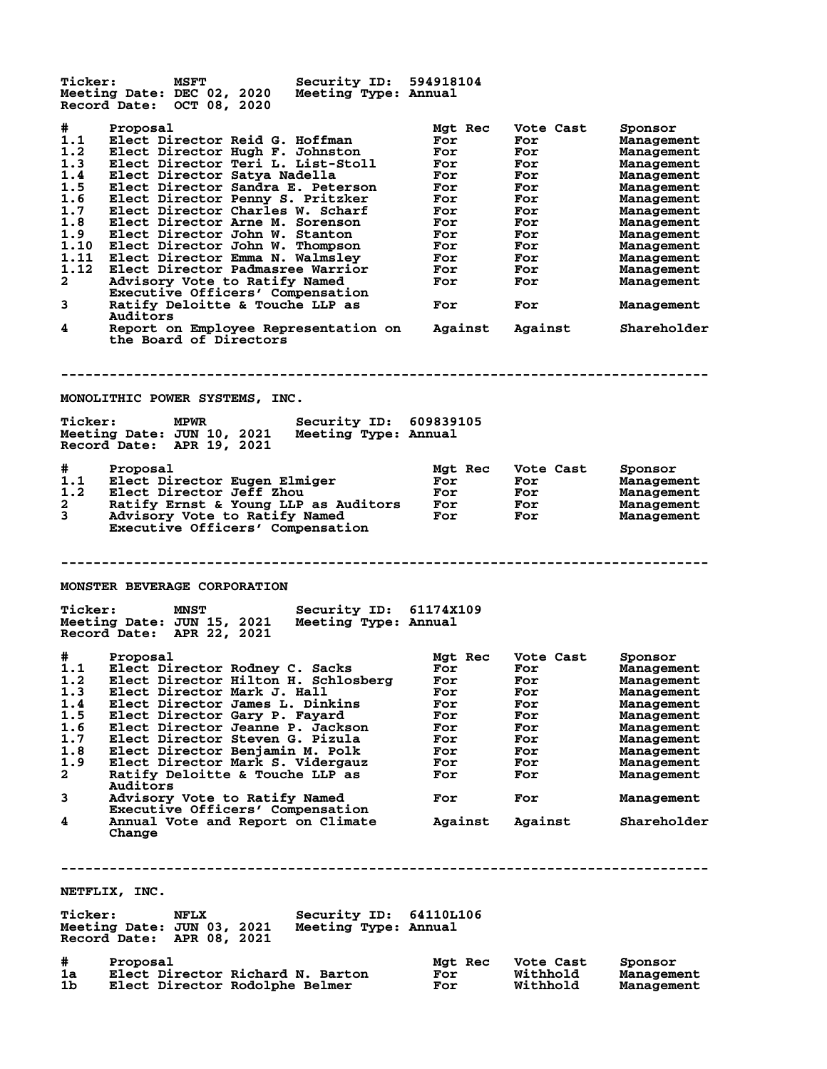Ticker: MSFT Security ID: 594918104<br>Meeting Date: DEC 02, 2020 Meeting Type: Annual **Meeting Date: DEC 02, 2020 Meeting Type: Annual Record Date: OCT 08, 2020 # Proposal Mgt Rec Vote Cast Sponsor 1.1 Elect Director Reid G. Hoffman For For Management 1.2 Elect Director Hugh F. Johnston For For Management 1.3 Elect Director Teri L. List-Stoll For For Management 1.4 Elect Director Satya Nadella For For Management 1.5 Elect Director Sandra E. Peterson For For Management 1.6 Elect Director Penny S. Pritzker For For Management 1.7 Elect Director Charles W. Scharf For For Management 1.8 Elect Director Arne M. Sorenson For For Management 1.9 Elect Director John W. Stanton For For Management 1.10 Elect Director John W. Thompson For For Management 1.11 Elect Director Emma N. Walmsley For For Management 1.12 Elect Director Padmasree Warrior For For Management 2 Advisory Vote to Ratify Named For For Management Executive Officers' Compensation 3 Ratify Deloitte & Touche LLP as For For Management Auditors 4 Report on Employee Representation on Against Against Shareholder the Board of Directors -------------------------------------------------------------------------------- MONOLITHIC POWER SYSTEMS, INC. Ticker: MPWR Security ID: 609839105<br>Meeting Date: JUN 10, 2021 Meeting Type: Annual Meeting Date: JUN 10, 2021 Meeting Type: Annual Record Date: APR 19, 2021 # Proposal Mgt Rec Vote Cast Sponsor 1.1 Elect Director Eugen Elmiger For For Management 1.2 Elect Director Jeff Zhou For For Management 2 Ratify Ernst & Young LLP as Auditors For For Management 3 Advisory Vote to Ratify Named For For Management Executive Officers' Compensation -------------------------------------------------------------------------------- MONSTER BEVERAGE CORPORATION Ticker: MNST Security ID: 61174X109 Meeting Date: JUN 15, 2021 Meeting Type: Annual Record Date: APR 22, 2021 # Proposal Mgt Rec Vote Cast Sponsor 1.1 Elect Director Rodney C. Sacks For For Management 1.2 Elect Director Hilton H. Schlosberg For For Management 1.3 Elect Director Mark J. Hall For For Management 1.4 Elect Director James L. Dinkins For For Management 1.5 Elect Director Gary P. Fayard For For Management 1.6 Elect Director Jeanne P. Jackson For For Management 1.7 Elect Director Steven G. Pizula For For Management 1.8 Elect Director Benjamin M. Polk For For Management 1.9 Elect Director Mark S. Vidergauz For For Management 2 Ratify Deloitte & Touche LLP as For For Management Auditors 3 Advisory Vote to Ratify Named For For Management Executive Officers' Compensation 4 Annual Vote and Report on Climate Against Against Shareholder Change -------------------------------------------------------------------------------- NETFLIX, INC.** Ticker: NFLX Security ID: 64110L106<br>Meeting Date: JUN 03, 2021 Meeting Type: Annual **Meeting Date: JUN 03, 2021 Meeting Type: Annual Record Date: APR 08, 2021 # Proposal Mgt Rec Vote Cast Sponsor 1a Elect Director Richard N. Barton For Withhold Management 1b Elect Director Rodolphe Belmer For Withhold Management**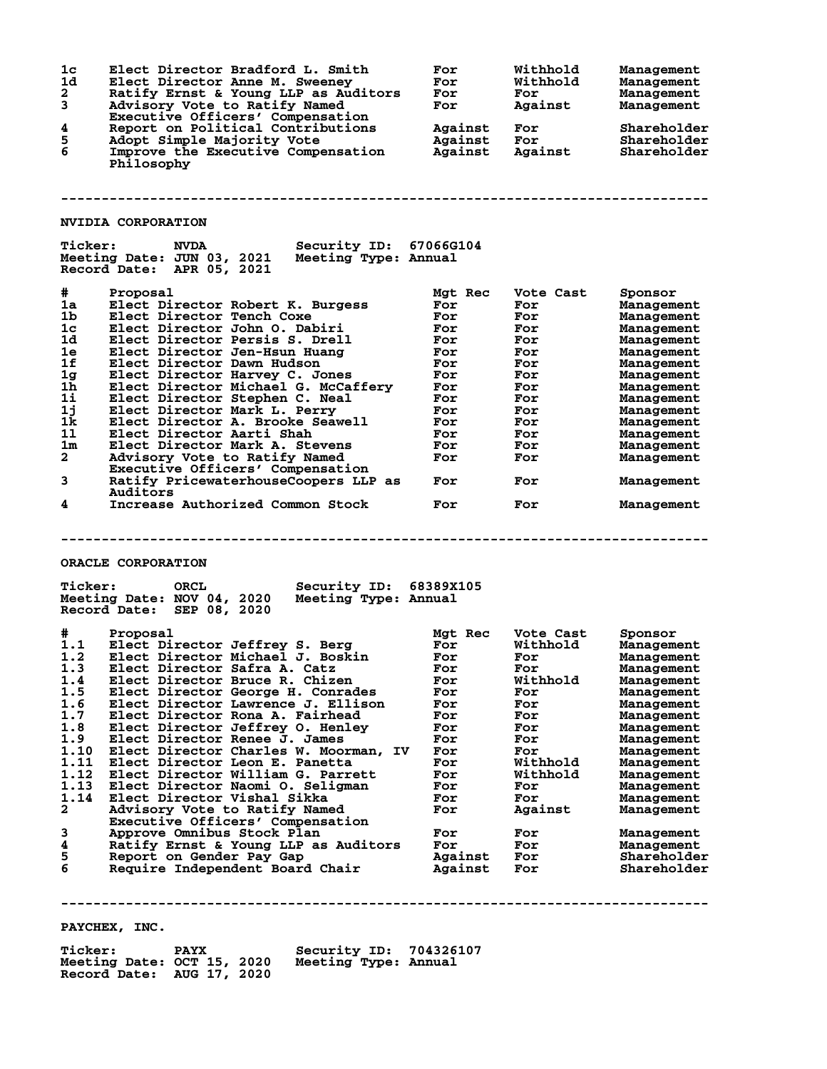| 1c<br>1d<br>$\mathbf{2}$<br>3<br>4<br>5<br>6 | Elect Director Bradford L. Smith<br>Elect Director Anne M. Sweeney<br>Ratify Ernst & Young LLP as Auditors<br>Advisory Vote to Ratify Named<br>Executive Officers' Compensation<br>Report on Political Contributions<br>Adopt Simple Majority Vote<br>Improve the Executive Compensation<br>Philosophy | For<br>For<br>For<br>For<br>Against<br>Against<br>Against | Withhold<br>Withhold<br>For<br>Against<br>For<br>For<br>Against | <b>Management</b><br>Management<br><b>Management</b><br><b>Management</b><br>Shareholder<br>Shareholder<br>Shareholder |  |  |
|----------------------------------------------|--------------------------------------------------------------------------------------------------------------------------------------------------------------------------------------------------------------------------------------------------------------------------------------------------------|-----------------------------------------------------------|-----------------------------------------------------------------|------------------------------------------------------------------------------------------------------------------------|--|--|
|                                              |                                                                                                                                                                                                                                                                                                        |                                                           |                                                                 |                                                                                                                        |  |  |
|                                              | <b>NVIDIA CORPORATION</b>                                                                                                                                                                                                                                                                              |                                                           |                                                                 |                                                                                                                        |  |  |
| <b>Ticker:</b>                               | <b>NVDA</b><br>Security ID: 67066G104<br>Meeting Date: JUN 03, 2021<br>Meeting Type: Annual<br>Record Date: APR 05, 2021                                                                                                                                                                               |                                                           |                                                                 |                                                                                                                        |  |  |
| #                                            | Proposal                                                                                                                                                                                                                                                                                               | Mgt Rec                                                   | Vote Cast                                                       | Sponsor                                                                                                                |  |  |
| 1a                                           | Elect Director Robert K. Burgess                                                                                                                                                                                                                                                                       | For                                                       | For                                                             | <b>Management</b>                                                                                                      |  |  |
| 1 <sub>b</sub>                               | Elect Director Tench Coxe                                                                                                                                                                                                                                                                              | For                                                       | For                                                             | Management                                                                                                             |  |  |
| 1 <sub>c</sub>                               | Elect Director John O. Dabiri                                                                                                                                                                                                                                                                          | For                                                       | For                                                             | <b>Management</b>                                                                                                      |  |  |
| 1d                                           | Elect Director Persis S. Drell                                                                                                                                                                                                                                                                         | For                                                       | For                                                             | <b>Management</b>                                                                                                      |  |  |
| 1e                                           | Elect Director Jen-Hsun Huang                                                                                                                                                                                                                                                                          | For                                                       | For                                                             | Management                                                                                                             |  |  |
| 1f                                           | Elect Director Dawn Hudson                                                                                                                                                                                                                                                                             | For                                                       | For                                                             | Management                                                                                                             |  |  |
| 1g                                           | Elect Director Harvey C. Jones                                                                                                                                                                                                                                                                         | For                                                       | For                                                             | Management                                                                                                             |  |  |
| $1\bar{h}$                                   | Elect Director Michael G. McCaffery                                                                                                                                                                                                                                                                    | For                                                       | For                                                             | <b>Management</b>                                                                                                      |  |  |
| 1i                                           | Elect Director Stephen C. Neal                                                                                                                                                                                                                                                                         | For                                                       | For                                                             | <b>Management</b>                                                                                                      |  |  |
| 1j<br>1k                                     | Elect Director Mark L. Perry                                                                                                                                                                                                                                                                           | For                                                       | For                                                             | <b>Management</b>                                                                                                      |  |  |
| 11                                           | Elect Director A. Brooke Seawell<br>Elect Director Aarti Shah                                                                                                                                                                                                                                          | For<br>For                                                | For<br>For                                                      | <b>Management</b>                                                                                                      |  |  |
| $1\mathrm{m}$                                | Elect Director Mark A. Stevens                                                                                                                                                                                                                                                                         | For                                                       | For                                                             | <b>Management</b><br>Management                                                                                        |  |  |
| $\overline{a}$                               | Advisory Vote to Ratify Named                                                                                                                                                                                                                                                                          | For                                                       | For                                                             | Management                                                                                                             |  |  |
|                                              | Executive Officers' Compensation                                                                                                                                                                                                                                                                       |                                                           |                                                                 |                                                                                                                        |  |  |
| 3                                            | Ratify PricewaterhouseCoopers LLP as<br><b>Auditors</b>                                                                                                                                                                                                                                                | For                                                       | For                                                             | Management                                                                                                             |  |  |
| 4                                            | Increase Authorized Common Stock                                                                                                                                                                                                                                                                       | For                                                       | For                                                             | Management                                                                                                             |  |  |
|                                              | ORACLE CORPORATION<br><b>Ticker:</b><br><b>ORCL</b><br>Security ID: 68389X105<br>Meeting Date: NOV 04, 2020<br>Meeting Type: Annual                                                                                                                                                                    |                                                           |                                                                 |                                                                                                                        |  |  |
|                                              | Record Date: SEP 08, 2020                                                                                                                                                                                                                                                                              |                                                           |                                                                 |                                                                                                                        |  |  |
| #.                                           | Proposal                                                                                                                                                                                                                                                                                               | Mgt Rec                                                   | Vote Cast                                                       | Sponsor                                                                                                                |  |  |
| 1.1                                          | Elect Director Jeffrey S. Berg                                                                                                                                                                                                                                                                         | For                                                       | Withhold                                                        | <b>Management</b>                                                                                                      |  |  |
| 1.2                                          | Elect Director Michael J. Boskin                                                                                                                                                                                                                                                                       | For                                                       | For                                                             | Management                                                                                                             |  |  |
| 1.3                                          | Elect Director Safra A. Catz                                                                                                                                                                                                                                                                           | ror                                                       | ror                                                             | management                                                                                                             |  |  |
| 1.4                                          | Elect Director Bruce R. Chizen                                                                                                                                                                                                                                                                         | For                                                       | Withhold                                                        | <b>Management</b>                                                                                                      |  |  |
| 1.5                                          | Elect Director George H. Conrades                                                                                                                                                                                                                                                                      | For                                                       | For                                                             | <b>Management</b>                                                                                                      |  |  |
| 1.6                                          | Elect Director Lawrence J. Ellison                                                                                                                                                                                                                                                                     | For                                                       | For                                                             | Management                                                                                                             |  |  |
| 1.7                                          | Elect Director Rona A. Fairhead                                                                                                                                                                                                                                                                        | For                                                       | For                                                             | Management                                                                                                             |  |  |
| 1.8                                          | Elect Director Jeffrey O. Henley                                                                                                                                                                                                                                                                       | For                                                       | For                                                             | Management                                                                                                             |  |  |
| 1.9                                          | Elect Director Renee J. James                                                                                                                                                                                                                                                                          | For                                                       | For                                                             | Management                                                                                                             |  |  |
| 1.10                                         | Elect Director Charles W. Moorman, IV                                                                                                                                                                                                                                                                  | For                                                       | For                                                             | <b>Management</b>                                                                                                      |  |  |
| 1.11                                         | Elect Director Leon E. Panetta                                                                                                                                                                                                                                                                         | For                                                       | Withhold                                                        | Management                                                                                                             |  |  |
| 1.12                                         | Elect Director William G. Parrett                                                                                                                                                                                                                                                                      | For                                                       | Withhold                                                        | Management                                                                                                             |  |  |
| 1.13                                         | Elect Director Naomi O. Seligman                                                                                                                                                                                                                                                                       | For                                                       | For                                                             | Management                                                                                                             |  |  |
| 1.14                                         | Elect Director Vishal Sikka                                                                                                                                                                                                                                                                            | For                                                       | For                                                             | Management                                                                                                             |  |  |
| $\mathbf{2}$                                 | Advisory Vote to Ratify Named                                                                                                                                                                                                                                                                          | For                                                       | Against                                                         | Management                                                                                                             |  |  |
|                                              | Executive Officers' Compensation                                                                                                                                                                                                                                                                       |                                                           |                                                                 |                                                                                                                        |  |  |
| 3                                            | Approve Omnibus Stock Plan                                                                                                                                                                                                                                                                             | For                                                       | For                                                             | Management                                                                                                             |  |  |
| 4<br>5                                       | Ratify Ernst & Young LLP as Auditors                                                                                                                                                                                                                                                                   | For                                                       | For                                                             | Management                                                                                                             |  |  |
| 6                                            | Report on Gender Pay Gap<br>Require Independent Board Chair                                                                                                                                                                                                                                            | Against<br>Against                                        | For<br>For                                                      | Shareholder<br>Shareholder                                                                                             |  |  |
|                                              |                                                                                                                                                                                                                                                                                                        |                                                           |                                                                 |                                                                                                                        |  |  |

**PAYCHEX, INC.**

| <b>Ticker:</b>                                          | <b>PAYX</b> | Security ID: 704326107 |  |
|---------------------------------------------------------|-------------|------------------------|--|
| Meeting Date: OCT 15, 2020<br>Record Date: AUG 17, 2020 |             | Meeting Type: Annual   |  |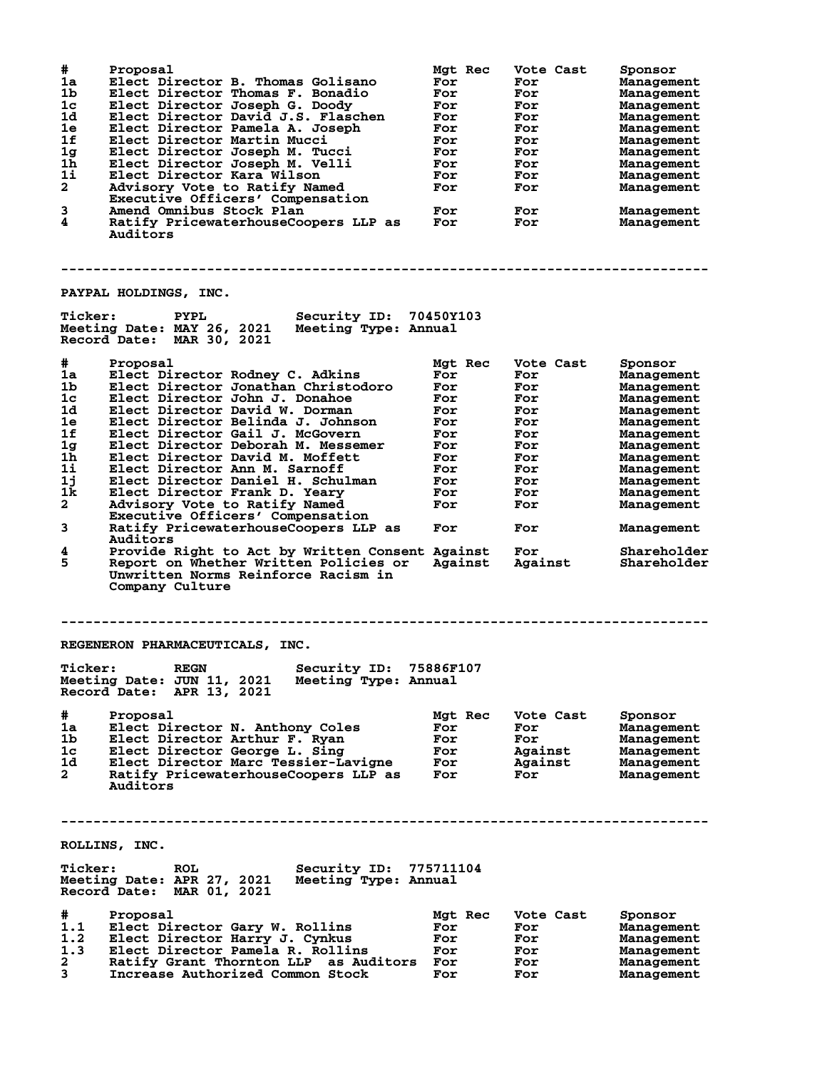| #              | Proposal                                                                                                                                           | Mgt Rec    | Vote Cast      | Sponsor                    |
|----------------|----------------------------------------------------------------------------------------------------------------------------------------------------|------------|----------------|----------------------------|
| 1a             | Elect Director B. Thomas Golisano                                                                                                                  | For        | For            | Management                 |
| 1 <sub>b</sub> | Elect Director Thomas F. Bonadio                                                                                                                   | For        | For            | Management                 |
| 1 <sub>c</sub> | Elect Director Joseph G. Doody                                                                                                                     | For        | For            | <b>Management</b>          |
| 1d             | Elect Director David J.S. Flaschen                                                                                                                 | For        | For            | Management                 |
| 1e             | Elect Director Pamela A. Joseph                                                                                                                    | For        | For            | Management                 |
| 1f             | Elect Director Martin Mucci                                                                                                                        | For        | For            | Management                 |
| 1 <sub>g</sub> | Elect Director Joseph M. Tucci                                                                                                                     | For        | For            | Management                 |
| $1\bar{h}$     |                                                                                                                                                    |            |                |                            |
|                | Elect Director Joseph M. Velli                                                                                                                     | For        | For            | Management                 |
| $1\text{i}$    | Elect Director Kara Wilson                                                                                                                         | For        | For            | Management                 |
| $\overline{a}$ | Advisory Vote to Ratify Named                                                                                                                      | For        | For            | Management                 |
|                | Executive Officers' Compensation                                                                                                                   |            |                |                            |
| 3              | Amend Omnibus Stock Plan                                                                                                                           | For        | For            | Management                 |
| 4              | Ratify PricewaterhouseCoopers LLP as<br>Auditors                                                                                                   | For        | For            | Management                 |
|                |                                                                                                                                                    |            |                |                            |
|                | PAYPAL HOLDINGS, INC.                                                                                                                              |            |                |                            |
| <b>Ticker:</b> | Security ID:<br><b>PYPL</b><br>Meeting Date: MAY 26, 2021<br>Meeting Type: Annual<br>Record Date: MAR 30, 2021                                     | 70450Y103  |                |                            |
| #              | Proposal                                                                                                                                           | Mgt Rec    | Vote Cast      | Sponsor                    |
| 1a             | Elect Director Rodney C. Adkins                                                                                                                    | For        | For            | Management                 |
| 1 <sub>b</sub> | Elect Director Jonathan Christodoro                                                                                                                | For        | For            | Management                 |
| $1c$           | Elect Director John J. Donahoe                                                                                                                     | For        | For            | Management                 |
| 1d             | Elect Director David W. Dorman                                                                                                                     | For        | For            | Management                 |
| 1e             | Elect Director Belinda J. Johnson                                                                                                                  |            |                |                            |
|                |                                                                                                                                                    | For        | For            | Management                 |
| 1f             | Elect Director Gail J. McGovern                                                                                                                    | For        | For            | Management                 |
| 1 <sub>g</sub> | Elect Director Deborah M. Messemer                                                                                                                 | For        | For            | Management                 |
| 1h             | Elect Director David M. Moffett                                                                                                                    | For        | For            | Management                 |
| 11             | Elect Director Ann M. Sarnoff                                                                                                                      | For        | For            | Management                 |
| 1j             | Elect Director Daniel H. Schulman                                                                                                                  | For        | For            | Management                 |
| 1k             | Elect Director Frank D. Yeary                                                                                                                      | For        | For            | Management                 |
| $\overline{a}$ | Advisory Vote to Ratify Named                                                                                                                      | For        | For            | Management                 |
|                | Executive Officers' Compensation                                                                                                                   |            |                |                            |
| 3              | Ratify PricewaterhouseCoopers LLP as<br>Auditors                                                                                                   | For        | For            | Management                 |
| 4<br>5         | Provide Right to Act by Written Consent Against<br>Report on Whether Written Policies or<br>Unwritten Norms Reinforce Racism in<br>Company Culture | Against    | For<br>Against | Shareholder<br>Shareholder |
|                |                                                                                                                                                    |            |                |                            |
|                | REGENERON PHARMACEUTICALS, INC.                                                                                                                    |            |                |                            |
|                | Security ID: 75886F107<br>Ticker: REGN<br>Meeting Date: JUN 11, 2021<br>Meeting Type: Annual<br>Record Date: APR 13, 2021                          |            |                |                            |
| #              | Proposal                                                                                                                                           | Mgt Rec    | Vote Cast      | Sponsor                    |
| 1a             | Elect Director N. Anthony Coles                                                                                                                    | For        | For            | Management                 |
| 1b             | Elect Director Arthur F. Ryan                                                                                                                      | For        | For            | Management                 |
| 1c             | Elect Director George L. Sing                                                                                                                      | For        | Against        | Management                 |
| 1d -           | Elect Director Marc Tessier-Lavigne                                                                                                                | For        | Against        |                            |
| $\mathbf{2}$   | Ratify PricewaterhouseCoopers LLP as<br>Auditors                                                                                                   | <b>For</b> | For            | Management<br>Management   |
|                | ROLLINS, INC.                                                                                                                                      |            |                |                            |
| <b>Ticker:</b> | <b>Security ID: 775711104</b><br><b>ROL</b>                                                                                                        |            |                |                            |
|                | Meeting Date: APR 27, 2021 Meeting Type: Annual<br>Record Date: MAR 01, 2021                                                                       |            |                |                            |
| #              | Proposal                                                                                                                                           | Mgt Rec    | Vote Cast      | Sponsor                    |
| 1.1            | Elect Director Gary W. Rollins                                                                                                                     | For        | For            | Management                 |
| 1.2            | Elect Director Harry J. Cynkus                                                                                                                     | For        | For            | Management                 |
| 1.3            | Elect Director Pamela R. Rollins                                                                                                                   | For        |                |                            |
| $\mathbf{2}$   |                                                                                                                                                    |            | For            | Management                 |
|                | Ratify Grant Thornton LLP as Auditors For                                                                                                          |            | For            | Management                 |
| 3              | Increase Authorized Common Stock                                                                                                                   | For        | For            | Management                 |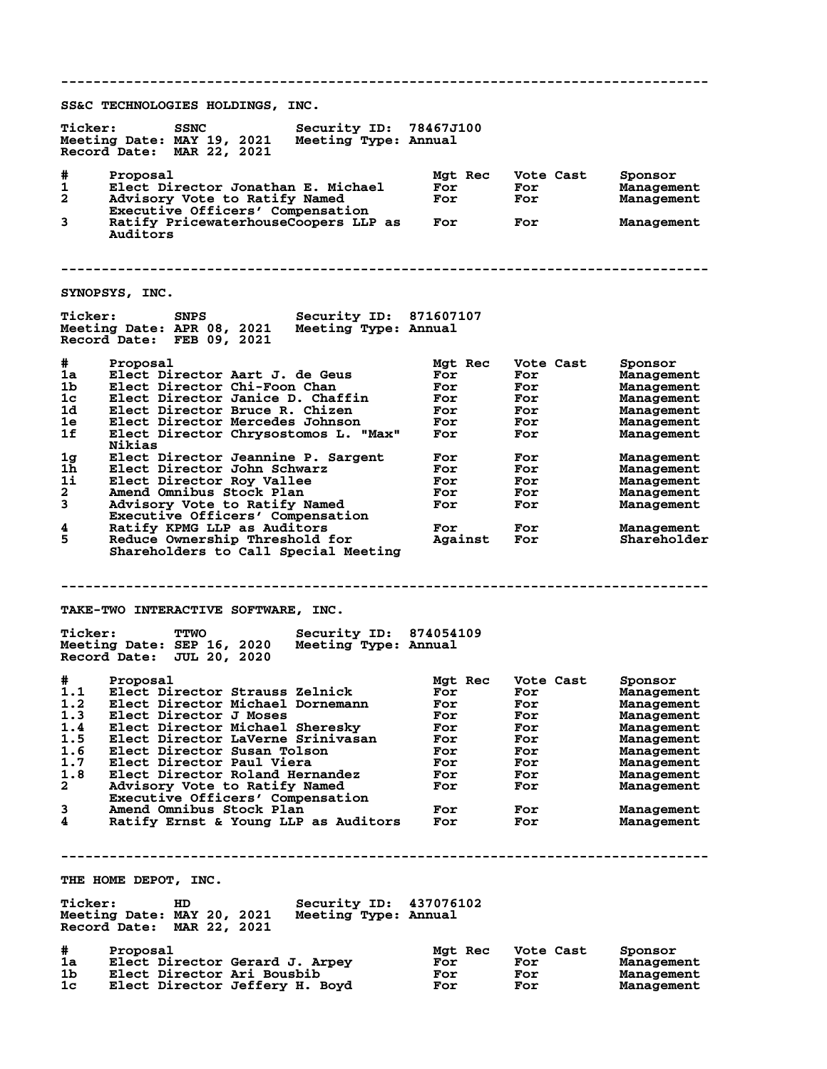**-------------------------------------------------------------------------------- SS&C TECHNOLOGIES HOLDINGS, INC. Ticker: SSNC Security ID: 78467J100 Meeting Date: MAY 19, 2021 Meeting Type: Annual Record Date: MAR 22, 2021 # Proposal Mgt Rec Vote Cast Sponsor 1 Elect Director Jonathan E. Michael For For Management 2 Advisory Vote to Ratify Named For For Management Executive Officers' Compensation 3 Ratify PricewaterhouseCoopers LLP as For For Management** Ratify PricewaterhouseCoopers LLP as For<br>Auditors **-------------------------------------------------------------------------------- SYNOPSYS, INC. Ticker: SNPS Security ID: 871607107 Meeting Date: APR 08, 2021 Meeting Type: Annual Record Date: FEB 09, 2021 # Proposal Mgt Rec Vote Cast Sponsor 1a Elect Director Aart J. de Geus For For Management 1b Elect Director Chi-Foon Chan For For Management 1c Elect Director Janice D. Chaffin For For Management 1d Elect Director Bruce R. Chizen For For Management 1e Elect Director Mercedes Johnson For For Management 1f Elect Director Chrysostomos L. "Max" For For Management Nikias 1g Elect Director Jeannine P. Sargent For For Management 1h Elect Director John Schwarz For For Management 1i Elect Director Roy Vallee For For Management 2 Amend Omnibus Stock Plan For For Management 3 Advisory Vote to Ratify Named For For Management Executive Officers' Compensation 4 Ratify KPMG LLP as Auditors For For Management 5 Reduce Ownership Threshold for Against For Shareholder Shareholders to Call Special Meeting -------------------------------------------------------------------------------- TAKE-TWO INTERACTIVE SOFTWARE, INC. Ticker: TTWO Security ID: 874054109 Meeting Date: SEP 16, 2020 Meeting Type: Annual Record Date: JUL 20, 2020 # Proposal Mgt Rec Vote Cast Sponsor 1.1 Elect Director Strauss Zelnick For For Management 1.2 Elect Director Michael Dornemann For For Management 1.3 Elect Director J Moses For For Management 1.4 Elect Director Michael Sheresky For For Management 1.5 Elect Director LaVerne Srinivasan For For Management 1.6 Elect Director Susan Tolson For For Management 1.7 Elect Director Paul Viera For For Management 1.8 Elect Director Roland Hernandez For For Management 2 Advisory Vote to Ratify Named For For Management Executive Officers' Compensation 3 Amend Omnibus Stock Plan For For Management** and the set of the set of the set of the set of the set of the Management<br>
Executive Officers' Compensation<br>
A Ratify Ernst & Young LLP as Auditors<br>
Tor For Management<br>
Ratify Ernst & Young LLP as Auditors<br>
For For Managem **-------------------------------------------------------------------------------- THE HOME DEPOT, INC. Ticker: HD Security ID: 437076102 Meeting Date: MAY 20, 2021 Meeting Type: Annual Record Date: MAR 22, 2021 # Proposal Mgt Rec Vote Cast Sponsor 1a Elect Director Gerard J. Arpey For For Management 1b Elect Director Ari Bousbib For For Management 1c Elect Director Jeffery H. Boyd For For Management**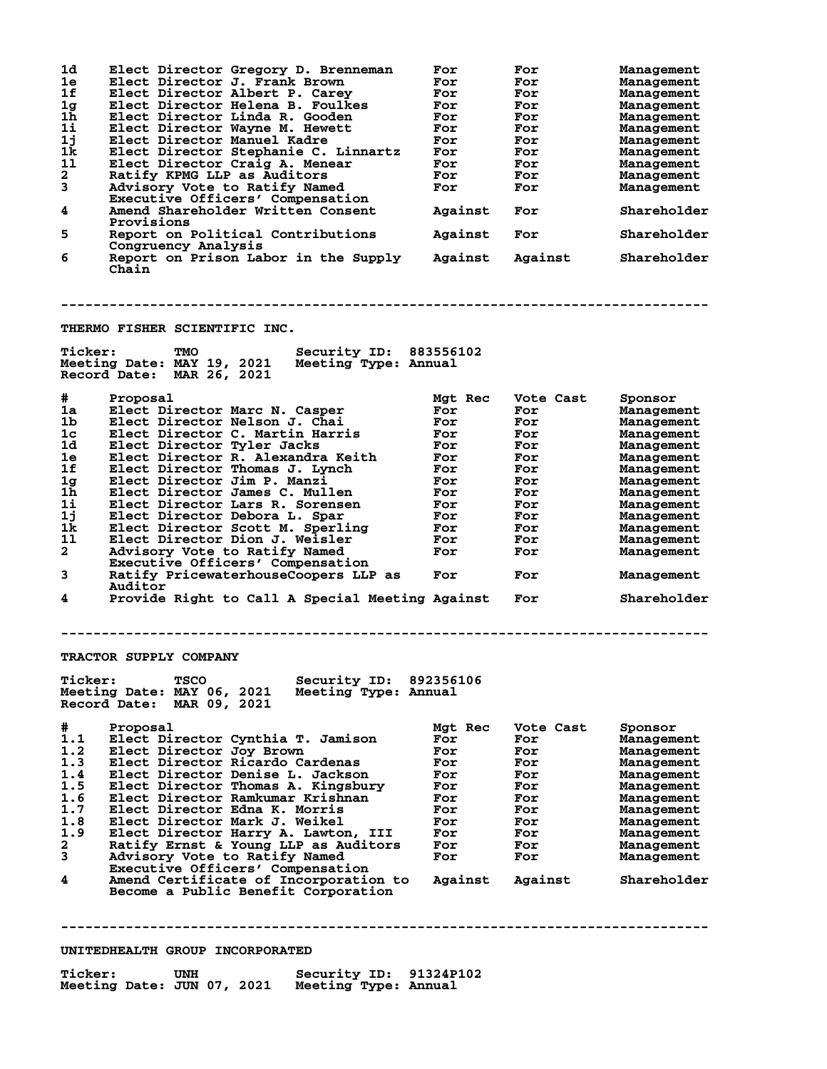| 1d<br>1e<br>1f<br>1 <sub>g</sub><br>1 <sub>h</sub><br>1i<br>11<br>1k | Elect Director Gregory D. Brenneman<br>Elect Director J. Frank Brown<br>Elect Director Albert P. Carey<br>Elect Director Helena B. Foulkes<br>Elect Director Linda R. Gooden<br>Elect Director Wayne M. Hewett<br>Elect Director Manuel Kadre<br>Elect Director Stephanie C. Linnartz | For<br>For<br>For<br>For<br>For<br>For<br>For<br>For | For<br>For<br>For<br>For<br>For<br>For<br>For<br>For | Management<br>Management<br>Management<br>Management<br>Management<br>Management<br>Management<br>Management |
|----------------------------------------------------------------------|---------------------------------------------------------------------------------------------------------------------------------------------------------------------------------------------------------------------------------------------------------------------------------------|------------------------------------------------------|------------------------------------------------------|--------------------------------------------------------------------------------------------------------------|
| 11                                                                   | Elect Director Craig A. Menear                                                                                                                                                                                                                                                        | For                                                  | For                                                  | Management                                                                                                   |
| $\mathbf{2}$                                                         | Ratify KPMG LLP as Auditors                                                                                                                                                                                                                                                           | For                                                  | For                                                  | Management                                                                                                   |
| 3                                                                    | Advisory Vote to Ratify Named                                                                                                                                                                                                                                                         | For                                                  | For                                                  | Management                                                                                                   |
|                                                                      | Executive Officers' Compensation                                                                                                                                                                                                                                                      |                                                      |                                                      |                                                                                                              |
| 4                                                                    | Amend Shareholder Written Consent<br>Provisions                                                                                                                                                                                                                                       | Against                                              | For                                                  | Shareholder                                                                                                  |
| 5                                                                    | Report on Political Contributions<br>Congruency Analysis                                                                                                                                                                                                                              | Against                                              | For                                                  | Shareholder                                                                                                  |
| 6                                                                    | Report on Prison Labor in the Supply<br>Chain                                                                                                                                                                                                                                         | Against                                              | Against                                              | Shareholder                                                                                                  |
|                                                                      |                                                                                                                                                                                                                                                                                       |                                                      |                                                      |                                                                                                              |
|                                                                      | THERMO FISHER SCIENTIFIC INC.                                                                                                                                                                                                                                                         |                                                      |                                                      |                                                                                                              |
| <b>Ticker:</b>                                                       | Security ID: 883556102<br>TMO<br>Meeting Date: MAY 19, 2021<br>Meeting Type: Annual<br>Record Date: MAR 26, 2021                                                                                                                                                                      |                                                      |                                                      |                                                                                                              |
| #                                                                    | Proposal                                                                                                                                                                                                                                                                              | Mgt Rec                                              | Vote Cast                                            | Sponsor                                                                                                      |
| 1a                                                                   | Elect Director Marc N. Casper                                                                                                                                                                                                                                                         | For                                                  | For                                                  | Management                                                                                                   |
| 1b                                                                   | Elect Director Nelson J. Chai                                                                                                                                                                                                                                                         | For                                                  | For                                                  | Management                                                                                                   |
| 1c                                                                   | Elect Director C. Martin Harris                                                                                                                                                                                                                                                       | For                                                  | For                                                  | Management                                                                                                   |
| 1d                                                                   | Elect Director Tyler Jacks                                                                                                                                                                                                                                                            | For                                                  | For                                                  | Management                                                                                                   |
| 1e                                                                   | Elect Director R. Alexandra Keith                                                                                                                                                                                                                                                     | For                                                  | For                                                  | Management                                                                                                   |
| 1f                                                                   | Elect Director Thomas J. Lynch                                                                                                                                                                                                                                                        | For                                                  | For                                                  | Management                                                                                                   |
| 1 <sub>g</sub>                                                       | Elect Director Jim P. Manzi                                                                                                                                                                                                                                                           | For                                                  | For                                                  | Management                                                                                                   |
| 1h<br>11                                                             | Elect Director James C. Mullen                                                                                                                                                                                                                                                        | For                                                  | For                                                  | Management                                                                                                   |
| 1j                                                                   | Elect Director Lars R. Sorensen<br>Elect Director Debora L. Spar                                                                                                                                                                                                                      | For                                                  | For                                                  | Management                                                                                                   |
| 1k.                                                                  | Elect Director Scott M. Sperling                                                                                                                                                                                                                                                      | For<br>For                                           | For<br>For                                           | Management                                                                                                   |
| 11                                                                   | Elect Director Dion J. Weisler                                                                                                                                                                                                                                                        | For                                                  | For                                                  | Management<br>Management                                                                                     |
| $\mathbf{2}$                                                         | Advisory Vote to Ratify Named                                                                                                                                                                                                                                                         | For                                                  | For                                                  | Management                                                                                                   |
|                                                                      | Executive Officers' Compensation                                                                                                                                                                                                                                                      |                                                      |                                                      |                                                                                                              |
| 3                                                                    | Ratify PricewaterhouseCoopers LLP as<br>Auditor                                                                                                                                                                                                                                       | For                                                  | For                                                  | Management                                                                                                   |
| 4                                                                    | Provide Right to Call A Special Meeting Against                                                                                                                                                                                                                                       |                                                      | For                                                  | Shareholder                                                                                                  |
|                                                                      |                                                                                                                                                                                                                                                                                       |                                                      |                                                      |                                                                                                              |
|                                                                      | TRACTOR SUPPLY COMPANY                                                                                                                                                                                                                                                                |                                                      |                                                      |                                                                                                              |
| <b>Ticker:</b>                                                       | Security ID: 892356106<br><b>TSCO</b><br>Meeting Type: Annual<br>Meeting Date: MAY 06, 2021<br>Record Date: MAR 09, 2021                                                                                                                                                              |                                                      |                                                      |                                                                                                              |
| #                                                                    | Proposal                                                                                                                                                                                                                                                                              | Mgt Rec                                              | Vote Cast                                            | Sponsor                                                                                                      |
| 1.1                                                                  | Elect Director Cynthia T. Jamison                                                                                                                                                                                                                                                     | For                                                  | For                                                  | Management                                                                                                   |
| 1.2                                                                  | Elect Director Joy Brown                                                                                                                                                                                                                                                              | For                                                  | For                                                  | Management                                                                                                   |
| 1.3                                                                  | Elect Director Ricardo Cardenas                                                                                                                                                                                                                                                       | For                                                  | For                                                  | Management                                                                                                   |
| 1.4<br>1.5                                                           | Elect Director Denise L. Jackson                                                                                                                                                                                                                                                      | For                                                  | For                                                  | Management                                                                                                   |
| 1.6                                                                  | Elect Director Thomas A. Kingsbury<br>Elect Director Ramkumar Krishnan                                                                                                                                                                                                                | For<br>For                                           | For                                                  | Management                                                                                                   |
| 1.7                                                                  | Elect Director Edna K. Morris                                                                                                                                                                                                                                                         | For                                                  | For<br>For                                           | Management<br>Management                                                                                     |
| 1.8                                                                  | Elect Director Mark J. Weikel                                                                                                                                                                                                                                                         | For                                                  | For                                                  | Management                                                                                                   |
| 1.9                                                                  | Elect Director Harry A. Lawton, III                                                                                                                                                                                                                                                   | For                                                  | For                                                  | Management                                                                                                   |
| $\mathbf{2}$                                                         | Ratify Ernst & Young LLP as Auditors                                                                                                                                                                                                                                                  | For                                                  | For                                                  | Management                                                                                                   |
| 3                                                                    | Advisory Vote to Ratify Named                                                                                                                                                                                                                                                         | For                                                  | For                                                  | Management                                                                                                   |
|                                                                      | Executive Officers' Compensation                                                                                                                                                                                                                                                      |                                                      |                                                      |                                                                                                              |
| 4                                                                    | Amend Certificate of Incorporation to<br>Become a Public Benefit Corporation                                                                                                                                                                                                          | Against                                              | Against                                              | Shareholder                                                                                                  |
|                                                                      |                                                                                                                                                                                                                                                                                       |                                                      |                                                      |                                                                                                              |
|                                                                      | UNITEDHEALTH GROUP INCORPORATED                                                                                                                                                                                                                                                       |                                                      |                                                      |                                                                                                              |
|                                                                      |                                                                                                                                                                                                                                                                                       |                                                      |                                                      |                                                                                                              |

**Ticker: UNH Security ID: 91324P102 Meeting Date: JUN 07, 2021 Meeting Type: Annual**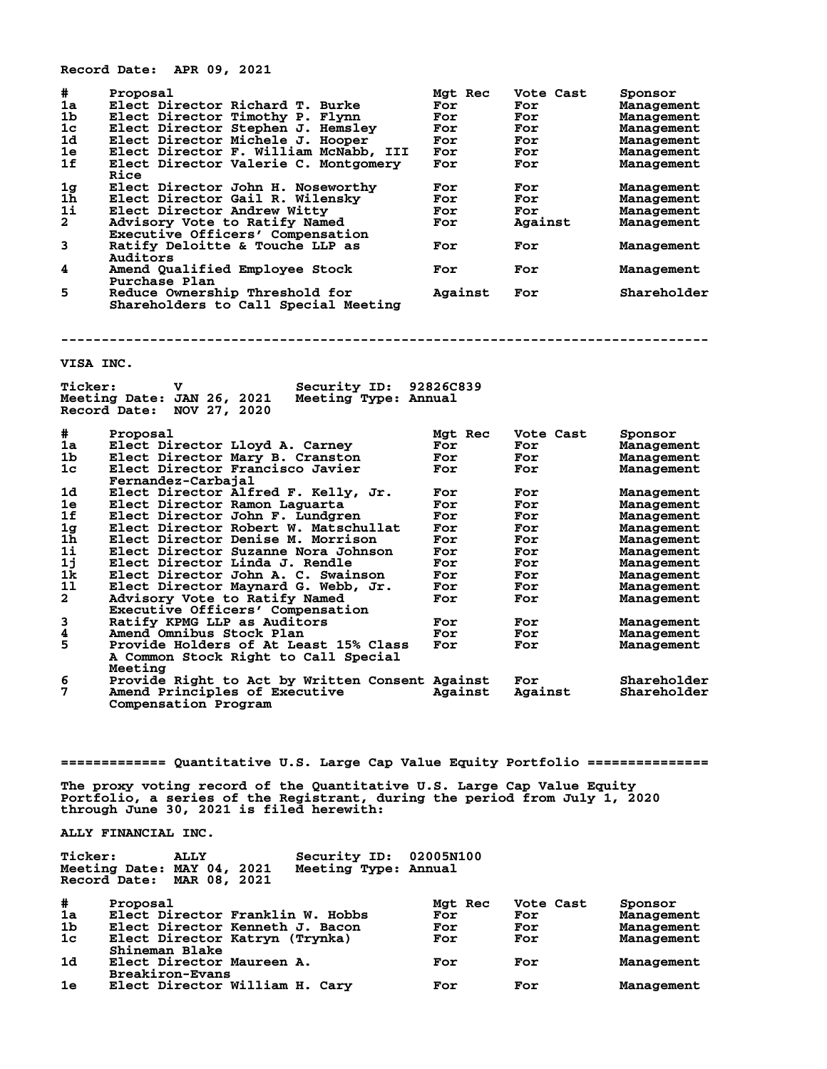**Record Date: APR 09, 2021**

| #              | Proposal                              | Mgt Rec | Vote Cast | Sponsor     |
|----------------|---------------------------------------|---------|-----------|-------------|
| 1a             | Elect Director Richard T. Burke       | For     | For       | Management  |
| 1 <sub>b</sub> | Elect Director Timothy P. Flynn       | For     | For       | Management  |
| 1 <sub>c</sub> | Elect Director Stephen J. Hemsley     | For     | For       | Management  |
| 1 <sub>d</sub> | Elect Director Michele J. Hooper      | For     | For       | Management  |
| 1e             | Elect Director F. William McNabb, III | For     | For       | Management  |
| 1f             | Elect Director Valerie C. Montgomery  | For     | For       | Management  |
|                | Rice                                  |         |           |             |
| 1 <sub>g</sub> | Elect Director John H. Noseworthy     | For     | For       | Management  |
| 1 <sub>h</sub> | Elect Director Gail R. Wilensky       | For     | For       | Management  |
| 11             | Elect Director Andrew Witty           | For     | For       | Management  |
| $\overline{a}$ | Advisory Vote to Ratify Named         | For     | Against   | Management  |
|                | Executive Officers' Compensation      |         |           |             |
| 3              | Ratify Deloitte & Touche LLP as       | For     | For       | Management  |
|                | Auditors                              |         |           |             |
| 4              | Amend Qualified Employee Stock        | For     | For       | Management  |
|                | Purchase Plan                         |         |           |             |
| 5              | Reduce Ownership Threshold for        | Against | For       | Shareholder |
|                | Shareholders to Call Special Meeting  |         |           |             |
|                |                                       |         |           |             |

**--------------------------------------------------------------------------------**

## **VISA INC.**

| <b>Ticker:</b>       | v<br>Meeting Date: JAN 26, 2021                 | Security ID:<br>Meeting Type: Annual | 92826C839 |           |             |
|----------------------|-------------------------------------------------|--------------------------------------|-----------|-----------|-------------|
|                      | Record Date:<br>NOV 27, 2020                    |                                      |           |           |             |
| #                    | Proposal                                        |                                      | Mgt Rec   | Vote Cast | Sponsor     |
| 1a                   | Elect Director Lloyd A. Carney                  |                                      | For       | For       | Management  |
| 1b                   | Elect Director Mary B. Cranston                 |                                      | For       | For       | Management  |
| 1c                   | Elect Director Francisco Javier                 |                                      | For       | For       | Management  |
|                      | Fernandez-Carbajal                              |                                      |           |           |             |
| 1d                   | Elect Director Alfred F. Kelly, Jr.             |                                      | For       | For       | Management  |
| 1e                   | Elect Director Ramon Laguarta                   |                                      | For       | For       | Management  |
| 1f                   | Elect Director John F. Lundgren                 |                                      | For       | For       | Management  |
| $_{\bf 1h}^{\bf 1g}$ | Elect Director Robert W. Matschullat            |                                      | For       | For       | Management  |
|                      | Elect Director Denise M. Morrison               |                                      | For       | For       | Management  |
| 11                   | Elect Director Suzanne Nora Johnson             |                                      | For       | For       | Management  |
| 1j                   | Elect Director Linda J. Rendle                  |                                      | For       | For       | Management  |
| 1k                   | Elect Director John A. C. Swainson              |                                      | For       | For       | Management  |
| 11                   | Elect Director Maynard G. Webb, Jr.             |                                      | For       | For       | Management  |
| $\mathbf{2}$         | Advisory Vote to Ratify Named                   |                                      | For       | For       | Management  |
|                      | Executive Officers' Compensation                |                                      |           |           |             |
| 3                    | Ratify KPMG LLP as Auditors                     |                                      | For       | For       | Management  |
| 4                    | Amend Omnibus Stock Plan                        |                                      | For       | For       | Management  |
| 5                    | Provide Holders of At Least 15% Class           |                                      | For       | For       | Management  |
|                      | A Common Stock Right to Call Special<br>Meeting |                                      |           |           |             |
| 6                    | Provide Right to Act by Written Consent Against |                                      |           | For       | Shareholder |
| 7                    | Amend Principles of Executive                   |                                      | Against   | Against   | Shareholder |
|                      | Compensation Program                            |                                      |           |           |             |

**============= Quantitative U.S. Large Cap Value Equity Portfolio ===============**

**The proxy voting record of the Quantitative U.S. Large Cap Value Equity Portfolio, a series of the Registrant, during the period from July 1, 2020 through June 30, 2021 is filed herewith:**

**ALLY FINANCIAL INC.**

| <b>Ticker:</b>                                          | <b>ALLY</b> | Security ID: 02005N100 |  |
|---------------------------------------------------------|-------------|------------------------|--|
| Meeting Date: MAY 04, 2021<br>Record Date: MAR 08, 2021 |             | Meeting Type: Annual   |  |

| #              | Proposal                         | Mgt Rec | Vote Cast | Sponsor    |
|----------------|----------------------------------|---------|-----------|------------|
| 1a             | Elect Director Franklin W. Hobbs | For     | For       | Management |
| 1b             | Elect Director Kenneth J. Bacon  | For     | For       | Management |
| 1 <sub>c</sub> | Elect Director Katryn (Trynka)   | For     | For       | Management |
|                | Shineman Blake                   |         |           |            |
| 1 <sub>d</sub> | Elect Director Maureen A.        | For     | For       | Management |
|                | <b>Breakiron-Evans</b>           |         |           |            |
| 1e             | Elect Director William H. Cary   | For     | For       | Management |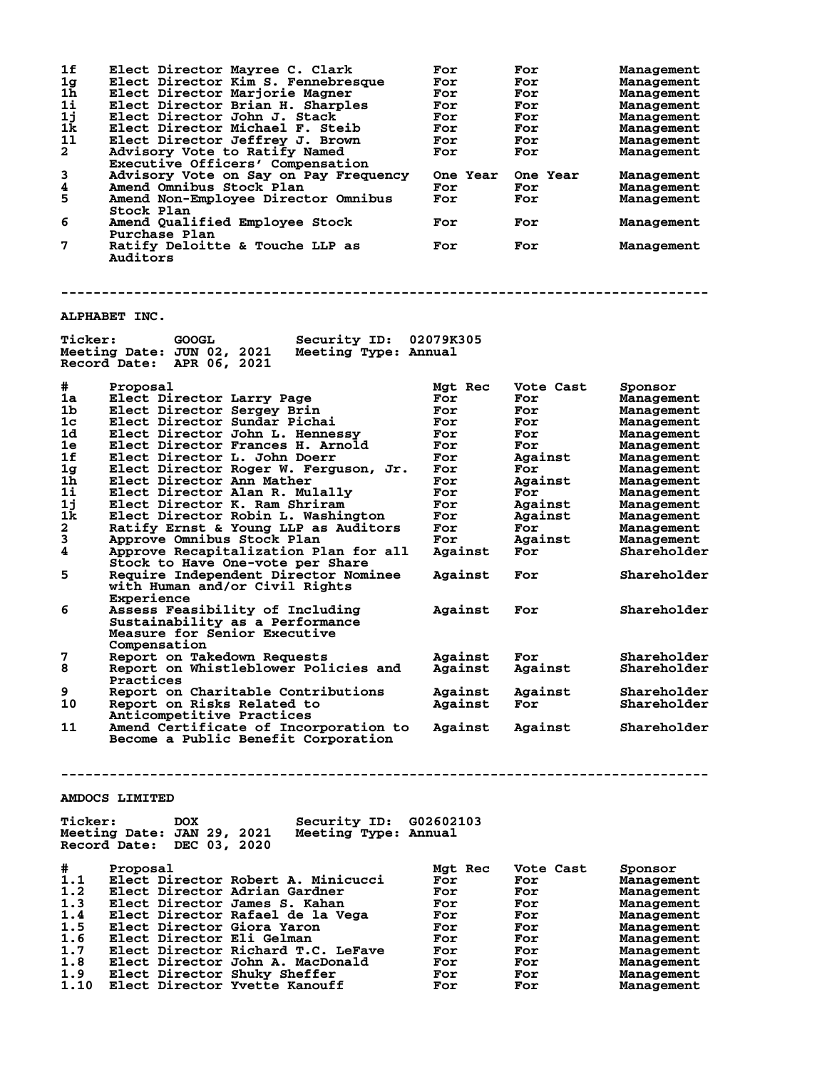| 1f<br>1 <sub>g</sub><br>1 <sub>h</sub><br>11<br>1j | Elect Director Mayree C. Clark<br>Elect Director Kim S. Fennebresque<br>Elect Director Marjorie Magner<br>Elect Director Brian H. Sharples<br>Elect Director John J. Stack | For<br>For<br>For<br>For<br>For | For<br>For<br>For<br>For<br>For | Management<br>Management<br>Management<br>Management<br>Management |
|----------------------------------------------------|----------------------------------------------------------------------------------------------------------------------------------------------------------------------------|---------------------------------|---------------------------------|--------------------------------------------------------------------|
| 1k<br>11<br>$\overline{a}$                         | Elect Director Michael F. Steib<br>Elect Director Jeffrey J. Brown<br>Advisory Vote to Ratify Named<br>Executive Officers' Compensation                                    | For<br>For<br>For               | For<br>For<br>For               | Management<br>Management<br>Management                             |
| 3<br>$\overline{\mathbf{4}}$<br>5                  | Advisory Vote on Say on Pay Frequency<br>Amend Omnibus Stock Plan<br>Amend Non-Employee Director Omnibus<br>Stock Plan                                                     | One Year<br>For<br>For          | One Year<br>For<br>For          | Management<br>Management<br>Management                             |
| 6                                                  | Amend Qualified Employee Stock<br>Purchase Plan                                                                                                                            | For                             | For                             | Management                                                         |
| 7                                                  | Ratify Deloitte & Touche LLP as<br>Auditors                                                                                                                                | For                             | For                             | Management                                                         |
|                                                    |                                                                                                                                                                            |                                 |                                 |                                                                    |
|                                                    | <b>ALPHABET INC.</b>                                                                                                                                                       |                                 |                                 |                                                                    |
| <b>Ticker:</b>                                     | Security ID:<br><b>GOOGL</b><br>Meeting Date: JUN 02, 2021<br>Meeting Type: Annual<br>Record Date: APR 06, 2021                                                            | <b>02079K305</b>                |                                 |                                                                    |
| #                                                  | Proposal                                                                                                                                                                   | Mgt Rec                         | Vote Cast                       | Sponsor                                                            |
| 1a<br>1 <sub>b</sub>                               | Elect Director Larry Page<br><b>Elect Director Sergey Brin</b>                                                                                                             | For<br>For                      | For<br>For                      | Management<br>Management                                           |
| 1 <sub>c</sub>                                     | Elect Director Sundar Pichai                                                                                                                                               | For                             | For                             | Management                                                         |
| 1d<br>1e                                           | Elect Director John L. Hennessy                                                                                                                                            | For                             | For                             | Management                                                         |
| 1f                                                 | Elect Director Frances H. Arnold<br>Elect Director L. John Doerr                                                                                                           | For<br>For                      | For<br>Against                  | Management<br>Management                                           |
| 1 <sub>g</sub>                                     | Elect Director Roger W. Ferguson, Jr.                                                                                                                                      | For                             | For                             | Management                                                         |
| 1 <sub>h</sub>                                     | Elect Director Ann Mather                                                                                                                                                  | For                             | Against                         | Management                                                         |
| 1i<br>1j                                           | Elect Director Alan R. Mulally<br>Elect Director K. Ram Shriram                                                                                                            | For<br>For                      | For<br>Against                  | Management                                                         |
| 1k                                                 | Elect Director Robin L. Washington                                                                                                                                         | For                             | Against                         | Management<br>Management                                           |
| 2                                                  | Ratify Ernst & Young LLP as Auditors                                                                                                                                       | For                             | For                             | Management                                                         |
| 3                                                  | Approve Omnibus Stock Plan                                                                                                                                                 | For                             | Against                         | Management                                                         |
| $\overline{\mathbf{4}}$                            | Approve Recapitalization Plan for all<br>Stock to Have One-vote per Share                                                                                                  | Against                         | For                             | Shareholder                                                        |
| 5                                                  | <b>Require Independent Director Nominee</b><br>with Human and/or Civil Rights<br>Experience                                                                                | Against                         | For                             | Shareholder                                                        |
| 6                                                  | Assess Feasibility of Including<br>Sustainability as a Performance<br>Measure for Senior Executive                                                                         | Against                         | For                             | Shareholder                                                        |
| 7                                                  | Compensation<br>Report on Takedown Requests                                                                                                                                | Against                         | For                             | Shareholder                                                        |
| 8<br>9                                             | Report on Whistleblower Policies and<br>Practices                                                                                                                          | Against                         | Against                         | Shareholder                                                        |
| 10                                                 | Report on Charitable Contributions<br>Report on Risks Related to<br>Anticompetitive Practices                                                                              | Against<br>Against              | Against<br>For                  | Shareholder<br>Shareholder                                         |
| 11                                                 | Amend Certificate of Incorporation to<br>Become a Public Benefit Corporation                                                                                               | Against                         | Against                         | Shareholder                                                        |
|                                                    |                                                                                                                                                                            |                                 |                                 |                                                                    |
|                                                    | <b>AMDOCS LIMITED</b>                                                                                                                                                      |                                 |                                 |                                                                    |
| <b>Ticker:</b>                                     | Security ID: G02602103<br><b>DOX</b><br>Meeting Date: JAN 29, 2021<br>Meeting Type: Annual<br>Record Date: DEC 03, 2020                                                    |                                 |                                 |                                                                    |
| #                                                  | Proposal                                                                                                                                                                   | Mgt Rec                         | Vote Cast                       | Sponsor                                                            |
| 1.1                                                | Elect Director Robert A. Minicucci                                                                                                                                         | For                             | For                             | Management                                                         |
| 1.2                                                | Elect Director Adrian Gardner                                                                                                                                              | For                             | For                             | Management                                                         |
| 1.3<br>1.4                                         | Elect Director James S. Kahan<br>Elect Director Rafael de la Vega                                                                                                          | For<br>For                      | For<br>For                      | Management<br>Management                                           |
| 1.5                                                | Elect Director Giora Yaron                                                                                                                                                 | For                             | For                             | Management                                                         |
| 1.6                                                | Elect Director Eli Gelman                                                                                                                                                  | For                             | For                             | Management                                                         |
| 1.7<br>1.8                                         | Elect Director Richard T.C. LeFave<br>Elect Director John A. MacDonald                                                                                                     | For<br>For                      | For                             | Management                                                         |
| 1.9                                                | Elect Director Shuky Sheffer                                                                                                                                               | For                             | For<br>For                      | Management<br>Management                                           |
| 1.10                                               | Elect Director Yvette Kanouff                                                                                                                                              | For                             | For                             | Management                                                         |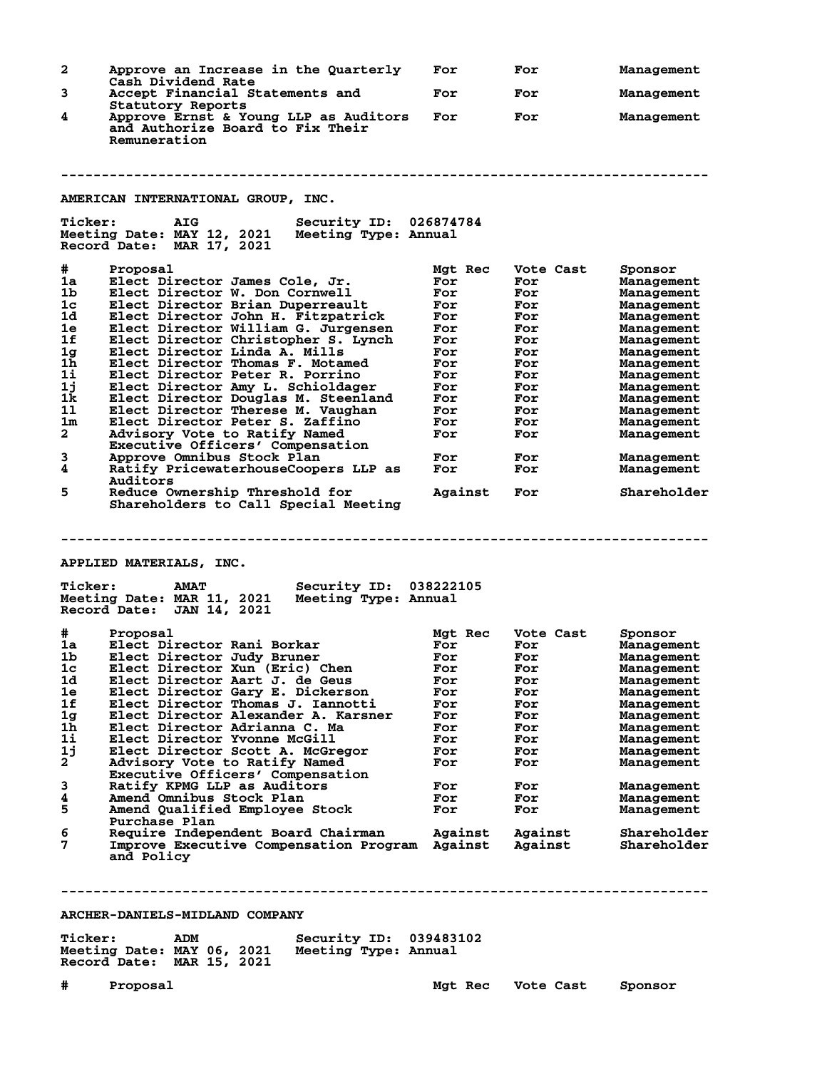**2 Approve an Increase in the Quarterly For For Management Cash Dividend Rate 3 Accept Financial Statements and For For Management Statutory Reports**<br>**4** Approve Ernst & Yo **4 Approve Ernst & Young LLP as Auditors For For Management and Authorize Board to Fix Their Remuneration -------------------------------------------------------------------------------- AMERICAN INTERNATIONAL GROUP, INC. Ticker: AIG Security ID: 026874784** Meeting Date: MAY 12, 2021 **Record Date: MAR 17, 2021 # Proposal Mgt Rec Vote Cast Sponsor 1a Elect Director James Cole, Jr. For For Management 1b Elect Director W. Don Cornwell For For Management 1c Elect Director Brian Duperreault For For Management 1d Elect Director John H. Fitzpatrick For For Management 1e Elect Director William G. Jurgensen For For Management 1f Elect Director Christopher S. Lynch For For Management 1g Elect Director Linda A. Mills For For Management 1h Elect Director Thomas F. Motamed For For Management 1i Elect Director Peter R. Porrino For For Management 1j Elect Director Amy L. Schioldager For For Management 1k Elect Director Douglas M. Steenland For For Management 1l Elect Director Therese M. Vaughan For For Management 1m Elect Director Peter S. Zaffino For For Management 2 Advisory Vote to Ratify Named For For Management Executive Officers' Compensation 3 Advisory Vote to Ratify Named<br>
Executive Officers' Compensation<br>
Approve Omnibus Stock Plan For For Management<br>
Ratify PricewaterhouseCoopers LLP as For For Management<br>
A Ratify PricewaterhouseCoopers LLP as For For Man** Ratify PricewaterhouseCoopers LLP as **Auditors**<br>5 Reduce Ov **5 Reduce Ownership Threshold for Against For Shareholder Shareholders to Call Special Meeting -------------------------------------------------------------------------------- APPLIED MATERIALS, INC. Ticker: AMAT Security ID: 038222105 Meeting Date: MAR 11, 2021 Meeting Type: Annual Record Date: JAN 14, 2021 # Proposal Mgt Rec Vote Cast Sponsor 1a Elect Director Rani Borkar For For Management 1b Elect Director Judy Bruner For For Management 1c Elect Director Xun (Eric) Chen For For Management 1d Elect Director Aart J. de Geus For For Management 1e Elect Director Gary E. Dickerson For For Management 1f Elect Director Thomas J. Iannotti For For Management 1g Elect Director Alexander A. Karsner For For Management 1h Elect Director Adrianna C. Ma For For Management 1i Elect Director Yvonne McGill For For Management 1j Elect Director Scott A. McGregor For For Management 2 Advisory Vote to Ratify Named For For Management Executive Officers' Compensation 3 Ratify KPMG LLP as Auditors For For Management 4 Amend Omnibus Stock Plan For For Management 5 Amend Qualified Employee Stock For For Management** 5 **Amend Qualified Employee Stock**<br>Purchase Plan<br>6 Require Independent Board Chairma **6 Require Independent Board Chairman Against Against Shareholder 7 Improve Executive Compensation Program Against Against Shareholder and Policy -------------------------------------------------------------------------------- ARCHER-DANIELS-MIDLAND COMPANY Ticker: ADM Security ID: 039483102 Meeting Date: MAY 06, 2021 Meeting Type: Annual Record Date: MAR 15, 2021**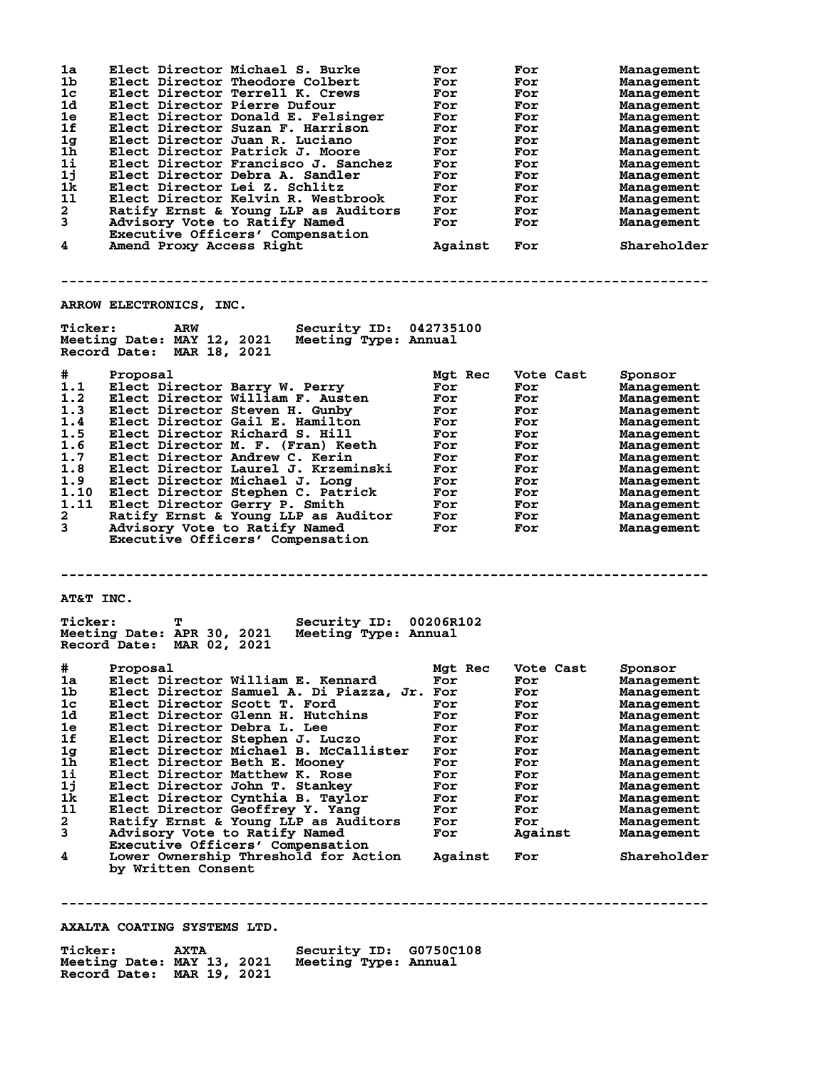| 1a<br>1b<br>$1c$<br>1d<br>1e<br>1f<br>1g<br>$1\bar{h}$<br>1i<br>1j<br>1k<br>11<br>$\mathbf{2}$ | Elect Director Michael S. Burke<br>Elect Director Theodore Colbert<br>Elect Director Terrell K. Crews<br>Elect Director Pierre Dufour<br>Elect Director Donald E. Felsinger<br>Elect Director Suzan F. Harrison<br>Elect Director Juan R. Luciano<br>Elect Director Patrick J. Moore<br>Elect Director Francisco J. Sanchez<br>Elect Director Debra A. Sandler<br>Elect Director Lei Z. Schlitz<br>Elect Director Kelvin R. Westbrook<br>Ratify Ernst & Young LLP as Auditors                                                                                                                                                      | For<br>For<br>For<br>For<br>For<br>For<br>For<br>For<br>For<br>For<br>For<br>For<br>For                       | For<br>For<br>For<br>For<br>For<br>For<br>For<br>For<br>For<br>For<br>For<br>For<br>For                                | Management<br>Management<br>Management<br>Management<br>Management<br>Management<br>Management<br>Management<br>Management<br>Management<br>Management<br>Management<br>Management                                         |
|------------------------------------------------------------------------------------------------|------------------------------------------------------------------------------------------------------------------------------------------------------------------------------------------------------------------------------------------------------------------------------------------------------------------------------------------------------------------------------------------------------------------------------------------------------------------------------------------------------------------------------------------------------------------------------------------------------------------------------------|---------------------------------------------------------------------------------------------------------------|------------------------------------------------------------------------------------------------------------------------|----------------------------------------------------------------------------------------------------------------------------------------------------------------------------------------------------------------------------|
| 3<br>4                                                                                         | Advisory Vote to Ratify Named<br>Executive Officers' Compensation                                                                                                                                                                                                                                                                                                                                                                                                                                                                                                                                                                  | For<br>Against                                                                                                | For                                                                                                                    | Management<br>Shareholder                                                                                                                                                                                                  |
|                                                                                                | Amend Proxy Access Right                                                                                                                                                                                                                                                                                                                                                                                                                                                                                                                                                                                                           |                                                                                                               | For                                                                                                                    |                                                                                                                                                                                                                            |
|                                                                                                | ARROW ELECTRONICS, INC.                                                                                                                                                                                                                                                                                                                                                                                                                                                                                                                                                                                                            |                                                                                                               |                                                                                                                        |                                                                                                                                                                                                                            |
| <b>Ticker:</b>                                                                                 | ARW<br><b>Security ID: 042735100</b><br>Meeting Date: MAY 12, 2021<br>Meeting Type: Annual<br>Record Date: MAR 18, 2021                                                                                                                                                                                                                                                                                                                                                                                                                                                                                                            |                                                                                                               |                                                                                                                        |                                                                                                                                                                                                                            |
| #<br>1.1<br>1.2<br>1.3<br>1.4<br>1.5<br>1.6<br>1.7<br>1.8<br>1.9<br>1.10<br>1.11<br>2<br>3     | Proposal<br>Elect Director Barry W. Perry<br>Elect Director William F. Austen<br>Elect Director Steven H. Gunby<br>Elect Director Gail E. Hamilton<br>Elect Director Richard S. Hill<br>Elect Director M. F. (Fran) Keeth<br>Elect Director Andrew C. Kerin<br>Elect Director Laurel J. Krzeminski<br>Elect Director Michael J. Long<br>Elect Director Stephen C. Patrick<br>Elect Director Gerry P. Smith<br>Ratify Ernst & Young LLP as Auditor<br>Advisory Vote to Ratify Named<br>Executive Officers' Compensation                                                                                                             | Mgt Rec<br>For<br>For<br>For<br>For<br>For<br>For<br>For<br>For<br>For<br>For<br>For<br>For<br>For            | Vote Cast<br>For<br>For<br>For<br>For<br>For<br>For<br>For<br>For<br>For<br>For<br>For<br>For<br>For                   | Sponsor<br>Management<br>Management<br>Management<br>Management<br>Management<br>Management<br>Management<br>Management<br>Management<br>Management<br>Management<br>Management<br>Management                              |
| AT&T INC.                                                                                      |                                                                                                                                                                                                                                                                                                                                                                                                                                                                                                                                                                                                                                    |                                                                                                               |                                                                                                                        |                                                                                                                                                                                                                            |
| <b>Ticker:</b>                                                                                 | т<br>Security ID: 00206R102<br>Meeting Date: APR 30, 2021<br>Meeting Type: Annual<br>Record Date: MAR 02, 2021                                                                                                                                                                                                                                                                                                                                                                                                                                                                                                                     |                                                                                                               |                                                                                                                        |                                                                                                                                                                                                                            |
| $\#$<br>1a<br>1b<br>1c<br>1d<br>1e<br>1f<br>1g<br>1h<br>1i<br>1j<br>1k<br>11<br>2<br>3<br>4    | Proposal<br>Elect Director William E. Kennard<br>Elect Director Samuel A. Di Piazza, Jr. For<br>Elect Director Scott T. Ford<br>Elect Director Glenn H. Hutchins<br>Elect Director Debra L. Lee<br>Elect Director Stephen J. Luczo<br>Elect Director Michael B. McCallister<br>Elect Director Beth E. Mooney<br>Elect Director Matthew K. Rose<br>Elect Director John T. Stankey<br>Elect Director Cynthia B. Taylor<br>Elect Director Geoffrey Y. Yang<br>Ratify Ernst & Young LLP as Auditors<br>Advisory Vote to Ratify Named<br>Executive Officers' Compensation<br>Lower Ownership Threshold for Action<br>by Written Consent | Mgt Rec<br>For<br>For<br>For<br>For<br>For<br>For<br>For<br>For<br>For<br>For<br>For<br>For<br>For<br>Against | Vote Cast<br>For<br>For<br>For<br>For<br>For<br>For<br>For<br>For<br>For<br>For<br>For<br>For<br>For<br>Against<br>For | Sponsor<br>Management<br>Management<br>Management<br>Management<br>Management<br>Management<br>Management<br>Management<br>Management<br>Management<br>Management<br>Management<br>Management<br>Management<br>Shareholder |
|                                                                                                |                                                                                                                                                                                                                                                                                                                                                                                                                                                                                                                                                                                                                                    |                                                                                                               |                                                                                                                        |                                                                                                                                                                                                                            |

**AXALTA COATING SYSTEMS LTD.**

| <b>Ticker:</b>             | <b>AXTA</b> | Security ID: G0750C108 |  |
|----------------------------|-------------|------------------------|--|
| Meeting Date: MAY 13, 2021 |             | Meeting Type: Annual   |  |
| Record Date: MAR 19, 2021  |             |                        |  |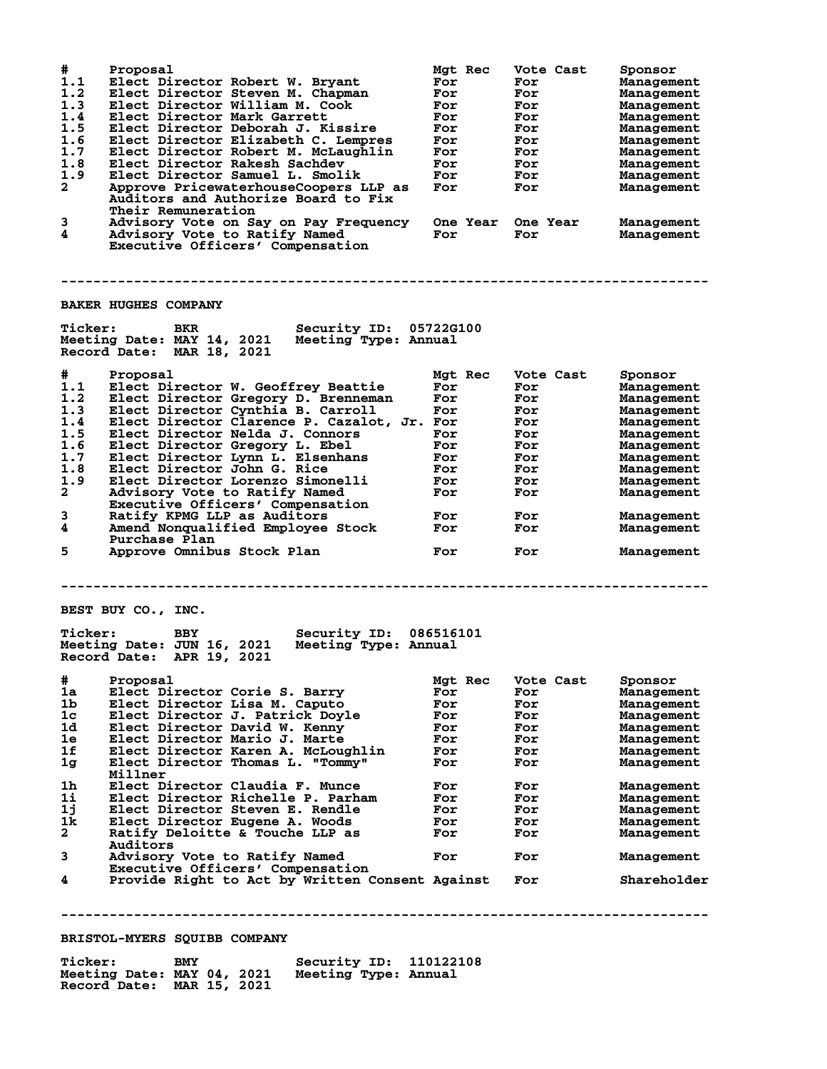| #<br>1.1<br>1.2<br>1.3<br>1.4<br>1.5<br>1.6<br>1.7<br>1.8<br>1.9<br>$\overline{a}$<br>3<br>4 | Proposal<br>Elect Director Robert W. Bryant<br>Elect Director Steven M. Chapman<br>Elect Director William M. Cook<br>Elect Director Mark Garrett<br>Elect Director Deborah J. Kissire<br>Elect Director Elizabeth C. Lempres<br>Elect Director Robert M. McLaughlin<br>Elect Director Rakesh Sachdev<br>Elect Director Samuel L. Smolik<br>Approve PricewaterhouseCoopers LLP as<br>Auditors and Authorize Board to Fix<br>Their Remuneration<br>Advisory Vote on Say on Pay Frequency<br>Advisory Vote to Ratify Named<br>Executive Officers' Compensation | Mgt Rec<br>For<br>For<br>For<br>For<br>For<br>For<br>For<br>For<br>For<br>For<br><b>One Year</b><br>For | Vote Cast<br>For<br>For<br>For<br>For<br>For<br>For<br>For<br>For<br>For<br>For<br>One Year<br>For | Sponsor<br>Management<br>Management<br>Management<br>Management<br>Management<br>Management<br>Management<br>Management<br>Management<br>Management<br>Management<br>Management |
|----------------------------------------------------------------------------------------------|-------------------------------------------------------------------------------------------------------------------------------------------------------------------------------------------------------------------------------------------------------------------------------------------------------------------------------------------------------------------------------------------------------------------------------------------------------------------------------------------------------------------------------------------------------------|---------------------------------------------------------------------------------------------------------|----------------------------------------------------------------------------------------------------|---------------------------------------------------------------------------------------------------------------------------------------------------------------------------------|
|                                                                                              |                                                                                                                                                                                                                                                                                                                                                                                                                                                                                                                                                             |                                                                                                         |                                                                                                    |                                                                                                                                                                                 |
|                                                                                              | <b>BAKER HUGHES COMPANY</b>                                                                                                                                                                                                                                                                                                                                                                                                                                                                                                                                 |                                                                                                         |                                                                                                    |                                                                                                                                                                                 |
| <b>Ticker:</b>                                                                               | BKR<br><b>Security ID: 05722G100</b><br>Meeting Date: MAY 14, 2021 Meeting Type: Annual<br>Record Date: MAR 18, 2021                                                                                                                                                                                                                                                                                                                                                                                                                                        |                                                                                                         |                                                                                                    |                                                                                                                                                                                 |
| #                                                                                            | Proposal                                                                                                                                                                                                                                                                                                                                                                                                                                                                                                                                                    | Mgt Rec                                                                                                 | Vote Cast                                                                                          | Sponsor                                                                                                                                                                         |
| 1.1                                                                                          | Elect Director W. Geoffrey Beattie                                                                                                                                                                                                                                                                                                                                                                                                                                                                                                                          | For                                                                                                     | For                                                                                                | Management                                                                                                                                                                      |
| 1.2<br>1.3                                                                                   | Elect Director Gregory D. Brenneman                                                                                                                                                                                                                                                                                                                                                                                                                                                                                                                         | For                                                                                                     | For                                                                                                | Management                                                                                                                                                                      |
| 1.4                                                                                          | Elect Director Cynthia B. Carroll<br>Elect Director Clarence P. Cazalot, Jr. For                                                                                                                                                                                                                                                                                                                                                                                                                                                                            | For                                                                                                     | For<br>For                                                                                         | Management<br>Management                                                                                                                                                        |
| 1.5                                                                                          | Elect Director Nelda J. Connors                                                                                                                                                                                                                                                                                                                                                                                                                                                                                                                             | For                                                                                                     | For                                                                                                | Management                                                                                                                                                                      |
| 1.6                                                                                          | Elect Director Gregory L. Ebel                                                                                                                                                                                                                                                                                                                                                                                                                                                                                                                              | For                                                                                                     | For                                                                                                | Management                                                                                                                                                                      |
| 1.7                                                                                          | Elect Director Lynn L. Elsenhans                                                                                                                                                                                                                                                                                                                                                                                                                                                                                                                            | For                                                                                                     | For                                                                                                | Management                                                                                                                                                                      |
| 1.8                                                                                          | Elect Director John G. Rice                                                                                                                                                                                                                                                                                                                                                                                                                                                                                                                                 | For                                                                                                     | For                                                                                                | Management                                                                                                                                                                      |
| 1.9                                                                                          | Elect Director Lorenzo Simonelli                                                                                                                                                                                                                                                                                                                                                                                                                                                                                                                            | For                                                                                                     | For                                                                                                | Management                                                                                                                                                                      |
| 2                                                                                            | Advisory Vote to Ratify Named                                                                                                                                                                                                                                                                                                                                                                                                                                                                                                                               | For                                                                                                     | For                                                                                                | Management                                                                                                                                                                      |
|                                                                                              | Executive Officers' Compensation                                                                                                                                                                                                                                                                                                                                                                                                                                                                                                                            |                                                                                                         |                                                                                                    |                                                                                                                                                                                 |
| 3<br>4                                                                                       | Ratify KPMG LLP as Auditors<br>Amend Nonqualified Employee Stock                                                                                                                                                                                                                                                                                                                                                                                                                                                                                            | For<br>For                                                                                              | For<br>For                                                                                         | Management<br>Management                                                                                                                                                        |
| 5                                                                                            | Purchase Plan<br>Approve Omnibus Stock Plan                                                                                                                                                                                                                                                                                                                                                                                                                                                                                                                 | For                                                                                                     | For                                                                                                | Management                                                                                                                                                                      |
|                                                                                              |                                                                                                                                                                                                                                                                                                                                                                                                                                                                                                                                                             |                                                                                                         |                                                                                                    |                                                                                                                                                                                 |
|                                                                                              | BEST BUY CO., INC.                                                                                                                                                                                                                                                                                                                                                                                                                                                                                                                                          |                                                                                                         |                                                                                                    |                                                                                                                                                                                 |
| <b>Ticker:</b>                                                                               | <b>BBY</b><br><b>Security ID:</b><br>Meeting Date: JUN 16, 2021<br>Meeting Type: Annual<br>Record Date: APR 19, 2021                                                                                                                                                                                                                                                                                                                                                                                                                                        | 086516101                                                                                               |                                                                                                    |                                                                                                                                                                                 |
| #                                                                                            | Proposal                                                                                                                                                                                                                                                                                                                                                                                                                                                                                                                                                    | Mgt Rec                                                                                                 | Vote Cast                                                                                          | Sponsor                                                                                                                                                                         |
| 1a                                                                                           | Elect Director Corie S. Barry                                                                                                                                                                                                                                                                                                                                                                                                                                                                                                                               | For                                                                                                     | For                                                                                                | <b>Management</b>                                                                                                                                                               |
| 1b                                                                                           | Elect Director Lisa M. Caputo                                                                                                                                                                                                                                                                                                                                                                                                                                                                                                                               | For                                                                                                     | For                                                                                                | <b>Management</b>                                                                                                                                                               |
| 1c                                                                                           | Elect Director J. Patrick Doyle                                                                                                                                                                                                                                                                                                                                                                                                                                                                                                                             | For                                                                                                     | For                                                                                                | Management                                                                                                                                                                      |
| 1d                                                                                           | Elect Director David W. Kenny                                                                                                                                                                                                                                                                                                                                                                                                                                                                                                                               | For                                                                                                     | For                                                                                                | Management                                                                                                                                                                      |
| 1e<br>1f                                                                                     | Elect Director Mario J. Marte<br>Elect Director Karen A. McLoughlin                                                                                                                                                                                                                                                                                                                                                                                                                                                                                         | For                                                                                                     | For                                                                                                | Management                                                                                                                                                                      |
| 1 <sub>g</sub>                                                                               | Elect Director Thomas L. "Tommy"                                                                                                                                                                                                                                                                                                                                                                                                                                                                                                                            | For<br>For                                                                                              | For<br>For                                                                                         | Management                                                                                                                                                                      |
|                                                                                              | Millner                                                                                                                                                                                                                                                                                                                                                                                                                                                                                                                                                     |                                                                                                         |                                                                                                    | Management                                                                                                                                                                      |
| 1h                                                                                           | Elect Director Claudia F. Munce                                                                                                                                                                                                                                                                                                                                                                                                                                                                                                                             | For                                                                                                     | For                                                                                                | Management                                                                                                                                                                      |
| 1i                                                                                           | Elect Director Richelle P. Parham                                                                                                                                                                                                                                                                                                                                                                                                                                                                                                                           | For                                                                                                     | For                                                                                                | Management                                                                                                                                                                      |
| 1j                                                                                           | Elect Director Steven E. Rendle                                                                                                                                                                                                                                                                                                                                                                                                                                                                                                                             | For                                                                                                     | For                                                                                                | Management                                                                                                                                                                      |
| 1k                                                                                           | Elect Director Eugene A. Woods                                                                                                                                                                                                                                                                                                                                                                                                                                                                                                                              | For                                                                                                     | For                                                                                                | Management                                                                                                                                                                      |
| $\mathbf{2}$                                                                                 | Ratify Deloitte & Touche LLP as<br>Auditors                                                                                                                                                                                                                                                                                                                                                                                                                                                                                                                 | For                                                                                                     | For                                                                                                | Management                                                                                                                                                                      |
| 3                                                                                            | Advisory Vote to Ratify Named<br>Executive Officers' Compensation                                                                                                                                                                                                                                                                                                                                                                                                                                                                                           | For                                                                                                     | For                                                                                                | Management                                                                                                                                                                      |
| 4                                                                                            | Provide Right to Act by Written Consent Against                                                                                                                                                                                                                                                                                                                                                                                                                                                                                                             |                                                                                                         | For                                                                                                | Shareholder                                                                                                                                                                     |
|                                                                                              |                                                                                                                                                                                                                                                                                                                                                                                                                                                                                                                                                             |                                                                                                         |                                                                                                    |                                                                                                                                                                                 |
|                                                                                              | <b>BRISTOL-MYERS SQUIBB COMPANY</b>                                                                                                                                                                                                                                                                                                                                                                                                                                                                                                                         |                                                                                                         |                                                                                                    |                                                                                                                                                                                 |
|                                                                                              |                                                                                                                                                                                                                                                                                                                                                                                                                                                                                                                                                             |                                                                                                         |                                                                                                    |                                                                                                                                                                                 |

| <b>Ticker:</b>                                          | BMY | Security ID: 110122108 |  |
|---------------------------------------------------------|-----|------------------------|--|
| Meeting Date: MAY 04, 2021<br>Record Date: MAR 15, 2021 |     | Meeting Type: Annual   |  |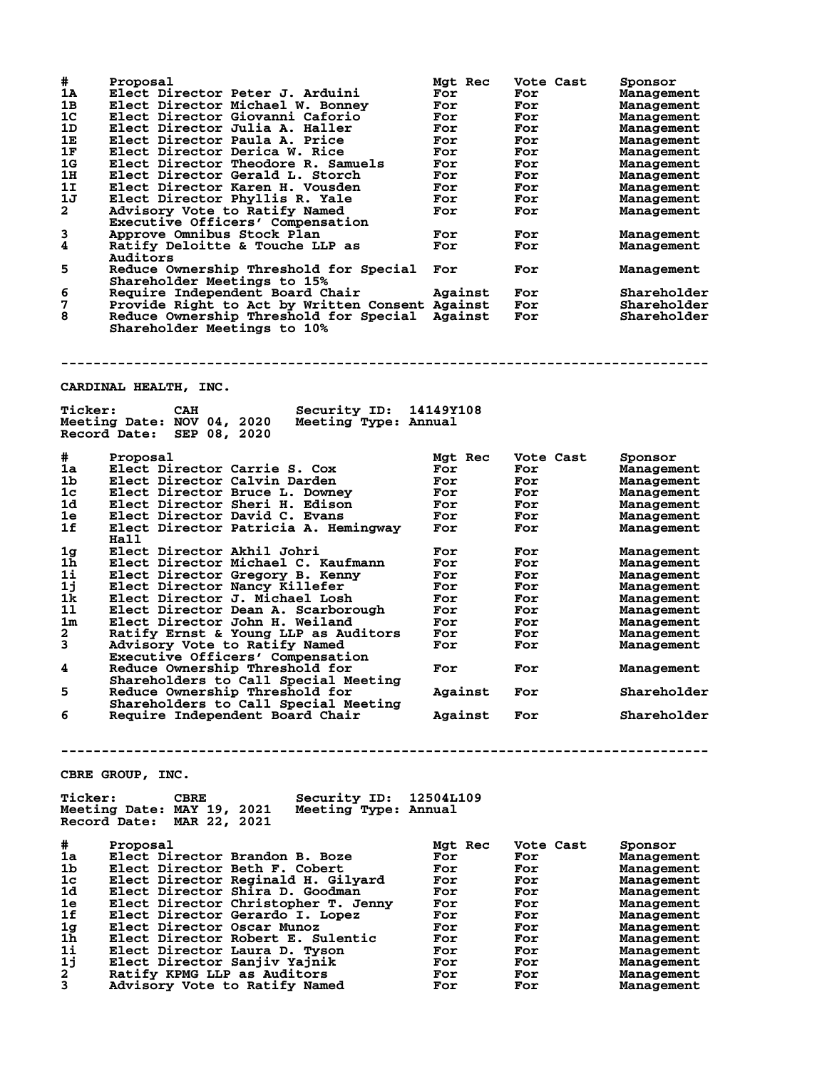|                                         | Proposal                                                     | Mgt Rec        | Vote Cast  | Sponsor                  |
|-----------------------------------------|--------------------------------------------------------------|----------------|------------|--------------------------|
| 1Α                                      | Elect Director Peter J. Arduini                              | For            | For        | Management               |
| 1в                                      | Elect Director Michael W. Bonney                             | For            | For        | Management               |
| 1 <sup>c</sup>                          | Elect Director Giovanni Caforio                              | For            | For        | Management               |
| 1D                                      | Elect Director Julia A. Haller                               | For            | For        | Management               |
| 1Е                                      | Elect Director Paula A. Price                                | For            | For        | Management               |
| 1F                                      | Elect Director Derica W. Rice                                | For            | For        | Management               |
| 1G                                      | Elect Director Theodore R. Samuels                           | For            | For        | Management               |
| 1н                                      | Elect Director Gerald L. Storch                              | For            | For        | Management               |
| 1I                                      | Elect Director Karen H. Vousden                              | For            | For        | Management               |
| 1J                                      | Elect Director Phyllis R. Yale                               | For            | For        | Management               |
| 2                                       | Advisory Vote to Ratify Named                                | For            | For        | Management               |
|                                         | Executive Officers' Compensation                             |                |            |                          |
| 3<br>4                                  | Approve Omnibus Stock Plan                                   | For            | For        | Management               |
|                                         | Ratify Deloitte & Touche LLP as<br>Auditors                  | For            | For        | Management               |
| 5                                       | Reduce Ownership Threshold for Special                       | For            |            |                          |
|                                         | Shareholder Meetings to 15%                                  |                | For        | Management               |
| 6                                       | Require Independent Board Chair                              | Against        | For        | Shareholder              |
| 7                                       | Provide Right to Act by Written Consent Against              |                | For        | Shareholder              |
| 8                                       | Reduce Ownership Threshold for Special Against               |                | For        | Shareholder              |
|                                         | Shareholder Meetings to 10%                                  |                |            |                          |
|                                         |                                                              |                |            |                          |
|                                         |                                                              |                |            |                          |
|                                         |                                                              |                |            |                          |
|                                         |                                                              |                |            |                          |
|                                         |                                                              |                |            |                          |
|                                         | <b>CARDINAL HEALTH, INC.</b>                                 |                |            |                          |
| <b>Ticker:</b>                          | Security ID:<br><b>CAH</b>                                   | 14149Y108      |            |                          |
|                                         | Meeting Date: NOV 04, 2020<br>Meeting Type: Annual           |                |            |                          |
|                                         | Record Date: SEP 08, 2020                                    |                |            |                          |
|                                         |                                                              |                |            |                          |
| #                                       | Proposal                                                     | <b>Mat Rec</b> | Vote Cast  | Sponsor                  |
| 1a                                      | Elect Director Carrie S. Cox                                 | For            | For        | Management               |
| 1b.                                     | Elect Director Calvin Darden                                 | For            | For        |                          |
| 1c                                      | Elect Director Bruce L. Downey                               | For            |            | Management               |
|                                         |                                                              |                | For        | Management               |
| 1d                                      | Elect Director Sheri H. Edison                               | For            | For        | Management               |
| 1e                                      | Elect Director David C. Evans                                | For            | For        | Management               |
| 1f                                      | Elect Director Patricia A. Hemingway                         | For            | For        | Management               |
|                                         | Hall                                                         |                |            |                          |
| 1g                                      | Elect Director Akhil Johri                                   | For            | For        | Management               |
|                                         | Elect Director Michael C. Kaufmann                           | For            | For        | Management               |
| 1h                                      |                                                              |                |            | Management               |
| 1i                                      | Elect Director Gregory B. Kenny                              | For            | For        |                          |
| 1j                                      | Elect Director Nancy Killefer                                | For            | For        | Management               |
| 1k                                      | Elect Director J. Michael Losh                               | For            | For        | Management               |
| 11                                      | Elect Director Dean A. Scarborough                           | For            | For        | Management               |
| 1m                                      | Elect Director John H. Weiland                               | For            | For        | Management               |
| 2                                       | Ratify Ernst & Young LLP as Auditors                         | For            | For        | Management               |
| 3                                       | Advisory Vote to Ratify Named                                | For            | For        | Management               |
|                                         | Executive Officers' Compensation                             |                |            |                          |
| 4                                       | Reduce Ownership Threshold for                               | For            | For        | Management               |
|                                         | Shareholders to Call Special Meeting                         |                |            |                          |
| 5                                       | Reduce Ownership Threshold for                               | Against        | For        | Shareholder              |
|                                         | Shareholders to Call Special Meeting                         |                |            |                          |
| 6                                       | Require Independent Board Chair                              | Against        | For        | Shareholder              |
|                                         |                                                              |                |            |                          |
|                                         |                                                              |                |            |                          |
|                                         |                                                              |                |            |                          |
|                                         |                                                              |                |            |                          |
|                                         | CBRE GROUP, INC.                                             |                |            |                          |
|                                         |                                                              |                |            |                          |
| <b>Ticker:</b>                          | Security ID: 12504L109<br><b>CBRE</b>                        |                |            |                          |
|                                         | Meeting Date: MAY 19, 2021<br>Meeting Type: Annual           |                |            |                          |
|                                         | Record Date: MAR 22, 2021                                    |                |            |                          |
|                                         |                                                              |                |            |                          |
| #.                                      | Proposal                                                     | Mgt Rec        | Vote Cast  | Sponsor                  |
| 1a                                      | Elect Director Brandon B. Boze                               | For            | For        | Management               |
| 1b                                      | Elect Director Beth F. Cobert                                | For            | For        | Management               |
| 1 <sub>c</sub>                          | Elect Director Reginald H. Gilyard                           | For            | For        | Management               |
| 1d                                      | Elect Director Shira D. Goodman                              | For            | For        | Management               |
| 1e                                      | Elect Director Christopher T. Jenny                          | For            | For        | Management               |
| 1f                                      | Elect Director Gerardo I. Lopez                              | For            | For        | Management               |
| 1 <sub>g</sub>                          | Elect Director Oscar Munoz                                   | For            | For        | Management               |
| 1h                                      | Elect Director Robert E. Sulentic                            | For            | For        | Management               |
| 1i                                      |                                                              | For            | For        |                          |
|                                         | Elect Director Laura D. Tyson                                | For            |            | Management               |
| 1j                                      | Elect Director Sanjiv Yajnik                                 |                | For        | Management               |
| $\mathbf{2}$<br>$\overline{\mathbf{3}}$ | Ratify KPMG LLP as Auditors<br>Advisory Vote to Ratify Named | For<br>For     | For<br>For | Management<br>Management |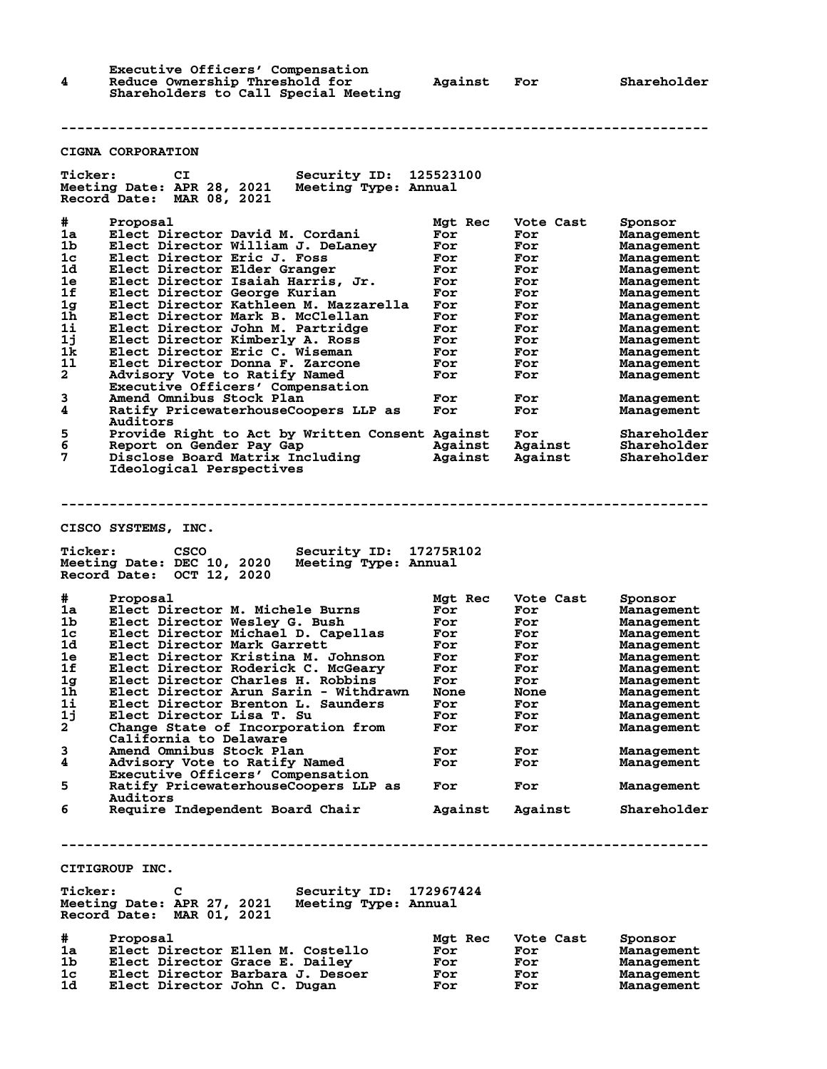**Executive Officers' Compensation 4 Reduce Ownership Threshold for Against For Shareholder Shareholders to Call Special Meeting**

## **CIGNA CORPORATION**

**Ticker: CI Security ID: 125523100 Meeting Date: APR 28, 2021 Meeting Type: Annual Record Date: MAR 08, 2021 # Proposal Mgt Rec Vote Cast Sponsor 1a Elect Director David M. Cordani For For Management 1b Elect Director William J. DeLaney For For Management 1c Elect Director Eric J. Foss For For Management 1d Elect Director Elder Granger For For Management 1e Elect Director Isaiah Harris, Jr. For For Management 1f Elect Director George Kurian For For Management 1g Elect Director Kathleen M. Mazzarella For For Management 1h Elect Director Mark B. McClellan For For Management 1i Elect Director John M. Partridge For For Management 1j Elect Director Kimberly A. Ross For For Management 1k Elect Director Eric C. Wiseman For For Management 1l Elect Director Donna F. Zarcone For For Management 2 Advisory Vote to Ratify Named For For Management Executive Officers' Compensation 3 Amend Omnibus Stock Plan For For Management 4 Ratify PricewaterhouseCoopers LLP as For For Management EXECUTE:** Amend Omnibus Stock Plan and For For Management<br>
Ratify PricewaterhouseCoopers LLP as For For Management<br>
Auditors<br>
Frovide Right to Act by Written Consent Against For Shareholde:<br>
Report on Gender Pay Gap again **5 Provide Right to Act by Written Consent Against For Shareholder 6 Report on Gender Pay Gap Against Against Shareholder 7 Disclose Board Matrix Including Against Against Shareholder Ideological Perspectives -------------------------------------------------------------------------------- CISCO SYSTEMS, INC. Ticker: CSCO Security ID: 17275R102 Meeting Date: DEC 10, 2020 Meeting Type: Annual Record Date: OCT 12, 2020 # Proposal Mgt Rec Vote Cast Sponsor 1a Elect Director M. Michele Burns For For Management 1b Elect Director Wesley G. Bush For For Management 1c Elect Director Michael D. Capellas For For Management 1d Elect Director Mark Garrett For For Management 1e Elect Director Kristina M. Johnson For For Management 1f Elect Director Roderick C. McGeary For For Management 1g Elect Director Charles H. Robbins For For Management 1h Elect Director Arun Sarin - Withdrawn None None Management 1i Elect Director Brenton L. Saunders For For Management 1j Elect Director Lisa T. Su For For Management 2 Change State of Incorporation from For For Management California to Delaware 3 Amend Omnibus Stock Plan For For Management 4 Advisory Vote to Ratify Named For For Management Executive Officers' Compensation 5 Ratify PricewaterhouseCoopers LLP as For For Management** Auditors<br>**6** Require : Require Independent Board Chair **Against Against Shareholder -------------------------------------------------------------------------------- CITIGROUP INC. Ticker: C Security ID: 172967424 Meeting Date: APR 27, 2021 Meeting Type: Annual Record Date: MAR 01, 2021 # Proposal Mgt Rec Vote Cast Sponsor 1a Elect Director Ellen M. Costello For For Management 1b Elect Director Grace E. Dailey For For Management 1c Elect Director Barbara J. Desoer For For Management**

**1d Elect Director John C. Dugan For For Management**

**--------------------------------------------------------------------------------**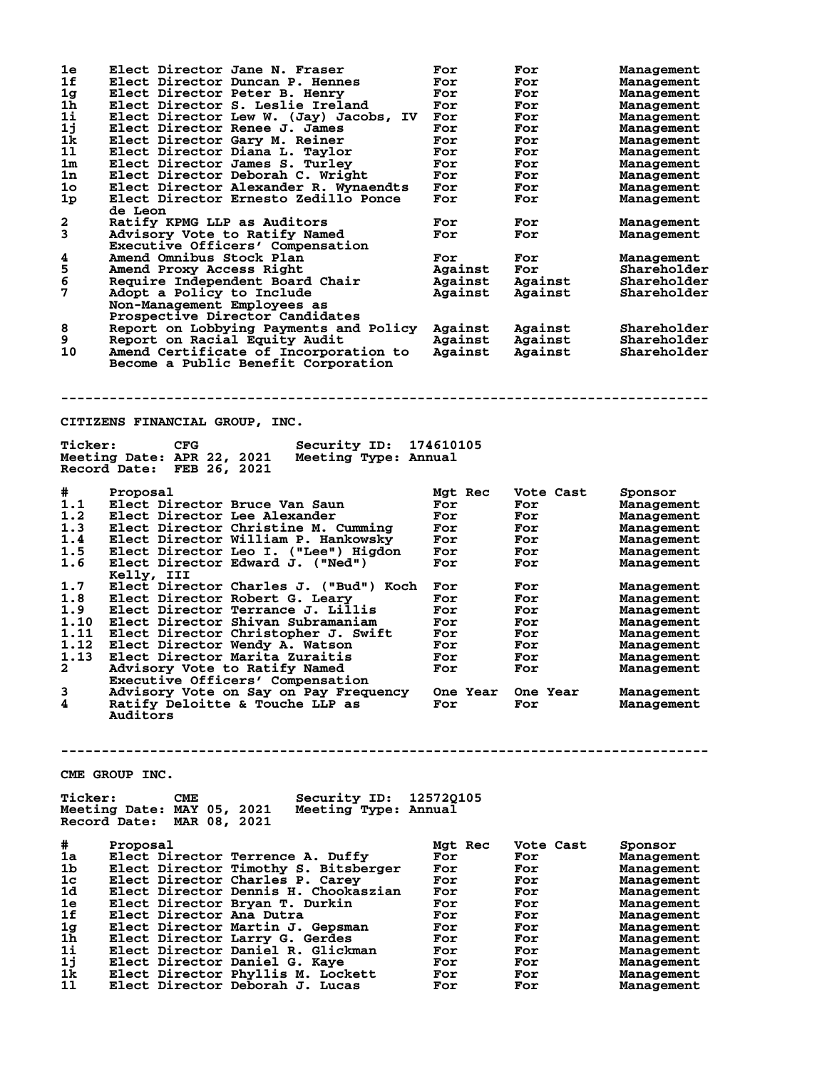| 1e             | Elect Director Jane N. Fraser                                        | For        | For               | <b>Management</b>        |
|----------------|----------------------------------------------------------------------|------------|-------------------|--------------------------|
| 1f             | Elect Director Duncan P. Hennes                                      | For        | For               | Management               |
| 1 <sub>g</sub> | Elect Director Peter B. Henry                                        | For        | For               | Management               |
| 1h             | Elect Director S. Leslie Ireland                                     |            |                   |                          |
|                |                                                                      | For        | For               | <b>Management</b>        |
| 1i             | Elect Director Lew W. (Jay) Jacobs, IV                               | For        | For               | Management               |
| 1j             | Elect Director Renee J. James                                        | For        | For               | Management               |
| 1k             | Elect Director Gary M. Reiner                                        | For        | For               | Management               |
| 11             | Elect Director Diana L. Taylor                                       | For        | For               | Management               |
| 1 <sub>m</sub> | Elect Director James S. Turley                                       | For        | For               | Management               |
| 1n             | Elect Director Deborah C. Wright                                     | For        | For               | Management               |
| 1 <sub>o</sub> | Elect Director Alexander R. Wynaendts                                | For        | For               | Management               |
| 1 <sub>p</sub> | Elect Director Ernesto Zedillo Ponce                                 | For        | For               | Management               |
|                | de Leon                                                              |            |                   |                          |
|                |                                                                      |            |                   |                          |
| 2              | Ratify KPMG LLP as Auditors                                          | For        | For               | Management               |
| 3              | Advisory Vote to Ratify Named                                        | For        | For               | Management               |
|                | Executive Officers' Compensation                                     |            |                   |                          |
| 4              | Amend Omnibus Stock Plan                                             | For        | For               | Management               |
| 5              | Amend Proxy Access Right                                             | Against    | For               | Shareholder              |
| $\overline{6}$ | Require Independent Board Chair                                      | Against    | Against           | Shareholder              |
| 7              | Adopt a Policy to Include                                            | Against    | Against           | Shareholder              |
|                |                                                                      |            |                   |                          |
|                | Non-Management Employees as                                          |            |                   |                          |
|                | Prospective Director Candidates                                      |            |                   |                          |
| 8              | Report on Lobbying Payments and Policy                               | Against    | Against           | Shareholder              |
| 9              | Report on Racial Equity Audit                                        | Against    | Against           | Shareholder              |
| 10             | Amend Certificate of Incorporation to                                | Against    | Against           | Shareholder              |
|                | Become a Public Benefit Corporation                                  |            |                   |                          |
|                |                                                                      |            |                   |                          |
|                |                                                                      |            |                   |                          |
|                |                                                                      |            |                   |                          |
|                |                                                                      |            |                   |                          |
|                |                                                                      |            |                   |                          |
|                | CITIZENS FINANCIAL GROUP, INC.                                       |            |                   |                          |
|                |                                                                      |            |                   |                          |
| <b>Ticker:</b> | Security ID:<br><b>CFG</b>                                           | 174610105  |                   |                          |
|                | Meeting Date: APR 22, 2021<br>Meeting Type: Annual                   |            |                   |                          |
|                | Record Date: FEB 26, 2021                                            |            |                   |                          |
|                |                                                                      |            |                   |                          |
| #              | Proposal                                                             | Mgt Rec    | Vote Cast         | Sponsor                  |
| 1.1            | Elect Director Bruce Van Saun                                        | For        | For               | Management               |
|                |                                                                      |            |                   |                          |
| 1.2            | Elect Director Lee Alexander                                         | For        | For               | Management               |
| 1.3            | Elect Director Christine M. Cumming                                  | For        | For               | Management               |
| 1.4            | Elect Director William P. Hankowsky                                  | For        | For               | Management               |
| 1.5            | Elect Director Leo I. ("Lee") Higdon                                 | For        | For               | Management               |
|                | Elect Director Edward J. ("Ned")                                     | For        | For               | Management               |
|                |                                                                      |            |                   |                          |
| 1.6            |                                                                      |            |                   |                          |
|                | Kelly, III                                                           |            |                   |                          |
| 1.7            | Elect Director Charles J. ("Bud") Koch                               | For        | For               | Management               |
| 1.8            | Elect Director Robert G. Learv                                       | For        | For               | Management               |
| 1.9            | Elect Director Terrance J. Lillis                                    | For        | For               | Management               |
| 1.10           | Elect Director Shivan Subramaniam                                    | For        | For               | Management               |
| 1.11           | Elect Director Christopher J. Swift                                  | For        | For               | Management               |
|                |                                                                      | For        | For               | Management               |
| 1.12           | Elect Director Wendy A. Watson<br>Elect Director Marita Zuraitis     | For        | For               |                          |
| 1.13           |                                                                      |            |                   | Management               |
| 2              | Advisory Vote to Ratify Named                                        | For        | For               | Management               |
|                | Executive Officers' Compensation                                     |            |                   |                          |
| 3              | Advisory Vote on Say on Pay Frequency                                |            | One Year One Year | Management               |
| 4              | Ratify Deloitte & Touche LLP as                                      | For        | For               | Management               |
|                | Auditors                                                             |            |                   |                          |
|                |                                                                      |            |                   |                          |
|                |                                                                      |            |                   |                          |
|                |                                                                      |            |                   |                          |
|                |                                                                      |            |                   |                          |
|                |                                                                      |            |                   |                          |
|                | CME GROUP INC.                                                       |            |                   |                          |
|                |                                                                      |            |                   |                          |
| <b>Ticker:</b> | Security ID: 125720105<br>CME                                        |            |                   |                          |
|                | Meeting Date: MAY 05, 2021<br>Meeting Type: Annual                   |            |                   |                          |
|                | Record Date: MAR 08, 2021                                            |            |                   |                          |
|                |                                                                      |            |                   |                          |
| #              | Proposal                                                             | Mgt Rec    | Vote Cast         | Sponsor                  |
| 1a             | Elect Director Terrence A. Duffy                                     | For        | For               | <b>Management</b>        |
| 1b             |                                                                      | For        | For               |                          |
|                | Elect Director Timothy S. Bitsberger                                 |            |                   | <b>Management</b>        |
| 1c             | Elect Director Charles P. Carey                                      | For        | For               | Management               |
| 1d             | Elect Director Dennis H. Chookaszian                                 | For        | For               | Management               |
| 1e             | Elect Director Bryan T. Durkin                                       | For        | For               | Management               |
| 1f             | Elect Director Ana Dutra                                             | For        | For               | Management               |
| 1 <sub>g</sub> | Elect Director Martin J. Gepsman                                     | For        | For               | Management               |
| 1h             | Elect Director Larry G. Gerdes                                       | For        | For               | <b>Management</b>        |
| 1i             | Elect Director Daniel R. Glickman                                    | For        | For               | Management               |
|                |                                                                      |            |                   |                          |
| 1j             | Elect Director Daniel G. Kaye                                        | For        | For               | Management               |
| 1k.<br>11      | Elect Director Phyllis M. Lockett<br>Elect Director Deborah J. Lucas | For<br>For | For<br>For        | Management<br>Management |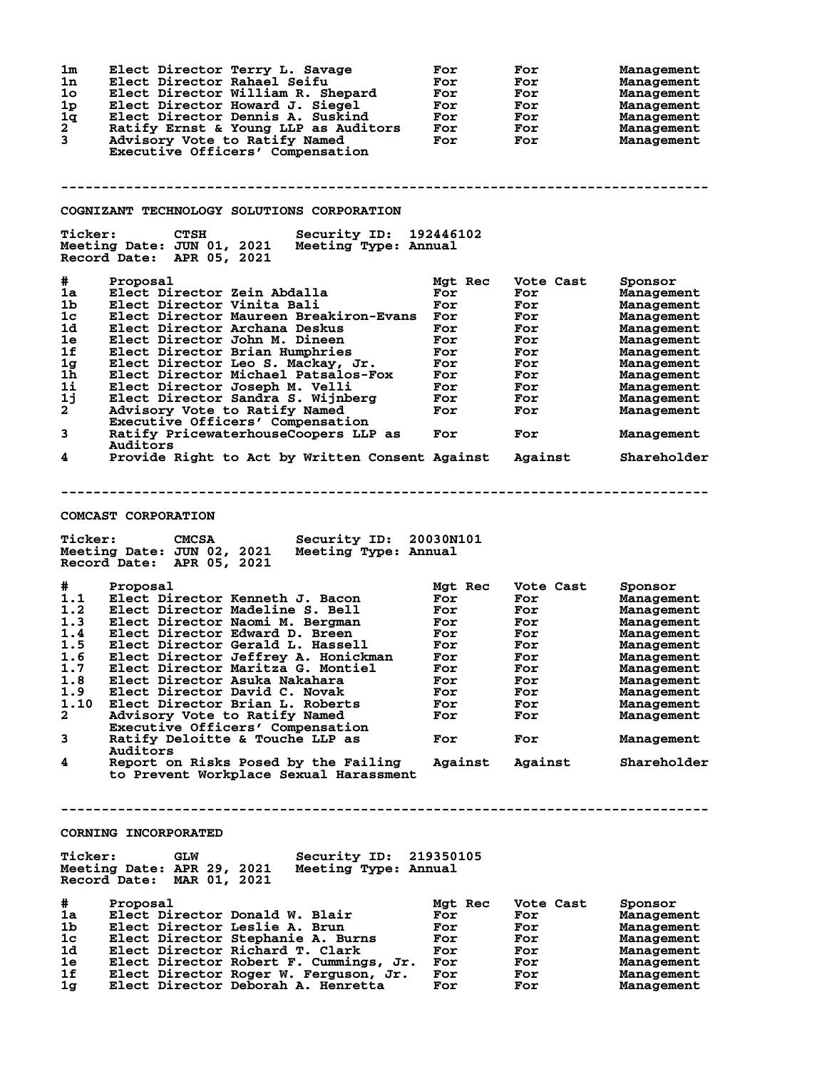| 1 <sub>m</sub><br>Elect Director Terry L. Savage<br>1n<br>Elect Director Rahael Seifu<br>1 <sub>o</sub><br>Elect Director William R. Shepard<br>1 <sub>p</sub><br>Elect Director Howard J. Siegel<br>1q<br>Elect Director Dennis A. Suskind | For<br>For<br>For<br>For<br>For | For<br>For<br>For<br>For<br>For | <b>Management</b><br>Management<br>Management<br>Management<br>Management |
|---------------------------------------------------------------------------------------------------------------------------------------------------------------------------------------------------------------------------------------------|---------------------------------|---------------------------------|---------------------------------------------------------------------------|
| $\mathbf{2}$<br>Ratify Ernst & Young LLP as Auditors<br>3<br>Advisory Vote to Ratify Named<br>Executive Officers' Compensation                                                                                                              | For<br>For                      | For<br>For                      | Management<br>Management                                                  |
| COGNIZANT TECHNOLOGY SOLUTIONS CORPORATION                                                                                                                                                                                                  |                                 |                                 |                                                                           |
| <b>Ticker:</b><br>Security ID: 192446102<br><b>CTSH</b>                                                                                                                                                                                     |                                 |                                 |                                                                           |
| Meeting Date: JUN 01, 2021<br>Meeting Type: Annual<br>Record Date: APR 05, 2021                                                                                                                                                             |                                 |                                 |                                                                           |
| #<br>Proposal                                                                                                                                                                                                                               | Mgt Rec                         | Vote Cast                       | Sponsor                                                                   |
| 1a<br>Elect Director Zein Abdalla                                                                                                                                                                                                           | For                             | For                             | Management                                                                |
| 1 <sub>b</sub><br>Elect Director Vinita Bali<br>1c<br>Elect Director Maureen Breakiron-Evans                                                                                                                                                | For<br>For                      | For<br>For                      | Management<br>Management                                                  |
| 1d<br>Elect Director Archana Deskus                                                                                                                                                                                                         | For                             | For                             | Management                                                                |
| 1e<br>Elect Director John M. Dineen                                                                                                                                                                                                         | For                             | For                             | Management                                                                |
| 1f<br>Elect Director Brian Humphries                                                                                                                                                                                                        | For                             | For                             | Management                                                                |
| 1 <sub>g</sub><br>Elect Director Leo S. Mackay, Jr.                                                                                                                                                                                         | For                             | For                             | Management                                                                |
| 1h<br>Elect Director Michael Patsalos-Fox                                                                                                                                                                                                   | For                             | For                             | Management                                                                |
| 1i<br>Elect Director Joseph M. Velli<br>1j<br>Elect Director Sandra S. Wijnberg                                                                                                                                                             | For<br>For                      | For<br>For                      | Management<br>Management                                                  |
| $\overline{a}$<br>Advisory Vote to Ratify Named                                                                                                                                                                                             | For                             | For                             | Management                                                                |
| Executive Officers' Compensation<br>3<br>Ratify PricewaterhouseCoopers LLP as                                                                                                                                                               | For                             | For                             | Management                                                                |
| Auditors<br>4<br>Provide Right to Act by Written Consent Against                                                                                                                                                                            |                                 | Against                         | Shareholder                                                               |
| <b>COMCAST CORPORATION</b><br><b>Ticker:</b><br><b>CMCSA</b><br>Security ID: 20030N101                                                                                                                                                      |                                 |                                 |                                                                           |
| Meeting Date: JUN 02, 2021<br>Meeting Type: Annual<br>Record Date: APR 05, 2021                                                                                                                                                             |                                 |                                 |                                                                           |
| #<br>Proposal                                                                                                                                                                                                                               | Mgt Rec                         | Vote Cast                       | Sponsor                                                                   |
| 1.1<br>Elect Director Kenneth J. Bacon                                                                                                                                                                                                      | For                             | For                             | Management                                                                |
| 1.2<br>Elect Director Madeline S. Bell                                                                                                                                                                                                      | For                             | For                             | Management                                                                |
| 1.3<br>Elect Director Naomi M. Bergman<br>1.4<br>Elect Director Edward D. Breen                                                                                                                                                             | For<br>For                      | For<br>For                      | Management<br>Management                                                  |
| 1.5<br>Elect Director Gerald L. Hassell                                                                                                                                                                                                     | For                             | For                             | Management                                                                |
| 1.6<br>Elect Director Jeffrey A. Honickman                                                                                                                                                                                                  | For                             | For                             | Management                                                                |
| 1.7 Elect Director Maritza G. Montiel                                                                                                                                                                                                       | For                             | ${\tt For}$                     | Management                                                                |
| 1.8<br>Elect Director Asuka Nakahara                                                                                                                                                                                                        | For                             | For                             | Management                                                                |
| 1.9<br>Elect Director David C. Novak                                                                                                                                                                                                        | For                             | For                             | Management                                                                |
| 1.10<br>Elect Director Brian L. Roberts<br>$\mathbf{2}$<br>Advisory Vote to Ratify Named                                                                                                                                                    | For<br>For                      | For<br>For                      | Management<br>Management                                                  |
| Executive Officers' Compensation<br>3<br>Ratify Deloitte & Touche LLP as                                                                                                                                                                    | For                             | For                             | Management                                                                |
| Auditors<br>4<br>Report on Risks Posed by the Failing                                                                                                                                                                                       | Against                         | Against                         | Shareholder                                                               |
| to Prevent Workplace Sexual Harassment                                                                                                                                                                                                      |                                 |                                 |                                                                           |
| <b>CORNING INCORPORATED</b>                                                                                                                                                                                                                 |                                 |                                 |                                                                           |
| <b>Ticker:</b><br>Security ID: 219350105<br><b>GLW</b><br>Meeting Date: APR 29, 2021<br>Meeting Type: Annual<br>Record Date: MAR 01, 2021                                                                                                   |                                 |                                 |                                                                           |
| #<br>Proposal                                                                                                                                                                                                                               | Mgt Rec                         | Vote Cast                       | Sponsor                                                                   |
| 1a<br>Elect Director Donald W. Blair                                                                                                                                                                                                        | For                             | For                             | Management                                                                |
| 1b<br>Elect Director Leslie A. Brun                                                                                                                                                                                                         | For                             | For                             | Management                                                                |
| 1c<br>Elect Director Stephanie A. Burns                                                                                                                                                                                                     | For                             | For                             | Management                                                                |
| 1d<br>Elect Director Richard T. Clark                                                                                                                                                                                                       | For                             | For                             | Management                                                                |
| Elect Director Robert F. Cummings, Jr.<br>1e.<br>1f<br>Elect Director Roger W. Ferguson, Jr.                                                                                                                                                | For<br>For                      | For<br>For                      | Management                                                                |
| Elect Director Deborah A. Henretta<br>1g                                                                                                                                                                                                    | For                             | For                             | Management<br>Management                                                  |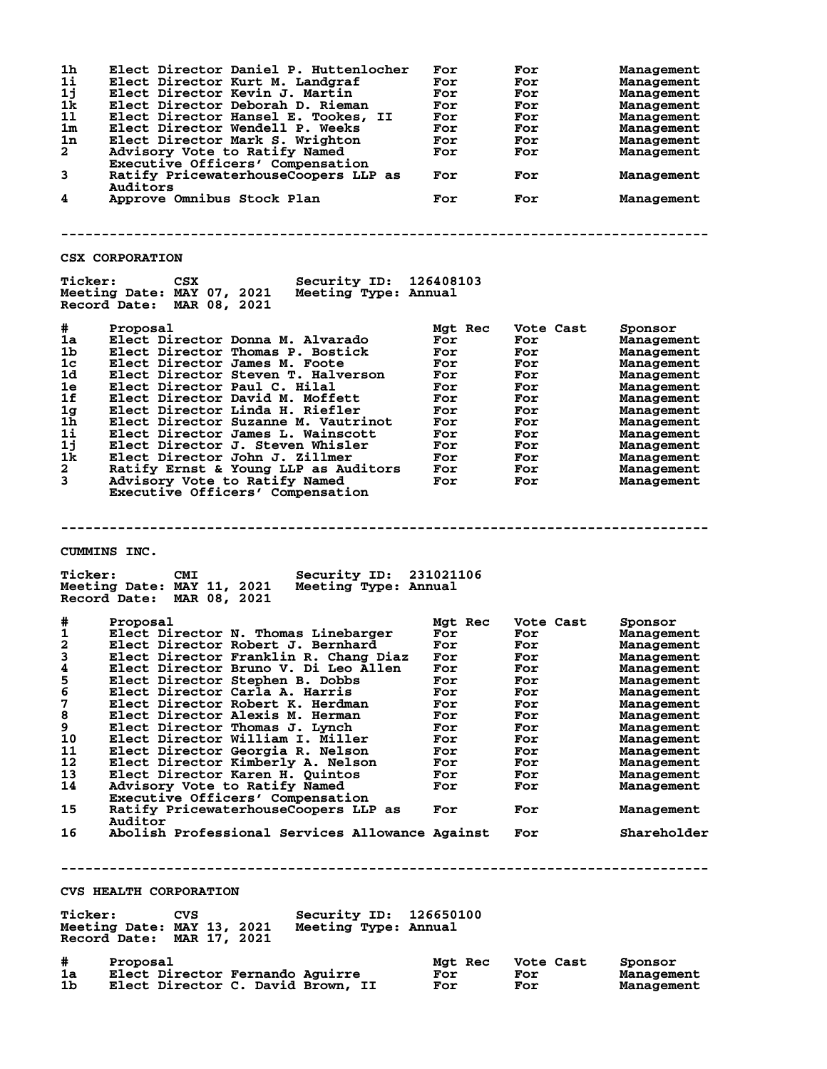| 1h<br>Elect Director Daniel P. Huttenlocher<br>1i<br>Elect Director Kurt M. Landgraf<br>1j<br>Elect Director Kevin J. Martin<br>1k<br>Elect Director Deborah D. Rieman<br>11<br>Elect Director Hansel E. Tookes, II<br>1 <sub>m</sub><br>Elect Director Wendell P. Weeks<br>1n<br>Elect Director Mark S. Wrighton<br>$\mathbf{2}^-$<br>Advisory Vote to Ratify Named<br>Executive Officers' Compensation<br>3<br>Ratify PricewaterhouseCoopers LLP as<br>Auditors<br>4<br>Approve Omnibus Stock Plan<br><b>CSX CORPORATION</b>                                                                                                                                                                                                                                                              | For<br>For<br>For<br>For<br>For<br>For<br>For<br>For<br>For<br>For                                               | For<br>For<br>For<br>For<br>For<br>For<br>For<br>For<br>For<br>For                                                        | Management<br>Management<br>Management<br>Management<br>Management<br>Management<br>Management<br>Management<br>Management<br>Management                                                                                                 |  |
|---------------------------------------------------------------------------------------------------------------------------------------------------------------------------------------------------------------------------------------------------------------------------------------------------------------------------------------------------------------------------------------------------------------------------------------------------------------------------------------------------------------------------------------------------------------------------------------------------------------------------------------------------------------------------------------------------------------------------------------------------------------------------------------------|------------------------------------------------------------------------------------------------------------------|---------------------------------------------------------------------------------------------------------------------------|------------------------------------------------------------------------------------------------------------------------------------------------------------------------------------------------------------------------------------------|--|
| <b>Ticker:</b><br><b>Security ID: 126408103</b><br>CSX<br>Meeting Date: MAY 07, 2021<br>Meeting Type: Annual<br>Record Date: MAR 08, 2021                                                                                                                                                                                                                                                                                                                                                                                                                                                                                                                                                                                                                                                   |                                                                                                                  |                                                                                                                           |                                                                                                                                                                                                                                          |  |
| #<br>Proposal<br>1a<br>Elect Director Donna M. Alvarado<br>1b<br>Elect Director Thomas P. Bostick<br>1 <sub>c</sub><br>Elect Director James M. Foote<br>1d<br>Elect Director Steven T. Halverson<br>1e<br>Elect Director Paul C. Hilal<br>1f<br>Elect Director David M. Moffett<br>1g<br>Elect Director Linda H. Riefler<br>1 <sub>h</sub><br>Elect Director Suzanne M. Vautrinot<br>11<br>Elect Director James L. Wainscott<br>1j<br>Elect Director J. Steven Whisler<br>1k<br>Elect Director John J. Zillmer<br>$\overline{a}$<br>Ratify Ernst & Young LLP as Auditors<br>3<br>Advisory Vote to Ratify Named<br>Executive Officers' Compensation                                                                                                                                          | Mgt Rec<br>For<br>For<br>For<br>For<br>For<br>For<br>For<br>For<br>For<br>For<br>For<br>For<br>For               | Vote Cast<br>For<br>For<br>For<br>For<br>For<br>For<br>For<br>For<br>For<br>For<br>For<br>For<br>For                      | Sponsor<br>Management<br>Management<br>Management<br>Management<br>Management<br>Management<br>Management<br>Management<br>Management<br>Management<br>Management<br>Management<br>Management                                            |  |
| CUMMINS INC.<br><b>Ticker:</b><br>Security ID: 231021106<br><b>CMI</b><br>Meeting Date: MAY 11, 2021<br>Meeting Type: Annual<br>Record Date: MAR 08, 2021                                                                                                                                                                                                                                                                                                                                                                                                                                                                                                                                                                                                                                   |                                                                                                                  |                                                                                                                           |                                                                                                                                                                                                                                          |  |
| #<br>Proposal<br>1<br>Elect Director N. Thomas Linebarger<br>$\overline{\mathbf{2}}$<br>Elect Director Robert J. Bernhard<br>3<br>Elect Director Franklin R. Chang Diaz<br>Elect Director Bruno V. Di Leo Allen<br>5<br>Elect Director Stephen B. Dobbs<br>6<br>Elect Director Carla A. Harris<br>7<br>Elect Director Robert K. Herdman<br>8<br>Elect Director Alexis M. Herman<br>9<br>Elect Director Thomas J. Lynch<br>10<br>Elect Director William I. Miller<br>11<br>Elect Director Georgia R. Nelson<br>12<br>Elect Director Kimberly A. Nelson<br>13<br>Elect Director Karen H. Quintos<br>14<br>Advisory Vote to Ratify Named<br>Executive Officers' Compensation<br>15<br>Ratify PricewaterhouseCoopers LLP as<br>Auditor<br>Abolish Professional Services Allowance Against<br>16 | Mgt Rec<br>For<br>For<br>For<br>For<br>For<br>For<br>For<br>For<br>For<br>For<br>For<br>For<br>For<br>For<br>For | Vote Cast<br>For<br>For<br>For<br>For<br>For<br>For<br>For<br>For<br>For<br>For<br>For<br>For<br>For<br>For<br>For<br>For | Sponsor<br>Management<br>Management<br>Management<br>Management<br>Management<br>Management<br>Management<br>Management<br>Management<br>Management<br>Management<br>Management<br>Management<br>Management<br>Management<br>Shareholder |  |
| <b>CVS HEALTH CORPORATION</b><br><b>Ticker:</b><br>CVS<br>Security ID: 126650100                                                                                                                                                                                                                                                                                                                                                                                                                                                                                                                                                                                                                                                                                                            |                                                                                                                  |                                                                                                                           |                                                                                                                                                                                                                                          |  |
| Meeting Date: MAY 13, 2021 Meeting Type: Annual<br>Record Date: MAR 17, 2021<br>#<br>Proposal<br>1a<br>Elect Director Fernando Aguirre<br>1b.<br>Elect Director C. David Brown, II                                                                                                                                                                                                                                                                                                                                                                                                                                                                                                                                                                                                          | Mgt Rec<br>For<br>For                                                                                            | Vote Cast<br>For<br>For                                                                                                   | Sponsor<br>Management<br>Management                                                                                                                                                                                                      |  |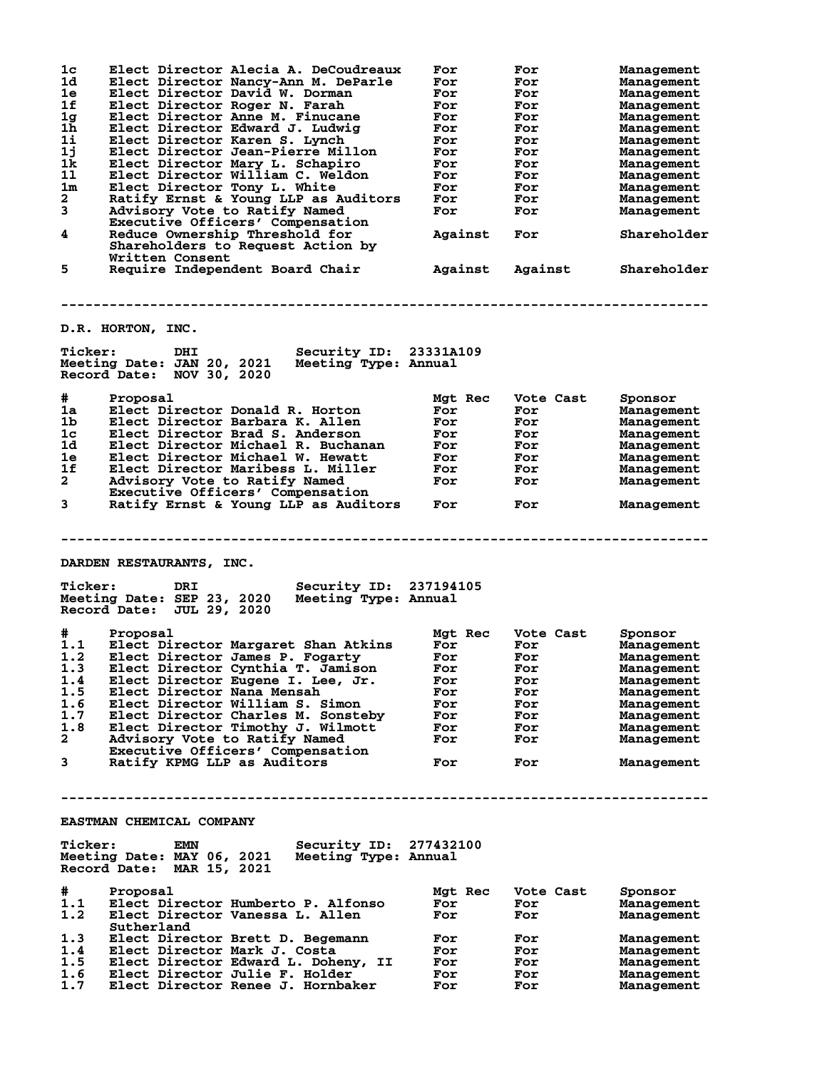| 1c<br>1d<br>1e<br>1f<br>1g<br>1 <sub>h</sub><br>$1\,\mathrm{i}$<br>1j<br>1k<br>11<br>1 <sub>m</sub><br>$\mathbf{2}$<br>3<br>4<br>5. | Elect Director Alecia A. DeCoudreaux<br>Elect Director Nancy-Ann M. DeParle<br>Elect Director David W. Dorman<br>Elect Director Roger N. Farah<br>Elect Director Anne M. Finucane<br>Elect Director Edward J. Ludwig<br>Elect Director Karen S. Lynch<br>Elect Director Jean-Pierre Millon<br>Elect Director Mary L. Schapiro<br>Elect Director William C. Weldon<br>Elect Director Tony L. White<br>Ratify Ernst & Young LLP as Auditors<br>Advisory Vote to Ratify Named<br>Executive Officers' Compensation<br>Reduce Ownership Threshold for<br>Shareholders to Request Action by<br>Written Consent<br>Require Independent Board Chair | For<br>For<br>For<br>For<br>For<br>For<br>For<br>For<br>For<br>For<br>For<br>For<br>For<br>Against<br>Against Against | For<br>For<br>For<br>For<br>For<br>For<br>For<br>For<br>For<br>For<br>For<br>For<br>For<br>For | Management<br>Management<br>Management<br>Management<br>Management<br>Management<br>Management<br>Management<br>Management<br>Management<br>Management<br>Management<br>Management<br>Shareholder<br>Shareholder |
|-------------------------------------------------------------------------------------------------------------------------------------|---------------------------------------------------------------------------------------------------------------------------------------------------------------------------------------------------------------------------------------------------------------------------------------------------------------------------------------------------------------------------------------------------------------------------------------------------------------------------------------------------------------------------------------------------------------------------------------------------------------------------------------------|-----------------------------------------------------------------------------------------------------------------------|------------------------------------------------------------------------------------------------|------------------------------------------------------------------------------------------------------------------------------------------------------------------------------------------------------------------|
|                                                                                                                                     | D.R. HORTON, INC.                                                                                                                                                                                                                                                                                                                                                                                                                                                                                                                                                                                                                           |                                                                                                                       |                                                                                                |                                                                                                                                                                                                                  |
| <b>Ticker:</b>                                                                                                                      | Security ID: 23331A109<br>DHI<br>Meeting Date: JAN 20, 2021<br>Meeting Type: Annual<br>Record Date: NOV 30, 2020                                                                                                                                                                                                                                                                                                                                                                                                                                                                                                                            |                                                                                                                       |                                                                                                |                                                                                                                                                                                                                  |
| #.                                                                                                                                  | Proposal                                                                                                                                                                                                                                                                                                                                                                                                                                                                                                                                                                                                                                    | Mgt Rec                                                                                                               | Vote Cast                                                                                      | Sponsor                                                                                                                                                                                                          |
| 1a                                                                                                                                  | Elect Director Donald R. Horton                                                                                                                                                                                                                                                                                                                                                                                                                                                                                                                                                                                                             | For                                                                                                                   | For                                                                                            | Management                                                                                                                                                                                                       |
| 1b                                                                                                                                  | Elect Director Barbara K. Allen                                                                                                                                                                                                                                                                                                                                                                                                                                                                                                                                                                                                             | For                                                                                                                   | For                                                                                            | Management                                                                                                                                                                                                       |
| 1 <sub>c</sub>                                                                                                                      | Elect Director Brad S. Anderson                                                                                                                                                                                                                                                                                                                                                                                                                                                                                                                                                                                                             | For                                                                                                                   | For                                                                                            | Management                                                                                                                                                                                                       |
| 1d                                                                                                                                  | Elect Director Michael R. Buchanan                                                                                                                                                                                                                                                                                                                                                                                                                                                                                                                                                                                                          | For                                                                                                                   | <b>For</b>                                                                                     | Management                                                                                                                                                                                                       |
| 1e                                                                                                                                  | Elect Director Michael W. Hewatt                                                                                                                                                                                                                                                                                                                                                                                                                                                                                                                                                                                                            | For                                                                                                                   | <b>For</b>                                                                                     | Management                                                                                                                                                                                                       |
| 1f                                                                                                                                  | Elect Director Maribess L. Miller                                                                                                                                                                                                                                                                                                                                                                                                                                                                                                                                                                                                           | For                                                                                                                   | For                                                                                            | Management                                                                                                                                                                                                       |
| $\mathbf{2}$                                                                                                                        | Advisory Vote to Ratify Named                                                                                                                                                                                                                                                                                                                                                                                                                                                                                                                                                                                                               | For                                                                                                                   | For                                                                                            | Management                                                                                                                                                                                                       |
|                                                                                                                                     | Executive Officers' Compensation                                                                                                                                                                                                                                                                                                                                                                                                                                                                                                                                                                                                            |                                                                                                                       |                                                                                                |                                                                                                                                                                                                                  |
| 3                                                                                                                                   | Ratify Ernst & Young LLP as Auditors                                                                                                                                                                                                                                                                                                                                                                                                                                                                                                                                                                                                        | For                                                                                                                   | For                                                                                            | Management                                                                                                                                                                                                       |
|                                                                                                                                     |                                                                                                                                                                                                                                                                                                                                                                                                                                                                                                                                                                                                                                             |                                                                                                                       |                                                                                                |                                                                                                                                                                                                                  |
|                                                                                                                                     |                                                                                                                                                                                                                                                                                                                                                                                                                                                                                                                                                                                                                                             |                                                                                                                       |                                                                                                |                                                                                                                                                                                                                  |
|                                                                                                                                     | DARDEN RESTAURANTS, INC.                                                                                                                                                                                                                                                                                                                                                                                                                                                                                                                                                                                                                    |                                                                                                                       |                                                                                                |                                                                                                                                                                                                                  |
| <b>Ticker:</b>                                                                                                                      | <b>Security ID: 237194105</b><br>DRI<br>Meeting Date: SEP 23, 2020<br>Meeting Type: Annual<br>Record Date: JUL 29, 2020                                                                                                                                                                                                                                                                                                                                                                                                                                                                                                                     |                                                                                                                       |                                                                                                |                                                                                                                                                                                                                  |
|                                                                                                                                     |                                                                                                                                                                                                                                                                                                                                                                                                                                                                                                                                                                                                                                             |                                                                                                                       |                                                                                                |                                                                                                                                                                                                                  |
| #                                                                                                                                   | Proposal<br># Proposal<br>1.1 Elect Director Margaret Shan Atkins                                                                                                                                                                                                                                                                                                                                                                                                                                                                                                                                                                           | Mgt Rec                                                                                                               | Vote Cast                                                                                      | Sponsor                                                                                                                                                                                                          |
|                                                                                                                                     |                                                                                                                                                                                                                                                                                                                                                                                                                                                                                                                                                                                                                                             | For                                                                                                                   | For                                                                                            | Management                                                                                                                                                                                                       |
| 1.2                                                                                                                                 | Elect Director James P. Fogarty                                                                                                                                                                                                                                                                                                                                                                                                                                                                                                                                                                                                             | For                                                                                                                   | For                                                                                            | Management                                                                                                                                                                                                       |
|                                                                                                                                     | 1.3 Elect Director Cynthia T. Jamison<br>Elect Director Eugene I. Lee, Jr.                                                                                                                                                                                                                                                                                                                                                                                                                                                                                                                                                                  | <b>For</b>                                                                                                            | For                                                                                            | Management                                                                                                                                                                                                       |
| 1.4<br>1.5                                                                                                                          | Elect Director Nana Mensah                                                                                                                                                                                                                                                                                                                                                                                                                                                                                                                                                                                                                  | For                                                                                                                   | For                                                                                            | Management                                                                                                                                                                                                       |
| 1.6                                                                                                                                 | Elect Director William S. Simon                                                                                                                                                                                                                                                                                                                                                                                                                                                                                                                                                                                                             | For<br>For                                                                                                            | For<br>For                                                                                     | Management                                                                                                                                                                                                       |
| 1.7                                                                                                                                 | Elect Director Charles M. Sonsteby                                                                                                                                                                                                                                                                                                                                                                                                                                                                                                                                                                                                          | For                                                                                                                   |                                                                                                | Management                                                                                                                                                                                                       |
| 1.8                                                                                                                                 | Elect Director Timothy J. Wilmott                                                                                                                                                                                                                                                                                                                                                                                                                                                                                                                                                                                                           | For                                                                                                                   | For<br>For                                                                                     | Management<br>Management                                                                                                                                                                                         |
| $\mathbf{2}$                                                                                                                        | Advisory Vote to Ratify Named                                                                                                                                                                                                                                                                                                                                                                                                                                                                                                                                                                                                               | For                                                                                                                   | For                                                                                            |                                                                                                                                                                                                                  |
|                                                                                                                                     | Executive Officers' Compensation                                                                                                                                                                                                                                                                                                                                                                                                                                                                                                                                                                                                            |                                                                                                                       |                                                                                                | Management                                                                                                                                                                                                       |
| 3                                                                                                                                   | Ratify KPMG LLP as Auditors                                                                                                                                                                                                                                                                                                                                                                                                                                                                                                                                                                                                                 | For                                                                                                                   | For                                                                                            | Management                                                                                                                                                                                                       |
|                                                                                                                                     |                                                                                                                                                                                                                                                                                                                                                                                                                                                                                                                                                                                                                                             |                                                                                                                       |                                                                                                |                                                                                                                                                                                                                  |
|                                                                                                                                     |                                                                                                                                                                                                                                                                                                                                                                                                                                                                                                                                                                                                                                             |                                                                                                                       |                                                                                                |                                                                                                                                                                                                                  |
|                                                                                                                                     |                                                                                                                                                                                                                                                                                                                                                                                                                                                                                                                                                                                                                                             |                                                                                                                       |                                                                                                |                                                                                                                                                                                                                  |
|                                                                                                                                     | <b>EASTMAN CHEMICAL COMPANY</b>                                                                                                                                                                                                                                                                                                                                                                                                                                                                                                                                                                                                             |                                                                                                                       |                                                                                                |                                                                                                                                                                                                                  |
| <b>Ticker:</b>                                                                                                                      | Security ID: 277432100<br>EMN<br>Meeting Date: MAY 06, 2021<br>Meeting Type: Annual<br>Record Date: MAR 15, 2021                                                                                                                                                                                                                                                                                                                                                                                                                                                                                                                            |                                                                                                                       |                                                                                                |                                                                                                                                                                                                                  |
| #.                                                                                                                                  | Proposal                                                                                                                                                                                                                                                                                                                                                                                                                                                                                                                                                                                                                                    | Mgt Rec                                                                                                               | Vote Cast                                                                                      |                                                                                                                                                                                                                  |
| 1.1<br>1.2                                                                                                                          | Elect Director Humberto P. Alfonso<br>Elect Director Vanessa L. Allen                                                                                                                                                                                                                                                                                                                                                                                                                                                                                                                                                                       | For<br>For                                                                                                            | For<br>For                                                                                     | Sponsor<br>Management<br>Management                                                                                                                                                                              |
|                                                                                                                                     | Sutherland                                                                                                                                                                                                                                                                                                                                                                                                                                                                                                                                                                                                                                  |                                                                                                                       |                                                                                                |                                                                                                                                                                                                                  |
| 1.3                                                                                                                                 | Elect Director Brett D. Begemann                                                                                                                                                                                                                                                                                                                                                                                                                                                                                                                                                                                                            | For                                                                                                                   | For                                                                                            | Management                                                                                                                                                                                                       |
| 1.4                                                                                                                                 | Elect Director Mark J. Costa                                                                                                                                                                                                                                                                                                                                                                                                                                                                                                                                                                                                                | For                                                                                                                   | For                                                                                            | Management                                                                                                                                                                                                       |
| 1.5                                                                                                                                 | Elect Director Edward L. Doheny, II                                                                                                                                                                                                                                                                                                                                                                                                                                                                                                                                                                                                         | For                                                                                                                   | For                                                                                            | Management                                                                                                                                                                                                       |
| 1.6                                                                                                                                 | Elect Director Julie F. Holder                                                                                                                                                                                                                                                                                                                                                                                                                                                                                                                                                                                                              | For                                                                                                                   | For                                                                                            | Management                                                                                                                                                                                                       |
| 1.7                                                                                                                                 | Elect Director Renee J. Hornbaker                                                                                                                                                                                                                                                                                                                                                                                                                                                                                                                                                                                                           | For                                                                                                                   | For                                                                                            | Management                                                                                                                                                                                                       |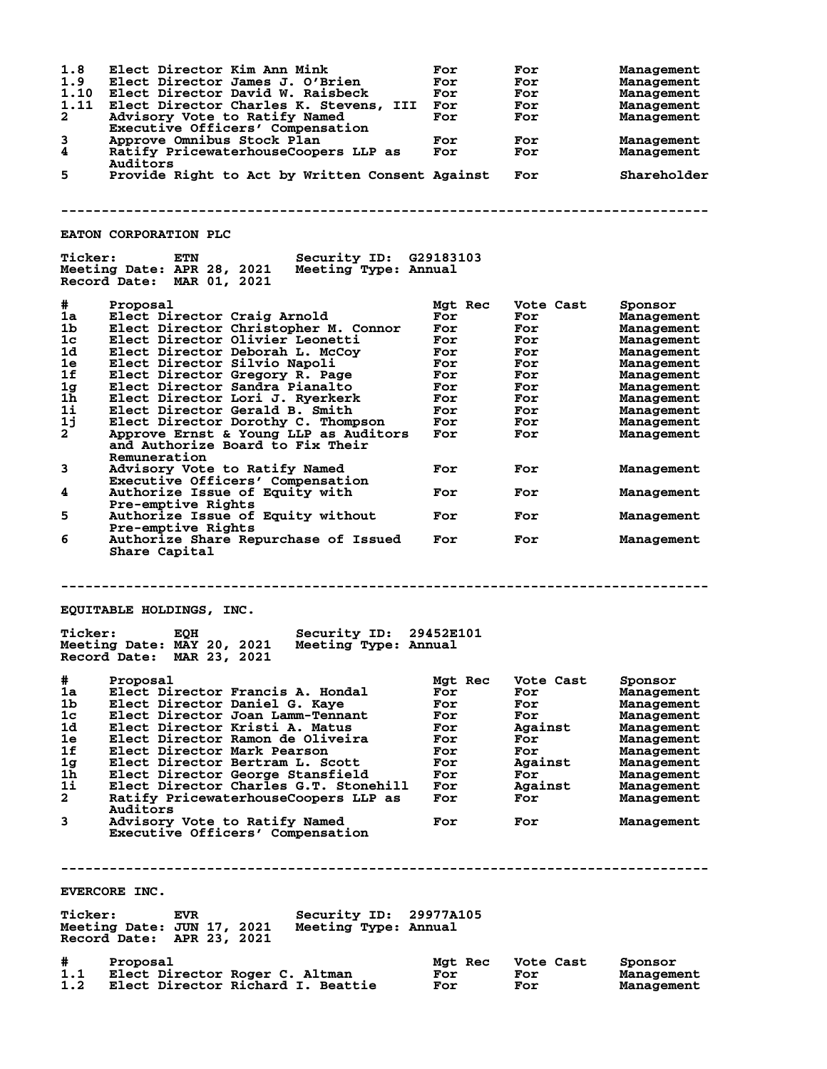| 1.8<br>1.9<br>1.10<br>1.11<br>$\mathbf{2}$<br>3<br>4                                                                                                                                                                                                                                                                                                                                                                                                                                                                                                                                                                              | Elect Director Kim Ann Mink<br>Elect Director James J. O'Brien<br>Elect Director David W. Raisbeck<br>Elect Director Charles K. Stevens, III For<br>Advisory Vote to Ratify Named<br>Executive Officers' Compensation<br>Approve Omnibus Stock Plan<br>Ratify PricewaterhouseCoopers LLP as<br>Auditors | For<br>For<br>For<br>For<br>For<br>For | For<br>For<br>For<br>For<br>For<br>For<br>For | <b>Management</b><br><b>Management</b><br><b>Management</b><br>Management<br>Management<br>Management<br>Management |  |
|-----------------------------------------------------------------------------------------------------------------------------------------------------------------------------------------------------------------------------------------------------------------------------------------------------------------------------------------------------------------------------------------------------------------------------------------------------------------------------------------------------------------------------------------------------------------------------------------------------------------------------------|---------------------------------------------------------------------------------------------------------------------------------------------------------------------------------------------------------------------------------------------------------------------------------------------------------|----------------------------------------|-----------------------------------------------|---------------------------------------------------------------------------------------------------------------------|--|
| 5                                                                                                                                                                                                                                                                                                                                                                                                                                                                                                                                                                                                                                 | Provide Right to Act by Written Consent Against                                                                                                                                                                                                                                                         |                                        | For                                           | Shareholder                                                                                                         |  |
|                                                                                                                                                                                                                                                                                                                                                                                                                                                                                                                                                                                                                                   |                                                                                                                                                                                                                                                                                                         |                                        |                                               |                                                                                                                     |  |
|                                                                                                                                                                                                                                                                                                                                                                                                                                                                                                                                                                                                                                   |                                                                                                                                                                                                                                                                                                         |                                        |                                               |                                                                                                                     |  |
|                                                                                                                                                                                                                                                                                                                                                                                                                                                                                                                                                                                                                                   | <b>EATON CORPORATION PLC</b>                                                                                                                                                                                                                                                                            |                                        |                                               |                                                                                                                     |  |
| <b>Ticker:</b>                                                                                                                                                                                                                                                                                                                                                                                                                                                                                                                                                                                                                    | ETN<br>Security ID: G29183103<br>Meeting Date: APR 28, 2021<br>Meeting Type: Annual<br>Record Date: MAR 01, 2021                                                                                                                                                                                        |                                        |                                               |                                                                                                                     |  |
| #                                                                                                                                                                                                                                                                                                                                                                                                                                                                                                                                                                                                                                 | Proposal                                                                                                                                                                                                                                                                                                | Mgt Rec                                | Vote Cast                                     | Sponsor                                                                                                             |  |
| 1a                                                                                                                                                                                                                                                                                                                                                                                                                                                                                                                                                                                                                                | Elect Director Craig Arnold                                                                                                                                                                                                                                                                             | For                                    | For                                           | Management                                                                                                          |  |
| 1b                                                                                                                                                                                                                                                                                                                                                                                                                                                                                                                                                                                                                                | Elect Director Christopher M. Connor                                                                                                                                                                                                                                                                    | For                                    | For                                           | Management                                                                                                          |  |
| 1 <sub>c</sub>                                                                                                                                                                                                                                                                                                                                                                                                                                                                                                                                                                                                                    | Elect Director Olivier Leonetti                                                                                                                                                                                                                                                                         | For                                    | For                                           | Management                                                                                                          |  |
| 1d                                                                                                                                                                                                                                                                                                                                                                                                                                                                                                                                                                                                                                | Elect Director Deborah L. McCoy                                                                                                                                                                                                                                                                         | For                                    | For                                           | Management                                                                                                          |  |
| 1e                                                                                                                                                                                                                                                                                                                                                                                                                                                                                                                                                                                                                                | Elect Director Silvio Napoli                                                                                                                                                                                                                                                                            | For                                    | For                                           | Management                                                                                                          |  |
| 1f                                                                                                                                                                                                                                                                                                                                                                                                                                                                                                                                                                                                                                | Elect Director Gregory R. Page                                                                                                                                                                                                                                                                          | For                                    | For                                           | Management                                                                                                          |  |
| 1g                                                                                                                                                                                                                                                                                                                                                                                                                                                                                                                                                                                                                                | Elect Director Sandra Pianalto                                                                                                                                                                                                                                                                          | For                                    | For                                           | Management                                                                                                          |  |
| $1\bar{h}$                                                                                                                                                                                                                                                                                                                                                                                                                                                                                                                                                                                                                        | Elect Director Lori J. Ryerkerk                                                                                                                                                                                                                                                                         | For                                    | For                                           | Management                                                                                                          |  |
| $1\mathbf{i}$                                                                                                                                                                                                                                                                                                                                                                                                                                                                                                                                                                                                                     | Elect Director Gerald B. Smith                                                                                                                                                                                                                                                                          | For                                    | For                                           | Management                                                                                                          |  |
| 1j                                                                                                                                                                                                                                                                                                                                                                                                                                                                                                                                                                                                                                | Elect Director Dorothy C. Thompson                                                                                                                                                                                                                                                                      | For                                    | For                                           | Management                                                                                                          |  |
| $2^{-}$                                                                                                                                                                                                                                                                                                                                                                                                                                                                                                                                                                                                                           | Approve Ernst & Young LLP as Auditors<br>and Authorize Board to Fix Their<br>Remuneration                                                                                                                                                                                                               | For                                    | For                                           | Management                                                                                                          |  |
| 3                                                                                                                                                                                                                                                                                                                                                                                                                                                                                                                                                                                                                                 | Advisory Vote to Ratify Named<br>Executive Officers' Compensation                                                                                                                                                                                                                                       | For                                    | For                                           | Management                                                                                                          |  |
| 4                                                                                                                                                                                                                                                                                                                                                                                                                                                                                                                                                                                                                                 | Authorize Issue of Equity with<br>Pre-emptive Rights                                                                                                                                                                                                                                                    | For                                    | For                                           | Management                                                                                                          |  |
| 5                                                                                                                                                                                                                                                                                                                                                                                                                                                                                                                                                                                                                                 | Authorize Issue of Equity without<br>Pre-emptive Rights                                                                                                                                                                                                                                                 | For                                    | For                                           | Management                                                                                                          |  |
| 6                                                                                                                                                                                                                                                                                                                                                                                                                                                                                                                                                                                                                                 | Authorize Share Repurchase of Issued<br>Share Capital                                                                                                                                                                                                                                                   | For                                    | For                                           | Management                                                                                                          |  |
| EQUITABLE HOLDINGS, INC.<br><b>Ticker:</b><br><b>Security ID:</b><br>29452E101<br>EQH<br>Meeting Date: MAY 20, 2021<br>Meeting Type: Annual<br>Record Date: MAR 23, 2021<br>#<br>Proposal<br>Mgt Rec<br>Vote Cast<br>Sponsor<br>1a<br>Elect Director Francis A. Hondal<br>For<br>For<br><b>Management</b><br>1b<br>Elect Director Daniel G. Kaye<br>For<br>For<br><b>Management</b><br>1 <sub>c</sub><br>Elect Director Joan Lamm-Tennant<br>For<br>For<br><b>Management</b><br>1d<br>Elect Director Kristi A. Matus<br>Against<br>For<br><b>Management</b><br>1e<br>Elect Director Ramon de Oliveira<br>For<br>For<br>Management |                                                                                                                                                                                                                                                                                                         |                                        |                                               |                                                                                                                     |  |
| 1f                                                                                                                                                                                                                                                                                                                                                                                                                                                                                                                                                                                                                                | Elect Director Mark Pearson                                                                                                                                                                                                                                                                             | For                                    | For                                           | Management                                                                                                          |  |
| 1 <sub>g</sub>                                                                                                                                                                                                                                                                                                                                                                                                                                                                                                                                                                                                                    | Elect Director Bertram L. Scott                                                                                                                                                                                                                                                                         | For                                    | Against                                       | <b>Management</b>                                                                                                   |  |
| 1h                                                                                                                                                                                                                                                                                                                                                                                                                                                                                                                                                                                                                                | Elect Director George Stansfield                                                                                                                                                                                                                                                                        | For                                    | For                                           | <b>Management</b>                                                                                                   |  |
| 1i                                                                                                                                                                                                                                                                                                                                                                                                                                                                                                                                                                                                                                | Elect Director Charles G.T. Stonehill                                                                                                                                                                                                                                                                   | For                                    | Against                                       | Management                                                                                                          |  |
| $\overline{a}$                                                                                                                                                                                                                                                                                                                                                                                                                                                                                                                                                                                                                    | Ratify PricewaterhouseCoopers LLP as<br>Auditors                                                                                                                                                                                                                                                        | For                                    | For                                           | Management                                                                                                          |  |
| 3                                                                                                                                                                                                                                                                                                                                                                                                                                                                                                                                                                                                                                 | Advisory Vote to Ratify Named<br>Executive Officers' Compensation                                                                                                                                                                                                                                       | For                                    | For                                           | Management                                                                                                          |  |
|                                                                                                                                                                                                                                                                                                                                                                                                                                                                                                                                                                                                                                   |                                                                                                                                                                                                                                                                                                         |                                        |                                               |                                                                                                                     |  |
| EVERCORE INC.                                                                                                                                                                                                                                                                                                                                                                                                                                                                                                                                                                                                                     |                                                                                                                                                                                                                                                                                                         |                                        |                                               |                                                                                                                     |  |
| <b>Ticker:</b>                                                                                                                                                                                                                                                                                                                                                                                                                                                                                                                                                                                                                    | Security ID:<br><b>EVR</b><br>Meeting Date: JUN 17, 2021<br>Meeting Type: Annual<br>Record Date: APR 23, 2021                                                                                                                                                                                           | 29977A105                              |                                               |                                                                                                                     |  |
| #                                                                                                                                                                                                                                                                                                                                                                                                                                                                                                                                                                                                                                 | Proposal                                                                                                                                                                                                                                                                                                | Mgt Rec                                | Vote Cast                                     | Sponsor                                                                                                             |  |
| 1.1<br>1.2                                                                                                                                                                                                                                                                                                                                                                                                                                                                                                                                                                                                                        | Elect Director Roger C. Altman<br>Elect Director Richard I. Beattie                                                                                                                                                                                                                                     | For<br>For                             | For<br>For                                    | Management<br>Management                                                                                            |  |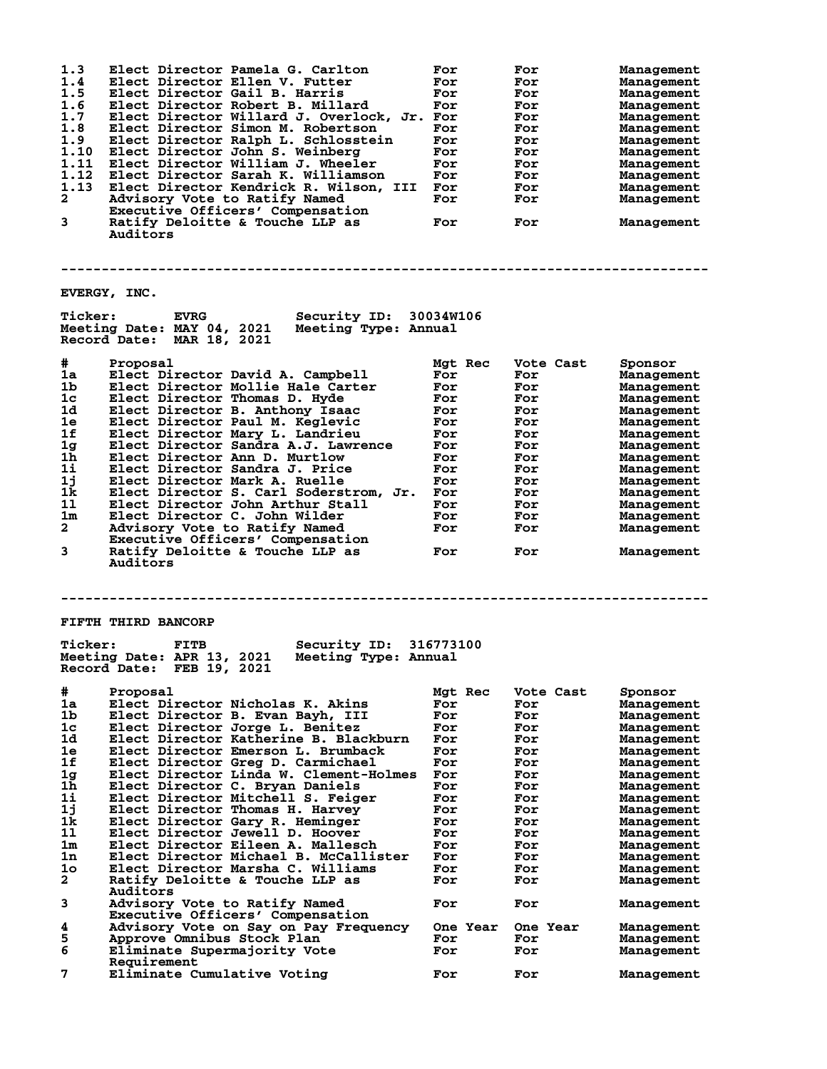| 1.3<br>1.4<br>1.5<br>1.6<br>1.7<br>1.8<br>1.9<br>1.10<br>1.11<br>1.12<br>1.13<br>2<br>3 | Elect Director Pamela G. Carlton<br>Elect Director Ellen V. Futter<br>Elect Director Gail B. Harris<br>Elect Director Robert B. Millard<br>Elect Director Willard J. Overlock, Jr. For<br>Elect Director Simon M. Robertson<br>Elect Director Ralph L. Schlosstein<br>Elect Director John S. Weinberg<br>Elect Director William J. Wheeler<br>Elect Director Sarah K. Williamson<br>Elect Director Kendrick R. Wilson, III<br>Advisory Vote to Ratify Named<br>Executive Officers' Compensation<br>Ratify Deloitte & Touche LLP as<br>Auditors | For<br>For<br>For<br>For<br>For<br>For<br>For<br>For<br>For<br>For<br>For<br>For | For<br>For<br>For<br>For<br>For<br>For<br>For<br>For<br>For<br>For<br>For<br>For<br>For | <b>Management</b><br><b>Management</b><br><b>Management</b><br><b>Management</b><br><b>Management</b><br><b>Management</b><br><b>Management</b><br><b>Management</b><br>Management<br><b>Management</b><br><b>Management</b><br><b>Management</b><br>Management |
|-----------------------------------------------------------------------------------------|------------------------------------------------------------------------------------------------------------------------------------------------------------------------------------------------------------------------------------------------------------------------------------------------------------------------------------------------------------------------------------------------------------------------------------------------------------------------------------------------------------------------------------------------|----------------------------------------------------------------------------------|-----------------------------------------------------------------------------------------|-----------------------------------------------------------------------------------------------------------------------------------------------------------------------------------------------------------------------------------------------------------------|
|                                                                                         | EVERGY, INC.                                                                                                                                                                                                                                                                                                                                                                                                                                                                                                                                   |                                                                                  |                                                                                         |                                                                                                                                                                                                                                                                 |
| <b>Ticker:</b>                                                                          | Security ID: 30034W106<br><b>EVRG</b><br>Meeting Date: MAY 04, 2021<br>Meeting Type: Annual<br>Record Date: MAR 18, 2021                                                                                                                                                                                                                                                                                                                                                                                                                       |                                                                                  |                                                                                         |                                                                                                                                                                                                                                                                 |
| #                                                                                       | Proposal                                                                                                                                                                                                                                                                                                                                                                                                                                                                                                                                       | Mgt Rec                                                                          | Vote Cast                                                                               | Sponsor                                                                                                                                                                                                                                                         |
| 1a                                                                                      | Elect Director David A. Campbell                                                                                                                                                                                                                                                                                                                                                                                                                                                                                                               | For                                                                              | For                                                                                     | Management                                                                                                                                                                                                                                                      |
| 1 <sub>b</sub>                                                                          | Elect Director Mollie Hale Carter                                                                                                                                                                                                                                                                                                                                                                                                                                                                                                              | For                                                                              | For                                                                                     | <b>Management</b>                                                                                                                                                                                                                                               |
| 1c                                                                                      | Elect Director Thomas D. Hyde                                                                                                                                                                                                                                                                                                                                                                                                                                                                                                                  | For                                                                              | For                                                                                     | <b>Management</b>                                                                                                                                                                                                                                               |
| 1d                                                                                      | Elect Director B. Anthony Isaac                                                                                                                                                                                                                                                                                                                                                                                                                                                                                                                | For                                                                              | For                                                                                     | <b>Management</b>                                                                                                                                                                                                                                               |
| 1e                                                                                      | Elect Director Paul M. Keglevic                                                                                                                                                                                                                                                                                                                                                                                                                                                                                                                | For                                                                              | For                                                                                     | <b>Management</b>                                                                                                                                                                                                                                               |
| 1f                                                                                      | Elect Director Mary L. Landrieu                                                                                                                                                                                                                                                                                                                                                                                                                                                                                                                | For                                                                              | For                                                                                     | <b>Management</b>                                                                                                                                                                                                                                               |
| 1 <sub>g</sub>                                                                          | Elect Director Sandra A.J. Lawrence                                                                                                                                                                                                                                                                                                                                                                                                                                                                                                            | For                                                                              | For                                                                                     | <b>Management</b>                                                                                                                                                                                                                                               |
| 1 <sub>h</sub>                                                                          | Elect Director Ann D. Murtlow                                                                                                                                                                                                                                                                                                                                                                                                                                                                                                                  | For                                                                              | For                                                                                     | <b>Management</b>                                                                                                                                                                                                                                               |
| 11                                                                                      | Elect Director Sandra J. Price                                                                                                                                                                                                                                                                                                                                                                                                                                                                                                                 | For                                                                              | For                                                                                     | <b>Management</b>                                                                                                                                                                                                                                               |
| 1j                                                                                      | Elect Director Mark A. Ruelle                                                                                                                                                                                                                                                                                                                                                                                                                                                                                                                  | For                                                                              | For                                                                                     | Management                                                                                                                                                                                                                                                      |
| 1k                                                                                      | Elect Director S. Carl Soderstrom, Jr.                                                                                                                                                                                                                                                                                                                                                                                                                                                                                                         | For                                                                              | For                                                                                     | <b>Management</b>                                                                                                                                                                                                                                               |
| 11                                                                                      | Elect Director John Arthur Stall                                                                                                                                                                                                                                                                                                                                                                                                                                                                                                               | For                                                                              | For                                                                                     | Management                                                                                                                                                                                                                                                      |
| 1m                                                                                      | Elect Director C. John Wilder                                                                                                                                                                                                                                                                                                                                                                                                                                                                                                                  | For                                                                              | For                                                                                     | <b>Management</b>                                                                                                                                                                                                                                               |
| $\mathbf{2}$                                                                            | Advisory Vote to Ratify Named                                                                                                                                                                                                                                                                                                                                                                                                                                                                                                                  | For                                                                              | For                                                                                     | <b>Management</b>                                                                                                                                                                                                                                               |
| 3                                                                                       | Executive Officers' Compensation<br>Ratify Deloitte & Touche LLP as<br>Auditors                                                                                                                                                                                                                                                                                                                                                                                                                                                                | For                                                                              | For                                                                                     | Management                                                                                                                                                                                                                                                      |
|                                                                                         |                                                                                                                                                                                                                                                                                                                                                                                                                                                                                                                                                |                                                                                  |                                                                                         |                                                                                                                                                                                                                                                                 |
|                                                                                         | FIFTH THIRD BANCORP                                                                                                                                                                                                                                                                                                                                                                                                                                                                                                                            |                                                                                  |                                                                                         |                                                                                                                                                                                                                                                                 |
| <b>Ticker:</b>                                                                          | Security ID:<br>FITB<br>Meeting Date: APR 13, 2021<br>Meeting Type: Annual<br>Record Date: FEB 19, 2021                                                                                                                                                                                                                                                                                                                                                                                                                                        | 316773100                                                                        |                                                                                         |                                                                                                                                                                                                                                                                 |
| #                                                                                       | Proposal                                                                                                                                                                                                                                                                                                                                                                                                                                                                                                                                       | Mgt Rec                                                                          | Vote Cast                                                                               | Sponsor                                                                                                                                                                                                                                                         |
| 1a                                                                                      | Elect Director Nicholas K. Akins                                                                                                                                                                                                                                                                                                                                                                                                                                                                                                               | For                                                                              | For                                                                                     | <b>Management</b>                                                                                                                                                                                                                                               |
| 1b                                                                                      | Elect Director B. Evan Bayh, III                                                                                                                                                                                                                                                                                                                                                                                                                                                                                                               | For                                                                              | For                                                                                     | <b>Management</b>                                                                                                                                                                                                                                               |
| 1 <sub>c</sub>                                                                          | Elect Director Jorge L. Benitez                                                                                                                                                                                                                                                                                                                                                                                                                                                                                                                | For                                                                              | For                                                                                     | <b>Management</b>                                                                                                                                                                                                                                               |
| 1d                                                                                      | Elect Director Katherine B. Blackburn                                                                                                                                                                                                                                                                                                                                                                                                                                                                                                          | For                                                                              | For                                                                                     | Management                                                                                                                                                                                                                                                      |
| 1e                                                                                      | Elect Director Emerson L. Brumback                                                                                                                                                                                                                                                                                                                                                                                                                                                                                                             | For                                                                              | For                                                                                     | <b>Management</b>                                                                                                                                                                                                                                               |
| 1f                                                                                      | Elect Director Greg D. Carmichael                                                                                                                                                                                                                                                                                                                                                                                                                                                                                                              | For                                                                              | For                                                                                     | Management                                                                                                                                                                                                                                                      |
| 1g                                                                                      | Elect Director Linda W. Clement-Holmes                                                                                                                                                                                                                                                                                                                                                                                                                                                                                                         | For                                                                              | For                                                                                     | Management                                                                                                                                                                                                                                                      |
| 1h                                                                                      | Elect Director C. Bryan Daniels                                                                                                                                                                                                                                                                                                                                                                                                                                                                                                                | For                                                                              | For                                                                                     | Management                                                                                                                                                                                                                                                      |
| 1i                                                                                      | Elect Director Mitchell S. Feiger                                                                                                                                                                                                                                                                                                                                                                                                                                                                                                              | For                                                                              | For                                                                                     | <b>Management</b>                                                                                                                                                                                                                                               |
| 1j                                                                                      | Elect Director Thomas H. Harvey                                                                                                                                                                                                                                                                                                                                                                                                                                                                                                                | For                                                                              | For                                                                                     | Management                                                                                                                                                                                                                                                      |
| 1k                                                                                      | Elect Director Gary R. Heminger                                                                                                                                                                                                                                                                                                                                                                                                                                                                                                                | For                                                                              | For                                                                                     | Management                                                                                                                                                                                                                                                      |
| 11                                                                                      | Elect Director Jewell D. Hoover                                                                                                                                                                                                                                                                                                                                                                                                                                                                                                                | For                                                                              | For                                                                                     | <b>Management</b>                                                                                                                                                                                                                                               |
| 1 <sub>m</sub>                                                                          | Elect Director Eileen A. Mallesch                                                                                                                                                                                                                                                                                                                                                                                                                                                                                                              | For                                                                              | For                                                                                     | <b>Management</b>                                                                                                                                                                                                                                               |
| 1n<br>10                                                                                | Elect Director Michael B. McCallister                                                                                                                                                                                                                                                                                                                                                                                                                                                                                                          | For                                                                              | For                                                                                     | <b>Management</b>                                                                                                                                                                                                                                               |
|                                                                                         | Elect Director Marsha C. Williams                                                                                                                                                                                                                                                                                                                                                                                                                                                                                                              | For                                                                              | For                                                                                     | <b>Management</b>                                                                                                                                                                                                                                               |
| 2                                                                                       | Ratify Deloitte & Touche LLP as<br><b>Auditors</b>                                                                                                                                                                                                                                                                                                                                                                                                                                                                                             | For                                                                              | For                                                                                     | <b>Management</b>                                                                                                                                                                                                                                               |
| 3                                                                                       | Advisory Vote to Ratify Named<br>Executive Officers' Compensation                                                                                                                                                                                                                                                                                                                                                                                                                                                                              | For                                                                              | For                                                                                     | <b>Management</b>                                                                                                                                                                                                                                               |
| 4                                                                                       | Advisory Vote on Say on Pay Frequency                                                                                                                                                                                                                                                                                                                                                                                                                                                                                                          | One Year                                                                         | One Year                                                                                | <b>Management</b>                                                                                                                                                                                                                                               |
| 5                                                                                       | Approve Omnibus Stock Plan                                                                                                                                                                                                                                                                                                                                                                                                                                                                                                                     | For                                                                              | For                                                                                     | <b>Management</b>                                                                                                                                                                                                                                               |
| 6                                                                                       | Eliminate Supermajority Vote<br>Requirement                                                                                                                                                                                                                                                                                                                                                                                                                                                                                                    | For                                                                              | For                                                                                     | <b>Management</b>                                                                                                                                                                                                                                               |
| 7                                                                                       | Eliminate Cumulative Voting                                                                                                                                                                                                                                                                                                                                                                                                                                                                                                                    | For                                                                              | For                                                                                     | <b>Management</b>                                                                                                                                                                                                                                               |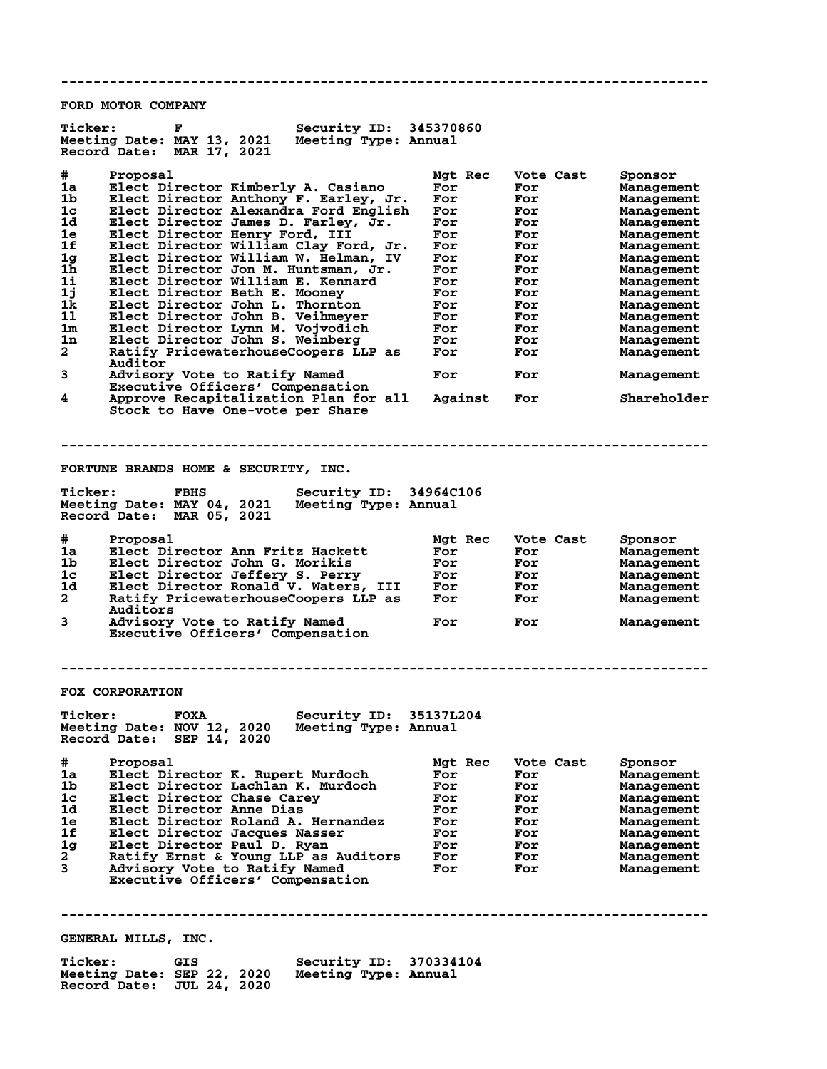**-------------------------------------------------------------------------------- FORD MOTOR COMPANY** Ticker: F Security ID: 345370860<br>Meeting Date: MAY 13, 2021 Meeting Type: Annual **Meeting Date: MAY 13, 2021 Meeting Type: Annual Record Date: MAR 17, 2021 # Proposal Mgt Rec Vote Cast Sponsor 1a Elect Director Kimberly A. Casiano For For Management 1b Elect Director Anthony F. Earley, Jr. For For Management 1c Elect Director Alexandra Ford English For For Management 1d Elect Director James D. Farley, Jr. For For Management 1e Elect Director Henry Ford, III For For Management 1f Elect Director William Clay Ford, Jr. For For Management 1g Elect Director William W. Helman, IV For For Management 1h Elect Director Jon M. Huntsman, Jr. For For Management 1i Elect Director William E. Kennard For For Management 1j Elect Director Beth E. Mooney For For Management 1k Elect Director John L. Thornton For For Management 1l Elect Director John B. Veihmeyer For For Management 1m Elect Director Lynn M. Vojvodich For For Management 1n Elect Director John S. Weinberg For For Management**  $\begin{tabular}{lcccc} \bf{1k} & \tt{Electo} & \tt{John L. Thornion} & \tt{For} & \tt{For} & \tt{Management} \\ \bf{21} & \tt{Electo} & \tt{Ivector John B. Veilmeyer} & \tt{For} & \tt{For} & \tt{Management} \\ \bf{32} & \tt{Electo} & \tt{Ivector John S. Weinberg} & \tt{For} & \tt{For} & \tt{Management} \\ \bf{43} & \tt{Rect1fy} & \tt{PricwaterhouseCoopers LLP as} & \tt{For} & \tt{For} & \tt{Management} \\ \end{tabular}$ **Auditor**<br>3 Advisory **3 Advisory Vote to Ratify Named For For Management Executive Officers' Compensation 4 Approve Recapitalization Plan for all Against For Shareholder Stock to Have One-vote per Share -------------------------------------------------------------------------------- FORTUNE BRANDS HOME & SECURITY, INC.** Ticker: FBHS Security ID: 34964C106<br>Meeting Date: MAY 04, 2021 Meeting Type: Annual Meeting Date: MAY 04, 2021 **Record Date: MAR 05, 2021 # Proposal Mgt Rec Vote Cast Sponsor 1a Elect Director Ann Fritz Hackett For For Management 1b Elect Director John G. Morikis For For Management 1c Elect Director Jeffery S. Perry For For Management 1d Elect Director Ronald V. Waters, III For For Management 2 Ratify PricewaterhouseCoopers LLP as For For Management Auditors**<br>3 Advisory **3 Advisory Vote to Ratify Named For For Management Executive Officers' Compensation -------------------------------------------------------------------------------- FOX CORPORATION Ticker: FOXA Security ID: 35137L204 Meeting Date: NOV 12, 2020 Meeting Type: Annual Record Date: SEP 14, 2020 Froposal Mgt Rec Wote Cast Sponsor<br>
Elect Director K. Rupert Murdoch More For Management<br>
Elect Director Lachlan K. Murdoch For For Management<br>
Elect Director Chase Carey For For Management<br>
Management Por For Management 1a Elect Director K. Rupert Murdoch For For Management 1b Elect Director Lachlan K. Murdoch For For Management 1c Elect Director Chase Carey For For Management 1d Elect Director Anne Dias For For Management 1e Elect Director Roland A. Hernandez For For Management 1f Elect Director Jacques Nasser For For Management 1g Elect Director Paul D. Ryan For For Management 2 Ratify Ernst & Young LLP as Auditors For For Management 3 Advisory Vote to Ratify Named For For Management Elect Director Baul D. Ryan<br>Ratify Ernst & Young LLP as Auditors<br>Advisory Vote to Ratify Named<br>Executive Officers' Compensation -------------------------------------------------------------------------------- GENERAL MILLS, INC. Ticker: GIS Security ID: 370334104 Meeting Date: SEP 22, 2020 Record Date: JUL 24, 2020**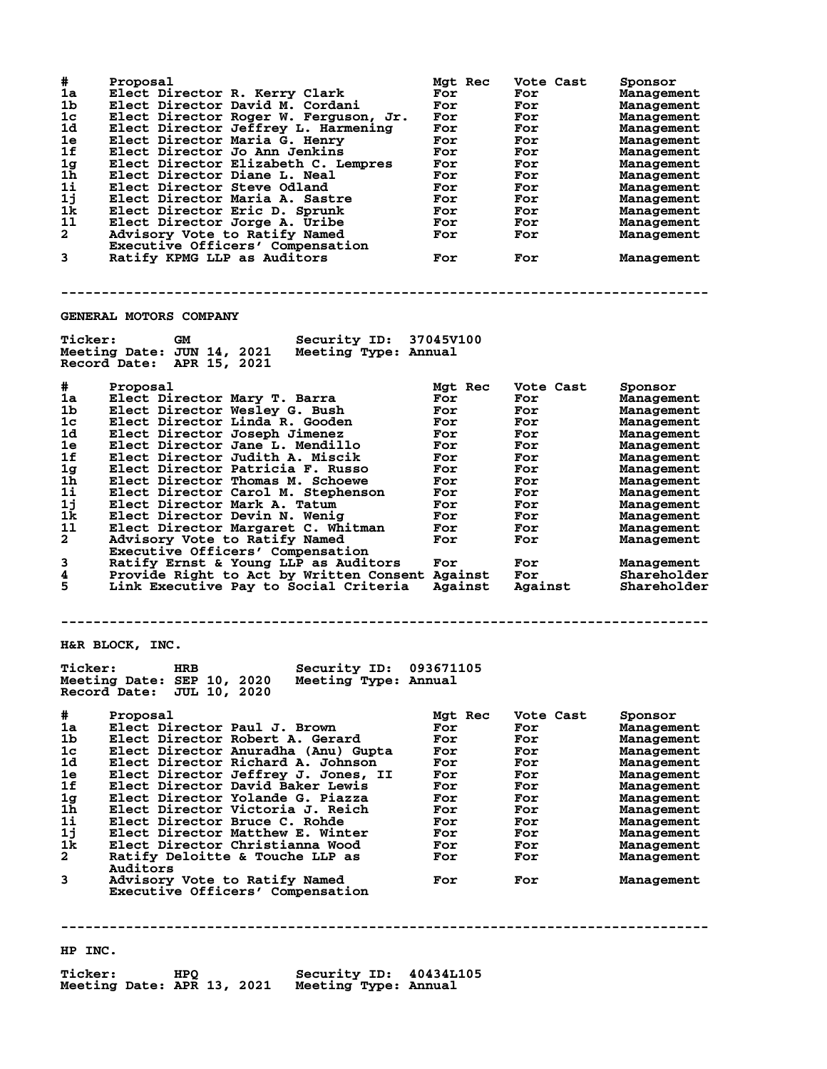| #<br>1a<br>1b<br>1c<br>1d<br>1e<br>1f<br>1g<br>1 <sub>h</sub><br>1i<br>1j<br>1k<br>11<br>$\overline{a}$<br>3 | Proposal<br>Elect Director R. Kerry Clark<br>Elect Director David M. Cordani<br>Elect Director Roger W. Ferguson, Jr.<br>Elect Director Jeffrey L. Harmening<br>Elect Director Maria G. Henry<br>Elect Director Jo Ann Jenkins<br>Elect Director Elizabeth C. Lempres<br>Elect Director Diane L. Neal<br>Elect Director Steve Odland<br>Elect Director Maria A. Sastre<br>Elect Director Eric D. Sprunk<br>Elect Director Jorge A. Uribe<br>Advisory Vote to Ratify Named<br>Executive Officers' Compensation<br>Ratify KPMG LLP as Auditors | Mgt Rec<br>For<br>For<br>For<br>For<br>For<br>For<br>For<br>For<br>For<br>For<br>For<br>For<br>For<br>For | Vote Cast<br>For<br>For<br>For<br>For<br>For<br>For<br>For<br>For<br>For<br>For<br>For<br>For<br>For<br>For | Sponsor<br>Management<br>Management<br>Management<br>Management<br>Management<br>Management<br>Management<br>Management<br>Management<br>Management<br>Management<br>Management<br>Management<br>Management |  |  |  |
|--------------------------------------------------------------------------------------------------------------|----------------------------------------------------------------------------------------------------------------------------------------------------------------------------------------------------------------------------------------------------------------------------------------------------------------------------------------------------------------------------------------------------------------------------------------------------------------------------------------------------------------------------------------------|-----------------------------------------------------------------------------------------------------------|-------------------------------------------------------------------------------------------------------------|-------------------------------------------------------------------------------------------------------------------------------------------------------------------------------------------------------------|--|--|--|
|                                                                                                              | <b>GENERAL MOTORS COMPANY</b>                                                                                                                                                                                                                                                                                                                                                                                                                                                                                                                |                                                                                                           |                                                                                                             |                                                                                                                                                                                                             |  |  |  |
| <b>Ticker:</b>                                                                                               | Security ID: 37045V100<br><b>GM</b><br>Meeting Date: JUN 14, 2021<br>Meeting Type: Annual<br>Record Date: APR 15, 2021                                                                                                                                                                                                                                                                                                                                                                                                                       |                                                                                                           |                                                                                                             |                                                                                                                                                                                                             |  |  |  |
| #.                                                                                                           | Proposal                                                                                                                                                                                                                                                                                                                                                                                                                                                                                                                                     | <b>Mat Rec</b>                                                                                            | Vote Cast                                                                                                   | Sponsor                                                                                                                                                                                                     |  |  |  |
| 1a                                                                                                           | Elect Director Mary T. Barra                                                                                                                                                                                                                                                                                                                                                                                                                                                                                                                 | For                                                                                                       | For                                                                                                         | Management                                                                                                                                                                                                  |  |  |  |
| 1b                                                                                                           | Elect Director Wesley G. Bush                                                                                                                                                                                                                                                                                                                                                                                                                                                                                                                | For                                                                                                       | For                                                                                                         | Management                                                                                                                                                                                                  |  |  |  |
| 1c                                                                                                           | Elect Director Linda R. Gooden                                                                                                                                                                                                                                                                                                                                                                                                                                                                                                               | For                                                                                                       | For                                                                                                         | Management                                                                                                                                                                                                  |  |  |  |
| 1d<br>1e                                                                                                     | Elect Director Joseph Jimenez<br>Elect Director Jane L. Mendillo                                                                                                                                                                                                                                                                                                                                                                                                                                                                             | For<br>For                                                                                                | For<br>For                                                                                                  | Management<br>Management                                                                                                                                                                                    |  |  |  |
| 1f                                                                                                           | Elect Director Judith A. Miscik                                                                                                                                                                                                                                                                                                                                                                                                                                                                                                              | For                                                                                                       | For                                                                                                         | Management                                                                                                                                                                                                  |  |  |  |
| 1 <sub>g</sub>                                                                                               | Elect Director Patricia F. Russo                                                                                                                                                                                                                                                                                                                                                                                                                                                                                                             | For                                                                                                       | For                                                                                                         | Management                                                                                                                                                                                                  |  |  |  |
| 1 <sub>h</sub>                                                                                               | Elect Director Thomas M. Schoewe                                                                                                                                                                                                                                                                                                                                                                                                                                                                                                             | For                                                                                                       | For                                                                                                         | Management                                                                                                                                                                                                  |  |  |  |
| 1i                                                                                                           | Elect Director Carol M. Stephenson                                                                                                                                                                                                                                                                                                                                                                                                                                                                                                           | For                                                                                                       | For                                                                                                         | Management                                                                                                                                                                                                  |  |  |  |
| 1j                                                                                                           | Elect Director Mark A. Tatum                                                                                                                                                                                                                                                                                                                                                                                                                                                                                                                 | For                                                                                                       | For                                                                                                         | Management                                                                                                                                                                                                  |  |  |  |
| 1k                                                                                                           | Elect Director Devin N. Wenig                                                                                                                                                                                                                                                                                                                                                                                                                                                                                                                | For                                                                                                       | For                                                                                                         | Management                                                                                                                                                                                                  |  |  |  |
| 11                                                                                                           | Elect Director Margaret C. Whitman                                                                                                                                                                                                                                                                                                                                                                                                                                                                                                           | For                                                                                                       | For                                                                                                         | Management                                                                                                                                                                                                  |  |  |  |
| $\overline{a}$                                                                                               | Advisory Vote to Ratify Named                                                                                                                                                                                                                                                                                                                                                                                                                                                                                                                | For                                                                                                       | For                                                                                                         | Management                                                                                                                                                                                                  |  |  |  |
| 3                                                                                                            | Executive Officers' Compensation<br>Ratify Ernst & Young LLP as Auditors                                                                                                                                                                                                                                                                                                                                                                                                                                                                     | For                                                                                                       | For                                                                                                         |                                                                                                                                                                                                             |  |  |  |
| 4                                                                                                            | Provide Right to Act by Written Consent Against                                                                                                                                                                                                                                                                                                                                                                                                                                                                                              |                                                                                                           | For                                                                                                         | Management<br>Shareholder                                                                                                                                                                                   |  |  |  |
| 5                                                                                                            | Link Executive Pay to Social Criteria                                                                                                                                                                                                                                                                                                                                                                                                                                                                                                        | Against                                                                                                   | Against                                                                                                     | Shareholder                                                                                                                                                                                                 |  |  |  |
|                                                                                                              |                                                                                                                                                                                                                                                                                                                                                                                                                                                                                                                                              |                                                                                                           |                                                                                                             |                                                                                                                                                                                                             |  |  |  |
|                                                                                                              |                                                                                                                                                                                                                                                                                                                                                                                                                                                                                                                                              |                                                                                                           |                                                                                                             |                                                                                                                                                                                                             |  |  |  |
|                                                                                                              | H&R BLOCK, INC.                                                                                                                                                                                                                                                                                                                                                                                                                                                                                                                              |                                                                                                           |                                                                                                             |                                                                                                                                                                                                             |  |  |  |
| <b>Ticker:</b>                                                                                               | Security ID: 093671105<br>HRB<br>Meeting Date: SEP 10, 2020 Meeting Type: Annual<br>Record Date: JUL 10, 2020                                                                                                                                                                                                                                                                                                                                                                                                                                |                                                                                                           |                                                                                                             |                                                                                                                                                                                                             |  |  |  |
| #.                                                                                                           | Proposal                                                                                                                                                                                                                                                                                                                                                                                                                                                                                                                                     | Mgt Rec                                                                                                   | Vote Cast                                                                                                   | Sponsor                                                                                                                                                                                                     |  |  |  |
| 1a                                                                                                           | Elect Director Paul J. Brown                                                                                                                                                                                                                                                                                                                                                                                                                                                                                                                 | For                                                                                                       | For                                                                                                         | Management                                                                                                                                                                                                  |  |  |  |
| 1b.<br>1 <sub>c</sub>                                                                                        | Elect Director Robert A. Gerard<br>Elect Director Anuradha (Anu) Gupta                                                                                                                                                                                                                                                                                                                                                                                                                                                                       | For                                                                                                       | For                                                                                                         | Management                                                                                                                                                                                                  |  |  |  |
| 1d                                                                                                           | Elect Director Richard A. Johnson                                                                                                                                                                                                                                                                                                                                                                                                                                                                                                            | For<br>For                                                                                                | For<br>For                                                                                                  | Management<br>Management                                                                                                                                                                                    |  |  |  |
| 1e                                                                                                           | Elect Director Jeffrey J. Jones, II                                                                                                                                                                                                                                                                                                                                                                                                                                                                                                          | For                                                                                                       | For                                                                                                         | Management                                                                                                                                                                                                  |  |  |  |
| 1f                                                                                                           | Elect Director David Baker Lewis                                                                                                                                                                                                                                                                                                                                                                                                                                                                                                             | For                                                                                                       | For                                                                                                         | Management                                                                                                                                                                                                  |  |  |  |
| 1 <sub>g</sub>                                                                                               | Elect Director Yolande G. Piazza                                                                                                                                                                                                                                                                                                                                                                                                                                                                                                             | For                                                                                                       | For                                                                                                         | Management                                                                                                                                                                                                  |  |  |  |
| 1h                                                                                                           | Elect Director Victoria J. Reich                                                                                                                                                                                                                                                                                                                                                                                                                                                                                                             | For                                                                                                       | For                                                                                                         | Management                                                                                                                                                                                                  |  |  |  |
| 1i                                                                                                           | Elect Director Bruce C. Rohde                                                                                                                                                                                                                                                                                                                                                                                                                                                                                                                | For                                                                                                       | For                                                                                                         | Management                                                                                                                                                                                                  |  |  |  |
| 1j                                                                                                           | Elect Director Matthew E. Winter                                                                                                                                                                                                                                                                                                                                                                                                                                                                                                             | For                                                                                                       | For                                                                                                         | Management                                                                                                                                                                                                  |  |  |  |
| 1k<br>$\mathbf{2}$                                                                                           | Elect Director Christianna Wood                                                                                                                                                                                                                                                                                                                                                                                                                                                                                                              | For                                                                                                       | For                                                                                                         | Management                                                                                                                                                                                                  |  |  |  |
|                                                                                                              | Ratify Deloitte & Touche LLP as<br>Auditors                                                                                                                                                                                                                                                                                                                                                                                                                                                                                                  | For                                                                                                       | For                                                                                                         | Management                                                                                                                                                                                                  |  |  |  |
| 3                                                                                                            | Advisory Vote to Ratify Named                                                                                                                                                                                                                                                                                                                                                                                                                                                                                                                | For                                                                                                       | For                                                                                                         | Management                                                                                                                                                                                                  |  |  |  |
|                                                                                                              | Executive Officers' Compensation                                                                                                                                                                                                                                                                                                                                                                                                                                                                                                             |                                                                                                           |                                                                                                             |                                                                                                                                                                                                             |  |  |  |
|                                                                                                              |                                                                                                                                                                                                                                                                                                                                                                                                                                                                                                                                              |                                                                                                           |                                                                                                             |                                                                                                                                                                                                             |  |  |  |

**HP INC.**

**Ticker: HPQ Security ID: 40434L105 Meeting Date: APR 13, 2021 Meeting Type: Annual**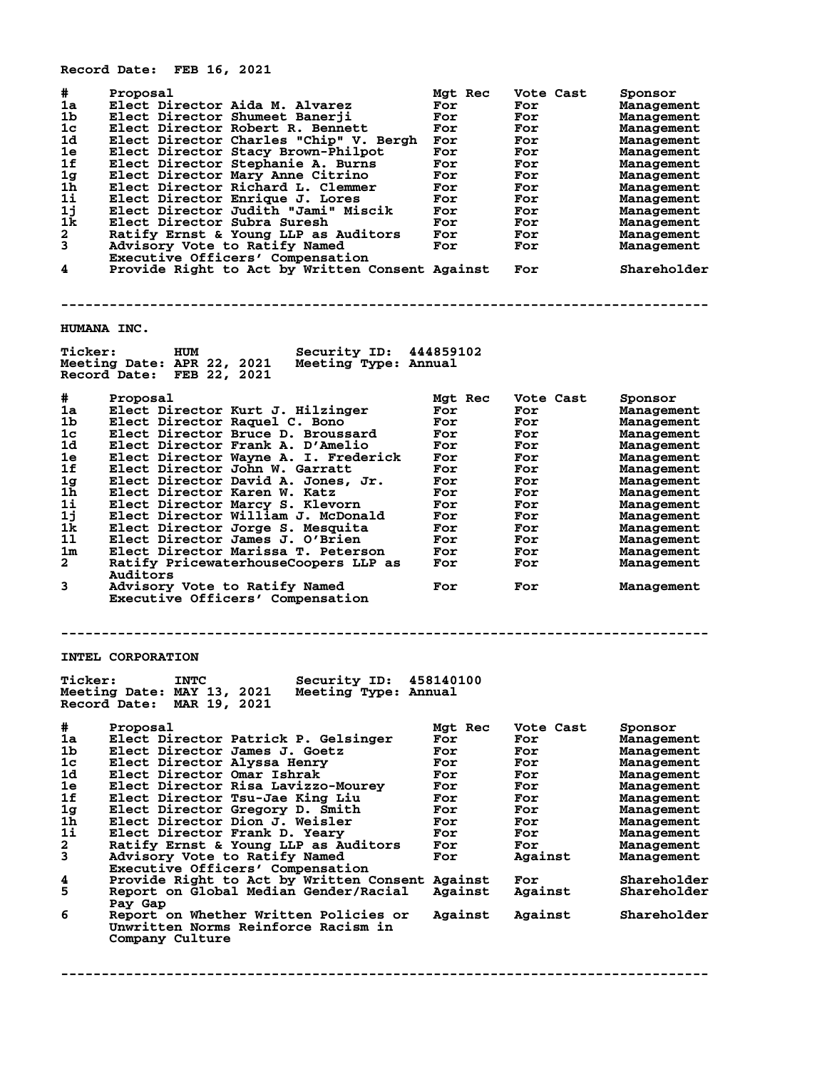**Record Date: FEB 16, 2021**

| #<br>1a<br>1b<br>1c<br>1d<br>1e<br>1f<br>1 <sub>g</sub><br>1 <sub>h</sub><br>1i<br>1j<br>1k<br>$\mathbf{2}$<br>3<br>4 | Proposal<br>Elect Director Aida M. Alvarez<br>Elect Director Shumeet Banerji<br>Elect Director Robert R. Bennett<br>Elect Director Charles "Chip" V. Bergh For<br>Elect Director Stacy Brown-Philpot<br>Elect Director Stephanie A. Burns<br>Elect Director Mary Anne Citrino<br>Elect Director Richard L. Clemmer<br>Elect Director Enrique J. Lores<br>Elect Director Judith "Jami" Miscik<br>Elect Director Subra Suresh<br>Ratify Ernst & Young LLP as Auditors<br>Advisory Vote to Ratify Named<br>Executive Officers' Compensation<br>Provide Right to Act by Written Consent Against | Mgt Rec<br>For<br>For<br>For<br>For<br>For<br>For<br>For<br>For<br>For<br>For<br>For<br>For | Vote Cast<br>For<br>For<br>For<br>For<br>For<br>For<br>For<br>For<br>For<br>For<br>For<br>For<br>For<br>For | Sponsor<br>Management<br>Management<br>Management<br>Management<br>Management<br>Management<br>Management<br>Management<br>Management<br>Management<br>Management<br>Management<br>Management<br>Shareholder |
|-----------------------------------------------------------------------------------------------------------------------|---------------------------------------------------------------------------------------------------------------------------------------------------------------------------------------------------------------------------------------------------------------------------------------------------------------------------------------------------------------------------------------------------------------------------------------------------------------------------------------------------------------------------------------------------------------------------------------------|---------------------------------------------------------------------------------------------|-------------------------------------------------------------------------------------------------------------|--------------------------------------------------------------------------------------------------------------------------------------------------------------------------------------------------------------|
|                                                                                                                       |                                                                                                                                                                                                                                                                                                                                                                                                                                                                                                                                                                                             |                                                                                             |                                                                                                             |                                                                                                                                                                                                              |
| HUMANA INC.                                                                                                           |                                                                                                                                                                                                                                                                                                                                                                                                                                                                                                                                                                                             |                                                                                             |                                                                                                             |                                                                                                                                                                                                              |
| <b>Ticker:</b>                                                                                                        | <b>Security ID: 444859102</b><br><b>HUM</b><br>Meeting Date: APR 22, 2021<br>Meeting Type: Annual<br>Record Date: FEB 22, 2021                                                                                                                                                                                                                                                                                                                                                                                                                                                              |                                                                                             |                                                                                                             |                                                                                                                                                                                                              |
| #                                                                                                                     | Proposal                                                                                                                                                                                                                                                                                                                                                                                                                                                                                                                                                                                    | Mgt Rec                                                                                     | Vote Cast                                                                                                   | Sponsor                                                                                                                                                                                                      |
| 1a                                                                                                                    | Elect Director Kurt J. Hilzinger                                                                                                                                                                                                                                                                                                                                                                                                                                                                                                                                                            | For                                                                                         | For                                                                                                         | Management                                                                                                                                                                                                   |
| 1b<br>1c                                                                                                              | Elect Director Raquel C. Bono<br>Elect Director Bruce D. Broussard                                                                                                                                                                                                                                                                                                                                                                                                                                                                                                                          | For<br>For                                                                                  | For                                                                                                         | Management                                                                                                                                                                                                   |
| 1d.                                                                                                                   | Elect Director Frank A. D'Amelio                                                                                                                                                                                                                                                                                                                                                                                                                                                                                                                                                            | For                                                                                         | For<br>For                                                                                                  | Management<br>Management                                                                                                                                                                                     |
| 1e                                                                                                                    | Elect Director Wayne A. I. Frederick                                                                                                                                                                                                                                                                                                                                                                                                                                                                                                                                                        | For                                                                                         | For                                                                                                         | Management                                                                                                                                                                                                   |
| 1f                                                                                                                    | Elect Director John W. Garratt                                                                                                                                                                                                                                                                                                                                                                                                                                                                                                                                                              | For                                                                                         | For                                                                                                         | Management                                                                                                                                                                                                   |
| 1 <sub>g</sub>                                                                                                        | Elect Director David A. Jones, Jr.                                                                                                                                                                                                                                                                                                                                                                                                                                                                                                                                                          | For                                                                                         | For                                                                                                         | Management                                                                                                                                                                                                   |
| 1 <sub>h</sub>                                                                                                        | Elect Director Karen W. Katz                                                                                                                                                                                                                                                                                                                                                                                                                                                                                                                                                                | For                                                                                         | For                                                                                                         | Management                                                                                                                                                                                                   |
| 1i                                                                                                                    | Elect Director Marcy S. Klevorn                                                                                                                                                                                                                                                                                                                                                                                                                                                                                                                                                             | For                                                                                         | For                                                                                                         | Management                                                                                                                                                                                                   |
| 1j<br>1k                                                                                                              | Elect Director William J. McDonald<br>Elect Director Jorge S. Mesquita                                                                                                                                                                                                                                                                                                                                                                                                                                                                                                                      | For                                                                                         | For                                                                                                         | Management                                                                                                                                                                                                   |
| 11                                                                                                                    | Elect Director James J. O'Brien                                                                                                                                                                                                                                                                                                                                                                                                                                                                                                                                                             | For<br>For                                                                                  | For<br>For                                                                                                  | Management<br>Management                                                                                                                                                                                     |
| 1 <sub>m</sub>                                                                                                        | Elect Director Marissa T. Peterson                                                                                                                                                                                                                                                                                                                                                                                                                                                                                                                                                          | For                                                                                         | For                                                                                                         | Management                                                                                                                                                                                                   |
| $\mathbf{2}$                                                                                                          | Ratify PricewaterhouseCoopers LLP as                                                                                                                                                                                                                                                                                                                                                                                                                                                                                                                                                        | For                                                                                         | For                                                                                                         | Management                                                                                                                                                                                                   |
| 3                                                                                                                     | Auditors<br>Advisory Vote to Ratify Named                                                                                                                                                                                                                                                                                                                                                                                                                                                                                                                                                   | For                                                                                         | For                                                                                                         | Management                                                                                                                                                                                                   |
|                                                                                                                       | Executive Officers' Compensation                                                                                                                                                                                                                                                                                                                                                                                                                                                                                                                                                            |                                                                                             |                                                                                                             |                                                                                                                                                                                                              |
|                                                                                                                       | <b>INTEL CORPORATION</b>                                                                                                                                                                                                                                                                                                                                                                                                                                                                                                                                                                    |                                                                                             |                                                                                                             |                                                                                                                                                                                                              |
| <b>Ticker:</b>                                                                                                        | <b>INTC</b><br>Security ID: 458140100<br>Meeting Date: MAY 13, 2021 Meeting Type: Annual<br>Record Date: MAR 19, 2021                                                                                                                                                                                                                                                                                                                                                                                                                                                                       |                                                                                             |                                                                                                             |                                                                                                                                                                                                              |
| #                                                                                                                     | Proposal                                                                                                                                                                                                                                                                                                                                                                                                                                                                                                                                                                                    | Mgt Rec                                                                                     | Vote Cast                                                                                                   | Sponsor                                                                                                                                                                                                      |
| 1a                                                                                                                    | Elect Director Patrick P. Gelsinger                                                                                                                                                                                                                                                                                                                                                                                                                                                                                                                                                         | For                                                                                         | For                                                                                                         | Management                                                                                                                                                                                                   |
| 1 <sub>b</sub>                                                                                                        | Elect Director James J. Goetz                                                                                                                                                                                                                                                                                                                                                                                                                                                                                                                                                               | For                                                                                         | For                                                                                                         | <b>Management</b>                                                                                                                                                                                            |
| 1 <sub>c</sub>                                                                                                        | Elect Director Alyssa Henry                                                                                                                                                                                                                                                                                                                                                                                                                                                                                                                                                                 | For                                                                                         | For                                                                                                         | Management                                                                                                                                                                                                   |
| 1d                                                                                                                    | Elect Director Omar Ishrak                                                                                                                                                                                                                                                                                                                                                                                                                                                                                                                                                                  | For                                                                                         | For                                                                                                         | Management                                                                                                                                                                                                   |
| 1e<br>1f                                                                                                              | Elect Director Risa Lavizzo-Mourey<br>Elect Director Tsu-Jae King Liu                                                                                                                                                                                                                                                                                                                                                                                                                                                                                                                       | For<br>For                                                                                  | For<br>For                                                                                                  | Management<br>Management                                                                                                                                                                                     |
| 1 <sub>g</sub>                                                                                                        | Elect Director Gregory D. Smith                                                                                                                                                                                                                                                                                                                                                                                                                                                                                                                                                             | For                                                                                         | For                                                                                                         | Management                                                                                                                                                                                                   |
| 1h                                                                                                                    | Elect Director Dion J. Weisler                                                                                                                                                                                                                                                                                                                                                                                                                                                                                                                                                              | For                                                                                         | For                                                                                                         | Management                                                                                                                                                                                                   |
| 11                                                                                                                    | Elect Director Frank D. Yeary                                                                                                                                                                                                                                                                                                                                                                                                                                                                                                                                                               | For                                                                                         | For                                                                                                         | Management                                                                                                                                                                                                   |
| $\mathbf{2}$                                                                                                          | Ratify Ernst & Young LLP as Auditors                                                                                                                                                                                                                                                                                                                                                                                                                                                                                                                                                        | For                                                                                         | For                                                                                                         | Management                                                                                                                                                                                                   |
| 3                                                                                                                     | Advisory Vote to Ratify Named<br>Executive Officers' Compensation                                                                                                                                                                                                                                                                                                                                                                                                                                                                                                                           | For                                                                                         | Against                                                                                                     | Management                                                                                                                                                                                                   |
| 4<br>5                                                                                                                | Provide Right to Act by Written Consent Against<br>Report on Global Median Gender/Racial                                                                                                                                                                                                                                                                                                                                                                                                                                                                                                    | Against                                                                                     | For<br>Against                                                                                              | Shareholder<br>Shareholder                                                                                                                                                                                   |
| 6                                                                                                                     | Pay Gap<br>Report on Whether Written Policies or<br>Unwritten Norms Reinforce Racism in                                                                                                                                                                                                                                                                                                                                                                                                                                                                                                     | Against                                                                                     | Against                                                                                                     | Shareholder                                                                                                                                                                                                  |
|                                                                                                                       | Company Culture                                                                                                                                                                                                                                                                                                                                                                                                                                                                                                                                                                             |                                                                                             |                                                                                                             |                                                                                                                                                                                                              |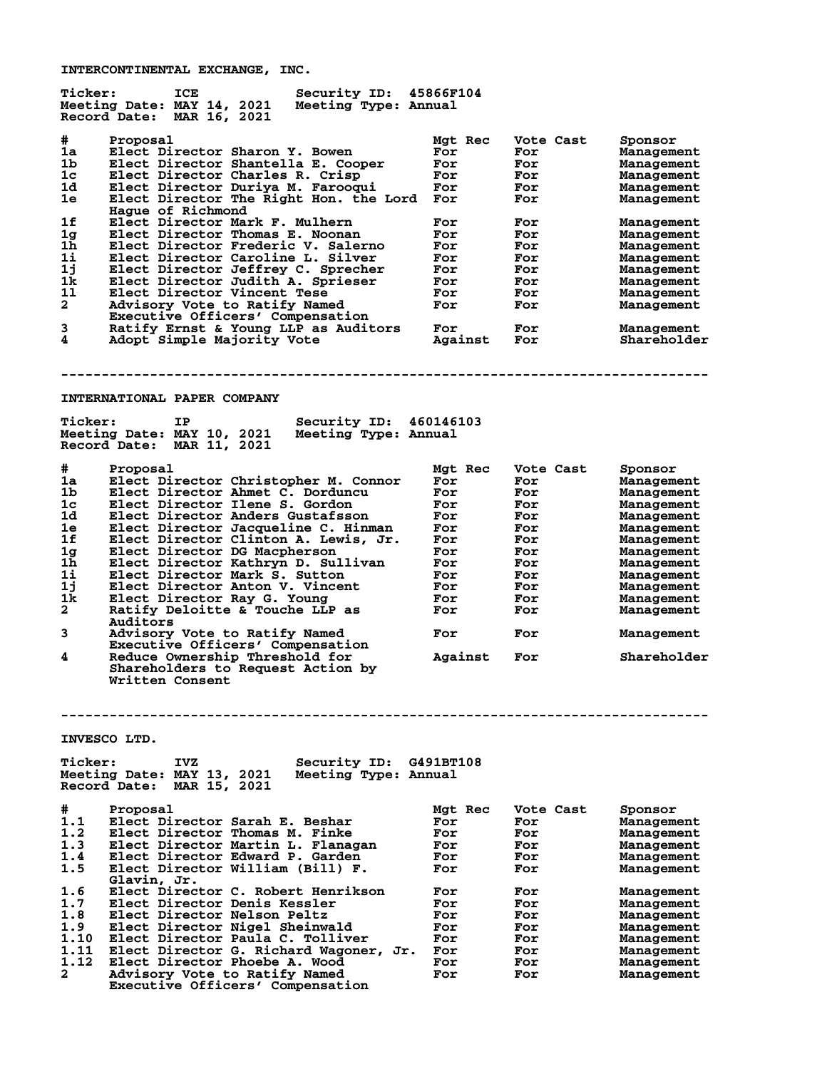**INTERCONTINENTAL EXCHANGE, INC.**

| <b>Ticker:</b> | ICE                                        | Security ID: 45866F104 |           |           |                   |
|----------------|--------------------------------------------|------------------------|-----------|-----------|-------------------|
|                | Meeting Date: MAY 14, 2021                 | Meeting Type: Annual   |           |           |                   |
|                | Record Date: MAR 16, 2021                  |                        |           |           |                   |
|                |                                            |                        |           |           |                   |
| #              | Proposal                                   |                        | Mgt Rec   | Vote Cast | Sponsor           |
| 1a             | Elect Director Sharon Y. Bowen             |                        | For       | For       | Management        |
| 1 <sub>b</sub> | Elect Director Shantella E. Cooper         |                        | For       | For       | Management        |
| 1 <sub>c</sub> | Elect Director Charles R. Crisp            |                        | For       | For       | Management        |
| 1d             | Elect Director Duriya M. Farooqui          |                        | For       | For       | Management        |
| 1e             | Elect Director The Right Hon. the Lord For |                        |           | For       | Management        |
|                | Hague of Richmond                          |                        |           |           |                   |
| 1f             | Elect Director Mark F. Mulhern             |                        | For       | For       | Management        |
| 1g             | Elect Director Thomas E. Noonan            |                        | For       | For       | Management        |
| 1 <sub>h</sub> | Elect Director Frederic V. Salerno         |                        | For       | For       | Management        |
| 1i             | Elect Director Caroline L. Silver          |                        | For       | For       | Management        |
| 1j             | Elect Director Jeffrey C. Sprecher         |                        | For       | For       | Management        |
| 1k             | Elect Director Judith A. Sprieser          |                        | For       | For       | Management        |
| 11             | Elect Director Vincent Tese                |                        | For       | For       | Management        |
| $\mathbf{2}$   | Advisory Vote to Ratify Named              |                        | For       | For       | Management        |
|                | Executive Officers' Compensation           |                        |           |           |                   |
| 3              | Ratify Ernst & Young LLP as Auditors       |                        | For       | For       | Management        |
| 4              | Adopt Simple Majority Vote                 |                        | Against   | For       | Shareholder       |
|                |                                            |                        |           |           |                   |
|                |                                            |                        |           |           |                   |
|                |                                            |                        |           |           |                   |
|                |                                            |                        |           |           |                   |
|                | <b>INTERNATIONAL PAPER COMPANY</b>         |                        |           |           |                   |
|                |                                            |                        |           |           |                   |
| <b>Ticker:</b> | IP                                         | Security ID: 460146103 |           |           |                   |
|                | Meeting Date: MAY 10, 2021                 | Meeting Type: Annual   |           |           |                   |
|                | Record Date: MAR 11, 2021                  |                        |           |           |                   |
|                |                                            |                        |           |           |                   |
|                |                                            |                        |           |           |                   |
| #              | Proposal                                   |                        | Mgt Rec   | Vote Cast | Sponsor           |
| 1a             | Elect Director Christopher M. Connor       |                        | For       | For       | Management        |
| 1b             | Elect Director Ahmet C. Dorduncu           |                        | For       | For       | Management        |
| $1\mathrm{c}$  | Elect Director Ilene S. Gordon             |                        | For       | For       | Management        |
| 1d             | Elect Director Anders Gustafsson           |                        | For       | For       | Management        |
| 1e             | Elect Director Jacqueline C. Hinman        |                        | For       | For       | Management        |
| 1f             | Elect Director Clinton A. Lewis, Jr.       |                        | For       | For       | Management        |
| 1g             | Elect Director DG Macpherson               |                        | For       | For       | Management        |
| 1h             | Elect Director Kathryn D. Sullivan         |                        | For       | For       | Management        |
| 1i             | Elect Director Mark S. Sutton              |                        | For       | For       | Management        |
| 1j             | Elect Director Anton V. Vincent            |                        | For       | For       | Management        |
| 1k             | Elect Director Ray G. Young                |                        | For       | For       | Management        |
| $\mathbf{2}$   | Ratify Deloitte & Touche LLP as            |                        | For       | For       | Management        |
|                | Auditors                                   |                        |           |           |                   |
| 3              | Advisory Vote to Ratify Named              |                        | For       | For       | Management        |
|                |                                            |                        |           |           |                   |
|                | Executive Officers' Compensation           |                        |           |           |                   |
| 4              | Reduce Ownership Threshold for             |                        | Against   | For       | Shareholder       |
|                | Shareholders to Request Action by          |                        |           |           |                   |
|                | Written Consent                            |                        |           |           |                   |
|                |                                            |                        |           |           |                   |
|                |                                            |                        |           |           |                   |
|                |                                            |                        |           |           |                   |
|                |                                            |                        |           |           |                   |
|                | INVESCO LTD.                               |                        |           |           |                   |
|                |                                            |                        |           |           |                   |
| <b>Ticker:</b> | IVZ                                        | Security ID:           | G491BT108 |           |                   |
|                | Meeting Date: MAY 13, 2021                 | Meeting Type: Annual   |           |           |                   |
|                | Record Date:<br>MAR 15, 2021               |                        |           |           |                   |
|                |                                            |                        |           |           |                   |
| #              | Proposal                                   |                        | Mgt Rec   | Vote Cast | Sponsor           |
| 1.1            | Elect Director Sarah E. Beshar             |                        | For       | For       | Management        |
| 1.2            | Elect Director Thomas M. Finke             |                        | For       | For       | Management        |
| 1.3            | Elect Director Martin L. Flanagan          |                        | For       | For       | Management        |
| 1.4            | Elect Director Edward P. Garden            |                        | For       | For       | Management        |
| 1.5            | Elect Director William (Bill) F.           |                        | For       | For       | <b>Management</b> |
|                | Glavin, Jr.                                |                        |           |           |                   |
| 1.6            | Elect Director C. Robert Henrikson         |                        | For       | For       |                   |
| 1.7            |                                            |                        | For       |           | <b>Management</b> |
| 1.8            | Elect Director Denis Kessler               |                        |           | For       | <b>Management</b> |
|                | Elect Director Nelson Peltz                |                        | For       | For       | Management        |
| 1.9            | Elect Director Nigel Sheinwald             |                        | For       | For       | Management        |
| 1.10           | Elect Director Paula C. Tolliver           |                        | For       | For       | Management        |
| 1.11           | Elect Director G. Richard Wagoner, Jr.     |                        | For       | For       | Management        |
| 1.12           | Elect Director Phoebe A. Wood              |                        | For       | For       | <b>Management</b> |
| 2              | Advisory Vote to Ratify Named              |                        | For       | For       | <b>Management</b> |
|                | Executive Officers' Compensation           |                        |           |           |                   |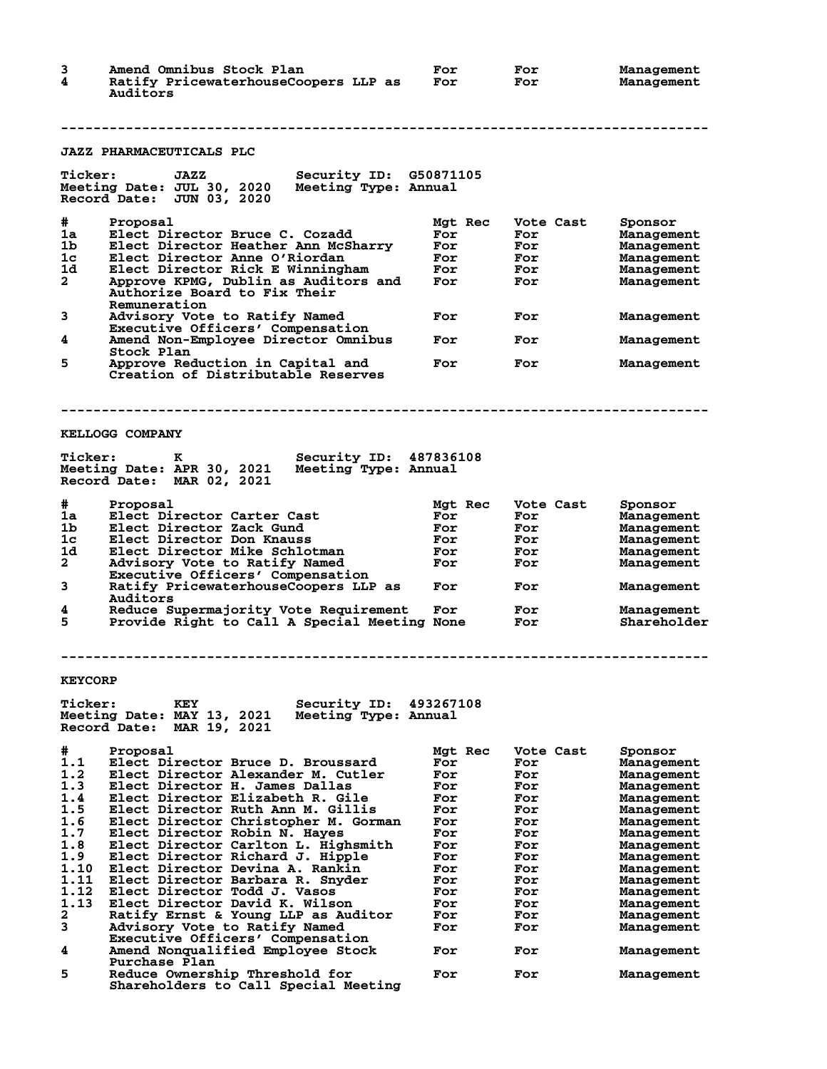| 3<br>4               | Amend Omnibus Stock Plan<br>Ratify PricewaterhouseCoopers LLP as<br>Auditors       | For<br>For     | For<br>For       | <b>Management</b><br>Management        |
|----------------------|------------------------------------------------------------------------------------|----------------|------------------|----------------------------------------|
|                      |                                                                                    |                |                  |                                        |
|                      | <b>JAZZ PHARMACEUTICALS PLC</b>                                                    |                |                  |                                        |
| <b>Ticker:</b>       | Security ID: G50871105<br>JAZZ                                                     |                |                  |                                        |
|                      | Meeting Date: JUL 30, 2020<br>Meeting Type: Annual                                 |                |                  |                                        |
|                      | Record Date:<br>JUN 03, 2020                                                       |                |                  |                                        |
| #                    | Proposal                                                                           | Mgt Rec        | Vote Cast        | Sponsor                                |
| 1a                   | Elect Director Bruce C. Cozadd                                                     | For            | For              | Management                             |
| 1b<br>1c             | Elect Director Heather Ann McSharry<br>Elect Director Anne O'Riordan               | For<br>For     | For<br>For       | <b>Management</b>                      |
| 1d                   | Elect Director Rick E Winningham                                                   | For            | For              | <b>Management</b><br>Management        |
| $\mathbf{2}$         | Approve KPMG, Dublin as Auditors and                                               | For            | For              | Management                             |
|                      | <b>Authorize Board to Fix Their</b>                                                |                |                  |                                        |
| 3                    | Remuneration<br>Advisory Vote to Ratify Named                                      | For            | For              | <b>Management</b>                      |
|                      | Executive Officers' Compensation                                                   |                |                  |                                        |
| 4                    | Amend Non-Employee Director Omnibus                                                | For            | For              | <b>Management</b>                      |
|                      | Stock Plan                                                                         |                |                  |                                        |
| 5                    | Approve Reduction in Capital and<br>Creation of Distributable Reserves             | For            | For              | Management                             |
|                      |                                                                                    |                |                  |                                        |
|                      |                                                                                    |                |                  |                                        |
|                      |                                                                                    |                |                  |                                        |
|                      | <b>KELLOGG COMPANY</b>                                                             |                |                  |                                        |
| <b>Ticker:</b>       | к<br>Security ID:                                                                  | 487836108      |                  |                                        |
|                      | Meeting Date: APR 30, 2021<br>Meeting Type: Annual                                 |                |                  |                                        |
|                      | Record Date: MAR 02, 2021                                                          |                |                  |                                        |
|                      |                                                                                    |                |                  |                                        |
| #<br>1a              | Proposal<br>Elect Director Carter Cast                                             | Mgt Rec<br>For | Vote Cast<br>For | Sponsor<br><b>Management</b>           |
| 1b                   | Elect Director Zack Gund                                                           | For            | For              | Management                             |
| 1c                   | Elect Director Don Knauss                                                          | For            | For              | <b>Management</b>                      |
| 1d                   | Elect Director Mike Schlotman                                                      | For            | For              | Management                             |
| $\mathbf{2}$         | Advisory Vote to Ratify Named<br>Executive Officers' Compensation                  | For            | For              | Management                             |
| 3                    | Ratify PricewaterhouseCoopers LLP as                                               | For            | For              | Management                             |
|                      | Auditors                                                                           |                |                  |                                        |
| 4                    | Reduce Supermajority Vote Requirement                                              | For            | For              | Management                             |
| 5                    | Provide Right to Call A Special Meeting None                                       |                | For              | Shareholder                            |
|                      |                                                                                    |                |                  |                                        |
|                      |                                                                                    |                |                  |                                        |
| <b>KEYCORP</b>       |                                                                                    |                |                  |                                        |
|                      |                                                                                    |                |                  |                                        |
| <b>Ticker:</b>       | Security ID:<br>KEY                                                                | 493267108      |                  |                                        |
|                      | Meeting Date: MAY 13, 2021<br>Meeting Type: Annual<br>Record Date:<br>MAR 19, 2021 |                |                  |                                        |
|                      |                                                                                    |                |                  |                                        |
| #                    | Proposal                                                                           | Mat Rec        | Vote Cast        | Sponsor                                |
| 1.1                  | Elect Director Bruce D. Broussard                                                  | For            | For              | Management                             |
| 1.2<br>1.3           | Elect Director Alexander M. Cutler<br>Elect Director H. James Dallas               | For<br>For     | For<br>For       | Management                             |
| 1.4                  | Elect Director Elizabeth R. Gile                                                   | For            | For              | Management<br><b>Management</b>        |
| 1.5                  | Elect Director Ruth Ann M. Gillis                                                  | For            | For              | <b>Management</b>                      |
| 1.6                  | Elect Director Christopher M. Gorman                                               | For            | For              | Management                             |
| 1.7                  | Elect Director Robin N. Hayes                                                      | For            | For              | Management                             |
| 1.8<br>1.9           | Elect Director Carlton L. Highsmith<br>Elect Director Richard J. Hipple            | For<br>For     | For<br>For       | <b>Management</b><br><b>Management</b> |
| 1.10                 | Elect Director Devina A. Rankin                                                    | For            | For              | <b>Management</b>                      |
| 1.11                 | Elect Director Barbara R. Snyder                                                   | For            | For              | Management                             |
| 1.12                 | Elect Director Todd J. Vasos                                                       | For            | For              | Management                             |
| 1.13<br>$\mathbf{2}$ | Elect Director David K. Wilson<br>Ratify Ernst & Young LLP as Auditor              | For<br>For     | For<br>For       | <b>Management</b><br>Management        |
| 3                    | Advisory Vote to Ratify Named                                                      | For            | For              | <b>Management</b>                      |
|                      | Executive Officers' Compensation                                                   |                |                  |                                        |
| 4                    | Amend Nonqualified Employee Stock                                                  | For            | For              | <b>Management</b>                      |
| 5                    | Purchase Plan<br><b>Reduce Ownership Threshold for</b>                             | For            | For              |                                        |
|                      | Shareholders to Call Special Meeting                                               |                |                  | <b>Management</b>                      |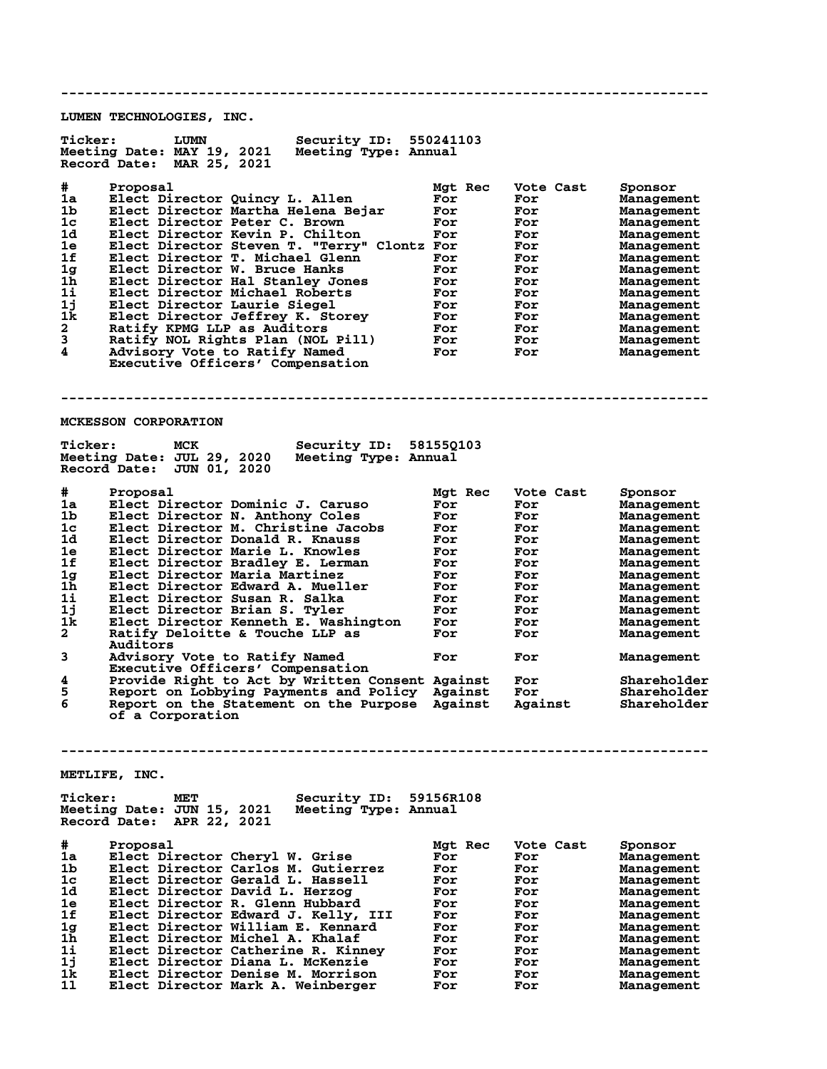**-------------------------------------------------------------------------------- LUMEN TECHNOLOGIES, INC. Ticker: LUMN Security ID: 550241103 Meeting Date: MAY 19, 2021 Meeting Type: Annual Record Date: MAR 25, 2021 # Proposal Mgt Rec Vote Cast Sponsor 1a Elect Director Quincy L. Allen For For Management 1b Elect Director Martha Helena Bejar For For Management 1c Elect Director Peter C. Brown For For Management 1d Elect Director Kevin P. Chilton For For Management 1e Elect Director Steven T. "Terry" Clontz For For Management 1f Elect Director T. Michael Glenn For For Management 1g Elect Director W. Bruce Hanks For For Management 1h Elect Director Hal Stanley Jones For For Management 1i Elect Director Michael Roberts For For Management 1j Elect Director Laurie Siegel For For Management 1k Elect Director Jeffrey K. Storey For For Management 2 Ratify KPMG LLP as Auditors For For Management 3 Ratify NOL Rights Plan (NOL Pill) For For Management 4 Advisory Vote to Ratify Named For For Management Executive Officers' Compensation -------------------------------------------------------------------------------- MCKESSON CORPORATION Ticker: MCK Security ID: 58155Q103 Meeting Date: JUL 29, 2020 Meeting Type: Annual Record Date: JUN 01, 2020 # Proposal Mgt Rec Vote Cast Sponsor 1a Elect Director Dominic J. Caruso For For Management 1b Elect Director N. Anthony Coles For For Management 1c Elect Director M. Christine Jacobs For For Management 1d Elect Director Donald R. Knauss For For Management 1e Elect Director Marie L. Knowles For For Management 1f Elect Director Bradley E. Lerman For For Management 1g Elect Director Maria Martinez For For Management 1h Elect Director Edward A. Mueller For For Management 1i Elect Director Susan R. Salka For For Management 1j Elect Director Brian S. Tyler For For Management 1k Elect Director Kenneth E. Washington For For Management 2 Ratify Deloitte & Touche LLP as For For Management Auditors 3 Advisory Vote to Ratify Named For For Management 2 Advisory Vote to Ratify Named<br>Executive Officers' Compensation<br>4 Provide Right to Act by Written C 4 Provide Right to Act by Written Consent Against For Shareholder 5 Report on Lobbying Payments and Policy Against For Shareholder 6 Report on the Statement on the Purpose Against Against Shareholder of a Corporation -------------------------------------------------------------------------------- METLIFE, INC.** Ticker: MET Security ID: 59156R108<br>Meeting Date: JUN 15, 2021 Meeting Type: Annual **Meeting Date: JUN 15, 2021 Meeting Type: Annual Record Date: APR 22, 2021 # Proposal Mgt Rec Vote Cast Sponsor 1a Elect Director Cheryl W. Grise For For Management 1b Elect Director Carlos M. Gutierrez For For Management 1c Elect Director Gerald L. Hassell For For Management 1d Elect Director David L. Herzog For For Management 1e Elect Director R. Glenn Hubbard For For Management 1f Elect Director Edward J. Kelly, III For For Management 1g Elect Director William E. Kennard For For Management 1h Elect Director Michel A. Khalaf For For Management 1i Elect Director Catherine R. Kinney For For Management 1j Elect Director Diana L. McKenzie For For Management 1k Elect Director Denise M. Morrison For For Management 1l Elect Director Mark A. Weinberger For For Management**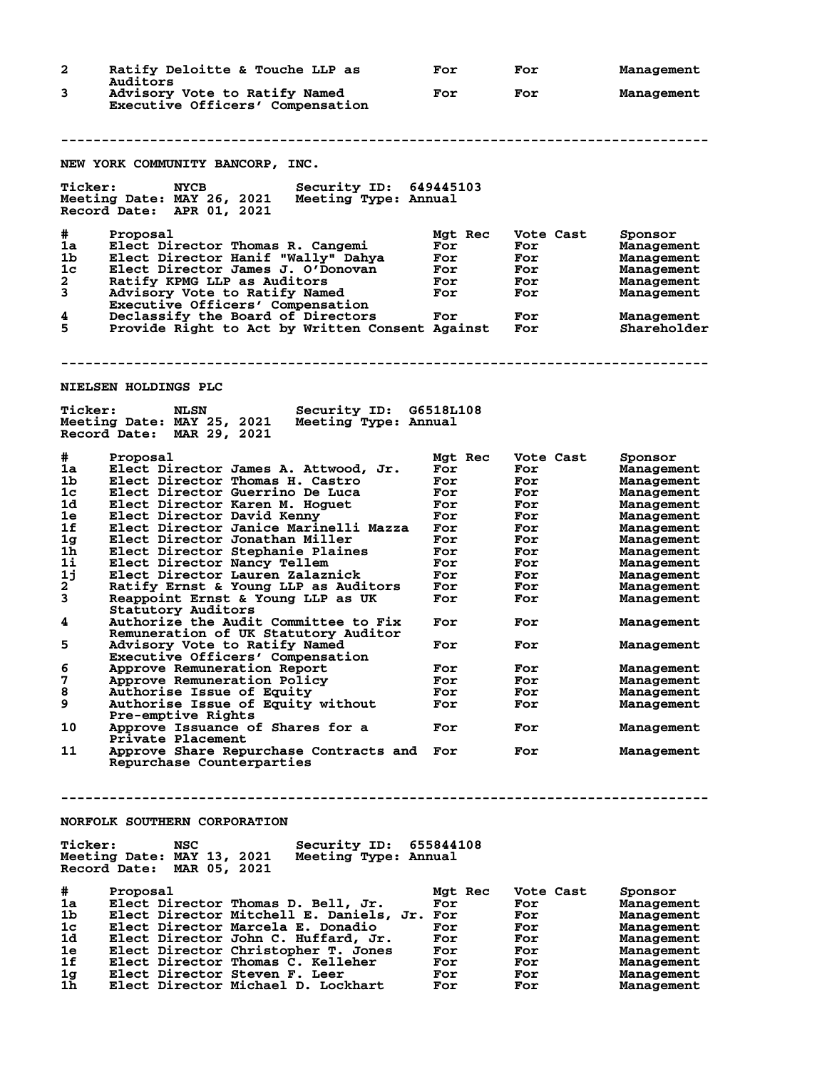| 2                                                                                                                                        | Ratify Deloitte & Touche LLP as<br>Auditors                                                                                                                                                                                                                                                                                                                                                                                                                                                                                                                                                                                                                                                                                                                                                                                                                                                                           | For                                                                                                                                                 | For                                                                                                                                                   | Management                                                                                                                                                                                                                                                                                      |
|------------------------------------------------------------------------------------------------------------------------------------------|-----------------------------------------------------------------------------------------------------------------------------------------------------------------------------------------------------------------------------------------------------------------------------------------------------------------------------------------------------------------------------------------------------------------------------------------------------------------------------------------------------------------------------------------------------------------------------------------------------------------------------------------------------------------------------------------------------------------------------------------------------------------------------------------------------------------------------------------------------------------------------------------------------------------------|-----------------------------------------------------------------------------------------------------------------------------------------------------|-------------------------------------------------------------------------------------------------------------------------------------------------------|-------------------------------------------------------------------------------------------------------------------------------------------------------------------------------------------------------------------------------------------------------------------------------------------------|
| 3                                                                                                                                        | Advisory Vote to Ratify Named<br>Executive Officers' Compensation                                                                                                                                                                                                                                                                                                                                                                                                                                                                                                                                                                                                                                                                                                                                                                                                                                                     | For                                                                                                                                                 | For                                                                                                                                                   | Management                                                                                                                                                                                                                                                                                      |
|                                                                                                                                          | NEW YORK COMMUNITY BANCORP, INC.                                                                                                                                                                                                                                                                                                                                                                                                                                                                                                                                                                                                                                                                                                                                                                                                                                                                                      |                                                                                                                                                     |                                                                                                                                                       |                                                                                                                                                                                                                                                                                                 |
| <b>Ticker:</b>                                                                                                                           | Security ID: 649445103<br><b>NYCB</b><br>Meeting Date: MAY 26, 2021<br>Meeting Type: Annual<br>Record Date: APR 01, 2021                                                                                                                                                                                                                                                                                                                                                                                                                                                                                                                                                                                                                                                                                                                                                                                              |                                                                                                                                                     |                                                                                                                                                       |                                                                                                                                                                                                                                                                                                 |
| #<br>1a<br>1b<br>1c<br>2<br>3<br>4<br>5                                                                                                  | Proposal<br>Elect Director Thomas R. Cangemi<br>Elect Director Hanif "Wally" Dahya<br>Elect Director James J. O'Donovan<br>Ratify KPMG LLP as Auditors<br>Advisory Vote to Ratify Named<br>Executive Officers' Compensation<br>Declassify the Board of Directors<br>Provide Right to Act by Written Consent Against                                                                                                                                                                                                                                                                                                                                                                                                                                                                                                                                                                                                   | Mgt Rec<br>For<br>For<br>For<br>For<br>For<br>For                                                                                                   | Vote Cast<br>For<br>For<br>For<br>For<br>For<br>For<br>For                                                                                            | Sponsor<br>Management<br>Management<br>Management<br>Management<br>Management<br>Management<br>Shareholder                                                                                                                                                                                      |
|                                                                                                                                          | <b>NIELSEN HOLDINGS PLC</b>                                                                                                                                                                                                                                                                                                                                                                                                                                                                                                                                                                                                                                                                                                                                                                                                                                                                                           |                                                                                                                                                     |                                                                                                                                                       |                                                                                                                                                                                                                                                                                                 |
| <b>Ticker:</b>                                                                                                                           | Security ID: G6518L108<br><b>NLSN</b><br>Meeting Date: MAY 25, 2021<br>Meeting Type: Annual<br>Record Date: MAR 29, 2021                                                                                                                                                                                                                                                                                                                                                                                                                                                                                                                                                                                                                                                                                                                                                                                              |                                                                                                                                                     |                                                                                                                                                       |                                                                                                                                                                                                                                                                                                 |
| #<br>1a<br>1b<br>$1\mathrm{c}$<br>1d<br>1e<br>1f<br>1g<br>1 <sub>h</sub><br>1i<br>1j<br>2<br>3<br>4<br>5<br>6<br>7<br>8<br>9<br>10<br>11 | Proposal<br>Elect Director James A. Attwood, Jr.<br>Elect Director Thomas H. Castro<br>Elect Director Guerrino De Luca<br>Elect Director Karen M. Hoguet<br>Elect Director David Kenny<br>Elect Director Janice Marinelli Mazza<br>Elect Director Jonathan Miller<br>Elect Director Stephanie Plaines<br>Elect Director Nancy Tellem<br>Elect Director Lauren Zalaznick<br>Ratify Ernst & Young LLP as Auditors<br>Reappoint Ernst & Young LLP as UK<br>Statutory Auditors<br>Authorize the Audit Committee to Fix<br>Remuneration of UK Statutory Auditor<br>Advisory Vote to Ratify Named<br>Executive Officers' Compensation<br>Approve Remuneration Report<br>Approve Remuneration Policy<br>Authorise Issue of Equity<br>Authorise Issue of Equity without<br>Pre-emptive Rights<br>Approve Issuance of Shares for a<br>Private Placement<br>Approve Share Repurchase Contracts and<br>Repurchase Counterparties | Mgt Rec<br>For<br>For<br>For<br>For<br>For<br>For<br>For<br>For<br>For<br>For<br>For<br>For<br>For<br>For<br>For<br>For<br>For<br>For<br>For<br>For | Vote Cast<br>For<br>For<br>For<br>For<br>For<br>For<br>For<br>For<br>For<br>For<br>For<br>For<br>For<br>For<br>For<br>For<br>For<br>For<br>For<br>For | Sponsor<br>Management<br>Management<br>Management<br>Management<br>Management<br>Management<br>Management<br>Management<br>Management<br>Management<br>Management<br>Management<br>Management<br>Management<br>Management<br>Management<br>Management<br>Management<br>Management<br>Management |
|                                                                                                                                          |                                                                                                                                                                                                                                                                                                                                                                                                                                                                                                                                                                                                                                                                                                                                                                                                                                                                                                                       |                                                                                                                                                     |                                                                                                                                                       |                                                                                                                                                                                                                                                                                                 |
| <b>Ticker:</b>                                                                                                                           | NORFOLK SOUTHERN CORPORATION<br>NSC<br>Security ID: 655844108<br>Meeting Date: MAY 13, 2021<br>Meeting Type: Annual<br>Record Date: MAR 05, 2021                                                                                                                                                                                                                                                                                                                                                                                                                                                                                                                                                                                                                                                                                                                                                                      |                                                                                                                                                     |                                                                                                                                                       |                                                                                                                                                                                                                                                                                                 |
| #<br>1a<br>1b<br>1c<br>1d<br>1e<br>1f<br>1g<br>1h                                                                                        | Proposal<br>Elect Director Thomas D. Bell, Jr.<br>Elect Director Mitchell E. Daniels, Jr. For<br>Elect Director Marcela E. Donadio<br>Elect Director John C. Huffard, Jr.<br>Elect Director Christopher T. Jones<br>Elect Director Thomas C. Kelleher<br>Elect Director Steven F. Leer<br>Elect Director Michael D. Lockhart                                                                                                                                                                                                                                                                                                                                                                                                                                                                                                                                                                                          | Mgt Rec<br>For<br>For<br>For<br>For<br>For<br>For<br>For                                                                                            | Vote Cast<br>For<br>For<br>For<br>For<br>For<br>For<br>For<br>For                                                                                     | Sponsor<br>Management<br>Management<br>Management<br>Management<br>Management<br>Management<br>Management<br>Management                                                                                                                                                                         |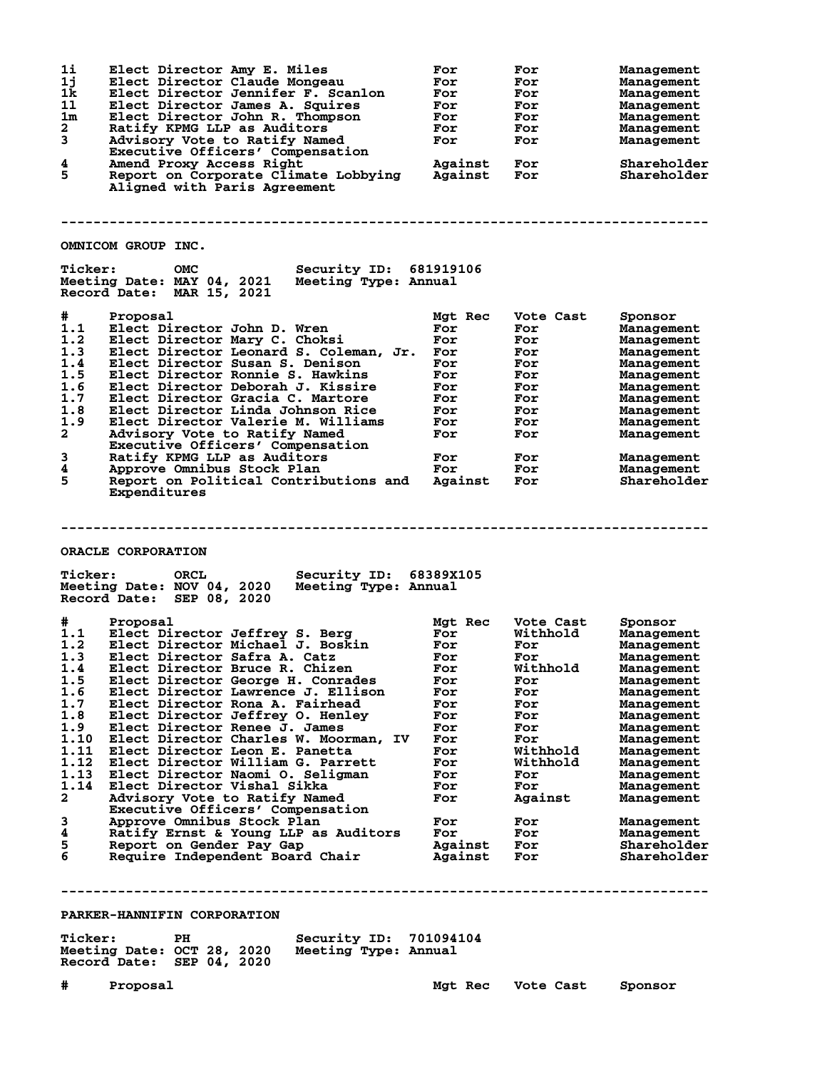| 11<br>1j       | Elect Director Amy E. Miles<br>Elect Director Claude Mongeau                                                      | For<br>For | For<br>For | Management<br>Management |
|----------------|-------------------------------------------------------------------------------------------------------------------|------------|------------|--------------------------|
| 1k             | Elect Director Jennifer F. Scanlon                                                                                | For        | For        | Management               |
| 11             | Elect Director James A. Squires                                                                                   | For        | For        | Management               |
| 1 <sub>m</sub> | Elect Director John R. Thompson                                                                                   | For        | For        | Management               |
| $\mathbf{2}$   | Ratify KPMG LLP as Auditors                                                                                       | For        | For        | Management               |
| 3              | Advisory Vote to Ratify Named<br>Executive Officers' Compensation                                                 | For        | For        | Management               |
| 4              | Amend Proxy Access Right                                                                                          | Against    | For        | Shareholder              |
| 5              | Report on Corporate Climate Lobbying<br>Aligned with Paris Agreement                                              | Against    | For        | Shareholder              |
|                |                                                                                                                   |            |            |                          |
|                | OMNICOM GROUP INC.                                                                                                |            |            |                          |
| <b>Ticker:</b> | Security ID: 681919106<br><b>OMC</b>                                                                              |            |            |                          |
|                | Meeting Date: MAY 04, 2021<br>Meeting Type: Annual<br>Record Date: MAR 15, 2021                                   |            |            |                          |
| #              | Proposal                                                                                                          | Mgt Rec    | Vote Cast  | Sponsor                  |
| 1.1            | Elect Director John D. Wren                                                                                       | For        | For        | Management               |
| 1.2            | Elect Director Mary C. Choksi                                                                                     | For        | For        | Management               |
| 1.3            | Elect Director Leonard S. Coleman, Jr.                                                                            | For        | For        | Management               |
| 1.4            | Elect Director Susan S. Denison                                                                                   | For        | For        | Management               |
| 1.5            | Elect Director Ronnie S. Hawkins                                                                                  | For        | For        | Management               |
| 1.6            | Elect Director Deborah J. Kissire                                                                                 | For        | For        | Management               |
| 1.7            | Elect Director Gracia C. Martore                                                                                  | For        | For        |                          |
| 1.8            | Elect Director Linda Johnson Rice                                                                                 | For        |            | Management               |
| 1.9            |                                                                                                                   |            | For        | Management               |
| $\overline{a}$ | Elect Director Valerie M. Williams                                                                                | For        | For        | Management               |
|                | Advisory Vote to Ratify Named                                                                                     | For        | For        | Management               |
|                | Executive Officers' Compensation                                                                                  |            |            |                          |
| 3              | Ratify KPMG LLP as Auditors                                                                                       | For        | For        | Management               |
| 4              | Approve Omnibus Stock Plan                                                                                        | For        | For        | Management               |
| 5              | Report on Political Contributions and                                                                             | Against    | For        | Shareholder              |
|                | Expenditures                                                                                                      |            |            |                          |
|                |                                                                                                                   |            |            |                          |
|                | ORACLE CORPORATION                                                                                                |            |            |                          |
| <b>Ticker:</b> | Security ID: 68389X105<br>ORCL<br>Meeting Date: NOV 04, 2020<br>Meeting Type: Annual<br>Record Date: SEP 08, 2020 |            |            |                          |
| #              | Proposal                                                                                                          | Mgt Rec    | Vote Cast  | Sponsor                  |
| 1.1            | Elect Director Jeffrey S. Berg                                                                                    | For        | Withhold   | Management               |
| 1.2            | Elect Director Michael J. Boskin                                                                                  | For        | For        | Management               |
| 1.3            | Elect Director Safra A. Catz                                                                                      | For        | For        | Management               |
|                |                                                                                                                   |            |            |                          |
| 1.5            |                                                                                                                   |            |            |                          |
|                | 1.4 Elect Director Bruce R. Chizen                                                                                | <b>For</b> | Withhold   | Management               |
|                | Elect Director George H. Conrades                                                                                 | For        | For        | Management               |
| 1.6            | Elect Director Lawrence J. Ellison                                                                                | For        | For        | Management               |
| 1.7            | Elect Director Rona A. Fairhead                                                                                   | For        | For        | Management               |
| 1.8            | Elect Director Jeffrey O. Henley                                                                                  | For        | For        | Management               |
| 1.9            | Elect Director Renee J. James                                                                                     | For        | For        | Management               |
| 1.10           | Elect Director Charles W. Moorman, IV                                                                             | For        | For        | Management               |
| 1.11           | Elect Director Leon E. Panetta                                                                                    | For        | Withhold   | Management               |
| 1.12           | Elect Director William G. Parrett                                                                                 | For        | Withhold   | Management               |
| 1.13           | Elect Director Naomi O. Seligman                                                                                  | For        | For        | Management               |
| 1.14           | Elect Director Vishal Sikka                                                                                       | For        | For        | Management               |
| $\mathbf{2}$   | Advisory Vote to Ratify Named<br>Executive Officers' Compensation                                                 | For        | Against    | Management               |
| 3              | Approve Omnibus Stock Plan                                                                                        | For        | For        | Management               |
| 4              | Ratify Ernst & Young LLP as Auditors                                                                              | For        | For        | Management               |
| 5              | Report on Gender Pay Gap                                                                                          | Against    | For        | Shareholder              |
| 6              | Require Independent Board Chair                                                                                   | Against    | For        | Shareholder              |
|                |                                                                                                                   |            |            |                          |
|                |                                                                                                                   |            |            |                          |
|                |                                                                                                                   |            |            |                          |
|                |                                                                                                                   |            |            |                          |

| <b>Ticker:</b>             | PН | Security ID: 701094104 |  |
|----------------------------|----|------------------------|--|
| Meeting Date: OCT 28, 2020 |    | Meeting Type: Annual   |  |
| Record Date: SEP 04, 2020  |    |                        |  |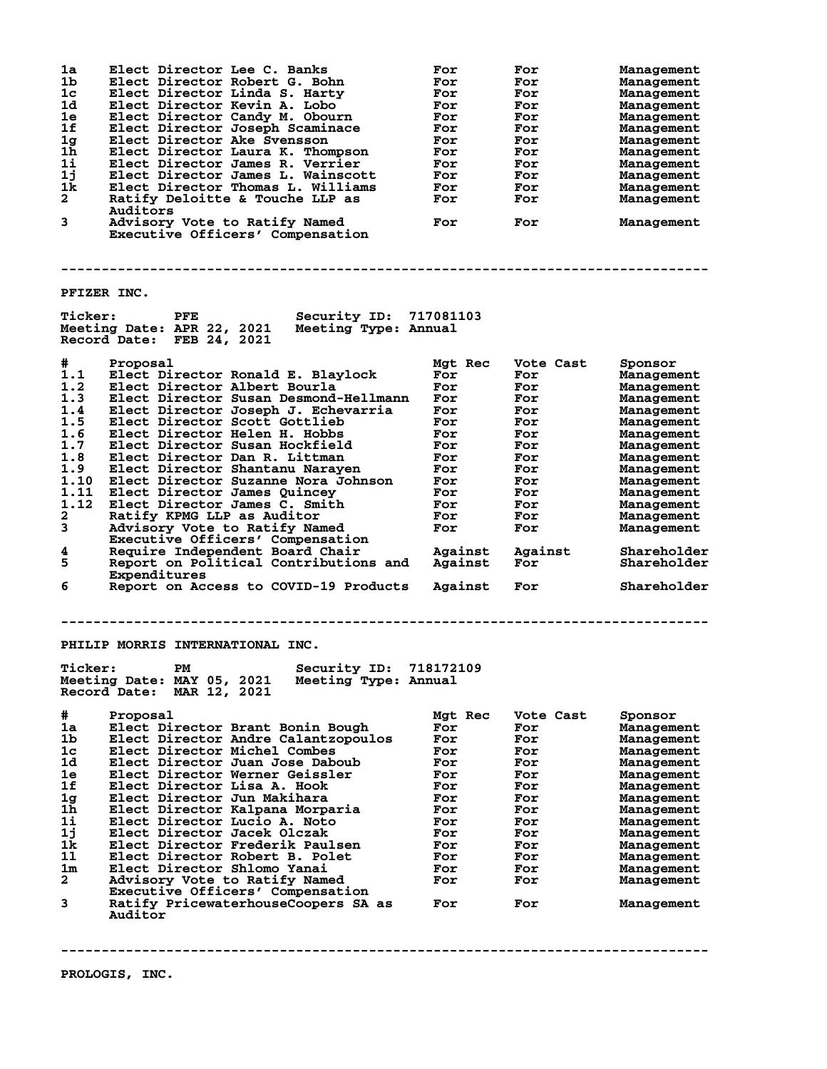| 1a<br>1b<br>1c<br>1d<br>1e<br>1f<br>1 <sub>g</sub><br>$1\bar{h}$<br>$1\text{i}$<br>1j<br>1k<br>$\overline{a}$<br>3 | Elect Director Lee C. Banks<br>Elect Director Robert G. Bohn<br>Elect Director Linda S. Harty<br>Elect Director Kevin A. Lobo<br>Elect Director Candy M. Obourn<br>Elect Director Joseph Scaminace<br>Elect Director Ake Svensson<br>Elect Director Laura K. Thompson<br>Elect Director James R. Verrier<br>Elect Director James L. Wainscott<br>Elect Director Thomas L. Williams<br>Ratify Deloitte & Touche LLP as<br>Auditors<br>Advisory Vote to Ratify Named<br>Executive Officers' Compensation | For<br>For<br>For<br>For<br>For<br>For<br>For<br>For<br>For<br>For<br>For<br>For<br>For | For<br>For<br>For<br>For<br>For<br>For<br>For<br>For<br>For<br>For<br>For<br>For<br>For | Management<br>Management<br>Management<br>Management<br>Management<br>Management<br>Management<br>Management<br>Management<br>Management<br>Management<br>Management<br>Management |
|--------------------------------------------------------------------------------------------------------------------|--------------------------------------------------------------------------------------------------------------------------------------------------------------------------------------------------------------------------------------------------------------------------------------------------------------------------------------------------------------------------------------------------------------------------------------------------------------------------------------------------------|-----------------------------------------------------------------------------------------|-----------------------------------------------------------------------------------------|------------------------------------------------------------------------------------------------------------------------------------------------------------------------------------|
|                                                                                                                    |                                                                                                                                                                                                                                                                                                                                                                                                                                                                                                        |                                                                                         |                                                                                         |                                                                                                                                                                                    |
| PFIZER INC.                                                                                                        |                                                                                                                                                                                                                                                                                                                                                                                                                                                                                                        |                                                                                         |                                                                                         |                                                                                                                                                                                    |
| <b>Ticker:</b>                                                                                                     | PFE<br><b>Security ID: 717081103</b><br>Meeting Date: APR 22, 2021 Meeting Type: Annual<br>Record Date: FEB 24, 2021                                                                                                                                                                                                                                                                                                                                                                                   |                                                                                         |                                                                                         |                                                                                                                                                                                    |
| #                                                                                                                  | Proposal                                                                                                                                                                                                                                                                                                                                                                                                                                                                                               | <b>Mat Rec</b>                                                                          | Vote Cast                                                                               | Sponsor                                                                                                                                                                            |
| 1.1                                                                                                                | Elect Director Ronald E. Blavlock                                                                                                                                                                                                                                                                                                                                                                                                                                                                      | For                                                                                     | For                                                                                     | Management                                                                                                                                                                         |
| 1.2                                                                                                                | Elect Director Albert Bourla                                                                                                                                                                                                                                                                                                                                                                                                                                                                           | For                                                                                     | For                                                                                     | Management                                                                                                                                                                         |
| 1.3                                                                                                                | Elect Director Susan Desmond-Hellmann                                                                                                                                                                                                                                                                                                                                                                                                                                                                  | For                                                                                     | For                                                                                     | Management                                                                                                                                                                         |
| 1.4<br>1.5                                                                                                         | Elect Director Joseph J. Echevarria<br>Elect Director Scott Gottlieb                                                                                                                                                                                                                                                                                                                                                                                                                                   | For                                                                                     | For                                                                                     | Management                                                                                                                                                                         |
| 1.6                                                                                                                | Elect Director Helen H. Hobbs                                                                                                                                                                                                                                                                                                                                                                                                                                                                          | For<br>For                                                                              | For                                                                                     | Management                                                                                                                                                                         |
| 1.7                                                                                                                | Elect Director Susan Hockfield                                                                                                                                                                                                                                                                                                                                                                                                                                                                         | For                                                                                     | For<br>For                                                                              | Management<br>Management                                                                                                                                                           |
| 1.8                                                                                                                | Elect Director Dan R. Littman                                                                                                                                                                                                                                                                                                                                                                                                                                                                          | For                                                                                     | For                                                                                     | Management                                                                                                                                                                         |
| 1.9                                                                                                                | Elect Director Shantanu Narayen                                                                                                                                                                                                                                                                                                                                                                                                                                                                        | For                                                                                     | For                                                                                     | Management                                                                                                                                                                         |
| 1.10                                                                                                               | Elect Director Suzanne Nora Johnson                                                                                                                                                                                                                                                                                                                                                                                                                                                                    | For                                                                                     | For                                                                                     | Management                                                                                                                                                                         |
| 1.11                                                                                                               | Elect Director James Quincey                                                                                                                                                                                                                                                                                                                                                                                                                                                                           | For                                                                                     | For                                                                                     | Management                                                                                                                                                                         |
| 1.12                                                                                                               | Elect Director James C. Smith                                                                                                                                                                                                                                                                                                                                                                                                                                                                          | For                                                                                     | For                                                                                     | Management                                                                                                                                                                         |
| $\mathbf{2}$                                                                                                       | Ratify KPMG LLP as Auditor                                                                                                                                                                                                                                                                                                                                                                                                                                                                             | For                                                                                     | For                                                                                     | Management                                                                                                                                                                         |
| 3                                                                                                                  | Advisory Vote to Ratify Named                                                                                                                                                                                                                                                                                                                                                                                                                                                                          | For                                                                                     | For                                                                                     | Management                                                                                                                                                                         |
|                                                                                                                    | Executive Officers' Compensation                                                                                                                                                                                                                                                                                                                                                                                                                                                                       |                                                                                         |                                                                                         |                                                                                                                                                                                    |
| 4<br>5                                                                                                             | Require Independent Board Chair<br>Report on Political Contributions and                                                                                                                                                                                                                                                                                                                                                                                                                               | Against<br>Against                                                                      | Against<br>For                                                                          | Shareholder<br>Shareholder                                                                                                                                                         |
| 6                                                                                                                  | Expenditures<br>Report on Access to COVID-19 Products                                                                                                                                                                                                                                                                                                                                                                                                                                                  | Against                                                                                 | For                                                                                     | Shareholder                                                                                                                                                                        |
|                                                                                                                    | PHILIP MORRIS INTERNATIONAL INC.                                                                                                                                                                                                                                                                                                                                                                                                                                                                       |                                                                                         |                                                                                         |                                                                                                                                                                                    |
| <b>Ticker:</b>                                                                                                     | Security ID: 718172109<br><b>PM</b><br>Meeting Date: MAY 05, 2021<br>Meeting Type: Annual<br>Record Date: MAR 12, 2021                                                                                                                                                                                                                                                                                                                                                                                 |                                                                                         |                                                                                         |                                                                                                                                                                                    |
| #                                                                                                                  | Proposal                                                                                                                                                                                                                                                                                                                                                                                                                                                                                               | Mgt Rec                                                                                 | Vote Cast                                                                               | Sponsor                                                                                                                                                                            |
| 1a                                                                                                                 | Elect Director Brant Bonin Bough                                                                                                                                                                                                                                                                                                                                                                                                                                                                       | For                                                                                     | For                                                                                     | Management                                                                                                                                                                         |
| 1b                                                                                                                 | Elect Director Andre Calantzopoulos                                                                                                                                                                                                                                                                                                                                                                                                                                                                    | For                                                                                     | For                                                                                     | Management                                                                                                                                                                         |
| $1\mathrm{c}$                                                                                                      | Elect Director Michel Combes                                                                                                                                                                                                                                                                                                                                                                                                                                                                           | For                                                                                     | For                                                                                     | Management                                                                                                                                                                         |
| 1d                                                                                                                 | Elect Director Juan Jose Daboub                                                                                                                                                                                                                                                                                                                                                                                                                                                                        | For                                                                                     | For                                                                                     | Management                                                                                                                                                                         |
| 1e                                                                                                                 | Elect Director Werner Geissler                                                                                                                                                                                                                                                                                                                                                                                                                                                                         | For                                                                                     | For                                                                                     | Management                                                                                                                                                                         |
| 1f                                                                                                                 | Elect Director Lisa A. Hook                                                                                                                                                                                                                                                                                                                                                                                                                                                                            | For                                                                                     | For                                                                                     | Management                                                                                                                                                                         |
| 1g                                                                                                                 | Elect Director Jun Makihara                                                                                                                                                                                                                                                                                                                                                                                                                                                                            | For                                                                                     | For                                                                                     | Management                                                                                                                                                                         |
| 1 <sub>h</sub>                                                                                                     | Elect Director Kalpana Morparia                                                                                                                                                                                                                                                                                                                                                                                                                                                                        | For                                                                                     | For                                                                                     | Management                                                                                                                                                                         |
| 11                                                                                                                 | Elect Director Lucio A. Noto                                                                                                                                                                                                                                                                                                                                                                                                                                                                           | For                                                                                     | For                                                                                     | Management                                                                                                                                                                         |
| 1j                                                                                                                 | Elect Director Jacek Olczak                                                                                                                                                                                                                                                                                                                                                                                                                                                                            | For                                                                                     | For                                                                                     | Management                                                                                                                                                                         |
| 1k                                                                                                                 | Elect Director Frederik Paulsen                                                                                                                                                                                                                                                                                                                                                                                                                                                                        | For                                                                                     | For                                                                                     | Management                                                                                                                                                                         |
| 11                                                                                                                 | Elect Director Robert B. Polet                                                                                                                                                                                                                                                                                                                                                                                                                                                                         | For                                                                                     | For                                                                                     | Management                                                                                                                                                                         |
| 1m                                                                                                                 | Elect Director Shlomo Yanai                                                                                                                                                                                                                                                                                                                                                                                                                                                                            | For                                                                                     | For                                                                                     | Management                                                                                                                                                                         |
| $\mathbf{2}$                                                                                                       | Advisory Vote to Ratify Named                                                                                                                                                                                                                                                                                                                                                                                                                                                                          | For                                                                                     | For                                                                                     | Management                                                                                                                                                                         |
|                                                                                                                    | Executive Officers' Compensation                                                                                                                                                                                                                                                                                                                                                                                                                                                                       |                                                                                         |                                                                                         |                                                                                                                                                                                    |
| 3                                                                                                                  | Ratify PricewaterhouseCoopers SA as<br>Auditor                                                                                                                                                                                                                                                                                                                                                                                                                                                         | For                                                                                     | For                                                                                     | Management                                                                                                                                                                         |
|                                                                                                                    |                                                                                                                                                                                                                                                                                                                                                                                                                                                                                                        |                                                                                         |                                                                                         |                                                                                                                                                                                    |

**PROLOGIS, INC.**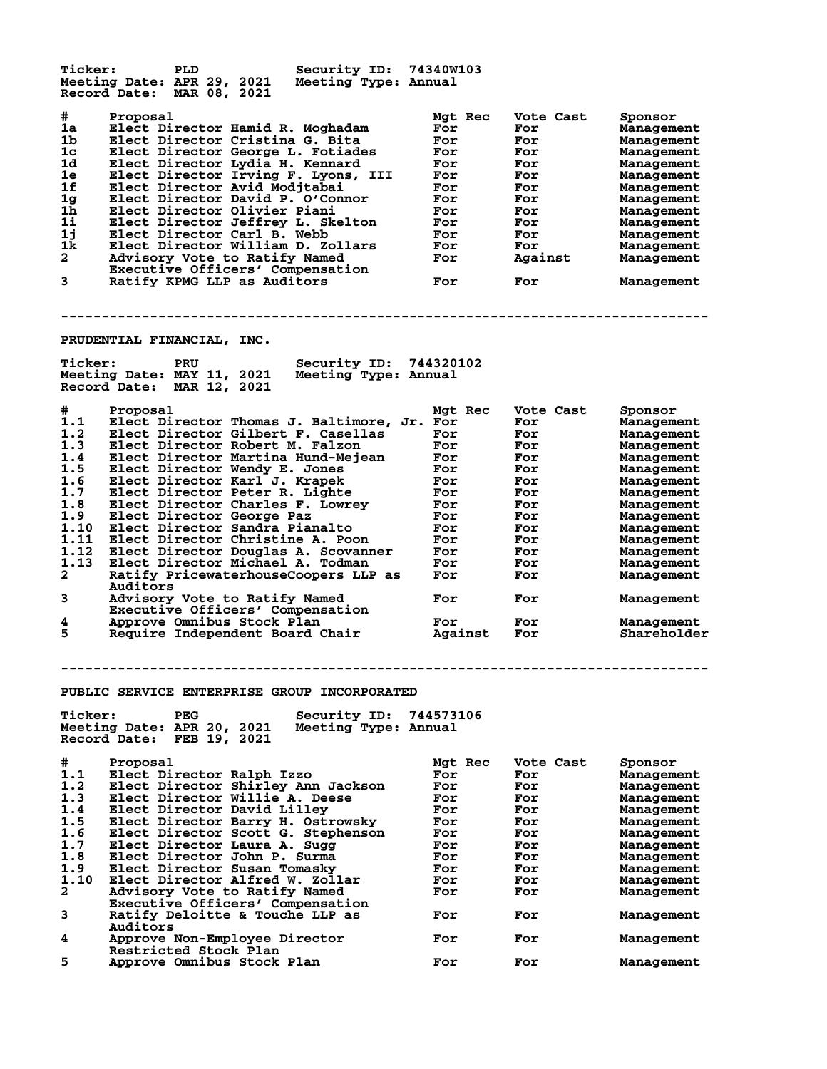| <b>Ticker:</b>          | PLD<br><b>Security ID:</b><br>Meeting Date: APR 29, 2021<br>Meeting Type: Annual        | 74340W103  |            |                          |
|-------------------------|-----------------------------------------------------------------------------------------|------------|------------|--------------------------|
|                         | Record Date: MAR 08, 2021                                                               |            |            |                          |
| #                       | Proposal                                                                                | Mgt Rec    | Vote Cast  | Sponsor                  |
| 1a                      | Elect Director Hamid R. Moghadam                                                        | For        | For        | <b>Management</b>        |
| 1b                      | Elect Director Cristina G. Bita                                                         | For        | For        | <b>Management</b>        |
| 1 <sub>c</sub>          | Elect Director George L. Fotiades                                                       | For        | For        | <b>Management</b>        |
| 1d                      | Elect Director Lydia H. Kennard                                                         | For        | For        | Management               |
| 1e                      | Elect Director Irving F. Lyons, III                                                     | For        | For        | Management               |
| 1f                      | Elect Director Avid Modjtabai                                                           | For        | For        | Management               |
| 1g                      | Elect Director David P. O'Connor                                                        | For        | For        | Management               |
| 1 <sub>h</sub>          | Elect Director Olivier Piani                                                            | For        | For        | Management               |
| 1i                      | Elect Director Jeffrey L. Skelton                                                       | For        | For        | Management               |
| 1j<br>1k                | Elect Director Carl B. Webb                                                             | For        | For        | <b>Management</b>        |
| $\overline{\mathbf{2}}$ | Elect Director William D. Zollars<br>Advisory Vote to Ratify Named                      | For        | For        | Management               |
|                         | Executive Officers' Compensation                                                        | For        | Against    | Management               |
| 3                       | Ratify KPMG LLP as Auditors                                                             | For        | For        | Management               |
|                         |                                                                                         |            |            |                          |
|                         | PRUDENTIAL FINANCIAL, INC.                                                              |            |            |                          |
| <b>Ticker:</b>          | Security ID: 744320102<br>PRU                                                           |            |            |                          |
|                         | Meeting Date: MAY 11, 2021<br>Meeting Type: Annual                                      |            |            |                          |
|                         | Record Date: MAR 12, 2021                                                               |            |            |                          |
|                         |                                                                                         |            |            |                          |
| #                       | Proposal                                                                                | Mgt Rec    | Vote Cast  | Sponsor                  |
| 1.1                     | Elect Director Thomas J. Baltimore, Jr. For                                             |            | For        | Management               |
| 1.2                     | Elect Director Gilbert F. Casellas                                                      | For        | For        | Management               |
| 1.3                     | Elect Director Robert M. Falzon                                                         | For        | For        | <b>Management</b>        |
| 1.4                     | Elect Director Martina Hund-Mejean                                                      | For        | For        | Management               |
| 1.5                     | Elect Director Wendy E. Jones                                                           | For        | For        | <b>Management</b>        |
| 1.6<br>1.7              | Elect Director Karl J. Krapek                                                           | For        | For        | Management               |
| 1.8                     | Elect Director Peter R. Lighte<br>Elect Director Charles F. Lowrey                      | For<br>For | For<br>For | Management               |
| 1.9                     | Elect Director George Paz                                                               | For        | For        | Management<br>Management |
| 1.10                    | Elect Director Sandra Pianalto                                                          | For        | For        | Management               |
| 1.11                    | Elect Director Christine A. Poon                                                        | For        | For        | Management               |
| 1.12                    | Elect Director Douglas A. Scovanner                                                     | For        | For        | Management               |
| 1.13                    | Elect Director Michael A. Todman                                                        | For        | For        | Management               |
| 2                       | Ratify PricewaterhouseCoopers LLP as                                                    | For        | For        | Management               |
|                         | <b>Auditors</b>                                                                         |            |            |                          |
| 3                       | Advisory Vote to Ratify Named                                                           | For        | For        | Management               |
|                         | Executive Officers' Compensation                                                        |            |            |                          |
| 4                       | Approve Omnibus Stock Plan                                                              | For        | For        | Management               |
| 5                       | Require Independent Board Chair                                                         | Against    | For        | Shareholder              |
|                         |                                                                                         |            |            |                          |
|                         |                                                                                         |            |            |                          |
|                         | <b>PUBLIC SERVICE ENTERPRISE GROUP INCORPORATED</b>                                     |            |            |                          |
|                         |                                                                                         | 744573106  |            |                          |
| <b>Ticker:</b>          | <b>PEG</b><br><b>Security ID:</b><br>Meeting Date: APR 20, 2021<br>Meeting Type: Annual |            |            |                          |
|                         | Record Date: FEB 19, 2021                                                               |            |            |                          |
|                         |                                                                                         |            |            |                          |
| #                       | Proposal                                                                                | Mat Rec    | Vote Cast  | Sponsor                  |
| 1.1                     | Elect Director Ralph Izzo                                                               | For        | For        | <b>Management</b>        |
| 1.2                     | Elect Director Shirley Ann Jackson                                                      | For        | For        | Management               |
| 1.3                     | Elect Director Willie A. Deese                                                          | For        | For        | Management               |
| 1.4                     | Elect Director David Lilley                                                             | For        | For        | <b>Management</b>        |
| 1.5                     | Elect Director Barry H. Ostrowsky                                                       | For        | For        | Management               |
| 1.6                     | Elect Director Scott G. Stephenson                                                      | For        | For        | Management               |
| 1.7                     | Elect Director Laura A. Sugg                                                            | For        | For        | Management               |
| 1.8                     | Elect Director John P. Surma                                                            | For        | For        | Management               |
| 1.9                     | Elect Director Susan Tomasky                                                            | For        | For        | Management               |
| 1.10                    | Elect Director Alfred W. Zollar                                                         | For        | For        | Management               |
| 2                       | Advisory Vote to Ratify Named<br>Executive Officers' Compensation                       | For        | For        | Management               |
| 3                       | Ratify Deloitte & Touche LLP as                                                         | For        | For        | Management               |
|                         | Auditors                                                                                |            |            |                          |
| 4                       | Approve Non-Employee Director                                                           | For        | For        | <b>Management</b>        |
|                         | Restricted Stock Plan                                                                   |            |            |                          |
| 5                       | Approve Omnibus Stock Plan                                                              | For        | For        | Management               |
|                         |                                                                                         |            |            |                          |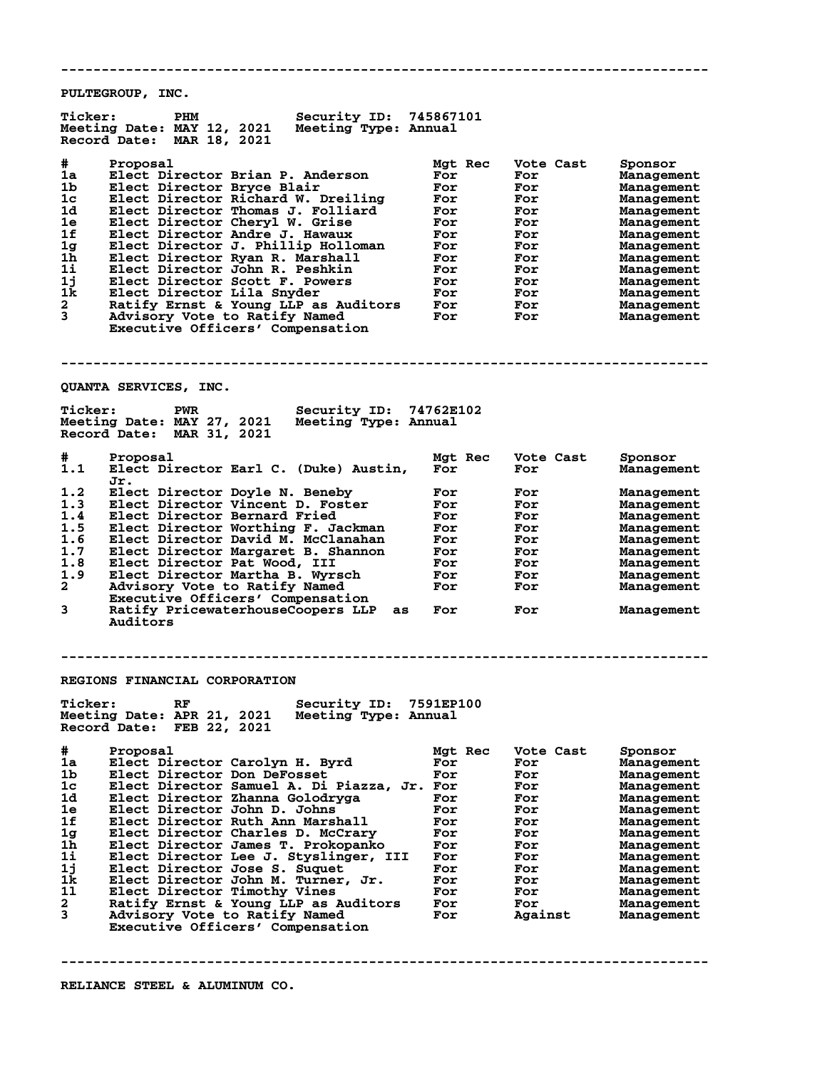**-------------------------------------------------------------------------------- PULTEGROUP, INC. Ticker: PHM Security ID: 745867101 Meeting Date: MAY 12, 2021 Meeting Type: Annual Record Date: MAR 18, 2021 # Proposal Mgt Rec Vote Cast Sponsor 1a Elect Director Brian P. Anderson For For Management 1b Elect Director Bryce Blair For For Management 1c Elect Director Richard W. Dreiling For For Management 1d Elect Director Thomas J. Folliard For For Management 1e Elect Director Cheryl W. Grise For For Management 1f Elect Director Andre J. Hawaux For For Management 1g Elect Director J. Phillip Holloman For For Management 1h Elect Director Ryan R. Marshall For For Management 1i Elect Director John R. Peshkin For For Management 1j Elect Director Scott F. Powers For For Management 1k Elect Director Lila Snyder For For Management 2 Ratify Ernst & Young LLP as Auditors For For Management 3 Advisory Vote to Ratify Named For For Management Executive Officers' Compensation -------------------------------------------------------------------------------- QUANTA SERVICES, INC. Ticker: PWR Security ID: 74762E102 Meeting Date: MAY 27, 2021 Meeting Type: Annual Record Date: MAR 31, 2021 # Proposal Mgt Rec Vote Cast Sponsor Froposai<br>Elect Director Earl C. (Duke) Austin,<br>Jr. Jr. 1.2 Elect Director Doyle N. Beneby For For Management 1.3 Elect Director Vincent D. Foster For For Management 1.4 Elect Director Bernard Fried For For Management 1.5 Elect Director Worthing F. Jackman For For Management 1.6 Elect Director David M. McClanahan For For Management 1.7 Elect Director Margaret B. Shannon For For Management 1.8 Elect Director Pat Wood, III For For Management 1.9 Elect Director Martha B. Wyrsch For For Management 2 Advisory Vote to Ratify Named For For Management Executive Officers' Compensation 3 Ratify PricewaterhouseCoopers LLP as For For Management Auditors -------------------------------------------------------------------------------- REGIONS FINANCIAL CORPORATION Ticker: RF Security ID: 7591EP100 Meeting Date: APR 21, 2021 Meeting Type: Annual Record Date: FEB 22, 2021 # Proposal Mgt Rec Vote Cast Sponsor 1a Elect Director Carolyn H. Byrd For For Management 1b Elect Director Don DeFosset For For Management 1c Elect Director Samuel A. Di Piazza, Jr. For For Management 1d Elect Director Zhanna Golodryga For For Management 1e Elect Director John D. Johns For For Management 1f Elect Director Ruth Ann Marshall For For Management 1g Elect Director Charles D. McCrary For For Management 1h Elect Director James T. Prokopanko For For Management 1i Elect Director Lee J. Styslinger, III For For Management 1j Elect Director Jose S. Suquet For For Management 1k Elect Director John M. Turner, Jr. For For Management 1l Elect Director Timothy Vines For For Management 2 Ratify Ernst & Young LLP as Auditors For For Management 3 Advisory Vote to Ratify Named For Against Management Executive Officers' Compensation**

**--------------------------------------------------------------------------------**

**RELIANCE STEEL & ALUMINUM CO.**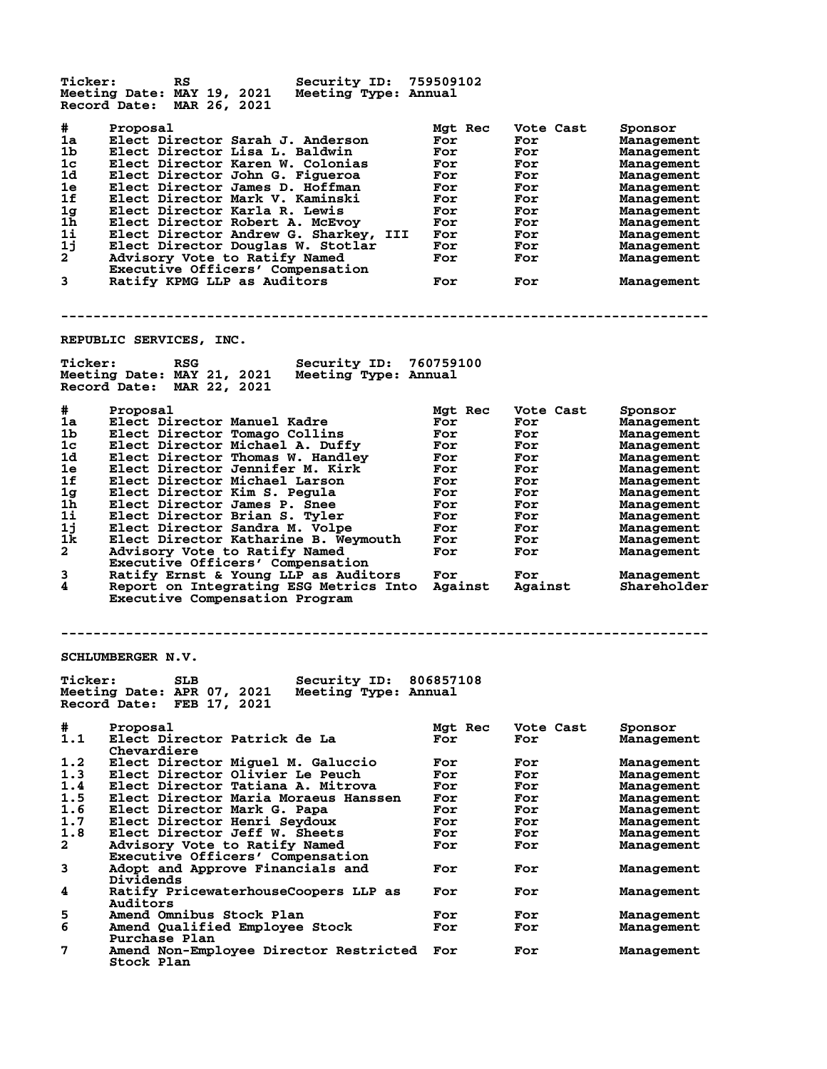| Ticker:                                                       | RS<br>Meeting Date: MAY 19, 2021<br>Record Date: MAR 26, 2021                                                                                                                                                               | Security ID: 759509102<br>Meeting Type: Annual |                                                   |                                                     |                                                                                             |
|---------------------------------------------------------------|-----------------------------------------------------------------------------------------------------------------------------------------------------------------------------------------------------------------------------|------------------------------------------------|---------------------------------------------------|-----------------------------------------------------|---------------------------------------------------------------------------------------------|
| #<br>1a<br>1 <sub>b</sub><br>1 <sub>c</sub><br>1d<br>1e<br>1f | Proposal<br>Elect Director Sarah J. Anderson<br>Elect Director Lisa L. Baldwin<br>Elect Director Karen W. Colonias<br>Elect Director John G. Figueroa<br>Elect Director James D. Hoffman<br>Elect Director Mark V. Kaminski |                                                | Mgt Rec<br>For<br>For<br>For<br>For<br>For<br>For | Vote Cast<br>For<br>For<br>For<br>For<br>For<br>For | Sponsor<br>Management<br>Management<br>Management<br>Management<br>Management<br>Management |
| 1g<br>1h                                                      | Elect Director Karla R. Lewis<br>Elect Director Robert A. McEvoy                                                                                                                                                            |                                                | For<br>For                                        | For<br>For                                          | Management                                                                                  |
| 11                                                            | Elect Director Andrew G. Sharkey, III                                                                                                                                                                                       |                                                | For                                               | For                                                 | Management<br>Management                                                                    |
| 1 <sub>1</sub>                                                | Elect Director Douglas W. Stotlar                                                                                                                                                                                           |                                                | For                                               | For                                                 | Management                                                                                  |
| $\mathbf{2}^-$                                                | Advisory Vote to Ratify Named                                                                                                                                                                                               |                                                | For                                               | For                                                 | Management                                                                                  |
|                                                               | Executive Officers' Compensation                                                                                                                                                                                            |                                                |                                                   |                                                     |                                                                                             |
| 3                                                             | Ratify KPMG LLP as Auditors                                                                                                                                                                                                 |                                                | For                                               | For                                                 | Management                                                                                  |
|                                                               | REPUBLIC SERVICES, INC.                                                                                                                                                                                                     |                                                |                                                   |                                                     |                                                                                             |
| <b>Ticker:</b>                                                | <b>RSG</b>                                                                                                                                                                                                                  | Security ID: 760759100                         |                                                   |                                                     |                                                                                             |
|                                                               | Meeting Date: MAY 21, 2021<br>Record Date: MAR 22, 2021                                                                                                                                                                     | Meeting Type: Annual                           |                                                   |                                                     |                                                                                             |
| #                                                             | Proposal                                                                                                                                                                                                                    |                                                | Mgt Rec                                           | Vote Cast                                           | Sponsor                                                                                     |
| 1a                                                            | Elect Director Manuel Kadre                                                                                                                                                                                                 |                                                | For                                               | For                                                 | Management                                                                                  |
| 1 <sub>b</sub>                                                | Elect Director Tomago Collins                                                                                                                                                                                               |                                                | For                                               | For                                                 | Management                                                                                  |
| 1 <sub>c</sub>                                                | Elect Director Michael A. Duffy                                                                                                                                                                                             |                                                | For                                               | For                                                 | Management                                                                                  |
| 1d                                                            | Elect Director Thomas W. Handley                                                                                                                                                                                            |                                                | For                                               | For                                                 | Management                                                                                  |
| 1e                                                            | Elect Director Jennifer M. Kirk                                                                                                                                                                                             |                                                | For                                               | For                                                 | Management                                                                                  |
| 1f<br>1g                                                      | Elect Director Michael Larson                                                                                                                                                                                               |                                                | For                                               | For                                                 | Management                                                                                  |
| 1 <sub>h</sub>                                                | Elect Director Kim S. Pegula<br>Elect Director James P. Snee                                                                                                                                                                |                                                | For<br>For                                        | For<br>For                                          | Management<br>Management                                                                    |
| 11                                                            | Elect Director Brian S. Tyler                                                                                                                                                                                               |                                                | For                                               | For                                                 | Management                                                                                  |
| 1j                                                            | Elect Director Sandra M. Volpe                                                                                                                                                                                              |                                                | For                                               | For                                                 | Management                                                                                  |
| 1k                                                            | Elect Director Katharine B. Weymouth                                                                                                                                                                                        |                                                | For                                               | For                                                 | Management                                                                                  |
| $\mathbf{2}$                                                  | Advisory Vote to Ratify Named<br>Executive Officers' Compensation                                                                                                                                                           |                                                | For                                               | For                                                 | Management                                                                                  |
| 3                                                             | Ratify Ernst & Young LLP as Auditors                                                                                                                                                                                        |                                                | For                                               | For                                                 | Management                                                                                  |
| 4                                                             | Report on Integrating ESG Metrics Into<br>Executive Compensation Program                                                                                                                                                    |                                                | Against                                           | Against                                             | Shareholder                                                                                 |
|                                                               | SCHLUMBERGER N.V.                                                                                                                                                                                                           |                                                |                                                   |                                                     |                                                                                             |
| <b>Ticker:</b>                                                | <b>SLB</b><br>Meeting Date: APR 07, 2021<br>Record Date: FEB 17, 2021                                                                                                                                                       | Security ID: 806857108<br>Meeting Type: Annual |                                                   |                                                     |                                                                                             |
| #                                                             | Proposal                                                                                                                                                                                                                    |                                                | Mgt Rec                                           | Vote Cast                                           | Sponsor                                                                                     |
| 1.1                                                           | Elect Director Patrick de La<br>Chevardiere                                                                                                                                                                                 |                                                | For                                               | For                                                 | <b>Management</b>                                                                           |
| 1.2                                                           | Elect Director Miguel M. Galuccio                                                                                                                                                                                           |                                                | For                                               | For                                                 | Management                                                                                  |
| 1.3                                                           | Elect Director Olivier Le Peuch                                                                                                                                                                                             |                                                | For                                               | For                                                 | Management                                                                                  |
| 1.4<br>1.5                                                    | Elect Director Tatiana A. Mitrova                                                                                                                                                                                           |                                                | For                                               | For                                                 | Management                                                                                  |
| 1.6                                                           | Elect Director Maria Moraeus Hanssen                                                                                                                                                                                        |                                                | For<br>For                                        | For                                                 | Management                                                                                  |
| 1.7                                                           | Elect Director Mark G. Papa<br>Elect Director Henri Seydoux                                                                                                                                                                 |                                                | For                                               | For<br>For                                          | Management<br>Management                                                                    |
| 1.8                                                           | Elect Director Jeff W. Sheets                                                                                                                                                                                               |                                                | For                                               | For                                                 | Management                                                                                  |
| $\mathbf{2}$                                                  | Advisory Vote to Ratify Named                                                                                                                                                                                               |                                                | For                                               | For                                                 | Management                                                                                  |
| 3                                                             | Executive Officers' Compensation<br>Adopt and Approve Financials and                                                                                                                                                        |                                                | For                                               | For                                                 | Management                                                                                  |
| 4                                                             | Dividends<br>Ratify PricewaterhouseCoopers LLP as                                                                                                                                                                           |                                                | For                                               | For                                                 |                                                                                             |
|                                                               | Auditors                                                                                                                                                                                                                    |                                                |                                                   |                                                     | Management                                                                                  |
| 5                                                             | Amend Omnibus Stock Plan                                                                                                                                                                                                    |                                                | For                                               | For                                                 | Management                                                                                  |
| 6                                                             | Amend Qualified Employee Stock                                                                                                                                                                                              |                                                | For                                               | For                                                 | Management                                                                                  |
| 7                                                             | Purchase Plan<br>Amend Non-Employee Director Restricted                                                                                                                                                                     |                                                | For                                               | For                                                 | Management                                                                                  |
|                                                               | Stock Plan                                                                                                                                                                                                                  |                                                |                                                   |                                                     |                                                                                             |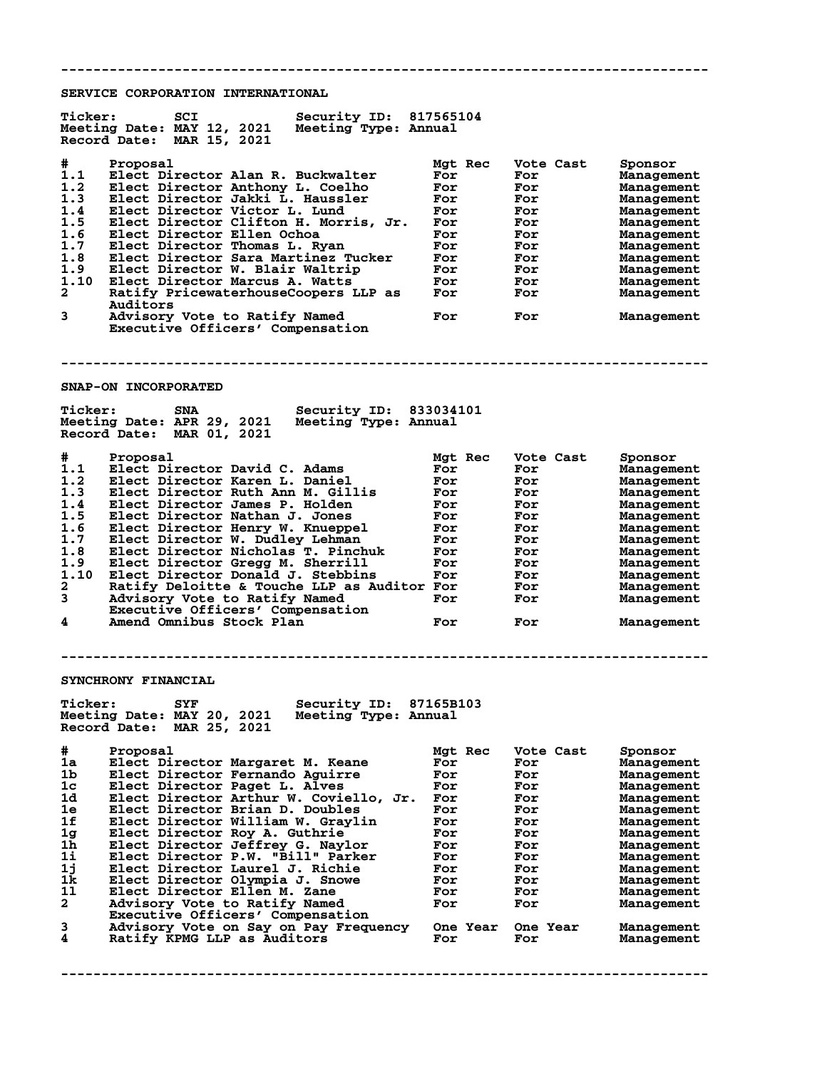**-------------------------------------------------------------------------------- SERVICE CORPORATION INTERNATIONAL Ticker: SCI Security ID: 817565104 Meeting Date: MAY 12, 2021 Meeting Type: Annual Record Date: MAR 15, 2021 # Proposal Mgt Rec Vote Cast Sponsor 1.1 Elect Director Alan R. Buckwalter For For Management 1.2 Elect Director Anthony L. Coelho For For Management 1.3 Elect Director Jakki L. Haussler For For Management 1.4 Elect Director Victor L. Lund For For Management 1.5 Elect Director Clifton H. Morris, Jr. For For Management 1.6 Elect Director Ellen Ochoa For For Management 1.7 Elect Director Thomas L. Ryan For For Management 1.8 Elect Director Sara Martinez Tucker For For Management 1.9 Elect Director W. Blair Waltrip For For Management 1.10 Elect Director Marcus A. Watts For For Management 2 Ratify PricewaterhouseCoopers LLP as For For Management Auditors 3 Advisory Vote to Ratify Named For For Management Executive Officers' Compensation -------------------------------------------------------------------------------- SNAP-ON INCORPORATED Ticker: SNA Security ID: 833034101 Meeting Date: APR 29, 2021 Meeting Type: Annual Record Date: MAR 01, 2021 # Proposal Mgt Rec Vote Cast Sponsor 1.1 Elect Director David C. Adams For For Management 1.2 Elect Director Karen L. Daniel For For Management 1.3 Elect Director Ruth Ann M. Gillis For For Management 1.4 Elect Director James P. Holden For For Management 1.5 Elect Director Nathan J. Jones For For Management 1.6 Elect Director Henry W. Knueppel For For Management 1.7 Elect Director W. Dudley Lehman For For Management 1.8 Elect Director Nicholas T. Pinchuk For For Management 1.9 Elect Director Gregg M. Sherrill For For Management 1.10 Elect Director Donald J. Stebbins For For Management 2 Ratify Deloitte & Touche LLP as Auditor For For Management 3 Advisory Vote to Ratify Named For For Management Executive Officers' Compensation 4 Amend Omnibus Stock Plan For For Management -------------------------------------------------------------------------------- SYNCHRONY FINANCIAL Ticker: SYF Security ID: 87165B103 Meeting Date: MAY 20, 2021 Meeting Type: Annual Record Date: MAR 25, 2021 # Proposal Mgt Rec Vote Cast Sponsor 1a Elect Director Margaret M. Keane For For Management 1b Elect Director Fernando Aguirre For For Management 1c Elect Director Paget L. Alves For For Management 1d Elect Director Arthur W. Coviello, Jr. For For Management 1e Elect Director Brian D. Doubles For For Management 1f Elect Director William W. Graylin For For Management 1g Elect Director Roy A. Guthrie For For Management 1h Elect Director Jeffrey G. Naylor For For Management 1i Elect Director P.W. "Bill" Parker For For Management 1j Elect Director Laurel J. Richie For For Management 1k Elect Director Olympia J. Snowe For For Management 1l Elect Director Ellen M. Zane For For Management 2 Advisory Vote to Ratify Named For For Management** 11 Elect Director Elem M. Zane<br>
2 Advisory Vote to Ratify Named<br>
Executive Officers' Compensation<br>
3 Advisory Vote on Say on Pay Frequency<br>
4 Ratify KPMG LLP as Auditors **3 Advisory Vote on Say on Pay Frequency One Year One Year Management 4 Ratify KPMG LLP as Auditors For For Management --------------------------------------------------------------------------------**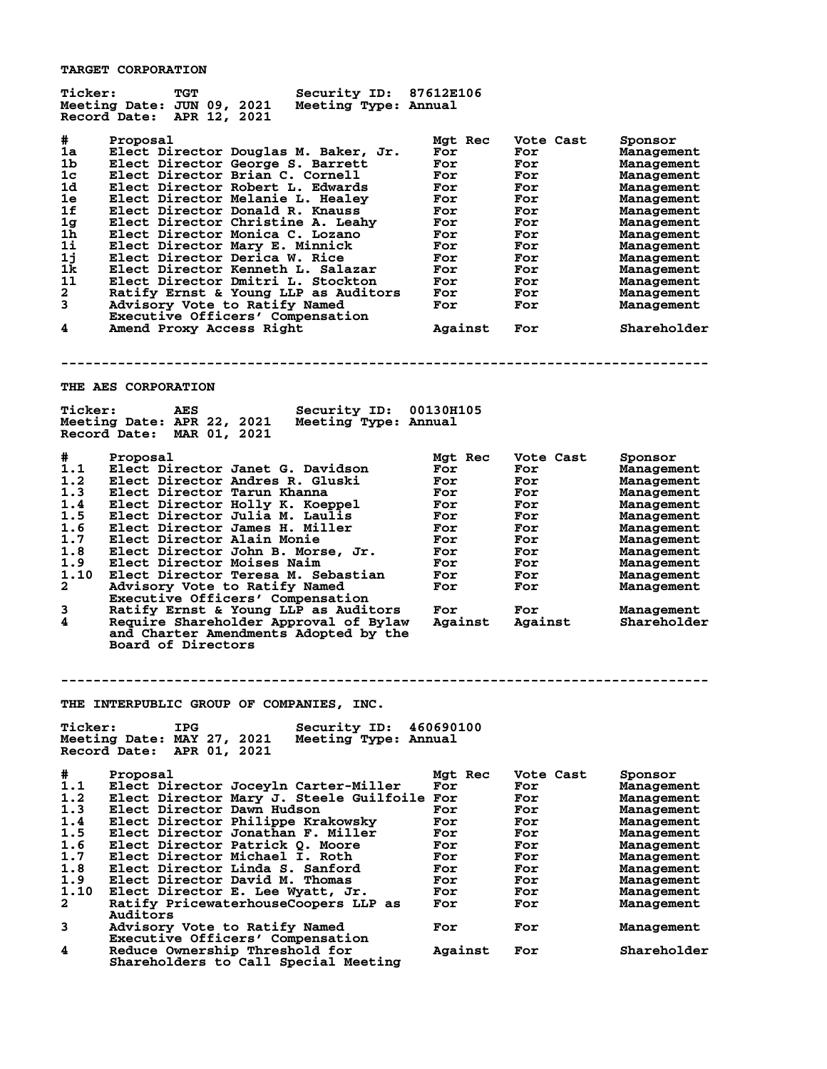**TARGET CORPORATION**

| #<br>Proposal<br>Mgt Rec<br>Vote Cast<br>Sponsor<br>1a<br>Elect Director Douglas M. Baker, Jr.<br>For<br>For<br>Management<br>1b<br>Elect Director George S. Barrett<br>For<br>For<br>Management<br>1c<br>Elect Director Brian C. Cornell<br>For<br>For<br>Management<br>1d<br>Elect Director Robert L. Edwards<br>For<br>For<br>Management<br>1e<br>Elect Director Melanie L. Healey<br>For<br>For<br><b>Management</b><br>1f<br>Elect Director Donald R. Knauss<br>For<br>For<br><b>Management</b><br>1 <sub>g</sub><br>Elect Director Christine A. Leahy<br>For<br>For<br>Management<br>1 <sub>h</sub><br>Elect Director Monica C. Lozano<br>For<br>For<br>Management<br>1i<br>Elect Director Mary E. Minnick<br>For<br>For<br>Management<br>1j<br>Elect Director Derica W. Rice<br>For<br>For<br><b>Management</b><br>1k<br>Elect Director Kenneth L. Salazar<br>For<br>For<br>Management<br>11<br>Elect Director Dmitri L. Stockton<br>For<br>For<br>Management<br>$\mathbf{2}$<br>Ratify Ernst & Young LLP as Auditors<br>For<br>For<br>Management<br>3<br>Advisory Vote to Ratify Named<br>For<br>For<br>Management<br>Executive Officers' Compensation<br>4<br>Amend Proxy Access Right<br>Against<br>Shareholder<br>For<br>THE AES CORPORATION<br><b>Ticker:</b><br>Security ID: 00130H105<br>AES<br>Meeting Date: APR 22, 2021<br>Meeting Type: Annual<br>Record Date: MAR 01, 2021<br>#<br>Proposal<br>Mgt Rec<br>Vote Cast<br>Sponsor<br>1.1<br>Elect Director Janet G. Davidson<br>For<br>For<br>Management<br>1.2<br>Elect Director Andres R. Gluski<br>For<br>For<br>Management<br>1.3<br>Elect Director Tarun Khanna<br>For<br>For<br><b>Management</b><br>1.4<br>Elect Director Holly K. Koeppel<br>For<br>For<br>Management<br>1.5<br>Elect Director Julia M. Laulis<br>For<br>For<br><b>Management</b><br>1.6<br>Elect Director James H. Miller<br>For<br>For<br>Management<br>1.7<br>Elect Director Alain Monie<br>For<br>For<br>Management<br>1.8<br>Elect Director John B. Morse, Jr.<br>For<br>For<br><b>Management</b><br>1.9<br>Elect Director Moises Naim<br>For<br>For<br><b>Management</b><br>1.10<br>Elect Director Teresa M. Sebastian<br>For<br>For<br><b>Management</b><br>$\mathbf{2}$<br>Advisory Vote to Ratify Named<br>For<br>For<br>Management<br>Executive Officers' Compensation<br>3<br>Ratify Ernst & Young LLP as Auditors<br>For<br>For<br>Management<br>4<br>Require Shareholder Approval of Bylaw<br>Against<br>Against<br>Shareholder<br>and Charter Amendments Adopted by the<br>Board of Directors<br>THE INTERPUBLIC GROUP OF COMPANIES, INC.<br><b>Ticker:</b><br><b>IPG</b><br>Security ID:<br>460690100<br>Meeting Date: MAY 27, 2021<br>Meeting Type: Annual<br>Record Date: APR 01, 2021<br>#<br>Proposal<br>Mgt Rec<br>Vote Cast<br>Sponsor<br>1.1<br>Elect Director Joceyln Carter-Miller<br>For<br>For<br>Management<br>1.2<br>Elect Director Mary J. Steele Guilfoile For<br>For<br>Management<br>1.3<br>Elect Director Dawn Hudson<br>For<br>For<br>Management<br>1.4<br>Elect Director Philippe Krakowsky<br>For<br>For<br>Management<br>1.5<br>Elect Director Jonathan F. Miller<br>For<br>For<br>Management<br>1.6<br>Elect Director Patrick Q. Moore<br>For<br>For<br>Management<br>1.7<br>Elect Director Michael I. Roth<br>For<br>For<br>Management<br>1.8<br>Elect Director Linda S. Sanford<br>For<br>For<br><b>Management</b><br>1.9<br>Elect Director David M. Thomas<br>For<br>For<br>Management<br>1.10<br>Elect Director E. Lee Wyatt, Jr.<br>For<br>For<br>Management<br>$\mathbf{2}$<br>Ratify PricewaterhouseCoopers LLP as<br>For<br>For<br>Management<br>Auditors<br>3<br>Advisory Vote to Ratify Named<br>For<br>For<br>Management<br>Executive Officers' Compensation<br>Reduce Ownership Threshold for<br>4<br>Against<br>Shareholder<br>For | <b>Ticker:</b><br>Security ID: 87612E106<br>TGT<br>Meeting Date: JUN 09, 2021<br>Meeting Type: Annual<br>Record Date: APR 12, 2021 |  |  |
|-------------------------------------------------------------------------------------------------------------------------------------------------------------------------------------------------------------------------------------------------------------------------------------------------------------------------------------------------------------------------------------------------------------------------------------------------------------------------------------------------------------------------------------------------------------------------------------------------------------------------------------------------------------------------------------------------------------------------------------------------------------------------------------------------------------------------------------------------------------------------------------------------------------------------------------------------------------------------------------------------------------------------------------------------------------------------------------------------------------------------------------------------------------------------------------------------------------------------------------------------------------------------------------------------------------------------------------------------------------------------------------------------------------------------------------------------------------------------------------------------------------------------------------------------------------------------------------------------------------------------------------------------------------------------------------------------------------------------------------------------------------------------------------------------------------------------------------------------------------------------------------------------------------------------------------------------------------------------------------------------------------------------------------------------------------------------------------------------------------------------------------------------------------------------------------------------------------------------------------------------------------------------------------------------------------------------------------------------------------------------------------------------------------------------------------------------------------------------------------------------------------------------------------------------------------------------------------------------------------------------------------------------------------------------------------------------------------------------------------------------------------------------------------------------------------------------------------------------------------------------------------------------------------------------------------------------------------------------------------------------------------------------------------------------------------------------------------------------------------------------------------------------------------------------------------------------------------------------------------------------------------------------------------------------------------------------------------------------------------------------------------------------------------------------------------------------------------------------------------------------------------------------------------------------------------------------------------------------------------------------------------------------------------------------------------------------------------------------------------------------------------------------------------------------------------------------------|------------------------------------------------------------------------------------------------------------------------------------|--|--|
|                                                                                                                                                                                                                                                                                                                                                                                                                                                                                                                                                                                                                                                                                                                                                                                                                                                                                                                                                                                                                                                                                                                                                                                                                                                                                                                                                                                                                                                                                                                                                                                                                                                                                                                                                                                                                                                                                                                                                                                                                                                                                                                                                                                                                                                                                                                                                                                                                                                                                                                                                                                                                                                                                                                                                                                                                                                                                                                                                                                                                                                                                                                                                                                                                                                                                                                                                                                                                                                                                                                                                                                                                                                                                                                                                                                                                               |                                                                                                                                    |  |  |
|                                                                                                                                                                                                                                                                                                                                                                                                                                                                                                                                                                                                                                                                                                                                                                                                                                                                                                                                                                                                                                                                                                                                                                                                                                                                                                                                                                                                                                                                                                                                                                                                                                                                                                                                                                                                                                                                                                                                                                                                                                                                                                                                                                                                                                                                                                                                                                                                                                                                                                                                                                                                                                                                                                                                                                                                                                                                                                                                                                                                                                                                                                                                                                                                                                                                                                                                                                                                                                                                                                                                                                                                                                                                                                                                                                                                                               |                                                                                                                                    |  |  |
|                                                                                                                                                                                                                                                                                                                                                                                                                                                                                                                                                                                                                                                                                                                                                                                                                                                                                                                                                                                                                                                                                                                                                                                                                                                                                                                                                                                                                                                                                                                                                                                                                                                                                                                                                                                                                                                                                                                                                                                                                                                                                                                                                                                                                                                                                                                                                                                                                                                                                                                                                                                                                                                                                                                                                                                                                                                                                                                                                                                                                                                                                                                                                                                                                                                                                                                                                                                                                                                                                                                                                                                                                                                                                                                                                                                                                               |                                                                                                                                    |  |  |
|                                                                                                                                                                                                                                                                                                                                                                                                                                                                                                                                                                                                                                                                                                                                                                                                                                                                                                                                                                                                                                                                                                                                                                                                                                                                                                                                                                                                                                                                                                                                                                                                                                                                                                                                                                                                                                                                                                                                                                                                                                                                                                                                                                                                                                                                                                                                                                                                                                                                                                                                                                                                                                                                                                                                                                                                                                                                                                                                                                                                                                                                                                                                                                                                                                                                                                                                                                                                                                                                                                                                                                                                                                                                                                                                                                                                                               |                                                                                                                                    |  |  |
|                                                                                                                                                                                                                                                                                                                                                                                                                                                                                                                                                                                                                                                                                                                                                                                                                                                                                                                                                                                                                                                                                                                                                                                                                                                                                                                                                                                                                                                                                                                                                                                                                                                                                                                                                                                                                                                                                                                                                                                                                                                                                                                                                                                                                                                                                                                                                                                                                                                                                                                                                                                                                                                                                                                                                                                                                                                                                                                                                                                                                                                                                                                                                                                                                                                                                                                                                                                                                                                                                                                                                                                                                                                                                                                                                                                                                               |                                                                                                                                    |  |  |
|                                                                                                                                                                                                                                                                                                                                                                                                                                                                                                                                                                                                                                                                                                                                                                                                                                                                                                                                                                                                                                                                                                                                                                                                                                                                                                                                                                                                                                                                                                                                                                                                                                                                                                                                                                                                                                                                                                                                                                                                                                                                                                                                                                                                                                                                                                                                                                                                                                                                                                                                                                                                                                                                                                                                                                                                                                                                                                                                                                                                                                                                                                                                                                                                                                                                                                                                                                                                                                                                                                                                                                                                                                                                                                                                                                                                                               |                                                                                                                                    |  |  |
|                                                                                                                                                                                                                                                                                                                                                                                                                                                                                                                                                                                                                                                                                                                                                                                                                                                                                                                                                                                                                                                                                                                                                                                                                                                                                                                                                                                                                                                                                                                                                                                                                                                                                                                                                                                                                                                                                                                                                                                                                                                                                                                                                                                                                                                                                                                                                                                                                                                                                                                                                                                                                                                                                                                                                                                                                                                                                                                                                                                                                                                                                                                                                                                                                                                                                                                                                                                                                                                                                                                                                                                                                                                                                                                                                                                                                               |                                                                                                                                    |  |  |
|                                                                                                                                                                                                                                                                                                                                                                                                                                                                                                                                                                                                                                                                                                                                                                                                                                                                                                                                                                                                                                                                                                                                                                                                                                                                                                                                                                                                                                                                                                                                                                                                                                                                                                                                                                                                                                                                                                                                                                                                                                                                                                                                                                                                                                                                                                                                                                                                                                                                                                                                                                                                                                                                                                                                                                                                                                                                                                                                                                                                                                                                                                                                                                                                                                                                                                                                                                                                                                                                                                                                                                                                                                                                                                                                                                                                                               |                                                                                                                                    |  |  |
|                                                                                                                                                                                                                                                                                                                                                                                                                                                                                                                                                                                                                                                                                                                                                                                                                                                                                                                                                                                                                                                                                                                                                                                                                                                                                                                                                                                                                                                                                                                                                                                                                                                                                                                                                                                                                                                                                                                                                                                                                                                                                                                                                                                                                                                                                                                                                                                                                                                                                                                                                                                                                                                                                                                                                                                                                                                                                                                                                                                                                                                                                                                                                                                                                                                                                                                                                                                                                                                                                                                                                                                                                                                                                                                                                                                                                               | Shareholders to Call Special Meeting                                                                                               |  |  |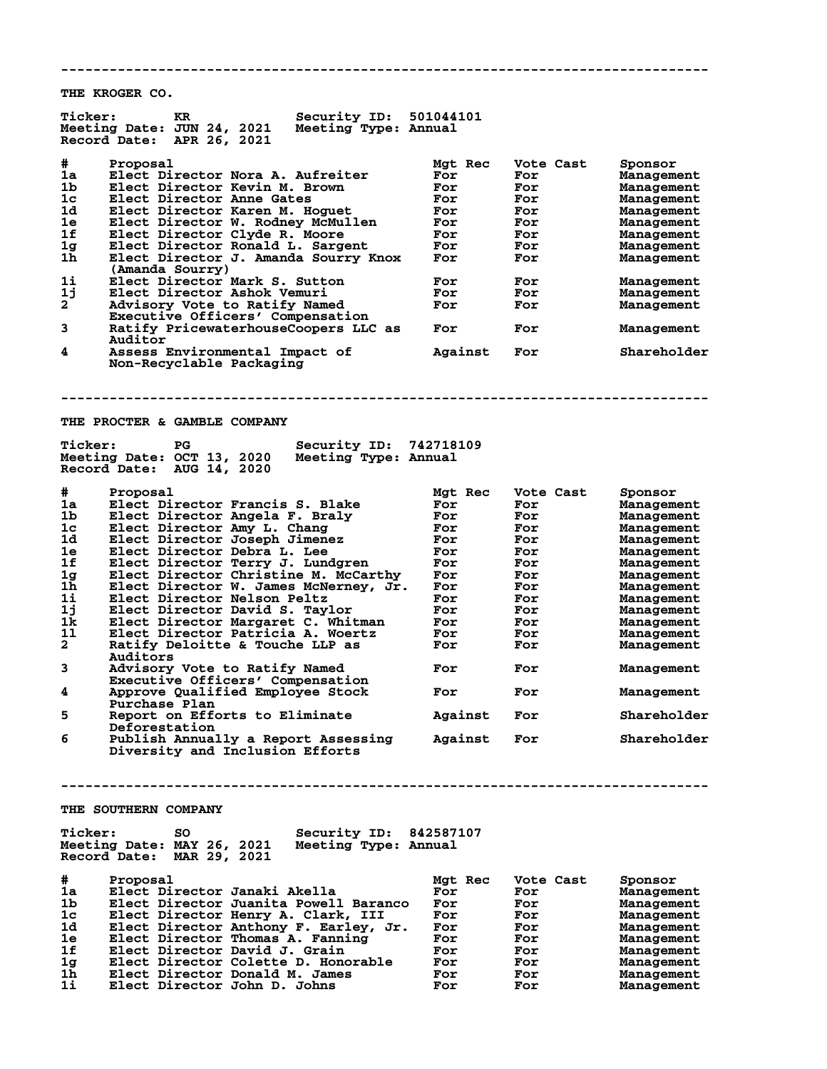**THE KROGER CO.**

| <b>Ticker:</b> | <b>Security ID:</b><br>KR.<br>Meeting Date: JUN 24, 2021<br>Meeting Type: Annual<br>Record Date:<br>APR 26, 2021 | 501044101      |                  |                              |
|----------------|------------------------------------------------------------------------------------------------------------------|----------------|------------------|------------------------------|
| #<br>1a        | Proposal<br>Elect Director Nora A. Aufreiter                                                                     | Mgt Rec<br>For | Vote Cast<br>For | Sponsor<br><b>Management</b> |
| 1b             | Elect Director Kevin M. Brown                                                                                    | For            | For              | <b>Management</b>            |
| 1c             | Elect Director Anne Gates                                                                                        | For            | For              | <b>Management</b>            |
| 1d             |                                                                                                                  |                |                  |                              |
|                | Elect Director Karen M. Hoguet                                                                                   | For            | For              | <b>Management</b>            |
| 1e             | Elect Director W. Rodney McMullen                                                                                | For            | For              | <b>Management</b>            |
| 1f             | Elect Director Clyde R. Moore                                                                                    | For            | For              | <b>Management</b>            |
| 1 <sub>g</sub> | Elect Director Ronald L. Sargent                                                                                 | For            | For              |                              |
|                |                                                                                                                  |                |                  | <b>Management</b>            |
| 1h             | Elect Director J. Amanda Sourry Knox                                                                             | For            | For              | Management                   |
|                | (Amanda Sourry)                                                                                                  |                |                  |                              |
| 1i             | Elect Director Mark S. Sutton                                                                                    | For            | For              | <b>Management</b>            |
| 1j             | Elect Director Ashok Vemuri                                                                                      | For            | For              | <b>Management</b>            |
|                |                                                                                                                  |                |                  |                              |
| $\mathbf{2}$   | Advisory Vote to Ratify Named                                                                                    | For            | For              | <b>Management</b>            |
|                | Executive Officers' Compensation                                                                                 |                |                  |                              |
| 3              | Ratify PricewaterhouseCoopers LLC as                                                                             | For            | For              | Management                   |
|                | Auditor                                                                                                          |                |                  |                              |
| 4              | Assess Environmental Impact of                                                                                   | Against        | For              | Shareholder                  |
|                | Non-Recyclable Packaging                                                                                         |                |                  |                              |
|                |                                                                                                                  |                |                  |                              |
|                | THE PROCTER & GAMBLE COMPANY                                                                                     |                |                  |                              |
|                |                                                                                                                  |                |                  |                              |
| <b>Ticker:</b> | PG<br>Security ID:                                                                                               | 742718109      |                  |                              |
|                | Meeting Date: OCT 13, 2020<br>Meeting Type: Annual                                                               |                |                  |                              |
|                | Record Date: AUG 14, 2020                                                                                        |                |                  |                              |
|                |                                                                                                                  |                |                  |                              |
|                |                                                                                                                  |                |                  |                              |
| #.             | Proposal                                                                                                         | Mgt Rec        | Vote Cast        | Sponsor                      |
| 1a             | Elect Director Francis S. Blake                                                                                  | For            | For              | <b>Management</b>            |
| 1b             | Elect Director Angela F. Braly                                                                                   | For            | For              | <b>Management</b>            |
| 1c             | Elect Director Amy L. Chang                                                                                      | For            | For              |                              |
|                |                                                                                                                  |                |                  | <b>Management</b>            |
| 1d             | Elect Director Joseph Jimenez                                                                                    | For            | For              | <b>Management</b>            |
| 1e             | Elect Director Debra L. Lee                                                                                      | For            | For              | <b>Management</b>            |
| 1f             | Elect Director Terry J. Lundgren                                                                                 | For            | For              | <b>Management</b>            |
| 1 <sub>g</sub> | Elect Director Christine M. McCarthy                                                                             | For            | For              |                              |
|                |                                                                                                                  |                |                  | <b>Management</b>            |
| 1h             | Elect Director W. James McNerney, Jr.                                                                            | For            | For              | <b>Management</b>            |
| 1i             | Elect Director Nelson Peltz                                                                                      | For            | For              | <b>Management</b>            |
| 1j             | Elect Director David S. Taylor                                                                                   | For            | For              | <b>Management</b>            |
| 1k             | Elect Director Margaret C. Whitman                                                                               | For            | For              | Management                   |
|                |                                                                                                                  |                |                  |                              |
| 11             | Elect Director Patricia A. Woertz                                                                                | For            | For              | <b>Management</b>            |
| $\mathbf{2}$   | Ratify Deloitte & Touche LLP as                                                                                  | For            | For              | <b>Management</b>            |
|                | Auditors                                                                                                         |                |                  |                              |
| 3              | Advisory Vote to Ratify Named                                                                                    | For            | For              |                              |
|                |                                                                                                                  |                |                  | <b>Management</b>            |
|                | Executive Officers' Compensation                                                                                 |                |                  |                              |
| 4              | Approve Qualified Employee Stock                                                                                 | For            | For              | <b>Management</b>            |
|                | Purchase Plan                                                                                                    |                |                  |                              |
|                | Report on Efforts to Eliminate                                                                                   |                |                  | Shareholder                  |
| 5              |                                                                                                                  | Against        | For              |                              |
|                | Deforestation                                                                                                    |                |                  |                              |
| 6              | Publish Annually a Report Assessing                                                                              | Against        | For              | Shareholder                  |
|                | Diversity and Inclusion Efforts                                                                                  |                |                  |                              |
|                |                                                                                                                  |                |                  |                              |
|                |                                                                                                                  |                |                  |                              |
|                |                                                                                                                  |                |                  |                              |
|                |                                                                                                                  |                |                  |                              |
|                |                                                                                                                  |                |                  |                              |
|                | THE SOUTHERN COMPANY                                                                                             |                |                  |                              |
|                |                                                                                                                  |                |                  |                              |
| <b>Ticker:</b> | Security ID: 842587107<br>SO.                                                                                    |                |                  |                              |
|                | Meeting Date: MAY 26, 2021<br>Meeting Type: Annual                                                               |                |                  |                              |
|                | Record Date: MAR 29, 2021                                                                                        |                |                  |                              |
|                |                                                                                                                  |                |                  |                              |
|                |                                                                                                                  |                |                  |                              |
| #              | Proposal                                                                                                         | Mgt Rec        | Vote Cast        | Sponsor                      |
| 1a             | Elect Director Janaki Akella                                                                                     | For            | For              | Management                   |
| 1b.            | Elect Director Juanita Powell Baranco                                                                            | For            |                  |                              |
|                |                                                                                                                  |                | For              | Management                   |
| 1c             | Elect Director Henry A. Clark, III                                                                               | For            | For              | <b>Management</b>            |
| 1d             | Elect Director Anthony F. Earley, Jr.                                                                            | For            | For              | <b>Management</b>            |
| 1e             | Elect Director Thomas A. Fanning                                                                                 | For            | For              | Management                   |
| 1f             | Elect Director David J. Grain                                                                                    |                |                  |                              |
|                |                                                                                                                  | For            | For              | <b>Management</b>            |
| 1 <sub>g</sub> | Elect Director Colette D. Honorable                                                                              | For            | For              | <b>Management</b>            |
| 1h             | Elect Director Donald M. James                                                                                   | For            | For              | <b>Management</b>            |
| 1i             | Elect Director John D. Johns                                                                                     | For            | For              | Management                   |
|                |                                                                                                                  |                |                  |                              |

**--------------------------------------------------------------------------------**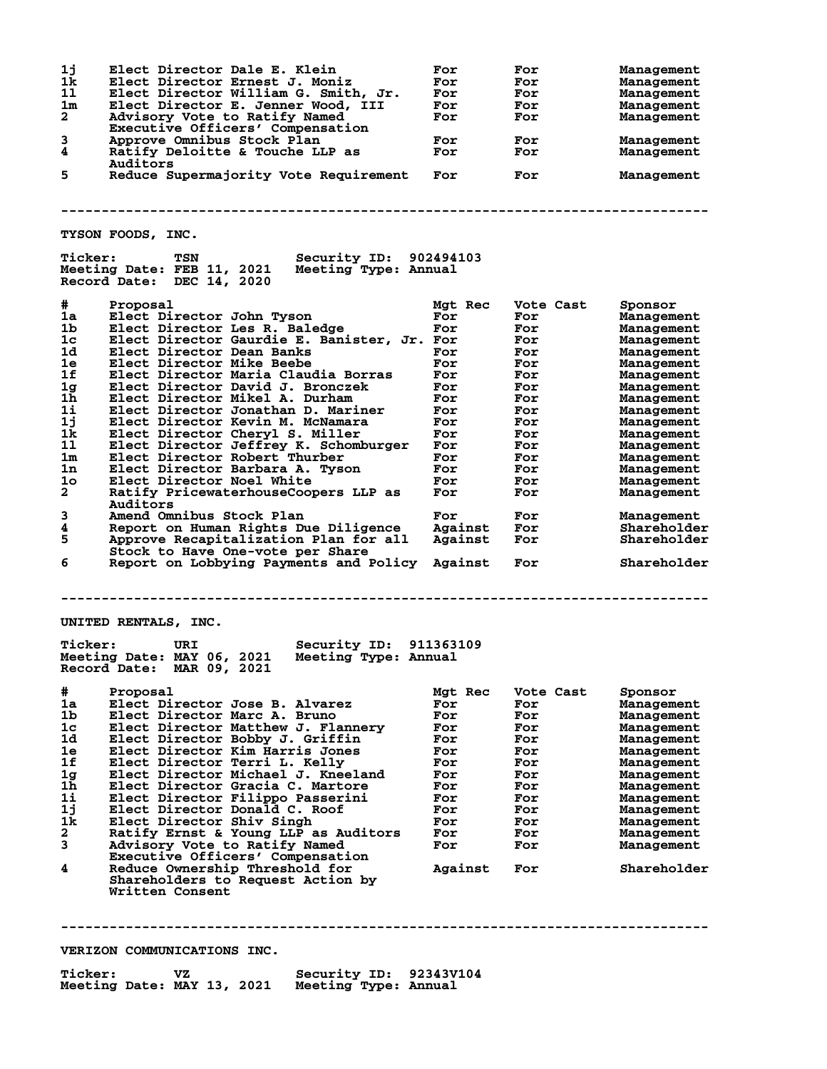**1j Elect Director Dale E. Klein For For Management 1k Elect Director Ernest J. Moniz For For Management 1l Elect Director William G. Smith, Jr. For For Management 1m Elect Director E. Jenner Wood, III For For Management 2 Advisory Vote to Ratify Named For For Management Executive Officers' Compensation 3 Approve Omnibus Stock Plan For For Management 4 Ratify Deloitte & Touche LLP as For For Management Auditors 5 Reduce Supermajority Vote Requirement For For Management -------------------------------------------------------------------------------- TYSON FOODS, INC. Ticker: TSN Security ID: 902494103 Meeting Date: FEB 11, 2021 Meeting Type: Annual Record Date: DEC 14, 2020 # Proposal Mgt Rec Vote Cast Sponsor 1a Elect Director John Tyson For For Management 1b Elect Director Les R. Baledge For For Management 1c Elect Director Gaurdie E. Banister, Jr. For For Management 1d Elect Director Dean Banks For For Management 1e Elect Director Mike Beebe For For Management 1f Elect Director Maria Claudia Borras For For Management 1g Elect Director David J. Bronczek For For Management 1h Elect Director Mikel A. Durham For For Management 1i Elect Director Jonathan D. Mariner For For Management 1j Elect Director Kevin M. McNamara For For Management 1k Elect Director Cheryl S. Miller For For Management 1l Elect Director Jeffrey K. Schomburger For For Management 1m Elect Director Robert Thurber For For Management 1n Elect Director Barbara A. Tyson For For Management 1o Elect Director Noel White For For Management 2 Ratify PricewaterhouseCoopers LLP as For For Management Auditors 3 Amend Omnibus Stock Plan For For Management 4 Report on Human Rights Due Diligence Against For Shareholder 5 Approve Recapitalization Plan for all Against For Shareholder Stock to Have One-vote per Share 6 Report on Lobbying Payments and Policy Against For Shareholder -------------------------------------------------------------------------------- UNITED RENTALS, INC. Ticker: URI Security ID: 911363109 Meeting Date: MAY 06, 2021 Meeting Type: Annual Record Date: MAR 09, 2021 # Proposal Mgt Rec Vote Cast Sponsor 1a Elect Director Jose B. Alvarez For For Management 1b Elect Director Marc A. Bruno For For Management 1c Elect Director Matthew J. Flannery For For Management 1d Elect Director Bobby J. Griffin For For Management 1e Elect Director Kim Harris Jones For For Management 1f Elect Director Terri L. Kelly For For Management 1g Elect Director Michael J. Kneeland For For Management 1h Elect Director Gracia C. Martore For For Management 1i Elect Director Filippo Passerini For For Management 1j Elect Director Donald C. Roof For For Management 1k Elect Director Shiv Singh For For Management 2 Ratify Ernst & Young LLP as Auditors For For Management 3 Advisory Vote to Ratify Named For For Management Executive Officers' Compensation 4 Advisory Vote to Ratify Named** For For Management<br> **4** Reduce Ownership Threshold for Against For Shareholder<br> **4** Reduce Ownership Threshold for Against For Shareholder  **Shareholders to Request Action by Written Consent --------------------------------------------------------------------------------**

## **VERIZON COMMUNICATIONS INC.**

| <b>Ticker:</b>             | VZ. | Security ID: 92343V104 |  |
|----------------------------|-----|------------------------|--|
| Meeting Date: MAY 13, 2021 |     | Meeting Type: Annual   |  |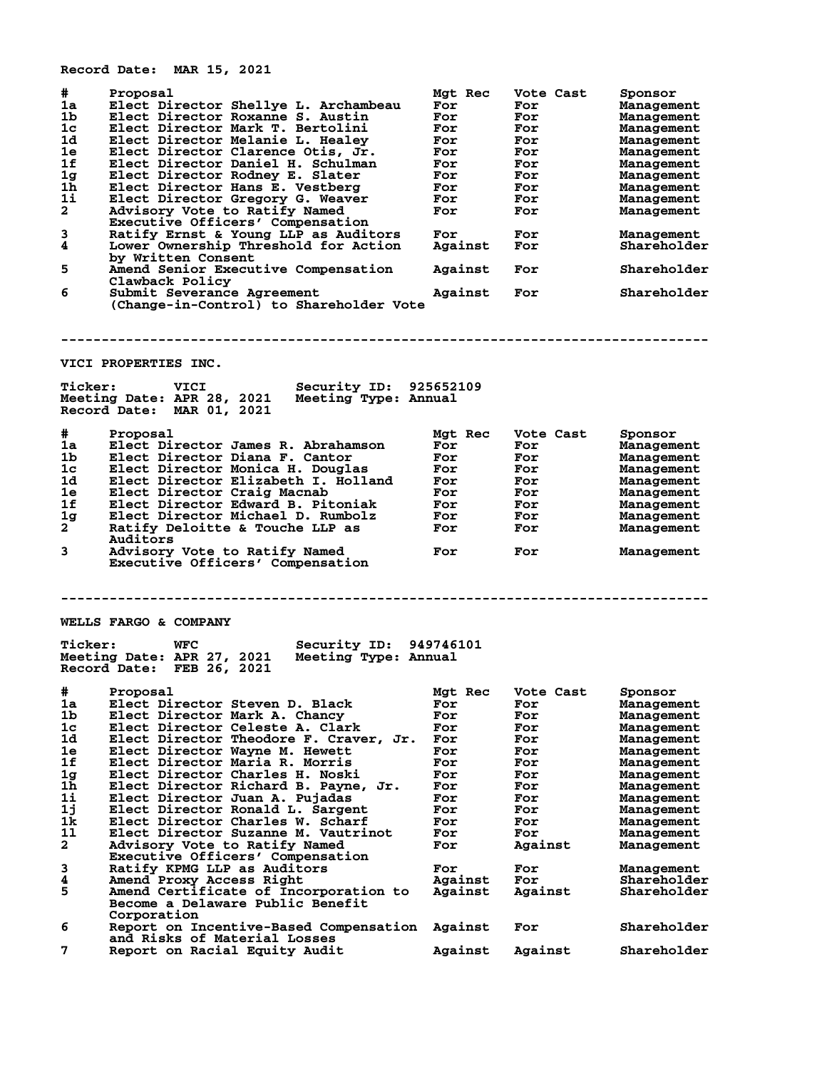**Record Date: MAR 15, 2021**

| #<br>1a<br>1b<br>1c<br>1d<br>1e<br>1f<br>1 <sub>g</sub><br>1 <sub>h</sub><br>1i<br>$\overline{a}$<br>3<br>4<br>5<br>6 | Proposal<br>Elect Director Shellye L. Archambeau<br>Elect Director Roxanne S. Austin<br>Elect Director Mark T. Bertolini<br>Elect Director Melanie L. Healey<br>Elect Director Clarence Otis, Jr.<br>Elect Director Daniel H. Schulman<br>Elect Director Rodney E. Slater<br>Elect Director Hans E. Vestberg<br>Elect Director Gregory G. Weaver<br>Advisory Vote to Ratify Named<br>Executive Officers' Compensation<br>Ratify Ernst & Young LLP as Auditors<br>Lower Ownership Threshold for Action<br>by Written Consent<br>Amend Senior Executive Compensation<br>Clawback Policy<br>Submit Severance Agreement | Mgt Rec<br>For<br>For<br>For<br>For<br>For<br>For<br>For<br>For<br>For<br>For<br>For<br>Against<br>Against<br>Against | Vote Cast<br>For<br>For<br>For<br>For<br>For<br>For<br>For<br>For<br>For<br>For<br>For<br>For<br>For<br>For | Sponsor<br>Management<br>Management<br>Management<br>Management<br>Management<br>Management<br>Management<br>Management<br>Management<br>Management<br>Management<br>Shareholder<br>Shareholder<br>Shareholder |
|-----------------------------------------------------------------------------------------------------------------------|---------------------------------------------------------------------------------------------------------------------------------------------------------------------------------------------------------------------------------------------------------------------------------------------------------------------------------------------------------------------------------------------------------------------------------------------------------------------------------------------------------------------------------------------------------------------------------------------------------------------|-----------------------------------------------------------------------------------------------------------------------|-------------------------------------------------------------------------------------------------------------|----------------------------------------------------------------------------------------------------------------------------------------------------------------------------------------------------------------|
|                                                                                                                       | (Change-in-Control) to Shareholder Vote                                                                                                                                                                                                                                                                                                                                                                                                                                                                                                                                                                             |                                                                                                                       |                                                                                                             |                                                                                                                                                                                                                |
|                                                                                                                       |                                                                                                                                                                                                                                                                                                                                                                                                                                                                                                                                                                                                                     |                                                                                                                       |                                                                                                             |                                                                                                                                                                                                                |
|                                                                                                                       | VICI PROPERTIES INC.                                                                                                                                                                                                                                                                                                                                                                                                                                                                                                                                                                                                |                                                                                                                       |                                                                                                             |                                                                                                                                                                                                                |
| <b>Ticker:</b>                                                                                                        | VICI<br><b>Security ID: 925652109</b><br>Meeting Type: Annual<br>Meeting Date: APR 28, 2021<br>Record Date: MAR 01, 2021                                                                                                                                                                                                                                                                                                                                                                                                                                                                                            |                                                                                                                       |                                                                                                             |                                                                                                                                                                                                                |
| #                                                                                                                     | Proposal                                                                                                                                                                                                                                                                                                                                                                                                                                                                                                                                                                                                            | Mgt Rec                                                                                                               | Vote Cast                                                                                                   | Sponsor                                                                                                                                                                                                        |
| 1a                                                                                                                    | Elect Director James R. Abrahamson                                                                                                                                                                                                                                                                                                                                                                                                                                                                                                                                                                                  | For                                                                                                                   | For                                                                                                         | Management                                                                                                                                                                                                     |
| 1b                                                                                                                    | Elect Director Diana F. Cantor                                                                                                                                                                                                                                                                                                                                                                                                                                                                                                                                                                                      | For                                                                                                                   | For                                                                                                         | Management                                                                                                                                                                                                     |
| 1 <sub>c</sub><br>1d                                                                                                  | Elect Director Monica H. Douglas<br>Elect Director Elizabeth I. Holland                                                                                                                                                                                                                                                                                                                                                                                                                                                                                                                                             | For<br>For                                                                                                            | For<br>For                                                                                                  | Management<br>Management                                                                                                                                                                                       |
| 1e                                                                                                                    | Elect Director Craig Macnab                                                                                                                                                                                                                                                                                                                                                                                                                                                                                                                                                                                         | For                                                                                                                   | For                                                                                                         | Management                                                                                                                                                                                                     |
| 1f                                                                                                                    | Elect Director Edward B. Pitoniak                                                                                                                                                                                                                                                                                                                                                                                                                                                                                                                                                                                   | For                                                                                                                   | For                                                                                                         | Management                                                                                                                                                                                                     |
| 1 <sub>g</sub>                                                                                                        | Elect Director Michael D. Rumbolz                                                                                                                                                                                                                                                                                                                                                                                                                                                                                                                                                                                   | For                                                                                                                   | For                                                                                                         | Management                                                                                                                                                                                                     |
| $\overline{2}$                                                                                                        | Ratify Deloitte & Touche LLP as                                                                                                                                                                                                                                                                                                                                                                                                                                                                                                                                                                                     | For                                                                                                                   | For                                                                                                         | Management                                                                                                                                                                                                     |
| 3                                                                                                                     | Auditors<br>Advisory Vote to Ratify Named<br>Executive Officers' Compensation                                                                                                                                                                                                                                                                                                                                                                                                                                                                                                                                       | For                                                                                                                   | For                                                                                                         | Management                                                                                                                                                                                                     |
|                                                                                                                       |                                                                                                                                                                                                                                                                                                                                                                                                                                                                                                                                                                                                                     |                                                                                                                       |                                                                                                             |                                                                                                                                                                                                                |
|                                                                                                                       | WELLS FARGO & COMPANY                                                                                                                                                                                                                                                                                                                                                                                                                                                                                                                                                                                               |                                                                                                                       |                                                                                                             |                                                                                                                                                                                                                |
| <b>Ticker:</b>                                                                                                        | Security ID: 949746101<br>WFC<br>Meeting Date: APR 27, 2021<br>Meeting Type: Annual<br>Record Date: FEB 26, 2021                                                                                                                                                                                                                                                                                                                                                                                                                                                                                                    |                                                                                                                       |                                                                                                             |                                                                                                                                                                                                                |
| $\#$ . The set of $\#$                                                                                                | Proposal                                                                                                                                                                                                                                                                                                                                                                                                                                                                                                                                                                                                            | Mgt Rec                                                                                                               | Vote Cast                                                                                                   | Sponsor                                                                                                                                                                                                        |
| 1a                                                                                                                    | Elect Director Steven D. Black                                                                                                                                                                                                                                                                                                                                                                                                                                                                                                                                                                                      | For                                                                                                                   | For                                                                                                         | Management                                                                                                                                                                                                     |
| 1b.                                                                                                                   | Elect Director Mark A. Chancy                                                                                                                                                                                                                                                                                                                                                                                                                                                                                                                                                                                       | For                                                                                                                   | For                                                                                                         | Management                                                                                                                                                                                                     |
| 1c<br>1d.                                                                                                             | Elect Director Celeste A. Clark                                                                                                                                                                                                                                                                                                                                                                                                                                                                                                                                                                                     | For                                                                                                                   | For                                                                                                         | Management                                                                                                                                                                                                     |
| 1e                                                                                                                    | Elect Director Theodore F. Craver, Jr.<br>Elect Director Wayne M. Hewett                                                                                                                                                                                                                                                                                                                                                                                                                                                                                                                                            | For<br>For                                                                                                            | For<br>For                                                                                                  | Management<br>Management                                                                                                                                                                                       |
| 1f                                                                                                                    | Elect Director Maria R. Morris                                                                                                                                                                                                                                                                                                                                                                                                                                                                                                                                                                                      | For                                                                                                                   | For                                                                                                         | Management                                                                                                                                                                                                     |
| 1 <sub>g</sub>                                                                                                        | Elect Director Charles H. Noski                                                                                                                                                                                                                                                                                                                                                                                                                                                                                                                                                                                     | For                                                                                                                   | For                                                                                                         | Management                                                                                                                                                                                                     |
| 1 <sub>h</sub>                                                                                                        | Elect Director Richard B. Payne, Jr.                                                                                                                                                                                                                                                                                                                                                                                                                                                                                                                                                                                | For                                                                                                                   | For                                                                                                         | Management                                                                                                                                                                                                     |
| 1i                                                                                                                    | Elect Director Juan A. Pujadas                                                                                                                                                                                                                                                                                                                                                                                                                                                                                                                                                                                      | For                                                                                                                   | For                                                                                                         | Management                                                                                                                                                                                                     |
| 1j                                                                                                                    | Elect Director Ronald L. Sargent                                                                                                                                                                                                                                                                                                                                                                                                                                                                                                                                                                                    | For                                                                                                                   | For                                                                                                         | Management                                                                                                                                                                                                     |
| 1k                                                                                                                    | Elect Director Charles W. Scharf                                                                                                                                                                                                                                                                                                                                                                                                                                                                                                                                                                                    | For                                                                                                                   | For                                                                                                         | Management                                                                                                                                                                                                     |
| 11<br>$\mathbf{2}$                                                                                                    | Elect Director Suzanne M. Vautrinot<br>Advisory Vote to Ratify Named                                                                                                                                                                                                                                                                                                                                                                                                                                                                                                                                                | For<br>For                                                                                                            | For<br>Against                                                                                              | Management<br>Management                                                                                                                                                                                       |
|                                                                                                                       | Executive Officers' Compensation                                                                                                                                                                                                                                                                                                                                                                                                                                                                                                                                                                                    |                                                                                                                       |                                                                                                             |                                                                                                                                                                                                                |
| 3                                                                                                                     | Ratify KPMG LLP as Auditors                                                                                                                                                                                                                                                                                                                                                                                                                                                                                                                                                                                         | For                                                                                                                   | For                                                                                                         | Management                                                                                                                                                                                                     |
| 4                                                                                                                     | Amend Proxy Access Right                                                                                                                                                                                                                                                                                                                                                                                                                                                                                                                                                                                            | Against                                                                                                               | For                                                                                                         | Shareholder                                                                                                                                                                                                    |
| 5                                                                                                                     | Amend Certificate of Incorporation to                                                                                                                                                                                                                                                                                                                                                                                                                                                                                                                                                                               | Against                                                                                                               | Against                                                                                                     | Shareholder                                                                                                                                                                                                    |
| 6                                                                                                                     | Become a Delaware Public Benefit<br>Corporation<br>Report on Incentive-Based Compensation Against                                                                                                                                                                                                                                                                                                                                                                                                                                                                                                                   |                                                                                                                       | For                                                                                                         | Shareholder                                                                                                                                                                                                    |
| 7                                                                                                                     | and Risks of Material Losses<br>Report on Racial Equity Audit                                                                                                                                                                                                                                                                                                                                                                                                                                                                                                                                                       | Against                                                                                                               | Against                                                                                                     | Shareholder                                                                                                                                                                                                    |
|                                                                                                                       |                                                                                                                                                                                                                                                                                                                                                                                                                                                                                                                                                                                                                     |                                                                                                                       |                                                                                                             |                                                                                                                                                                                                                |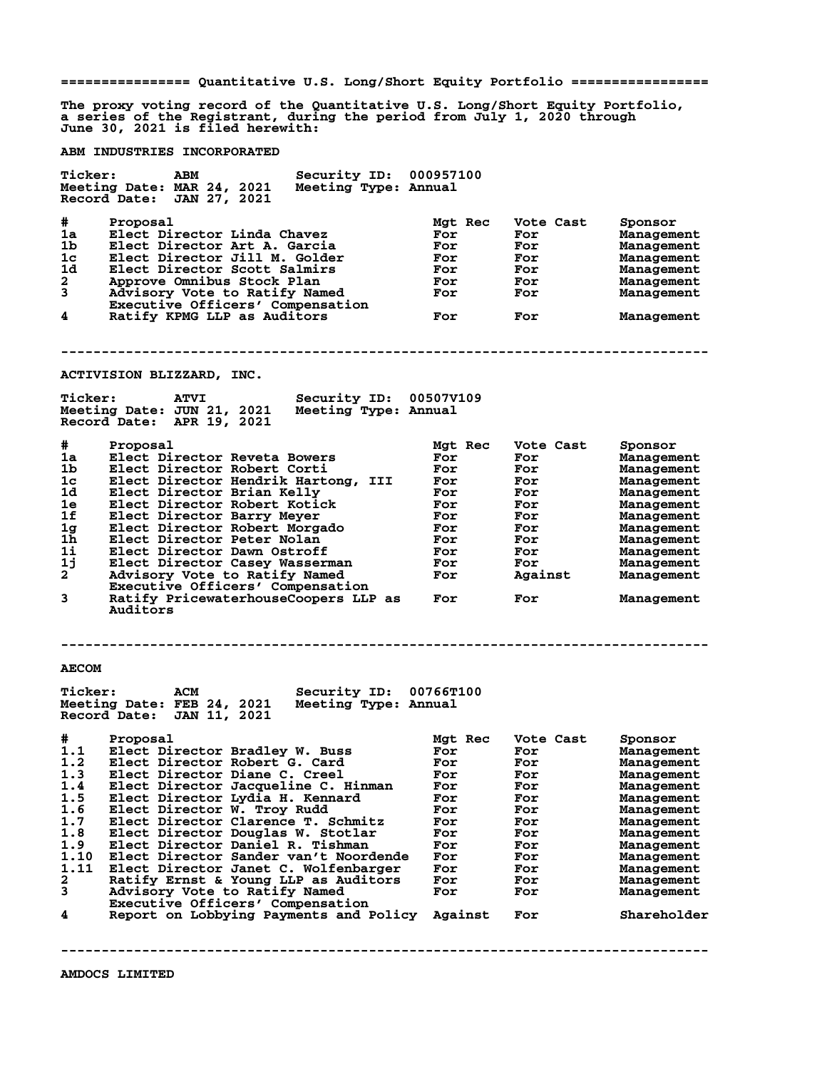**================ Quantitative U.S. Long/Short Equity Portfolio ================= The proxy voting record of the Quantitative U.S. Long/Short Equity Portfolio, a series of the Registrant, during the period from July 1, 2020 through June 30, 2021 is filed herewith: ABM INDUSTRIES INCORPORATED Ticker: ABM Security ID: 000957100 Meeting Date: MAR 24, 2021 Meeting Type: Annual Record Date: JAN 27, 2021 # Proposal Mgt Rec Vote Cast Sponsor 1a Elect Director Linda Chavez For For Management 1** Elect Director Art A. Garcia and For For Management<br>
19 Elect Director Scott Salmirs For For Management<br>
19 Approve Omnibus Stock Plan For For Management<br>
19 Advisory Vote to Ratify Named For For Management<br>
20 Advisor **1c Elect Director Jill M. Golder For For Management 1d Elect Director Scott Salmirs For For Management** 1c Elect Director Jill M. Golder Management<br>
2 Approve Omnibus Stock Plan **For For Management**<br>
2 Approve Omnibus Stock Plan **For For Management**<br>
3 Advisory Vote to Ratify Named For For Management **3 Advisory Vote to Ratify Named For For Management Executive Officers' Compensation 4 Ratify KPMG LLP as Auditors For For Management -------------------------------------------------------------------------------- ACTIVISION BLIZZARD, INC. Ticker: ATVI Security ID: 00507V109 Meeting Date: JUN 21, 2021 Meeting Type: Annual Record Date: APR 19, 2021 # Proposal Mgt Rec Vote Cast Sponsor 1a Elect Director Reveta Bowers<br>1b Elect Director Robert Corti 1b Elect Director Robert Corti For For Management 1c Elect Director Hendrik Hartong, III For For Management 1d Elect Director Brian Kelly For For Management 1e Elect Director Robert Kotick For For Management 1f Elect Director Barry Meyer For For Management 1g Elect Director Robert Morgado For For Management 1h Elect Director Peter Nolan For For Management 1i Elect Director Dawn Ostroff For For Management 1j Elect Director Casey Wasserman For For Management 2 Advisory Vote to Ratify Named For Against Management Executive Officers' Compensation 3 Ratify PricewaterhouseCoopers LLP as For For Management** Ratify PricewaterhouseCoopers LLP as For<br>Auditors **-------------------------------------------------------------------------------- AECOM Ticker: ACM Security ID: 00766T100 Meeting Date: FEB 24, 2021 Meeting Type: Annual Record Date: JAN 11, 2021** 9 Proposal Mgt Rec Vote Cast Sponsor<br>
1.1 Elect Director Bradley W. Buss For For Management<br>
1.2 Elect Director Robert G. Card For For Management<br>
1.3 Elect Director Diane C. Creel For For Management 1.1 Elect Director Bradley W. Buss For For Management<br>1.2 Elect Director Robert G. Card For For Management<br>1.3 Elect Director Diane C. Creel For For Management **1.2 Elect Director Robert G. Card For For Management 1.3 Elect Director Diane C. Creel For For Management 1.4 Elect Director Jacqueline C. Hinman For For Management 1.5 Elect Director Lydia H. Kennard For For Management 1.6 Elect Director W. Troy Rudd For For Management 1.7 Elect Director Clarence T. Schmitz For For Management 1.8 Elect Director Douglas W. Stotlar For For Management 1.9 Elect Director Daniel R. Tishman For For Management 1.10 Elect Director Sander van't Noordende For For Management 1.11 Elect Director Janet C. Wolfenbarger For For Management 2 Ratify Ernst & Young LLP as Auditors For For Management 3 Advisory Vote to Ratify Named For For Management Executive Constity Named<br>
Executive Officers' Compensation<br>
Report on Lobbying Payments and B 4 Report on Lobbying Payments and Policy Against For Shareholder --------------------------------------------------------------------------------**

**AMDOCS LIMITED**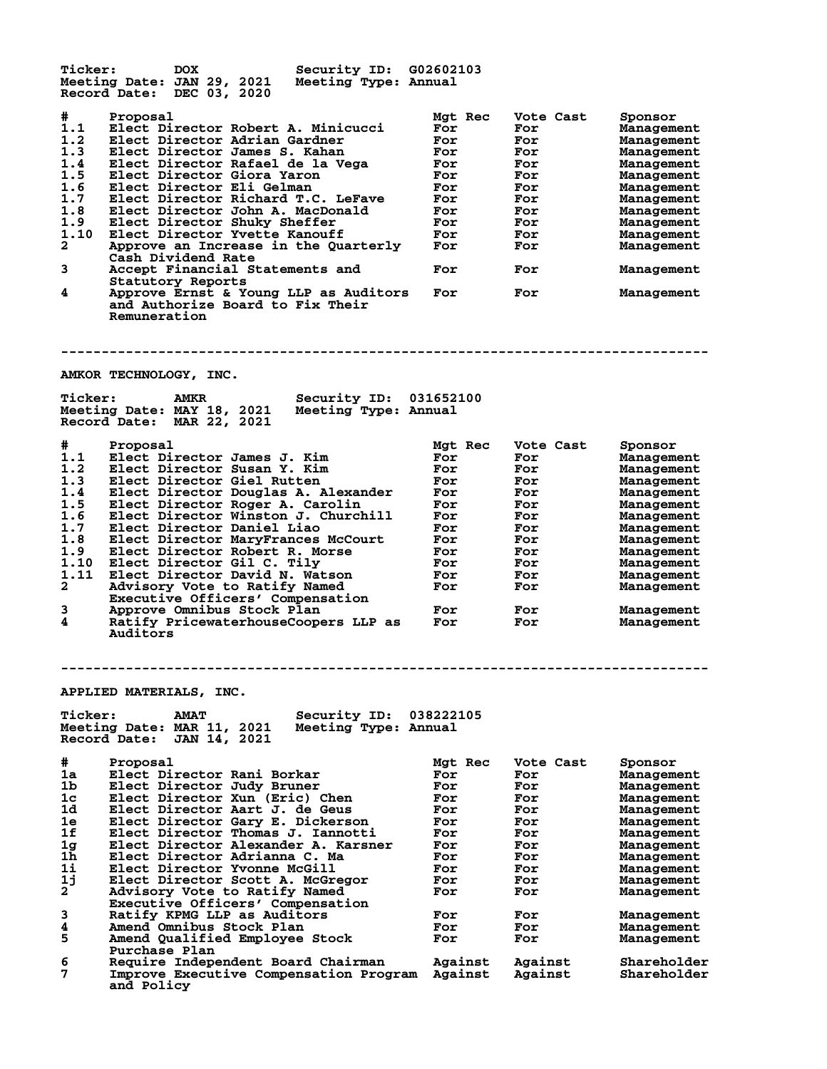| <b>Ticker:</b> | Security ID: G02602103<br><b>DOX</b><br>Meeting Date: JAN 29, 2021<br>Meeting Type: Annual<br>Record Date: DEC 03, 2020 |                    |                    |                            |
|----------------|-------------------------------------------------------------------------------------------------------------------------|--------------------|--------------------|----------------------------|
| #<br>1.1       | Proposal<br>Elect Director Robert A. Minicucci                                                                          | Mgt Rec<br>For     | Vote Cast<br>For   | Sponsor<br>Management      |
| 1.2            | Elect Director Adrian Gardner                                                                                           | For                | For                | Management                 |
| 1.3            | Elect Director James S. Kahan                                                                                           | For                | For                | Management                 |
| 1.4            | Elect Director Rafael de la Vega                                                                                        | For                | For                | Management                 |
| 1.5<br>1.6     | Elect Director Giora Yaron<br>Elect Director Eli Gelman                                                                 | For<br>For         | For                | Management                 |
| 1.7            | Elect Director Richard T.C. LeFave                                                                                      | For                | For<br>For         | Management<br>Management   |
| 1.8            | Elect Director John A. MacDonald                                                                                        | For                | For                | Management                 |
| 1.9            | Elect Director Shuky Sheffer                                                                                            | For                | For                | Management                 |
| 1.10           | Elect Director Yvette Kanouff                                                                                           | For                | For                | Management                 |
| 2              | Approve an Increase in the Quarterly<br>Cash Dividend Rate                                                              | For                | For                | Management                 |
| 3              | Accept Financial Statements and<br>Statutory Reports                                                                    | For                | For                | Management                 |
| 4              | Approve Ernst & Young LLP as Auditors<br>and Authorize Board to Fix Their<br>Remuneration                               | For                | For                | Management                 |
|                | AMKOR TECHNOLOGY, INC.                                                                                                  |                    |                    |                            |
| <b>Ticker:</b> | Security ID: 031652100<br><b>AMKR</b>                                                                                   |                    |                    |                            |
|                | Meeting Date: MAY 18, 2021<br>Meeting Type: Annual<br>Record Date: MAR 22, 2021                                         |                    |                    |                            |
| #              | Proposal                                                                                                                | Mgt Rec            | Vote Cast          | Sponsor                    |
| 1.1            | Elect Director James J. Kim                                                                                             | For                | For                | Management                 |
| 1.2            | Elect Director Susan Y. Kim                                                                                             | For                | For                | Management                 |
| 1.3            | Elect Director Giel Rutten                                                                                              | For                | For                | Management                 |
| 1.4            | Elect Director Douglas A. Alexander                                                                                     | For                | For                | Management                 |
| 1.5            | Elect Director Roger A. Carolin                                                                                         | For                | For                | Management                 |
| 1.6            | Elect Director Winston J. Churchill                                                                                     | For                | For                | Management                 |
| 1.7<br>1.8     | Elect Director Daniel Liao<br>Elect Director MaryFrances McCourt                                                        | For<br>For         | For                | Management                 |
| 1.9            | Elect Director Robert R. Morse                                                                                          | For                | For<br>For         | Management<br>Management   |
| 1.10           | Elect Director Gil C. Tily                                                                                              | For                | For                | Management                 |
| 1.11           | Elect Director David N. Watson                                                                                          | For                | For                | Management                 |
| 2              | Advisory Vote to Ratify Named                                                                                           | For                | For                | Management                 |
|                | Executive Officers' Compensation                                                                                        |                    |                    |                            |
| 3              | Approve Omnibus Stock Plan                                                                                              | For                | For                | Management                 |
| 4              | Ratify PricewaterhouseCoopers LLP as<br>Auditors                                                                        | For                | For                | Management                 |
|                | <b>APPLIED MATERIALS, INC.</b>                                                                                          |                    |                    |                            |
| <b>Ticker:</b> | Security ID:<br><b>AMAT</b>                                                                                             | 038222105          |                    |                            |
|                | Meeting Date: MAR 11, 2021<br>Meeting Type: Annual<br>Record Date:<br><b>JAN 14, 2021</b>                               |                    |                    |                            |
| #              | Proposal                                                                                                                | Mgt Rec            | Vote Cast          | Sponsor                    |
| 1a             | Elect Director Rani Borkar                                                                                              | For                | For                | Management                 |
| 1b             | Elect Director Judy Bruner                                                                                              | For                | For                | Management                 |
| 1c             | Elect Director Xun (Eric) Chen                                                                                          | For                | For                | Management                 |
| 1d             | Elect Director Aart J. de Geus                                                                                          | For                | For                | Management                 |
| 1e<br>1f       | Elect Director Gary E. Dickerson                                                                                        | For<br>For         | For<br>For         | Management                 |
| 1g             | Elect Director Thomas J. Iannotti<br>Elect Director Alexander A. Karsner                                                | For                | For                | Management<br>Management   |
| 1h             | Elect Director Adrianna C. Ma                                                                                           | For                | For                | Management                 |
| 1i             | <b>Elect Director Yvonne McGill</b>                                                                                     | For                | For                | Management                 |
| 1j             | Elect Director Scott A. McGregor                                                                                        | For                | For                | Management                 |
| 2              | Advisory Vote to Ratify Named                                                                                           | For                | For                | Management                 |
|                | Executive Officers' Compensation                                                                                        |                    |                    |                            |
| 3              | Ratify KPMG LLP as Auditors                                                                                             | For                | For                | Management                 |
| 4              | Amend Omnibus Stock Plan                                                                                                | For                | For                | Management                 |
| 5              | Amend Qualified Employee Stock<br><b>Purchase Plan</b>                                                                  | For                | For                | Management                 |
| 6<br>7         | Require Independent Board Chairman<br>Improve Executive Compensation Program<br>and Policy                              | Against<br>Against | Against<br>Against | Shareholder<br>Shareholder |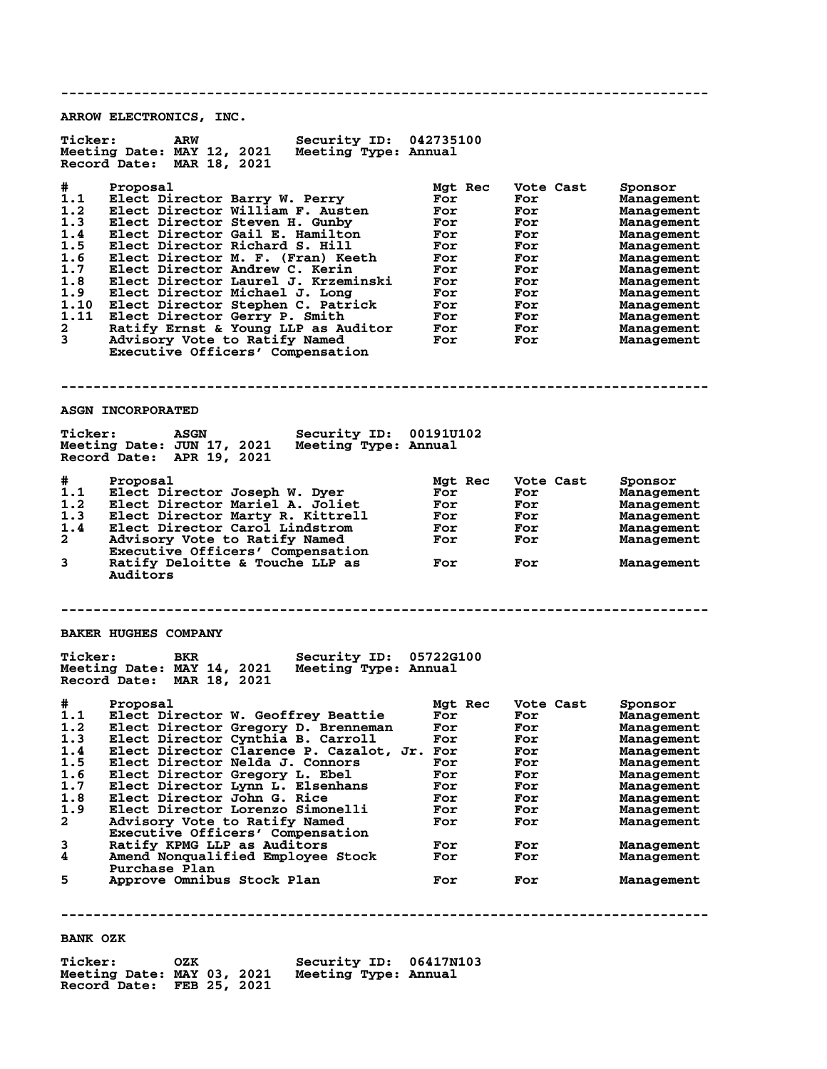**-------------------------------------------------------------------------------- ARROW ELECTRONICS, INC. Ticker: ARW Security ID: 042735100 Meeting Date: MAY 12, 2021 Meeting Type: Annual Record Date: MAR 18, 2021 # Proposal Mgt Rec Vote Cast Sponsor 1.1 Elect Director Barry W. Perry For For Management 1.2 Elect Director William F. Austen For For Management 1.3 Elect Director Steven H. Gunby For For Management 1.4 Elect Director Gail E. Hamilton For For Management 1.5 Elect Director Richard S. Hill For For Management 1.6 Elect Director M. F. (Fran) Keeth For For Management 1.7 Elect Director Andrew C. Kerin For For Management 1.8 Elect Director Laurel J. Krzeminski For For Management 1.9 Elect Director Michael J. Long For For Management 1.10 Elect Director Stephen C. Patrick For For Management 1.11 Elect Director Gerry P. Smith For For Management 2 Ratify Ernst & Young LLP as Auditor For For Management 3 Advisory Vote to Ratify Named For For Management Executive Officers' Compensation -------------------------------------------------------------------------------- ASGN INCORPORATED Ticker: ASGN Security ID: 00191U102 Meeting Date: JUN 17, 2021 Meeting Type: Annual Record Date: APR 19, 2021 # Proposal Mgt Rec Vote Cast Sponsor 1.1 Elect Director Joseph W. Dyer For For Management 1.2 Elect Director Mariel A. Joliet For For Management 1.3 Elect Director Marty R. Kittrell For For Management 1.4 Elect Director Carol Lindstrom For For Management 2 Advisory Vote to Ratify Named For For Management** 2 Advisory Vote to Ratify Named<br>Executive Officers' Compensation<br>3 Ratify Deloitte & Touche LLP as **3 Ratify Deloitte & Touche LLP as For For Management Auditors -------------------------------------------------------------------------------- BAKER HUGHES COMPANY Ticker: BKR Security ID: 05722G100 Meeting Date: MAY 14, 2021 Meeting Type: Annual Record Date: MAR 18, 2021 # Proposal Mgt Rec Vote Cast Sponsor 1.1 Elect Director W. Geoffrey Beattie For For Management 1.2 Elect Director Gregory D. Brenneman For For Management 1.3 Elect Director Cynthia B. Carroll For For Management 1.4 Elect Director Clarence P. Cazalot, Jr. For For Management 1.5 Elect Director Nelda J. Connors For For Management 1.6 Elect Director Gregory L. Ebel For For Management 1.7 Elect Director Lynn L. Elsenhans For For Management 1.8 Elect Director John G. Rice For For Management 1.9 Elect Director Lorenzo Simonelli For For Management 2 Advisory Vote to Ratify Named For For Management Executive Officers' Compensation 3 Ratify KPMG LLP as Auditors For For Management 4 Amend Nonqualified Employee Stock For For Management** Purchase Plan<br>5 Approve Omnibu **5 Approve Omnibus Stock Plan For For Management -------------------------------------------------------------------------------- BANK OZK**

**Ticker: OZK Security ID: 06417N103 Meeting Date: MAY 03, 2021 Record Date: FEB 25, 2021**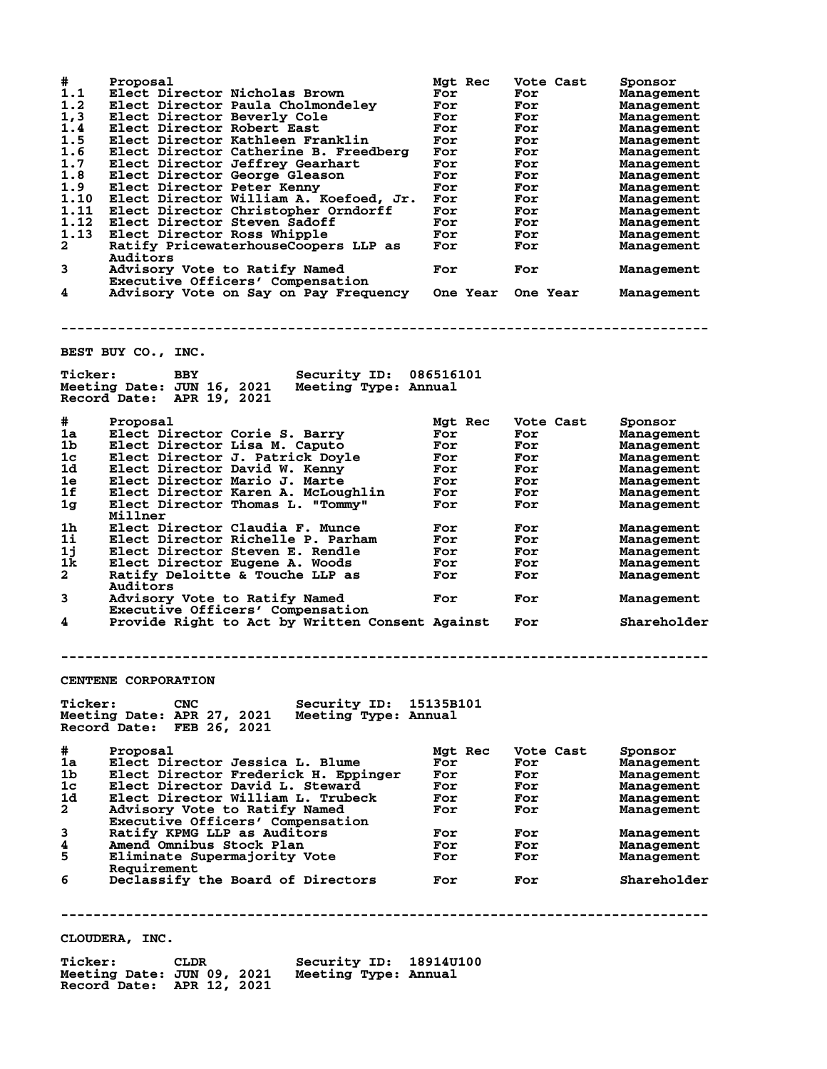| #              | Proposal                                                                          |                  | Mgt Rec | Vote Cast        |           | Sponsor                  |
|----------------|-----------------------------------------------------------------------------------|------------------|---------|------------------|-----------|--------------------------|
| 1.1<br>1.2     | Elect Director Nicholas Brown<br>Elect Director Paula Cholmondeley                | For<br>For       |         | For<br>For       |           | Management<br>Management |
| 1, 3           | Elect Director Beverly Cole                                                       | For              |         | For              |           | Management               |
| 1.4            | Elect Director Robert East                                                        | For              |         | For              |           | Management               |
| 1.5            | Elect Director Kathleen Franklin                                                  | For              |         | For              |           | Management               |
| 1.6            | Elect Director Catherine B. Freedberg                                             | For              |         | For              |           | Management               |
| 1.7            | Elect Director Jeffrey Gearhart                                                   | For              |         | For              |           | Management               |
| 1.8            | Elect Director George Gleason                                                     | For              |         | For              |           | Management               |
| 1.9            | Elect Director Peter Kenny                                                        | For              |         | For              |           | Management               |
| 1.10           | Elect Director William A. Koefoed, Jr.                                            | For              |         | For              |           | Management               |
| 1.11           | Elect Director Christopher Orndorff                                               | For              |         | For              |           | Management               |
| 1.12<br>1.13   | Elect Director Steven Sadoff                                                      | For              |         | For              |           | Management               |
| 2              | Elect Director Ross Whipple<br>Ratify PricewaterhouseCoopers LLP as               | For<br>For       |         | For<br>For       |           | Management<br>Management |
|                | Auditors                                                                          |                  |         |                  |           |                          |
| 3              | Advisory Vote to Ratify Named                                                     | For              |         | For              |           | Management               |
|                | Executive Officers' Compensation                                                  |                  |         |                  |           |                          |
| 4              | Advisory Vote on Say on Pay Frequency One Year One Year                           |                  |         |                  |           | Management               |
|                |                                                                                   |                  |         |                  |           |                          |
|                |                                                                                   |                  |         |                  |           |                          |
|                |                                                                                   |                  |         |                  |           |                          |
|                | BEST BUY CO., INC.                                                                |                  |         |                  |           |                          |
|                |                                                                                   |                  |         |                  |           |                          |
| <b>Ticker:</b> | <b>BBY</b><br>Security ID: 086516101                                              |                  |         |                  |           |                          |
|                | Meeting Date: JUN 16, 2021<br>Meeting Type: Annual                                |                  |         |                  |           |                          |
|                | Record Date: APR 19, 2021                                                         |                  |         |                  |           |                          |
|                |                                                                                   |                  |         |                  |           |                          |
| #<br>1a        | Proposal<br>Elect Director Corie S. Barry                                         | For              | Mgt Rec | Vote Cast<br>For |           | Sponsor<br>Management    |
| 1b             | Elect Director Lisa M. Caputo                                                     | For              |         | For              |           | Management               |
| 1c             | Elect Director J. Patrick Doyle                                                   | For              |         | For              |           | Management               |
| 1d             | Elect Director David W. Kenny                                                     | For              |         | For              |           | Management               |
| 1e             | Elect Director Mario J. Marte                                                     | For              |         | For              |           | Management               |
| 1f             | Elect Director Karen A. McLoughlin                                                | For              |         | For              |           | Management               |
| 1 <sub>g</sub> | Elect Director Thomas L. "Tommy"                                                  | For              |         | For              |           | Management               |
|                | Millner                                                                           |                  |         |                  |           |                          |
| 1h             | Elect Director Claudia F. Munce                                                   | For              |         | For              |           | Management               |
| 1i             | Elect Director Richelle P. Parham                                                 | For              |         | For              |           | Management               |
| 1j             | Elect Director Steven E. Rendle                                                   | For              |         | For              |           | Management               |
| 1k             | Elect Director Eugene A. Woods                                                    | For              |         | For              |           | Management               |
| $\mathbf{2}$   | Ratify Deloitte & Touche LLP as                                                   | For              |         | For              |           | Management               |
|                | Auditors                                                                          |                  |         |                  |           |                          |
| 3              | Advisory Vote to Ratify Named<br>Executive Officers' Compensation                 | For              |         | For              |           | Management               |
| 4              | Provide Right to Act by Written Consent Against                                   |                  |         | For              |           | Shareholder              |
|                |                                                                                   |                  |         |                  |           |                          |
|                |                                                                                   |                  |         |                  |           |                          |
|                |                                                                                   |                  |         |                  |           |                          |
|                |                                                                                   |                  |         |                  |           |                          |
|                | CENTENE CORPORATION                                                               |                  |         |                  |           |                          |
| <b>Ticker:</b> | Security ID: 15135B101<br><b>CNC</b>                                              |                  |         |                  |           |                          |
|                | Meeting Date: APR 27, 2021<br>Meeting Type: Annual                                |                  |         |                  |           |                          |
|                | Record Date: FEB 26, 2021                                                         |                  |         |                  |           |                          |
|                |                                                                                   |                  |         |                  |           |                          |
| #              | Proposal                                                                          |                  | Mgt Rec |                  | Vote Cast | Sponsor                  |
| 1a             | Elect Director Jessica L. Blume                                                   | For              |         | For              |           | Management               |
| 1b             | Elect Director Frederick H. Eppinger                                              | For              |         | For              |           | Management               |
| 1c             | Elect Director David L. Steward                                                   | For              |         | For              |           | Management               |
| 1d             | Elect Director William L. Trubeck                                                 | For              |         | For              |           | Management               |
| $\mathbf{2}$   | Advisory Vote to Ratify Named                                                     | For              |         | For              |           | Management               |
|                | Executive Officers' Compensation                                                  |                  |         |                  |           |                          |
| 3<br>4         | Ratify KPMG LLP as Auditors                                                       | For              |         | For              |           | Management               |
| 5              | Amend Omnibus Stock Plan<br>Eliminate Supermajority Vote                          | For<br>For       |         | For<br>For       |           | Management<br>Management |
|                | Requirement                                                                       |                  |         |                  |           |                          |
| 6              | Declassify the Board of Directors                                                 | For              |         | For              |           | Shareholder              |
|                |                                                                                   |                  |         |                  |           |                          |
|                |                                                                                   |                  |         |                  |           |                          |
|                |                                                                                   |                  |         |                  |           |                          |
|                |                                                                                   |                  |         |                  |           |                          |
|                | CLOUDERA, INC.                                                                    |                  |         |                  |           |                          |
| <b>Ticker:</b> | Security ID:<br><b>CLDR</b><br>Meeting Date: JUN 09, 2021<br>Meeting Type: Annual | <b>18914U100</b> |         |                  |           |                          |

**Record Date: APR 12, 2021**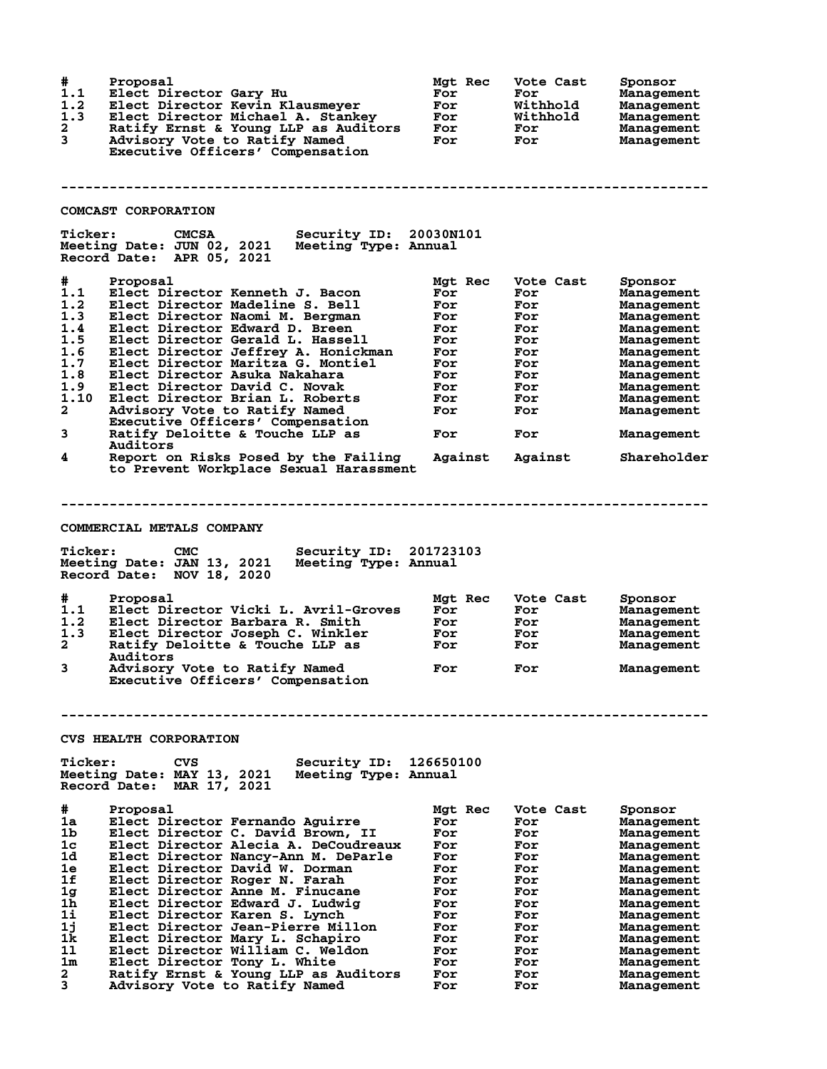| #<br>1.1<br>1.2<br>1.3<br>$\mathbf{2}$<br>3                                                                              | Proposal<br>Elect Director Gary Hu<br>Elect Director Kevin Klausmeyer<br>Elect Director Michael A. Stankey<br>Ratify Ernst & Young LLP as Auditors<br>Advisory Vote to Ratify Named<br>Executive Officers' Compensation                                                                                                                                                                                                                                                                                                                                                                                            | Mgt Rec<br>For<br>For<br>For<br>For<br>For                                                                | Vote Cast<br>For<br>Withhold<br>Withhold<br>For<br>For                                                      | Sponsor<br>Management<br>Management<br>Management<br>Management<br>Management                                                                                                                                                                                       |
|--------------------------------------------------------------------------------------------------------------------------|--------------------------------------------------------------------------------------------------------------------------------------------------------------------------------------------------------------------------------------------------------------------------------------------------------------------------------------------------------------------------------------------------------------------------------------------------------------------------------------------------------------------------------------------------------------------------------------------------------------------|-----------------------------------------------------------------------------------------------------------|-------------------------------------------------------------------------------------------------------------|---------------------------------------------------------------------------------------------------------------------------------------------------------------------------------------------------------------------------------------------------------------------|
|                                                                                                                          |                                                                                                                                                                                                                                                                                                                                                                                                                                                                                                                                                                                                                    |                                                                                                           |                                                                                                             |                                                                                                                                                                                                                                                                     |
|                                                                                                                          | <b>COMCAST CORPORATION</b>                                                                                                                                                                                                                                                                                                                                                                                                                                                                                                                                                                                         |                                                                                                           |                                                                                                             |                                                                                                                                                                                                                                                                     |
| <b>Ticker:</b>                                                                                                           | Security ID: 20030N101<br><b>CMCSA</b><br>Meeting Date: JUN 02, 2021<br>Meeting Type: Annual<br>Record Date: APR 05, 2021                                                                                                                                                                                                                                                                                                                                                                                                                                                                                          |                                                                                                           |                                                                                                             |                                                                                                                                                                                                                                                                     |
| #<br>1.1<br>1.2<br>1.3<br>1.4<br>1.5<br>1.6<br>1.7<br>1.8<br>1.9<br>1.10<br>2<br>3<br>4                                  | Proposal<br>Elect Director Kenneth J. Bacon<br>Elect Director Madeline S. Bell<br>Elect Director Naomi M. Bergman<br>Elect Director Edward D. Breen<br>Elect Director Gerald L. Hassell<br>Elect Director Jeffrey A. Honickman<br>Elect Director Maritza G. Montiel<br>Elect Director Asuka Nakahara<br>Elect Director David C. Novak<br>Elect Director Brian L. Roberts<br>Advisory Vote to Ratify Named<br>Executive Officers' Compensation<br>Ratify Deloitte & Touche LLP as<br>Auditors<br>Report on Risks Posed by the Failing<br>to Prevent Workplace Sexual Harassment<br><b>COMMERCIAL METALS COMPANY</b> | Mgt Rec<br>For<br>For<br>For<br>For<br>For<br>For<br>For<br>For<br>For<br>For<br>For<br>For<br>Against    | Vote Cast<br>For<br>For<br>For<br>For<br>For<br>For<br>For<br>For<br>For<br>For<br>For<br>For<br>Against    | Sponsor<br>Management<br>Management<br>Management<br>Management<br>Management<br>Management<br>Management<br>Management<br>Management<br>Management<br>Management<br>Management<br>Shareholder                                                                      |
| <b>Ticker:</b>                                                                                                           | <b>CMC</b><br>Security ID: 201723103<br>Meeting Date: JAN 13, 2021<br>Meeting Type: Annual<br>Record Date: NOV 18, 2020                                                                                                                                                                                                                                                                                                                                                                                                                                                                                            |                                                                                                           |                                                                                                             |                                                                                                                                                                                                                                                                     |
| #<br>1.1<br>1.2<br>1.3<br>2<br>3                                                                                         | Proposal<br>Elect Director Vicki L. Avril-Groves<br>Elect Director Barbara R. Smith<br>Elect Director Joseph C. Winkler<br>Ratify Deloitte & Touche LLP as<br>Auditors<br>Advisory Vote to Ratify Named<br>Executive Officers' Compensation                                                                                                                                                                                                                                                                                                                                                                        | Mgt Rec<br>For<br>For<br>For<br>For<br>For                                                                | Vote Cast<br>For<br>For<br>For<br>For<br>For                                                                | Sponsor<br>Management<br>Management<br>Management<br>Management<br>Management                                                                                                                                                                                       |
|                                                                                                                          |                                                                                                                                                                                                                                                                                                                                                                                                                                                                                                                                                                                                                    |                                                                                                           |                                                                                                             |                                                                                                                                                                                                                                                                     |
|                                                                                                                          | <b>CVS HEALTH CORPORATION</b>                                                                                                                                                                                                                                                                                                                                                                                                                                                                                                                                                                                      |                                                                                                           |                                                                                                             |                                                                                                                                                                                                                                                                     |
| <b>Ticker:</b>                                                                                                           | CVS<br>Security ID:<br>Meeting Date: MAY 13, 2021<br>Meeting Type: Annual<br>Record Date:<br>MAR 17, 2021                                                                                                                                                                                                                                                                                                                                                                                                                                                                                                          | 126650100                                                                                                 |                                                                                                             |                                                                                                                                                                                                                                                                     |
| #<br>1a<br>1 <sub>b</sub><br>1 <sub>c</sub><br>1d<br>1e<br>1f<br>1 <sub>g</sub><br>1h<br>1i<br>1j<br>1k<br>11<br>1m<br>2 | Proposal<br>Elect Director Fernando Aguirre<br>Elect Director C. David Brown, II<br>Elect Director Alecia A. DeCoudreaux<br>Elect Director Nancy-Ann M. DeParle<br>Elect Director David W. Dorman<br>Elect Director Roger N. Farah<br>Elect Director Anne M. Finucane<br>Elect Director Edward J. Ludwig<br>Elect Director Karen S. Lynch<br>Elect Director Jean-Pierre Millon<br>Elect Director Mary L. Schapiro<br>Elect Director William C. Weldon<br>Elect Director Tony L. White<br>Ratify Ernst & Young LLP as Auditors                                                                                      | Mgt Rec<br>For<br>For<br>For<br>For<br>For<br>For<br>For<br>For<br>For<br>For<br>For<br>For<br>For<br>For | Vote Cast<br>For<br>For<br>For<br>For<br>For<br>For<br>For<br>For<br>For<br>For<br>For<br>For<br>For<br>For | Sponsor<br><b>Management</b><br><b>Management</b><br>Management<br><b>Management</b><br>Management<br>Management<br><b>Management</b><br>Management<br><b>Management</b><br><b>Management</b><br><b>Management</b><br>Management<br><b>Management</b><br>Management |
| 3                                                                                                                        | Advisory Vote to Ratify Named                                                                                                                                                                                                                                                                                                                                                                                                                                                                                                                                                                                      | For                                                                                                       | For                                                                                                         | Management                                                                                                                                                                                                                                                          |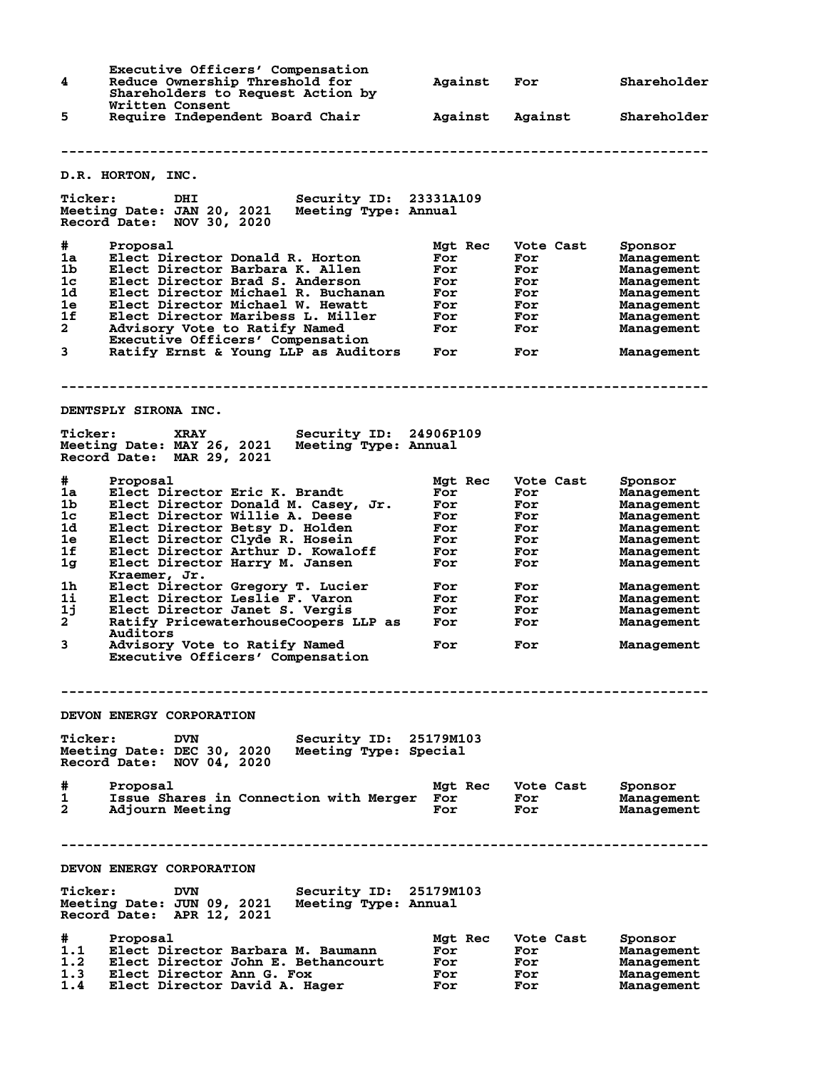**Executive Officers' Compensation<br>4** Reduce Ownership Threshold for **4 Reduce Ownership Threshold for Against For Shareholder Shareholders to Request Action by Written Consent<br>Require Independ 5 Require Independent Board Chair Against Against Shareholder -------------------------------------------------------------------------------- D.R. HORTON, INC. Ticker: DHI Security ID: 23331A109 Meeting Date: JAN 20, 2021 Meeting Type: Annual Record Date: NOV 30, 2020 # Proposal Mgt Rec Vote Cast Sponsor 1a Elect Director Donald R. Horton For For Management 1b Elect Director Barbara K. Allen For For Management 1c Elect Director Brad S. Anderson For For Management 1d Elect Director Michael R. Buchanan For For Management 1e Elect Director Michael W. Hewatt For For Management 1f Elect Director Maribess L. Miller For For Management 2 Advisory Vote to Ratify Named For For Management Executive Officers' Compensation 3 Ratify Ernst & Young LLP as Auditors For For Management -------------------------------------------------------------------------------- DENTSPLY SIRONA INC. Ticker: XRAY Security ID: 24906P109 Meeting Date: MAY 26, 2021 Meeting Type: Annual Record Date: MAR 29, 2021 # Proposal Mgt Rec Vote Cast Sponsor 1a Elect Director Eric K. Brandt For For Management 1b Elect Director Donald M. Casey, Jr. For For Management 1c Elect Director Willie A. Deese For For Management 1d Elect Director Betsy D. Holden For For Management 1e Elect Director Clyde R. Hosein For For Management 1f Elect Director Arthur D. Kowaloff For For Management 1g Elect Director Harry M. Jansen For For Management Kraemer, Jr. 1h Elect Director Gregory T. Lucier For For Management 1i Elect Director Leslie F. Varon For For Management 1j Elect Director Janet S. Vergis For For Management 2 Ratify PricewaterhouseCoopers LLP as For For Management** 1**j** Elect Dir<br>
2 Ratify Pr<br>
Auditors<br>
3 Advisory Advisory Vote to Ratify Named **For** For For Management  **Executive Officers' Compensation -------------------------------------------------------------------------------- DEVON ENERGY CORPORATION Ticker: DVN Security ID: 25179M103 Meeting Date: DEC 30, 2020 Meeting Type: Special Record Date: NOV 04, 2020 # Proposal Mgt Rec Vote Cast Sponsor 1 Issue Shares in Connection with Merger For For Management 2 Adjourn Meeting For For Management -------------------------------------------------------------------------------- DEVON ENERGY CORPORATION Ticker: DVN Security ID: 25179M103 Meeting Date: JUN 09, 2021 Meeting Type: Annual Record Date: APR 12, 2021 # Proposal Mgt Rec Vote Cast Sponsor 1.1 Elect Director Barbara M. Baumann For For Management 1.2 Elect Director John E. Bethancourt For For Management 1.3 Elect Director Ann G. Fox For For Management 1.4 Elect Director David A. Hager For For Management**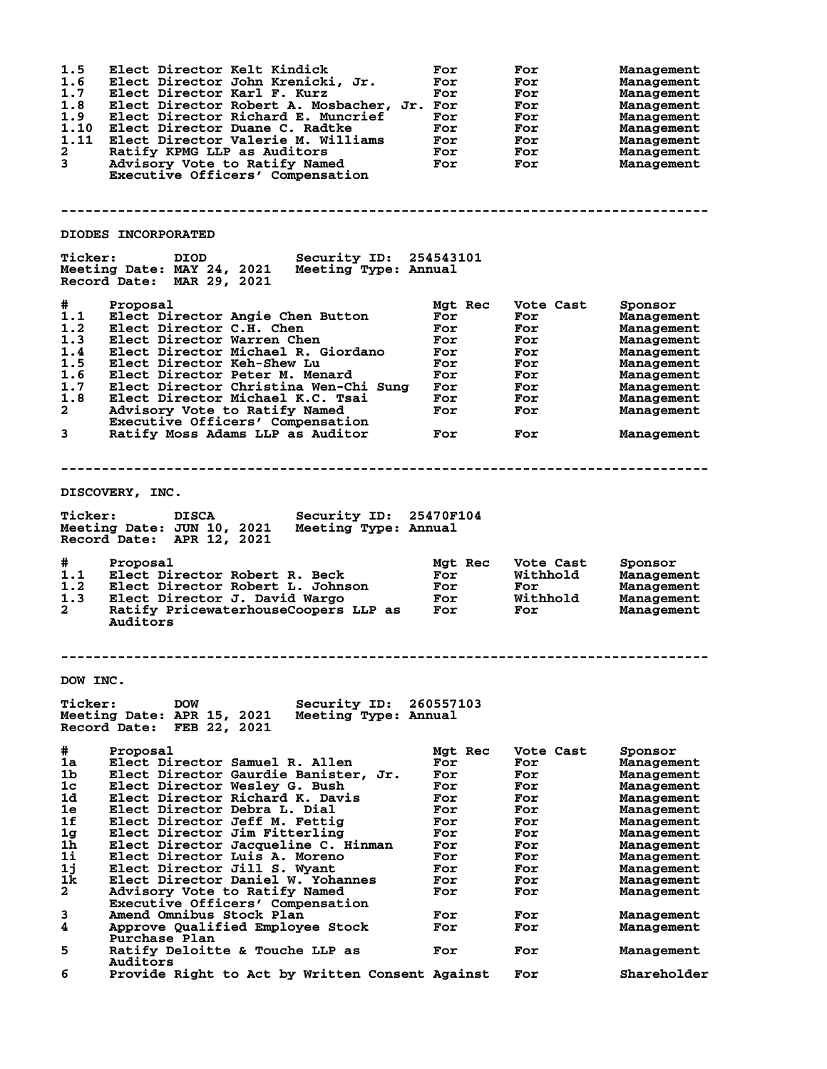| 1.5<br>1.6<br>1.7<br>1.8<br>1.9<br>1.10<br>1.11<br>$\mathbf{2}$<br>$\mathbf{3}$          | Elect Director Kelt Kindick<br>Elect Director John Krenicki, Jr.<br>Elect Director Karl F. Kurz<br>Elect Director Robert A. Mosbacher, Jr. For<br>Elect Director Richard E. Muncrief<br>Elect Director Duane C. Radtke<br>Elect Director Valerie M. Williams<br>Ratify KPMG LLP as Auditors<br>Advisory Vote to Ratify Named<br>Executive Officers' Compensation                                                                                                                                       | For<br>For<br>For<br>For<br>For<br>For<br>For<br>For                                               | For<br>For<br>For<br>For<br>For<br>For<br>For<br>For<br>For                                          | Management<br>Management<br>Management<br><b>Management</b><br>Management<br>Management<br>Management<br>Management<br>Management                                                                    |
|------------------------------------------------------------------------------------------|--------------------------------------------------------------------------------------------------------------------------------------------------------------------------------------------------------------------------------------------------------------------------------------------------------------------------------------------------------------------------------------------------------------------------------------------------------------------------------------------------------|----------------------------------------------------------------------------------------------------|------------------------------------------------------------------------------------------------------|------------------------------------------------------------------------------------------------------------------------------------------------------------------------------------------------------|
|                                                                                          |                                                                                                                                                                                                                                                                                                                                                                                                                                                                                                        |                                                                                                    |                                                                                                      |                                                                                                                                                                                                      |
|                                                                                          | DIODES INCORPORATED                                                                                                                                                                                                                                                                                                                                                                                                                                                                                    |                                                                                                    |                                                                                                      |                                                                                                                                                                                                      |
| <b>Ticker:</b>                                                                           | Security ID: 254543101<br>DIOD.<br>Meeting Date: MAY 24, 2021<br>Meeting Type: Annual<br>Record Date: MAR 29, 2021                                                                                                                                                                                                                                                                                                                                                                                     |                                                                                                    |                                                                                                      |                                                                                                                                                                                                      |
| #<br>1.1<br>1.2<br>1.3<br>1.4<br>1.5<br>1.6<br>1.7<br>1.8<br>$\mathbf{2}$<br>3           | Proposal<br>Elect Director Angie Chen Button<br>Elect Director C.H. Chen<br>Elect Director Warren Chen<br>Elect Director Michael R. Giordano<br>Elect Director Keh-Shew Lu<br>Elect Director Peter M. Menard<br>Elect Director Christina Wen-Chi Sung<br>Elect Director Michael K.C. Tsai<br>Advisory Vote to Ratify Named<br>Executive Officers' Compensation<br>Ratify Moss Adams LLP as Auditor                                                                                                     | Mgt Rec<br>For<br>For<br>For<br>For<br>For<br>For<br>For<br>For<br>For<br>For                      | Vote Cast<br>For<br>For<br>For<br>For<br>For<br>For<br>For<br>For<br>For<br>For                      | Sponsor<br>Management<br>Management<br>Management<br>Management<br>Management<br>Management<br>Management<br>Management<br>Management<br>Management                                                  |
|                                                                                          |                                                                                                                                                                                                                                                                                                                                                                                                                                                                                                        |                                                                                                    |                                                                                                      |                                                                                                                                                                                                      |
|                                                                                          | DISCOVERY, INC.                                                                                                                                                                                                                                                                                                                                                                                                                                                                                        |                                                                                                    |                                                                                                      |                                                                                                                                                                                                      |
| <b>Ticker:</b>                                                                           | <b>DISCA</b><br>Security ID: 25470F104<br>Meeting Date: JUN 10, 2021<br>Meeting Type: Annual<br>Record Date: APR 12, 2021                                                                                                                                                                                                                                                                                                                                                                              |                                                                                                    |                                                                                                      |                                                                                                                                                                                                      |
| #<br>1.1<br>1.2<br>1.3<br>$\mathbf{2}$                                                   | Proposal<br>Elect Director Robert R. Beck<br>Elect Director Robert L. Johnson<br>Elect Director J. David Wargo<br>Ratify PricewaterhouseCoopers LLP as<br>Auditors                                                                                                                                                                                                                                                                                                                                     | Mgt Rec<br>For<br>For<br>For<br>For                                                                | Vote Cast<br>Withhold<br>For<br>Withhold<br>For                                                      | Sponsor<br><b>Management</b><br>Management<br>Management<br>Management                                                                                                                               |
|                                                                                          |                                                                                                                                                                                                                                                                                                                                                                                                                                                                                                        |                                                                                                    |                                                                                                      |                                                                                                                                                                                                      |
| DOW INC.                                                                                 |                                                                                                                                                                                                                                                                                                                                                                                                                                                                                                        |                                                                                                    |                                                                                                      |                                                                                                                                                                                                      |
| <b>Ticker:</b>                                                                           | Security ID:<br><b>DOW</b><br>Meeting Date: APR 15, 2021<br>Meeting Type: Annual<br>Record Date:<br>FEB 22, 2021                                                                                                                                                                                                                                                                                                                                                                                       | 260557103                                                                                          |                                                                                                      |                                                                                                                                                                                                      |
| #<br>1a<br>1b<br>1c<br>1d<br>1e<br>1f<br>1g<br>1h<br>11<br>1j<br>1k<br>$\mathbf{2}$<br>3 | Proposal<br>Elect Director Samuel R. Allen<br>Elect Director Gaurdie Banister, Jr.<br>Elect Director Wesley G. Bush<br>Elect Director Richard K. Davis<br>Elect Director Debra L. Dial<br>Elect Director Jeff M. Fettig<br>Elect Director Jim Fitterling<br>Elect Director Jacqueline C. Hinman<br>Elect Director Luis A. Moreno<br>Elect Director Jill S. Wyant<br>Elect Director Daniel W. Yohannes<br>Advisory Vote to Ratify Named<br>Executive Officers' Compensation<br>Amend Omnibus Stock Plan | Mgt Rec<br>For<br>For<br>For<br>For<br>For<br>For<br>For<br>For<br>For<br>For<br>For<br>For<br>For | Vote Cast<br>For<br>For<br>For<br>For<br>For<br>For<br>For<br>For<br>For<br>For<br>For<br>For<br>For | Sponsor<br>Management<br>Management<br>Management<br><b>Management</b><br><b>Management</b><br>Management<br>Management<br>Management<br><b>Management</b><br>Management<br>Management<br>Management |
| 4<br>5                                                                                   | Approve Qualified Employee Stock<br>Purchase Plan<br>Ratify Deloitte & Touche LLP as                                                                                                                                                                                                                                                                                                                                                                                                                   | For<br>For                                                                                         | For<br>For                                                                                           | <b>Management</b><br><b>Management</b><br><b>Management</b>                                                                                                                                          |
| 6                                                                                        | Auditors<br>Provide Right to Act by Written Consent Against                                                                                                                                                                                                                                                                                                                                                                                                                                            |                                                                                                    | For                                                                                                  | Shareholder                                                                                                                                                                                          |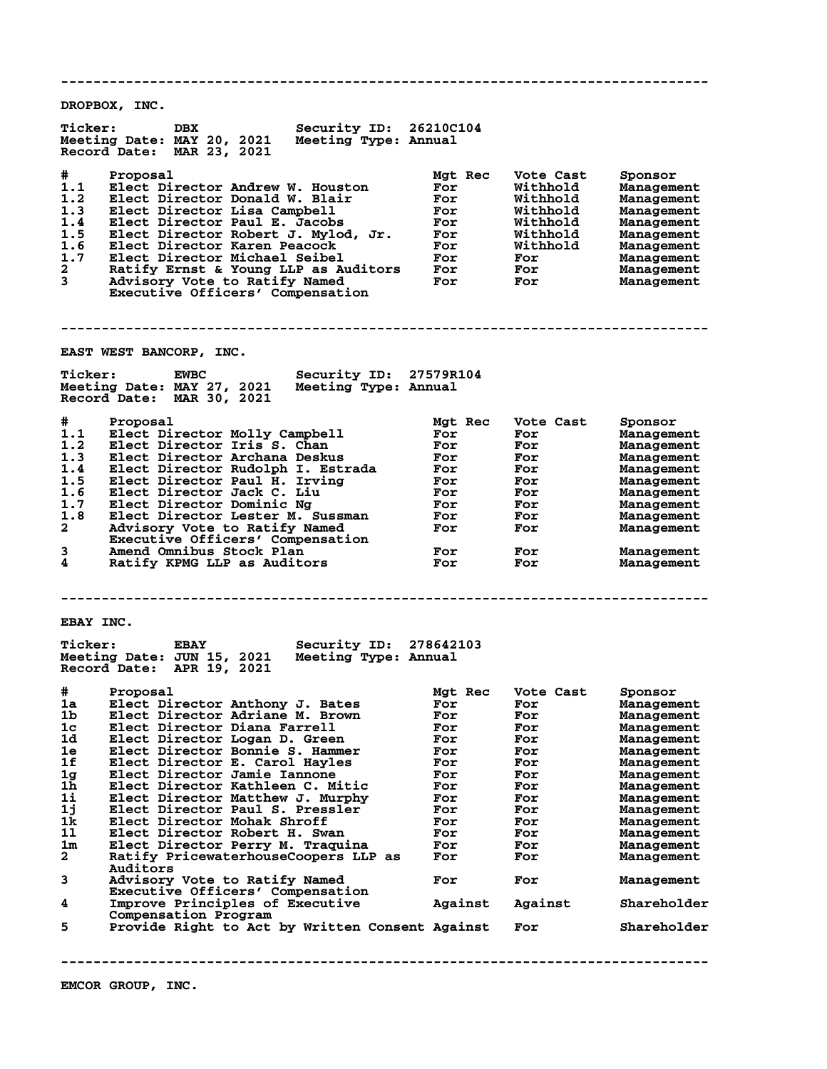**-------------------------------------------------------------------------------- DROPBOX, INC. Ticker: DBX Security ID: 26210C104 Meeting Date: MAY 20, 2021 Meeting Type: Annual Record Date: MAR 23, 2021 # Proposal Mgt Rec Vote Cast Sponsor 1.1 Elect Director Andrew W. Houston For Withhold Management 1.2 Elect Director Donald W. Blair For Withhold Management 1.3 Elect Director Lisa Campbell For Withhold Management 1.4 Elect Director Paul E. Jacobs For Withhold Management 1.5 Elect Director Robert J. Mylod, Jr. For Withhold Management 1.6 Elect Director Karen Peacock For Withhold Management 1.7 Elect Director Michael Seibel For For Management 2 Ratify Ernst & Young LLP as Auditors For For Management 3 Advisory Vote to Ratify Named For For Management Executive Officers' Compensation -------------------------------------------------------------------------------- EAST WEST BANCORP, INC. Ticker: EWBC Security ID: 27579R104 Meeting Date: MAY 27, 2021 Meeting Type: Annual Record Date: MAR 30, 2021 # Proposal Mgt Rec Vote Cast Sponsor 1.1 Elect Director Molly Campbell For For Management 1.2 Elect Director Iris S. Chan For For Management 1.3 Elect Director Archana Deskus For For Management 1.4 Elect Director Rudolph I. Estrada For For Management 1.5 Elect Director Paul H. Irving For For Management 1.6 Elect Director Jack C. Liu For For Management 1.7 Elect Director Dominic Ng For For Management 1.8 Elect Director Lester M. Sussman For For Management 2 Advisory Vote to Ratify Named For For Management Executive Officers' Compensation 3 Amend Omnibus Stock Plan For For Management 4 Ratify KPMG LLP as Auditors For For Management -------------------------------------------------------------------------------- EBAY INC. Ticker: EBAY Security ID: 278642103 Meeting Date: JUN 15, 2021 Meeting Type: Annual Record Date: APR 19, 2021 # Proposal Mgt Rec Vote Cast Sponsor 1a Elect Director Anthony J. Bates For For Management 1b Elect Director Adriane M. Brown For For Management 1c Elect Director Diana Farrell For For Management 1d Elect Director Logan D. Green For For Management 1e Elect Director Bonnie S. Hammer For For Management 1f Elect Director E. Carol Hayles For For Management 1g Elect Director Jamie Iannone For For Management 1h Elect Director Kathleen C. Mitic For For Management 1i Elect Director Matthew J. Murphy For For Management 1j Elect Director Paul S. Pressler For For Management 1k Elect Director Mohak Shroff For For Management 1l Elect Director Robert H. Swan For For Management 1m Elect Director Perry M. Traquina For For Management 2 Ratify PricewaterhouseCoopers LLP as For For Management Auditors 3 Advisory Vote to Ratify Named For For Management Executive Officers' Compensation 4 Improve Principles of Executive Against Against Shareholder** 4 Improve Principles of<br>Compensation Program<br>5 Provide Right to Act 1 **5 Provide Right to Act by Written Consent Against For Shareholder --------------------------------------------------------------------------------**

**EMCOR GROUP, INC.**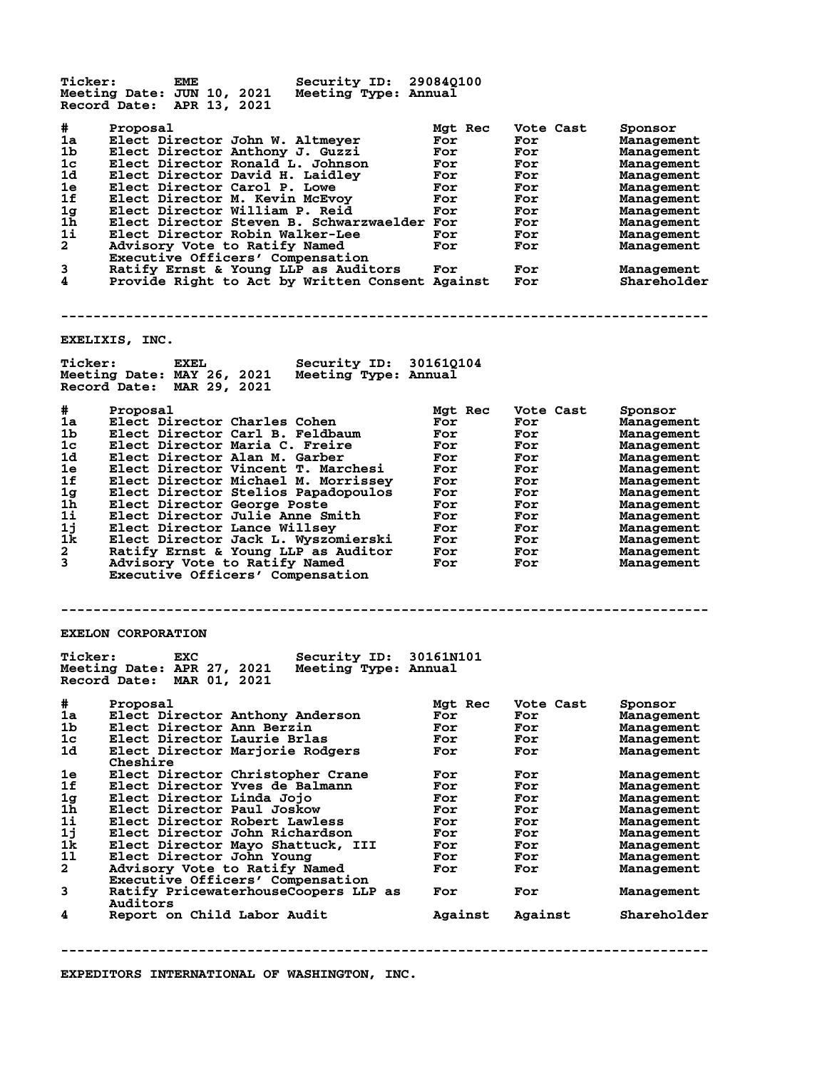| <b>Ticker:</b><br>EME<br>Meeting Date: JUN 10, 2021<br>Record Date: APR 13, 2021                                                                                                                                                                                                                                                                                                                                                                                                                                                                                                                                                 | Security ID: 290840100<br>Meeting Type: Annual |                                                                                                    |                                                                                                      |                                                                                                                                                                                                                           |
|----------------------------------------------------------------------------------------------------------------------------------------------------------------------------------------------------------------------------------------------------------------------------------------------------------------------------------------------------------------------------------------------------------------------------------------------------------------------------------------------------------------------------------------------------------------------------------------------------------------------------------|------------------------------------------------|----------------------------------------------------------------------------------------------------|------------------------------------------------------------------------------------------------------|---------------------------------------------------------------------------------------------------------------------------------------------------------------------------------------------------------------------------|
| #<br>Proposal<br>1a<br>Elect Director John W. Altmeyer<br>1b<br>Elect Director Anthony J. Guzzi<br>1c<br>Elect Director Ronald L. Johnson<br>1d<br>Elect Director David H. Laidley<br>1e<br>Elect Director Carol P. Lowe<br>1f<br>Elect Director M. Kevin McEvoy<br>1 <sub>g</sub><br>Elect Director William P. Reid<br>$1\bar{h}$<br>Elect Director Steven B. Schwarzwaelder For<br>11<br>Elect Director Robin Walker-Lee<br>$\overline{a}$<br>Advisory Vote to Ratify Named<br>Executive Officers' Compensation<br>3<br>Ratify Ernst & Young LLP as Auditors<br>4<br>Provide Right to Act by Written Consent Against           |                                                | Mgt Rec<br>For<br>For<br>For<br>For<br>For<br>For<br>For<br>For<br>For<br>For                      | Vote Cast<br>For<br>For<br>For<br>For<br>For<br>For<br>For<br>For<br>For<br>For<br>For<br>For        | Sponsor<br><b>Management</b><br><b>Management</b><br><b>Management</b><br>Management<br>Management<br>Management<br>Management<br>Management<br>Management<br>Management<br>Management<br>Shareholder                     |
|                                                                                                                                                                                                                                                                                                                                                                                                                                                                                                                                                                                                                                  |                                                |                                                                                                    |                                                                                                      |                                                                                                                                                                                                                           |
| EXELIXIS, INC.                                                                                                                                                                                                                                                                                                                                                                                                                                                                                                                                                                                                                   |                                                |                                                                                                    |                                                                                                      |                                                                                                                                                                                                                           |
| <b>Ticker:</b><br><b>EXEL</b><br>Meeting Date: MAY 26, 2021<br>Record Date: MAR 29, 2021                                                                                                                                                                                                                                                                                                                                                                                                                                                                                                                                         | Security ID: 301610104<br>Meeting Type: Annual |                                                                                                    |                                                                                                      |                                                                                                                                                                                                                           |
| #<br>Proposal<br>Elect Director Charles Cohen<br>1a<br>1b.<br>Elect Director Carl B. Feldbaum<br>Elect Director Maria C. Freire<br>1c<br>1d<br>Elect Director Alan M. Garber<br>Elect Director Vincent T. Marchesi<br>1e<br>1f<br>Elect Director Michael M. Morrissey<br>1 <sub>g</sub><br>Elect Director Stelios Papadopoulos<br>1h<br>Elect Director George Poste<br>1i<br>Elect Director Julie Anne Smith<br>1j<br>Elect Director Lance Willsey<br>1k<br>Elect Director Jack L. Wyszomierski<br>$\mathbf{2}$<br>Ratify Ernst & Young LLP as Auditor<br>3<br>Advisory Vote to Ratify Named<br>Executive Officers' Compensation |                                                | Mgt Rec<br>For<br>For<br>For<br>For<br>For<br>For<br>For<br>For<br>For<br>For<br>For<br>For<br>For | Vote Cast<br>For<br>For<br>For<br>For<br>For<br>For<br>For<br>For<br>For<br>For<br>For<br>For<br>For | Sponsor<br><b>Management</b><br>Management<br>Management<br>Management<br>Management<br>Management<br>Management<br>Management<br>Management<br>Management<br>Management<br>Management<br>Management                      |
| <b>EXELON CORPORATION</b>                                                                                                                                                                                                                                                                                                                                                                                                                                                                                                                                                                                                        |                                                |                                                                                                    |                                                                                                      |                                                                                                                                                                                                                           |
| <b>Ticker:</b><br>EXC<br>Meeting Date: APR 27, 2021<br>Record Date: MAR 01, 2021                                                                                                                                                                                                                                                                                                                                                                                                                                                                                                                                                 | Security ID: 30161N101<br>Meeting Type: Annual |                                                                                                    |                                                                                                      |                                                                                                                                                                                                                           |
| #<br>Proposal<br>1a<br>Elect Director Anthony Anderson<br>1b<br>Elect Director Ann Berzin<br>1c<br>Elect Director Laurie Brlas<br>1d<br>Elect Director Marjorie Rodgers<br>Cheshire<br>Elect Director Christopher Crane<br>1e<br>1f<br>Elect Director Yves de Balmann<br>1 <sub>g</sub><br>Elect Director Linda Jojo<br>1 <sub>h</sub><br>Elect Director Paul Joskow<br>1i<br>Elect Director Robert Lawless<br>1j<br>Elect Director John Richardson<br>1k<br>Elect Director Mayo Shattuck, III<br>11<br>Elect Director John Young                                                                                                |                                                | Mgt Rec<br>For<br>For<br>For<br>For<br>For<br>For<br>For<br>For<br>For<br>For<br>For<br>For        | Vote Cast<br>For<br>For<br>For<br>For<br>For<br>For<br>For<br>For<br>For<br>For<br>For<br>For        | Sponsor<br>Management<br>Management<br><b>Management</b><br><b>Management</b><br>Management<br><b>Management</b><br><b>Management</b><br><b>Management</b><br><b>Management</b><br>Management<br>Management<br>Management |
| $\mathbf{2}$<br>Advisory Vote to Ratify Named<br>Executive Officers' Compensation<br>3<br>Ratify PricewaterhouseCoopers LLP as                                                                                                                                                                                                                                                                                                                                                                                                                                                                                                   |                                                | For<br>For                                                                                         | For<br>For                                                                                           | <b>Management</b><br>Management                                                                                                                                                                                           |
| Auditors<br>4<br>Report on Child Labor Audit                                                                                                                                                                                                                                                                                                                                                                                                                                                                                                                                                                                     |                                                | Against                                                                                            | Against                                                                                              | Shareholder                                                                                                                                                                                                               |
|                                                                                                                                                                                                                                                                                                                                                                                                                                                                                                                                                                                                                                  |                                                |                                                                                                    |                                                                                                      |                                                                                                                                                                                                                           |

**EXPEDITORS INTERNATIONAL OF WASHINGTON, INC.**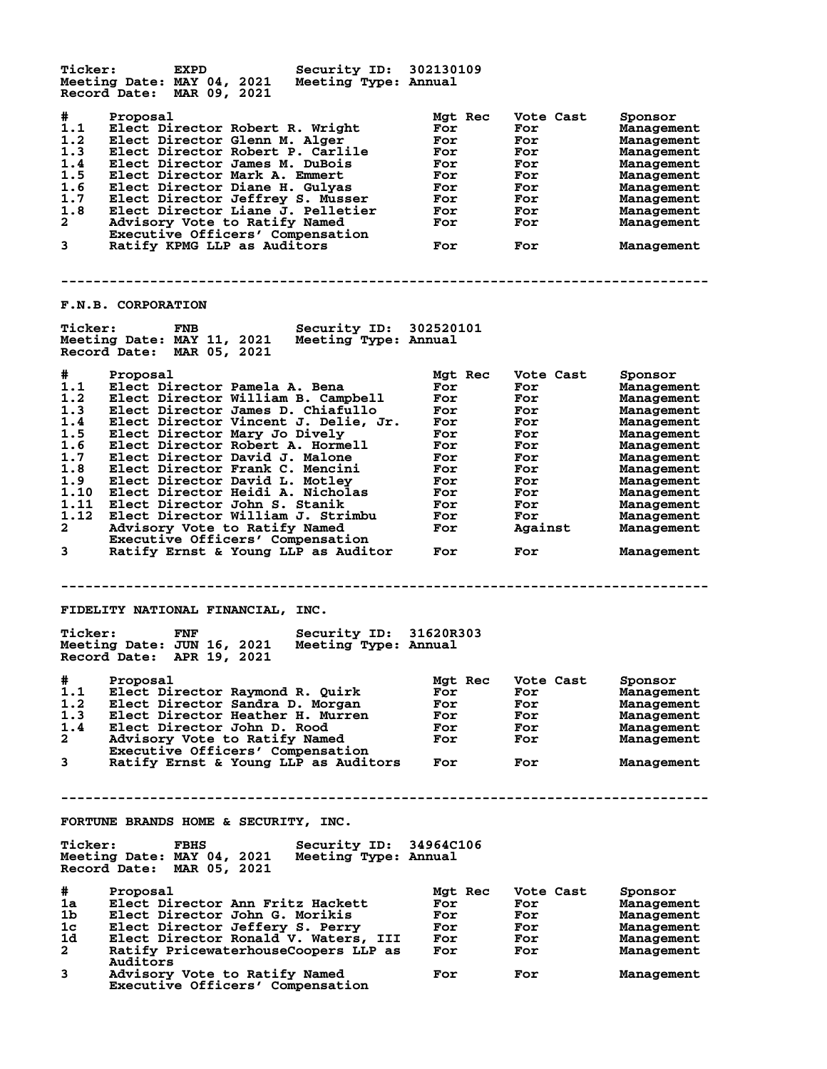**Ticker: EXPD Security ID: 302130109 Meeting Date: MAY 04, 2021 Meeting Type: Annual Record Date: MAR 09, 2021 # Proposal Mgt Rec Vote Cast Sponsor 1.1 Elect Director Robert R. Wright For For Management 1.2 Elect Director Glenn M. Alger For For Management 1.3 Elect Director Robert P. Carlile For For Management 1.4 Elect Director James M. DuBois For For Management 1.5 Elect Director Mark A. Emmert For For Management 1.6 Elect Director Diane H. Gulyas For For Management 1.7 Elect Director Jeffrey S. Musser For For Management 1.8 Elect Director Liane J. Pelletier For For Management 2 Advisory Vote to Ratify Named For For Management Executive Officers' Compensation 3 Ratify KPMG LLP as Auditors For For Management -------------------------------------------------------------------------------- F.N.B. CORPORATION Ticker: FNB Security ID: 302520101 Meeting Date: MAY 11, 2021 Meeting Type: Annual Record Date: MAR 05, 2021 # Proposal Mgt Rec Vote Cast Sponsor 1.1 Elect Director Pamela A. Bena For For Management 1.2 Elect Director William B. Campbell For For Management 1.3 Elect Director James D. Chiafullo For For Management 1.4 Elect Director Vincent J. Delie, Jr. For For Management 1.5 Elect Director Mary Jo Dively For For Management 1.6 Elect Director Robert A. Hormell For For Management 1.7 Elect Director David J. Malone For For Management 1.8 Elect Director Frank C. Mencini For For Management 1.9 Elect Director David L. Motley For For Management 1.10 Elect Director Heidi A. Nicholas For For Management 1.11 Elect Director John S. Stanik For For Management 1.12 Elect Director William J. Strimbu For For Management 2 Advisory Vote to Ratify Named For Against Management Executive Officers' Compensation 3 Ratify Ernst & Young LLP as Auditor For For Management -------------------------------------------------------------------------------- FIDELITY NATIONAL FINANCIAL, INC. Ticker: FNF Security ID: 31620R303 Meeting Date: JUN 16, 2021 Meeting Type: Annual Record Date: APR 19, 2021 # Proposal Mgt Rec Vote Cast Sponsor 1.1 Elect Director Raymond R. Quirk For For Management 1.2 Elect Director Sandra D. Morgan For For Management 1.3 Elect Director Heather H. Murren For For Management 1.4 Elect Director John D. Rood For For Management 2 Advisory Vote to Ratify Named For For Management Executive Officers' Compensation 3 Ratify Ernst & Young LLP as Auditors For For Management -------------------------------------------------------------------------------- FORTUNE BRANDS HOME & SECURITY, INC. Ticker: FBHS Security ID: 34964C106 Meeting Date: MAY 04, 2021 Meeting Type: Annual Record Date: MAR 05, 2021 # Proposal Mgt Rec Vote Cast Sponsor 1a Elect Director Ann Fritz Hackett For For Management 1b Elect Director John G. Morikis For For Management 1c Elect Director Jeffery S. Perry For For Management 1d Elect Director Ronald V. Waters, III For For Management 2 Ratify PricewaterhouseCoopers LLP as For For Management** 2 Ratify P<sub>1</sub><br>Auditors<br>3 Advisory **3 Advisory Vote to Ratify Named For For Management Executive Officers' Compensation**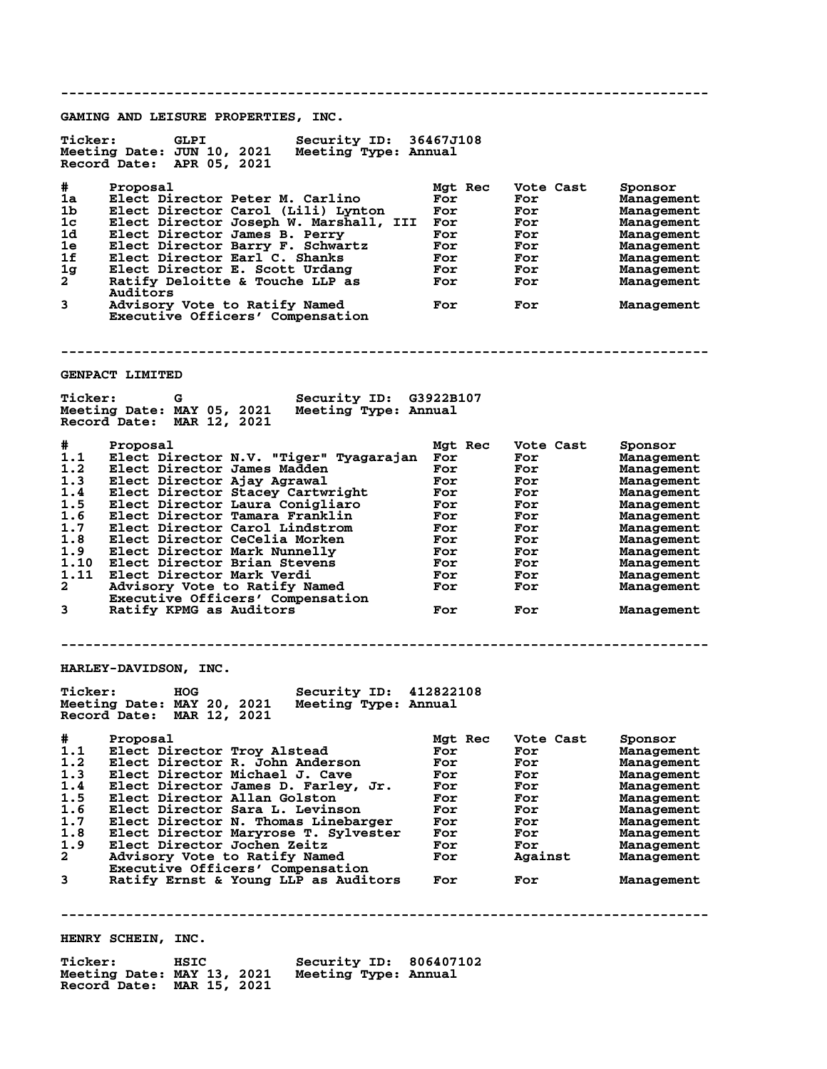**-------------------------------------------------------------------------------- GAMING AND LEISURE PROPERTIES, INC. Ticker: GLPI Security ID: 36467J108 Meeting Date: JUN 10, 2021 Meeting Type: Annual Record Date: APR 05, 2021 # Proposal Mgt Rec Vote Cast Sponsor 1a Elect Director Peter M. Carlino For For Management 1b Elect Director Carol (Lili) Lynton For For Management 1c Elect Director Joseph W. Marshall, III For For Management 1d Elect Director James B. Perry For For Management 1e Elect Director Barry F. Schwartz For For Management 1f Elect Director Earl C. Shanks For For Management 1g Elect Director E. Scott Urdang For For Management 2 Ratify Deloitte & Touche LLP as For For Management** 2 Ratify De<br>Auditors<br>3 Advisory **Advisory Vote to Ratify Named For For For Management Executive Officers' Compensation -------------------------------------------------------------------------------- GENPACT LIMITED Ticker: G Security ID: G3922B107 Meeting Date: MAY 05, 2021 Meeting Type: Annual Record Date: MAR 12, 2021 # Proposal Mgt Rec Vote Cast Sponsor 1.1 Elect Director N.V. "Tiger" Tyagarajan For For Management 1.2 Elect Director James Madden For For Management 1.3 Elect Director Ajay Agrawal For For Management 1.4 Elect Director Stacey Cartwright For For Management 1.5 Elect Director Laura Conigliaro For For Management 1.6 Elect Director Tamara Franklin For For Management 1.7 Elect Director Carol Lindstrom For For Management 1.8 Elect Director CeCelia Morken For For Management 1.9 Elect Director Mark Nunnelly For For Management 1.10 Elect Director Brian Stevens For For Management 1.11 Elect Director Mark Verdi For For Management 2 Advisory Vote to Ratify Named For For Management Executive Officers' Compensation** and the conductry Named Tor For Management<br> **3** Ratify KPMG as Auditors For For Management<br>
3 Ratify KPMG as Auditors For For Management **-------------------------------------------------------------------------------- HARLEY-DAVIDSON, INC. Ticker: HOG Security ID: 412822108 Meeting Date: MAY 20, 2021 Meeting Type: Annual Record Date: MAR 12, 2021 # Proposal Mgt Rec Vote Cast Sponsor 1.1 Elect Director Troy Alstead For For Management 1.2 Elect Director R. John Anderson For For Management 1.3 Elect Director Michael J. Cave For For Management 1.4 Elect Director James D. Farley, Jr. For For Management 1.5 Elect Director Allan Golston For For Management 1.6 Elect Director Sara L. Levinson For For Management 1.7 Elect Director N. Thomas Linebarger For For Management 1.8 Elect Director Maryrose T. Sylvester For For Management 1.9 Elect Director Jochen Zeitz For For Management 2 Advisory Vote to Ratify Named For Against Management Executive Officers' Compensation 3 Ratify Ernst & Young LLP as Auditors For For Management -------------------------------------------------------------------------------- HENRY SCHEIN, INC.** Ticker: HSIC Security ID: 806407102<br>Meeting Date: MAY 13, 2021 Meeting Type: Annual Meeting Date: MAY 13, 2021

**Record Date: MAR 15, 2021**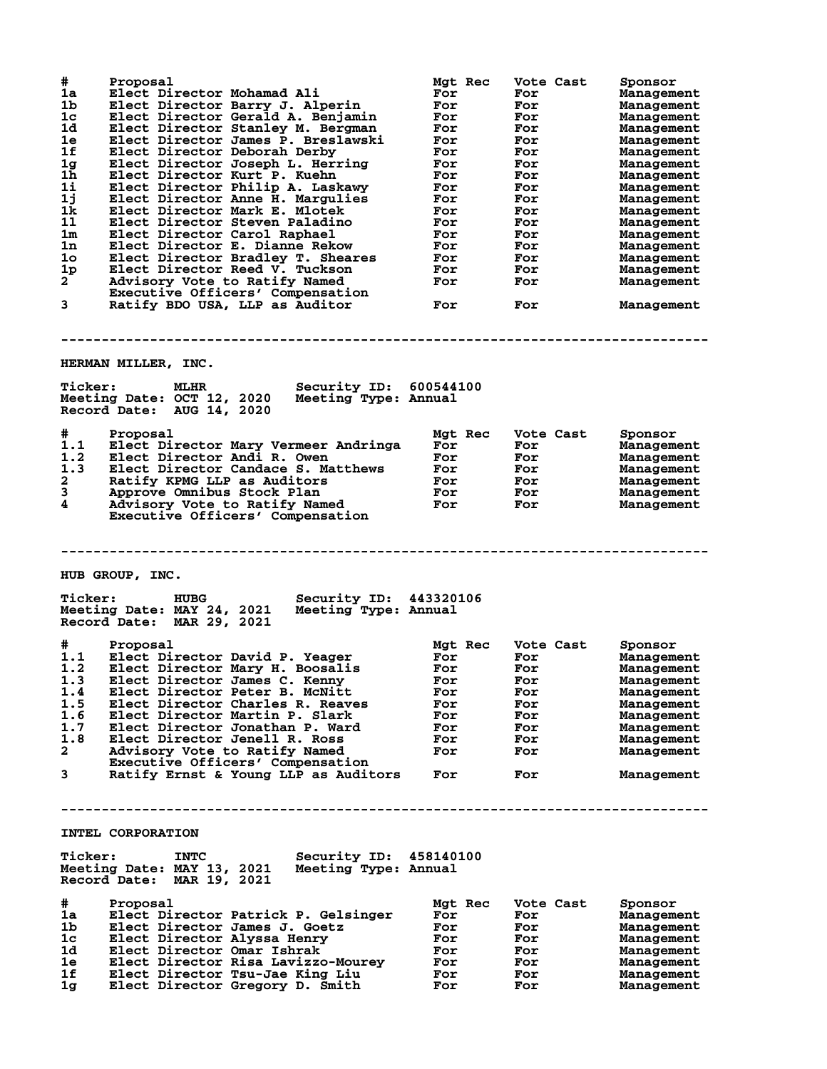| #              | Proposal                                                              | Mgt Rec        | Vote Cast  | Sponsor                  |
|----------------|-----------------------------------------------------------------------|----------------|------------|--------------------------|
| 1a             | Elect Director Mohamad Ali                                            | For            | For        | Management               |
| 1b             | Elect Director Barry J. Alperin                                       | For            | For        | Management               |
| 1c             | Elect Director Gerald A. Benjamin                                     | For            | For        | Management               |
| 1d             | Elect Director Stanley M. Bergman                                     | For            | For        | Management               |
| 1e<br>1f       | Elect Director James P. Breslawski<br>Elect Director Deborah Derby    | For<br>For     | For<br>For | Management               |
| 1 <sub>g</sub> | Elect Director Joseph L. Herring                                      | For            | For        | Management<br>Management |
| 1 <sub>h</sub> | Elect Director Kurt P. Kuehn                                          | For            | For        | Management               |
| 1i             | Elect Director Philip A. Laskawy                                      | For            | For        | Management               |
| 1j             | Elect Director Anne H. Margulies                                      | For            | For        | Management               |
| 1k             | Elect Director Mark E. Mlotek                                         | For            | For        | Management               |
| 11             | Elect Director Steven Paladino                                        | For            | For        | Management               |
| 1m             | Elect Director Carol Raphael                                          | For            | For        | Management               |
| 1n             | Elect Director E. Dianne Rekow                                        | For            | For        | Management               |
| 1o             | Elect Director Bradley T. Sheares                                     | For            | For        | Management               |
| 1 <sub>p</sub> | Elect Director Reed V. Tuckson                                        | For            | For        | Management               |
| $2^{-}$        | Advisory Vote to Ratify Named                                         | For            | For        | Management               |
|                | Executive Officers' Compensation                                      |                |            |                          |
| 3              | Ratify BDO USA, LLP as Auditor                                        | For            | For        | Management               |
|                |                                                                       |                |            |                          |
|                |                                                                       |                |            |                          |
|                |                                                                       |                |            |                          |
|                | HERMAN MILLER, INC.                                                   |                |            |                          |
| <b>Ticker:</b> | <b>MLHR</b><br>Security ID: 600544100                                 |                |            |                          |
|                | Meeting Date: OCT 12, 2020<br>Meeting Type: Annual                    |                |            |                          |
|                | Record Date: AUG 14, 2020                                             |                |            |                          |
|                |                                                                       |                |            |                          |
| #              | Proposal                                                              | Mgt Rec        | Vote Cast  | Sponsor                  |
| 1.1            | Elect Director Mary Vermeer Andringa                                  | For            | For        | Management               |
| 1.2            | Elect Director Andi R. Owen                                           | For            | For        | Management               |
| 1.3            | Elect Director Candace S. Matthews                                    | For            | For        | Management               |
| $\mathbf{2}$   | Ratify KPMG LLP as Auditors                                           | For            | For        | Management               |
| 3              | Approve Omnibus Stock Plan                                            | For            | For        | Management               |
| 4              | Advisory Vote to Ratify Named                                         | For            | For        | Management               |
|                | Executive Officers' Compensation                                      |                |            |                          |
|                |                                                                       |                |            |                          |
|                |                                                                       |                |            |                          |
|                |                                                                       |                |            |                          |
|                |                                                                       |                |            |                          |
|                |                                                                       |                |            |                          |
|                | HUB GROUP, INC.                                                       |                |            |                          |
|                |                                                                       |                |            |                          |
| <b>Ticker:</b> | <b>HUBG</b><br>Security ID: 443320106                                 |                |            |                          |
|                | Meeting Date: MAY 24, 2021<br>Meeting Type: Annual                    |                |            |                          |
|                | Record Date: MAR 29, 2021                                             |                |            |                          |
|                |                                                                       |                | Vote Cast  |                          |
| #<br>1.1       | Proposal<br>Elect Director David P. Yeager                            | Mgt Rec<br>For | For        | Sponsor<br>Management    |
| 1.2            |                                                                       | For            | For        | Management               |
|                | Elect Director Mary H. Boosalis<br>1.3 Elect Director James C. Kenny  | For            | For        |                          |
| 1.4            | Elect Director Peter B. McNitt                                        | For            | For        | Management<br>Management |
| 1.5            | Elect Director Charles R. Reaves                                      | For            | For        | Management               |
| 1.6            | Elect Director Martin P. Slark                                        | For            | For        | Management               |
| 1.7            | Elect Director Jonathan P. Ward                                       | For            | For        | Management               |
| 1.8            | Elect Director Jenell R. Ross                                         | For            | For        | Management               |
| $\mathbf{2}$   | Advisory Vote to Ratify Named                                         | For            | For        | Management               |
|                | Executive Officers' Compensation                                      |                |            |                          |
| $\mathbf{3}$   | Ratify Ernst & Young LLP as Auditors                                  | For            | For        | Management               |
|                |                                                                       |                |            |                          |
|                |                                                                       |                |            |                          |
|                |                                                                       |                |            |                          |
|                |                                                                       |                |            |                          |
|                | INTEL CORPORATION                                                     |                |            |                          |
|                |                                                                       |                |            |                          |
| <b>Ticker:</b> | Security ID: 458140100<br><b>INTC</b>                                 |                |            |                          |
|                | Meeting Date: MAY 13, 2021 Meeting Type: Annual                       |                |            |                          |
|                | Record Date: MAR 19, 2021                                             |                |            |                          |
|                |                                                                       |                |            |                          |
| #              | Proposal                                                              | Mgt Rec<br>For | Vote Cast  | Sponsor                  |
| 1a             | Elect Director Patrick P. Gelsinger                                   |                | For        | Management               |
| 1b.            | Elect Director James J. Goetz                                         | For            | For        | Management               |
| 1c<br>1d       | Elect Director Alyssa Henry                                           | For<br>For     | For<br>For | Management               |
| 1e.            | Elect Director Omar Ishrak                                            | For            |            | Management               |
| 1f             | Elect Director Risa Lavizzo-Mourey<br>Elect Director Tsu-Jae King Liu | For            | For<br>For | Management<br>Management |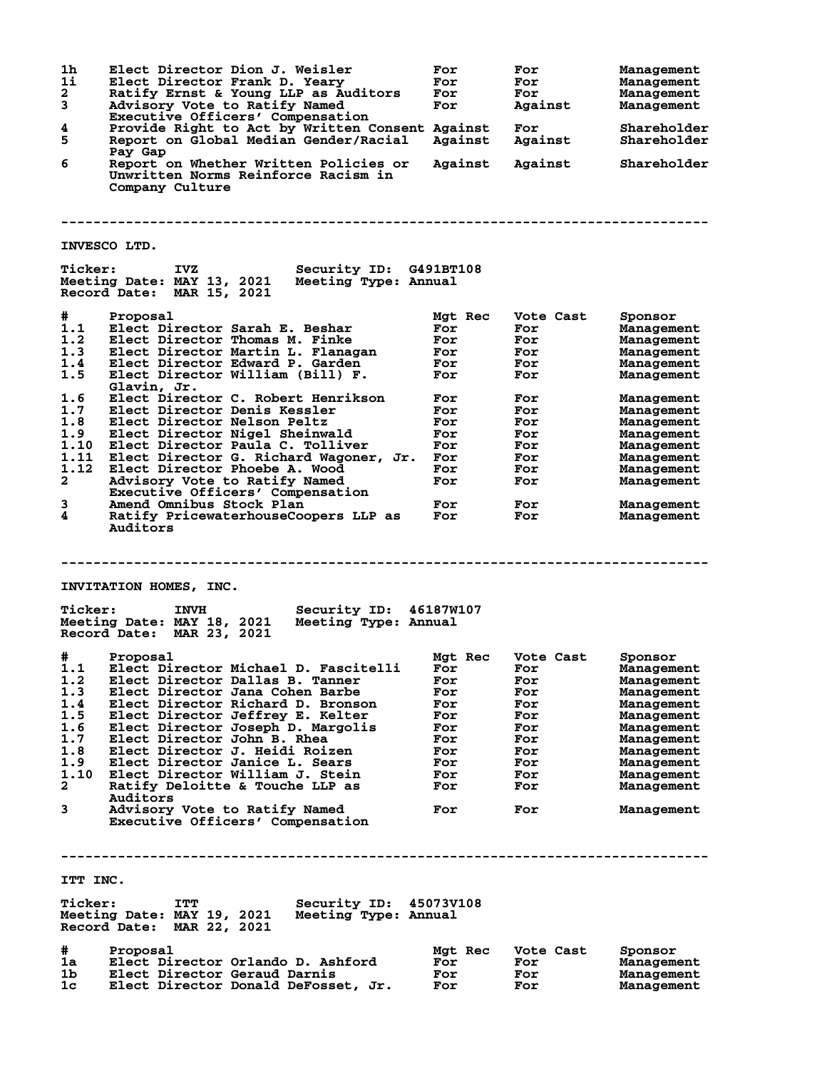**1h Elect Director Dion J. Weisler For For Management 1i Elect Director Frank D. Yeary For For Management 2 Ratify Ernst & Young LLP as Auditors For For Management 3 Advisory Vote to Ratify Named For Against Management Executive Officers' Compensation 4 Provide Right to Act by Written Consent Against For Shareholder 5 Report on Global Median Gender/Racial Against Against Shareholder Pay Gap 6 Report on Whether Written Policies or Against Against Shareholder Unwritten Norms Reinforce Racism in Company Culture -------------------------------------------------------------------------------- INVESCO LTD. Ticker: IVZ Security ID: G491BT108 Meeting Date: MAY 13, 2021 Meeting Type: Annual Record Date: MAR 15, 2021 # Proposal Mgt Rec Vote Cast Sponsor 1.1 Elect Director Sarah E. Beshar For For Management 1.2 Elect Director Thomas M. Finke For For Management 1.3 Elect Director Martin L. Flanagan For For Management 1.4 Elect Director Edward P. Garden For For Management 1.5 Elect Director William (Bill) F. For For Management Glavin, Jr. 1.6 Elect Director C. Robert Henrikson For For Management 1.7 Elect Director Denis Kessler For For Management 1.8 Elect Director Nelson Peltz For For Management 1.9 Elect Director Nigel Sheinwald For For Management 1.10 Elect Director Paula C. Tolliver For For Management 1.11 Elect Director G. Richard Wagoner, Jr. For For Management 1.12 Elect Director Phoebe A. Wood For For Management 2 Advisory Vote to Ratify Named For For Management Executive Officers' Compensation 3 Amend Omnibus Stock Plan For For Management 4 Ratify PricewaterhouseCoopers LLP as For For Management Auditors -------------------------------------------------------------------------------- INVITATION HOMES, INC. Ticker: INVH Security ID: 46187W107 Meeting Date: MAY 18, 2021 Meeting Type: Annual Record Date: MAR 23, 2021 # Proposal Mgt Rec Vote Cast Sponsor 1.1 Elect Director Michael D. Fascitelli For For Management 1.2 Elect Director Dallas B. Tanner For For Management 1.3 Elect Director Jana Cohen Barbe For For Management 1.4 Elect Director Richard D. Bronson For For Management 1.5 Elect Director Jeffrey E. Kelter For For Management 1.6 Elect Director Joseph D. Margolis For For Management 1.7 Elect Director John B. Rhea For For Management 1.8 Elect Director J. Heidi Roizen For For Management 1.9 Elect Director Janice L. Sears For For Management 1.10 Elect Director William J. Stein For For Management 2 Ratify Deloitte & Touche LLP as For For Management Auditors 3 Advisory Vote to Ratify Named For For Management Executive Officers' Compensation -------------------------------------------------------------------------------- ITT INC. Ticker: ITT Security ID: 45073V108 Meeting Date: MAY 19, 2021 Meeting Type: Annual Record Date: MAR 22, 2021 # Proposal Mgt Rec Vote Cast Sponsor 1a Elect Director Orlando D. Ashford For For Management 1b Elect Director Geraud Darnis For For Management 1c Elect Director Donald DeFosset, Jr. For For Management**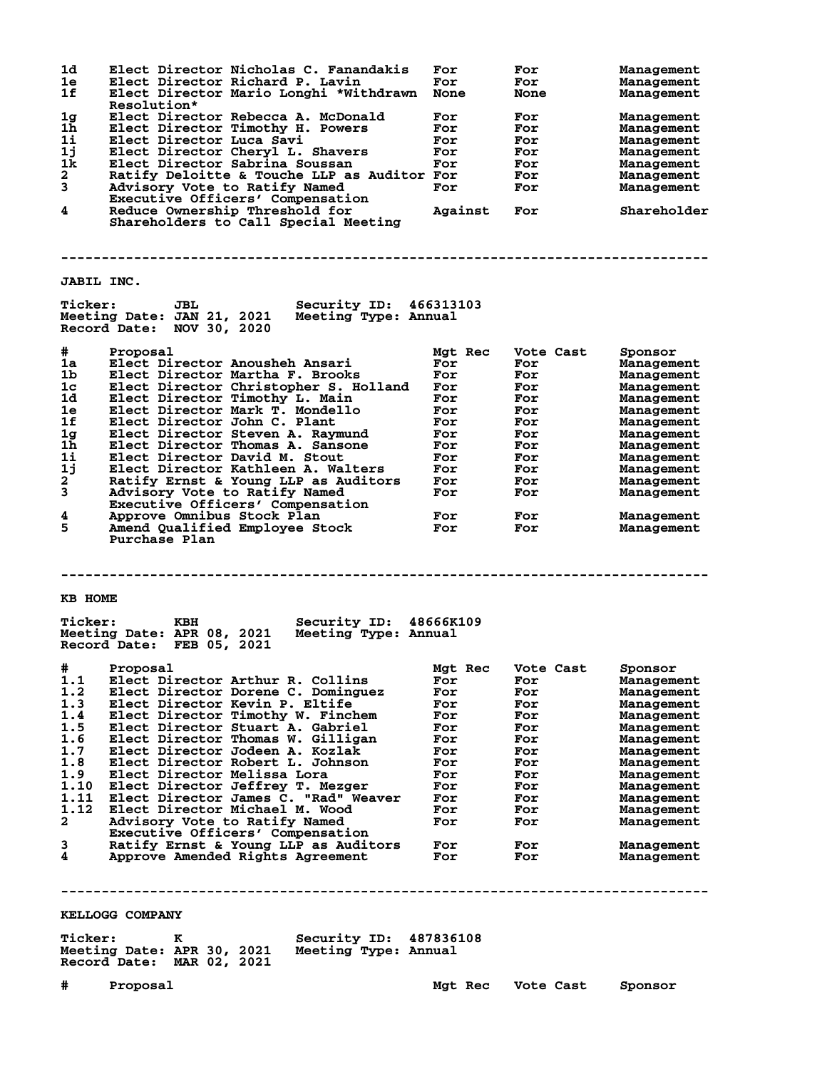| 1d                  | Elect Director Nicholas C. Fanandakis                                           | For     | For         | <b>Management</b> |
|---------------------|---------------------------------------------------------------------------------|---------|-------------|-------------------|
| 1e                  | Elect Director Richard P. Lavin                                                 | For     | For         | <b>Management</b> |
| 1f                  | Elect Director Mario Longhi *Withdrawn                                          | None    | <b>None</b> | Management        |
|                     | <b>Resolution*</b>                                                              |         |             |                   |
| 1 <sub>g</sub>      | Elect Director Rebecca A. McDonald                                              | For     | For         | Management        |
| 1h<br>11            | Elect Director Timothy H. Powers                                                | For     | For         | <b>Management</b> |
|                     | Elect Director Luca Savi                                                        | For     | For         | Management        |
| 1j<br>1k            | Elect Director Cheryl L. Shavers<br>Elect Director Sabrina Soussan              | For     | For         | <b>Management</b> |
|                     |                                                                                 | For     | For         | Management        |
| $\mathbf{2}$        | Ratify Deloitte & Touche LLP as Auditor For                                     |         | For         | <b>Management</b> |
| 3                   | Advisory Vote to Ratify Named                                                   | For     | For         | <b>Management</b> |
| 4                   | Executive Officers' Compensation                                                |         |             | Shareholder       |
|                     | Reduce Ownership Threshold for<br>Shareholders to Call Special Meeting          | Against | For         |                   |
|                     |                                                                                 |         |             |                   |
|                     |                                                                                 |         |             |                   |
|                     |                                                                                 |         |             |                   |
|                     |                                                                                 |         |             |                   |
| <b>JABIL INC.</b>   |                                                                                 |         |             |                   |
|                     |                                                                                 |         |             |                   |
| <b>Ticker:</b>      | Security ID: 466313103<br>JBL                                                   |         |             |                   |
|                     | Meeting Date: JAN 21, 2021<br>Meeting Type: Annual                              |         |             |                   |
|                     | Record Date: NOV 30, 2020                                                       |         |             |                   |
|                     |                                                                                 |         |             |                   |
| #                   | Proposal                                                                        | Mgt Rec | Vote Cast   | Sponsor           |
| 1a                  | Elect Director Anousheh Ansari                                                  | For     | For         | <b>Management</b> |
| 1b                  | Elect Director Martha F. Brooks                                                 | For     | For         | <b>Management</b> |
| 1 <sub>c</sub>      | Elect Director Christopher S. Holland                                           | For     | For         | <b>Management</b> |
| 1d                  | Elect Director Timothy L. Main                                                  | For     | For         | Management        |
| 1e                  | Elect Director Mark T. Mondello                                                 | For     | For         | Management        |
| 1f                  | Elect Director John C. Plant                                                    | For     | For         | Management        |
| 1g                  | Elect Director Steven A. Raymund                                                | For     | For         | Management        |
| 1 <sub>h</sub>      | Elect Director Thomas A. Sansone                                                | For     | For         |                   |
|                     |                                                                                 |         |             | Management        |
| $1\,\mathrm{i}$     | Elect Director David M. Stout                                                   | For     | For         | Management        |
| 1j                  | Elect Director Kathleen A. Walters                                              | For     | For         | Management        |
| 2                   | Ratify Ernst & Young LLP as Auditors                                            | For     | For         | Management        |
| 3                   | Advisory Vote to Ratify Named                                                   | For     | For         | Management        |
|                     | Executive Officers' Compensation                                                |         |             |                   |
| 4                   | Approve Omnibus Stock Plan                                                      | For     | For         | Management        |
| 5                   | Amend Qualified Employee Stock                                                  | For     | For         | Management        |
|                     | Purchase Plan                                                                   |         |             |                   |
|                     |                                                                                 |         |             |                   |
|                     |                                                                                 |         |             |                   |
|                     |                                                                                 |         |             |                   |
|                     |                                                                                 |         |             |                   |
|                     |                                                                                 |         |             |                   |
| KB HOME             |                                                                                 |         |             |                   |
|                     |                                                                                 |         |             |                   |
| <b>Ticker:</b>      | Security ID: 48666K109<br>KBH                                                   |         |             |                   |
|                     | Meeting Date: APR 08, 2021<br>Meeting Type: Annual                              |         |             |                   |
|                     | Record Date: FEB 05, 2021                                                       |         |             |                   |
|                     |                                                                                 |         |             |                   |
|                     |                                                                                 |         |             |                   |
| #                   | Proposal                                                                        | Mgt Rec | Vote Cast   | Sponsor           |
| 1.1                 | Elect Director Arthur R. Collins                                                | For     | For         | <b>Management</b> |
| 1.2                 | Elect Director Dorene C. Dominguez                                              | For     | For         | <b>Management</b> |
| 1.3                 | Elect Director Kevin P. Eltife                                                  | For     | For         | Management        |
| 1.4                 | Elect Director Timothy W. Finchem                                               | For     | For         | Management        |
| 1.5                 | Elect Director Stuart A. Gabriel                                                | For     | For         | <b>Management</b> |
|                     | Elect Director Thomas W. Gilligan                                               | For     | For         | Management        |
| 1.6<br>1.7          | Elect Director Jodeen A. Kozlak                                                 | For     | For         | <b>Management</b> |
| 1.8                 | Elect Director Robert L. Johnson                                                | For     | For         | <b>Management</b> |
| 1.9                 | Elect Director Melissa Lora                                                     | For     | For         | <b>Management</b> |
| 1.10                | Elect Director Jeffrey T. Mezger                                                | For     | For         | Management        |
| 1.11                |                                                                                 | For     | For         | Management        |
| 1.12                | Elect Director James C. "Rad" Weaver<br>Elect Director Michael M. Wood          | For     | For         | <b>Management</b> |
| $\mathbf{2}$        | Advisory Vote to Ratify Named                                                   | For     | For         |                   |
|                     |                                                                                 |         |             | Management        |
|                     | Executive Officers' Compensation                                                |         |             |                   |
| 3                   | Ratify Ernst & Young LLP as Auditors                                            | For     | For         | Management        |
| 4                   | Approve Amended Rights Agreement                                                | For     | For         | Management        |
|                     |                                                                                 |         |             |                   |
|                     |                                                                                 |         |             |                   |
|                     |                                                                                 |         |             |                   |
|                     | KELLOGG COMPANY                                                                 |         |             |                   |
|                     |                                                                                 |         |             |                   |
|                     | Security ID: 487836108<br>к                                                     |         |             |                   |
|                     |                                                                                 |         |             |                   |
|                     | Meeting Date: APR 30, 2021<br>Meeting Type: Annual<br>Record Date: MAR 02, 2021 |         |             |                   |
|                     |                                                                                 |         |             |                   |
| <b>Ticker:</b><br># | Proposal                                                                        | Mgt Rec | Vote Cast   | Sponsor           |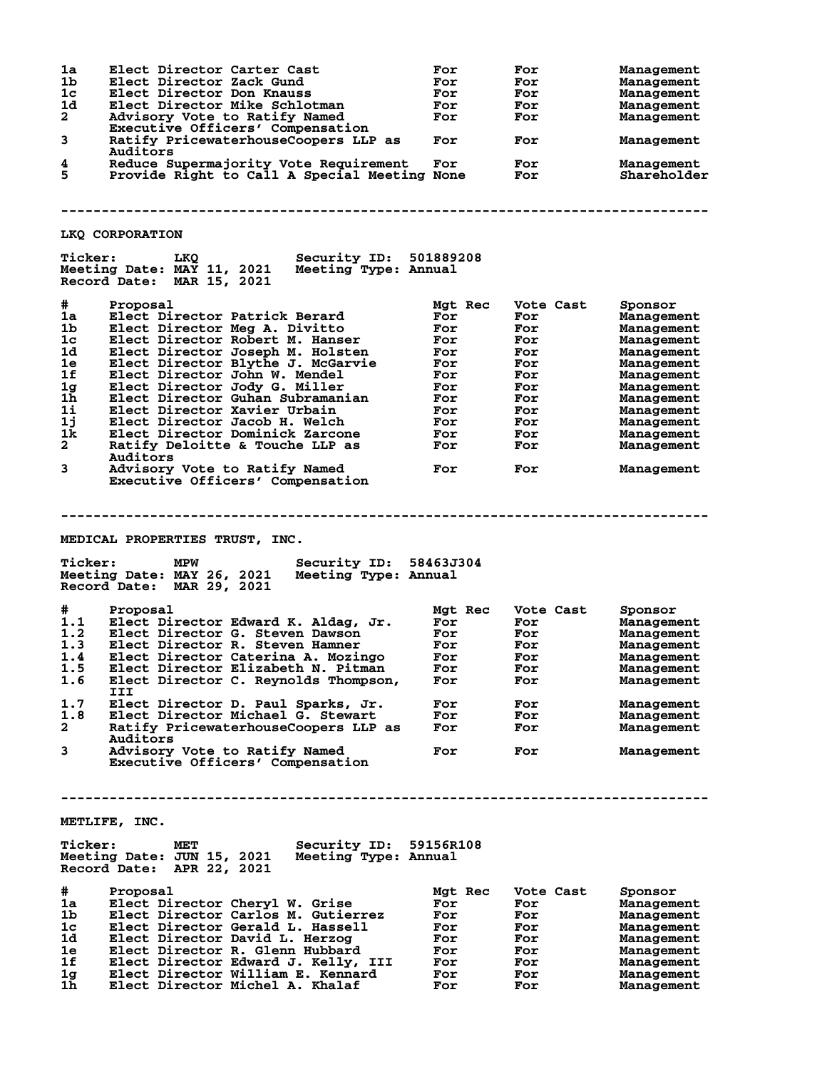| 1a             | Elect Director Carter Cast                         | For       | For       | Management  |
|----------------|----------------------------------------------------|-----------|-----------|-------------|
|                |                                                    |           |           |             |
| 1b             | Elect Director Zack Gund                           | For       | For       | Management  |
| 1c             | Elect Director Don Knauss                          | For       | For       | Management  |
| 1d             | Elect Director Mike Schlotman                      | For       | For       | Management  |
|                |                                                    |           |           |             |
| $\overline{a}$ | Advisory Vote to Ratify Named                      | For       | For       | Management  |
|                | Executive Officers' Compensation                   |           |           |             |
| 3              | Ratify PricewaterhouseCoopers LLP as               |           |           |             |
|                |                                                    | For       | For       | Management  |
|                | Auditors                                           |           |           |             |
| 4              | Reduce Supermajority Vote Requirement              | For       | For       | Management  |
|                |                                                    |           |           |             |
| 5              | Provide Right to Call A Special Meeting None       |           | For       | Shareholder |
|                |                                                    |           |           |             |
|                |                                                    |           |           |             |
|                |                                                    |           |           |             |
|                |                                                    |           |           |             |
|                |                                                    |           |           |             |
|                |                                                    |           |           |             |
|                | LKQ CORPORATION                                    |           |           |             |
|                |                                                    |           |           |             |
| <b>Ticker:</b> | <b>Security ID: 501889208</b><br>LKQ               |           |           |             |
|                |                                                    |           |           |             |
|                | Meeting Date: MAY 11, 2021<br>Meeting Type: Annual |           |           |             |
|                | Record Date: MAR 15, 2021                          |           |           |             |
|                |                                                    |           |           |             |
|                |                                                    |           |           |             |
| #              | Proposal                                           | Mgt Rec   | Vote Cast | Sponsor     |
| 1a             |                                                    | For       |           |             |
|                | Elect Director Patrick Berard                      |           | For       | Management  |
| 1 <sub>b</sub> | Elect Director Meg A. Divitto                      | For       | For       | Management  |
| 1 <sub>c</sub> | Elect Director Robert M. Hanser                    | For       | For       | Management  |
|                |                                                    |           |           |             |
| 1d             | Elect Director Joseph M. Holsten                   | For       | For       | Management  |
| 1e             | Elect Director Blythe J. McGarvie                  | For       | For       | Management  |
|                |                                                    |           |           |             |
| 1f             | Elect Director John W. Mendel                      | For       | For       | Management  |
| 1g             | Elect Director Jody G. Miller                      | For       | For       | Management  |
|                |                                                    |           |           |             |
| 1h             | Elect Director Guhan Subramanian                   | For       | For       | Management  |
| $1\mathbf{i}$  | Elect Director Xavier Urbain                       | For       | For       | Management  |
| 1j             |                                                    | For       |           |             |
|                | Elect Director Jacob H. Welch                      |           | For       | Management  |
| 1k             | Elect Director Dominick Zarcone                    | For       | For       | Management  |
| $\mathbf{2}$   | Ratify Deloitte & Touche LLP as                    | For       | For       | Management  |
|                |                                                    |           |           |             |
|                | Auditors                                           |           |           |             |
| 3              | Advisory Vote to Ratify Named                      | For       | For       | Management  |
|                |                                                    |           |           |             |
|                | Executive Officers' Compensation                   |           |           |             |
|                |                                                    |           |           |             |
|                |                                                    |           |           |             |
|                |                                                    |           |           |             |
|                |                                                    |           |           |             |
|                |                                                    |           |           |             |
|                |                                                    |           |           |             |
|                |                                                    |           |           |             |
|                |                                                    |           |           |             |
|                | <b>MEDICAL PROPERTIES TRUST, INC.</b>              |           |           |             |
|                |                                                    |           |           |             |
|                |                                                    |           |           |             |
| <b>Ticker:</b> | MPW<br><b>Security ID:</b>                         | 58463J304 |           |             |
|                | Meeting Date: MAY 26, 2021<br>Meeting Type: Annual |           |           |             |
|                |                                                    |           |           |             |
|                | Record Date: MAR 29, 2021                          |           |           |             |
|                |                                                    |           |           |             |
|                |                                                    |           |           |             |
| #              | Proposal                                           | Mgt Rec   | Vote Cast | Sponsor     |
| 1.1            | Elect Director Edward K. Aldag, Jr.                | For       | For       | Management  |
| 1.2            |                                                    | For       | For       |             |
|                | Elect Director G. Steven Dawson                    |           |           | Management  |
| 1.3            | Elect Director R. Steven Hamner                    | For       | For       | Management  |
| 1.4            |                                                    | For       | For       | Management  |
|                | Elect Director Caterina A. Mozingo                 |           |           |             |
| 1.5            | Elect Director Elizabeth N. Pitman                 | For       | For       | Management  |
| 1.6            | Elect Director C. Reynolds Thompson,               | For       | For       | Management  |
|                | III                                                |           |           |             |
|                |                                                    |           |           |             |
| 1.7            | Elect Director D. Paul Sparks, Jr.                 | For       | For       | Management  |
|                |                                                    |           |           |             |
| 1.8            | Elect Director Michael G. Stewart                  | For       | For       | Management  |
| 2              | Ratify PricewaterhouseCoopers LLP as               | For       | For       | Management  |
|                | Auditors                                           |           |           |             |
|                |                                                    |           |           |             |
| 3              | Advisory Vote to Ratify Named                      | For       | For       | Management  |
|                | Executive Officers' Compensation                   |           |           |             |
|                |                                                    |           |           |             |
|                |                                                    |           |           |             |
|                |                                                    |           |           |             |
|                |                                                    |           |           |             |
|                |                                                    |           |           |             |
|                |                                                    |           |           |             |
|                |                                                    |           |           |             |
|                | METLIFE, INC.                                      |           |           |             |
|                |                                                    |           |           |             |
| <b>Ticker:</b> | MET                                                | 59156R108 |           |             |
|                | <b>Security ID:</b>                                |           |           |             |
|                | Meeting Date: JUN 15, 2021<br>Meeting Type: Annual |           |           |             |
|                |                                                    |           |           |             |
|                | Record Date: APR 22, 2021                          |           |           |             |
|                |                                                    |           |           |             |
| #              | Proposal                                           | Mgt Rec   | Vote Cast | Sponsor     |
|                |                                                    |           |           |             |
| 1a             | Elect Director Cheryl W. Grise                     | For       | For       | Management  |
| 1b             | Elect Director Carlos M. Gutierrez                 | For       | For       | Management  |
|                |                                                    |           |           |             |
| $1\mathrm{c}$  | Elect Director Gerald L. Hassell                   | For       | For       | Management  |
| 1d.            | Elect Director David L. Herzog                     | For       | For       | Management  |
|                |                                                    |           |           |             |
| 1e             | Elect Director R. Glenn Hubbard                    | For       | For       | Management  |
| 1f             | Elect Director Edward J. Kelly, III                | For       | For       | Management  |
|                | Elect Director William E. Kennard                  | For       | For       | Management  |
| 1g<br>1h       | Elect Director Michel A. Khalaf                    | For       | For       | Management  |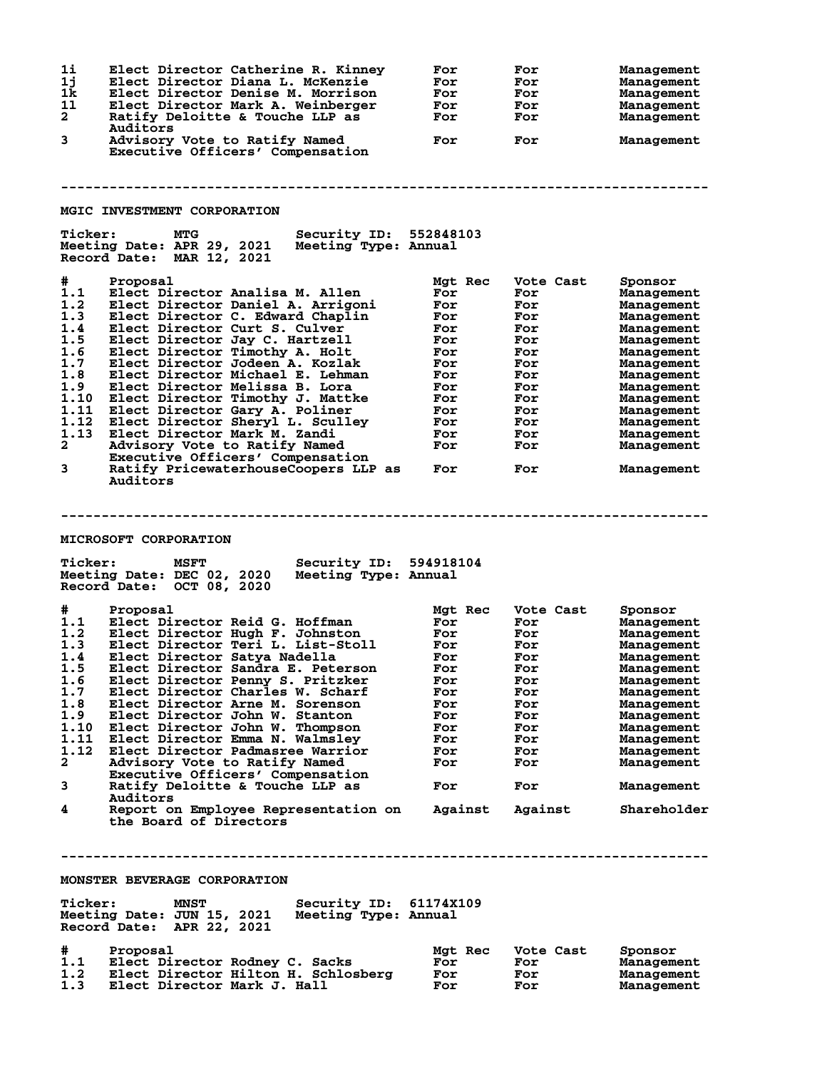| 11<br>1j<br>1k<br>11<br>$\overline{a}$<br>3<br><b>Ticker:</b>                                                         | Elect Director Catherine R. Kinney<br>Elect Director Diana L. McKenzie<br>Elect Director Denise M. Morrison<br>Elect Director Mark A. Weinberger<br>Ratify Deloitte & Touche LLP as<br>Auditors<br>Advisory Vote to Ratify Named<br>Executive Officers' Compensation<br>MGIC INVESTMENT CORPORATION<br>Security ID: 552848103<br><b>MTG</b>                                                                                                                                                                                                                                                                                          | For<br>For<br>For<br>For<br>For<br>For                                                                               | For<br>For<br>For<br>For<br>For<br>For                                                                                 | Management<br>Management<br>Management<br>Management<br>Management<br>Management                                                                                                                                           |
|-----------------------------------------------------------------------------------------------------------------------|--------------------------------------------------------------------------------------------------------------------------------------------------------------------------------------------------------------------------------------------------------------------------------------------------------------------------------------------------------------------------------------------------------------------------------------------------------------------------------------------------------------------------------------------------------------------------------------------------------------------------------------|----------------------------------------------------------------------------------------------------------------------|------------------------------------------------------------------------------------------------------------------------|----------------------------------------------------------------------------------------------------------------------------------------------------------------------------------------------------------------------------|
|                                                                                                                       | Meeting Date: APR 29, 2021<br>Meeting Type: Annual<br>Record Date: MAR 12, 2021                                                                                                                                                                                                                                                                                                                                                                                                                                                                                                                                                      |                                                                                                                      |                                                                                                                        |                                                                                                                                                                                                                            |
| #<br>1.1<br>1.2<br>1.3<br>1.4<br>1.5<br>1.6<br>1.7<br>1.8<br>1.9<br>1.10<br>1.11<br>1.12<br>1.13<br>$\mathbf{2}$<br>3 | Proposal<br>Elect Director Analisa M. Allen<br>Elect Director Daniel A. Arrigoni<br>Elect Director C. Edward Chaplin<br>Elect Director Curt S. Culver<br>Elect Director Jay C. Hartzell<br>Elect Director Timothy A. Holt<br>Elect Director Jodeen A. Kozlak<br>Elect Director Michael E. Lehman<br>Elect Director Melissa B. Lora<br>Elect Director Timothy J. Mattke<br>Elect Director Gary A. Poliner<br>Elect Director Sheryl L. Sculley<br>Elect Director Mark M. Zandi<br>Advisory Vote to Ratify Named<br>Executive Officers' Compensation<br>Ratify PricewaterhouseCoopers LLP as<br>Auditors                                | Mgt Rec<br>For<br>For<br>For<br>For<br>For<br>For<br>For<br>For<br>For<br>For<br>For<br>For<br>For<br>For<br>For     | Vote Cast<br>For<br>For<br>For<br>For<br>For<br>For<br>For<br>For<br>For<br>For<br>For<br>For<br>For<br>For<br>For     | Sponsor<br>Management<br>Management<br>Management<br>Management<br>Management<br>Management<br>Management<br>Management<br>Management<br>Management<br>Management<br>Management<br>Management<br>Management<br>Management  |
|                                                                                                                       |                                                                                                                                                                                                                                                                                                                                                                                                                                                                                                                                                                                                                                      |                                                                                                                      |                                                                                                                        |                                                                                                                                                                                                                            |
| <b>Ticker:</b>                                                                                                        | MICROSOFT CORPORATION<br><b>Security ID:</b><br><b>MSFT</b><br>Meeting Date: DEC 02, 2020<br>Meeting Type: Annual<br>Record Date: OCT 08, 2020                                                                                                                                                                                                                                                                                                                                                                                                                                                                                       | 594918104                                                                                                            |                                                                                                                        |                                                                                                                                                                                                                            |
| #<br>1.1<br>1.2<br>1.3<br>1.4<br>1.5<br>1.6<br>1.7<br>1.8<br>1.9<br>1.10<br>1.11<br>1.12<br>$\mathbf{2}$<br>3<br>4    | Proposal<br>Elect Director Reid G. Hoffman<br>Elect Director Hugh F. Johnston<br>Elect Director Teri L. List-Stoll<br>Elect Director Satya Nadella<br>Elect Director Sandra E. Peterson<br>Elect Director Penny S. Pritzker<br>Elect Director Charles W. Scharf<br>Elect Director Arne M. Sorenson<br>Elect Director John W. Stanton<br>Elect Director John W. Thompson<br>Elect Director Emma N. Walmsley<br>Elect Director Padmasree Warrior<br>Advisory Vote to Ratify Named<br>Executive Officers' Compensation<br>Ratify Deloitte & Touche LLP as<br>Auditors<br>Report on Employee Representation on<br>the Board of Directors | Mgt Rec<br>For<br>For<br>For<br>For<br>For<br>For<br>For<br>For<br>For<br>For<br>For<br>For<br>For<br>For<br>Against | Vote Cast<br>For<br>For<br>For<br>For<br>For<br>For<br>For<br>For<br>For<br>For<br>For<br>For<br>For<br>For<br>Against | Sponsor<br>Management<br>Management<br>Management<br>Management<br>Management<br>Management<br>Management<br>Management<br>Management<br>Management<br>Management<br>Management<br>Management<br>Management<br>Shareholder |
| <b>Ticker:</b>                                                                                                        | MONSTER BEVERAGE CORPORATION<br>Security ID: 61174X109<br><b>MNST</b><br>Meeting Date: JUN 15, 2021<br>Meeting Type: Annual<br>Record Date: APR 22, 2021                                                                                                                                                                                                                                                                                                                                                                                                                                                                             |                                                                                                                      |                                                                                                                        |                                                                                                                                                                                                                            |
| #<br>1.1<br>1.2<br>1.3                                                                                                | Proposal<br>Elect Director Rodney C. Sacks<br>Elect Director Hilton H. Schlosberg<br>Elect Director Mark J. Hall                                                                                                                                                                                                                                                                                                                                                                                                                                                                                                                     | Mgt Rec<br>For<br>For<br>For                                                                                         | Vote Cast<br>For<br>For<br>For                                                                                         | Sponsor<br>Management<br>Management<br>Management                                                                                                                                                                          |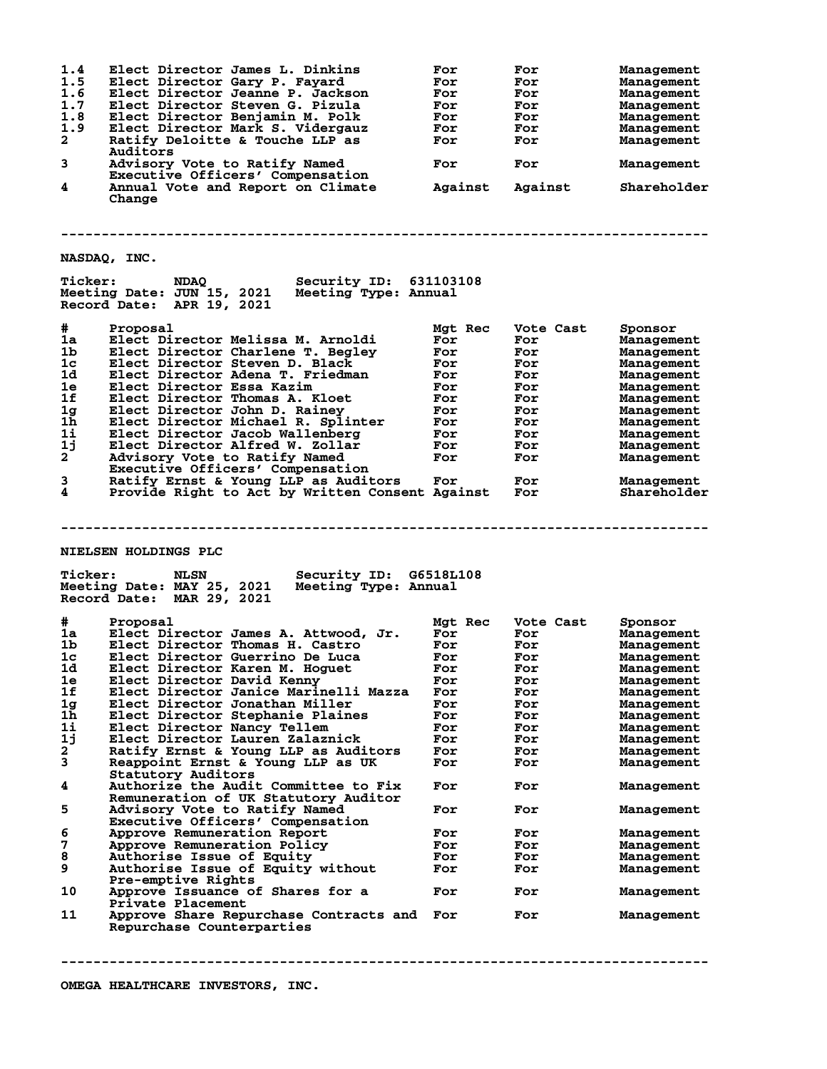| 1.4<br>1.5<br>1.6<br>1.7<br>1.8<br>1.9<br>2<br>3<br>4 | Elect Director James L. Dinkins<br>Elect Director Gary P. Fayard<br>Elect Director Jeanne P. Jackson<br>Elect Director Steven G. Pizula<br>Elect Director Benjamin M. Polk<br>Elect Director Mark S. Vidergauz<br>Ratify Deloitte & Touche LLP as<br>Auditors<br>Advisory Vote to Ratify Named<br>Executive Officers' Compensation<br>Annual Vote and Report on Climate<br>Change | For<br>For<br>For<br>For<br>For<br>For<br>For<br>For<br>Against | For<br>For<br>For<br>For<br>For<br>For<br>For<br>For<br>Against | Management<br>Management<br>Management<br>Management<br>Management<br>Management<br>Management<br>Management<br>Shareholder |
|-------------------------------------------------------|-----------------------------------------------------------------------------------------------------------------------------------------------------------------------------------------------------------------------------------------------------------------------------------------------------------------------------------------------------------------------------------|-----------------------------------------------------------------|-----------------------------------------------------------------|-----------------------------------------------------------------------------------------------------------------------------|
|                                                       | NASDAQ, INC.                                                                                                                                                                                                                                                                                                                                                                      |                                                                 |                                                                 |                                                                                                                             |
| <b>Ticker:</b>                                        | <b>Security ID: 631103108</b><br><b>NDAQ</b><br>Meeting Date: JUN 15, 2021<br>Meeting Type: Annual<br>Record Date: APR 19, 2021                                                                                                                                                                                                                                                   |                                                                 |                                                                 |                                                                                                                             |
| #                                                     | Proposal                                                                                                                                                                                                                                                                                                                                                                          | Mgt Rec                                                         | Vote Cast                                                       | Sponsor                                                                                                                     |
| 1a                                                    | Elect Director Melissa M. Arnoldi                                                                                                                                                                                                                                                                                                                                                 | For                                                             | For                                                             | Management                                                                                                                  |
| 1b                                                    | Elect Director Charlene T. Begley                                                                                                                                                                                                                                                                                                                                                 | For                                                             | For                                                             | Management                                                                                                                  |
| 1 <sub>c</sub>                                        | Elect Director Steven D. Black                                                                                                                                                                                                                                                                                                                                                    | For                                                             | For                                                             | Management                                                                                                                  |
| 1d                                                    | Elect Director Adena T. Friedman                                                                                                                                                                                                                                                                                                                                                  | For                                                             | For                                                             | Management                                                                                                                  |
| 1e                                                    | Elect Director Essa Kazim                                                                                                                                                                                                                                                                                                                                                         | For                                                             | For                                                             | Management                                                                                                                  |
| 1f                                                    | Elect Director Thomas A. Kloet                                                                                                                                                                                                                                                                                                                                                    | For                                                             | For                                                             | Management                                                                                                                  |
| 1 <sub>g</sub>                                        | Elect Director John D. Rainey                                                                                                                                                                                                                                                                                                                                                     | For                                                             | For                                                             | Management                                                                                                                  |
| $1\overline{h}$                                       | Elect Director Michael R. Splinter                                                                                                                                                                                                                                                                                                                                                | For                                                             | For                                                             | Management                                                                                                                  |
| 1i                                                    | Elect Director Jacob Wallenberg                                                                                                                                                                                                                                                                                                                                                   | For                                                             | For                                                             | Management                                                                                                                  |
| 1j                                                    | Elect Director Alfred W. Zollar                                                                                                                                                                                                                                                                                                                                                   | For                                                             | For                                                             | Management                                                                                                                  |
| $\mathbf{2}$                                          | Advisory Vote to Ratify Named                                                                                                                                                                                                                                                                                                                                                     | For                                                             | For                                                             | Management                                                                                                                  |
|                                                       | Executive Officers' Compensation                                                                                                                                                                                                                                                                                                                                                  |                                                                 |                                                                 |                                                                                                                             |
| 3                                                     | Ratify Ernst & Young LLP as Auditors                                                                                                                                                                                                                                                                                                                                              | For                                                             | For                                                             | Management                                                                                                                  |
| 4                                                     | Provide Right to Act by Written Consent Against                                                                                                                                                                                                                                                                                                                                   |                                                                 | For                                                             | Shareholder                                                                                                                 |
| <b>Ticker:</b>                                        | NIELSEN HOLDINGS PLC<br>Security ID: G6518L108<br><b>NLSN</b><br>Meeting Date: MAY 25, 2021<br>Meeting Type: Annual<br>Record Date: MAR 29, 2021                                                                                                                                                                                                                                  |                                                                 |                                                                 |                                                                                                                             |
|                                                       |                                                                                                                                                                                                                                                                                                                                                                                   |                                                                 |                                                                 |                                                                                                                             |
| #                                                     | Proposal                                                                                                                                                                                                                                                                                                                                                                          | Mgt Rec                                                         | Vote Cast                                                       | Sponsor                                                                                                                     |
| 1a                                                    | Elect Director James A. Attwood, Jr.                                                                                                                                                                                                                                                                                                                                              | For                                                             | For                                                             | Management                                                                                                                  |
| 1b.<br>1c                                             | Elect Director Thomas H. Castro                                                                                                                                                                                                                                                                                                                                                   | For                                                             | For                                                             | Management                                                                                                                  |
|                                                       | Elect Director Guerrino De Luca<br>Elect Director Karen M. Hoguet                                                                                                                                                                                                                                                                                                                 | For<br>For                                                      | For                                                             | Management                                                                                                                  |
| 1d<br>1e                                              | Elect Director David Kenny                                                                                                                                                                                                                                                                                                                                                        | For                                                             | For                                                             | Management                                                                                                                  |
| 1f                                                    | Elect Director Janice Marinelli Mazza                                                                                                                                                                                                                                                                                                                                             | For                                                             | For<br>For                                                      | Management<br>Management                                                                                                    |
|                                                       |                                                                                                                                                                                                                                                                                                                                                                                   | For                                                             |                                                                 |                                                                                                                             |
| 1 <sub>g</sub><br>1h                                  | Elect Director Jonathan Miller<br>Elect Director Stephanie Plaines                                                                                                                                                                                                                                                                                                                | For                                                             | For                                                             | Management                                                                                                                  |
| 1i                                                    | Elect Director Nancy Tellem                                                                                                                                                                                                                                                                                                                                                       | For                                                             | For<br>For                                                      | Management                                                                                                                  |
| 1j                                                    | Elect Director Lauren Zalaznick                                                                                                                                                                                                                                                                                                                                                   | For                                                             | For                                                             | Management<br>Management                                                                                                    |
| $\mathbf{2}$                                          | Ratify Ernst & Young LLP as Auditors                                                                                                                                                                                                                                                                                                                                              | For                                                             | For                                                             | Management                                                                                                                  |
| 3                                                     | Reappoint Ernst & Young LLP as UK                                                                                                                                                                                                                                                                                                                                                 | For                                                             | For                                                             | Management                                                                                                                  |
|                                                       | Statutory Auditors                                                                                                                                                                                                                                                                                                                                                                |                                                                 |                                                                 |                                                                                                                             |
| 4                                                     | Authorize the Audit Committee to Fix<br>Remuneration of UK Statutory Auditor                                                                                                                                                                                                                                                                                                      | For                                                             | For                                                             | Management                                                                                                                  |
| 5                                                     | Advisory Vote to Ratify Named<br>Executive Officers' Compensation                                                                                                                                                                                                                                                                                                                 | For                                                             | For                                                             | Management                                                                                                                  |
| 6                                                     | Approve Remuneration Report                                                                                                                                                                                                                                                                                                                                                       | For                                                             | For                                                             | Management                                                                                                                  |
| 7                                                     | Approve Remuneration Policy                                                                                                                                                                                                                                                                                                                                                       | For                                                             | For                                                             | Management                                                                                                                  |
| 8                                                     | <b>Authorise Issue of Equity</b>                                                                                                                                                                                                                                                                                                                                                  | For                                                             | For                                                             | Management                                                                                                                  |
| 9                                                     | Authorise Issue of Equity without                                                                                                                                                                                                                                                                                                                                                 | For                                                             | For                                                             | Management                                                                                                                  |
| 10                                                    | Pre-emptive Rights<br>Approve Issuance of Shares for a                                                                                                                                                                                                                                                                                                                            | For                                                             | For                                                             | Management                                                                                                                  |
|                                                       | Private Placement                                                                                                                                                                                                                                                                                                                                                                 |                                                                 |                                                                 |                                                                                                                             |
| 11                                                    | Approve Share Repurchase Contracts and<br>Repurchase Counterparties                                                                                                                                                                                                                                                                                                               | For                                                             | For                                                             | Management                                                                                                                  |

**--------------------------------------------------------------------------------**

**OMEGA HEALTHCARE INVESTORS, INC.**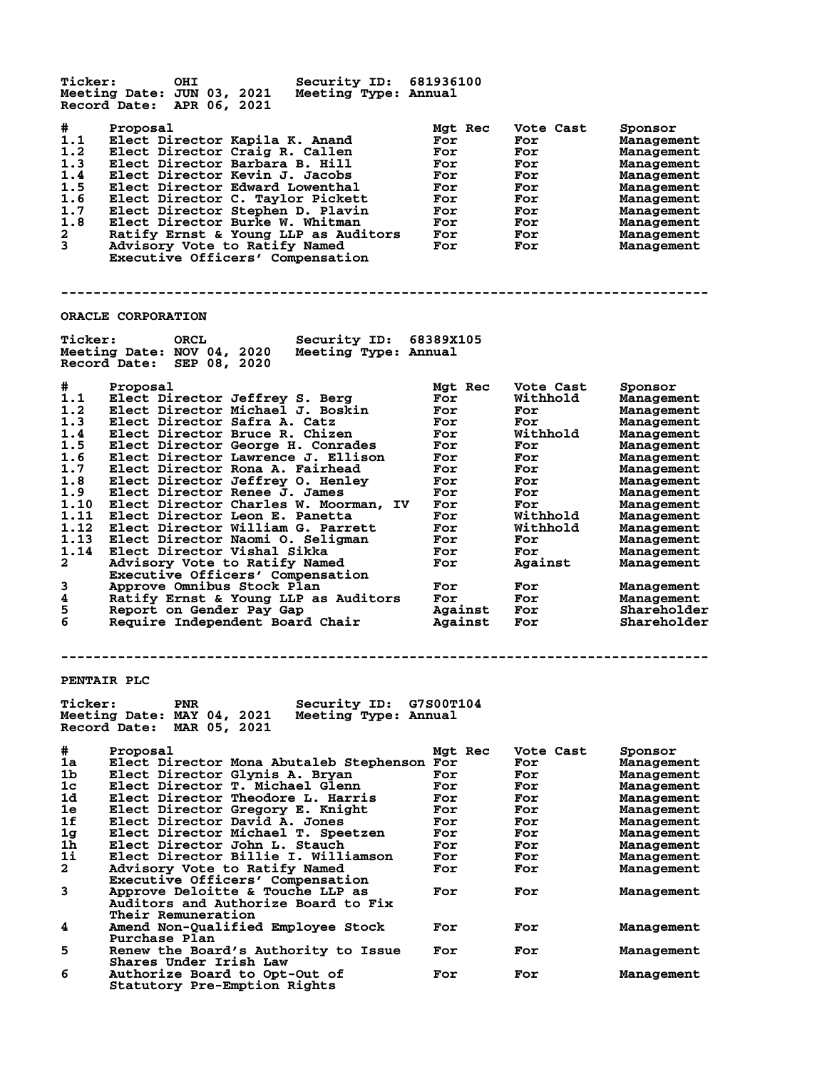| <b>Ticker:</b>                                                                                                                               | <b>OHI</b><br>Security ID: 681936100<br>Meeting Date: JUN 03, 2021<br>Meeting Type: Annual<br>Record Date: APR 06, 2021                                                                                                                                                                                                                                                                                                                                                                                                                                                                                                                                                                                                          |                                                                                                                                                      |                                                                                                                                                                        |                                                                                                                                                                                                                                                                                     |  |  |
|----------------------------------------------------------------------------------------------------------------------------------------------|----------------------------------------------------------------------------------------------------------------------------------------------------------------------------------------------------------------------------------------------------------------------------------------------------------------------------------------------------------------------------------------------------------------------------------------------------------------------------------------------------------------------------------------------------------------------------------------------------------------------------------------------------------------------------------------------------------------------------------|------------------------------------------------------------------------------------------------------------------------------------------------------|------------------------------------------------------------------------------------------------------------------------------------------------------------------------|-------------------------------------------------------------------------------------------------------------------------------------------------------------------------------------------------------------------------------------------------------------------------------------|--|--|
| #<br>1.1<br>1.2<br>1.3<br>1.4<br>1.5<br>1.6<br>1.7<br>1.8<br>2<br>3                                                                          | Proposal<br>Elect Director Kapila K. Anand<br>Elect Director Craig R. Callen<br>Elect Director Barbara B. Hill<br>Elect Director Kevin J. Jacobs<br>Elect Director Edward Lowenthal<br>Elect Director C. Taylor Pickett<br>Elect Director Stephen D. Plavin<br>Elect Director Burke W. Whitman<br>Ratify Ernst & Young LLP as Auditors<br>Advisory Vote to Ratify Named<br>Executive Officers' Compensation                                                                                                                                                                                                                                                                                                                      | Mgt Rec<br>For<br>For<br>For<br>For<br>For<br>For<br>For<br>For<br>For<br>For                                                                        | Vote Cast<br>For<br>For<br>For<br>For<br>For<br>For<br>For<br>For<br>For<br>For                                                                                        | Sponsor<br>Management<br>Management<br>Management<br>Management<br>Management<br>Management<br>Management<br>Management<br>Management<br>Management                                                                                                                                 |  |  |
|                                                                                                                                              | ORACLE CORPORATION                                                                                                                                                                                                                                                                                                                                                                                                                                                                                                                                                                                                                                                                                                               |                                                                                                                                                      |                                                                                                                                                                        |                                                                                                                                                                                                                                                                                     |  |  |
| <b>Ticker:</b>                                                                                                                               | ORCL<br>Security ID: 68389X105<br>Meeting Date: NOV 04, 2020<br>Meeting Type: Annual<br>Record Date: SEP 08, 2020                                                                                                                                                                                                                                                                                                                                                                                                                                                                                                                                                                                                                |                                                                                                                                                      |                                                                                                                                                                        |                                                                                                                                                                                                                                                                                     |  |  |
| #<br>1.1<br>1.2<br>1.3<br>1.4<br>1.5<br>1.6<br>1.7<br>1.8<br>1.9<br>1.10<br>1.11<br>1.12<br>1.13<br>1.14<br>2<br>3<br>4<br>5<br>6            | Proposal<br>Elect Director Jeffrey S. Berg<br>Elect Director Michael J. Boskin<br>Elect Director Safra A. Catz<br>Elect Director Bruce R. Chizen<br>Elect Director George H. Conrades<br>Elect Director Lawrence J. Ellison<br>Elect Director Rona A. Fairhead<br>Elect Director Jeffrey O. Henley<br>Elect Director Renee J. James<br>Elect Director Charles W. Moorman, IV<br>Elect Director Leon E. Panetta<br>Elect Director William G. Parrett<br>Elect Director Naomi O. Seligman<br>Elect Director Vishal Sikka<br>Advisory Vote to Ratify Named<br>Executive Officers' Compensation<br>Approve Omnibus Stock Plan<br>Ratify Ernst & Young LLP as Auditors<br>Report on Gender Pay Gap<br>Require Independent Board Chair | Mgt Rec<br>For<br>For<br>For<br>For<br>For<br>For<br>For<br>For<br>For<br>For<br>For<br>For<br>For<br>For<br>For<br>For<br>For<br>Against<br>Against | Vote Cast<br>Withhold<br>For<br>For<br>Withhold<br>For<br>For<br>For<br>For<br>For<br>For<br>Withhold<br>Withhold<br>For<br>For<br>Against<br>For<br>For<br>For<br>For | Sponsor<br>Management<br>Management<br>Management<br>Management<br>Management<br>Management<br>Management<br>Management<br>Management<br>Management<br>Management<br>Management<br>Management<br>Management<br>Management<br>Management<br>Management<br>Shareholder<br>Shareholder |  |  |
|                                                                                                                                              | PENTAIR PLC                                                                                                                                                                                                                                                                                                                                                                                                                                                                                                                                                                                                                                                                                                                      |                                                                                                                                                      |                                                                                                                                                                        |                                                                                                                                                                                                                                                                                     |  |  |
| <b>Ticker:</b><br>PNR<br><b>Security ID:</b><br>G7S00T104<br>Meeting Date: MAY 04, 2021<br>Meeting Type: Annual<br>Record Date: MAR 05, 2021 |                                                                                                                                                                                                                                                                                                                                                                                                                                                                                                                                                                                                                                                                                                                                  |                                                                                                                                                      |                                                                                                                                                                        |                                                                                                                                                                                                                                                                                     |  |  |
| #<br>1a<br>1b<br>1c<br>1d<br>1e<br>1f<br>1g<br>1h<br>1i<br>2                                                                                 | Proposal<br>Elect Director Mona Abutaleb Stephenson For<br>Elect Director Glynis A. Bryan<br>Elect Director T. Michael Glenn<br><b>Elect Director Theodore L. Harris</b><br>Elect Director Gregory E. Knight<br>Elect Director David A. Jones<br>Elect Director Michael T. Speetzen<br>Elect Director John L. Stauch<br>Elect Director Billie I. Williamson<br>Advisory Vote to Ratify Named<br>Executive Officers' Compensation                                                                                                                                                                                                                                                                                                 | Mgt Rec<br>For<br>For<br>For<br>For<br>For<br>For<br>For<br>For<br>For                                                                               | Vote Cast<br>For<br>For<br>For<br>For<br>For<br>For<br>For<br>For<br>For<br>For                                                                                        | Sponsor<br>Management<br>Management<br>Management<br>Management<br>Management<br>Management<br>Management<br>Management<br>Management<br>Management                                                                                                                                 |  |  |
| 3                                                                                                                                            | Approve Deloitte & Touche LLP as<br><b>Auditors and Authorize Board to Fix</b><br>Their Remuneration                                                                                                                                                                                                                                                                                                                                                                                                                                                                                                                                                                                                                             | For                                                                                                                                                  | For                                                                                                                                                                    | Management                                                                                                                                                                                                                                                                          |  |  |
| 4                                                                                                                                            | Amend Non-Qualified Employee Stock<br><b>Purchase Plan</b>                                                                                                                                                                                                                                                                                                                                                                                                                                                                                                                                                                                                                                                                       | For                                                                                                                                                  | For                                                                                                                                                                    | Management                                                                                                                                                                                                                                                                          |  |  |
| 5                                                                                                                                            | Renew the Board's Authority to Issue<br>Shares Under Irish Law                                                                                                                                                                                                                                                                                                                                                                                                                                                                                                                                                                                                                                                                   | For                                                                                                                                                  | For                                                                                                                                                                    | Management                                                                                                                                                                                                                                                                          |  |  |
| 6                                                                                                                                            | Authorize Board to Opt-Out of<br>Statutory Pre-Emption Rights                                                                                                                                                                                                                                                                                                                                                                                                                                                                                                                                                                                                                                                                    | For                                                                                                                                                  | For                                                                                                                                                                    | Management                                                                                                                                                                                                                                                                          |  |  |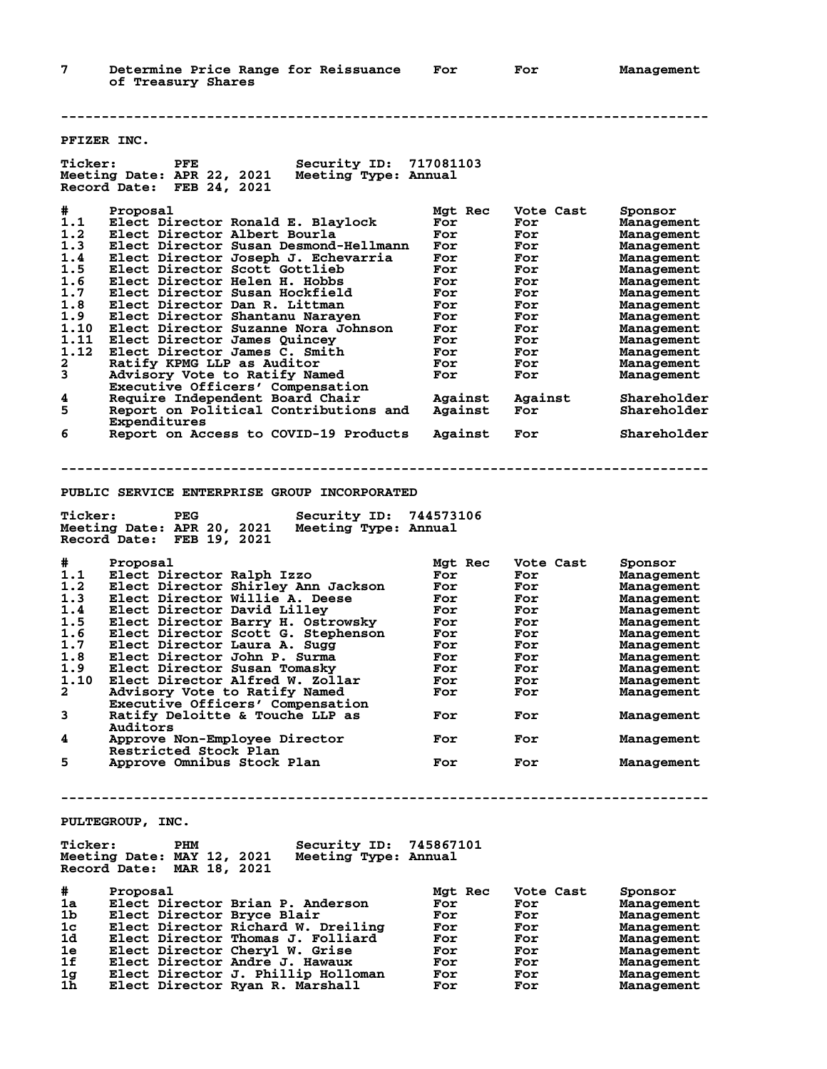**--------------------------------------------------------------------------------**

| PFIZER INC.                                  |                                                                                                                          |         |           |                   |  |  |  |
|----------------------------------------------|--------------------------------------------------------------------------------------------------------------------------|---------|-----------|-------------------|--|--|--|
| <b>Ticker:</b>                               | Security ID: 717081103<br>${\tt PFE}$<br>Meeting Date: APR 22, 2021<br>Meeting Type: Annual<br>Record Date: FEB 24, 2021 |         |           |                   |  |  |  |
| #                                            | Proposal                                                                                                                 | Mgt Rec | Vote Cast | Sponsor           |  |  |  |
| 1.1                                          | Elect Director Ronald E. Blaylock                                                                                        | For     | For       | Management        |  |  |  |
| 1.2                                          | Elect Director Albert Bourla                                                                                             | For     | For       | Management        |  |  |  |
| 1.3                                          | Elect Director Susan Desmond-Hellmann                                                                                    | For     | For       | Management        |  |  |  |
| 1.4                                          | Elect Director Joseph J. Echevarria                                                                                      | For     | For       | Management        |  |  |  |
| 1.5                                          | Elect Director Scott Gottlieb                                                                                            | For     | For       | Management        |  |  |  |
| 1.6                                          | Elect Director Helen H. Hobbs                                                                                            | For     | For       | Management        |  |  |  |
| 1.7                                          | Elect Director Susan Hockfield                                                                                           | For     | For       | Management        |  |  |  |
| 1.8                                          | Elect Director Dan R. Littman                                                                                            | For     | For       | Management        |  |  |  |
| 1.9                                          | Elect Director Shantanu Naraven                                                                                          | For     | For       | Management        |  |  |  |
| 1.10                                         | Elect Director Suzanne Nora Johnson                                                                                      | For     | For       | Management        |  |  |  |
| 1.11                                         | Elect Director James Quincey                                                                                             | For     | For       | Management        |  |  |  |
| 1.12                                         | Elect Director James C. Smith                                                                                            | For     | For       | Management        |  |  |  |
| 2                                            | Ratify KPMG LLP as Auditor                                                                                               | For     | For       | Management        |  |  |  |
| 3                                            | Advisory Vote to Ratify Named                                                                                            | For     | For       | Management        |  |  |  |
|                                              | Executive Officers' Compensation                                                                                         |         |           |                   |  |  |  |
| 4                                            | Require Independent Board Chair                                                                                          | Against | Against   | Shareholder       |  |  |  |
| 5                                            |                                                                                                                          |         |           |                   |  |  |  |
|                                              | Report on Political Contributions and                                                                                    | Against | For       | Shareholder       |  |  |  |
|                                              | Expenditures                                                                                                             |         |           |                   |  |  |  |
| 6                                            | Report on Access to COVID-19 Products                                                                                    | Against | For       | Shareholder       |  |  |  |
| PUBLIC SERVICE ENTERPRISE GROUP INCORPORATED |                                                                                                                          |         |           |                   |  |  |  |
| <b>Ticker:</b>                               | Security ID: 744573106<br>PEG                                                                                            |         |           |                   |  |  |  |
|                                              | Meeting Date: APR 20, 2021<br>Meeting Type: Annual                                                                       |         |           |                   |  |  |  |
|                                              | Record Date: FEB 19, 2021                                                                                                |         |           |                   |  |  |  |
|                                              |                                                                                                                          |         |           |                   |  |  |  |
| #                                            | Proposal                                                                                                                 | Mgt Rec | Vote Cast | Sponsor           |  |  |  |
| 1.1                                          | Elect Director Ralph Izzo                                                                                                | For     | For       | Management        |  |  |  |
| 1.2                                          | Elect Director Shirley Ann Jackson                                                                                       | For     | For       | Management        |  |  |  |
| 1.3                                          | Elect Director Willie A. Deese                                                                                           | For     | For       |                   |  |  |  |
| 1.4                                          | Elect Director David Lilley                                                                                              | For     | For       | Management        |  |  |  |
| 1.5                                          | Elect Director Barry H. Ostrowsky                                                                                        | For     |           | Management        |  |  |  |
| 1.6                                          | Elect Director Scott G. Stephenson                                                                                       | For     | For       | Management        |  |  |  |
|                                              |                                                                                                                          |         | For       | Management        |  |  |  |
| 1.7                                          | Elect Director Laura A. Sugg                                                                                             | For     | For       | Management        |  |  |  |
| 1.8                                          | Elect Director John P. Surma                                                                                             | For     | For       | Management        |  |  |  |
| 1.9                                          | Elect Director Susan Tomasky                                                                                             | For     | For       | Management        |  |  |  |
| 1.10                                         | Elect Director Alfred W. Zollar                                                                                          | For     | For       | Management        |  |  |  |
| $\mathbf{2}$                                 | Advisory Vote to Ratify Named                                                                                            | For     | For       | Management        |  |  |  |
|                                              | Executive Officers' Compensation                                                                                         |         |           |                   |  |  |  |
| 3                                            | Ratify Deloitte & Touche LLP as                                                                                          | For     | For       | Management        |  |  |  |
|                                              | Auditors                                                                                                                 |         |           |                   |  |  |  |
| 4                                            | Approve Non-Employee Director                                                                                            | For     | For       | <b>Management</b> |  |  |  |
|                                              | Restricted Stock Plan                                                                                                    |         |           |                   |  |  |  |
| 5                                            | Approve Omnibus Stock Plan                                                                                               | For     | For       | Management        |  |  |  |
|                                              |                                                                                                                          |         |           |                   |  |  |  |
|                                              |                                                                                                                          |         |           |                   |  |  |  |
|                                              | PULTEGROUP, INC.                                                                                                         |         |           |                   |  |  |  |
|                                              |                                                                                                                          |         |           |                   |  |  |  |
| <b>Ticker:</b>                               | Security ID: 745867101<br>PHM                                                                                            |         |           |                   |  |  |  |
|                                              | Meeting Date: MAY 12, 2021<br>Meeting Type: Annual                                                                       |         |           |                   |  |  |  |
|                                              | Record Date: MAR 18, 2021                                                                                                |         |           |                   |  |  |  |
|                                              |                                                                                                                          |         |           |                   |  |  |  |
| #                                            | Proposal                                                                                                                 | Mgt Rec | Vote Cast | Sponsor           |  |  |  |
| 1a                                           | Elect Director Brian P. Anderson                                                                                         | For     | For       | Management        |  |  |  |
| 1b                                           | Elect Director Bryce Blair                                                                                               | For     | For       | Management        |  |  |  |
| 1 <sub>c</sub>                               | Elect Director Richard W. Dreiling                                                                                       | For     | For       | <b>Management</b> |  |  |  |
| 1d                                           | Elect Director Thomas J. Folliard                                                                                        | For     | For       | Management        |  |  |  |
| 1е                                           | Elect Director Cheryl W. Grise                                                                                           | For     | For       | Management        |  |  |  |
| 1f                                           | Elect Director Andre J. Hawaux                                                                                           | For     | For       | Management        |  |  |  |
| 1g                                           | Elect Director J. Phillip Holloman                                                                                       | For     | For       | <b>Management</b> |  |  |  |
| 1h                                           | Elect Director Ryan R. Marshall                                                                                          | For     | For       | Management        |  |  |  |
|                                              |                                                                                                                          |         |           |                   |  |  |  |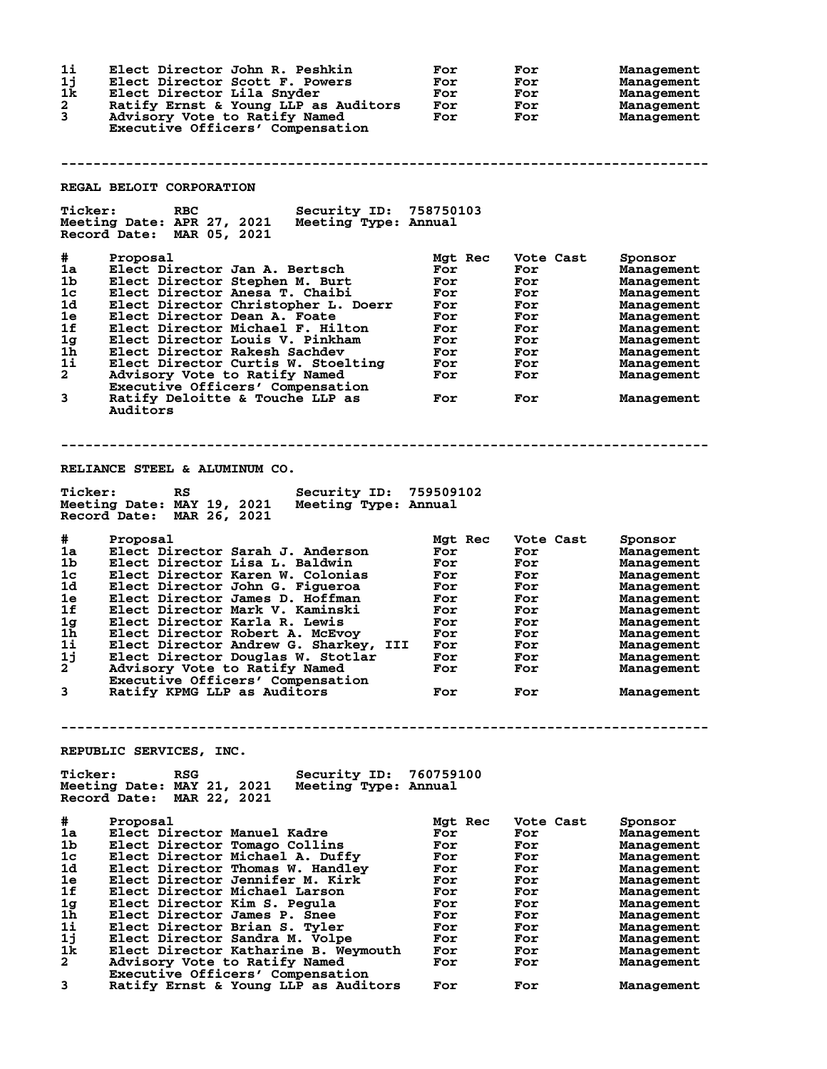| 1i<br>1j<br>1k<br>2<br>3        | Elect Director John R. Peshkin<br>Elect Director Scott F. Powers<br>Elect Director Lila Snyder<br>Ratify Ernst & Young LLP as Auditors<br>Advisory Vote to Ratify Named<br>Executive Officers' Compensation | For<br>For<br>For<br>For<br>For | For<br>For<br>For<br>For<br>For | Management<br>Management<br><b>Management</b><br>Management<br>Management |
|---------------------------------|-------------------------------------------------------------------------------------------------------------------------------------------------------------------------------------------------------------|---------------------------------|---------------------------------|---------------------------------------------------------------------------|
|                                 |                                                                                                                                                                                                             |                                 |                                 |                                                                           |
|                                 | REGAL BELOIT CORPORATION                                                                                                                                                                                    |                                 |                                 |                                                                           |
| <b>Ticker:</b>                  | Security ID: 758750103<br><b>RBC</b><br>Meeting Date: APR 27, 2021<br>Meeting Type: Annual<br>Record Date: MAR 05, 2021                                                                                     |                                 |                                 |                                                                           |
| #<br>1a<br>1 <sub>b</sub><br>1c | Proposal<br>Elect Director Jan A. Bertsch<br>Elect Director Stephen M. Burt<br>Elect Director Anesa T. Chaibi                                                                                               | Mgt Rec<br>For<br>For<br>For    | Vote Cast<br>For<br>For<br>For  | Sponsor<br><b>Management</b><br><b>Management</b><br><b>Management</b>    |
| 1d<br>1e<br>1f                  | Elect Director Christopher L. Doerr<br>Elect Director Dean A. Foate<br>Elect Director Michael F. Hilton                                                                                                     | For<br>For<br>For               | For<br>For<br>For               | Management<br>Management<br>Management                                    |
| 1g                              | Elect Director Louis V. Pinkham                                                                                                                                                                             | For                             | For                             | Management                                                                |
| 1h<br>1i                        | Elect Director Rakesh Sachdev<br>Elect Director Curtis W. Stoelting                                                                                                                                         | For<br>For                      | For<br>For                      | Management<br>Management                                                  |
| $\mathbf{2}$                    | Advisory Vote to Ratify Named                                                                                                                                                                               | For                             | For                             | Management                                                                |
| 3                               | Executive Officers' Compensation<br>Ratify Deloitte & Touche LLP as                                                                                                                                         | For                             | For                             | Management                                                                |
|                                 | Auditors                                                                                                                                                                                                    |                                 |                                 |                                                                           |
|                                 |                                                                                                                                                                                                             |                                 |                                 |                                                                           |
|                                 | RELIANCE STEEL & ALUMINUM CO.                                                                                                                                                                               |                                 |                                 |                                                                           |
| <b>Ticker:</b>                  | Security ID: 759509102<br>RS<br>Meeting Date: MAY 19, 2021<br>Meeting Type: Annual<br>Record Date: MAR 26, 2021                                                                                             |                                 |                                 |                                                                           |
| #                               | Proposal                                                                                                                                                                                                    | Mgt Rec                         | Vote Cast                       | Sponsor                                                                   |
| 1a<br>1 <sub>b</sub>            | Elect Director Sarah J. Anderson<br>Elect Director Lisa L. Baldwin                                                                                                                                          | For<br>For                      | For                             | <b>Management</b>                                                         |
| 1c                              | Elect Director Karen W. Colonias                                                                                                                                                                            | For                             | For<br>For                      | <b>Management</b><br>Management                                           |
| 1d                              | Elect Director John G. Figueroa                                                                                                                                                                             | For                             | For                             | Management                                                                |
| 1е<br>1f                        | Elect Director James D. Hoffman<br>Elect Director Mark V. Kaminski                                                                                                                                          | For                             | For                             | Management                                                                |
| 1 <sub>g</sub>                  | Elect Director Karla R. Lewis                                                                                                                                                                               | For<br>For                      | For<br>For                      | Management<br>Management                                                  |
| 1 <sub>h</sub>                  | Elect Director Robert A. McEvoy                                                                                                                                                                             | For                             | For                             | <b>Management</b>                                                         |
| 1i                              | Elect Director Andrew G. Sharkey, III                                                                                                                                                                       | For                             | For                             | Management                                                                |
| 1j<br>$\mathbf{2}$              | Elect Director Douglas W. Stotlar                                                                                                                                                                           | For                             | For                             | <b>Management</b>                                                         |
|                                 | Advisory Vote to Ratify Named<br>Executive Officers' Compensation                                                                                                                                           | For                             | For                             | <b>Management</b>                                                         |
| 3                               | Ratify KPMG LLP as Auditors                                                                                                                                                                                 | For                             | For                             | Management                                                                |
|                                 |                                                                                                                                                                                                             |                                 |                                 |                                                                           |
|                                 | REPUBLIC SERVICES, INC.                                                                                                                                                                                     |                                 |                                 |                                                                           |
| <b>Ticker:</b>                  | Security ID: 760759100<br>RSG<br>Meeting Date: MAY 21, 2021<br>Meeting Type: Annual                                                                                                                         |                                 |                                 |                                                                           |
|                                 | Record Date: MAR 22, 2021                                                                                                                                                                                   |                                 |                                 |                                                                           |
| #                               | Proposal                                                                                                                                                                                                    | <b>Mat Rec</b>                  | Vote Cast                       | Sponsor                                                                   |
| 1a                              | Elect Director Manuel Kadre                                                                                                                                                                                 | For                             | For                             | <b>Management</b>                                                         |
| 1b<br>1c                        | Elect Director Tomago Collins<br>Elect Director Michael A. Duffy                                                                                                                                            | For<br>For                      | For<br>For                      | <b>Management</b><br>Management                                           |
| 1d.                             | Elect Director Thomas W. Handley                                                                                                                                                                            | For                             | For                             | <b>Management</b>                                                         |
| 1e                              | Elect Director Jennifer M. Kirk                                                                                                                                                                             | For                             | For                             | Management                                                                |
| 1f                              | Elect Director Michael Larson                                                                                                                                                                               | For                             | For                             | Management                                                                |
| 1g<br>1 <sub>h</sub>            | Elect Director Kim S. Pegula                                                                                                                                                                                | For                             | For                             | Management                                                                |
| 1i                              | Elect Director James P. Snee<br>Elect Director Brian S. Tyler                                                                                                                                               | For<br>For                      | For<br>For                      | <b>Management</b><br>Management                                           |
| 1j                              | Elect Director Sandra M. Volpe                                                                                                                                                                              | For                             | For                             | <b>Management</b>                                                         |
| 1k                              | Elect Director Katharine B. Weymouth                                                                                                                                                                        | For                             | For                             | Management                                                                |
| 2                               | Advisory Vote to Ratify Named                                                                                                                                                                               | For                             | For                             | Management                                                                |
| 3                               | Executive Officers' Compensation<br>Ratify Ernst & Young LLP as Auditors                                                                                                                                    | For                             | For                             | Management                                                                |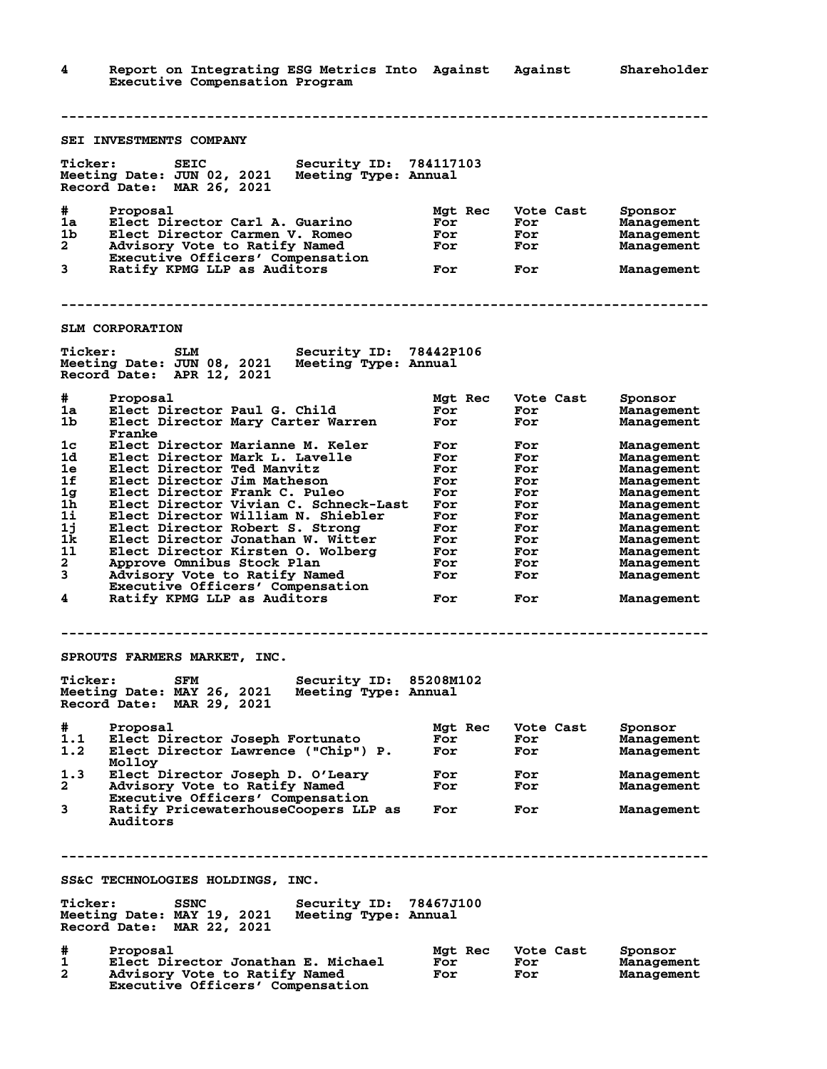**4 Report on Integrating ESG Metrics Into Against Against Shareholder Executive Compensation Program -------------------------------------------------------------------------------- SEI INVESTMENTS COMPANY Ticker: SEIC Security ID: 784117103 Meeting Date: JUN 02, 2021 Meeting Type: Annual Record Date: MAR 26, 2021 4 Proposal Mgt Rec Vote Cast Sponsor<br>
1a Elect Director Carl A. Guarino For For Management<br>
1b Elect Director Carmen V. Romeo For For Management<br>
2 Advisory Vote to Ratify Named For For Management<br>
Executive Officers' Com 1a Elect Director Carl A. Guarino For For Management 1b Elect Director Carmen V. Romeo For For Management** 2 Advisory Vote to Ratify Named For For Management  **Executive Officers' Compensation 3 Ratify KPMG LLP as Auditors For For Management -------------------------------------------------------------------------------- SLM CORPORATION Ticker: SLM Security ID: 78442P106 Meeting Date: JUN 08, 2021 Meeting Type: Annual Record Date: APR 12, 2021 # Proposal Mgt Rec Vote Cast Sponsor 1a Elect Director Paul G. Child For For Management 1b Elect Director Mary Carter Warren For For Management Franke 1c Elect Director Marianne M. Keler For For Management 1d Elect Director Mark L. Lavelle For For Management 1e Elect Director Ted Manvitz For For Management 1f Elect Director Jim Matheson For For Management 1g Elect Director Frank C. Puleo For For Management 1h Elect Director Vivian C. Schneck-Last For For Management 1i Elect Director William N. Shiebler For For Management 1j Elect Director Robert S. Strong For For Management 1k Elect Director Jonathan W. Witter For For Management 1l Elect Director Kirsten O. Wolberg For For Management 2 Approve Omnibus Stock Plan For For Management 3 Advisory Vote to Ratify Named For For Management Executive Officers' Compensation 4 Ratify KPMG LLP as Auditors For For Management -------------------------------------------------------------------------------- SPROUTS FARMERS MARKET, INC. Ticker: SFM Security ID: 85208M102 Meeting Date: MAY 26, 2021 Meeting Type: Annual Record Date: MAR 29, 2021 # Proposal Mgt Rec Vote Cast Sponsor 1.1 Elect Director Joseph Fortunato For For Management 1.2 Elect Director Lawrence ("Chip") P. For For Management** Molloy<br>1.3 Elect D **1.3 Elect Director Joseph D. O'Leary For For Management 2 Advisory Vote to Ratify Named For For Management Executive Officers' Compensation 3 Ratify PricewaterhouseCoopers LLP as For For Management Auditors -------------------------------------------------------------------------------- SS&C TECHNOLOGIES HOLDINGS, INC. Ticker: SSNC Security ID: 78467J100 Meeting Date: MAY 19, 2021 Meeting Type: Annual Record Date: MAR 22, 2021 # Proposal Mgt Rec Vote Cast Sponsor 1 Elect Director Jonathan E. Michael For For Management 2 Advisory Vote to Ratify Named For For Management Executive Officers' Compensation**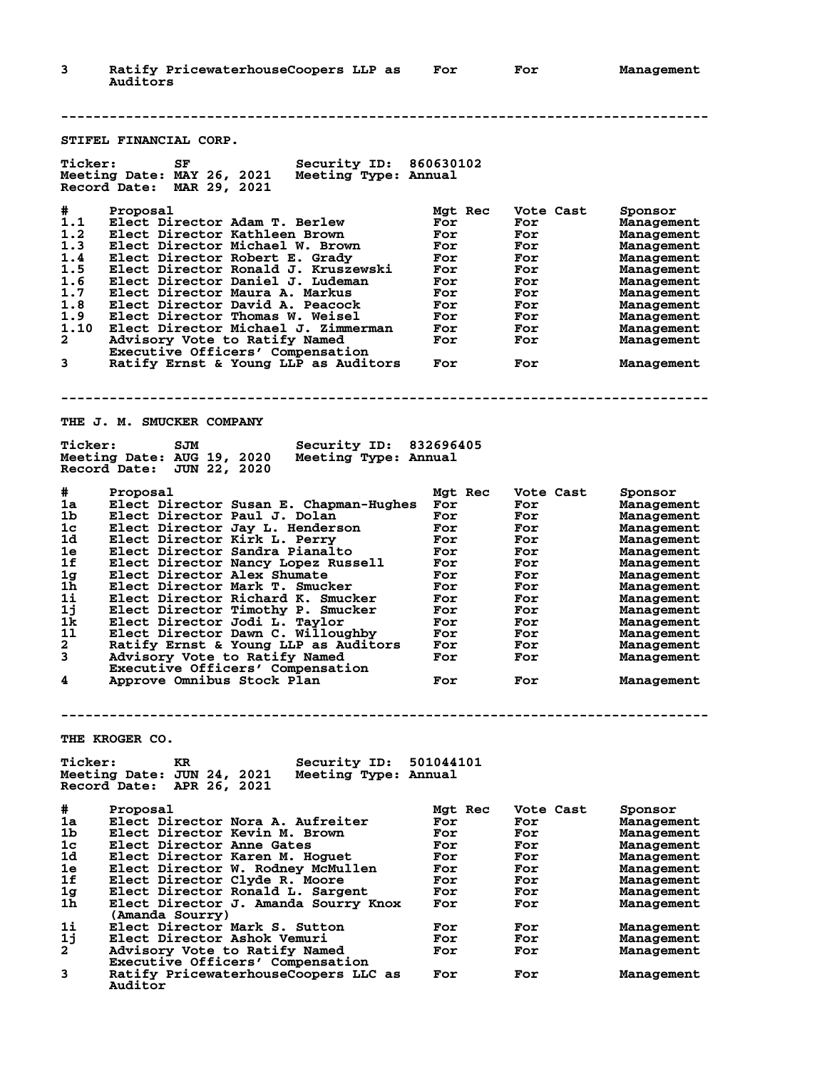**3 Ratify PricewaterhouseCoopers LLP as For For Management Auditors -------------------------------------------------------------------------------- STIFEL FINANCIAL CORP. Ticker: SF Security ID: 860630102 Meeting Date: MAY 26, 2021 Meeting Type: Annual Record Date: MAR 29, 2021 # Proposal Mgt Rec Vote Cast Sponsor 1.1 Elect Director Adam T. Berlew For For Management 1.2 Elect Director Kathleen Brown For For Management 1.3 Elect Director Michael W. Brown For For Management 1.4 Elect Director Robert E. Grady For For Management 1.5 Elect Director Ronald J. Kruszewski For For Management 1.6 Elect Director Daniel J. Ludeman For For Management 1.7 Elect Director Maura A. Markus For For Management 1.8 Elect Director David A. Peacock For For Management 1.9 Elect Director Thomas W. Weisel For For Management 1.10 Elect Director Michael J. Zimmerman For For Management 2 Advisory Vote to Ratify Named For For Management Executive Officers' Compensation 3 Ratify Ernst & Young LLP as Auditors For For Management -------------------------------------------------------------------------------- THE J. M. SMUCKER COMPANY Ticker: SJM Security ID: 832696405 Meeting Date: AUG 19, 2020 Meeting Type: Annual Record Date: JUN 22, 2020 # Proposal Mgt Rec Vote Cast Sponsor 1a Elect Director Susan E. Chapman-Hughes For For Management 1b Elect Director Paul J. Dolan For For Management 1c Elect Director Jay L. Henderson For For Management 1d Elect Director Kirk L. Perry For For Management 1e Elect Director Sandra Pianalto For For Management 1f Elect Director Nancy Lopez Russell For For Management 1g Elect Director Alex Shumate For For Management 1h Elect Director Mark T. Smucker For For Management 1i Elect Director Richard K. Smucker For For Management 1j Elect Director Timothy P. Smucker For For Management 1k Elect Director Jodi L. Taylor For For Management 1l Elect Director Dawn C. Willoughby For For Management 2 Ratify Ernst & Young LLP as Auditors For For Management 3 Advisory Vote to Ratify Named For For Management Executive Officers' Compensation 4 Approve Omnibus Stock Plan For For Management -------------------------------------------------------------------------------- THE KROGER CO. Ticker: KR Security ID: 501044101 Meeting Date: JUN 24, 2021 Meeting Type: Annual Record Date: APR 26, 2021 # Proposal Mgt Rec Vote Cast Sponsor 1a Elect Director Nora A. Aufreiter For For Management 1b Elect Director Kevin M. Brown For For Management 1c Elect Director Anne Gates For For Management 1d Elect Director Karen M. Hoguet For For Management 1e Elect Director W. Rodney McMullen For For Management 1f Elect Director Clyde R. Moore For For Management 1g Elect Director Ronald L. Sargent For For Management 1h Elect Director J. Amanda Sourry Knox For For Management (Amanda Sourry) 1i Elect Director Mark S. Sutton For For Management 1j Elect Director Ashok Vemuri For For Management 2 Advisory Vote to Ratify Named For For Management** 2 Advisory Vote to Ratify Named<br>Executive Officers' Compensation<br>3 Ratify PricewaterhouseCoopers LLC **3 Ratify PricewaterhouseCoopers LLC as For For Management**

 **Auditor**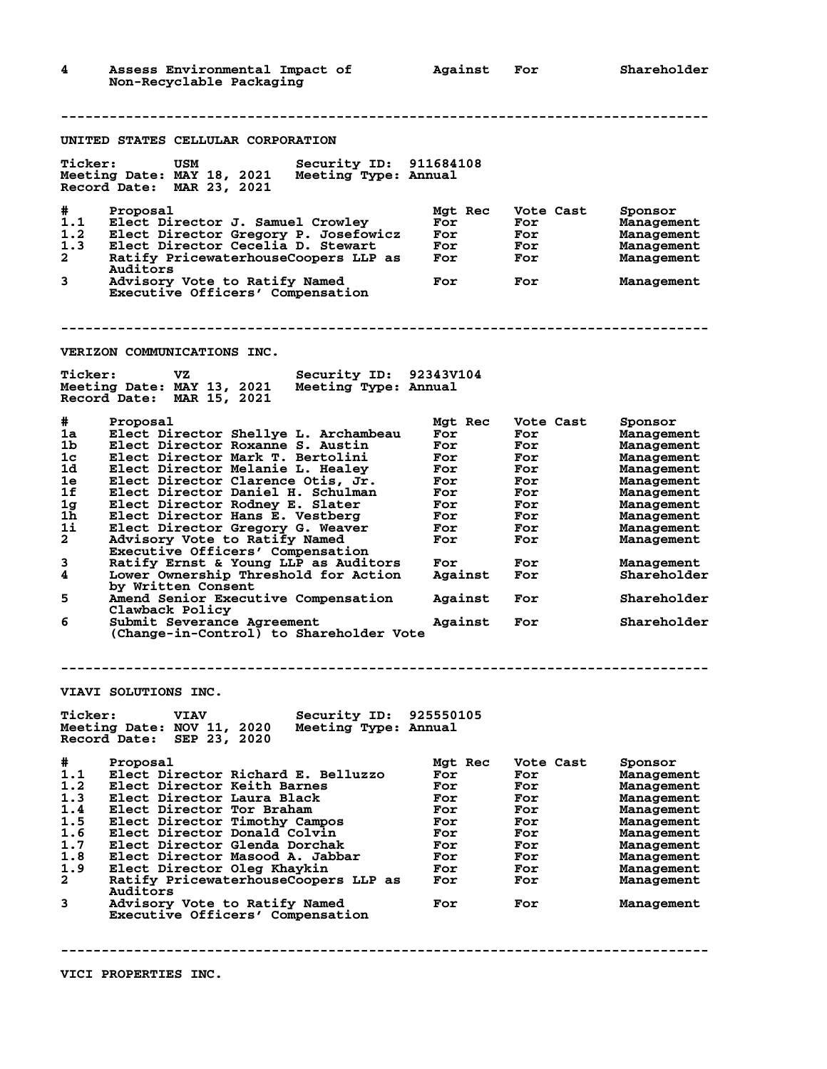| 4                                                                                                                                                 | Assess Environmental Impact of<br>Non-Recyclable Packaging                                                                                                                                                                                                                                                                                                                                                                                                                                                                                                                                                                                                                                                                                                                            | Against                                                                                                               | For                                                                                                         | Shareholder                                                                                                                                                                                                    |
|---------------------------------------------------------------------------------------------------------------------------------------------------|---------------------------------------------------------------------------------------------------------------------------------------------------------------------------------------------------------------------------------------------------------------------------------------------------------------------------------------------------------------------------------------------------------------------------------------------------------------------------------------------------------------------------------------------------------------------------------------------------------------------------------------------------------------------------------------------------------------------------------------------------------------------------------------|-----------------------------------------------------------------------------------------------------------------------|-------------------------------------------------------------------------------------------------------------|----------------------------------------------------------------------------------------------------------------------------------------------------------------------------------------------------------------|
|                                                                                                                                                   |                                                                                                                                                                                                                                                                                                                                                                                                                                                                                                                                                                                                                                                                                                                                                                                       |                                                                                                                       |                                                                                                             |                                                                                                                                                                                                                |
|                                                                                                                                                   | UNITED STATES CELLULAR CORPORATION                                                                                                                                                                                                                                                                                                                                                                                                                                                                                                                                                                                                                                                                                                                                                    |                                                                                                                       |                                                                                                             |                                                                                                                                                                                                                |
| <b>Ticker:</b>                                                                                                                                    | Security ID: 911684108<br>USM<br>Meeting Date: MAY 18, 2021<br>Meeting Type: Annual<br>Record Date: MAR 23, 2021                                                                                                                                                                                                                                                                                                                                                                                                                                                                                                                                                                                                                                                                      |                                                                                                                       |                                                                                                             |                                                                                                                                                                                                                |
| #<br>1.1<br>1.2<br>1.3<br>$\mathbf{2}$<br>3                                                                                                       | Proposal<br>Elect Director J. Samuel Crowley<br>Elect Director Gregory P. Josefowicz<br>Elect Director Cecelia D. Stewart<br>Ratify PricewaterhouseCoopers LLP as<br>Auditors<br>Advisory Vote to Ratify Named<br>Executive Officers' Compensation                                                                                                                                                                                                                                                                                                                                                                                                                                                                                                                                    | Mgt Rec<br>For<br>For<br>For<br>For<br>For                                                                            | Vote Cast<br>For<br>For<br>For<br>For<br>For                                                                | Sponsor<br>Management<br>Management<br>Management<br>Management<br>Management                                                                                                                                  |
|                                                                                                                                                   | VERIZON COMMUNICATIONS INC.                                                                                                                                                                                                                                                                                                                                                                                                                                                                                                                                                                                                                                                                                                                                                           |                                                                                                                       |                                                                                                             |                                                                                                                                                                                                                |
| <b>Ticker:</b>                                                                                                                                    | VZ.<br>Security ID: 92343V104<br>Meeting Date: MAY 13, 2021<br>Meeting Type: Annual<br>Record Date: MAR 15, 2021                                                                                                                                                                                                                                                                                                                                                                                                                                                                                                                                                                                                                                                                      |                                                                                                                       |                                                                                                             |                                                                                                                                                                                                                |
| #<br>1a<br>1b<br>1 <sub>c</sub><br>1d<br>1e<br>1f<br>1g<br>1h<br>1i<br>$\overline{a}$<br>3<br>$\overline{\mathbf{4}}$<br>5<br>6<br><b>Ticker:</b> | Proposal<br>Elect Director Shellye L. Archambeau<br>Elect Director Roxanne S. Austin<br>Elect Director Mark T. Bertolini<br>Elect Director Melanie L. Healey<br>Elect Director Clarence Otis, Jr.<br>Elect Director Daniel H. Schulman<br>Elect Director Rodney E. Slater<br>Elect Director Hans E. Vestberg<br>Elect Director Gregory G. Weaver<br>Advisory Vote to Ratify Named<br>Executive Officers' Compensation<br>Ratify Ernst & Young LLP as Auditors<br>Lower Ownership Threshold for Action<br>by Written Consent<br>Amend Senior Executive Compensation<br>Clawback Policy<br>Submit Severance Agreement<br>(Change-in-Control) to Shareholder Vote<br>VIAVI SOLUTIONS INC.<br>Security ID: 925550105<br><b>VIAV</b><br>Meeting Date: NOV 11, 2020<br>Meeting Type: Annual | Mgt Rec<br>For<br>For<br>For<br>For<br>For<br>For<br>For<br>For<br>For<br>For<br>For<br>Against<br>Against<br>Against | Vote Cast<br>For<br>For<br>For<br>For<br>For<br>For<br>For<br>For<br>For<br>For<br>For<br>For<br>For<br>For | Sponsor<br>Management<br>Management<br>Management<br>Management<br>Management<br>Management<br>Management<br>Management<br>Management<br>Management<br>Management<br>Shareholder<br>Shareholder<br>Shareholder |
|                                                                                                                                                   | Record Date: SEP 23, 2020                                                                                                                                                                                                                                                                                                                                                                                                                                                                                                                                                                                                                                                                                                                                                             |                                                                                                                       |                                                                                                             |                                                                                                                                                                                                                |
| #<br>1.1<br>1.2<br>1.3<br>1.4<br>1.5<br>1.6<br>1.7<br>1.8<br>1.9<br>2<br>3                                                                        | Proposal<br>Elect Director Richard E. Belluzzo<br>Elect Director Keith Barnes<br>Elect Director Laura Black<br>Elect Director Tor Braham<br>Elect Director Timothy Campos<br>Elect Director Donald Colvin<br>Elect Director Glenda Dorchak<br>Elect Director Masood A. Jabbar<br>Elect Director Oleg Khaykin<br>Ratify PricewaterhouseCoopers LLP as<br>Auditors<br>Advisory Vote to Ratify Named<br>Executive Officers' Compensation                                                                                                                                                                                                                                                                                                                                                 | Mgt Rec<br>For<br>For<br>For<br>For<br>For<br>For<br>For<br>For<br>For<br>For<br>For                                  | Vote Cast<br>For<br>For<br>For<br>For<br>For<br>For<br>For<br>For<br>For<br>For<br>For                      | Sponsor<br>Management<br>Management<br>Management<br>Management<br>Management<br>Management<br>Management<br>Management<br>Management<br>Management<br>Management                                              |
|                                                                                                                                                   |                                                                                                                                                                                                                                                                                                                                                                                                                                                                                                                                                                                                                                                                                                                                                                                       |                                                                                                                       |                                                                                                             |                                                                                                                                                                                                                |

**VICI PROPERTIES INC.**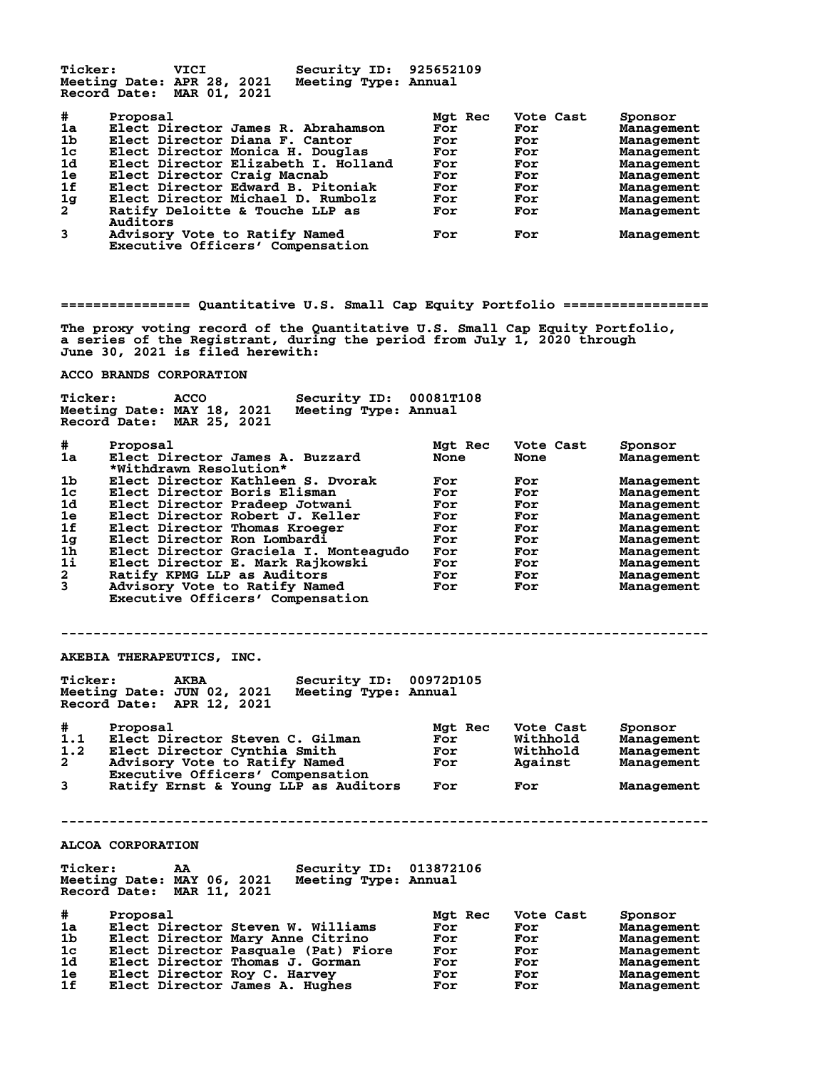Ticker: VICI Security ID: 925652109<br>Neeting Date: APR 28, 2021 Meeting Type: Annual **Meeting Date: APR 28, 2021 Meeting Type: Annual Record Date: MAR 01, 2021**

| #              | Proposal                                                          | Mgt Rec | Vote Cast | Sponsor    |
|----------------|-------------------------------------------------------------------|---------|-----------|------------|
| 1a             | Elect Director James R. Abrahamson                                | For     | For       | Management |
| 1 <sub>b</sub> | Elect Director Diana F. Cantor                                    | For     | For       | Management |
| 1 <sub>c</sub> | Elect Director Monica H. Douglas                                  | For     | For       | Management |
| 1 <sub>d</sub> | Elect Director Elizabeth I. Holland                               | For     | For       | Management |
| 1e             | Elect Director Craig Macnab                                       | For     | For       | Management |
| 1f             | Elect Director Edward B. Pitoniak                                 | For     | For       | Management |
| $\frac{1}{2}$  | Elect Director Michael D. Rumbolz                                 | For     | For       | Management |
|                | Ratify Deloitte & Touche LLP as<br>Auditors                       | For     | For       | Management |
| 3              | Advisory Vote to Ratify Named<br>Executive Officers' Compensation | For     | For       | Management |

**================ Quantitative U.S. Small Cap Equity Portfolio ==================**

**The proxy voting record of the Quantitative U.S. Small Cap Equity Portfolio, a series of the Registrant, during the period from July 1, 2020 through June 30, 2021 is filed herewith:**

## **ACCO BRANDS CORPORATION**

|                | Meeting Date: MAY 18, 2021<br>Meeting Type: Annual<br>MAR 25, 2021<br>Record Date: |         |           |            |
|----------------|------------------------------------------------------------------------------------|---------|-----------|------------|
| #              | Proposal                                                                           | Mgt Rec | Vote Cast | Sponsor    |
| 1a             | Elect Director James A. Buzzard<br>*Withdrawn Resolution*                          | None    | None      | Management |
| 1 <sub>b</sub> | Elect Director Kathleen S. Dvorak                                                  | For     | For       | Management |
| 1 <sub>c</sub> | Elect Director Boris Elisman                                                       | For     | For       | Management |
| 1d             | Elect Director Pradeep Jotwani                                                     | For     | For       | Management |
| 1e             | Elect Director Robert J. Keller                                                    | For     | For       | Management |
| 1f             | Elect Director Thomas Kroeger                                                      | For     | For       | Management |
| 1g             | Elect Director Ron Lombardi                                                        | For     | For       | Management |
| 1 <sub>h</sub> | Elect Director Graciela I. Monteagudo                                              | For     | For       | Management |
| 11             | Elect Director E. Mark Rajkowski                                                   | For     | For       | Management |
| $\mathbf{2}$   | Ratify KPMG LLP as Auditors                                                        | For     | For       | Management |
| 3              | Advisory Vote to Ratify Named<br>Executive Officers' Compensation                  | For     | For       | Management |

## **--------------------------------------------------------------------------------**

**AKEBIA THERAPEUTICS, INC.**

**Ticker: AKBA Security ID: 00972D105 Meeting Date: JUN 02, 2021 Meeting Type: Annual Record Date: APR 12, 2021**

**Ticker: ACCO Security ID: 00081T108**

| #              | Proposal                             | <b>Mat Rec</b> | Vote Cast | Sponsor    |
|----------------|--------------------------------------|----------------|-----------|------------|
| 1.1            | Elect Director Steven C. Gilman      | For            | Withhold  | Management |
| 1.2            | Elect Director Cynthia Smith         | For            | Withhold  | Management |
| $\mathbf{2}$   | Advisory Vote to Ratify Named        | For            | Against   | Management |
|                | Executive Officers' Compensation     |                |           |            |
| $\overline{3}$ | Ratify Ernst & Young LLP as Auditors | For            | For       | Management |

**--------------------------------------------------------------------------------**

## **ALCOA CORPORATION**

| <b>Ticker:</b>                                          | AA | Security ID: 013872106 |  |
|---------------------------------------------------------|----|------------------------|--|
| Meeting Date: MAY 06, 2021<br>Record Date: MAR 11, 2021 |    | Meeting Type: Annual   |  |

| #  | Proposal                            | Mgt Rec | Vote Cast | Sponsor    |
|----|-------------------------------------|---------|-----------|------------|
| 1a | Elect Director Steven W. Williams   | For     | For       | Management |
| 1b | Elect Director Mary Anne Citrino    | For     | For       | Management |
| 1c | Elect Director Pasquale (Pat) Fiore | For     | For       | Management |
| 1d | Elect Director Thomas J. Gorman     | For     | For       | Management |
| 1e | Elect Director Roy C. Harvey        | For     | For       | Management |
| 1f | Elect Director James A. Hughes      | For     | For       | Management |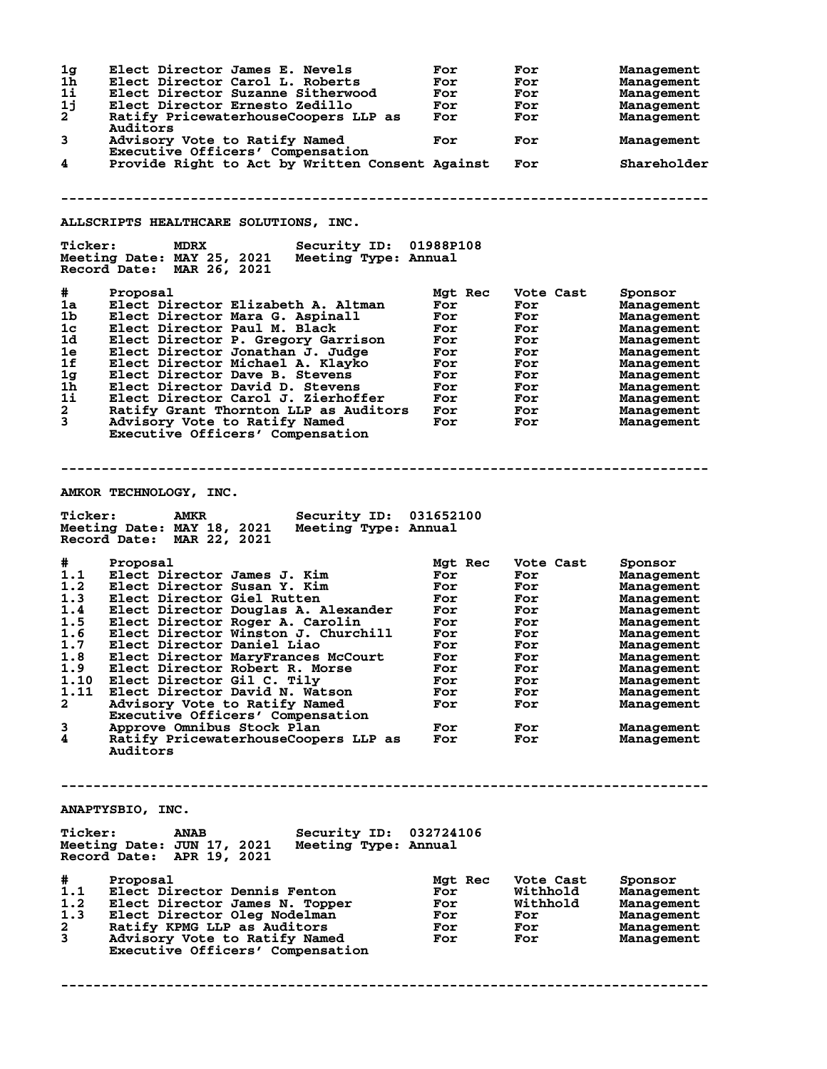| 1 <sub>g</sub><br>Elect Director James E. Nevels<br>1h<br>Elect Director Carol L. Roberts<br>1i<br>Elect Director Suzanne Sitherwood<br>1j<br>Elect Director Ernesto Zedillo<br>2<br>Ratify PricewaterhouseCoopers LLP as<br>Auditors<br>3<br>Advisory Vote to Ratify Named<br>Executive Officers' Compensation<br>4<br>Provide Right to Act by Written Consent Against<br>ALLSCRIPTS HEALTHCARE SOLUTIONS, INC.                                                                                                                                                                                                                                                 | For<br>For<br>For<br>For<br>For<br>For                                                                    | For<br>For<br>For<br>For<br>For<br>For<br>For                                                               | <b>Management</b><br><b>Management</b><br><b>Management</b><br>Management<br>Management<br>Management<br>Shareholder                                                                                               |
|------------------------------------------------------------------------------------------------------------------------------------------------------------------------------------------------------------------------------------------------------------------------------------------------------------------------------------------------------------------------------------------------------------------------------------------------------------------------------------------------------------------------------------------------------------------------------------------------------------------------------------------------------------------|-----------------------------------------------------------------------------------------------------------|-------------------------------------------------------------------------------------------------------------|--------------------------------------------------------------------------------------------------------------------------------------------------------------------------------------------------------------------|
| <b>Ticker:</b><br>Security ID: 01988P108<br>MDRX<br>Meeting Date: MAY 25, 2021<br>Meeting Type: Annual<br>Record Date: MAR 26, 2021                                                                                                                                                                                                                                                                                                                                                                                                                                                                                                                              |                                                                                                           |                                                                                                             |                                                                                                                                                                                                                    |
| #<br>Proposal<br>1a<br>Elect Director Elizabeth A. Altman<br>1b<br>Elect Director Mara G. Aspinall<br>1c<br>Elect Director Paul M. Black<br>1d<br>Elect Director P. Gregory Garrison<br>1e<br>Elect Director Jonathan J. Judge<br>1f<br>Elect Director Michael A. Klayko<br>1g<br>Elect Director Dave B. Stevens<br>1h<br>Elect Director David D. Stevens<br>$1\mathbf{i}$<br>Elect Director Carol J. Zierhoffer<br>$\mathbf{2}$<br>Ratify Grant Thornton LLP as Auditors<br>3<br>Advisory Vote to Ratify Named<br>Executive Officers' Compensation                                                                                                              | Mgt Rec<br>For<br>For<br>For<br>For<br>For<br>For<br>For<br>For<br>For<br>For<br>For                      | Vote Cast<br>For<br>For<br>For<br>For<br>For<br>For<br>For<br>For<br>For<br>For<br>For                      | Sponsor<br><b>Management</b><br><b>Management</b><br><b>Management</b><br>Management<br>Management<br>Management<br>Management<br>Management<br>Management<br>Management<br>Management                             |
| AMKOR TECHNOLOGY, INC.                                                                                                                                                                                                                                                                                                                                                                                                                                                                                                                                                                                                                                           |                                                                                                           |                                                                                                             |                                                                                                                                                                                                                    |
| <b>Ticker:</b><br><b>AMKR</b><br>Security ID: 031652100<br>Meeting Date: MAY 18, 2021<br>Meeting Type: Annual<br>Record Date: MAR 22, 2021                                                                                                                                                                                                                                                                                                                                                                                                                                                                                                                       |                                                                                                           |                                                                                                             |                                                                                                                                                                                                                    |
| #<br>Proposal<br>1.1<br>Elect Director James J. Kim<br>1.2<br>Elect Director Susan Y. Kim<br>1.3<br>Elect Director Giel Rutten<br>1.4<br>Elect Director Douglas A. Alexander<br>1.5<br>Elect Director Roger A. Carolin<br>1.6<br>Elect Director Winston J. Churchill<br>1.7<br>Elect Director Daniel Liao<br>1.8<br>Elect Director MaryFrances McCourt<br>1.9<br>Elect Director Robert R. Morse<br>1.10<br>Elect Director Gil C. Tily<br>1.11<br>Elect Director David N. Watson<br>$\mathbf{2}$<br>Advisory Vote to Ratify Named<br>Executive Officers' Compensation<br>3<br>Approve Omnibus Stock Plan<br>4<br>Ratify PricewaterhouseCoopers LLP as<br>Auditors | Mgt Rec<br>For<br>For<br>For<br>For<br>For<br>For<br>For<br>For<br>For<br>For<br>For<br>For<br>For<br>For | Vote Cast<br>For<br>For<br>For<br>For<br>For<br>For<br>For<br>For<br>For<br>For<br>For<br>For<br>For<br>For | Sponsor<br>Management<br><b>Management</b><br>Management<br>Management<br>Management<br>Management<br>Management<br>Management<br>Management<br>Management<br>Management<br>Management<br>Management<br>Management |
| ANAPTYSBIO, INC.<br><b>Ticker:</b><br>Security ID: 032724106<br><b>ANAB</b><br>Meeting Date: JUN 17, 2021<br>Meeting Type: Annual<br>Record Date: APR 19, 2021                                                                                                                                                                                                                                                                                                                                                                                                                                                                                                   |                                                                                                           |                                                                                                             |                                                                                                                                                                                                                    |
| #<br>Proposal<br>1.1<br>Elect Director Dennis Fenton<br>1.2<br>Elect Director James N. Topper<br>1.3<br>Elect Director Oleg Nodelman<br>2<br>Ratify KPMG LLP as Auditors<br>3<br>Advisory Vote to Ratify Named<br>Executive Officers' Compensation                                                                                                                                                                                                                                                                                                                                                                                                               | Mgt Rec<br>For<br>For<br>For<br>For<br>For                                                                | Vote Cast<br>Withhold<br>Withhold<br>For<br>For<br>For                                                      | Sponsor<br><b>Management</b><br><b>Management</b><br>Management<br>Management<br>Management                                                                                                                        |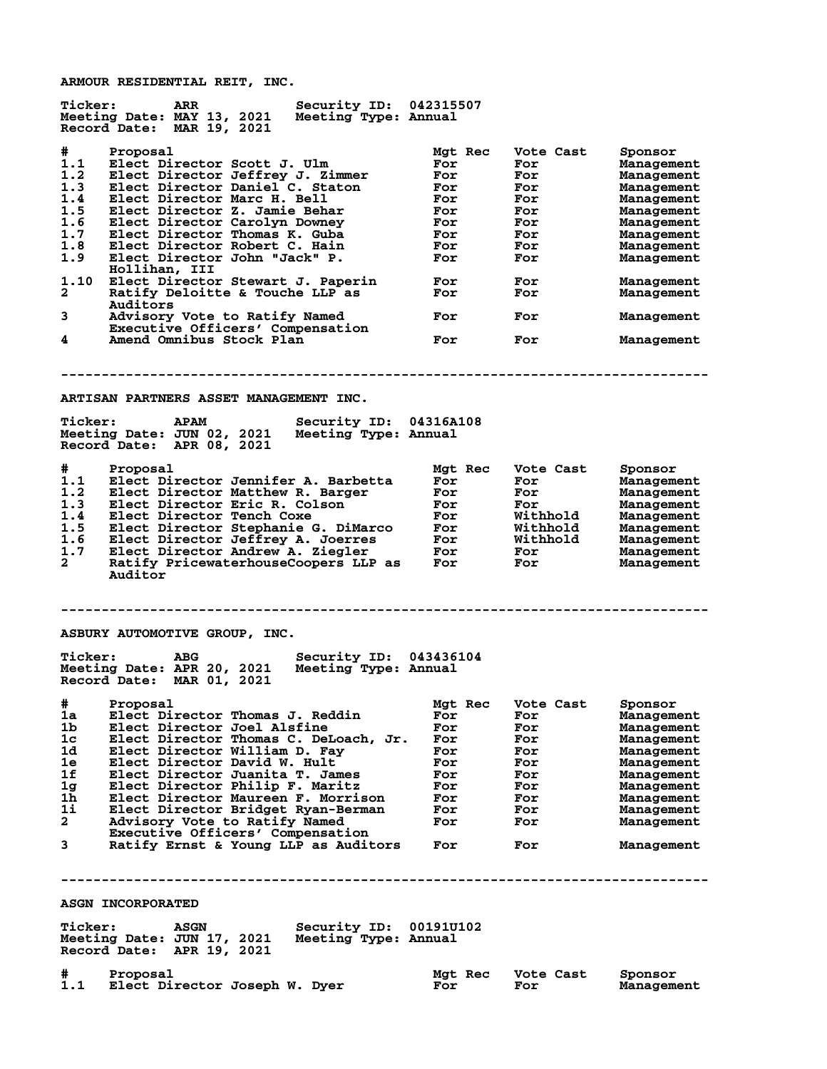**ARMOUR RESIDENTIAL REIT, INC.**

**Ticker: ARR Security ID: 042315507 Meeting Date: MAY 13, 2021 Meeting Type: Annual Record Date: MAR 19, 2021 # Proposal Mgt Rec Vote Cast Sponsor 1.1 Elect Director Scott J. Ulm For For Management 1.2 Elect Director Jeffrey J. Zimmer For For Management 1.3 Elect Director Daniel C. Staton For For Management 1.4 Elect Director Marc H. Bell For For Management 1.5 Elect Director Z. Jamie Behar For For Management 1.6 Elect Director Carolyn Downey For For Management 1.7 Elect Director Thomas K. Guba For For Management 1.8 Elect Director Robert C. Hain For For Management 1.9 Elect Director John "Jack" P. For For Management** 1.9 Elect Director John "Jack" P.<br>Hollihan, III **1.10 Elect Director Stewart J. Paperin For For Management** Ratify Deloitte & Touche LLP as  **Auditors 3 Advisory Vote to Ratify Named For For Management Executive Officers' Compensation 4 Amend Omnibus Stock Plan For For Management -------------------------------------------------------------------------------- ARTISAN PARTNERS ASSET MANAGEMENT INC. Ticker: APAM Security ID: 04316A108 Meeting Date: JUN 02, 2021 Meeting Type: Annual Record Date: APR 08, 2021 # Proposal Mgt Rec Vote Cast Sponsor 1.1 Elect Director Jennifer A. Barbetta For For Management 1.2 Elect Director Matthew R. Barger For For Management 1.3 Elect Director Eric R. Colson For For Management 1.4 Elect Director Tench Coxe For Withhold Management 1.5 Elect Director Stephanie G. DiMarco For Withhold Management 1.6 Elect Director Jeffrey A. Joerres For Withhold Management 1.7 Elect Director Andrew A. Ziegler For For Management 2 Ratify PricewaterhouseCoopers LLP as For For Management Auditor -------------------------------------------------------------------------------- ASBURY AUTOMOTIVE GROUP, INC. Ticker: ABG Security ID: 043436104 Meeting Date: APR 20, 2021 Meeting Type: Annual Record Date: MAR 01, 2021 # Proposal Mgt Rec Vote Cast Sponsor 1a Elect Director Thomas J. Reddin For For Management 1b Elect Director Joel Alsfine For For Management 1c Elect Director Thomas C. DeLoach, Jr. For For Management 1d Elect Director William D. Fay For For Management 1e Elect Director David W. Hult For For Management 1f Elect Director Juanita T. James For For Management 1g Elect Director Philip F. Maritz For For Management 1h Elect Director Maureen F. Morrison For For Management 1i Elect Director Bridget Ryan-Berman For For Management 2 Advisory Vote to Ratify Named For For Management** 2 Advisory Vote to Ratify Named<br>Executive Officers' Compensation<br>3 Ratify Ernst & Young LLP as Audit **3 Ratify Ernst & Young LLP as Auditors For For Management -------------------------------------------------------------------------------- ASGN INCORPORATED Ticker: ASGN Security ID: 00191U102 Meeting Date: JUN 17, 2021 Meeting Type: Annual Record Date: APR 19, 2021**

**# Proposal Mgt Rec Vote Cast Sponsor 1.1 Elect Director Joseph W. Dyer For For Management**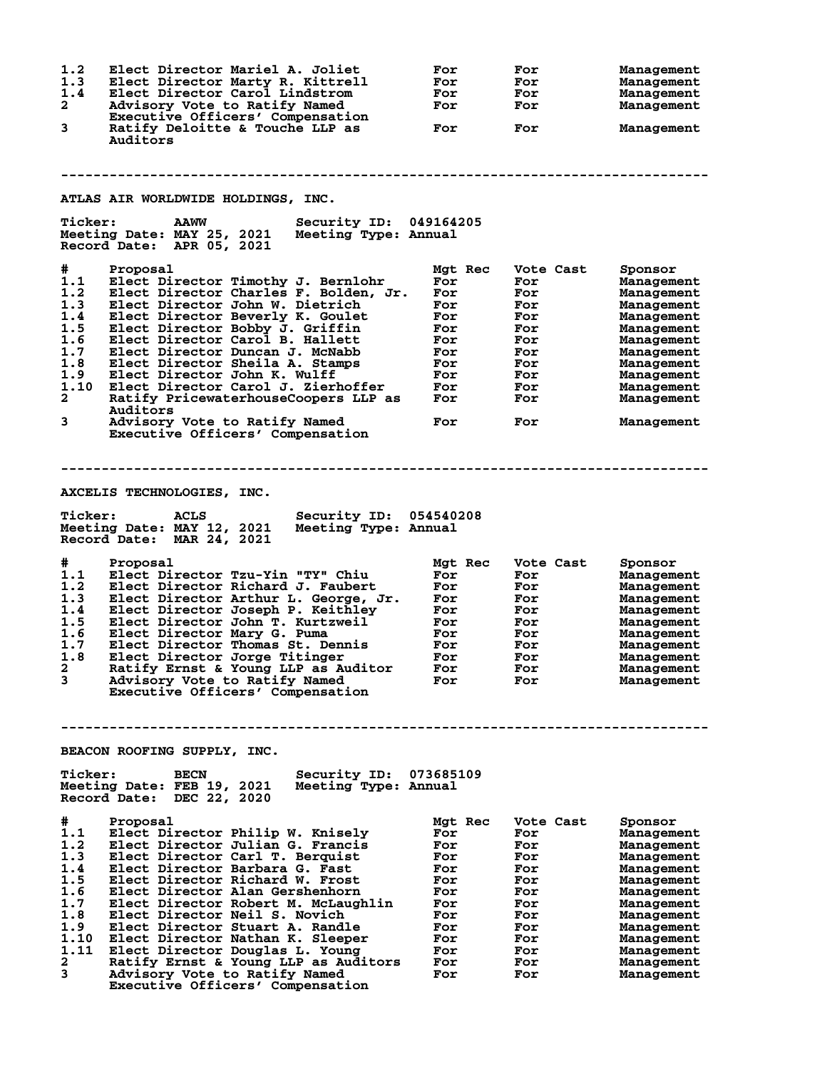| 1.2<br>1.3<br>1.4<br>$\mathbf{2}$<br>3                                                           | Elect Director Mariel A. Joliet<br>Elect Director Marty R. Kittrell<br>Elect Director Carol Lindstrom<br>Advisory Vote to Ratify Named<br>Executive Officers' Compensation<br>Ratify Deloitte & Touche LLP as<br>Auditors                                                                                                                                                                                                                                                                                                  | For<br>For<br>For<br>For<br>For                                                                    | For<br>For<br>For<br>For<br>For                                                                      | Management<br>Management<br>Management<br>Management<br>Management                                                                                                                            |  |  |
|--------------------------------------------------------------------------------------------------|----------------------------------------------------------------------------------------------------------------------------------------------------------------------------------------------------------------------------------------------------------------------------------------------------------------------------------------------------------------------------------------------------------------------------------------------------------------------------------------------------------------------------|----------------------------------------------------------------------------------------------------|------------------------------------------------------------------------------------------------------|-----------------------------------------------------------------------------------------------------------------------------------------------------------------------------------------------|--|--|
|                                                                                                  |                                                                                                                                                                                                                                                                                                                                                                                                                                                                                                                            |                                                                                                    |                                                                                                      |                                                                                                                                                                                               |  |  |
|                                                                                                  | ATLAS AIR WORLDWIDE HOLDINGS, INC.                                                                                                                                                                                                                                                                                                                                                                                                                                                                                         |                                                                                                    |                                                                                                      |                                                                                                                                                                                               |  |  |
| <b>Ticker:</b>                                                                                   | <b>AAWW</b><br>Security ID: 049164205<br>Meeting Date: MAY 25, 2021<br>Meeting Type: Annual<br>Record Date: APR 05, 2021                                                                                                                                                                                                                                                                                                                                                                                                   |                                                                                                    |                                                                                                      |                                                                                                                                                                                               |  |  |
| #.<br>1.1<br>1.2<br>1.3<br>1.4<br>1.5<br>1.6<br>1.7<br>1.8<br>1.9<br>1.10<br>$\mathbf{2}^-$<br>3 | Proposal<br>Elect Director Timothy J. Bernlohr<br>Elect Director Charles F. Bolden, Jr.<br>Elect Director John W. Dietrich<br>Elect Director Beverly K. Goulet<br>Elect Director Bobby J. Griffin<br>Elect Director Carol B. Hallett<br>Elect Director Duncan J. McNabb<br>Elect Director Sheila A. Stamps<br>Elect Director John K. Wulff<br>Elect Director Carol J. Zierhoffer<br>Ratify PricewaterhouseCoopers LLP as<br><b>Auditors</b><br>Advisory Vote to Ratify Named                                               | Mgt Rec<br>For<br>For<br>For<br>For<br>For<br>For<br>For<br>For<br>For<br>For<br>For<br>For        | Vote Cast<br>For<br>For<br>For<br>For<br>For<br>For<br>For<br>For<br>For<br>For<br>For<br>For        | Sponsor<br>Management<br>Management<br>Management<br>Management<br>Management<br>Management<br>Management<br>Management<br>Management<br>Management<br>Management<br>Management               |  |  |
|                                                                                                  | Executive Officers' Compensation                                                                                                                                                                                                                                                                                                                                                                                                                                                                                           |                                                                                                    |                                                                                                      |                                                                                                                                                                                               |  |  |
|                                                                                                  | AXCELIS TECHNOLOGIES, INC.<br><b>Ticker:</b><br><b>ACLS</b><br>Security ID: 054540208<br>Meeting Date: MAY 12, 2021<br>Meeting Type: Annual<br>Record Date: MAR 24, 2021                                                                                                                                                                                                                                                                                                                                                   |                                                                                                    |                                                                                                      |                                                                                                                                                                                               |  |  |
| #<br>1.1<br>1.2<br>1.3<br>1.4<br>1.5<br>1.6<br>1.7<br>1.8<br>$\mathbf{2}$<br>3                   | Proposal<br>Elect Director Tzu-Yin "TY" Chiu<br>Elect Director Richard J. Faubert<br>Elect Director Arthur L. George, Jr.<br>Elect Director Joseph P. Keithley<br>Elect Director John T. Kurtzweil<br>Elect Director Mary G. Puma<br>Elect Director Thomas St. Dennis<br>Elect Director Jorge Titinger<br>Ratify Ernst & Young LLP as Auditor<br>Advisory Vote to Ratify Named<br>Executive Officers' Compensation                                                                                                         | Mgt Rec<br>For<br>For<br>For<br>For<br>For<br>For<br>For<br>For<br>For<br>For                      | Vote Cast<br>For<br>For<br>For<br>For<br>For<br>For<br>For<br>For<br>For<br>For                      | Sponsor<br>Management<br>Management<br>Management<br>Management<br>Management<br>Management<br>Management<br>Management<br>Management<br>Management                                           |  |  |
|                                                                                                  |                                                                                                                                                                                                                                                                                                                                                                                                                                                                                                                            |                                                                                                    |                                                                                                      |                                                                                                                                                                                               |  |  |
|                                                                                                  | BEACON ROOFING SUPPLY, INC.                                                                                                                                                                                                                                                                                                                                                                                                                                                                                                |                                                                                                    |                                                                                                      |                                                                                                                                                                                               |  |  |
| <b>Ticker:</b>                                                                                   | Security ID:<br><b>BECN</b><br>Meeting Date: FEB 19, 2021<br>Meeting Type: Annual<br>Record Date: DEC 22, 2020                                                                                                                                                                                                                                                                                                                                                                                                             | 073685109                                                                                          |                                                                                                      |                                                                                                                                                                                               |  |  |
| #<br>1.1<br>1.2<br>1.3<br>1.4<br>1.5<br>1.6<br>1.7<br>1.8<br>1.9<br>1.10<br>1.11<br>2<br>3       | Proposal<br>Elect Director Philip W. Knisely<br>Elect Director Julian G. Francis<br>Elect Director Carl T. Berquist<br>Elect Director Barbara G. Fast<br>Elect Director Richard W. Frost<br>Elect Director Alan Gershenhorn<br>Elect Director Robert M. McLaughlin<br>Elect Director Neil S. Novich<br>Elect Director Stuart A. Randle<br>Elect Director Nathan K. Sleeper<br>Elect Director Douglas L. Young<br>Ratify Ernst & Young LLP as Auditors<br>Advisory Vote to Ratify Named<br>Executive Officers' Compensation | Mgt Rec<br>For<br>For<br>For<br>For<br>For<br>For<br>For<br>For<br>For<br>For<br>For<br>For<br>For | Vote Cast<br>For<br>For<br>For<br>For<br>For<br>For<br>For<br>For<br>For<br>For<br>For<br>For<br>For | Sponsor<br>Management<br>Management<br>Management<br>Management<br>Management<br>Management<br>Management<br>Management<br>Management<br>Management<br>Management<br>Management<br>Management |  |  |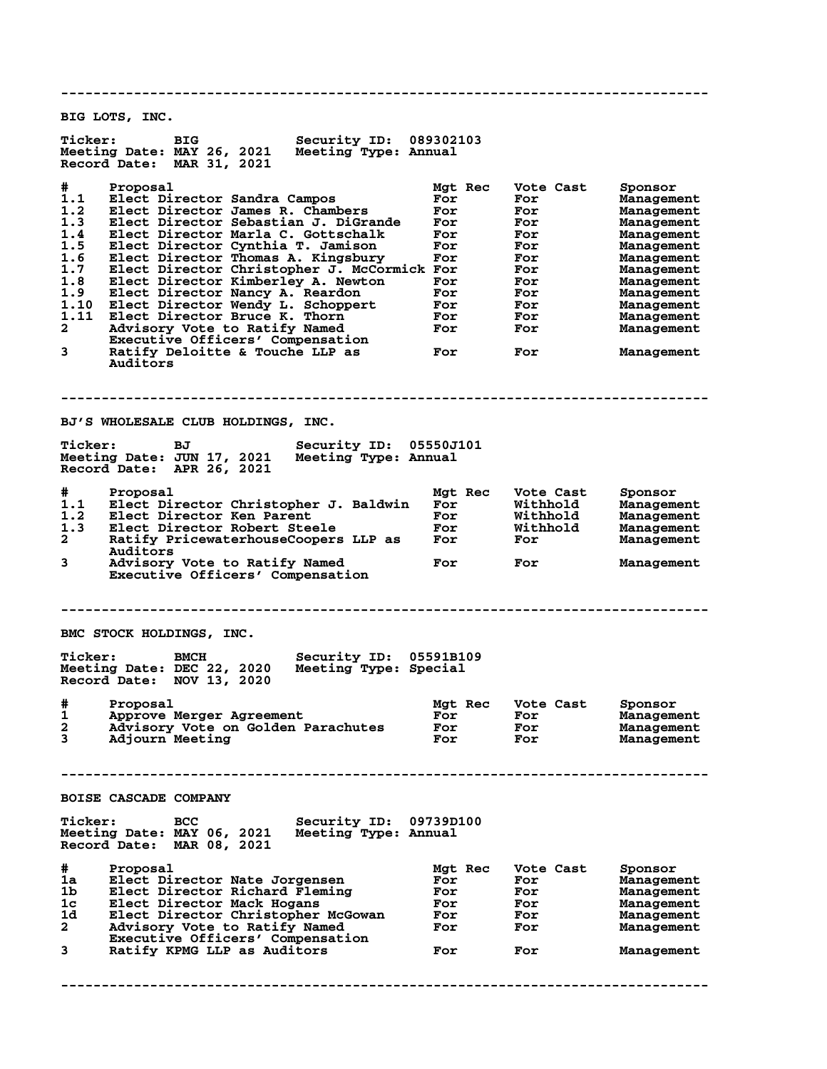**-------------------------------------------------------------------------------- BIG LOTS, INC. Ticker: BIG Security ID: 089302103 Meeting Date: MAY 26, 2021 Meeting Type: Annual Record Date: MAR 31, 2021 # Proposal Mgt Rec Vote Cast Sponsor 1.1 Elect Director Sandra Campos For For Management 1.2 Elect Director James R. Chambers For For Management 1.3 Elect Director Sebastian J. DiGrande For For Management 1.4 Elect Director Marla C. Gottschalk For For Management 1.5 Elect Director Cynthia T. Jamison For For Management 1.6 Elect Director Thomas A. Kingsbury For For Management 1.7 Elect Director Christopher J. McCormick For For Management 1.8 Elect Director Kimberley A. Newton For For Management 1.9 Elect Director Nancy A. Reardon For For Management 1.10 Elect Director Wendy L. Schoppert For For Management 1.11 Elect Director Bruce K. Thorn For For Management 2 Advisory Vote to Ratify Named For For Management Executive Officers' Compensation 3 Ratify Deloitte & Touche LLP as For For Management Auditors -------------------------------------------------------------------------------- BJ'S WHOLESALE CLUB HOLDINGS, INC.** Ticker: BJ Security ID: 05550J101<br>Meeting Date: JUN 17, 2021 Meeting Type: Annual **Meeting Date: JUN 17, 2021 Meeting Type: Annual Record Date: APR 26, 2021 # Proposal Mgt Rec Vote Cast Sponsor 1.1 Elect Director Christopher J. Baldwin For Withhold Management 1.2 Elect Director Ken Parent For Withhold Management 1.3 Elect Director Robert Steele For Withhold Management 2 Ratify PricewaterhouseCoopers LLP as For For Management Auditors 3 Advisory Vote to Ratify Named For For Management Executive Officers' Compensation -------------------------------------------------------------------------------- BMC STOCK HOLDINGS, INC. Ticker: BMCH Security ID: 05591B109 Meeting Date: DEC 22, 2020 Meeting Type: Special Record Date: NOV 13, 2020 # Proposal Mgt Rec Vote Cast Sponsor 1 Approve Merger Agreement For For Management 2 Advisory Vote on Golden Parachutes For For Management 3 Adjourn Meeting For For Management -------------------------------------------------------------------------------- BOISE CASCADE COMPANY Ticker: BCC Security ID: 09739D100 Meeting Date: MAY 06, 2021 Meeting Type: Annual Record Date: MAR 08, 2021 #** Proposal<br> **1a** Elect Director Nate Jorgensen<br> **1b** Elect Director Richard Fleming<br> **1c** Elect Director Mack Hogans<br> **1d** Elect Director Christopher McGowan<br> **2** Advisory Vote to Ratify Namagement<br> **2** Advisory Vote Con **1a Elect Director Nate Jorgensen For For Management 1b Elect Director Richard Fleming For For Management** 1c **Elect Director Mack Hogans**<br>1d **Elect Director Christopher** B **1d Elect Director Christopher McGowan For For Management 2 Advisory Vote to Ratify Named For For Management Executive Officers' Compensation 3 Ratify KPMG LLP as Auditors For For Management --------------------------------------------------------------------------------**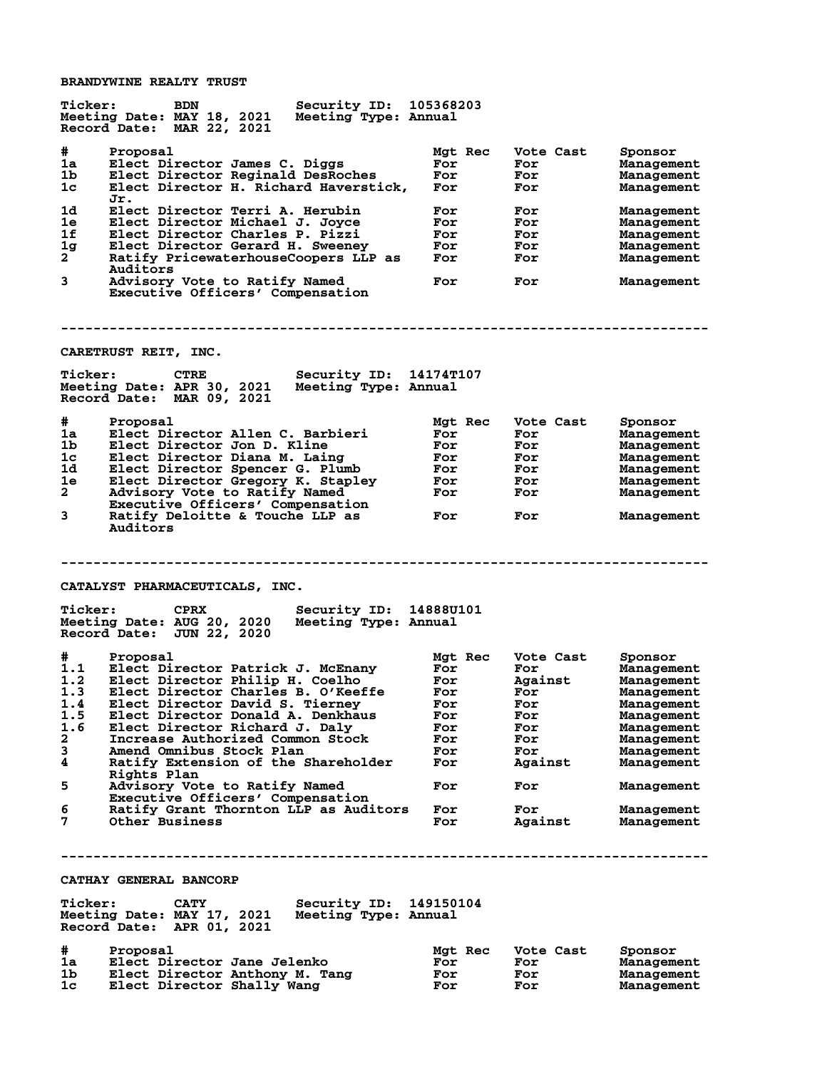**BRANDYWINE REALTY TRUST**

| <b>Ticker:</b> | Security ID: 105368203<br><b>BDN</b><br>Meeting Date: MAY 18, 2021<br>Meeting Type: Annual<br>Record Date: MAR 22, 2021       |                       |                         |                                     |
|----------------|-------------------------------------------------------------------------------------------------------------------------------|-----------------------|-------------------------|-------------------------------------|
| #<br>1a<br>1b  | Proposal<br>Elect Director James C. Diggs<br>Elect Director Reginald DesRoches                                                | Mgt Rec<br>For<br>For | Vote Cast<br>For<br>For | Sponsor<br>Management<br>Management |
| 1c             | Elect Director H. Richard Haverstick,<br>Jr.                                                                                  | For                   | For                     | <b>Management</b>                   |
| 1d<br>1e       | Elect Director Terri A. Herubin<br>Elect Director Michael J. Joyce                                                            | For<br>For            | For<br>For              | Management<br>Management            |
| 1f             | Elect Director Charles P. Pizzi                                                                                               | For                   | For                     | Management                          |
| 1 <sub>g</sub> | Elect Director Gerard H. Sweeney                                                                                              | For                   | For                     | <b>Management</b>                   |
| 2              | Ratify PricewaterhouseCoopers LLP as<br>Auditors                                                                              | For                   | For                     | Management                          |
| 3              | Advisory Vote to Ratify Named<br>Executive Officers' Compensation                                                             | For                   | For                     | Management                          |
|                |                                                                                                                               |                       |                         |                                     |
|                | CARETRUST REIT, INC.                                                                                                          |                       |                         |                                     |
| <b>Ticker:</b> | <b>CTRE</b><br><b>Security ID: 14174T107</b><br>Meeting Date: APR 30, 2021 Meeting Type: Annual<br>Record Date: MAR 09, 2021  |                       |                         |                                     |
| #              |                                                                                                                               |                       |                         |                                     |
| 1a             | Proposal<br>Elect Director Allen C. Barbieri                                                                                  | Mgt Rec<br>For        | Vote Cast<br>For        | Sponsor<br>Management               |
| 1b             | Elect Director Jon D. Kline                                                                                                   | For                   | For                     | <b>Management</b>                   |
| 1c             | Elect Director Diana M. Laing                                                                                                 | For                   | For                     | <b>Management</b>                   |
| 1d             | Elect Director Spencer G. Plumb                                                                                               | For                   | <b>For</b>              | Management                          |
| 1e             | Elect Director Gregory K. Stapley                                                                                             | <b>For</b>            | <b>For</b>              | Management                          |
| $\mathbf{2}$   | Advisory Vote to Ratify Named                                                                                                 | For                   | For                     | Management                          |
|                | Executive Officers' Compensation                                                                                              |                       |                         |                                     |
| 3              | Ratify Deloitte & Touche LLP as<br>Auditors                                                                                   | For                   | For                     | Management                          |
|                |                                                                                                                               |                       |                         |                                     |
| <b>Ticker:</b> | CATALYST PHARMACEUTICALS, INC.<br>Security ID: 14888U101<br><b>CPRX</b><br>Meeting Date: AUG 20, 2020<br>Meeting Type: Annual |                       |                         |                                     |
|                | Record Date: JUN 22, 2020                                                                                                     |                       |                         |                                     |
| #              | Proposal                                                                                                                      | Mgt Rec               | Vote Cast               | Sponsor                             |
| 1.1            | Elect Director Patrick J. McEnany                                                                                             | For                   | For                     | <b>Management</b>                   |
| 1.2            | Elect Director Philip H. Coelho                                                                                               | For                   | Against                 | Management                          |
| 1.3            | Elect Director Charles B. O'Keeffe                                                                                            | For                   | For                     | Management                          |
| 1.4            | Elect Director David S. Tierney<br>Elect Director Donald A. Denkhaus                                                          | For<br>For            | For<br>For              | Management                          |
| 1.5<br>1.6     | Elect Director Richard J. Daly                                                                                                | For                   | For                     | Management<br>Management            |
| $\mathbf{2}$   | Increase Authorized Common Stock                                                                                              | For                   | For                     | Management                          |
| 3              | Amend Omnibus Stock Plan                                                                                                      | For                   | For                     | Management                          |
| 4              | Ratify Extension of the Shareholder<br><b>Rights Plan</b>                                                                     | For                   | Against                 | Management                          |
| 5              | Advisory Vote to Ratify Named                                                                                                 | For                   | For                     | Management                          |
| 6              | Executive Officers' Compensation<br>Ratify Grant Thornton LLP as Auditors                                                     | For                   | For                     | Management                          |
| 7              | <b>Other Business</b>                                                                                                         | For                   | Against                 | Management                          |
|                |                                                                                                                               |                       |                         |                                     |
|                | CATHAY GENERAL BANCORP                                                                                                        |                       |                         |                                     |
|                |                                                                                                                               |                       |                         |                                     |
| <b>Ticker:</b> | Security ID:<br><b>CATY</b><br>Meeting Date: MAY 17, 2021<br>Meeting Type: Annual<br>Record Date: APR 01, 2021                | 149150104             |                         |                                     |
|                |                                                                                                                               |                       |                         |                                     |
| #<br>1a        | Proposal<br>Elect Director Jane Jelenko                                                                                       | Mgt Rec<br>For        | Vote Cast<br>For        | Sponsor<br>Management               |
| 1b.<br>1c      | Elect Director Anthony M. Tang<br>Elect Director Shally Wang                                                                  | For<br>For            | For<br>For              | Management<br>Management            |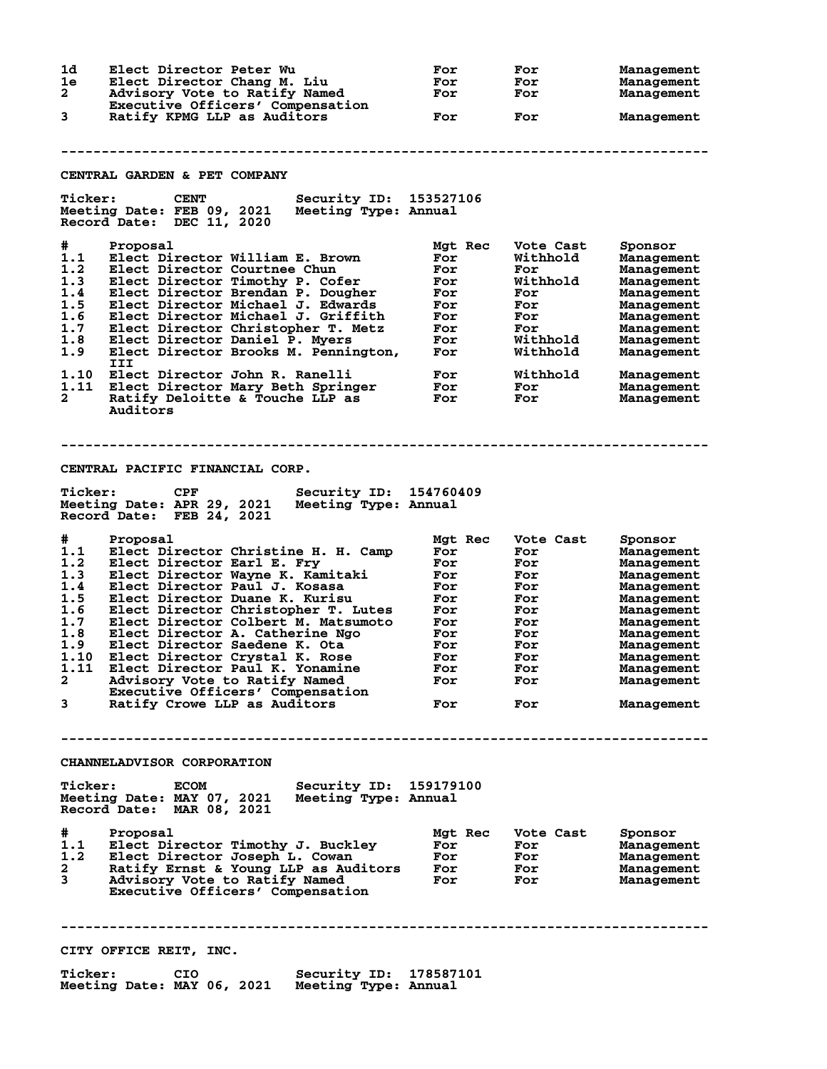**1d Elect Director Peter Wu For For Management 1e Elect Director Chang M. Liu For For Management 2 Advisory Vote to Ratify Named For For Management Executive Officers' Compensation 3 Ratify KPMG LLP as Auditors For For Management -------------------------------------------------------------------------------- CENTRAL GARDEN & PET COMPANY Ticker: CENT Security ID: 153527106 Meeting Date: FEB 09, 2021 Meeting Type: Annual Record Date: DEC 11, 2020 # Proposal Mgt Rec Vote Cast Sponsor 1.1 Elect Director William E. Brown For Withhold Management 1.2 Elect Director Courtnee Chun For For Management 1.3 Elect Director Timothy P. Cofer For Withhold Management 1.4 Elect Director Brendan P. Dougher For For Management 1.5 Elect Director Michael J. Edwards For For Management 1.6 Elect Director Michael J. Griffith For For Management 1.7 Elect Director Christopher T. Metz For For Management 1.8 Elect Director Daniel P. Myers For Withhold Management 1.9 Elect Director Brooks M. Pennington, For Withhold Management III 1.10 Elect Director John R. Ranelli For Withhold Management 1.11 Elect Director Mary Beth Springer For For Management 2 Ratify Deloitte & Touche LLP as For For Management Auditors -------------------------------------------------------------------------------- CENTRAL PACIFIC FINANCIAL CORP. Ticker: CPF Security ID: 154760409 Meeting Date: APR 29, 2021 Meeting Type: Annual Record Date: FEB 24, 2021 # Proposal Mgt Rec Vote Cast Sponsor 1.1 Elect Director Christine H. H. Camp For For Management 1.2 Elect Director Earl E. Fry For For Management 1.3 Elect Director Wayne K. Kamitaki For For Management 1.4 Elect Director Paul J. Kosasa For For Management 1.5 Elect Director Duane K. Kurisu For For Management 1.6 Elect Director Christopher T. Lutes For For Management 1.7 Elect Director Colbert M. Matsumoto For For Management 1.8 Elect Director A. Catherine Ngo For For Management 1.9 Elect Director Saedene K. Ota For For Management 1.10 Elect Director Crystal K. Rose For For Management 1.11 Elect Director Paul K. Yonamine For For Management 2 Advisory Vote to Ratify Named For For Management Executive Officers' Compensation 3 Ratify Crowe LLP as Auditors For For Management -------------------------------------------------------------------------------- CHANNELADVISOR CORPORATION Ticker: ECOM Security ID: 159179100 Meeting Date: MAY 07, 2021 Meeting Type: Annual Record Date: MAR 08, 2021 # Proposal Mgt Rec Vote Cast Sponsor 1.1 Elect Director Timothy J. Buckley For For Management 1.2 Elect Director Joseph L. Cowan For For Management 2 Ratify Ernst & Young LLP as Auditors For For Management 3 Advisory Vote to Ratify Named For For Management Executive Officers' Compensation -------------------------------------------------------------------------------- CITY OFFICE REIT, INC. Ticker: CIO Security ID: 178587101 Meeting Date: MAY 06, 2021 Meeting Type: Annual**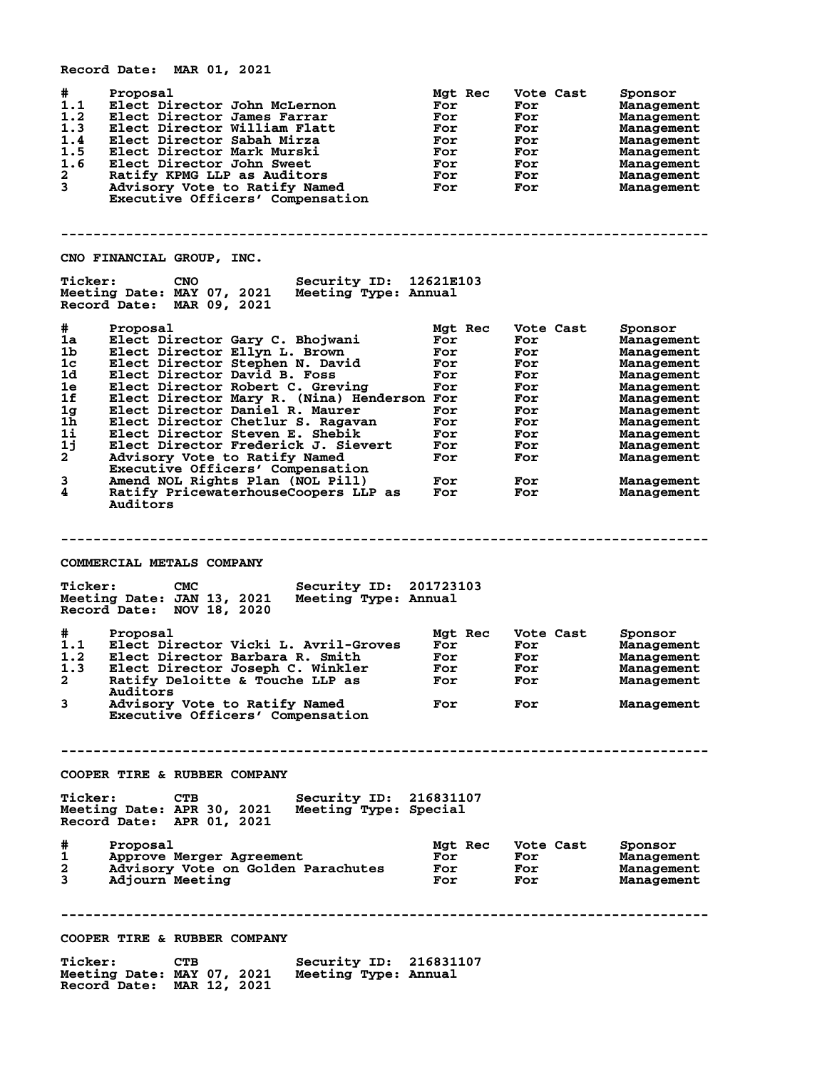|                                                                                                        | Record Date: MAR 01, 2021                                                                                                                                                                                                                                                                                                                                                                                                                                                                                                                         |                                                                                             |                                                                                                      |                                                                                                                                                                                               |
|--------------------------------------------------------------------------------------------------------|---------------------------------------------------------------------------------------------------------------------------------------------------------------------------------------------------------------------------------------------------------------------------------------------------------------------------------------------------------------------------------------------------------------------------------------------------------------------------------------------------------------------------------------------------|---------------------------------------------------------------------------------------------|------------------------------------------------------------------------------------------------------|-----------------------------------------------------------------------------------------------------------------------------------------------------------------------------------------------|
| #<br>1.1<br>1.2<br>1.3<br>1.4<br>1.5<br>1.6<br>2<br>3                                                  | Proposal<br>Elect Director John McLernon<br>Elect Director James Farrar<br>Elect Director William Flatt<br>Elect Director Sabah Mirza<br>Elect Director Mark Murski<br>Elect Director John Sweet<br>Ratify KPMG LLP as Auditors<br>Advisory Vote to Ratify Named<br>Executive Officers' Compensation                                                                                                                                                                                                                                              | Mgt Rec<br>For<br>For<br>For<br>For<br>For<br>For<br>For<br>For                             | Vote Cast<br>For<br>For<br>For<br>For<br>For<br>For<br>For<br>For                                    | Sponsor<br>Management<br>Management<br>Management<br>Management<br>Management<br>Management<br>Management<br>Management                                                                       |
|                                                                                                        | CNO FINANCIAL GROUP, INC.                                                                                                                                                                                                                                                                                                                                                                                                                                                                                                                         |                                                                                             |                                                                                                      |                                                                                                                                                                                               |
| <b>Ticker:</b>                                                                                         | Security ID: 12621E103<br><b>CNO</b><br>Meeting Date: MAY 07, 2021<br>Meeting Type: Annual<br>Record Date: MAR 09, 2021                                                                                                                                                                                                                                                                                                                                                                                                                           |                                                                                             |                                                                                                      |                                                                                                                                                                                               |
| #<br>1a<br>1b<br>1 <sub>c</sub><br>1d<br>1е<br>1f<br>1g<br>$1\bar{h}$<br>1i<br>1j<br>$2^{-}$<br>3<br>4 | Proposal<br>Elect Director Gary C. Bhojwani<br>Elect Director Ellyn L. Brown<br>Elect Director Stephen N. David<br>Elect Director David B. Foss<br>Elect Director Robert C. Greving<br>Elect Director Mary R. (Nina) Henderson For<br>Elect Director Daniel R. Maurer<br>Elect Director Chetlur S. Ragavan<br>Elect Director Steven E. Shebik<br>Elect Director Frederick J. Sievert<br>Advisory Vote to Ratify Named<br>Executive Officers' Compensation<br>Amend NOL Rights Plan (NOL Pill)<br>Ratify PricewaterhouseCoopers LLP as<br>Auditors | Mgt Rec<br>For<br>For<br>For<br>For<br>For<br>For<br>For<br>For<br>For<br>For<br>For<br>For | Vote Cast<br>For<br>For<br>For<br>For<br>For<br>For<br>For<br>For<br>For<br>For<br>For<br>For<br>For | Sponsor<br>Management<br>Management<br>Management<br>Management<br>Management<br>Management<br>Management<br>Management<br>Management<br>Management<br>Management<br>Management<br>Management |
|                                                                                                        |                                                                                                                                                                                                                                                                                                                                                                                                                                                                                                                                                   |                                                                                             |                                                                                                      |                                                                                                                                                                                               |
| <b>Ticker:</b>                                                                                         | COMMERCIAL METALS COMPANY<br><b>CMC</b><br>Security ID: 201723103<br>Meeting Date: JAN 13, 2021<br>Meeting Type: Annual<br>Record Date: NOV 18, 2020                                                                                                                                                                                                                                                                                                                                                                                              |                                                                                             |                                                                                                      |                                                                                                                                                                                               |
| #<br>1.1<br>1.2<br>1.3<br>2<br>3                                                                       | Proposal<br>Elect Director Vicki L. Avril-Groves<br>Elect Director Barbara R. Smith<br>Elect Director Joseph C. Winkler<br>Ratify Deloitte & Touche LLP as<br>Auditors<br>Advisory Vote to Ratify Named<br>Executive Officers' Compensation                                                                                                                                                                                                                                                                                                       | Mgt Rec<br>For<br>For<br>For<br>For<br>For                                                  | Vote Cast<br>For<br>For<br>For<br>For<br>For                                                         | Sponsor<br>Management<br>Management<br>Management<br>Management<br>Management                                                                                                                 |
|                                                                                                        |                                                                                                                                                                                                                                                                                                                                                                                                                                                                                                                                                   |                                                                                             |                                                                                                      |                                                                                                                                                                                               |
|                                                                                                        | COOPER TIRE & RUBBER COMPANY                                                                                                                                                                                                                                                                                                                                                                                                                                                                                                                      |                                                                                             |                                                                                                      |                                                                                                                                                                                               |
| <b>Ticker:</b>                                                                                         | <b>CTB</b><br>Security ID: 216831107<br>Meeting Date: APR 30, 2021 Meeting Type: Special<br>Record Date: APR 01, 2021                                                                                                                                                                                                                                                                                                                                                                                                                             |                                                                                             |                                                                                                      |                                                                                                                                                                                               |
| #<br>1<br>2<br>3                                                                                       | Proposal<br>Approve Merger Agreement<br>Advisory Vote on Golden Parachutes<br>Adjourn Meeting                                                                                                                                                                                                                                                                                                                                                                                                                                                     | Mgt Rec<br>For<br><b>For</b><br>For                                                         | Vote Cast<br>For<br><b>For</b><br><b>For</b>                                                         | Sponsor<br>Management<br>Management<br>Management                                                                                                                                             |
|                                                                                                        |                                                                                                                                                                                                                                                                                                                                                                                                                                                                                                                                                   |                                                                                             |                                                                                                      |                                                                                                                                                                                               |
|                                                                                                        | COOPER TIRE & RUBBER COMPANY                                                                                                                                                                                                                                                                                                                                                                                                                                                                                                                      |                                                                                             |                                                                                                      |                                                                                                                                                                                               |
| <b>Ticker:</b>                                                                                         | <b>CTB</b><br>Security ID: 216831107<br>Meeting Date: MAY 07, 2021<br>Meeting Type: Annual<br>Record Date: MAR 12, 2021                                                                                                                                                                                                                                                                                                                                                                                                                           |                                                                                             |                                                                                                      |                                                                                                                                                                                               |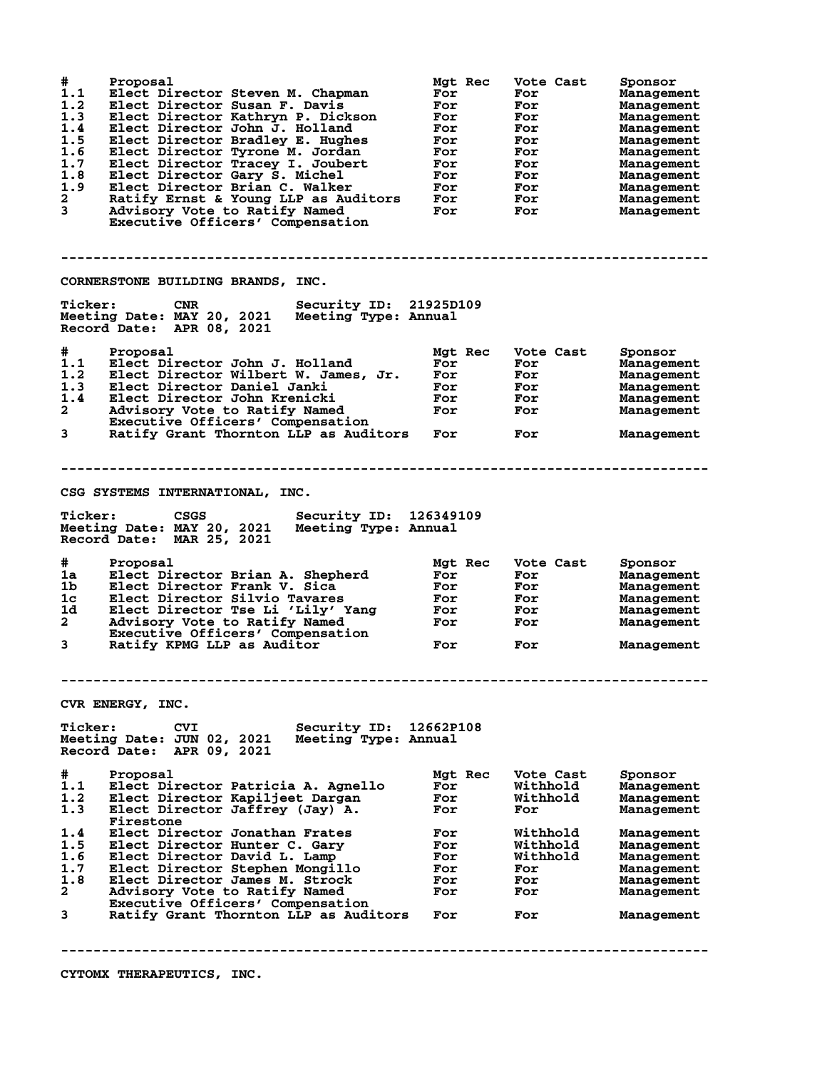| #<br>1.1<br>1.2<br>1.3<br>1.4<br>1.5<br>1.6<br>1.7<br>1.8<br>1.9<br>$\overline{\mathbf{2}}$<br>3 | Proposal<br>Elect Director Steven M. Chapman<br>Elect Director Susan F. Davis<br>Elect Director Kathryn P. Dickson<br>Elect Director John J. Holland<br>Elect Director Bradley E. Hughes<br>Elect Director Tyrone M. Jordan<br>Elect Director Tracey I. Joubert<br>Elect Director Gary S. Michel<br>Elect Director Brian C. Walker<br>Ratify Ernst & Young LLP as Auditors<br>Advisory Vote to Ratify Named<br>Executive Officers' Compensation | Mgt Rec<br>For<br>For<br>For<br>For<br>For<br>For<br>For<br>For<br>For<br>For<br>For | Vote Cast<br>For<br>For<br>For<br>For<br>For<br>For<br>For<br>For<br>For<br>For<br>For | Sponsor<br>Management<br>Management<br>Management<br>Management<br>Management<br>Management<br>Management<br>Management<br>Management<br>Management<br>Management |
|--------------------------------------------------------------------------------------------------|-------------------------------------------------------------------------------------------------------------------------------------------------------------------------------------------------------------------------------------------------------------------------------------------------------------------------------------------------------------------------------------------------------------------------------------------------|--------------------------------------------------------------------------------------|----------------------------------------------------------------------------------------|-------------------------------------------------------------------------------------------------------------------------------------------------------------------|
|                                                                                                  | CORNERSTONE BUILDING BRANDS, INC.                                                                                                                                                                                                                                                                                                                                                                                                               |                                                                                      |                                                                                        |                                                                                                                                                                   |
| <b>Ticker:</b>                                                                                   | Security ID: 21925D109<br><b>CNR</b><br>Meeting Date: MAY 20, 2021<br>Meeting Type: Annual<br>Record Date: APR 08, 2021                                                                                                                                                                                                                                                                                                                         |                                                                                      |                                                                                        |                                                                                                                                                                   |
| #<br>1.1<br>1.2<br>1.3<br>1.4<br>$\mathbf{2}$<br>3                                               | Proposal<br>Elect Director John J. Holland<br>Elect Director Wilbert W. James, Jr.<br>Elect Director Daniel Janki<br>Elect Director John Krenicki<br>Advisory Vote to Ratify Named<br>Executive Officers' Compensation<br>Ratify Grant Thornton LLP as Auditors                                                                                                                                                                                 | Mgt Rec<br>For<br>For<br>For<br>For<br>For<br>For                                    | Vote Cast<br>For<br>For<br>For<br>For<br>For<br>For                                    | Sponsor<br>Management<br>Management<br>Management<br>Management<br>Management<br>Management                                                                       |
| <b>Ticker:</b>                                                                                   | CSG SYSTEMS INTERNATIONAL, INC.<br>Security ID:<br><b>CSGS</b><br>Meeting Date: MAY 20, 2021<br>Meeting Type: Annual<br>Record Date: MAR 25, 2021                                                                                                                                                                                                                                                                                               | 126349109                                                                            |                                                                                        |                                                                                                                                                                   |
| #.<br>1a<br>1 <sub>b</sub><br>1 <sub>c</sub><br>1d<br>$\mathbf{2}$<br>3                          | Proposal<br>Elect Director Brian A. Shepherd<br>Elect Director Frank V. Sica<br>Elect Director Silvio Tavares<br>Elect Director Tse Li 'Lily' Yang<br>Advisory Vote to Ratify Named<br>Executive Officers' Compensation<br>Ratify KPMG LLP as Auditor                                                                                                                                                                                           | Mgt Rec<br>For<br>For<br>For<br>For<br>For<br>For                                    | Vote Cast<br>For<br>For<br>For<br>For<br>For<br>For                                    | Sponsor<br>Management<br>Management<br>Management<br>Management<br>Management<br>Management                                                                       |
|                                                                                                  |                                                                                                                                                                                                                                                                                                                                                                                                                                                 |                                                                                      |                                                                                        |                                                                                                                                                                   |
| <b>Ticker:</b>                                                                                   | CVR ENERGY, INC.<br>Security ID:<br><b>CVI</b><br>Meeting Type: Annual<br>Meeting Date: JUN 02, 2021<br>Record Date: APR 09, 2021                                                                                                                                                                                                                                                                                                               | 12662P108                                                                            |                                                                                        |                                                                                                                                                                   |
| #<br>1.1<br>1.2<br>1.3                                                                           | Proposal<br>Elect Director Patricia A. Agnello<br>Elect Director Kapiljeet Dargan<br>Elect Director Jaffrey (Jay) A.                                                                                                                                                                                                                                                                                                                            | Mgt Rec<br>For<br>For<br>For                                                         | Vote Cast<br>Withhold<br>Withhold<br>For                                               | Sponsor<br>Management<br>Management<br>Management                                                                                                                 |
| 1.4<br>1.5<br>1.6<br>1.7<br>1.8<br>2                                                             | Firestone<br>Elect Director Jonathan Frates<br>Elect Director Hunter C. Garv<br>Elect Director David L. Lamp<br>Elect Director Stephen Mongillo<br>Elect Director James M. Strock<br>Advisory Vote to Ratify Named<br>Executive Officers' Compensation                                                                                                                                                                                          | For<br>For<br>For<br>For<br>For<br>For                                               | Withhold<br>Withhold<br>Withhold<br>For<br>For<br>For                                  | Management<br>Management<br>Management<br>Management<br>Management<br>Management                                                                                  |
| 3                                                                                                | Ratify Grant Thornton LLP as Auditors                                                                                                                                                                                                                                                                                                                                                                                                           | For                                                                                  | For                                                                                    | Management                                                                                                                                                        |
|                                                                                                  |                                                                                                                                                                                                                                                                                                                                                                                                                                                 |                                                                                      |                                                                                        |                                                                                                                                                                   |

**CYTOMX THERAPEUTICS, INC.**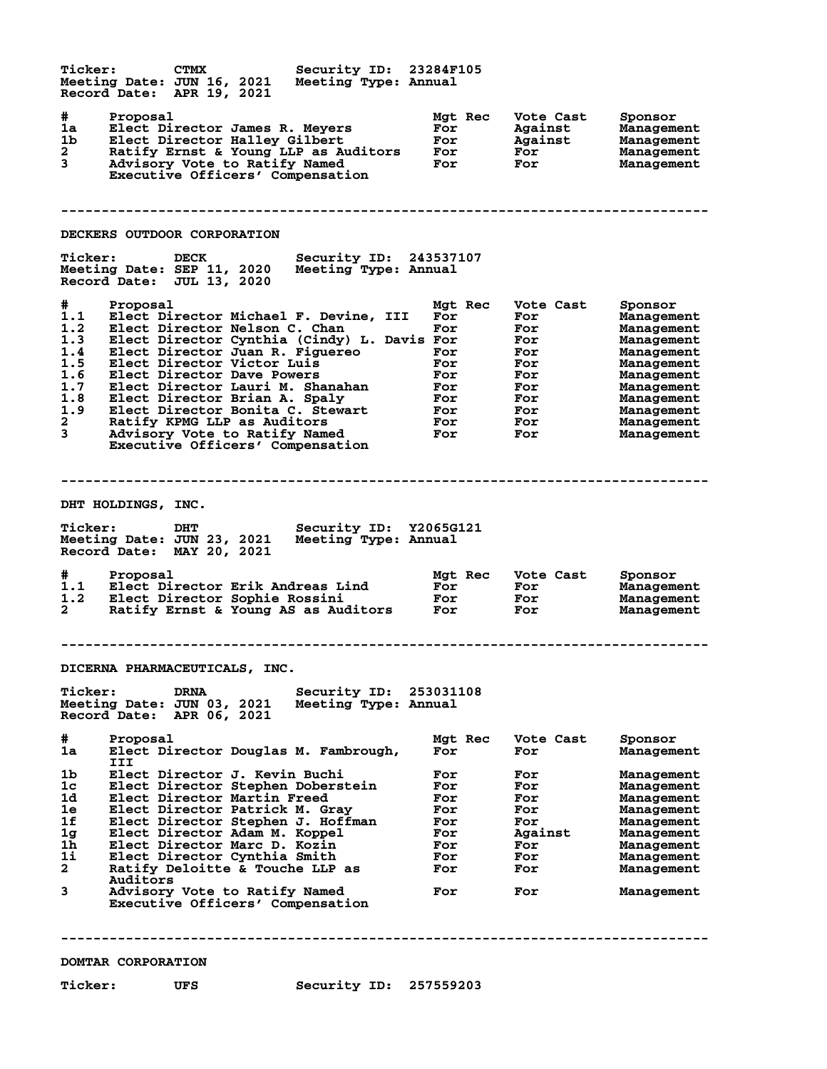**Ticker: CTMX Security ID: 23284F105 Meeting Date: JUN 16, 2021 Meeting Type: Annual Record Date: APR 19, 2021 # Proposal Mgt Rec Vote Cast Sponsor 1a Elect Director James R. Meyers For Against Management 1b Elect Director Halley Gilbert For Against Management 2 Ratify Ernst & Young LLP as Auditors For For Management 3 Advisory Vote to Ratify Named For For Management Executive Officers' Compensation -------------------------------------------------------------------------------- DECKERS OUTDOOR CORPORATION Ticker: DECK Security ID: 243537107 Meeting Date: SEP 11, 2020 Meeting Type: Annual Record Date: JUL 13, 2020 # Proposal Mgt Rec Vote Cast Sponsor 1.1 Elect Director Michael F. Devine, III For For Management** 1.2 Elect Director Nelson C. Chan For For For Management **1.3 Elect Director Cynthia (Cindy) L. Davis For For Management 1.4 Elect Director Juan R. Figuereo For For Management 1.5 Elect Director Victor Luis For For Management 1.6 Elect Director Dave Powers For For Management 1.7 Elect Director Lauri M. Shanahan For For Management 1.8 Elect Director Brian A. Spaly For For Management 1.9 Elect Director Bonita C. Stewart For For Management 2 Ratify KPMG LLP as Auditors For For Management 3 Advisory Vote to Ratify Named For For Management Executive Officers' Compensation -------------------------------------------------------------------------------- DHT HOLDINGS, INC.**<br>  $\frac{1}{2}$ **Ticker: DHT Security ID: Y2065G121 Meeting Date: JUN 23, 2021 Meeting Type: Annual Record Date: MAY 20, 2021 # Proposal Mgt Rec Vote Cast Sponsor 1.1 Elect Director Erik Andreas Lind For For Management 1.2 Elect Director Sophie Rossini For For Management 2 Ratify Ernst & Young AS as Auditors For For Management -------------------------------------------------------------------------------- DICERNA PHARMACEUTICALS, INC. Ticker: DRNA Security ID: 253031108 Meeting Date: JUN 03, 2021 Meeting Type: Annual Record Date: APR 06, 2021 # Proposal Mgt Rec Vote Cast Sponsor 1a Elect Director Douglas M. Fambrough, For For Management III 1b Elect Director J. Kevin Buchi For For Management 1c Elect Director Stephen Doberstein For For Management 1d Elect Director Martin Freed For For Management 1e Elect Director Patrick M. Gray For For Management 1f Elect Director Stephen J. Hoffman For For Management 1g Elect Director Adam M. Koppel For Against Management 1h Elect Director Marc D. Kozin For For Management 1i Elect Director Cynthia Smith For For Management 2 Ratify Deloitte & Touche LLP as For For Management Auditors 3 Advisory Vote to Ratify Named For For Management Executive Officers' Compensation -------------------------------------------------------------------------------- DOMTAR CORPORATION**

**Ticker: UFS Security ID: 257559203**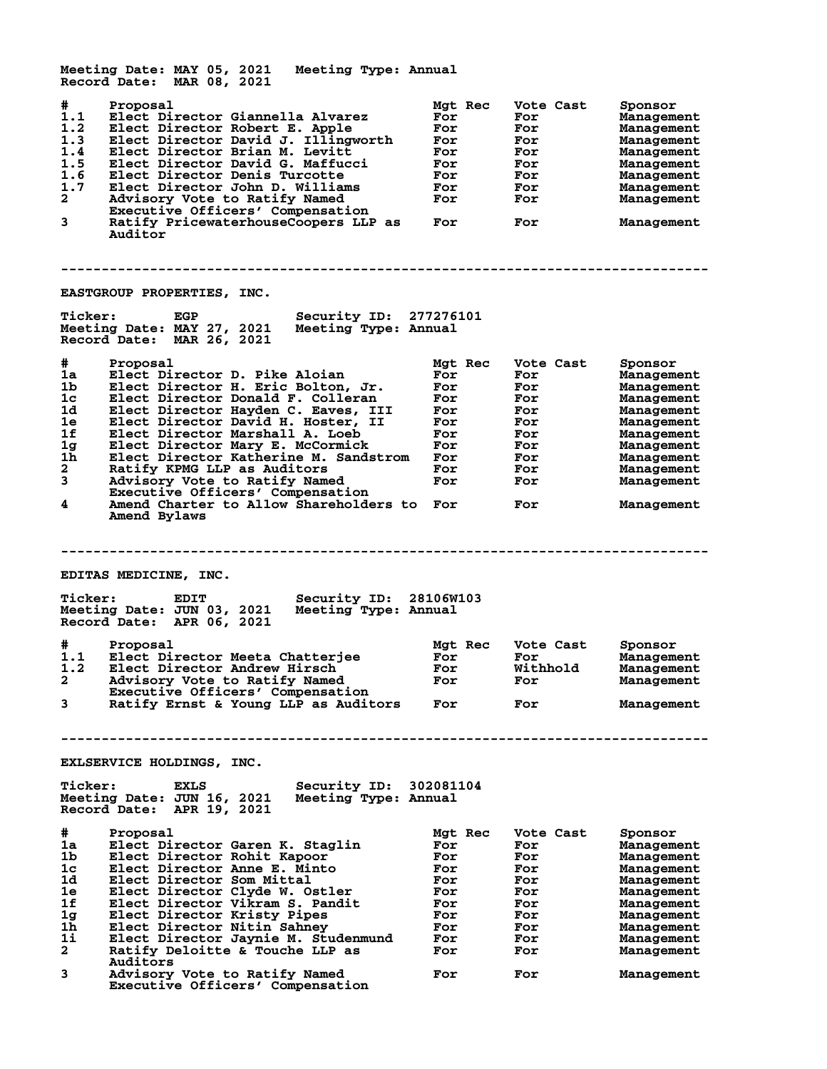**Meeting Date: MAY 05, 2021 Meeting Type: Annual Record Date: MAR 08, 2021 # Proposal Mgt Rec Vote Cast Sponsor 1.1 Elect Director Giannella Alvarez For For Management 1.2 Elect Director Robert E. Apple For For Management 1.3 Elect Director David J. Illingworth For For Management 1.4 Elect Director Brian M. Levitt For For Management 1.5 Elect Director David G. Maffucci For For Management 1.6 Elect Director Denis Turcotte For For Management 1.7 Elect Director John D. Williams For For Management 2 Advisory Vote to Ratify Named For For Management Executive Officers' Compensation 3 Ratify PricewaterhouseCoopers LLP as For For Management Ratify PricewaterhouseCoopers LLP as For**<br>Auditor **-------------------------------------------------------------------------------- EASTGROUP PROPERTIES, INC. Ticker: EGP Security ID: 277276101 Meeting Date: MAY 27, 2021 Meeting Type: Annual Record Date: MAR 26, 2021 # Proposal Mgt Rec Vote Cast Sponsor 1a Elect Director D. Pike Aloian For For Management 1b Elect Director H. Eric Bolton, Jr. For For Management 1c Elect Director Donald F. Colleran For For Management 1d Elect Director Hayden C. Eaves, III For For Management 1e Elect Director David H. Hoster, II For For Management 1f Elect Director Marshall A. Loeb For For Management 1g Elect Director Mary E. McCormick For For Management 1h Elect Director Katherine M. Sandstrom For For Management 2 Ratify KPMG LLP as Auditors For For Management 3 Advisory Vote to Ratify Named For For Management Executive Officers' Compensation 4 Amend Charter to Allow Shareholders to For For Management Amend Bylaws -------------------------------------------------------------------------------- EDITAS MEDICINE, INC. Ticker: EDIT Security ID: 28106W103 Meeting Date: JUN 03, 2021 Meeting Type: Annual Record Date: APR 06, 2021 # Proposal Mgt Rec Vote Cast Sponsor 1.1 Elect Director Meeta Chatterjee For For Management 1.2 Elect Director Andrew Hirsch For Withhold Management 2 Advisory Vote to Ratify Named For For Management Executive Officers' Compensation 3 Ratify Ernst & Young LLP as Auditors For For Management -------------------------------------------------------------------------------- EXLSERVICE HOLDINGS, INC. Ticker: EXLS Security ID: 302081104 Meeting Date: JUN 16, 2021 Meeting Type: Annual Record Date: APR 19, 2021 # Proposal Mgt Rec Vote Cast Sponsor 1a Elect Director Garen K. Staglin For For Management 1b Elect Director Rohit Kapoor For For Management 1c Elect Director Anne E. Minto For For Management 1d Elect Director Som Mittal For For Management 1e Elect Director Clyde W. Ostler For For Management 1f Elect Director Vikram S. Pandit For For Management 1g Elect Director Kristy Pipes For For Management 1h Elect Director Nitin Sahney For For Management 1i Elect Director Jaynie M. Studenmund For For Management 2 Ratify Deloitte & Touche LLP as For For Management Auditors 3 Advisory Vote to Ratify Named For For Management Executive Officers' Compensation**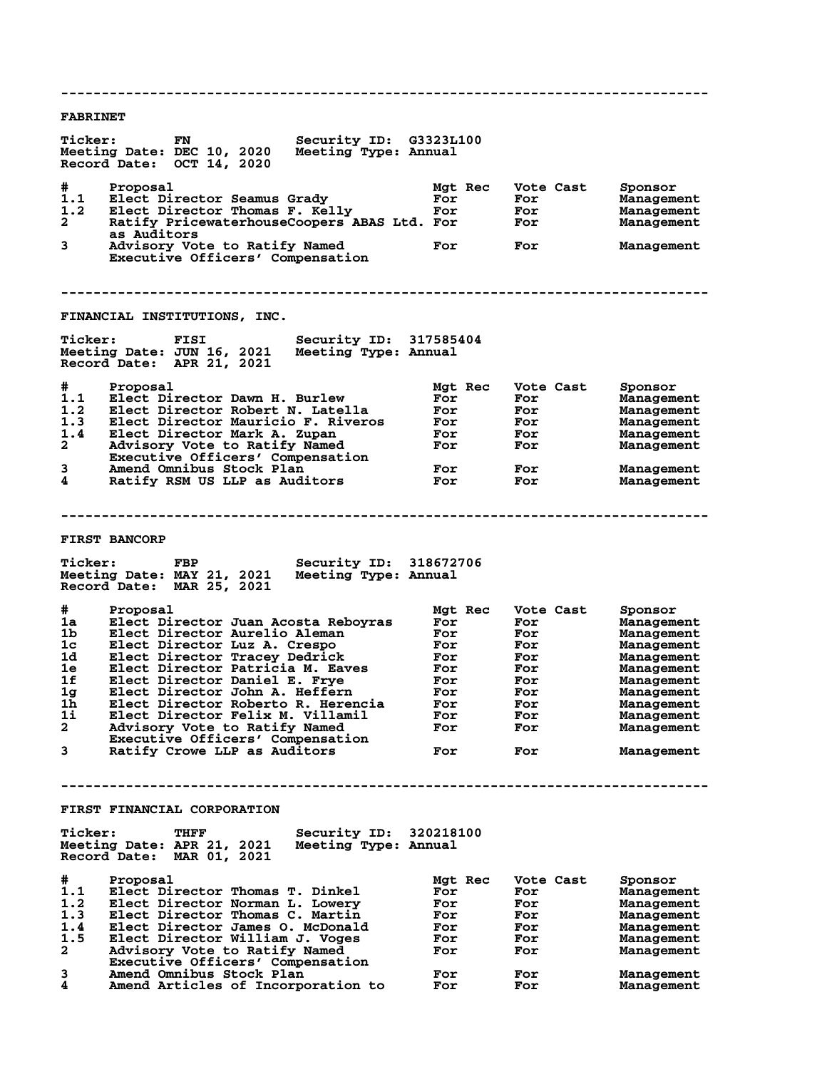**-------------------------------------------------------------------------------- FABRINET Ticker: FN Security ID: G3323L100 Meeting Date: DEC 10, 2020 Meeting Type: Annual Record Date: OCT 14, 2020 # Proposal Mgt Rec Vote Cast Sponsor 1.1 Elect Director Seamus Grady For For Management 1.2 Elect Director Thomas F. Kelly For For Management 2 Ratify PricewaterhouseCoopers ABAS Ltd. For For Management as Auditors 3 Advisory Vote to Ratify Named For For Management Executive Officers' Compensation -------------------------------------------------------------------------------- FINANCIAL INSTITUTIONS, INC. Ticker: FISI Security ID: 317585404 Meeting Date: JUN 16, 2021 Meeting Type: Annual Record Date: APR 21, 2021 # Proposal Mgt Rec Vote Cast Sponsor 1.1 Elect Director Dawn H. Burlew For For Management 1.2 Elect Director Robert N. Latella For For Management 1.3 Elect Director Mauricio F. Riveros For For Management 1.4 Elect Director Mark A. Zupan For For Management 2 Advisory Vote to Ratify Named For For Management Executive Officers' Compensation 3 Amend Omnibus Stock Plan For For Management 4 Ratify RSM US LLP as Auditors For For Management -------------------------------------------------------------------------------- FIRST BANCORP Ticker: FBP Security ID: 318672706** Meeting Date: MAY 21, 2021 **Record Date: MAR 25, 2021 # Proposal Mgt Rec Vote Cast Sponsor 1a Elect Director Juan Acosta Reboyras For For Management 1b Elect Director Aurelio Aleman For For Management 1c Elect Director Luz A. Crespo For For Management 1d Elect Director Tracey Dedrick For For Management 1e Elect Director Patricia M. Eaves For For Management 1f Elect Director Daniel E. Frye For For Management 1g Elect Director John A. Heffern For For Management 1h Elect Director Roberto R. Herencia For For Management 1i Elect Director Felix M. Villamil For For Management 2 Advisory Vote to Ratify Named For For Management Executive Officers' Compensation 3 Ratify Crowe LLP as Auditors For For Management -------------------------------------------------------------------------------- FIRST FINANCIAL CORPORATION** Ticker: THFF Security ID: 320218100<br>Meeting Date: APR 21, 2021 Meeting Type: Annual **Meeting Date: APR 21, 2021 Meeting Type: Annual Record Date: MAR 01, 2021 # Proposal Mgt Rec Vote Cast Sponsor 1.1 Elect Director Thomas T. Dinkel For For Management 1.2 Elect Director Norman L. Lowery For For Management 1.3 Elect Director Thomas C. Martin For For Management 1.4 Elect Director James O. McDonald For For Management 1.5 Elect Director William J. Voges For For Management 2 Advisory Vote to Ratify Named For For Management** 2 Advisory Vote to Ratify Named<br>Executive Officers' Compensation<br>3 Amend Omnibus Stock Plan **3 Amend Omnibus Stock Plan For For Management 4 Amend Articles of Incorporation to For For Management**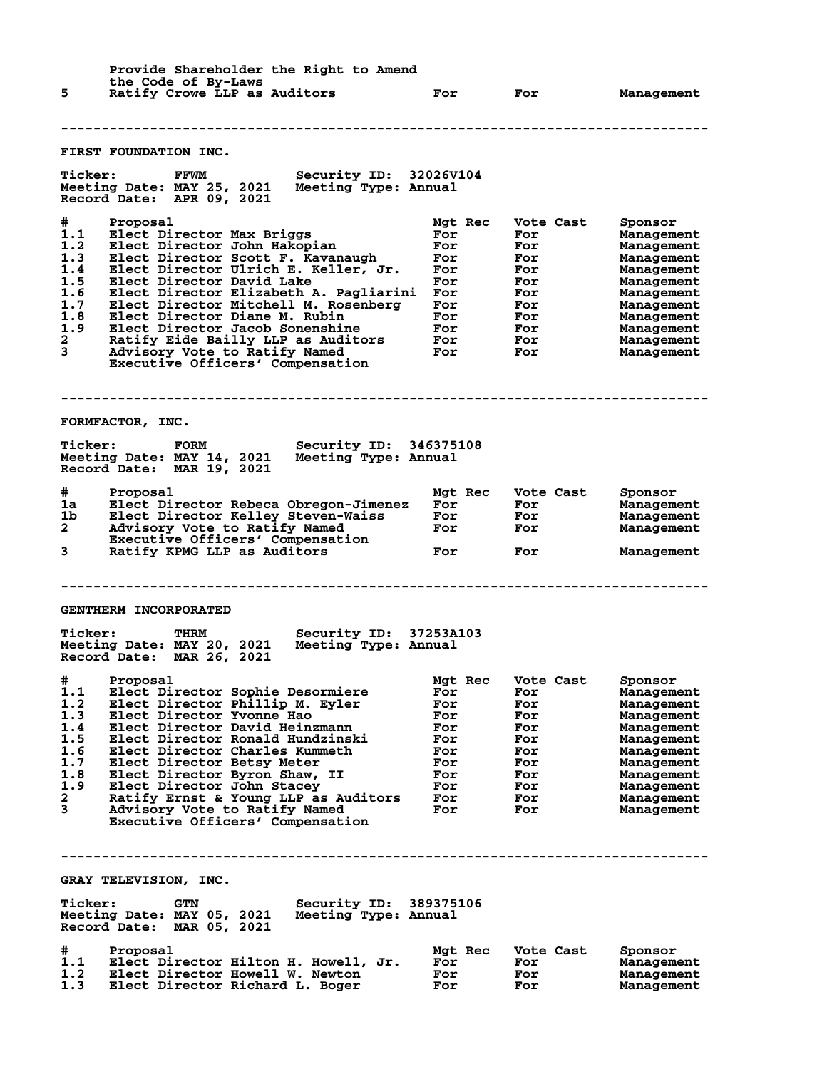| Provide Shareholder the Right to Amend<br>the Code of By-Laws |                                                                                                                              |            |                   |                          |
|---------------------------------------------------------------|------------------------------------------------------------------------------------------------------------------------------|------------|-------------------|--------------------------|
| 5                                                             | Ratify Crowe LLP as Auditors                                                                                                 | For        | For               | Management               |
|                                                               |                                                                                                                              |            |                   |                          |
|                                                               | <b>FIRST FOUNDATION INC.</b>                                                                                                 |            |                   |                          |
| <b>Ticker:</b>                                                | Security ID: 32026V104<br>FFWM<br>Meeting Date: MAY 25, 2021<br>Meeting Type: Annual<br>Record Date: APR 09, 2021            |            |                   |                          |
| #                                                             | Proposal                                                                                                                     | Mgt Rec    | Vote Cast         | Sponsor                  |
| 1.1<br>1.2                                                    | Elect Director Max Briggs<br>Elect Director John Hakopian                                                                    | For<br>For | For<br>For        | Management<br>Management |
| 1.3                                                           | Elect Director Scott F. Kavanaugh                                                                                            | For        | For               | Management               |
| 1.4<br>1.5                                                    | Elect Director Ulrich E. Keller, Jr.<br>Elect Director David Lake                                                            | For<br>For | For<br>For        | Management<br>Management |
| 1.6                                                           | Elect Director Elizabeth A. Pagliarini                                                                                       | For        | For               | Management               |
| 1.7                                                           | Elect Director Mitchell M. Rosenberg                                                                                         | For        | For               | Management               |
| 1.8<br>1.9                                                    | Elect Director Diane M. Rubin<br>Elect Director Jacob Sonenshine                                                             | For<br>For | For<br>For        | Management               |
| $\mathbf{2}$                                                  | Ratify Eide Bailly LLP as Auditors                                                                                           | <b>For</b> | For               | Management<br>Management |
| 3                                                             | Advisory Vote to Ratify Named<br>Executive Officers' Compensation                                                            | For        | For               | Management               |
|                                                               | FORMFACTOR, INC.                                                                                                             |            |                   |                          |
|                                                               |                                                                                                                              |            |                   |                          |
| <b>Ticker:</b>                                                | <b>Security ID: 346375108</b><br><b>FORM</b><br>Meeting Date: MAY 14, 2021 Meeting Type: Annual<br>Record Date: MAR 19, 2021 |            |                   |                          |
| #                                                             | Proposal                                                                                                                     | Mgt Rec    | Vote Cast         | Sponsor                  |
| 1a                                                            | Elect Director Rebeca Obregon-Jimenez                                                                                        | For        | For               | Management               |
| 1b.<br>$\mathbf{2}^-$                                         | Elect Director Kelley Steven-Waiss<br>Advisory Vote to Ratify Named                                                          | For<br>For | <b>For</b><br>For | Management<br>Management |
|                                                               | Executive Officers' Compensation                                                                                             |            |                   |                          |
| 3                                                             | Ratify KPMG LLP as Auditors                                                                                                  | For        | For               | Management               |
|                                                               |                                                                                                                              |            |                   |                          |
|                                                               | <b>GENTHERM INCORPORATED</b>                                                                                                 |            |                   |                          |
| <b>Ticker:</b>                                                | THRM<br>Security ID: 37253A103<br>Meeting Date: MAY 20, 2021<br>Meeting Type: Annual<br>Record Date: MAR 26, 2021            |            |                   |                          |
| #                                                             | Proposal                                                                                                                     | Mgt Rec    | Vote Cast         | Sponsor                  |
| 1.1                                                           | Elect Director Sophie Desormiere                                                                                             | For        | For               | Management               |
| 1.2<br>1.3                                                    | Elect Director Phillip M. Eyler<br>Elect Director Yvonne Hao                                                                 | For<br>For | For<br>For        | Management<br>Management |
| 1.4                                                           | Elect Director David Heinzmann                                                                                               | For        | For               | Management               |
| 1.5                                                           | Elect Director Ronald Hundzinski                                                                                             | For        | For               | Management               |
| 1.6<br>1.7                                                    | Elect Director Charles Kummeth<br>Elect Director Betsy Meter                                                                 | For<br>For | For<br>For        | Management               |
| 1.8                                                           | Elect Director Byron Shaw, II                                                                                                | For        | For               | Management<br>Management |
| 1.9                                                           | Elect Director John Stacey                                                                                                   | For        | For               | Management               |
| $\mathbf{2}$                                                  | Ratify Ernst & Young LLP as Auditors                                                                                         | For        | For               | Management               |
| 3                                                             | Advisory Vote to Ratify Named<br>Executive Officers' Compensation                                                            | For        | For               | Management               |
|                                                               |                                                                                                                              |            |                   |                          |
|                                                               | GRAY TELEVISION, INC.                                                                                                        |            |                   |                          |
| <b>Ticker:</b>                                                | Security ID:<br><b>GTN</b><br>Meeting Date: MAY 05, 2021<br>Meeting Type: Annual<br>Record Date: MAR 05, 2021                | 389375106  |                   |                          |
| #                                                             | Proposal                                                                                                                     | Mgt Rec    | Vote Cast         | Sponsor                  |
| 1.1<br>1.2                                                    | Elect Director Hilton H. Howell, Jr.<br>Elect Director Howell W. Newton                                                      | For<br>For | For<br>For        | Management<br>Management |
| 1.3                                                           | Elect Director Richard L. Boger                                                                                              | For        | For               | Management               |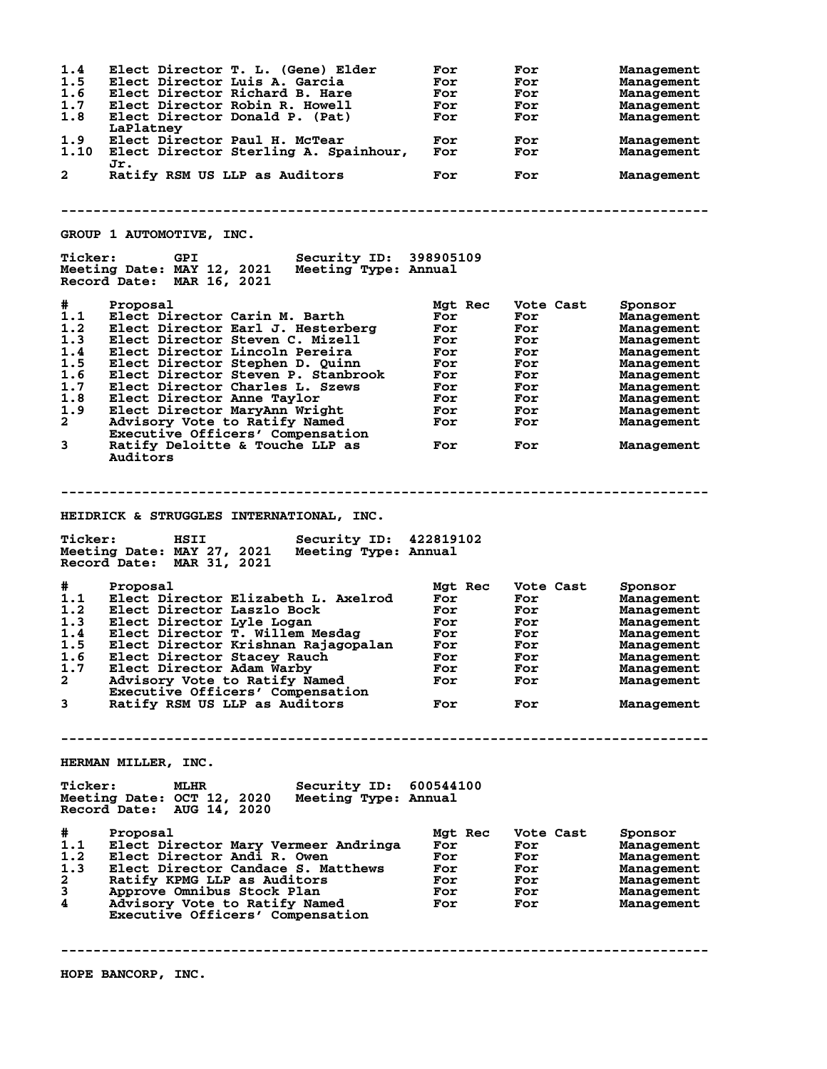**1.4 Elect Director T. L. (Gene) Elder For For Management 1.5 Elect Director Luis A. Garcia For For Management 1.6 Elect Director Richard B. Hare For For Management 1.7 Elect Director Robin R. Howell For For Management 1.8 Elect Director Donald P. (Pat) For For Management LaPlatney 1.9 Elect Director Paul H. McTear For For Management 1.10 Elect Director Sterling A. Spainhour, For For Management Jr. 2 Ratify RSM US LLP as Auditors For For Management -------------------------------------------------------------------------------- GROUP 1 AUTOMOTIVE, INC. Ticker: GPI Security ID: 398905109 Meeting Date: MAY 12, 2021 Meeting Type: Annual Record Date: MAR 16, 2021 # Proposal Mgt Rec Vote Cast Sponsor 1.1 Elect Director Carin M. Barth For For Management 1.2 Elect Director Earl J. Hesterberg For For Management 1.3 Elect Director Steven C. Mizell For For Management 1.4 Elect Director Lincoln Pereira For For Management 1.5 Elect Director Stephen D. Quinn For For Management 1.6 Elect Director Steven P. Stanbrook For For Management 1.7 Elect Director Charles L. Szews For For Management 1.8 Elect Director Anne Taylor For For Management 1.9 Elect Director MaryAnn Wright For For Management 2 Advisory Vote to Ratify Named For For Management Executive Officers' Compensation 3 Ratify Deloitte & Touche LLP as For For Management Auditors -------------------------------------------------------------------------------- HEIDRICK & STRUGGLES INTERNATIONAL, INC. Ticker: HSII Security ID: 422819102 Meeting Date: MAY 27, 2021 Meeting Type: Annual Record Date: MAR 31, 2021 # Proposal Mgt Rec Vote Cast Sponsor 1.1 Elect Director Elizabeth L. Axelrod For For Management 1.2 Elect Director Laszlo Bock For For Management 1.3 Elect Director Lyle Logan For For Management 1.4 Elect Director T. Willem Mesdag For For Management 1.5 Elect Director Krishnan Rajagopalan For For Management 1.6 Elect Director Stacey Rauch For For Management 1.7 Elect Director Adam Warby For For Management 2 Advisory Vote to Ratify Named For For Management Executive Officers' Compensation 3 Ratify RSM US LLP as Auditors For For Management -------------------------------------------------------------------------------- HERMAN MILLER, INC. Ticker: MLHR Security ID: 600544100 Meeting Date: OCT 12, 2020 Meeting Type: Annual Record Date: AUG 14, 2020 # Proposal Mgt Rec Vote Cast Sponsor 1.1 Elect Director Mary Vermeer Andringa For For Management 1.2 Elect Director Andi R. Owen For For Management 1.3 Elect Director Candace S. Matthews For For Management 2 Ratify KPMG LLP as Auditors For For Management 3 Approve Omnibus Stock Plan For For Management 4 Advisory Vote to Ratify Named For For Management Executive Officers' Compensation --------------------------------------------------------------------------------**

**HOPE BANCORP, INC.**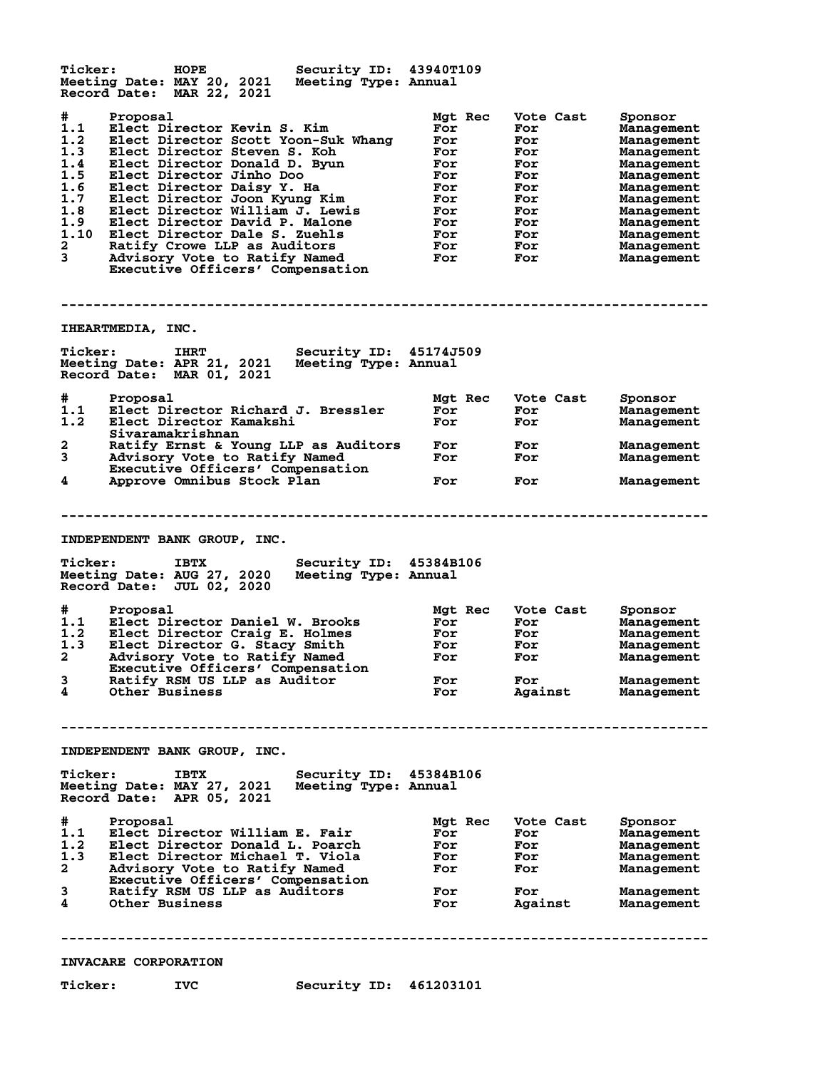**Ticker: HOPE Security ID: 43940T109 Meeting Date: MAY 20, 2021 Meeting Type: Annual Record Date: MAR 22, 2021 # Proposal Mgt Rec Vote Cast Sponsor 1.1 Elect Director Kevin S. Kim For For Management 1.2 Elect Director Scott Yoon-Suk Whang For For Management 1.3 Elect Director Steven S. Koh For For Management 1.4 Elect Director Donald D. Byun For For Management 1.5 Elect Director Jinho Doo For For Management 1.6 Elect Director Daisy Y. Ha For For Management 1.7 Elect Director Joon Kyung Kim For For Management 1.8 Elect Director William J. Lewis For For Management 1.9 Elect Director David P. Malone For For Management 1.10 Elect Director Dale S. Zuehls For For Management 2 Ratify Crowe LLP as Auditors For For Management 3 Advisory Vote to Ratify Named For For Management Executive Officers' Compensation -------------------------------------------------------------------------------- IHEARTMEDIA, INC. Ticker: IHRT Security ID: 45174J509 Meeting Date: APR 21, 2021 Meeting Type: Annual Record Date: MAR 01, 2021 # Proposal Mgt Rec Vote Cast Sponsor** # Proposal<br>1.1 Elect Director Richard J. Bressler<br>1.2 Elect Director Kamakshi **1.2 Elect Director Kamakshi For For Management** Sivaramakrishnan<br>2 Ratify Ernst & Yo **2 Ratify Ernst & Young LLP as Auditors For For Management 3 Advisory Vote to Ratify Named For For Management Executive Officers' Compensation 4 Approve Omnibus Stock Plan For For Management -------------------------------------------------------------------------------- INDEPENDENT BANK GROUP, INC. Ticker: IBTX Security ID: 45384B106 Meeting Date: AUG 27, 2020 Meeting Type: Annual Record Date: JUL 02, 2020 # Proposal Mgt Rec Vote Cast Sponsor 1.1 Elect Director Daniel W. Brooks For For Management 1.2 Elect Director Craig E. Holmes For For Management 1.3 Elect Director G. Stacy Smith For For Management 2 Advisory Vote to Ratify Named For For Management Executive Officers' Compensation 3 Ratify RSM US LLP as Auditor For For Management 4 Other Business For Against Management -------------------------------------------------------------------------------- INDEPENDENT BANK GROUP, INC. Ticker: IBTX Security ID: 45384B106 Meeting Date: MAY 27, 2021 Meeting Type: Annual Record Date: APR 05, 2021 # Proposal Mgt Rec Vote Cast Sponsor 1.1 Elect Director William E. Fair For For Management 1.2 Elect Director Donald L. Poarch For For Management 1.3 Elect Director Michael T. Viola For For Management 2 Advisory Vote to Ratify Named For For Management 2 Advisory Vote to Ratify Named<br>Executive Officers' Compensation<br>Ratify RSM US LLP as Auditors 3 Ratify RSM US LLP as Auditors For For Management 4 Other Business For Against Management -------------------------------------------------------------------------------- INVACARE CORPORATION Ticker: IVC Security ID: 461203101**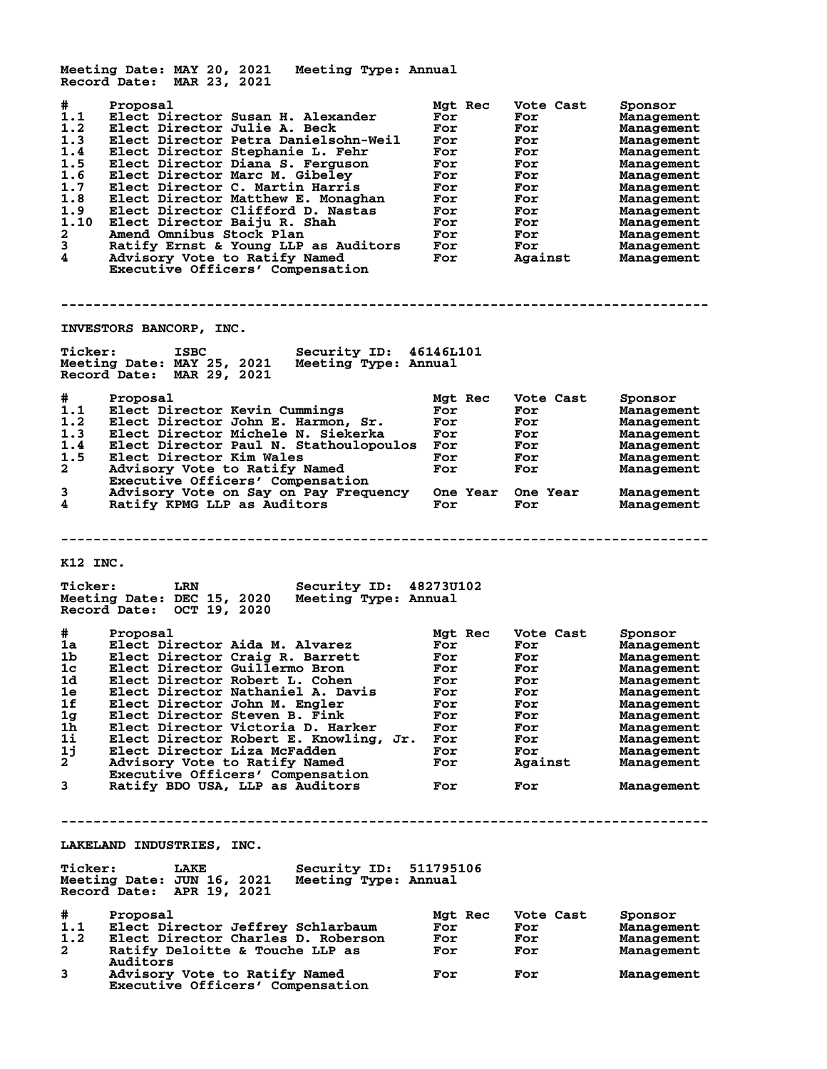**Meeting Date: MAY 20, 2021 Meeting Type: Annual Record Date: MAR 23, 2021 # Proposal Mgt Rec Vote Cast Sponsor 1.1 Elect Director Susan H. Alexander For For Management 1.2 Elect Director Julie A. Beck For For Management 1.3 Elect Director Petra Danielsohn-Weil For For Management 1.4 Elect Director Stephanie L. Fehr For For Management 1.5 Elect Director Diana S. Ferguson For For Management 1.6 Elect Director Marc M. Gibeley For For Management 1.7 Elect Director C. Martin Harris For For Management 1.8 Elect Director Matthew E. Monaghan For For Management 1.9 Elect Director Clifford D. Nastas For For Management 1.10 Elect Director Baiju R. Shah For For Management 2 Amend Omnibus Stock Plan For For Management 3 Ratify Ernst & Young LLP as Auditors For For Management 4 Advisory Vote to Ratify Named For Against Management Executive Officers' Compensation -------------------------------------------------------------------------------- INVESTORS BANCORP, INC. Ticker: ISBC Security ID: 46146L101 Meeting Date: MAY 25, 2021 Meeting Type: Annual Record Date: MAR 29, 2021 # Proposal Mgt Rec Vote Cast Sponsor 1.1 Elect Director Kevin Cummings For For Management 1.2 Elect Director John E. Harmon, Sr. For For Management 1.3 Elect Director Michele N. Siekerka For For Management 1.4 Elect Director Paul N. Stathoulopoulos For For Management 1.5 Elect Director Kim Wales For For Management 2 Advisory Vote to Ratify Named For For Management Executive Officers' Compensation 3 Advisory Vote on Say on Pay Frequency One Year One Year Management 4 Ratify KPMG LLP as Auditors For For Management -------------------------------------------------------------------------------- K12 INC. Ticker: LRN Security ID: 48273U102 Meeting Date: DEC 15, 2020 Meeting Type: Annual Record Date: OCT 19, 2020 # Proposal Mgt Rec Vote Cast Sponsor 1a Elect Director Aida M. Alvarez For For Management 1b Elect Director Craig R. Barrett For For Management 1c Elect Director Guillermo Bron For For Management 1d Elect Director Robert L. Cohen For For Management 1e Elect Director Nathaniel A. Davis For For Management 1f Elect Director John M. Engler For For Management 1g Elect Director Steven B. Fink For For Management 1h Elect Director Victoria D. Harker For For Management 1i Elect Director Robert E. Knowling, Jr. For For Management 1j Elect Director Liza McFadden For For Management 2 Advisory Vote to Ratify Named For Against Management Executive Officers' Compensation 3 Ratify BDO USA, LLP as Auditors For For Management -------------------------------------------------------------------------------- LAKELAND INDUSTRIES, INC. Ticker: LAKE Security ID: 511795106 Meeting Date: JUN 16, 2021 Meeting Type: Annual Record Date: APR 19, 2021 # Proposal Mgt Rec Vote Cast Sponsor 1.1 Elect Director Jeffrey Schlarbaum For For Management 1.2 Elect Director Charles D. Roberson For For Management 2 Ratify Deloitte & Touche LLP as For For Management** 2 Ratify De<br>Auditors<br>3 Advisory **3 Advisory Vote to Ratify Named For For For Management Executive Officers' Compensation**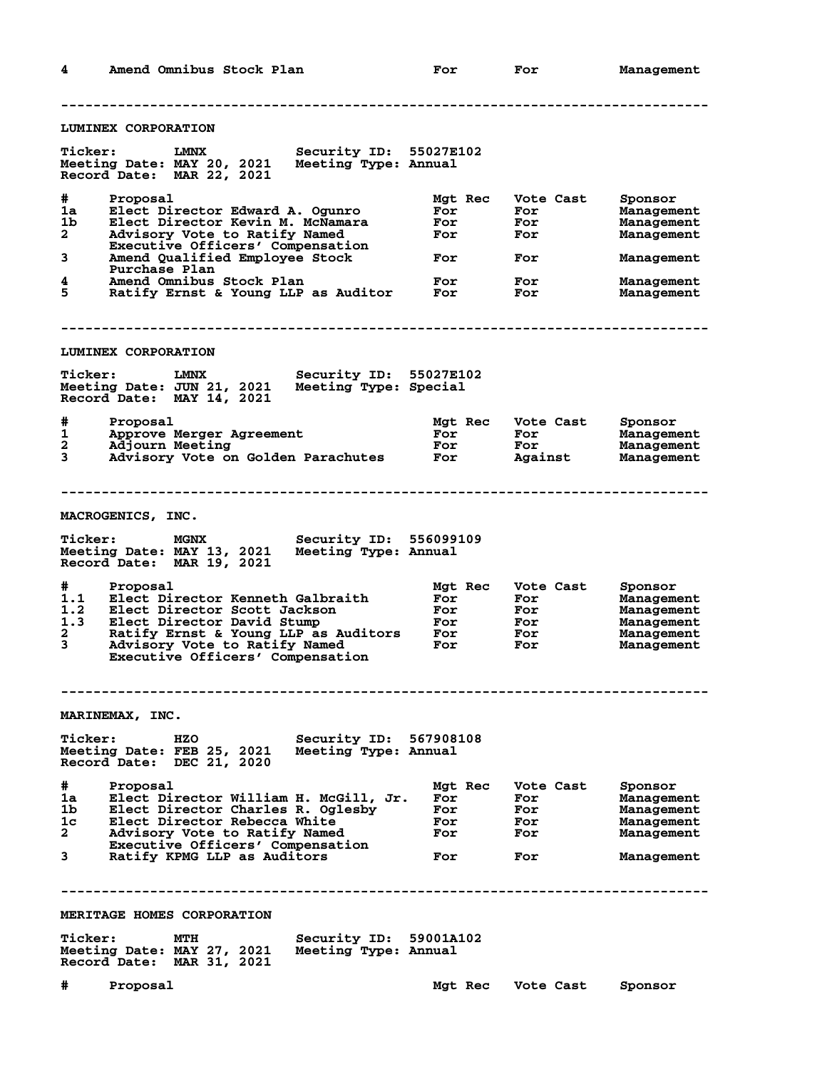**4 Amend Omnibus Stock Plan For For Management -------------------------------------------------------------------------------- LUMINEX CORPORATION Ticker: LMNX Security ID: 55027E102 Meeting Date: MAY 20, 2021 Meeting Type: Annual Record Date: MAR 22, 2021 # Proposal Mgt Rec Vote Cast Sponsor 1a Elect Director Edward A. Ogunro For For Management 1b Elect Director Kevin M. McNamara For For Management 2 Advisory Vote to Ratify Named For For Management Executive Officers' Compensation 3 Amend Qualified Employee Stock For For Management Purchase Plan 4 Amend Omnibus Stock Plan For For Management 5 Ratify Ernst & Young LLP as Auditor For For Management -------------------------------------------------------------------------------- LUMINEX CORPORATION Ticker: LMNX Security ID: 55027E102 Meeting Date: JUN 21, 2021 Meeting Type: Special Record Date: MAY 14, 2021 # Proposal Mgt Rec Vote Cast Sponsor 1 Approve Merger Agreement For For Management 2 Adjourn Meeting For For Management** 2 Adjourn Meeting **Interpolant Construment**<br>3 Advisory Vote on Golden Parachutes For Against Management **-------------------------------------------------------------------------------- MACROGENICS, INC. Ticker: MGNX Security ID: 556099109 Meeting Date: MAY 13, 2021 Meeting Type: Annual Record Date: MAR 19, 2021 # Proposal Mgt Rec Vote Cast Sponsor 1.1 Elect Director Kenneth Galbraith For For Management 1.2 Elect Director Scott Jackson For For Management 1.3 Elect Director David Stump For For Management 2 Ratify Ernst & Young LLP as Auditors For For Management 3 Advisory Vote to Ratify Named For For Management Executive Officers' Compensation -------------------------------------------------------------------------------- MARINEMAX, INC. Ticker: HZO Security ID: 567908108 Meeting Date: FEB 25, 2021 Meeting Type: Annual Record Date: DEC 21, 2020 # Proposal Mgt Rec Vote Cast Sponsor 1a Elect Director William H. McGill, Jr. For For Management 1b Elect Director Charles R. Oglesby For For Management 1c Elect Director Rebecca White For For Management 2 Advisory Vote to Ratify Named For For Management Executive Officers' Compensation 3 Ratify KPMG LLP as Auditors For For Management -------------------------------------------------------------------------------- MERITAGE HOMES CORPORATION Ticker: MTH Security ID: 59001A102 Meeting Date: MAY 27, 2021 Meeting Type: Annual Record Date: MAR 31, 2021 # Proposal Mgt Rec Vote Cast Sponsor**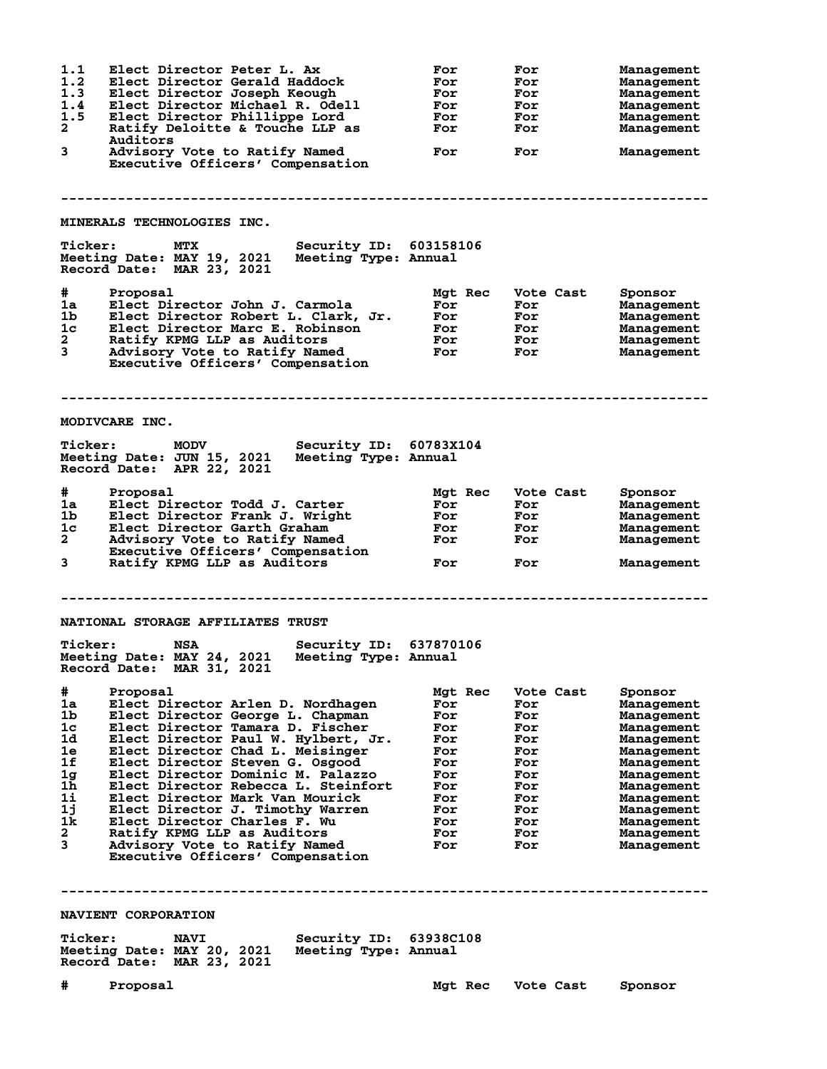**1.1 Elect Director Peter L. Ax For For Management 1.2 Elect Director Gerald Haddock For For Management 1.3 Elect Director Joseph Keough For For Management 1.4 Elect Director Michael R. Odell For For Management 1.5 Elect Director Phillippe Lord For For Management 2 Ratify Deloitte & Touche LLP as For For Management Auditors 3 Advisory Vote to Ratify Named For For Management Executive Officers' Compensation -------------------------------------------------------------------------------- MINERALS TECHNOLOGIES INC. Ticker: MTX Security ID: 603158106 Meeting Date: MAY 19, 2021 Meeting Type: Annual Record Date: MAR 23, 2021 # Proposal Mgt Rec Vote Cast Sponsor 1a Elect Director John J. Carmola For For Management 1b Elect Director Robert L. Clark, Jr. For For Management 1c Elect Director Marc E. Robinson For For Management 2 Ratify KPMG LLP as Auditors For For Management 3 Advisory Vote to Ratify Named For For Management Executive Officers' Compensation -------------------------------------------------------------------------------- MODIVCARE INC. Ticker: MODV Security ID: 60783X104 Meeting Date: JUN 15, 2021 Meeting Type: Annual Record Date: APR 22, 2021 # Proposal Mgt Rec Vote Cast Sponsor 1a Elect Director Todd J. Carter For For Management 1b Elect Director Frank J. Wright For For Management 1c Elect Director Garth Graham For For Management 2 Advisory Vote to Ratify Named For For Management Executive Officers' Compensation**<br>3 Ratify KPMG LLP as Auditors **3 Ratify KPMG LLP as Auditors For For Management -------------------------------------------------------------------------------- NATIONAL STORAGE AFFILIATES TRUST Ticker: NSA Security ID: 637870106 Meeting Date: MAY 24, 2021 Meeting Type: Annual Record Date: MAR 31, 2021 # Proposal Mgt Rec Vote Cast Sponsor 1a Elect Director Arlen D. Nordhagen For For Management 1b Elect Director George L. Chapman For For Management 1c Elect Director Tamara D. Fischer For For Management 1d Elect Director Paul W. Hylbert, Jr. For For Management 1e Elect Director Chad L. Meisinger For For Management 1f Elect Director Steven G. Osgood For For Management 1g Elect Director Dominic M. Palazzo For For Management 1h Elect Director Rebecca L. Steinfort For For Management 1i Elect Director Mark Van Mourick For For Management 1j Elect Director J. Timothy Warren For For Management 1k Elect Director Charles F. Wu For For Management 2 Ratify KPMG LLP as Auditors For For Management 3 Advisory Vote to Ratify Named For For Management Executive Officers' Compensation -------------------------------------------------------------------------------- NAVIENT CORPORATION Ticker: NAVI Security ID: 63938C108 Meeting Date: MAY 20, 2021 Meeting Type: Annual Record Date: MAR 23, 2021 # Proposal Mgt Rec Vote Cast Sponsor**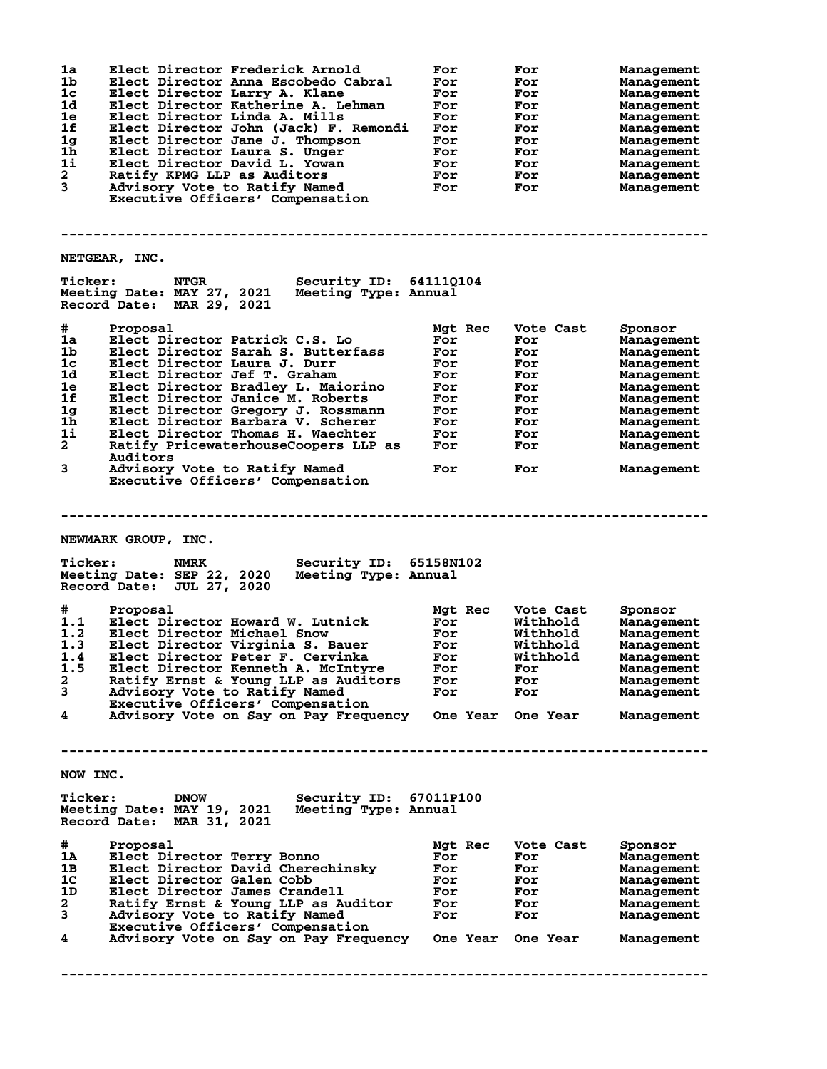| 1a<br>1b       | Elect Director Frederick Arnold<br>Elect Director Anna Escobedo Cabral | For<br>For | For<br>For | Management<br>Management |
|----------------|------------------------------------------------------------------------|------------|------------|--------------------------|
| $1c$           | Elect Director Larry A. Klane                                          | For        | For        | Management               |
| 1d             |                                                                        |            |            |                          |
|                | Elect Director Katherine A. Lehman                                     | For        | For        | Management               |
| 1e             | Elect Director Linda A. Mills                                          | For        | For        | Management               |
| 1f             | Elect Director John (Jack) F. Remondi                                  | For        | For        | Management               |
| 1 <sub>g</sub> | Elect Director Jane J. Thompson                                        | For        | For        | Management               |
| 1h             | Elect Director Laura S. Unger                                          | For        | For        | Management               |
| 1i             | Elect Director David L. Yowan                                          | For        | For        |                          |
|                |                                                                        |            |            | Management               |
| $\mathbf{2}$   | Ratify KPMG LLP as Auditors                                            | For        | For        | Management               |
| 3              | Advisory Vote to Ratify Named                                          | For        | For        | Management               |
|                | Executive Officers' Compensation                                       |            |            |                          |
|                |                                                                        |            |            |                          |
|                |                                                                        |            |            |                          |
|                |                                                                        |            |            |                          |
|                | NETGEAR, INC.                                                          |            |            |                          |
| <b>Ticker:</b> | <b>Security ID: 64111Q104</b><br><b>NTGR</b>                           |            |            |                          |
|                | Meeting Date: MAY 27, 2021<br>Meeting Type: Annual                     |            |            |                          |
|                | Record Date: MAR 29, 2021                                              |            |            |                          |
|                |                                                                        |            |            |                          |
| #              | Proposal                                                               | Mgt Rec    | Vote Cast  | Sponsor                  |
| 1a             | Elect Director Patrick C.S. Lo                                         | For        | For        | Management               |
| 1b             | Elect Director Sarah S. Butterfass                                     | For        | For        | Management               |
|                |                                                                        |            |            |                          |
| 1c             | Elect Director Laura J. Durr                                           | For        | For        | Management               |
| 1d             | Elect Director Jef T. Graham                                           | For        | For        | Management               |
| 1e             | Elect Director Bradley L. Maiorino                                     | For        | For        | Management               |
| 1f             | Elect Director Janice M. Roberts                                       | For        | For        | Management               |
| 1 <sub>g</sub> | Elect Director Gregory J. Rossmann                                     | For        | For        | Management               |
|                |                                                                        |            |            |                          |
| 1h             | Elect Director Barbara V. Scherer                                      | For        | For        | Management               |
| 1i             | Elect Director Thomas H. Waechter                                      | For        | For        | Management               |
| $\mathbf{2}$   | Ratify PricewaterhouseCoopers LLP as                                   | For        | For        | Management               |
|                | Auditors                                                               |            |            |                          |
|                |                                                                        |            |            |                          |
| 3              | Advisory Vote to Ratify Named                                          | For        | For        | Management               |
|                | Executive Officers' Compensation                                       |            |            |                          |
|                |                                                                        |            |            |                          |
|                |                                                                        |            |            |                          |
|                |                                                                        |            |            |                          |
|                |                                                                        |            |            |                          |
|                |                                                                        |            |            |                          |
|                |                                                                        |            |            |                          |
|                | NEWMARK GROUP, INC.                                                    |            |            |                          |
|                |                                                                        |            |            |                          |
| <b>Ticker:</b> | NMRK                                                                   |            |            |                          |
|                | Security ID: 65158N102                                                 |            |            |                          |
|                | Meeting Date: SEP 22, 2020<br>Meeting Type: Annual                     |            |            |                          |
|                | Record Date: JUL 27, 2020                                              |            |            |                          |
|                |                                                                        |            |            |                          |
| #              | Proposal                                                               | Mgt Rec    | Vote Cast  | Sponsor                  |
|                |                                                                        |            |            |                          |
| 1.1            | Elect Director Howard W. Lutnick                                       | For        | Withhold   | Management               |
| 1.2            | Elect Director Michael Snow                                            | For        | Withhold   | Management               |
| 1.3            | Elect Director Virginia S. Bauer                                       | For        | Withhold   | Management               |
| 1.4            | Elect Director Peter F. Cervinka                                       | For        | Withhold   | Management               |
|                |                                                                        |            |            |                          |
| 1.5            | Elect Director Kenneth A. McIntyre                                     | For        | For        | Management               |
| 2              | Ratify Ernst & Young LLP as Auditors                                   | For        | For        | Management               |
| 3              | Advisory Vote to Ratify Named                                          | For        | For        | Management               |
|                | Executive Officers' Compensation                                       |            |            |                          |
| 4              | Advisory Vote on Say on Pay Frequency One Year One Year                |            |            | Management               |
|                |                                                                        |            |            |                          |
|                |                                                                        |            |            |                          |
|                |                                                                        |            |            |                          |
|                |                                                                        |            |            |                          |
|                |                                                                        |            |            |                          |
| NOW INC.       |                                                                        |            |            |                          |
|                |                                                                        |            |            |                          |
| <b>Ticker:</b> | Security ID: 67011P100<br><b>DNOW</b>                                  |            |            |                          |
|                |                                                                        |            |            |                          |
|                | Meeting Date: MAY 19, 2021<br>Meeting Type: Annual                     |            |            |                          |
|                | Record Date: MAR 31, 2021                                              |            |            |                          |
|                |                                                                        |            |            |                          |
| #              | Proposal                                                               | Mgt Rec    | Vote Cast  | Sponsor                  |
|                |                                                                        | For        | For        |                          |
| 1A             | Elect Director Terry Bonno                                             |            |            | Management               |
| 1в.            | Elect Director David Cherechinsky                                      | For        | <b>For</b> | Management               |
| 1 <sup>c</sup> | Elect Director Galen Cobb                                              | For        | For        | Management               |
| 1D             | Elect Director James Crandell                                          | For        | For        | Management               |
|                |                                                                        |            |            |                          |
| $\mathbf{2}$   | Ratify Ernst & Young LLP as Auditor                                    | For        | For        | Management               |
| $\mathbf{3}$   | Advisory Vote to Ratify Named                                          | For        | For        | Management               |
|                | Executive Officers' Compensation                                       |            |            |                          |
| 4              | Advisory Vote on Say on Pay Frequency One Year One Year                |            |            | Management               |
|                |                                                                        |            |            |                          |
|                |                                                                        |            |            |                          |
|                |                                                                        |            |            |                          |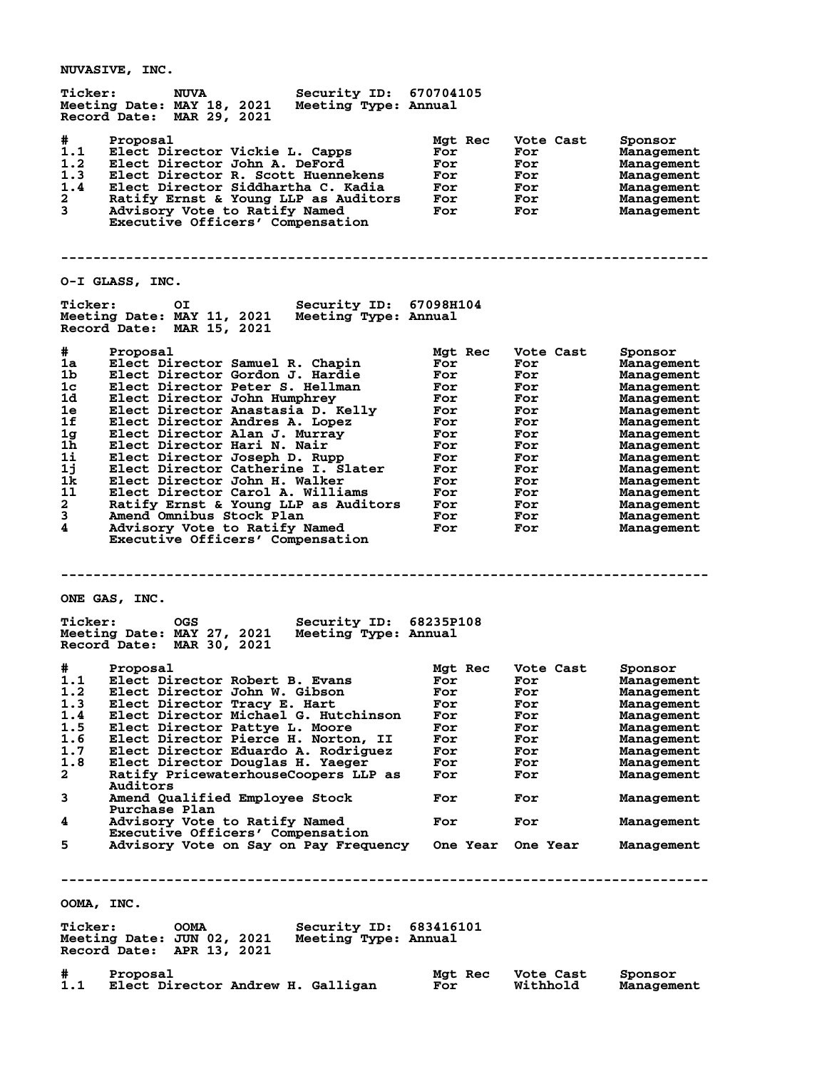**Ticker: NUVA Security ID: 670704105 Meeting Date: MAY 18, 2021 Meeting Type: Annual Record Date: MAR 29, 2021 # Proposal Mgt Rec Vote Cast Sponsor 1.1 Elect Director Vickie L. Capps For For Management 1.2 Elect Director John A. DeFord For For Management 1.3 Elect Director R. Scott Huennekens For For Management 1.4 Elect Director Siddhartha C. Kadia For For Management 2 Ratify Ernst & Young LLP as Auditors For For Management 3 Advisory Vote to Ratify Named For For Management Executive Officers' Compensation -------------------------------------------------------------------------------- O-I GLASS, INC. Ticker: OI Security ID: 67098H104 Meeting Date: MAY 11, 2021 Meeting Type: Annual Record Date: MAR 15, 2021 # Proposal Mgt Rec Vote Cast Sponsor 1a Elect Director Samuel R. Chapin For For Management 1b Elect Director Gordon J. Hardie For For Management 1c Elect Director Peter S. Hellman For For Management 1d Elect Director John Humphrey For For Management 1e Elect Director Anastasia D. Kelly For For Management 1f Elect Director Andres A. Lopez For For Management 1g Elect Director Alan J. Murray For For Management 1h Elect Director Hari N. Nair For For Management 1i Elect Director Joseph D. Rupp For For Management 1j Elect Director Catherine I. Slater For For Management 1k Elect Director John H. Walker For For Management 1l Elect Director Carol A. Williams For For Management 2 Ratify Ernst & Young LLP as Auditors For For Management 3 Amend Omnibus Stock Plan For For Management 4 Advisory Vote to Ratify Named For For Management Executive Officers' Compensation -------------------------------------------------------------------------------- ONE GAS, INC. Ticker: OGS Security ID: 68235P108 Meeting Date: MAY 27, 2021 Meeting Type: Annual Record Date: MAR 30, 2021 # Proposal Mgt Rec Vote Cast Sponsor 1.1 Elect Director Robert B. Evans For For Management 1.2 Elect Director John W. Gibson For For Management 1.3 Elect Director Tracy E. Hart For For Management 1.4 Elect Director Michael G. Hutchinson For For Management 1.5 Elect Director Pattye L. Moore For For Management 1.6 Elect Director Pierce H. Norton, II For For Management 1.7 Elect Director Eduardo A. Rodriguez For For Management 1.8 Elect Director Douglas H. Yaeger For For Management 2 Ratify PricewaterhouseCoopers LLP as For For Management Auditors 3 Amend Qualified Employee Stock For For Management** Purchase Plan<br>4 Advisory Vote to Ratify Named **4 Advisory Vote to Ratify Named For For Management Executive Officers' Compensation 5 Advisory Vote on Say on Pay Frequency One Year One Year Management -------------------------------------------------------------------------------- OOMA, INC. Ticker: OOMA Security ID: 683416101 Meeting Date: JUN 02, 2021 Meeting Type: Annual Record Date: APR 13, 2021 # Proposal Mgt Rec Vote Cast Sponsor**

**1.1 Elect Director Andrew H. Galligan For Withhold Management**

**NUVASIVE, INC.**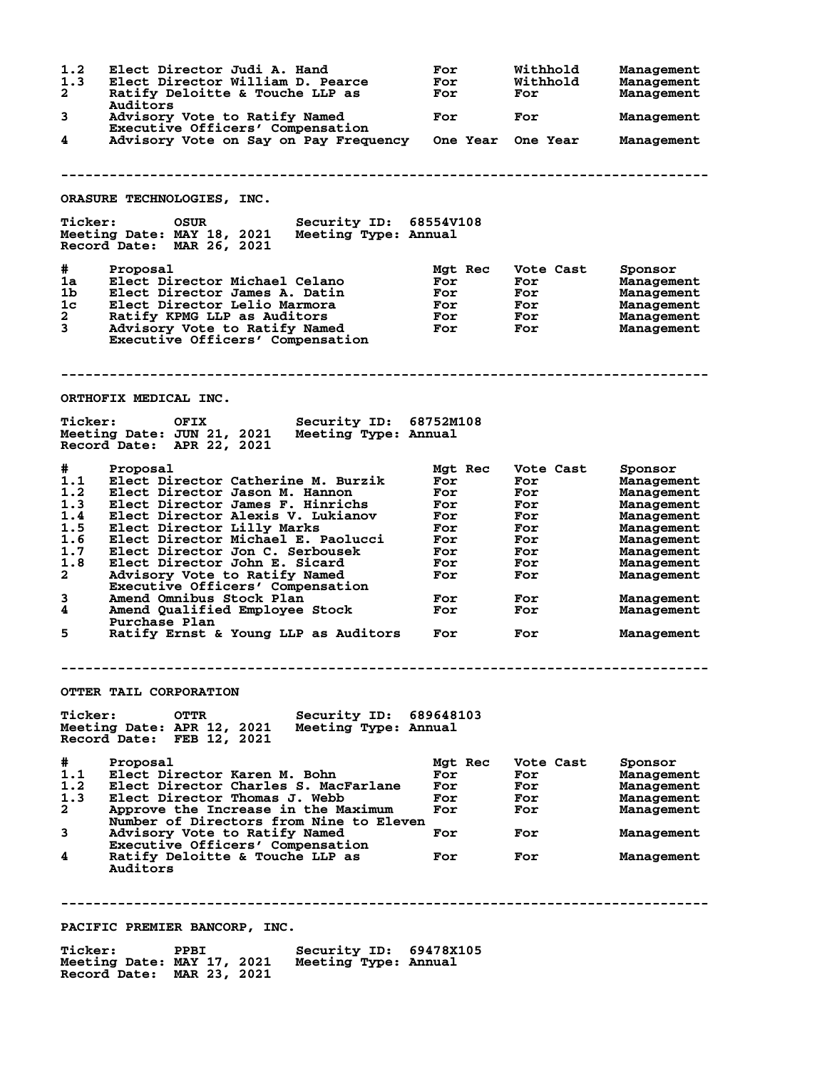| 1.2<br>1.3<br>2<br>3                                                                     | Elect Director Judi A. Hand<br>Elect Director William D. Pearce<br>Ratify Deloitte & Touche LLP as<br>Auditors<br>Advisory Vote to Ratify Named                                                                                                                                                                                                                                                                                                                                               | For<br>For<br>For<br>For                                                                    | Withhold<br>Withhold<br>For<br>For                                                            | Management<br>Management<br>Management<br>Management                                                                                                              |
|------------------------------------------------------------------------------------------|-----------------------------------------------------------------------------------------------------------------------------------------------------------------------------------------------------------------------------------------------------------------------------------------------------------------------------------------------------------------------------------------------------------------------------------------------------------------------------------------------|---------------------------------------------------------------------------------------------|-----------------------------------------------------------------------------------------------|-------------------------------------------------------------------------------------------------------------------------------------------------------------------|
|                                                                                          | Executive Officers' Compensation                                                                                                                                                                                                                                                                                                                                                                                                                                                              |                                                                                             |                                                                                               |                                                                                                                                                                   |
| 4                                                                                        | Advisory Vote on Say on Pay Frequency One Year One Year                                                                                                                                                                                                                                                                                                                                                                                                                                       |                                                                                             |                                                                                               | Management                                                                                                                                                        |
|                                                                                          | ORASURE TECHNOLOGIES, INC.                                                                                                                                                                                                                                                                                                                                                                                                                                                                    |                                                                                             |                                                                                               |                                                                                                                                                                   |
| <b>Ticker:</b>                                                                           | Security ID: 68554V108<br>OSUR<br>Meeting Date: MAY 18, 2021<br>Meeting Type: Annual<br>Record Date: MAR 26, 2021                                                                                                                                                                                                                                                                                                                                                                             |                                                                                             |                                                                                               |                                                                                                                                                                   |
| #<br>1a<br>1b<br>1c<br>$\mathbf{2}^-$<br>3                                               | Proposal<br>Elect Director Michael Celano<br>Elect Director James A. Datin<br>Elect Director Lelio Marmora<br>Ratify KPMG LLP as Auditors<br>Advisory Vote to Ratify Named<br>Executive Officers' Compensation                                                                                                                                                                                                                                                                                | Mgt Rec<br>For<br>For<br>For<br><b>For</b><br>For                                           | Vote Cast<br>For<br>For<br>For<br>For<br>For                                                  | Sponsor<br>Management<br>Management<br>Management<br>Management<br>Management                                                                                     |
|                                                                                          | ORTHOFIX MEDICAL INC.                                                                                                                                                                                                                                                                                                                                                                                                                                                                         |                                                                                             |                                                                                               |                                                                                                                                                                   |
| <b>Ticker:</b>                                                                           | <b>OFIX</b><br><b>Security ID: 68752M108</b><br>Meeting Date: JUN 21, 2021<br>Meeting Type: Annual<br>Record Date: APR 22, 2021                                                                                                                                                                                                                                                                                                                                                               |                                                                                             |                                                                                               |                                                                                                                                                                   |
| #<br>1.1<br>1.2<br>1.3<br>1.4<br>1.5<br>1.6<br>1.7<br>1.8<br>$\mathbf{2}$<br>3<br>4<br>5 | Proposal<br>Elect Director Catherine M. Burzik<br>Elect Director Jason M. Hannon<br>Elect Director James F. Hinrichs<br>Elect Director Alexis V. Lukianov<br>Elect Director Lilly Marks<br>Elect Director Michael E. Paolucci<br>Elect Director Jon C. Serbousek<br>Elect Director John E. Sicard<br>Advisory Vote to Ratify Named<br>Executive Officers' Compensation<br>Amend Omnibus Stock Plan<br>Amend Qualified Employee Stock<br>Purchase Plan<br>Ratify Ernst & Young LLP as Auditors | Mgt Rec<br>For<br>For<br>For<br>For<br>For<br>For<br>For<br>For<br>For<br>For<br>For<br>For | Vote Cast<br>For<br>For<br>For<br>For<br>For<br>For<br>For<br>For<br>For<br>For<br>For<br>For | Sponsor<br>Management<br>Management<br>Management<br>Management<br>Management<br>Management<br>Management<br>Management<br>Management<br>Management<br>Management |
|                                                                                          |                                                                                                                                                                                                                                                                                                                                                                                                                                                                                               |                                                                                             |                                                                                               | Management                                                                                                                                                        |
|                                                                                          | OTTER TAIL CORPORATION                                                                                                                                                                                                                                                                                                                                                                                                                                                                        |                                                                                             |                                                                                               |                                                                                                                                                                   |
| <b>Ticker:</b>                                                                           | <b>OTTR</b><br>Security ID: 689648103<br>Meeting Date: APR 12, 2021<br>Meeting Type: Annual<br>Record Date: FEB 12, 2021                                                                                                                                                                                                                                                                                                                                                                      |                                                                                             |                                                                                               |                                                                                                                                                                   |
| #<br>1.1<br>1.2<br>1.3<br>$\overline{a}$<br>3<br>4                                       | Proposal<br>Elect Director Karen M. Bohn<br>Elect Director Charles S. MacFarlane<br>Elect Director Thomas J. Webb<br>Approve the Increase in the Maximum<br>Number of Directors from Nine to Eleven<br>Advisory Vote to Ratify Named<br>Executive Officers' Compensation<br>Ratify Deloitte & Touche LLP as<br>Auditors                                                                                                                                                                       | Mgt Rec<br>For<br>For<br>For<br>For<br>For<br>For                                           | Vote Cast<br>For<br>For<br>For<br>For<br>For<br>For                                           | Sponsor<br>Management<br>Management<br>Management<br>Management<br>Management<br>Management                                                                       |
|                                                                                          |                                                                                                                                                                                                                                                                                                                                                                                                                                                                                               |                                                                                             |                                                                                               |                                                                                                                                                                   |

**PACIFIC PREMIER BANCORP, INC.**

**Ticker: PPBI Security ID: 69478X105 Meeting Date: MAY 17, 2021 Meeting Type: Annual Record Date: MAR 23, 2021**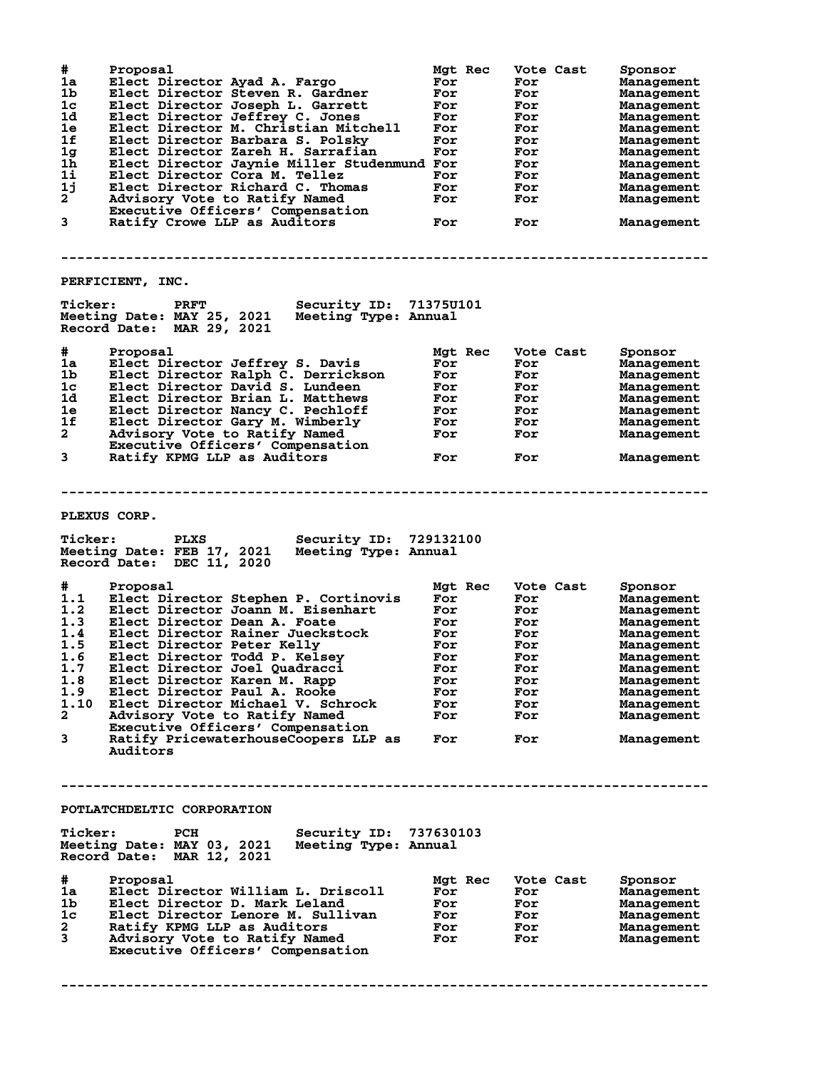| #<br>1a<br>1b<br>1c<br>1d<br>1e<br>1f<br>1 <sub>g</sub><br>1h<br>1i<br>1j<br>$2^{-}$<br>3 | Proposal<br>Elect Director Ayad A. Fargo<br>Elect Director Steven R. Gardner<br>Elect Director Joseph L. Garrett<br>Elect Director Jeffrey C. Jones<br>Elect Director M. Christian Mitchell<br>Elect Director Barbara S. Polsky<br>Elect Director Zareh H. Sarrafian<br>Elect Director Jaynie Miller Studenmund For<br>Elect Director Cora M. Tellez<br>Elect Director Richard C. Thomas<br>Advisory Vote to Ratify Named<br>Executive Officers' Compensation<br>Ratify Crowe LLP as Auditors | Mgt Rec<br>For<br>For<br>For<br>For<br>For<br>For<br>For<br>For<br>For<br>For<br>For |         | Vote Cast<br>For<br>For<br>For<br>For<br>For<br>For<br>For<br>For<br>For<br>For<br>For<br>For | Sponsor<br><b>Management</b><br><b>Management</b><br><b>Management</b><br>Management<br>Management<br>Management<br>Management<br>Management<br>Management<br>Management<br>Management<br>Management |
|-------------------------------------------------------------------------------------------|-----------------------------------------------------------------------------------------------------------------------------------------------------------------------------------------------------------------------------------------------------------------------------------------------------------------------------------------------------------------------------------------------------------------------------------------------------------------------------------------------|--------------------------------------------------------------------------------------|---------|-----------------------------------------------------------------------------------------------|------------------------------------------------------------------------------------------------------------------------------------------------------------------------------------------------------|
|                                                                                           | PERFICIENT, INC.                                                                                                                                                                                                                                                                                                                                                                                                                                                                              |                                                                                      |         |                                                                                               |                                                                                                                                                                                                      |
| <b>Ticker:</b>                                                                            | Security ID:<br><b>PRFT</b><br>Meeting Date: MAY 25, 2021<br>Meeting Type: Annual<br>Record Date: MAR 29, 2021                                                                                                                                                                                                                                                                                                                                                                                | 71375U101                                                                            |         |                                                                                               |                                                                                                                                                                                                      |
| #                                                                                         | Proposal                                                                                                                                                                                                                                                                                                                                                                                                                                                                                      | Mgt Rec                                                                              |         | Vote Cast                                                                                     | Sponsor                                                                                                                                                                                              |
| 1a                                                                                        | Elect Director Jeffrey S. Davis                                                                                                                                                                                                                                                                                                                                                                                                                                                               | For                                                                                  |         | For                                                                                           | Management                                                                                                                                                                                           |
| 1b                                                                                        | Elect Director Ralph C. Derrickson                                                                                                                                                                                                                                                                                                                                                                                                                                                            | For                                                                                  |         | For                                                                                           | <b>Management</b>                                                                                                                                                                                    |
| 1c                                                                                        | Elect Director David S. Lundeen                                                                                                                                                                                                                                                                                                                                                                                                                                                               | For                                                                                  |         | For                                                                                           | Management                                                                                                                                                                                           |
| 1d                                                                                        | Elect Director Brian L. Matthews                                                                                                                                                                                                                                                                                                                                                                                                                                                              | For                                                                                  |         | For                                                                                           | Management                                                                                                                                                                                           |
| 1e                                                                                        | Elect Director Nancy C. Pechloff                                                                                                                                                                                                                                                                                                                                                                                                                                                              | For                                                                                  |         | For                                                                                           | Management                                                                                                                                                                                           |
| 1f                                                                                        | Elect Director Gary M. Wimberly                                                                                                                                                                                                                                                                                                                                                                                                                                                               | For                                                                                  |         | For                                                                                           |                                                                                                                                                                                                      |
| $\overline{a}$                                                                            |                                                                                                                                                                                                                                                                                                                                                                                                                                                                                               |                                                                                      |         |                                                                                               | Management                                                                                                                                                                                           |
|                                                                                           | Advisory Vote to Ratify Named<br>Executive Officers' Compensation                                                                                                                                                                                                                                                                                                                                                                                                                             | For                                                                                  |         | For                                                                                           | Management                                                                                                                                                                                           |
| 3                                                                                         | Ratify KPMG LLP as Auditors                                                                                                                                                                                                                                                                                                                                                                                                                                                                   | For                                                                                  |         | For                                                                                           | Management                                                                                                                                                                                           |
|                                                                                           |                                                                                                                                                                                                                                                                                                                                                                                                                                                                                               |                                                                                      |         |                                                                                               |                                                                                                                                                                                                      |
| <b>Ticker:</b><br>#<br>1.1                                                                | <b>PLEXUS CORP.</b><br><b>PLXS</b><br><b>Security ID:</b><br>Meeting Date: FEB 17, 2021<br>Meeting Type: Annual<br>Record Date: DEC 11, 2020<br>Proposal<br>Elect Director Stephen P. Cortinovis                                                                                                                                                                                                                                                                                              | 729132100<br>Mgt Rec<br>For                                                          |         | Vote Cast<br>For                                                                              | Sponsor<br><b>Management</b>                                                                                                                                                                         |
| 1.2                                                                                       | Elect Director Joann M. Eisenhart                                                                                                                                                                                                                                                                                                                                                                                                                                                             | For                                                                                  |         | For                                                                                           | Management                                                                                                                                                                                           |
| 1.3                                                                                       | Elect Director Dean A. Foate                                                                                                                                                                                                                                                                                                                                                                                                                                                                  | For                                                                                  |         | For                                                                                           | Management                                                                                                                                                                                           |
| 1.4                                                                                       | Elect Director Rainer Jueckstock                                                                                                                                                                                                                                                                                                                                                                                                                                                              | For                                                                                  |         | For                                                                                           | Management                                                                                                                                                                                           |
| 1.5                                                                                       | Elect Director Peter Kelly                                                                                                                                                                                                                                                                                                                                                                                                                                                                    | For                                                                                  |         | For                                                                                           | Management                                                                                                                                                                                           |
| 1.6                                                                                       | Elect Director Todd P. Kelsey                                                                                                                                                                                                                                                                                                                                                                                                                                                                 | For                                                                                  |         | For                                                                                           | Management                                                                                                                                                                                           |
| 1.7                                                                                       | Elect Director Joel Quadracci                                                                                                                                                                                                                                                                                                                                                                                                                                                                 | For                                                                                  |         | For                                                                                           | Management                                                                                                                                                                                           |
| 1.8                                                                                       | Elect Director Karen M. Rapp                                                                                                                                                                                                                                                                                                                                                                                                                                                                  | For                                                                                  |         | For                                                                                           |                                                                                                                                                                                                      |
| 1.9                                                                                       | Elect Director Paul A. Rooke                                                                                                                                                                                                                                                                                                                                                                                                                                                                  |                                                                                      |         |                                                                                               | Management                                                                                                                                                                                           |
| 1.10                                                                                      |                                                                                                                                                                                                                                                                                                                                                                                                                                                                                               | For                                                                                  |         | For                                                                                           | Management                                                                                                                                                                                           |
|                                                                                           | Elect Director Michael V. Schrock                                                                                                                                                                                                                                                                                                                                                                                                                                                             | For                                                                                  |         | For                                                                                           | Management                                                                                                                                                                                           |
| 2                                                                                         | Advisory Vote to Ratify Named                                                                                                                                                                                                                                                                                                                                                                                                                                                                 | For                                                                                  |         | For                                                                                           | Management                                                                                                                                                                                           |
| 3                                                                                         | Executive Officers' Compensation<br>Ratify PricewaterhouseCoopers LLP as<br>Auditors                                                                                                                                                                                                                                                                                                                                                                                                          | For                                                                                  |         | For                                                                                           | Management                                                                                                                                                                                           |
|                                                                                           | POTLATCHDELTIC CORPORATION                                                                                                                                                                                                                                                                                                                                                                                                                                                                    |                                                                                      |         |                                                                                               |                                                                                                                                                                                                      |
|                                                                                           |                                                                                                                                                                                                                                                                                                                                                                                                                                                                                               |                                                                                      |         |                                                                                               |                                                                                                                                                                                                      |
| <b>Ticker:</b>                                                                            | Security ID: 737630103<br>PCH<br>Meeting Date: MAY 03, 2021<br>Meeting Type: Annual<br>Record Date: MAR 12, 2021                                                                                                                                                                                                                                                                                                                                                                              |                                                                                      |         |                                                                                               |                                                                                                                                                                                                      |
|                                                                                           |                                                                                                                                                                                                                                                                                                                                                                                                                                                                                               |                                                                                      | Mgt Rec | Vote Cast                                                                                     | Sponsor                                                                                                                                                                                              |
| #                                                                                         | Proposal                                                                                                                                                                                                                                                                                                                                                                                                                                                                                      |                                                                                      |         |                                                                                               |                                                                                                                                                                                                      |
|                                                                                           |                                                                                                                                                                                                                                                                                                                                                                                                                                                                                               |                                                                                      |         |                                                                                               |                                                                                                                                                                                                      |
| 1a                                                                                        | Elect Director William L. Driscoll                                                                                                                                                                                                                                                                                                                                                                                                                                                            | For                                                                                  |         | For                                                                                           | Management                                                                                                                                                                                           |
| 1b.                                                                                       | Elect Director D. Mark Leland                                                                                                                                                                                                                                                                                                                                                                                                                                                                 | For                                                                                  |         | For                                                                                           | Management                                                                                                                                                                                           |
| 1c                                                                                        | Elect Director Lenore M. Sullivan                                                                                                                                                                                                                                                                                                                                                                                                                                                             | For                                                                                  |         | <b>For</b>                                                                                    | Management                                                                                                                                                                                           |
| 2                                                                                         | Ratify KPMG LLP as Auditors                                                                                                                                                                                                                                                                                                                                                                                                                                                                   | For                                                                                  |         | For                                                                                           | Management                                                                                                                                                                                           |
| 3                                                                                         | Advisory Vote to Ratify Named<br>Executive Officers' Compensation                                                                                                                                                                                                                                                                                                                                                                                                                             | For                                                                                  |         | For                                                                                           | Management                                                                                                                                                                                           |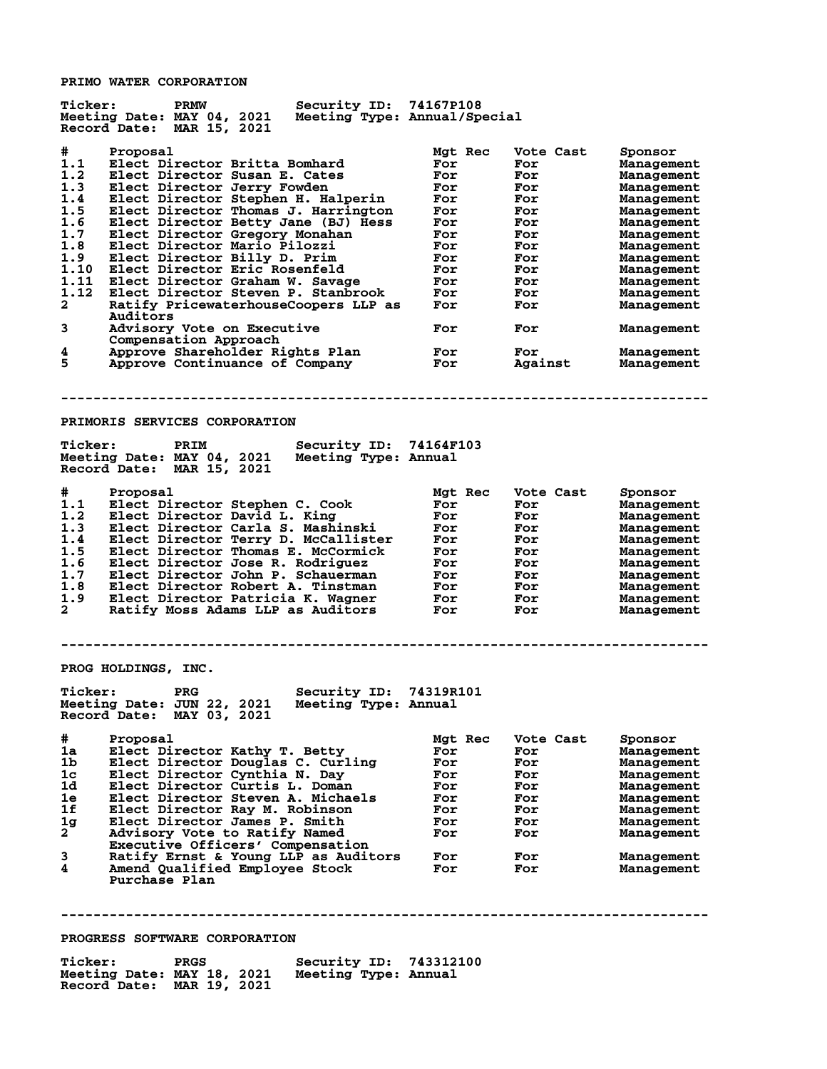**PRIMO WATER CORPORATION**

| <b>Ticker:</b> | Security ID: 74167P108<br><b>PRMW</b>                      |         |           |                   |
|----------------|------------------------------------------------------------|---------|-----------|-------------------|
|                | Meeting Date: MAY 04, 2021<br>Meeting Type: Annual/Special |         |           |                   |
|                | Record Date: MAR 15, 2021                                  |         |           |                   |
|                |                                                            |         |           |                   |
| #.             | Proposal                                                   | Mgt Rec | Vote Cast | Sponsor           |
| 1.1            | Elect Director Britta Bomhard                              | For     | For       | Management        |
| 1.2            | Elect Director Susan E. Cates                              | For     | For       | Management        |
| 1.3            | Elect Director Jerry Fowden                                | For     | For       | Management        |
| 1.4            | Elect Director Stephen H. Halperin                         | For     | For       | Management        |
| 1.5            | Elect Director Thomas J. Harrington                        | For     | For       | Management        |
| 1.6            | Elect Director Betty Jane (BJ) Hess                        | For     | For       | Management        |
| 1.7            | Elect Director Gregory Monahan                             | For     | For       | Management        |
| 1.8            | Elect Director Mario Pilozzi                               | For     | For       | Management        |
| 1.9            | Elect Director Billy D. Prim                               | For     | For       | Management        |
| 1.10           | Elect Director Eric Rosenfeld                              | For     | For       | Management        |
| 1.11           |                                                            |         |           |                   |
|                | Elect Director Graham W. Savage                            | For     | For       | Management        |
| 1.12           | Elect Director Steven P. Stanbrook                         | For     | For       | Management        |
| $\mathbf{2}$   | Ratify PricewaterhouseCoopers LLP as                       | For     | For       | Management        |
|                | Auditors                                                   |         |           |                   |
| 3              | Advisory Vote on Executive                                 | For     | For       | Management        |
|                | Compensation Approach                                      |         |           |                   |
| 4              | Approve Shareholder Rights Plan                            | For     | For       | Management        |
| 5              | Approve Continuance of Company                             | For     | Against   | Management        |
|                |                                                            |         |           |                   |
|                |                                                            |         |           |                   |
|                |                                                            |         |           |                   |
|                |                                                            |         |           |                   |
|                | PRIMORIS SERVICES CORPORATION                              |         |           |                   |
|                |                                                            |         |           |                   |
| <b>Ticker:</b> | Security ID: 74164F103<br>PRIM                             |         |           |                   |
|                |                                                            |         |           |                   |
|                | Meeting Date: MAY 04, 2021<br>Meeting Type: Annual         |         |           |                   |
|                | Record Date: MAR 15, 2021                                  |         |           |                   |
|                |                                                            |         |           |                   |
| #              | Proposal                                                   | Mgt Rec | Vote Cast | Sponsor           |
| 1.1            | Elect Director Stephen C. Cook                             | For     | For       | <b>Management</b> |
| 1.2            | Elect Director David L. King                               | For     | For       | Management        |
| 1.3            | Elect Director Carla S. Mashinski                          | For     | For       | Management        |
|                |                                                            |         |           |                   |
|                |                                                            |         |           |                   |
| 1.4            | Elect Director Terry D. McCallister                        | For     | For       | Management        |
| 1.5            | Elect Director Thomas E. McCormick                         | For     | For       | Management        |
| 1.6            | Elect Director Jose R. Rodriguez                           | For     | For       | Management        |
| 1.7            | Elect Director John P. Schauerman                          | For     | For       | Management        |
| 1.8            | Elect Director Robert A. Tinstman                          | For     | For       | Management        |
| 1.9            | Elect Director Patricia K. Wagner                          | For     | For       | Management        |
| $\mathbf{2}$   | Ratify Moss Adams LLP as Auditors                          | For     | For       | Management        |
|                |                                                            |         |           |                   |
|                |                                                            |         |           |                   |
|                |                                                            |         |           |                   |
|                |                                                            |         |           |                   |
|                | PROG HOLDINGS, INC.                                        |         |           |                   |
|                |                                                            |         |           |                   |
| <b>Ticker:</b> | <b>PRG</b>                                                 |         |           |                   |
|                | Security ID: 74319R101                                     |         |           |                   |
|                | Meeting Date: JUN 22, 2021 Meeting Type: Annual            |         |           |                   |
|                | Record Date: MAY 03, 2021                                  |         |           |                   |
|                |                                                            |         |           |                   |
| #.             | Proposal                                                   | Mgt Rec | Vote Cast | Sponsor           |
| 1a             | Elect Director Kathy T. Betty                              | For     | For       | Management        |
| 1 <sub>b</sub> | Elect Director Douglas C. Curling                          | For     | For       | Management        |
| $1\mathrm{c}$  | Elect Director Cynthia N. Day                              | For     | For       | Management        |
| 1d             | Elect Director Curtis L. Doman                             | For     | For       | Management        |
| 1e             | Elect Director Steven A. Michaels                          | For     | For       | Management        |
| 1f             |                                                            | For     | For       |                   |
|                | Elect Director Ray M. Robinson                             |         |           | Management        |
| 1 <sub>g</sub> | Elect Director James P. Smith                              | For     | For       | Management        |
| $\mathbf{2}$   | Advisory Vote to Ratify Named                              | For     | For       | Management        |
|                | Executive Officers' Compensation                           |         |           |                   |
| 3              | Ratify Ernst & Young LLP as Auditors                       | For     | For       | Management        |
| 4              | Amend Qualified Employee Stock                             | For     | For       | Management        |
|                | Purchase Plan                                              |         |           |                   |
|                |                                                            |         |           |                   |
|                |                                                            |         |           |                   |
|                |                                                            |         |           |                   |
|                |                                                            |         |           |                   |
|                | PROGRESS SOFTWARE CORPORATION                              |         |           |                   |
| <b>Ticker:</b> | Security ID: 743312100<br><b>PRGS</b>                      |         |           |                   |

**Meeting Date: MAY 18, 2021 Meeting Type: Annual Record Date: MAR 19, 2021**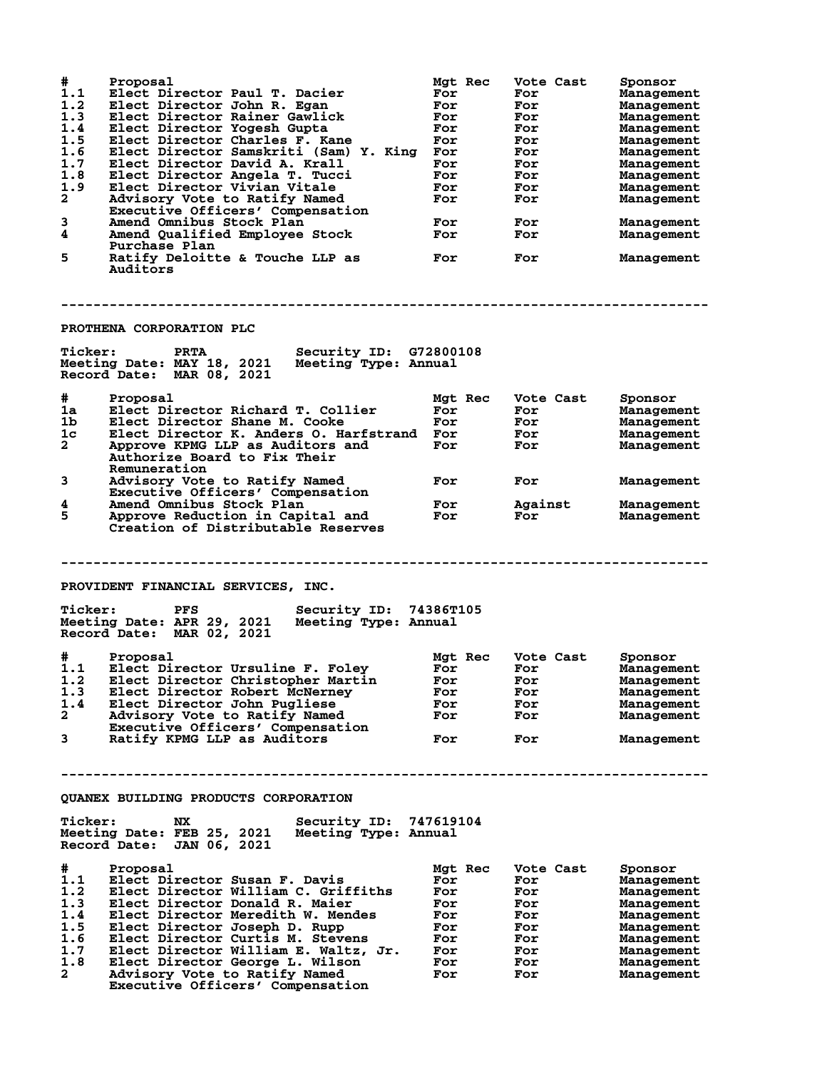| #<br>1.1<br>1.2<br>1.3<br>1.4<br>1.5<br>1.6<br>1.7<br>1.8<br>1.9<br>$\mathbf{2}$<br>3<br>4<br>5 | Proposal<br>Elect Director Paul T. Dacier<br>Elect Director John R. Egan<br>Elect Director Rainer Gawlick<br>Elect Director Yogesh Gupta<br>Elect Director Charles F. Kane<br>Elect Director Samskriti (Sam) Y. King<br>Elect Director David A. Krall<br>Elect Director Angela T. Tucci<br>Elect Director Vivian Vitale<br>Advisory Vote to Ratify Named<br>Executive Officers' Compensation<br>Amend Omnibus Stock Plan<br>Amend Qualified Employee Stock<br>Purchase Plan<br>Ratify Deloitte & Touche LLP as<br>Auditors | Mgt Rec<br>For<br>For<br>For<br>For<br>For<br>For<br>For<br>For<br>For<br>For<br>For<br>For<br>For | Vote Cast<br>For<br>For<br>For<br>For<br>For<br>For<br>For<br>For<br>For<br>For<br>For<br>For<br>For | Sponsor<br>Management<br>Management<br>Management<br>Management<br>Management<br>Management<br>Management<br>Management<br>Management<br>Management<br>Management<br>Management<br>Management |
|-------------------------------------------------------------------------------------------------|----------------------------------------------------------------------------------------------------------------------------------------------------------------------------------------------------------------------------------------------------------------------------------------------------------------------------------------------------------------------------------------------------------------------------------------------------------------------------------------------------------------------------|----------------------------------------------------------------------------------------------------|------------------------------------------------------------------------------------------------------|-----------------------------------------------------------------------------------------------------------------------------------------------------------------------------------------------|
|                                                                                                 | PROTHENA CORPORATION PLC                                                                                                                                                                                                                                                                                                                                                                                                                                                                                                   |                                                                                                    |                                                                                                      |                                                                                                                                                                                               |
| <b>Ticker:</b>                                                                                  | Security ID: G72800108<br><b>PRTA</b><br>Meeting Date: MAY 18, 2021<br>Meeting Type: Annual<br>Record Date: MAR 08, 2021                                                                                                                                                                                                                                                                                                                                                                                                   |                                                                                                    |                                                                                                      |                                                                                                                                                                                               |
| #                                                                                               | Proposal                                                                                                                                                                                                                                                                                                                                                                                                                                                                                                                   | Mgt Rec                                                                                            | Vote Cast                                                                                            | Sponsor                                                                                                                                                                                       |
| 1a                                                                                              | Elect Director Richard T. Collier                                                                                                                                                                                                                                                                                                                                                                                                                                                                                          | For                                                                                                | For                                                                                                  | Management                                                                                                                                                                                    |
| 1b                                                                                              | Elect Director Shane M. Cooke                                                                                                                                                                                                                                                                                                                                                                                                                                                                                              | For                                                                                                | For                                                                                                  | Management                                                                                                                                                                                    |
| 1 <sub>c</sub>                                                                                  | Elect Director K. Anders O. Harfstrand For                                                                                                                                                                                                                                                                                                                                                                                                                                                                                 |                                                                                                    | For                                                                                                  | Management                                                                                                                                                                                    |
| $\overline{a}$                                                                                  | Approve KPMG LLP as Auditors and<br>Authorize Board to Fix Their<br>Remuneration                                                                                                                                                                                                                                                                                                                                                                                                                                           | For                                                                                                | For                                                                                                  | Management                                                                                                                                                                                    |
| 3                                                                                               | Advisory Vote to Ratify Named<br>Executive Officers' Compensation                                                                                                                                                                                                                                                                                                                                                                                                                                                          | For                                                                                                | For                                                                                                  | Management                                                                                                                                                                                    |
| 4                                                                                               | Amend Omnibus Stock Plan                                                                                                                                                                                                                                                                                                                                                                                                                                                                                                   | For                                                                                                | Against                                                                                              | Management                                                                                                                                                                                    |
| 5                                                                                               | Approve Reduction in Capital and<br>Creation of Distributable Reserves                                                                                                                                                                                                                                                                                                                                                                                                                                                     | For                                                                                                | For                                                                                                  | Management                                                                                                                                                                                    |
|                                                                                                 |                                                                                                                                                                                                                                                                                                                                                                                                                                                                                                                            |                                                                                                    |                                                                                                      |                                                                                                                                                                                               |
|                                                                                                 |                                                                                                                                                                                                                                                                                                                                                                                                                                                                                                                            |                                                                                                    |                                                                                                      |                                                                                                                                                                                               |
|                                                                                                 | PROVIDENT FINANCIAL SERVICES, INC.                                                                                                                                                                                                                                                                                                                                                                                                                                                                                         |                                                                                                    |                                                                                                      |                                                                                                                                                                                               |
| <b>Ticker:</b>                                                                                  | Security ID: 74386T105<br><b>PFS</b><br>Meeting Date: APR 29, 2021<br>Meeting Type: Annual<br>Record Date: MAR 02, 2021                                                                                                                                                                                                                                                                                                                                                                                                    |                                                                                                    |                                                                                                      |                                                                                                                                                                                               |
|                                                                                                 |                                                                                                                                                                                                                                                                                                                                                                                                                                                                                                                            |                                                                                                    |                                                                                                      |                                                                                                                                                                                               |
| #<br>1.1                                                                                        | Proposal<br>Elect Director Ursuline F. Foley                                                                                                                                                                                                                                                                                                                                                                                                                                                                               | Mgt Rec<br>For                                                                                     | Vote Cast<br>For                                                                                     | Sponsor<br>Management                                                                                                                                                                         |
|                                                                                                 |                                                                                                                                                                                                                                                                                                                                                                                                                                                                                                                            | For                                                                                                | For                                                                                                  |                                                                                                                                                                                               |
| 1.3                                                                                             | 1.2 Elect Director Christopher Martin<br>Elect Director Robert McNerney                                                                                                                                                                                                                                                                                                                                                                                                                                                    | For                                                                                                | For                                                                                                  | Management<br>Management                                                                                                                                                                      |
| 1.4                                                                                             | Elect Director John Pugliese                                                                                                                                                                                                                                                                                                                                                                                                                                                                                               | For                                                                                                | For                                                                                                  | Management                                                                                                                                                                                    |
| $\mathbf{2}$                                                                                    | Advisory Vote to Ratify Named                                                                                                                                                                                                                                                                                                                                                                                                                                                                                              | For                                                                                                | For                                                                                                  | Management                                                                                                                                                                                    |
| 3                                                                                               | Executive Officers' Compensation<br>Ratify KPMG LLP as Auditors                                                                                                                                                                                                                                                                                                                                                                                                                                                            | For                                                                                                | For                                                                                                  | Management                                                                                                                                                                                    |
|                                                                                                 |                                                                                                                                                                                                                                                                                                                                                                                                                                                                                                                            |                                                                                                    |                                                                                                      |                                                                                                                                                                                               |
|                                                                                                 | QUANEX BUILDING PRODUCTS CORPORATION                                                                                                                                                                                                                                                                                                                                                                                                                                                                                       |                                                                                                    |                                                                                                      |                                                                                                                                                                                               |
| <b>Ticker:</b>                                                                                  | Security ID: 747619104<br>NX.<br>Meeting Date: FEB 25, 2021<br>Meeting Type: Annual<br>Record Date: JAN 06, 2021                                                                                                                                                                                                                                                                                                                                                                                                           |                                                                                                    |                                                                                                      |                                                                                                                                                                                               |
|                                                                                                 | Proposal                                                                                                                                                                                                                                                                                                                                                                                                                                                                                                                   |                                                                                                    | Vote Cast                                                                                            |                                                                                                                                                                                               |
| #                                                                                               | Elect Director Susan F. Davis                                                                                                                                                                                                                                                                                                                                                                                                                                                                                              | Mgt Rec<br>For                                                                                     | For                                                                                                  | Sponsor                                                                                                                                                                                       |
| 1.1<br>1.2                                                                                      | Elect Director William C. Griffiths                                                                                                                                                                                                                                                                                                                                                                                                                                                                                        | For                                                                                                | For                                                                                                  | Management<br>Management                                                                                                                                                                      |
| 1.3                                                                                             | Elect Director Donald R. Maier                                                                                                                                                                                                                                                                                                                                                                                                                                                                                             | For                                                                                                | For                                                                                                  | Management                                                                                                                                                                                    |
| 1.4                                                                                             | Elect Director Meredith W. Mendes                                                                                                                                                                                                                                                                                                                                                                                                                                                                                          | For                                                                                                | For                                                                                                  | Management                                                                                                                                                                                    |
| 1.5                                                                                             | Elect Director Joseph D. Rupp                                                                                                                                                                                                                                                                                                                                                                                                                                                                                              | For                                                                                                | For                                                                                                  | Management                                                                                                                                                                                    |
| 1.6                                                                                             | Elect Director Curtis M. Stevens                                                                                                                                                                                                                                                                                                                                                                                                                                                                                           | For                                                                                                | For                                                                                                  | Management                                                                                                                                                                                    |
| 1.7                                                                                             | Elect Director William E. Waltz, Jr.                                                                                                                                                                                                                                                                                                                                                                                                                                                                                       | For                                                                                                | For                                                                                                  | Management                                                                                                                                                                                    |
| 1.8<br>$\mathbf{2}$                                                                             | Elect Director George L. Wilson<br>Advisory Vote to Ratify Named                                                                                                                                                                                                                                                                                                                                                                                                                                                           | For<br>For                                                                                         | For<br>For                                                                                           | Management<br>Management                                                                                                                                                                      |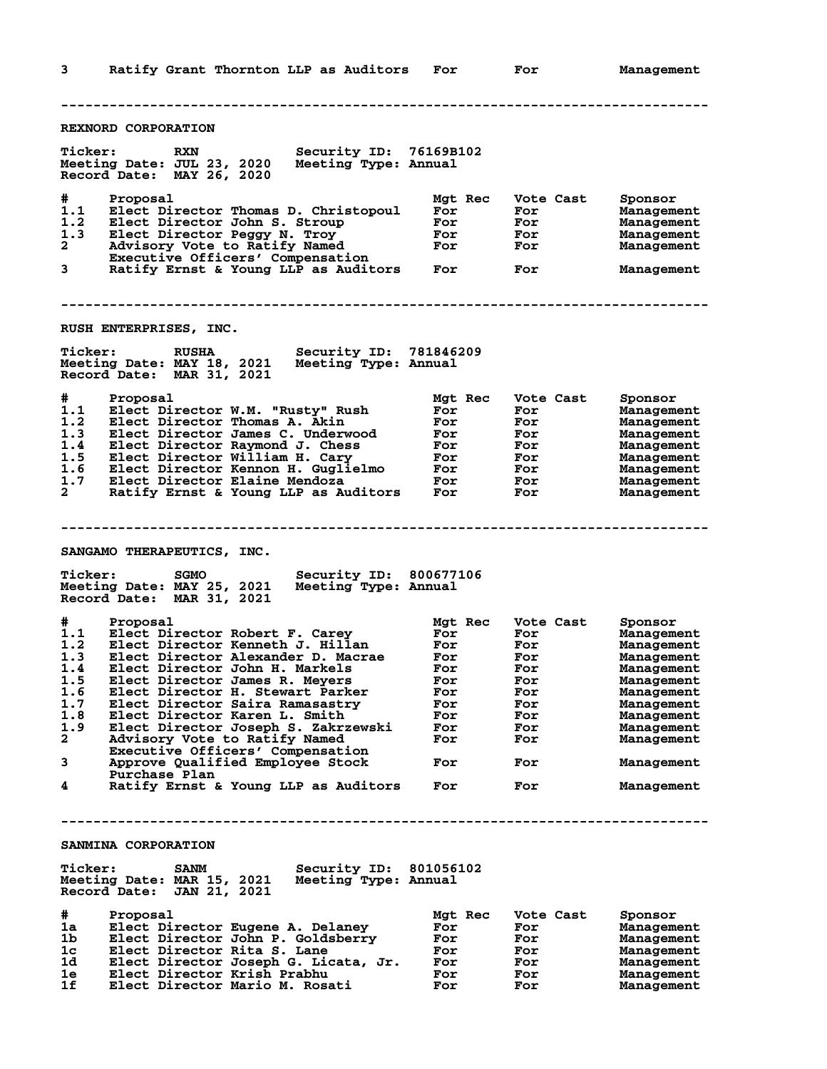**3 Ratify Grant Thornton LLP as Auditors For For Management -------------------------------------------------------------------------------- REXNORD CORPORATION Ticker: RXN Security ID: 76169B102 Meeting Date: JUL 23, 2020 Meeting Type: Annual Record Date: MAY 26, 2020 # Proposal Mgt Rec Vote Cast Sponsor 1.1 Elect Director Thomas D. Christopoul For For Management 1.2 Elect Director John S. Stroup For For Management 1.3 Elect Director Peggy N. Troy For For Management 2 Advisory Vote to Ratify Named For For Management Executive Officers' Compensation 3 Ratify Ernst & Young LLP as Auditors For For Management -------------------------------------------------------------------------------- RUSH ENTERPRISES, INC. Ticker: RUSHA Security ID: 781846209 Meeting Date: MAY 18, 2021 Meeting Type: Annual Record Date: MAR 31, 2021 # Proposal Mgt Rec Vote Cast Sponsor 1.1 Elect Director W.M. "Rusty" Rush For For Management 1.2 Elect Director Thomas A. Akin For For Management 1.3 Elect Director James C. Underwood For For Management 1.4 Elect Director Raymond J. Chess For For Management 1.5 Elect Director William H. Cary For For Management 1.6 Elect Director Kennon H. Guglielmo For For Management 1.7 Elect Director Elaine Mendoza For For Management 2 Ratify Ernst & Young LLP as Auditors For For Management -------------------------------------------------------------------------------- SANGAMO THERAPEUTICS, INC. Ticker: SGMO Security ID: 800677106 Meeting Date: MAY 25, 2021 Meeting Type: Annual Record Date: MAR 31, 2021 # Proposal Mgt Rec Vote Cast Sponsor 1.1 Elect Director Robert F. Carey For For Management 1.2 Elect Director Kenneth J. Hillan For For Management 1.3 Elect Director Alexander D. Macrae For For Management 1.4 Elect Director John H. Markels For For Management 1.5 Elect Director James R. Meyers For For Management 1.6 Elect Director H. Stewart Parker For For Management 1.7 Elect Director Saira Ramasastry For For Management 1.8 Elect Director Karen L. Smith For For Management 1.9 Elect Director Joseph S. Zakrzewski For For Management 2 Advisory Vote to Ratify Named For For Management Executive Officers' Compensation 3 Approve Qualified Employee Stock For For Management Purchase Plan 4 Ratify Ernst & Young LLP as Auditors For For Management -------------------------------------------------------------------------------- SANMINA CORPORATION Ticker: SANM Security ID: 801056102 Meeting Date: MAR 15, 2021 Meeting Type: Annual Record Date: JAN 21, 2021 # Proposal Mgt Rec Vote Cast Sponsor 1a Elect Director Eugene A. Delaney For For Management 1b Elect Director John P. Goldsberry For For Management 1c Elect Director Rita S. Lane For For Management 1d Elect Director Joseph G. Licata, Jr. For For Management 1e Elect Director Krish Prabhu For For Management 1f Elect Director Mario M. Rosati For For Management**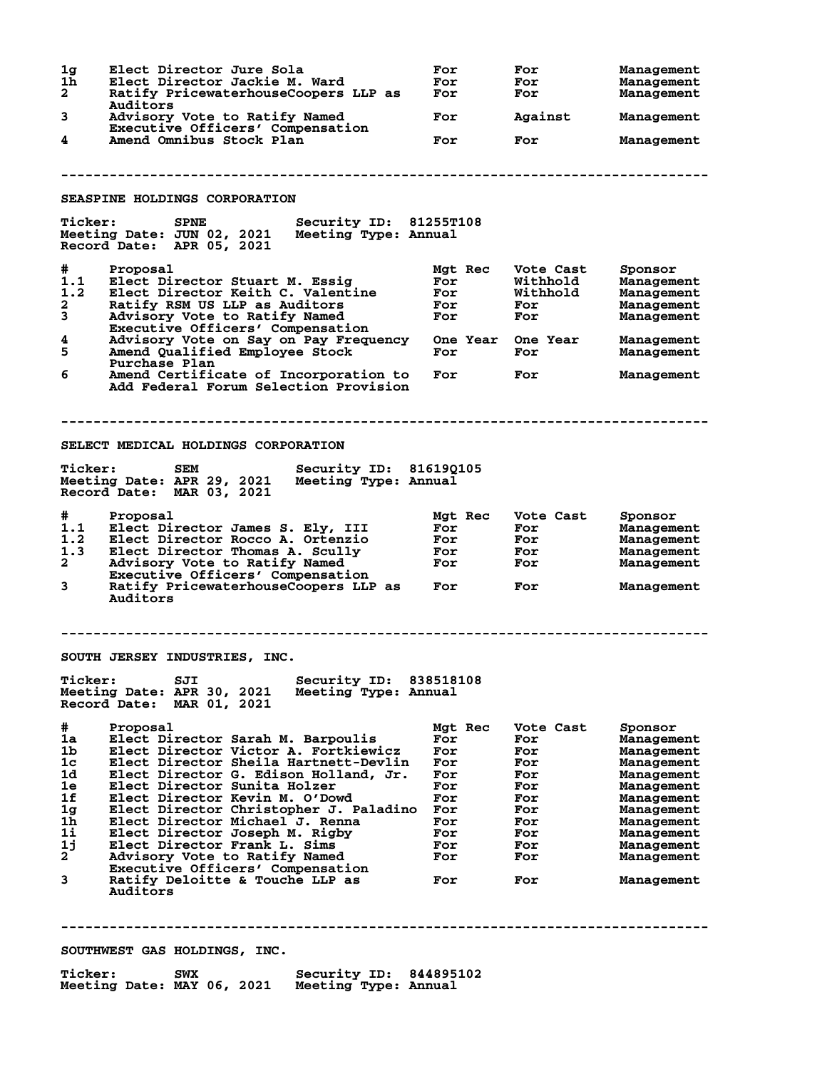| 1 <sub>g</sub><br>1h<br>$\mathbf{2}$ | Elect Director Jure Sola<br>Elect Director Jackie M. Ward<br>Ratify PricewaterhouseCoopers LLP as<br>Auditors            | For<br>For<br>For | For<br>For<br>For        | Management<br>Management<br>Management |  |
|--------------------------------------|--------------------------------------------------------------------------------------------------------------------------|-------------------|--------------------------|----------------------------------------|--|
| 3                                    | Advisory Vote to Ratify Named<br>Executive Officers' Compensation                                                        | For               | Against                  | Management                             |  |
| 4                                    | Amend Omnibus Stock Plan                                                                                                 | For               | For                      | Management                             |  |
|                                      |                                                                                                                          |                   |                          |                                        |  |
|                                      | SEASPINE HOLDINGS CORPORATION                                                                                            |                   |                          |                                        |  |
| <b>Ticker:</b>                       | Security ID: 81255T108<br><b>SPNE</b><br>Meeting Date: JUN 02, 2021<br>Meeting Type: Annual<br>Record Date: APR 05, 2021 |                   |                          |                                        |  |
| #                                    | Proposal                                                                                                                 | Mgt Rec           | Vote Cast                | Sponsor                                |  |
| 1.1<br>1.2                           | Elect Director Stuart M. Essig<br>Elect Director Keith C. Valentine                                                      | For<br>For        | Withhold<br>Withhold     | Management<br>Management               |  |
| $\mathbf{2}$                         | Ratify RSM US LLP as Auditors                                                                                            | For               | For                      | Management                             |  |
| 3                                    | Advisory Vote to Ratify Named                                                                                            | For               | For                      | Management                             |  |
|                                      | Executive Officers' Compensation                                                                                         |                   |                          |                                        |  |
| 4<br>5                               | Advisory Vote on Say on Pay Frequency<br>Amend Qualified Employee Stock<br>Purchase Plan                                 | For               | One Year One Year<br>For | Management<br>Management               |  |
| 6                                    | Amend Certificate of Incorporation to<br>Add Federal Forum Selection Provision                                           | For               | For                      | Management                             |  |
|                                      |                                                                                                                          |                   |                          |                                        |  |
|                                      | SELECT MEDICAL HOLDINGS CORPORATION                                                                                      |                   |                          |                                        |  |
| <b>Ticker:</b>                       | Security ID: 816190105<br>SEM<br>Meeting Date: APR 29, 2021<br>Meeting Type: Annual<br>Record Date: MAR 03, 2021         |                   |                          |                                        |  |
| #                                    | Proposal                                                                                                                 | Mgt Rec           | Vote Cast                | Sponsor                                |  |
| 1.1                                  | Elect Director James S. Ely, III                                                                                         | For               | For                      | Management                             |  |
| 1.2                                  | Elect Director Rocco A. Ortenzio                                                                                         | For               | For                      | Management                             |  |
| 1.3<br>$\mathbf{2}$                  | Elect Director Thomas A. Scully<br>Advisory Vote to Ratify Named                                                         | For<br>For        | For<br>For               | Management<br>Management               |  |
|                                      | Executive Officers' Compensation                                                                                         |                   |                          |                                        |  |
| 3                                    | Ratify PricewaterhouseCoopers LLP as<br>Auditors                                                                         | For               | For                      | Management                             |  |
|                                      | SOUTH JERSEY INDUSTRIES, INC.                                                                                            |                   |                          |                                        |  |
| <b>Ticker:</b>                       | Security ID: 838518108<br>SJI<br>Meeting Date: APR 30, 2021<br>Meeting Type: Annual<br>Record Date: MAR 01, 2021         |                   |                          |                                        |  |
|                                      |                                                                                                                          |                   |                          |                                        |  |
| #                                    | Proposal                                                                                                                 | Mat Rec           | Vote Cast                | Sponsor                                |  |
| 1a                                   | Elect Director Sarah M. Barpoulis                                                                                        | For               | For                      | Management                             |  |
| 1 <sub>b</sub>                       | Elect Director Victor A. Fortkiewicz                                                                                     | For               | For                      | Management                             |  |
| 1 <sub>c</sub><br>1d                 | Elect Director Sheila Hartnett-Devlin<br>Elect Director G. Edison Holland, Jr.                                           | For<br>For        | For<br>For               | Management<br>Management               |  |
| 1e                                   | Elect Director Sunita Holzer                                                                                             | For               | For                      | Management                             |  |
| 1f                                   | Elect Director Kevin M. O'Dowd                                                                                           | For               | For                      | Management                             |  |
| 1 <sub>g</sub>                       | Elect Director Christopher J. Paladino                                                                                   | For               | For                      | Management                             |  |
| 1 <sub>h</sub>                       | Elect Director Michael J. Renna                                                                                          | For               | For                      | Management                             |  |
| 1i                                   | Elect Director Joseph M. Rigby                                                                                           | For               | For                      | Management                             |  |
| 1j                                   | Elect Director Frank L. Sims                                                                                             | For               | For                      | Management                             |  |
| 2                                    | Advisory Vote to Ratify Named<br>Executive Officers' Compensation                                                        | For               | For                      | Management                             |  |
| 3                                    | Ratify Deloitte & Touche LLP as<br>Auditors                                                                              | For               | For                      | Management                             |  |
|                                      |                                                                                                                          |                   |                          |                                        |  |
|                                      |                                                                                                                          |                   |                          |                                        |  |
|                                      | SOUTHWEST GAS HOLDINGS, INC.                                                                                             |                   |                          |                                        |  |

**Ticker: SWX Security ID: 844895102 Meeting Date: MAY 06, 2021 Meeting Type: Annual**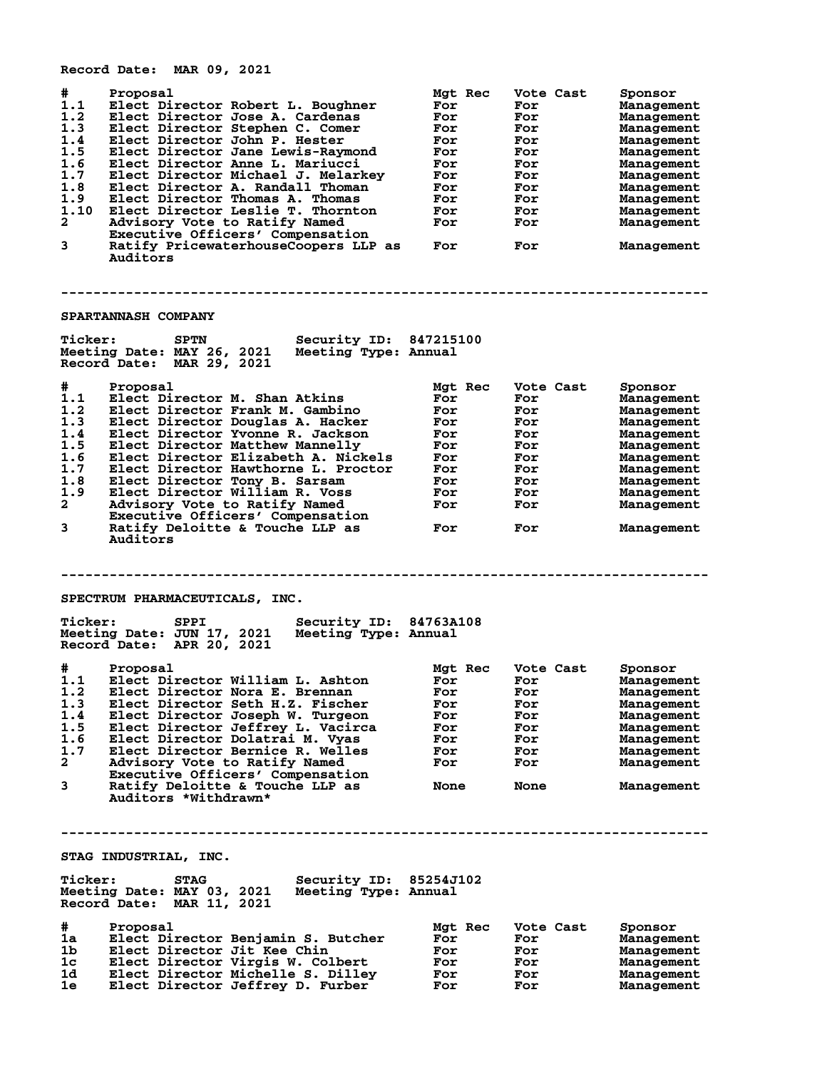**Record Date: MAR 09, 2021 # Proposal Mgt Rec Vote Cast Sponsor 1.1 Elect Director Robert L. Boughner For For Management 1.2 Elect Director Jose A. Cardenas For For Management 1.3 Elect Director Stephen C. Comer For For Management 1.4 Elect Director John P. Hester For For Management 1.5 Elect Director Jane Lewis-Raymond For For Management 1.6 Elect Director Anne L. Mariucci For For Management 1.7 Elect Director Michael J. Melarkey For For Management 1.8 Elect Director A. Randall Thoman For For Management 1.9 Elect Director Thomas A. Thomas For For Management 1.10 Elect Director Leslie T. Thornton For For Management 2 Advisory Vote to Ratify Named For For Management Executive Officers' Compensation 3 Ratify PricewaterhouseCoopers LLP as For For Management Auditors -------------------------------------------------------------------------------- SPARTANNASH COMPANY Ticker: SPTN Security ID: 847215100 Meeting Date: MAY 26, 2021 Meeting Type: Annual Record Date: MAR 29, 2021 # Proposal Mgt Rec Vote Cast Sponsor 1.1 Elect Director M. Shan Atkins For For Management 1.2 Elect Director Frank M. Gambino For For Management 1.3 Elect Director Douglas A. Hacker For For Management 1.4 Elect Director Yvonne R. Jackson For For Management 1.5 Elect Director Matthew Mannelly For For Management 1.6 Elect Director Elizabeth A. Nickels For For Management 1.7 Elect Director Hawthorne L. Proctor For For Management 1.8 Elect Director Tony B. Sarsam For For Management 1.9 Elect Director William R. Voss For For Management 2 Advisory Vote to Ratify Named For For Management Executive Officers' Compensation 3 Ratify Deloitte & Touche LLP as For For Management** Advisory Vote to Ratify Named<br>Executive Officers' Compensation<br>Ratify Deloitte & Touche LLP as<br>Auditors **-------------------------------------------------------------------------------- SPECTRUM PHARMACEUTICALS, INC. Ticker: SPPI Security ID: 84763A108 Meeting Date: JUN 17, 2021 Meeting Type: Annual Record Date: APR 20, 2021 # Proposal Mgt Rec Vote Cast Sponsor 1.1 Elect Director William L. Ashton For For Management 1.2 Elect Director Nora E. Brennan For For Management 1.3 Elect Director Seth H.Z. Fischer For For Management 1.4 Elect Director Joseph W. Turgeon For For Management 1.5 Elect Director Jeffrey L. Vacirca For For Management 1.6 Elect Director Dolatrai M. Vyas For For Management 1.7 Elect Director Bernice R. Welles For For Management 2 Advisory Vote to Ratify Named For For Management Executive Officers' Compensation 3 Ratify Deloitte & Touche LLP as None None Management Auditors \*Withdrawn\* -------------------------------------------------------------------------------- STAG INDUSTRIAL, INC. Ticker: STAG Security ID: 85254J102 Meeting Date: MAY 03, 2021 Meeting Type: Annual Record Date: MAR 11, 2021 # Proposal Mgt Rec Vote Cast Sponsor 1a Elect Director Benjamin S. Butcher For For Management 1b Elect Director Jit Kee Chin For For Management 1c Elect Director Virgis W. Colbert For For Management 1d Elect Director Michelle S. Dilley For For Management**

**1e Elect Director Jeffrey D. Furber For For Management**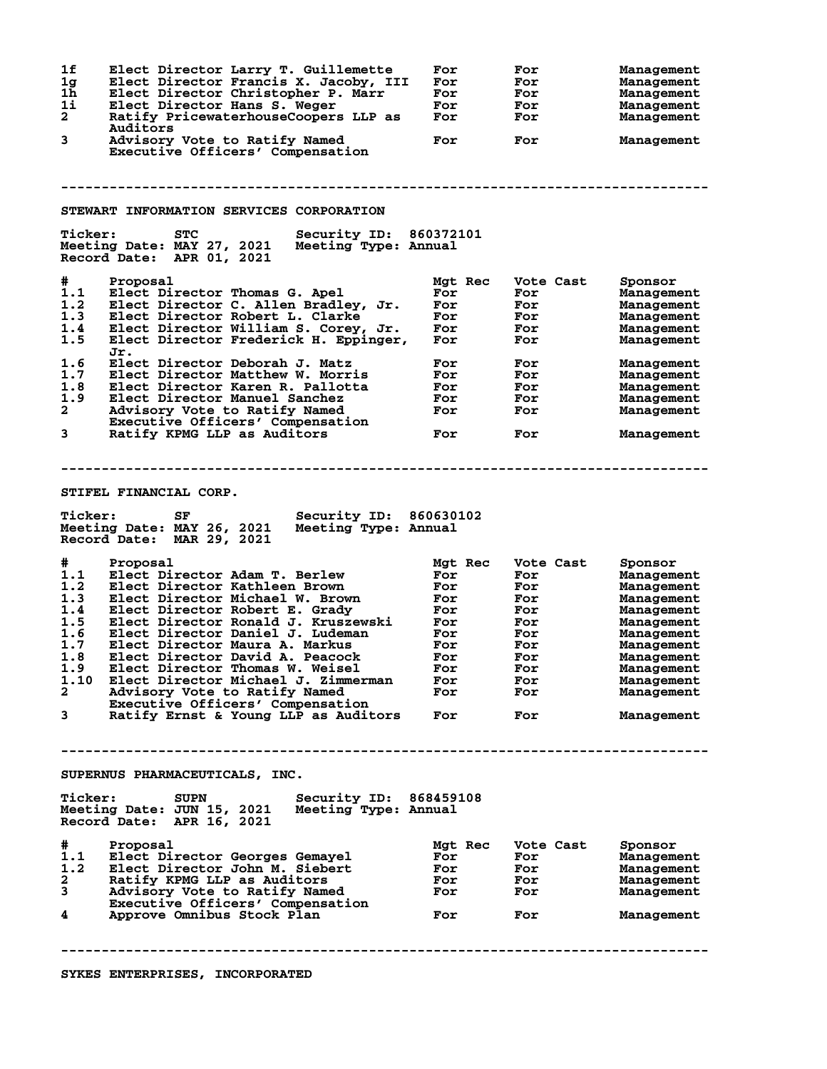| 1f<br>1g<br>1h<br>1i<br>$\overline{a}$<br>3                                              | Elect Director Larry T. Guillemette<br>Elect Director Francis X. Jacoby, III<br>Elect Director Christopher P. Marr<br>Elect Director Hans S. Weger<br>Ratify PricewaterhouseCoopers LLP as<br>Auditors<br>Advisory Vote to Ratify Named<br>Executive Officers' Compensation                                                                                                                                                                                                                         | For<br>For<br>For<br>For<br>For<br>For                                               | For<br>For<br>For<br>For<br>For<br>For                                                        | <b>Management</b><br>Management<br>Management<br>Management<br>Management<br>Management                                                                                         |
|------------------------------------------------------------------------------------------|-----------------------------------------------------------------------------------------------------------------------------------------------------------------------------------------------------------------------------------------------------------------------------------------------------------------------------------------------------------------------------------------------------------------------------------------------------------------------------------------------------|--------------------------------------------------------------------------------------|-----------------------------------------------------------------------------------------------|---------------------------------------------------------------------------------------------------------------------------------------------------------------------------------|
|                                                                                          | STEWART INFORMATION SERVICES CORPORATION                                                                                                                                                                                                                                                                                                                                                                                                                                                            |                                                                                      |                                                                                               |                                                                                                                                                                                 |
| <b>Ticker:</b>                                                                           | <b>STC</b><br>Security ID: 860372101<br>Meeting Date: MAY 27, 2021<br>Meeting Type: Annual<br>Record Date: APR 01, 2021                                                                                                                                                                                                                                                                                                                                                                             |                                                                                      |                                                                                               |                                                                                                                                                                                 |
| #.<br>1.1<br>1.2<br>1.3<br>1.4<br>1.5<br>1.6<br>1.7<br>1.8<br>1.9<br>$\overline{a}$<br>3 | Proposal<br>Elect Director Thomas G. Apel<br>Elect Director C. Allen Bradley, Jr.<br>Elect Director Robert L. Clarke<br>Elect Director William S. Corey, Jr.<br>Elect Director Frederick H. Eppinger,<br>Jr.<br>Elect Director Deborah J. Matz<br>Elect Director Matthew W. Morris<br>Elect Director Karen R. Pallotta<br>Elect Director Manuel Sanchez<br>Advisory Vote to Ratify Named<br>Executive Officers' Compensation                                                                        | Mgt Rec<br>For<br>For<br>For<br>For<br>For<br>For<br>For<br>For<br>For<br>For        | Vote Cast<br>For<br>For<br>For<br>For<br>For<br>For<br>For<br>For<br>For<br>For               | Sponsor<br>Management<br>Management<br>Management<br>Management<br>Management<br>Management<br>Management<br>Management<br>Management<br>Management                             |
|                                                                                          | Ratify KPMG LLP as Auditors                                                                                                                                                                                                                                                                                                                                                                                                                                                                         | For                                                                                  | For                                                                                           | Management                                                                                                                                                                      |
| <b>Ticker:</b>                                                                           | STIFEL FINANCIAL CORP.<br>Security ID: 860630102<br>SF<br>Meeting Date: MAY 26, 2021<br>Meeting Type: Annual<br>Record Date: MAR 29, 2021                                                                                                                                                                                                                                                                                                                                                           |                                                                                      |                                                                                               |                                                                                                                                                                                 |
| #<br>1.1<br>1.2<br>1.3<br>1.4<br>1.5<br>1.6<br>1.7<br>1.8<br>$\mathbf{2}$<br>3           | Proposal<br>Elect Director Adam T. Berlew<br>Elect Director Kathleen Brown<br>Elect Director Michael W. Brown<br>Elect Director Robert E. Grady<br>Elect Director Ronald J. Kruszewski<br>Elect Director Daniel J. Ludeman<br>Elect Director Maura A. Markus<br>Elect Director David A. Peacock<br>1.9 Elect Director Thomas W. Weisel<br>1.10 Elect Director Michael J. Zimmerman<br>Advisory Vote to Ratify Named<br>Executive Officers' Compensation<br>Ratify Ernst & Young LLP as Auditors For | Mgt Rec<br>For<br>For<br>For<br>For<br>For<br>For<br>For<br>For<br>For<br>For<br>For | Vote Cast<br>For<br>For<br>For<br>For<br>For<br>For<br>For<br>For<br>For<br>For<br>For<br>For | Sponsor<br>Management<br>Management<br>Management<br>Management<br>Management<br>Management<br>Management<br>Management<br>Management<br>Management<br>Management<br>Management |
| <b>Ticker:</b>                                                                           | SUPERNUS PHARMACEUTICALS, INC.<br>Security ID: 868459108<br><b>SUPN</b><br>Meeting Date: JUN 15, 2021<br>Meeting Type: Annual<br>Record Date: APR 16, 2021                                                                                                                                                                                                                                                                                                                                          |                                                                                      |                                                                                               |                                                                                                                                                                                 |
| #<br>$\frac{1}{1 \cdot 2}$<br>$\mathbf{2}$<br>3<br>4                                     | Proposal<br>Elect Director Georges Gemayel<br>Elect Director John M. Siebert<br>Ratify KPMG LLP as Auditors<br>Advisory Vote to Ratify Named<br>Executive Officers' Compensation<br>Approve Omnibus Stock Plan                                                                                                                                                                                                                                                                                      | Mgt Rec<br>For<br>For<br>For<br>For<br>For                                           | Vote Cast<br>For<br>For<br><b>For</b><br><b>For</b><br><b>For</b>                             | Sponsor<br>Management<br>Management<br>Management<br>Management<br>Management                                                                                                   |
|                                                                                          | SYKES ENTERPRISES, INCORPORATED                                                                                                                                                                                                                                                                                                                                                                                                                                                                     |                                                                                      |                                                                                               |                                                                                                                                                                                 |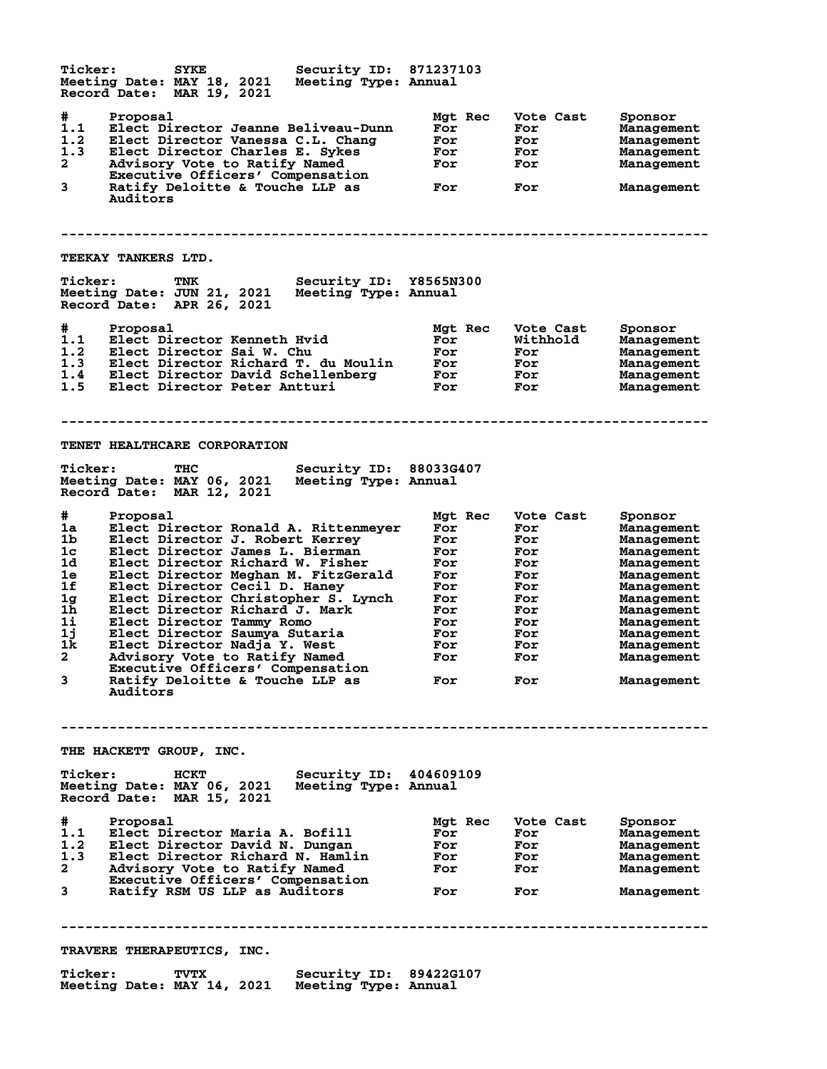| <b>Ticker:</b>                         | Meeting Date: MAY 18, 2021<br>Record Date: MAR 19, 2021    | <b>SYKE</b> | Security ID: 871237103<br>Meeting Type: Annual                                                                                                  |                          |         |                                       |                                                                 |
|----------------------------------------|------------------------------------------------------------|-------------|-------------------------------------------------------------------------------------------------------------------------------------------------|--------------------------|---------|---------------------------------------|-----------------------------------------------------------------|
| #<br>1.1<br>1.2<br>1.3<br>$\mathbf{2}$ | Proposal<br>Advisory Vote to Ratify Named                  |             | Elect Director Jeanne Beliveau-Dunn<br>Elect Director Vanessa C.L. Chang<br>Elect Director Charles E. Sykes<br>Executive Officers' Compensation | For<br>For<br>For<br>For | Mgt Rec | Vote Cast<br>For<br>For<br>For<br>For | Sponsor<br>Management<br>Management<br>Management<br>Management |
| 3                                      | Auditors                                                   |             | Ratify Deloitte & Touche LLP as                                                                                                                 | For                      |         | For                                   | Management                                                      |
|                                        | <b>TEEKAY TANKERS LTD.</b>                                 |             |                                                                                                                                                 |                          |         |                                       |                                                                 |
| <b>Ticker:</b>                         | Meeting Date: JUN 21, 2021<br>Record Date: APR 26, 2021    | TNK         | Security ID: Y8565N300<br>Meeting Type: Annual                                                                                                  |                          |         |                                       |                                                                 |
| #                                      | Proposal                                                   |             |                                                                                                                                                 |                          | Mgt Rec | Vote Cast                             | Sponsor                                                         |
| 1.1<br>1.2                             | Elect Director Kenneth Hvid                                |             |                                                                                                                                                 | For<br>For               |         | Withhold<br>For                       | Management                                                      |
| 1.3                                    |                                                            |             | Elect Director Sai W. Chu<br>Elect Director Richard T. du Moulin                                                                                | For                      |         | For                                   | Management<br>Management                                        |
| 1.4                                    |                                                            |             | Elect Director David Schellenberg                                                                                                               | For                      |         | <b>For</b>                            | Management                                                      |
| 1.5                                    | Elect Director Peter Antturi                               |             |                                                                                                                                                 | For                      |         | For                                   | Management                                                      |
|                                        | <b>TENET HEALTHCARE CORPORATION</b>                        |             |                                                                                                                                                 |                          |         |                                       |                                                                 |
| <b>Ticker:</b>                         | Meeting Date: MAY 06, 2021<br>Record Date: MAR 12, 2021    | <b>THC</b>  | Security ID: 88033G407<br>Meeting Type: Annual                                                                                                  |                          |         |                                       |                                                                 |
| #                                      | Proposal                                                   |             |                                                                                                                                                 |                          | Mgt Rec | Vote Cast                             | Sponsor                                                         |
| 1a                                     |                                                            |             | Elect Director Ronald A. Rittenmeyer                                                                                                            | For                      |         | For                                   | Management                                                      |
| 1b                                     |                                                            |             | Elect Director J. Robert Kerrey                                                                                                                 | For                      |         | For                                   | Management                                                      |
| 1 <sub>c</sub><br>1d                   |                                                            |             | Elect Director James L. Bierman<br>Elect Director Richard W. Fisher                                                                             | For<br>For               |         | For<br>For                            | Management                                                      |
| 1e                                     |                                                            |             | Elect Director Meghan M. FitzGerald                                                                                                             | For                      |         | For                                   | Management<br>Management                                        |
| 1f                                     | Elect Director Cecil D. Haney                              |             |                                                                                                                                                 | For                      |         | For                                   | Management                                                      |
| 1g                                     |                                                            |             | Elect Director Christopher S. Lynch                                                                                                             | For                      |         | For                                   | Management                                                      |
| 1h                                     |                                                            |             | Elect Director Richard J. Mark                                                                                                                  | For                      |         | For                                   | Management                                                      |
| 1i<br>1j                               | Elect Director Tammy Romo<br>Elect Director Saumya Sutaria |             |                                                                                                                                                 | For<br>For               |         | For<br>For                            | Management<br>Management                                        |
| 1k.                                    | Elect Director Nadja Y. West                               |             |                                                                                                                                                 | For                      |         | For                                   | Management                                                      |
| $\mathbf{2}^-$                         | Advisory Vote to Ratify Named                              |             |                                                                                                                                                 | For                      |         | For                                   | Management                                                      |
|                                        |                                                            |             | Executive Officers' Compensation                                                                                                                |                          |         |                                       |                                                                 |
| 3                                      | Auditors                                                   |             | Ratify Deloitte & Touche LLP as                                                                                                                 | For                      |         | For                                   | Management                                                      |
|                                        | <b>THE HACKETT GROUP, INC.</b>                             |             |                                                                                                                                                 |                          |         |                                       |                                                                 |
| <b>Ticker:</b>                         | Record Date: MAR 15, 2021                                  | HCKT        | <b>Security ID: 404609109</b><br>Meeting Date: MAY 06, 2021 Meeting Type: Annual                                                                |                          |         |                                       |                                                                 |
| #                                      | Proposal                                                   |             |                                                                                                                                                 |                          | Mgt Rec | Vote Cast                             | Sponsor                                                         |
| 1.1                                    |                                                            |             | Elect Director Maria A. Bofill                                                                                                                  | For                      |         | For                                   | Management                                                      |
| 1.2                                    | Elect Director David N. Dungan                             |             |                                                                                                                                                 | For                      |         | For                                   | Management                                                      |
| 1.3<br>$\mathbf{2}$                    | Advisory Vote to Ratify Named                              |             | Elect Director Richard N. Hamlin                                                                                                                | For<br>For               |         | For<br><b>For</b>                     | Management<br>Management                                        |
|                                        |                                                            |             | Executive Officers' Compensation                                                                                                                |                          |         |                                       |                                                                 |
| 3                                      | Ratify RSM US LLP as Auditors                              |             |                                                                                                                                                 | For                      |         | For                                   | Management                                                      |
|                                        | <b>TRAVERE THERAPEUTICS, INC.</b>                          |             |                                                                                                                                                 |                          |         |                                       |                                                                 |
| <b>Ticker:</b>                         |                                                            | TVTX        | <b>Security ID: 89422G107</b><br>Meeting Date: MAY 14, 2021 Meeting Type: Annual                                                                |                          |         |                                       |                                                                 |
|                                        |                                                            |             |                                                                                                                                                 |                          |         |                                       |                                                                 |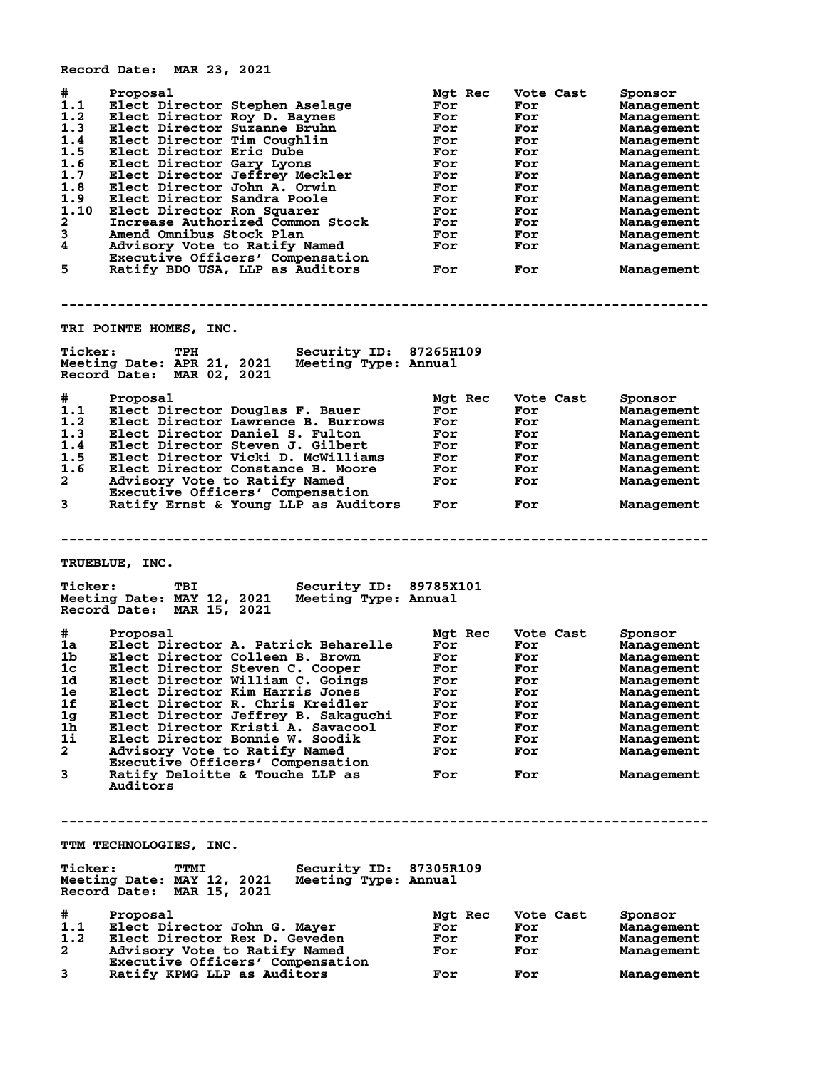**Record Date: MAR 23, 2021 # Proposal Mgt Rec Vote Cast Sponsor 1.1 Elect Director Stephen Aselage For For Management 1.2 Elect Director Roy D. Baynes For For Management 1.3 Elect Director Suzanne Bruhn For For Management 1.4 Elect Director Tim Coughlin For For Management 1.5 Elect Director Eric Dube For For Management 1.6 Elect Director Gary Lyons For For Management 1.7 Elect Director Jeffrey Meckler For For Management 1.8 Elect Director John A. Orwin For For Management 1.9 Elect Director Sandra Poole For For Management 1.10 Elect Director Ron Squarer For For Management 2 Increase Authorized Common Stock For For Management 3 Amend Omnibus Stock Plan For For Management 4 Advisory Vote to Ratify Named For For Management Executive Officers' Compensation 5 Ratify BDO USA, LLP as Auditors For For Management -------------------------------------------------------------------------------- TRI POINTE HOMES, INC. Ticker: TPH Security ID: 87265H109 Meeting Date: APR 21, 2021 Meeting Type: Annual Record Date: MAR 02, 2021 # Proposal Mgt Rec Vote Cast Sponsor 1.1 Elect Director Douglas F. Bauer For For Management 1.2 Elect Director Lawrence B. Burrows For For Management 1.3 Elect Director Daniel S. Fulton For For Management 1.4 Elect Director Steven J. Gilbert For For Management 1.5 Elect Director Vicki D. McWilliams For For Management 1.6 Elect Director Constance B. Moore For For Management 2 Advisory Vote to Ratify Named For For Management Executive Officers' Compensation 3 Ratify Ernst & Young LLP as Auditors For For Management -------------------------------------------------------------------------------- TRUEBLUE, INC. Ticker: TBI Security ID: 89785X101 Meeting Date: MAY 12, 2021 Meeting Type: Annual Record Date: MAR 15, 2021 # Proposal Mgt Rec Vote Cast Sponsor 1a Elect Director A. Patrick Beharelle For For Management 1b Elect Director Colleen B. Brown For For Management 1c Elect Director Steven C. Cooper For For Management 1d Elect Director William C. Goings For For Management 1e Elect Director Kim Harris Jones For For Management 1f Elect Director R. Chris Kreidler For For Management 1g Elect Director Jeffrey B. Sakaguchi For For Management 1h Elect Director Kristi A. Savacool For For Management 1i Elect Director Bonnie W. Soodik For For Management 2 Advisory Vote to Ratify Named For For Management Executive Officers' Compensation 3 Ratify Deloitte & Touche LLP as For For Management Auditors -------------------------------------------------------------------------------- TTM TECHNOLOGIES, INC. Ticker: TTMI Security ID: 87305R109 Meeting Date: MAY 12, 2021 Meeting Type: Annual Record Date: MAR 15, 2021 # Proposal Mgt Rec Vote Cast Sponsor 1.1 Elect Director John G. Mayer For For Management 1.2 Elect Director Rex D. Geveden For For Management 2 Advisory Vote to Ratify Named For For Management Executive Officers' Compensation 3 Ratify KPMG LLP as Auditors For For Management**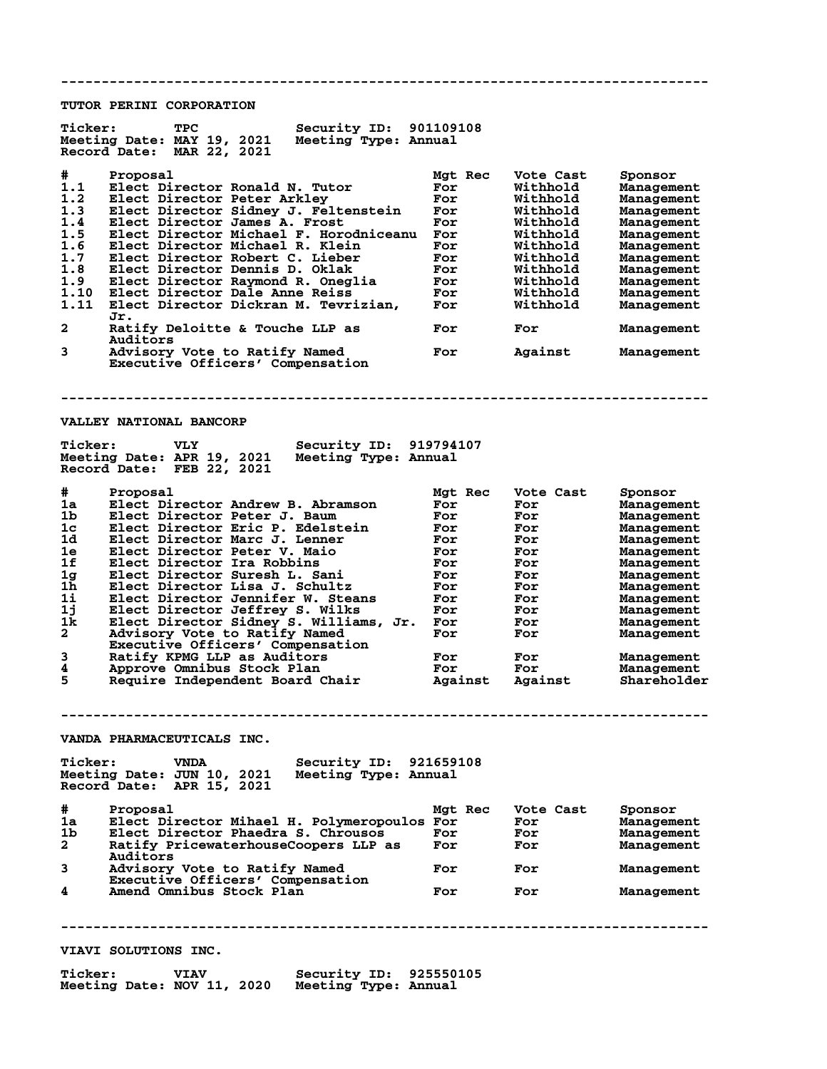**-------------------------------------------------------------------------------- TUTOR PERINI CORPORATION Ticker: TPC Security ID: 901109108 Meeting Date: MAY 19, 2021 Meeting Type: Annual Record Date: MAR 22, 2021 # Proposal Mgt Rec Vote Cast Sponsor 1.1 Elect Director Ronald N. Tutor For Withhold Management 1.2 Elect Director Peter Arkley For Withhold Management 1.3 Elect Director Sidney J. Feltenstein For Withhold Management 1.4 Elect Director James A. Frost For Withhold Management 1.5 Elect Director Michael F. Horodniceanu For Withhold Management 1.6 Elect Director Michael R. Klein For Withhold Management 1.7 Elect Director Robert C. Lieber For Withhold Management 1.8 Elect Director Dennis D. Oklak For Withhold Management 1.9 Elect Director Raymond R. Oneglia For Withhold Management 1.10 Elect Director Dale Anne Reiss For Withhold Management 1.11 Elect Director Dickran M. Tevrizian, For Withhold Management Jr. 2 Ratify Deloitte & Touche LLP as For For Management Auditors**<br>3 *Advisory* Advisory Vote to Ratify Named **For** Against Management  **Executive Officers' Compensation -------------------------------------------------------------------------------- VALLEY NATIONAL BANCORP Ticker: VLY Security ID: 919794107**<br>Meeting Date: APR 19, 2021 Meeting Type: Annual<br>Reserved Retail APR 2006111 Meeting Type: Annual **Meeting Date: APR 19, 2021 Meeting Type: Annual Record Date: FEB 22, 2021 # Proposal Mgt Rec Vote Cast Sponsor 1a Elect Director Andrew B. Abramson For For Management 1b Elect Director Peter J. Baum For For Management 1c Elect Director Eric P. Edelstein For For Management 1d Elect Director Marc J. Lenner For For Management 1e Elect Director Peter V. Maio For For Management 1f Elect Director Ira Robbins For For Management 1g Elect Director Suresh L. Sani For For Management 1h Elect Director Lisa J. Schultz For For Management 1i Elect Director Jennifer W. Steans For For Management 1j Elect Director Jeffrey S. Wilks For For Management 1k Elect Director Sidney S. Williams, Jr. For For Management 2 Advisory Vote to Ratify Named For For Management Executive Officers' Compensation 3 Ratify KPMG LLP as Auditors For For Management 4 Approve Omnibus Stock Plan For For Management 5 Require Independent Board Chair Against Against Shareholder -------------------------------------------------------------------------------- VANDA PHARMACEUTICALS INC. Ticker: VNDA Security ID: 921659108 Meeting Date: JUN 10, 2021 Meeting Type: Annual Record Date: APR 15, 2021 # Proposal Mgt Rec Vote Cast Sponsor 1a Elect Director Mihael H. Polymeropoulos For For Management 1b Elect Director Phaedra S. Chrousos For For Management 2 Ratify PricewaterhouseCoopers LLP as For For Management Auditors 3 Advisory Vote to Ratify Named For For Management Executive Officers' Compensation 4 Amend Omnibus Stock Plan For For Management -------------------------------------------------------------------------------- VIAVI SOLUTIONS INC. Ticker: VIAV Security ID: 925550105 Meeting Date: NOV 11, 2020 Meeting Type: Annual**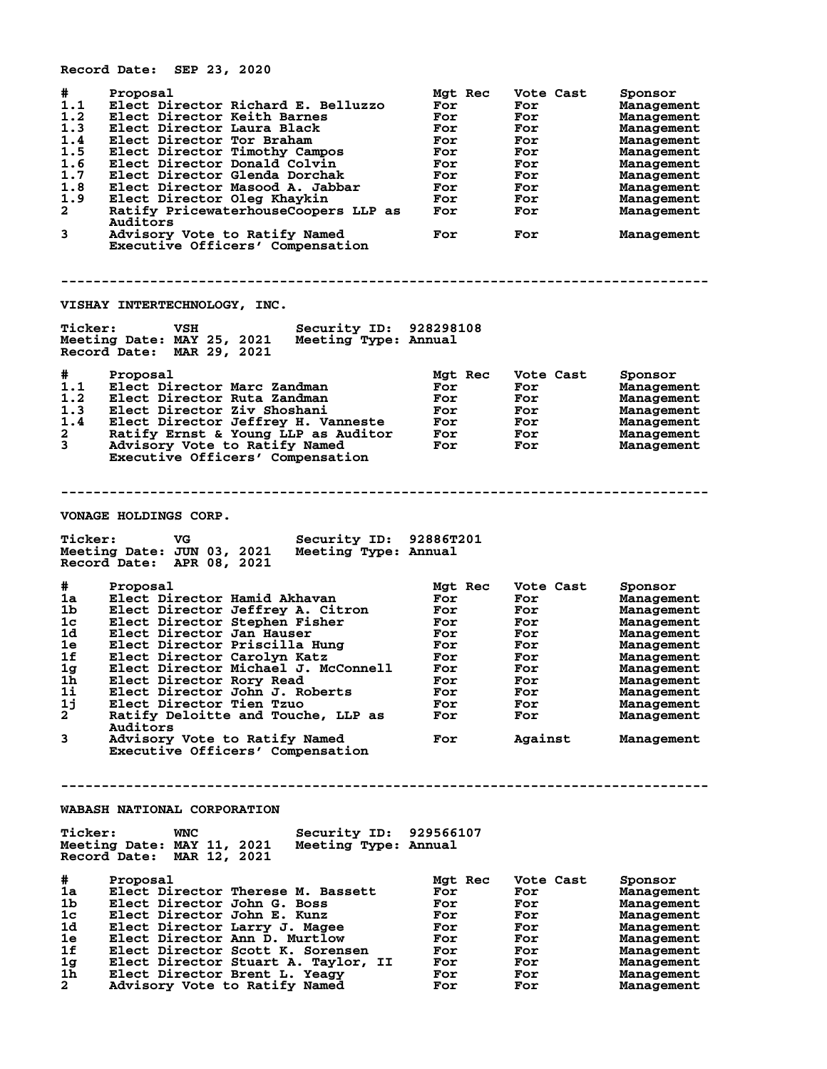|                                                                                           | Record Date: SEP 23, 2020                                                                                                                                                                                                                                                                                                                                                                                                                                          |                                                                                             |                                                                                                   |                                                                                                                                                                                 |
|-------------------------------------------------------------------------------------------|--------------------------------------------------------------------------------------------------------------------------------------------------------------------------------------------------------------------------------------------------------------------------------------------------------------------------------------------------------------------------------------------------------------------------------------------------------------------|---------------------------------------------------------------------------------------------|---------------------------------------------------------------------------------------------------|---------------------------------------------------------------------------------------------------------------------------------------------------------------------------------|
| #<br>1.1<br>1.2<br>1.3<br>1.4<br>1.5<br>1.6<br>1.7<br>1.8<br>1.9<br>$\mathbf{2}$<br>3     | Proposal<br>Elect Director Richard E. Belluzzo<br>Elect Director Keith Barnes<br>Elect Director Laura Black<br>Elect Director Tor Braham<br>Elect Director Timothy Campos<br>Elect Director Donald Colvin<br>Elect Director Glenda Dorchak<br>Elect Director Masood A. Jabbar<br>Elect Director Oleg Khaykin<br>Ratify PricewaterhouseCoopers LLP as<br>Auditors<br>Advisory Vote to Ratify Named<br>Executive Officers' Compensation                              | Mgt Rec<br>For<br>For<br>For<br>For<br>For<br>For<br>For<br>For<br>For<br>For<br>For        | Vote Cast<br>For<br>For<br>For<br>For<br>For<br>For<br>For<br>For<br>For<br>For<br>For            | Sponsor<br>Management<br>Management<br>Management<br>Management<br>Management<br>Management<br>Management<br>Management<br>Management<br>Management<br>Management               |
|                                                                                           |                                                                                                                                                                                                                                                                                                                                                                                                                                                                    |                                                                                             |                                                                                                   |                                                                                                                                                                                 |
| <b>Ticker:</b>                                                                            | VISHAY INTERTECHNOLOGY, INC.<br>Security ID: 928298108<br>VSH<br>Meeting Type: Annual<br>Meeting Date: MAY 25, 2021<br>Record Date: MAR 29, 2021                                                                                                                                                                                                                                                                                                                   |                                                                                             |                                                                                                   |                                                                                                                                                                                 |
| #<br>1.1<br>1.2<br>1.3<br>1.4<br>$\mathbf{2}$<br>$\overline{3}$                           | Proposal<br>Elect Director Marc Zandman<br>Elect Director Ruta Zandman<br>Elect Director Ziv Shoshani<br>Elect Director Jeffrey H. Vanneste<br>Ratify Ernst & Young LLP as Auditor<br>Advisory Vote to Ratify Named<br>Executive Officers' Compensation                                                                                                                                                                                                            | Mgt Rec<br>For<br>For<br>For<br>For<br>For<br>For                                           | Vote Cast<br>For<br>For<br>For<br>For<br><b>For</b><br>For                                        | Sponsor<br>Management<br>Management<br>Management<br>Management<br>Management<br>Management                                                                                     |
|                                                                                           | <b>VONAGE HOLDINGS CORP.</b>                                                                                                                                                                                                                                                                                                                                                                                                                                       |                                                                                             |                                                                                                   |                                                                                                                                                                                 |
| <b>Ticker:</b>                                                                            | Security ID: 92886T201<br>VG<br>Meeting Date: JUN 03, 2021<br>Meeting Type: Annual<br>Record Date: APR 08, 2021                                                                                                                                                                                                                                                                                                                                                    |                                                                                             |                                                                                                   |                                                                                                                                                                                 |
| #<br>1a<br>1b.<br>1c<br>1d<br>1e<br>1f<br>ıg<br>1h<br>1i<br>1j<br>$\mathbf{2}$<br>3       | Proposal<br>Elect Director Hamid Akhavan<br>Elect Director Jeffrey A. Citron<br>Elect Director Stephen Fisher<br>Elect Director Jan Hauser<br>Elect Director Priscilla Hung<br>Elect Director Carolyn Katz<br>Elect Director Michael J. McConnell<br>Elect Director Rory Read<br>Elect Director John J. Roberts<br>Elect Director Tien Tzuo<br>Ratify Deloitte and Touche, LLP as<br>Auditors<br>Advisory Vote to Ratify Named<br>Executive Officers' Compensation | Mgt Rec<br>For<br>For<br>For<br>For<br>For<br>For<br>For<br>For<br>For<br>For<br>For<br>For | Vote Cast<br>For<br>For<br>For<br>For<br>For<br>For<br>For<br>For<br>For<br>For<br>For<br>Against | Sponsor<br>Management<br>Management<br>Management<br>Management<br>Management<br>Management<br>Management<br>Management<br>Management<br>Management<br>Management<br>Management |
| <b>Ticker:</b>                                                                            | WABASH NATIONAL CORPORATION<br>Security ID: 929566107<br>WNC<br>Meeting Date: MAY 11, 2021<br>Meeting Type: Annual                                                                                                                                                                                                                                                                                                                                                 |                                                                                             |                                                                                                   |                                                                                                                                                                                 |
| #<br>1a<br>1b<br>1 <sub>c</sub><br>1d<br>1e<br>1f<br>1 <sub>g</sub><br>1h<br>$\mathbf{2}$ | Record Date: MAR 12, 2021<br>Proposal<br>Elect Director Therese M. Bassett<br>Elect Director John G. Boss<br>Elect Director John E. Kunz<br>Elect Director Larry J. Magee<br>Elect Director Ann D. Murtlow<br>Elect Director Scott K. Sorensen<br>Elect Director Stuart A. Taylor, II<br>Elect Director Brent L. Yeagy<br>Advisory Vote to Ratify Named                                                                                                            | Mgt Rec<br>For<br>For<br>For<br>For<br>For<br>For<br>For<br>For<br>For                      | Vote Cast<br>For<br>For<br>For<br>For<br>For<br>For<br>For<br>For<br>For                          | Sponsor<br>Management<br>Management<br>Management<br>Management<br>Management<br>Management<br>Management<br>Management<br>Management                                           |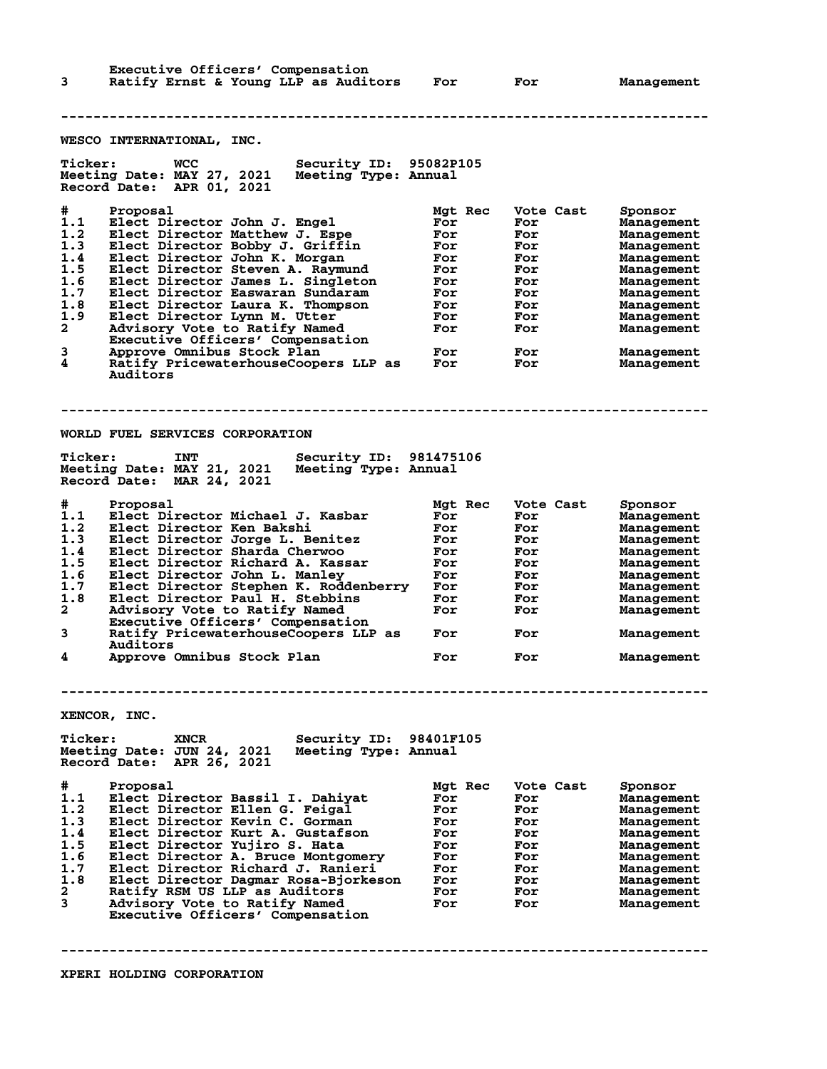**Executive Officers' Compensation<br>Ratify Ernst & Young LLP as Audit 3 Ratify Ernst & Young LLP as Auditors For For Management -------------------------------------------------------------------------------- WESCO INTERNATIONAL, INC. Ticker: WCC Security ID: 95082P105 Meeting Date: MAY 27, 2021 Meeting Type: Annual Record Date: APR 01, 2021 # Proposal Mgt Rec Vote Cast Sponsor 1.1 Elect Director John J. Engel For For Management 1.2 Elect Director Matthew J. Espe For For Management 1.3 Elect Director Bobby J. Griffin For For Management 1.4 Elect Director John K. Morgan For For Management 1.5 Elect Director Steven A. Raymund For For Management 1.6 Elect Director James L. Singleton For For Management 1.7 Elect Director Easwaran Sundaram For For Management 1.8 Elect Director Laura K. Thompson For For Management 1.9 Elect Director Lynn M. Utter For For Management 2 Advisory Vote to Ratify Named For For Management Executive Officers' Compensation 3 Approve Omnibus Stock Plan For For Management 4 Ratify PricewaterhouseCoopers LLP as For For Management Auditors -------------------------------------------------------------------------------- WORLD FUEL SERVICES CORPORATION Ticker: INT Security ID: 981475106 Meeting Date: MAY 21, 2021 Meeting Type: Annual Record Date: MAR 24, 2021 # Proposal Mgt Rec Vote Cast Sponsor 1.1 Elect Director Michael J. Kasbar For For Management 1.2 Elect Director Ken Bakshi For For Management 1.3 Elect Director Jorge L. Benitez For For Management 1.4 Elect Director Sharda Cherwoo For For Management 1.5 Elect Director Richard A. Kassar For For Management 1.6 Elect Director John L. Manley For For Management 1.7 Elect Director Stephen K. Roddenberry For For Management 1.8 Elect Director Paul H. Stebbins For For Management 2 Advisory Vote to Ratify Named For For Management Executive Officers' Compensation 3 Ratify PricewaterhouseCoopers LLP as For For Management Auditors 4 Approve Omnibus Stock Plan For For Management -------------------------------------------------------------------------------- XENCOR, INC. Ticker: XNCR Security ID: 98401F105 Meeting Date: JUN 24, 2021 Meeting Type: Annual Record Date: APR 26, 2021 # Proposal Mgt Rec Vote Cast Sponsor 1.1 Elect Director Bassil I. Dahiyat For For Management 1.2 Elect Director Ellen G. Feigal For For Management 1.3 Elect Director Kevin C. Gorman For For Management 1.4 Elect Director Kurt A. Gustafson For For Management 1.5 Elect Director Yujiro S. Hata For For Management 1.6 Elect Director A. Bruce Montgomery For For Management 1.7 Elect Director Richard J. Ranieri For For Management 1.8 Elect Director Dagmar Rosa-Bjorkeson For For Management 2 Ratify RSM US LLP as Auditors For For Management 3 Advisory Vote to Ratify Named For For Management Executive Officers' Compensation**

**--------------------------------------------------------------------------------**

**XPERI HOLDING CORPORATION**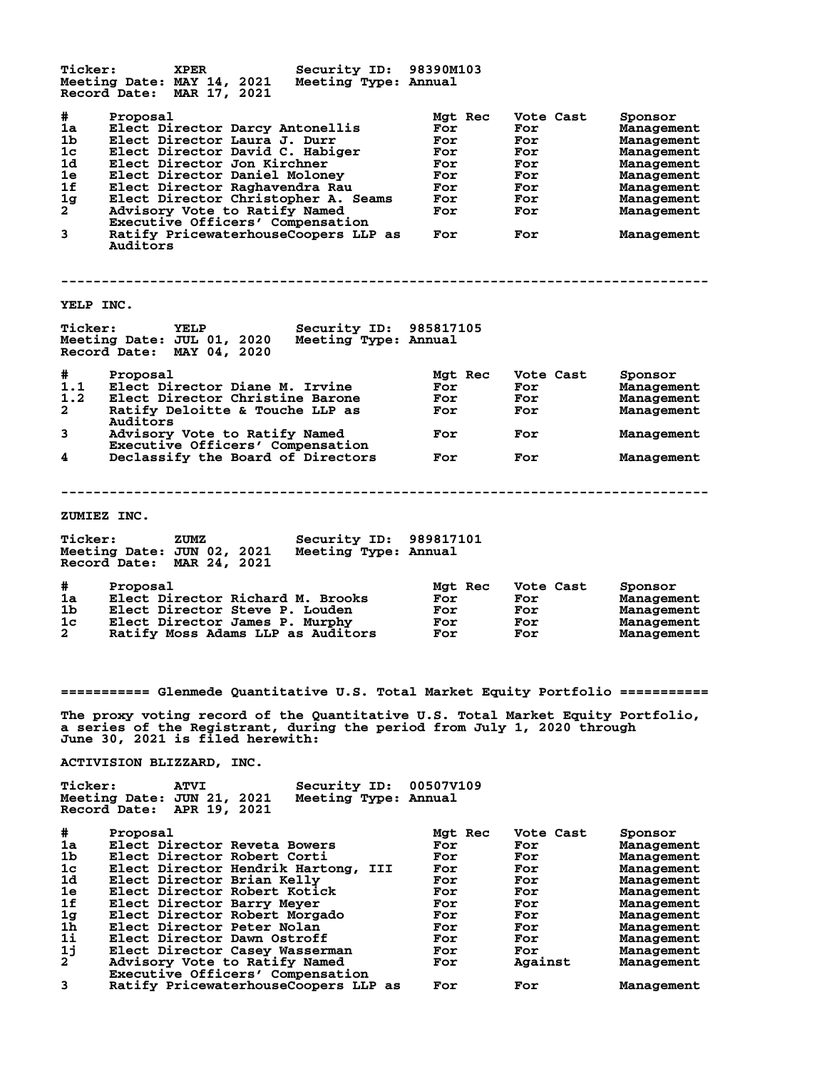| <b>Ticker:</b>                                                          | <b>XPER</b><br>Meeting Date: MAY 14, 2021<br>Record Date: MAR 17, 2021                                                                                                                                                                                                                                                                                                           | Security ID: 98390M103<br>Meeting Type: Annual        |                                                                               |                                                                          |                                                                                                                                       |
|-------------------------------------------------------------------------|----------------------------------------------------------------------------------------------------------------------------------------------------------------------------------------------------------------------------------------------------------------------------------------------------------------------------------------------------------------------------------|-------------------------------------------------------|-------------------------------------------------------------------------------|--------------------------------------------------------------------------|---------------------------------------------------------------------------------------------------------------------------------------|
| #<br>1a<br>1b<br>1c<br>1d<br>1e<br>1f<br>1 <sub>g</sub><br>$2^{-}$<br>3 | Proposal<br>Elect Director Darcy Antonellis<br>Elect Director Laura J. Durr<br>Elect Director David C. Habiger<br>Elect Director Jon Kirchner<br>Elect Director Daniel Moloney<br>Elect Director Raghavendra Rau<br>Elect Director Christopher A. Seams<br>Advisory Vote to Ratify Named<br>Executive Officers' Compensation<br>Ratify PricewaterhouseCoopers LLP as<br>Auditors |                                                       | Mgt Rec<br>For<br>For<br>For<br>For<br>For<br>For<br>For<br>For<br><b>For</b> | Vote Cast<br>For<br>For<br>For<br>For<br>For<br>For<br>For<br>For<br>For | Sponsor<br>Management<br>Management<br>Management<br>Management<br>Management<br>Management<br>Management<br>Management<br>Management |
| YELP INC.                                                               |                                                                                                                                                                                                                                                                                                                                                                                  |                                                       |                                                                               |                                                                          |                                                                                                                                       |
| <b>Ticker:</b>                                                          | <b>YELP</b><br>Meeting Date: JUL 01, 2020<br>Record Date: MAY 04, 2020                                                                                                                                                                                                                                                                                                           | <b>Security ID: 985817105</b><br>Meeting Type: Annual |                                                                               |                                                                          |                                                                                                                                       |
| #                                                                       | Proposal                                                                                                                                                                                                                                                                                                                                                                         |                                                       | Mgt Rec                                                                       | Vote Cast                                                                | Sponsor                                                                                                                               |
| 1.1                                                                     | Elect Director Diane M. Irvine                                                                                                                                                                                                                                                                                                                                                   |                                                       | For                                                                           | For                                                                      | Management                                                                                                                            |
| 1.2<br>$\mathbf{2}$                                                     | Elect Director Christine Barone<br>Ratify Deloitte & Touche LLP as                                                                                                                                                                                                                                                                                                               |                                                       | For<br>For                                                                    | For<br>For                                                               | Management<br>Management                                                                                                              |
|                                                                         | Auditors                                                                                                                                                                                                                                                                                                                                                                         |                                                       |                                                                               |                                                                          |                                                                                                                                       |
| 3                                                                       | Advisory Vote to Ratify Named<br>Executive Officers' Compensation                                                                                                                                                                                                                                                                                                                |                                                       | For                                                                           | For                                                                      | Management                                                                                                                            |
| 4                                                                       | Declassify the Board of Directors                                                                                                                                                                                                                                                                                                                                                |                                                       | For                                                                           | For                                                                      | Management                                                                                                                            |
|                                                                         |                                                                                                                                                                                                                                                                                                                                                                                  |                                                       |                                                                               |                                                                          |                                                                                                                                       |
|                                                                         | ZUMIEZ INC.                                                                                                                                                                                                                                                                                                                                                                      |                                                       |                                                                               |                                                                          |                                                                                                                                       |
| <b>Ticker:</b>                                                          | ZUMZ<br>Meeting Date: JUN 02, 2021 Meeting Type: Annual<br>Record Date: MAR 24, 2021                                                                                                                                                                                                                                                                                             | Security ID: 989817101                                |                                                                               |                                                                          |                                                                                                                                       |
| #                                                                       | Proposal                                                                                                                                                                                                                                                                                                                                                                         |                                                       | Mgt Rec                                                                       | Vote Cast                                                                | Sponsor                                                                                                                               |
| 1a                                                                      | Elect Director Richard M. Brooks                                                                                                                                                                                                                                                                                                                                                 |                                                       | For                                                                           | For                                                                      | Management                                                                                                                            |
| 1b.<br>1c                                                               | Elect Director Steve P. Louden<br>Elect Director James P. Murphy                                                                                                                                                                                                                                                                                                                 |                                                       | For                                                                           | For                                                                      | Management<br>Management                                                                                                              |
| $\mathbf{2}^-$                                                          | Ratify Moss Adams LLP as Auditors                                                                                                                                                                                                                                                                                                                                                |                                                       | For<br>For                                                                    | For<br>For                                                               | Management                                                                                                                            |
|                                                                         |                                                                                                                                                                                                                                                                                                                                                                                  |                                                       |                                                                               |                                                                          |                                                                                                                                       |
|                                                                         |                                                                                                                                                                                                                                                                                                                                                                                  |                                                       |                                                                               |                                                                          |                                                                                                                                       |
|                                                                         | =========== Glenmede Quantitative U.S. Total Market Equity Portfolio ===========                                                                                                                                                                                                                                                                                                 |                                                       |                                                                               |                                                                          |                                                                                                                                       |
|                                                                         | The proxy voting record of the Quantitative U.S. Total Market Equity Portfolio,<br>a series of the Registrant, during the period from July 1, 2020 through<br><b>June 30, 2021 is filed herewith:</b>                                                                                                                                                                            |                                                       |                                                                               |                                                                          |                                                                                                                                       |
|                                                                         | ACTIVISION BLIZZARD, INC.                                                                                                                                                                                                                                                                                                                                                        |                                                       |                                                                               |                                                                          |                                                                                                                                       |
| <b>Ticker:</b>                                                          | <b>ATVI</b><br>Meeting Date: JUN 21, 2021<br>Record Date: APR 19, 2021                                                                                                                                                                                                                                                                                                           | Security ID:<br>Meeting Type: Annual                  | 005077109                                                                     |                                                                          |                                                                                                                                       |
| #                                                                       | Proposal                                                                                                                                                                                                                                                                                                                                                                         |                                                       | Mgt Rec                                                                       | Vote Cast                                                                | Sponsor                                                                                                                               |
| 1a                                                                      | Elect Director Reveta Bowers                                                                                                                                                                                                                                                                                                                                                     |                                                       | For                                                                           | For                                                                      | Management                                                                                                                            |
| 1b                                                                      | Elect Director Robert Corti                                                                                                                                                                                                                                                                                                                                                      |                                                       | For                                                                           | For                                                                      | Management                                                                                                                            |
| 1c<br>1d                                                                | Elect Director Hendrik Hartong,<br>Elect Director Brian Kelly                                                                                                                                                                                                                                                                                                                    | III                                                   | For<br>For                                                                    | For<br>For                                                               | Management<br>Management                                                                                                              |
| 1e                                                                      | Elect Director Robert Kotick                                                                                                                                                                                                                                                                                                                                                     |                                                       | For                                                                           | For                                                                      | Management                                                                                                                            |
| 1f                                                                      | Elect Director Barry Meyer                                                                                                                                                                                                                                                                                                                                                       |                                                       | For                                                                           | For                                                                      | Management                                                                                                                            |
| 1 <sub>g</sub>                                                          | Elect Director Robert Morgado                                                                                                                                                                                                                                                                                                                                                    |                                                       | For                                                                           | For                                                                      | Management                                                                                                                            |
| 1 <sub>h</sub>                                                          | Elect Director Peter Nolan                                                                                                                                                                                                                                                                                                                                                       |                                                       | For                                                                           | For                                                                      | Management                                                                                                                            |
| 1i<br>1j                                                                | Elect Director Dawn Ostroff<br>Elect Director Casey Wasserman                                                                                                                                                                                                                                                                                                                    |                                                       | For<br>For                                                                    | For<br>For                                                               | Management<br>Management                                                                                                              |
| $\mathbf{2}$                                                            | Advisory Vote to Ratify Named<br>Executive Officers' Compensation                                                                                                                                                                                                                                                                                                                |                                                       | For                                                                           | Against                                                                  | Management                                                                                                                            |

**3 Ratify PricewaterhouseCoopers LLP as For For Management**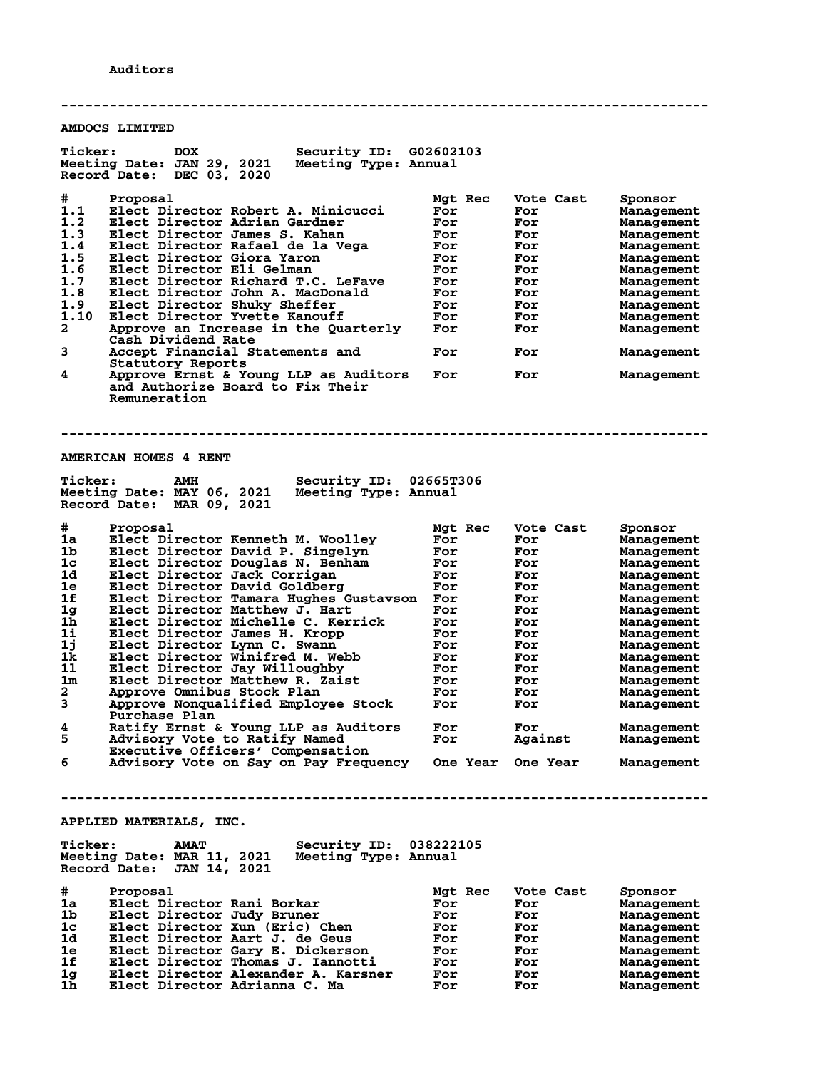**-------------------------------------------------------------------------------- AMDOCS LIMITED Ticker: DOX Security ID: G02602103 Meeting Date: JAN 29, 2021 Meeting Type: Annual Record Date: DEC 03, 2020 # Proposal Mgt Rec Vote Cast Sponsor 1.1 Elect Director Robert A. Minicucci For For Management 1.2 Elect Director Adrian Gardner For For Management 1.3 Elect Director James S. Kahan For For Management 1.4 Elect Director Rafael de la Vega For For Management 1.5 Elect Director Giora Yaron For For Management 1.6 Elect Director Eli Gelman For For Management 1.7 Elect Director Richard T.C. LeFave For For Management 1.8 Elect Director John A. MacDonald For For Management 1.9 Elect Director Shuky Sheffer For For Management 1.10 Elect Director Yvette Kanouff For For Management 2 Approve an Increase in the Quarterly For For Management Cash Dividend Rate 3 Accept Financial Statements and For For Management Statutory Reports<br>4** Approve Ernst & Yo **4 Approve Ernst & Young LLP as Auditors For For Management and Authorize Board to Fix Their Remuneration -------------------------------------------------------------------------------- AMERICAN HOMES 4 RENT** Ticker: AMH Security ID: 02665T306<br>Meeting Date: MAY 06, 2021 Meeting Type: Annual **Meeting Date: MAY 06, 2021 Meeting Type: Annual Record Date: MAR 09, 2021 # Proposal Mgt Rec Vote Cast Sponsor 1a Elect Director Kenneth M. Woolley For For Management 1b Elect Director David P. Singelyn For For Management 1c Elect Director Douglas N. Benham For For Management 1d Elect Director Jack Corrigan For For Management 1e Elect Director David Goldberg For For Management 1f Elect Director Tamara Hughes Gustavson For For Management 1g Elect Director Matthew J. Hart For For Management 1h Elect Director Michelle C. Kerrick For For Management 1i Elect Director James H. Kropp For For Management 1j Elect Director Lynn C. Swann For For Management 1k Elect Director Winifred M. Webb For For Management 1l Elect Director Jay Willoughby For For Management 1m Elect Director Matthew R. Zaist For For Management 2 Approve Omnibus Stock Plan For For Management 3 Approve Nonqualified Employee Stock For For Management Purchase Plan 4 Ratify Ernst & Young LLP as Auditors For For Management 5 Advisory Vote to Ratify Named For Against Management Executive Officers' Compensation 6 Advisory Vote on Say on Pay Frequency One Year One Year Management -------------------------------------------------------------------------------- APPLIED MATERIALS, INC. Ticker: AMAT Security ID: 038222105 Meeting Date: MAR 11, 2021 Meeting Type: Annual Record Date: JAN 14, 2021 # Proposal Mgt Rec Vote Cast Sponsor 1a Elect Director Rani Borkar For For Management 1b Elect Director Judy Bruner For For Management 1c Elect Director Xun (Eric) Chen For For Management 1d Elect Director Aart J. de Geus For For Management 1e Elect Director Gary E. Dickerson For For Management 1f Elect Director Thomas J. Iannotti For For Management 1g Elect Director Alexander A. Karsner For For Management 1h Elect Director Adrianna C. Ma For For Management**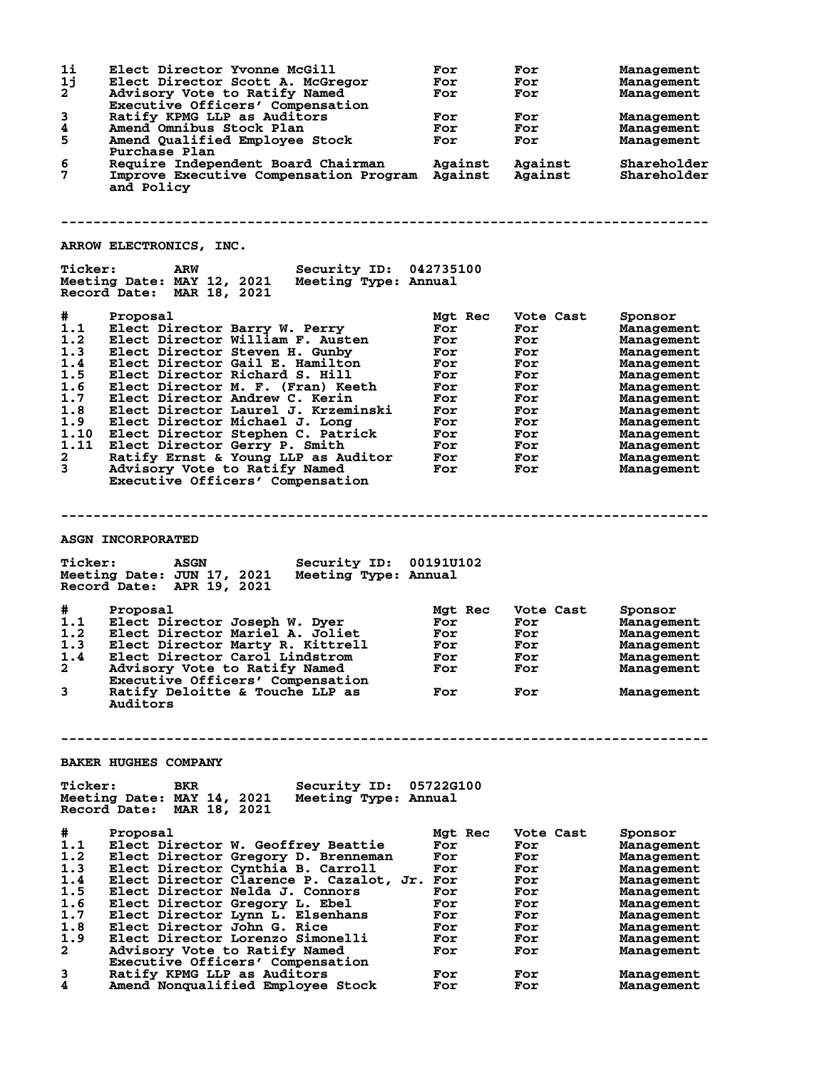| 1i<br>1j<br>$\mathbf{2}$<br>3<br>4<br>5<br>6<br>7                                                                                                                        | Elect Director Yvonne McGill<br>Elect Director Scott A. McGregor<br>Advisory Vote to Ratify Named<br>Executive Officers' Compensation<br>Ratify KPMG LLP as Auditors<br>Amend Omnibus Stock Plan<br>Amend Qualified Employee Stock<br>Purchase Plan<br>Require Independent Board Chairman<br>Improve Executive Compensation Program Against<br>and Policy                                                                                                                                                              | For<br>For<br>For<br>For<br>For<br>For<br>Against                                                         | For<br>For<br>For<br>For<br>For<br>For<br>Against<br>Against                                         | Management<br>Management<br>Management<br>Management<br>Management<br>Management<br>Shareholder<br>Shareholder                                                                                |  |
|--------------------------------------------------------------------------------------------------------------------------------------------------------------------------|------------------------------------------------------------------------------------------------------------------------------------------------------------------------------------------------------------------------------------------------------------------------------------------------------------------------------------------------------------------------------------------------------------------------------------------------------------------------------------------------------------------------|-----------------------------------------------------------------------------------------------------------|------------------------------------------------------------------------------------------------------|-----------------------------------------------------------------------------------------------------------------------------------------------------------------------------------------------|--|
|                                                                                                                                                                          | ARROW ELECTRONICS, INC.                                                                                                                                                                                                                                                                                                                                                                                                                                                                                                |                                                                                                           |                                                                                                      |                                                                                                                                                                                               |  |
| <b>Ticker:</b>                                                                                                                                                           | <b>Security ID: 042735100</b><br>ARW<br>Meeting Date: MAY 12, 2021 Meeting Type: Annual<br>Record Date: MAR 18, 2021                                                                                                                                                                                                                                                                                                                                                                                                   |                                                                                                           |                                                                                                      |                                                                                                                                                                                               |  |
| #<br>1.1<br>1.2<br>1.3<br>1.4<br>1.5<br>1.6<br>1.7<br>1.8<br>1.9<br>1.10<br>1.11<br>2<br>3                                                                               | Proposal<br>Elect Director Barry W. Perry<br>Elect Director William F. Austen<br>Elect Director Steven H. Gunby<br>Elect Director Gail E. Hamilton<br>Elect Director Richard S. Hill<br>Elect Director M. F. (Fran) Keeth<br>Elect Director Andrew C. Kerin<br>Elect Director Laurel J. Krzeminski<br>Elect Director Michael J. Long<br>Elect Director Stephen C. Patrick<br>Elect Director Gerry P. Smith<br>Ratify Ernst & Young LLP as Auditor<br>Advisory Vote to Ratify Named<br>Executive Officers' Compensation | Mgt Rec<br>For<br>For<br>For<br>For<br>For<br>For<br>For<br>For<br>For<br>For<br><b>For</b><br>For<br>For | Vote Cast<br>For<br>For<br>For<br>For<br>For<br>For<br>For<br>For<br>For<br>For<br>For<br>For<br>For | Sponsor<br>Management<br>Management<br>Management<br>Management<br>Management<br>Management<br>Management<br>Management<br>Management<br>Management<br>Management<br>Management<br>Management |  |
| <b>Ticker:</b>                                                                                                                                                           | <b>ASGN INCORPORATED</b><br>Security ID: 00191U102<br><b>ASGN</b><br>Meeting Date: JUN 17, 2021<br>Meeting Type: Annual<br>Record Date: APR 19, 2021                                                                                                                                                                                                                                                                                                                                                                   |                                                                                                           |                                                                                                      |                                                                                                                                                                                               |  |
| #<br>1.1<br>1.2<br>1.3<br>1.4<br>3                                                                                                                                       | Proposal<br>Elect Director Joseph W. Dyer<br>Elect Director Mariel A. Joliet<br>Elect Director Marty R. Kittrell<br>Elect Director Carol Lindstrom<br>2 Advisory Vote to Ratify Named<br>Executive Officers' Compensation<br>Ratify Deloitte & Touche LLP as<br>Auditors                                                                                                                                                                                                                                               | Mgt Rec<br>For<br>For<br>For<br>For<br><b>For</b><br>For                                                  | Vote Cast<br>For<br>For<br>For<br>For<br>For<br>For                                                  | Sponsor<br>Management<br>Management<br>Management<br>Management<br>Management<br>Management                                                                                                   |  |
|                                                                                                                                                                          |                                                                                                                                                                                                                                                                                                                                                                                                                                                                                                                        |                                                                                                           |                                                                                                      |                                                                                                                                                                                               |  |
| <b>BAKER HUGHES COMPANY</b><br><b>Ticker:</b><br><b>BKR</b><br>Security ID: 05722G100<br>Meeting Date: MAY 14, 2021<br>Meeting Type: Annual<br>Record Date: MAR 18, 2021 |                                                                                                                                                                                                                                                                                                                                                                                                                                                                                                                        |                                                                                                           |                                                                                                      |                                                                                                                                                                                               |  |
| #.<br>1.1<br>1.2<br>1.3<br>1.4<br>1.5<br>1.6<br>1.7<br>1.8<br>1.9<br>2<br>3<br>4                                                                                         | Proposal<br>Elect Director W. Geoffrey Beattie<br>Elect Director Gregory D. Brenneman<br>Elect Director Cynthia B. Carroll<br>Elect Director Clarence P. Cazalot, Jr. For<br>Elect Director Nelda J. Connors<br>Elect Director Gregory L. Ebel<br>Elect Director Lynn L. Elsenhans<br>Elect Director John G. Rice<br>Elect Director Lorenzo Simonelli<br>Advisory Vote to Ratify Named<br>Executive Officers' Compensation<br>Ratify KPMG LLP as Auditors                                                              | Mgt Rec<br>For<br>For<br>For<br>For<br>For<br>For<br>For<br>For<br>For<br>For                             | Vote Cast<br>For<br>For<br>For<br>For<br>For<br>For<br>For<br>For<br>For<br>For<br>For               | Sponsor<br>Management<br>Management<br>Management<br>Management<br>Management<br>Management<br>Management<br>Management<br>Management<br>Management<br>Management                             |  |
|                                                                                                                                                                          | Amend Nonqualified Employee Stock                                                                                                                                                                                                                                                                                                                                                                                                                                                                                      | For                                                                                                       | For                                                                                                  | Management                                                                                                                                                                                    |  |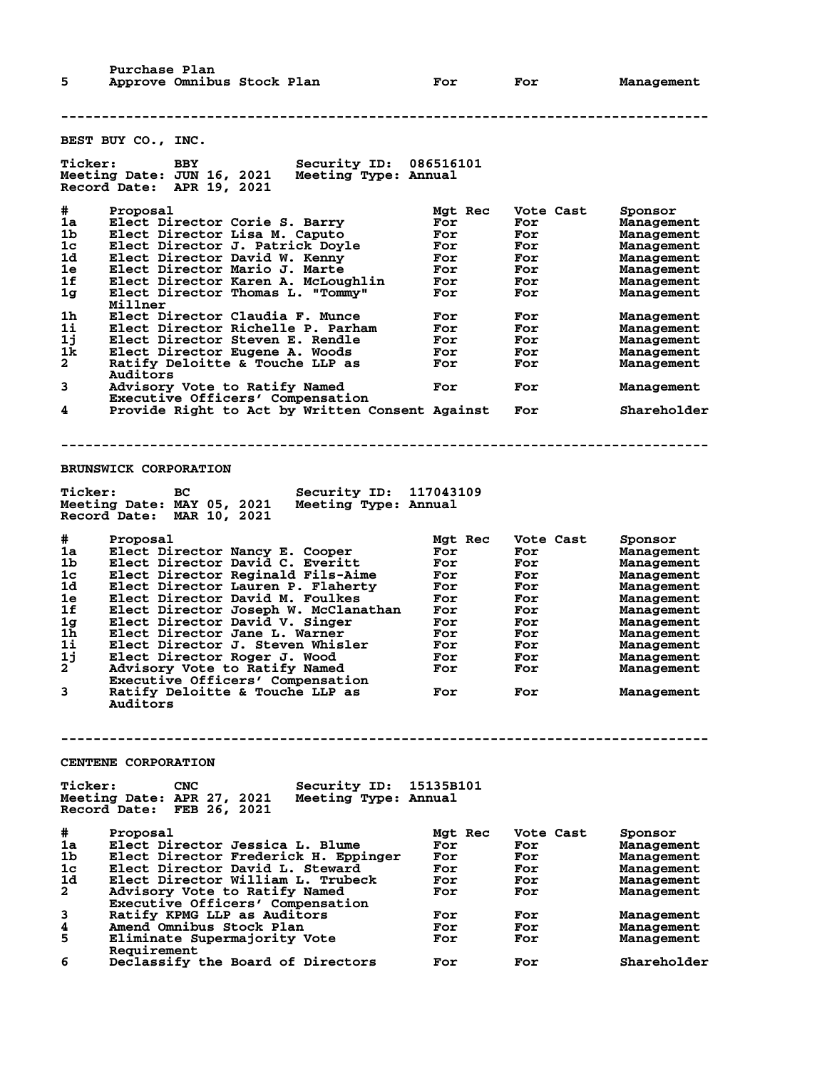Purchase Plan<br>5 Approve Omnibu Approve Omnibus Stock Plan **For** For **For** Management

**-------------------------------------------------------------------------------- BEST BUY CO., INC. Ticker: BBY Security ID: 086516101 Meeting Date: JUN 16, 2021 Meeting Type: Annual Record Date: APR 19, 2021 # Proposal Mgt Rec Vote Cast Sponsor 1a Elect Director Corie S. Barry For For Management 1b Elect Director Lisa M. Caputo For For Management 1c Elect Director J. Patrick Doyle For For Management 1d Elect Director David W. Kenny For For Management 1e Elect Director Mario J. Marte For For Management 1f Elect Director Karen A. McLoughlin For For Management 1g Elect Director Thomas L. "Tommy" For For Management Millner 1h Elect Director Claudia F. Munce For For Management 1i Elect Director Richelle P. Parham For For Management 1j Elect Director Steven E. Rendle For For Management 1k Elect Director Eugene A. Woods For For Management 2 Ratify Deloitte & Touche LLP as For For Management** 2 Ratify De<br>Auditors<br>3 Advisory **3 Advisory Vote to Ratify Named For For Management Executive Officers' Compensation 4 Provide Right to Act by Written Consent Against For Shareholder -------------------------------------------------------------------------------- BRUNSWICK CORPORATION Ticker: BC Security ID: 117043109 Meeting Date: MAY 05, 2021 Meeting Type: Annual Record Date: MAR 10, 2021 # Proposal Mgt Rec Vote Cast Sponsor 1a Elect Director Nancy E. Cooper For For Management 1b Elect Director David C. Everitt For For Management 1c Elect Director Reginald Fils-Aime For For Management 1d Elect Director Lauren P. Flaherty For For Management 1e Elect Director David M. Foulkes For For Management 1f Elect Director Joseph W. McClanathan For For Management 1g Elect Director David V. Singer For For Management 1h Elect Director Jane L. Warner For For Management 1i Elect Director J. Steven Whisler For For Management 1j Elect Director Roger J. Wood For For Management 2 Advisory Vote to Ratify Named For For Management Executive Officers' Compensation 3 Ratify Deloitte & Touche LLP as For For Management Auditors -------------------------------------------------------------------------------- CENTENE CORPORATION Ticker: CNC Security ID: 15135B101 Meeting Date: APR 27, 2021 Meeting Type: Annual Record Date: FEB 26, 2021 # Proposal Mgt Rec Vote Cast Sponsor 1a Elect Director Jessica L. Blume For For Management 1b Elect Director Frederick H. Eppinger For For Management 1c Elect Director David L. Steward For For Management 1d Elect Director William L. Trubeck For For Management 2 Advisory Vote to Ratify Named For For Management Executive Officers' Compensation 3 Ratify KPMG LLP as Auditors For For Management 4 American Management Constructs Superint Constructs and Stock Plan For For Management<br>4 Amend Omnibus Stock Plan For For Management<br>5 Eliminate Supermajority Vote For For Management Eliminate Supermajority Vote Requirement**<br>**6** Declassify **1 6 Declassify the Board of Directors For For Shareholder**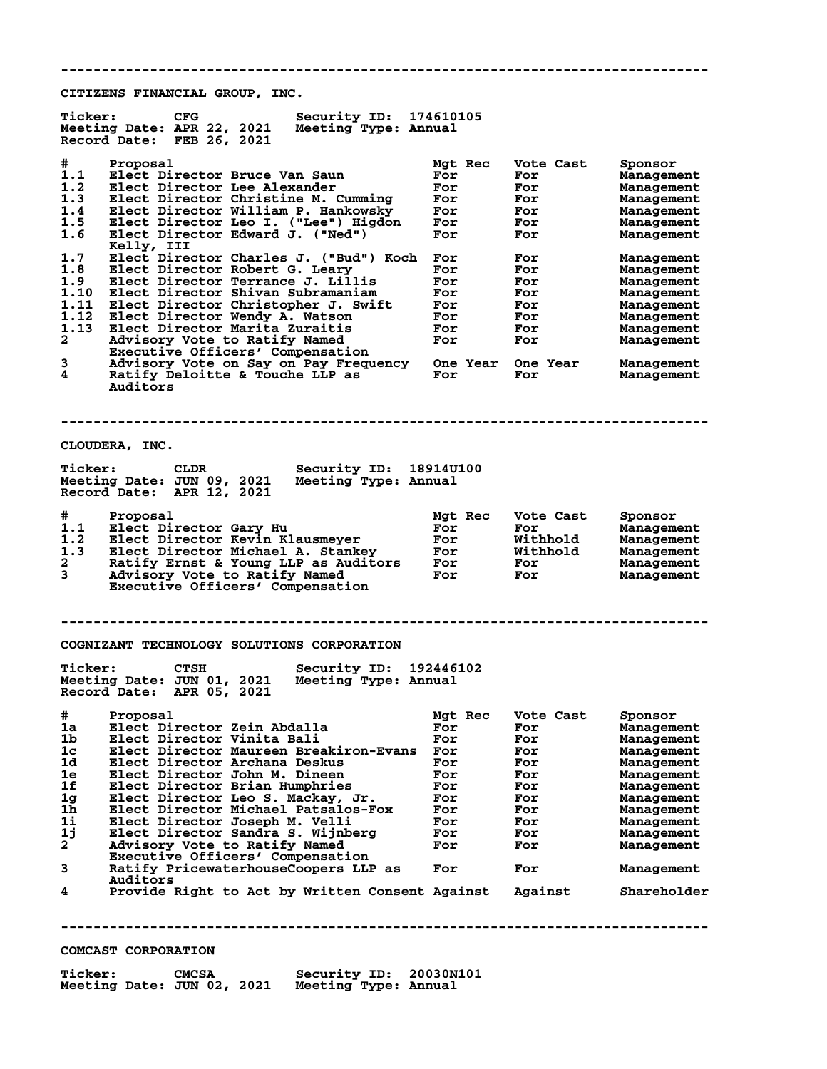**CITIZENS FINANCIAL GROUP, INC.**

| #<br>Proposal<br>Mgt Rec<br>Vote Cast<br>Sponsor<br>1.1<br>Elect Director Bruce Van Saun<br>For<br>For<br>Management<br>1.2<br>Elect Director Lee Alexander<br>For<br>For<br>Management<br>1.3<br>Elect Director Christine M. Cumming<br>For<br>For<br>Management<br>1.4<br>Elect Director William P. Hankowsky<br>For<br>For<br>Management<br>1.5<br>Elect Director Leo I. ("Lee") Higdon<br>For<br>For<br>Management<br>Elect Director Edward J. ("Ned")<br>1.6<br>For<br>For<br>Management<br>Kelly, III<br>1.7<br>Elect Director Charles J. ("Bud") Koch<br>For<br>For<br>Management<br>1.8<br>Elect Director Robert G. Leary<br>For<br>For<br>Management<br>1.9<br>Elect Director Terrance J. Lillis<br>For<br>For<br>Management<br>Elect Director Shivan Subramaniam<br>1.10<br>For<br>For<br>Management<br>1.11<br>Elect Director Christopher J. Swift<br>For<br>For<br>Management<br>1.12<br>Elect Director Wendy A. Watson<br>For<br>For<br>Management<br>1.13<br>Elect Director Marita Zuraitis<br>For<br>For<br>Management<br>$\mathbf{2}$<br>Advisory Vote to Ratify Named<br>For<br>For<br>Management<br>Executive Officers' Compensation<br>3<br>Advisory Vote on Say on Pay Frequency<br><b>One Year</b><br>One Year<br>Management<br>4<br>Ratify Deloitte & Touche LLP as<br>For<br>For<br>Management<br>Auditors<br>CLOUDERA, INC.<br><b>Ticker:</b><br>CLDR<br>Security ID: 18914U100<br>Meeting Date: JUN 09, 2021<br>Meeting Type: Annual<br>Record Date: APR 12, 2021<br>#<br>Proposal<br>Vote Cast<br>Mgt Rec<br>Sponsor<br>1.1<br>Elect Director Gary Hu<br>For<br>For<br>Management<br>1.2<br>Elect Director Kevin Klausmeyer<br>Withhold<br>For<br>Management<br>1.3<br>Elect Director Michael A. Stankey<br>For<br>Withhold<br>Management<br>2<br>Ratify Ernst & Young LLP as Auditors<br>For<br>For<br>Management<br>3<br>Advisory Vote to Ratify Named<br>For<br>For<br>Management<br>Executive Officers' Compensation<br>COGNIZANT TECHNOLOGY SOLUTIONS CORPORATION<br><b>Ticker:</b><br><b>CTSH</b><br>Security ID:<br>192446102<br>Meeting Date: JUN 01, 2021<br>Meeting Type: Annual<br>Record Date: APR 05, 2021<br>Proposal<br>#<br>Vote Cast<br>Mgt Rec<br>sponsor<br>Elect Director Zein Abdalla<br>1a<br>For<br>For<br>Management<br>1 <sub>b</sub><br>Elect Director Vinita Bali<br>For<br>For<br>Management<br>1c<br>Elect Director Maureen Breakiron-Evans<br>For<br>For<br>Management<br>1d<br>Elect Director Archana Deskus<br>For<br>For<br>Management<br>1e<br>Elect Director John M. Dineen<br>For<br>For<br>Management<br>1f<br>Elect Director Brian Humphries<br>For<br>For<br>Management<br>1 <sub>g</sub><br>Elect Director Leo S. Mackay, Jr.<br>For<br>For<br>Management<br>1h<br>Elect Director Michael Patsalos-Fox<br>For<br>For<br>Management<br>11<br>Elect Director Joseph M. Velli<br>For<br>For<br>Management<br>1j<br>Elect Director Sandra S. Wijnberg<br>For<br>For<br>Management<br>$\mathbf{2}$<br>Advisory Vote to Ratify Named<br>For<br>For<br>Management<br>Executive Officers' Compensation<br>3<br>Ratify PricewaterhouseCoopers LLP as<br>For<br>For<br>Management<br>Auditors<br>4<br>Provide Right to Act by Written Consent Against<br>Against | <b>Ticker:</b> | <b>CFG</b><br>Security ID: 174610105<br>Meeting Date: APR 22, 2021<br>Meeting Type: Annual<br>Record Date: FEB 26, 2021 |  |             |
|--------------------------------------------------------------------------------------------------------------------------------------------------------------------------------------------------------------------------------------------------------------------------------------------------------------------------------------------------------------------------------------------------------------------------------------------------------------------------------------------------------------------------------------------------------------------------------------------------------------------------------------------------------------------------------------------------------------------------------------------------------------------------------------------------------------------------------------------------------------------------------------------------------------------------------------------------------------------------------------------------------------------------------------------------------------------------------------------------------------------------------------------------------------------------------------------------------------------------------------------------------------------------------------------------------------------------------------------------------------------------------------------------------------------------------------------------------------------------------------------------------------------------------------------------------------------------------------------------------------------------------------------------------------------------------------------------------------------------------------------------------------------------------------------------------------------------------------------------------------------------------------------------------------------------------------------------------------------------------------------------------------------------------------------------------------------------------------------------------------------------------------------------------------------------------------------------------------------------------------------------------------------------------------------------------------------------------------------------------------------------------------------------------------------------------------------------------------------------------------------------------------------------------------------------------------------------------------------------------------------------------------------------------------------------------------------------------------------------------------------------------------------------------------------------------------------------------------------------------------------------------------------------------------------------------------------------------------------------------------------------------------------------------------------------------------------------------------------------------------------------------------------------------------------------------------------------------------------------|----------------|-------------------------------------------------------------------------------------------------------------------------|--|-------------|
|                                                                                                                                                                                                                                                                                                                                                                                                                                                                                                                                                                                                                                                                                                                                                                                                                                                                                                                                                                                                                                                                                                                                                                                                                                                                                                                                                                                                                                                                                                                                                                                                                                                                                                                                                                                                                                                                                                                                                                                                                                                                                                                                                                                                                                                                                                                                                                                                                                                                                                                                                                                                                                                                                                                                                                                                                                                                                                                                                                                                                                                                                                                                                                                                                          |                |                                                                                                                         |  |             |
|                                                                                                                                                                                                                                                                                                                                                                                                                                                                                                                                                                                                                                                                                                                                                                                                                                                                                                                                                                                                                                                                                                                                                                                                                                                                                                                                                                                                                                                                                                                                                                                                                                                                                                                                                                                                                                                                                                                                                                                                                                                                                                                                                                                                                                                                                                                                                                                                                                                                                                                                                                                                                                                                                                                                                                                                                                                                                                                                                                                                                                                                                                                                                                                                                          |                |                                                                                                                         |  |             |
|                                                                                                                                                                                                                                                                                                                                                                                                                                                                                                                                                                                                                                                                                                                                                                                                                                                                                                                                                                                                                                                                                                                                                                                                                                                                                                                                                                                                                                                                                                                                                                                                                                                                                                                                                                                                                                                                                                                                                                                                                                                                                                                                                                                                                                                                                                                                                                                                                                                                                                                                                                                                                                                                                                                                                                                                                                                                                                                                                                                                                                                                                                                                                                                                                          |                |                                                                                                                         |  |             |
|                                                                                                                                                                                                                                                                                                                                                                                                                                                                                                                                                                                                                                                                                                                                                                                                                                                                                                                                                                                                                                                                                                                                                                                                                                                                                                                                                                                                                                                                                                                                                                                                                                                                                                                                                                                                                                                                                                                                                                                                                                                                                                                                                                                                                                                                                                                                                                                                                                                                                                                                                                                                                                                                                                                                                                                                                                                                                                                                                                                                                                                                                                                                                                                                                          |                |                                                                                                                         |  |             |
|                                                                                                                                                                                                                                                                                                                                                                                                                                                                                                                                                                                                                                                                                                                                                                                                                                                                                                                                                                                                                                                                                                                                                                                                                                                                                                                                                                                                                                                                                                                                                                                                                                                                                                                                                                                                                                                                                                                                                                                                                                                                                                                                                                                                                                                                                                                                                                                                                                                                                                                                                                                                                                                                                                                                                                                                                                                                                                                                                                                                                                                                                                                                                                                                                          |                |                                                                                                                         |  |             |
|                                                                                                                                                                                                                                                                                                                                                                                                                                                                                                                                                                                                                                                                                                                                                                                                                                                                                                                                                                                                                                                                                                                                                                                                                                                                                                                                                                                                                                                                                                                                                                                                                                                                                                                                                                                                                                                                                                                                                                                                                                                                                                                                                                                                                                                                                                                                                                                                                                                                                                                                                                                                                                                                                                                                                                                                                                                                                                                                                                                                                                                                                                                                                                                                                          |                |                                                                                                                         |  |             |
|                                                                                                                                                                                                                                                                                                                                                                                                                                                                                                                                                                                                                                                                                                                                                                                                                                                                                                                                                                                                                                                                                                                                                                                                                                                                                                                                                                                                                                                                                                                                                                                                                                                                                                                                                                                                                                                                                                                                                                                                                                                                                                                                                                                                                                                                                                                                                                                                                                                                                                                                                                                                                                                                                                                                                                                                                                                                                                                                                                                                                                                                                                                                                                                                                          |                |                                                                                                                         |  |             |
|                                                                                                                                                                                                                                                                                                                                                                                                                                                                                                                                                                                                                                                                                                                                                                                                                                                                                                                                                                                                                                                                                                                                                                                                                                                                                                                                                                                                                                                                                                                                                                                                                                                                                                                                                                                                                                                                                                                                                                                                                                                                                                                                                                                                                                                                                                                                                                                                                                                                                                                                                                                                                                                                                                                                                                                                                                                                                                                                                                                                                                                                                                                                                                                                                          |                |                                                                                                                         |  |             |
|                                                                                                                                                                                                                                                                                                                                                                                                                                                                                                                                                                                                                                                                                                                                                                                                                                                                                                                                                                                                                                                                                                                                                                                                                                                                                                                                                                                                                                                                                                                                                                                                                                                                                                                                                                                                                                                                                                                                                                                                                                                                                                                                                                                                                                                                                                                                                                                                                                                                                                                                                                                                                                                                                                                                                                                                                                                                                                                                                                                                                                                                                                                                                                                                                          |                |                                                                                                                         |  |             |
|                                                                                                                                                                                                                                                                                                                                                                                                                                                                                                                                                                                                                                                                                                                                                                                                                                                                                                                                                                                                                                                                                                                                                                                                                                                                                                                                                                                                                                                                                                                                                                                                                                                                                                                                                                                                                                                                                                                                                                                                                                                                                                                                                                                                                                                                                                                                                                                                                                                                                                                                                                                                                                                                                                                                                                                                                                                                                                                                                                                                                                                                                                                                                                                                                          |                |                                                                                                                         |  |             |
|                                                                                                                                                                                                                                                                                                                                                                                                                                                                                                                                                                                                                                                                                                                                                                                                                                                                                                                                                                                                                                                                                                                                                                                                                                                                                                                                                                                                                                                                                                                                                                                                                                                                                                                                                                                                                                                                                                                                                                                                                                                                                                                                                                                                                                                                                                                                                                                                                                                                                                                                                                                                                                                                                                                                                                                                                                                                                                                                                                                                                                                                                                                                                                                                                          |                |                                                                                                                         |  | Shareholder |
| COMCAST CORPORATION                                                                                                                                                                                                                                                                                                                                                                                                                                                                                                                                                                                                                                                                                                                                                                                                                                                                                                                                                                                                                                                                                                                                                                                                                                                                                                                                                                                                                                                                                                                                                                                                                                                                                                                                                                                                                                                                                                                                                                                                                                                                                                                                                                                                                                                                                                                                                                                                                                                                                                                                                                                                                                                                                                                                                                                                                                                                                                                                                                                                                                                                                                                                                                                                      |                |                                                                                                                         |  |             |

**--------------------------------------------------------------------------------**

**Ticker: CMCSA Security ID: 20030N101 Meeting Date: JUN 02, 2021 Meeting Type: Annual**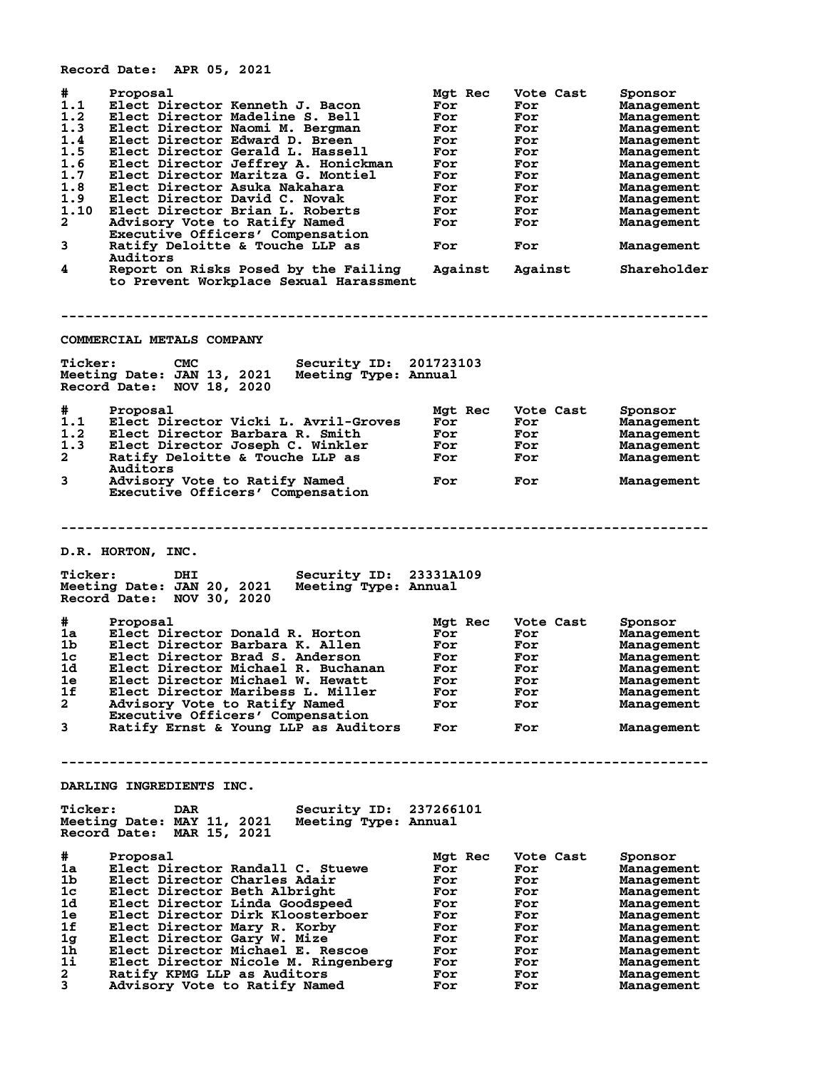**Record Date: APR 05, 2021**

| #<br>1.1<br>1.2<br>1.3<br>1.4<br>1.5<br>1.6<br>1.7<br>1.8<br>1.9<br>1.10<br>$\mathbf{2}$<br>3<br>4 | Proposal<br>Elect Director Kenneth J. Bacon<br>Elect Director Madeline S. Bell<br>Elect Director Naomi M. Bergman<br>Elect Director Edward D. Breen<br>Elect Director Gerald L. Hassell<br>Elect Director Jeffrey A. Honickman<br>Elect Director Maritza G. Montiel<br>Elect Director Asuka Nakahara<br>Elect Director David C. Novak<br>Elect Director Brian L. Roberts<br>Advisory Vote to Ratify Named<br>Executive Officers' Compensation<br>Ratify Deloitte & Touche LLP as<br>Auditors<br>Report on Risks Posed by the Failing<br>to Prevent Workplace Sexual Harassment | Mgt Rec<br>For<br>For<br>For<br>For<br>For<br>For<br>For<br>For<br>For<br>For<br>For<br>For<br>Against | Vote Cast<br>For<br>For<br>For<br>For<br>For<br>For<br>For<br>For<br>For<br>For<br>For<br>For<br>Against | Sponsor<br>Management<br>Management<br>Management<br>Management<br>Management<br>Management<br>Management<br>Management<br>Management<br>Management<br>Management<br>Management<br>Shareholder |
|----------------------------------------------------------------------------------------------------|--------------------------------------------------------------------------------------------------------------------------------------------------------------------------------------------------------------------------------------------------------------------------------------------------------------------------------------------------------------------------------------------------------------------------------------------------------------------------------------------------------------------------------------------------------------------------------|--------------------------------------------------------------------------------------------------------|----------------------------------------------------------------------------------------------------------|------------------------------------------------------------------------------------------------------------------------------------------------------------------------------------------------|
|                                                                                                    |                                                                                                                                                                                                                                                                                                                                                                                                                                                                                                                                                                                |                                                                                                        |                                                                                                          |                                                                                                                                                                                                |
|                                                                                                    | COMMERCIAL METALS COMPANY                                                                                                                                                                                                                                                                                                                                                                                                                                                                                                                                                      |                                                                                                        |                                                                                                          |                                                                                                                                                                                                |
| <b>Ticker:</b>                                                                                     | <b>CMC</b><br>Security ID: 201723103<br>Meeting Date: JAN 13, 2021<br>Meeting Type: Annual<br>Record Date: NOV 18, 2020                                                                                                                                                                                                                                                                                                                                                                                                                                                        |                                                                                                        |                                                                                                          |                                                                                                                                                                                                |
| #                                                                                                  | Proposal                                                                                                                                                                                                                                                                                                                                                                                                                                                                                                                                                                       | Mgt Rec                                                                                                | Vote Cast                                                                                                | Sponsor                                                                                                                                                                                        |
| 1.1                                                                                                | Elect Director Vicki L. Avril-Groves                                                                                                                                                                                                                                                                                                                                                                                                                                                                                                                                           | For                                                                                                    | For                                                                                                      | Management                                                                                                                                                                                     |
| 1.2                                                                                                | Elect Director Barbara R. Smith                                                                                                                                                                                                                                                                                                                                                                                                                                                                                                                                                | For                                                                                                    | For                                                                                                      | Management                                                                                                                                                                                     |
| 1.3                                                                                                | Elect Director Joseph C. Winkler                                                                                                                                                                                                                                                                                                                                                                                                                                                                                                                                               | For                                                                                                    | For                                                                                                      | Management                                                                                                                                                                                     |
| $\mathbf{2}$                                                                                       | Ratify Deloitte & Touche LLP as                                                                                                                                                                                                                                                                                                                                                                                                                                                                                                                                                | For                                                                                                    | For                                                                                                      | Management                                                                                                                                                                                     |
| 3                                                                                                  | Auditors<br>Advisory Vote to Ratify Named<br>Executive Officers' Compensation                                                                                                                                                                                                                                                                                                                                                                                                                                                                                                  | For                                                                                                    | For                                                                                                      | Management                                                                                                                                                                                     |
|                                                                                                    |                                                                                                                                                                                                                                                                                                                                                                                                                                                                                                                                                                                |                                                                                                        |                                                                                                          |                                                                                                                                                                                                |
|                                                                                                    | D.R. HORTON, INC.                                                                                                                                                                                                                                                                                                                                                                                                                                                                                                                                                              |                                                                                                        |                                                                                                          |                                                                                                                                                                                                |
| <b>Ticker:</b>                                                                                     | DHI<br>Security ID:<br>Meeting Date: JAN 20, 2021<br>Meeting Type: Annual<br>Record Date: NOV 30, 2020                                                                                                                                                                                                                                                                                                                                                                                                                                                                         | 23331A109                                                                                              |                                                                                                          |                                                                                                                                                                                                |
| #                                                                                                  | Proposal                                                                                                                                                                                                                                                                                                                                                                                                                                                                                                                                                                       |                                                                                                        | Vote Cast                                                                                                |                                                                                                                                                                                                |
| 1a                                                                                                 | Elect Director Donald R. Horton                                                                                                                                                                                                                                                                                                                                                                                                                                                                                                                                                | Mgt Rec<br>For                                                                                         | For                                                                                                      | Sponsor<br>Management                                                                                                                                                                          |
| 1b.                                                                                                | Elect Director Barbara K. Allen                                                                                                                                                                                                                                                                                                                                                                                                                                                                                                                                                | For                                                                                                    | For                                                                                                      | Management                                                                                                                                                                                     |
| 1c                                                                                                 | Elect Director Brad S. Anderson                                                                                                                                                                                                                                                                                                                                                                                                                                                                                                                                                | For                                                                                                    | For                                                                                                      | Management                                                                                                                                                                                     |
| 1d                                                                                                 | Elect Director Michael R. Buchanan                                                                                                                                                                                                                                                                                                                                                                                                                                                                                                                                             | For                                                                                                    | For                                                                                                      | Management                                                                                                                                                                                     |
| 1e                                                                                                 | Elect Director Michael W. Hewatt                                                                                                                                                                                                                                                                                                                                                                                                                                                                                                                                               | For                                                                                                    | For                                                                                                      | Management                                                                                                                                                                                     |
| 1f                                                                                                 | Elect Director Maribess L. Miller                                                                                                                                                                                                                                                                                                                                                                                                                                                                                                                                              | For                                                                                                    | For                                                                                                      | Management                                                                                                                                                                                     |
| $\mathbf{2}$                                                                                       | Advisory Vote to Ratify Named                                                                                                                                                                                                                                                                                                                                                                                                                                                                                                                                                  | For                                                                                                    | For                                                                                                      | Management                                                                                                                                                                                     |
|                                                                                                    | Executive Officers' Compensation                                                                                                                                                                                                                                                                                                                                                                                                                                                                                                                                               |                                                                                                        |                                                                                                          |                                                                                                                                                                                                |
| 3                                                                                                  | Ratify Ernst & Young LLP as Auditors                                                                                                                                                                                                                                                                                                                                                                                                                                                                                                                                           | For                                                                                                    | For                                                                                                      | Management                                                                                                                                                                                     |
|                                                                                                    |                                                                                                                                                                                                                                                                                                                                                                                                                                                                                                                                                                                |                                                                                                        |                                                                                                          |                                                                                                                                                                                                |
|                                                                                                    | DARLING INGREDIENTS INC.                                                                                                                                                                                                                                                                                                                                                                                                                                                                                                                                                       |                                                                                                        |                                                                                                          |                                                                                                                                                                                                |
| <b>Ticker:</b>                                                                                     | <b>DAR</b><br>Security ID: 237266101<br>Meeting Date: MAY 11, 2021<br>Meeting Type: Annual<br>Record Date: MAR 15, 2021                                                                                                                                                                                                                                                                                                                                                                                                                                                        |                                                                                                        |                                                                                                          |                                                                                                                                                                                                |
| #                                                                                                  | Proposal                                                                                                                                                                                                                                                                                                                                                                                                                                                                                                                                                                       | Mgt Rec                                                                                                | Vote Cast                                                                                                | Sponsor                                                                                                                                                                                        |
| 1a                                                                                                 | Elect Director Randall C. Stuewe                                                                                                                                                                                                                                                                                                                                                                                                                                                                                                                                               | For                                                                                                    | For                                                                                                      | Management                                                                                                                                                                                     |
| 1 <sub>b</sub>                                                                                     | Elect Director Charles Adair                                                                                                                                                                                                                                                                                                                                                                                                                                                                                                                                                   | For                                                                                                    | For                                                                                                      | Management                                                                                                                                                                                     |
| 1c                                                                                                 | Elect Director Beth Albright                                                                                                                                                                                                                                                                                                                                                                                                                                                                                                                                                   | For                                                                                                    | For                                                                                                      | Management                                                                                                                                                                                     |
| 1d                                                                                                 | Elect Director Linda Goodspeed                                                                                                                                                                                                                                                                                                                                                                                                                                                                                                                                                 | For                                                                                                    | For                                                                                                      | Management                                                                                                                                                                                     |
| 1e                                                                                                 | Elect Director Dirk Kloosterboer                                                                                                                                                                                                                                                                                                                                                                                                                                                                                                                                               | For                                                                                                    | For                                                                                                      | Management                                                                                                                                                                                     |
| 1f                                                                                                 | Elect Director Mary R. Korby                                                                                                                                                                                                                                                                                                                                                                                                                                                                                                                                                   | For                                                                                                    | For                                                                                                      | Management                                                                                                                                                                                     |
| 1 <sub>g</sub>                                                                                     | Elect Director Gary W. Mize                                                                                                                                                                                                                                                                                                                                                                                                                                                                                                                                                    | For                                                                                                    | For                                                                                                      | Management                                                                                                                                                                                     |
| 1h                                                                                                 | Elect Director Michael E. Rescoe                                                                                                                                                                                                                                                                                                                                                                                                                                                                                                                                               | For                                                                                                    | For                                                                                                      | Management                                                                                                                                                                                     |
| 1i                                                                                                 | Elect Director Nicole M. Ringenberg                                                                                                                                                                                                                                                                                                                                                                                                                                                                                                                                            | For                                                                                                    | For                                                                                                      | Management                                                                                                                                                                                     |
| $\mathbf{2}$                                                                                       | Ratify KPMG LLP as Auditors                                                                                                                                                                                                                                                                                                                                                                                                                                                                                                                                                    | For                                                                                                    | For                                                                                                      | Management                                                                                                                                                                                     |
| 3                                                                                                  | Advisory Vote to Ratify Named                                                                                                                                                                                                                                                                                                                                                                                                                                                                                                                                                  | For                                                                                                    | For                                                                                                      | Management                                                                                                                                                                                     |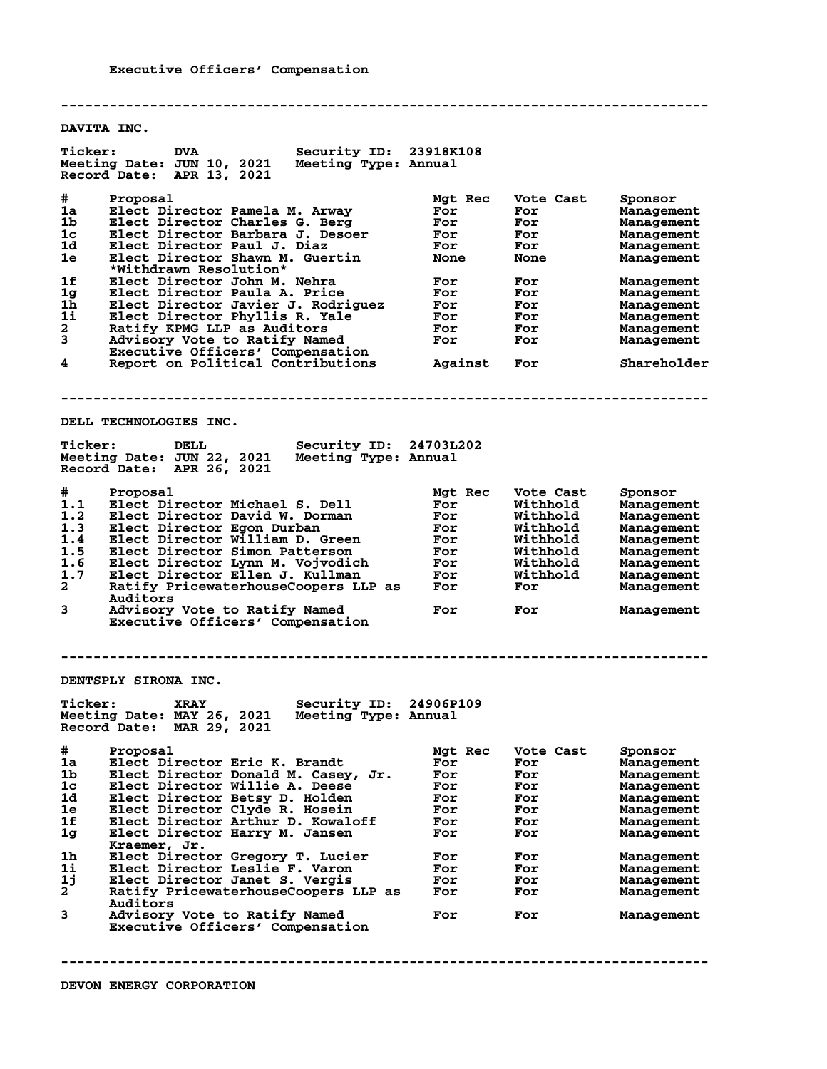**-------------------------------------------------------------------------------- DAVITA INC.** Ticker: DVA Security ID: 23918K108<br>Meeting Date: JUN 10, 2021 Meeting Type: Annual **Meeting Date: JUN 10, 2021 Meeting Type: Annual Record Date: APR 13, 2021 # Proposal Mgt Rec Vote Cast Sponsor 1a Elect Director Pamela M. Arway For For Management 1b Elect Director Charles G. Berg For For Management 1c Elect Director Barbara J. Desoer For For Management 1d Elect Director Paul J. Diaz For For Management 1e Elect Director Shawn M. Guertin None None Management \*Withdrawn Resolution\* 1f Elect Director John M. Nehra For For Management 1g Elect Director Paula A. Price For For Management 1h Elect Director Javier J. Rodriguez For For Management 1i Elect Director Phyllis R. Yale For For Management 2 Ratify KPMG LLP as Auditors For For Management 3 Advisory Vote to Ratify Named For For Management Executive Officers' Compensation 4 Report on Political Contributions Against For Shareholder -------------------------------------------------------------------------------- DELL TECHNOLOGIES INC. Ticker: DELL Security ID: 24703L202 Meeting Date: JUN 22, 2021 Meeting Type: Annual Record Date: APR 26, 2021 # Proposal Mgt Rec Vote Cast Sponsor 1.1 Elect Director Michael S. Dell For Withhold Management 1.2 Elect Director David W. Dorman For Withhold Management 1.3 Elect Director Egon Durban For Withhold Management 1.4 Elect Director William D. Green For Withhold Management 1.5 Elect Director Simon Patterson For Withhold Management 1.6 Elect Director Lynn M. Vojvodich For Withhold Management 1.7 Elect Director Ellen J. Kullman For Withhold Management 2 Ratify PricewaterhouseCoopers LLP as For For Management Auditors 3 Advisory Vote to Ratify Named For For Management Executive Officers' Compensation -------------------------------------------------------------------------------- DENTSPLY SIRONA INC. Ticker: XRAY Security ID: 24906P109 Meeting Date: MAY 26, 2021 Meeting Type: Annual Record Date: MAR 29, 2021 # Proposal Mgt Rec Vote Cast Sponsor 1a Elect Director Eric K. Brandt For For Management 1b Elect Director Donald M. Casey, Jr. For For Management 1c Elect Director Willie A. Deese For For Management 1d Elect Director Betsy D. Holden For For Management 1e Elect Director Clyde R. Hosein For For Management 1f Elect Director Arthur D. Kowaloff For For Management 1g Elect Director Harry M. Jansen For For Management Kraemer, Jr. 1h Elect Director Gregory T. Lucier For For Management 1i Elect Director Leslie F. Varon For For Management 1j Elect Director Janet S. Vergis For For Management 2 Ratify PricewaterhouseCoopers LLP as For For Management Auditors** Advisory Vote to Ratify Named **For** For Management  **Executive Officers' Compensation --------------------------------------------------------------------------------**

**DEVON ENERGY CORPORATION**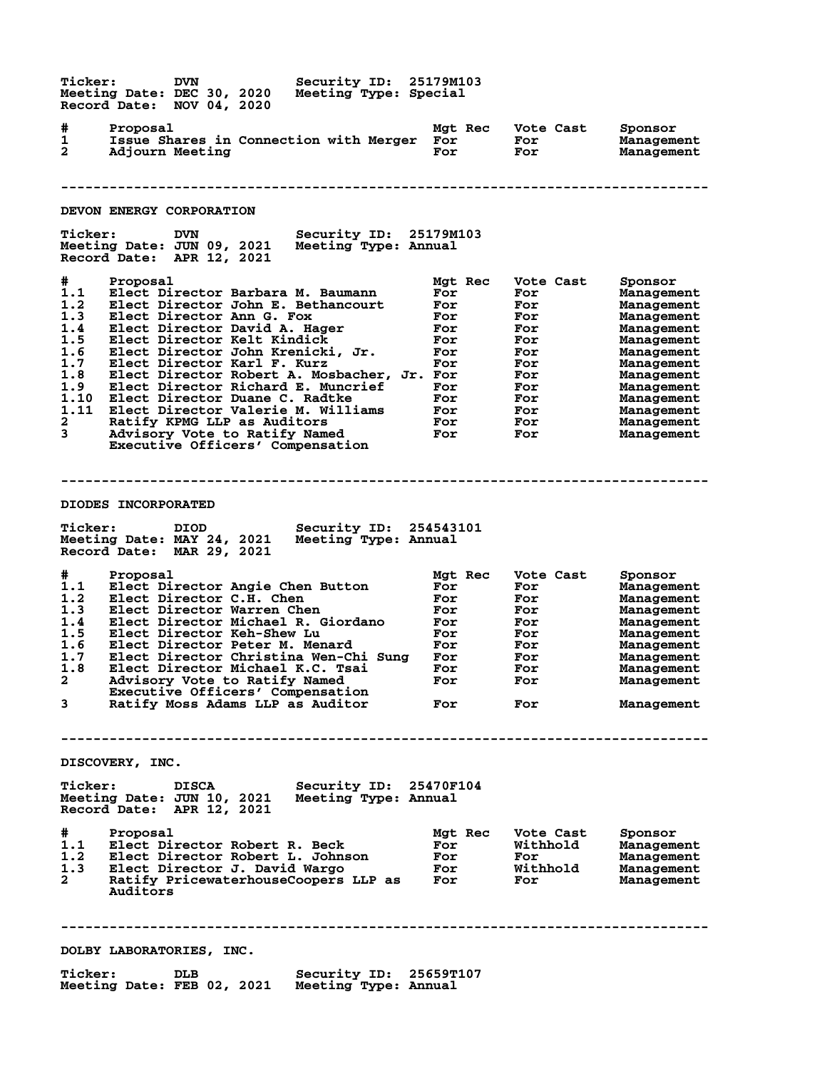**Ticker: DVN Security ID: 25179M103 Meeting Date: DEC 30, 2020 Meeting Type: Special Record Date: NOV 04, 2020 # Proposal Mgt Rec Vote Cast Sponsor 1 Issue Shares in Connection with Merger For For Management 2 Adjourn Meeting For For Management -------------------------------------------------------------------------------- DEVON ENERGY CORPORATION Ticker: DVN Security ID: 25179M103 Meeting Date: JUN 09, 2021 Meeting Type: Annual Record Date: APR 12, 2021 # Proposal Mgt Rec Vote Cast Sponsor 1.1 Elect Director Barbara M. Baumann For For Management 1.2 Elect Director John E. Bethancourt For For Management 1.3 Elect Director Ann G. Fox For For Management 1.4 Elect Director David A. Hager For For Management 1.5 Elect Director Kelt Kindick For For Management 1.6 Elect Director John Krenicki, Jr. For For Management 1.7 Elect Director Karl F. Kurz For For Management 1.8 Elect Director Robert A. Mosbacher, Jr. For For Management 1.9 Elect Director Richard E. Muncrief For For Management 1.10 Elect Director Duane C. Radtke For For Management 1.11 Elect Director Valerie M. Williams For For Management 2 Ratify KPMG LLP as Auditors For For Management 3 Advisory Vote to Ratify Named For For Management Executive Officers' Compensation -------------------------------------------------------------------------------- DIODES INCORPORATED Ticker: DIOD Security ID: 254543101 Meeting Date: MAY 24, 2021 Meeting Type: Annual Record Date: MAR 29, 2021 # Proposal Mgt Rec Vote Cast Sponsor 1.1 Elect Director Angie Chen Button For For Management 1.2 Elect Director C.H. Chen For For Management 1.3 Elect Director Warren Chen For For Management 1.4 Elect Director Michael R. Giordano For For Management 1.5 Elect Director Keh-Shew Lu For For Management 1.6 Elect Director Peter M. Menard For For Management 1.7 Elect Director Christina Wen-Chi Sung For For Management 1.8 Elect Director Michael K.C. Tsai For For Management 2 Advisory Vote to Ratify Named For For Management Executive Officers' Compensation 3 Ratify Moss Adams LLP as Auditor For For Management -------------------------------------------------------------------------------- DISCOVERY, INC. Ticker: DISCA Security ID: 25470F104 Meeting Date: JUN 10, 2021 Meeting Type: Annual Record Date: APR 12, 2021 # Proposal Mgt Rec Vote Cast Sponsor 1.1 Elect Director Robert R. Beck For Withhold Management 1.2 Elect Director Robert L. Johnson For For Management 1.3 Elect Director J. David Wargo For Withhold Management 2 Ratify PricewaterhouseCoopers LLP as For For Management Auditors -------------------------------------------------------------------------------- DOLBY LABORATORIES, INC. Ticker: DLB Security ID: 25659T107 Meeting Date: FEB 02, 2021 Meeting Type: Annual**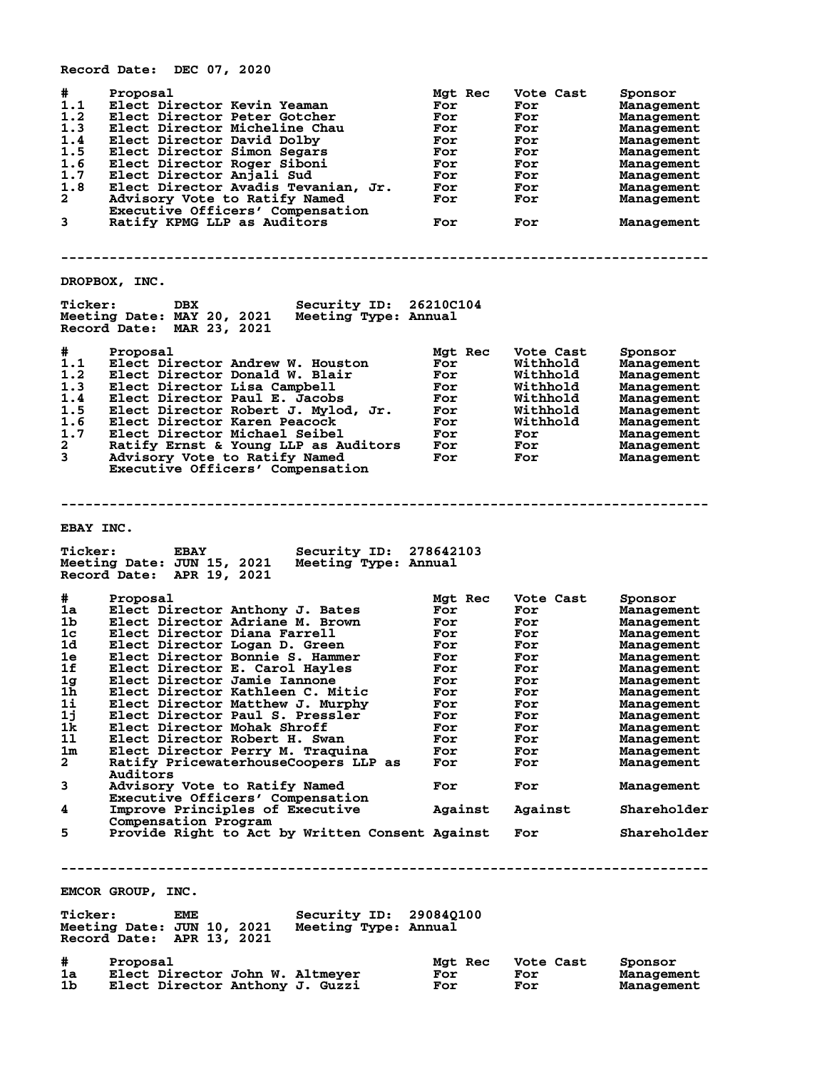|                                                                                                                                                                | Record Date: DEC 07, 2020                                                                                                                                                                                                                                                                                                                                                                                                                                                                                                                                                                                                       |                                                                                                                             |                                                                                                                               |                                                                                                                                                                                                                                                               |
|----------------------------------------------------------------------------------------------------------------------------------------------------------------|---------------------------------------------------------------------------------------------------------------------------------------------------------------------------------------------------------------------------------------------------------------------------------------------------------------------------------------------------------------------------------------------------------------------------------------------------------------------------------------------------------------------------------------------------------------------------------------------------------------------------------|-----------------------------------------------------------------------------------------------------------------------------|-------------------------------------------------------------------------------------------------------------------------------|---------------------------------------------------------------------------------------------------------------------------------------------------------------------------------------------------------------------------------------------------------------|
| #<br>1.1<br>1.2<br>1.3<br>1.4<br>1.5<br>1.6<br>1.7<br>1.8<br>$\mathbf{2}$<br>3                                                                                 | Proposal<br>Elect Director Kevin Yeaman<br>Elect Director Peter Gotcher<br>Elect Director Micheline Chau<br>Elect Director David Dolby<br>Elect Director Simon Segars<br>Elect Director Roger Siboni<br>Elect Director Anjali Sud<br>Elect Director Avadis Tevanian, Jr.<br>Advisory Vote to Ratify Named<br>Executive Officers' Compensation<br>Ratify KPMG LLP as Auditors                                                                                                                                                                                                                                                    | Mgt Rec<br>For<br>For<br>For<br>For<br>For<br>For<br>For<br>For<br>For<br><b>For</b>                                        | Vote Cast<br>For<br>For<br>For<br>For<br>For<br>For<br>For<br>For<br>For<br>For                                               | Sponsor<br><b>Management</b><br><b>Management</b><br><b>Management</b><br><b>Management</b><br>Management<br><b>Management</b><br><b>Management</b><br>Management<br><b>Management</b><br>Management                                                          |
|                                                                                                                                                                |                                                                                                                                                                                                                                                                                                                                                                                                                                                                                                                                                                                                                                 |                                                                                                                             |                                                                                                                               |                                                                                                                                                                                                                                                               |
|                                                                                                                                                                | DROPBOX, INC.                                                                                                                                                                                                                                                                                                                                                                                                                                                                                                                                                                                                                   |                                                                                                                             |                                                                                                                               |                                                                                                                                                                                                                                                               |
| <b>Ticker:</b>                                                                                                                                                 | Security ID: 26210C104<br>DBX<br>Meeting Date: MAY 20, 2021 Meeting Type: Annual<br>Record Date: MAR 23, 2021                                                                                                                                                                                                                                                                                                                                                                                                                                                                                                                   |                                                                                                                             |                                                                                                                               |                                                                                                                                                                                                                                                               |
| #<br>1.1<br>1.2<br>1.3<br>1.4<br>1.5<br>1.6<br>1.7<br>2<br>3                                                                                                   | Proposal<br>Elect Director Andrew W. Houston<br>Elect Director Donald W. Blair<br>Elect Director Lisa Campbell<br>Elect Director Paul E. Jacobs<br>Elect Director Robert J. Mylod, Jr.<br>Elect Director Karen Peacock<br>Elect Director Michael Seibel<br>Ratify Ernst & Young LLP as Auditors<br>Advisory Vote to Ratify Named<br>Executive Officers' Compensation                                                                                                                                                                                                                                                            | Mgt Rec<br>For<br>For<br>For<br>For<br>For<br>For<br>For<br>For<br>For                                                      | Vote Cast<br>Withhold<br>Withhold<br>Withhold<br>Withhold<br>Withhold<br>Withhold<br>For<br>For<br>For                        | Sponsor<br><b>Management</b><br><b>Management</b><br><b>Management</b><br><b>Management</b><br><b>Management</b><br>Management<br>Management<br>Management<br>Management                                                                                      |
|                                                                                                                                                                |                                                                                                                                                                                                                                                                                                                                                                                                                                                                                                                                                                                                                                 |                                                                                                                             |                                                                                                                               |                                                                                                                                                                                                                                                               |
| EBAY INC.<br><b>Ticker:</b>                                                                                                                                    | <b>Security ID: 278642103</b><br><b>EBAY</b><br>Meeting Date: JUN 15, 2021<br>Meeting Type: Annual<br>Record Date: APR 19, 2021                                                                                                                                                                                                                                                                                                                                                                                                                                                                                                 |                                                                                                                             |                                                                                                                               |                                                                                                                                                                                                                                                               |
| #<br>1a<br>1b.<br>1c<br>1d<br>1e.<br>1f<br>1g<br>1 <sub>h</sub><br>1i<br>1j<br>1k<br>11<br>1 <sub>m</sub><br>$\overline{a}$<br>3<br>4                          | Proposal<br>Elect Director Anthony J. Bates<br>Elect Director Adriane M. Brown<br>Elect Director Diana Farrell<br>Elect Director Logan D. Green<br>Elect Director Bonnie S. Hammer<br>Elect Director E. Carol Hayles<br>Elect Director Jamie Iannone<br>Elect Director Kathleen C. Mitic<br>Elect Director Matthew J. Murphy<br>Elect Director Paul S. Pressler<br>Elect Director Mohak Shroff<br>Elect Director Robert H. Swan<br>Elect Director Perry M. Traquina<br>Ratify PricewaterhouseCoopers LLP as<br>Auditors<br>Advisory Vote to Ratify Named<br>Executive Officers' Compensation<br>Improve Principles of Executive | Mgt Rec<br>For<br>For<br>For<br>For<br>For<br>For<br>For<br>For<br>For<br>For<br>For<br>For<br>For<br>For<br>For<br>Against | Vote Cast<br>For<br>For<br>For<br>For<br>For<br>For<br>For<br>For<br>For<br>For<br>For<br>For<br>For<br>For<br>For<br>Against | Sponsor<br><b>Management</b><br>Management<br>Management<br>Management<br>Management<br>Management<br><b>Management</b><br><b>Management</b><br>Management<br>Management<br>Management<br>Management<br>Management<br>Management<br>Management<br>Shareholder |
| 5                                                                                                                                                              | Compensation Program<br>Provide Right to Act by Written Consent Against                                                                                                                                                                                                                                                                                                                                                                                                                                                                                                                                                         |                                                                                                                             | For                                                                                                                           | Shareholder                                                                                                                                                                                                                                                   |
| EMCOR GROUP, INC.<br><b>Ticker:</b><br><b>Security ID: 29084Q100</b><br>EME<br>Meeting Date: JUN 10, 2021<br>Meeting Type: Annual<br>Record Date: APR 13, 2021 |                                                                                                                                                                                                                                                                                                                                                                                                                                                                                                                                                                                                                                 |                                                                                                                             |                                                                                                                               |                                                                                                                                                                                                                                                               |
| #.<br>1a<br>1b.                                                                                                                                                | Proposal<br>Elect Director John W. Altmeyer<br>Elect Director Anthony J. Guzzi                                                                                                                                                                                                                                                                                                                                                                                                                                                                                                                                                  | Mgt Rec<br>For<br>For                                                                                                       | Vote Cast<br>For<br>For                                                                                                       | Sponsor<br>Management<br>Management                                                                                                                                                                                                                           |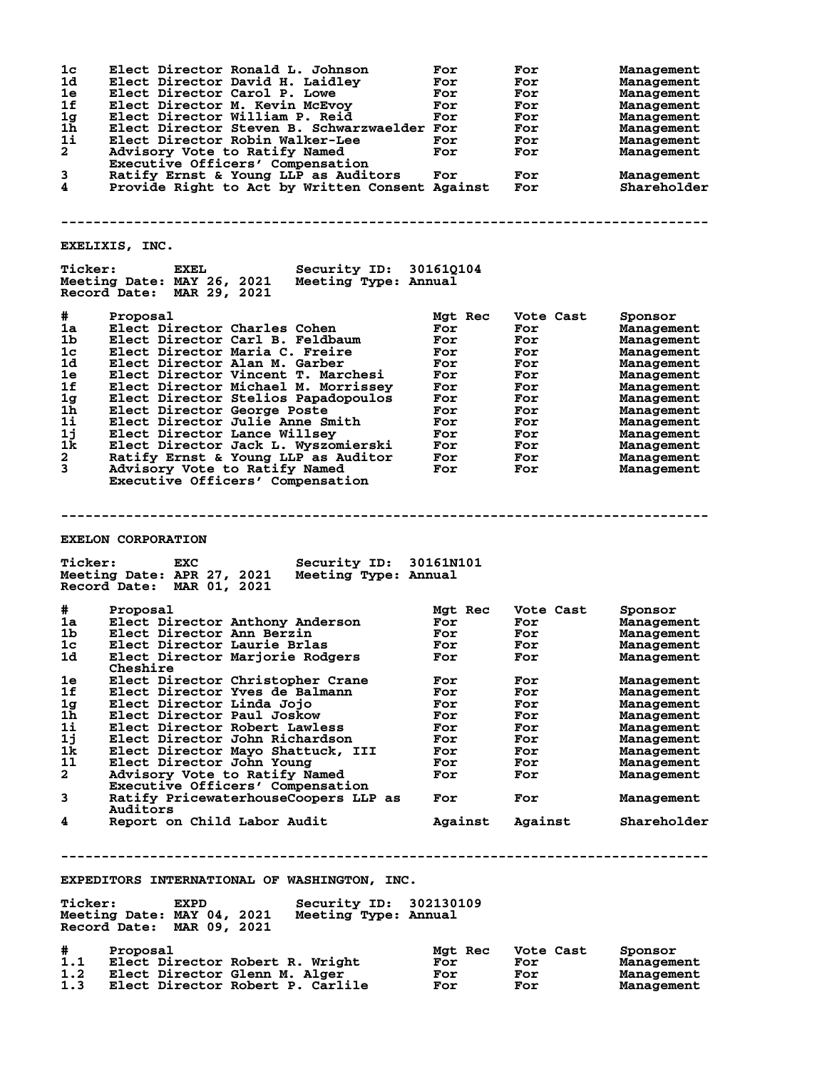| 1c<br>1d<br>1e<br>1f<br>1g<br>1h<br>11<br>$\mathbf{2}$<br>3<br>4 | Elect Director Ronald L. Johnson<br>Elect Director David H. Laidley<br>Elect Director Carol P. Lowe<br>Elect Director M. Kevin McEvoy<br>Elect Director William P. Reid<br>Elect Director Steven B. Schwarzwaelder For<br>Elect Director Robin Walker-Lee<br>Advisory Vote to Ratify Named<br>Executive Officers' Compensation<br>Ratify Ernst & Young LLP as Auditors<br>Provide Right to Act by Written Consent Against | For<br>For<br>For<br>For<br>For<br>For<br>For<br>For | For<br>For<br>For<br>For<br>For<br>For<br>For<br>For<br>For<br>For | <b>Management</b><br>Management<br>Management<br>Management<br>Management<br>Management<br>Management<br>Management<br>Management<br>Shareholder |  |
|------------------------------------------------------------------|---------------------------------------------------------------------------------------------------------------------------------------------------------------------------------------------------------------------------------------------------------------------------------------------------------------------------------------------------------------------------------------------------------------------------|------------------------------------------------------|--------------------------------------------------------------------|--------------------------------------------------------------------------------------------------------------------------------------------------|--|
|                                                                  | EXELIXIS, INC.                                                                                                                                                                                                                                                                                                                                                                                                            |                                                      |                                                                    |                                                                                                                                                  |  |
| <b>Ticker:</b>                                                   | <b>Security ID: 301610104</b><br>EXEL<br>Meeting Date: MAY 26, 2021 Meeting Type: Annual<br>Record Date: MAR 29, 2021                                                                                                                                                                                                                                                                                                     |                                                      |                                                                    |                                                                                                                                                  |  |
| #                                                                | Proposal                                                                                                                                                                                                                                                                                                                                                                                                                  | Mgt Rec                                              | Vote Cast                                                          | Sponsor                                                                                                                                          |  |
| 1a                                                               | Elect Director Charles Cohen                                                                                                                                                                                                                                                                                                                                                                                              | For                                                  | For                                                                | Management                                                                                                                                       |  |
| 1b                                                               | Elect Director Carl B. Feldbaum                                                                                                                                                                                                                                                                                                                                                                                           | For                                                  | For                                                                | Management                                                                                                                                       |  |
| 1 <sub>c</sub>                                                   | Elect Director Maria C. Freire                                                                                                                                                                                                                                                                                                                                                                                            | For                                                  | For                                                                | Management                                                                                                                                       |  |
| 1d                                                               | Elect Director Alan M. Garber                                                                                                                                                                                                                                                                                                                                                                                             | For                                                  | For                                                                | Management                                                                                                                                       |  |
| 1e                                                               | Elect Director Vincent T. Marchesi                                                                                                                                                                                                                                                                                                                                                                                        | For                                                  | For                                                                | Management                                                                                                                                       |  |
| 1f                                                               | Elect Director Michael M. Morrissey                                                                                                                                                                                                                                                                                                                                                                                       | For                                                  | For                                                                | Management                                                                                                                                       |  |
| 1g                                                               | Elect Director Stelios Papadopoulos                                                                                                                                                                                                                                                                                                                                                                                       | For                                                  | For                                                                | Management                                                                                                                                       |  |
| 1h                                                               | Elect Director George Poste                                                                                                                                                                                                                                                                                                                                                                                               | For                                                  | For                                                                | Management                                                                                                                                       |  |
| 1i                                                               | Elect Director Julie Anne Smith                                                                                                                                                                                                                                                                                                                                                                                           | For                                                  | For                                                                | Management                                                                                                                                       |  |
| 1j                                                               | Elect Director Lance Willsey                                                                                                                                                                                                                                                                                                                                                                                              | For                                                  | For                                                                | Management                                                                                                                                       |  |
| 1k                                                               | Elect Director Jack L. Wyszomierski                                                                                                                                                                                                                                                                                                                                                                                       | For                                                  | For                                                                | Management                                                                                                                                       |  |
| $\mathbf{2}$                                                     | Ratify Ernst & Young LLP as Auditor                                                                                                                                                                                                                                                                                                                                                                                       | <b>For</b>                                           | For                                                                | Management                                                                                                                                       |  |
| $\mathbf{3}$                                                     | Advisory Vote to Ratify Named<br>Executive Officers' Compensation                                                                                                                                                                                                                                                                                                                                                         | For                                                  | For                                                                | Management                                                                                                                                       |  |
| <b>Ticker:</b>                                                   | <b>EXELON CORPORATION</b><br>Security ID: 30161N101<br>EXC                                                                                                                                                                                                                                                                                                                                                                |                                                      |                                                                    |                                                                                                                                                  |  |
|                                                                  | Meeting Date: APR 27, 2021<br>Meeting Type: Annual<br>Record Date: MAR 01, 2021                                                                                                                                                                                                                                                                                                                                           |                                                      |                                                                    |                                                                                                                                                  |  |
| #                                                                | Proposal                                                                                                                                                                                                                                                                                                                                                                                                                  | Mgt Rec                                              | Vote Cast                                                          | Sponsor                                                                                                                                          |  |
| 1a                                                               | Elect Director Anthony Anderson                                                                                                                                                                                                                                                                                                                                                                                           | For                                                  | For                                                                | Management                                                                                                                                       |  |
| 1b.                                                              | Elect Director Ann Berzin                                                                                                                                                                                                                                                                                                                                                                                                 | For                                                  | For                                                                | Management                                                                                                                                       |  |
| $1\mathrm{c}$                                                    | Elect Director Laurie Brlas                                                                                                                                                                                                                                                                                                                                                                                               | For                                                  | For                                                                | Management                                                                                                                                       |  |
| 1d -                                                             | Elect Director Marjorie Rodgers<br><b>Cheshire</b>                                                                                                                                                                                                                                                                                                                                                                        | For                                                  | For                                                                | Management                                                                                                                                       |  |
| 1e                                                               | Elect Director Christopher Crane                                                                                                                                                                                                                                                                                                                                                                                          | For                                                  | For                                                                | Management                                                                                                                                       |  |
| 1f                                                               | Elect Director Yves de Balmann                                                                                                                                                                                                                                                                                                                                                                                            | For                                                  | For                                                                | Management                                                                                                                                       |  |
| 1g                                                               | Elect Director Linda Jojo                                                                                                                                                                                                                                                                                                                                                                                                 | For                                                  | For                                                                | Management                                                                                                                                       |  |
| 1h.                                                              | Elect Director Paul Joskow                                                                                                                                                                                                                                                                                                                                                                                                | For                                                  | For                                                                | Management                                                                                                                                       |  |
| 1i                                                               | Elect Director Robert Lawless                                                                                                                                                                                                                                                                                                                                                                                             | For                                                  | For                                                                | Management                                                                                                                                       |  |
| 1j                                                               | Elect Director John Richardson                                                                                                                                                                                                                                                                                                                                                                                            | For                                                  | For                                                                | Management                                                                                                                                       |  |
| 1k                                                               | Elect Director Mayo Shattuck, III                                                                                                                                                                                                                                                                                                                                                                                         | For                                                  | For                                                                | Management                                                                                                                                       |  |
| 11                                                               | Elect Director John Young                                                                                                                                                                                                                                                                                                                                                                                                 | For                                                  | For                                                                | Management                                                                                                                                       |  |
| $\mathbf{2}^-$                                                   | Advisory Vote to Ratify Named<br>Executive Officers' Compensation                                                                                                                                                                                                                                                                                                                                                         | For                                                  | For                                                                | Management                                                                                                                                       |  |
| 3                                                                | Ratify PricewaterhouseCoopers LLP as<br>Auditors                                                                                                                                                                                                                                                                                                                                                                          | For                                                  | For                                                                | Management                                                                                                                                       |  |
| 4                                                                | Report on Child Labor Audit                                                                                                                                                                                                                                                                                                                                                                                               | Against                                              | Against                                                            | Shareholder                                                                                                                                      |  |
|                                                                  |                                                                                                                                                                                                                                                                                                                                                                                                                           |                                                      |                                                                    |                                                                                                                                                  |  |
|                                                                  | EXPEDITORS INTERNATIONAL OF WASHINGTON, INC.                                                                                                                                                                                                                                                                                                                                                                              |                                                      |                                                                    |                                                                                                                                                  |  |
| <b>Ticker:</b>                                                   | Security ID: 302130109<br><b>EXPD</b><br>Meeting Date: MAY 04, 2021<br>Meeting Type: Annual<br>Record Date: MAR 09, 2021                                                                                                                                                                                                                                                                                                  |                                                      |                                                                    |                                                                                                                                                  |  |
|                                                                  |                                                                                                                                                                                                                                                                                                                                                                                                                           |                                                      |                                                                    |                                                                                                                                                  |  |

| #   | Proposal                         | <b>Mat Rec</b> | Vote Cast | Sponsor    |
|-----|----------------------------------|----------------|-----------|------------|
| 1.1 | Elect Director Robert R. Wright  | For            | For       | Management |
| 1.2 | Elect Director Glenn M. Alger    | For            | For       | Management |
| 1.3 | Elect Director Robert P. Carlile | For            | For       | Management |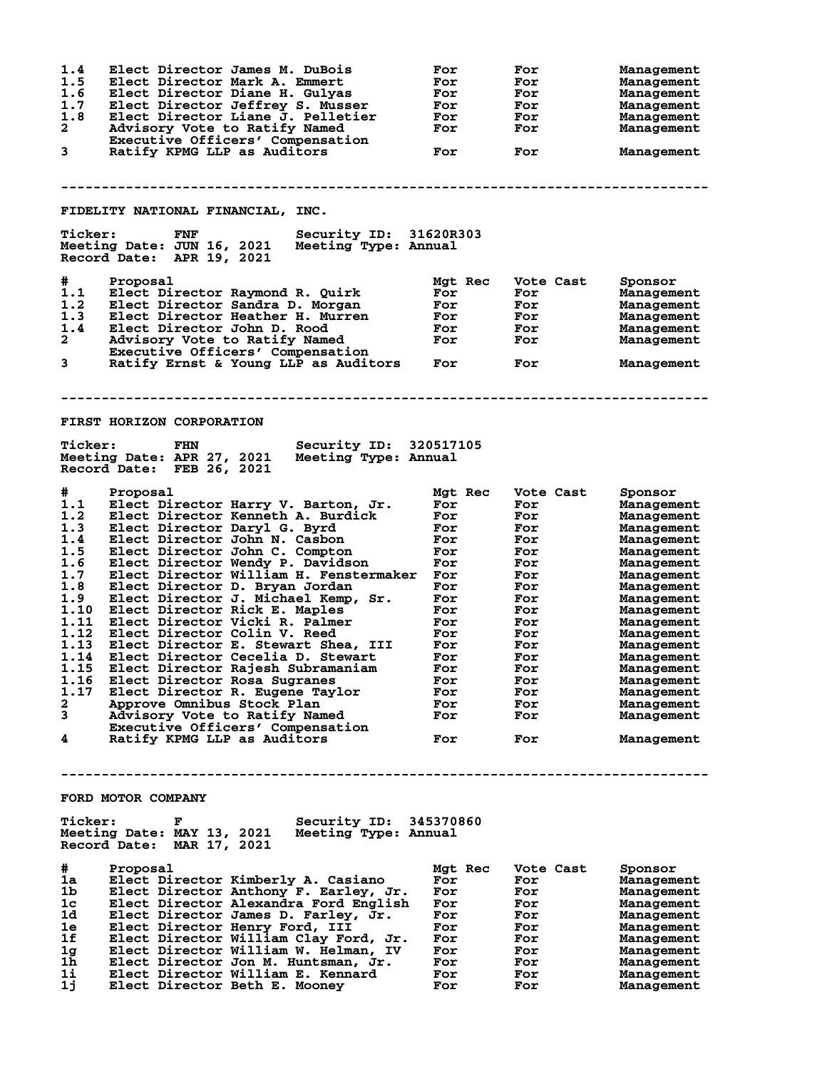| 1.4            | Elect Director James M. DuBois                     | For     | For       | Management |
|----------------|----------------------------------------------------|---------|-----------|------------|
| 1.5            | Elect Director Mark A. Emmert                      | For     | For       | Management |
| 1.6            | Elect Director Diane H. Gulyas                     | For     | For       |            |
|                |                                                    |         |           | Management |
| 1.7            | Elect Director Jeffrey S. Musser                   | For     | For       | Management |
| 1.8            | Elect Director Liane J. Pelletier                  | For     | For       | Management |
| $\overline{a}$ | Advisory Vote to Ratify Named                      | For     | For       | Management |
|                | Executive Officers' Compensation                   |         |           |            |
| 3              | Ratify KPMG LLP as Auditors                        | For     | For       | Management |
|                |                                                    |         |           |            |
|                |                                                    |         |           |            |
|                |                                                    |         |           |            |
|                |                                                    |         |           |            |
|                |                                                    |         |           |            |
|                | FIDELITY NATIONAL FINANCIAL, INC.                  |         |           |            |
|                |                                                    |         |           |            |
| <b>Ticker:</b> | Security ID: 31620R303<br>FNF                      |         |           |            |
|                | Meeting Date: JUN 16, 2021<br>Meeting Type: Annual |         |           |            |
|                | Record Date: APR 19, 2021                          |         |           |            |
|                |                                                    |         |           |            |
| #              | Proposal                                           | Mgt Rec | Vote Cast | Sponsor    |
| 1.1            | Elect Director Raymond R. Quirk                    | For     | For       | Management |
| 1.2            | Elect Director Sandra D. Morgan                    | For     | For       | Management |
| 1.3            |                                                    |         |           |            |
|                | Elect Director Heather H. Murren                   | For     | For       | Management |
| 1.4            | Elect Director John D. Rood                        | For     | For       | Management |
| $\mathbf{2}$   | Advisory Vote to Ratify Named                      | For     | For       | Management |
|                | Executive Officers' Compensation                   |         |           |            |
| 3              | Ratify Ernst & Young LLP as Auditors               | For     | For       | Management |
|                |                                                    |         |           |            |
|                |                                                    |         |           |            |
|                |                                                    |         |           |            |
|                |                                                    |         |           |            |
|                |                                                    |         |           |            |
|                | <b>FIRST HORIZON CORPORATION</b>                   |         |           |            |
|                |                                                    |         |           |            |
| <b>Ticker:</b> | Security ID: 320517105<br>FHN                      |         |           |            |
|                | Meeting Date: APR 27, 2021<br>Meeting Type: Annual |         |           |            |
|                | Record Date: FEB 26, 2021                          |         |           |            |
|                |                                                    |         |           |            |
| #.             | Proposal                                           | Mgt Rec | Vote Cast | Sponsor    |
|                |                                                    |         |           |            |
| 1.1            | Elect Director Harry V. Barton, Jr.                | For     | For       | Management |
| 1.2            | Elect Director Kenneth A. Burdick                  | For     | For       | Management |
| 1.3            | Elect Director Daryl G. Byrd                       | For     | For       | Management |
| 1.4            | Elect Director John N. Casbon                      | For     | For       | Management |
| 1.5            | Elect Director John C. Compton                     | For     | For       | Management |
| 1.6            | Elect Director Wendy P. Davidson                   | For     | For       | Management |
| 1.7            | Elect Director William H. Fenstermaker             | For     | For       | Management |
| 1.8            |                                                    | For     |           |            |
|                | Elect Director D. Bryan Jordan                     |         | For       | Management |
| 1.9            | Elect Director J. Michael Kemp, Sr.                | For     | For       | Management |
| 1.10           | Elect Director Rick E. Maples                      | For     | For       | Management |
| 1.11           | Elect Director Vicki R. Palmer                     | For     | For       | Management |
| 1.12           | Elect Director Colin V. Reed                       | For     | For       | Management |
| 1.13           | Elect Director E. Stewart Shea, III                | For     | For       | Management |
| 1.14           | Elect Director Cecelia D. Stewart                  | For     | For       | Management |
|                | 1.15 Elect Director Rajesh Subramaniam             | For     | For       | Management |
|                | 1.16 Elect Director Rosa Sugranes                  |         |           |            |
|                |                                                    | For     | For       | Management |
| 1.17           | Elect Director R. Eugene Taylor                    | For     | For       | Management |
| 2              | Approve Omnibus Stock Plan                         | For     | For       | Management |
| 3              | Advisory Vote to Ratify Named                      | For     | For       | Management |
|                | Executive Officers' Compensation                   |         |           |            |
| 4              | Ratify KPMG LLP as Auditors                        | For     | For       | Management |
|                |                                                    |         |           |            |
|                |                                                    |         |           |            |
|                |                                                    |         |           |            |
|                |                                                    |         |           |            |
|                |                                                    |         |           |            |
|                | FORD MOTOR COMPANY                                 |         |           |            |
|                |                                                    |         |           |            |
| <b>Ticker:</b> | Security ID: 345370860<br>F                        |         |           |            |
|                | Meeting Date: MAY 13, 2021<br>Meeting Type: Annual |         |           |            |
|                | Record Date: MAR 17, 2021                          |         |           |            |
|                |                                                    |         |           |            |
| #              | Proposal                                           | Mgt Rec | Vote Cast | Sponsor    |
| 1a             | Elect Director Kimberly A. Casiano                 | For     | For       | Management |
| 1b             |                                                    | For     | For       |            |
|                | Elect Director Anthony F. Earley, Jr.              |         |           | Management |
| 1c             | Elect Director Alexandra Ford English              | For     | For       | Management |
| 1d             | Elect Director James D. Farley, Jr.                | For     | For       | Management |
| 1e             | Elect Director Henry Ford, III                     | For     | For       | Management |
| 1f             | Elect Director William Clay Ford, Jr.              | For     | For       | Management |
| 1g             | Elect Director William W. Helman, IV               | For     | For       | Management |
| 1h             | Elect Director Jon M. Huntsman, Jr.                | For     | For       | Management |
| 11             | Elect Director William E. Kennard                  | For     | For       | Management |
| 1j             | Elect Director Beth E. Mooney                      | For     | For       | Management |
|                |                                                    |         |           |            |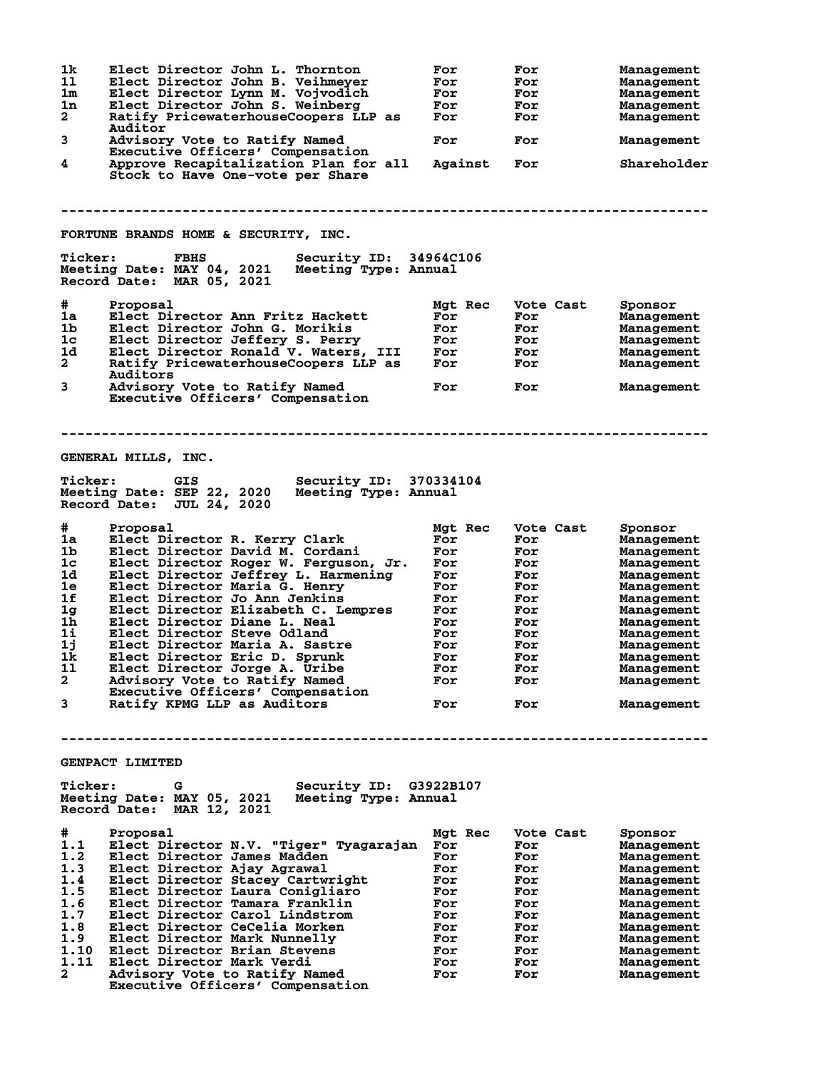| 1k<br>11<br>1m<br>1n<br>$\mathbf{2}$<br>3<br>4                                                   | Elect Director John L. Thornton<br>Elect Director John B. Veihmeyer<br>Elect Director Lynn M. Vojvodich<br>Elect Director John S. Weinberg<br>Ratify PricewaterhouseCoopers LLP as<br>Auditor<br>Advisory Vote to Ratify Named<br>Executive Officers' Compensation<br>Approve Recapitalization Plan for all<br>Stock to Have One-vote per Share                                                                                                                                                                                              | For<br>For<br>For<br>For<br>For<br>For<br>Against                                                         | For<br>For<br>For<br>For<br>For<br>For<br>For                                                               | Management<br>Management<br>Management<br>Management<br>Management<br>Management<br>Shareholder                                                                                                             |
|--------------------------------------------------------------------------------------------------|----------------------------------------------------------------------------------------------------------------------------------------------------------------------------------------------------------------------------------------------------------------------------------------------------------------------------------------------------------------------------------------------------------------------------------------------------------------------------------------------------------------------------------------------|-----------------------------------------------------------------------------------------------------------|-------------------------------------------------------------------------------------------------------------|-------------------------------------------------------------------------------------------------------------------------------------------------------------------------------------------------------------|
|                                                                                                  | FORTUNE BRANDS HOME & SECURITY, INC.                                                                                                                                                                                                                                                                                                                                                                                                                                                                                                         |                                                                                                           |                                                                                                             |                                                                                                                                                                                                             |
| <b>Ticker:</b>                                                                                   | <b>FBHS</b><br>Security ID: 34964C106<br>Meeting Date: MAY 04, 2021<br>Meeting Type: Annual<br>Record Date: MAR 05, 2021                                                                                                                                                                                                                                                                                                                                                                                                                     |                                                                                                           |                                                                                                             |                                                                                                                                                                                                             |
| #<br>1a<br>1 <sub>b</sub><br>1c<br>1d<br>$\mathbf{2}^-$<br>3                                     | Proposal<br>Elect Director Ann Fritz Hackett<br>Elect Director John G. Morikis<br>Elect Director Jeffery S. Perry<br>Elect Director Ronald V. Waters, III<br>Ratify PricewaterhouseCoopers LLP as<br>Auditors<br>Advisory Vote to Ratify Named<br>Executive Officers' Compensation                                                                                                                                                                                                                                                           | Mgt Rec<br>For<br>For<br>For<br>For<br>For<br>For                                                         | Vote Cast<br>For<br>For<br>For<br>For<br>For<br>For                                                         | Sponsor<br>Management<br>Management<br>Management<br>Management<br>Management<br>Management                                                                                                                 |
|                                                                                                  | GENERAL MILLS, INC.                                                                                                                                                                                                                                                                                                                                                                                                                                                                                                                          |                                                                                                           |                                                                                                             |                                                                                                                                                                                                             |
| <b>Ticker:</b>                                                                                   | Security ID: 370334104<br>GIS<br>Meeting Date: SEP 22, 2020<br>Meeting Type: Annual<br>Record Date: JUL 24, 2020                                                                                                                                                                                                                                                                                                                                                                                                                             |                                                                                                           |                                                                                                             |                                                                                                                                                                                                             |
| #<br>1a<br>1b<br>1c<br>1d<br>1e<br>1f<br>1g<br>1h<br>1i<br>1j<br>1k.<br>11<br>$\mathbf{2}$<br>3  | Proposal<br>Elect Director R. Kerry Clark<br>Elect Director David M. Cordani<br>Elect Director Roger W. Ferguson, Jr.<br>Elect Director Jeffrey L. Harmening<br>Elect Director Maria G. Henry<br>Elect Director Jo Ann Jenkins<br>Elect Director Elizabeth C. Lempres<br>Elect Director Diane L. Neal<br>Elect Director Steve Odland<br>Elect Director Maria A. Sastre<br>Elect Director Eric D. Sprunk<br>Elect Director Jorge A. Uribe<br>Advisory Vote to Ratify Named<br>Executive Officers' Compensation<br>Ratify KPMG LLP as Auditors | Mgt Rec<br>For<br>For<br>For<br>For<br>For<br>For<br>For<br>For<br>For<br>For<br>For<br>For<br>For<br>For | Vote Cast<br>For<br>For<br>For<br>For<br>For<br>For<br>For<br>For<br>For<br>For<br>For<br>For<br>For<br>For | Sponsor<br>Management<br>Management<br>Management<br>Management<br>Management<br>Management<br>Management<br>Management<br>Management<br>Management<br>Management<br>Management<br>Management<br>Management |
|                                                                                                  | GENPACT LIMITED                                                                                                                                                                                                                                                                                                                                                                                                                                                                                                                              |                                                                                                           |                                                                                                             |                                                                                                                                                                                                             |
| <b>Ticker:</b>                                                                                   | Security ID: G3922B107<br>G.<br>Meeting Date: MAY 05, 2021 Meeting Type: Annual<br>Record Date: MAR 12, 2021                                                                                                                                                                                                                                                                                                                                                                                                                                 |                                                                                                           |                                                                                                             |                                                                                                                                                                                                             |
| #<br>1.1<br>1.2<br>1.3<br>1.4<br>1.5<br>1.6<br>1.7<br>1.8<br>1.9<br>1.10<br>1.11<br>$\mathbf{2}$ | Proposal<br>Elect Director N.V. "Tiger" Tyagarajan<br>Elect Director James Madden<br>Elect Director Ajay Agrawal<br>Elect Director Stacey Cartwright<br>Elect Director Laura Conigliaro<br>Elect Director Tamara Franklin<br>Elect Director Carol Lindstrom<br>Elect Director CeCelia Morken<br>Elect Director Mark Nunnelly<br>Elect Director Brian Stevens<br>Elect Director Mark Verdi<br>Advisory Vote to Ratify Named<br>Executive Officers' Compensation                                                                               | Mgt Rec<br>For<br>For<br>For<br>For<br>For<br>For<br>For<br>For<br>For<br>For<br>For<br>For               | Vote Cast<br>For<br>For<br>For<br>For<br>For<br>For<br>For<br>For<br>For<br>For<br>For<br>For               | Sponsor<br>Management<br>Management<br>Management<br>Management<br>Management<br>Management<br>Management<br>Management<br>Management<br>Management<br>Management<br>Management                             |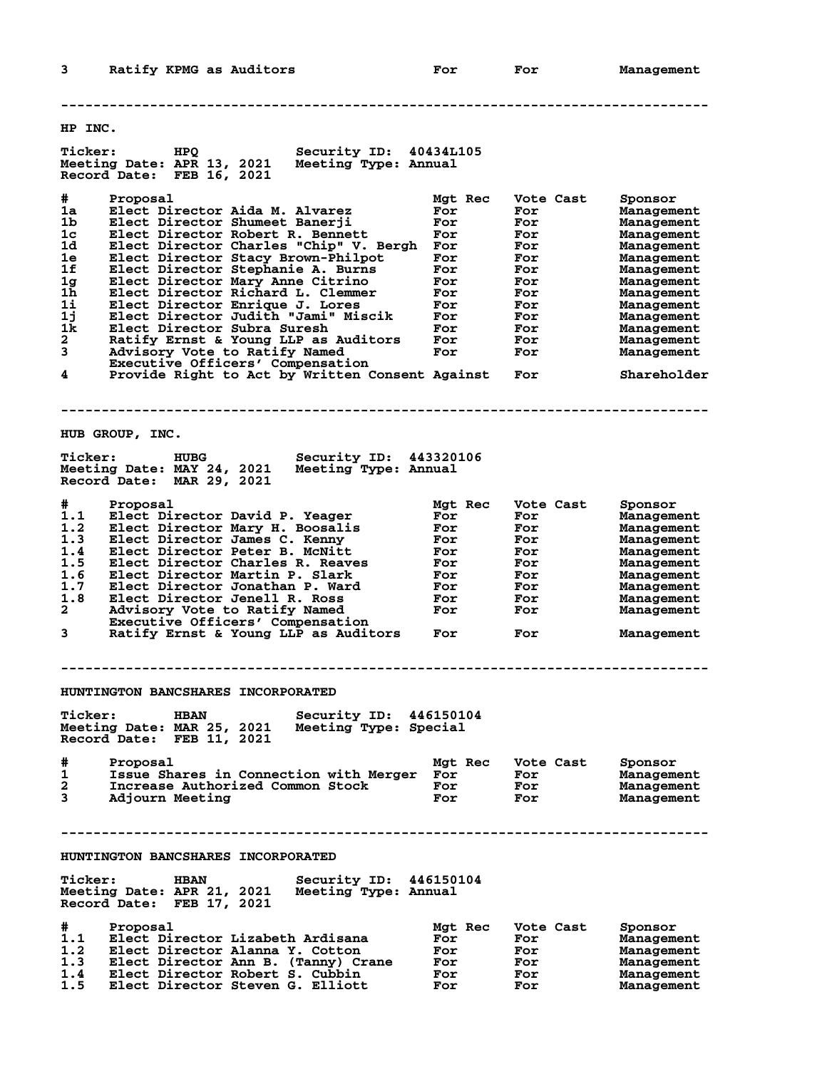**-------------------------------------------------------------------------------- HP INC. Ticker: HPQ Security ID: 40434L105 Meeting Date: APR 13, 2021 Meeting Type: Annual Record Date: FEB 16, 2021 # Proposal Mgt Rec Vote Cast Sponsor 1a Elect Director Aida M. Alvarez For For Management 1b Elect Director Shumeet Banerji For For Management 1c Elect Director Robert R. Bennett For For Management 1d Elect Director Charles "Chip" V. Bergh For For Management 1e Elect Director Stacy Brown-Philpot For For Management 1f Elect Director Stephanie A. Burns For For Management 1g Elect Director Mary Anne Citrino For For Management 1h Elect Director Richard L. Clemmer For For Management 1i Elect Director Enrique J. Lores For For Management 1j Elect Director Judith "Jami" Miscik For For Management 1k Elect Director Subra Suresh For For Management 2 Ratify Ernst & Young LLP as Auditors For For Management 3 Advisory Vote to Ratify Named For For Management Executive Officers' Compensation 4 Provide Right to Act by Written Consent Against For Shareholder -------------------------------------------------------------------------------- HUB GROUP, INC. Ticker: HUBG Security ID: 443320106 Meeting Date: MAY 24, 2021 Meeting Type: Annual Record Date: MAR 29, 2021 # Proposal Mgt Rec Vote Cast Sponsor 1.1 Elect Director David P. Yeager For For Management 1.2 Elect Director Mary H. Boosalis For For Management 1.3 Elect Director James C. Kenny For For Management 1.4 Elect Director Peter B. McNitt For For Management 1.5 Elect Director Charles R. Reaves For For Management 1.6 Elect Director Martin P. Slark For For Management 1.7 Elect Director Jonathan P. Ward For For Management 1.8 Elect Director Jenell R. Ross For For Management 2 Advisory Vote to Ratify Named For For Management Executive Officers' Compensation 3 Ratify Ernst & Young LLP as Auditors For For Management -------------------------------------------------------------------------------- HUNTINGTON BANCSHARES INCORPORATED Ticker: HBAN Security ID: 446150104 Meeting Date: MAR 25, 2021 Meeting Type: Special Record Date: FEB 11, 2021 # Proposal Mgt Rec Vote Cast Sponsor 1 Issue Shares in Connection with Merger For For Management 2 Increase Authorized Common Stock For For Management 3 Adjourn Meeting For For Management -------------------------------------------------------------------------------- HUNTINGTON BANCSHARES INCORPORATED Ticker: HBAN Security ID: 446150104 Meeting Date: APR 21, 2021 Meeting Type: Annual Record Date: FEB 17, 2021 # Proposal Mgt Rec Vote Cast Sponsor 1.1 Elect Director Lizabeth Ardisana For For Management 1.2 Elect Director Alanna Y. Cotton For For Management 1.3 Elect Director Ann B. (Tanny) Crane For For Management 1.4 Elect Director Robert S. Cubbin For For Management**

**1.5 Elect Director Steven G. Elliott For For Management**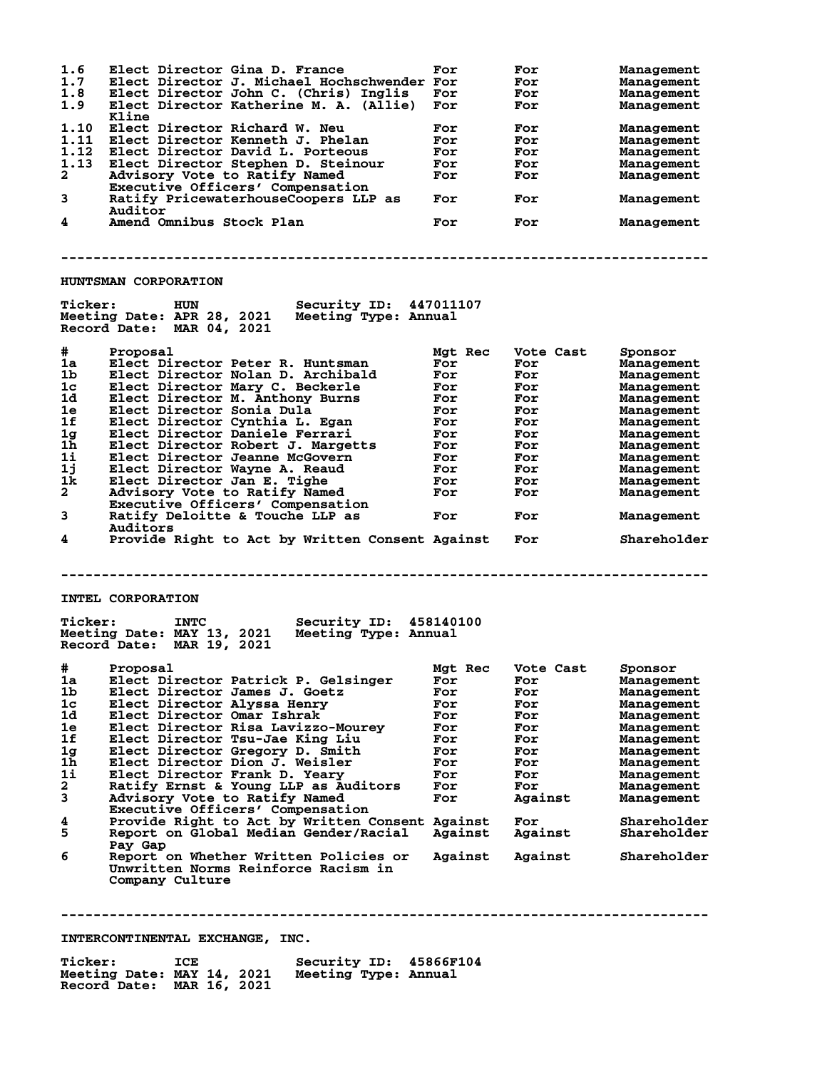**1.6 Elect Director Gina D. France For For Management 1.7 Elect Director J. Michael Hochschwender For For Management 1.8 Elect Director John C. (Chris) Inglis For For Management 1.9 Elect Director Katherine M. A. (Allie) For For Management Kline 1.10 Elect Director Richard W. Neu For For Management 1.11 Elect Director Kenneth J. Phelan For For Management 1.12 Elect Director David L. Porteous For For Management 1.13 Elect Director Stephen D. Steinour For For Management 2 Advisory Vote to Ratify Named For For Management Executive Officers' Compensation<br>Ratify PricewaterhouseCoopers LLP** Ratify PricewaterhouseCoopers LLP as For For Management **Auditor**<br>4 **Amend** Or Amend Omnibus Stock Plan **For** For For Management **-------------------------------------------------------------------------------- HUNTSMAN CORPORATION Ticker: HUN Security ID: 447011107 Meeting Date: APR 28, 2021 Meeting Type: Annual Record Date: MAR 04, 2021 # Proposal Mgt Rec Vote Cast Sponsor 1a Elect Director Peter R. Huntsman For For Management 1b Elect Director Nolan D. Archibald For For Management 1c Elect Director Mary C. Beckerle For For Management 1d Elect Director M. Anthony Burns For For Management 1e Elect Director Sonia Dula For For Management 1f Elect Director Cynthia L. Egan For For Management 1g Elect Director Daniele Ferrari For For Management 1h Elect Director Robert J. Margetts For For Management 1i Elect Director Jeanne McGovern For For Management 1j Elect Director Wayne A. Reaud For For Management 1k Elect Director Jan E. Tighe For For Management 2 Advisory Vote to Ratify Named For For Management Executive Company of the Company of the Company of the Company of the Company of the Company of the Company Compensation**<br> **Executive Officers' Compensation**<br> **Ratify Deloitte & Touche LLP as 3 Ratify Deloitte & Touche LLP as For For Management Auditors 4 Provide Right to Act by Written Consent Against For Shareholder -------------------------------------------------------------------------------- INTEL CORPORATION Ticker: INTC Security ID: 458140100 Meeting Date: MAY 13, 2021 Meeting Type: Annual Record Date: MAR 19, 2021 # Proposal Mgt Rec Vote Cast Sponsor 1a Elect Director Patrick P. Gelsinger For For Management 1b Elect Director James J. Goetz For For Management 1c Elect Director Alyssa Henry For For Management 1d Elect Director Omar Ishrak For For Management 1e Elect Director Risa Lavizzo-Mourey For For Management 1f Elect Director Tsu-Jae King Liu For For Management 1g Elect Director Gregory D. Smith For For Management 1h Elect Director Dion J. Weisler For For Management 1i Elect Director Frank D. Yeary For For Management 2 Ratify Ernst & Young LLP as Auditors For For Management 3 Advisory Vote to Ratify Named For Against Management Executive Officers' Compensation 4 Provide Right to Act by Written Consent Against For Shareholder 5 Arrough Constructs Compensation**<br>1 Provide Right to Act by Written Consent Against For Shareholder<br>1981 Can Deviction Constructs Construct Against Against Shareholder<br>1981 Can  **Pay Gap 6 Report on Whether Written Policies or Against Against Shareholder Unwritten Norms Reinforce Racism in Company Culture -------------------------------------------------------------------------------- INTERCONTINENTAL EXCHANGE, INC.**

Ticker: ICE Security ID: 45866F104<br>Meeting Date: MAY 14, 2021 Meeting Type: Annual Meeting Date: MAY 14, 2021 **Record Date: MAR 16, 2021**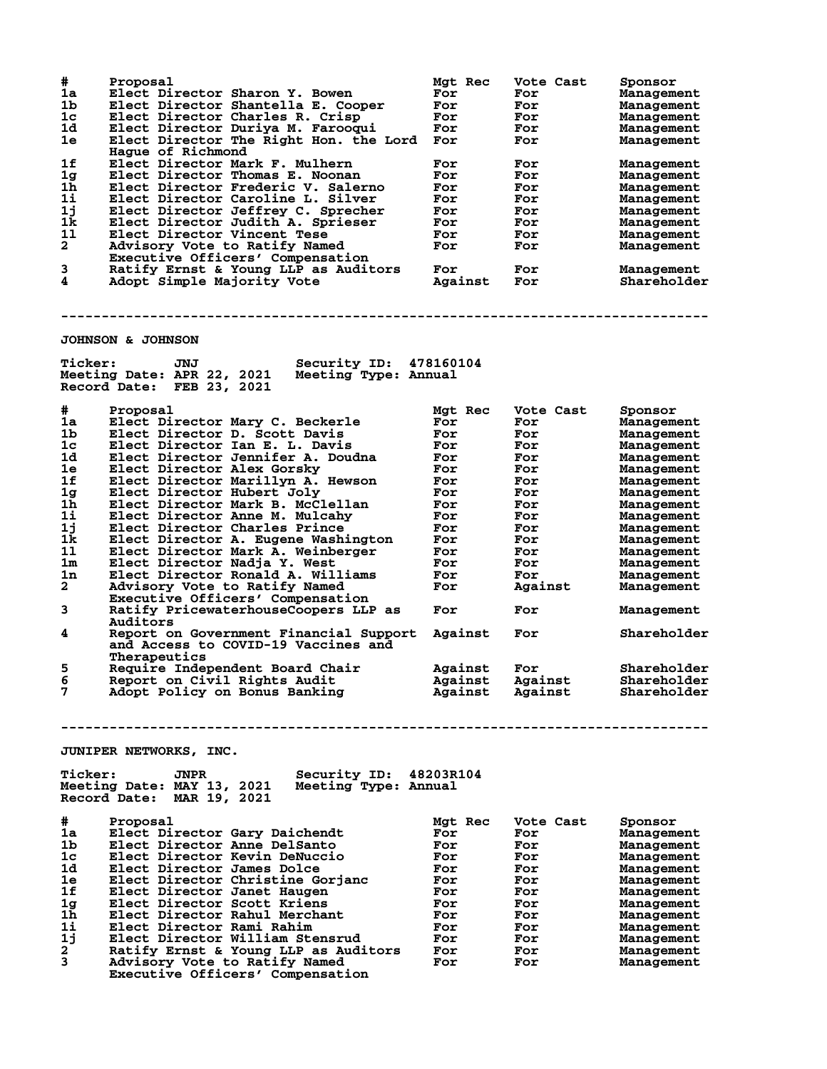| #              | Proposal                                                                                 | Mgt Rec | Vote Cast | Sponsor     |
|----------------|------------------------------------------------------------------------------------------|---------|-----------|-------------|
| 1a             | Elect Director Sharon Y. Bowen                                                           | For     | For       | Management  |
| 1b             | Elect Director Shantella E. Cooper                                                       | For     | For       | Management  |
| 1c             | Elect Director Charles R. Crisp                                                          | For     | For       | Management  |
| 1d             | Elect Director Duriya M. Farooqui                                                        | For     | For       | Management  |
| 1e             | Elect Director The Right Hon. the Lord For                                               |         | For       | Management  |
|                | Hague of Richmond                                                                        |         |           |             |
| 1f             | Elect Director Mark F. Mulhern                                                           | For     | For       | Management  |
| 1 <sub>g</sub> | Elect Director Thomas E. Noonan                                                          | For     | For       | Management  |
| 1 <sub>h</sub> | Elect Director Frederic V. Salerno                                                       | For     | For       | Management  |
| 11             | Elect Director Caroline L. Silver                                                        | For     | For       | Management  |
| 1j             | Elect Director Jeffrey C. Sprecher                                                       | For     | For       | Management  |
| 1k             | Elect Director Judith A. Sprieser                                                        | For     | For       | Management  |
| 11             | Elect Director Vincent Tese                                                              | For     | For       | Management  |
| $\mathbf{2}$   | Advisory Vote to Ratify Named                                                            | For     | For       | Management  |
|                | Executive Officers' Compensation                                                         |         |           |             |
| 3              | Ratify Ernst & Young LLP as Auditors                                                     | For     | For       | Management  |
| 4              | Adopt Simple Majority Vote                                                               | Against | For       | Shareholder |
|                |                                                                                          |         |           |             |
|                |                                                                                          |         |           |             |
|                | <b>JOHNSON &amp; JOHNSON</b>                                                             |         |           |             |
|                |                                                                                          |         |           |             |
| <b>Ticker:</b> | Security ID: 478160104<br>JNJ                                                            |         |           |             |
|                | Meeting Date: APR 22, 2021<br>Meeting Type: Annual<br>Record Date: FEB 23, 2021          |         |           |             |
|                |                                                                                          |         |           |             |
| #              | Proposal                                                                                 | Mgt Rec | Vote Cast | Sponsor     |
| 1a             | Elect Director Mary C. Beckerle                                                          | For     | For       | Management  |
| 1b             | Elect Director D. Scott Davis                                                            | For     | For       | Management  |
| 1c             | Elect Director Ian E. L. Davis                                                           | For     | For       | Management  |
| 1d             | Elect Director Jennifer A. Doudna                                                        | For     | For       | Management  |
| 1e             | Elect Director Alex Gorsky                                                               | For     | For       | Management  |
| 1f             | Elect Director Marillyn A. Hewson                                                        | For     | For       | Management  |
| 1 <sub>g</sub> | Elect Director Hubert Joly                                                               | For     | For       | Management  |
| 1h             | Elect Director Mark B. McClellan                                                         | For     | For       | Management  |
| 11             | Elect Director Anne M. Mulcahy                                                           | For     | For       | Management  |
| 1j             | Elect Director Charles Prince                                                            | For     | For       | Management  |
| 1k             | Elect Director A. Eugene Washington                                                      | For     | For       | Management  |
| 11             | Elect Director Mark A. Weinberger                                                        | For     |           |             |
|                |                                                                                          |         | For       | Management  |
| 1m             | Elect Director Nadja Y. West                                                             | For     | For       | Management  |
| 1n             | Elect Director Ronald A. Williams                                                        | For     | For       | Management  |
| $\mathbf{2}$   | Advisory Vote to Ratify Named                                                            | For     | Against   | Management  |
|                | Executive Officers' Compensation                                                         |         |           |             |
| 3              | Ratify PricewaterhouseCoopers LLP as                                                     | For     | For       | Management  |
|                | Auditors                                                                                 |         |           |             |
| 4              | Report on Government Financial Support                                                   | Against | For       | Shareholder |
|                | and Access to COVID-19 Vaccines and                                                      |         |           |             |
|                | Therapeutics                                                                             |         |           |             |
| 5              | Require Independent Board Chair                                                          | Against | For       | Shareholder |
| 6              | Report on Civil Rights Audit                                                             | Against | Against   | Shareholder |
| 7              | Adopt Policy on Bonus Banking                                                            | Against | Against   | Shareholder |
|                |                                                                                          |         |           |             |
|                |                                                                                          |         |           |             |
|                |                                                                                          |         |           |             |
|                | JUNIPER NETWORKS, INC.                                                                   |         |           |             |
|                |                                                                                          |         |           |             |
| <b>Ticker:</b> | Security ID: 48203R104<br><b>JNPR</b><br>Meeting Date: MAY 13, 2021 Meeting Type: Annual |         |           |             |
|                |                                                                                          |         |           |             |
|                | Record Date: MAR 19, 2021                                                                |         |           |             |
|                |                                                                                          |         |           |             |
| $\pm$          | Proposal                                                                                 | Mgt Rec | Vote Cast | Sponsor     |
| 1a             | Elect Director Gary Daichendt                                                            | For     | For       | Management  |
| 1 <sub>b</sub> | Elect Director Anne DelSanto                                                             | For     | For       | Management  |
| 1c             | Elect Director Kevin DeNuccio                                                            | For     | For       | Management  |
| 1d             | Elect Director James Dolce                                                               | For     | For       | Management  |
| 1e             | Elect Director Christine Gorjanc                                                         | For     | For       | Management  |
| 1f             | Elect Director Janet Haugen                                                              | For     | For       | Management  |
| 1g             | Elect Director Scott Kriens                                                              | For     | For       | Management  |
| 1h             | Elect Director Rahul Merchant                                                            | For     | For       | Management  |
| 11             | Elect Director Rami Rahim                                                                | For     | For       | Management  |
| 1j             | Elect Director William Stensrud                                                          | For     | For       | Management  |
| $\mathbf{2}$   | Ratify Ernst & Young LLP as Auditors                                                     | For     | For       | Management  |
| 3              | Advisory Vote to Ratify Named                                                            | For     | For       |             |
|                | Executive Officers' Compensation                                                         |         |           | Management  |
|                |                                                                                          |         |           |             |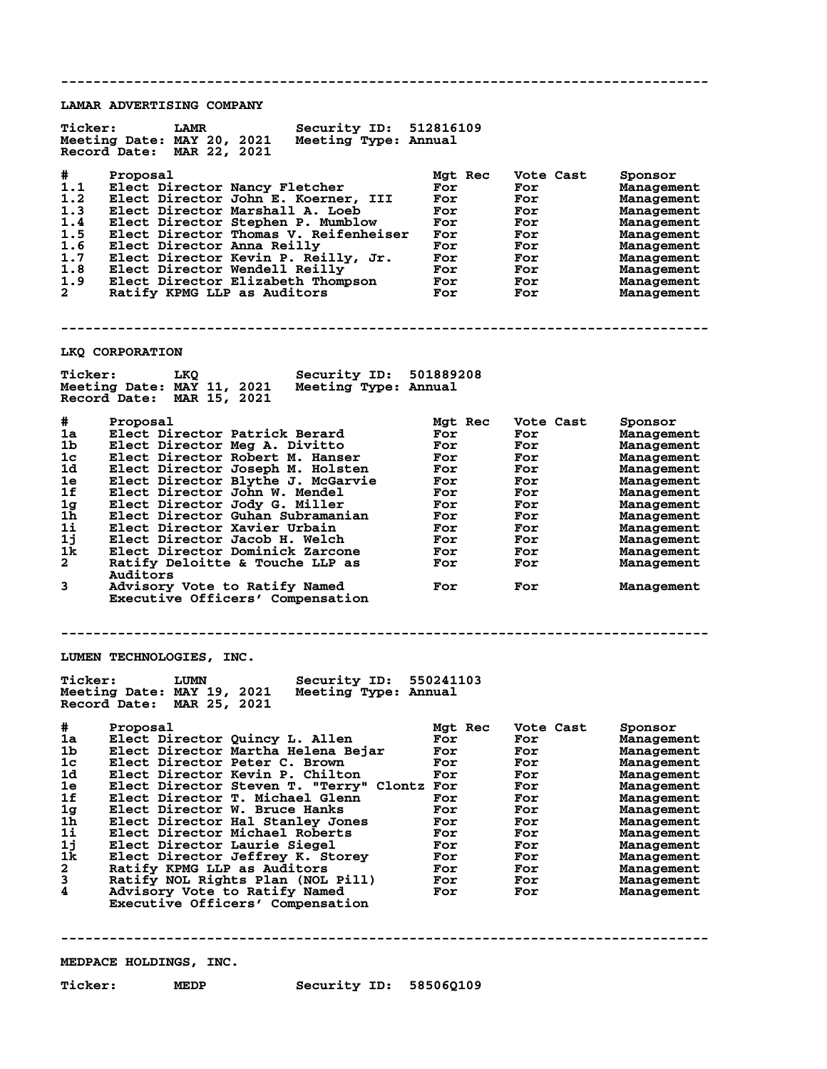**-------------------------------------------------------------------------------- LAMAR ADVERTISING COMPANY Ticker: LAMR Security ID: 512816109 Meeting Date: MAY 20, 2021 Meeting Type: Annual Record Date: MAR 22, 2021 # Proposal Mgt Rec Vote Cast Sponsor 1.1 Elect Director Nancy Fletcher For For Management 1.2 Elect Director John E. Koerner, III For For Management 1.3 Elect Director Marshall A. Loeb For For Management 1.4 Elect Director Stephen P. Mumblow For For Management 1.5 Elect Director Thomas V. Reifenheiser For For Management 1.6 Elect Director Anna Reilly For For Management 1.7 Elect Director Kevin P. Reilly, Jr. For For Management 1.8 Elect Director Wendell Reilly For For Management 1.9 Elect Director Elizabeth Thompson For For Management 2 Ratify KPMG LLP as Auditors For For Management -------------------------------------------------------------------------------- LKQ CORPORATION Ticker: LKQ Security ID: 501889208 Meeting Date: MAY 11, 2021 Meeting Type: Annual Record Date: MAR 15, 2021 # Proposal Mgt Rec Vote Cast Sponsor 1a Elect Director Patrick Berard For For Management 1b Elect Director Meg A. Divitto For For Management 1c Elect Director Robert M. Hanser For For Management 1d Elect Director Joseph M. Holsten For For Management 1e Elect Director Blythe J. McGarvie For For Management 1f Elect Director John W. Mendel For For Management 1g Elect Director Jody G. Miller For For Management 1h Elect Director Guhan Subramanian For For Management 1i Elect Director Xavier Urbain For For Management 1j Elect Director Jacob H. Welch For For Management 1k Elect Director Dominick Zarcone For For Management 2 Ratify Deloitte & Touche LLP as For For Management Auditors 3 Advisory Vote to Ratify Named For For Management** Advisory Vote to Ratify Named<br>Executive Officers' Compensation **-------------------------------------------------------------------------------- LUMEN TECHNOLOGIES, INC. Ticker: LUMN Security ID: 550241103**<br>Meeting Date: MAY 19, 2021 Meeting Type: Annual **Meeting Date: MAY 19, 2021 Meeting Type: Annual Record Date: MAR 25, 2021 # Proposal Mgt Rec Vote Cast Sponsor 1a Elect Director Quincy L. Allen For For Management 1b Elect Director Martha Helena Bejar For For Management 1c Elect Director Peter C. Brown For For Management 1d Elect Director Kevin P. Chilton For For Management 1e Elect Director Steven T. "Terry" Clontz For For Management 1f Elect Director T. Michael Glenn For For Management 1g Elect Director W. Bruce Hanks For For Management 1h Elect Director Hal Stanley Jones For For Management 1i Elect Director Michael Roberts For For Management 1j Elect Director Laurie Siegel For For Management 1k Elect Director Jeffrey K. Storey For For Management 2 Ratify KPMG LLP as Auditors For For Management 3 Ratify NOL Rights Plan (NOL Pill) For For Management 4 Advisory Vote to Ratify Named For For Management Executive Officers' Compensation -------------------------------------------------------------------------------- MEDPACE HOLDINGS, INC. Ticker: MEDP Security ID: 58506Q109**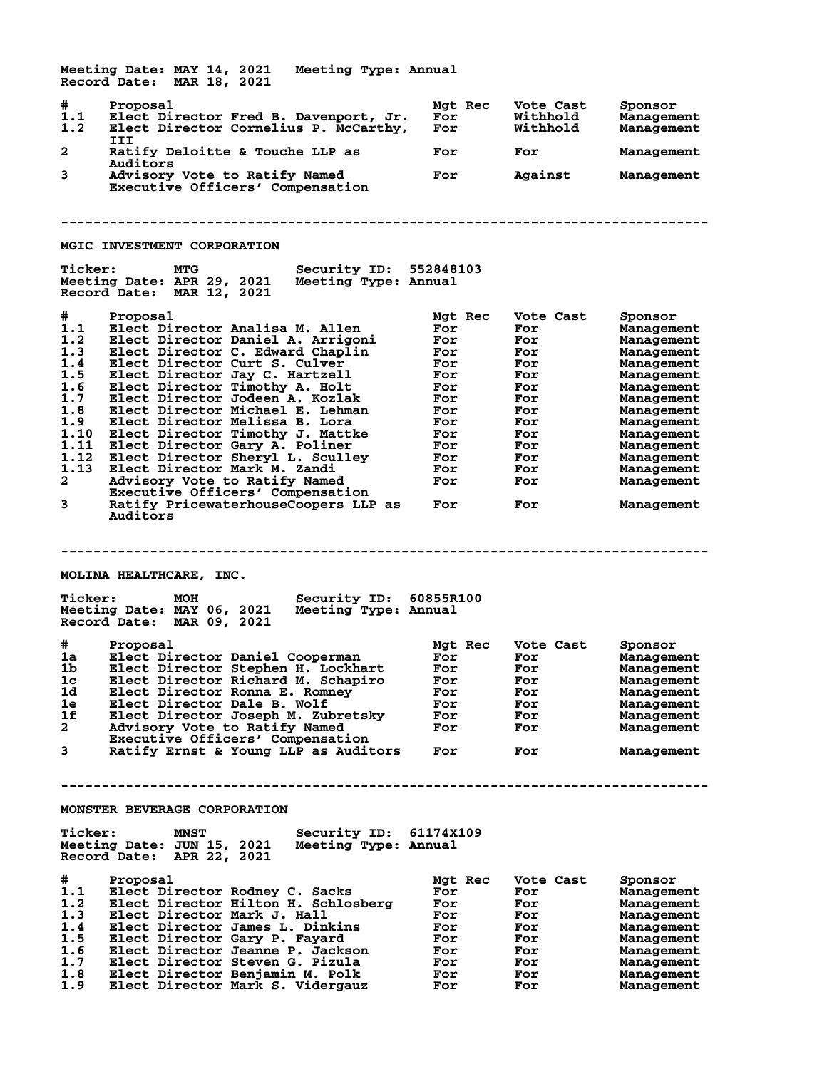**Meeting Date: MAY 14, 2021 Meeting Type: Annual Record Date: MAR 18, 2021 # Proposal Mgt Rec Vote Cast Sponsor 1.1 Elect Director Fred B. Davenport, Jr. For Withhold Management 1.2 Elect Director Cornelius P. McCarthy, III** Ratify Deloitte & Touche LLP as For For Management **Auditors**<br>3 Advisory Advisory Vote to Ratify Named **For** Against Management  **Executive Officers' Compensation -------------------------------------------------------------------------------- MGIC INVESTMENT CORPORATION Ticker: MTG Security ID: 552848103 Meeting Date: APR 29, 2021 Meeting Type: Annual Record Date: MAR 12, 2021 # Proposal Mgt Rec Vote Cast Sponsor 1.1 Elect Director Analisa M. Allen For For Management 1.2 Elect Director Daniel A. Arrigoni For For Management 1.3 Elect Director C. Edward Chaplin For For Management 1.4 Elect Director Curt S. Culver For For Management 1.5 Elect Director Jay C. Hartzell For For Management 1.6 Elect Director Timothy A. Holt For For Management 1.7 Elect Director Jodeen A. Kozlak For For Management 1.8 Elect Director Michael E. Lehman For For Management 1.9 Elect Director Melissa B. Lora For For Management 1.10 Elect Director Timothy J. Mattke For For Management 1.11 Elect Director Gary A. Poliner For For Management 1.12 Elect Director Sheryl L. Sculley For For Management 1.13 Elect Director Mark M. Zandi For For Management 2 Advisory Vote to Ratify Named For For Management Executive Officers' Compensation 3 Ratify PricewaterhouseCoopers LLP as For For Management Auditors -------------------------------------------------------------------------------- MOLINA HEALTHCARE, INC. Ticker: MOH Security ID: 60855R100 Meeting Date: MAY 06, 2021 Meeting Type: Annual Record Date: MAR 09, 2021 # Proposal Mgt Rec Vote Cast Sponsor 1a Elect Director Daniel Cooperman For For Management 1b Elect Director Stephen H. Lockhart For For Management 1c Elect Director Richard M. Schapiro For For Management 1d Elect Director Ronna E. Romney For For Management 1e Elect Director Dale B. Wolf For For Management 1f Elect Director Joseph M. Zubretsky For For Management 2 Advisory Vote to Ratify Named For For Management Executive Officers' Compensation 3 Ratify Ernst & Young LLP as Auditors For For Management -------------------------------------------------------------------------------- MONSTER BEVERAGE CORPORATION Ticker: MNST Security ID: 61174X109 Meeting Date: JUN 15, 2021 Meeting Type: Annual Record Date: APR 22, 2021 # Proposal Mgt Rec Vote Cast Sponsor 1.1 Elect Director Rodney C. Sacks For For Management 1.2 Elect Director Hilton H. Schlosberg For For Management 1.3 Elect Director Mark J. Hall For For Management 1.4 Elect Director James L. Dinkins For For Management 1.5 Elect Director Gary P. Fayard For For Management 1.6 Elect Director Jeanne P. Jackson For For Management 1.7 Elect Director Steven G. Pizula For For Management 1.8 Elect Director Benjamin M. Polk For For Management 1.9 Elect Director Mark S. Vidergauz For For Management**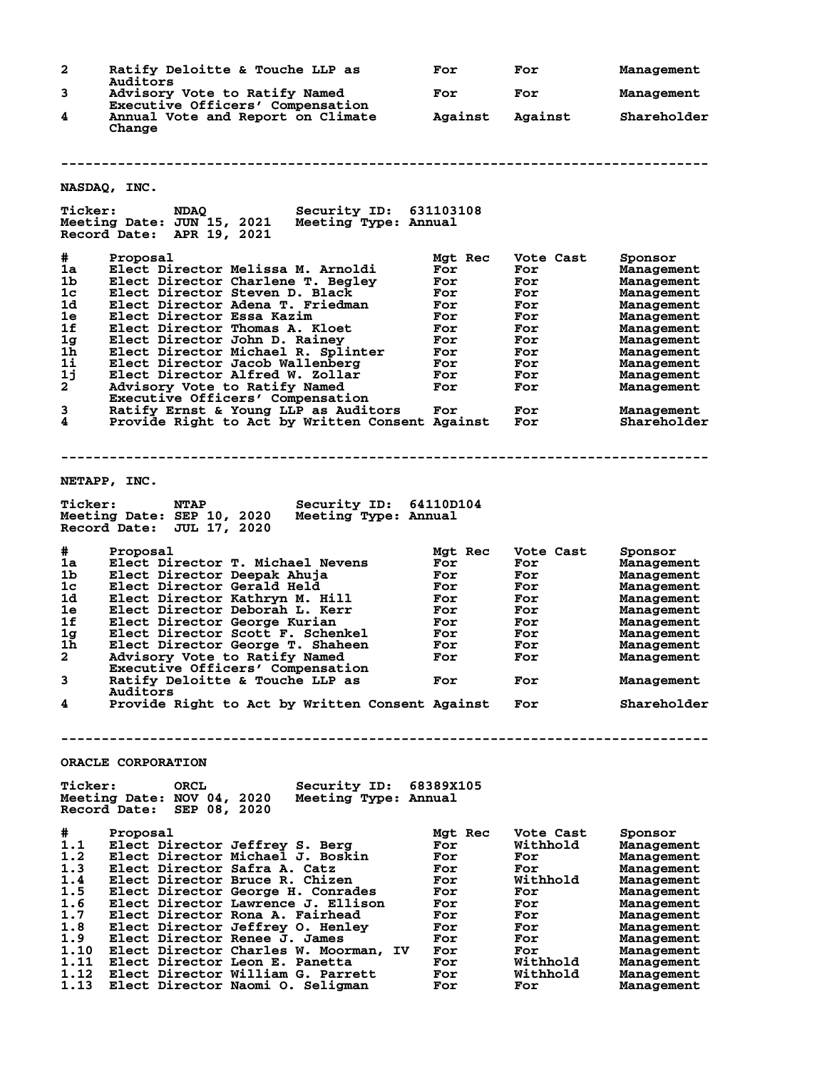| $\mathbf{2}$   | Ratify Deloitte & Touche LLP as                                                 | For        | For        | Management               |
|----------------|---------------------------------------------------------------------------------|------------|------------|--------------------------|
| 3              | Auditors<br>Advisory Vote to Ratify Named                                       | For        | For        | Management               |
| 4              | Executive Officers' Compensation<br>Annual Vote and Report on Climate           | Against    | Against    | Shareholder              |
|                | Change                                                                          |            |            |                          |
|                |                                                                                 |            |            |                          |
|                | NASDAQ, INC.                                                                    |            |            |                          |
| <b>Ticker:</b> | <b>Security ID: 631103108</b><br><b>NDAQ</b>                                    |            |            |                          |
|                | Meeting Date: JUN 15, 2021<br>Meeting Type: Annual<br>Record Date: APR 19, 2021 |            |            |                          |
| #              | Proposal                                                                        | Mgt Rec    | Vote Cast  | Sponsor                  |
| 1a             | Elect Director Melissa M. Arnoldi                                               | For        | For        | Management               |
| 1b             | Elect Director Charlene T. Begley                                               | For        | For        | Management               |
| 1c<br>1d       | Elect Director Steven D. Black<br>Elect Director Adena T. Friedman              | For<br>For | For<br>For | Management               |
| 1e             | Elect Director Essa Kazim                                                       | For        | For        | Management<br>Management |
| 1f             | Elect Director Thomas A. Kloet                                                  | For        | For        | Management               |
| 1 <sub>g</sub> | Elect Director John D. Rainey                                                   | For        | For        | Management               |
| 1 <sub>h</sub> | Elect Director Michael R. Splinter                                              | For        | For        | Management               |
| 1i             | Elect Director Jacob Wallenberg                                                 | For        | For        | Management               |
| 1j             | Elect Director Alfred W. Zollar                                                 | For        | For        | Management               |
| $2^{-}$        | Advisory Vote to Ratify Named<br>Executive Officers' Compensation               | For        | For        | Management               |
| 3              | Ratify Ernst & Young LLP as Auditors                                            | For        | For        | Management               |
| 4              | Provide Right to Act by Written Consent Against                                 |            | For        | Shareholder              |
|                |                                                                                 |            |            |                          |
|                |                                                                                 |            |            |                          |
|                | NETAPP, INC.                                                                    |            |            |                          |
| <b>Ticker:</b> | <b>NTAP</b><br>Security ID: 64110D104                                           |            |            |                          |
|                | Meeting Date: SEP 10, 2020<br>Meeting Type: Annual<br>Record Date: JUL 17, 2020 |            |            |                          |
| #              | Proposal                                                                        | Mgt Rec    | Vote Cast  | Sponsor                  |
| 1a             | Elect Director T. Michael Nevens                                                | For        | For        | Management               |
| 1b             | Elect Director Deepak Ahuja                                                     | For        | For        | Management               |
| 1c             | Elect Director Gerald Held                                                      | For        | For        | Management               |
| 1d             | Elect Director Kathryn M. Hill                                                  | For        | For        | Management               |
| 1e<br>1f       | Elect Director Deborah L. Kerr<br>Elect Director George Kurian                  | For<br>For | For<br>For | Management               |
| 1 <sub>g</sub> | Elect Director Scott F. Schenkel                                                | For        | For        | Management<br>Management |
| 1 <sub>h</sub> | Elect Director George T. Shaheen                                                | For        | For        | Management               |
| $\mathbf{2}^-$ | Advisory Vote to Ratify Named                                                   | For        | For        | Management               |
|                | Executive Officers' Compensation                                                |            |            |                          |
| 3              | Ratify Deloitte & Touche LLP as<br><b>Auditors</b>                              | For        | For        | Management               |
| 4              | Provide Right to Act by Written Consent Against                                 |            | For        | Shareholder              |
|                |                                                                                 |            |            |                          |
|                | ORACLE CORPORATION                                                              |            |            |                          |
| <b>Ticker:</b> | ORCL<br>Security ID: 68389X105                                                  |            |            |                          |
|                | Meeting Date: NOV 04, 2020<br>Meeting Type: Annual<br>Record Date: SEP 08, 2020 |            |            |                          |
| #              | Proposal                                                                        | Mgt Rec    | Vote Cast  | Sponsor                  |
| 1.1            | Elect Director Jeffrey S. Berg                                                  | For        | Withhold   | Management               |
| 1.2            | Elect Director Michael J. Boskin                                                | For        | For        | Management               |
| 1.3            | Elect Director Safra A. Catz                                                    | For        | For        | Management               |
| 1.4            | Elect Director Bruce R. Chizen                                                  | For        | Withhold   | Management               |
| 1.5<br>1.6     | Elect Director George H. Conrades<br>Elect Director Lawrence J. Ellison         | For        | For        | Management               |
| 1.7            | Elect Director Rona A. Fairhead                                                 | For<br>For | For<br>For | Management<br>Management |
| 1.8            | Elect Director Jeffrey O. Henley                                                | For        | For        | Management               |
| 1.9            | Elect Director Renee J. James                                                   | For        | For        | Management               |
| 1.10           | Elect Director Charles W. Moorman, IV                                           | For        | For        | Management               |
| 1.11           | Elect Director Leon E. Panetta                                                  | For        | Withhold   | Management               |
| 1.12           | Elect Director William G. Parrett                                               | For        | Withhold   | Management               |
| 1.13           | Elect Director Naomi O. Seligman                                                | For        | For        | Management               |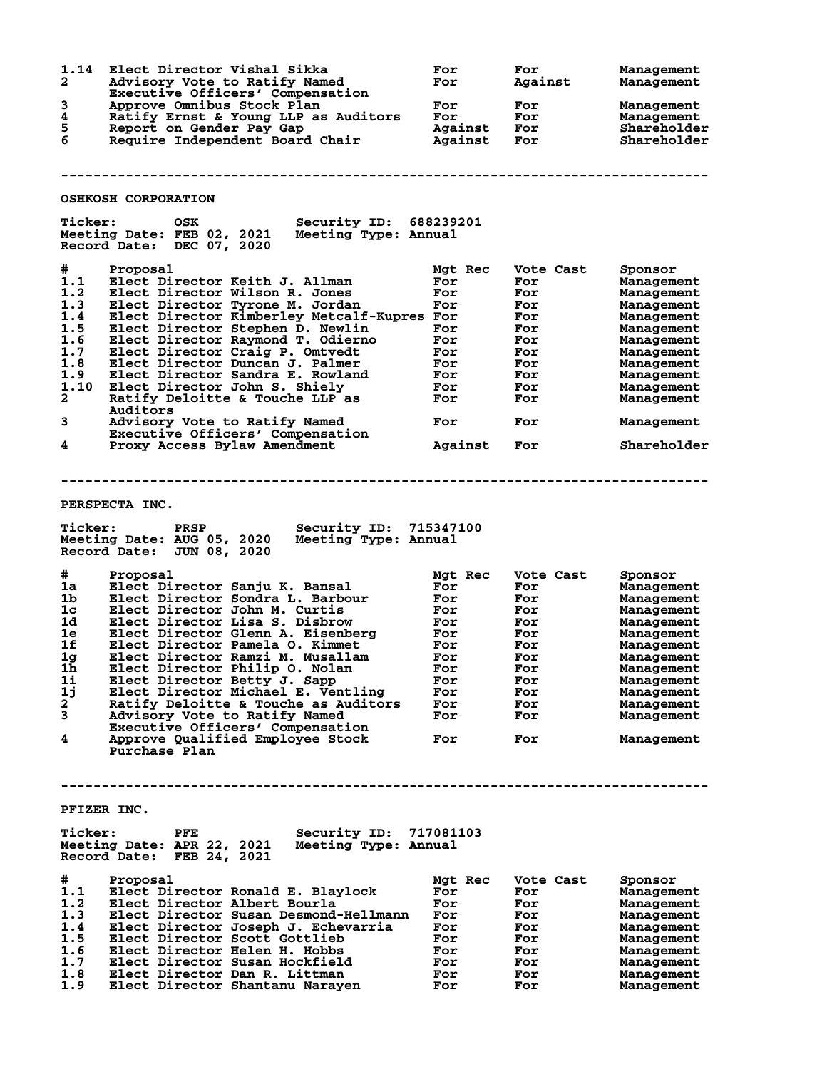| 1.14<br>$\mathbf{2}$<br>3<br>4<br>5<br>6                                                           | Elect Director Vishal Sikka<br>Advisory Vote to Ratify Named<br>Executive Officers' Compensation<br>Approve Omnibus Stock Plan<br>Ratify Ernst & Young LLP as Auditors<br>Report on Gender Pay Gap<br>Require Independent Board Chair                                                                                                                                                                                                                                                                                                   | For<br>For<br>For<br>For<br>Against For<br>Against                                                               | For<br>Against<br>For<br><b>For</b><br>For                                                                  | Management<br>Management<br>Management<br>Management<br>Shareholder<br>Shareholder                                                                                                                   |
|----------------------------------------------------------------------------------------------------|-----------------------------------------------------------------------------------------------------------------------------------------------------------------------------------------------------------------------------------------------------------------------------------------------------------------------------------------------------------------------------------------------------------------------------------------------------------------------------------------------------------------------------------------|------------------------------------------------------------------------------------------------------------------|-------------------------------------------------------------------------------------------------------------|------------------------------------------------------------------------------------------------------------------------------------------------------------------------------------------------------|
|                                                                                                    |                                                                                                                                                                                                                                                                                                                                                                                                                                                                                                                                         |                                                                                                                  |                                                                                                             |                                                                                                                                                                                                      |
|                                                                                                    | <b>OSHKOSH CORPORATION</b>                                                                                                                                                                                                                                                                                                                                                                                                                                                                                                              |                                                                                                                  |                                                                                                             |                                                                                                                                                                                                      |
| <b>Ticker:</b>                                                                                     | <b>Security ID: 688239201</b><br>OSK<br>Meeting Date: FEB 02, 2021 Meeting Type: Annual<br>Record Date: DEC 07, 2020                                                                                                                                                                                                                                                                                                                                                                                                                    |                                                                                                                  |                                                                                                             |                                                                                                                                                                                                      |
| #<br>1.1<br>1.2<br>1.3<br>1.4<br>1.5<br>1.6<br>1.7<br>1.8<br>1.9<br>1.10<br>$\mathbf{2}$<br>3<br>4 | Proposal<br>Elect Director Keith J. Allman<br>Elect Director Wilson R. Jones<br>Elect Director Tyrone M. Jordan<br>Elect Director Kimberley Metcalf-Kupres For<br>Elect Director Stephen D. Newlin<br>Elect Director Raymond T. Odierno<br>Elect Director Craig P. Omtvedt<br>Elect Director Duncan J. Palmer<br>Elect Director Sandra E. Rowland<br>Elect Director John S. Shiely<br>Ratify Deloitte & Touche LLP as<br>Auditors<br>Advisory Vote to Ratify Named<br>Executive Officers' Compensation<br>Proxy Access Bylaw Amendment  | Mgt Rec<br>For<br>For<br>For<br>For<br><b>For</b><br>For<br>For<br>For<br>For<br>For<br>For<br>Against           | Vote Cast<br>For<br>For<br>For<br>For<br>For<br>For<br>For<br>For<br>For<br>For<br>For<br>For<br><b>For</b> | Sponsor<br>Management<br>Management<br>Management<br>Management<br>Management<br>Management<br>Management<br>Management<br>Management<br>Management<br>Management<br>Management<br>Shareholder       |
|                                                                                                    |                                                                                                                                                                                                                                                                                                                                                                                                                                                                                                                                         |                                                                                                                  |                                                                                                             |                                                                                                                                                                                                      |
| <b>Ticker:</b>                                                                                     | PERSPECTA INC.<br><b>PRSP</b><br><b>Security ID: 715347100</b><br>Meeting Date: AUG 05, 2020<br>Meeting Type: Annual<br>Record Date: JUN 08, 2020                                                                                                                                                                                                                                                                                                                                                                                       |                                                                                                                  |                                                                                                             |                                                                                                                                                                                                      |
| #<br>1a<br>1 <sub>b</sub><br>1c<br>1d<br>1e<br>1f<br>1g<br>1h<br>1i<br>1j<br>2<br>3<br>4           | Proposal<br>Elect Director Sanju K. Bansal<br>Elect Director Sondra L. Barbour<br>Elect Director John M. Curtis<br>Elect Director Lisa S. Disbrow<br>Elect Director Glenn A. Eisenberg<br>Elect Director Pamela O. Kimmet<br>Elect Director Ramzi M. Musallam<br>Elect Director Philip O. Nolan<br>Elect Director Betty J. Sapp<br>Elect Director Michael E. Ventling<br>Ratify Deloitte & Touche as Auditors<br>Advisory Vote to Ratify Named<br>Executive Officers' Compensation<br>Approve Qualified Employee Stock<br>Purchase Plan | Mgt Rec<br>For<br>For<br><b>For</b><br>For<br><b>For</b><br>For<br>For<br>For<br>For<br>For<br>For<br>For<br>For | Vote Cast<br>For<br>For<br>For<br>For<br>For<br>For<br>For<br>For<br>For<br>For<br>For<br>For<br>For        | Sponsor<br>Management<br>Management<br>Management<br>Management<br>Management<br>Management<br>Management<br><b>Management</b><br>Management<br>Management<br>Management<br>Management<br>Management |
| PFIZER INC.<br><b>Ticker:</b>                                                                      | Security ID: 717081103<br>PFE<br>Meeting Date: APR 22, 2021<br>Meeting Type: Annual<br>Record Date: FEB 24, 2021                                                                                                                                                                                                                                                                                                                                                                                                                        |                                                                                                                  |                                                                                                             |                                                                                                                                                                                                      |
| #<br>1.1<br>1.2<br>1.3<br>1.4<br>1.5<br>1.6<br>1.7<br>1.8<br>1.9                                   | Proposal<br>Elect Director Ronald E. Blaylock<br>Elect Director Albert Bourla<br>Elect Director Susan Desmond-Hellmann<br>Elect Director Joseph J. Echevarria<br>Elect Director Scott Gottlieb<br>Elect Director Helen H. Hobbs<br>Elect Director Susan Hockfield<br>Elect Director Dan R. Littman<br>Elect Director Shantanu Narayen                                                                                                                                                                                                   | Mgt Rec<br>For<br>For<br>For<br>For<br>For<br>For<br>For<br>For<br>For                                           | Vote Cast<br>For<br>For<br>For<br>For<br>For<br>For<br>For<br>For<br>For                                    | Sponsor<br>Management<br>Management<br>Management<br>Management<br>Management<br>Management<br>Management<br>Management<br>Management                                                                |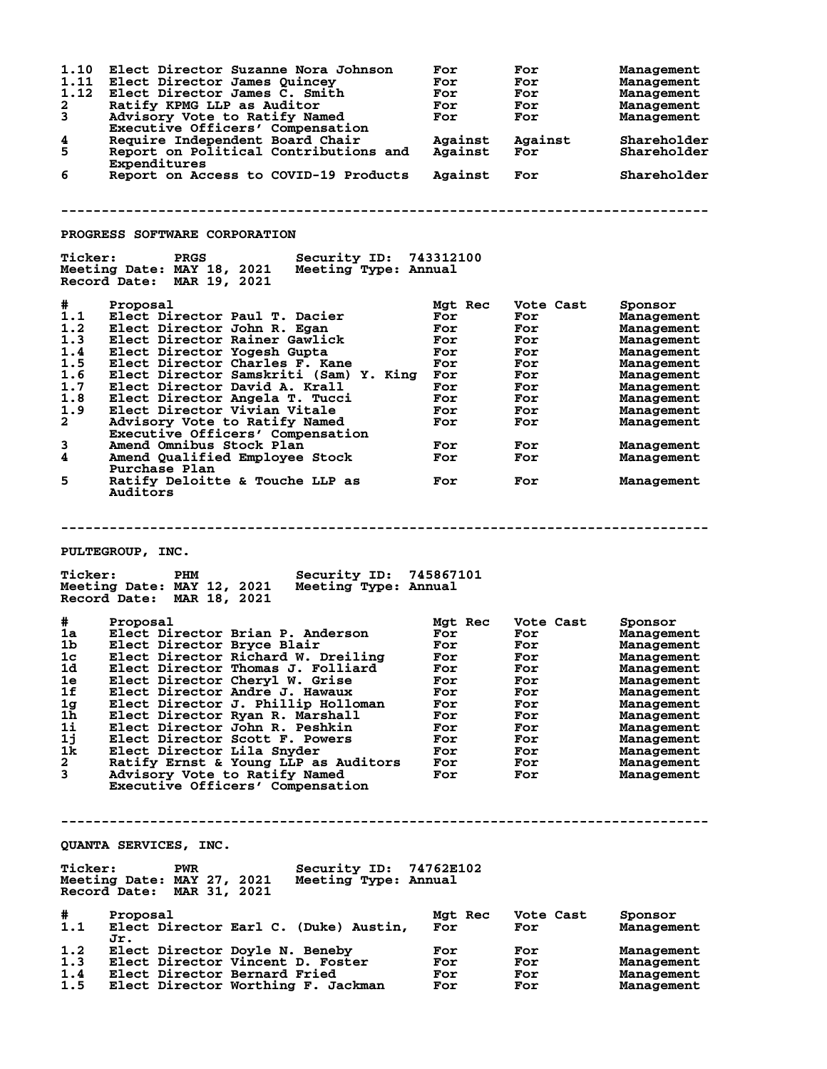| 1.10<br>1.11<br>1.12<br>$\mathbf{2}$<br>3<br>4<br>5<br>6                                                             | Elect Director Suzanne Nora Johnson<br>Elect Director James Quincey<br>Elect Director James C. Smith<br>Ratify KPMG LLP as Auditor<br>Advisory Vote to Ratify Named<br>Executive Officers' Compensation<br>Require Independent Board Chair<br>Report on Political Contributions and<br>Expenditures<br>Report on Access to COVID-19 Products                                                                                                                                                                                                   | For<br>For<br>For<br>For<br>For<br>Against<br>Against<br>Against                                   | For<br>For<br>For<br>For<br>For<br>Against<br>For<br>For                                             | Management<br>Management<br>Management<br>Management<br>Management<br>Shareholder<br>Shareholder<br>Shareholder                                                                               |
|----------------------------------------------------------------------------------------------------------------------|------------------------------------------------------------------------------------------------------------------------------------------------------------------------------------------------------------------------------------------------------------------------------------------------------------------------------------------------------------------------------------------------------------------------------------------------------------------------------------------------------------------------------------------------|----------------------------------------------------------------------------------------------------|------------------------------------------------------------------------------------------------------|-----------------------------------------------------------------------------------------------------------------------------------------------------------------------------------------------|
|                                                                                                                      | PROGRESS SOFTWARE CORPORATION                                                                                                                                                                                                                                                                                                                                                                                                                                                                                                                  |                                                                                                    |                                                                                                      |                                                                                                                                                                                               |
| <b>Ticker:</b>                                                                                                       | Security ID: 743312100<br>PRGS<br>Meeting Date: MAY 18, 2021<br>Meeting Type: Annual<br>Record Date: MAR 19, 2021                                                                                                                                                                                                                                                                                                                                                                                                                              |                                                                                                    |                                                                                                      |                                                                                                                                                                                               |
| #.<br>1.1<br>1.2<br>1.3<br>1.4<br>1.5<br>1.6<br>1.7<br>1.8<br>1.9<br>$\mathbf{2}$<br>3<br>4<br>5                     | Proposal<br>Elect Director Paul T. Dacier<br>Elect Director John R. Egan<br>Elect Director Rainer Gawlick<br>Elect Director Yogesh Gupta<br>Elect Director Charles F. Kane<br>Elect Director Samskriti (Sam) Y. King For<br>Elect Director David A. Krall<br>Elect Director Angela T. Tucci<br>Elect Director Vivian Vitale<br>Advisory Vote to Ratify Named<br>Executive Officers' Compensation<br>Amend Omnibus Stock Plan<br>Amend Qualified Employee Stock<br>Purchase Plan<br>Ratify Deloitte & Touche LLP as<br>Auditors                 | Mgt Rec<br>For<br>For<br>For<br>For<br>For<br>For<br>For<br>For<br>For<br>For<br>For<br>For        | Vote Cast<br>For<br>For<br>For<br>For<br>For<br>For<br>For<br>For<br>For<br>For<br>For<br>For<br>For | Sponsor<br>Management<br>Management<br>Management<br>Management<br>Management<br>Management<br>Management<br>Management<br>Management<br>Management<br>Management<br>Management<br>Management |
| <b>Ticker:</b>                                                                                                       | PULTEGROUP, INC.<br>Security ID: 745867101<br>PHM<br>Meeting Date: MAY 12, 2021<br>Meeting Type: Annual                                                                                                                                                                                                                                                                                                                                                                                                                                        |                                                                                                    |                                                                                                      |                                                                                                                                                                                               |
| #<br>1a -<br>1 <sub>b</sub><br>1c<br>1d<br>1e<br>1f<br>1g<br>1 <sub>h</sub><br>1i<br>1j<br>1k<br>$\mathbf{2}^-$<br>3 | Record Date: MAR 18, 2021<br>Proposal<br>Elect Director Brian P. Anderson<br>Elect Director Bryce Blair<br>Elect Director Richard W. Dreiling<br>Elect Director Thomas J. Folliard<br>Elect Director Cheryl W. Grise<br>Elect Director Andre J. Hawaux<br>Elect Director J. Phillip Holloman<br>Elect Director Ryan R. Marshall<br>Elect Director John R. Peshkin<br>Elect Director Scott F. Powers<br>Elect Director Lila Snyder<br>Ratify Ernst & Young LLP as Auditors<br>Advisory Vote to Ratify Named<br>Executive Officers' Compensation | Mgt Rec<br>For<br>For<br>For<br>For<br>For<br>For<br>For<br>For<br>For<br>For<br>For<br>For<br>For | Vote Cast<br>For<br>For<br>For<br>For<br>For<br>For<br>For<br>For<br>For<br>For<br>For<br>For<br>For | Sponsor<br>Management<br>Management<br>Management<br>Management<br>Management<br>Management<br>Management<br>Management<br>Management<br>Management<br>Management<br>Management<br>Management |
|                                                                                                                      | QUANTA SERVICES, INC.                                                                                                                                                                                                                                                                                                                                                                                                                                                                                                                          |                                                                                                    |                                                                                                      |                                                                                                                                                                                               |
| <b>Ticker:</b>                                                                                                       | Security ID: 74762E102<br><b>PWR</b><br>Meeting Date: MAY 27, 2021<br>Meeting Type: Annual<br>Record Date: MAR 31, 2021                                                                                                                                                                                                                                                                                                                                                                                                                        |                                                                                                    |                                                                                                      |                                                                                                                                                                                               |
| #.<br>1.1                                                                                                            | Proposal<br>Elect Director Earl C. (Duke) Austin,<br>Jr.                                                                                                                                                                                                                                                                                                                                                                                                                                                                                       | Mgt Rec<br>For                                                                                     | Vote Cast<br>For                                                                                     | Sponsor<br>Management                                                                                                                                                                         |
| 1.2<br>1.3<br>1.4<br>1.5                                                                                             | Elect Director Doyle N. Beneby<br>Elect Director Vincent D. Foster<br>Elect Director Bernard Fried<br>Elect Director Worthing F. Jackman                                                                                                                                                                                                                                                                                                                                                                                                       | For<br>For<br>For<br>For                                                                           | For<br>For<br>For<br>For                                                                             | Management<br>Management<br>Management<br>Management                                                                                                                                          |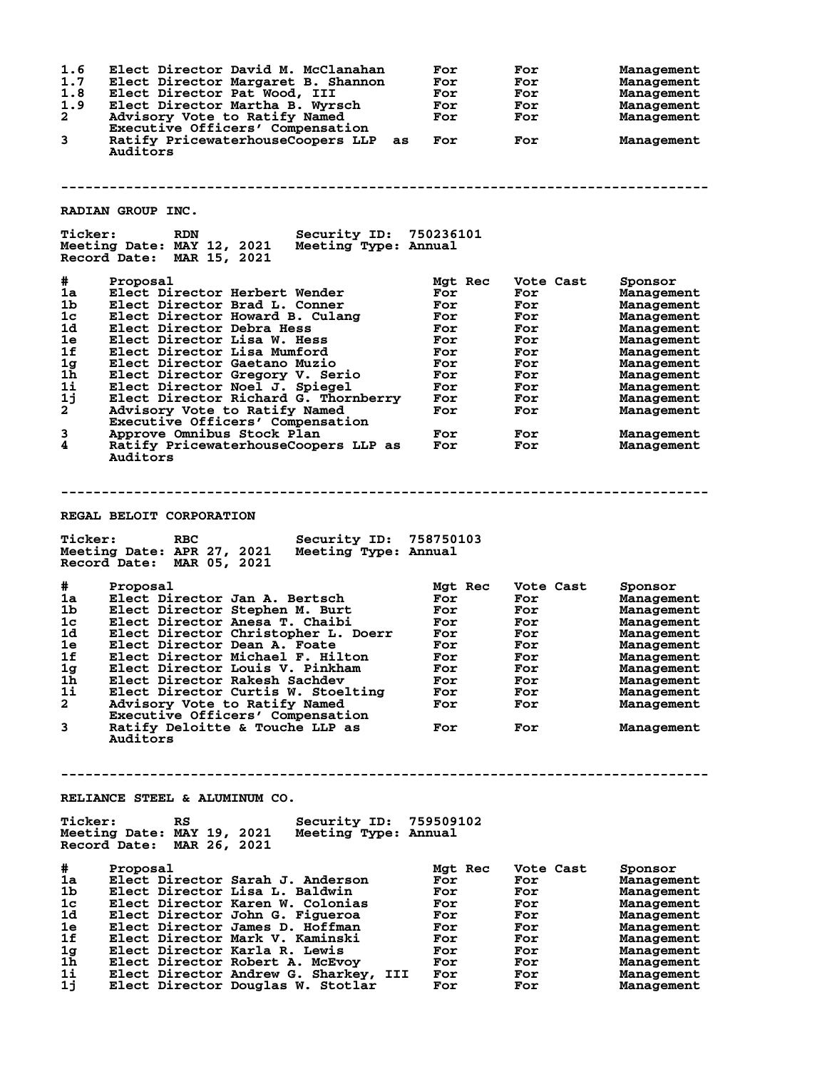| 1.6<br>Elect Director David M. McClanahan<br>1.7<br>Elect Director Margaret B. Shannon<br>1.8<br>Elect Director Pat Wood, III<br>1.9<br>Elect Director Martha B. Wyrsch<br>2<br>Advisory Vote to Ratify Named<br>Executive Officers' Compensation<br>3<br>Ratify PricewaterhouseCoopers LLP<br>as<br>Auditors<br>RADIAN GROUP INC.                                                                                                                                                                                                                                                                                              | For<br>For<br>For<br>For<br>For<br>For                                                             | For<br>For<br>For<br>For<br>For<br>For                                                               | Management<br>Management<br>Management<br>Management<br>Management<br>Management                                                                                                              |  |  |
|---------------------------------------------------------------------------------------------------------------------------------------------------------------------------------------------------------------------------------------------------------------------------------------------------------------------------------------------------------------------------------------------------------------------------------------------------------------------------------------------------------------------------------------------------------------------------------------------------------------------------------|----------------------------------------------------------------------------------------------------|------------------------------------------------------------------------------------------------------|-----------------------------------------------------------------------------------------------------------------------------------------------------------------------------------------------|--|--|
| <b>Ticker:</b><br>Security ID: 750236101<br><b>RDN</b><br>Meeting Date: MAY 12, 2021<br>Meeting Type: Annual<br>Record Date: MAR 15, 2021                                                                                                                                                                                                                                                                                                                                                                                                                                                                                       |                                                                                                    |                                                                                                      |                                                                                                                                                                                               |  |  |
| #<br>Proposal<br>1a<br>Elect Director Herbert Wender<br>1 <sub>b</sub><br>Elect Director Brad L. Conner<br>1 <sub>c</sub><br>Elect Director Howard B. Culang<br>1d<br>Elect Director Debra Hess<br>1e<br>Elect Director Lisa W. Hess<br>1f<br>Elect Director Lisa Mumford<br>1g<br>Elect Director Gaetano Muzio<br>1h<br>Elect Director Gregory V. Serio<br>1i<br>Elect Director Noel J. Spiegel<br>1j<br>Elect Director Richard G. Thornberry<br>$\mathbf{2}$<br>Advisory Vote to Ratify Named<br>Executive Officers' Compensation<br>3<br>Approve Omnibus Stock Plan<br>4<br>Ratify PricewaterhouseCoopers LLP as<br>Auditors | Mgt Rec<br>For<br>For<br>For<br>For<br>For<br>For<br>For<br>For<br>For<br>For<br>For<br>For<br>For | Vote Cast<br>For<br>For<br>For<br>For<br>For<br>For<br>For<br>For<br>For<br>For<br>For<br>For<br>For | Sponsor<br>Management<br>Management<br>Management<br>Management<br>Management<br>Management<br>Management<br>Management<br>Management<br>Management<br>Management<br>Management<br>Management |  |  |
| REGAL BELOIT CORPORATION<br><b>Ticker:</b><br><b>Security ID:</b><br><b>RBC</b><br>758750103<br>Meeting Date: APR 27, 2021<br>Meeting Type: Annual<br>Record Date: MAR 05, 2021                                                                                                                                                                                                                                                                                                                                                                                                                                                 |                                                                                                    |                                                                                                      |                                                                                                                                                                                               |  |  |
| #<br>Proposal<br>1a<br>Elect Director Jan A. Bertsch<br>1b<br>Elect Director Stephen M. Burt<br>1 <sub>c</sub><br>Elect Director Anesa T. Chaibi<br>1d<br>Elect Director Christopher L. Doerr<br>1e<br>Elect Director Dean A. Foate<br>1f<br>Elect Director Michael F. Hilton<br>lg<br>Elect Director Louis V. Pinkham<br>1 <sub>h</sub><br>Elect Director Rakesh Sachdev<br>1i<br>Elect Director Curtis W. Stoelting<br>$\mathbf{2}$<br>Advisory Vote to Ratify Named<br>Executive Officers' Compensation<br>3<br>Ratify Deloitte & Touche LLP as<br>Auditors                                                                  | Mgt Rec<br>For<br>For<br>For<br>For<br>For<br>For<br>For<br>For<br>For<br>For<br>For               | Vote Cast<br>For<br>For<br>For<br>For<br>For<br>For<br>For<br>For<br>For<br>For<br>For               | Sponsor<br>Management<br>Management<br>Management<br>Management<br>Management<br>Management<br>Management<br>Management<br>Management<br>Management<br>Management                             |  |  |
|                                                                                                                                                                                                                                                                                                                                                                                                                                                                                                                                                                                                                                 |                                                                                                    |                                                                                                      |                                                                                                                                                                                               |  |  |
| RELIANCE STEEL & ALUMINUM CO.<br><b>Ticker:</b><br>Security ID: 759509102<br>RS<br>Meeting Date: MAY 19, 2021<br>Meeting Type: Annual<br>Record Date: MAR 26, 2021                                                                                                                                                                                                                                                                                                                                                                                                                                                              |                                                                                                    |                                                                                                      |                                                                                                                                                                                               |  |  |
| #<br>Proposal<br>1a<br>Elect Director Sarah J. Anderson<br>1b<br>Elect Director Lisa L. Baldwin<br>1 <sub>c</sub><br>Elect Director Karen W. Colonias<br>1d<br>Elect Director John G. Figueroa<br>1e<br>Elect Director James D. Hoffman<br>1f<br>Elect Director Mark V. Kaminski<br>1g<br>Elect Director Karla R. Lewis<br>1h<br>Elect Director Robert A. McEvoy<br>1i<br>Elect Director Andrew G. Sharkey, III<br>1j<br>Elect Director Douglas W. Stotlar                                                                                                                                                                      | Mgt Rec<br>For<br>For<br>For<br>For<br>For<br>For<br>For<br>For<br>For<br>For                      | Vote Cast<br>For<br>For<br>For<br>For<br>For<br>For<br>For<br>For<br>For<br>For                      | Sponsor<br>Management<br>Management<br>Management<br>Management<br>Management<br>Management<br>Management<br>Management<br>Management<br>Management                                           |  |  |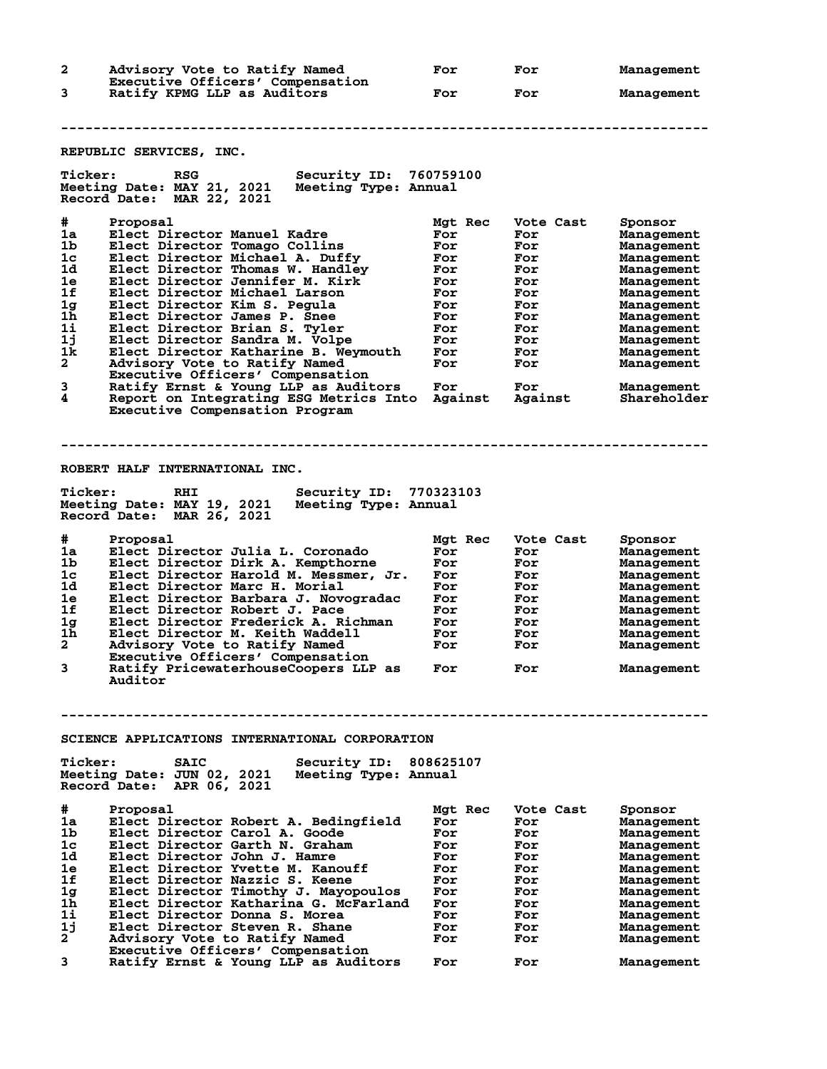**2 Advisory Vote to Ratify Named For For Management Executive Officers' Compensation**<br>3 Ratify KPMG LLP as Auditors **3 Ratify KPMG LLP as Auditors For For Management -------------------------------------------------------------------------------- REPUBLIC SERVICES, INC. Ticker: RSG Security ID: 760759100 Meeting Date: MAY 21, 2021 Meeting Type: Annual Record Date: MAR 22, 2021 #** Proposal Mgt Rec Vote Cast Sponsor<br> **1a** Elect Director Manuel Kadre For For Management<br>
1b Elect Director Tomago Collins For For Management<br> **1** Elect Director Mighael A Puffy. **1a Elect Director Manuel Kadre For For Management 1b Elect Director Tomago Collins For For Management 1c Elect Director Michael A. Duffy For For Management 1d Elect Director Thomas W. Handley For For Management 1e Elect Director Jennifer M. Kirk For For Management 1f Elect Director Michael Larson For For Management 1g Elect Director Kim S. Pegula For For Management 1h Elect Director James P. Snee For For Management 1i Elect Director Brian S. Tyler For For Management 1j Elect Director Sandra M. Volpe For For Management 1k Elect Director Katharine B. Weymouth For For Management 2 Advisory Vote to Ratify Named For For Management Executive Officers' Compensation 3 Ratify Ernst & Young LLP as Auditors For For Management 4 Report on Integrating ESG Metrics Into Against Against Shareholder Executive Compensation Program -------------------------------------------------------------------------------- ROBERT HALF INTERNATIONAL INC. Ticker: RHI Security ID: 770323103 Meeting Date: MAY 19, 2021 Meeting Type: Annual Record Date: MAR 26, 2021 # Proposal Mgt Rec Vote Cast Sponsor 1a Elect Director Julia L. Coronado For For Management 1b Elect Director Dirk A. Kempthorne For For Management 1c Elect Director Harold M. Messmer, Jr. For For Management 1d Elect Director Marc H. Morial For For Management 1e Elect Director Barbara J. Novogradac For For Management 1f Elect Director Robert J. Pace For For Management 1g Elect Director Frederick A. Richman For For Management 1h Elect Director M. Keith Waddell For For Management 2 Advisory Vote to Ratify Named For For Management Executive Officers' Compensation 3 Ratify PricewaterhouseCoopers LLP as For For Management Auditor -------------------------------------------------------------------------------- SCIENCE APPLICATIONS INTERNATIONAL CORPORATION Ticker: SAIC Security ID: 808625107** Meeting Date: JUN 02, 2021 **Record Date: APR 06, 2021 # Proposal Mgt Rec Vote Cast Sponsor 1a Elect Director Robert A. Bedingfield For For Management 1b Elect Director Carol A. Goode For For Management 1c Elect Director Garth N. Graham For For Management 1d Elect Director John J. Hamre For For Management 1e Elect Director Yvette M. Kanouff For For Management 1f Elect Director Nazzic S. Keene For For Management 1g Elect Director Timothy J. Mayopoulos For For Management 1h Elect Director Katharina G. McFarland For For Management 1i Elect Director Donna S. Morea For For Management 1j Elect Director Steven R. Shane For For Management 2 Advisory Vote to Ratify Named For For Management Executive Officers of School School**<br> **Executive Officers' Compensation**<br> **Executive Officers' Compensation**<br> **Ratify Ernst & Young LLP as Auditors 3 Ratify Ernst & Young LLP as Auditors For For Management**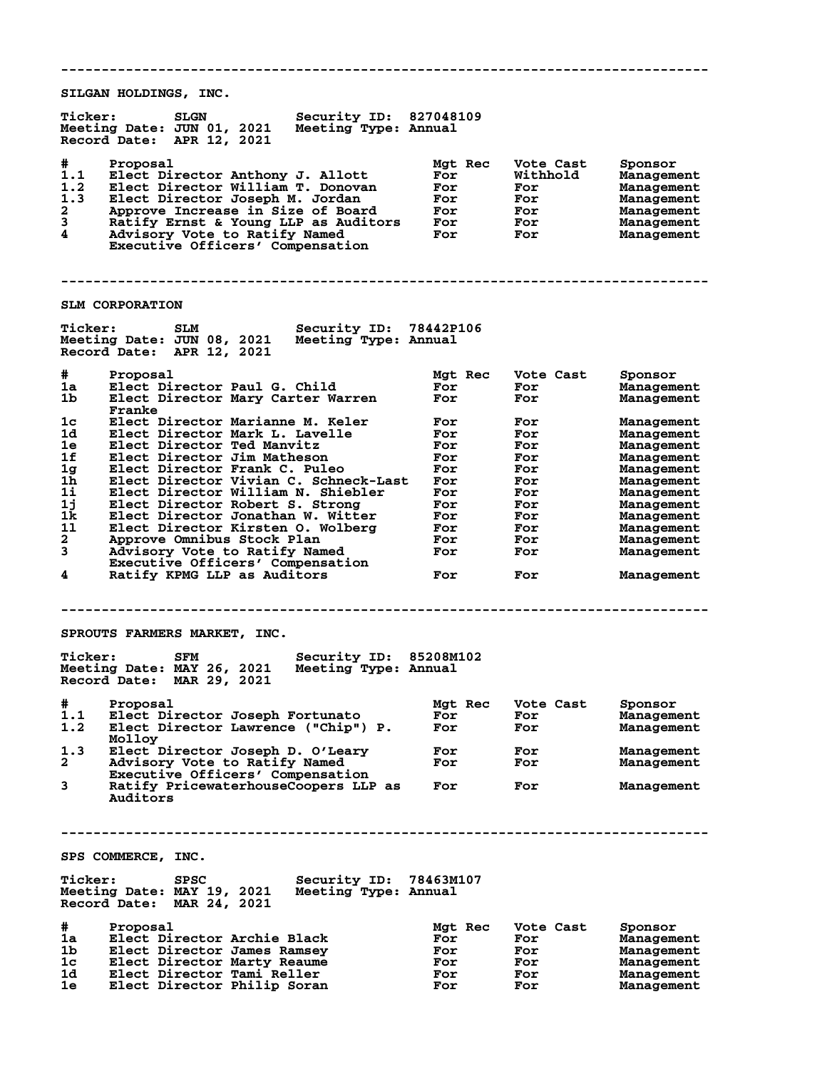**-------------------------------------------------------------------------------- SILGAN HOLDINGS, INC. Ticker: SLGN Security ID: 827048109 Meeting Date: JUN 01, 2021 Meeting Type: Annual Record Date: APR 12, 2021 # Proposal Mgt Rec Vote Cast Sponsor 1.1 Elect Director Anthony J. Allott For Withhold Management 1.2 Elect Director William T. Donovan For For Management 1.3 Elect Director Joseph M. Jordan For For Management 2 Approve Increase in Size of Board For For Management 3 Ratify Ernst & Young LLP as Auditors For For Management 4 Advisory Vote to Ratify Named For For Management Executive Officers' Compensation -------------------------------------------------------------------------------- SLM CORPORATION Ticker: SLM Security ID: 78442P106 Meeting Date: JUN 08, 2021 Meeting Type: Annual Record Date: APR 12, 2021 # Proposal Mgt Rec Vote Cast Sponsor 1a Elect Director Paul G. Child For For Management 1b Elect Director Mary Carter Warren For For Management Franke 1c Elect Director Marianne M. Keler For For Management 1d Elect Director Mark L. Lavelle For For Management 1e Elect Director Ted Manvitz For For Management 1f Elect Director Jim Matheson For For Management 1g Elect Director Frank C. Puleo For For Management 1h Elect Director Vivian C. Schneck-Last For For Management 1i Elect Director William N. Shiebler For For Management 1j Elect Director Robert S. Strong For For Management 1k Elect Director Jonathan W. Witter For For Management 1l Elect Director Kirsten O. Wolberg For For Management 2 Approve Omnibus Stock Plan For For Management 3 Advisory Vote to Ratify Named For For Management Executive Officers' Compensation 4 Ratify KPMG LLP as Auditors For For Management -------------------------------------------------------------------------------- SPROUTS FARMERS MARKET, INC. Ticker: SFM Security ID: 85208M102 Meeting Date: MAY 26, 2021 Meeting Type: Annual Record Date: MAR 29, 2021 # Proposal Mgt Rec Vote Cast Sponsor 1.1 Elect Director Joseph Fortunato For For Management 1.2 Elect Director Lawrence ("Chip") P. For For Management** Molloy<br>1.3 Elect I **1.3 Elect Director Joseph D. O'Leary For For Management 2 Advisory Vote to Ratify Named For For Management Executive Officers' Compensation 3 Ratify PricewaterhouseCoopers LLP as For For Management Auditors -------------------------------------------------------------------------------- SPS COMMERCE, INC. Ticker: SPSC Security ID: 78463M107 Meeting Date: MAY 19, 2021 Meeting Type: Annual Record Date: MAR 24, 2021 # Proposal Mgt Rec Vote Cast Sponsor 1a Elect Director Archie Black For For Management 1b Elect Director James Ramsey For For Management 1c Elect Director Marty Reaume For For Management 1d Elect Director Tami Reller For For Management** 1b Elect Director James Ramsey<br>
1c Elect Director Marty Reaume<br>
1d Elect Director Tami Reller<br>
1e Elect Director Philip Soran For For Management<br>
1e Elect Director Philip Soran For For Management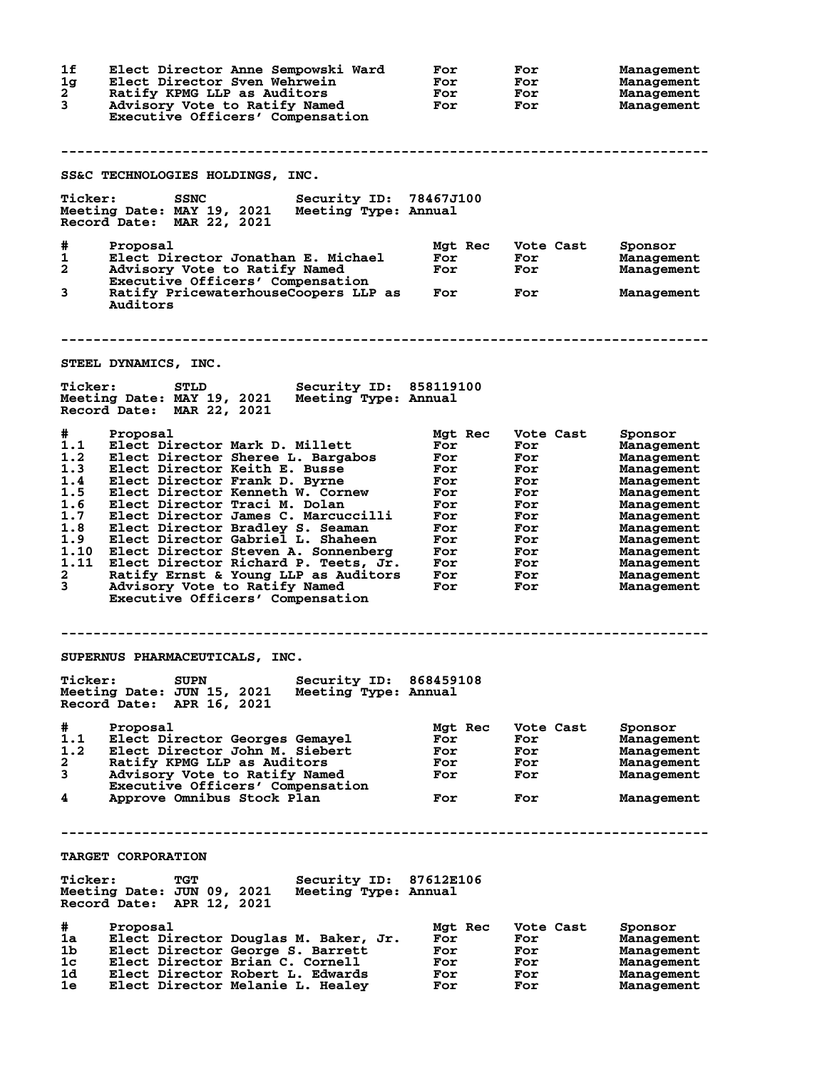| 1f<br>1g<br>$\mathbf{2}$<br>3                                                              | Elect Director Anne Sempowski Ward<br>Elect Director Sven Wehrwein<br>Ratify KPMG LLP as Auditors<br>Advisory Vote to Ratify Named<br>Executive Officers' Compensation                                                                                                                                                                                                                                                                                                                                                             | For<br>For<br>For<br>For                                                                           | For<br>For<br>For<br>For                                                                             | Management<br>Management<br>Management<br>Management                                                                                                                                          |
|--------------------------------------------------------------------------------------------|------------------------------------------------------------------------------------------------------------------------------------------------------------------------------------------------------------------------------------------------------------------------------------------------------------------------------------------------------------------------------------------------------------------------------------------------------------------------------------------------------------------------------------|----------------------------------------------------------------------------------------------------|------------------------------------------------------------------------------------------------------|-----------------------------------------------------------------------------------------------------------------------------------------------------------------------------------------------|
|                                                                                            | SS&C TECHNOLOGIES HOLDINGS, INC.                                                                                                                                                                                                                                                                                                                                                                                                                                                                                                   |                                                                                                    |                                                                                                      |                                                                                                                                                                                               |
| <b>Ticker:</b>                                                                             | Security ID: 78467J100<br><b>SSNC</b><br>Meeting Date: MAY 19, 2021<br>Meeting Type: Annual<br>Record Date: MAR 22, 2021                                                                                                                                                                                                                                                                                                                                                                                                           |                                                                                                    |                                                                                                      |                                                                                                                                                                                               |
| #<br>1<br>2<br>3                                                                           | Proposal<br>Elect Director Jonathan E. Michael<br>Advisory Vote to Ratify Named<br>Executive Officers' Compensation<br>Ratify PricewaterhouseCoopers LLP as<br>Auditors                                                                                                                                                                                                                                                                                                                                                            | Mgt Rec<br>For<br>For<br>For                                                                       | Vote Cast<br>For<br>For<br>For                                                                       | Sponsor<br>Management<br>Management<br>Management                                                                                                                                             |
|                                                                                            | STEEL DYNAMICS, INC.                                                                                                                                                                                                                                                                                                                                                                                                                                                                                                               |                                                                                                    |                                                                                                      |                                                                                                                                                                                               |
| <b>Ticker:</b>                                                                             | Security ID: 858119100<br><b>STLD</b><br>Meeting Type: Annual<br>Meeting Date: MAY 19, 2021<br>Record Date: MAR 22, 2021                                                                                                                                                                                                                                                                                                                                                                                                           |                                                                                                    |                                                                                                      |                                                                                                                                                                                               |
| #<br>1.1<br>1.2<br>1.3<br>1.4<br>1.5<br>1.6<br>1.7<br>1.8<br>1.9<br>1.10<br>1.11<br>2<br>3 | Proposal<br>Elect Director Mark D. Millett<br>Elect Director Sheree L. Bargabos<br>Elect Director Keith E. Busse<br>Elect Director Frank D. Byrne<br>Elect Director Kenneth W. Cornew<br>Elect Director Traci M. Dolan<br>Elect Director James C. Marcuccilli<br>Elect Director Bradley S. Seaman<br>Elect Director Gabriel L. Shaheen<br>Elect Director Steven A. Sonnenberg<br>Elect Director Richard P. Teets, Jr.<br>Ratify Ernst & Young LLP as Auditors<br>Advisory Vote to Ratify Named<br>Executive Officers' Compensation | Mgt Rec<br>For<br>For<br>For<br>For<br>For<br>For<br>For<br>For<br>For<br>For<br>For<br>For<br>For | Vote Cast<br>For<br>For<br>For<br>For<br>For<br>For<br>For<br>For<br>For<br>For<br>For<br>For<br>For | Sponsor<br>Management<br>Management<br>Management<br>Management<br>Management<br>Management<br>Management<br>Management<br>Management<br>Management<br>Management<br>Management<br>Management |
|                                                                                            | SUPERNUS PHARMACEUTICALS, INC.                                                                                                                                                                                                                                                                                                                                                                                                                                                                                                     |                                                                                                    |                                                                                                      |                                                                                                                                                                                               |
| <b>Ticker:</b>                                                                             | <b>Security ID:</b><br><b>SUPN</b><br>Meeting Date: JUN 15, 2021<br>Meeting Type: Annual<br>Record Date: APR 16, 2021                                                                                                                                                                                                                                                                                                                                                                                                              | 868459108                                                                                          |                                                                                                      |                                                                                                                                                                                               |
| #<br>1.1<br>1.2<br>2<br>3<br>4                                                             | Proposal<br>Elect Director Georges Gemayel<br>Elect Director John M. Siebert<br>Ratify KPMG LLP as Auditors<br>Advisory Vote to Ratify Named<br>Executive Officers' Compensation<br>Approve Omnibus Stock Plan                                                                                                                                                                                                                                                                                                                     | Mgt Rec<br>For<br>For<br>For<br>For<br>For                                                         | Vote Cast<br>For<br>For<br>For<br>For<br>For                                                         | Sponsor<br>Management<br>Management<br>Management<br>Management<br>Management                                                                                                                 |
|                                                                                            |                                                                                                                                                                                                                                                                                                                                                                                                                                                                                                                                    |                                                                                                    |                                                                                                      |                                                                                                                                                                                               |
| <b>Ticker:</b>                                                                             | <b>TARGET CORPORATION</b><br>Security ID: 87612E106<br>TGT<br>Meeting Date: JUN 09, 2021<br>Meeting Type: Annual<br>Record Date: APR 12, 2021                                                                                                                                                                                                                                                                                                                                                                                      |                                                                                                    |                                                                                                      |                                                                                                                                                                                               |
| #<br>1a<br>1b<br>1c<br>1d.<br>1e                                                           | Proposal<br>Elect Director Douglas M. Baker, Jr.<br>Elect Director George S. Barrett<br>Elect Director Brian C. Cornell<br>Elect Director Robert L. Edwards<br>Elect Director Melanie L. Healey                                                                                                                                                                                                                                                                                                                                    | Mgt Rec<br>For<br>For<br>For<br>For<br>For                                                         | Vote Cast<br>For<br>For<br>For<br>For<br>For                                                         | Sponsor<br>Management<br>Management<br>Management<br>Management<br>Management                                                                                                                 |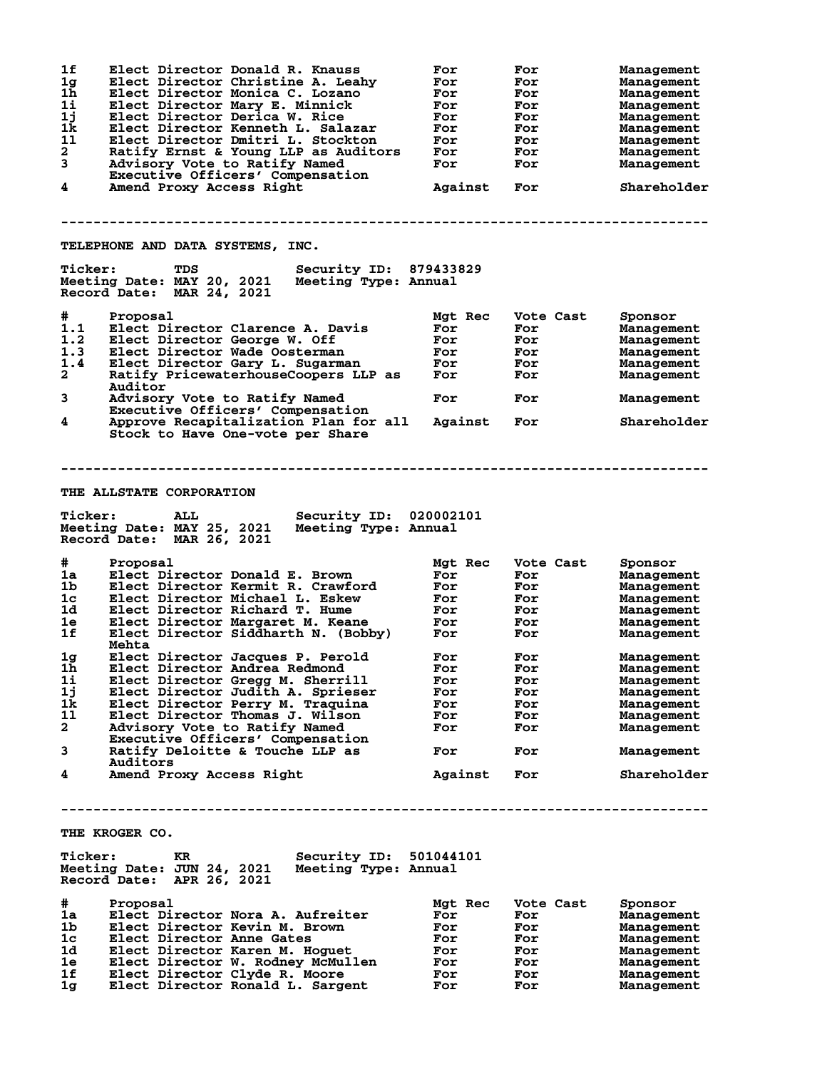| 1f<br>1g       | Elect Director Donald R. Knauss<br>Elect Director Christine A. Leahy             | For<br>For | For<br>For | Management<br>Management |
|----------------|----------------------------------------------------------------------------------|------------|------------|--------------------------|
| 1 <sub>h</sub> | Elect Director Monica C. Lozano                                                  | For        | For        | Management               |
| 1i             | Elect Director Mary E. Minnick                                                   | For        | For        | Management               |
| 1j             |                                                                                  |            |            |                          |
|                | Elect Director Derica W. Rice                                                    | For        | For        | Management               |
| 1k             | Elect Director Kenneth L. Salazar                                                | For        | For        | Management               |
| 11             | Elect Director Dmitri L. Stockton                                                | For        | For        | Management               |
| $\mathbf{2}$   | Ratify Ernst & Young LLP as Auditors                                             | For        | For        | Management               |
| 3              | Advisory Vote to Ratify Named                                                    | For        | For        | Management               |
|                | Executive Officers' Compensation                                                 |            |            |                          |
| 4              | Amend Proxy Access Right                                                         | Against    | For        | Shareholder              |
|                |                                                                                  |            |            |                          |
|                |                                                                                  |            |            |                          |
|                | TELEPHONE AND DATA SYSTEMS, INC.                                                 |            |            |                          |
| <b>Ticker:</b> | Security ID: 879433829<br>TDS<br>Meeting Date: MAY 20, 2021 Meeting Type: Annual |            |            |                          |
|                | Record Date: MAR 24, 2021                                                        |            |            |                          |
| #              | Proposal                                                                         | Mgt Rec    | Vote Cast  | Sponsor                  |
| 1.1            | Elect Director Clarence A. Davis                                                 | For        | For        | Management               |
| 1.2            | Elect Director George W. Off                                                     | For        | <b>For</b> | Management               |
| 1.3            | Elect Director Wade Oosterman                                                    | For        | For        | Management               |
| 1.4            | Elect Director Gary L. Sugarman                                                  | For        | For        | Management               |
| $\mathbf{2}$   | Ratify PricewaterhouseCoopers LLP as                                             | <b>For</b> | For        |                          |
|                | Auditor                                                                          |            |            | Management               |
| 3              | Advisory Vote to Ratify Named                                                    | For        | For        | Management               |
| 4              | Executive Officers' Compensation<br>Approve Recapitalization Plan for all        | Against    | For        | Shareholder              |
|                | Stock to Have One-vote per Share                                                 |            |            |                          |
|                |                                                                                  |            |            |                          |
|                |                                                                                  |            |            |                          |
|                | <b>THE ALLSTATE CORPORATION</b>                                                  |            |            |                          |
| <b>Ticker:</b> | Security ID: 020002101<br>ALL                                                    |            |            |                          |
|                | Meeting Date: MAY 25, 2021<br>Meeting Type: Annual<br>Record Date: MAR 26, 2021  |            |            |                          |
| #              | Proposal                                                                         | Mgt Rec    | Vote Cast  | Sponsor                  |
| 1a             | Elect Director Donald E. Brown                                                   | For        | For        | Management               |
| 1b             | Elect Director Kermit R. Crawford                                                | For        |            |                          |
|                |                                                                                  |            | For        | Management               |
| $1\mathrm{c}$  | Elect Director Michael L. Eskew                                                  | For        | <b>For</b> | Management               |
| 1d             | Elect Director Richard T. Hume                                                   | For        | For        | Management               |
| 1e             | Elect Director Margaret M. Keane                                                 | For        | For        | Management               |
| 1f             | Elect Director Siddharth N. (Bobby)<br>Mehta                                     | For        | For        | Management               |
| 1g             | Elect Director Jacques P. Perold                                                 | For        | For        | Management               |
| 1h             | Elect Director Andrea Redmond                                                    | For        | For        | Management               |
| 11             | Elect Director Gregg M. Sherrill                                                 | For        | For        | Management               |
| 1j             | Elect Director Judith A. Sprieser                                                | For        | For        | Management               |
| 1k             | Elect Director Perry M. Traquina                                                 | For        | For        | Management               |
| 11             | Elect Director Thomas J. Wilson                                                  | For        | For        | Management               |
| $\mathbf{2}$   | Advisory Vote to Ratify Named                                                    | For        | For        | Management               |
|                | Executive Officers' Compensation                                                 |            |            |                          |
| 3              | Ratify Deloitte & Touche LLP as                                                  | For        | For        | Management               |
| 4              | Auditors<br>Amend Proxy Access Right                                             | Against    | For        | Shareholder              |
|                |                                                                                  |            |            |                          |
|                |                                                                                  |            |            |                          |
|                | THE KROGER CO.                                                                   |            |            |                          |
|                |                                                                                  |            |            |                          |
| <b>Ticker:</b> | <b>Security ID: 501044101</b><br>KR                                              |            |            |                          |
|                | Meeting Date: JUN 24, 2021<br>Meeting Type: Annual<br>Record Date: APR 26, 2021  |            |            |                          |
| #              | Proposal                                                                         | Mgt Rec    | Vote Cast  | Sponsor                  |
| 1a             | Elect Director Nora A. Aufreiter                                                 | For        | For        | Management               |
| 1b             | Elect Director Kevin M. Brown                                                    | For        | For        | Management               |
| 1c             | Elect Director Anne Gates                                                        | For        |            |                          |
|                |                                                                                  |            | For        | Management               |
| 1d             | Elect Director Karen M. Hoguet                                                   | For        | For        | Management               |
| 1e             | Elect Director W. Rodney McMullen                                                | For        | For        | Management               |
| 1f             | Elect Director Clyde R. Moore                                                    | For        | For        | Management               |
| 1g             | Elect Director Ronald L. Sargent                                                 | For        | For        | Management               |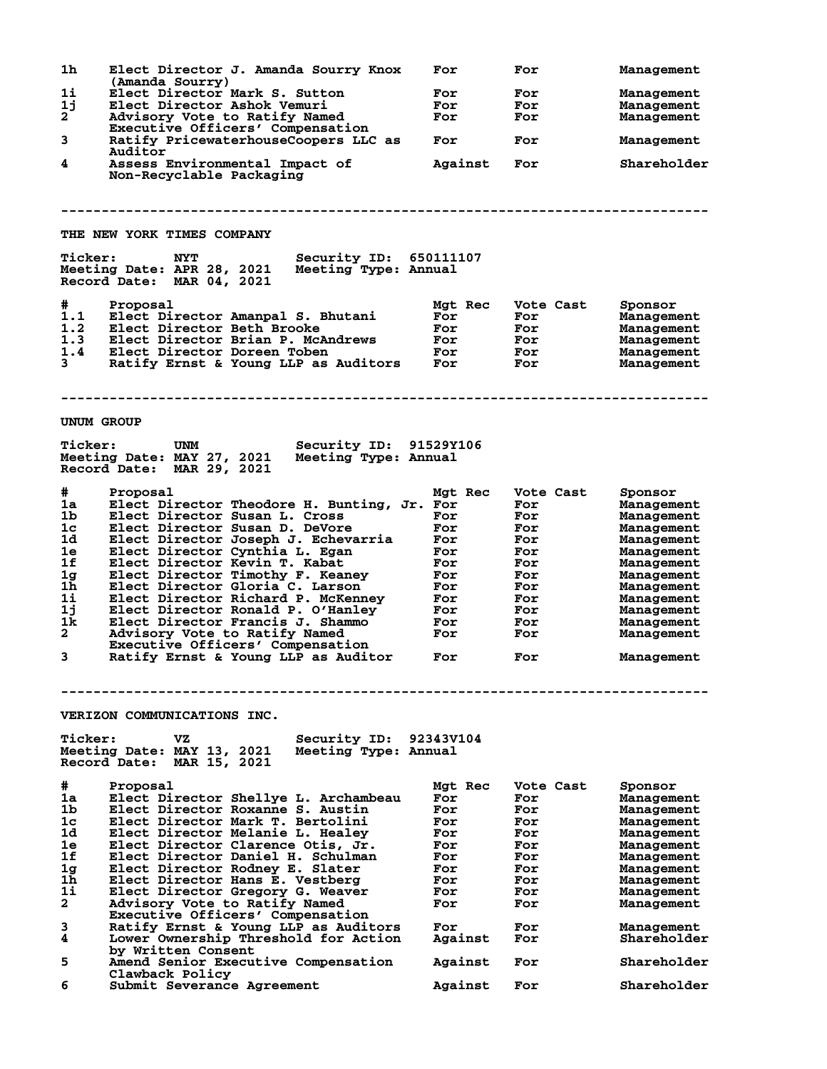| 1h                | Elect Director J. Amanda Sourry Knox<br>(Amanda Sourry)                                                                 | For        | For       | Management        |
|-------------------|-------------------------------------------------------------------------------------------------------------------------|------------|-----------|-------------------|
| 1i                | Elect Director Mark S. Sutton                                                                                           | For        | For       | Management        |
| 1j                | Elect Director Ashok Vemuri                                                                                             | For        | For       | Management        |
| 2                 | Advisory Vote to Ratify Named                                                                                           | For        | For       | <b>Management</b> |
|                   | Executive Officers' Compensation                                                                                        |            |           |                   |
| 3                 | Ratify PricewaterhouseCoopers LLC as<br>Auditor                                                                         | For        | For       | <b>Management</b> |
| 4                 | Assess Environmental Impact of                                                                                          | Against    | For       | Shareholder       |
|                   | Non-Recyclable Packaging                                                                                                |            |           |                   |
|                   |                                                                                                                         |            |           |                   |
|                   | <b>THE NEW YORK TIMES COMPANY</b>                                                                                       |            |           |                   |
| <b>Ticker:</b>    | <b>NYT</b><br>Security ID: 650111107<br>Meeting Date: APR 28, 2021<br>Meeting Type: Annual<br>Record Date: MAR 04, 2021 |            |           |                   |
| #                 | Proposal                                                                                                                | Mgt Rec    | Vote Cast | Sponsor           |
| 1.1               | Elect Director Amanpal S. Bhutani                                                                                       | For        | For       | <b>Management</b> |
| 1.2               | Elect Director Beth Brooke                                                                                              | For        | For       | <b>Management</b> |
| 1.3               | Elect Director Brian P. McAndrews                                                                                       | For        | For       | <b>Management</b> |
| 1.4               | Elect Director Doreen Toben                                                                                             | For        | For       | Management        |
| $3^{\circ}$       | Ratify Ernst & Young LLP as Auditors                                                                                    | <b>For</b> | For       | Management        |
|                   |                                                                                                                         |            |           |                   |
| <b>UNUM GROUP</b> |                                                                                                                         |            |           |                   |
| <b>Ticker:</b>    | Security ID: 91529Y106<br>UNM                                                                                           |            |           |                   |
|                   | Meeting Date: MAY 27, 2021<br>Meeting Type: Annual<br>Record Date: MAR 29, 2021                                         |            |           |                   |
| #                 | Proposal                                                                                                                | Mgt Rec    | Vote Cast | Sponsor           |
| 1a                | Elect Director Theodore H. Bunting, Jr. For                                                                             |            | For       | <b>Management</b> |
| 1 <sub>b</sub>    | Elect Director Susan L. Cross                                                                                           | For        | For       | <b>Management</b> |
| 1 <sub>c</sub>    | Elect Director Susan D. DeVore                                                                                          | For        | For       | <b>Management</b> |
| 1d                | Elect Director Joseph J. Echevarria                                                                                     | For        | For       | <b>Management</b> |
| 1e                | Elect Director Cynthia L. Egan                                                                                          | For        | For       | <b>Management</b> |
| 1f                | Elect Director Kevin T. Kabat                                                                                           | For        | For       | Management        |
| 1 <sub>g</sub>    | Elect Director Timothy F. Keaney                                                                                        | For        | For       | <b>Management</b> |
| 1 <sub>h</sub>    | Elect Director Gloria C. Larson                                                                                         | For        | For       | <b>Management</b> |
| $1\text{i}$       | Elect Director Richard P. McKenney                                                                                      | For        | For       | Management        |
| 1j                | Elect Director Ronald P. O'Hanley                                                                                       | For        | For       | Management        |
| 1k                | Elect Director Francis J. Shammo                                                                                        | For        | For       | <b>Management</b> |
| $\mathbf{2}$      | Advisory Vote to Ratify Named                                                                                           | For        | For       | Management        |
|                   | Executive Officers' Compensation                                                                                        |            |           |                   |
| 3                 | Ratify Ernst & Young LLP as Auditor                                                                                     | For        | For       | Management        |
|                   |                                                                                                                         |            |           |                   |
|                   | VERIZON COMMUNICATIONS INC.                                                                                             |            |           |                   |
| <b>Ticker:</b>    | Security ID:<br>vΖ                                                                                                      | 92343V104  |           |                   |
|                   | Meeting Date: MAY 13, 2021<br>Meeting Type: Annual                                                                      |            |           |                   |
|                   | Record Date: MAR 15, 2021                                                                                               |            |           |                   |
| #                 | Proposal                                                                                                                | Mat Rec    | Vote Cast | Sponsor           |
| 1a                | Elect Director Shellye L. Archambeau                                                                                    | For        | For       | <b>Management</b> |
| 1b                | Elect Director Roxanne S. Austin                                                                                        | For        | For       | <b>Management</b> |
| 1c                | Elect Director Mark T. Bertolini                                                                                        | For        | For       | Management        |
| 1d                | Elect Director Melanie L. Healey                                                                                        | For        | For       | <b>Management</b> |
| 1e                | Elect Director Clarence Otis, Jr.                                                                                       | For        | For       | <b>Management</b> |
| 1f                | Elect Director Daniel H. Schulman                                                                                       | For        | For       | <b>Management</b> |
| $1g$              | Elect Director Rodney E. Slater                                                                                         | For        | For       | <b>Management</b> |
| 1h                | Elect Director Hans E. Vestberg                                                                                         | For        | For       | <b>Management</b> |
| 1i                | Elect Director Gregory G. Weaver                                                                                        | For        | For       | Management        |
| 2                 | Advisory Vote to Ratify Named<br>Executive Officers' Compensation                                                       | For        | For       | Management        |
| 3                 | Ratify Ernst & Young LLP as Auditors                                                                                    | For        | For       | <b>Management</b> |
| 4                 | Lower Ownership Threshold for Action                                                                                    | Against    | For       | Shareholder       |
|                   | by Written Consent                                                                                                      |            |           |                   |
| 5                 | Amend Senior Executive Compensation                                                                                     | Against    | For       | Shareholder       |
| 6                 | Clawback Policy<br>Submit Severance Agreement                                                                           | Against    | For       | Shareholder       |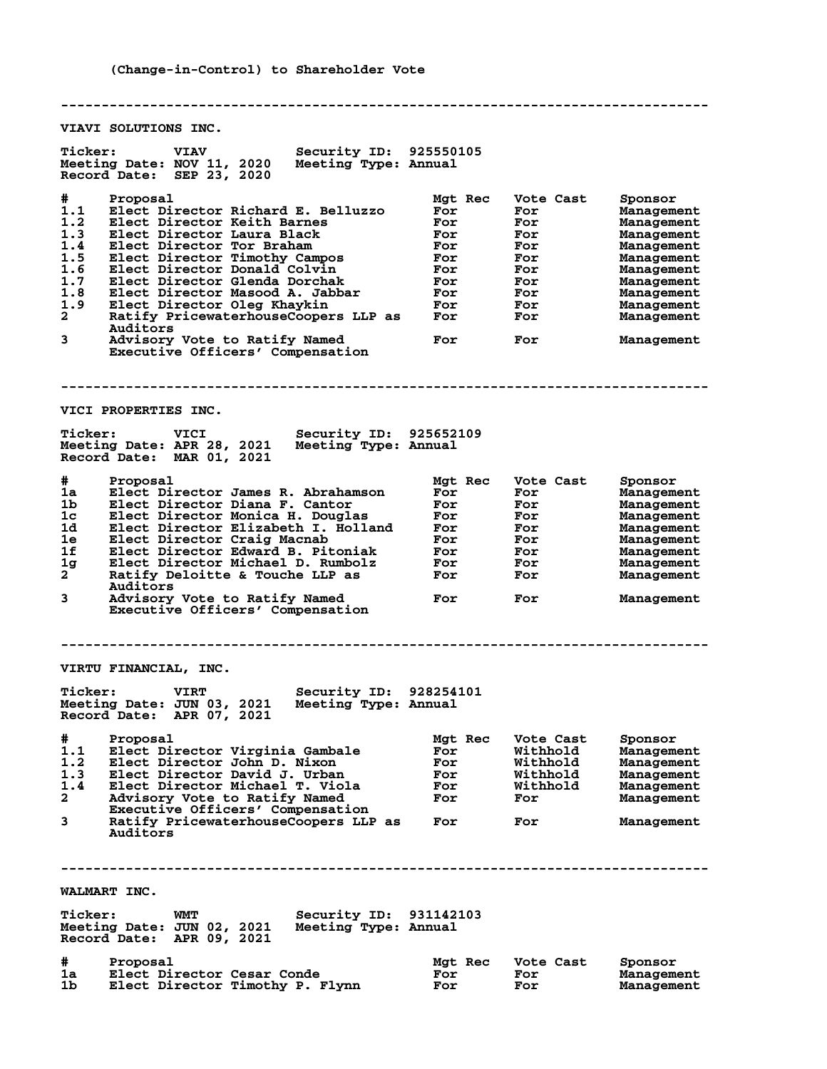**-------------------------------------------------------------------------------- VIAVI SOLUTIONS INC. Ticker: VIAV Security ID: 925550105**<br>Meeting Date: NOV 11, 2020 Meeting Type: Annual<br>Reserved Deter 80 DB: 2000 **Meeting Date: NOV 11, 2020 Meeting Type: Annual Record Date: SEP 23, 2020 # Proposal Mgt Rec Vote Cast Sponsor 1.1 Elect Director Richard E. Belluzzo For For Management 1.2 Elect Director Keith Barnes For For Management 1.3 Elect Director Laura Black For For Management** 1.2 Elect Director Keith Barnes<br>
1.3 Elect Director Tor Braham For For Management<br>
1.5 Elect Director Tor Braham For For Management<br>
1.5 Elect Director Timothy Campos For For Management<br>
1.7 Elect Director Glenda Dorchak<br> **1.5 Elect Director Timothy Campos For For Management 1.6 Elect Director Donald Colvin For For Management 1.7 Elect Director Glenda Dorchak For For Management 1.8 Elect Director Masood A. Jabbar For For Management 1.9 Elect Director Oleg Khaykin For For Management 2 Ratify PricewaterhouseCoopers LLP as For For Management Auditors**<br>3 Advisory **3 Advisory Vote to Ratify Named For For Management Executive Officers' Compensation -------------------------------------------------------------------------------- VICI PROPERTIES INC. Ticker: VICI Security ID: 925652109** Meeting Date: APR 28, 2021 **Record Date: MAR 01, 2021 # Proposal Mgt Rec Vote Cast Sponsor 1a Elect Director James R. Abrahamson For For Management 1b Elect Director Diana F. Cantor For For Management 1c Elect Director Monica H. Douglas For For Management 1d Elect Director Elizabeth I. Holland For For Management 1e Elect Director Craig Macnab For For Management 1f Elect Director Edward B. Pitoniak For For Management 1g Elect Director Michael D. Rumbolz For For Management 2 Ratify Deloitte & Touche LLP as For For Management Auditors 3 Advisory Vote to Ratify Named For For Management Executive Officers' Compensation -------------------------------------------------------------------------------- VIRTU FINANCIAL, INC. Ticker: VIRT Security ID: 928254101 Meeting Date: JUN 03, 2021 Meeting Type: Annual Record Date: APR 07, 2021 # Proposal Mgt Rec Vote Cast Sponsor 1.1 Elect Director Virginia Gambale For Withhold Management 1.2 Elect Director John D. Nixon For Withhold Management 1.3 Elect Director David J. Urban For Withhold Management 1.4 Elect Director Michael T. Viola For Withhold Management 2 Advisory Vote to Ratify Named For For Management Executive Officers' Compensation 3 Ratify PricewaterhouseCoopers LLP as For For Management Auditors -------------------------------------------------------------------------------- WALMART INC. Ticker: WMT Security ID: 931142103 Meeting Date: JUN 02, 2021 Meeting Type: Annual Record Date: APR 09, 2021 # Proposal Mgt Rec Vote Cast Sponsor 1a Elect Director Cesar Conde For For Management 1b Elect Director Timothy P. Flynn For For Management**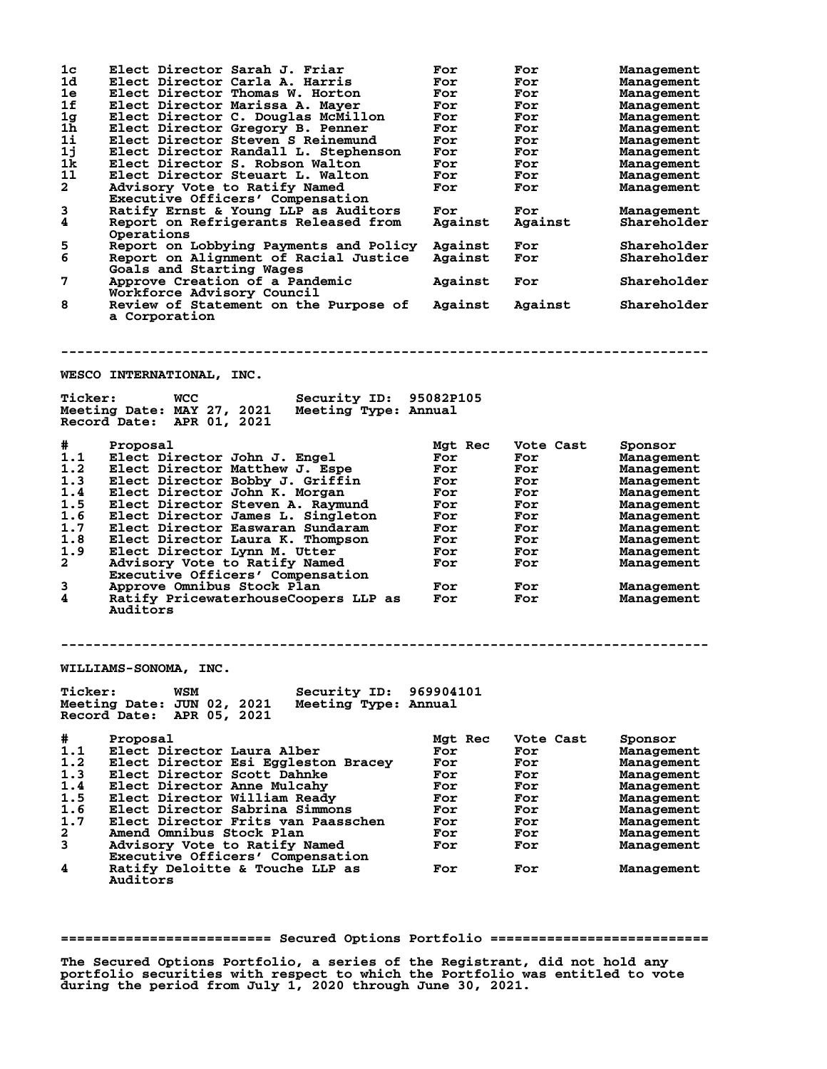| 1 <sub>c</sub><br>1d<br>1e<br>1f<br>1g<br>$1\bar{h}$<br>$1\text{i}$<br>1j<br>1k<br>11<br>$\mathbf{2}$ | Elect Director Sarah J. Friar<br>Elect Director Carla A. Harris<br>Elect Director Thomas W. Horton<br>Elect Director Marissa A. Mayer<br>Elect Director C. Douglas McMillon<br>Elect Director Gregory B. Penner<br>Elect Director Steven S Reinemund<br>Elect Director Randall L. Stephenson<br>Elect Director S. Robson Walton<br>Elect Director Steuart L. Walton<br>Advisory Vote to Ratify Named<br>Executive Officers' Compensation | For<br>For<br>For<br>For<br>For<br>For<br>For<br>For<br>For<br>For<br>For | For<br>For<br>For<br>For<br>For<br>For<br>For<br>For<br>For<br>For<br>For | Management<br>Management<br>Management<br>Management<br>Management<br>Management<br>Management<br>Management<br>Management<br>Management<br>Management |
|-------------------------------------------------------------------------------------------------------|------------------------------------------------------------------------------------------------------------------------------------------------------------------------------------------------------------------------------------------------------------------------------------------------------------------------------------------------------------------------------------------------------------------------------------------|---------------------------------------------------------------------------|---------------------------------------------------------------------------|--------------------------------------------------------------------------------------------------------------------------------------------------------|
| 3<br>4                                                                                                | Ratify Ernst & Young LLP as Auditors<br>Report on Refrigerants Released from<br>Operations                                                                                                                                                                                                                                                                                                                                               | For<br>Against                                                            | For<br>Against                                                            | Management<br>Shareholder                                                                                                                              |
| 5<br>6                                                                                                | Report on Lobbying Payments and Policy<br>Report on Alignment of Racial Justice<br>Goals and Starting Wages                                                                                                                                                                                                                                                                                                                              | Against<br>Against                                                        | For<br>For                                                                | Shareholder<br>Shareholder                                                                                                                             |
| 7                                                                                                     | Approve Creation of a Pandemic<br>Workforce Advisory Council                                                                                                                                                                                                                                                                                                                                                                             | Against                                                                   | For                                                                       | Shareholder                                                                                                                                            |
| 8                                                                                                     | Review of Statement on the Purpose of<br>a Corporation                                                                                                                                                                                                                                                                                                                                                                                   | Against                                                                   | Against                                                                   | Shareholder                                                                                                                                            |
| <b>Ticker:</b>                                                                                        | WESCO INTERNATIONAL, INC.<br>Security ID: 95082P105<br>WCC<br>Meeting Date: MAY 27, 2021<br>Meeting Type: Annual<br>Record Date: APR 01, 2021                                                                                                                                                                                                                                                                                            |                                                                           |                                                                           |                                                                                                                                                        |
| #                                                                                                     | Proposal                                                                                                                                                                                                                                                                                                                                                                                                                                 | Mgt Rec                                                                   | Vote Cast                                                                 | Sponsor                                                                                                                                                |
| 1.1                                                                                                   | Elect Director John J. Engel                                                                                                                                                                                                                                                                                                                                                                                                             | For                                                                       | For                                                                       | Management                                                                                                                                             |
| 1.2                                                                                                   | Elect Director Matthew J. Espe                                                                                                                                                                                                                                                                                                                                                                                                           | For                                                                       | For                                                                       | Management                                                                                                                                             |
| 1.3                                                                                                   | Elect Director Bobby J. Griffin                                                                                                                                                                                                                                                                                                                                                                                                          | For                                                                       | For                                                                       | Management                                                                                                                                             |
| 1.4                                                                                                   | Elect Director John K. Morgan                                                                                                                                                                                                                                                                                                                                                                                                            | For                                                                       | For                                                                       | Management                                                                                                                                             |
| 1.5<br>1.6                                                                                            | Elect Director Steven A. Raymund                                                                                                                                                                                                                                                                                                                                                                                                         | For                                                                       | For                                                                       | Management                                                                                                                                             |
| 1.7                                                                                                   | Elect Director James L. Singleton<br>Elect Director Easwaran Sundaram                                                                                                                                                                                                                                                                                                                                                                    | For<br>For                                                                | For<br>For                                                                | Management                                                                                                                                             |
| 1.8                                                                                                   | Elect Director Laura K. Thompson                                                                                                                                                                                                                                                                                                                                                                                                         | For                                                                       | For                                                                       | Management<br>Management                                                                                                                               |
| 1.9                                                                                                   | Elect Director Lynn M. Utter                                                                                                                                                                                                                                                                                                                                                                                                             | For                                                                       | For                                                                       | Management                                                                                                                                             |
| $\mathbf{2}$                                                                                          | Advisory Vote to Ratify Named<br>Executive Officers' Compensation                                                                                                                                                                                                                                                                                                                                                                        | For                                                                       | For                                                                       | Management                                                                                                                                             |
| 3                                                                                                     | Approve Omnibus Stock Plan                                                                                                                                                                                                                                                                                                                                                                                                               | For                                                                       | For                                                                       | Management                                                                                                                                             |
| 4                                                                                                     | Ratify PricewaterhouseCoopers LLP as<br>Auditors                                                                                                                                                                                                                                                                                                                                                                                         | For                                                                       | For                                                                       | Management                                                                                                                                             |
|                                                                                                       |                                                                                                                                                                                                                                                                                                                                                                                                                                          |                                                                           |                                                                           |                                                                                                                                                        |
|                                                                                                       | WILLIAMS-SONOMA, INC.                                                                                                                                                                                                                                                                                                                                                                                                                    |                                                                           |                                                                           |                                                                                                                                                        |
| <b>Ticker:</b>                                                                                        | Security ID:<br>WSM<br>Meeting Date: JUN 02, 2021<br>Meeting Type: Annual<br>Record Date:<br>APR 05, 2021                                                                                                                                                                                                                                                                                                                                | 969904101                                                                 |                                                                           |                                                                                                                                                        |
| #                                                                                                     | Proposal                                                                                                                                                                                                                                                                                                                                                                                                                                 | Mgt Rec                                                                   | Vote Cast                                                                 | Sponsor                                                                                                                                                |
| 1.1                                                                                                   | Elect Director Laura Alber                                                                                                                                                                                                                                                                                                                                                                                                               | For                                                                       | For                                                                       | <b>Management</b>                                                                                                                                      |
| 1.2                                                                                                   | Elect Director Esi Eggleston Bracey                                                                                                                                                                                                                                                                                                                                                                                                      | For                                                                       | For                                                                       | Management                                                                                                                                             |
| 1.3                                                                                                   | Elect Director Scott Dahnke                                                                                                                                                                                                                                                                                                                                                                                                              | For                                                                       | For                                                                       | Management                                                                                                                                             |
| 1.4                                                                                                   | Elect Director Anne Mulcahy                                                                                                                                                                                                                                                                                                                                                                                                              | For                                                                       | For                                                                       | Management                                                                                                                                             |
| 1.5                                                                                                   | Elect Director William Ready                                                                                                                                                                                                                                                                                                                                                                                                             | For                                                                       | For                                                                       | Management                                                                                                                                             |
| 1.6<br>1.7                                                                                            | Elect Director Sabrina Simmons<br>Elect Director Frits van Paasschen                                                                                                                                                                                                                                                                                                                                                                     | For<br>For                                                                | For                                                                       | Management                                                                                                                                             |
| $\mathbf{2}$                                                                                          | Amend Omnibus Stock Plan                                                                                                                                                                                                                                                                                                                                                                                                                 | For                                                                       | For<br>For                                                                | Management<br>Management                                                                                                                               |
| 3                                                                                                     | Advisory Vote to Ratify Named                                                                                                                                                                                                                                                                                                                                                                                                            | For                                                                       | For                                                                       | Management                                                                                                                                             |
|                                                                                                       | Executive Officers' Compensation                                                                                                                                                                                                                                                                                                                                                                                                         |                                                                           |                                                                           |                                                                                                                                                        |
| 4                                                                                                     | Ratify Deloitte & Touche LLP as<br><b>Auditors</b>                                                                                                                                                                                                                                                                                                                                                                                       | For                                                                       | For                                                                       | Management                                                                                                                                             |

**========================== Secured Options Portfolio ===========================**

**The Secured Options Portfolio, a series of the Registrant, did not hold any portfolio securities with respect to which the Portfolio was entitled to vote during the period from July 1, 2020 through June 30, 2021.**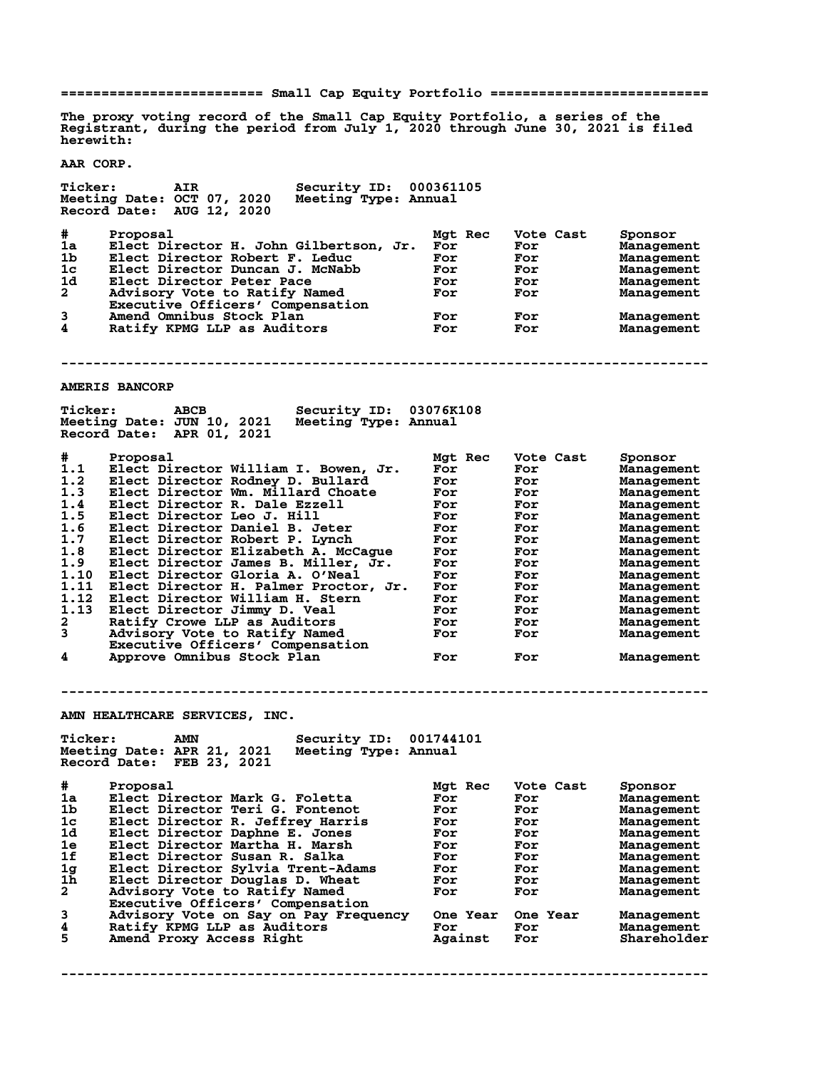**========================= Small Cap Equity Portfolio ===========================**

**The proxy voting record of the Small Cap Equity Portfolio, a series of the Registrant, during the period from July 1, 2020 through June 30, 2021 is filed herewith:**

**AAR CORP.**

**Ticker: AIR Security ID: 000361105 Meeting Date: OCT 07, 2020 Meeting Type: Annual Record Date: AUG 12, 2020 # Proposal Mgt Rec Vote Cast Sponsor 1a Elect Director H. John Gilbertson, Jr. For For Management 1b Elect Director Robert F. Leduc For For Management 1c Elect Director Duncan J. McNabb For For Management 1d Elect Director Peter Pace For For Management 2 Advisory Vote to Ratify Named For For Management Executive Officers' Compensation 3 Amend Omnibus Stock Plan For For Management 4 Amend Omnibus Stock Plan Construction Construction For For Management**<br>4 Ratify KPMG LLP as Auditors For For For Management **-------------------------------------------------------------------------------- AMERIS BANCORP Ticker: ABCB Security ID: 03076K108 Meeting Date: JUN 10, 2021 Meeting Type: Annual Record Date: APR 01, 2021 # Proposal Mgt Rec Vote Cast Sponsor 1.1 Elect Director William I. Bowen, Jr. For For Management 1.2 Elect Director Rodney D. Bullard For For Management 1.3 Elect Director Wm. Millard Choate For For Management 1.4 Elect Director R. Dale Ezzell For For Management 1.5 Elect Director Leo J. Hill For For Management 1.6 Elect Director Daniel B. Jeter For For Management 1.7 Elect Director Robert P. Lynch For For Management 1.8 Elect Director Elizabeth A. McCague For For Management 1.9 Elect Director James B. Miller, Jr. For For Management 1.10 Elect Director Gloria A. O'Neal For For Management 1.11 Elect Director H. Palmer Proctor, Jr. For For Management 1.12 Elect Director William H. Stern For For Management 1.13 Elect Director Jimmy D. Veal For For Management 2 Ratify Crowe LLP as Auditors For For Management 3 Advisory Vote to Ratify Named For For Management Executive Officers' Compensation 4 Approve Omnibus Stock Plan For For Management -------------------------------------------------------------------------------- AMN HEALTHCARE SERVICES, INC. Ticker: AMN Security ID: 001744101 Meeting Date: APR 21, 2021 Meeting Type: Annual Record Date: FEB 23, 2021 # Proposal Mgt Rec Vote Cast Sponsor 1a Elect Director Mark G. Foletta For For Management 1b Elect Director Teri G. Fontenot For For Management 1c Elect Director R. Jeffrey Harris For For Management 1d Elect Director Daphne E. Jones For For Management 1e Elect Director Martha H. Marsh For For Management 1f Elect Director Susan R. Salka For For Management 1g Elect Director Sylvia Trent-Adams For For Management 1h Elect Director Douglas D. Wheat For For Management 2 Advisory Vote to Ratify Named For For Management Executive Officers' Compensation 3 Advisory Vote on Say on Pay Frequency One Year One Year Management 4 Ratify KPMG LLP as Auditors For For Management 5 Amend Proxy Access Right Against For Shareholder**

**--------------------------------------------------------------------------------**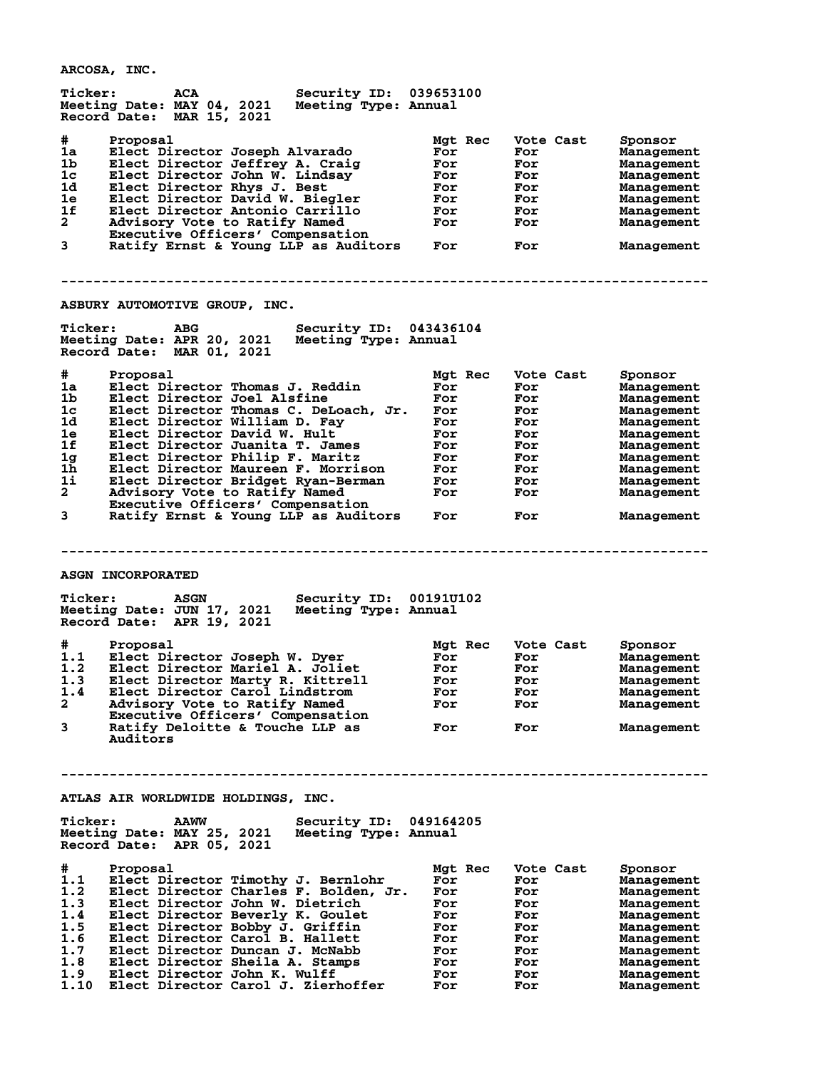**ARCOSA, INC.**

**Ticker: ACA Security ID: 039653100 Meeting Date: MAY 04, 2021 Meeting Type: Annual Record Date: MAR 15, 2021 # Proposal Mgt Rec Vote Cast Sponsor 1a Elect Director Joseph Alvarado For For Management 1b Elect Director Jeffrey A. Craig For For Management 1c Elect Director John W. Lindsay For For Management 1d Elect Director Rhys J. Best For For Management 1e Elect Director David W. Biegler For For Management 1f Elect Director Antonio Carrillo For For Management 2 Advisory Vote to Ratify Named For For Management Executive Officers' Compensation 3 Ratify Ernst & Young LLP as Auditors For For Management -------------------------------------------------------------------------------- ASBURY AUTOMOTIVE GROUP, INC. Ticker: ABG Security ID: 043436104 Meeting Date: APR 20, 2021 Meeting Type: Annual Record Date: MAR 01, 2021 # Proposal Mgt Rec Vote Cast Sponsor 1a Elect Director Thomas J. Reddin For For Management 1b Elect Director Joel Alsfine For For Management 1c Elect Director Thomas C. DeLoach, Jr. For For Management 1d Elect Director William D. Fay For For Management 1e Elect Director David W. Hult For For Management 1f Elect Director Juanita T. James For For Management 1g Elect Director Philip F. Maritz For For Management 1h Elect Director Maureen F. Morrison For For Management 1i Elect Director Bridget Ryan-Berman For For Management 2 Advisory Vote to Ratify Named For For Management Executive Officers' Compensation 3 Ratify Ernst & Young LLP as Auditors For For Management -------------------------------------------------------------------------------- ASGN INCORPORATED Ticker: ASGN Security ID: 00191U102 Meeting Date: JUN 17, 2021 Meeting Type: Annual Record Date: APR 19, 2021 # Proposal Mgt Rec Vote Cast Sponsor 1.1 Elect Director Joseph W. Dyer For For Management 1.2 Elect Director Mariel A. Joliet For For Management 1.3 Elect Director Marty R. Kittrell For For Management 1.4 Elect Director Carol Lindstrom For For Management 2 Advisory Vote to Ratify Named For For Management Executive Officers' Compensation 3 Ratify Deloitte & Touche LLP as For For Management Auditors -------------------------------------------------------------------------------- ATLAS AIR WORLDWIDE HOLDINGS, INC. Ticker: AAWW Security ID: 049164205 Meeting Date: MAY 25, 2021 Meeting Type: Annual Record Date: APR 05, 2021 # Proposal Mgt Rec Vote Cast Sponsor 1.1 Elect Director Timothy J. Bernlohr For For Management 1.2 Elect Director Charles F. Bolden, Jr. For For Management 1.3 Elect Director John W. Dietrich For For Management 1.4 Elect Director Beverly K. Goulet For For Management 1.5 Elect Director Bobby J. Griffin For For Management 1.6 Elect Director Carol B. Hallett For For Management 1.7 Elect Director Duncan J. McNabb For For Management 1.8 Elect Director Sheila A. Stamps For For Management 1.9 Elect Director John K. Wulff For For Management 1.10 Elect Director Carol J. Zierhoffer For For Management**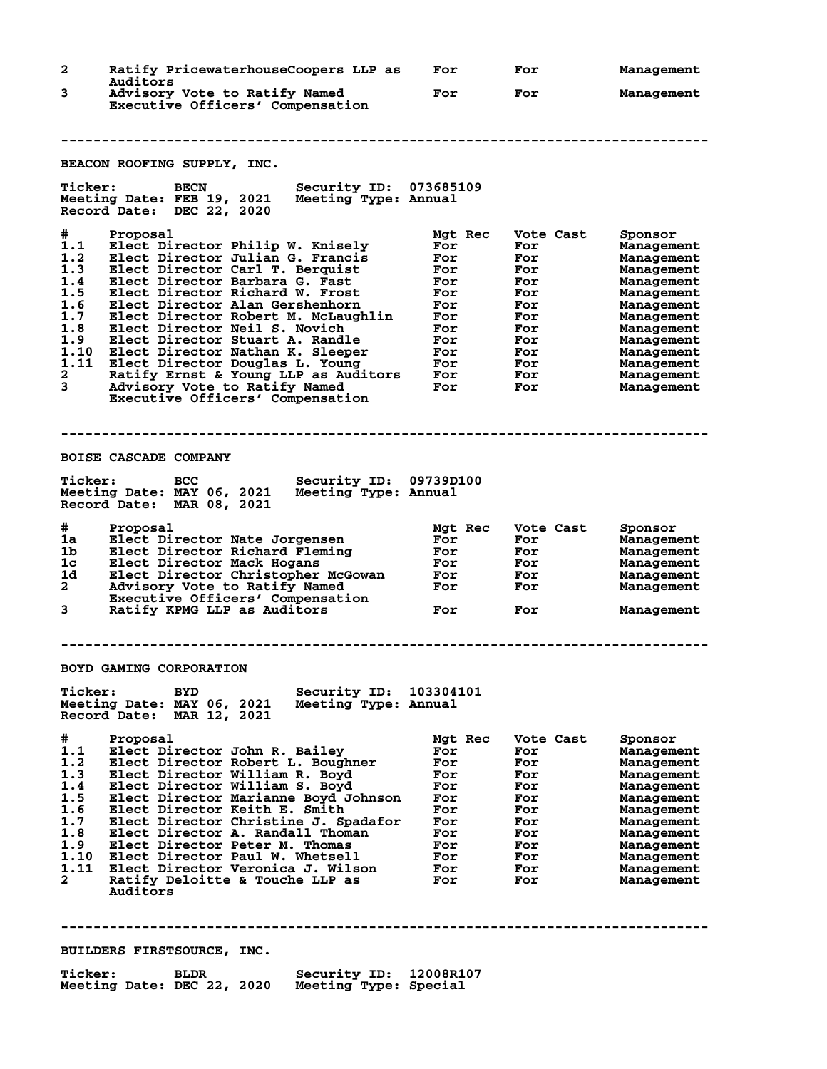| $\mathbf{2}$                                                                                | Ratify PricewaterhouseCoopers LLP as                                                                                                                                                                                                                                                                                                                                                                                                                                                                                       | For                                                                                                | For                                                                                                  | Management                                                                                                                                                                                                                |  |
|---------------------------------------------------------------------------------------------|----------------------------------------------------------------------------------------------------------------------------------------------------------------------------------------------------------------------------------------------------------------------------------------------------------------------------------------------------------------------------------------------------------------------------------------------------------------------------------------------------------------------------|----------------------------------------------------------------------------------------------------|------------------------------------------------------------------------------------------------------|---------------------------------------------------------------------------------------------------------------------------------------------------------------------------------------------------------------------------|--|
| 3                                                                                           | Auditors<br>Advisory Vote to Ratify Named<br>Executive Officers' Compensation                                                                                                                                                                                                                                                                                                                                                                                                                                              | For                                                                                                | For                                                                                                  | Management                                                                                                                                                                                                                |  |
|                                                                                             |                                                                                                                                                                                                                                                                                                                                                                                                                                                                                                                            |                                                                                                    |                                                                                                      |                                                                                                                                                                                                                           |  |
|                                                                                             | BEACON ROOFING SUPPLY, INC.                                                                                                                                                                                                                                                                                                                                                                                                                                                                                                |                                                                                                    |                                                                                                      |                                                                                                                                                                                                                           |  |
| <b>Ticker:</b>                                                                              | Security ID: 073685109<br><b>BECN</b><br>Meeting Date: FEB 19, 2021<br>Meeting Type: Annual<br>Record Date: DEC 22, 2020                                                                                                                                                                                                                                                                                                                                                                                                   |                                                                                                    |                                                                                                      |                                                                                                                                                                                                                           |  |
| #.<br>1.1<br>1.2<br>1.3<br>1.4<br>1.5<br>1.6<br>1.7<br>1.8<br>1.9<br>1.10<br>1.11<br>2<br>3 | Proposal<br>Elect Director Philip W. Knisely<br>Elect Director Julian G. Francis<br>Elect Director Carl T. Berquist<br>Elect Director Barbara G. Fast<br>Elect Director Richard W. Frost<br>Elect Director Alan Gershenhorn<br>Elect Director Robert M. McLaughlin<br>Elect Director Neil S. Novich<br>Elect Director Stuart A. Randle<br>Elect Director Nathan K. Sleeper<br>Elect Director Douglas L. Young<br>Ratify Ernst & Young LLP as Auditors<br>Advisory Vote to Ratify Named<br>Executive Officers' Compensation | Mat Rec<br>For<br>For<br>For<br>For<br>For<br>For<br>For<br>For<br>For<br>For<br>For<br>For<br>For | Vote Cast<br>For<br>For<br>For<br>For<br>For<br>For<br>For<br>For<br>For<br>For<br>For<br>For<br>For | Sponsor<br>Management<br>Management<br>Management<br><b>Management</b><br>Management<br>Management<br>Management<br>Management<br>Management<br>Management<br>Management<br>Management<br>Management                      |  |
|                                                                                             |                                                                                                                                                                                                                                                                                                                                                                                                                                                                                                                            |                                                                                                    |                                                                                                      |                                                                                                                                                                                                                           |  |
|                                                                                             | <b>BOISE CASCADE COMPANY</b>                                                                                                                                                                                                                                                                                                                                                                                                                                                                                               |                                                                                                    |                                                                                                      |                                                                                                                                                                                                                           |  |
| <b>Ticker:</b>                                                                              | Security ID: 09739D100<br>BCC<br>Meeting Date: MAY 06, 2021<br>Meeting Type: Annual<br>Record Date: MAR 08, 2021                                                                                                                                                                                                                                                                                                                                                                                                           |                                                                                                    |                                                                                                      |                                                                                                                                                                                                                           |  |
| #<br>1a<br>1b.<br>1c<br>1d<br>$\mathbf{2}$<br>3                                             | Proposal<br>Elect Director Nate Jorgensen<br>Elect Director Richard Fleming<br>Elect Director Mack Hogans<br>Elect Director Christopher McGowan<br>Advisory Vote to Ratify Named<br>Executive Officers' Compensation<br>Ratify KPMG LLP as Auditors                                                                                                                                                                                                                                                                        | Mgt Rec<br>For<br>For<br>For<br>For<br>For<br>For                                                  | Vote Cast<br>For<br>For<br>For<br>For<br>For<br>For                                                  | Sponsor<br>Management<br>Management<br>Management<br>Management<br>Management<br>Management                                                                                                                               |  |
|                                                                                             |                                                                                                                                                                                                                                                                                                                                                                                                                                                                                                                            |                                                                                                    |                                                                                                      |                                                                                                                                                                                                                           |  |
| <b>Ticker:</b>                                                                              | BOYD GAMING CORPORATION<br>Security ID:<br><b>BYD</b><br>Meeting Date: MAY 06, 2021<br>Meeting Type: Annual<br>Record Date:<br>MAR 12, 2021                                                                                                                                                                                                                                                                                                                                                                                | 103304101                                                                                          |                                                                                                      |                                                                                                                                                                                                                           |  |
| #<br>1.1<br>1.2<br>1.3<br>1.4<br>1.5<br>1.6<br>1.7<br>1.8<br>1.9<br>1.10<br>1.11<br>2       | Proposal<br>Elect Director John R. Bailey<br>Elect Director Robert L. Boughner<br>Elect Director William R. Boyd<br>Elect Director William S. Boyd<br>Elect Director Marianne Bovd Johnson<br>Elect Director Keith E. Smith<br>Elect Director Christine J. Spadafor<br>Elect Director A. Randall Thoman<br>Elect Director Peter M. Thomas<br>Elect Director Paul W. Whetsell<br>Elect Director Veronica J. Wilson<br>Ratify Deloitte & Touche LLP as<br>Auditors                                                           | Mgt Rec<br>For<br>For<br>For<br>For<br>For<br>For<br>For<br>For<br>For<br>For<br>For<br>For        | Vote Cast<br>For<br>For<br>For<br>For<br>For<br>For<br>For<br>For<br>For<br>For<br>For<br>For        | Sponsor<br>Management<br>Management<br>Management<br>Management<br><b>Management</b><br><b>Management</b><br>Management<br><b>Management</b><br><b>Management</b><br><b>Management</b><br><b>Management</b><br>Management |  |
|                                                                                             |                                                                                                                                                                                                                                                                                                                                                                                                                                                                                                                            |                                                                                                    |                                                                                                      |                                                                                                                                                                                                                           |  |

**BUILDERS FIRSTSOURCE, INC.**

| <b>Ticker:</b>             | <b>BLDR</b> | Security ID: 12008R107 |  |
|----------------------------|-------------|------------------------|--|
| Meeting Date: DEC 22, 2020 |             | Meeting Type: Special  |  |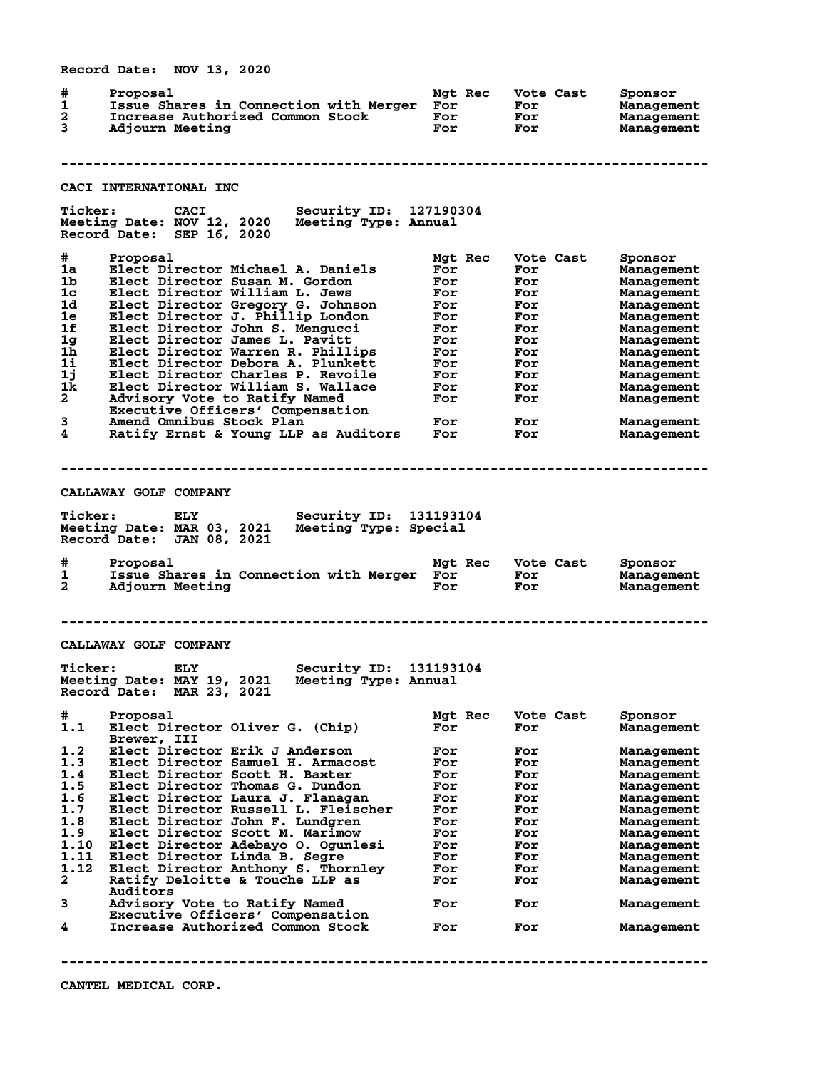**Record Date: NOV 13, 2020 # Proposal Mgt Rec Vote Cast Sponsor 1 Issue Shares in Connection with Merger For For Management 2 Increase Authorized Common Stock For For Management 3 Adjourn Meeting For For Management -------------------------------------------------------------------------------- CACI INTERNATIONAL INC Ticker: CACI Security ID: 127190304 Meeting Date: NOV 12, 2020 Meeting Type: Annual Record Date: SEP 16, 2020 # Proposal Mgt Rec Vote Cast Sponsor 1a Elect Director Michael A. Daniels For For Management 1b Elect Director Susan M. Gordon For For Management 1c Elect Director William L. Jews For For Management 1d Elect Director Gregory G. Johnson For For Management 1e Elect Director J. Phillip London For For Management 1f Elect Director John S. Mengucci For For Management 1g Elect Director James L. Pavitt For For Management 1h Elect Director Warren R. Phillips For For Management 1i Elect Director Debora A. Plunkett For For Management 1j Elect Director Charles P. Revoile For For Management 1k Elect Director William S. Wallace For For Management 2 Advisory Vote to Ratify Named For For Management Executive Officers' Compensation 3 Amend Omnibus Stock Plan For For Management 4 Ratify Ernst & Young LLP as Auditors For For Management -------------------------------------------------------------------------------- CALLAWAY GOLF COMPANY Ticker: ELY Security ID: 131193104 Meeting Date: MAR 03, 2021 Meeting Type: Special Record Date: JAN 08, 2021 # Proposal Mgt Rec Vote Cast Sponsor 1 Issue Shares in Connection with Merger For For Management 2 Adjourn Meeting For For Management -------------------------------------------------------------------------------- CALLAWAY GOLF COMPANY Ticker: ELY Security ID: 131193104 Meeting Date: MAY 19, 2021 Meeting Type: Annual Record Date: MAR 23, 2021 # Proposal Mgt Rec Vote Cast Sponsor 1.1 Elect Director Oliver G. (Chip)** Brewer, III  **Brewer, III 1.2 Elect Director Erik J Anderson For For Management 1.3 Elect Director Samuel H. Armacost For For Management 1.4 Elect Director Scott H. Baxter For For Management 1.5 Elect Director Thomas G. Dundon For For Management 1.6 Elect Director Laura J. Flanagan For For Management 1.7 Elect Director Russell L. Fleischer For For Management 1.8 Elect Director John F. Lundgren For For Management 1.9 Elect Director Scott M. Marimow For For Management 1.10 Elect Director Adebayo O. Ogunlesi For For Management 1.11 Elect Director Linda B. Segre For For Management 1.12 Elect Director Anthony S. Thornley For For Management 2 Ratify Deloitte & Touche LLP as For For Management Auditors 3 Advisory Vote to Ratify Named For For Management Executive Officers' Compensation 4 Increase Authorized Common Stock For For Management --------------------------------------------------------------------------------**

**CANTEL MEDICAL CORP.**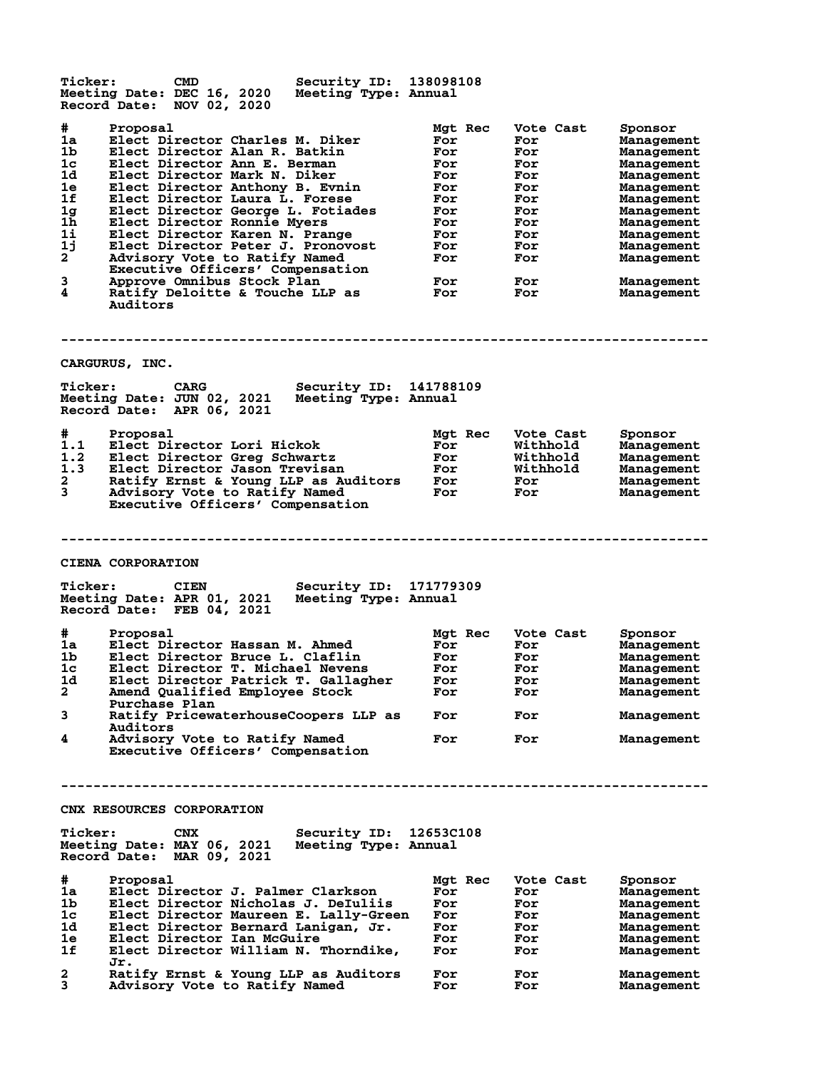**Ticker: CMD Security ID: 138098108 Meeting Date: DEC 16, 2020 Meeting Type: Annual Record Date: NOV 02, 2020 # Proposal Mgt Rec Vote Cast Sponsor 1a Elect Director Charles M. Diker For For Management 1b Elect Director Alan R. Batkin For For Management 1c Elect Director Ann E. Berman For For Management 1d Elect Director Mark N. Diker For For Management 1e Elect Director Anthony B. Evnin For For Management 1f Elect Director Laura L. Forese For For Management 1g Elect Director George L. Fotiades For For Management 1h Elect Director Ronnie Myers For For Management 1i Elect Director Karen N. Prange For For Management 1j Elect Director Peter J. Pronovost For For Management 2 Advisory Vote to Ratify Named For For Management Executive Officers' Compensation 3 Approve Omnibus Stock Plan For For Management 4 Ratify Deloitte & Touche LLP as For For Management Auditors -------------------------------------------------------------------------------- CARGURUS, INC. Ticker: CARG Security ID: 141788109 Meeting Date: JUN 02, 2021 Meeting Type: Annual Record Date: APR 06, 2021 # Proposal Mgt Rec Vote Cast Sponsor 1.1 Elect Director Lori Hickok For Withhold Management 1.2 Elect Director Greg Schwartz For Withhold Management 1.3 Elect Director Jason Trevisan For Withhold Management 2 Ratify Ernst & Young LLP as Auditors For For Management 3 Advisory Vote to Ratify Named For For Management Executive Officers' Compensation -------------------------------------------------------------------------------- CIENA CORPORATION Ticker: CIEN Security ID: 171779309 Meeting Date: APR 01, 2021 Meeting Type: Annual Record Date: FEB 04, 2021 # Proposal Mgt Rec Vote Cast Sponsor 1a Elect Director Hassan M. Ahmed For For Management 1b Elect Director Bruce L. Claflin For For Management 1c Elect Director T. Michael Nevens For For Management 1d Elect Director Patrick T. Gallagher For For Management 2 Amend Qualified Employee Stock For For Management Purchase Plan 3 Ratify PricewaterhouseCoopers LLP as For For Management Auditors 4 Advisory Vote to Ratify Named For For Management Executive Officers' Compensation -------------------------------------------------------------------------------- CNX RESOURCES CORPORATION Ticker: CNX Security ID: 12653C108 Meeting Date: MAY 06, 2021 Meeting Type: Annual Record Date: MAR 09, 2021 #** Proposal Proposal Proposal Proposal Proposal Mgt Rec Vote Cast Sponsor<br>
1a Elect Director Nicholas J. DeIuliis For For Management<br>
1c Elect Director Maureen E. Lally-Green For For Management **1a Elect Director J. Palmer Clarkson For For Management 1b Elect Director Nicholas J. DeIuliis For For Management 1c Elect Director Maureen E. Lally-Green For For Management 1d Elect Director Bernard Lanigan, Jr. For For Management 1e Elect Director Ian McGuire For For Management 1f Elect Director William N. Thorndike, For For Management Jr. 2 Ratify Ernst & Young LLP as Auditors For For Management 3 Advisory Vote to Ratify Named For For Management**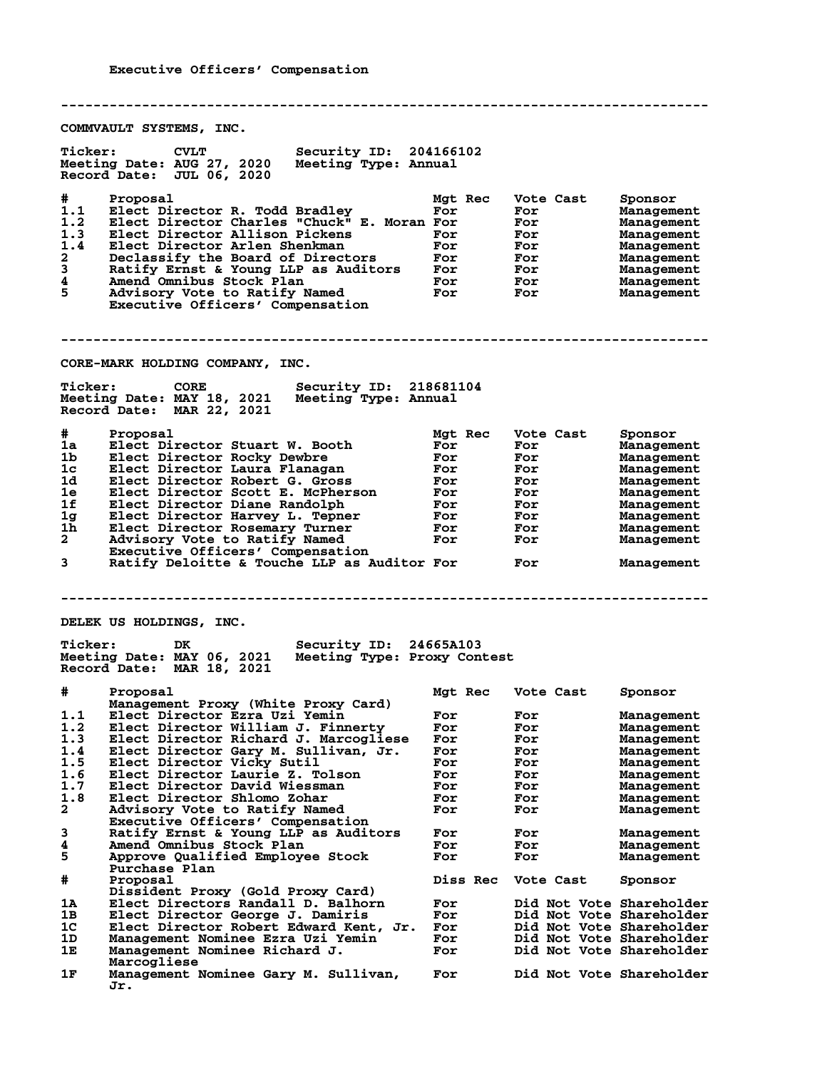**-------------------------------------------------------------------------------- COMMVAULT SYSTEMS, INC. Ticker: CVLT Security ID: 204166102 Meeting Date: AUG 27, 2020 Meeting Type: Annual Record Date: JUL 06, 2020 # Proposal Mgt Rec Vote Cast Sponsor 1.1 Elect Director R. Todd Bradley For For Management 1.2 Elect Director Charles "Chuck" E. Moran For For Management 1.3 Elect Director Allison Pickens For For Management 1.4 Elect Director Arlen Shenkman For For Management 2 Declassify the Board of Directors For For Management 3 Ratify Ernst & Young LLP as Auditors For For Management 4 Amend Omnibus Stock Plan For For Management 5 Advisory Vote to Ratify Named For For Management Executive Officers' Compensation -------------------------------------------------------------------------------- CORE-MARK HOLDING COMPANY, INC. Ticker: CORE Security ID: 218681104 Meeting Date: MAY 18, 2021 Meeting Type: Annual Record Date: MAR 22, 2021 # Proposal Mgt Rec Vote Cast Sponsor 1a Elect Director Stuart W. Booth For For Management 1b Elect Director Rocky Dewbre For For Management 1c Elect Director Laura Flanagan For For Management 1d Elect Director Robert G. Gross For For Management 1e Elect Director Scott E. McPherson For For Management 1f Elect Director Diane Randolph For For Management 1g Elect Director Harvey L. Tepner For For Management 1h Elect Director Rosemary Turner For For Management 2 Advisory Vote to Ratify Named For For Management** 2 Advisory Vote to Ratify Named<br>Executive Officers' Compensation<br>3 Ratify Deloitte & Touche LLP as Au **3 Ratify Deloitte & Touche LLP as Auditor For For Management -------------------------------------------------------------------------------- DELEK US HOLDINGS, INC. Ticker: DK Security ID: 24665A103 Meeting Date: MAY 06, 2021 Meeting Type: Proxy Contest Record Date: MAR 18, 2021 # Proposal Mgt Rec Vote Cast Sponsor Management Proxy (White Proxy Card) 1.1 Elect Director Ezra Uzi Yemin For For Management 1.2 Elect Director William J. Finnerty For For Management 1.3 Elect Director Richard J. Marcogliese For For Management 1.4 Elect Director Gary M. Sullivan, Jr. For For Management 1.5 Elect Director Vicky Sutil For For Management 1.6 Elect Director Laurie Z. Tolson For For Management 1.7 Elect Director David Wiessman For For Management 1.8 Elect Director Shlomo Zohar For For Management 2 Advisory Vote to Ratify Named For For Management Executive Officers' Compensation 3 Ratify Ernst & Young LLP as Auditors For For Management 4 Amend Omnibus Stock Plan For For Management 5 Approve Qualified Employee Stock For For Management** 5 Approve Qualified Employee Stock<br>Purchase Plan<br># Proposal **# Proposal Diss Rec Vote Cast Sponsor Dissident Proxy (Gold Proxy Card) 1A Elect Directors Randall D. Balhorn For Did Not Vote Shareholder 1B Elect Director George J. Damiris For Did Not Vote Shareholder 1C Elect Director Robert Edward Kent, Jr. For Did Not Vote Shareholder 1D Management Nominee Ezra Uzi Yemin For Did Not Vote Shareholder 1E Management Nominee Richard J. For Did Not Vote Shareholder Marcogliese 1F Management Nominee Gary M. Sullivan, For Did Not Vote Shareholder** Management Nominee Gary M. Sullivan, For Did Not Vote Shareholder<br>Jr.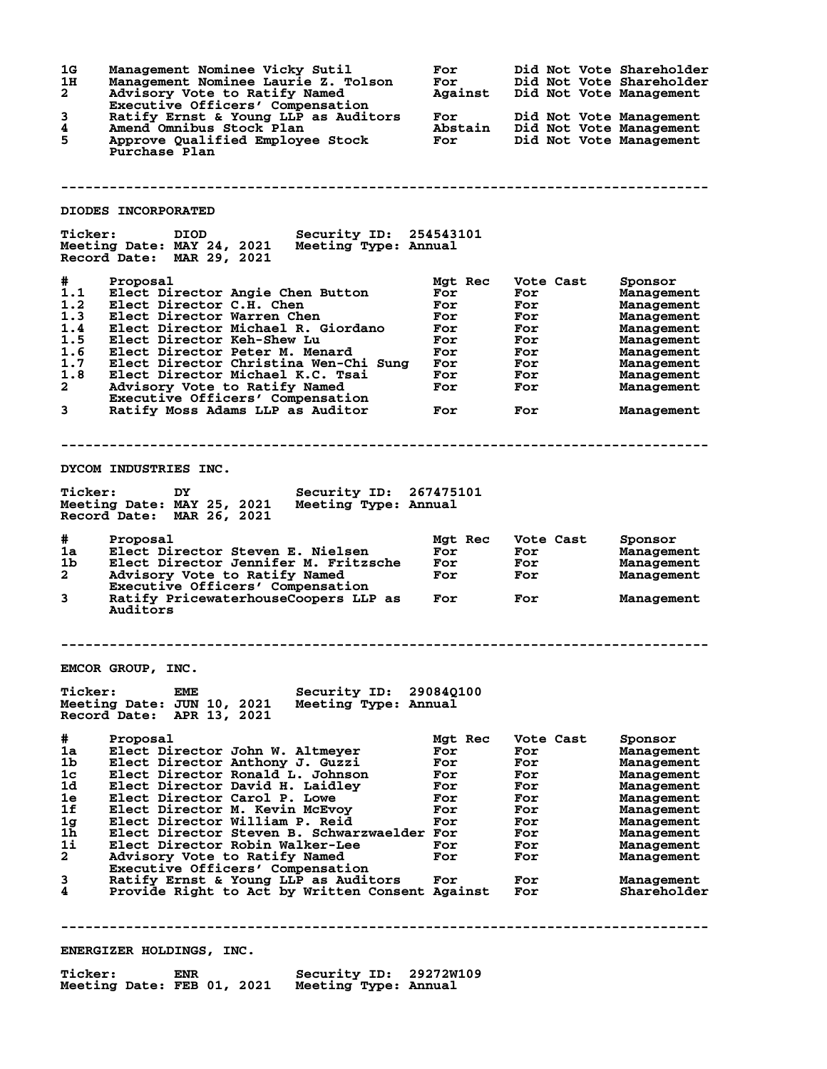| 1G<br>1H<br>$\mathbf{2}$<br>3<br>4<br>5                                                                                                                 | Management Nominee Vicky Sutil<br>Management Nominee Laurie Z. Tolson<br>Advisory Vote to Ratify Named<br>Executive Officers' Compensation<br>Ratify Ernst & Young LLP as Auditors<br>Amend Omnibus Stock Plan<br>Approve Qualified Employee Stock<br>Purchase Plan                                                                                                                                                                                                                                         | For<br>For<br>Against<br>For<br>Abstain<br>For                                | Did Not Vote Shareholder<br>Did Not Vote Shareholder<br>Did Not Vote Management<br>Did Not Vote Management<br>Did Not Vote Management<br>Did Not Vote Management |                                                                                                                                                                                                                                   |  |
|---------------------------------------------------------------------------------------------------------------------------------------------------------|-------------------------------------------------------------------------------------------------------------------------------------------------------------------------------------------------------------------------------------------------------------------------------------------------------------------------------------------------------------------------------------------------------------------------------------------------------------------------------------------------------------|-------------------------------------------------------------------------------|------------------------------------------------------------------------------------------------------------------------------------------------------------------|-----------------------------------------------------------------------------------------------------------------------------------------------------------------------------------------------------------------------------------|--|
|                                                                                                                                                         |                                                                                                                                                                                                                                                                                                                                                                                                                                                                                                             |                                                                               |                                                                                                                                                                  |                                                                                                                                                                                                                                   |  |
|                                                                                                                                                         | DIODES INCORPORATED                                                                                                                                                                                                                                                                                                                                                                                                                                                                                         |                                                                               |                                                                                                                                                                  |                                                                                                                                                                                                                                   |  |
| <b>Ticker:</b>                                                                                                                                          | Security ID: 254543101<br>DIOD<br>Meeting Date: MAY 24, 2021<br>Meeting Type: Annual<br>Record Date: MAR 29, 2021                                                                                                                                                                                                                                                                                                                                                                                           |                                                                               |                                                                                                                                                                  |                                                                                                                                                                                                                                   |  |
| #<br>1.1<br>1.2<br>1.3<br>1.4<br>1.5<br>1.6<br>1.7<br>1.8<br>$\mathbf{2}$<br>3                                                                          | Proposal<br>Elect Director Angie Chen Button<br>Elect Director C.H. Chen<br>Elect Director Warren Chen<br>Elect Director Michael R. Giordano<br>Elect Director Keh-Shew Lu<br>Elect Director Peter M. Menard<br>Elect Director Christina Wen-Chi Sung<br>Elect Director Michael K.C. Tsai<br>Advisory Vote to Ratify Named<br>Executive Officers' Compensation<br>Ratify Moss Adams LLP as Auditor                                                                                                          | Mgt Rec<br>For<br>For<br>For<br>For<br>For<br>For<br>For<br>For<br>For<br>For | Vote Cast<br>For<br>For<br>For<br>For<br>For<br>For<br>For<br>For<br>For<br>For                                                                                  | Sponsor<br>Management<br>Management<br>Management<br>Management<br>Management<br>Management<br>Management<br>Management<br>Management<br>Management                                                                               |  |
|                                                                                                                                                         |                                                                                                                                                                                                                                                                                                                                                                                                                                                                                                             |                                                                               |                                                                                                                                                                  |                                                                                                                                                                                                                                   |  |
|                                                                                                                                                         | DYCOM INDUSTRIES INC.                                                                                                                                                                                                                                                                                                                                                                                                                                                                                       |                                                                               |                                                                                                                                                                  |                                                                                                                                                                                                                                   |  |
| <b>Ticker:</b>                                                                                                                                          | Security ID: 267475101<br>DY<br>Meeting Date: MAY 25, 2021<br>Meeting Type: Annual<br>Record Date: MAR 26, 2021                                                                                                                                                                                                                                                                                                                                                                                             |                                                                               |                                                                                                                                                                  |                                                                                                                                                                                                                                   |  |
| #.<br>1a<br>1b.<br>$\mathbf{2}^-$<br>3                                                                                                                  | Proposal<br>Elect Director Steven E. Nielsen<br>Elect Director Jennifer M. Fritzsche<br>Advisory Vote to Ratify Named<br>Executive Officers' Compensation<br>Ratify PricewaterhouseCoopers LLP as<br>Auditors                                                                                                                                                                                                                                                                                               | Mgt Rec<br>For<br>For<br>For<br>For                                           | Vote Cast<br>For<br>For<br>For<br>For                                                                                                                            | Sponsor<br>Management<br>Management<br>Management<br>Management                                                                                                                                                                   |  |
|                                                                                                                                                         |                                                                                                                                                                                                                                                                                                                                                                                                                                                                                                             |                                                                               |                                                                                                                                                                  |                                                                                                                                                                                                                                   |  |
| EMCOR GROUP, INC.<br><b>Ticker:</b><br>Security ID: 290840100<br>EME<br>Meeting Type: Annual<br>Meeting Date: JUN 10, 2021<br>Record Date: APR 13, 2021 |                                                                                                                                                                                                                                                                                                                                                                                                                                                                                                             |                                                                               |                                                                                                                                                                  |                                                                                                                                                                                                                                   |  |
| #<br>1a<br>1b<br>1c<br>1d<br>1e<br>1f<br>1 <sub>g</sub><br>1h<br>1i<br>$\mathbf{2}$<br>3<br>4                                                           | Proposal<br>Elect Director John W. Altmeyer<br>Elect Director Anthony J. Guzzi<br>Elect Director Ronald L. Johnson<br>Elect Director David H. Laidley<br>Elect Director Carol P. Lowe<br>Elect Director M. Kevin McEvoy<br>Elect Director William P. Reid<br>Elect Director Steven B. Schwarzwaelder For<br>Elect Director Robin Walker-Lee<br>Advisory Vote to Ratify Named<br>Executive Officers' Compensation<br>Ratify Ernst & Young LLP as Auditors<br>Provide Right to Act by Written Consent Against | Mgt Rec<br>For<br>For<br>For<br>For<br>For<br>For<br>For<br>For<br>For<br>For | Vote Cast<br>For<br>For<br>For<br>For<br>For<br>For<br>For<br>For<br>For<br>For<br>For<br>For                                                                    | Sponsor<br><b>Management</b><br>Management<br><b>Management</b><br>Management<br><b>Management</b><br>Management<br><b>Management</b><br><b>Management</b><br><b>Management</b><br><b>Management</b><br>Management<br>Shareholder |  |
|                                                                                                                                                         |                                                                                                                                                                                                                                                                                                                                                                                                                                                                                                             |                                                                               |                                                                                                                                                                  |                                                                                                                                                                                                                                   |  |

**ENERGIZER HOLDINGS, INC.**

| <b>Ticker:</b>             | ENR | Security ID: 29272W109 |  |
|----------------------------|-----|------------------------|--|
| Meeting Date: FEB 01, 2021 |     | Meeting Type: Annual   |  |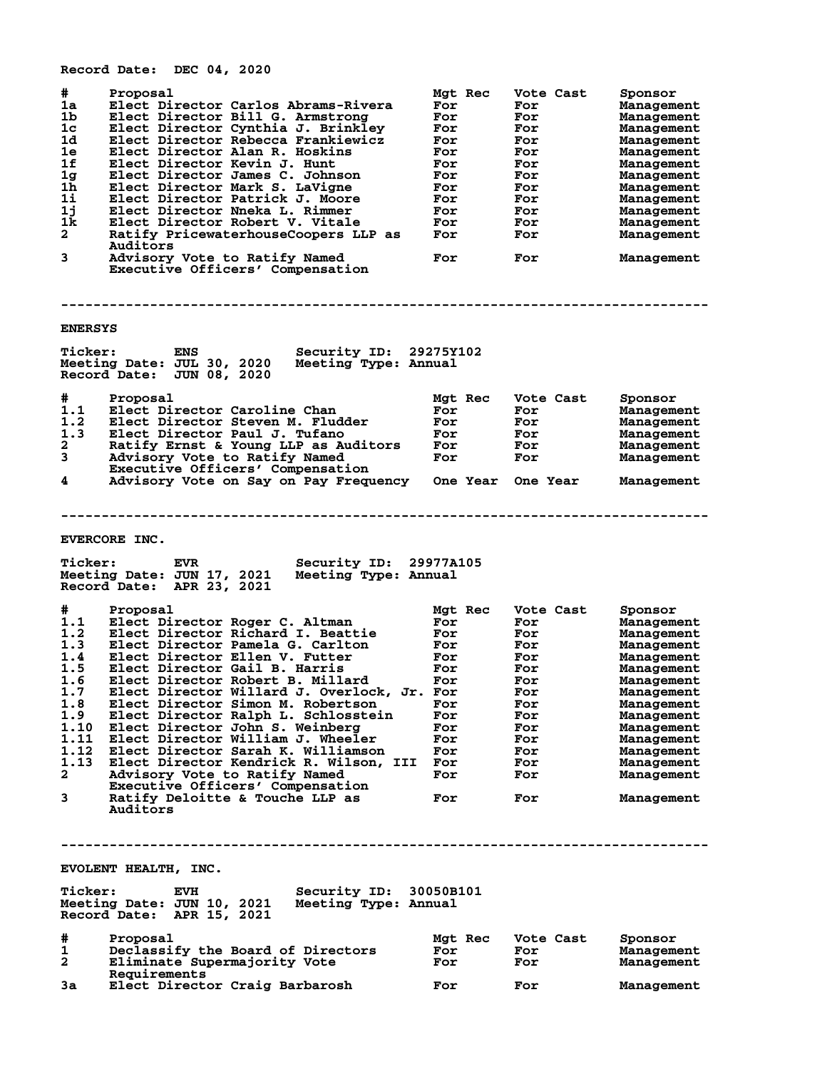**# Proposal Mgt Rec Vote Cast Sponsor 1a Elect Director Carlos Abrams-Rivera For For Management 1b Elect Director Bill G. Armstrong For For Management 1c Elect Director Cynthia J. Brinkley For For Management 1d Elect Director Rebecca Frankiewicz For For Management 1e Elect Director Alan R. Hoskins For For Management 1f Elect Director Kevin J. Hunt For For Management 1g Elect Director James C. Johnson For For Management 1h Elect Director Mark S. LaVigne For For Management 1i Elect Director Patrick J. Moore For For Management 1j Elect Director Nneka L. Rimmer For For Management 1k Elect Director Robert V. Vitale For For Management 2 Ratify PricewaterhouseCoopers LLP as For For Management Auditors 3 Advisory Vote to Ratify Named For For Management Executive Officers' Compensation -------------------------------------------------------------------------------- ENERSYS Ticker: ENS Security ID: 29275Y102 Meeting Date: JUL 30, 2020 Meeting Type: Annual Record Date: JUN 08, 2020 # Proposal Mgt Rec Vote Cast Sponsor 1.1 Elect Director Caroline Chan For For Management 1.2 Elect Director Steven M. Fludder For For Management 1.3 Elect Director Paul J. Tufano For For Management 2 Ratify Ernst & Young LLP as Auditors For For Management 3 Advisory Vote to Ratify Named For For Management Executive Officers' Compensation 4 Advisory Vote on Say on Pay Frequency One Year One Year Management -------------------------------------------------------------------------------- EVERCORE INC. Ticker: EVR Security ID: 29977A105** Meeting Date: JUN 17, 2021 **Record Date: APR 23, 2021 # Proposal Mgt Rec Vote Cast Sponsor 1.1 Elect Director Roger C. Altman For For Management 1.2 Elect Director Richard I. Beattie For For Management 1.3 Elect Director Pamela G. Carlton For For Management 1.4 Elect Director Ellen V. Futter For For Management 1.5 Elect Director Gail B. Harris For For Management 1.6 Elect Director Robert B. Millard For For Management 1.7 Elect Director Willard J. Overlock, Jr. For For Management 1.8 Elect Director Simon M. Robertson For For Management 1.9 Elect Director Ralph L. Schlosstein For For Management 1.10 Elect Director John S. Weinberg For For Management 1.11 Elect Director William J. Wheeler For For Management 1.12 Elect Director Sarah K. Williamson For For Management 1.13 Elect Director Kendrick R. Wilson, III For For Management 2 Advisory Vote to Ratify Named For For Management Executive Officers' Compensation 1 Article Concernsive Community Avanceus Community Avanceus Community Concernsive Communist Communist Communist Communist Communist Communist Communist Communist Communist Communist Communist Communist Communist Communist Auditors -------------------------------------------------------------------------------- EVOLENT HEALTH, INC. Ticker: EVH Security ID: 30050B101 Meeting Date: JUN 10, 2021 Meeting Type: Annual Record Date: APR 15, 2021 # Proposal Mgt Rec Vote Cast Sponsor 1 Declassify the Board of Directors For For Management 2 Eliminate Supermajority Vote For For Management Requirements 3a Elect Director Craig Barbarosh For For Management**

**Record Date: DEC 04, 2020**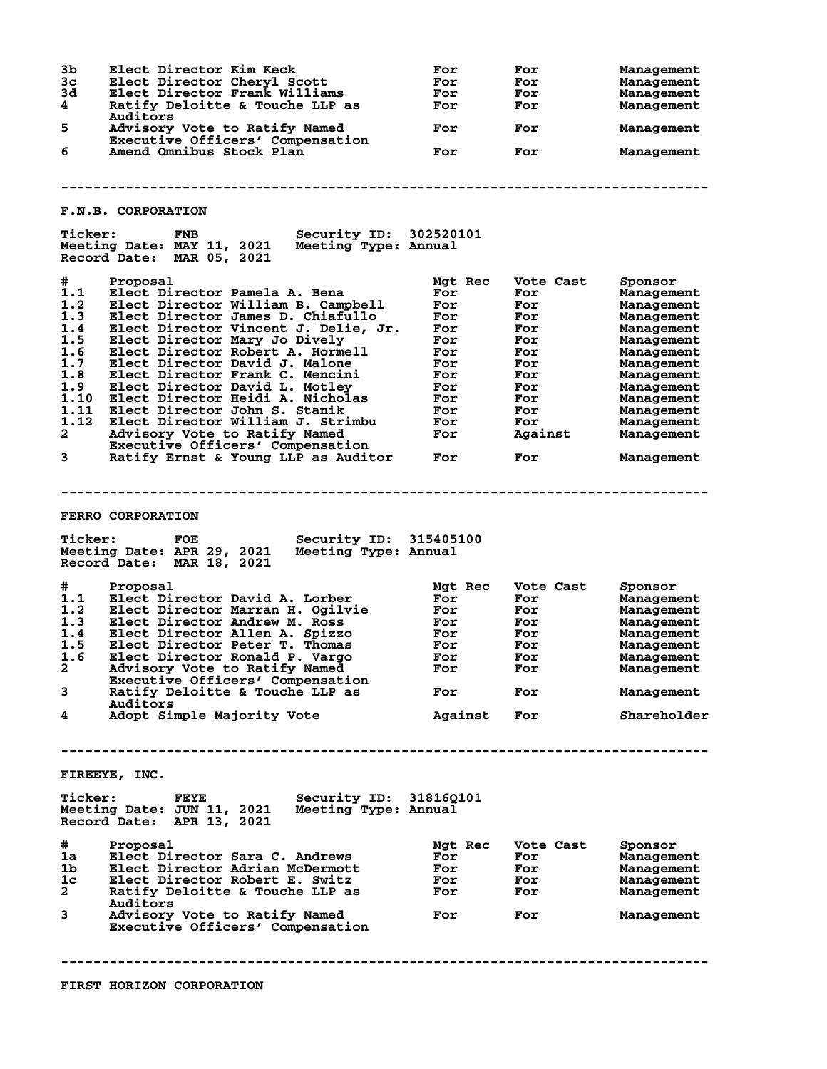| 3b<br>3 <sub>c</sub><br>3d<br>4<br>5<br>6                                                                | Elect Director Kim Keck<br>Elect Director Cheryl Scott<br>Elect Director Frank Williams<br>Ratify Deloitte & Touche LLP as<br>Auditors<br>Advisory Vote to Ratify Named<br>Executive Officers' Compensation                                                                                                                                                                                                                                                                                                          | For<br>For<br>For<br>For<br>For                                                                    | For<br>For<br>For<br>For<br>For                                                                          | Management<br>Management<br>Management<br>Management<br>Management                                                                                                                            |
|----------------------------------------------------------------------------------------------------------|----------------------------------------------------------------------------------------------------------------------------------------------------------------------------------------------------------------------------------------------------------------------------------------------------------------------------------------------------------------------------------------------------------------------------------------------------------------------------------------------------------------------|----------------------------------------------------------------------------------------------------|----------------------------------------------------------------------------------------------------------|-----------------------------------------------------------------------------------------------------------------------------------------------------------------------------------------------|
|                                                                                                          | Amend Omnibus Stock Plan                                                                                                                                                                                                                                                                                                                                                                                                                                                                                             | For                                                                                                | For                                                                                                      | Management                                                                                                                                                                                    |
|                                                                                                          |                                                                                                                                                                                                                                                                                                                                                                                                                                                                                                                      |                                                                                                    |                                                                                                          |                                                                                                                                                                                               |
|                                                                                                          | <b>F.N.B. CORPORATION</b>                                                                                                                                                                                                                                                                                                                                                                                                                                                                                            |                                                                                                    |                                                                                                          |                                                                                                                                                                                               |
| <b>Ticker:</b>                                                                                           | Security ID: 302520101<br><b>FNB</b><br>Meeting Date: MAY 11, 2021<br>Meeting Type: Annual<br>Record Date: MAR 05, 2021                                                                                                                                                                                                                                                                                                                                                                                              |                                                                                                    |                                                                                                          |                                                                                                                                                                                               |
| #<br>1.1<br>1.2<br>1.3<br>1.4<br>1.5<br>1.6<br>1.7<br>1.8<br>1.9<br>1.10<br>1.11<br>1.12<br>$\mathbf{2}$ | Proposal<br>Elect Director Pamela A. Bena<br>Elect Director William B. Campbell<br>Elect Director James D. Chiafullo<br>Elect Director Vincent J. Delie, Jr.<br>Elect Director Mary Jo Dively<br>Elect Director Robert A. Hormell<br>Elect Director David J. Malone<br>Elect Director Frank C. Mencini<br>Elect Director David L. Motley<br>Elect Director Heidi A. Nicholas<br>Elect Director John S. Stanik<br>Elect Director William J. Strimbu<br>Advisory Vote to Ratify Named                                  | Mgt Rec<br>For<br>For<br>For<br>For<br>For<br>For<br>For<br>For<br>For<br>For<br>For<br>For<br>For | Vote Cast<br>For<br>For<br>For<br>For<br>For<br>For<br>For<br>For<br>For<br>For<br>For<br>For<br>Against | Sponsor<br>Management<br>Management<br>Management<br>Management<br>Management<br>Management<br>Management<br>Management<br>Management<br>Management<br>Management<br>Management<br>Management |
| 3 <sup>1</sup>                                                                                           | Executive Officers' Compensation<br>Ratify Ernst & Young LLP as Auditor                                                                                                                                                                                                                                                                                                                                                                                                                                              | For                                                                                                | For                                                                                                      | Management                                                                                                                                                                                    |
| <b>Ticker:</b><br>#<br>1.1<br>1.2<br>1.3<br>1.4<br>1.5<br>1.6<br>2<br>3<br>4                             | <b>FERRO CORPORATION</b><br>Security ID: 315405100<br>FOE<br>Meeting Date: APR 29, 2021 Meeting Type: Annual<br>Record Date: MAR 18, 2021<br>Proposal<br>Elect Director David A. Lorber<br>Elect Director Marran H. Ogilvie<br>Elect Director Andrew M. Ross<br>Elect Director Allen A. Spizzo<br>Elect Director Peter T. Thomas<br>Elect Director Ronald P. Vargo<br>Advisory Vote to Ratify Named<br>Executive Officers' Compensation<br>Ratify Deloitte & Touche LLP as<br>Auditors<br>Adopt Simple Majority Vote | Mgt Rec<br>For<br>For<br>For<br>For<br>For<br>For<br>For<br>For<br>Against                         | Vote Cast<br>For<br><b>For</b><br>For<br>For<br>For<br>For<br>For<br>For<br>For                          | Sponsor<br>Management<br>Management<br>Management<br>Management<br>Management<br>Management<br>Management<br>Management<br>Shareholder                                                        |
|                                                                                                          | FIREEYE, INC.<br>Ticker: FEYE Security ID: 318160101<br>Meeting Date: JUN 11, 2021 Meeting Type: Annual<br>Record Date: APR 13, 2021                                                                                                                                                                                                                                                                                                                                                                                 |                                                                                                    |                                                                                                          |                                                                                                                                                                                               |
| #<br>1a<br>1 <sub>b</sub><br>1c<br>$\mathbf{2}^-$<br>3                                                   | Proposal<br>Elect Director Sara C. Andrews<br>Elect Director Adrian McDermott<br>Elect Director Robert E. Switz<br>Ratify Deloitte & Touche LLP as<br>Auditors<br>Advisory Vote to Ratify Named<br>Executive Officers' Compensation                                                                                                                                                                                                                                                                                  | Mgt Rec<br>For<br>For<br><b>For</b><br>For<br>For                                                  | Vote Cast<br>For<br><b>For</b><br><b>For</b><br>For<br>For                                               | Sponsor<br>Management<br>Management<br>Management<br>Management<br>Management                                                                                                                 |
|                                                                                                          | <b>FIRST HORIZON CORPORATION</b>                                                                                                                                                                                                                                                                                                                                                                                                                                                                                     |                                                                                                    |                                                                                                          |                                                                                                                                                                                               |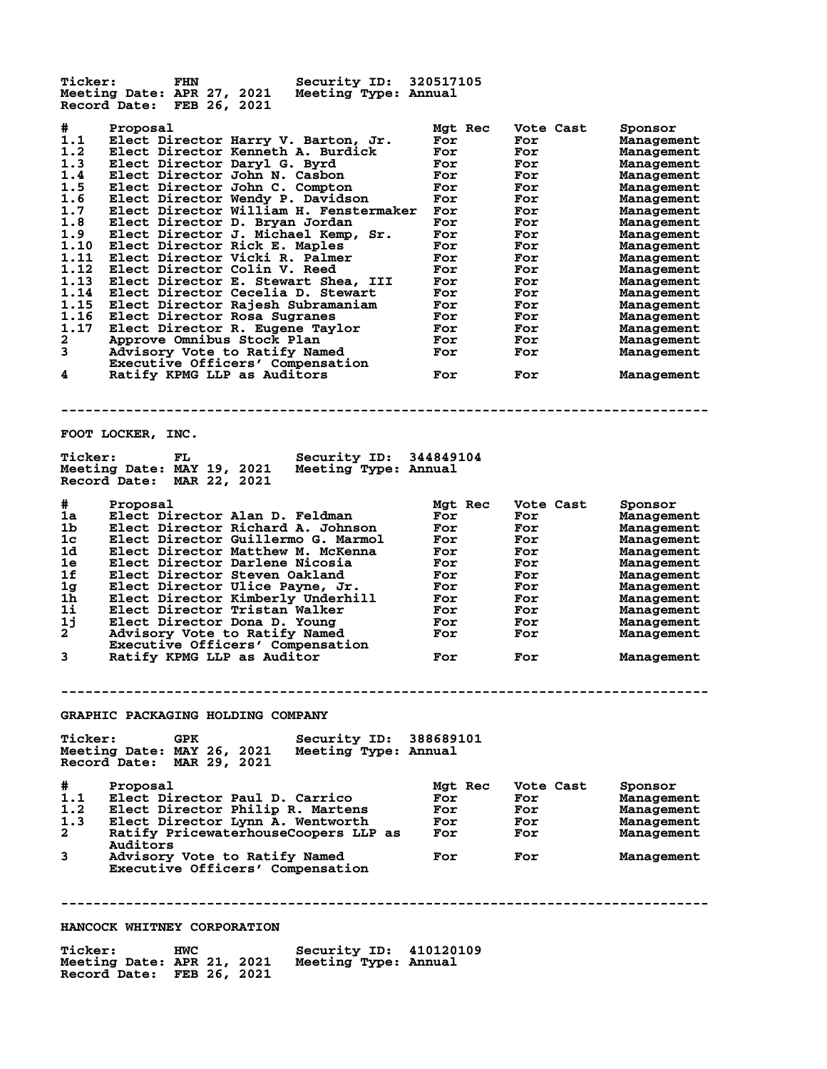**Ticker: FHN Security ID: 320517105 Meeting Date: APR 27, 2021 Meeting Type: Annual Record Date: FEB 26, 2021 # Proposal Mgt Rec Vote Cast Sponsor 1.1 Elect Director Harry V. Barton, Jr. For For Management 1.2 Elect Director Kenneth A. Burdick For For Management 1.3 Elect Director Daryl G. Byrd For For Management 1.4 Elect Director John N. Casbon For For Management 1.5 Elect Director John C. Compton For For Management 1.6 Elect Director Wendy P. Davidson For For Management 1.7 Elect Director William H. Fenstermaker For For Management 1.8 Elect Director D. Bryan Jordan For For Management 1.9 Elect Director J. Michael Kemp, Sr. For For Management 1.10 Elect Director Rick E. Maples For For Management 1.11 Elect Director Vicki R. Palmer For For Management 1.12 Elect Director Colin V. Reed For For Management 1.13 Elect Director E. Stewart Shea, III For For Management 1.14 Elect Director Cecelia D. Stewart For For Management 1.15 Elect Director Rajesh Subramaniam For For Management 1.16 Elect Director Rosa Sugranes For For Management 1.17 Elect Director R. Eugene Taylor For For Management 2 Approve Omnibus Stock Plan For For Management 3 Advisory Vote to Ratify Named For For Management Executive Officers' Compensation 4 Ratify KPMG LLP as Auditors For For Management -------------------------------------------------------------------------------- FOOT LOCKER, INC. Ticker: FL Security ID: 344849104 Meeting Date: MAY 19, 2021 Meeting Type: Annual Record Date: MAR 22, 2021 # Proposal Mgt Rec Vote Cast Sponsor 1a Elect Director Alan D. Feldman For For Management 1b Elect Director Richard A. Johnson For For Management 1c Elect Director Guillermo G. Marmol For For Management 1d Elect Director Matthew M. McKenna For For Management 1e Elect Director Darlene Nicosia For For Management 1f Elect Director Steven Oakland For For Management 1g Elect Director Ulice Payne, Jr. For For Management 1h Elect Director Kimberly Underhill For For Management 1i Elect Director Tristan Walker For For Management 1j Elect Director Dona D. Young For For Management 2 Advisory Vote to Ratify Named For For Management Executive Officers' Compensation 3 Ratify KPMG LLP as Auditor For For Management -------------------------------------------------------------------------------- GRAPHIC PACKAGING HOLDING COMPANY Ticker: GPK Security ID: 388689101 Meeting Date: MAY 26, 2021 Meeting Type: Annual Record Date: MAR 29, 2021 # Proposal Mgt Rec Vote Cast Sponsor 1.1 Elect Director Paul D. Carrico For For Management 1.2 Elect Director Philip R. Martens For For Management 1.3 Elect Director Lynn A. Wentworth For For Management 2 Ratify PricewaterhouseCoopers LLP as For For Management Auditors 3 Advisory Vote to Ratify Named For For Management Executive Officers' Compensation -------------------------------------------------------------------------------- HANCOCK WHITNEY CORPORATION Ticker: HWC Security ID: 410120109**

**Meeting Date: APR 21, 2021 Meeting Type: Annual**

**Record Date: FEB 26, 2021**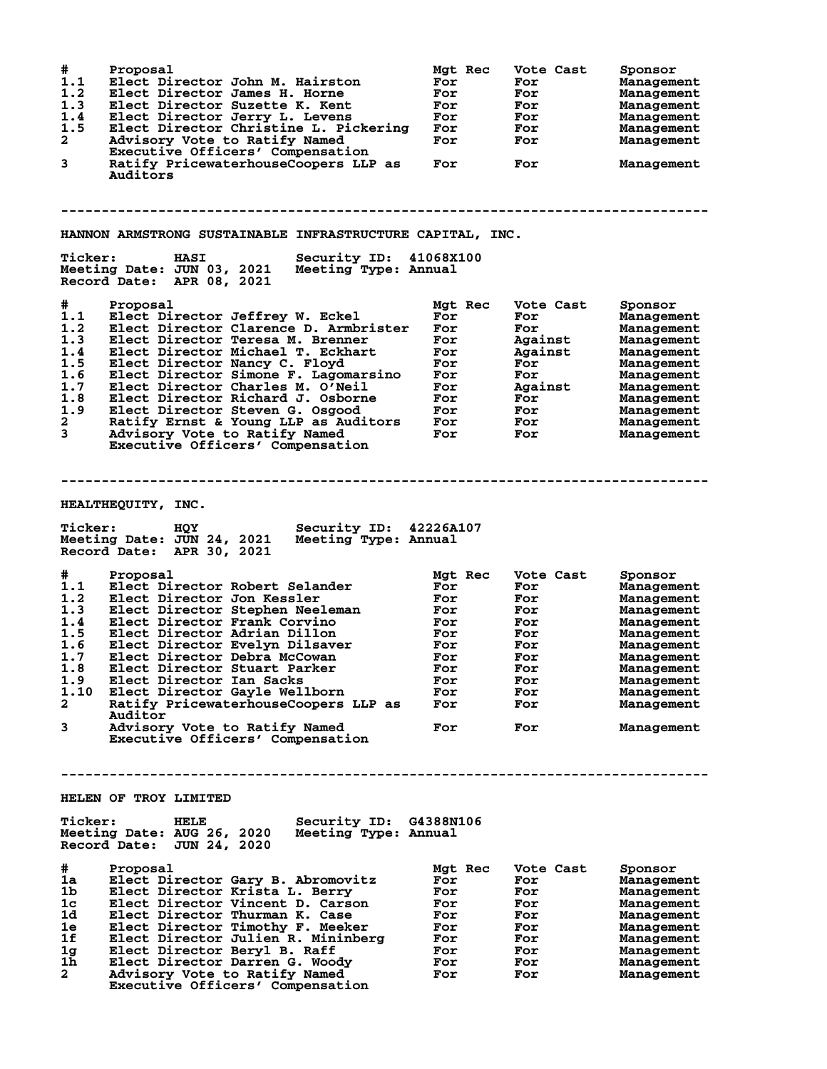| #<br>1.1<br>1.2<br>1.3<br>1.4<br>1.5<br>$\overline{\mathbf{2}}$<br>3                             | Proposal<br>Elect Director John M. Hairston<br>Elect Director James H. Horne<br>Elect Director Suzette K. Kent<br>Elect Director Jerry L. Levens<br>Elect Director Christine L. Pickering<br>Advisory Vote to Ratify Named<br>Executive Officers' Compensation<br>Ratify PricewaterhouseCoopers LLP as<br>Auditors                                                                                                                                              | Mgt Rec<br>For<br>For<br>For<br>For<br>For<br>For<br>For                             | Vote Cast<br>For<br>For<br>For<br>For<br>For<br>For<br>For                                         | Sponsor<br>Management<br>Management<br>Management<br>Management<br>Management<br>Management<br>Management                                                            |
|--------------------------------------------------------------------------------------------------|-----------------------------------------------------------------------------------------------------------------------------------------------------------------------------------------------------------------------------------------------------------------------------------------------------------------------------------------------------------------------------------------------------------------------------------------------------------------|--------------------------------------------------------------------------------------|----------------------------------------------------------------------------------------------------|----------------------------------------------------------------------------------------------------------------------------------------------------------------------|
| <b>Ticker:</b>                                                                                   | HANNON ARMSTRONG SUSTAINABLE INFRASTRUCTURE CAPITAL, INC.<br><b>Security ID:</b><br><b>HASI</b><br>Meeting Date: JUN 03, 2021<br>Meeting Type: Annual<br>Record Date: APR 08, 2021                                                                                                                                                                                                                                                                              | 41068X100                                                                            |                                                                                                    |                                                                                                                                                                      |
| #<br>1.1<br>1.2<br>1.3<br>1.4<br>1.5<br>1.6<br>1.7<br>1.8<br>1.9<br>$\mathbf{2}$<br>$\mathbf{3}$ | Proposal<br>Elect Director Jeffrey W. Eckel<br>Elect Director Clarence D. Armbrister<br>Elect Director Teresa M. Brenner<br>Elect Director Michael T. Eckhart<br>Elect Director Nancy C. Floyd<br>Elect Director Simone F. Lagomarsino<br>Elect Director Charles M. O'Neil<br>Elect Director Richard J. Osborne<br>Elect Director Steven G. Osgood<br>Ratify Ernst & Young LLP as Auditors<br>Advisory Vote to Ratify Named<br>Executive Officers' Compensation | Mgt Rec<br>For<br>For<br>For<br>For<br>For<br>For<br>For<br>For<br>For<br>For<br>For | Vote Cast<br>For<br>For<br>Against<br>Against<br>For<br>For<br>Against<br>For<br>For<br>For<br>For | Sponsor<br>Management<br>Management<br>Management<br>Management<br>Management<br>Management<br>Management<br>Management<br>Management<br>Management<br>Management    |
|                                                                                                  |                                                                                                                                                                                                                                                                                                                                                                                                                                                                 |                                                                                      |                                                                                                    |                                                                                                                                                                      |
| <b>Ticker:</b>                                                                                   | HEALTHEQUITY, INC.<br>Security ID: 42226A107<br><b>HQY</b><br>Meeting Date: JUN 24, 2021<br>Meeting Type: Annual                                                                                                                                                                                                                                                                                                                                                |                                                                                      |                                                                                                    |                                                                                                                                                                      |
| #                                                                                                | Record Date: APR 30, 2021<br>Proposal                                                                                                                                                                                                                                                                                                                                                                                                                           | Mgt Rec                                                                              | Vote Cast                                                                                          | Sponsor                                                                                                                                                              |
| 1.1<br>1.2<br>1.3<br>1.4<br>1.5<br>1.6<br>1.7<br>1.8<br>1.9<br>1.10<br>$\mathbf{2}$<br>3         | Elect Director Robert Selander<br>Elect Director Jon Kessler<br>Elect Director Stephen Neeleman<br>Elect Director Frank Corvino<br>Elect Director Adrian Dillon<br>Elect Director Evelyn Dilsaver<br>Elect Director Debra McCowan<br>Elect Director Stuart Parker<br>Elect Director Ian Sacks<br>Elect Director Gayle Wellborn<br>Ratify PricewaterhouseCoopers LLP as<br>Auditor<br>Advisory Vote to Ratify Named<br>Executive Officers' Compensation          | For<br>For<br>For<br>For<br>For<br>For<br>For<br>For<br>For<br>For<br>For<br>For     | For<br>For<br>For<br>For<br>For<br>For<br>For<br>For<br>For<br>For<br>For<br>For                   | Management<br>Management<br>Management<br>Management<br>Management<br>Management<br>Management<br>Management<br>Management<br>Management<br>Management<br>Management |
| <b>Ticker:</b>                                                                                   | HELEN OF TROY LIMITED<br>Security ID: G4388N106<br><b>HELE</b><br>Meeting Date: AUG 26, 2020<br>Meeting Type: Annual                                                                                                                                                                                                                                                                                                                                            |                                                                                      |                                                                                                    |                                                                                                                                                                      |
| #<br>1a<br>1b<br>1 <sub>c</sub><br>1d<br>1e<br>1f<br>1g<br>1h<br>$\mathbf{2}$                    | Record Date: JUN 24, 2020<br>Proposal<br>Elect Director Gary B. Abromovitz<br>Elect Director Krista L. Berry<br>Elect Director Vincent D. Carson<br>Elect Director Thurman K. Case<br>Elect Director Timothy F. Meeker<br>Elect Director Julien R. Mininberg<br>Elect Director Beryl B. Raff<br>Elect Director Darren G. Woody<br>Advisory Vote to Ratify Named<br>Executive Officers' Compensation                                                             | Mgt Rec<br>For<br>For<br>For<br>For<br>For<br>For<br>For<br>For<br>For               | Vote Cast<br>For<br>For<br>For<br>For<br>For<br>For<br>For<br>For<br>For                           | Sponsor<br>Management<br>Management<br>Management<br>Management<br>Management<br>Management<br>Management<br>Management<br>Management                                |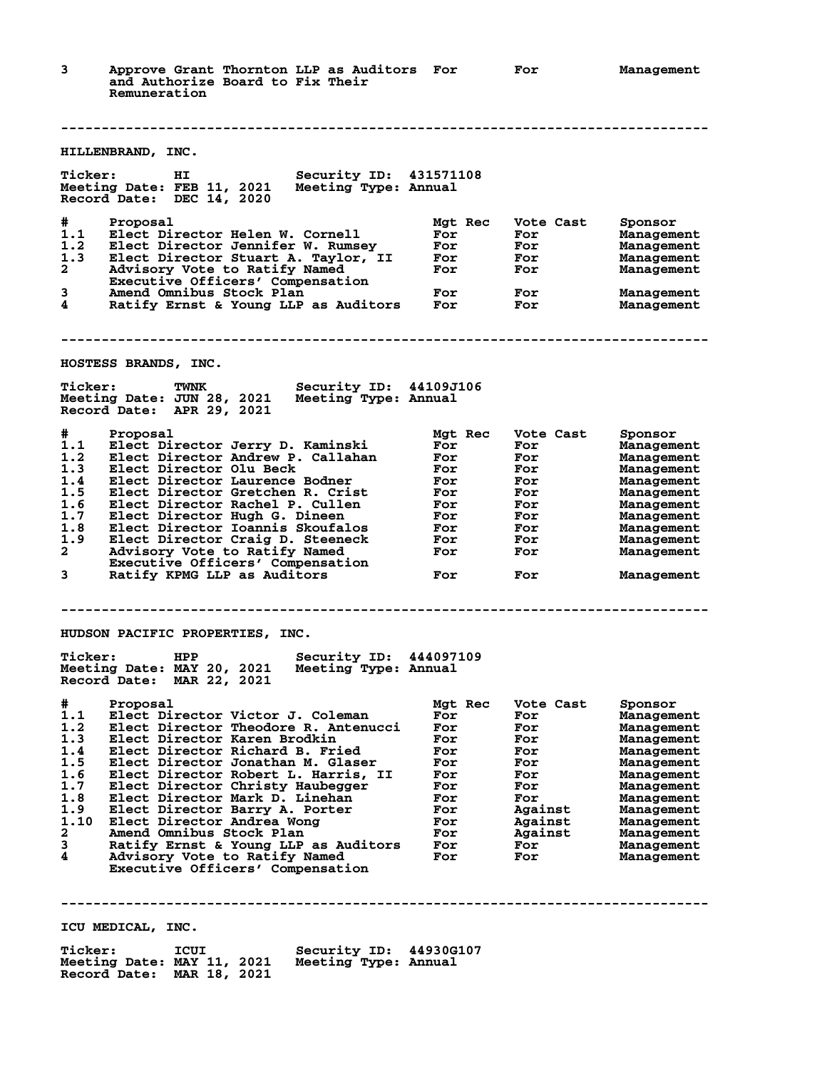**3 Approve Grant Thornton LLP as Auditors For For Management and Authorize Board to Fix Their Remuneration -------------------------------------------------------------------------------- HILLENBRAND, INC. Ticker: HI Security ID: 431571108 Meeting Date: FEB 11, 2021 Meeting Type: Annual Record Date: DEC 14, 2020 # Proposal Mgt Rec Vote Cast Sponsor 1.1 Elect Director Helen W. Cornell For For Management 1.2 Elect Director Jennifer W. Rumsey For For Management 1.3 Elect Director Stuart A. Taylor, II For For Management 2 Advisory Vote to Ratify Named For For Management Executive Officers' Compensation 3 Amend Omnibus Stock Plan For For Management 4 Ratify Ernst & Young LLP as Auditors For For Management -------------------------------------------------------------------------------- HOSTESS BRANDS, INC. Ticker: TWNK Security ID: 44109J106<br>Meeting Date: JUN 28, 2021 Meeting Type: Annual Meeting Date: JUN 28, 2021 Meeting Type: Annual Record Date: APR 29, 2021 # Proposal Mgt Rec Vote Cast Sponsor 1.1 Elect Director Jerry D. Kaminski For For Management 1.2 Elect Director Andrew P. Callahan For For Management 1.3 Elect Director Olu Beck For For Management 1.4 Elect Director Laurence Bodner For For Management 1.5 Elect Director Gretchen R. Crist For For Management 1.6 Elect Director Rachel P. Cullen For For Management 1.7 Elect Director Hugh G. Dineen For For Management 1.8 Elect Director Ioannis Skoufalos For For Management 1.9 Elect Director Craig D. Steeneck For For Management 2 Advisory Vote to Ratify Named For For Management Executive Officers' Compensation 3 Ratify KPMG LLP as Auditors For For Management -------------------------------------------------------------------------------- HUDSON PACIFIC PROPERTIES, INC. Ticker: HPP Security ID: 444097109 Meeting Date: MAY 20, 2021 Meeting Type: Annual Record Date: MAR 22, 2021 # Proposal Mgt Rec Vote Cast Sponsor 1.1 Elect Director Victor J. Coleman For For Management 1.2 Elect Director Theodore R. Antenucci For For Management 1.3 Elect Director Karen Brodkin For For Management 1.4 Elect Director Richard B. Fried For For Management 1.5 Elect Director Jonathan M. Glaser For For Management 1.6 Elect Director Robert L. Harris, II For For Management 1.7 Elect Director Christy Haubegger For For Management 1.8 Elect Director Mark D. Linehan For For Management 1.9 Elect Director Barry A. Porter For Against Management 1.10 Elect Director Andrea Wong For Against Management 2 Amend Omnibus Stock Plan For Against Management 3 Ratify Ernst & Young LLP as Auditors For For Management 4 Advisory Vote to Ratify Named For For Management Executive Officers' Compensation -------------------------------------------------------------------------------- ICU MEDICAL, INC. Ticker: ICUI Security ID: 44930G107**<br>Meeting Date: MAY 11, 2021 Meeting Type: Annual<br>Reserve Rate: MAR 18, 2021 **Meeting Date: MAY 11, 2021 Meeting Type: Annual**

**Record Date: MAR 18, 2021**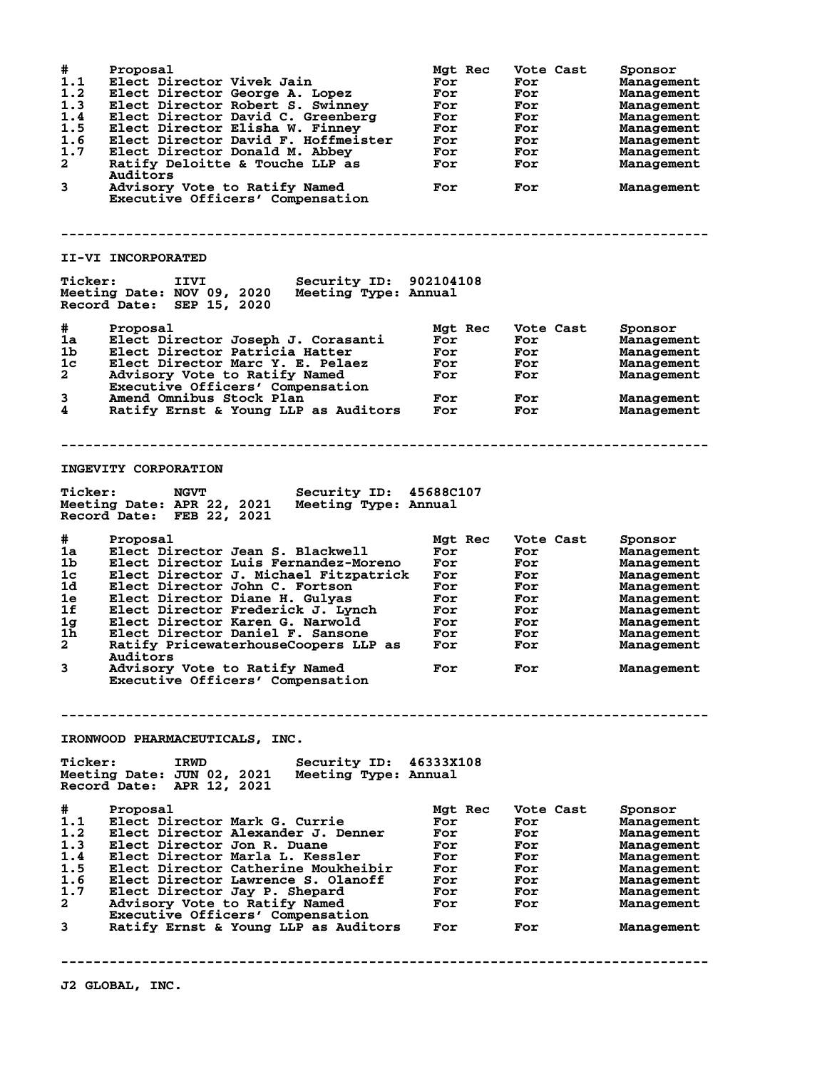**# Proposal Mgt Rec Vote Cast Sponsor 1.1 Elect Director Vivek Jain For For Management 1.2 Elect Director George A. Lopez For For Management 1.3 Elect Director Robert S. Swinney For For Management 1.4 Elect Director David C. Greenberg For For Management 1.5 Elect Director Elisha W. Finney For For Management 1.6 Elect Director David F. Hoffmeister For For Management 1.7 Elect Director Donald M. Abbey For For Management 2 Ratify Deloitte & Touche LLP as For For Management Auditors 3 Advisory Vote to Ratify Named For For Management Executive Officers' Compensation -------------------------------------------------------------------------------- II-VI INCORPORATED Ticker: IIVI Security ID: 902104108**<br>Meeting Date: NOV 09, 2020 Meeting Type: Annual **Meeting Date: NOV 09, 2020 Meeting Type: Annual Record Date: SEP 15, 2020 # Proposal Mgt Rec Vote Cast Sponsor 1a Elect Director Joseph J. Corasanti For For Management 1b Elect Director Patricia Hatter For For Management 1c Elect Director Marc Y. E. Pelaez For For Management 2 Advisory Vote to Ratify Named For For Management Executive Officers' Compensation 3 Amend Omnibus Stock Plan For For Management 4 Ratify Ernst & Young LLP as Auditors For For Management -------------------------------------------------------------------------------- INGEVITY CORPORATION Ticker: NGVT Security ID: 45688C107 Meeting Date: APR 22, 2021 Meeting Type: Annual Record Date: FEB 22, 2021 # Proposal Mgt Rec Vote Cast Sponsor 1a Elect Director Jean S. Blackwell For For Management 1b Elect Director Luis Fernandez-Moreno For For Management 1c Elect Director J. Michael Fitzpatrick For For Management 1d Elect Director John C. Fortson For For Management 1e Elect Director Diane H. Gulyas For For Management 1f Elect Director Frederick J. Lynch For For Management 1g Elect Director Karen G. Narwold For For Management 1h Elect Director Daniel F. Sansone For For Management 2 Ratify PricewaterhouseCoopers LLP as For For Management Auditors 3 Advisory Vote to Ratify Named For For Management Advisory Vote to Ratify Named<br>Executive Officers' Compensation -------------------------------------------------------------------------------- IRONWOOD PHARMACEUTICALS, INC. Ticker: IRWD Security ID: 46333X108 Meeting Date: JUN 02, 2021 Meeting Type: Annual Record Date: APR 12, 2021 # Proposal Mgt Rec Vote Cast Sponsor 1.1 Elect Director Mark G. Currie For For Management 1.2 Elect Director Alexander J. Denner For For Management 1.3 Elect Director Jon R. Duane For For Management 1.4 Elect Director Marla L. Kessler For For Management 1.5 Elect Director Catherine Moukheibir For For Management 1.6 Elect Director Lawrence S. Olanoff For For Management 1.7 Elect Director Jay P. Shepard For For Management 2 Advisory Vote to Ratify Named For For Management Executive Officers' Compensation 3 Ratify Ernst & Young LLP as Auditors For For Management --------------------------------------------------------------------------------**

**J2 GLOBAL, INC.**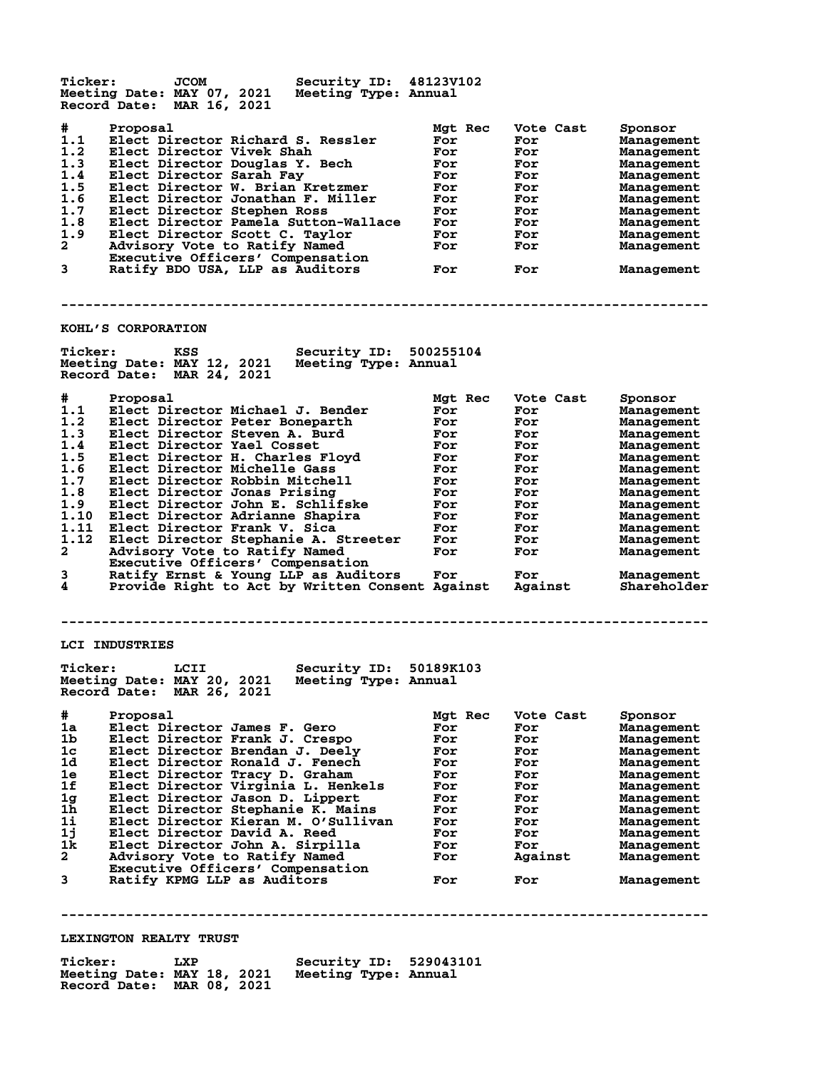**Ticker: JCOM Security ID: 48123V102**<br>Meeting Date: MAY 07, 2021 Meeting Type: Annual **Meeting Date: MAY 07, 2021 Meeting Type: Annual Record Date: MAR 16, 2021 # Proposal Mgt Rec Vote Cast Sponsor 1.1 Elect Director Richard S. Ressler For For Management 1.2 Elect Director Vivek Shah For For Management 1.3 Elect Director Douglas Y. Bech For For Management 1.4 Elect Director Sarah Fay For For Management 1.5 Elect Director W. Brian Kretzmer For For Management 1.6 Elect Director Jonathan F. Miller For For Management 1.7 Elect Director Stephen Ross For For Management 1.8 Elect Director Pamela Sutton-Wallace For For Management 1.9 Elect Director Scott C. Taylor For For Management 2 Advisory Vote to Ratify Named For For Management Executive Officers' Compensation 3 Ratify BDO USA, LLP as Auditors For For Management -------------------------------------------------------------------------------- KOHL'S CORPORATION Ticker: KSS Security ID: 500255104 Meeting Date: MAY 12, 2021 Meeting Type: Annual Record Date: MAR 24, 2021 # Proposal Mgt Rec Vote Cast Sponsor 1.1 Elect Director Michael J. Bender For For Management 1.2 Elect Director Peter Boneparth For For Management 1.3 Elect Director Steven A. Burd For For Management 1.4 Elect Director Yael Cosset For For Management 1.5 Elect Director H. Charles Floyd For For Management 1.6 Elect Director Michelle Gass For For Management 1.7 Elect Director Robbin Mitchell For For Management 1.8 Elect Director Jonas Prising For For Management 1.9 Elect Director John E. Schlifske For For Management 1.10 Elect Director Adrianne Shapira For For Management 1.11 Elect Director Frank V. Sica For For Management 1.12 Elect Director Stephanie A. Streeter For For Management 2 Advisory Vote to Ratify Named For For Management Executive Officers' Compensation 3 Ratify Ernst & Young LLP as Auditors For For Management Executive Officers Compensation**<br>3 Ratify Ernst & Young LLP as Auditors For For Management<br>4 Provide Right to Act by Written Consent Against Against Shareholder **-------------------------------------------------------------------------------- LCI INDUSTRIES Ticker: LCII Security ID: 50189K103 Meeting Date: MAY 20, 2021 Meeting Type: Annual Record Date: MAR 26, 2021 # Proposal Mgt Rec Vote Cast Sponsor 1a Elect Director James F. Gero For For Management 1b Elect Director Frank J. Crespo For For Management 1c Elect Director Brendan J. Deely For For Management 1d Elect Director Ronald J. Fenech For For Management 1e Elect Director Tracy D. Graham For For Management 1f Elect Director Virginia L. Henkels For For Management 1g Elect Director Jason D. Lippert For For Management 1h Elect Director Stephanie K. Mains For For Management 1i Elect Director Kieran M. O'Sullivan For For Management 1j Elect Director David A. Reed For For Management 1k Elect Director John A. Sirpilla For For Management 2 Advisory Vote to Ratify Named For Against Management Executive Officers' Compensation 3 Ratify KPMG LLP as Auditors For For Management -------------------------------------------------------------------------------- LEXINGTON REALTY TRUST Ticker: LXP Security ID: 529043101 Meeting Date: MAY 18, 2021** 

**Record Date: MAR 08, 2021**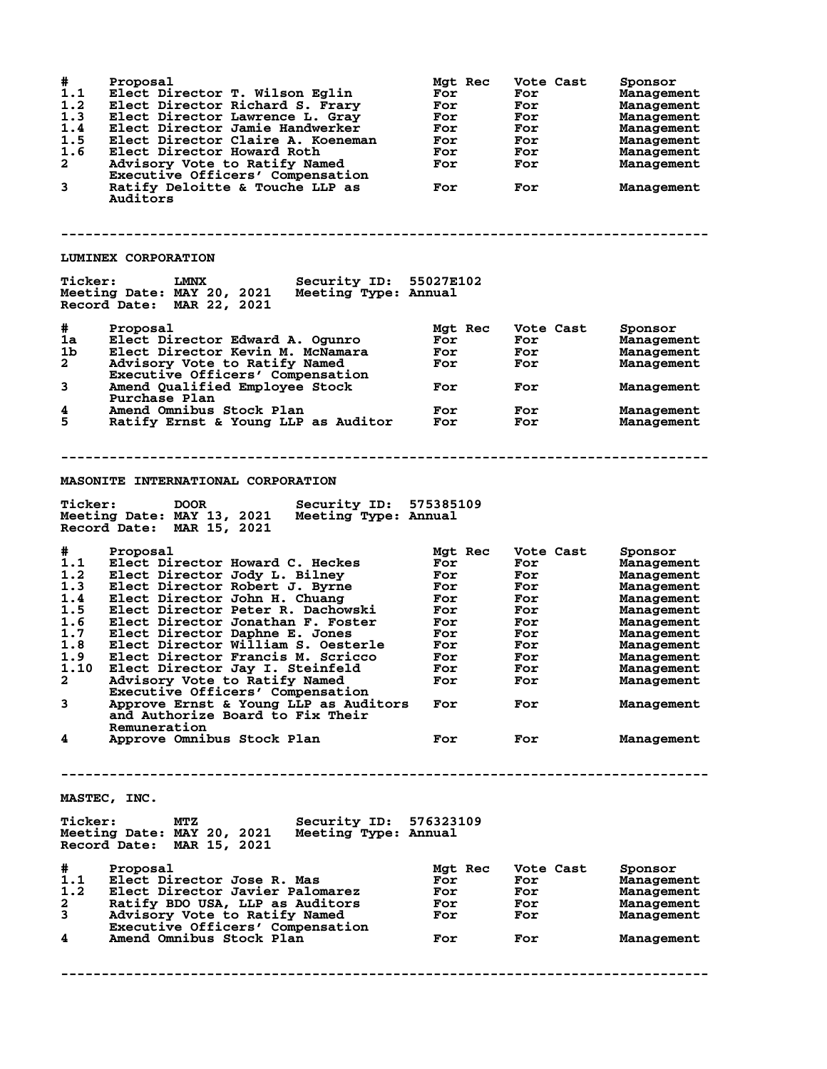| #<br>1.1<br>1.2<br>1.3<br>1.4<br>1.5<br>1.6<br>$\mathbf{2}$<br>3                                                     | Proposal<br>Elect Director T. Wilson Eglin<br>Elect Director Richard S. Frary<br>Elect Director Lawrence L. Gray<br>Elect Director Jamie Handwerker<br>Elect Director Claire A. Koeneman<br>Elect Director Howard Roth<br>Advisory Vote to Ratify Named<br>Executive Officers' Compensation<br>Ratify Deloitte & Touche LLP as<br>Auditors<br>LUMINEX CORPORATION                                                                                                                                                                                                                                                                                                                                                                                  | Mgt Rec<br>For<br>For<br>For<br>For<br>For<br>For<br>For<br>For                                    | Vote Cast<br>For<br>For<br>For<br>For<br>For<br>For<br>For<br>For                                    |           | Sponsor<br><b>Management</b><br><b>Management</b><br>Management<br>Management<br>Management<br>Management<br>Management<br>Management                                                         |
|----------------------------------------------------------------------------------------------------------------------|----------------------------------------------------------------------------------------------------------------------------------------------------------------------------------------------------------------------------------------------------------------------------------------------------------------------------------------------------------------------------------------------------------------------------------------------------------------------------------------------------------------------------------------------------------------------------------------------------------------------------------------------------------------------------------------------------------------------------------------------------|----------------------------------------------------------------------------------------------------|------------------------------------------------------------------------------------------------------|-----------|-----------------------------------------------------------------------------------------------------------------------------------------------------------------------------------------------|
| <b>Ticker:</b>                                                                                                       | Security ID: 55027E102<br><b>LMNX</b><br>Meeting Date: MAY 20, 2021<br>Meeting Type: Annual<br>Record Date: MAR 22, 2021                                                                                                                                                                                                                                                                                                                                                                                                                                                                                                                                                                                                                           |                                                                                                    |                                                                                                      |           |                                                                                                                                                                                               |
| #.                                                                                                                   | Proposal                                                                                                                                                                                                                                                                                                                                                                                                                                                                                                                                                                                                                                                                                                                                           | Mgt Rec                                                                                            | Vote Cast                                                                                            |           | Sponsor                                                                                                                                                                                       |
| 1a                                                                                                                   | Elect Director Edward A. Ogunro                                                                                                                                                                                                                                                                                                                                                                                                                                                                                                                                                                                                                                                                                                                    | For                                                                                                | For                                                                                                  |           | <b>Management</b>                                                                                                                                                                             |
| 1 <sub>b</sub>                                                                                                       | Elect Director Kevin M. McNamara                                                                                                                                                                                                                                                                                                                                                                                                                                                                                                                                                                                                                                                                                                                   | For                                                                                                | For                                                                                                  |           | Management                                                                                                                                                                                    |
| $\mathbf{2}$                                                                                                         | Advisory Vote to Ratify Named                                                                                                                                                                                                                                                                                                                                                                                                                                                                                                                                                                                                                                                                                                                      | For                                                                                                | For                                                                                                  |           | Management                                                                                                                                                                                    |
| 3                                                                                                                    | Executive Officers' Compensation<br>Amend Qualified Employee Stock                                                                                                                                                                                                                                                                                                                                                                                                                                                                                                                                                                                                                                                                                 | For                                                                                                | For                                                                                                  |           | Management                                                                                                                                                                                    |
|                                                                                                                      | Purchase Plan                                                                                                                                                                                                                                                                                                                                                                                                                                                                                                                                                                                                                                                                                                                                      |                                                                                                    |                                                                                                      |           |                                                                                                                                                                                               |
| 4                                                                                                                    | Amend Omnibus Stock Plan                                                                                                                                                                                                                                                                                                                                                                                                                                                                                                                                                                                                                                                                                                                           | For                                                                                                | For                                                                                                  |           | Management                                                                                                                                                                                    |
| 5                                                                                                                    | Ratify Ernst & Young LLP as Auditor                                                                                                                                                                                                                                                                                                                                                                                                                                                                                                                                                                                                                                                                                                                | For                                                                                                | For                                                                                                  |           | Management                                                                                                                                                                                    |
| <b>Ticker:</b><br>#<br>1.1<br>1.2<br>1.3<br>1.4<br>1.5<br>1.6<br>1.7<br>1.8<br>1.9<br>1.10<br>$\mathbf{2}$<br>3<br>4 | <b>MASONITE INTERNATIONAL CORPORATION</b><br>Security ID: 575385109<br><b>DOOR</b><br>Meeting Date: MAY 13, 2021<br>Meeting Type: Annual<br>Record Date: MAR 15, 2021<br>Proposal<br>Elect Director Howard C. Heckes<br>Elect Director Jody L. Bilney<br>Elect Director Robert J. Byrne<br>Elect Director John H. Chuang<br>Elect Director Peter R. Dachowski<br>Elect Director Jonathan F. Foster<br>Elect Director Daphne E. Jones<br>Elect Director William S. Oesterle<br>Elect Director Francis M. Scricco<br>Elect Director Jay I. Steinfeld<br>Advisory Vote to Ratify Named<br>Executive Officers' Compensation<br>Approve Ernst & Young LLP as Auditors<br>and Authorize Board to Fix Their<br>Remuneration<br>Approve Omnibus Stock Plan | Mgt Rec<br>For<br>For<br>For<br>For<br>For<br>For<br>For<br>For<br>For<br>For<br>For<br>For<br>For | Vote Cast<br>For<br>For<br>For<br>For<br>For<br>For<br>For<br>For<br>For<br>For<br>For<br>For<br>For |           | Sponsor<br>Management<br>Management<br>Management<br>Management<br>Management<br>Management<br>Management<br>Management<br>Management<br>Management<br>Management<br>Management<br>Management |
|                                                                                                                      | MASTEC, INC.                                                                                                                                                                                                                                                                                                                                                                                                                                                                                                                                                                                                                                                                                                                                       |                                                                                                    |                                                                                                      |           |                                                                                                                                                                                               |
| <b>Ticker:</b>                                                                                                       | MTZ<br>Security ID: 576323109<br>Meeting Date: MAY 20, 2021 Meeting Type: Annual<br>Record Date: MAR 15, 2021                                                                                                                                                                                                                                                                                                                                                                                                                                                                                                                                                                                                                                      |                                                                                                    |                                                                                                      |           |                                                                                                                                                                                               |
| #.                                                                                                                   | Proposal                                                                                                                                                                                                                                                                                                                                                                                                                                                                                                                                                                                                                                                                                                                                           | Mgt Rec                                                                                            |                                                                                                      | Vote Cast | Sponsor                                                                                                                                                                                       |
| 1.1                                                                                                                  | Elect Director Jose R. Mas                                                                                                                                                                                                                                                                                                                                                                                                                                                                                                                                                                                                                                                                                                                         | For                                                                                                | For                                                                                                  |           | Management                                                                                                                                                                                    |
| 1.2                                                                                                                  | Elect Director Javier Palomarez                                                                                                                                                                                                                                                                                                                                                                                                                                                                                                                                                                                                                                                                                                                    | For                                                                                                | For                                                                                                  |           | Management                                                                                                                                                                                    |
| $\mathbf{2}$                                                                                                         | Ratify BDO USA, LLP as Auditors                                                                                                                                                                                                                                                                                                                                                                                                                                                                                                                                                                                                                                                                                                                    | For                                                                                                | For                                                                                                  |           | Management                                                                                                                                                                                    |
| 3                                                                                                                    | Advisory Vote to Ratify Named                                                                                                                                                                                                                                                                                                                                                                                                                                                                                                                                                                                                                                                                                                                      | For                                                                                                | For                                                                                                  |           | Management                                                                                                                                                                                    |
|                                                                                                                      | Executive Officers' Compensation                                                                                                                                                                                                                                                                                                                                                                                                                                                                                                                                                                                                                                                                                                                   |                                                                                                    |                                                                                                      |           |                                                                                                                                                                                               |
| 4                                                                                                                    | Amend Omnibus Stock Plan                                                                                                                                                                                                                                                                                                                                                                                                                                                                                                                                                                                                                                                                                                                           | For                                                                                                | For                                                                                                  |           | Management                                                                                                                                                                                    |
|                                                                                                                      |                                                                                                                                                                                                                                                                                                                                                                                                                                                                                                                                                                                                                                                                                                                                                    |                                                                                                    |                                                                                                      |           |                                                                                                                                                                                               |
|                                                                                                                      |                                                                                                                                                                                                                                                                                                                                                                                                                                                                                                                                                                                                                                                                                                                                                    |                                                                                                    |                                                                                                      |           |                                                                                                                                                                                               |
|                                                                                                                      |                                                                                                                                                                                                                                                                                                                                                                                                                                                                                                                                                                                                                                                                                                                                                    |                                                                                                    |                                                                                                      |           |                                                                                                                                                                                               |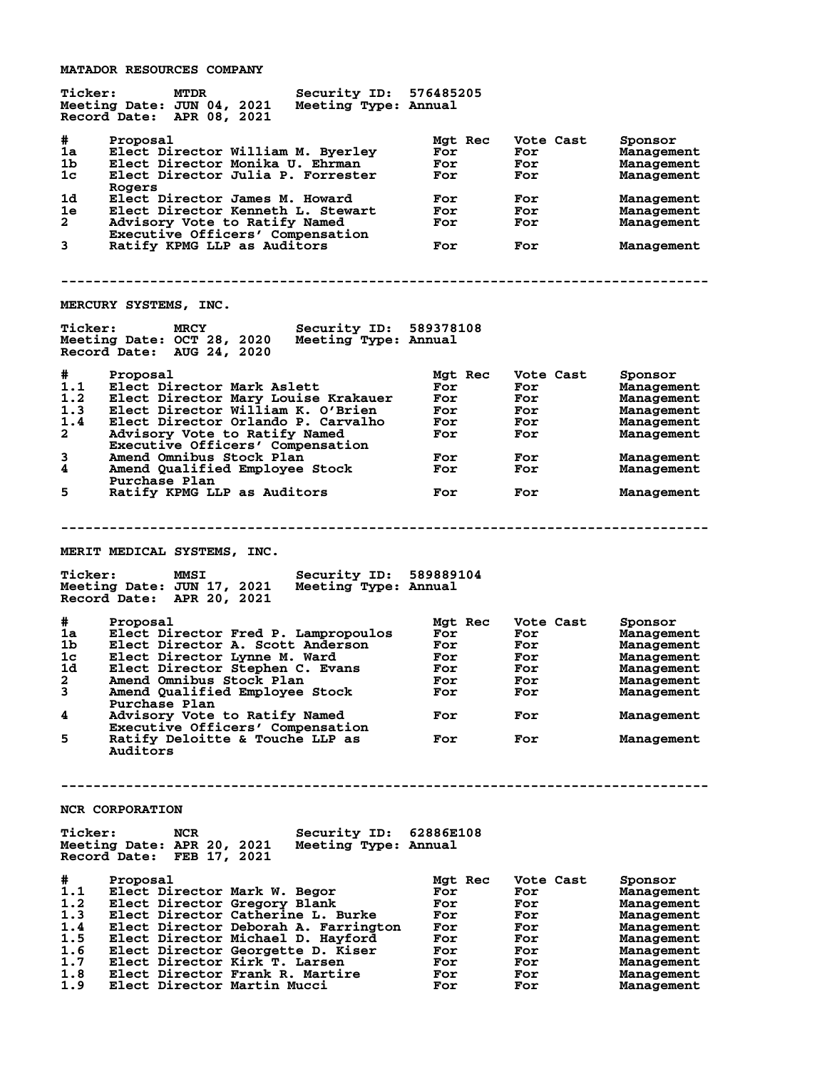**MATADOR RESOURCES COMPANY**

| <b>Ticker:</b>              | MTDR<br>Meeting Date: JUN 04, 2021<br>Record Date: APR 08, 2021                                                                          | Security ID: 576485205<br>Meeting Type: Annual |                   |         |                                |                                                   |
|-----------------------------|------------------------------------------------------------------------------------------------------------------------------------------|------------------------------------------------|-------------------|---------|--------------------------------|---------------------------------------------------|
| #<br>1a<br>1b.<br>1c        | Proposal<br>Elect Director William M. Byerley<br>Elect Director Monika U. Ehrman<br>Elect Director Julia P. Forrester<br>Rogers          |                                                | For<br>For<br>For | Mgt Rec | Vote Cast<br>For<br>For<br>For | Sponsor<br>Management<br>Management<br>Management |
| 1d.<br>1e<br>$\mathbf{2}^-$ | Elect Director James M. Howard<br>Elect Director Kenneth L. Stewart<br>Advisory Vote to Ratify Named<br>Executive Officers' Compensation |                                                | For<br>For<br>For |         | For<br>For<br>For              | Management<br>Management<br>Management            |
| 3                           | Ratify KPMG LLP as Auditors                                                                                                              |                                                | For               |         | For                            | Management                                        |
|                             | MERCURY SYSTEMS, INC.                                                                                                                    |                                                |                   |         |                                |                                                   |
| <b>Ticker:</b>              | <b>MRCY</b><br>Meeting Date: OCT 28, 2020 Meeting Type: Annual<br>Record Date: AUG 24, 2020                                              | <b>Security ID: 589378108</b>                  |                   |         |                                |                                                   |
| #                           | Proposal                                                                                                                                 |                                                |                   | Mat Rec | Vote Cast                      | Sponsor                                           |
| 1.1                         | Elect Director Mark Aslett                                                                                                               |                                                | For               |         | For                            | Management                                        |
| 1.2                         | Elect Director Mary Louise Krakauer                                                                                                      |                                                | For               |         | For                            | Management                                        |
| 1.3                         | Elect Director William K. O'Brien                                                                                                        |                                                | For               |         | For                            | Management                                        |
| 1.4                         | Elect Director Orlando P. Carvalho                                                                                                       |                                                | For               |         | For                            | Management                                        |
| $\mathbf{2}$                | Advisory Vote to Ratify Named                                                                                                            |                                                | For               |         | For                            | Management                                        |
|                             | Executive Officers' Compensation                                                                                                         |                                                |                   |         |                                |                                                   |
| 3                           | Amend Omnibus Stock Plan                                                                                                                 |                                                | For               |         | For                            | Management                                        |
| 4                           | Amend Qualified Employee Stock<br>Purchase Plan                                                                                          |                                                | For               |         | For                            | Management                                        |
| 5                           | Ratify KPMG LLP as Auditors                                                                                                              |                                                | For               |         | For                            | Management                                        |
|                             |                                                                                                                                          |                                                |                   |         |                                |                                                   |
|                             |                                                                                                                                          |                                                |                   |         |                                |                                                   |
|                             | MERIT MEDICAL SYSTEMS, INC.                                                                                                              |                                                |                   |         |                                |                                                   |
| <b>Ticker:</b>              | MMSI<br>Meeting Date: JUN 17, 2021                                                                                                       | Security ID: 589889104<br>Meeting Type: Annual |                   |         |                                |                                                   |
|                             | Record Date: APR 20, 2021                                                                                                                |                                                |                   |         |                                |                                                   |
| #                           | Proposal                                                                                                                                 |                                                |                   | Mgt Rec | Vote Cast                      | Sponsor                                           |
| 1a                          | Elect Director Fred P. Lampropoulos                                                                                                      |                                                | For               |         | For                            | Management                                        |
| 1b.                         | Elect Director A. Scott Anderson                                                                                                         |                                                | For               |         | For                            | Management                                        |
| 1c                          | Elect Director Lynne M. Ward                                                                                                             |                                                | For               |         | For                            | Management                                        |
| 1d                          | Elect Director Stephen C. Evans                                                                                                          |                                                | For               |         | For                            | Management                                        |
| 2                           | Amend Omnibus Stock Plan                                                                                                                 |                                                | For               |         | For                            | Management                                        |
| 3                           | Amend Qualified Employee Stock                                                                                                           |                                                | For               |         | For                            | Management                                        |
|                             | Purchase Plan                                                                                                                            |                                                |                   |         |                                |                                                   |
| 4                           | Advisory Vote to Ratify Named                                                                                                            |                                                | For               |         | For                            | Management                                        |
| 5                           | Executive Officers' Compensation<br>Ratify Deloitte & Touche LLP as<br>Auditors                                                          |                                                | For               |         | For                            | Management                                        |
|                             |                                                                                                                                          |                                                |                   |         |                                |                                                   |
|                             | <b>NCR CORPORATION</b>                                                                                                                   |                                                |                   |         |                                |                                                   |
|                             |                                                                                                                                          |                                                |                   |         |                                |                                                   |
| <b>Ticker:</b>              | NCR<br>Meeting Date: APR 20, 2021<br>Record Date: FEB 17, 2021                                                                           | Security ID: 62886E108<br>Meeting Type: Annual |                   |         |                                |                                                   |
|                             |                                                                                                                                          |                                                |                   |         |                                |                                                   |
| #                           | Proposal                                                                                                                                 |                                                | Mgt Rec           |         | Vote Cast                      | Sponsor                                           |
| 1.1                         | Elect Director Mark W. Begor                                                                                                             |                                                | For               |         | For                            | <b>Management</b>                                 |
| 1.2                         | Elect Director Gregory Blank                                                                                                             |                                                | For               |         | For                            | Management                                        |
| 1.3                         | Elect Director Catherine L. Burke                                                                                                        |                                                | For               |         | For                            | Management                                        |
| 1.4                         | Elect Director Deborah A. Farrington                                                                                                     |                                                | For               |         | For                            | Management                                        |
| 1.5                         | Elect Director Michael D. Hayford                                                                                                        |                                                | For               |         | For                            | <b>Management</b>                                 |
| 1.6                         | Elect Director Georgette D. Kiser                                                                                                        |                                                | For<br>For        |         | For                            | Management                                        |
| 1.7<br>1.8                  | Elect Director Kirk T. Larsen<br>Elect Director Frank R. Martire                                                                         |                                                | For               |         | For<br>For                     | Management<br>Management                          |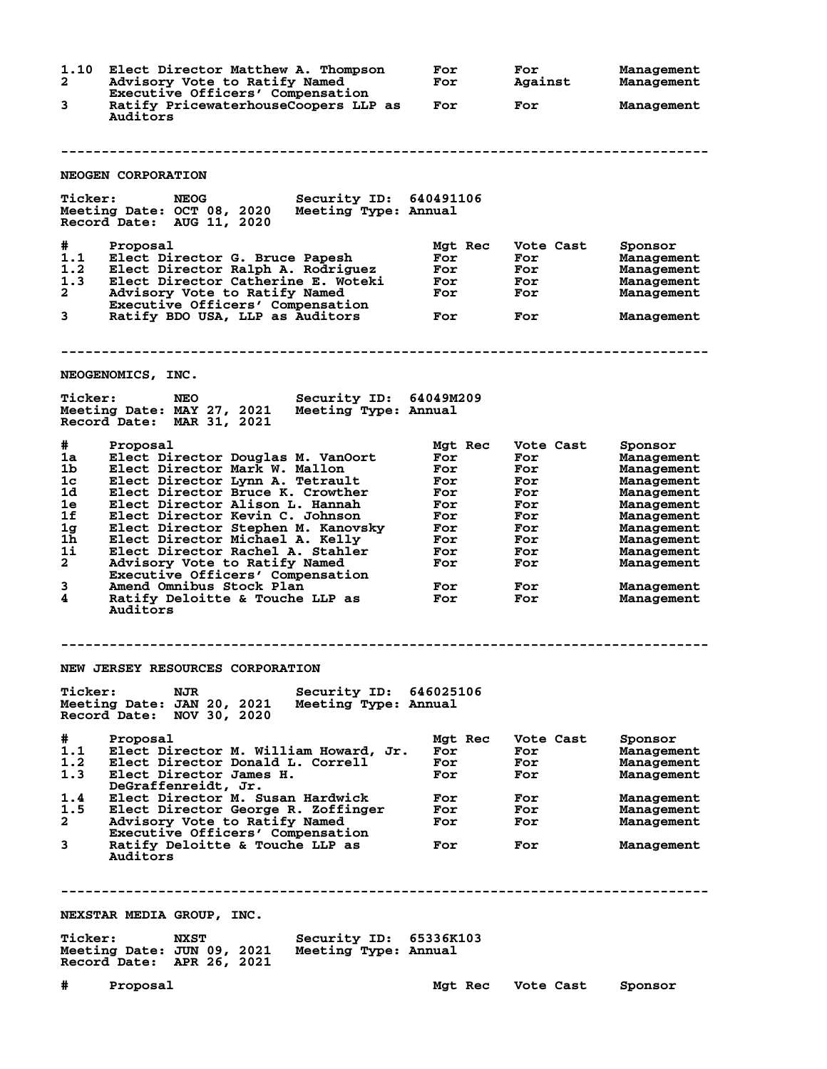**1.10 Elect Director Matthew A. Thompson For For Management 2 Advisory Vote to Ratify Named For Against Management Executive Officers' Compensation 3 Ratify PricewaterhouseCoopers LLP as For For Management Auditors -------------------------------------------------------------------------------- NEOGEN CORPORATION Ticker: NEOG Security ID: 640491106 Meeting Date: OCT 08, 2020 Meeting Type: Annual Record Date: AUG 11, 2020 # Proposal Mgt Rec Vote Cast Sponsor 1.1 Elect Director G. Bruce Papesh For For Management 1.2 Elect Director Ralph A. Rodriguez For For Management 1.3 Elect Director Catherine E. Woteki For For Management 2 Advisory Vote to Ratify Named For For Management Executive Officers' Compensation 3 Ratify BDO USA, LLP as Auditors For For Management -------------------------------------------------------------------------------- NEOGENOMICS, INC. Ticker: NEO Security ID: 64049M209 Meeting Date: MAY 27, 2021 Meeting Type: Annual Record Date: MAR 31, 2021 # Proposal Mgt Rec Vote Cast Sponsor 1a Elect Director Douglas M. VanOort For For Management 1b Elect Director Mark W. Mallon For For Management 1c Elect Director Lynn A. Tetrault For For Management 1d Elect Director Bruce K. Crowther For For Management 1e Elect Director Alison L. Hannah For For Management 1f Elect Director Kevin C. Johnson For For Management 1g Elect Director Stephen M. Kanovsky For For Management 1h Elect Director Michael A. Kelly For For Management 1i Elect Director Rachel A. Stahler For For Management 2 Advisory Vote to Ratify Named For For Management Executive Officers' Compensation 3 Amend Omnibus Stock Plan For For Management 4 Ratify Deloitte & Touche LLP as For For Management Auditors -------------------------------------------------------------------------------- NEW JERSEY RESOURCES CORPORATION Ticker: NJR Security ID: 646025106 Meeting Date: JAN 20, 2021 Meeting Type: Annual Record Date: NOV 30, 2020 # Proposal Mgt Rec Vote Cast Sponsor 1.1 Elect Director M. William Howard, Jr. For For Management 1.2 Elect Director Donald L. Correll For For Management 1.3 Elect Director James H. For For Management DeGraffenreidt, Jr. 1.4 Elect Director M. Susan Hardwick For For Management 1.5 Elect Director George R. Zoffinger For For Management 2 Advisory Vote to Ratify Named For For Management Executive Officers' Compensation 3 Ratify Deloitte & Touche LLP as For For Management Auditors -------------------------------------------------------------------------------- NEXSTAR MEDIA GROUP, INC. Ticker: NXST Security ID: 65336K103 Meeting Date: JUN 09, 2021 Meeting Type: Annual Record Date: APR 26, 2021 # Proposal Mgt Rec Vote Cast Sponsor**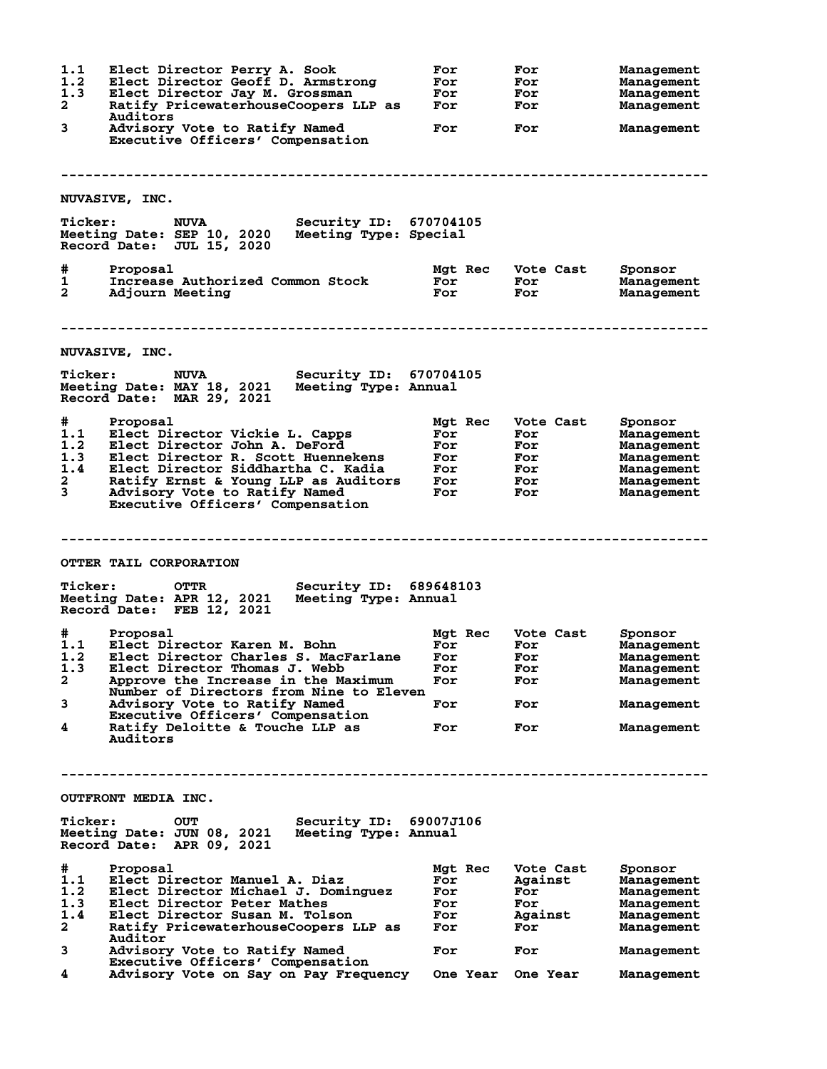**1.1 Elect Director Perry A. Sook For For Management 1.2 Elect Director Geoff D. Armstrong For For Management 1.3 Elect Director Jay M. Grossman For For Management 2 Ratify PricewaterhouseCoopers LLP as For For Management** 2 Ratify Pr<br>Auditors<br>3 Advisory **3 Advisory Vote to Ratify Named For For Management Executive Officers' Compensation -------------------------------------------------------------------------------- NUVASIVE, INC. Ticker: NUVA Security ID: 670704105 Meeting Date: SEP 10, 2020 Meeting Type: Special Record Date: JUL 15, 2020 # Proposal Mgt Rec Vote Cast Sponsor 1 Increase Authorized Common Stock For For Management 2 Adjourn Meeting For For Management -------------------------------------------------------------------------------- NUVASIVE, INC. Ticker: NUVA Security ID: 670704105 Meeting Date: MAY 18, 2021 Meeting Type: Annual Record Date: MAR 29, 2021 # Proposal Mgt Rec Vote Cast Sponsor 1.1 Elect Director Vickie L. Capps For For Management 1.2 Elect Director John A. DeFord For For Management 1.3 Elect Director R. Scott Huennekens For For Management 1.4 Elect Director Siddhartha C. Kadia For For Management 2 Ratify Ernst & Young LLP as Auditors For For Management 3 Advisory Vote to Ratify Named For For Management Executive Officers' Compensation -------------------------------------------------------------------------------- OTTER TAIL CORPORATION Ticker: OTTR Security ID: 689648103 Meeting Date: APR 12, 2021 Meeting Type: Annual Record Date: FEB 12, 2021 # Proposal Mgt Rec Vote Cast Sponsor 1.1 Elect Director Karen M. Bohn For For Management 1.2 Elect Director Charles S. MacFarlane For For Management 1.3 Elect Director Thomas J. Webb For For Management 2 Approve the Increase in the Maximum For For Management Number of Directors from Nine to Eleven 3 Advisory Vote to Ratify Named For For Management Executive Officers' Compensation<br>4** Ratify Deloitte & Touche LLP as **4 Ratify Deloitte & Touche LLP as For For Management Auditors -------------------------------------------------------------------------------- OUTFRONT MEDIA INC. Ticker: OUT Security ID: 69007J106 Meeting Date: JUN 08, 2021 Record Date: APR 09, 2021 # Proposal Mgt Rec Vote Cast Sponsor 1.1 Elect Director Manuel A. Diaz For Against Management 1.2 Elect Director Michael J. Dominguez For For Management 1.3 Elect Director Peter Mathes For For Management 1.4 Elect Director Susan M. Tolson For Against Management 2 Ratify PricewaterhouseCoopers LLP as For For Management Auditor 3 Advisory Vote to Ratify Named For For Management Executive Officers' Compensation**<br>4 Advisory Vote on Say on Pay Frequence **4 Advisory Vote on Say on Pay Frequency One Year One Year Management**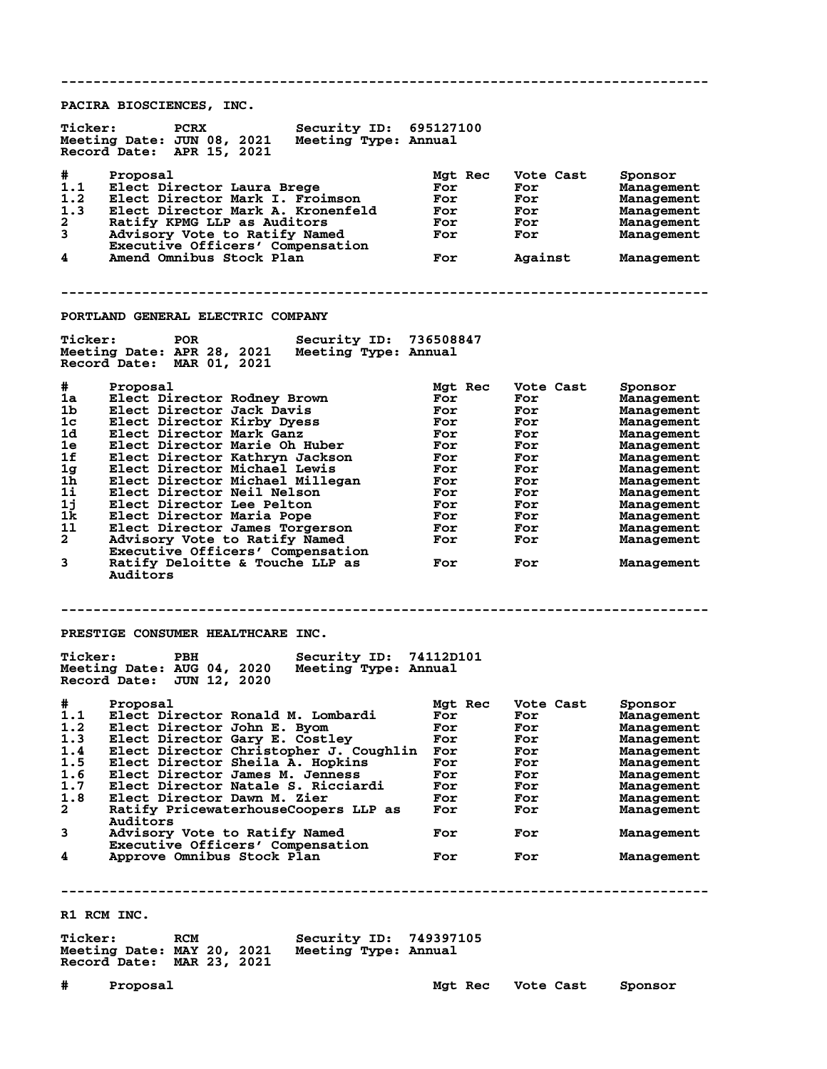**-------------------------------------------------------------------------------- PACIRA BIOSCIENCES, INC. Ticker: PCRX Security ID: 695127100 Meeting Date: JUN 08, 2021 Meeting Type: Annual Record Date: APR 15, 2021 # Proposal Mgt Rec Vote Cast Sponsor 1.1 Elect Director Laura Brege For For Management 1.2 Elect Director Mark I. Froimson For For Management 1.3 Elect Director Mark A. Kronenfeld For For Management 2 Ratify KPMG LLP as Auditors For For Management 3 Advisory Vote to Ratify Named For For Management Executive Officers' Compensation**<br>4 **Amend Omnibus Stock Plan 4 Amend Omnibus Stock Plan For Against Management -------------------------------------------------------------------------------- PORTLAND GENERAL ELECTRIC COMPANY Ticker: POR Security ID: 736508847 Meeting Date: APR 28, 2021 Meeting Type: Annual Record Date: MAR 01, 2021 # Proposal Mgt Rec Vote Cast Sponsor 1a Elect Director Rodney Brown For For Management 1b Elect Director Jack Davis For For Management 1c Elect Director Kirby Dyess For For Management 1d Elect Director Mark Ganz For For Management 1e Elect Director Marie Oh Huber For For Management 1f Elect Director Kathryn Jackson For For Management 1g Elect Director Michael Lewis For For Management** 1h Elect Director Jack Davis<br>
1c Elect Director Mark Gaz<br>
1e Elect Director Mark Gaz<br>
1e Elect Director Mark Gaz<br>
1e Elect Director Mark Gaz<br>
1f Elect Director Michael Lewis<br>
1h Elect Director Michael Lewis<br>
1h Elect Direc **1i Elect Director Neil Nelson For For Management 1j Elect Director Lee Pelton For For Management 1k Elect Director Maria Pope For For Management 1l Elect Director James Torgerson For For Management 2 Advisory Vote to Ratify Named For For Management Executive Officers' Compensation<br>3** Ratify Deloitte & Touche LLP as **3 Ratify Deloitte & Touche LLP as For For Management Auditors -------------------------------------------------------------------------------- PRESTIGE CONSUMER HEALTHCARE INC. Ticker: PBH Security ID: 74112D101 Meeting Date: AUG 04, 2020 Meeting Type: Annual Record Date: JUN 12, 2020 # Proposal Mgt Rec Vote Cast Sponsor 1.1 Elect Director Ronald M. Lombardi For For Management 1.2 Elect Director John E. Byom For For Management 1.3 Elect Director Gary E. Costley For For Management 1.4 Elect Director Christopher J. Coughlin For For Management 1.5 Elect Director Sheila A. Hopkins For For Management 1.6 Elect Director James M. Jenness For For Management 1.7 Elect Director Natale S. Ricciardi For For Management 1.8 Elect Director Dawn M. Zier For For Management 2 Ratify PricewaterhouseCoopers LLP as For For Management Auditors 3 Advisory Vote to Ratify Named For For Management Executive Officers' Compensation 4** Approve Omnibus Stock Plan **For** For For Management **-------------------------------------------------------------------------------- R1 RCM INC. Ticker: RCM Security ID: 749397105 Meeting Date: MAY 20, 2021 Meeting Type: Annual Record Date: MAR 23, 2021 # Proposal Mgt Rec Vote Cast Sponsor**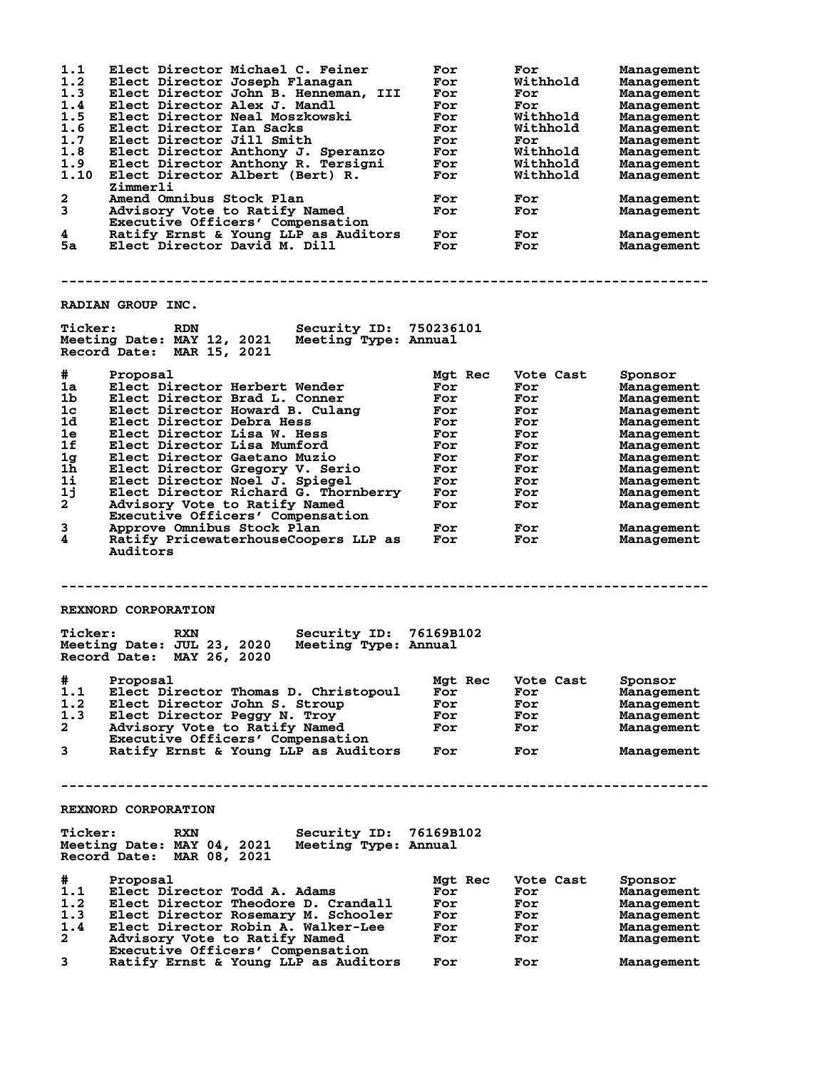| 1.1<br>1.2<br>1.3<br>1.4<br>1.5<br>1.6<br>1.7<br>1.8<br>1.9<br>1.10<br>2<br>3<br>4<br>5а | Elect Director Michael C. Feiner<br>Elect Director Joseph Flanagan<br>Elect Director John B. Henneman, III<br>Elect Director Alex J. Mandl<br>Elect Director Neal Moszkowski<br>Elect Director Ian Sacks<br>Elect Director Jill Smith<br>Elect Director Anthony J. Speranzo<br>Elect Director Anthony R. Tersigni<br>Elect Director Albert (Bert) R.<br>Zimmerli<br>Amend Omnibus Stock Plan<br>Advisory Vote to Ratify Named<br>Executive Officers' Compensation<br>Ratify Ernst & Young LLP as Auditors<br>Elect Director David M. Dill | For<br>For<br>For<br>For<br>For<br>For<br>For<br>For<br>For<br>For<br>For<br>For<br>For<br>For | For<br>Withhold<br>For<br>For<br>Withhold<br>Withhold<br>For<br>Withhold<br>Withhold<br>Withhold<br>For<br>For<br>For<br>For | <b>Management</b><br><b>Management</b><br><b>Management</b><br><b>Management</b><br><b>Management</b><br><b>Management</b><br><b>Management</b><br>Management<br><b>Management</b><br><b>Management</b><br>Management<br>Management<br>Management<br>Management |
|------------------------------------------------------------------------------------------|-------------------------------------------------------------------------------------------------------------------------------------------------------------------------------------------------------------------------------------------------------------------------------------------------------------------------------------------------------------------------------------------------------------------------------------------------------------------------------------------------------------------------------------------|------------------------------------------------------------------------------------------------|------------------------------------------------------------------------------------------------------------------------------|-----------------------------------------------------------------------------------------------------------------------------------------------------------------------------------------------------------------------------------------------------------------|
|                                                                                          |                                                                                                                                                                                                                                                                                                                                                                                                                                                                                                                                           |                                                                                                |                                                                                                                              |                                                                                                                                                                                                                                                                 |
|                                                                                          | RADIAN GROUP INC.                                                                                                                                                                                                                                                                                                                                                                                                                                                                                                                         |                                                                                                |                                                                                                                              |                                                                                                                                                                                                                                                                 |
| <b>Ticker:</b>                                                                           | <b>Security ID: 750236101</b><br>RDN<br>Meeting Date: MAY 12, 2021<br>Meeting Type: Annual<br>Record Date: MAR 15, 2021                                                                                                                                                                                                                                                                                                                                                                                                                   |                                                                                                |                                                                                                                              |                                                                                                                                                                                                                                                                 |
| #                                                                                        | Proposal                                                                                                                                                                                                                                                                                                                                                                                                                                                                                                                                  | Mgt Rec                                                                                        | Vote Cast                                                                                                                    | Sponsor                                                                                                                                                                                                                                                         |
| 1a                                                                                       | Elect Director Herbert Wender                                                                                                                                                                                                                                                                                                                                                                                                                                                                                                             | For                                                                                            | For                                                                                                                          | Management                                                                                                                                                                                                                                                      |
| 1b                                                                                       | Elect Director Brad L. Conner                                                                                                                                                                                                                                                                                                                                                                                                                                                                                                             | For                                                                                            | For                                                                                                                          | <b>Management</b>                                                                                                                                                                                                                                               |
| 1c<br>1d                                                                                 | Elect Director Howard B. Culang<br>Elect Director Debra Hess                                                                                                                                                                                                                                                                                                                                                                                                                                                                              | For<br>For                                                                                     | For<br>For                                                                                                                   | <b>Management</b><br>Management                                                                                                                                                                                                                                 |
| 1e                                                                                       | Elect Director Lisa W. Hess                                                                                                                                                                                                                                                                                                                                                                                                                                                                                                               | For                                                                                            | For                                                                                                                          | <b>Management</b>                                                                                                                                                                                                                                               |
| 1f                                                                                       | Elect Director Lisa Mumford                                                                                                                                                                                                                                                                                                                                                                                                                                                                                                               | For                                                                                            | For                                                                                                                          | <b>Management</b>                                                                                                                                                                                                                                               |
| 1 <sub>g</sub>                                                                           | Elect Director Gaetano Muzio                                                                                                                                                                                                                                                                                                                                                                                                                                                                                                              | For                                                                                            | For                                                                                                                          | <b>Management</b>                                                                                                                                                                                                                                               |
| 1h                                                                                       | Elect Director Gregory V. Serio                                                                                                                                                                                                                                                                                                                                                                                                                                                                                                           | For                                                                                            | For                                                                                                                          | <b>Management</b>                                                                                                                                                                                                                                               |
| 1i                                                                                       | Elect Director Noel J. Spiegel                                                                                                                                                                                                                                                                                                                                                                                                                                                                                                            | For                                                                                            | For                                                                                                                          | Management                                                                                                                                                                                                                                                      |
| 1j<br>$2^{-}$                                                                            | Elect Director Richard G. Thornberry<br>Advisory Vote to Ratify Named                                                                                                                                                                                                                                                                                                                                                                                                                                                                     | For<br>For                                                                                     | For<br>For                                                                                                                   | <b>Management</b>                                                                                                                                                                                                                                               |
|                                                                                          | Executive Officers' Compensation                                                                                                                                                                                                                                                                                                                                                                                                                                                                                                          |                                                                                                |                                                                                                                              | <b>Management</b>                                                                                                                                                                                                                                               |
| 3<br>4                                                                                   | Approve Omnibus Stock Plan<br>Ratify PricewaterhouseCoopers LLP as<br>Auditors                                                                                                                                                                                                                                                                                                                                                                                                                                                            | For<br>For                                                                                     | For<br>For                                                                                                                   | Management<br>Management                                                                                                                                                                                                                                        |
|                                                                                          | REXNORD CORPORATION                                                                                                                                                                                                                                                                                                                                                                                                                                                                                                                       |                                                                                                |                                                                                                                              |                                                                                                                                                                                                                                                                 |
|                                                                                          |                                                                                                                                                                                                                                                                                                                                                                                                                                                                                                                                           |                                                                                                |                                                                                                                              |                                                                                                                                                                                                                                                                 |
| <b>Ticker:</b>                                                                           | Security ID: 76169B102<br>RXN<br>Meeting Date: JUL 23, 2020<br>Meeting Type: Annual<br>Record Date: MAY 26, 2020                                                                                                                                                                                                                                                                                                                                                                                                                          |                                                                                                |                                                                                                                              |                                                                                                                                                                                                                                                                 |
| #                                                                                        | Proposal                                                                                                                                                                                                                                                                                                                                                                                                                                                                                                                                  | Mgt Rec                                                                                        | Vote Cast                                                                                                                    | Sponsor                                                                                                                                                                                                                                                         |
| 1.1                                                                                      | Elect Director Thomas D. Christopoul                                                                                                                                                                                                                                                                                                                                                                                                                                                                                                      | For                                                                                            | For                                                                                                                          | <b>Management</b>                                                                                                                                                                                                                                               |
| 1.2                                                                                      | Elect Director John S. Stroup                                                                                                                                                                                                                                                                                                                                                                                                                                                                                                             | For                                                                                            | For                                                                                                                          | <b>Management</b>                                                                                                                                                                                                                                               |
| 1.3<br>$\mathbf{2}$                                                                      | Elect Director Peggy N. Troy<br>Advisory Vote to Ratify Named                                                                                                                                                                                                                                                                                                                                                                                                                                                                             | For                                                                                            | For                                                                                                                          | Management                                                                                                                                                                                                                                                      |
|                                                                                          | Executive Officers' Compensation                                                                                                                                                                                                                                                                                                                                                                                                                                                                                                          | For                                                                                            | For                                                                                                                          | Management                                                                                                                                                                                                                                                      |
| 3                                                                                        | Ratify Ernst & Young LLP as Auditors                                                                                                                                                                                                                                                                                                                                                                                                                                                                                                      | For                                                                                            | For                                                                                                                          | Management                                                                                                                                                                                                                                                      |
|                                                                                          | REXNORD CORPORATION                                                                                                                                                                                                                                                                                                                                                                                                                                                                                                                       |                                                                                                |                                                                                                                              |                                                                                                                                                                                                                                                                 |
| <b>Ticker:</b>                                                                           | <b>RXN</b><br>Security ID: 76169B102<br>Meeting Date: MAY 04, 2021<br>Meeting Type: Annual<br>Record Date: MAR 08, 2021                                                                                                                                                                                                                                                                                                                                                                                                                   |                                                                                                |                                                                                                                              |                                                                                                                                                                                                                                                                 |
| #                                                                                        | Proposal                                                                                                                                                                                                                                                                                                                                                                                                                                                                                                                                  | Mgt Rec                                                                                        | Vote Cast                                                                                                                    | Sponsor                                                                                                                                                                                                                                                         |
| 1.1                                                                                      | Elect Director Todd A. Adams                                                                                                                                                                                                                                                                                                                                                                                                                                                                                                              | For                                                                                            | For                                                                                                                          | <b>Management</b>                                                                                                                                                                                                                                               |
| 1.2                                                                                      | Elect Director Theodore D. Crandall                                                                                                                                                                                                                                                                                                                                                                                                                                                                                                       | For                                                                                            | For                                                                                                                          | <b>Management</b>                                                                                                                                                                                                                                               |
| 1.3                                                                                      | Elect Director Rosemary M. Schooler                                                                                                                                                                                                                                                                                                                                                                                                                                                                                                       | For                                                                                            | For                                                                                                                          | <b>Management</b>                                                                                                                                                                                                                                               |
| 1.4<br>$\mathbf{2}$                                                                      | Elect Director Robin A. Walker-Lee<br>Advisory Vote to Ratify Named                                                                                                                                                                                                                                                                                                                                                                                                                                                                       | For<br>For                                                                                     | For<br>For                                                                                                                   | <b>Management</b>                                                                                                                                                                                                                                               |
|                                                                                          | Executive Officers' Compensation                                                                                                                                                                                                                                                                                                                                                                                                                                                                                                          |                                                                                                |                                                                                                                              | <b>Management</b>                                                                                                                                                                                                                                               |
| 3                                                                                        | Ratify Ernst & Young LLP as Auditors                                                                                                                                                                                                                                                                                                                                                                                                                                                                                                      | For                                                                                            | For                                                                                                                          | <b>Management</b>                                                                                                                                                                                                                                               |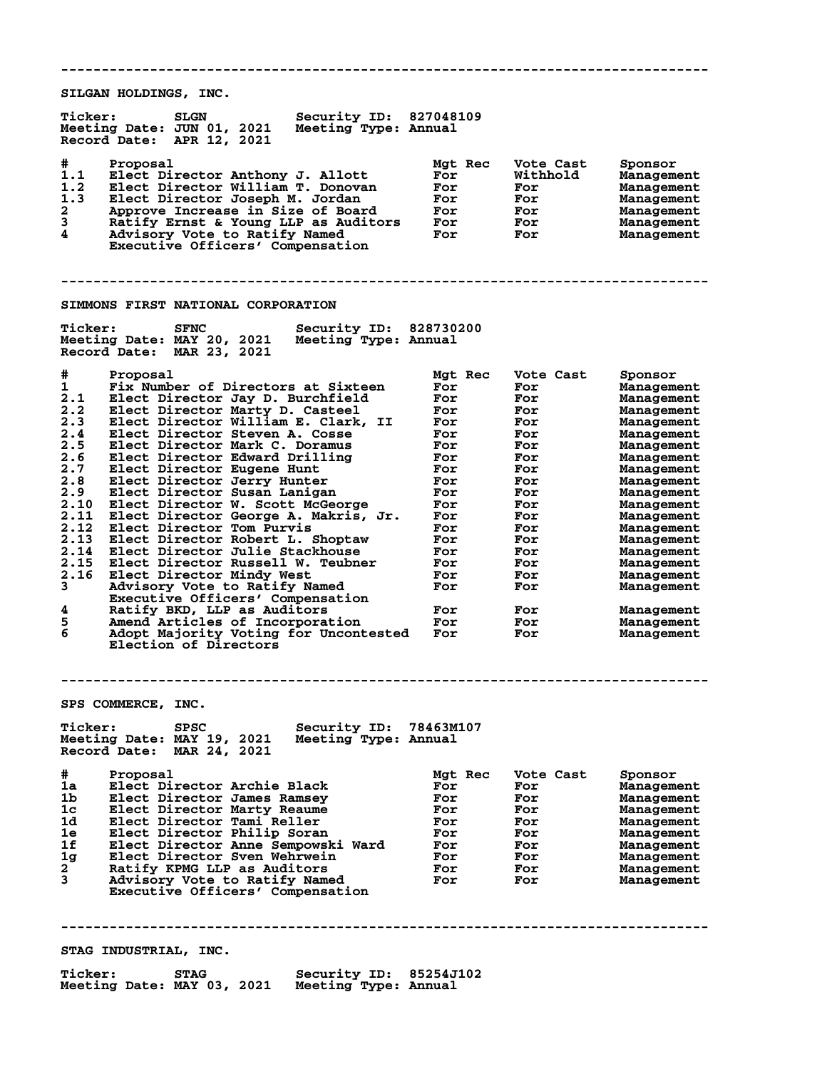**-------------------------------------------------------------------------------- SILGAN HOLDINGS, INC. Ticker: SLGN Security ID: 827048109 Meeting Date: JUN 01, 2021 Meeting Type: Annual Record Date: APR 12, 2021 # Proposal Mgt Rec Vote Cast Sponsor 1.1 Elect Director Anthony J. Allott For Withhold Management 1.2 Elect Director William T. Donovan For For Management 1.3 Elect Director Joseph M. Jordan For For Management 2 Approve Increase in Size of Board For For Management 3 Ratify Ernst & Young LLP as Auditors For For Management 4 Advisory Vote to Ratify Named For For Management Executive Officers' Compensation -------------------------------------------------------------------------------- SIMMONS FIRST NATIONAL CORPORATION** Ticker: SFNC Security ID: 828730200<br>Meeting Date: MAY 20, 2021 Meeting Type: Annual<br>Record Date: MAR 23, 2021 **Meeting Date: MAY 20, 2021 Meeting Type: Annual Record Date: MAR 23, 2021 # Proposal Mgt Rec Vote Cast Sponsor 1 Fix Number of Directors at Sixteen For For Management 2.1 Elect Director Jay D. Burchfield For For Management 2.2 Elect Director Marty D. Casteel For For Management 2.3 Elect Director William E. Clark, II For For Management 2.4 Elect Director Steven A. Cosse For For Management 2.5 Elect Director Mark C. Doramus For For Management 2.6 Elect Director Edward Drilling For For Management 2.7 Elect Director Eugene Hunt For For Management 2.8 Elect Director Jerry Hunter For For Management 2.9 Elect Director Susan Lanigan For For Management 2.10 Elect Director W. Scott McGeorge For For Management 2.11 Elect Director George A. Makris, Jr. For For Management 2.12 Elect Director Tom Purvis For For Management 2.13 Elect Director Robert L. Shoptaw For For Management 2.14 Elect Director Julie Stackhouse For For Management 2.15 Elect Director Russell W. Teubner For For Management 2.16 Elect Director Mindy West For For Management 3 Advisory Vote to Ratify Named For For Management Executive Officers' Compensation 4 Ratify BKD, LLP as Auditors For For Management 5 Amend Articles of Incorporation For For Management 6 Adopt Majority Voting for Uncontested For For Management Election of Directors -------------------------------------------------------------------------------- SPS COMMERCE, INC.<br>Ticker: SPSC Ticker: SPSC Security ID: 78463M107 Meeting Date: MAY 19, 2021 Meeting Type: Annual Record Date: MAR 24, 2021 # Proposal Mgt Rec Vote Cast Sponsor 1a Elect Director Archie Black For For Management 1b Elect Director James Ramsey For For Management 1c Elect Director Marty Reaume For For Management 1d Elect Director Tami Reller For For Management 1e Elect Director Philip Soran For For Management 1f Elect Director Anne Sempowski Ward For For Management 1g Elect Director Sven Wehrwein For For Management 2 Ratify KPMG LLP as Auditors For For Management 3 Advisory Vote to Ratify Named For For Management Executive Officers' Compensation -------------------------------------------------------------------------------- STAG INDUSTRIAL, INC. Ticker: STAG Security ID: 85254J102 Meeting Date: MAY 03, 2021 Meeting Type: Annual**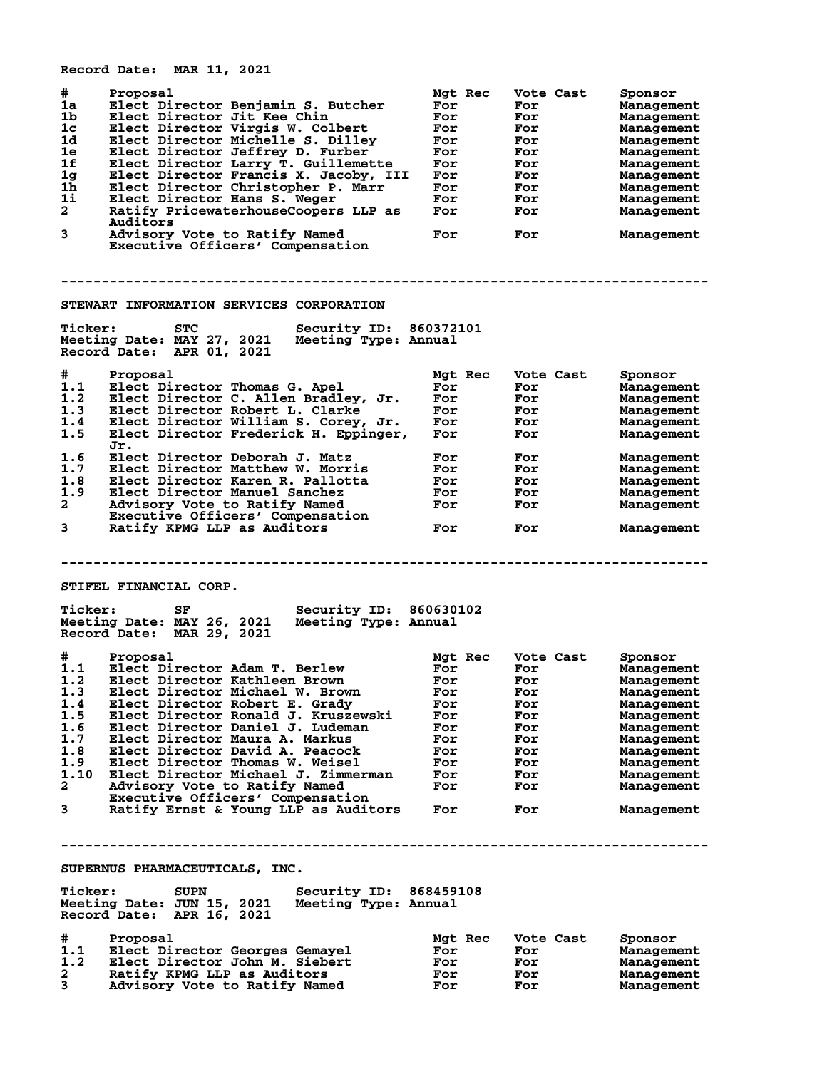|                                                                                               | Record Date: MAR 11, 2021                                                                                                                                                                                                                                                                                                                                                                                                                                                              |                                                                                             |                                                                                               |                                                                                                                                                                                 |
|-----------------------------------------------------------------------------------------------|----------------------------------------------------------------------------------------------------------------------------------------------------------------------------------------------------------------------------------------------------------------------------------------------------------------------------------------------------------------------------------------------------------------------------------------------------------------------------------------|---------------------------------------------------------------------------------------------|-----------------------------------------------------------------------------------------------|---------------------------------------------------------------------------------------------------------------------------------------------------------------------------------|
| #<br>1a<br>1b<br>1c<br>1d<br>1e<br>1f<br>1 <sub>g</sub><br>1h<br>1i<br>$\mathbf{2}^-$<br>3    | Proposal<br>Elect Director Benjamin S. Butcher<br>Elect Director Jit Kee Chin<br>Elect Director Virgis W. Colbert<br>Elect Director Michelle S. Dilley<br>Elect Director Jeffrey D. Furber<br>Elect Director Larry T. Guillemette<br>Elect Director Francis X. Jacoby, III<br>Elect Director Christopher P. Marr<br>Elect Director Hans S. Weger<br>Ratify PricewaterhouseCoopers LLP as<br>Auditors<br>Advisory Vote to Ratify Named<br>Executive Officers' Compensation              | Mgt Rec<br>For<br>For<br>For<br>For<br>For<br>For<br>For<br>For<br>For<br>For<br>For        | Vote Cast<br>For<br>For<br>For<br>For<br>For<br>For<br>For<br>For<br>For<br>For<br>For        | Sponsor<br>Management<br>Management<br>Management<br>Management<br>Management<br>Management<br>Management<br>Management<br>Management<br>Management<br>Management               |
|                                                                                               |                                                                                                                                                                                                                                                                                                                                                                                                                                                                                        |                                                                                             |                                                                                               |                                                                                                                                                                                 |
|                                                                                               | STEWART INFORMATION SERVICES CORPORATION                                                                                                                                                                                                                                                                                                                                                                                                                                               |                                                                                             |                                                                                               |                                                                                                                                                                                 |
| <b>Ticker:</b>                                                                                | <b>Security ID: 860372101</b><br><b>STC</b><br>Meeting Date: MAY 27, 2021<br>Meeting Type: Annual<br>Record Date: APR 01, 2021                                                                                                                                                                                                                                                                                                                                                         |                                                                                             |                                                                                               |                                                                                                                                                                                 |
| #<br>1.1<br>1.2<br>1.3<br>1.4<br>1.5<br>1.6<br>1.7                                            | Proposal<br>Elect Director Thomas G. Apel<br>Elect Director C. Allen Bradley, Jr.<br>Elect Director Robert L. Clarke<br>Elect Director William S. Corey, Jr.<br>Elect Director Frederick H. Eppinger,<br>Jr.<br>Elect Director Deborah J. Matz<br>Elect Director Matthew W. Morris                                                                                                                                                                                                     | Mgt Rec<br>For<br>For<br>For<br>For<br>For<br>For<br>For                                    | Vote Cast<br>For<br>For<br><b>For</b><br>For<br>For<br>For<br>For                             | Sponsor<br>Management<br>Management<br>Management<br>Management<br>Management<br>Management                                                                                     |
| 1.8<br>1.9<br>$\mathbf{2}$<br>3                                                               | Elect Director Karen R. Pallotta<br>Elect Director Manuel Sanchez<br>Advisory Vote to Ratify Named<br>Executive Officers' Compensation<br>Ratify KPMG LLP as Auditors                                                                                                                                                                                                                                                                                                                  | For<br>For<br>For<br>For                                                                    | For<br>For<br>For<br>For                                                                      | Management<br>Management<br>Management<br>Management<br>Management                                                                                                              |
|                                                                                               |                                                                                                                                                                                                                                                                                                                                                                                                                                                                                        |                                                                                             |                                                                                               |                                                                                                                                                                                 |
|                                                                                               | STIFEL FINANCIAL CORP.                                                                                                                                                                                                                                                                                                                                                                                                                                                                 |                                                                                             |                                                                                               |                                                                                                                                                                                 |
| <b>Ticker:</b>                                                                                | Security ID: 860630102<br>SF<br>Meeting Date: MAY 26, 2021<br>Meeting Type: Annual<br>Record Date: MAR 29, 2021                                                                                                                                                                                                                                                                                                                                                                        |                                                                                             |                                                                                               |                                                                                                                                                                                 |
| #<br>1.1<br>1.2<br>1.3<br>1.4<br>1.5<br>1.6<br>1.7<br>1.8<br>1.9<br>1.10<br>2<br>$\mathbf{3}$ | Proposal<br>Elect Director Adam T. Berlew<br>Elect Director Kathleen Brown<br>Elect Director Michael W. Brown<br>Elect Director Robert E. Grady<br>Elect Director Ronald J. Kruszewski<br>Elect Director Daniel J. Ludeman<br>Elect Director Maura A. Markus<br>Elect Director David A. Peacock<br>Elect Director Thomas W. Weisel<br>Elect Director Michael J. Zimmerman<br>Advisory Vote to Ratify Named<br>Executive Officers' Compensation<br>Ratify Ernst & Young LLP as Auditors | Mgt Rec<br>For<br>For<br>For<br>For<br>For<br>For<br>For<br>For<br>For<br>For<br>For<br>For | Vote Cast<br>For<br>For<br>For<br>For<br>For<br>For<br>For<br>For<br>For<br>For<br>For<br>For | Sponsor<br>Management<br>Management<br>Management<br>Management<br>Management<br>Management<br>Management<br>Management<br>Management<br>Management<br>Management<br>Management |
|                                                                                               |                                                                                                                                                                                                                                                                                                                                                                                                                                                                                        |                                                                                             |                                                                                               |                                                                                                                                                                                 |
|                                                                                               | SUPERNUS PHARMACEUTICALS, INC.                                                                                                                                                                                                                                                                                                                                                                                                                                                         |                                                                                             |                                                                                               |                                                                                                                                                                                 |
| <b>Ticker:</b>                                                                                | Security ID: 868459108<br><b>SUPN</b><br>Meeting Date: JUN 15, 2021<br>Meeting Type: Annual<br>Record Date: APR 16, 2021                                                                                                                                                                                                                                                                                                                                                               |                                                                                             |                                                                                               |                                                                                                                                                                                 |
| #<br>1.1<br>1.2<br>2.<br>3                                                                    | Proposal<br>Elect Director Georges Gemayel<br>Elect Director John M. Siebert<br>Ratify KPMG LLP as Auditors<br>Advisory Vote to Ratify Named                                                                                                                                                                                                                                                                                                                                           | Mgt Rec<br>For<br>For<br>For<br>For                                                         | Vote Cast<br>For<br>For<br>For<br>For                                                         | Sponsor<br>Management<br>Management<br>Management<br>Management                                                                                                                 |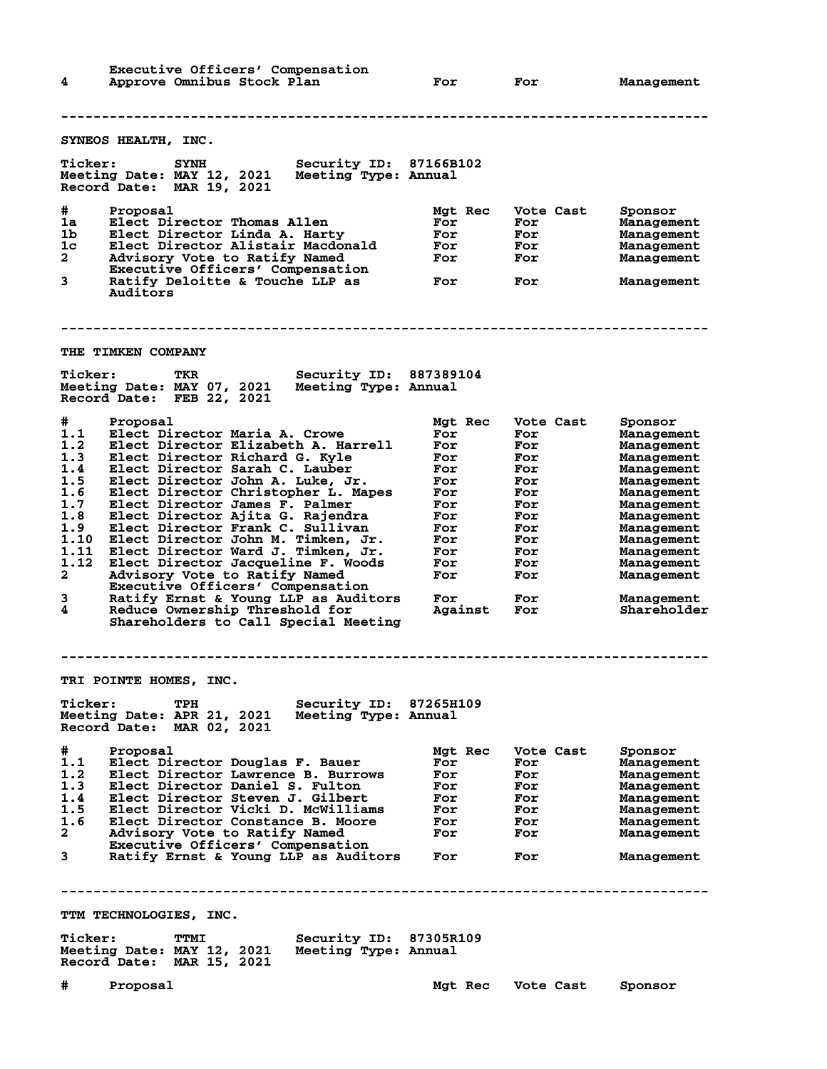| 4                                                                                                       | Executive Officers' Compensation<br>Approve Omnibus Stock Plan                                                                                                                                                                                                                                                                                                                                                                                                                                                                                                                                                                                     |                                                       | For                                                                                                                  |     | For                                                                                                                |                   | Management                                                                                                                                                                                                                        |
|---------------------------------------------------------------------------------------------------------|----------------------------------------------------------------------------------------------------------------------------------------------------------------------------------------------------------------------------------------------------------------------------------------------------------------------------------------------------------------------------------------------------------------------------------------------------------------------------------------------------------------------------------------------------------------------------------------------------------------------------------------------------|-------------------------------------------------------|----------------------------------------------------------------------------------------------------------------------|-----|--------------------------------------------------------------------------------------------------------------------|-------------------|-----------------------------------------------------------------------------------------------------------------------------------------------------------------------------------------------------------------------------------|
|                                                                                                         |                                                                                                                                                                                                                                                                                                                                                                                                                                                                                                                                                                                                                                                    |                                                       |                                                                                                                      |     |                                                                                                                    |                   |                                                                                                                                                                                                                                   |
|                                                                                                         | <b>SYNEOS HEALTH, INC.</b>                                                                                                                                                                                                                                                                                                                                                                                                                                                                                                                                                                                                                         |                                                       |                                                                                                                      |     |                                                                                                                    |                   |                                                                                                                                                                                                                                   |
| <b>Ticker:</b>                                                                                          | <b>SYNH</b><br>Meeting Date: MAY 12, 2021<br>Record Date: MAR 19, 2021                                                                                                                                                                                                                                                                                                                                                                                                                                                                                                                                                                             | Security ID: 87166B102<br>Meeting Type: Annual        |                                                                                                                      |     |                                                                                                                    |                   |                                                                                                                                                                                                                                   |
| #<br>1a<br>1b.<br>1c<br>2<br>3                                                                          | Proposal<br>Elect Director Thomas Allen<br>Elect Director Linda A. Harty<br>Elect Director Alistair Macdonald<br>Advisory Vote to Ratify Named<br>Executive Officers' Compensation<br>Ratify Deloitte & Touche LLP as<br>Auditors                                                                                                                                                                                                                                                                                                                                                                                                                  |                                                       | Mgt Rec<br>For<br>For<br>For<br>For<br>For                                                                           |     | Vote Cast<br>For<br>For<br>For<br>For<br>For                                                                       |                   | Sponsor<br><b>Management</b><br><b>Management</b><br>Management<br>Management<br>Management                                                                                                                                       |
|                                                                                                         | <b>THE TIMKEN COMPANY</b>                                                                                                                                                                                                                                                                                                                                                                                                                                                                                                                                                                                                                          |                                                       |                                                                                                                      |     |                                                                                                                    |                   |                                                                                                                                                                                                                                   |
| <b>Ticker:</b>                                                                                          | TKR<br>Meeting Date: MAY 07, 2021<br>Record Date: FEB 22, 2021                                                                                                                                                                                                                                                                                                                                                                                                                                                                                                                                                                                     | <b>Security ID: 887389104</b><br>Meeting Type: Annual |                                                                                                                      |     |                                                                                                                    |                   |                                                                                                                                                                                                                                   |
| #<br>1.1<br>1.2<br>1.3<br>1.4<br>1.5<br>1.6<br>1.7<br>1.8<br>1.9<br>1.10<br>1.11<br>1.12<br>2<br>3<br>4 | Proposal<br>Elect Director Maria A. Crowe<br>Elect Director Elizabeth A. Harrell<br>Elect Director Richard G. Kyle<br>Elect Director Sarah C. Lauber<br>Elect Director John A. Luke, Jr.<br>Elect Director Christopher L. Mapes<br>Elect Director James F. Palmer<br>Elect Director Ajita G. Rajendra<br>Elect Director Frank C. Sullivan<br>Elect Director John M. Timken, Jr.<br>Elect Director Ward J. Timken, Jr.<br>Elect Director Jacqueline F. Woods<br>Advisory Vote to Ratify Named<br>Executive Officers' Compensation<br>Ratify Ernst & Young LLP as Auditors<br>Reduce Ownership Threshold for<br>Shareholders to Call Special Meeting |                                                       | Mgt Rec<br>For<br>For<br>For<br>For<br>For<br>For<br>For<br>For<br>For<br>For<br>For<br>For<br>For<br>For<br>Against |     | Vote Cast<br>For<br>For<br>For<br>For<br>For<br>For<br>For<br>For<br>For<br>For<br>For<br>For<br>For<br>For<br>For |                   | Sponsor<br><b>Management</b><br>Management<br>Management<br>Management<br>Management<br>Management<br>Management<br>Management<br>Management<br>Management<br>Management<br>Management<br>Management<br>Management<br>Shareholder |
|                                                                                                         | <b>TRI POINTE HOMES, INC.</b>                                                                                                                                                                                                                                                                                                                                                                                                                                                                                                                                                                                                                      |                                                       |                                                                                                                      |     |                                                                                                                    |                   |                                                                                                                                                                                                                                   |
| <b>Ticker:</b>                                                                                          | TPH<br>Meeting Date: APR 21, 2021<br>Record Date: MAR 02, 2021                                                                                                                                                                                                                                                                                                                                                                                                                                                                                                                                                                                     | Security ID: 87265H109<br>Meeting Type: Annual        |                                                                                                                      |     |                                                                                                                    |                   |                                                                                                                                                                                                                                   |
| #<br>1.1<br>1.2<br>1.3<br>1.4<br>1.5<br>1.6<br>$\mathbf{2}$<br>$3^{\circ}$                              | Proposal<br>Elect Director Douglas F. Bauer<br>Elect Director Lawrence B. Burrows<br>Elect Director Daniel S. Fulton<br>Elect Director Steven J. Gilbert<br>Elect Director Vicki D. McWilliams<br>Elect Director Constance B. Moore<br>Advisory Vote to Ratify Named<br>Executive Officers' Compensation<br>Ratify Ernst & Young LLP as Auditors                                                                                                                                                                                                                                                                                                   |                                                       | Mgt Rec<br>For<br>For<br>For<br><b>For</b><br><b>For</b><br>For<br>For                                               | For | Vote Cast<br>For<br>For<br>For<br>For<br>For<br>For<br>For<br>For                                                  |                   | Sponsor<br>Management<br>Management<br>Management<br>Management<br>Management<br>Management<br>Management<br>Management                                                                                                           |
|                                                                                                         |                                                                                                                                                                                                                                                                                                                                                                                                                                                                                                                                                                                                                                                    |                                                       |                                                                                                                      |     |                                                                                                                    |                   |                                                                                                                                                                                                                                   |
|                                                                                                         | TTM TECHNOLOGIES, INC.                                                                                                                                                                                                                                                                                                                                                                                                                                                                                                                                                                                                                             |                                                       |                                                                                                                      |     |                                                                                                                    |                   |                                                                                                                                                                                                                                   |
| <b>Ticker:</b>                                                                                          | TTMI<br>Meeting Date: MAY 12, 2021 Meeting Type: Annual<br>Record Date: MAR 15, 2021                                                                                                                                                                                                                                                                                                                                                                                                                                                                                                                                                               | Security ID: 87305R109                                |                                                                                                                      |     |                                                                                                                    |                   |                                                                                                                                                                                                                                   |
| #                                                                                                       | Proposal                                                                                                                                                                                                                                                                                                                                                                                                                                                                                                                                                                                                                                           |                                                       |                                                                                                                      |     |                                                                                                                    | Mgt Rec Vote Cast | Sponsor                                                                                                                                                                                                                           |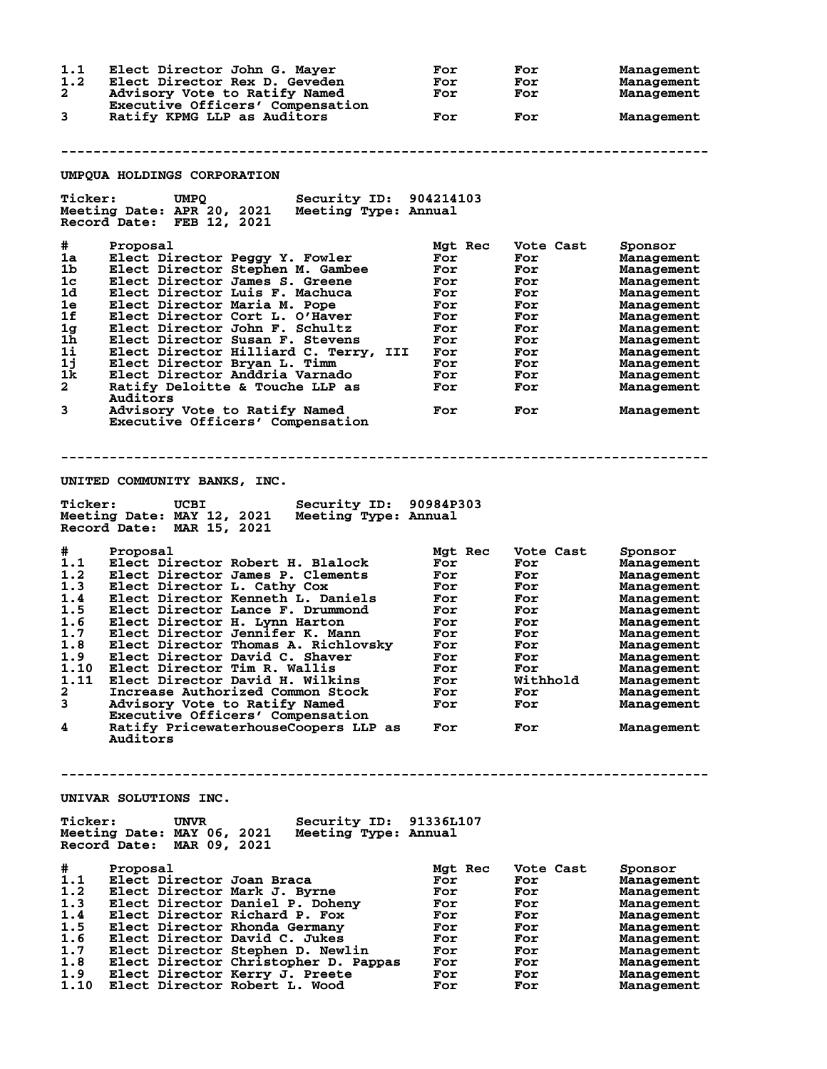| 1.1            | Elect Director John G. Mayer                                                                                             | For        | For        | Management               |
|----------------|--------------------------------------------------------------------------------------------------------------------------|------------|------------|--------------------------|
| 1.2            | Elect Director Rex D. Geveden                                                                                            | For        | For        | Management               |
| 2              | Advisory Vote to Ratify Named                                                                                            | For        | For        | Management               |
|                | Executive Officers' Compensation                                                                                         |            |            |                          |
| 3              | Ratify KPMG LLP as Auditors                                                                                              | For        | For        | Management               |
|                |                                                                                                                          |            |            |                          |
|                | UMPQUA HOLDINGS CORPORATION                                                                                              |            |            |                          |
|                |                                                                                                                          |            |            |                          |
| <b>Ticker:</b> | Security ID: 904214103<br><b>UMPQ</b><br>Meeting Date: APR 20, 2021<br>Meeting Type: Annual<br>Record Date: FEB 12, 2021 |            |            |                          |
| #              | Proposal                                                                                                                 | Mgt Rec    | Vote Cast  |                          |
| 1a             | Elect Director Peggy Y. Fowler                                                                                           | For        | For        | Sponsor<br>Management    |
| 1b             | Elect Director Stephen M. Gambee                                                                                         | For        | For        | Management               |
| 1c             | Elect Director James S. Greene                                                                                           | For        | For        | Management               |
| 1d             | Elect Director Luis F. Machuca                                                                                           | For        | For        | Management               |
| 1e             | Elect Director Maria M. Pope                                                                                             | For        | For        | Management               |
| 1f             | Elect Director Cort L. O'Haver                                                                                           | For        | For        | Management               |
| 1g             | Elect Director John F. Schultz                                                                                           | For        | For        | Management               |
| 1 <sub>h</sub> | Elect Director Susan F. Stevens                                                                                          | For        | For        | Management               |
| 11             | Elect Director Hilliard C. Terry, III                                                                                    | For        | For        | Management               |
| 1j             | Elect Director Bryan L. Timm                                                                                             | For        | For        | Management               |
| 1k             | Elect Director Anddria Varnado                                                                                           | For        | For        | Management               |
| $\overline{a}$ | Ratify Deloitte & Touche LLP as                                                                                          | For        | For        | Management               |
|                | Auditors                                                                                                                 |            |            |                          |
| 3              | Advisory Vote to Ratify Named<br>Executive Officers' Compensation                                                        | For        | For        | Management               |
|                |                                                                                                                          |            |            |                          |
|                |                                                                                                                          |            |            |                          |
|                |                                                                                                                          |            |            |                          |
|                |                                                                                                                          |            |            |                          |
|                | UNITED COMMUNITY BANKS, INC.                                                                                             |            |            |                          |
| <b>Ticker:</b> | Security ID: 90984P303<br>UCBI                                                                                           |            |            |                          |
|                | Meeting Date: MAY 12, 2021<br>Meeting Type: Annual<br>Record Date: MAR 15, 2021                                          |            |            |                          |
|                |                                                                                                                          |            |            |                          |
| #              | Proposal                                                                                                                 | Mgt Rec    | Vote Cast  | Sponsor                  |
| 1.1            | Elect Director Robert H. Blalock                                                                                         | For        | For        | Management               |
| 1.2            | Elect Director James P. Clements                                                                                         | For        | For        | Management               |
| 1.3            | Elect Director L. Cathy Cox                                                                                              | For        | For        | Management               |
| 1.4            | Elect Director Kenneth L. Daniels                                                                                        | For        | For        | Management               |
| 1.5            | Elect Director Lance F. Drummond                                                                                         | For        | For<br>For | Management               |
| 1.6<br>1.7     | Elect Director H. Lynn Harton                                                                                            | For<br>For | For        | Management<br>Management |
| 1.8            | Elect Director Jennifer K. Mann<br>Elect Director Thomas A. Richlovsky                                                   | For        | For        | Management               |
| 1.9            | Elect Director David C. Shaver                                                                                           | For        | For        | Management               |
| 1.10           | Elect Director Tim R. Wallis                                                                                             | For        | For        | Management               |
| 1.11           | Elect Director David H. Wilkins                                                                                          | For        | Withhold   | Management               |
| 2              | Increase Authorized Common Stock                                                                                         | For        | For        | Management               |
| 3              | Advisory Vote to Ratify Named                                                                                            | For        | For        | Management               |
|                | Executive Officers' Compensation                                                                                         |            |            |                          |
| 4              | Ratify PricewaterhouseCoopers LLP as                                                                                     | For        | For        | Management               |
|                | Auditors                                                                                                                 |            |            |                          |
|                |                                                                                                                          |            |            |                          |
|                |                                                                                                                          |            |            |                          |
|                | UNIVAR SOLUTIONS INC.                                                                                                    |            |            |                          |
| <b>Ticker:</b> | Security ID:<br><b>UNVR</b>                                                                                              | 91336L107  |            |                          |
|                | Meeting Date: MAY 06, 2021<br>Meeting Type: Annual                                                                       |            |            |                          |
|                | Record Date: MAR 09, 2021                                                                                                |            |            |                          |
|                |                                                                                                                          |            |            |                          |
| #              | Proposal                                                                                                                 | Mgt Rec    | Vote Cast  | Sponsor                  |
| 1.1            | Elect Director Joan Braca                                                                                                | For        | For        | Management               |
| 1.2            | Elect Director Mark J. Byrne                                                                                             | For        | For        | Management               |
| 1.3            | Elect Director Daniel P. Doheny                                                                                          | For        | For        | Management               |
| 1.4            | Elect Director Richard P. Fox                                                                                            | For        | For        | Management               |
| 1.5            | Elect Director Rhonda Germany                                                                                            | For        | For        | Management               |
| 1.6            | Elect Director David C. Jukes                                                                                            | For<br>For | For<br>For | Management               |
| 1.7<br>1.8     | Elect Director Stephen D. Newlin                                                                                         | For        | For        | Management               |
| 1.9            | Elect Director Christopher D. Pappas<br>Elect Director Kerry J. Preete                                                   | For        | For        | Management<br>Management |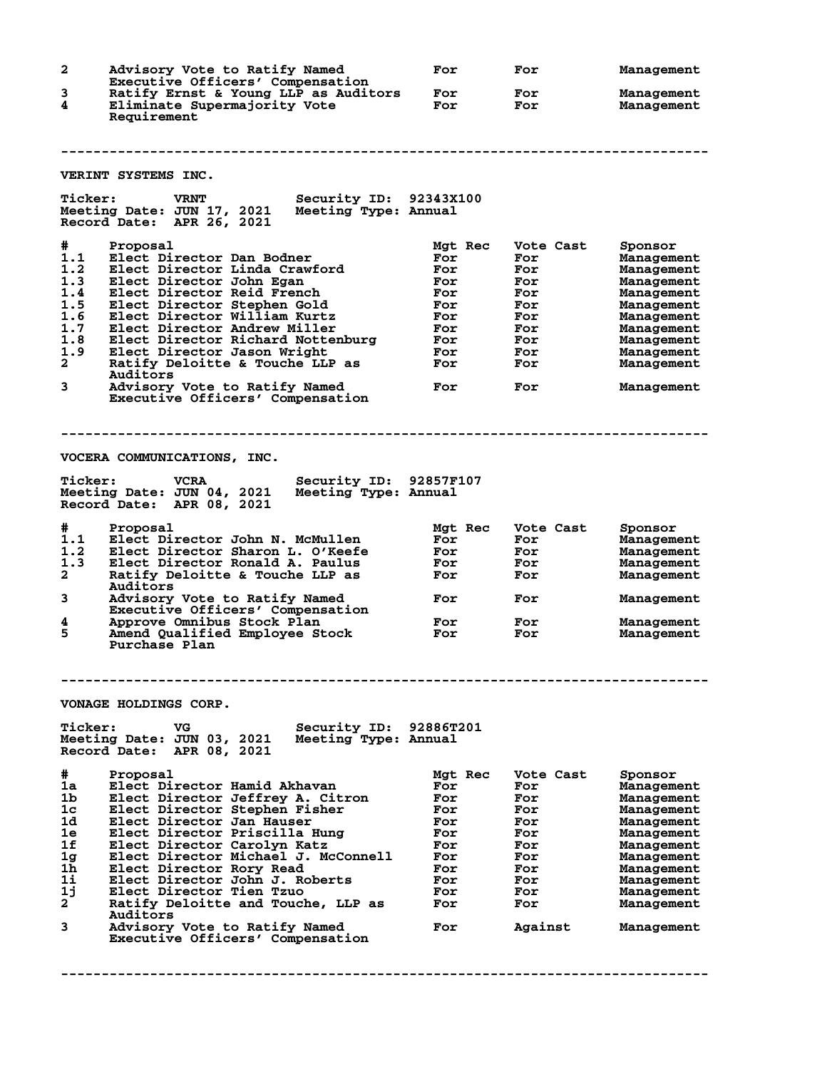**2 Advisory Vote to Ratify Named For For Management Executive Officers' Compensation 3 Ratify Ernst & Young LLP as Auditors For For Management 4 Eliminate Supermajority Vote For For Management Requirement -------------------------------------------------------------------------------- VERINT SYSTEMS INC. Ticker: VRNT Security ID: 92343X100 Meeting Date: JUN 17, 2021 Meeting Type: Annual Record Date: APR 26, 2021 # Proposal Mgt Rec Vote Cast Sponsor 1.1 Elect Director Dan Bodner For For Management 1.2 Elect Director Linda Crawford For For Management 1.3 Elect Director John Egan For For Management 1.4 Elect Director Reid French For For Management 1.5 Elect Director Stephen Gold For For Management 1.6 Elect Director William Kurtz For For Management 1.7 Elect Director Andrew Miller For For Management 1.8 Elect Director Richard Nottenburg For For Management 1.9 Elect Director Jason Wright For For Management 2 Ratify Deloitte & Touche LLP as For For Management Auditors 3 Advisory Vote to Ratify Named For For Management Executive Officers' Compensation -------------------------------------------------------------------------------- VOCERA COMMUNICATIONS, INC. Ticker: VCRA Security ID: 92857F107 Meeting Date: JUN 04, 2021 Meeting Type: Annual Record Date: APR 08, 2021 # Proposal Mgt Rec Vote Cast Sponsor 1.1 Elect Director John N. McMullen For For Management 1.2 Elect Director Sharon L. O'Keefe For For Management 1.3 Elect Director Ronald A. Paulus For For Management 2 Ratify Deloitte & Touche LLP as For For Management Auditors 3 Advisory Vote to Ratify Named For For Management Executive Officers' Compensation 4 Approve Omnibus Stock Plan For For Management 5 Amend Qualified Employee Stock For For Management Purchase Plan -------------------------------------------------------------------------------- VONAGE HOLDINGS CORP. Ticker: VG Security ID: 92886T201 Meeting Date: JUN 03, 2021 Meeting Type: Annual Record Date: APR 08, 2021 # Proposal Mgt Rec Vote Cast Sponsor 1a Elect Director Hamid Akhavan For For Management 1b Elect Director Jeffrey A. Citron For For Management 1c Elect Director Stephen Fisher For For Management 1d Elect Director Jan Hauser For For Management 1e Elect Director Priscilla Hung For For Management 1f Elect Director Carolyn Katz For For Management 1g Elect Director Michael J. McConnell For For Management 1h Elect Director Rory Read For For Management 1i Elect Director John J. Roberts For For Management 1j Elect Director Tien Tzuo For For Management 2 Ratify Deloitte and Touche, LLP as For For Management Auditors 3 Advisory Vote to Ratify Named For Against Management** Advisory Vote to Ratify Named<br>Executive Officers' Compensation **--------------------------------------------------------------------------------**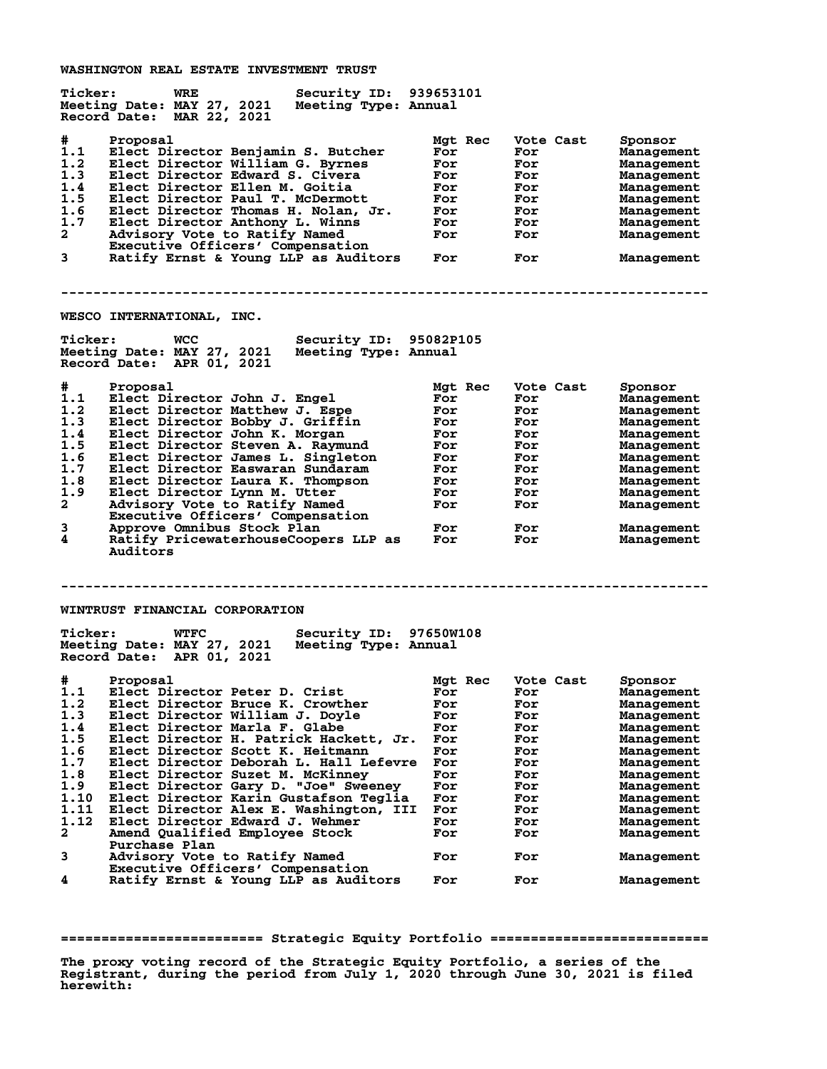**WASHINGTON REAL ESTATE INVESTMENT TRUST**

| <b>Ticker:</b>                                                                                     | <b>WRE</b><br>Security ID: 939653101<br>Meeting Date: MAY 27, 2021<br>Meeting Type: Annual<br>Record Date: MAR 22, 2021                                                                                                                                                                                                                                                                                                                                                                                                                   |                                                                                                    |                                                                                                      |                                                                                                                                                                                               |
|----------------------------------------------------------------------------------------------------|-------------------------------------------------------------------------------------------------------------------------------------------------------------------------------------------------------------------------------------------------------------------------------------------------------------------------------------------------------------------------------------------------------------------------------------------------------------------------------------------------------------------------------------------|----------------------------------------------------------------------------------------------------|------------------------------------------------------------------------------------------------------|-----------------------------------------------------------------------------------------------------------------------------------------------------------------------------------------------|
| #<br>1.1<br>1.2<br>1.3<br>1.4<br>1.5<br>1.6<br>1.7<br>$\mathbf{2}$<br>3                            | Proposal<br>Elect Director Benjamin S. Butcher<br>Elect Director William G. Byrnes<br>Elect Director Edward S. Civera<br>Elect Director Ellen M. Goitia<br>Elect Director Paul T. McDermott<br>Elect Director Thomas H. Nolan, Jr.<br>Elect Director Anthony L. Winns<br>Advisory Vote to Ratify Named<br>Executive Officers' Compensation<br>Ratify Ernst & Young LLP as Auditors                                                                                                                                                        | Mgt Rec<br>For<br>For<br>For<br>For<br>For<br>For<br>For<br>For<br>For                             | Vote Cast<br>For<br>For<br>For<br>For<br>For<br>For<br>For<br>For<br>For                             | Sponsor<br>Management<br>Management<br>Management<br>Management<br>Management<br>Management<br>Management<br>Management<br>Management                                                         |
|                                                                                                    | WESCO INTERNATIONAL, INC.                                                                                                                                                                                                                                                                                                                                                                                                                                                                                                                 |                                                                                                    |                                                                                                      |                                                                                                                                                                                               |
| <b>Ticker:</b>                                                                                     | Security ID: 95082P105<br>WCC<br>Meeting Date: MAY 27, 2021<br>Meeting Type: Annual<br>Record Date: APR 01, 2021                                                                                                                                                                                                                                                                                                                                                                                                                          |                                                                                                    |                                                                                                      |                                                                                                                                                                                               |
| #<br>1.1<br>1.2<br>1.3<br>1.4<br>1.5<br>1.6<br>1.7<br>1.8<br>1.9<br>$\mathbf{2}$<br>3<br>4         | Proposal<br>Elect Director John J. Engel<br>Elect Director Matthew J. Espe<br>Elect Director Bobby J. Griffin<br>Elect Director John K. Morgan<br>Elect Director Steven A. Raymund<br>Elect Director James L. Singleton<br>Elect Director Easwaran Sundaram<br>Elect Director Laura K. Thompson<br>Elect Director Lynn M. Utter<br>Advisory Vote to Ratify Named<br>Executive Officers' Compensation<br>Approve Omnibus Stock Plan<br>Ratify PricewaterhouseCoopers LLP as<br>Auditors                                                    | Mgt Rec<br>For<br>For<br>For<br>For<br>For<br>For<br>For<br>For<br>For<br>For<br>For<br>For        | Vote Cast<br>For<br>For<br>For<br>For<br>For<br>For<br>For<br>For<br>For<br>For<br>For<br>For        | Sponsor<br>Management<br>Management<br>Management<br>Management<br>Management<br>Management<br>Management<br>Management<br>Management<br>Management<br>Management<br>Management               |
|                                                                                                    |                                                                                                                                                                                                                                                                                                                                                                                                                                                                                                                                           |                                                                                                    |                                                                                                      |                                                                                                                                                                                               |
| <b>Ticker:</b>                                                                                     | WINTRUST FINANCIAL CORPORATION<br><b>WTFC</b><br>Security ID: 97650W108<br>Meeting Date: MAY 27, 2021<br>Meeting Type: Annual<br>Record Date: APR 01, 2021                                                                                                                                                                                                                                                                                                                                                                                |                                                                                                    |                                                                                                      |                                                                                                                                                                                               |
| #.<br>1.2<br>1.3<br>1.4<br>1.5<br>1.6<br>1.7<br>1.8<br>1.9<br>1.10<br>1.11<br>1.12<br>$\mathbf{2}$ | Proposal<br>1.1 Elect Director Peter D. Crist<br>Elect Director Bruce K. Crowther<br>Elect Director William J. Doyle<br>Elect Director Marla F. Glabe<br>Elect Director H. Patrick Hackett, Jr.<br>Elect Director Scott K. Heitmann<br>Elect Director Deborah L. Hall Lefevre<br>Elect Director Suzet M. McKinney<br>Elect Director Gary D. "Joe" Sweeney<br>Elect Director Karin Gustafson Teglia<br>Elect Director Alex E. Washington, III<br>Elect Director Edward J. Wehmer<br>Amend Qualified Employee Stock<br><b>Purchase Plan</b> | Mgt Rec<br>For<br>For<br>For<br>For<br>For<br>For<br>For<br>For<br>For<br>For<br>For<br>For<br>For | Vote Cast<br>For<br>For<br>For<br>For<br>For<br>For<br>For<br>For<br>For<br>For<br>For<br>For<br>For | Sponsor<br>Management<br>Management<br>Management<br>Management<br>Management<br>Management<br>Management<br>Management<br>Management<br>Management<br>Management<br>Management<br>Management |
| 3<br>4                                                                                             | Advisory Vote to Ratify Named<br>Executive Officers' Compensation<br>Ratify Ernst & Young LLP as Auditors                                                                                                                                                                                                                                                                                                                                                                                                                                 | For<br>For                                                                                         | For<br>For                                                                                           | Management<br>Management                                                                                                                                                                      |
|                                                                                                    |                                                                                                                                                                                                                                                                                                                                                                                                                                                                                                                                           |                                                                                                    |                                                                                                      |                                                                                                                                                                                               |

**========================= Strategic Equity Portfolio ===========================**

**The proxy voting record of the Strategic Equity Portfolio, a series of the Registrant, during the period from July 1, 2020 through June 30, 2021 is filed herewith:**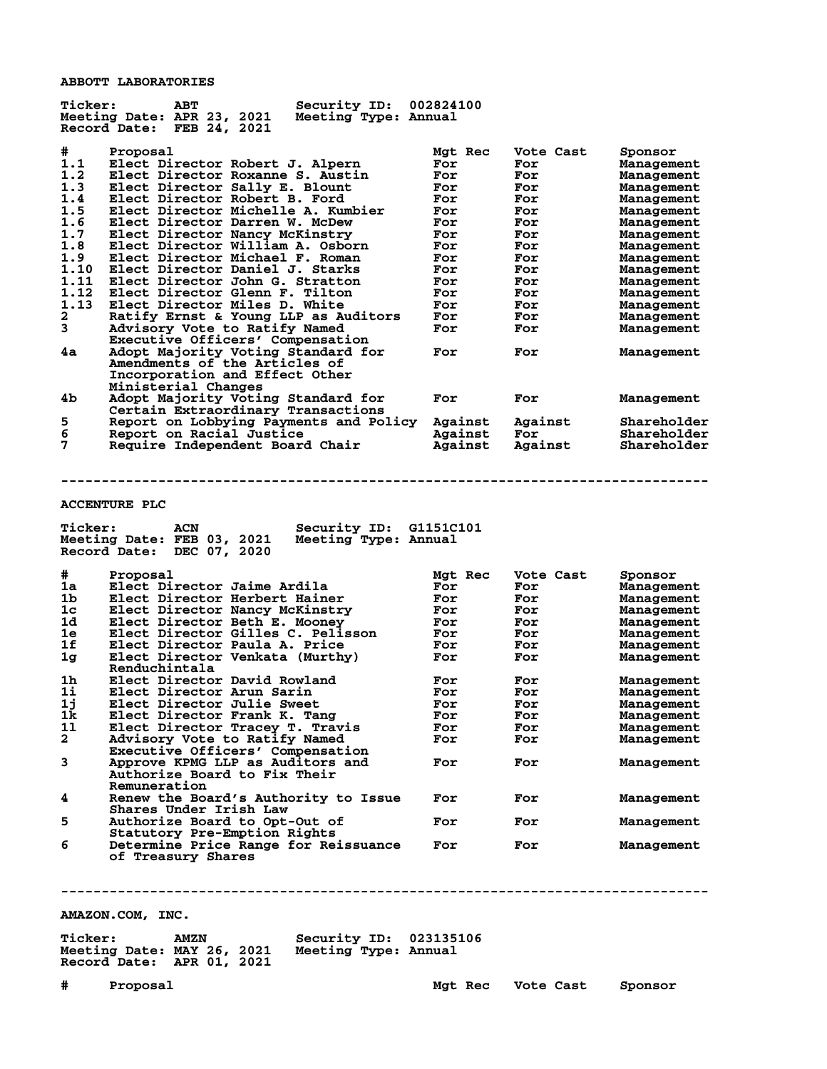**ABBOTT LABORATORIES**

| <b>Ticker:</b> | Security ID:<br><b>ABT</b><br>Meeting Date: APR 23, 2021<br>Meeting Type: Annual<br>Record Date: FEB 24, 2021 | 002824100      |                  |                                 |
|----------------|---------------------------------------------------------------------------------------------------------------|----------------|------------------|---------------------------------|
| #<br>1.1       | Proposal<br>Elect Director Robert J. Alpern                                                                   | Mgt Rec<br>For | Vote Cast<br>For | Sponsor<br><b>Management</b>    |
| 1.2            | Elect Director Roxanne S. Austin<br>Elect Director Sally E. Blount                                            | For            | For              | <b>Management</b>               |
| 1.3<br>1.4     | Elect Director Robert B. Ford                                                                                 | For<br>For     | For              | Management                      |
| 1.5            | Elect Director Michelle A. Kumbier                                                                            | For            | For<br>For       | <b>Management</b><br>Management |
| 1.6            | Elect Director Darren W. McDew                                                                                | For            | For              | Management                      |
| 1.7            | Elect Director Nancy McKinstry                                                                                | For            | For              | <b>Management</b>               |
| 1.8            | Elect Director William A. Osborn                                                                              | For            | For              | Management                      |
| 1.9            | Elect Director Michael F. Roman                                                                               | For            | For              | <b>Management</b>               |
| 1.10           | Elect Director Daniel J. Starks                                                                               | For            | For              | <b>Management</b>               |
| 1.11           | Elect Director John G. Stratton                                                                               | For            | For              | <b>Management</b>               |
| 1.12           | Elect Director Glenn F. Tilton                                                                                | For            | For              | Management                      |
| 1.13           | Elect Director Miles D. White                                                                                 | For            | For              | Management                      |
| 2              | Ratify Ernst & Young LLP as Auditors                                                                          | For            | For              | Management                      |
| 3              | Advisory Vote to Ratify Named                                                                                 | For            | For              | Management                      |
|                | Executive Officers' Compensation                                                                              |                |                  |                                 |
| 4a             | Adopt Majority Voting Standard for<br>Amendments of the Articles of<br>Incorporation and Effect Other         | For            | For              | Management                      |
|                | Ministerial Changes                                                                                           |                |                  |                                 |
| 4b             | Adopt Majority Voting Standard for<br>Certain Extraordinary Transactions                                      | For            | For              | Management                      |
| 5              | Report on Lobbying Payments and Policy                                                                        | Against        | Against          | Shareholder                     |
| 6              | Report on Racial Justice                                                                                      | Against        | For              | Shareholder                     |
| 7              | Require Independent Board Chair                                                                               | Against        | Against          | Shareholder                     |
|                |                                                                                                               |                |                  |                                 |
| <b>Ticker:</b> | <b>ACCENTURE PLC</b><br>Security ID: G1151C101<br>ACN                                                         |                |                  |                                 |
|                | Meeting Date: FEB 03, 2021<br>Meeting Type: Annual<br>DEC 07, 2020<br>Record Date:                            |                |                  |                                 |
|                |                                                                                                               |                |                  |                                 |
| #              | Proposal                                                                                                      | Mgt Rec        | Vote Cast        | Sponsor                         |
| 1a             | Elect Director Jaime Ardila                                                                                   | For            | For              | <b>Management</b>               |
| 1b             | Elect Director Herbert Hainer                                                                                 | For            | For              | Management                      |
| 1c             | Elect Director Nancy McKinstry                                                                                | For            | For              | Management                      |
| 1d             | Elect Director Beth E. Mooney                                                                                 | For            | For              | <b>Management</b>               |
| 1e             | Elect Director Gilles C. Pelisson                                                                             | For            | For              | Management                      |
| 1f             | Elect Director Paula A. Price                                                                                 | For            | For              | <b>Management</b>               |
| 1g             | Elect Director Venkata (Murthy)                                                                               | For            | For              | Management                      |
|                | Renduchintala                                                                                                 |                |                  |                                 |
| 1h             | Elect Director David Rowland<br>Elect Director Arun Sarin                                                     | For            | For<br>For       | Management                      |
| 1i             |                                                                                                               | For            |                  | <b>Management</b>               |
| 1j             | Elect Director Julie Sweet                                                                                    | For            | For              | Management                      |
| 1k.<br>11      | Elect Director Frank K. Tang                                                                                  | For<br>For     | For<br>For       | Management<br>Management        |
| $\mathbf{2}$   | Elect Director Tracey T. Travis<br>Advisory Vote to Ratify Named                                              | For            | For              | Management                      |
|                | Executive Officers' Compensation                                                                              |                |                  |                                 |
| 3              | Approve KPMG LLP as Auditors and<br>Authorize Board to Fix Their                                              | For            | For              | Management                      |
| 4              | Remuneration                                                                                                  | For            | For              | Management                      |
|                | Renew the Board's Authority to Issue<br>Shares Under Irish Law                                                |                |                  |                                 |
| 5              | Authorize Board to Opt-Out of                                                                                 | For            | For              | Management                      |
| 6              | Statutory Pre-Emption Rights<br>Determine Price Range for Reissuance<br>of Treasury Shares                    | For            | For              | Management                      |
|                |                                                                                                               |                |                  |                                 |
|                | AMAZON.COM, INC.                                                                                              |                |                  |                                 |

| <b>Ticker:</b>             | <b>AMZN</b> | <b>Security ID: 023135106</b> |  |
|----------------------------|-------------|-------------------------------|--|
| Meeting Date: MAY 26, 2021 |             | Meeting Type: Annual          |  |
| Record Date: APR 01, 2021  |             |                               |  |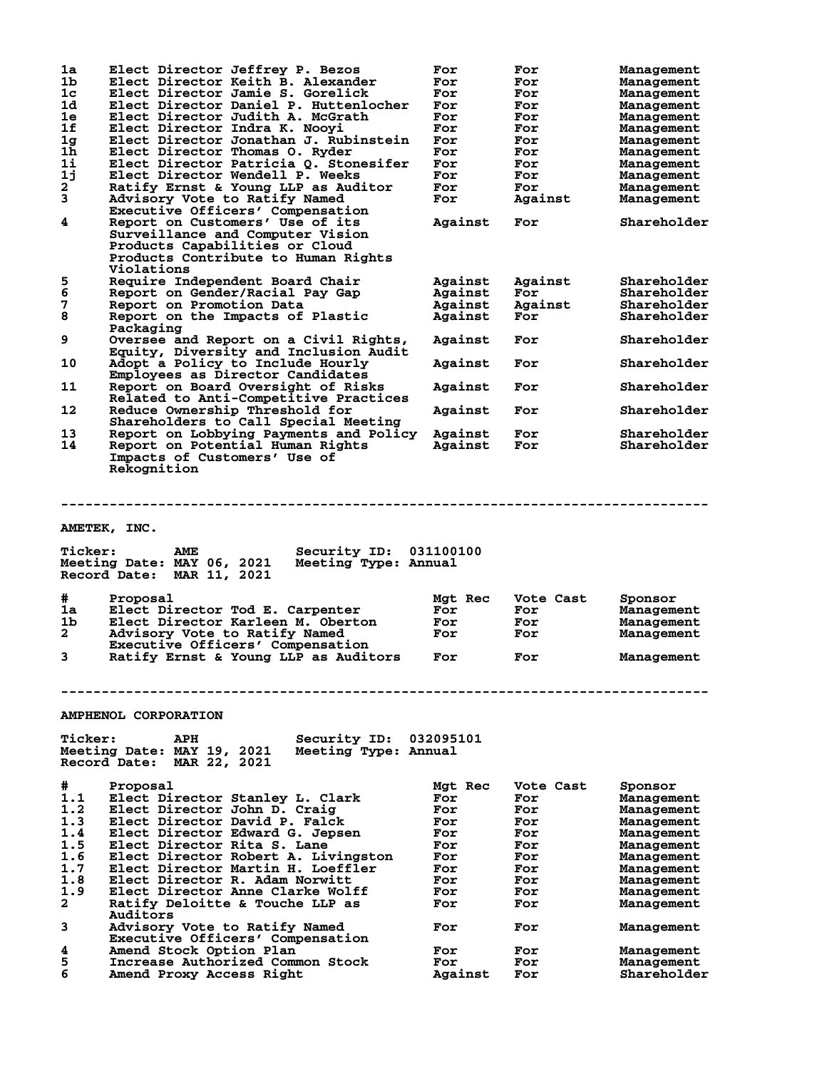| 1a                        | Elect Director Jeffrey P. Bezos                              | For            | For        | Management                |
|---------------------------|--------------------------------------------------------------|----------------|------------|---------------------------|
| 1b                        | Elect Director Keith B. Alexander                            | For            | For        | Management                |
| 1 <sub>c</sub>            | Elect Director Jamie S. Gorelick                             | For            | For        | Management                |
| 1d                        | Elect Director Daniel P. Huttenlocher                        | For            | For        | Management                |
| 1e                        | Elect Director Judith A. McGrath                             | For            | For        | Management                |
| 1f                        | Elect Director Indra K. Nooyi                                | For            | For        | Management                |
| 1g                        | Elect Director Jonathan J. Rubinstein                        | For            | For        |                           |
| 1ĥ                        | Elect Director Thomas O. Ryder                               |                |            | Management                |
|                           |                                                              | For            | For        | Management                |
| 11                        | Elect Director Patricia Q. Stonesifer                        | For            | For        | Management                |
| 1j                        | Elect Director Wendell P. Weeks                              | For            | For        | Management                |
| $\mathbf{2}^{\mathsf{T}}$ | Ratify Ernst & Young LLP as Auditor                          | For            | For        | Management                |
| 3                         | Advisory Vote to Ratify Named                                | For            | Against    | Management                |
|                           | Executive Officers' Compensation                             |                |            |                           |
| 4                         | Report on Customers' Use of its                              | Against        | For        | Shareholder               |
|                           | Surveillance and Computer Vision                             |                |            |                           |
|                           | Products Capabilities or Cloud                               |                |            |                           |
|                           | Products Contribute to Human Rights                          |                |            |                           |
|                           | Violations                                                   |                |            |                           |
| 5                         | Require Independent Board Chair                              | Against        | Against    | Shareholder               |
| 6                         | Report on Gender/Racial Pay Gap                              | Against        | For        | Shareholder               |
| 7                         | Report on Promotion Data                                     | Against        | Against    | Shareholder               |
| 8                         |                                                              |                |            | Shareholder               |
|                           | Report on the Impacts of Plastic                             | Against        | For        |                           |
|                           | Packaging                                                    |                |            |                           |
| 9                         | Oversee and Report on a Civil Rights,                        | Against        | For        | Shareholder               |
|                           | Equity, Diversity and Inclusion Audit                        |                |            |                           |
| 10                        | Adopt a Policy to Include Hourly                             | Against        | For        | Shareholder               |
|                           | Employees as Director Candidates                             |                |            |                           |
| 11                        | Report on Board Oversight of Risks                           | Against        | For        | Shareholder               |
|                           | Related to Anti-Competitive Practices                        |                |            |                           |
| 12                        | Reduce Ownership Threshold for                               | Against        | For        | Shareholder               |
|                           | Shareholders to Call Special Meeting                         |                |            |                           |
| 13                        | Report on Lobbying Payments and Policy                       | Against        | For        | Shareholder               |
| 14                        |                                                              |                |            |                           |
|                           | Report on Potential Human Rights                             | Against        | For        | Shareholder               |
|                           | Impacts of Customers' Use of                                 |                |            |                           |
|                           | Rekognition                                                  |                |            |                           |
|                           |                                                              |                |            |                           |
| <b>Ticker:</b>            | AMETEK, INC.<br>Security ID:<br>AME                          | 031100100      |            |                           |
|                           | Meeting Date: MAY 06, 2021<br>Meeting Type: Annual           |                |            |                           |
|                           | Record Date: MAR 11, 2021                                    |                |            |                           |
|                           |                                                              |                |            |                           |
| #                         | Proposal                                                     | Mgt Rec        | Vote Cast  | Sponsor                   |
| 1a                        | Elect Director Tod E. Carpenter                              | For            | For        | Management                |
| 1b                        | Elect Director Karleen M. Oberton                            | For            | For        | Management                |
| $\mathbf{2}$              | Advisory Vote to Ratify Named                                | For            | For        | Management                |
|                           | Executive Officers' Compensation                             |                |            |                           |
| 3                         |                                                              | For            | For        |                           |
|                           | Ratify Ernst & Young LLP as Auditors                         |                |            | Management                |
|                           |                                                              |                |            |                           |
|                           |                                                              |                |            |                           |
|                           |                                                              |                |            |                           |
|                           |                                                              |                |            |                           |
|                           | <b>AMPHENOL CORPORATION</b>                                  |                |            |                           |
|                           |                                                              |                |            |                           |
| <b>Ticker:</b>            | Security ID:<br>APH                                          | 032095101      |            |                           |
|                           | Meeting Date: MAY 19, 2021<br>Meeting Type: Annual           |                |            |                           |
|                           | Record Date: MAR 22, 2021                                    |                |            |                           |
|                           |                                                              |                |            |                           |
| #                         | Proposal                                                     | Mgt Rec        | Vote Cast  | Sponsor                   |
| 1.1                       | Elect Director Stanley L. Clark                              | For            | For        | Management                |
| 1.2                       | Elect Director John D. Craig                                 | For            | For        | Management                |
| 1.3                       | Elect Director David P. Falck                                | For            | For        | Management                |
| 1.4                       | Elect Director Edward G. Jepsen                              | For            | For        | Management                |
| 1.5                       | Elect Director Rita S. Lane                                  | For            | For        | Management                |
| 1.6                       | Elect Director Robert A. Livingston                          | For            | For        |                           |
|                           |                                                              | For            | For        | Management                |
| 1.7                       | Elect Director Martin H. Loeffler                            |                |            | Management                |
| 1.8                       | Elect Director R. Adam Norwitt                               | For            | For        | Management                |
| 1.9                       | Elect Director Anne Clarke Wolff                             | For            | For        | Management                |
| 2                         | Ratify Deloitte & Touche LLP as                              | For            | For        | Management                |
|                           | Auditors                                                     |                |            |                           |
| 3                         | Advisory Vote to Ratify Named                                | For            | For        | Management                |
|                           | Executive Officers' Compensation                             |                |            |                           |
| 4                         | Amend Stock Option Plan                                      | For            | For        | Management                |
| 5<br>6                    | Increase Authorized Common Stock<br>Amend Proxy Access Right | For<br>Against | For<br>For | Management<br>Shareholder |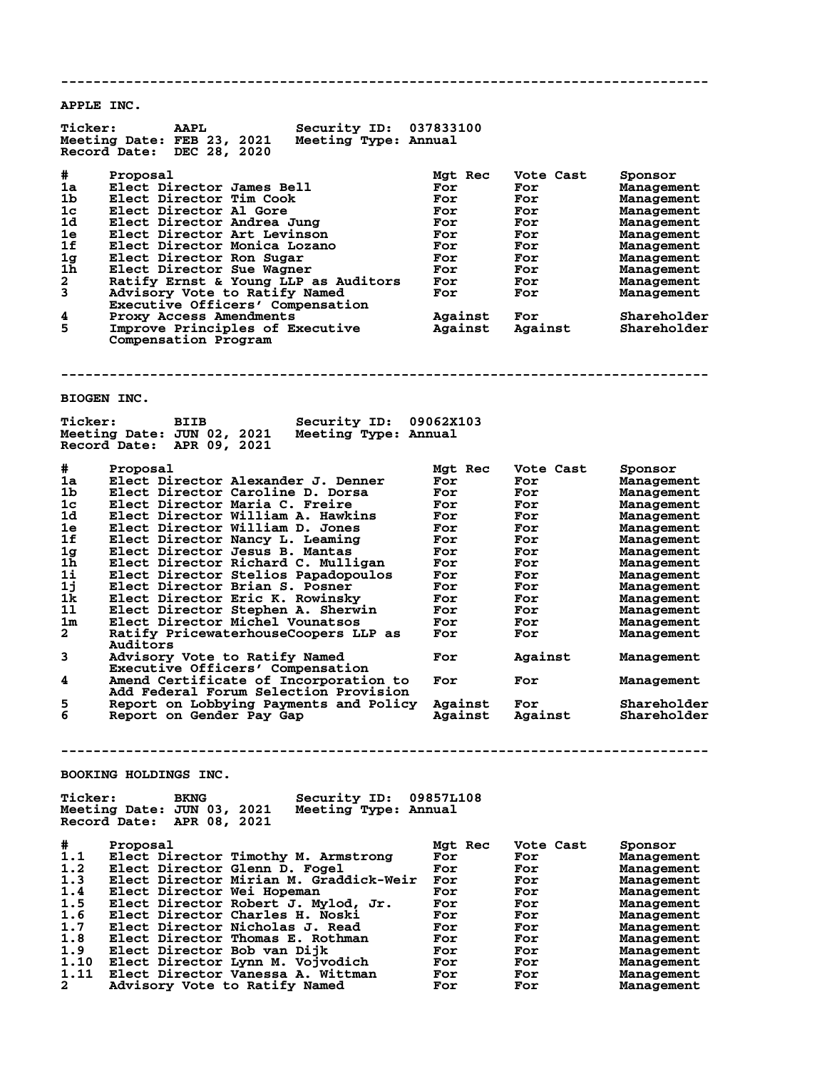**-------------------------------------------------------------------------------- APPLE INC. Ticker: AAPL Security ID: 037833100 Meeting Date: FEB 23, 2021 Meeting Type: Annual Record Date: DEC 28, 2020**  $\begin{tabular}{llllll} $\#$ & \text{Proposal} & \text{Mgt Rec} & \text{Vote Cast} & \text{Sponsor} \cr 1a & \text{Electo} & \text{James Bell} & \text{For} & \text{For} & \text{Management} \cr 1b & \text{Electo} & \text{Tim Cook} & \text{For} & \text{Nonagem} \cr 1c & \text{Electo} & \text{Interco} & \text{Al Gore} & \text{For} & \text{Nonagem} \cr \end{tabular}$ **1a Elect Director James Bell For For Management 1b Elect Director Tim Cook For For Management 1c Elect Director Al Gore For For Management 1d Elect Director Andrea Jung For For Management 1e Elect Director Art Levinson For For Management 1f Elect Director Monica Lozano For For Management 1g Elect Director Ron Sugar For For Management 1h Elect Director Sue Wagner For For Management 2 Ratify Ernst & Young LLP as Auditors For For Management 3 Advisory Vote to Ratify Named For For Management Executive Officers' Compensation**<br>4 Proxy Access Amendments **4 Proxy Access Amendments Against For Shareholder 5 Improve Principles of Executive Against Against Shareholder Compensation Program -------------------------------------------------------------------------------- BIOGEN INC. Ticker: BIIB Security ID: 09062X103 Meeting Date: JUN 02, 2021 Meeting Type: Annual Record Date: APR 09, 2021 # Proposal Mgt Rec Vote Cast Sponsor 1a Elect Director Alexander J. Denner For For Management 1b Elect Director Caroline D. Dorsa For For Management 1c Elect Director Maria C. Freire For For Management 1d Elect Director William A. Hawkins For For Management 1e Elect Director William D. Jones For For Management 1f Elect Director Nancy L. Leaming For For Management 1g Elect Director Jesus B. Mantas For For Management 1h Elect Director Richard C. Mulligan For For Management 1i Elect Director Stelios Papadopoulos For For Management 1j Elect Director Brian S. Posner For For Management 1k Elect Director Eric K. Rowinsky For For Management 1l Elect Director Stephen A. Sherwin For For Management 1m Elect Director Michel Vounatsos For For Management 2 Ratify PricewaterhouseCoopers LLP as For For Management Auditors 3 Advisory Vote to Ratify Named For Against Management Executive Officers' Compensation 4 Amend Certificate of Incorporation to For For Management Add Federal Forum Selection Provision 5 Report on Lobbying Payments and Policy Against For Shareholder** Against Against **-------------------------------------------------------------------------------- BOOKING HOLDINGS INC.** Ticker: BKNG Security ID: 09857L108<br>Meeting Date: JUN 03, 2021 Meeting Type: Annual **Meeting Date: JUN 03, 2021 Meeting Type: Annual Record Date: APR 08, 2021 # Proposal Mgt Rec Vote Cast Sponsor 1.1 Elect Director Timothy M. Armstrong For For Management 1.2 Elect Director Glenn D. Fogel For For Management 1.3 Elect Director Mirian M. Graddick-Weir For For Management 1.4 Elect Director Wei Hopeman For For Management 1.5 Elect Director Robert J. Mylod, Jr. For For Management 1.6 Elect Director Charles H. Noski For For Management 1.7 Elect Director Nicholas J. Read For For Management 1.8 Elect Director Thomas E. Rothman For For Management 1.9 Elect Director Bob van Dijk For For Management 1.10 Elect Director Lynn M. Vojvodich For For Management 1.11 Elect Director Vanessa A. Wittman For For Management 2 Advisory Vote to Ratify Named For For Management**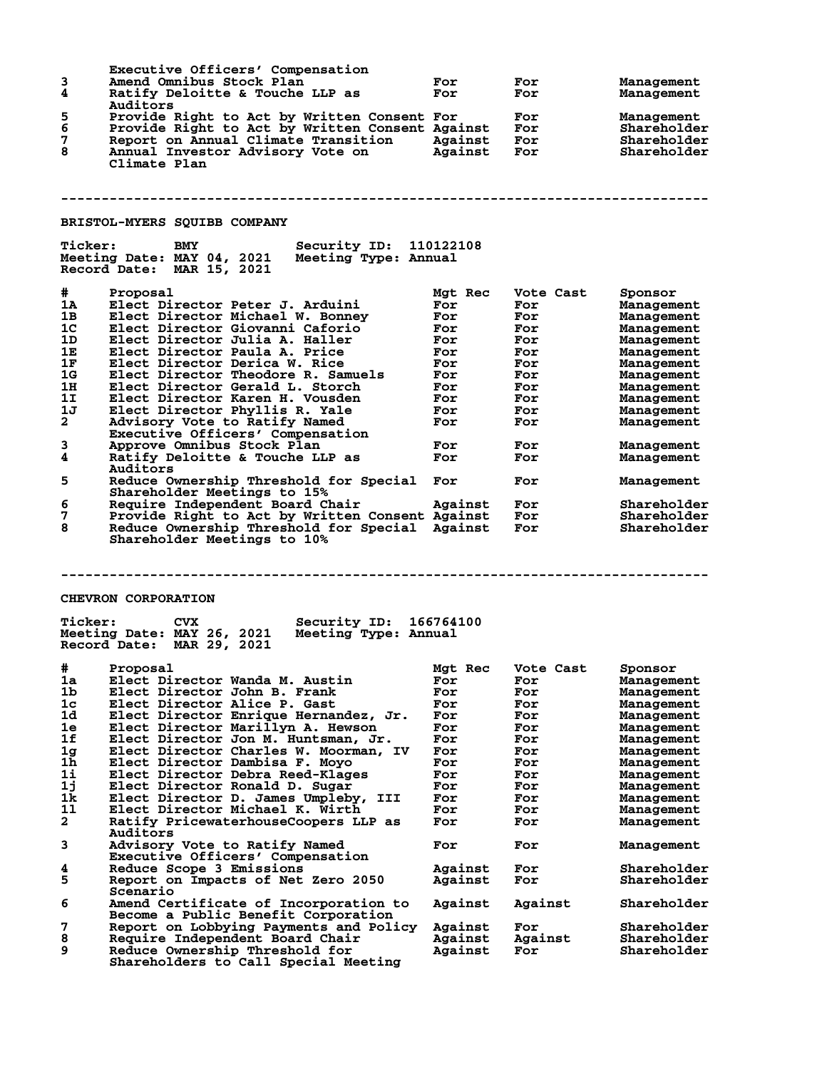|                | Executive Officers' Compensation                                       |            |            |                    |
|----------------|------------------------------------------------------------------------|------------|------------|--------------------|
| 3              | Amend Omnibus Stock Plan                                               | For        | For        | Management         |
| 4              | Ratify Deloitte & Touche LLP as                                        | For        | For        | Management         |
|                | Auditors                                                               |            |            |                    |
| 5              | Provide Right to Act by Written Consent For                            |            | For        | Management         |
| 6              | Provide Right to Act by Written Consent Against                        |            | For        | Shareholder        |
| 7              | Report on Annual Climate Transition Against                            |            | For        | Shareholder        |
| 8              | Annual Investor Advisory Vote on                                       | Against    | For        | Shareholder        |
|                | Climate Plan                                                           |            |            |                    |
|                |                                                                        |            |            |                    |
|                |                                                                        |            |            |                    |
|                |                                                                        |            |            |                    |
|                |                                                                        |            |            |                    |
|                |                                                                        |            |            |                    |
|                | <b>BRISTOL-MYERS SQUIBB COMPANY</b>                                    |            |            |                    |
| <b>Ticker:</b> | Security ID: 110122108<br>BMY                                          |            |            |                    |
|                | Meeting Date: MAY 04, 2021<br>Meeting Type: Annual                     |            |            |                    |
|                | Record Date: MAR 15, 2021                                              |            |            |                    |
|                |                                                                        |            |            |                    |
|                |                                                                        |            |            |                    |
| #              | Proposal                                                               | Mgt Rec    | Vote Cast  | Sponsor            |
| 1A             | Elect Director Peter J. Arduini                                        | For        | For        | Management         |
| 1B             | Elect Director Michael W. Bonney                                       | For        | For        | Management         |
| 1 <sub>C</sub> | Elect Director Giovanni Caforio                                        | For        | For        | Management         |
| 1D             | Elect Director Julia A. Haller                                         | For        | For        | Management         |
| 1E             | Elect Director Paula A. Price                                          | For        | For        | Management         |
| 1F             | Elect Director Derica W. Rice                                          | For        | For        | Management         |
| 1G             | Elect Director Theodore R. Samuels                                     | For        | For        | Management         |
| 1н             | Elect Director Gerald L. Storch                                        | For        | For        | Management         |
| 1I             | Elect Director Karen H. Vousden                                        | For        | For        | Management         |
| 1J             | Elect Director Phyllis R. Yale                                         | For        | For        | Management         |
| $\mathbf{2}$   | Advisory Vote to Ratify Named                                          | For        | For        | Management         |
|                | Executive Officers' Compensation                                       |            |            |                    |
| 3              | Approve Omnibus Stock Plan                                             | For        | For        | Management         |
| 4              | Ratify Deloitte & Touche LLP as                                        | For        | For        | Management         |
|                | Auditors                                                               |            |            |                    |
|                |                                                                        |            |            |                    |
| 5              | Reduce Ownership Threshold for Special                                 | For        | For        | Management         |
|                | Shareholder Meetings to 15%                                            |            |            |                    |
| 6              | Require Independent Board Chair                                        | Against    | For        | Shareholder        |
| 7              | Provide Right to Act by Written Consent Against                        |            | For        | Shareholder        |
| 8              | Reduce Ownership Threshold for Special Against                         |            | For        | Shareholder        |
|                | Shareholder Meetings to 10%                                            |            |            |                    |
|                |                                                                        |            |            |                    |
|                |                                                                        |            |            |                    |
|                |                                                                        |            |            |                    |
|                |                                                                        |            |            |                    |
|                | <b>CHEVRON CORPORATION</b>                                             |            |            |                    |
|                |                                                                        |            |            |                    |
| <b>Ticker:</b> | <b>CVX</b><br><b>Security ID:</b>                                      | 166764100  |            |                    |
|                | Meeting Date: MAY 26, 2021<br>Meeting Type: Annual                     |            |            |                    |
|                |                                                                        |            |            |                    |
|                | Record Date: MAR 29, 2021                                              |            |            |                    |
|                |                                                                        |            |            |                    |
| #              | Proposal                                                               | Mgt Rec    |            |                    |
|                |                                                                        |            | Vote Cast  | Sponsor            |
| 1a<br>1b       | Elect Director Wanda M. Austin<br>Elect Director John B. Frank         | For<br>For | For<br>For | <b>Management</b>  |
|                |                                                                        |            |            | Management         |
| 1 <sub>c</sub> | Elect Director Alice P. Gast                                           | For        | For        | Management         |
| 1d             | Elect Director Enrique Hernandez, Jr.                                  | For        | For        | Management         |
| 1e             | Elect Director Marillyn A. Hewson                                      | For        | For        | Management         |
| 1f             | Elect Director Jon M. Huntsman, Jr.                                    | For        | For        | Management         |
| 1 <sub>g</sub> | Elect Director Charles W. Moorman, IV                                  | For        | For        | Management         |
| 1h             | Elect Director Dambisa F. Moyo                                         | For        | For        | Management         |
| 11             | Elect Director Debra Reed-Klages                                       | For        | For        | Management         |
| 1j             | Elect Director Ronald D. Sugar                                         | For        | For        | Management         |
| 1k             | Elect Director D. James Umpleby, III                                   | For        | For        | Management         |
| 11             | Elect Director Michael K. Wirth                                        | For        | For        | Management         |
| $\overline{a}$ | Ratify PricewaterhouseCoopers LLP as                                   | For        | For        | Management         |
|                | Auditors                                                               |            |            |                    |
| 3              | Advisory Vote to Ratify Named                                          | For        | For        | Management         |
|                | Executive Officers' Compensation                                       |            |            |                    |
| 4              | Reduce Scope 3 Emissions                                               | Against    | For        | <b>Shareholder</b> |
| 5              |                                                                        | Against    | For        | <b>Shareholder</b> |
|                | Report on Impacts of Net Zero 2050<br>Scenario                         |            |            |                    |
|                |                                                                        |            |            |                    |
| 6              | Amend Certificate of Incorporation to                                  | Against    | Against    | Shareholder        |
|                | Become a Public Benefit Corporation                                    |            |            |                    |
| 7              | Report on Lobbying Payments and Policy                                 | Against    | For        | Shareholder        |
| 8              | Require Independent Board Chair                                        | Against    | Against    | Shareholder        |
| 9              | Reduce Ownership Threshold for<br>Shareholders to Call Special Meeting | Against    | For        | Shareholder        |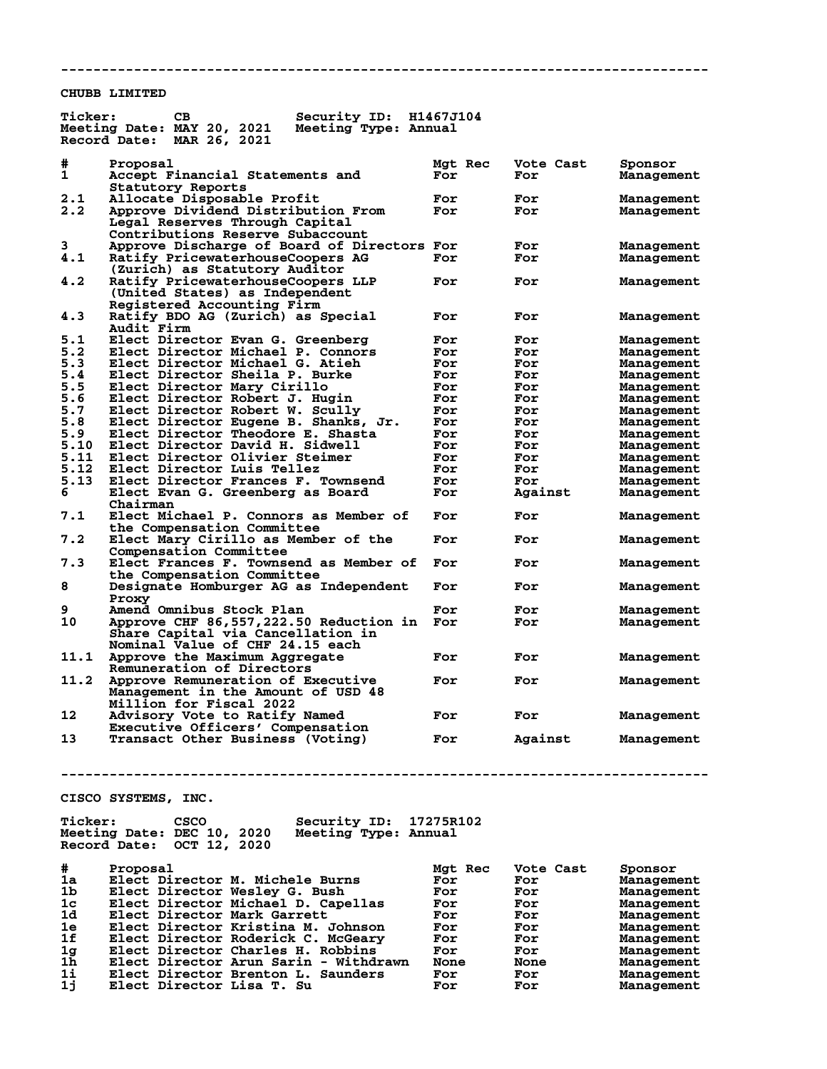**CHUBB LIMITED**

| <b>Ticker:</b>            | CВ<br>Security ID:<br>Meeting Date: MAY 20, 2021<br>Meeting Type: Annual<br>Record Date:<br>MAR 26, 2021 | H1467J104      |                  |                              |
|---------------------------|----------------------------------------------------------------------------------------------------------|----------------|------------------|------------------------------|
| #<br>1                    | Proposal<br>Accept Financial Statements and                                                              | Mgt Rec<br>For | Vote Cast<br>For | Sponsor<br><b>Management</b> |
|                           | Statutory Reports                                                                                        |                |                  |                              |
| 2.1                       | Allocate Disposable Profit                                                                               | For            | For              | Management                   |
| 2.2                       | Approve Dividend Distribution From                                                                       | For            | For              | Management                   |
|                           | Legal Reserves Through Capital                                                                           |                |                  |                              |
|                           | Contributions Reserve Subaccount                                                                         |                |                  |                              |
|                           | Approve Discharge of Board of Directors For                                                              |                |                  |                              |
| 3                         |                                                                                                          |                | For              | Management                   |
| 4.1                       | Ratify PricewaterhouseCoopers AG                                                                         | For            | For              | Management                   |
|                           | (Zurich) as Statutory Auditor                                                                            |                |                  |                              |
| 4.2                       | Ratify PricewaterhouseCoopers LLP                                                                        | For            | For              | Management                   |
|                           | (United States) as Independent                                                                           |                |                  |                              |
|                           | Registered Accounting Firm                                                                               |                |                  |                              |
| 4.3                       | Ratify BDO AG (Zurich) as Special                                                                        | For            | For              | Management                   |
|                           | <b>Audit Firm</b>                                                                                        |                |                  |                              |
| 5.1                       | Elect Director Evan G. Greenberg                                                                         | For            | For              | Management                   |
| 5.2                       | Elect Director Michael P. Connors                                                                        | For            | For              | <b>Management</b>            |
| 5.3                       |                                                                                                          |                |                  |                              |
|                           | Elect Director Michael G. Atieh                                                                          | For            | For              | Management                   |
| 5.4                       | Elect Director Sheila P. Burke                                                                           | For            | For              | Management                   |
| 5.5                       | Elect Director Mary Cirillo                                                                              | For            | For              | Management                   |
| 5.6                       | Elect Director Robert J. Hugin                                                                           | For            | For              | Management                   |
| 5.7                       | Elect Director Robert W. Scully                                                                          | For            | For              | Management                   |
| 5.8                       | Elect Director Eugene B. Shanks, Jr.                                                                     | For            | For              | Management                   |
| 5.9                       | Elect Director Theodore E. Shasta                                                                        | For            | For              | Management                   |
|                           |                                                                                                          |                |                  |                              |
| 5.10                      | Elect Director David H. Sidwell                                                                          | For            | For              | Management                   |
| 5.11                      | Elect Director Olivier Steimer                                                                           | For            | For              | Management                   |
| 5.12                      | Elect Director Luis Tellez                                                                               | For            | For              | Management                   |
| 5.13                      | Elect Director Frances F. Townsend                                                                       | For            | For              | Management                   |
| 6                         | Elect Evan G. Greenberg as Board                                                                         | For            | Against          | Management                   |
|                           | Chairman                                                                                                 |                |                  |                              |
| 7.1                       | Elect Michael P. Connors as Member of                                                                    | For            | For              | Management                   |
|                           |                                                                                                          |                |                  |                              |
|                           | the Compensation Committee                                                                               |                |                  |                              |
| 7.2                       | Elect Mary Cirillo as Member of the                                                                      | For            | For              | Management                   |
|                           | Compensation Committee                                                                                   |                |                  |                              |
| 7.3                       | Elect Frances F. Townsend as Member of                                                                   | For            | For              | Management                   |
|                           | the Compensation Committee                                                                               |                |                  |                              |
| 8                         | Designate Homburger AG as Independent                                                                    | For            | For              | Management                   |
|                           | Proxy                                                                                                    |                |                  |                              |
| 9                         |                                                                                                          |                |                  |                              |
|                           | Amend Omnibus Stock Plan                                                                                 | For            | For              | <b>Management</b>            |
| 10                        | Approve CHF 86,557,222.50 Reduction in                                                                   | For            | For              | <b>Management</b>            |
|                           | Share Capital via Cancellation in                                                                        |                |                  |                              |
|                           | Nominal Value of CHF 24.15 each                                                                          |                |                  |                              |
| 11.1                      | Approve the Maximum Aggregate                                                                            | For            | For              | Management                   |
|                           | Remuneration of Directors                                                                                |                |                  |                              |
| 11.2                      | Approve Remuneration of Executive                                                                        | For            | For              | Management                   |
|                           | Management in the Amount of USD 48                                                                       |                |                  |                              |
|                           |                                                                                                          |                |                  |                              |
|                           | <b>Million for Fiscal 2022</b>                                                                           |                |                  |                              |
| 12                        | Advisory Vote to Ratify Named                                                                            | For            | For              | Management                   |
|                           | Executive Officers' Compensation                                                                         |                |                  |                              |
| 13                        | Transact Other Business (Voting)                                                                         | For            | Against          | Management                   |
|                           |                                                                                                          |                |                  |                              |
|                           |                                                                                                          |                |                  |                              |
|                           |                                                                                                          |                |                  |                              |
|                           |                                                                                                          |                |                  |                              |
|                           | CISCO SYSTEMS, INC.                                                                                      |                |                  |                              |
|                           |                                                                                                          |                |                  |                              |
| <b>Ticker:</b>            | CSCO<br>Security ID: 17275R102                                                                           |                |                  |                              |
|                           |                                                                                                          |                |                  |                              |
|                           | Meeting Date: DEC 10, 2020<br>Meeting Type: Annual                                                       |                |                  |                              |
| Record Date: OCT 12, 2020 |                                                                                                          |                |                  |                              |
|                           |                                                                                                          |                |                  |                              |
| #                         | Proposal                                                                                                 | Mgt Rec        | Vote Cast        | Sponsor                      |
| 1a                        | Elect Director M. Michele Burns                                                                          | For            | For              | Management                   |
| 1 <sub>b</sub>            | Elect Director Wesley G. Bush                                                                            | For            | For              | Management                   |
| 1 <sub>c</sub>            | Elect Director Michael D. Capellas                                                                       | For            | For              | Management                   |
| 1d.                       |                                                                                                          |                |                  |                              |
|                           | Elect Director Mark Garrett                                                                              | For            | For              | Management                   |
| 1e                        | Elect Director Kristina M. Johnson                                                                       | For            | For              | Management                   |
| 1f                        | Elect Director Roderick C. McGeary                                                                       | For            | For              | Management                   |

**1g Elect Director Charles H. Robbins For For Management 1h Elect Director Arun Sarin - Withdrawn None None Management 1i Elect Director Brenton L. Saunders For For Management 1j Elect Director Lisa T. Su For For Management**

**--------------------------------------------------------------------------------**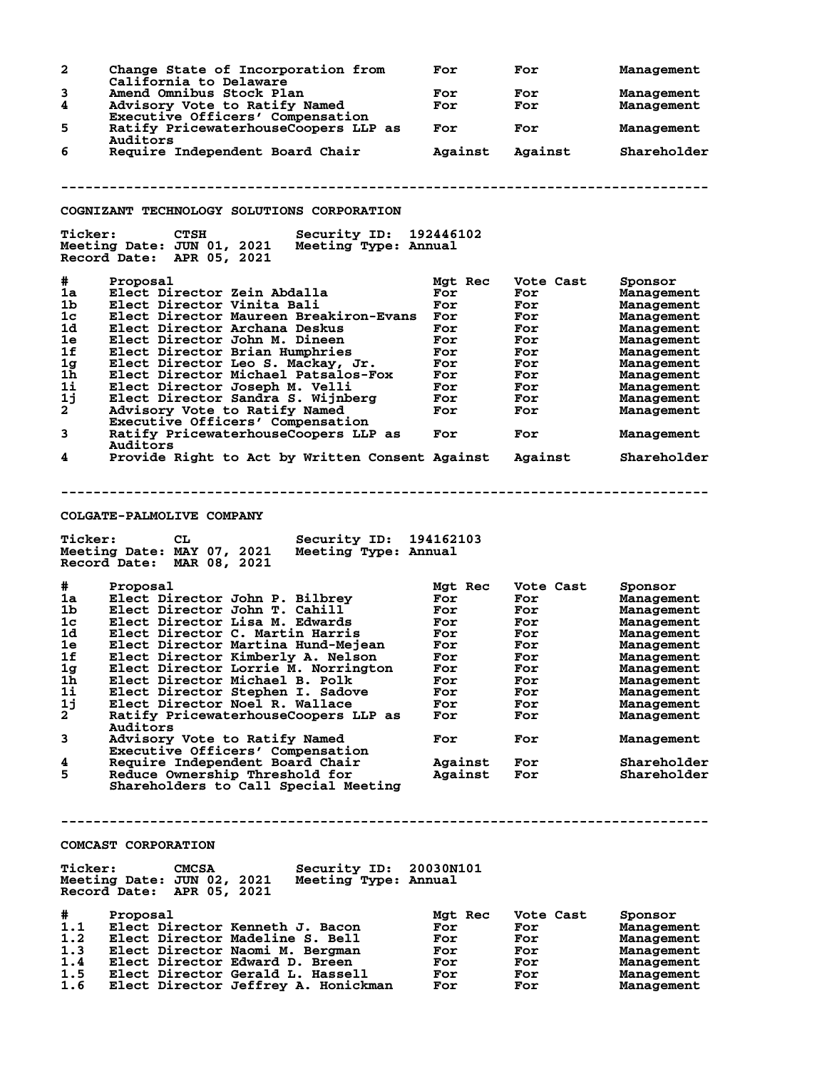| 2                                                                                                               | Change State of Incorporation from                                                                                                                                                                                                                                                                                                                                                                                                                                                                                                                                                                                                                                                                                                   | For                                                                                                                      | For                                                                                                         | Management                                                                                                                                                                                                    |
|-----------------------------------------------------------------------------------------------------------------|--------------------------------------------------------------------------------------------------------------------------------------------------------------------------------------------------------------------------------------------------------------------------------------------------------------------------------------------------------------------------------------------------------------------------------------------------------------------------------------------------------------------------------------------------------------------------------------------------------------------------------------------------------------------------------------------------------------------------------------|--------------------------------------------------------------------------------------------------------------------------|-------------------------------------------------------------------------------------------------------------|---------------------------------------------------------------------------------------------------------------------------------------------------------------------------------------------------------------|
| 3                                                                                                               | California to Delaware<br>Amend Omnibus Stock Plan                                                                                                                                                                                                                                                                                                                                                                                                                                                                                                                                                                                                                                                                                   | For                                                                                                                      | For                                                                                                         | Management                                                                                                                                                                                                    |
| 4                                                                                                               | Advisory Vote to Ratify Named                                                                                                                                                                                                                                                                                                                                                                                                                                                                                                                                                                                                                                                                                                        | For                                                                                                                      | For                                                                                                         | Management                                                                                                                                                                                                    |
|                                                                                                                 | Executive Officers' Compensation                                                                                                                                                                                                                                                                                                                                                                                                                                                                                                                                                                                                                                                                                                     |                                                                                                                          |                                                                                                             |                                                                                                                                                                                                               |
| 5                                                                                                               | Ratify PricewaterhouseCoopers LLP as                                                                                                                                                                                                                                                                                                                                                                                                                                                                                                                                                                                                                                                                                                 | For                                                                                                                      | For                                                                                                         | Management                                                                                                                                                                                                    |
|                                                                                                                 | Auditors                                                                                                                                                                                                                                                                                                                                                                                                                                                                                                                                                                                                                                                                                                                             |                                                                                                                          |                                                                                                             |                                                                                                                                                                                                               |
| 6                                                                                                               | Require Independent Board Chair                                                                                                                                                                                                                                                                                                                                                                                                                                                                                                                                                                                                                                                                                                      | Against                                                                                                                  | Against                                                                                                     | Shareholder                                                                                                                                                                                                   |
|                                                                                                                 |                                                                                                                                                                                                                                                                                                                                                                                                                                                                                                                                                                                                                                                                                                                                      |                                                                                                                          |                                                                                                             |                                                                                                                                                                                                               |
|                                                                                                                 |                                                                                                                                                                                                                                                                                                                                                                                                                                                                                                                                                                                                                                                                                                                                      |                                                                                                                          |                                                                                                             |                                                                                                                                                                                                               |
|                                                                                                                 |                                                                                                                                                                                                                                                                                                                                                                                                                                                                                                                                                                                                                                                                                                                                      |                                                                                                                          |                                                                                                             |                                                                                                                                                                                                               |
|                                                                                                                 | COGNIZANT TECHNOLOGY SOLUTIONS CORPORATION                                                                                                                                                                                                                                                                                                                                                                                                                                                                                                                                                                                                                                                                                           |                                                                                                                          |                                                                                                             |                                                                                                                                                                                                               |
| <b>Ticker:</b>                                                                                                  | <b>CTSH</b><br>Security ID: 192446102<br>Meeting Date: JUN 01, 2021<br>Meeting Type: Annual<br>Record Date: APR 05, 2021                                                                                                                                                                                                                                                                                                                                                                                                                                                                                                                                                                                                             |                                                                                                                          |                                                                                                             |                                                                                                                                                                                                               |
| #                                                                                                               | Proposal                                                                                                                                                                                                                                                                                                                                                                                                                                                                                                                                                                                                                                                                                                                             | Mgt Rec                                                                                                                  | Vote Cast                                                                                                   | Sponsor                                                                                                                                                                                                       |
| 1a                                                                                                              | Elect Director Zein Abdalla                                                                                                                                                                                                                                                                                                                                                                                                                                                                                                                                                                                                                                                                                                          | For                                                                                                                      | For                                                                                                         | Management                                                                                                                                                                                                    |
| 1b                                                                                                              | Elect Director Vinita Bali                                                                                                                                                                                                                                                                                                                                                                                                                                                                                                                                                                                                                                                                                                           | For                                                                                                                      | For                                                                                                         | Management                                                                                                                                                                                                    |
| 1 <sub>c</sub>                                                                                                  | Elect Director Maureen Breakiron-Evans                                                                                                                                                                                                                                                                                                                                                                                                                                                                                                                                                                                                                                                                                               | For                                                                                                                      | For                                                                                                         | Management                                                                                                                                                                                                    |
| 1d                                                                                                              | Elect Director Archana Deskus                                                                                                                                                                                                                                                                                                                                                                                                                                                                                                                                                                                                                                                                                                        | For                                                                                                                      | For                                                                                                         | Management                                                                                                                                                                                                    |
| 1e                                                                                                              | Elect Director John M. Dineen                                                                                                                                                                                                                                                                                                                                                                                                                                                                                                                                                                                                                                                                                                        | For                                                                                                                      | For                                                                                                         | Management                                                                                                                                                                                                    |
| 1f                                                                                                              | Elect Director Brian Humphries                                                                                                                                                                                                                                                                                                                                                                                                                                                                                                                                                                                                                                                                                                       | For                                                                                                                      | For                                                                                                         | Management                                                                                                                                                                                                    |
| 1 <sub>g</sub>                                                                                                  | Elect Director Leo S. Mackay, Jr.                                                                                                                                                                                                                                                                                                                                                                                                                                                                                                                                                                                                                                                                                                    | For                                                                                                                      | For                                                                                                         | Management                                                                                                                                                                                                    |
| 1h                                                                                                              | Elect Director Michael Patsalos-Fox                                                                                                                                                                                                                                                                                                                                                                                                                                                                                                                                                                                                                                                                                                  | For                                                                                                                      | For                                                                                                         | Management                                                                                                                                                                                                    |
| 1i                                                                                                              | Elect Director Joseph M. Velli                                                                                                                                                                                                                                                                                                                                                                                                                                                                                                                                                                                                                                                                                                       | For                                                                                                                      | For                                                                                                         | Management                                                                                                                                                                                                    |
| 1j                                                                                                              | Elect Director Sandra S. Wijnberg                                                                                                                                                                                                                                                                                                                                                                                                                                                                                                                                                                                                                                                                                                    | For                                                                                                                      | For                                                                                                         | Management                                                                                                                                                                                                    |
| $\mathbf{2}$                                                                                                    | Advisory Vote to Ratify Named                                                                                                                                                                                                                                                                                                                                                                                                                                                                                                                                                                                                                                                                                                        | For                                                                                                                      | For                                                                                                         | Management                                                                                                                                                                                                    |
|                                                                                                                 | Executive Officers' Compensation                                                                                                                                                                                                                                                                                                                                                                                                                                                                                                                                                                                                                                                                                                     |                                                                                                                          |                                                                                                             |                                                                                                                                                                                                               |
| 3                                                                                                               | Ratify PricewaterhouseCoopers LLP as                                                                                                                                                                                                                                                                                                                                                                                                                                                                                                                                                                                                                                                                                                 | For                                                                                                                      | For                                                                                                         | Management                                                                                                                                                                                                    |
|                                                                                                                 | Auditors                                                                                                                                                                                                                                                                                                                                                                                                                                                                                                                                                                                                                                                                                                                             |                                                                                                                          |                                                                                                             |                                                                                                                                                                                                               |
| 4                                                                                                               | Provide Right to Act by Written Consent Against                                                                                                                                                                                                                                                                                                                                                                                                                                                                                                                                                                                                                                                                                      |                                                                                                                          | Against                                                                                                     | Shareholder                                                                                                                                                                                                   |
| <b>Ticker:</b><br>#.<br>1a<br>1b<br>1c<br>1d<br>1e<br>1f<br>1g<br>1h<br>1i<br>1j<br>$\mathbf{2}$<br>3<br>4<br>5 | Security ID: 194162103<br>CL.<br>Meeting Date: MAY 07, 2021<br>Meeting Type: Annual<br>Record Date: MAR 08, 2021<br>Proposal<br>Elect Director John P. Bilbrev<br>Elect Director John T. Cahill<br>Elect Director Lisa M. Edwards<br>Elect Director C. Martin Harris<br>Elect Director Martina Hund-Mejean<br>Elect Director Kimberly A. Nelson<br>Elect Director Lorrie M. Norrington<br>Elect Director Michael B. Polk<br>Elect Director Stephen I. Sadove<br>Elect Director Noel R. Wallace<br>Ratify PricewaterhouseCoopers LLP as<br>Auditors<br>Advisory Vote to Ratify Named<br>Executive Officers' Compensation<br>Require Independent Board Chair<br>Reduce Ownership Threshold for<br>Shareholders to Call Special Meeting | Mgt Rec<br>For<br>For<br>For<br>For<br>For<br>For<br><b>For</b><br>For<br>For<br>For<br>For<br>For<br>Against<br>Against | Vote Cast<br>For<br>For<br>For<br>For<br>For<br>For<br>For<br>For<br>For<br>For<br>For<br>For<br>For<br>For | Sponsor<br>Management<br>Management<br>Management<br>Management<br>Management<br>Management<br>Management<br>Management<br>Management<br>Management<br>Management<br>Management<br>Shareholder<br>Shareholder |
|                                                                                                                 | COMCAST CORPORATION                                                                                                                                                                                                                                                                                                                                                                                                                                                                                                                                                                                                                                                                                                                  |                                                                                                                          |                                                                                                             |                                                                                                                                                                                                               |
| <b>Ticker:</b>                                                                                                  | Security ID: 20030N101<br><b>CMCSA</b><br>Meeting Date: JUN 02, 2021 Meeting Type: Annual<br>Record Date: APR 05, 2021                                                                                                                                                                                                                                                                                                                                                                                                                                                                                                                                                                                                               |                                                                                                                          |                                                                                                             |                                                                                                                                                                                                               |
| #.                                                                                                              | Proposal                                                                                                                                                                                                                                                                                                                                                                                                                                                                                                                                                                                                                                                                                                                             | Mgt Rec                                                                                                                  | Vote Cast                                                                                                   | Sponsor                                                                                                                                                                                                       |
| 1.1                                                                                                             | Elect Director Kenneth J. Bacon                                                                                                                                                                                                                                                                                                                                                                                                                                                                                                                                                                                                                                                                                                      | For                                                                                                                      | For                                                                                                         | Management                                                                                                                                                                                                    |
| 1.2                                                                                                             | Elect Director Madeline S. Bell                                                                                                                                                                                                                                                                                                                                                                                                                                                                                                                                                                                                                                                                                                      | For                                                                                                                      | For                                                                                                         | Management                                                                                                                                                                                                    |
| 1.3                                                                                                             | Elect Director Naomi M. Bergman                                                                                                                                                                                                                                                                                                                                                                                                                                                                                                                                                                                                                                                                                                      | For                                                                                                                      | For                                                                                                         | Management                                                                                                                                                                                                    |
| 1.4                                                                                                             | Elect Director Edward D. Breen                                                                                                                                                                                                                                                                                                                                                                                                                                                                                                                                                                                                                                                                                                       | For                                                                                                                      | For                                                                                                         | Management                                                                                                                                                                                                    |
| 1.5                                                                                                             | Elect Director Gerald L. Hassell                                                                                                                                                                                                                                                                                                                                                                                                                                                                                                                                                                                                                                                                                                     | For                                                                                                                      | For                                                                                                         | Management                                                                                                                                                                                                    |
| 1.6                                                                                                             | Elect Director Jeffrey A. Honickman                                                                                                                                                                                                                                                                                                                                                                                                                                                                                                                                                                                                                                                                                                  | For                                                                                                                      | For                                                                                                         | Management                                                                                                                                                                                                    |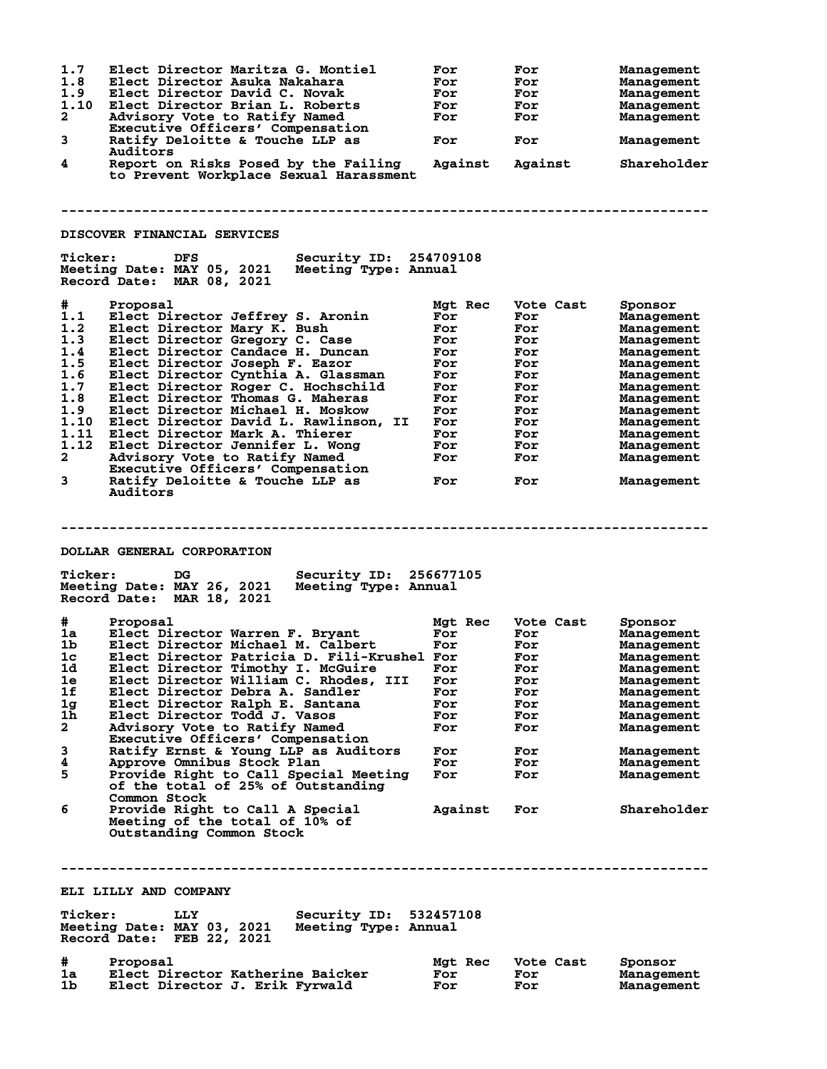| 1.7<br>1.8<br>1.9<br>1.10<br>$\mathbf{2}$<br>3<br>4                                                           | Elect Director Maritza G. Montiel<br>Elect Director Asuka Nakahara<br>Elect Director David C. Novak<br>Elect Director Brian L. Roberts<br>Advisory Vote to Ratify Named<br>Executive Officers' Compensation<br>Ratify Deloitte & Touche LLP as<br>Auditors<br>Report on Risks Posed by the Failing<br>to Prevent Workplace Sexual Harassment                                                                                                                                                                                                                              | For<br>For<br>For<br>For<br>For<br>For<br>Against                                                         | For<br>For<br>For<br>For<br>For<br>For<br>Against                                                           | Management<br>Management<br>Management<br>Management<br>Management<br>Management<br>Shareholder                                                                                                             |
|---------------------------------------------------------------------------------------------------------------|---------------------------------------------------------------------------------------------------------------------------------------------------------------------------------------------------------------------------------------------------------------------------------------------------------------------------------------------------------------------------------------------------------------------------------------------------------------------------------------------------------------------------------------------------------------------------|-----------------------------------------------------------------------------------------------------------|-------------------------------------------------------------------------------------------------------------|-------------------------------------------------------------------------------------------------------------------------------------------------------------------------------------------------------------|
|                                                                                                               | <b>DISCOVER FINANCIAL SERVICES</b>                                                                                                                                                                                                                                                                                                                                                                                                                                                                                                                                        |                                                                                                           |                                                                                                             |                                                                                                                                                                                                             |
| <b>Ticker:</b>                                                                                                | <b>DFS</b><br>Security ID: 254709108<br>Meeting Date: MAY 05, 2021<br>Meeting Type: Annual<br>Record Date: MAR 08, 2021                                                                                                                                                                                                                                                                                                                                                                                                                                                   |                                                                                                           |                                                                                                             |                                                                                                                                                                                                             |
| #<br>1.1<br>1.2<br>1.3<br>1.4<br>1.5<br>1.6<br>1.7<br>1.8<br>1.9<br>1.10<br>1.11<br>1.12<br>$\mathbf{2}$<br>3 | Proposal<br>Elect Director Jeffrey S. Aronin<br>Elect Director Mary K. Bush<br>Elect Director Gregory C. Case<br>Elect Director Candace H. Duncan<br>Elect Director Joseph F. Eazor<br>Elect Director Cynthia A. Glassman<br>Elect Director Roger C. Hochschild<br>Elect Director Thomas G. Maheras<br>Elect Director Michael H. Moskow<br>Elect Director David L. Rawlinson, II<br>Elect Director Mark A. Thierer<br>Elect Director Jennifer L. Wong<br>Advisory Vote to Ratify Named<br>Executive Officers' Compensation<br>Ratify Deloitte & Touche LLP as<br>Auditors | Mgt Rec<br>For<br>For<br>For<br>For<br>For<br>For<br>For<br>For<br>For<br>For<br>For<br>For<br>For<br>For | Vote Cast<br>For<br>For<br>For<br>For<br>For<br>For<br>For<br>For<br>For<br>For<br>For<br>For<br>For<br>For | Sponsor<br>Management<br>Management<br>Management<br>Management<br>Management<br>Management<br>Management<br>Management<br>Management<br>Management<br>Management<br>Management<br>Management<br>Management |
| <b>Ticker:</b>                                                                                                | DOLLAR GENERAL CORPORATION<br>Security ID: 256677105<br>DG<br>Meeting Date: MAY 26, 2021<br>Meeting Type: Annual<br>Record Date: MAR 18, 2021                                                                                                                                                                                                                                                                                                                                                                                                                             |                                                                                                           |                                                                                                             |                                                                                                                                                                                                             |
| #<br>1a -<br>1b.<br>1c<br>1d<br>1e<br>1f<br>1 <sub>g</sub><br>1h<br>$\mathbf{2}$<br>3<br>4<br>5               | Proposal<br>Elect Director Warren F. Bryant<br>Elect Director Michael M. Calbert<br>Elect Director Patricia D. Fili-Krushel For<br>Elect Director Timothy I. McGuire<br>Elect Director William C. Rhodes, III<br>Elect Director Debra A. Sandler<br>Elect Director Ralph E. Santana<br>Elect Director Todd J. Vasos<br>Advisory Vote to Ratify Named<br>Executive Officers' Compensation<br>Ratify Ernst & Young LLP as Auditors<br>Approve Omnibus Stock Plan                                                                                                            | Mat Rec<br>For<br>For<br>For<br>For<br>For<br>For<br>For<br>For<br>For<br>For<br>For                      | Vote Cast<br>For<br>For<br>For<br>For<br>For<br>For<br>For<br>For<br>For<br>For<br>For<br>For               | Sponsor<br>Management<br>Management<br>Management<br>Management<br>Management<br>Management<br>Management<br>Management<br>Management<br>Management<br>Management                                           |
| 6                                                                                                             | Provide Right to Call Special Meeting<br>of the total of 25% of Outstanding<br>Common Stock<br>Provide Right to Call A Special<br>Meeting of the total of 10% of<br>Outstanding Common Stock                                                                                                                                                                                                                                                                                                                                                                              | Against                                                                                                   | For                                                                                                         | Management<br>Shareholder                                                                                                                                                                                   |
| <b>Ticker:</b><br>#<br>1a                                                                                     | ELI LILLY AND COMPANY<br>Security ID:<br>LLY<br>Meeting Date: MAY 03, 2021<br>Meeting Type: Annual<br>Record Date: FEB 22, 2021<br>Proposal<br>Elect Director Katherine Baicker                                                                                                                                                                                                                                                                                                                                                                                           | 532457108<br>Mgt Rec<br>For                                                                               | Vote Cast<br>For                                                                                            | Sponsor<br>Management                                                                                                                                                                                       |
| 1 <sub>b</sub>                                                                                                | Elect Director J. Erik Fyrwald                                                                                                                                                                                                                                                                                                                                                                                                                                                                                                                                            | For                                                                                                       | For                                                                                                         | Management                                                                                                                                                                                                  |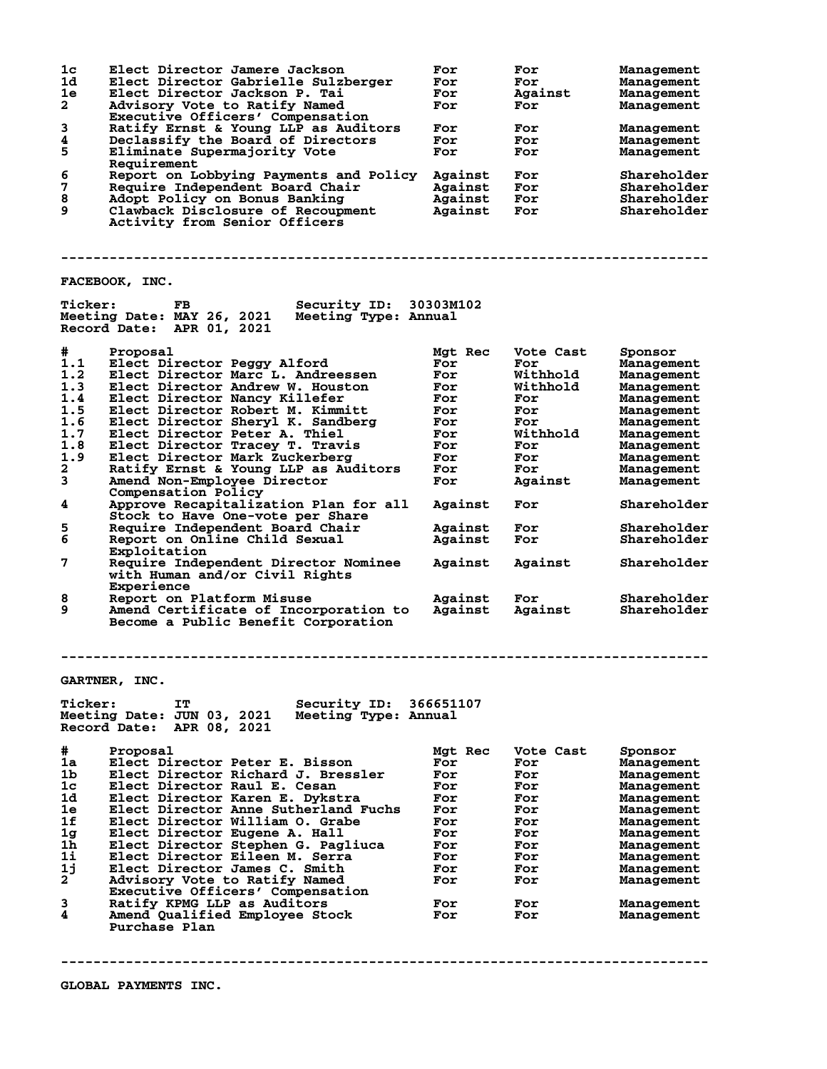| 1 <sub>c</sub><br>1d<br>1e<br>$\mathbf{2}$<br>3<br>4<br>5 | Elect Director Jamere Jackson<br>Elect Director Gabrielle Sulzberger<br>Elect Director Jackson P. Tai<br>Advisory Vote to Ratify Named<br>Executive Officers' Compensation<br>Ratify Ernst & Young LLP as Auditors<br>Declassify the Board of Directors | For<br>For<br>For<br>For<br>For<br>For<br>For | For<br>For<br>Against<br>For<br>For<br>For | Management<br>Management<br>Management<br>Management<br>Management<br>Management |
|-----------------------------------------------------------|---------------------------------------------------------------------------------------------------------------------------------------------------------------------------------------------------------------------------------------------------------|-----------------------------------------------|--------------------------------------------|----------------------------------------------------------------------------------|
|                                                           | Eliminate Supermajority Vote<br>Requirement                                                                                                                                                                                                             |                                               | For                                        | Management                                                                       |
| 6                                                         | Report on Lobbying Payments and Policy                                                                                                                                                                                                                  | Against                                       | For                                        | Shareholder                                                                      |
| 7                                                         | Require Independent Board Chair                                                                                                                                                                                                                         | Against                                       | For                                        | Shareholder                                                                      |
| 8                                                         | Adopt Policy on Bonus Banking                                                                                                                                                                                                                           | Against                                       | For                                        | Shareholder                                                                      |
| 9                                                         | Clawback Disclosure of Recoupment                                                                                                                                                                                                                       | Against                                       | For                                        | Shareholder                                                                      |
|                                                           | Activity from Senior Officers                                                                                                                                                                                                                           |                                               |                                            |                                                                                  |
|                                                           |                                                                                                                                                                                                                                                         |                                               |                                            |                                                                                  |
|                                                           |                                                                                                                                                                                                                                                         |                                               |                                            |                                                                                  |
|                                                           | FACEBOOK, INC.                                                                                                                                                                                                                                          |                                               |                                            |                                                                                  |
| <b>Ticker:</b>                                            | Security ID: 30303M102<br>FB.<br>Meeting Date: MAY 26, 2021<br>Meeting Type: Annual<br>Record Date: APR 01, 2021                                                                                                                                        |                                               |                                            |                                                                                  |
| #                                                         | Proposal                                                                                                                                                                                                                                                | Mgt Rec                                       | Vote Cast                                  | Sponsor                                                                          |
| 1.1                                                       | Elect Director Peggy Alford                                                                                                                                                                                                                             | For                                           | For                                        | Management                                                                       |
| 1.2                                                       | Elect Director Marc L. Andreessen                                                                                                                                                                                                                       | For                                           | Withhold                                   | Management                                                                       |
| 1.3                                                       | Elect Director Andrew W. Houston                                                                                                                                                                                                                        | For                                           | Withhold                                   | Management                                                                       |
| 1.4                                                       | Elect Director Nancy Killefer                                                                                                                                                                                                                           | For                                           | For                                        | Management                                                                       |
| 1.5                                                       | Elect Director Robert M. Kimmitt                                                                                                                                                                                                                        | For                                           | For                                        | Management                                                                       |
| 1.6                                                       | Elect Director Sheryl K. Sandberg                                                                                                                                                                                                                       | For                                           | For                                        | Management                                                                       |
| 1.7<br>1.8                                                | Elect Director Peter A. Thiel                                                                                                                                                                                                                           | For                                           | Withhold                                   | Management                                                                       |
| 1.9                                                       | Elect Director Tracey T. Travis<br>Elect Director Mark Zuckerberg                                                                                                                                                                                       | For<br>For                                    | For<br>For                                 | Management<br>Management                                                         |
| $\mathbf{2}$                                              | Ratify Ernst & Young LLP as Auditors                                                                                                                                                                                                                    | For                                           | For                                        | Management                                                                       |
| 3                                                         | Amend Non-Employee Director                                                                                                                                                                                                                             | For                                           | Against                                    | Management                                                                       |
|                                                           | Compensation Policy                                                                                                                                                                                                                                     |                                               |                                            |                                                                                  |
| 4                                                         | Approve Recapitalization Plan for all                                                                                                                                                                                                                   | Against                                       | For                                        | Shareholder                                                                      |
|                                                           | Stock to Have One-vote per Share                                                                                                                                                                                                                        |                                               |                                            |                                                                                  |
| 5                                                         | Require Independent Board Chair                                                                                                                                                                                                                         | Against                                       | For                                        | Shareholder                                                                      |
| 6                                                         | Report on Online Child Sexual                                                                                                                                                                                                                           | Against                                       | For                                        | Shareholder                                                                      |
| 7                                                         | Exploitation                                                                                                                                                                                                                                            |                                               |                                            |                                                                                  |
|                                                           | Require Independent Director Nominee<br>with Human and/or Civil Rights                                                                                                                                                                                  | Against                                       | Against                                    | Shareholder                                                                      |
|                                                           | Experience                                                                                                                                                                                                                                              |                                               |                                            |                                                                                  |
| 8                                                         | Report on Platform Misuse                                                                                                                                                                                                                               | Against                                       | For                                        | Shareholder                                                                      |
| 9                                                         | Amend Certificate of Incorporation to                                                                                                                                                                                                                   | Against                                       | Against                                    | Shareholder                                                                      |
|                                                           | Become a Public Benefit Corporation                                                                                                                                                                                                                     |                                               |                                            |                                                                                  |
|                                                           |                                                                                                                                                                                                                                                         |                                               |                                            |                                                                                  |
|                                                           | <b>GARTNER, INC.</b>                                                                                                                                                                                                                                    |                                               |                                            |                                                                                  |
| <b>Ticker:</b>                                            | IT<br>Security ID:                                                                                                                                                                                                                                      | 366651107                                     |                                            |                                                                                  |
|                                                           | Meeting Date: JUN 03, 2021<br>Meeting Type: Annual<br>Record Date:<br>APR 08, 2021                                                                                                                                                                      |                                               |                                            |                                                                                  |
| #                                                         | Proposal                                                                                                                                                                                                                                                | Mgt Rec                                       | Vote Cast                                  | Sponsor                                                                          |
| 1a                                                        | Elect Director Peter E. Bisson                                                                                                                                                                                                                          | For                                           | For                                        | Management                                                                       |
| 1b                                                        | Elect Director Richard J. Bressler                                                                                                                                                                                                                      | For                                           | For                                        | Management                                                                       |
| 1c                                                        | Elect Director Raul E. Cesan                                                                                                                                                                                                                            | For                                           | For                                        | Management                                                                       |
| 1d                                                        | Elect Director Karen E. Dykstra                                                                                                                                                                                                                         | For                                           | For                                        | Management                                                                       |
| 1e<br>1f                                                  | Elect Director Anne Sutherland Fuchs                                                                                                                                                                                                                    | For                                           | For                                        | Management                                                                       |
| 1 <sub>g</sub>                                            | Elect Director William O. Grabe<br>Elect Director Eugene A. Hall                                                                                                                                                                                        | For<br>For                                    | For<br>For                                 | Management                                                                       |
| 1h                                                        | Elect Director Stephen G. Pagliuca                                                                                                                                                                                                                      | For                                           | For                                        | Management<br>Management                                                         |
| 1i                                                        | Elect Director Eileen M. Serra                                                                                                                                                                                                                          | For                                           | For                                        | Management                                                                       |
| 1j                                                        | Elect Director James C. Smith                                                                                                                                                                                                                           | For                                           | For                                        | Management                                                                       |
| $\mathbf{2}$                                              | Advisory Vote to Ratify Named                                                                                                                                                                                                                           | For                                           | For                                        | Management                                                                       |
|                                                           | Executive Officers' Compensation                                                                                                                                                                                                                        |                                               |                                            |                                                                                  |
| 3                                                         | Ratify KPMG LLP as Auditors                                                                                                                                                                                                                             | For                                           | For                                        | Management                                                                       |
| 4                                                         | Amend Qualified Employee Stock                                                                                                                                                                                                                          | For                                           | For                                        | Management                                                                       |
|                                                           | Purchase Plan                                                                                                                                                                                                                                           |                                               |                                            |                                                                                  |
|                                                           |                                                                                                                                                                                                                                                         |                                               |                                            |                                                                                  |

**--------------------------------------------------------------------------------**

**GLOBAL PAYMENTS INC.**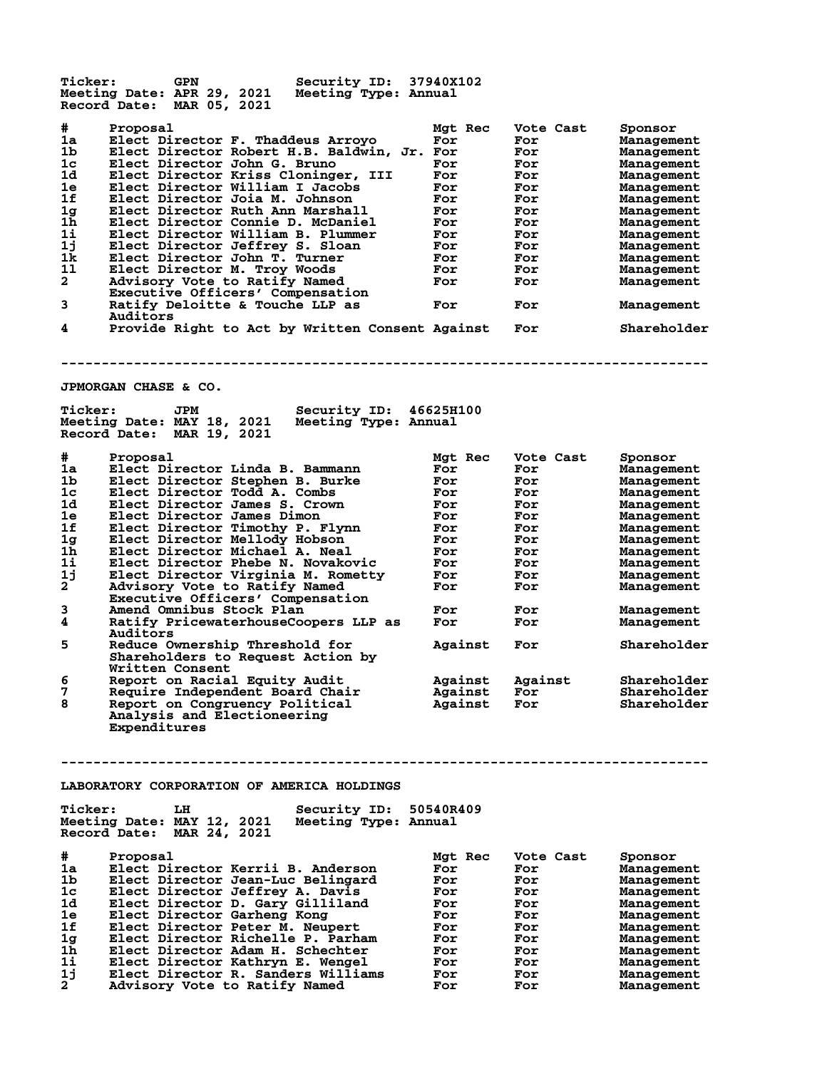**Ticker: GPN Security ID: 37940X102 Meeting Date: APR 29, 2021 Meeting Type: Annual Record Date: MAR 05, 2021 # Proposal Mgt Rec Vote Cast Sponsor 1a Elect Director F. Thaddeus Arroyo For For Management 1b Elect Director Robert H.B. Baldwin, Jr. For For Management 1c Elect Director John G. Bruno For For Management 1d Elect Director Kriss Cloninger, III For For Management 1e Elect Director William I Jacobs For For Management 1f Elect Director Joia M. Johnson For For Management 1g Elect Director Ruth Ann Marshall For For Management 1h Elect Director Connie D. McDaniel For For Management 1i Elect Director William B. Plummer For For Management 1j Elect Director Jeffrey S. Sloan For For Management 1k Elect Director John T. Turner For For Management 1l Elect Director M. Troy Woods For For Management 2 Advisory Vote to Ratify Named For For Management Executive Officers' Compensation 3 Ratify Deloitte & Touche LLP as For For Management Auditors 4 Provide Right to Act by Written Consent Against For Shareholder -------------------------------------------------------------------------------- JPMORGAN CHASE & CO. Ticker: JPM Security ID: 46625H100 Meeting Date: MAY 18, 2021 Meeting Type: Annual Record Date: MAR 19, 2021 # Proposal Mgt Rec Vote Cast Sponsor 1a Elect Director Linda B. Bammann For For Management 1b Elect Director Stephen B. Burke For For Management 1c Elect Director Todd A. Combs For For Management 1d Elect Director James S. Crown For For Management 1e Elect Director James Dimon For For Management 1f Elect Director Timothy P. Flynn For For Management 1g Elect Director Mellody Hobson For For Management 1h Elect Director Michael A. Neal For For Management 1i Elect Director Phebe N. Novakovic For For Management 1j Elect Director Virginia M. Rometty For For Management 2 Advisory Vote to Ratify Named For For Management Executive Officers' Compensation**<br>3 **Amend Omnibus Stock Plan 3 Amend Omnibus Stock Plan For For Management 4 Ratify PricewaterhouseCoopers LLP as For For Management Auditors**<br>5 Reduce Ov **5 Reduce Ownership Threshold for Against For Shareholder Shareholders to Request Action by Written Consent**<br>6 Report on Racial Equity Audit **6 Report on Racial Equity Audit Against Against Shareholder 7 Require Independent Board Chair Against For Shareholder 8 Report on Congruency Political Against For Shareholder Require Independent Board Chair<br>Report on Congruency Political<br>Analysis and Electioneering Expenditures -------------------------------------------------------------------------------- LABORATORY CORPORATION OF AMERICA HOLDINGS Ticker: LH Security ID: 50540R409 Meeting Date: MAY 12, 2021 Meeting Type: Annual Record Date: MAR 24, 2021 # Proposal Mgt Rec Vote Cast Sponsor 1a Elect Director Kerrii B. Anderson For For Management 1b Elect Director Jean-Luc Belingard For For Management 1c Elect Director Jeffrey A. Davis For For Management 1d Elect Director D. Gary Gilliland For For Management 1e Elect Director Garheng Kong For For Management 1f Elect Director Peter M. Neupert For For Management 1g Elect Director Richelle P. Parham For For Management 1h Elect Director Adam H. Schechter For For Management 1i Elect Director Kathryn E. Wengel For For Management 1j Elect Director R. Sanders Williams For For Management 2 Advisory Vote to Ratify Named For For Management**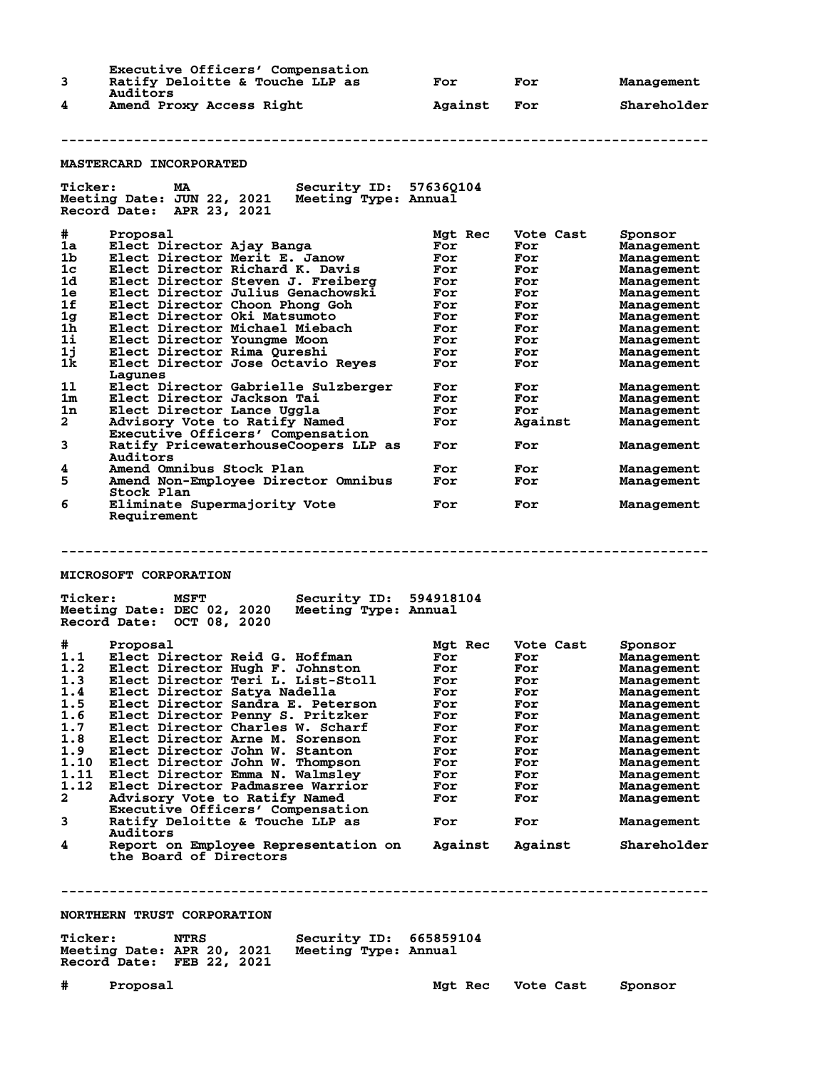|   | Executive Officers' Compensation<br>Ratify Deloitte & Touche LLP as | For     | For | Management  |
|---|---------------------------------------------------------------------|---------|-----|-------------|
| 4 | Auditors<br>Amend Proxy Access Right                                | Against | For | Shareholder |

## **--------------------------------------------------------------------------------**

## **MASTERCARD INCORPORATED**

| <b>Ticker:</b><br>МA<br>Meeting Date: JUN 22, 2021<br>Record Date: APR 23, 2021                                                                                                                                                                                                                                                                          | Security ID: 576360104<br>Meeting Type: Annual |                                                                 |                                                                   |                                                                                                                         |
|----------------------------------------------------------------------------------------------------------------------------------------------------------------------------------------------------------------------------------------------------------------------------------------------------------------------------------------------------------|------------------------------------------------|-----------------------------------------------------------------|-------------------------------------------------------------------|-------------------------------------------------------------------------------------------------------------------------|
| #<br>Proposal<br>1a<br>Elect Director Ajay Banga<br>1 <sub>b</sub><br>Elect Director Merit E. Janow<br>1c<br>Elect Director Richard K. Davis<br>1d<br>Elect Director Steven J. Freiberg<br>1e<br>Elect Director Julius Genachowski<br>1f<br>Elect Director Choon Phong Goh<br>1g<br>Elect Director Oki Matsumoto<br>1h<br>Elect Director Michael Miebach |                                                | Mgt Rec<br>For<br>For<br>For<br>For<br>For<br>For<br>For<br>For | Vote Cast<br>For<br>For<br>For<br>For<br>For<br>For<br>For<br>For | Sponsor<br>Management<br>Management<br>Management<br>Management<br>Management<br>Management<br>Management<br>Management |
| $1\mathbf{i}$<br>Elect Director Youngme Moon<br>1j<br>Elect Director Rima Oureshi<br>1k<br>Elect Director Jose Octavio Reves<br>Lagunes                                                                                                                                                                                                                  |                                                | For<br>For<br>For                                               | For<br>For<br>For                                                 | Management<br>Management<br>Management                                                                                  |
| 11<br>Elect Director Gabrielle Sulzberger<br>1 <sub>m</sub><br>Elect Director Jackson Tai<br>1n<br>Elect Director Lance Uggla<br>$\overline{a}$<br>Advisory Vote to Ratify Named<br>Executive Officers' Compensation                                                                                                                                     |                                                | For<br>For<br>For<br>For                                        | For<br>For<br>For<br>Against                                      | Management<br>Management<br>Management<br>Management                                                                    |
| 3<br>Ratify PricewaterhouseCoopers LLP as<br>Auditors                                                                                                                                                                                                                                                                                                    |                                                | For                                                             | For                                                               | Management                                                                                                              |
| Amend Omnibus Stock Plan<br>4<br>5<br>Amend Non-Employee Director Omnibus<br>Stock Plan                                                                                                                                                                                                                                                                  |                                                | For<br>For                                                      | For<br>For                                                        | Management<br>Management                                                                                                |
| 6<br>Eliminate Supermajority Vote<br>Requirement                                                                                                                                                                                                                                                                                                         |                                                | For                                                             | For                                                               | Management                                                                                                              |
|                                                                                                                                                                                                                                                                                                                                                          |                                                |                                                                 |                                                                   |                                                                                                                         |
| MICROSOFT CORPORATION                                                                                                                                                                                                                                                                                                                                    |                                                |                                                                 |                                                                   |                                                                                                                         |
| <b>Ticker:</b><br><b>MSFT</b><br>Meeting Date: DEC 02, 2020<br>Record Date: OCT 08, 2020                                                                                                                                                                                                                                                                 | Security ID: 594918104<br>Meeting Type: Annual |                                                                 |                                                                   |                                                                                                                         |

| #            | Proposal                             | Mgt Rec | Vote Cast | Sponsor     |
|--------------|--------------------------------------|---------|-----------|-------------|
| 1.1          | Elect Director Reid G. Hoffman       | For     | For       | Management  |
| 1.2          | Elect Director Hugh F. Johnston      | For     | For       | Management  |
| 1.3          | Elect Director Teri L. List-Stoll    | For     | For       | Management  |
| 1.4          | Elect Director Satya Nadella         | For     | For       | Management  |
| 1.5          | Elect Director Sandra E. Peterson    | For     | For       | Management  |
| 1.6          | Elect Director Penny S. Pritzker     | For     | For       | Management  |
| 1.7          | Elect Director Charles W. Scharf     | For     | For       | Management  |
| 1.8          | Elect Director Arne M. Sorenson      | For     | For       | Management  |
| 1.9          | Elect Director John W. Stanton       | For     | For       | Management  |
| 1.10         | Elect Director John W. Thompson      | For     | For       | Management  |
| 1.11         | Elect Director Emma N. Walmslev      | For     | For       | Management  |
| 1.12         | Elect Director Padmasree Warrior     | For     | For       | Management  |
| $\mathbf{2}$ | Advisory Vote to Ratify Named        | For     | For       | Management  |
|              | Executive Officers' Compensation     |         |           |             |
| 3            | Ratify Deloitte & Touche LLP as      | For     | For       | Management  |
|              | Auditors                             |         |           |             |
| 4            | Report on Employee Representation on | Against | Against   | Shareholder |
|              |                                      |         |           |             |

 **the Board of Directors**

**--------------------------------------------------------------------------------**

**NORTHERN TRUST CORPORATION**

| <b>Ticker:</b>             | NTRS | <b>Security ID: 665859104</b> |  |
|----------------------------|------|-------------------------------|--|
| Meeting Date: APR 20, 2021 |      | Meeting Type: Annual          |  |
| Record Date: FEB 22, 2021  |      |                               |  |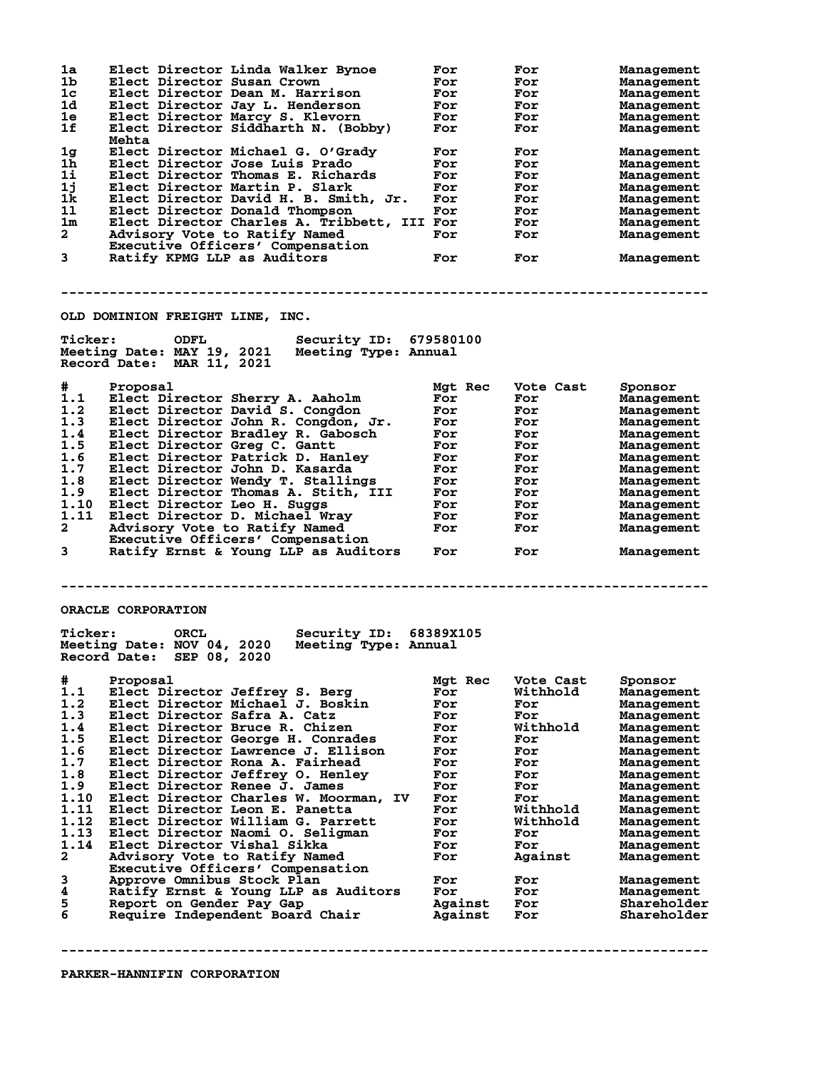| 1a             | Elect Director Linda Walker Bynoe                                                                         | For        | For        | Management  |
|----------------|-----------------------------------------------------------------------------------------------------------|------------|------------|-------------|
| 1b             | Elect Director Susan Crown                                                                                | For        | For        | Management  |
| 1c             | Elect Director Dean M. Harrison                                                                           | For        | For        | Management  |
| 1d.            | Elect Director Jay L. Henderson                                                                           | For        | For        | Management  |
| 1e             | Elect Director Marcy S. Klevorn                                                                           | For        | For        | Management  |
| 1f             | Elect Director Siddharth N. (Bobby)<br>Mehta                                                              | For        | For        | Management  |
| 1 <sub>g</sub> | Elect Director Michael G. O'Grady                                                                         | For        | For        | Management  |
| 1h             | Elect Director Jose Luis Prado                                                                            | For        | For        | Management  |
| $1\text{i}$    |                                                                                                           | For        |            |             |
|                | Elect Director Thomas E. Richards                                                                         |            | For        | Management  |
| 1j             | Elect Director Martin P. Slark                                                                            | For        | For        | Management  |
| 1k             | Elect Director David H. B. Smith, Jr.                                                                     | For        | For        | Management  |
| 11             | Elect Director Donald Thompson                                                                            | For        | For        | Management  |
| 1m             | Elect Director Charles A. Tribbett, III For                                                               |            | For        | Management  |
| $\mathbf{2}$   | Advisory Vote to Ratify Named                                                                             | For        | <b>For</b> | Management  |
|                | Executive Officers' Compensation                                                                          |            |            |             |
| 3              | Ratify KPMG LLP as Auditors                                                                               | For        | For        | Management  |
|                | OLD DOMINION FREIGHT LINE, INC.                                                                           |            |            |             |
| <b>Ticker:</b> | Security ID: 679580100<br>ODFL                                                                            |            |            |             |
|                | Meeting Date: MAY 19, 2021 Meeting Type: Annual<br>Record Date: MAR 11, 2021                              |            |            |             |
| #              | Proposal                                                                                                  | Mgt Rec    | Vote Cast  | Sponsor     |
| 1.1            | Elect Director Sherry A. Aaholm                                                                           | For        | For        | Management  |
|                |                                                                                                           |            |            |             |
| 1.2            | Elect Director David S. Congdon                                                                           | For        | For        | Management  |
| 1.3            | Elect Director John R. Congdon, Jr.                                                                       | For        | For        | Management  |
| 1.4            | Elect Director Bradley R. Gabosch                                                                         | For        | For        | Management  |
| 1.5            | Elect Director Greg C. Gantt                                                                              | For        | For        | Management  |
| 1.6            | Elect Director Patrick D. Hanley                                                                          | For        | For        | Management  |
| 1.7            | Elect Director John D. Kasarda                                                                            | For        | For        | Management  |
| 1.8            | Elect Director Wendy T. Stallings                                                                         | For        | For        | Management  |
| 1.9            | Elect Director Thomas A. Stith, III                                                                       | For        | For        | Management  |
| 1.10           | Elect Director Leo H. Suggs                                                                               | For        | For        |             |
|                |                                                                                                           |            |            | Management  |
| 1.11           | Elect Director D. Michael Wray                                                                            | <b>For</b> | For        | Management  |
| $\mathbf{2}$   | Advisory Vote to Ratify Named                                                                             | For        | For        | Management  |
|                | Executive Officers' Compensation                                                                          |            |            |             |
| 3              | Ratify Ernst & Young LLP as Auditors                                                                      | For        | For        | Management  |
|                | ORACLE CORPORATION                                                                                        |            |            |             |
| <b>Ticker:</b> | <b>Example 12</b>                                                                                         |            |            |             |
|                | Security ID: 68389X105<br>Meeting Date: NOV 04, 2020<br>Meeting Type: Annual<br>Record Date: SEP 08, 2020 |            |            |             |
| #              |                                                                                                           | Mgt Rec    | Vote Cast  |             |
|                | Proposal                                                                                                  |            |            | Sponsor     |
| 1.1            | Elect Director Jeffrey S. Berg                                                                            | For        | Withhold   | Management  |
| 1.2            | Elect Director Michael J. Boskin                                                                          | For        | For        | Management  |
| 1.3            | Elect Director Safra A. Catz                                                                              | For        | For        | Management  |
| 1.4            | Elect Director Bruce R. Chizen                                                                            | For        | Withhold   | Management  |
| 1.5            | Elect Director George H. Conrades                                                                         | For        | For        | Management  |
| 1.6            | Elect Director Lawrence J. Ellison                                                                        | For        | For        | Management  |
| 1.7            | Elect Director Rona A. Fairhead                                                                           | For        | For        |             |
| 1.8            | Elect Director Jeffrey O. Henley                                                                          | For        |            | Management  |
|                |                                                                                                           |            | For        | Management  |
| 1.9            | Elect Director Renee J. James                                                                             | For        | For        | Management  |
| 1.10           | Elect Director Charles W. Moorman, IV                                                                     | For        | For        | Management  |
| 1.11           | Elect Director Leon E. Panetta                                                                            | For        | Withhold   | Management  |
| 1.12           | Elect Director William G. Parrett                                                                         | For        | Withhold   | Management  |
| 1.13           | Elect Director Naomi O. Seligman                                                                          | For        | For        | Management  |
| 1.14           | Elect Director Vishal Sikka                                                                               | For        | For        | Management  |
| $\mathbf{2}$   | Advisory Vote to Ratify Named                                                                             | For        | Against    | Management  |
|                | Executive Officers' Compensation                                                                          |            |            |             |
| 3              | Approve Omnibus Stock Plan                                                                                | For        | For        | Management  |
| 4              | Ratify Ernst & Young LLP as Auditors                                                                      | For        | For        | Management  |
| 5              | Report on Gender Pay Gap                                                                                  | Against    | For        | Shareholder |
| 6              | Require Independent Board Chair                                                                           | Against    | For        | Shareholder |
|                |                                                                                                           |            |            |             |
|                |                                                                                                           |            |            |             |
|                |                                                                                                           |            |            |             |

**PARKER-HANNIFIN CORPORATION**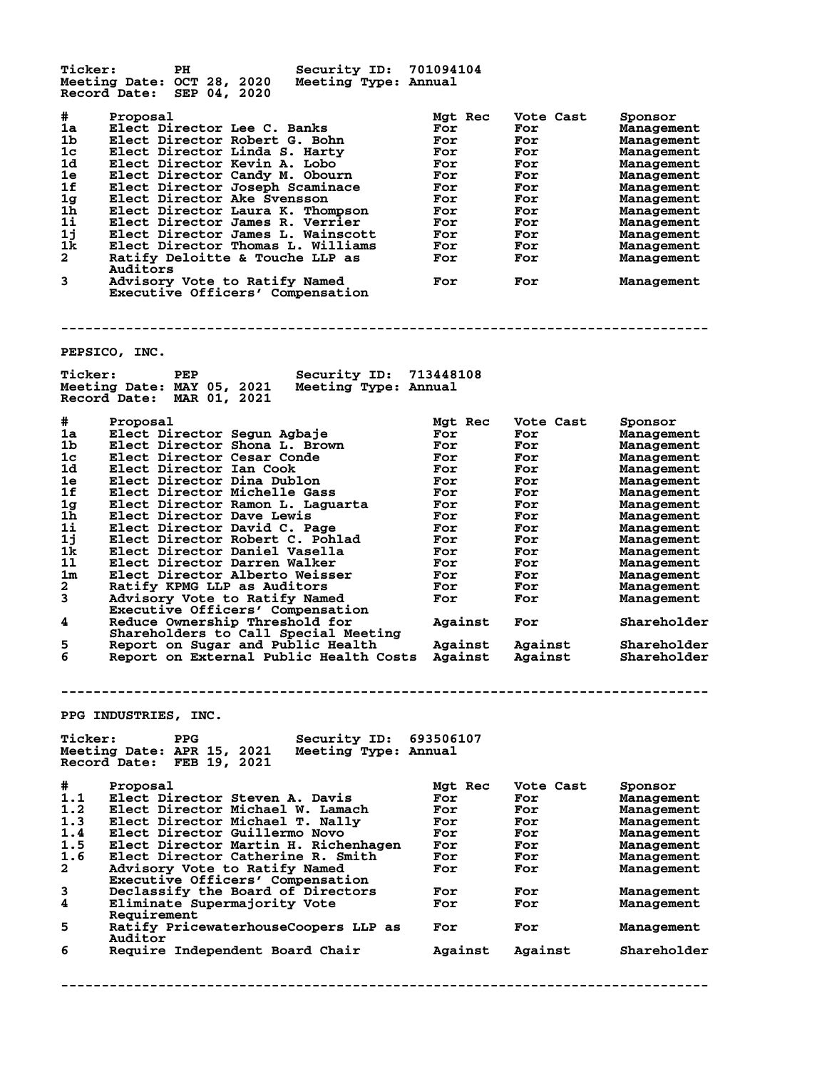**Ticker: PH Security ID: 701094104 Meeting Date: OCT 28, 2020 Meeting Type: Annual Record Date: SEP 04, 2020 # Proposal Mgt Rec Vote Cast Sponsor 1a Elect Director Lee C. Banks For For Management 1b Elect Director Robert G. Bohn For For Management 1c Elect Director Linda S. Harty For For Management 1d Elect Director Kevin A. Lobo For For Management 1e Elect Director Candy M. Obourn For For Management 1f Elect Director Joseph Scaminace For For Management 1g Elect Director Ake Svensson For For Management 1h Elect Director Laura K. Thompson For For Management 1i Elect Director James R. Verrier For For Management 1j Elect Director James L. Wainscott For For Management 1k Elect Director Thomas L. Williams For For Management 2 Ratify Deloitte & Touche LLP as For For Management Auditors 2** Ratify Deloitte & Touche LLP as<br>
Auditors<br> **3** Advisory Vote to Ratify Named For For Management<br>
For For Management  **Executive Officers' Compensation -------------------------------------------------------------------------------- PEPSICO, INC. Ticker: PEP Security ID: 713448108 Meeting Date: MAY 05, 2021 Meeting Type: Annual Record Date: MAR 01, 2021 # Proposal Mgt Rec Vote Cast Sponsor 1a Elect Director Segun Agbaje For For Management 1b Elect Director Shona L. Brown For For Management 1c Elect Director Cesar Conde For For Management 1d Elect Director Ian Cook For For Management 1e Elect Director Dina Dublon For For Management 1f Elect Director Michelle Gass For For Management 1g Elect Director Ramon L. Laguarta For For Management 1h Elect Director Dave Lewis For For Management 1i Elect Director David C. Page For For Management 1j Elect Director Robert C. Pohlad For For Management 1k Elect Director Daniel Vasella For For Management 1l Elect Director Darren Walker For For Management 1m Elect Director Alberto Weisser For For Management 2 Ratify KPMG LLP as Auditors For For Management 3 Advisory Vote to Ratify Named For For Management Executive Officers' Compensation 4 Reduce Ownership Threshold for Against For Shareholder Shareholders to Call Special Meeting 5 Report on Sugar and Public Health Against Against Shareholder 6 Report on External Public Health Costs Against Against Shareholder -------------------------------------------------------------------------------- PPG INDUSTRIES, INC. Ticker: PPG Security ID: 693506107 Meeting Date: APR 15, 2021 Meeting Type: Annual Record Date: FEB 19, 2021 # Proposal Mgt Rec Vote Cast Sponsor 1.1 Elect Director Steven A. Davis For For Management 1.2 Elect Director Michael W. Lamach For For Management 1.3 Elect Director Michael T. Nally For For Management 1.4 Elect Director Guillermo Novo For For Management 1.5 Elect Director Martin H. Richenhagen For For Management 1.6 Elect Director Catherine R. Smith For For Management 2 Advisory Vote to Ratify Named For For Management Executive Officers' Compensation 3 Declassify the Board of Directors For For Management** Executive Officers Compensation<br> **4** Declassify the Board of Directors<br> **4** Eliminate Supermajority Vote<br> **For** For Management **Requirement<br>5** Ratify Price **5 Ratify PricewaterhouseCoopers LLP as For For Management** Auditor<br>6 Require **6 Require Independent Board Chair Against Against Shareholder**

**--------------------------------------------------------------------------------**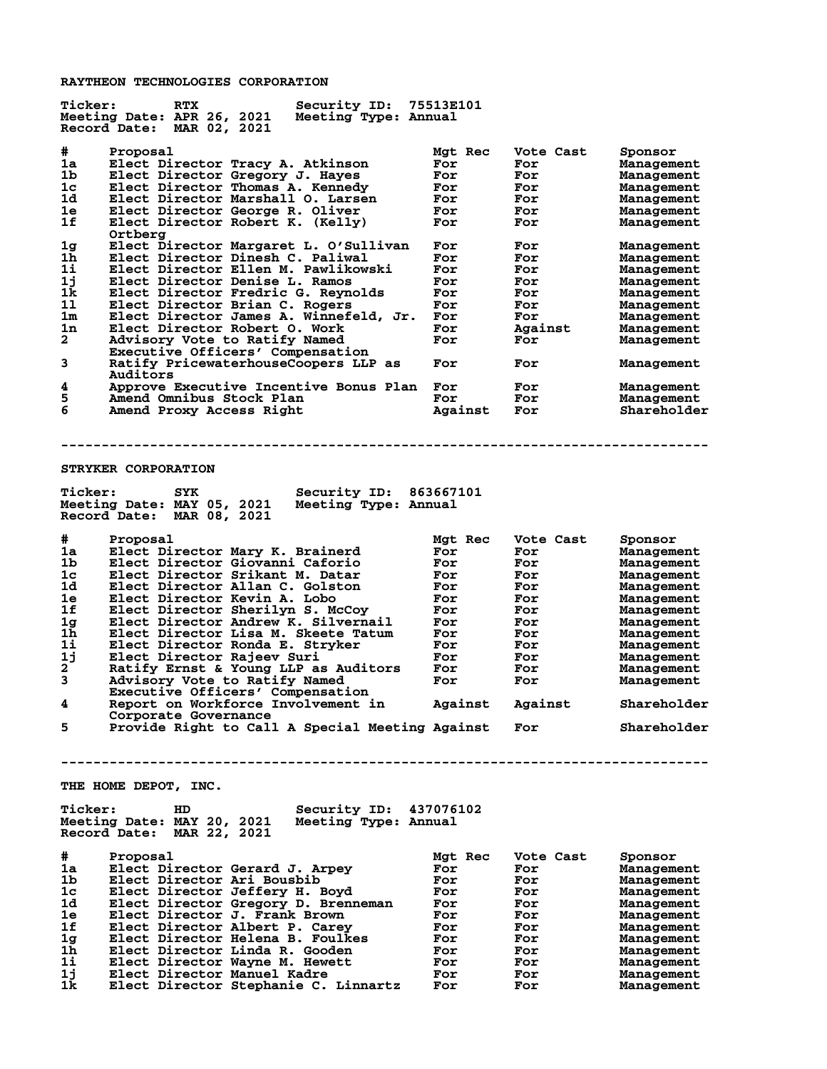**RAYTHEON TECHNOLOGIES CORPORATION**

| Security ID: 75513E101<br><b>Ticker:</b><br><b>RTX</b><br>Meeting Date: APR 26, 2021<br>Meeting Type: Annual<br>Record Date: MAR 02, 2021                                             |                                     |                                       |                                                   |
|---------------------------------------------------------------------------------------------------------------------------------------------------------------------------------------|-------------------------------------|---------------------------------------|---------------------------------------------------|
| #<br>Proposal<br>1a<br>Elect Director Tracy A. Atkinson<br>1b<br>Elect Director Gregory J. Hayes<br>1c<br>Elect Director Thomas A. Kennedy<br>1d<br>Elect Director Marshall O. Larsen | Mgt Rec<br>For<br>For<br>For<br>For | Vote Cast<br>For<br>For<br>For<br>For | Sponsor<br>Management<br>Management<br>Management |
| 1e<br>Elect Director George R. Oliver<br>1f<br>Elect Director Robert K. (Kelly)<br>Ortbera                                                                                            | For<br>For                          | For<br>For                            | Management<br>Management<br>Management            |
| Elect Director Margaret L. O'Sullivan<br>1g<br>1 <sub>h</sub><br>Elect Director Dinesh C. Paliwal<br>1i<br>Elect Director Ellen M. Pawlikowski                                        | For<br>For<br>For                   | For<br>For<br>For                     | Management<br>Management<br>Management            |
| 1j<br>Elect Director Denise L. Ramos                                                                                                                                                  | For                                 | For                                   | Management                                        |
| 1k<br>Elect Director Fredric G. Reynolds<br>11<br>Elect Director Brian C. Rogers                                                                                                      | For<br>For                          | For<br>For                            | Management<br>Management                          |
| 1m<br>Elect Director James A. Winnefeld, Jr.                                                                                                                                          | For                                 | For                                   | Management                                        |
| 1n<br>Elect Director Robert 0. Work<br>$\overline{a}$                                                                                                                                 | For                                 | Against<br>For                        | Management                                        |
| Advisory Vote to Ratify Named<br>Executive Officers' Compensation                                                                                                                     | For                                 |                                       | Management                                        |
| 3<br>Ratify PricewaterhouseCoopers LLP as<br>Auditors                                                                                                                                 | For                                 | For                                   | Management                                        |
| 4<br>Approve Executive Incentive Bonus Plan For<br>5<br>Amend Omnibus Stock Plan                                                                                                      | For                                 | For<br>For                            | Management                                        |
| 6<br>Amend Proxy Access Right                                                                                                                                                         | Against                             | For                                   | Management<br>Shareholder                         |
|                                                                                                                                                                                       |                                     |                                       |                                                   |
|                                                                                                                                                                                       |                                     |                                       |                                                   |
| STRYKER CORPORATION                                                                                                                                                                   |                                     |                                       |                                                   |
| <b>Ticker:</b><br>Security ID: 863667101<br>SYK<br>Meeting Date: MAY 05, 2021<br>Meeting Type: Annual<br>Record Date: MAR 08, 2021                                                    |                                     |                                       |                                                   |
| #<br>Proposal                                                                                                                                                                         | Mgt Rec                             | Vote Cast                             | Sponsor                                           |
| Elect Director Mary K. Brainerd<br>1a                                                                                                                                                 | For                                 | For                                   | Management                                        |
| 1b<br>Elect Director Giovanni Caforio<br>1c<br>Elect Director Srikant M. Datar                                                                                                        | For<br>For                          | For<br>For                            | Management<br>Management                          |
| 1d<br>Elect Director Allan C. Golston                                                                                                                                                 | For                                 | For                                   | Management                                        |
| Elect Director Kevin A. Lobo<br>1e                                                                                                                                                    | For                                 | For                                   | Management                                        |
| 1f<br>Elect Director Sherilyn S. McCoy                                                                                                                                                | For                                 | For                                   | Management                                        |
| 1 <sub>g</sub><br>Elect Director Andrew K. Silvernail<br>1h                                                                                                                           | For                                 | For                                   | Management                                        |
| Elect Director Lisa M. Skeete Tatum<br>11<br>Elect Director Ronda E. Stryker                                                                                                          | For<br>For                          | For<br>For                            | Management<br>Management                          |
| 1j<br>Elect Director Rajeev Suri                                                                                                                                                      | For                                 | For                                   | Management                                        |
| 2<br>Ratify Ernst & Young LLP as Auditors                                                                                                                                             | For                                 | For                                   | Management                                        |
| 3<br>Advisory Vote to Ratify Named                                                                                                                                                    | For                                 | For                                   | Management                                        |
| Executive Officers' Compensation<br>4<br>Report on Workforce Involvement in<br>Corporate Governance                                                                                   | Against                             | Against                               | Shareholder                                       |
| Provide Right to Call A Special Meeting Against<br>5                                                                                                                                  |                                     | For                                   | Shareholder                                       |
|                                                                                                                                                                                       |                                     |                                       |                                                   |
| THE HOME DEPOT, INC.                                                                                                                                                                  |                                     |                                       |                                                   |
| <b>Ticker:</b><br>Security ID: 437076102<br>HD.<br>Meeting Date: MAY 20, 2021<br>Meeting Type: Annual<br>Record Date: MAR 22, 2021                                                    |                                     |                                       |                                                   |
| #<br>Proposal                                                                                                                                                                         | Mgt Rec                             | Vote Cast                             | Sponsor                                           |
| 1a<br>Elect Director Gerard J. Arpey                                                                                                                                                  | For                                 | For                                   | Management                                        |
| 1b<br>Elect Director Ari Bousbib                                                                                                                                                      | For                                 | For                                   | Management                                        |
| 1c<br>Elect Director Jeffery H. Boyd                                                                                                                                                  | For                                 | For                                   | Management                                        |
| 1d.<br>Elect Director Gregory D. Brenneman<br>1e<br>Elect Director J. Frank Brown                                                                                                     | For<br>For                          | For<br>For                            | Management<br>Management                          |
| 1f<br>Elect Director Albert P. Carey                                                                                                                                                  | For                                 | For                                   | Management                                        |
| Elect Director Helena B. Foulkes<br>1g                                                                                                                                                | For                                 | For                                   | Management                                        |
| Elect Director Linda R. Gooden<br>1h                                                                                                                                                  | For                                 | For                                   | Management                                        |
| 1i<br>Elect Director Wayne M. Hewett<br>1j<br>Elect Director Manuel Kadre                                                                                                             | For                                 | For                                   | Management                                        |
| 1k<br>Elect Director Stephanie C. Linnartz                                                                                                                                            | For<br>For                          | For<br>For                            | Management<br>Management                          |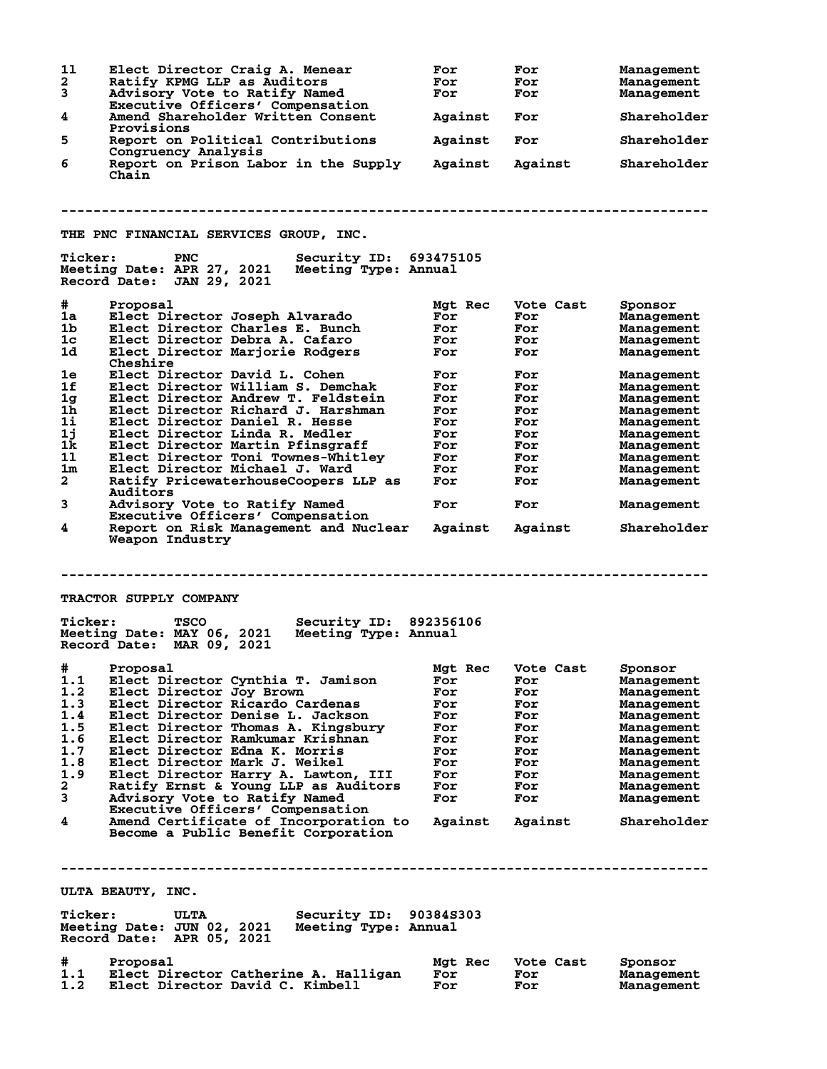**1l Elect Director Craig A. Menear For For Management** Ratify KPMG LLP as Auditors **For For For Management**<br>Advisory Vote to Ratify Named **For For For Management 3 Advisory Vote to Ratify Named For For Management Executive Officers' Compensation 4 Amend Shareholder Written Consent Against For Shareholder Provisions 5 Report on Political Contributions Against For Shareholder Congruency Analysis 6 Report on Prison Labor in the Supply Against Against Shareholder Chain -------------------------------------------------------------------------------- THE PNC FINANCIAL SERVICES GROUP, INC.** Ticker: PNC Security ID: 693475105<br>Meeting Date: APR 27, 2021 Meeting Type: Annual **Meeting Date: APR 27, 2021 Record Date: JAN 29, 2021**  $\begin{tabular}{llllllll} $\#$ & \text{Proposal} \\ \text{1a} & \text{Electo} \text{L} & \text{H} & \text{Mgt} \\ \text{1b} & \text{Electo} \text{L} & \text{H} & \text{H} & \text{H} \\ \text{1c} & \text{Electo} \text{L} & \text{H} & \text{H} & \text{H} \\ \text{1d} & \text{Electo} \text{L} & \text{H} & \text{H} & \text{H} \\ \text{1d} & \text{H} & \text{H} & \text{H} & \text{H} \\ \text{1ect} & \text{L} & \text{H} & \text{H}$ **1a Elect Director Joseph Alvarado For For Management 1b Elect Director Charles E. Bunch For For Management 1c Elect Director Debra A. Cafaro For For Management 1d Elect Director Marjorie Rodgers For For Management Cheshire 1e Elect Director David L. Cohen For For Management 1f Elect Director William S. Demchak For For Management 1g Elect Director Andrew T. Feldstein For For Management 1h Elect Director Richard J. Harshman For For Management 1i Elect Director Daniel R. Hesse For For Management 1j Elect Director Linda R. Medler For For Management 1k Elect Director Martin Pfinsgraff For For Management 1l Elect Director Toni Townes-Whitley For For Management 1m Elect Director Michael J. Ward For For Management 2 Ratify PricewaterhouseCoopers LLP as For For Management Auditors 3 Advisory Vote to Ratify Named For For Management Executive Officers' Compensation**<br>4 **Report on Risk Management and Nuc 4 Report on Risk Management and Nuclear Against Against Shareholder Weapon Industry -------------------------------------------------------------------------------- TRACTOR SUPPLY COMPANY Ticker: TSCO Security ID: 892356106 Meeting Date: MAY 06, 2021 Meeting Type: Annual Record Date: MAR 09, 2021 # Proposal Mgt Rec Vote Cast Sponsor 1.1 Elect Director Cynthia T. Jamison For For Management 1.2 Elect Director Joy Brown For For Management 1.3 Elect Director Ricardo Cardenas For For Management 1.4 Elect Director Denise L. Jackson For For Management 1.5 Elect Director Thomas A. Kingsbury For For Management 1.6 Elect Director Ramkumar Krishnan For For Management 1.7 Elect Director Edna K. Morris For For Management 1.8 Elect Director Mark J. Weikel For For Management 1.9 Elect Director Harry A. Lawton, III For For Management 2 Ratify Ernst & Young LLP as Auditors For For Management 3 Advisory Vote to Ratify Named For For Management** Ratify Ernst & Young LLP as Audit<br> **Advisory Vote to Ratify Named<br>
Executive Officers' Compensation<br>
<b>A Amend Certificate of Incorporation 4 Amend Certificate of Incorporation to Against Against Shareholder Become a Public Benefit Corporation -------------------------------------------------------------------------------- ULTA BEAUTY, INC. Ticker: ULTA Security ID: 90384S303 Meeting Date: JUN 02, 2021 Meeting Type: Annual Record Date: APR 05, 2021 # Proposal Mgt Rec Vote Cast Sponsor 1.1 Elect Director Catherine A. Halligan For For Management 1.2 Elect Director David C. Kimbell For For Management**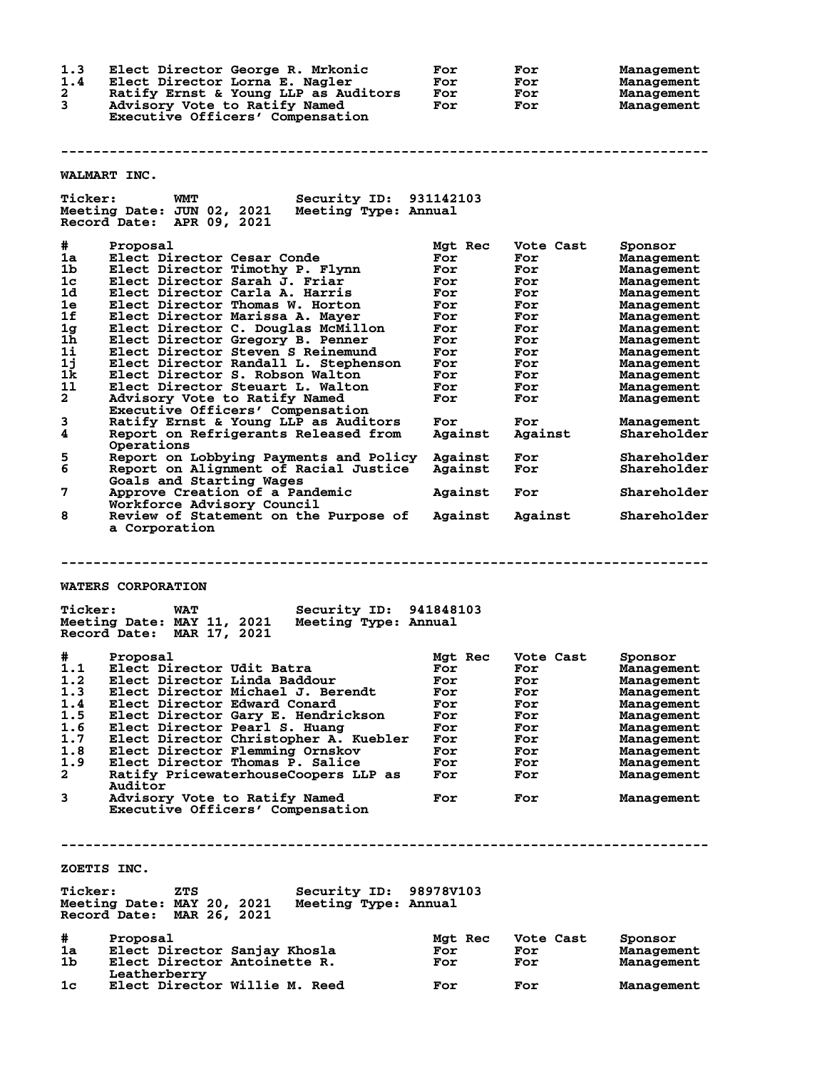**1.3 Elect Director George R. Mrkonic For For Management 1.4 Elect Director Lorna E. Nagler For For Management 2 Ratify Ernst & Young LLP as Auditors For For Management 3 Advisory Vote to Ratify Named For For Management Executive Officers' Compensation -------------------------------------------------------------------------------- WALMART INC. Ticker: WMT Security ID: 931142103 Meeting Date: JUN 02, 2021 Meeting Type: Annual Record Date: APR 09, 2021 # Proposal Mgt Rec Vote Cast Sponsor 1a Elect Director Cesar Conde For For Management 1b Elect Director Timothy P. Flynn For For Management 1c Elect Director Sarah J. Friar For For Management 1d Elect Director Carla A. Harris For For Management 1e Elect Director Thomas W. Horton For For Management 1f Elect Director Marissa A. Mayer For For Management 1g Elect Director C. Douglas McMillon For For Management 1h Elect Director Gregory B. Penner For For Management 1i Elect Director Steven S Reinemund For For Management 1j Elect Director Randall L. Stephenson For For Management 1k Elect Director S. Robson Walton For For Management 1l Elect Director Steuart L. Walton For For Management 2 Advisory Vote to Ratify Named For For Management Executive Officers' Compensation 3 Ratify Ernst & Young LLP as Auditors For For Management** Executive Officers' Compensation<br>3 Ratify Ernst & Young LLP as Auditors For For Management<br>4 Report on Refrigerants Released from Against Against Shareholder **Operations**<br>5 Report on I **5 Report on Lobbying Payments and Policy Against For Shareholder 6 Report on Alignment of Racial Justice Against For Shareholder Goals and Starting Wages 7 Approve Creation of a Pandemic Against For Shareholder Workforce Advisory Council 8 Review of Statement on the Purpose of Against Against Shareholder a Corporation -------------------------------------------------------------------------------- WATERS CORPORATION Ticker: WAT Security ID: 941848103 Meeting Date: MAY 11, 2021 Meeting Type: Annual Record Date: MAR 17, 2021 # Proposal Mgt Rec Vote Cast Sponsor 1.1 Elect Director Udit Batra For For Management 1.2 Elect Director Linda Baddour For For Management 1.3 Elect Director Michael J. Berendt For For Management 1.4 Elect Director Edward Conard For For Management 1.5 Elect Director Gary E. Hendrickson For For Management 1.6 Elect Director Pearl S. Huang For For Management 1.7 Elect Director Christopher A. Kuebler For For Management 1.8 Elect Director Flemming Ornskov For For Management 1.9 Elect Director Thomas P. Salice For For Management 2 Ratify PricewaterhouseCoopers LLP as For For Management Auditor 3 Advisory Vote to Ratify Named For For Management Executive Officers' Compensation -------------------------------------------------------------------------------- ZOETIS INC. Ticker: ZTS Security ID: 98978V103 Meeting Date: MAY 20, 2021 Meeting Type: Annual Record Date: MAR 26, 2021 # Proposal Mgt Rec Vote Cast Sponsor 1a Elect Director Sanjay Khosla For For Management 1b Elect Director Antoinette R. For For Management** 1b Elect Director Antoinette R.<br>
Leatherberry<br>
1c Elect Director Willie M. Reed Elect Director Willie M. Reed **For** For Management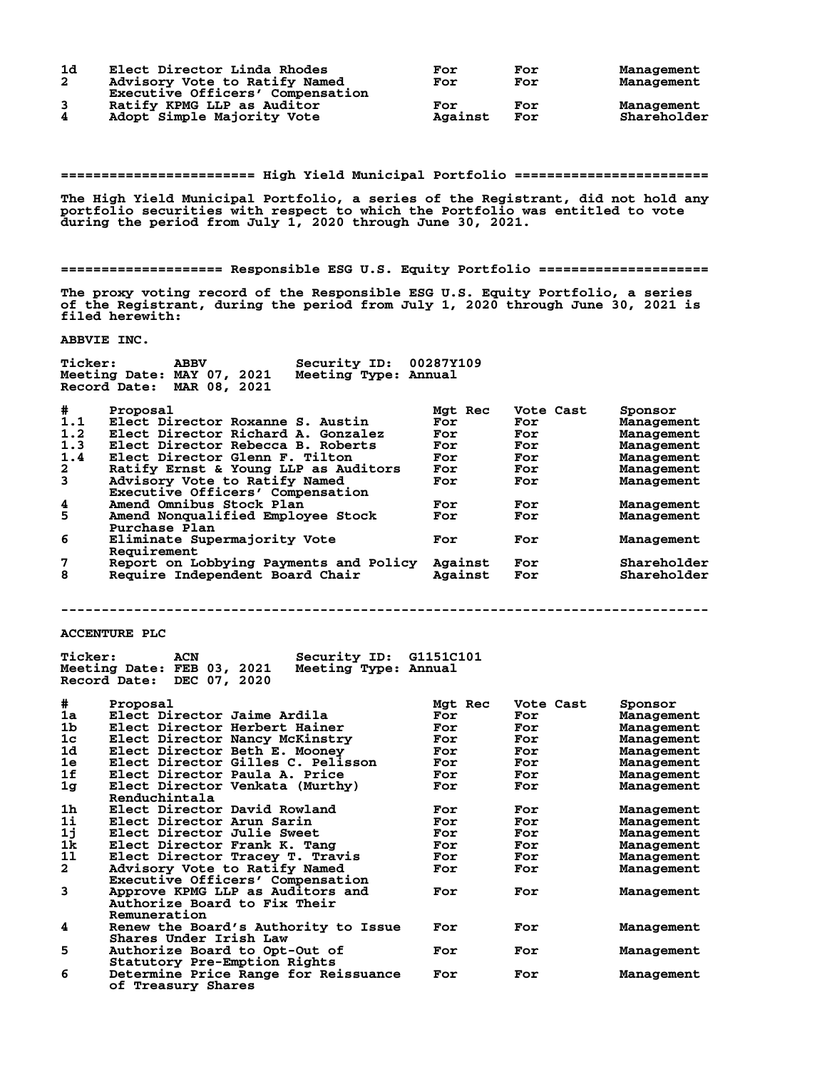| 1d           | Elect Director Linda Rhodes      | For     | For | Management  |
|--------------|----------------------------------|---------|-----|-------------|
| $\mathbf{2}$ | Advisory Vote to Ratify Named    | For     | For | Management  |
|              | Executive Officers' Compensation |         |     |             |
|              | Ratify KPMG LLP as Auditor       | For     | For | Management  |
| 4            | Adopt Simple Majority Vote       | Against | For | Shareholder |

**======================== High Yield Municipal Portfolio ========================**

**The High Yield Municipal Portfolio, a series of the Registrant, did not hold any portfolio securities with respect to which the Portfolio was entitled to vote during the period from July 1, 2020 through June 30, 2021.**

**==================== Responsible ESG U.S. Equity Portfolio =====================**

**The proxy voting record of the Responsible ESG U.S. Equity Portfolio, a series of the Registrant, during the period from July 1, 2020 through June 30, 2021 is filed herewith:**

**ABBVIE INC.**

| Ticker:        | <b>ABBV</b><br>Meeting Date: MAY 07, 2021<br>Record Date:<br>MAR 08, 2021 | Security ID:<br>Meeting Type: Annual | 00287Y109 |           |             |
|----------------|---------------------------------------------------------------------------|--------------------------------------|-----------|-----------|-------------|
| #              | Proposal                                                                  |                                      | Mgt Rec   | Vote Cast | Sponsor     |
| 1.1            | Elect Director Roxanne S. Austin                                          |                                      | For       | For       | Management  |
| 1.2            | Elect Director Richard A. Gonzalez                                        |                                      | For       | For       | Management  |
| 1.3            | Elect Director Rebecca B. Roberts                                         |                                      | For       | For       | Management  |
| 1.4            | Elect Director Glenn F. Tilton                                            |                                      | For       | For       | Management  |
| $\mathbf{2}$   | Ratify Ernst & Young LLP as Auditors                                      |                                      | For       | For       | Management  |
| $\overline{3}$ | Advisory Vote to Ratify Named                                             |                                      | For       | For       | Management  |
|                | Executive Officers' Compensation                                          |                                      |           |           |             |
| 4              | Amend Omnibus Stock Plan                                                  |                                      | For       | For       | Management  |
| 5              | Amend Nonqualified Employee Stock                                         |                                      | For       | For       | Management  |
|                | Purchase Plan                                                             |                                      |           |           |             |
| 6              | Eliminate Supermajority Vote                                              |                                      | For       | For       | Management  |
|                | Requirement                                                               |                                      |           |           |             |
| 7              | Report on Lobbying Payments and Policy                                    |                                      | Against   | For       | Shareholder |
| 8              | Require Independent Board Chair                                           |                                      | Against   | For       | Shareholder |
|                |                                                                           |                                      |           |           |             |

**--------------------------------------------------------------------------------**

**ACCENTURE PLC**

| <b>Ticker:</b> | Security ID:<br>ACN<br>Meeting Date: FEB 03, 2021<br>Meeting Type: Annual<br>Record Date:<br>DEC 07, 2020 | G1151C101 |           |            |
|----------------|-----------------------------------------------------------------------------------------------------------|-----------|-----------|------------|
| #              | Proposal                                                                                                  | Mgt Rec   | Vote Cast | Sponsor    |
| 1a             | Elect Director Jaime Ardila                                                                               | For       | For       | Management |
| 1 <sub>b</sub> | Elect Director Herbert Hainer                                                                             | For       | For       | Management |
| 1 <sub>c</sub> | Elect Director Nancy McKinstry                                                                            | For       | For       | Management |
| 1d             | Elect Director Beth E. Mooney                                                                             | For       | For       | Management |
| 1e             | Elect Director Gilles C. Pelisson                                                                         | For       | For       | Management |
| 1f             | Elect Director Paula A. Price                                                                             | For       | For       | Management |
| 1 <sub>g</sub> | Elect Director Venkata (Murthy)                                                                           | For       | For       | Management |
|                | Renduchintala                                                                                             |           |           |            |
| 1 <sub>h</sub> | Elect Director David Rowland                                                                              | For       | For       | Management |
| 1i             | Elect Director Arun Sarin                                                                                 | For       | For       | Management |
| 1j             | Elect Director Julie Sweet                                                                                | For       | For       | Management |
| 1k             | Elect Director Frank K. Tang                                                                              | For       | For       | Management |
| 11             | Elect Director Tracey T. Travis                                                                           | For       | For       | Management |
| $\mathbf{2}$   | Advisory Vote to Ratify Named                                                                             | For       | For       | Management |
|                | Executive Officers' Compensation                                                                          |           |           |            |
| 3              | Approve KPMG LLP as Auditors and                                                                          | For       | For       | Management |
|                | Authorize Board to Fix Their                                                                              |           |           |            |
|                | Remuneration                                                                                              |           |           |            |
| 4              | Renew the Board's Authority to Issue                                                                      | For       | For       | Management |
|                | Shares Under Irish Law                                                                                    |           |           |            |
| 5              | Authorize Board to Opt-Out of                                                                             | For       | For       | Management |
|                | Statutory Pre-Emption Rights                                                                              |           |           |            |
| 6              | Determine Price Range for Reissuance                                                                      | For       | For       | Management |
|                | of Treasury Shares                                                                                        |           |           |            |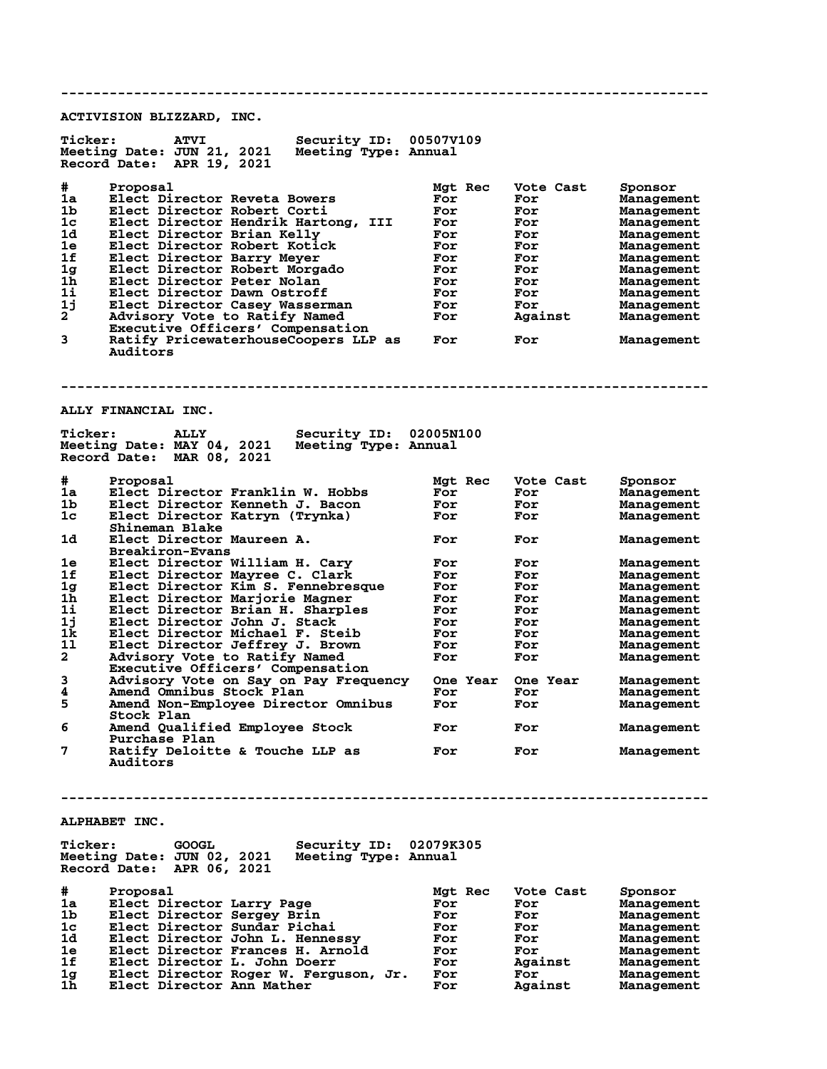**-------------------------------------------------------------------------------- ACTIVISION BLIZZARD, INC. Ticker: ATVI Security ID: 00507V109 Meeting Date: JUN 21, 2021 Meeting Type: Annual Record Date: APR 19, 2021 # Proposal Mgt Rec Vote Cast Sponsor 1a Elect Director Reveta Bowers For For Management 1b Elect Director Robert Corti For For Management 1c Elect Director Hendrik Hartong, III For For Management 1d Elect Director Brian Kelly For For Management 1e Elect Director Robert Kotick For For Management 1f Elect Director Barry Meyer For For Management 1g Elect Director Robert Morgado For For Management 1h Elect Director Peter Nolan For For Management 1i Elect Director Dawn Ostroff For For Management 1j Elect Director Casey Wasserman For For Management 2 Advisory Vote to Ratify Named For Against Management Executive Officers' Compensation 3 Ratify PricewaterhouseCoopers LLP as For For Management Auditors -------------------------------------------------------------------------------- ALLY FINANCIAL INC. Ticker: ALLY Security ID: 02005N100 Meeting Date: MAY 04, 2021 Meeting Type: Annual Record Date: MAR 08, 2021 # Proposal Mgt Rec Vote Cast Sponsor 1a Elect Director Franklin W. Hobbs For For Management 1b Elect Director Kenneth J. Bacon For For Management 1c Elect Director Katryn (Trynka) For For Management Shineman Blake** Elect Director Maureen A. **1988 For For Management** Breakiron-Evans  **Breakiron-Evans 1e Elect Director William H. Cary For For Management 1f Elect Director Mayree C. Clark For For Management 1g Elect Director Kim S. Fennebresque For For Management 1h Elect Director Marjorie Magner For For Management 1i Elect Director Brian H. Sharples For For Management 1j Elect Director John J. Stack For For Management 1k Elect Director Michael F. Steib For For Management 1l Elect Director Jeffrey J. Brown For For Management 2 Advisory Vote to Ratify Named For For Management Executive Officers' Compensation 3 Advisory Vote on Say on Pay Frequency One Year One Year Management 4 Amend Omnibus Stock Plan For For Management 5 Amend Non-Employee Director Omnibus For For Management Stock Plan** Amend Qualified Employee Stock **For** For Management Purchase Plan<br>7 Ratify Deloitt Ratify Deloitte & Touche LLP as For For Management  **Auditors -------------------------------------------------------------------------------- ALPHABET INC. Ticker: GOOGL Security ID: 02079K305 Meeting Date: JUN 02, 2021 Meeting Type: Annual Record Date: APR 06, 2021 # Proposal Mgt Rec Vote Cast Sponsor 1a Elect Director Larry Page For For Management 1b Elect Director Sergey Brin For For Management 1c Elect Director Sundar Pichai For For Management 1d Elect Director John L. Hennessy For For Management 1e Elect Director Frances H. Arnold For For Management 1f Elect Director L. John Doerr For Against Management 1g Elect Director Roger W. Ferguson, Jr. For For Management 1h Elect Director Ann Mather For Against Management**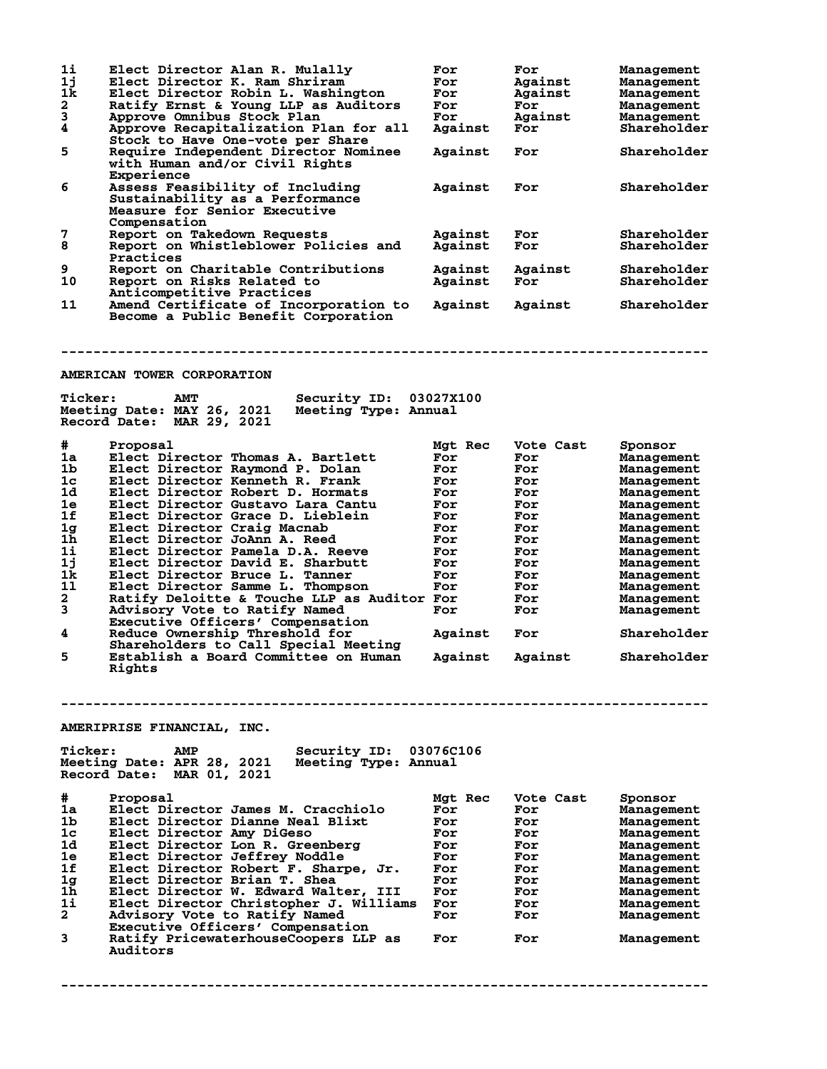| $1\text{i}$<br>1j<br>1k | Elect Director Alan R. Mulally<br>Elect Director K. Ram Shriram<br>Elect Director Robin L. Washington            | For<br>For<br>For | For<br>Against<br>Against | <b>Management</b><br>Management<br><b>Management</b> |
|-------------------------|------------------------------------------------------------------------------------------------------------------|-------------------|---------------------------|------------------------------------------------------|
| $\mathbf{2}$            | Ratify Ernst & Young LLP as Auditors                                                                             | For               | For                       | <b>Management</b>                                    |
| 3                       | Approve Omnibus Stock Plan                                                                                       | For               | Against                   | Management                                           |
| $\boldsymbol{4}$        | Approve Recapitalization Plan for all                                                                            | Against           | For                       | Shareholder                                          |
| 5                       | Stock to Have One-vote per Share<br>Require Independent Director Nominee<br>with Human and/or Civil Rights       | Against           | For                       | Shareholder                                          |
| 6                       | Experience<br>Assess Feasibility of Including<br>Sustainability as a Performance<br>Measure for Senior Executive | Against           | For                       | Shareholder                                          |
|                         | Compensation                                                                                                     |                   |                           |                                                      |
| 7                       | Report on Takedown Requests                                                                                      | Against           | For                       | Shareholder                                          |
| 8                       | Report on Whistleblower Policies and<br>Practices                                                                | Against           | For                       | Shareholder                                          |
| 9                       | Report on Charitable Contributions                                                                               | Against           | Against                   | Shareholder                                          |
| 10                      | Report on Risks Related to                                                                                       | Against           | For                       | Shareholder                                          |
|                         | Anticompetitive Practices                                                                                        |                   |                           |                                                      |
| 11                      | Amend Certificate of Incorporation to<br>Become a Public Benefit Corporation                                     | Against           | Against                   | Shareholder                                          |
|                         | AMERICAN TOWER CORPORATION                                                                                       |                   |                           |                                                      |
|                         |                                                                                                                  |                   |                           |                                                      |
| <b>Ticker:</b>          | Security ID:<br><b>AMT</b><br>Meeting Date: MAY 26, 2021<br>Meeting Type: Annual<br>Record Date: MAR 29, 2021    | 03027X100         |                           |                                                      |
|                         |                                                                                                                  |                   |                           |                                                      |
| #                       | Proposal                                                                                                         | Mgt Rec           | Vote Cast                 | Sponsor                                              |
| 1a                      | Elect Director Thomas A. Bartlett                                                                                | For               | For                       | <b>Management</b>                                    |
| 1 <sub>b</sub>          | Elect Director Raymond P. Dolan                                                                                  | For               | For                       | Management                                           |
| 1 <sub>c</sub>          | Elect Director Kenneth R. Frank                                                                                  | For               | For                       | Management                                           |
| 1d                      | Elect Director Robert D. Hormats                                                                                 | For               | For                       | Management                                           |
| 1e                      | Elect Director Gustavo Lara Cantu                                                                                | For               | For                       | <b>Management</b>                                    |
| 1f                      | Elect Director Grace D. Lieblein                                                                                 | For               | For                       | Management                                           |
| 1g                      | Elect Director Craig Macnab                                                                                      | For               | For                       | Management                                           |
| 1h                      | Elect Director JoAnn A. Reed                                                                                     | For               | For                       | Management                                           |
| 1i                      | Elect Director Pamela D.A. Reeve                                                                                 | For               | For                       |                                                      |
|                         |                                                                                                                  |                   |                           | <b>Management</b>                                    |
| 1j                      | Elect Director David E. Sharbutt                                                                                 | For               | For                       | Management                                           |
| 1k                      | Elect Director Bruce L. Tanner                                                                                   | For               | For                       | <b>Management</b>                                    |
| 11                      | Elect Director Samme L. Thompson                                                                                 | For               | For                       | Management                                           |
| $\mathbf{2}$            | Ratify Deloitte & Touche LLP as Auditor For                                                                      |                   | For                       | Management                                           |
| 3                       | Advisory Vote to Ratify Named                                                                                    | For               | For                       | Management                                           |
|                         | Executive Officers' Compensation                                                                                 |                   |                           |                                                      |
| 4                       | Reduce Ownership Threshold for                                                                                   | Against           | For                       | Shareholder                                          |
| 5                       | Shareholders to Call Special Meeting<br>Establish a Board Committee on Human                                     | Against           | Against                   | Shareholder                                          |
|                         | Rights                                                                                                           |                   |                           |                                                      |
|                         |                                                                                                                  |                   |                           |                                                      |
|                         | AMERIPRISE FINANCIAL, INC.                                                                                       |                   |                           |                                                      |
| <b>Ticker:</b>          | Security ID:<br><b>AMP</b><br>Meeting Type: Annual<br>Meeting Date: APR 28, 2021<br>Record Date: MAR 01, 2021    | 03076C106         |                           |                                                      |
|                         |                                                                                                                  |                   |                           |                                                      |
| #                       | Proposal                                                                                                         | <b>Mat Rec</b>    | Vote Cast                 | Sponsor                                              |
| 1a                      | Elect Director James M. Cracchiolo                                                                               | For               | For                       | <b>Management</b>                                    |
| 1b                      | Elect Director Dianne Neal Blixt                                                                                 | For               | For                       | Management                                           |
| 1c                      | Elect Director Amy DiGeso                                                                                        | For               | For                       | <b>Management</b>                                    |
| 1d                      | Elect Director Lon R. Greenberg                                                                                  | For               | For                       | <b>Management</b>                                    |
| 1e                      | Elect Director Jeffrey Noddle                                                                                    | For               | For                       | <b>Management</b>                                    |
| 1f                      | Elect Director Robert F. Sharpe, Jr.                                                                             | For               | For                       | <b>Management</b>                                    |
| 1g                      | Elect Director Brian T. Shea                                                                                     | For               | For                       | <b>Management</b>                                    |
| 1h                      | Elect Director W. Edward Walter, III                                                                             | For               | For                       | Management                                           |
| 1i                      | Elect Director Christopher J. Williams                                                                           | For               | For                       | <b>Management</b>                                    |
| $\mathbf{2}$            | Advisory Vote to Ratify Named                                                                                    | For               | For                       | <b>Management</b>                                    |
|                         | Executive Officers' Compensation                                                                                 |                   |                           |                                                      |
| 3                       |                                                                                                                  |                   |                           |                                                      |
|                         | Ratify PricewaterhouseCoopers LLP as<br>Auditors                                                                 | For               | For                       | <b>Management</b>                                    |
|                         |                                                                                                                  |                   |                           |                                                      |

**--------------------------------------------------------------------------------**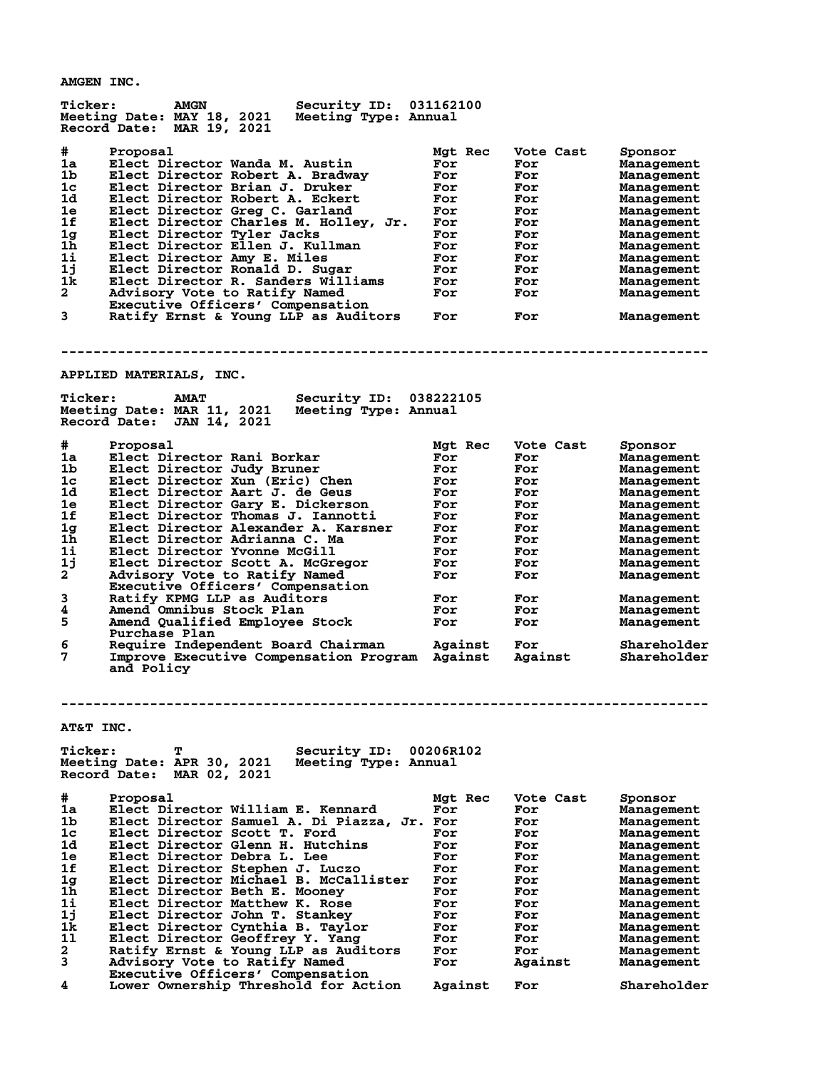**AMGEN INC.**

| <b>Ticker:</b><br>Security ID: 031162100<br><b>AMGN</b><br>Meeting Date: MAY 18, 2021<br>Meeting Type: Annual<br>Record Date: MAR 19, 2021 |                        |                  |                       |
|--------------------------------------------------------------------------------------------------------------------------------------------|------------------------|------------------|-----------------------|
| #.<br>Proposal<br>1a<br>Elect Director Wanda M. Austin                                                                                     | Mgt Rec<br>For         | Vote Cast<br>For | Sponsor<br>Management |
| 1 <sub>b</sub><br>Elect Director Robert A. Bradway                                                                                         | For                    | For              | Management            |
| 1c<br>Elect Director Brian J. Druker                                                                                                       | For                    | For              | Management            |
| 1d<br>Elect Director Robert A. Eckert                                                                                                      | For                    | For              | <b>Management</b>     |
| 1e<br>Elect Director Greg C. Garland                                                                                                       | For                    | For              | <b>Management</b>     |
| 1f<br>Elect Director Charles M. Holley, Jr.                                                                                                | For                    | For              | <b>Management</b>     |
| Elect Director Tyler Jacks<br>1 <sub>g</sub>                                                                                               | For                    | For              | Management            |
| Elect Director Ellen J. Kullman<br>1h                                                                                                      | For                    | For              | Management            |
| 1i<br>Elect Director Amy E. Miles                                                                                                          | For                    | For              | Management            |
| 1j<br>Elect Director Ronald D. Sugar                                                                                                       | For                    | For              | <b>Management</b>     |
| 1k.<br>Elect Director R. Sanders Williams                                                                                                  | For                    | For              | Management            |
| $\mathbf{2}$<br>Advisory Vote to Ratify Named                                                                                              | For                    | For              | Management            |
| Executive Officers' Compensation<br>3<br>Ratify Ernst & Young LLP as Auditors                                                              | For                    | For              | Management            |
|                                                                                                                                            |                        |                  |                       |
|                                                                                                                                            |                        |                  |                       |
| APPLIED MATERIALS, INC.                                                                                                                    |                        |                  |                       |
| <b>Ticker:</b><br><b>AMAT</b>                                                                                                              | Security ID: 038222105 |                  |                       |
| Meeting Date: MAR 11, 2021<br>Meeting Type: Annual                                                                                         |                        |                  |                       |
| Record Date: JAN 14, 2021                                                                                                                  |                        |                  |                       |
| #<br>Proposal                                                                                                                              | Mgt Rec                | Vote Cast        | Sponsor               |
| 1a<br>Elect Director Rani Borkar                                                                                                           | For                    | For              | Management            |
| 1 <sub>b</sub><br>Elect Director Judy Bruner                                                                                               | For                    | For              | Management            |
| 1c<br>Elect Director Xun (Eric) Chen                                                                                                       | For                    | For              | Management            |
| 1d<br>Elect Director Aart J. de Geus                                                                                                       | For                    | For              | Management            |
| Elect Director Gary E. Dickerson<br>1e                                                                                                     | For                    | For              | <b>Management</b>     |
| 1f<br>Elect Director Thomas J. Iannotti                                                                                                    | For                    | For              | <b>Management</b>     |
| Elect Director Alexander A. Karsner<br>1 <sub>g</sub>                                                                                      | For                    | For              | <b>Management</b>     |
| 1h<br>Elect Director Adrianna C. Ma                                                                                                        | For                    | For              | <b>Management</b>     |
| 1i<br>Elect Director Yvonne McGill                                                                                                         | For                    | For              | <b>Management</b>     |
| 1j<br>Elect Director Scott A. McGregor                                                                                                     | For                    | For              | <b>Management</b>     |
| $\mathbf{2}$<br>Advisory Vote to Ratify Named                                                                                              | For                    | For              | Management            |
| Executive Officers' Compensation                                                                                                           |                        |                  |                       |
| 3<br>Ratify KPMG LLP as Auditors                                                                                                           | For                    | For              | Management            |
| 4<br>Amend Omnibus Stock Plan                                                                                                              | For                    | For              | Management            |
| 5<br>Amend Qualified Employee Stock<br>Purchase Plan                                                                                       | For                    | For              | Management            |
| 6<br>Require Independent Board Chairman                                                                                                    | Against                | For              | Shareholder           |
| 7<br>Improve Executive Compensation Program Against                                                                                        |                        | Against          | Shareholder           |
| and Policy                                                                                                                                 |                        |                  |                       |
|                                                                                                                                            |                        |                  |                       |
|                                                                                                                                            |                        |                  |                       |
| AT&T INC.                                                                                                                                  |                        |                  |                       |
|                                                                                                                                            |                        |                  |                       |
| <b>Ticker:</b><br>Security ID:<br>т                                                                                                        | 00206R102              |                  |                       |
| Meeting Date: APR 30, 2021<br>Meeting Type: Annual                                                                                         |                        |                  |                       |
| Record Date: MAR 02, 2021                                                                                                                  |                        |                  |                       |
| #<br>Proposal                                                                                                                              | Mgt Rec                | Vote Cast        | Sponsor               |
| 1a<br>Elect Director William E. Kennard                                                                                                    | For                    | For              | Management            |
| 1b<br>Elect Director Samuel A. Di Piazza, Jr. For                                                                                          |                        | For              | Management            |
| 1c<br>Elect Director Scott T. Ford                                                                                                         | For                    | For              | <b>Management</b>     |
| 1d<br>Elect Director Glenn H. Hutchins                                                                                                     | For                    | For              | Management            |
| 1e<br>Elect Director Debra L. Lee                                                                                                          | For                    | For              | <b>Management</b>     |
| 1f<br>Elect Director Stephen J. Luczo                                                                                                      | For                    | For              | <b>Management</b>     |
| Elect Director Michael B. McCallister<br>1 <sub>g</sub>                                                                                    | For                    | For              | <b>Management</b>     |
| 1h<br>Elect Director Beth E. Mooney                                                                                                        | For                    | For              | Management            |
| 1i<br>Elect Director Matthew K. Rose                                                                                                       | For                    | For              | <b>Management</b>     |
| 1j<br>Elect Director John T. Stankey                                                                                                       | For                    | For              | <b>Management</b>     |
| 1k<br>Elect Director Cynthia B. Taylor                                                                                                     | For                    | For              | <b>Management</b>     |
| 11<br>Elect Director Geoffrey Y. Yang                                                                                                      | For                    | For              | <b>Management</b>     |
| $\mathbf{2}$<br>Ratify Ernst & Young LLP as Auditors                                                                                       | For                    | For              | <b>Management</b>     |
| 3<br>Advisory Vote to Ratify Named                                                                                                         | For                    | Against          | <b>Management</b>     |
| Executive Officers' Compensation                                                                                                           |                        |                  |                       |
| 4<br>Lower Ownership Threshold for Action                                                                                                  | Against                | For              | Shareholder           |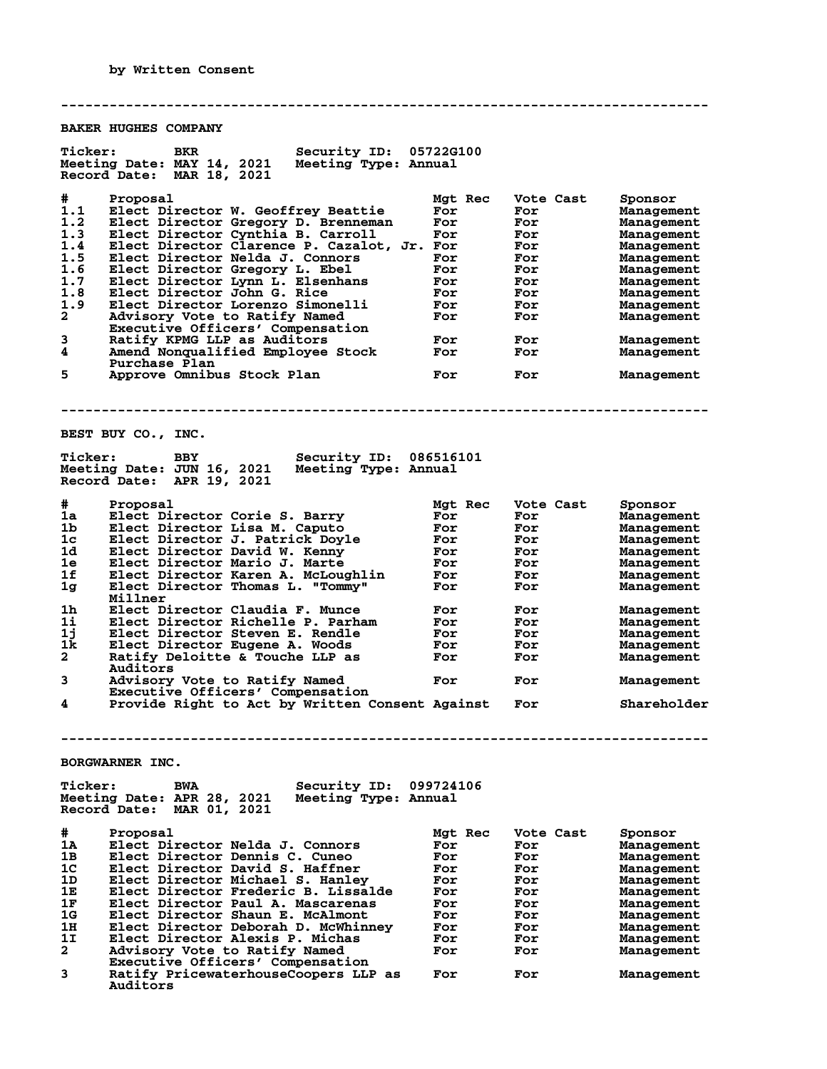**Auditors**

**-------------------------------------------------------------------------------- BAKER HUGHES COMPANY Ticker: BKR Security ID: 05722G100 Meeting Date: MAY 14, 2021 Meeting Type: Annual Record Date: MAR 18, 2021 # Proposal Mgt Rec Vote Cast Sponsor 1.1 Elect Director W. Geoffrey Beattie For For Management 1.2 Elect Director Gregory D. Brenneman For For Management 1.3 Elect Director Cynthia B. Carroll For For Management 1.4 Elect Director Clarence P. Cazalot, Jr. For For Management 1.5 Elect Director Nelda J. Connors For For Management 1.6 Elect Director Gregory L. Ebel For For Management 1.7 Elect Director Lynn L. Elsenhans For For Management 1.8 Elect Director John G. Rice For For Management 1.9 Elect Director Lorenzo Simonelli For For Management 2 Advisory Vote to Ratify Named For For Management Executive Officers' Compensation 3 Ratify KPMG LLP as Auditors For For Management 4 Amend Nonqualified Employee Stock For For Management Purchase Plan** Purchase Plan **Find Constructs Constructs Plan**<br>
For For Management **-------------------------------------------------------------------------------- BEST BUY CO., INC. Ticker: BBY Security ID: 086516101 Meeting Date: JUN 16, 2021 Meeting Type: Annual Record Date: APR 19, 2021 # Proposal Mgt Rec Vote Cast Sponsor 1a Elect Director Corie S. Barry For For Management 1b Elect Director Lisa M. Caputo For For Management 1c Elect Director J. Patrick Doyle For For Management 1d Elect Director David W. Kenny For For Management 1e Elect Director Mario J. Marte For For Management 1f Elect Director Karen A. McLoughlin For For Management 1g Elect Director Thomas L. "Tommy" For For Management Millner 1h Elect Director Claudia F. Munce For For Management 1i Elect Director Richelle P. Parham For For Management 1j Elect Director Steven E. Rendle For For Management 1k Elect Director Eugene A. Woods For For Management 2 Ratify Deloitte & Touche LLP as For For Management Auditors 3 Advisory Vote to Ratify Named For For Management Executive Officers' Compensation 4 Provide Right to Act by Written Consent Against For Shareholder -------------------------------------------------------------------------------- BORGWARNER INC. Ticker: BWA Security ID: 099724106 Meeting Date: APR 28, 2021 Meeting Type: Annual Record Date: MAR 01, 2021 # Proposal Mgt Rec Vote Cast Sponsor 1A Elect Director Nelda J. Connors For For Management 1B Elect Director Dennis C. Cuneo For For Management 1C Elect Director David S. Haffner For For Management 1D Elect Director Michael S. Hanley For For Management 1E Elect Director Frederic B. Lissalde For For Management 1F Elect Director Paul A. Mascarenas For For Management 1G Elect Director Shaun E. McAlmont For For Management 1H Elect Director Deborah D. McWhinney For For Management 1I Elect Director Alexis P. Michas For For Management 2 Advisory Vote to Ratify Named For For Management Executive Officers' Compensation 3 Ratify PricewaterhouseCoopers LLP as For For Management**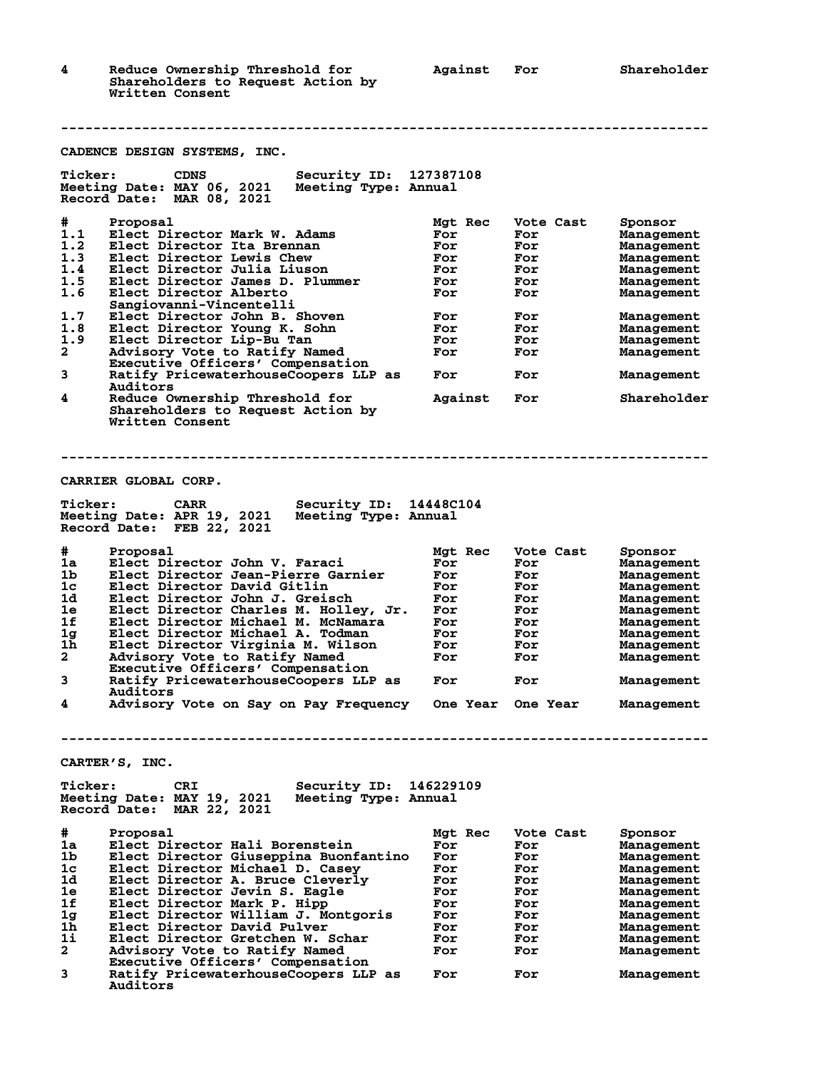**4 Reduce Ownership Threshold for Against For Shareholder Shareholders to Request Action by Written Consent**

 **Auditors**

|                     | CADENCE DESIGN SYSTEMS, INC.                                       |            |            |                          |
|---------------------|--------------------------------------------------------------------|------------|------------|--------------------------|
| <b>Ticker:</b>      | <b>CDNS</b><br>Security ID: 127387108                              |            |            |                          |
|                     | Meeting Date: MAY 06, 2021<br>Meeting Type: Annual                 |            |            |                          |
|                     | Record Date: MAR 08, 2021                                          |            |            |                          |
| #                   | Proposal                                                           | Mgt Rec    | Vote Cast  | Sponsor                  |
| 1.1                 | Elect Director Mark W. Adams                                       | For        | For        | Management               |
| 1.2                 | Elect Director Ita Brennan                                         | For        | For        | Management               |
| 1.3                 | Elect Director Lewis Chew                                          | For        | For        | Management               |
| 1.4                 | Elect Director Julia Liuson                                        | For        | For        | Management               |
| 1.5                 | Elect Director James D. Plummer                                    | For        | For        | Management               |
| 1.6                 | Elect Director Alberto                                             | For        | For        | Management               |
| 1.7                 | Sangiovanni-Vincentelli<br>Elect Director John B. Shoven           | For        | For        |                          |
| 1.8                 | Elect Director Young K. Sohn                                       | For        | For        | Management<br>Management |
| 1.9                 | Elect Director Lip-Bu Tan                                          | For        | For        | Management               |
| 2                   | Advisory Vote to Ratify Named                                      | For        | For        | Management               |
|                     | Executive Officers' Compensation                                   |            |            |                          |
| 3                   | Ratify PricewaterhouseCoopers LLP as                               | For        | For        | Management               |
|                     | Auditors                                                           |            |            |                          |
| 4                   | Reduce Ownership Threshold for                                     | Against    | For        | Shareholder              |
|                     | Shareholders to Request Action by                                  |            |            |                          |
|                     | Written Consent                                                    |            |            |                          |
|                     |                                                                    |            |            |                          |
|                     |                                                                    |            |            |                          |
|                     |                                                                    |            |            |                          |
|                     | CARRIER GLOBAL CORP.                                               |            |            |                          |
|                     |                                                                    |            |            |                          |
| <b>Ticker:</b>      | <b>CARR</b><br>Security ID:                                        | 14448C104  |            |                          |
|                     | Meeting Date: APR 19, 2021<br>Meeting Type: Annual                 |            |            |                          |
|                     | Record Date: FEB 22, 2021                                          |            |            |                          |
| #                   | Proposal                                                           | Mgt Rec    | Vote Cast  | Sponsor                  |
| 1a                  | Elect Director John V. Faraci                                      | For        | For        | Management               |
| 1b                  | Elect Director Jean-Pierre Garnier                                 | For        | For        | Management               |
| 1c                  | Elect Director David Gitlin                                        | For        | For        | Management               |
| 1d                  | Elect Director John J. Greisch                                     | For        | For        | Management               |
| 1e                  | Elect Director Charles M. Holley, Jr.                              | For        | For        | Management               |
| 1f                  | Elect Director Michael M. McNamara                                 | For        | For        | Management               |
| 1g                  | Elect Director Michael A. Todman                                   | For        | For        | Management               |
| 1h.<br>$\mathbf{2}$ | Elect Director Virginia M. Wilson<br>Advisory Vote to Ratify Named | For        | For        | Management               |
|                     | Executive Officers' Compensation                                   | For        | For        | Management               |
| 3                   | Ratify PricewaterhouseCoopers LLP as                               | For        | For        | Management               |
|                     | Auditors                                                           |            |            |                          |
| 4                   | Advisory Vote on Say on Pay Frequency                              | One Year   | One Year   | Management               |
|                     |                                                                    |            |            |                          |
|                     |                                                                    |            |            |                          |
|                     |                                                                    |            |            |                          |
|                     |                                                                    |            |            |                          |
|                     | CARTER'S, INC.                                                     |            |            |                          |
| <b>Ticker:</b>      | <b>CRI</b>                                                         | 146229109  |            |                          |
|                     | Security ID:<br>Meeting Date: MAY 19, 2021<br>Meeting Type: Annual |            |            |                          |
|                     | <b>Record Date:</b><br>MAR 22, 2021                                |            |            |                          |
|                     |                                                                    |            |            |                          |
| #                   | Proposal                                                           | Mgt Rec    | Vote Cast  | Sponsor                  |
| 1a                  | Elect Director Hali Borenstein                                     | For        | For        | Management               |
| 1b                  | Elect Director Giuseppina Buonfantino                              | For        | For        | Management               |
| 1c                  | Elect Director Michael D. Casey                                    | For        | For        | Management               |
| 1d                  | Elect Director A. Bruce Cleverly                                   | For        | For        | Management               |
| 1e<br>1f            | Elect Director Jevin S. Eagle                                      | For        | For        | Management               |
| 1 <sub>g</sub>      | Elect Director Mark P. Hipp<br>Elect Director William J. Montgoris | For<br>For | For<br>For | Management<br>Management |
| 1h                  | Elect Director David Pulver                                        | For        | For        | Management               |
| 1i                  | Elect Director Gretchen W. Schar                                   | For        | For        | Management               |
| $\mathbf{2}$        | Advisory Vote to Ratify Named                                      | For        | For        | Management               |
|                     | Executive Officers' Compensation                                   |            |            |                          |
| 3                   | Ratify PricewaterhouseCoopers LLP as                               | For        | For        | Management               |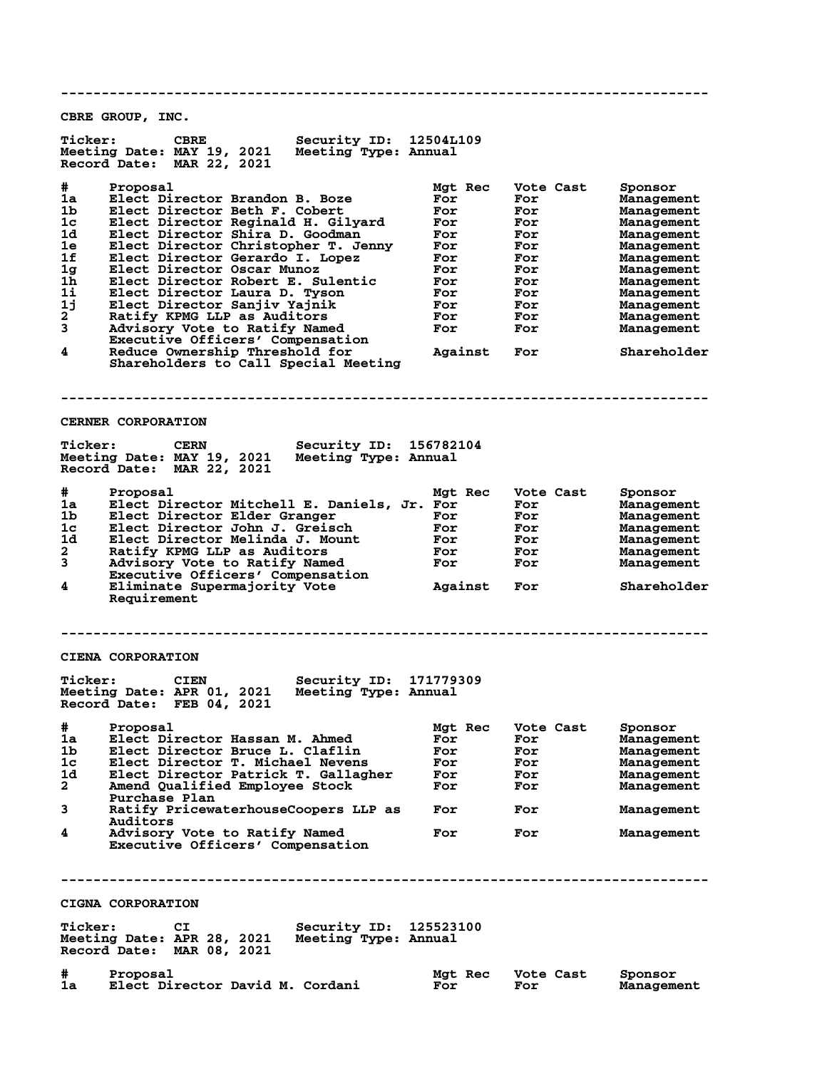**-------------------------------------------------------------------------------- CBRE GROUP, INC. Ticker: CBRE Security ID: 12504L109 Meeting Date: MAY 19, 2021 Meeting Type: Annual Record Date: MAR 22, 2021 # Proposal Mgt Rec Vote Cast Sponsor 1a Elect Director Brandon B. Boze For For Management 1b Elect Director Beth F. Cobert For For Management 1c Elect Director Reginald H. Gilyard For For Management 1d Elect Director Shira D. Goodman For For Management 1e Elect Director Christopher T. Jenny For For Management 1f Elect Director Gerardo I. Lopez For For Management 1g Elect Director Oscar Munoz For For Management 1h Elect Director Robert E. Sulentic For For Management 1i Elect Director Laura D. Tyson For For Management 1j Elect Director Sanjiv Yajnik For For Management 2 Ratify KPMG LLP as Auditors For For Management 3 Advisory Vote to Ratify Named For For Management Executive Officers' Compensation 4 Ratify KPMG LLP as Auditors and Force Pronton Management Advisory Vote to Ratify Named Reduce Officers' Compensation<br>4 Reduce Ownership Threshold for Against Force Shareholder Shareholders to Call Special Meeting -------------------------------------------------------------------------------- CERNER CORPORATION Ticker: CERN Security ID: 156782104**<br>Meeting Date: MAY 19, 2021 Meeting Type: Annual **Meeting Date: MAY 19, 2021 Meeting Type: Annual Record Date: MAR 22, 2021 # Proposal Mgt Rec Vote Cast Sponsor 1a Elect Director Mitchell E. Daniels, Jr. For For Management 1b Elect Director Elder Granger For For Management 1c Elect Director John J. Greisch For For Management 1d Elect Director Melinda J. Mount For For Management 2 Ratify KPMG LLP as Auditors For For Management 3 Advisory Vote to Ratify Named For For Management Executive Officers' Compensation 4 Eliminate Supermajority Vote Against For Shareholder Requirement -------------------------------------------------------------------------------- CIENA CORPORATION** Ticker: CIEN Security ID: 171779309<br>Meeting Date: APR 01, 2021 Meeting Type: Annual **Meeting Date: APR 01, 2021 Meeting Type: Annual Record Date: FEB 04, 2021 # Proposal Mgt Rec Vote Cast Sponsor 1a Elect Director Hassan M. Ahmed For For Management 1b Elect Director Bruce L. Claflin For For Management 1c Elect Director T. Michael Nevens For For Management 1d Elect Director Patrick T. Gallagher For For Management 2 Amend Qualified Employee Stock For For Management** 2 Amend Qualifie<br>Purchase Plan<br>3 Ratify Pricewa **3 Ratify PricewaterhouseCoopers LLP as For For Management** Auditors<br>4 Advisory **4 Advisory Vote to Ratify Named For For Management Executive Officers' Compensation -------------------------------------------------------------------------------- CIGNA CORPORATION Ticker: CI Security ID: 125523100 Meeting Date: APR 28, 2021 Meeting Type: Annual Record Date: MAR 08, 2021 # Proposal Mgt Rec Vote Cast Sponsor 1a Elect Director David M. Cordani For For Management**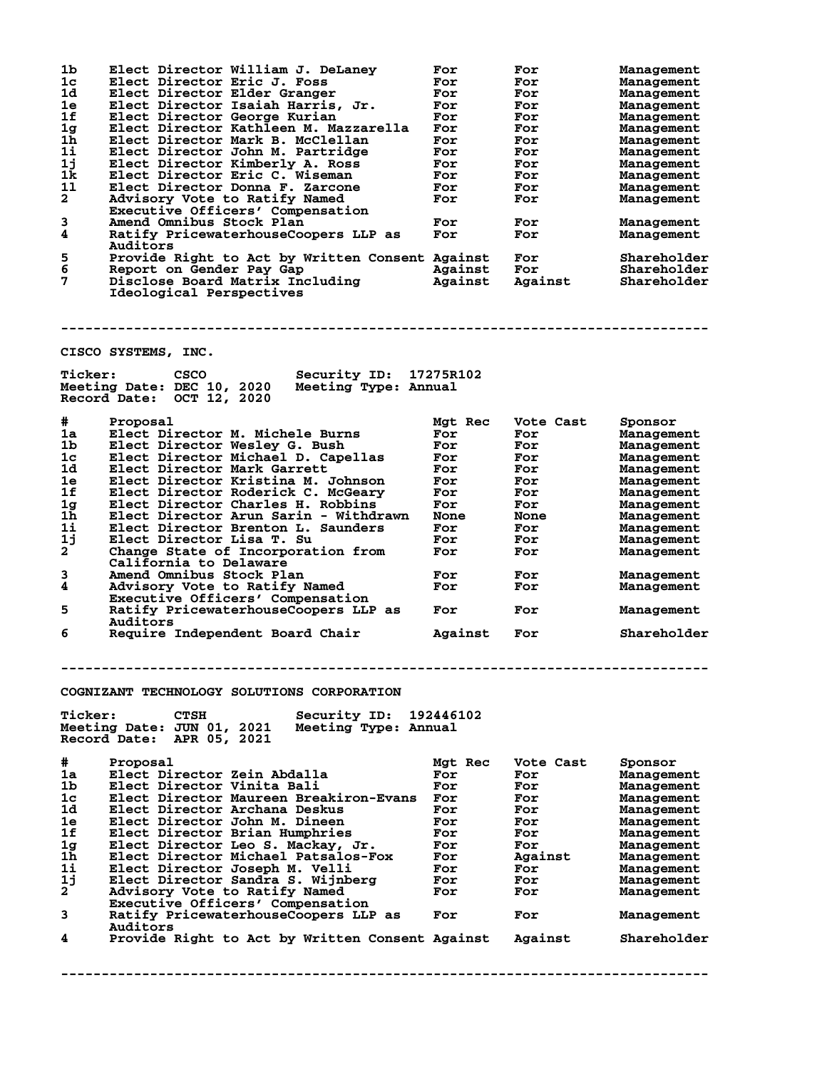| 1b                        | Elect Director William J. DeLaney                  | For         | For         | Management  |
|---------------------------|----------------------------------------------------|-------------|-------------|-------------|
| 1 <sub>c</sub>            | Elect Director Eric J. Foss                        | For         | For         | Management  |
| 1d                        | Elect Director Elder Granger                       | For         | For         | Management  |
| 1e                        | Elect Director Isaiah Harris, Jr.                  | For         | For         | Management  |
| 1f                        | Elect Director George Kurian                       | For         | For         | Management  |
| 1 <sub>g</sub>            | Elect Director Kathleen M. Mazzarella              | For         | For         | Management  |
| 1 <sub>h</sub>            | Elect Director Mark B. McClellan                   | For         | For         | Management  |
| 11                        | Elect Director John M. Partridge                   | For         | For         | Management  |
| 1j                        | Elect Director Kimberly A. Ross                    | For         | For         | Management  |
| 1 <sub>k</sub>            | Elect Director Eric C. Wiseman                     | For         | For         |             |
|                           |                                                    |             |             | Management  |
| 11                        | Elect Director Donna F. Zarcone                    | For         | For         | Management  |
| $\mathbf{2}$              | Advisory Vote to Ratify Named                      | For         | For         | Management  |
|                           | Executive Officers' Compensation                   |             |             |             |
| 3                         | Amend Omnibus Stock Plan                           | For         | For         | Management  |
| 4                         | Ratify PricewaterhouseCoopers LLP as               | For         | For         | Management  |
|                           | Auditors                                           |             |             |             |
| 5                         | Provide Right to Act by Written Consent Against    |             | For         | Shareholder |
| 6                         | Report on Gender Pay Gap                           | Against     | For         | Shareholder |
| 7                         | Disclose Board Matrix Including                    | Against     | Against     | Shareholder |
|                           | Ideological Perspectives                           |             |             |             |
|                           |                                                    |             |             |             |
|                           |                                                    |             |             |             |
|                           |                                                    |             |             |             |
|                           |                                                    |             |             |             |
|                           |                                                    |             |             |             |
|                           | CISCO SYSTEMS, INC.                                |             |             |             |
|                           |                                                    |             |             |             |
| <b>Ticker:</b>            | <b>CSCO</b><br><b>Security ID:</b>                 | 17275R102   |             |             |
|                           | Meeting Date: DEC 10, 2020<br>Meeting Type: Annual |             |             |             |
|                           | Record Date: OCT 12, 2020                          |             |             |             |
|                           |                                                    |             |             |             |
| #                         | Proposal                                           | Mgt Rec     | Vote Cast   | Sponsor     |
| 1a                        | Elect Director M. Michele Burns                    | For         | For         | Management  |
| 1 <sub>b</sub>            | Elect Director Wesley G. Bush                      | For         | For         | Management  |
| 1 <sub>c</sub>            | Elect Director Michael D. Capellas                 |             |             |             |
|                           |                                                    | For         | For         | Management  |
| 1d                        | Elect Director Mark Garrett                        | For         | For         | Management  |
| 1e                        | Elect Director Kristina M. Johnson                 | For         | For         | Management  |
| 1f                        | Elect Director Roderick C. McGeary                 | For         | For         | Management  |
| 1g                        | Elect Director Charles H. Robbins                  | For         | For         | Management  |
| 1h                        | Elect Director Arun Sarin - Withdrawn              | <b>None</b> | <b>None</b> | Management  |
| 11                        | Elect Director Brenton L. Saunders                 | For         | For         | Management  |
| 1j                        | Elect Director Lisa T. Su                          | For         | For         | Management  |
| $\mathbf{2}^{\mathsf{T}}$ | Change State of Incorporation from                 | For         | For         | Management  |
|                           | California to Delaware                             |             |             |             |
| 3                         | Amend Omnibus Stock Plan                           | For         | For         | Management  |
| 4                         |                                                    |             |             |             |
|                           | Advisory Vote to Ratify Named                      | For         | For         | Management  |
|                           | Executive Officers' Compensation                   |             |             |             |
| 5                         | Ratify PricewaterhouseCoopers LLP as               | For         | For         | Management  |
|                           | Auditors                                           |             |             |             |
| 6                         | Require Independent Board Chair                    | Against     | For         | Shareholder |
|                           |                                                    |             |             |             |
|                           |                                                    |             |             |             |
|                           |                                                    |             |             |             |
|                           |                                                    |             |             |             |
|                           | COGNIZANT TECHNOLOGY SOLUTIONS CORPORATION         |             |             |             |
|                           |                                                    |             |             |             |
| <b>Ticker:</b>            | <b>CTSH</b>                                        | 192446102   |             |             |
|                           | Security ID:                                       |             |             |             |
|                           | Meeting Date: JUN 01, 2021<br>Meeting Type: Annual |             |             |             |
|                           | Record Date:<br>APR 05, 2021                       |             |             |             |
|                           |                                                    |             |             |             |
| #                         | Proposal                                           | Mgt Rec     | Vote Cast   | Sponsor     |
| 1a                        | Elect Director Zein Abdalla                        | For         | For         | Management  |
| 1b                        | Elect Director Vinita Bali                         | For         | For         | Management  |
| 1 <sub>c</sub>            | Elect Director Maureen Breakiron-Evans             | For         | For         | Management  |
| 1d                        | Elect Director Archana Deskus                      | For         | For         | Management  |
| 1e                        | Elect Director John M. Dineen                      | For         | For         | Management  |
| 1f                        | Elect Director Brian Humphries                     | For         | For         | Management  |
|                           |                                                    |             |             |             |
| 1 <sub>g</sub>            | Elect Director Leo S. Mackay, Jr.                  | For         | For         | Management  |
| 1 <sub>h</sub>            | Elect Director Michael Patsalos-Fox                | For         | Against     | Management  |
| 1i                        | Elect Director Joseph M. Velli                     | For         | For         | Management  |
| 1j                        | Elect Director Sandra S. Wijnberg                  | For         | For         | Management  |
| $\mathbf{2}$              | Advisory Vote to Ratify Named                      | For         | For         | Management  |
|                           | Executive Officers' Compensation                   |             |             |             |
| 3                         | Ratify PricewaterhouseCoopers LLP as               | For         | For         | Management  |
|                           | <b>Auditors</b>                                    |             |             |             |
| 4                         | Provide Right to Act by Written Consent Against    |             | Against     | Shareholder |
|                           |                                                    |             |             |             |
|                           |                                                    |             |             |             |
|                           |                                                    |             |             |             |
|                           |                                                    |             |             |             |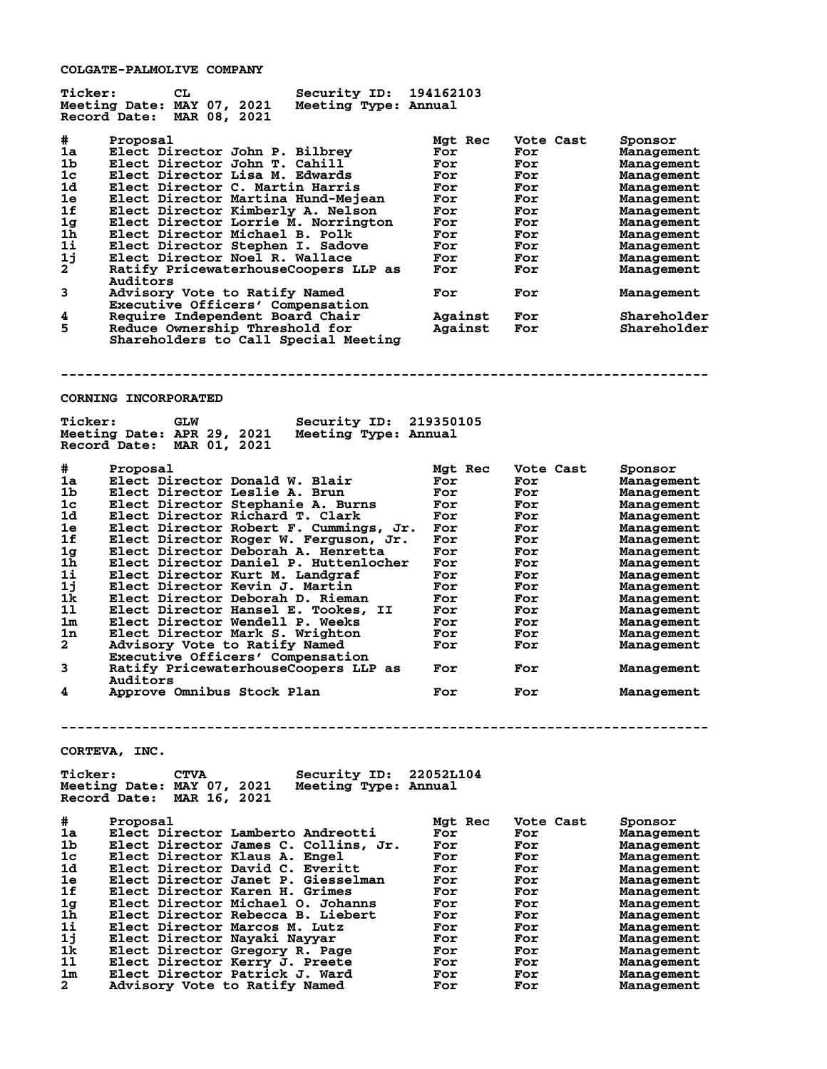**COLGATE-PALMOLIVE COMPANY**

| <b>Ticker:</b>     | СL                                                              | Security ID:           | 194162103  |            |                                        |
|--------------------|-----------------------------------------------------------------|------------------------|------------|------------|----------------------------------------|
|                    | Meeting Date: MAY 07, 2021                                      | Meeting Type: Annual   |            |            |                                        |
|                    | Record Date: MAR 08, 2021                                       |                        |            |            |                                        |
| #                  | Proposal                                                        |                        | Mgt Rec    | Vote Cast  | Sponsor                                |
| 1a                 | Elect Director John P. Bilbrey                                  |                        | For        | For        | <b>Management</b>                      |
| 1 <sub>b</sub>     | Elect Director John T. Cahill                                   |                        | For        | For        | <b>Management</b>                      |
| 1 <sub>c</sub>     | Elect Director Lisa M. Edwards                                  |                        | For        | For        | Management                             |
| 1d                 | Elect Director C. Martin Harris                                 |                        | For        | For        | <b>Management</b>                      |
| 1e                 | Elect Director Martina Hund-Mejean                              |                        | For        | For        | <b>Management</b>                      |
| 1f                 | Elect Director Kimberly A. Nelson                               |                        | For        | For        | Management                             |
| 1g                 | Elect Director Lorrie M. Norrington                             |                        | For        | For        | Management                             |
| 1 <sub>h</sub>     | Elect Director Michael B. Polk                                  |                        | For        | For        | <b>Management</b>                      |
| 11                 | Elect Director Stephen I. Sadove                                |                        | For        | For        | Management                             |
| 1j                 | Elect Director Noel R. Wallace                                  |                        | For        | For        | <b>Management</b>                      |
| $2^{\degree}$      | Ratify PricewaterhouseCoopers LLP as                            |                        | For        | For        | Management                             |
|                    | Auditors                                                        |                        |            |            |                                        |
| 3                  | Advisory Vote to Ratify Named                                   |                        | For        | For        | <b>Management</b>                      |
|                    | Executive Officers' Compensation                                |                        |            |            |                                        |
| 4                  | Require Independent Board Chair                                 |                        | Against    | For        | Shareholder                            |
| 5                  |                                                                 |                        |            |            |                                        |
|                    | Reduce Ownership Threshold for                                  |                        | Against    | For        | Shareholder                            |
|                    | Shareholders to Call Special Meeting                            |                        |            |            |                                        |
|                    |                                                                 |                        |            |            |                                        |
|                    |                                                                 |                        |            |            |                                        |
|                    |                                                                 |                        |            |            |                                        |
|                    | <b>CORNING INCORPORATED</b>                                     |                        |            |            |                                        |
|                    |                                                                 |                        |            |            |                                        |
| <b>Ticker:</b>     |                                                                 |                        |            |            |                                        |
|                    | <b>GLW</b>                                                      | Security ID: 219350105 |            |            |                                        |
|                    | Meeting Date: APR 29, 2021                                      | Meeting Type: Annual   |            |            |                                        |
|                    | Record Date: MAR 01, 2021                                       |                        |            |            |                                        |
|                    |                                                                 |                        |            |            |                                        |
| #                  | Proposal                                                        |                        | Mgt Rec    | Vote Cast  | Sponsor                                |
| 1a                 | Elect Director Donald W. Blair                                  |                        | For        | For        | <b>Management</b>                      |
| 1b                 | Elect Director Leslie A. Brun                                   |                        | For        | For        | <b>Management</b>                      |
| 1c                 | Elect Director Stephanie A. Burns                               |                        | For        | For        | Management                             |
| 1d                 | Elect Director Richard T. Clark                                 |                        | For        | For        | <b>Management</b>                      |
| 1e                 | Elect Director Robert F. Cummings, Jr.                          |                        | For        | For        | Management                             |
| 1f                 | Elect Director Roger W. Ferguson, Jr.                           |                        | For        | For        | <b>Management</b>                      |
| 1g                 | Elect Director Deborah A. Henretta                              |                        | For        | For        | Management                             |
| 1 <sub>h</sub>     | Elect Director Daniel P. Huttenlocher                           |                        | For        | For        | Management                             |
| 11                 | Elect Director Kurt M. Landgraf                                 |                        | For        | For        | <b>Management</b>                      |
| 1j                 | Elect Director Kevin J. Martin                                  |                        | For        | For        | Management                             |
| 1k                 | Elect Director Deborah D. Rieman                                |                        | For        | For        | <b>Management</b>                      |
| 11                 | Elect Director Hansel E. Tookes, II                             |                        | For        | For        | Management                             |
| 1m                 | Elect Director Wendell P. Weeks                                 |                        | For        | For        | <b>Management</b>                      |
| ${\tt ln}$         | Elect Director Mark S. Wrighton                                 |                        | For        | For        | Management                             |
| $\mathbf{2}$       | Advisorv Vote to Ratify Named                                   |                        | For        | For        | Management                             |
|                    | Executive Officers' Compensation                                |                        |            |            |                                        |
| 3                  | Ratify PricewaterhouseCoopers LLP as                            |                        |            |            |                                        |
|                    |                                                                 |                        | For        | For        | Management                             |
| 4                  | <b>Auditors</b>                                                 |                        |            |            |                                        |
|                    | Approve Omnibus Stock Plan                                      |                        | For        | For        | Management                             |
|                    |                                                                 |                        |            |            |                                        |
|                    |                                                                 |                        |            |            |                                        |
|                    |                                                                 |                        |            |            |                                        |
|                    |                                                                 |                        |            |            |                                        |
|                    | CORTEVA, INC.                                                   |                        |            |            |                                        |
|                    |                                                                 |                        |            |            |                                        |
| <b>Ticker:</b>     | <b>CTVA</b>                                                     | Security ID:           | 22052L104  |            |                                        |
|                    | Meeting Date: MAY 07, 2021                                      | Meeting Type: Annual   |            |            |                                        |
|                    | Record Date: MAR 16, 2021                                       |                        |            |            |                                        |
|                    |                                                                 |                        |            |            |                                        |
| #                  | Proposal                                                        |                        | Mgt Rec    | Vote Cast  | Sponsor                                |
| 1a                 | Elect Director Lamberto Andreotti                               |                        | For        | For        | Management                             |
| 1b                 | Elect Director James C. Collins, Jr.                            |                        | For        | For        | <b>Management</b>                      |
| 1c                 | Elect Director Klaus A. Engel                                   |                        | For        | For        | <b>Management</b>                      |
| 1d                 | Elect Director David C. Everitt                                 |                        | For        | For        | <b>Management</b>                      |
| 1e                 | Elect Director Janet P. Giesselman                              |                        | For        | For        | Management                             |
| 1f                 | Elect Director Karen H. Grimes                                  |                        | For        | For        | <b>Management</b>                      |
| 1 <sub>g</sub>     | Elect Director Michael O. Johanns                               |                        | For        | For        | <b>Management</b>                      |
| 1h                 | Elect Director Rebecca B. Liebert                               |                        | For        | For        | <b>Management</b>                      |
| $1\mathbf{i}$      | Elect Director Marcos M. Lutz                                   |                        | For        | For        | <b>Management</b>                      |
| 1j                 | Elect Director Nayaki Nayyar                                    |                        | For        | For        | <b>Management</b>                      |
| 1k                 | Elect Director Gregory R. Page                                  |                        | For        | For        | <b>Management</b>                      |
|                    |                                                                 |                        |            |            |                                        |
|                    |                                                                 |                        |            |            |                                        |
| 11                 | Elect Director Kerry J. Preete                                  |                        | For        | For        | <b>Management</b>                      |
| 1m<br>$\mathbf{2}$ | Elect Director Patrick J. Ward<br>Advisory Vote to Ratify Named |                        | For<br>For | For<br>For | <b>Management</b><br><b>Management</b> |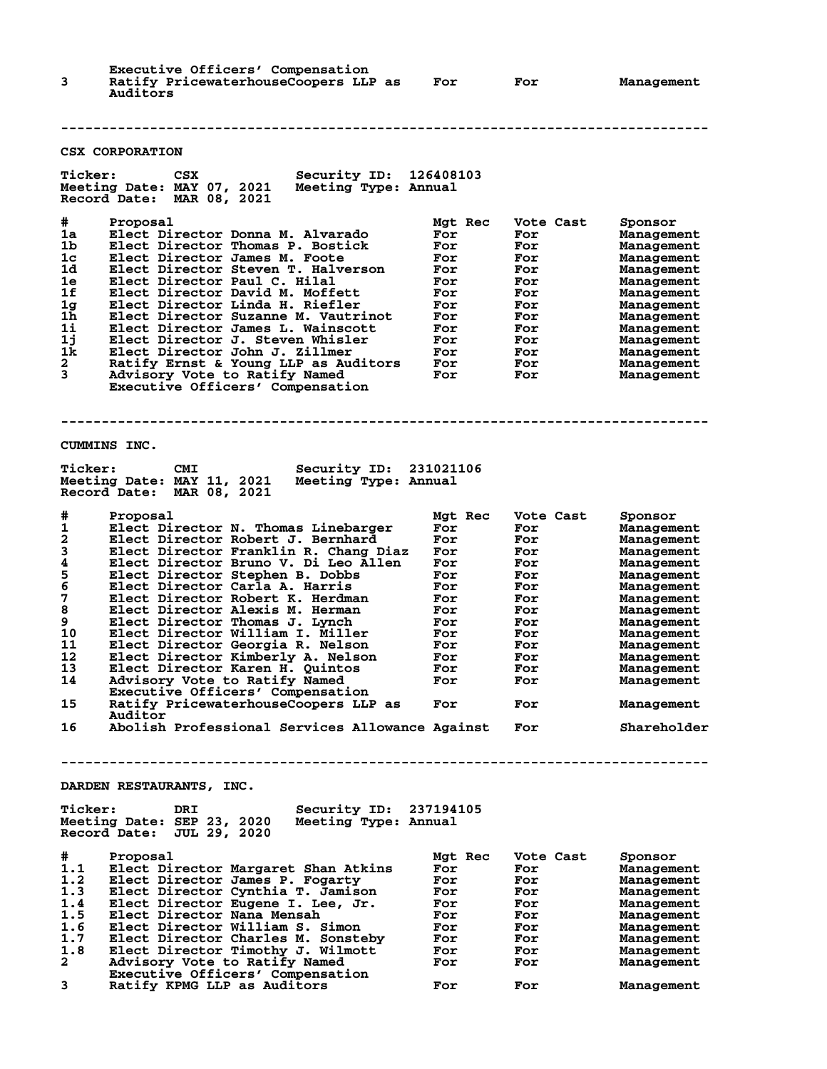| 3                                                                                         | Executive Officers' Compensation<br>Ratify PricewaterhouseCoopers LLP as<br>Auditors                                                                                                                                                                                                                                                                                                                                                                                                                                                                                                                                                                                                                       | For                                                                                                              | For                                                                                                                       | Management                                                                                                                                                                                                                                             |
|-------------------------------------------------------------------------------------------|------------------------------------------------------------------------------------------------------------------------------------------------------------------------------------------------------------------------------------------------------------------------------------------------------------------------------------------------------------------------------------------------------------------------------------------------------------------------------------------------------------------------------------------------------------------------------------------------------------------------------------------------------------------------------------------------------------|------------------------------------------------------------------------------------------------------------------|---------------------------------------------------------------------------------------------------------------------------|--------------------------------------------------------------------------------------------------------------------------------------------------------------------------------------------------------------------------------------------------------|
|                                                                                           | <b>CSX CORPORATION</b>                                                                                                                                                                                                                                                                                                                                                                                                                                                                                                                                                                                                                                                                                     |                                                                                                                  |                                                                                                                           |                                                                                                                                                                                                                                                        |
| <b>Ticker:</b>                                                                            | CSX<br>Security ID:<br>Meeting Date: MAY 07, 2021<br>Meeting Type: Annual<br><b>Record Date:</b><br>MAR 08, 2021                                                                                                                                                                                                                                                                                                                                                                                                                                                                                                                                                                                           | 126408103                                                                                                        |                                                                                                                           |                                                                                                                                                                                                                                                        |
| #<br>1a<br>1b<br>1c<br>1d<br>1e<br>1f<br>1 <sub>g</sub><br>1h<br>1i<br>1j<br>1k<br>2<br>3 | Proposal<br>Elect Director Donna M. Alvarado<br>Elect Director Thomas P. Bostick<br>Elect Director James M. Foote<br>Elect Director Steven T. Halverson<br>Elect Director Paul C. Hilal<br>Elect Director David M. Moffett<br>Elect Director Linda H. Riefler<br>Elect Director Suzanne M. Vautrinot<br>Elect Director James L. Wainscott<br>Elect Director J. Steven Whisler<br>Elect Director John J. Zillmer<br>Ratify Ernst & Young LLP as Auditors<br>Advisory Vote to Ratify Named<br>Executive Officers' Compensation                                                                                                                                                                               | Mgt Rec<br>For<br>For<br>For<br>For<br>For<br>For<br>For<br>For<br>For<br>For<br>For<br>For<br>For               | Vote Cast<br>For<br>For<br>For<br>For<br>For<br>For<br>For<br>For<br>For<br>For<br>For<br>For<br>For                      | Sponsor<br><b>Management</b><br><b>Management</b><br>Management<br>Management<br>Management<br>Management<br><b>Management</b><br>Management<br>Management<br>Management<br>Management<br>Management<br>Management                                     |
|                                                                                           | CUMMINS INC.                                                                                                                                                                                                                                                                                                                                                                                                                                                                                                                                                                                                                                                                                               |                                                                                                                  |                                                                                                                           |                                                                                                                                                                                                                                                        |
| <b>Ticker:</b>                                                                            | <b>CMI</b><br>Security ID:<br>Meeting Date: MAY 11, 2021<br>Meeting Type: Annual<br>Record Date: MAR 08, 2021                                                                                                                                                                                                                                                                                                                                                                                                                                                                                                                                                                                              | 231021106                                                                                                        |                                                                                                                           |                                                                                                                                                                                                                                                        |
| #<br>1<br>2<br>3<br>4<br>5<br>6<br>7<br>8<br>9<br>10<br>11<br>12<br>13<br>14<br>15<br>16  | Proposal<br>Elect Director N. Thomas Linebarger<br>Elect Director Robert J. Bernhard<br>Elect Director Franklin R. Chang Diaz<br>Elect Director Bruno V. Di Leo Allen<br>Elect Director Stephen B. Dobbs<br>Elect Director Carla A. Harris<br>Elect Director Robert K. Herdman<br>Elect Director Alexis M. Herman<br>Elect Director Thomas J. Lynch<br>Elect Director William I. Miller<br>Elect Director Georgia R. Nelson<br>Elect Director Kimberly A. Nelson<br>Elect Director Karen H. Quintos<br>Advisory Vote to Ratify Named<br>Executive Officers' Compensation<br>Ratify PricewaterhouseCoopers LLP as<br>Auditor<br>Abolish Professional Services Allowance Against<br>DARDEN RESTAURANTS, INC. | Mgt Rec<br>For<br>For<br>For<br>For<br>For<br>For<br>For<br>For<br>For<br>For<br>For<br>For<br>ror<br>For<br>For | Vote Cast<br>For<br>For<br>For<br>For<br>For<br>For<br>For<br>For<br>For<br>For<br>For<br>For<br>ror<br>For<br>For<br>For | Sponsor<br><b>Management</b><br><b>Management</b><br>Management<br>Management<br>Management<br>Management<br>Management<br>Management<br>Management<br>Management<br>Management<br>Management<br>Management<br>Management<br>Management<br>Shareholder |
| <b>Ticker:</b>                                                                            | Security ID: 237194105<br>DRI<br>Meeting Date: SEP 23, 2020<br>Meeting Type: Annual<br>Record Date: JUL 29, 2020                                                                                                                                                                                                                                                                                                                                                                                                                                                                                                                                                                                           |                                                                                                                  |                                                                                                                           |                                                                                                                                                                                                                                                        |
| #<br>1.1<br>1.2<br>1.3<br>1.4<br>1.5<br>1.6<br>1.7<br>1.8<br>$\mathbf{2}$                 | Proposal<br>Elect Director Margaret Shan Atkins<br>Elect Director James P. Fogarty<br>Elect Director Cynthia T. Jamison<br>Elect Director Eugene I. Lee, Jr.<br>Elect Director Nana Mensah<br>Elect Director William S. Simon<br>Elect Director Charles M. Sonsteby<br>Elect Director Timothy J. Wilmott<br>Advisory Vote to Ratify Named<br>Executive Officers' Compensation                                                                                                                                                                                                                                                                                                                              | Mgt Rec<br>For<br>For<br>For<br>For<br>For<br>For<br>For<br>For<br>For                                           | Vote Cast<br>For<br>For<br>For<br>For<br>For<br>For<br>For<br>For<br>For                                                  | Sponsor<br><b>Management</b><br>Management<br>Management<br>Management<br>Management<br>Management<br>Management<br>Management<br>Management                                                                                                           |

**3 Ratify KPMG LLP as Auditors For For Management**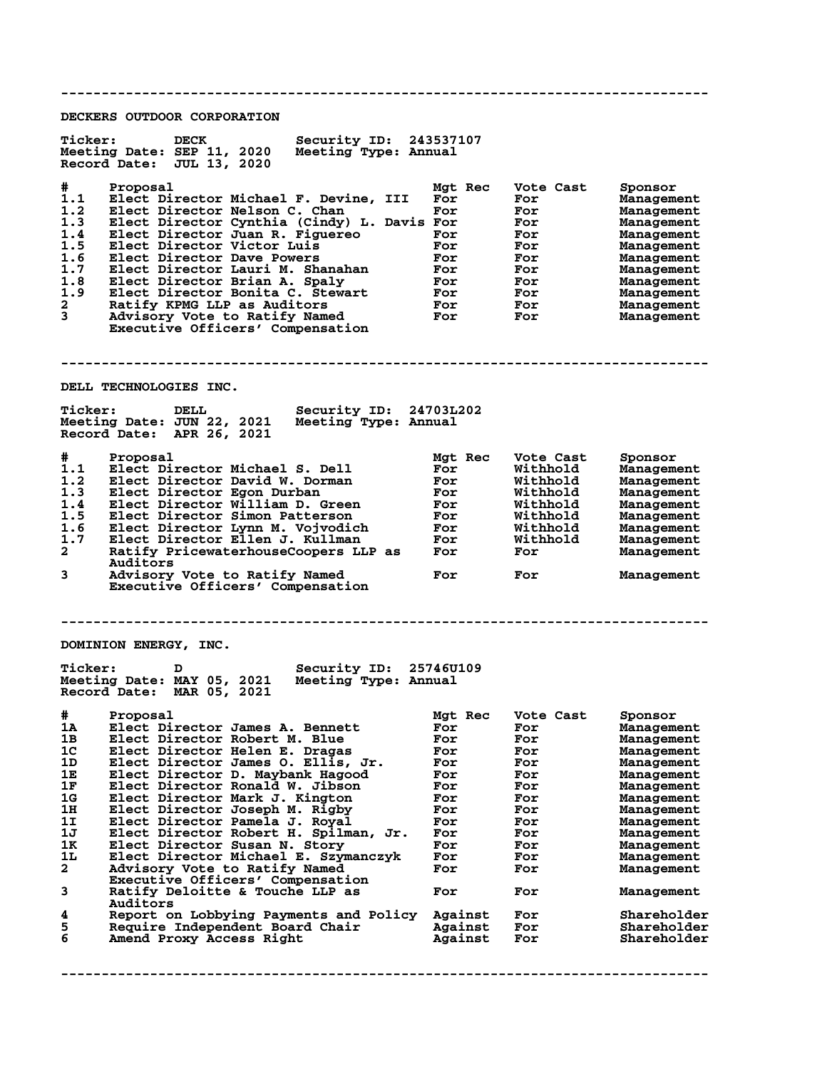**-------------------------------------------------------------------------------- DECKERS OUTDOOR CORPORATION** Ticker: DECK Security ID: 243537107<br>Meeting Date: SEP 11, 2020 Meeting Type: Annual **Meeting Date: SEP 11, 2020 Meeting Type: Annual Record Date: JUL 13, 2020 # Proposal Mgt Rec Vote Cast Sponsor 1.1 Elect Director Michael F. Devine, III For For Management** 1.2 Elect Director Nelson C. Chan For For For Management **1.3 Elect Director Cynthia (Cindy) L. Davis For For Management 1.4 Elect Director Juan R. Figuereo For For Management 1.5 Elect Director Victor Luis For For Management 1.6 Elect Director Dave Powers For For Management 1.7 Elect Director Lauri M. Shanahan For For Management 1.8 Elect Director Brian A. Spaly For For Management 1.9 Elect Director Bonita C. Stewart For For Management 2 Ratify KPMG LLP as Auditors For For Management 3 Advisory Vote to Ratify Named For For Management Executive Officers' Compensation -------------------------------------------------------------------------------- DELL TECHNOLOGIES INC.**<br>
<sup>Ticker:</sup> DELL<sub>23</sub> **Ticker: DELL Security ID: 24703L202 Meeting Date: JUN 22, 2021 Meeting Type: Annual Record Date: APR 26, 2021 # Proposal Mgt Rec Vote Cast Sponsor 1.1 Elect Director Michael S. Dell For Withhold Management 1.2 Elect Director David W. Dorman For Withhold Management 1.3 Elect Director Egon Durban For Withhold Management 1.4 Elect Director William D. Green For Withhold Management 1.5 Elect Director Simon Patterson For Withhold Management 1.6 Elect Director Lynn M. Vojvodich For Withhold Management 1.7 Elect Director Ellen J. Kullman For Withhold Management 2 Ratify PricewaterhouseCoopers LLP as For For Management Auditors 3 Advisory Vote to Ratify Named For For Management Executive Officers' Compensation -------------------------------------------------------------------------------- DOMINION ENERGY, INC. Ticker: D Security ID: 25746U109 Meeting Date: MAY 05, 2021 Meeting Type: Annual Record Date: MAR 05, 2021 # Proposal Mgt Rec Vote Cast Sponsor 1A Elect Director James A. Bennett For For Management 1B Elect Director Robert M. Blue For For Management 1C Elect Director Helen E. Dragas For For Management 1D Elect Director James O. Ellis, Jr. For For Management 1E Elect Director D. Maybank Hagood For For Management 1F Elect Director Ronald W. Jibson For For Management 1G Elect Director Mark J. Kington For For Management 1H Elect Director Joseph M. Rigby For For Management 1I Elect Director Pamela J. Royal For For Management 1J Elect Director Robert H. Spilman, Jr. For For Management 1K Elect Director Susan N. Story For For Management 1L Elect Director Michael E. Szymanczyk For For Management 2 Advisory Vote to Ratify Named For For Management Executive Officers' Compensation 3 Ratify Deloitte & Touche LLP as For For Management Auditors 4 Report on Lobbying Payments and Policy Against For Shareholder 5 Require Independent Board Chair Against For Shareholder 6 Amend Proxy Access Right Against For Shareholder --------------------------------------------------------------------------------**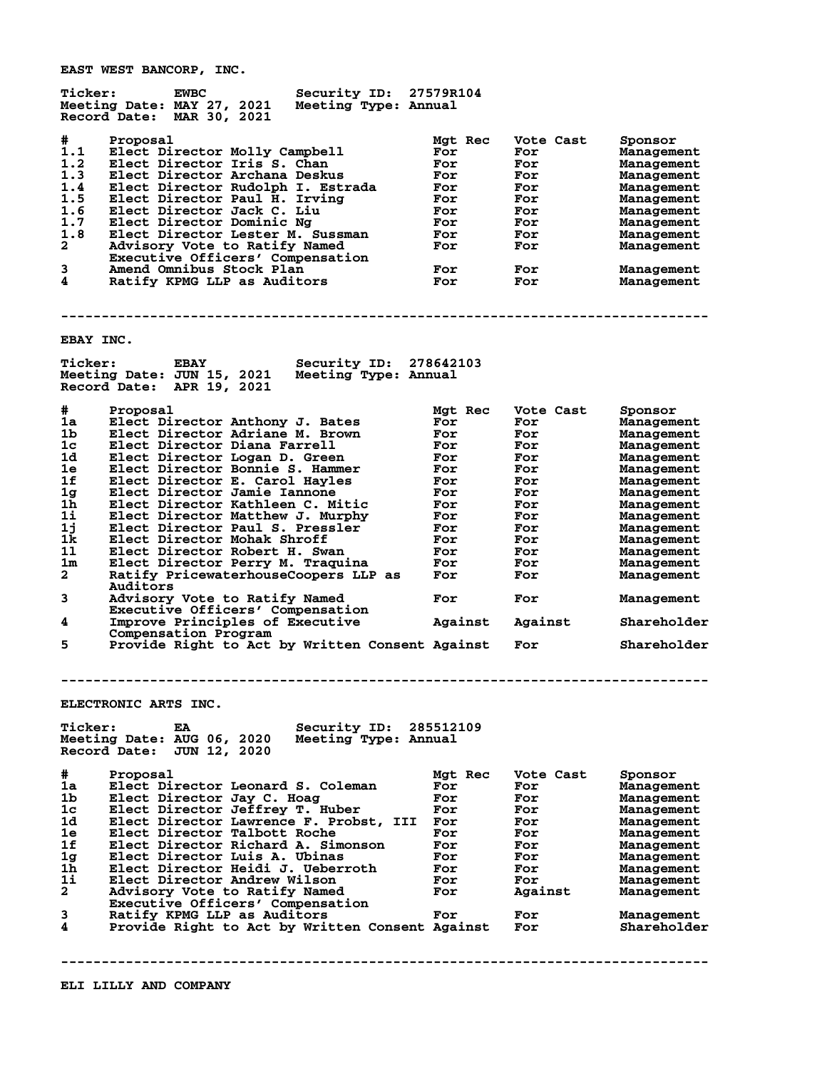**EAST WEST BANCORP, INC.**

| <b>Ticker:</b> | <b>EWBC</b><br>Meeting Date: MAY 27, 2021<br>Record Date: MAR 30, 2021    | Security ID:<br>Meeting Type: Annual           | 27579R104      |                  |                           |
|----------------|---------------------------------------------------------------------------|------------------------------------------------|----------------|------------------|---------------------------|
| #<br>1.1       | Proposal<br>Elect Director Molly Campbell                                 |                                                | Mgt Rec<br>For | Vote Cast<br>For | Sponsor<br>Management     |
| 1.2            | Elect Director Iris S. Chan                                               |                                                | For            | For              | Management                |
| 1.3            | Elect Director Archana Deskus                                             |                                                | For            | For              | Management                |
| 1.4            | Elect Director Rudolph I. Estrada                                         |                                                | For            | For              | Management                |
| 1.5            | Elect Director Paul H. Irving                                             |                                                | For            | For              | Management                |
| 1.6            | Elect Director Jack C. Liu                                                |                                                | For            | For              | Management                |
| 1.7            | Elect Director Dominic Ng                                                 |                                                | For            | For              | Management                |
| 1.8            | Elect Director Lester M. Sussman                                          |                                                | For            | For              | Management                |
| $\mathbf{2}$   | Advisory Vote to Ratify Named<br>Executive Officers' Compensation         |                                                | For            | For              | Management                |
| 3              | Amend Omnibus Stock Plan                                                  |                                                | For            | For              | Management                |
| 4              | Ratify KPMG LLP as Auditors                                               |                                                | For            | For              | Management                |
|                |                                                                           |                                                |                |                  |                           |
| EBAY INC.      |                                                                           |                                                |                |                  |                           |
| <b>Ticker:</b> | <b>EBAY</b><br>Meeting Date: JUN 15, 2021<br>Record Date: APR 19, 2021    | Security ID: 278642103<br>Meeting Type: Annual |                |                  |                           |
|                |                                                                           |                                                |                |                  |                           |
| #<br>1a        | Proposal<br>Elect Director Anthony J. Bates                               |                                                | Mgt Rec        | Vote Cast        | Sponsor                   |
| 1b             | Elect Director Adriane M. Brown                                           |                                                | For<br>For     | For<br>For       | Management                |
| 1c             | Elect Director Diana Farrell                                              |                                                | For            | For              | Management                |
| 1d             | Elect Director Logan D. Green                                             |                                                | For            | For              | Management<br>Management  |
| 1e             | Elect Director Bonnie S. Hammer                                           |                                                | For            | For              |                           |
| 1f             | Elect Director E. Carol Hayles                                            |                                                | For            | For              | Management                |
| 1 <sub>g</sub> | Elect Director Jamie Iannone                                              |                                                | For            | For              | Management                |
| 1h             | Elect Director Kathleen C. Mitic                                          |                                                | For            | For              | Management                |
| 11             | Elect Director Matthew J. Murphy                                          |                                                | For            | For              | Management<br>Management  |
| 1j             | Elect Director Paul S. Pressler                                           |                                                | For            | For              |                           |
| 1k             | Elect Director Mohak Shroff                                               |                                                | For            | For              | Management<br>Management  |
| 11             | Elect Director Robert H. Swan                                             |                                                | For            | For              | Management                |
| 1m             | Elect Director Perry M. Traquina                                          |                                                | For            | For              | Management                |
| $\mathbf{2}$   | Ratify PricewaterhouseCoopers LLP as<br>Auditors                          |                                                | For            | For              | Management                |
| 3              | Advisory Vote to Ratify Named<br>Executive Officers' Compensation         |                                                | For            | For              | Management                |
| 4              | Improve Principles of Executive<br>Compensation Program                   |                                                | Against        | Against          | Shareholder               |
| 5              | Provide Right to Act by Written Consent Against                           |                                                |                | For              | Shareholder               |
|                | ELECTRONIC ARTS INC.                                                      |                                                |                |                  |                           |
|                |                                                                           |                                                |                |                  |                           |
| <b>Ticker:</b> | EA<br>Meeting Date: AUG 06, 2020<br>Record Date:<br>JUN 12, 2020          | Security ID:<br>Meeting Type: Annual           | 285512109      |                  |                           |
|                |                                                                           |                                                |                |                  |                           |
| #              | Proposal                                                                  |                                                | Mgt Rec        | Vote Cast        | Sponsor                   |
| 1a             | Elect Director Leonard S. Coleman                                         |                                                | For            | For              | Management                |
| 1b             | Elect Director Jay C. Hoag                                                |                                                | For            | For              | Management                |
| 1 <sub>c</sub> | Elect Director Jeffrey T. Huber<br>Elect Director Lawrence F. Probst, III |                                                | For            | For              | Management                |
| 1d             |                                                                           |                                                | For            | For              | Management                |
| 1e<br>1f       | Elect Director Talbott Roche                                              |                                                | For            | For              | Management                |
|                | Elect Director Richard A. Simonson<br>Elect Director Luis A. Ubinas       |                                                | For            | For              | Management                |
| 1g<br>1h.      | Elect Director Heidi J. Ueberroth                                         |                                                | For            | For<br>For       | Management                |
| $1\mathbf{i}$  | Elect Director Andrew Wilson                                              |                                                | For            |                  | Management                |
| $\mathbf{2}$   | Advisory Vote to Ratify Named                                             |                                                | For<br>For     | For<br>Against   | Management                |
|                | Executive Officers' Compensation                                          |                                                |                |                  | Management                |
| 3              | Ratify KPMG LLP as Auditors                                               |                                                | For            | For              |                           |
| 4              | Provide Right to Act by Written Consent Against                           |                                                |                | For              | Management<br>Shareholder |
|                |                                                                           |                                                |                |                  |                           |
|                |                                                                           |                                                |                |                  |                           |

**--------------------------------------------------------------------------------**

**ELI LILLY AND COMPANY**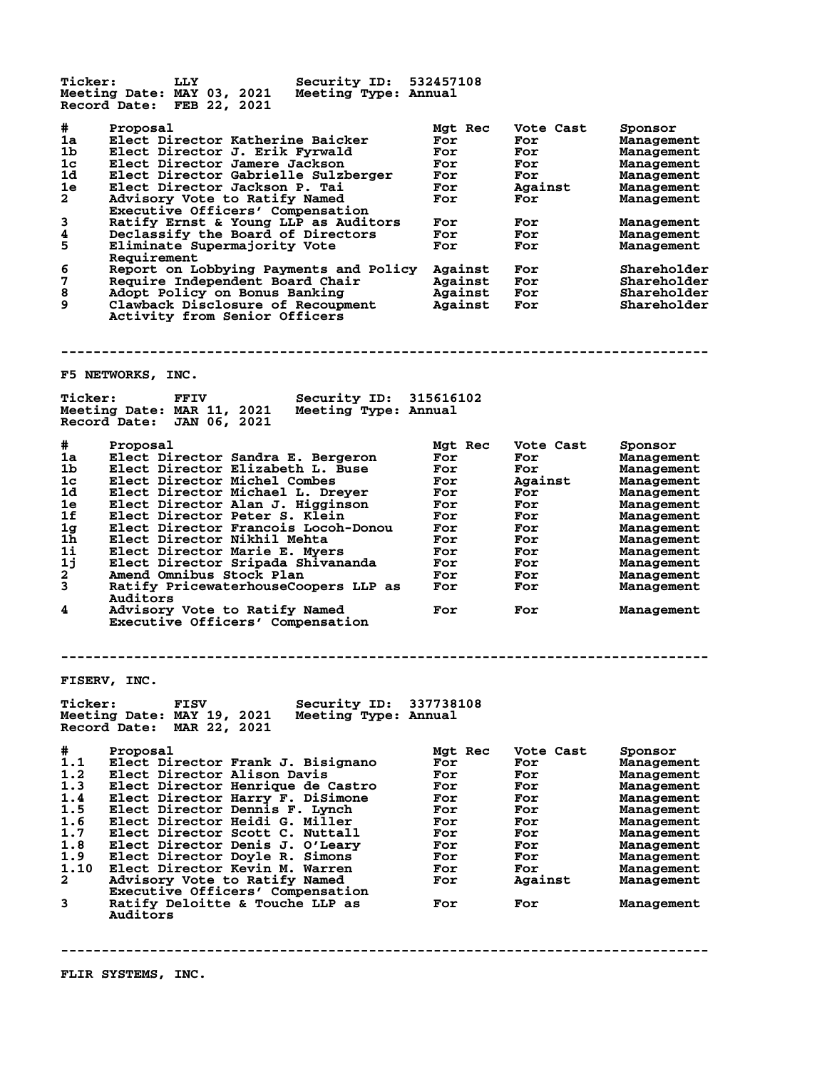**Ticker: LLY Security ID: 532457108 Meeting Date: MAY 03, 2021 Meeting Type: Annual Record Date: FEB 22, 2021 # Proposal Mgt Rec Vote Cast Sponsor 1a Elect Director Katherine Baicker For For Management 1b Elect Director J. Erik Fyrwald For For Management 1c Elect Director Jamere Jackson For For Management 1d Elect Director Gabrielle Sulzberger For For Management 1e Elect Director Jackson P. Tai For Against Management 2 Advisory Vote to Ratify Named For For Management Executive Officers' Compensation 3 Ratify Ernst & Young LLP as Auditors For For Management 4 Declassify the Board of Directors For For Management 5 Eliminate Supermajority Vote For For Management** 5 Eliminate<sup>T</sup> St<br>Requirement<br>6 Report on Le **6 Report on Lobbying Payments and Policy Against For Shareholder 7 Require Independent Board Chair Against For Shareholder 8 Adopt Policy on Bonus Banking Against For Shareholder 9 Clawback Disclosure of Recoupment Against For Shareholder Activity from Senior Officers -------------------------------------------------------------------------------- F5 NETWORKS, INC. Ticker: FFIV Security ID: 315616102 Meeting Date: MAR 11, 2021 Meeting Type: Annual Record Date: JAN 06, 2021 # Proposal Mgt Rec Vote Cast Sponsor 1a Elect Director Sandra E. Bergeron For For Management 1b Elect Director Elizabeth L. Buse For For Management 1c Elect Director Michel Combes For Against Management 1d Elect Director Michael L. Dreyer For For Management 1e Elect Director Alan J. Higginson For For Management 1f Elect Director Peter S. Klein For For Management 1g Elect Director Francois Locoh-Donou For For Management 1h Elect Director Nikhil Mehta For For Management 1i Elect Director Marie E. Myers For For Management 1j Elect Director Sripada Shivananda For For Management 2 Amend Omnibus Stock Plan For For Management 3 Ratify PricewaterhouseCoopers LLP as For For Management Auditors 4 Advisory Vote to Ratify Named For For Management Executive Officers' Compensation -------------------------------------------------------------------------------- FISERV, INC. Ticker: FISV Security ID: 337738108 Meeting Date: MAY 19, 2021 Meeting Type: Annual Record Date: MAR 22, 2021 # Proposal Mgt Rec Vote Cast Sponsor 1.1 Elect Director Frank J. Bisignano For For Management 1.2 Elect Director Alison Davis For For Management 1.3 Elect Director Henrique de Castro For For Management 1.4 Elect Director Harry F. DiSimone For For Management 1.5 Elect Director Dennis F. Lynch For For Management 1.6 Elect Director Heidi G. Miller For For Management 1.7 Elect Director Scott C. Nuttall For For Management 1.8 Elect Director Denis J. O'Leary For For Management 1.9 Elect Director Doyle R. Simons For For Management 1.10 Elect Director Kevin M. Warren For For Management 2 Advisory Vote to Ratify Named For Against Management Executive Officers' Compensation** Executive Officers' Compensation<br> **3** Ratify Deloitte & Touche LLP as For For Management  **Auditors --------------------------------------------------------------------------------**

**FLIR SYSTEMS, INC.**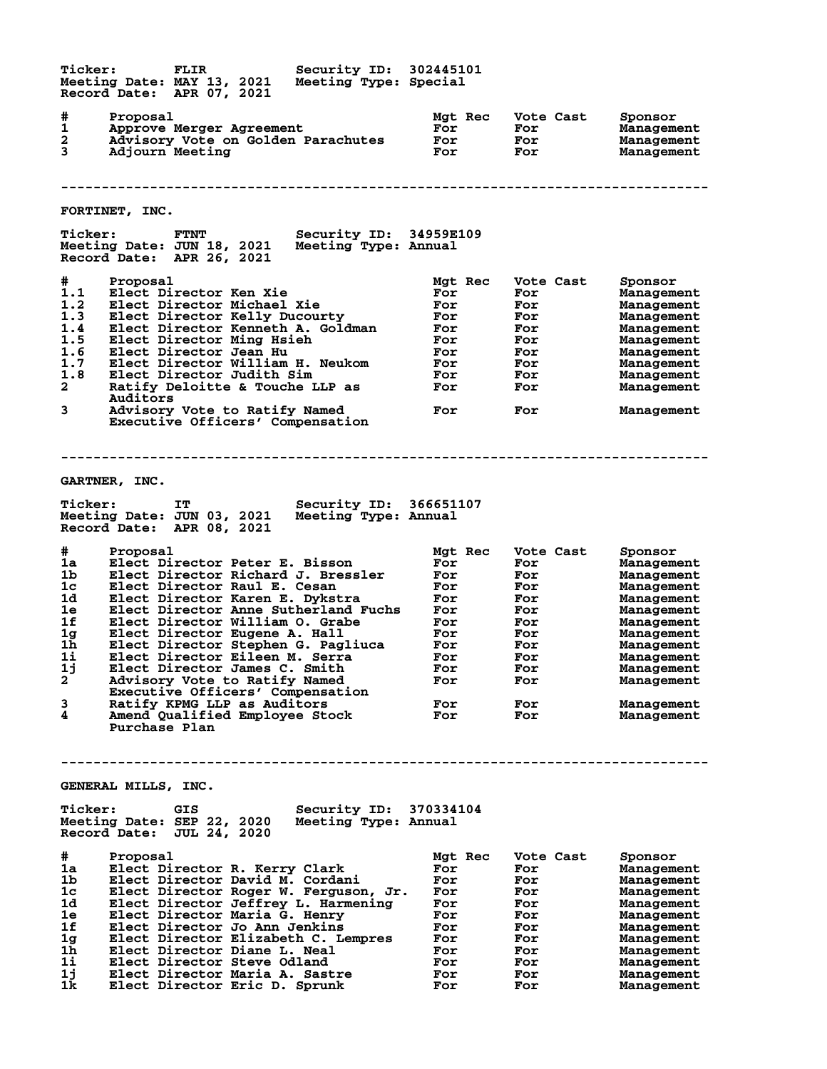**Ticker: FLIR Security ID: 302445101 Meeting Date: MAY 13, 2021 Meeting Type: Special Record Date: APR 07, 2021 # Proposal Mgt Rec Vote Cast Sponsor 1 Approve Merger Agreement For For Management 2 Advisory Vote on Golden Parachutes For For Management 3 Adjourn Meeting For For Management -------------------------------------------------------------------------------- FORTINET, INC. Ticker: FTNT Security ID: 34959E109 Meeting Date: JUN 18, 2021 Meeting Type: Annual Record Date: APR 26, 2021 # Proposal Mgt Rec Vote Cast Sponsor 1.1 Elect Director Ken Xie For For Management 1.2 Elect Director Michael Xie For For Management 1.3 Elect Director Kelly Ducourty For For Management 1.4 Elect Director Kenneth A. Goldman For For Management 1.5 Elect Director Ming Hsieh For For Management 1.6 Elect Director Jean Hu For For Management 1.7 Elect Director William H. Neukom For For Management 1.8 Elect Director Judith Sim For For Management 2 Ratify Deloitte & Touche LLP as For For Management Auditors 3 Advisory Vote to Ratify Named For For Management Auditors<br>Advisory Vote to Ratify Named<br>Executive Officers' Compensation -------------------------------------------------------------------------------- GARTNER, INC. Ticker: IT Security ID: 366651107 Meeting Date: JUN 03, 2021 Meeting Type: Annual Record Date: APR 08, 2021 # Proposal Mgt Rec Vote Cast Sponsor 1a Elect Director Peter E. Bisson For For Management 1b Elect Director Richard J. Bressler For For Management 1c Elect Director Raul E. Cesan For For Management 1d Elect Director Karen E. Dykstra For For Management 1e Elect Director Anne Sutherland Fuchs For For Management 1f Elect Director William O. Grabe For For Management 1g Elect Director Eugene A. Hall For For Management 1h Elect Director Stephen G. Pagliuca For For Management 1i Elect Director Eileen M. Serra For For Management 1j Elect Director James C. Smith For For Management 2 Advisory Vote to Ratify Named For For Management Executive Officers' Compensation 3 Ratify KPMG LLP as Auditors For For Management 4 Amend Qualified Employee Stock For For Management Purchase Plan -------------------------------------------------------------------------------- GENERAL MILLS, INC. Ticker: GIS Security ID: 370334104 Meeting Date: SEP 22, 2020 Meeting Type: Annual Record Date: JUL 24, 2020 # Proposal Mgt Rec Vote Cast Sponsor 1a Elect Director R. Kerry Clark For For Management 1b Elect Director David M. Cordani For For Management 1c Elect Director Roger W. Ferguson, Jr. For For Management 1d Elect Director Jeffrey L. Harmening For For Management 1e Elect Director Maria G. Henry For For Management 1f Elect Director Jo Ann Jenkins For For Management 1g Elect Director Elizabeth C. Lempres For For Management 1h Elect Director Diane L. Neal For For Management 1i Elect Director Steve Odland For For Management 1j Elect Director Maria A. Sastre For For Management 1k Elect Director Eric D. Sprunk For For Management**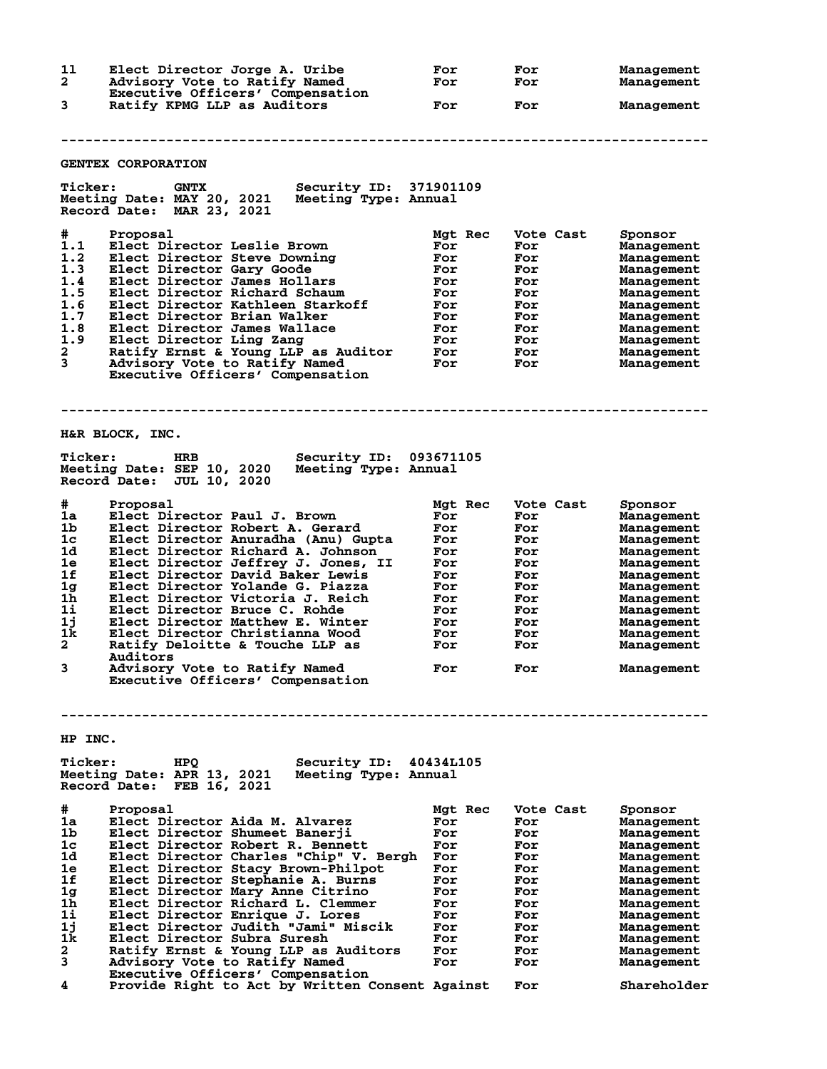| 11             | Elect Director Jorge A. Uribe                                                                                            | For        | For        | Management               |
|----------------|--------------------------------------------------------------------------------------------------------------------------|------------|------------|--------------------------|
| 2.             | Advisory Vote to Ratify Named<br>Executive Officers' Compensation                                                        | For        | For        | Management               |
| 3              | Ratify KPMG LLP as Auditors                                                                                              | For        | For        | Management               |
|                |                                                                                                                          |            |            |                          |
|                |                                                                                                                          |            |            |                          |
|                |                                                                                                                          |            |            |                          |
|                | <b>GENTEX CORPORATION</b>                                                                                                |            |            |                          |
| <b>Ticker:</b> | <b>GNTX</b><br>Security ID: 371901109<br>Meeting Date: MAY 20, 2021<br>Meeting Type: Annual<br>Record Date: MAR 23, 2021 |            |            |                          |
| #              | Proposal                                                                                                                 | Mgt Rec    | Vote Cast  | Sponsor                  |
| 1.1            | Elect Director Leslie Brown                                                                                              | For        | For        | Management               |
| 1.2            | Elect Director Steve Downing                                                                                             | For        | For        | Management               |
| 1.3            | Elect Director Gary Goode                                                                                                | For        | For        | Management               |
| 1.4<br>1.5     | Elect Director James Hollars<br>Elect Director Richard Schaum                                                            | For<br>For | For<br>For | Management<br>Management |
| 1.6            | Elect Director Kathleen Starkoff                                                                                         | For        | For        | Management               |
| 1.7            | Elect Director Brian Walker                                                                                              | For        | For        | Management               |
| 1.8            | Elect Director James Wallace                                                                                             | For        | For        | Management               |
| 1.9            | Elect Director Ling Zang                                                                                                 | For        | For        | Management               |
| 2              | Ratify Ernst & Young LLP as Auditor                                                                                      | For        | For        | Management               |
| 3              | Advisory Vote to Ratify Named                                                                                            | For        | For        | Management               |
|                | Executive Officers' Compensation                                                                                         |            |            |                          |
|                | H&R BLOCK, INC.                                                                                                          |            |            |                          |
| <b>Ticker:</b> | Security ID: 093671105<br>HRB                                                                                            |            |            |                          |
|                | Meeting Date: SEP 10, 2020<br>Meeting Type: Annual<br>Record Date: JUL 10, 2020                                          |            |            |                          |
|                |                                                                                                                          |            |            |                          |
| #              | Proposal                                                                                                                 | Mgt Rec    | Vote Cast  | Sponsor                  |
| 1a             | Elect Director Paul J. Brown                                                                                             | For        | For        | Management               |
| 1b.            | Elect Director Robert A. Gerard                                                                                          | For        | For        | Management               |
| 1c             | Elect Director Anuradha (Anu) Gupta                                                                                      | For        | For        | Management               |
| 1d             | Elect Director Richard A. Johnson                                                                                        | For        | For        | Management               |
| 1е             | Elect Director Jeffrey J. Jones, II                                                                                      | For        | For        | Management               |
| 1f             | Elect Director David Baker Lewis                                                                                         | For        | For        | Management               |
| 1 <sub>g</sub> | Elect Director Yolande G. Piazza                                                                                         | For        | For        | Management               |
| 1h<br>1i       | Elect Director Victoria J. Reich                                                                                         | For<br>For | For        | Management               |
| 1j             | Elect Director Bruce C. Rohde<br>Elect Director Matthew E. Winter                                                        | For        | For<br>For | Management<br>Management |
| 1k             | Elect Director Christianna Wood                                                                                          | For        | For        | Management               |
| $\mathbf{2}$   | Ratify Deloitte & Touche LLP as                                                                                          | For        | For        | Management               |
|                | <b>Auditors</b>                                                                                                          |            |            |                          |
| 3              | Advisory Vote to Ratify Named                                                                                            | For        | For        | Management               |
|                | Executive Officers' Compensation                                                                                         |            |            |                          |
|                |                                                                                                                          |            |            |                          |
|                |                                                                                                                          |            |            |                          |
| HP INC.        |                                                                                                                          |            |            |                          |
| <b>Ticker:</b> | Security ID:<br>HPO<br>Meeting Date: APR 13, 2021<br>Meeting Type: Annual<br>Record Date: FEB 16, 2021                   | 40434L105  |            |                          |
|                |                                                                                                                          |            |            |                          |
| #              | Proposal                                                                                                                 | Mgt Rec    | Vote Cast  | Sponsor                  |
| 1a<br>1b       | Elect Director Aida M. Alvarez<br>Elect Director Shumeet Banerii                                                         | For<br>For | For<br>For | Management<br>Management |
| 1c             | Elect Director Robert R. Bennett                                                                                         | For        | For        | Management               |
| 1d.            | Elect Director Charles "Chip" V. Bergh                                                                                   | For        | For        | Management               |
| 1e             | Elect Director Stacy Brown-Philpot                                                                                       | For        | For        | Management               |
| 1f             | Elect Director Stephanie A. Burns                                                                                        | For        | For        | Management               |
| 1 <sub>g</sub> | Elect Director Mary Anne Citrino                                                                                         | For        | For        | Management               |
| 1h.<br>11      | Elect Director Richard L. Clemmer<br>Elect Director Enrique J. Lores                                                     | For<br>For | For<br>For | Management<br>Management |

 **Executive Officers' Compensation 4 Provide Right to Act by Written Consent Against For Shareholder**

**1k Elect Director Subra Suresh For For Management 2 Ratify Ernst & Young LLP as Auditors For For Management 3 Advisory Vote to Ratify Named For For Management**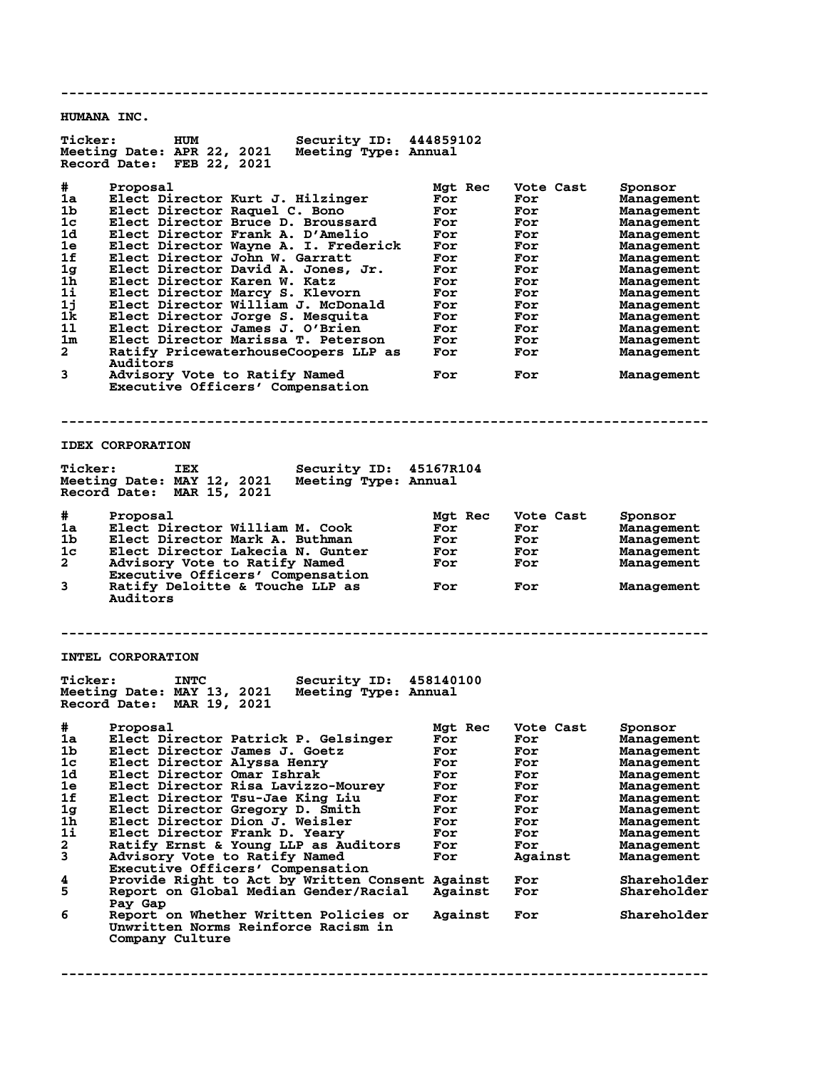**-------------------------------------------------------------------------------- HUMANA INC. Ticker: HUM Security ID: 444859102 Meeting Date: APR 22, 2021 Meeting Type: Annual Record Date: FEB 22, 2021 # Proposal Mgt Rec Vote Cast Sponsor 1a Elect Director Kurt J. Hilzinger For For Management 1b Elect Director Raquel C. Bono For For Management 1c Elect Director Bruce D. Broussard For For Management 1d Elect Director Frank A. D'Amelio For For Management 1e Elect Director Wayne A. I. Frederick For For Management 1f Elect Director John W. Garratt For For Management 1g Elect Director David A. Jones, Jr. For For Management 1h Elect Director Karen W. Katz For For Management 1i Elect Director Marcy S. Klevorn For For Management 1j Elect Director William J. McDonald For For Management 1k Elect Director Jorge S. Mesquita For For Management 1l Elect Director James J. O'Brien For For Management 1m Elect Director Marissa T. Peterson For For Management 2 Ratify PricewaterhouseCoopers LLP as For For Management Auditors 3 Advisory Vote to Ratify Named For For Management Executive Officers' Compensation -------------------------------------------------------------------------------- IDEX CORPORATION Ticker: IEX Security ID: 45167R104 Meeting Date: MAY 12, 2021 Meeting Type: Annual Record Date: MAR 15, 2021 # Proposal Mgt Rec Vote Cast Sponsor 1a Elect Director William M. Cook For For Management 1b Elect Director Mark A. Buthman For For Management 1c Elect Director Lakecia N. Gunter For For Management 2 Advisory Vote to Ratify Named For For Management Executive Officers' Compensation<br>
Executive Officers' Compensation<br>
Batify Deloitte & Touche LLP as 3 Ratify Deloitte & Touche LLP as For For Management Auditors -------------------------------------------------------------------------------- INTEL CORPORATION Ticker: INTC Security ID: 458140100 Meeting Date: MAY 13, 2021 Meeting Type: Annual Record Date: MAR 19, 2021 # Proposal Mgt Rec Vote Cast Sponsor 1a Elect Director Patrick P. Gelsinger For For Management 1b Elect Director James J. Goetz For For Management 1c Elect Director Alyssa Henry For For Management 1d Elect Director Omar Ishrak For For Management 1e Elect Director Risa Lavizzo-Mourey For For Management 1f Elect Director Tsu-Jae King Liu For For Management 1g Elect Director Gregory D. Smith For For Management 1h Elect Director Dion J. Weisler For For Management 1i Elect Director Frank D. Yeary For For Management 2 Ratify Ernst & Young LLP as Auditors For For Management 3 Advisory Vote to Ratify Named For Against Management Executive Officers' Compensation 4 Provide Right to Act by Written Consent Against For Shareholder 5 Report on Global Median Gender/Racial Against For Shareholder 8 Pay Gap**<br>6 Report o **6 Report on Whether Written Policies or Against For Shareholder Unwritten Norms Reinforce Racism in Company Culture --------------------------------------------------------------------------------**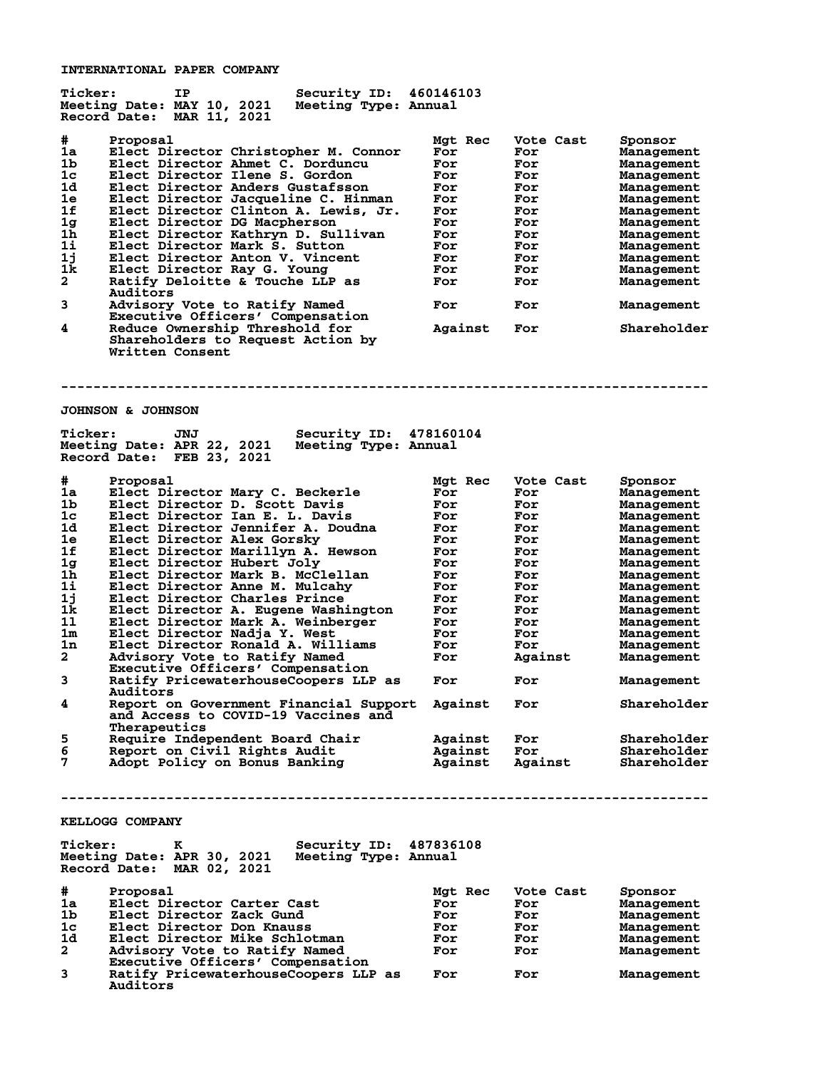**INTERNATIONAL PAPER COMPANY**

| <b>Ticker:</b>                   | Security ID:<br>IP<br>Meeting Date: MAY 10, 2021<br>Meeting Type: Annual<br>Record Date: MAR 11, 2021          | 460146103          |                  |                            |
|----------------------------------|----------------------------------------------------------------------------------------------------------------|--------------------|------------------|----------------------------|
| #<br>1a                          | Proposal<br>Elect Director Christopher M. Connor                                                               | Mgt Rec<br>For     | Vote Cast<br>For | Sponsor<br>Management      |
| 1b                               | Elect Director Ahmet C. Dorduncu                                                                               | For                | For              | Management                 |
| 1 <sub>c</sub>                   | Elect Director Ilene S. Gordon                                                                                 | For                | For              | Management                 |
| 1d                               | Elect Director Anders Gustafsson                                                                               | For                | For              | Management                 |
| 1e                               | Elect Director Jacqueline C. Hinman                                                                            | For                | For              | Management                 |
| 1f                               | Elect Director Clinton A. Lewis, Jr.                                                                           | For                | For              | Management                 |
| 1 <sub>g</sub>                   | Elect Director DG Macpherson                                                                                   | For                | For              | Management                 |
| 1h                               | Elect Director Kathryn D. Sullivan                                                                             | For                | For              | Management                 |
| 1i                               | Elect Director Mark S. Sutton                                                                                  | For                | For              | Management                 |
| 1j                               | Elect Director Anton V. Vincent                                                                                | For                | For              | Management                 |
| 1k                               | Elect Director Ray G. Young                                                                                    | For                | For              | Management                 |
| $\mathbf{2}$                     | Ratify Deloitte & Touche LLP as                                                                                | For                | For              | Management                 |
| 3                                | Auditors<br>Advisory Vote to Ratify Named                                                                      | For                | For              | Management                 |
| 4                                | Executive Officers' Compensation<br>Reduce Ownership Threshold for                                             | Against            | For              | Shareholder                |
|                                  | Shareholders to Request Action by<br>Written Consent                                                           |                    |                  |                            |
|                                  |                                                                                                                |                    |                  |                            |
|                                  | <b>JOHNSON &amp; JOHNSON</b>                                                                                   |                    |                  |                            |
| <b>Ticker:</b>                   | Security ID:<br>JNJ<br>Meeting Date: APR 22, 2021<br>Meeting Type: Annual<br>Record Date: FEB 23, 2021         | 478160104          |                  |                            |
| #                                | Proposal                                                                                                       | Mgt Rec            | Vote Cast        | Sponsor                    |
| 1a                               | Elect Director Mary C. Beckerle                                                                                | For                | For              | Management                 |
| 1b                               | Elect Director D. Scott Davis                                                                                  | For                | For              | Management                 |
| 1c                               | Elect Director Ian E. L. Davis                                                                                 | For                | For              | Management                 |
| 1d                               | Elect Director Jennifer A. Doudna                                                                              | For                | For              | Management                 |
| 1e                               | Elect Director Alex Gorsky                                                                                     | For                | For              | Management                 |
| 1f<br>1 <sub>g</sub>             | Elect Director Marillyn A. Hewson                                                                              | For                | For              | Management                 |
| 1 <sub>h</sub>                   | Elect Director Hubert Joly<br>Elect Director Mark B. McClellan                                                 | For<br>For         | For<br>For       | Management                 |
| 1i                               | Elect Director Anne M. Mulcahy                                                                                 | For                | For              | Management                 |
| 1j                               | Elect Director Charles Prince                                                                                  | For                | For              | Management<br>Management   |
| 1k                               | Elect Director A. Eugene Washington                                                                            | For                | For              | Management                 |
| 11                               | Elect Director Mark A. Weinberger                                                                              | For                | For              | Management                 |
| 1m                               | Elect Director Nadja Y. West                                                                                   | For                | For              | Management                 |
| 1n                               | Elect Director Ronald A. Williams                                                                              | For                | For              | Management                 |
| 2                                | Advisory Vote to Ratify Named                                                                                  | For                | Against          | Management                 |
| 3                                | Executive Officers' Compensation<br>Ratify PricewaterhouseCoopers LLP as                                       | For                | For              | Management                 |
| 4                                | Auditors<br>Report on Government Financial Support                                                             | Against            | For              | Shareholder                |
|                                  | and Access to COVID-19 Vaccines and<br>Therapeutics                                                            |                    |                  |                            |
| 5<br>6                           | Require Independent Board Chair                                                                                | Against            | For              | Shareholder                |
| 7                                | Report on Civil Rights Audit<br>Adopt Policy on Bonus Banking                                                  | Against<br>Against | For<br>Against   | Shareholder<br>Shareholder |
|                                  |                                                                                                                |                    |                  |                            |
|                                  | <b>KELLOGG COMPANY</b>                                                                                         |                    |                  |                            |
| <b>Ticker:</b>                   | Security ID: 487836108<br>к<br>Meeting Date: APR 30, 2021<br>Meeting Type: Annual<br>Record Date: MAR 02, 2021 |                    |                  |                            |
| #                                | Proposal                                                                                                       | Mgt Rec            | Vote Cast        | Sponsor                    |
| 1a                               | Elect Director Carter Cast                                                                                     | For                | For              | Management                 |
| 1 <sub>b</sub><br>1 <sub>c</sub> | Elect Director Zack Gund<br>Elect Director Don Knauss                                                          | For<br>For         | For              | Management                 |
| 1d                               | Elect Director Mike Schlotman                                                                                  | For                | For<br>For       | Management                 |
| 2                                | Advisory Vote to Ratify Named                                                                                  | For                | For              | Management<br>Management   |
|                                  | Executive Officers' Compensation                                                                               |                    |                  |                            |
| 3                                | Ratify PricewaterhouseCoopers LLP as<br>Auditors                                                               | For                | For              | Management                 |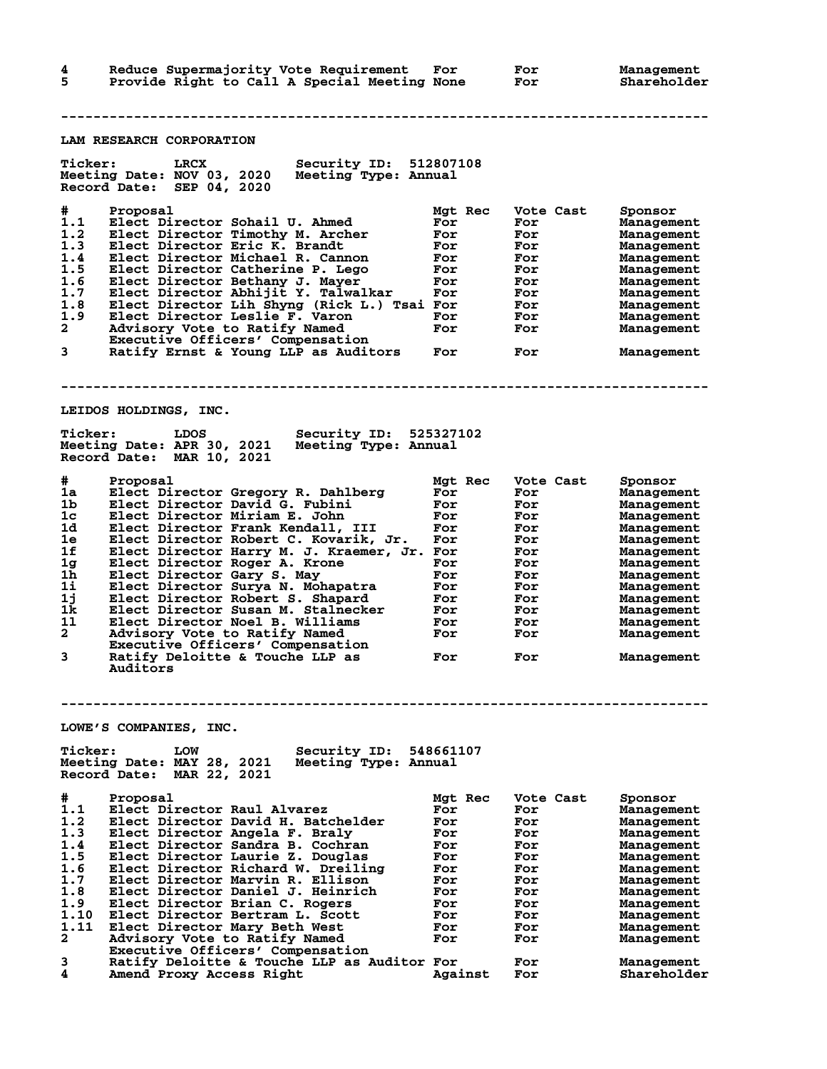**4 Reduce Supermajority Vote Requirement For For Management 5 Provide Right to Call A Special Meeting None For Shareholder -------------------------------------------------------------------------------- LAM RESEARCH CORPORATION Ticker: LRCX Security ID: 512807108 Meeting Date: NOV 03, 2020 Meeting Type: Annual Record Date: SEP 04, 2020 # Proposal Mgt Rec Vote Cast Sponsor 1.1 Elect Director Sohail U. Ahmed For For Management 1.2 Elect Director Timothy M. Archer For For Management 1.3 Elect Director Eric K. Brandt For For Management 1.4 Elect Director Michael R. Cannon For For Management 1.5 Elect Director Catherine P. Lego For For Management 1.6 Elect Director Bethany J. Mayer For For Management 1.7 Elect Director Abhijit Y. Talwalkar For For Management 1.8 Elect Director Lih Shyng (Rick L.) Tsai For For Management 1.9 Elect Director Leslie F. Varon For For Management 2 Advisory Vote to Ratify Named For For Management Executive Officers' Compensation 3 Ratify Ernst & Young LLP as Auditors For For Management -------------------------------------------------------------------------------- LEIDOS HOLDINGS, INC. Ticker: LDOS Security ID: 525327102 Meeting Date: APR 30, 2021 Meeting Type: Annual Record Date: MAR 10, 2021 # Proposal Mgt Rec Vote Cast Sponsor 1a Elect Director Gregory R. Dahlberg For For Management 1b Elect Director David G. Fubini For For Management 1c Elect Director Miriam E. John For For Management 1d Elect Director Frank Kendall, III For For Management 1e Elect Director Robert C. Kovarik, Jr. For For Management 1f Elect Director Harry M. J. Kraemer, Jr. For For Management 1g Elect Director Roger A. Krone For For Management 1h Elect Director Gary S. May For For Management 1i Elect Director Surya N. Mohapatra For For Management 1j Elect Director Robert S. Shapard For For Management 1k Elect Director Susan M. Stalnecker For For Management 1l Elect Director Noel B. Williams For For Management 2 Advisory Vote to Ratify Named For For Management Executive Officers' Compensation 3 Ratify Deloitte & Touche LLP as For For Management Auditors -------------------------------------------------------------------------------- LOWE'S COMPANIES, INC. Ticker: LOW Security ID: 548661107 Meeting Date: MAY 28, 2021 Meeting Type: Annual Record Date: MAR 22, 2021 # Proposal Mgt Rec Vote Cast Sponsor 1.1 Elect Director Raul Alvarez For For Management 1.2 Elect Director David H. Batchelder For For Management 1.3 Elect Director Angela F. Braly For For Management 1.4 Elect Director Sandra B. Cochran For For Management 1.5 Elect Director Laurie Z. Douglas For For Management 1.6 Elect Director Richard W. Dreiling For For Management 1.7 Elect Director Marvin R. Ellison For For Management 1.8 Elect Director Daniel J. Heinrich For For Management 1.9 Elect Director Brian C. Rogers For For Management 1.10 Elect Director Bertram L. Scott For For Management 1.11 Elect Director Mary Beth West For For Management 2 Advisory Vote to Ratify Named For For Management Executive Officers' Compensation**

**3 Ratify Deloitte & Touche LLP as Auditor For For Management 4 Amend Proxy Access Right Against For Shareholder**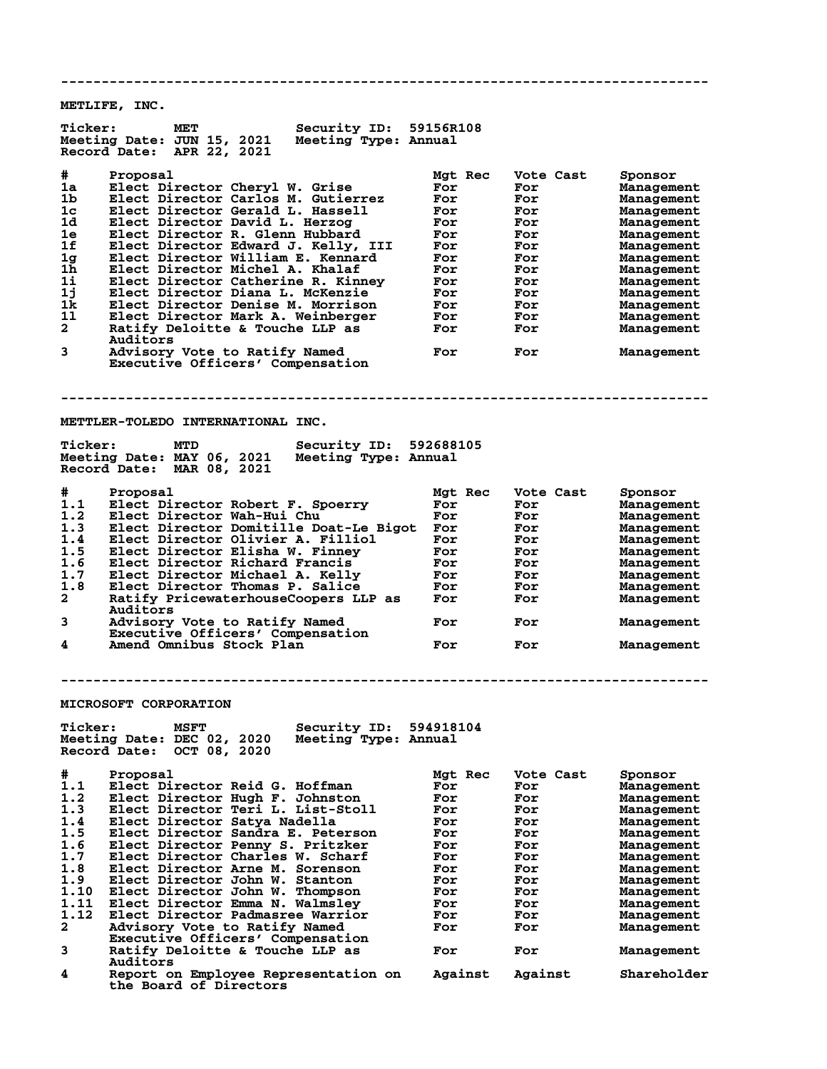**-------------------------------------------------------------------------------- METLIFE, INC. Ticker: MET Security ID: 59156R108 Meeting Date: JUN 15, 2021 Meeting Type: Annual Record Date: APR 22, 2021 # Proposal Mgt Rec Vote Cast Sponsor 1a Elect Director Cheryl W. Grise For For Management 1b Elect Director Carlos M. Gutierrez For For Management 1c Elect Director Gerald L. Hassell For For Management 1d Elect Director David L. Herzog For For Management 1e Elect Director R. Glenn Hubbard For For Management 1f Elect Director Edward J. Kelly, III For For Management 1g Elect Director William E. Kennard For For Management 1h Elect Director Michel A. Khalaf For For Management 1i Elect Director Catherine R. Kinney For For Management 1j Elect Director Diana L. McKenzie For For Management 1k Elect Director Denise M. Morrison For For Management 1l Elect Director Mark A. Weinberger For For Management 2 Ratify Deloitte & Touche LLP as For For Management Auditors 3 Advisory Vote to Ratify Named For For Management Executive Officers' Compensation -------------------------------------------------------------------------------- METTLER-TOLEDO INTERNATIONAL INC. Ticker: MTD Security ID: 592688105 Meeting Date: MAY 06, 2021 Meeting Type: Annual Record Date: MAR 08, 2021 # Proposal Mgt Rec Vote Cast Sponsor 1.1 Elect Director Robert F. Spoerry For For Management 1.2 Elect Director Wah-Hui Chu For For Management 1.3 Elect Director Domitille Doat-Le Bigot For For Management 1.4 Elect Director Olivier A. Filliol For For Management 1.5 Elect Director Elisha W. Finney For For Management 1.6 Elect Director Richard Francis For For Management 1.7 Elect Director Michael A. Kelly For For Management 1.8 Elect Director Thomas P. Salice For For Management 2 Ratify PricewaterhouseCoopers LLP as For For Management Auditors** Auditors<br> **3** Advisory Vote to Ratify Named For For Management  **Executive Officers' Compensation 4 Amend Omnibus Stock Plan For For Management -------------------------------------------------------------------------------- MICROSOFT CORPORATION Ticker: MSFT Security ID: 594918104 Meeting Date: DEC 02, 2020 Meeting Type: Annual Record Date: OCT 08, 2020 # Proposal Mgt Rec Vote Cast Sponsor 1.1 Elect Director Reid G. Hoffman For For Management 1.2 Elect Director Hugh F. Johnston For For Management 1.3 Elect Director Teri L. List-Stoll For For Management 1.4 Elect Director Satya Nadella For For Management 1.5 Elect Director Sandra E. Peterson For For Management 1.6 Elect Director Penny S. Pritzker For For Management 1.7 Elect Director Charles W. Scharf For For Management 1.8 Elect Director Arne M. Sorenson For For Management 1.9 Elect Director John W. Stanton For For Management 1.10 Elect Director John W. Thompson For For Management 1.11 Elect Director Emma N. Walmsley For For Management 1.12 Elect Director Padmasree Warrior For For Management 2 Advisory Vote to Ratify Named For For Management Executive Officers' Compensation 3 Ratify Deloitte & Touche LLP as For For Management** 3 Ratify Deloitte & Touche LLP as<br>Auditors<br>4 Report on Employee Representation **4 Report on Employee Representation on Against Against Shareholder the Board of Directors**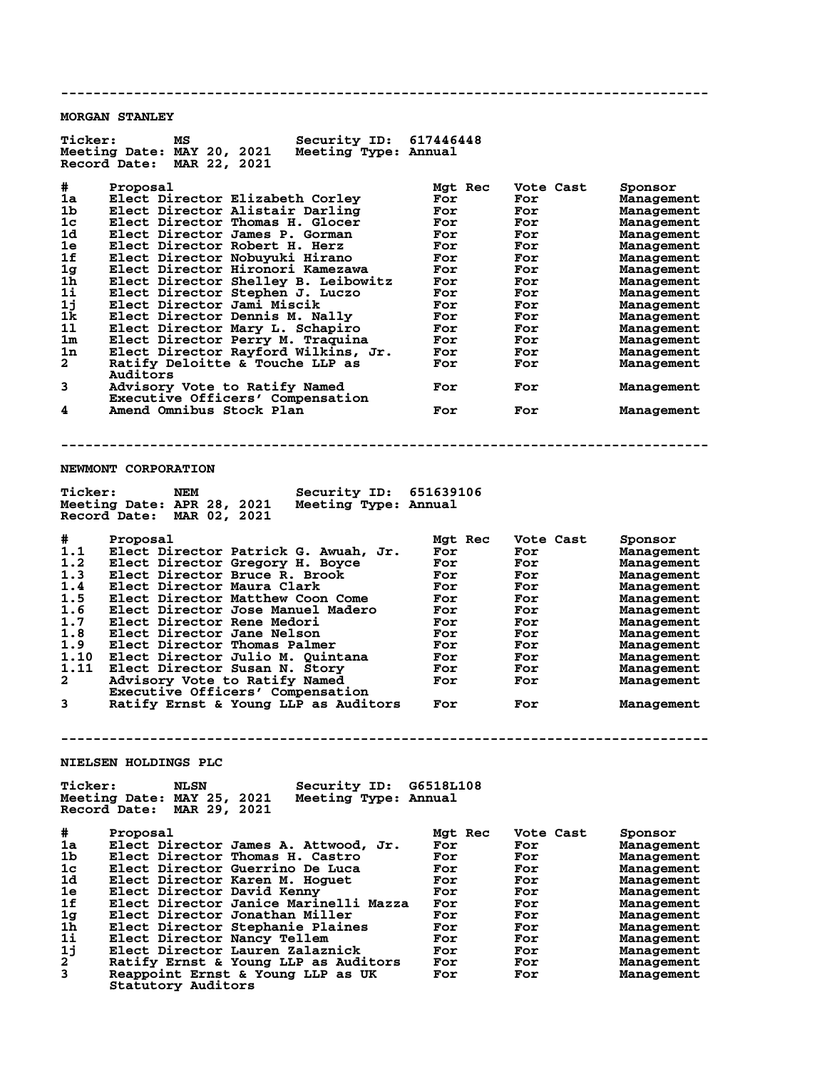**-------------------------------------------------------------------------------- MORGAN STANLEY Ticker: MS Security ID: 617446448 Meeting Date: MAY 20, 2021 Meeting Type: Annual Record Date: MAR 22, 2021 # Proposal Mgt Rec Vote Cast Sponsor 1a Elect Director Elizabeth Corley For For Management 1b Elect Director Alistair Darling For For Management 1c Elect Director Thomas H. Glocer For For Management 1d Elect Director James P. Gorman For For Management 1e Elect Director Robert H. Herz For For Management 1f Elect Director Nobuyuki Hirano For For Management 1g Elect Director Hironori Kamezawa For For Management 1h Elect Director Shelley B. Leibowitz For For Management 1i Elect Director Stephen J. Luczo For For Management 1j Elect Director Jami Miscik For For Management 1k Elect Director Dennis M. Nally For For Management 1l Elect Director Mary L. Schapiro For For Management 1m Elect Director Perry M. Traquina For For Management 1n Elect Director Rayford Wilkins, Jr. For For Management 2 Ratify Deloitte & Touche LLP as For For Management Auditors 3 Advisory Vote to Ratify Named For For Management Executive Officers' Compensation 4 Amend Omnibus Stock Plan For For Management -------------------------------------------------------------------------------- NEWMONT CORPORATION Ticker: NEM Security ID: 651639106 Meeting Date: APR 28, 2021 Meeting Type: Annual Record Date: MAR 02, 2021 # Proposal Mgt Rec Vote Cast Sponsor 1.1 Elect Director Patrick G. Awuah, Jr. For For Management 1.2 Elect Director Gregory H. Boyce For For Management 1.3 Elect Director Bruce R. Brook For For Management 1.4 Elect Director Maura Clark For For Management 1.5 Elect Director Matthew Coon Come For For Management 1.6 Elect Director Jose Manuel Madero For For Management 1.7 Elect Director Rene Medori For For Management 1.8 Elect Director Jane Nelson For For Management 1.9 Elect Director Thomas Palmer For For Management 1.10 Elect Director Julio M. Quintana For For Management 1.11 Elect Director Susan N. Story For For Management 2 Advisory Vote to Ratify Named For For Management Executive Officers' Compensation 3 Ratify Ernst & Young LLP as Auditors For For Management -------------------------------------------------------------------------------- NIELSEN HOLDINGS PLC Ticker: NLSN Security ID: G6518L108 Meeting Date: MAY 25, 2021 Meeting Type: Annual Record Date: MAR 29, 2021 # Proposal Mgt Rec Vote Cast Sponsor 1a Elect Director James A. Attwood, Jr. For For Management 1b Elect Director Thomas H. Castro For For Management 1c Elect Director Guerrino De Luca For For Management 1d Elect Director Karen M. Hoguet For For Management 1e Elect Director David Kenny For For Management 1f Elect Director Janice Marinelli Mazza For For Management 1g Elect Director Jonathan Miller For For Management 1h Elect Director Stephanie Plaines For For Management 1i Elect Director Nancy Tellem For For Management 1j Elect Director Lauren Zalaznick For For Management 2 Ratify Ernst & Young LLP as Auditors For For Management 3 Reappoint Ernst & Young LLP as UK For For Management**

 **Statutory Auditors**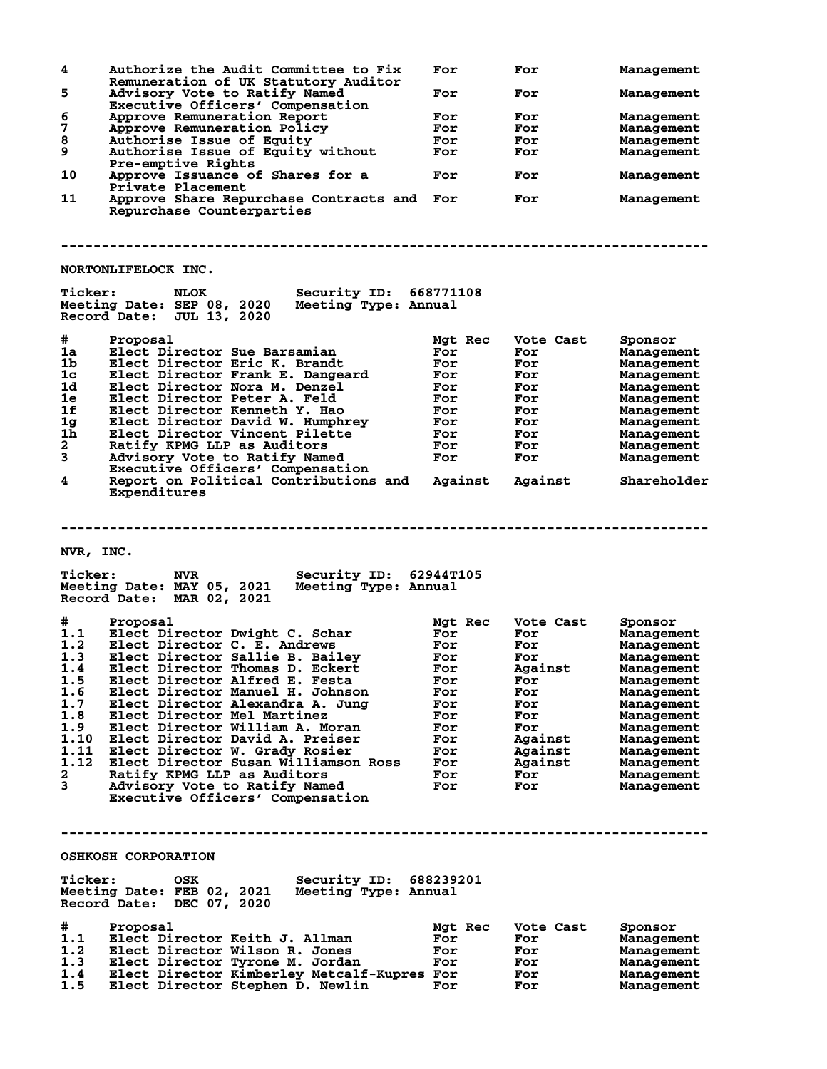|                | Authorize the Audit Committee to Fix<br>Remuneration of UK Statutory Auditor                                                    | For        | For        | Management               |
|----------------|---------------------------------------------------------------------------------------------------------------------------------|------------|------------|--------------------------|
| 5              | Advisory Vote to Ratify Named                                                                                                   | For        | For        | Management               |
|                | Executive Officers' Compensation                                                                                                |            |            |                          |
| 6              | Approve Remuneration Report                                                                                                     | For        | For        | Management               |
| 7              | Approve Remuneration Policy                                                                                                     | For        | For        | Management               |
| 8              | Authorise Issue of Equity                                                                                                       | For        | For        |                          |
|                |                                                                                                                                 |            |            | Management               |
| 9              | Authorise Issue of Equity without<br>Pre-emptive Rights                                                                         | For        | For        | Management               |
| 10             | Approve Issuance of Shares for a<br>Private Placement                                                                           | For        | For        | Management               |
| 11             | Approve Share Repurchase Contracts and For<br>Repurchase Counterparties                                                         |            | For        | Management               |
|                |                                                                                                                                 |            |            |                          |
|                | <b>NORTONLIFELOCK INC.</b>                                                                                                      |            |            |                          |
| <b>Ticker:</b> | <b>Security ID: 668771108</b><br><b>NLOK</b><br>Meeting Date: SEP 08, 2020<br>Meeting Type: Annual<br>Record Date: JUL 13, 2020 |            |            |                          |
|                |                                                                                                                                 |            |            |                          |
| #              | Proposal                                                                                                                        | Mgt Rec    | Vote Cast  | Sponsor                  |
| 1a             | Elect Director Sue Barsamian                                                                                                    | For        | For        | Management               |
| 1 <sub>b</sub> | Elect Director Eric K. Brandt                                                                                                   | For        | For        | Management               |
|                |                                                                                                                                 |            |            |                          |
| 1c             | Elect Director Frank E. Dangeard                                                                                                | For        | For        | Management               |
| 1d             | Elect Director Nora M. Denzel                                                                                                   | For        | For        | Management               |
| 1e             | Elect Director Peter A. Feld                                                                                                    | For        | For        | Management               |
| 1f             | Elect Director Kenneth Y. Hao                                                                                                   | For        | For        |                          |
|                |                                                                                                                                 |            |            | Management               |
| 1g             | Elect Director David W. Humphrey                                                                                                | For        | For        | Management               |
| $1\bar{h}$     | Elect Director Vincent Pilette                                                                                                  | For        | For        | Management               |
| $\mathbf{2}$   | Ratify KPMG LLP as Auditors                                                                                                     | For        | For        | Management               |
| 3              |                                                                                                                                 | For        | For        |                          |
|                | Advisory Vote to Ratify Named<br>Executive Officers' Compensation                                                               |            |            | Management               |
| 4              | Report on Political Contributions and<br>Expenditures                                                                           | Against    | Against    | Shareholder              |
| NVR, INC.      |                                                                                                                                 |            |            |                          |
| <b>Ticker:</b> | Security ID: 62944T105<br><b>NVR</b>                                                                                            |            |            |                          |
|                | Meeting Date: MAY 05, 2021<br>Meeting Type: Annual<br>Record Date: MAR 02, 2021                                                 |            |            |                          |
|                |                                                                                                                                 |            |            |                          |
| #              | Proposal                                                                                                                        | Mgt Rec    | Vote Cast  | Sponsor                  |
| 1.1            | Elect Director Dwight C. Schar                                                                                                  | For        | For        | Management               |
| 1.2            | Elect Director C. E. Andrews                                                                                                    | For        | For        | Management               |
| 1.3            | Elect Director Sallie B. Bailey                                                                                                 | For        | For        | Management               |
|                |                                                                                                                                 |            |            |                          |
|                | 1.4 Elect Director Thomas D. Eckert                                                                                             | For        | Against    | Management               |
| 1.5            | Elect Director Alfred E. Festa                                                                                                  | For        | For        | Management               |
| 1.6            | Elect Director Manuel H. Johnson                                                                                                | For        | For        | Management               |
| 1.7            | Elect Director Alexandra A. Jung                                                                                                | For        | For        | Management               |
| 1.8            | Elect Director Mel Martinez                                                                                                     | For        | For        | Management               |
|                |                                                                                                                                 |            | For        |                          |
| 1.9            | Elect Director William A. Moran                                                                                                 | For        |            | Management               |
| 1.10           | Elect Director David A. Preiser                                                                                                 | For        | Against    | Management               |
| 1.11           | Elect Director W. Grady Rosier                                                                                                  | For        | Against    | Management               |
| 1.12           | Elect Director Susan Williamson Ross                                                                                            | For        | Against    | Management               |
|                |                                                                                                                                 |            |            |                          |
| $\mathbf{2}$   | Ratify KPMG LLP as Auditors                                                                                                     | For        | For        | Management               |
| 3              | Advisory Vote to Ratify Named<br>Executive Officers' Compensation                                                               | For        | For        | Management               |
|                |                                                                                                                                 |            |            |                          |
|                |                                                                                                                                 |            |            |                          |
|                | <b>OSHKOSH CORPORATION</b>                                                                                                      |            |            |                          |
|                |                                                                                                                                 |            |            |                          |
| <b>Ticker:</b> | Security ID: 688239201<br><b>OSK</b><br>Meeting Type: Annual                                                                    |            |            |                          |
|                | Meeting Date: FEB 02, 2021<br>Record Date: DEC 07, 2020                                                                         |            |            |                          |
| #              | Proposal                                                                                                                        | Mgt Rec    | Vote Cast  | Sponsor                  |
|                |                                                                                                                                 | For        | For        |                          |
| 1.1            | Elect Director Keith J. Allman                                                                                                  |            |            | Management               |
| 1.2            | Elect Director Wilson R. Jones                                                                                                  | For        | For        | Management               |
| 1.3            | Elect Director Tyrone M. Jordan                                                                                                 | For        | For        | Management               |
| 1.4<br>1.5     | Elect Director Kimberley Metcalf-Kupres For<br>Elect Director Stephen D. Newlin                                                 | <b>For</b> | For<br>For | Management<br>Management |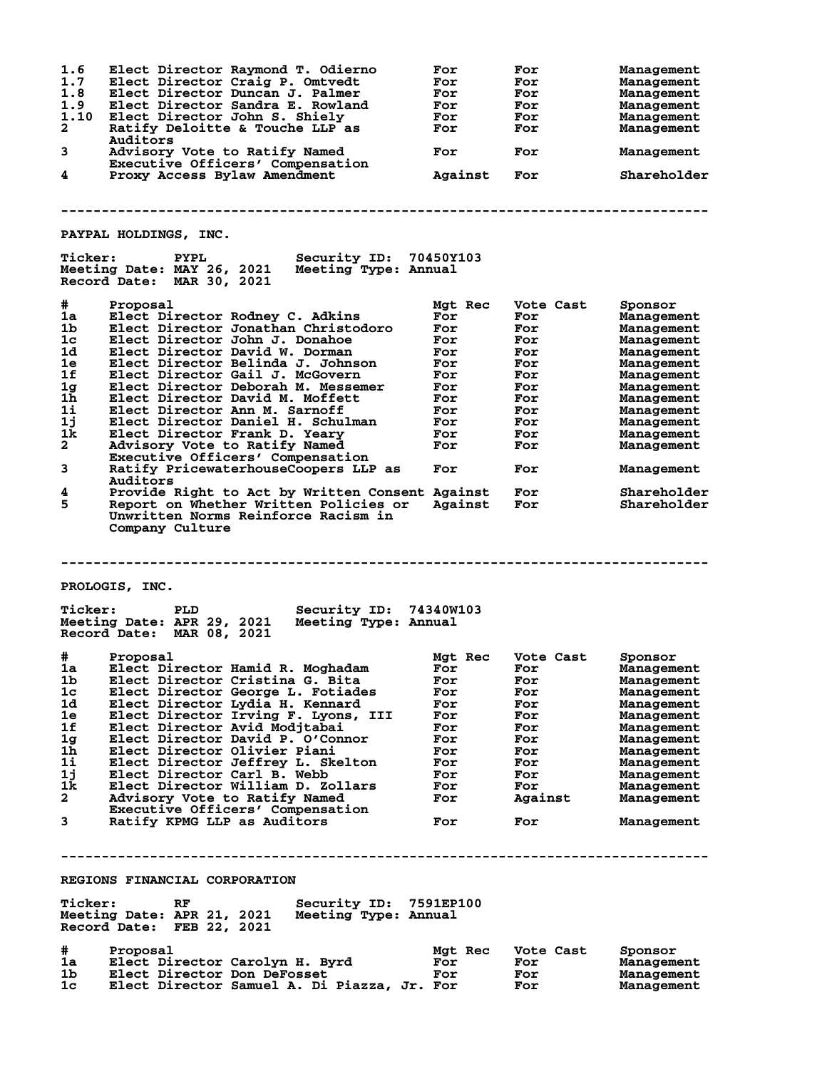| 1.6             | Elect Director Raymond T. Odierno                                                                                        | For     | For       | Management  |
|-----------------|--------------------------------------------------------------------------------------------------------------------------|---------|-----------|-------------|
| 1.7             | Elect Director Craig P. Omtvedt                                                                                          | For     | For       | Management  |
| 1.8             |                                                                                                                          |         |           |             |
|                 | Elect Director Duncan J. Palmer                                                                                          | For     | For       | Management  |
| 1.9             | Elect Director Sandra E. Rowland                                                                                         | For     | For       | Management  |
| 1.10            | Elect Director John S. Shiely                                                                                            | For     | For       | Management  |
| $\mathbf{2}$    | Ratify Deloitte & Touche LLP as<br>Auditors                                                                              | For     | For       | Management  |
| 3               | Advisory Vote to Ratify Named<br>Executive Officers' Compensation                                                        | For     | For       | Management  |
| 4               | Proxy Access Bylaw Amendment                                                                                             | Against | For       | Shareholder |
|                 |                                                                                                                          |         |           |             |
|                 |                                                                                                                          |         |           |             |
|                 | PAYPAL HOLDINGS, INC.                                                                                                    |         |           |             |
| <b>Ticker:</b>  | Security ID: 70450Y103<br><b>PYPL</b><br>Meeting Date: MAY 26, 2021<br>Meeting Type: Annual<br>Record Date: MAR 30, 2021 |         |           |             |
| #               | Proposal                                                                                                                 | Mgt Rec | Vote Cast |             |
|                 |                                                                                                                          |         |           | Sponsor     |
| 1a              | Elect Director Rodney C. Adkins                                                                                          | For     | For       | Management  |
| 1b              | Elect Director Jonathan Christodoro                                                                                      | For     | For       | Management  |
| 1 <sub>c</sub>  | Elect Director John J. Donahoe                                                                                           | For     | For       | Management  |
| 1d              | Elect Director David W. Dorman                                                                                           | For     | For       | Management  |
| 1e              | Elect Director Belinda J. Johnson                                                                                        | For     |           |             |
|                 |                                                                                                                          |         | For       | Management  |
| 1f              | Elect Director Gail J. McGovern                                                                                          | For     | For       | Management  |
| 1 <sub>g</sub>  | Elect Director Deborah M. Messemer                                                                                       | For     | For       | Management  |
| $1\overline{h}$ | Elect Director David M. Moffett                                                                                          | For     | For       | Management  |
|                 |                                                                                                                          |         |           |             |
| $1\mathbf{i}$   | Elect Director Ann M. Sarnoff                                                                                            | For     | For       | Management  |
| 1j              | Elect Director Daniel H. Schulman                                                                                        | For     | For       | Management  |
| 1k              | Elect Director Frank D. Yeary                                                                                            | For     | For       | Management  |
| $\mathbf{2}$    |                                                                                                                          |         |           |             |
|                 | Advisory Vote to Ratify Named                                                                                            | For     | For       | Management  |
| 3               | Executive Officers' Compensation<br>Ratify PricewaterhouseCoopers LLP as                                                 | For     | For       | Management  |
|                 | Auditors                                                                                                                 |         |           |             |
| 4               | Provide Right to Act by Written Consent Against                                                                          |         | For       | Shareholder |
| 5               | Report on Whether Written Policies or<br>Unwritten Norms Reinforce Racism in<br>Company Culture                          | Against | For       | Shareholder |
|                 |                                                                                                                          |         |           |             |
|                 | PROLOGIS, INC.                                                                                                           |         |           |             |
| <b>Ticker:</b>  | Security ID: 74340W103<br>PLD<br>Meeting Date: APR 29, 2021<br>Meeting Type: Annual<br>Record Date: MAR 08, 2021         |         |           |             |
| #               | Proposal                                                                                                                 | Mgt Rec | Vote Cast | Sponsor     |
|                 |                                                                                                                          |         |           |             |
| 1a              | Elect Director Hamid R. Moghadam                                                                                         | For     | For       | Management  |
| 1 <sub>b</sub>  | Elect Director Cristina G. Bita                                                                                          | For     | For       | Management  |
| 1c              | Elect Director George L. Fotiades                                                                                        | For     | For       | Management  |
| 1d              | Elect Director Lydia H. Kennard                                                                                          | For     | For       | Management  |
|                 |                                                                                                                          |         |           |             |
| 1e              | Elect Director Irving F. Lyons, III                                                                                      | For     | For       | Management  |
| 1f              | Elect Director Avid Modjtabai                                                                                            | For     | For       | Management  |
| 1 <sub>g</sub>  | Elect Director David P. O'Connor                                                                                         | For     | For       | Management  |
| 1h              | Elect Director Olivier Piani                                                                                             | For     | For       | Management  |
|                 |                                                                                                                          |         |           |             |
| 1i              | Elect Director Jeffrey L. Skelton                                                                                        | For     | For       | Management  |
| 1j              | Elect Director Carl B. Webb                                                                                              | For     | For       | Management  |
| 1k.             | Elect Director William D. Zollars                                                                                        | For     | For       | Management  |
|                 |                                                                                                                          |         |           |             |
| $\mathbf{2}$    | Advisory Vote to Ratify Named<br>Executive Officers' Compensation                                                        | For     | Against   | Management  |
| 3               | Ratify KPMG LLP as Auditors                                                                                              | For     | For       | Management  |
|                 |                                                                                                                          |         |           |             |
|                 | REGIONS FINANCIAL CORPORATION                                                                                            |         |           |             |
| <b>Ticker:</b>  | RF<br>Security ID: 7591EP100                                                                                             |         |           |             |
|                 | Meeting Date: APR 21, 2021<br>Meeting Type: Annual<br>Record Date: FEB 22, 2021                                          |         |           |             |
|                 |                                                                                                                          |         |           |             |
| #               | Proposal                                                                                                                 | Mgt Rec | Vote Cast | Sponsor     |
| 1a              | Elect Director Carolyn H. Byrd                                                                                           | For     | For       | Management  |
| 1b.             | Elect Director Don DeFosset                                                                                              | For     | For       | Management  |
| 1c              | Elect Director Samuel A. Di Piazza, Jr. For                                                                              |         | For       | Management  |
|                 |                                                                                                                          |         |           |             |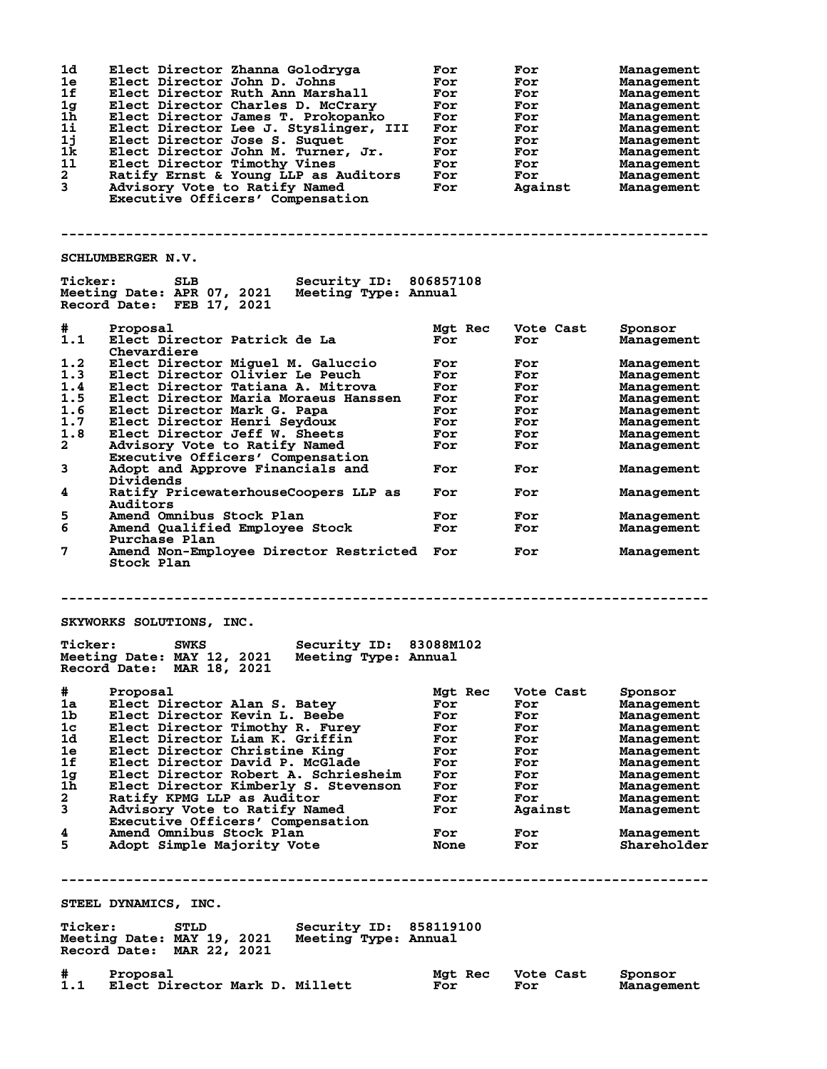| 1d<br>1e<br>1f<br>1g<br>1 <sub>h</sub><br>11<br>1j<br>1k<br>11<br>$\mathbf{2}$<br>$\overline{3}$ | Elect Director Zhanna Golodryga<br>Elect Director John D. Johns<br>Elect Director Ruth Ann Marshall<br>Elect Director Charles D. McCrary<br>Elect Director James T. Prokopanko<br>Elect Director Lee J. Styslinger, III<br>Elect Director Jose S. Suguet<br>Elect Director John M. Turner, Jr.<br>Elect Director Timothy Vines<br>Ratify Ernst & Young LLP as Auditors<br>Advisory Vote to Ratify Named<br>Executive Officers' Compensation | For<br>For<br>For<br>For<br>For<br>For<br>For<br>For<br>For<br>For<br>For | For<br>For<br>For<br>For<br>For<br>For<br>For<br>For<br>For<br>For<br>Against | Management<br><b>Management</b><br>Management<br>Management<br>Management<br>Management<br>Management<br>Management<br>Management<br>Management<br>Management |
|--------------------------------------------------------------------------------------------------|---------------------------------------------------------------------------------------------------------------------------------------------------------------------------------------------------------------------------------------------------------------------------------------------------------------------------------------------------------------------------------------------------------------------------------------------|---------------------------------------------------------------------------|-------------------------------------------------------------------------------|---------------------------------------------------------------------------------------------------------------------------------------------------------------|
|                                                                                                  | SCHLUMBERGER N.V.                                                                                                                                                                                                                                                                                                                                                                                                                           |                                                                           |                                                                               |                                                                                                                                                               |
| <b>Ticker:</b>                                                                                   | Security ID: 806857108<br>SLB<br>Meeting Date: APR 07, 2021<br>Meeting Type: Annual<br>Record Date: FEB 17, 2021                                                                                                                                                                                                                                                                                                                            |                                                                           |                                                                               |                                                                                                                                                               |
| #<br>1.1                                                                                         | Proposal<br>Elect Director Patrick de La<br>Chevardiere                                                                                                                                                                                                                                                                                                                                                                                     | Mgt Rec<br>For                                                            | Vote Cast<br>For                                                              | Sponsor<br>Management                                                                                                                                         |
| 1.2                                                                                              | Elect Director Miguel M. Galuccio                                                                                                                                                                                                                                                                                                                                                                                                           | For                                                                       | For                                                                           | Management                                                                                                                                                    |
| 1.3                                                                                              | Elect Director Olivier Le Peuch                                                                                                                                                                                                                                                                                                                                                                                                             | For                                                                       | For                                                                           | Management                                                                                                                                                    |
| 1.4                                                                                              | Elect Director Tatiana A. Mitrova                                                                                                                                                                                                                                                                                                                                                                                                           | For                                                                       | For                                                                           | Management                                                                                                                                                    |
| 1.5                                                                                              | Elect Director Maria Moraeus Hanssen                                                                                                                                                                                                                                                                                                                                                                                                        | For                                                                       | For                                                                           | Management                                                                                                                                                    |
| 1.6                                                                                              | Elect Director Mark G. Papa                                                                                                                                                                                                                                                                                                                                                                                                                 | For                                                                       | For                                                                           | Management                                                                                                                                                    |
| 1.7                                                                                              | Elect Director Henri Seydoux                                                                                                                                                                                                                                                                                                                                                                                                                | For                                                                       | For                                                                           | Management                                                                                                                                                    |
| 1.8                                                                                              | Elect Director Jeff W. Sheets                                                                                                                                                                                                                                                                                                                                                                                                               | For                                                                       | For                                                                           | Management                                                                                                                                                    |
| $\mathbf{2}$                                                                                     | Advisory Vote to Ratify Named                                                                                                                                                                                                                                                                                                                                                                                                               | For                                                                       | For                                                                           | Management                                                                                                                                                    |
|                                                                                                  | Executive Officers' Compensation                                                                                                                                                                                                                                                                                                                                                                                                            |                                                                           |                                                                               |                                                                                                                                                               |
| 3                                                                                                | Adopt and Approve Financials and<br>Dividends                                                                                                                                                                                                                                                                                                                                                                                               | For                                                                       | For                                                                           | Management                                                                                                                                                    |
| 4                                                                                                | Ratify PricewaterhouseCoopers LLP as<br>Auditors                                                                                                                                                                                                                                                                                                                                                                                            | For                                                                       | For                                                                           | Management                                                                                                                                                    |
| 5                                                                                                | Amend Omnibus Stock Plan                                                                                                                                                                                                                                                                                                                                                                                                                    | For                                                                       | For                                                                           | Management                                                                                                                                                    |
| 6                                                                                                | Amend Qualified Employee Stock<br>Purchase Plan                                                                                                                                                                                                                                                                                                                                                                                             | For                                                                       | For                                                                           | <b>Management</b>                                                                                                                                             |
| 7                                                                                                | Amend Non-Employee Director Restricted<br>Stock Plan                                                                                                                                                                                                                                                                                                                                                                                        | For                                                                       | For                                                                           | Management                                                                                                                                                    |
|                                                                                                  |                                                                                                                                                                                                                                                                                                                                                                                                                                             |                                                                           |                                                                               |                                                                                                                                                               |
|                                                                                                  | SKYWORKS SOLUTIONS, INC.                                                                                                                                                                                                                                                                                                                                                                                                                    |                                                                           |                                                                               |                                                                                                                                                               |
| <b>Ticker:</b>                                                                                   | Security ID: 83088M102<br>SWKS<br>Meeting Date: MAY 12, 2021<br>Meeting Type: Annual<br>Record Date: MAR 18, 2021                                                                                                                                                                                                                                                                                                                           |                                                                           |                                                                               |                                                                                                                                                               |
| #                                                                                                | Proposal                                                                                                                                                                                                                                                                                                                                                                                                                                    | Mgt Rec                                                                   | Vote Cast                                                                     | Sponsor                                                                                                                                                       |
| 1a                                                                                               | Elect Director Alan S. Batey                                                                                                                                                                                                                                                                                                                                                                                                                | For                                                                       | For                                                                           | Management                                                                                                                                                    |
| 1b                                                                                               | Elect Director Kevin L. Beebe                                                                                                                                                                                                                                                                                                                                                                                                               | For                                                                       | For                                                                           | Management                                                                                                                                                    |
| 1c                                                                                               | Elect Director Timothy R. Furey                                                                                                                                                                                                                                                                                                                                                                                                             | For                                                                       | For                                                                           | Management                                                                                                                                                    |
| 1d                                                                                               | Elect Director Liam K. Griffin                                                                                                                                                                                                                                                                                                                                                                                                              | For                                                                       | For                                                                           | Management                                                                                                                                                    |
| 1e                                                                                               | Elect Director Christine King                                                                                                                                                                                                                                                                                                                                                                                                               | For                                                                       | For                                                                           | Management                                                                                                                                                    |
| 1f                                                                                               | Elect Director David P. McGlade                                                                                                                                                                                                                                                                                                                                                                                                             | For                                                                       | For                                                                           | Management                                                                                                                                                    |
| 1 <sub>g</sub>                                                                                   | Elect Director Robert A. Schriesheim                                                                                                                                                                                                                                                                                                                                                                                                        | For                                                                       | For                                                                           | Management                                                                                                                                                    |
| $1\bar{h}$                                                                                       | Elect Director Kimberly S. Stevenson                                                                                                                                                                                                                                                                                                                                                                                                        | For                                                                       | For                                                                           | Management                                                                                                                                                    |
| $\mathbf{2}$                                                                                     | Ratify KPMG LLP as Auditor                                                                                                                                                                                                                                                                                                                                                                                                                  | For                                                                       | For                                                                           | Management                                                                                                                                                    |
| 3                                                                                                | Advisory Vote to Ratify Named                                                                                                                                                                                                                                                                                                                                                                                                               | For                                                                       | Against                                                                       | Management                                                                                                                                                    |
|                                                                                                  | Executive Officers' Compensation                                                                                                                                                                                                                                                                                                                                                                                                            |                                                                           |                                                                               |                                                                                                                                                               |
| 4                                                                                                | Amend Omnibus Stock Plan                                                                                                                                                                                                                                                                                                                                                                                                                    | For                                                                       | For                                                                           | Management                                                                                                                                                    |
| 5                                                                                                | Adopt Simple Majority Vote                                                                                                                                                                                                                                                                                                                                                                                                                  | <b>None</b>                                                               | For                                                                           | Shareholder                                                                                                                                                   |
|                                                                                                  |                                                                                                                                                                                                                                                                                                                                                                                                                                             |                                                                           |                                                                               |                                                                                                                                                               |
|                                                                                                  | STEEL DYNAMICS, INC.                                                                                                                                                                                                                                                                                                                                                                                                                        |                                                                           |                                                                               |                                                                                                                                                               |
|                                                                                                  |                                                                                                                                                                                                                                                                                                                                                                                                                                             |                                                                           |                                                                               |                                                                                                                                                               |
| <b>Ticker:</b>                                                                                   | Security ID: 858119100<br><b>STLD</b><br>Meeting Date: MAY 19, 2021<br>Meeting Type: Annual<br>Record Date: MAR 22, 2021                                                                                                                                                                                                                                                                                                                    |                                                                           |                                                                               |                                                                                                                                                               |
|                                                                                                  |                                                                                                                                                                                                                                                                                                                                                                                                                                             |                                                                           |                                                                               |                                                                                                                                                               |
| #<br>1.1                                                                                         | Proposal<br>Elect Director Mark D. Millett                                                                                                                                                                                                                                                                                                                                                                                                  | Mgt Rec<br>For                                                            | Vote Cast<br>For                                                              | Sponsor<br>Management                                                                                                                                         |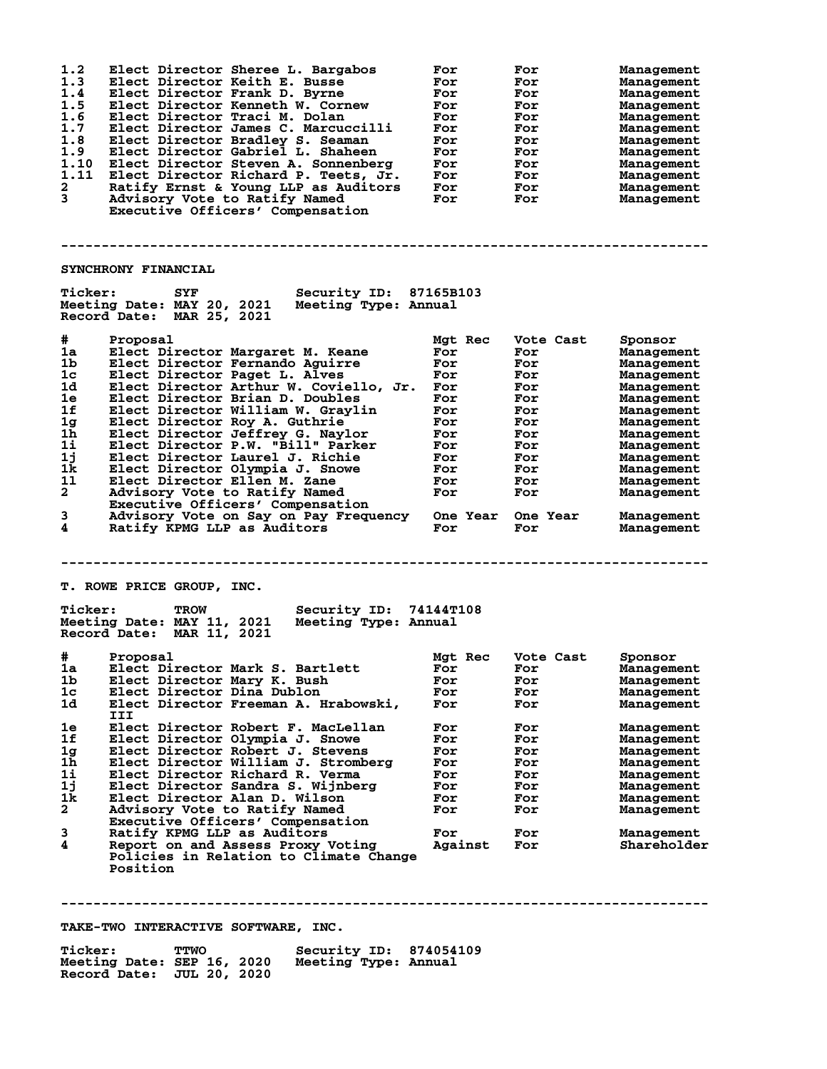| For<br>For<br>For<br>For<br>For<br>For<br>For<br>For<br>For<br>For<br>For<br>For                                                                    | For<br>For<br>For<br>For<br>For<br>For<br>For<br>For<br>For<br>For<br>For<br>For                            | <b>Management</b><br>Management<br>Management<br>Management<br>Management<br>Management<br>Management<br>Management<br>Management<br>Management<br>Management<br>Management                                               |
|-----------------------------------------------------------------------------------------------------------------------------------------------------|-------------------------------------------------------------------------------------------------------------|---------------------------------------------------------------------------------------------------------------------------------------------------------------------------------------------------------------------------|
|                                                                                                                                                     |                                                                                                             |                                                                                                                                                                                                                           |
| <b>Security ID: 87165B103</b><br>Meeting Date: MAY 20, 2021 Meeting Type: Annual                                                                    |                                                                                                             |                                                                                                                                                                                                                           |
| Mgt Rec<br>For<br>For<br>For<br>Elect Director Arthur W. Coviello, Jr.<br>For<br>For<br>For<br>For<br>For<br>For<br>For<br>For<br>For<br>For<br>For | Vote Cast<br>For<br>For<br>For<br>For<br>For<br>For<br>For<br>For<br>For<br>For<br>For<br>For<br>For<br>For | Sponsor<br>Management<br>Management<br>Management<br>Management<br>Management<br>Management<br>Management<br>Management<br>Management<br>Management<br>Management<br>Management<br>Management<br>Management<br>Management |
| Security ID: 74144T108<br>Meeting Type: Annual                                                                                                      |                                                                                                             |                                                                                                                                                                                                                           |
| Mgt Rec<br>For<br>For<br>For<br>For<br>For<br>For<br>For<br>For<br>For<br>For<br>For<br>For<br>For<br>Against                                       | Vote Cast<br>For<br>For<br>For<br>For<br>For<br>For<br>For<br>For<br>For<br>For<br>For<br>For<br>For<br>For | Sponsor<br>Management<br>Management<br>Management<br>Management<br>Management<br>Management<br>Management<br>Management<br>Management<br>Management<br>Management<br>Management<br>Management<br>Shareholder              |
|                                                                                                                                                     |                                                                                                             | Advisory Vote on Say on Pay Frequency One Year One Year                                                                                                                                                                   |

**--------------------------------------------------------------------------------**

**TAKE-TWO INTERACTIVE SOFTWARE, INC.**

| <b>Ticker:</b>             | <b>TTWO</b> | Security ID: 874054109 |  |
|----------------------------|-------------|------------------------|--|
| Meeting Date: SEP 16, 2020 |             | Meeting Type: Annual   |  |
| Record Date: JUL 20, 2020  |             |                        |  |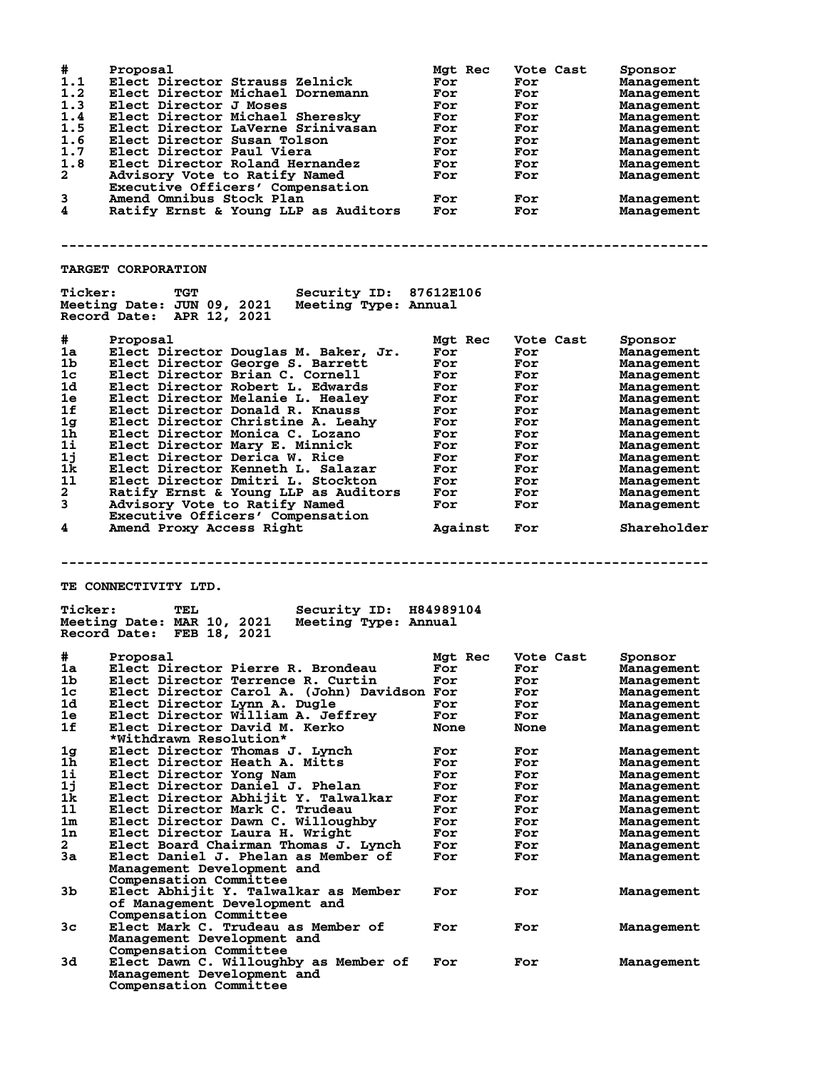| #<br>1.1<br>1.2<br>1.3<br>1.4<br>1.5<br>1.6<br>1.7<br>1.8<br>$\overline{a}$<br>3<br>4 | Proposal<br>Elect Director Strauss Zelnick<br>Elect Director Michael Dornemann<br>Elect Director J Moses<br>Elect Director Michael Sheresky<br>Elect Director LaVerne Srinivasan<br>Elect Director Susan Tolson<br>Elect Director Paul Viera<br>Elect Director Roland Hernandez<br>Advisory Vote to Ratify Named<br>Executive Officers' Compensation<br>Amend Omnibus Stock Plan<br>Ratify Ernst & Young LLP as Auditors | Mgt Rec<br>For<br>For<br>For<br>For<br>For<br>For<br>For<br>For<br>For<br>For<br>For | Vote Cast<br>For<br>For<br>For<br>For<br>For<br>For<br>For<br>For<br>For<br>For<br>For | Sponsor<br>Management<br>Management<br>Management<br>Management<br>Management<br>Management<br>Management<br>Management<br>Management<br>Management<br>Management |
|---------------------------------------------------------------------------------------|--------------------------------------------------------------------------------------------------------------------------------------------------------------------------------------------------------------------------------------------------------------------------------------------------------------------------------------------------------------------------------------------------------------------------|--------------------------------------------------------------------------------------|----------------------------------------------------------------------------------------|-------------------------------------------------------------------------------------------------------------------------------------------------------------------|
|                                                                                       | <b>TARGET CORPORATION</b>                                                                                                                                                                                                                                                                                                                                                                                                |                                                                                      |                                                                                        |                                                                                                                                                                   |
| <b>Ticker:</b>                                                                        | <b>TGT</b><br><b>Security ID: 87612E106</b><br>Meeting Date: JUN 09, 2021 Meeting Type: Annual<br>Record Date: APR 12, 2021                                                                                                                                                                                                                                                                                              |                                                                                      |                                                                                        |                                                                                                                                                                   |
| #                                                                                     | Proposal                                                                                                                                                                                                                                                                                                                                                                                                                 | Mgt Rec                                                                              | Vote Cast                                                                              | Sponsor                                                                                                                                                           |
| 1a                                                                                    | Elect Director Douglas M. Baker, Jr.                                                                                                                                                                                                                                                                                                                                                                                     | For                                                                                  | For                                                                                    | Management                                                                                                                                                        |
| 1b                                                                                    | Elect Director George S. Barrett                                                                                                                                                                                                                                                                                                                                                                                         | For                                                                                  | For                                                                                    | Management                                                                                                                                                        |
| 1c                                                                                    | Elect Director Brian C. Cornell                                                                                                                                                                                                                                                                                                                                                                                          | For                                                                                  | For                                                                                    | Management                                                                                                                                                        |
| 1d                                                                                    | Elect Director Robert L. Edwards                                                                                                                                                                                                                                                                                                                                                                                         | For                                                                                  | For                                                                                    | Management                                                                                                                                                        |
| 1e                                                                                    | Elect Director Melanie L. Healey                                                                                                                                                                                                                                                                                                                                                                                         | For                                                                                  | For                                                                                    | Management                                                                                                                                                        |
| 1f                                                                                    | Elect Director Donald R. Knauss                                                                                                                                                                                                                                                                                                                                                                                          | For                                                                                  | For                                                                                    | Management                                                                                                                                                        |
| 1g                                                                                    | Elect Director Christine A. Leahy                                                                                                                                                                                                                                                                                                                                                                                        | For                                                                                  | For                                                                                    | Management                                                                                                                                                        |
| 1 <sub>h</sub>                                                                        | Elect Director Monica C. Lozano                                                                                                                                                                                                                                                                                                                                                                                          | For                                                                                  | For                                                                                    | Management                                                                                                                                                        |
| 1i                                                                                    | Elect Director Mary E. Minnick                                                                                                                                                                                                                                                                                                                                                                                           | For                                                                                  | For                                                                                    |                                                                                                                                                                   |
| 1j                                                                                    | Elect Director Derica W. Rice                                                                                                                                                                                                                                                                                                                                                                                            | For                                                                                  | For                                                                                    | Management                                                                                                                                                        |
| 1k                                                                                    | Elect Director Kenneth L. Salazar                                                                                                                                                                                                                                                                                                                                                                                        |                                                                                      |                                                                                        | Management                                                                                                                                                        |
| 11                                                                                    | Elect Director Dmitri L. Stockton                                                                                                                                                                                                                                                                                                                                                                                        | For                                                                                  | For                                                                                    | Management                                                                                                                                                        |
| $\mathbf{2}$                                                                          |                                                                                                                                                                                                                                                                                                                                                                                                                          | For                                                                                  | For                                                                                    | Management                                                                                                                                                        |
|                                                                                       | Ratify Ernst & Young LLP as Auditors                                                                                                                                                                                                                                                                                                                                                                                     | For                                                                                  | For                                                                                    | Management                                                                                                                                                        |
| 3                                                                                     | Advisory Vote to Ratify Named                                                                                                                                                                                                                                                                                                                                                                                            | For                                                                                  | For                                                                                    | Management                                                                                                                                                        |
|                                                                                       | Executive Officers' Compensation                                                                                                                                                                                                                                                                                                                                                                                         |                                                                                      |                                                                                        |                                                                                                                                                                   |
| 4                                                                                     | Amend Proxy Access Right                                                                                                                                                                                                                                                                                                                                                                                                 | Against                                                                              | For                                                                                    | Shareholder                                                                                                                                                       |
| <b>Ticker:</b>                                                                        | <b>TE CONNECTIVITY LTD.</b><br>Security ID: H84989104<br>TEL                                                                                                                                                                                                                                                                                                                                                             |                                                                                      |                                                                                        |                                                                                                                                                                   |
|                                                                                       | Meeting Date: MAR 10, 2021<br>Meeting Type: Annual<br>Record Date: FEB 18, 2021                                                                                                                                                                                                                                                                                                                                          |                                                                                      |                                                                                        |                                                                                                                                                                   |
| #                                                                                     | Proposal                                                                                                                                                                                                                                                                                                                                                                                                                 | Mgt Rec                                                                              | Vote Cast                                                                              | Sponsor                                                                                                                                                           |
| 1a                                                                                    | Elect Director Pierre R. Brondeau                                                                                                                                                                                                                                                                                                                                                                                        | For                                                                                  | For                                                                                    | Management                                                                                                                                                        |
| 1b                                                                                    | Elect Director Terrence R. Curtin                                                                                                                                                                                                                                                                                                                                                                                        | For                                                                                  | For                                                                                    | Management                                                                                                                                                        |
| 1 <sub>c</sub>                                                                        | Elect Director Carol A. (John) Davidson For                                                                                                                                                                                                                                                                                                                                                                              |                                                                                      | For                                                                                    | Management                                                                                                                                                        |
| 1d                                                                                    | Elect Director Lynn A. Dugle                                                                                                                                                                                                                                                                                                                                                                                             | For                                                                                  | For                                                                                    | Management                                                                                                                                                        |
| 1e                                                                                    | Elect Director William A. Jeffrey                                                                                                                                                                                                                                                                                                                                                                                        | For                                                                                  | For                                                                                    | Management                                                                                                                                                        |
| 1f                                                                                    | Elect Director David M. Kerko                                                                                                                                                                                                                                                                                                                                                                                            | <b>None</b>                                                                          | <b>None</b>                                                                            | Management                                                                                                                                                        |
|                                                                                       | *Withdrawn Resolution*                                                                                                                                                                                                                                                                                                                                                                                                   |                                                                                      |                                                                                        |                                                                                                                                                                   |
| 1 <sub>g</sub>                                                                        | Elect Director Thomas J. Lynch                                                                                                                                                                                                                                                                                                                                                                                           | For                                                                                  | For                                                                                    | Management                                                                                                                                                        |
| 1 <sub>h</sub>                                                                        | Elect Director Heath A. Mitts                                                                                                                                                                                                                                                                                                                                                                                            | For                                                                                  | For                                                                                    | Management                                                                                                                                                        |
| 1i                                                                                    | Elect Director Yong Nam                                                                                                                                                                                                                                                                                                                                                                                                  | For                                                                                  | For                                                                                    | Management                                                                                                                                                        |
| 1j                                                                                    | Elect Director Daniel J. Phelan                                                                                                                                                                                                                                                                                                                                                                                          | For                                                                                  | For                                                                                    | Management                                                                                                                                                        |
| 1k                                                                                    | Elect Director Abhijit Y. Talwalkar                                                                                                                                                                                                                                                                                                                                                                                      | For                                                                                  | For                                                                                    | Management                                                                                                                                                        |
| 11                                                                                    | Elect Director Mark C. Trudeau                                                                                                                                                                                                                                                                                                                                                                                           | For                                                                                  | For                                                                                    | Management                                                                                                                                                        |
| 1m                                                                                    | Elect Director Dawn C. Willoughby                                                                                                                                                                                                                                                                                                                                                                                        | For                                                                                  | For                                                                                    | Management                                                                                                                                                        |
| 1n                                                                                    | Elect Director Laura H. Wright                                                                                                                                                                                                                                                                                                                                                                                           | For                                                                                  | For                                                                                    | Management                                                                                                                                                        |
| $\mathbf{2}$                                                                          | Elect Board Chairman Thomas J. Lynch                                                                                                                                                                                                                                                                                                                                                                                     | For                                                                                  | For                                                                                    | Management                                                                                                                                                        |
| 3a                                                                                    | Elect Daniel J. Phelan as Member of                                                                                                                                                                                                                                                                                                                                                                                      | For                                                                                  | For                                                                                    | Management                                                                                                                                                        |
|                                                                                       | Management Development and                                                                                                                                                                                                                                                                                                                                                                                               |                                                                                      |                                                                                        |                                                                                                                                                                   |
|                                                                                       | Compensation Committee                                                                                                                                                                                                                                                                                                                                                                                                   |                                                                                      |                                                                                        |                                                                                                                                                                   |
| 3b                                                                                    | Elect Abhijit Y. Talwalkar as Member                                                                                                                                                                                                                                                                                                                                                                                     | For                                                                                  | For                                                                                    | Management                                                                                                                                                        |
|                                                                                       | of Management Development and                                                                                                                                                                                                                                                                                                                                                                                            |                                                                                      |                                                                                        |                                                                                                                                                                   |
|                                                                                       | Compensation Committee                                                                                                                                                                                                                                                                                                                                                                                                   |                                                                                      |                                                                                        |                                                                                                                                                                   |
| Зc                                                                                    | Elect Mark C. Trudeau as Member of                                                                                                                                                                                                                                                                                                                                                                                       | For                                                                                  | For                                                                                    | Management                                                                                                                                                        |
|                                                                                       | Management Development and                                                                                                                                                                                                                                                                                                                                                                                               |                                                                                      |                                                                                        |                                                                                                                                                                   |
|                                                                                       | Compensation Committee                                                                                                                                                                                                                                                                                                                                                                                                   |                                                                                      |                                                                                        |                                                                                                                                                                   |
| 3d.                                                                                   | Elect Dawn C. Willoughby as Member of                                                                                                                                                                                                                                                                                                                                                                                    | For                                                                                  | For                                                                                    | Management                                                                                                                                                        |
|                                                                                       |                                                                                                                                                                                                                                                                                                                                                                                                                          |                                                                                      |                                                                                        |                                                                                                                                                                   |
|                                                                                       | Management Development and                                                                                                                                                                                                                                                                                                                                                                                               |                                                                                      |                                                                                        |                                                                                                                                                                   |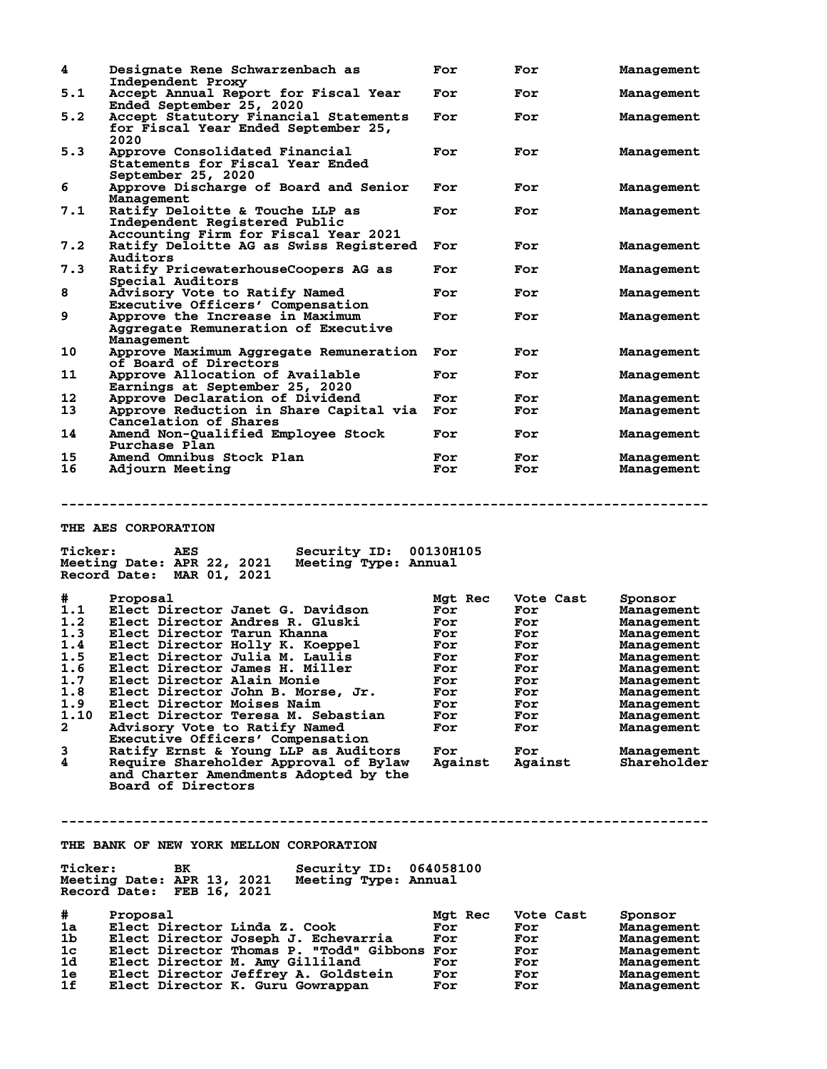| 4   | Designate Rene Schwarzenbach as<br>Independent Proxy                                                     | For | For | Management |
|-----|----------------------------------------------------------------------------------------------------------|-----|-----|------------|
| 5.1 | Accept Annual Report for Fiscal Year<br>Ended September 25, 2020                                         | For | For | Management |
| 5.2 | Accept Statutory Financial Statements<br>for Fiscal Year Ended September 25,<br>2020                     | For | For | Management |
| 5.3 | Approve Consolidated Financial<br>Statements for Fiscal Year Ended<br>September 25, 2020                 | For | For | Management |
| 6   | Approve Discharge of Board and Senior<br>Management                                                      | For | For | Management |
| 7.1 | Ratify Deloitte & Touche LLP as<br>Independent Registered Public<br>Accounting Firm for Fiscal Year 2021 | For | For | Management |
| 7.2 | Ratify Deloitte AG as Swiss Registered<br>Auditors                                                       | For | For | Management |
| 7.3 | Ratify PricewaterhouseCoopers AG as<br>Special Auditors                                                  | For | For | Management |
| 8   | Advisory Vote to Ratify Named<br>Executive Officers' Compensation                                        | For | For | Management |
| 9   | Approve the Increase in Maximum<br>Aggregate Remuneration of Executive<br>Management                     | For | For | Management |
| 10  | Approve Maximum Aggregate Remuneration<br>of Board of Directors                                          | For | For | Management |
| 11  | Approve Allocation of Available<br>Earnings at September 25, 2020                                        | For | For | Management |
| 12  | Approve Declaration of Dividend                                                                          | For | For | Management |
| 13  | Approve Reduction in Share Capital via                                                                   | For | For | Management |
|     | Cancelation of Shares                                                                                    |     |     |            |
| 14  | Amend Non-Qualified Employee Stock<br>Purchase Plan                                                      | For | For | Management |
| 15  | Amend Omnibus Stock Plan                                                                                 | For | For | Management |
| 16  | Adjourn Meeting                                                                                          | For | For | Management |
|     |                                                                                                          |     |     |            |

## **THE AES CORPORATION**

|              | 2021<br>Meeting Date: APR 22,<br>Meeting Type: Annual<br>Record Date:<br>MAR 01, 2021 |                |           |             |
|--------------|---------------------------------------------------------------------------------------|----------------|-----------|-------------|
| #            | Proposal                                                                              | <b>Mat Rec</b> | Vote Cast | Sponsor     |
| 1.1          | Elect Director Janet G. Davidson                                                      | For            | For       | Management  |
| 1.2          | Elect Director Andres R. Gluski                                                       | For            | For       | Management  |
| 1.3          | Elect Director Tarun Khanna                                                           | For            | For       | Management  |
| 1.4          | Elect Director Holly K. Koeppel                                                       | For            | For       | Management  |
| 1.5          | Elect Director Julia M. Laulis                                                        | For            | For       | Management  |
| 1.6          | Elect Director James H. Miller                                                        | For            | For       | Management  |
| 1.7          | Elect Director Alain Monie                                                            | For            | For       | Management  |
| 1.8          | Elect Director John B. Morse, Jr.                                                     | For            | For       | Management  |
| 1.9          | Elect Director Moises Naim                                                            | For            | For       | Management  |
| 1.10         | Elect Director Teresa M. Sebastian                                                    | For            | For       | Management  |
| $\mathbf{2}$ | Advisory Vote to Ratify Named                                                         | For            | For       | Management  |
|              | Executive Officers' Compensation                                                      |                |           |             |
| 3            | Ratify Ernst & Young LLP as Auditors                                                  | For            | For       | Management  |
| 4            | Require Shareholder Approval of Bylaw<br>and Charter Amendments Adopted by the        | Against        | Against   | Shareholder |

**--------------------------------------------------------------------------------**

 **Board of Directors**

**THE BANK OF NEW YORK MELLON CORPORATION**

| <b>Ticker:</b><br>Meeting Date: APR 13, 2021 | BK | Security ID: 064058100<br>Meeting Type: Annual |  |
|----------------------------------------------|----|------------------------------------------------|--|
| Record Date: FEB 16, 2021                    |    |                                                |  |

**Ticker: AES Security ID: 00130H105**

| #              | Proposal                                    | Mgt Rec | Vote Cast | Sponsor    |
|----------------|---------------------------------------------|---------|-----------|------------|
| 1a             | Elect Director Linda Z. Cook                | For     | For       | Management |
| 1b             | Elect Director Joseph J. Echevarria         | For     | For       | Management |
| 1 <sub>c</sub> | Elect Director Thomas P. "Todd" Gibbons For |         | For       | Management |
| 1d             | Elect Director M. Amy Gilliland             | For     | For       | Management |
| 1e             | Elect Director Jeffrey A. Goldstein         | For     | For       | Management |
| 1f             | Elect Director K. Guru Gowrappan            | For     | For       | Management |

**--------------------------------------------------------------------------------**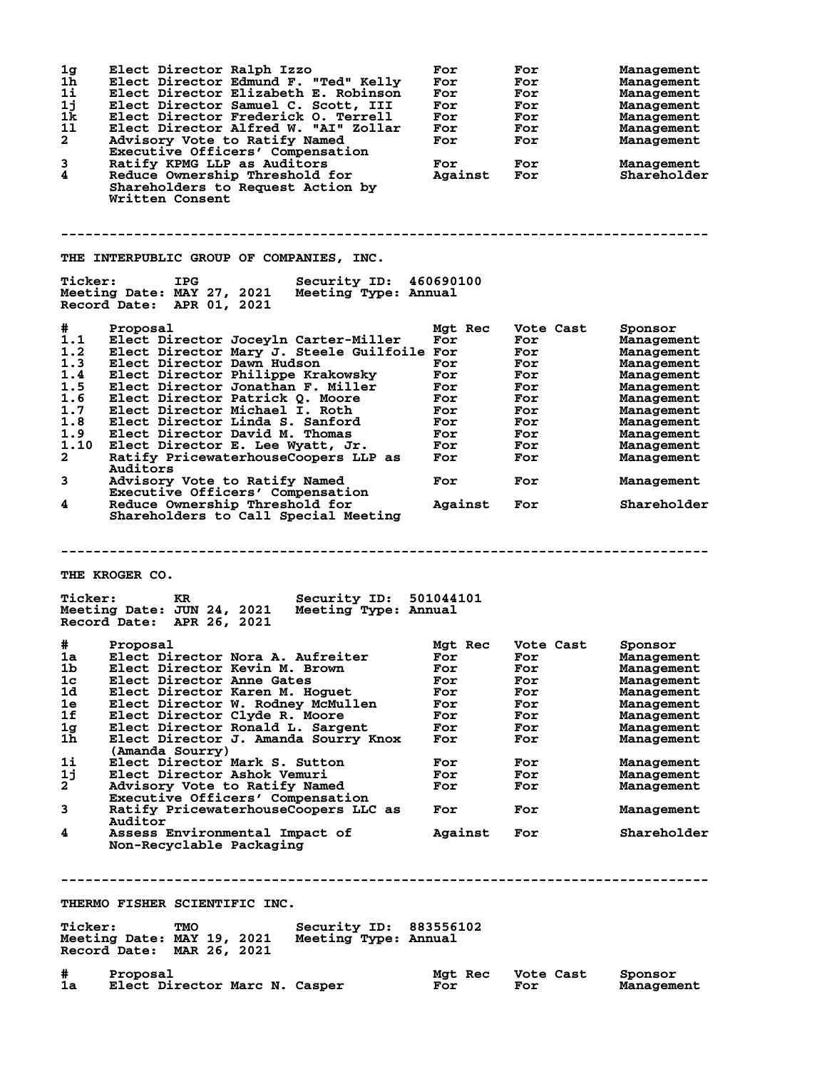| 1 <sub>g</sub><br>1 <sub>h</sub><br>1i<br>1j<br>1 <sub>k</sub><br>11<br>$\mathbf{2}$<br>3 | Elect Director Ralph Izzo<br>Elect Director Edmund F. "Ted" Kelly<br>Elect Director Elizabeth E. Robinson<br>Elect Director Samuel C. Scott, III<br>Elect Director Frederick O. Terrell<br>Elect Director Alfred W. "AI" Zollar<br>Advisory Vote to Ratify Named<br>Executive Officers' Compensation<br>Ratify KPMG LLP as Auditors | For<br>For<br>For<br>For<br>For<br>For<br>For<br>For | For<br>For<br>For<br>For<br>For<br>For<br>For<br>For | Management<br>Management<br>Management<br>Management<br>Management<br>Management<br>Management<br>Management |
|-------------------------------------------------------------------------------------------|-------------------------------------------------------------------------------------------------------------------------------------------------------------------------------------------------------------------------------------------------------------------------------------------------------------------------------------|------------------------------------------------------|------------------------------------------------------|--------------------------------------------------------------------------------------------------------------|
| 4                                                                                         | Reduce Ownership Threshold for<br>Shareholders to Request Action by<br>Written Consent                                                                                                                                                                                                                                              | Against                                              | For                                                  | Shareholder                                                                                                  |
|                                                                                           | THE INTERPUBLIC GROUP OF COMPANIES, INC.                                                                                                                                                                                                                                                                                            |                                                      |                                                      |                                                                                                              |
| <b>Ticker:</b>                                                                            | <b>IPG</b><br>Security ID: 460690100<br>Meeting Date: MAY 27, 2021<br>Meeting Type: Annual<br>Record Date: APR 01, 2021                                                                                                                                                                                                             |                                                      |                                                      |                                                                                                              |
| #                                                                                         | Proposal                                                                                                                                                                                                                                                                                                                            | Mgt Rec                                              | Vote Cast                                            | Sponsor                                                                                                      |
| 1.1<br>1.2                                                                                | Elect Director Joceyln Carter-Miller<br>Elect Director Mary J. Steele Guilfoile For                                                                                                                                                                                                                                                 | For                                                  | For<br>For                                           | Management<br>Management                                                                                     |
| 1.3                                                                                       | Elect Director Dawn Hudson                                                                                                                                                                                                                                                                                                          | For                                                  | For                                                  | Management                                                                                                   |
| 1.4                                                                                       | Elect Director Philippe Krakowsky                                                                                                                                                                                                                                                                                                   | For                                                  | For                                                  | Management                                                                                                   |
| 1.5                                                                                       | Elect Director Jonathan F. Miller                                                                                                                                                                                                                                                                                                   | For                                                  | For                                                  | Management                                                                                                   |
| 1.6<br>1.7                                                                                | Elect Director Patrick Q. Moore<br>Elect Director Michael I. Roth                                                                                                                                                                                                                                                                   | For<br>For                                           | For<br>For                                           | Management<br>Management                                                                                     |
| 1.8                                                                                       | Elect Director Linda S. Sanford                                                                                                                                                                                                                                                                                                     | For                                                  | For                                                  | Management                                                                                                   |
| 1.9                                                                                       | Elect Director David M. Thomas                                                                                                                                                                                                                                                                                                      | For                                                  | For                                                  | Management                                                                                                   |
| 1.10                                                                                      | Elect Director E. Lee Wyatt, Jr.                                                                                                                                                                                                                                                                                                    | For                                                  | For                                                  | Management                                                                                                   |
| $\mathbf{2}$                                                                              | Ratify PricewaterhouseCoopers LLP as<br>Auditors                                                                                                                                                                                                                                                                                    | For                                                  | For                                                  | Management                                                                                                   |
| 3                                                                                         | Advisory Vote to Ratify Named<br>Executive Officers' Compensation                                                                                                                                                                                                                                                                   | For                                                  | For                                                  | Management                                                                                                   |
| 4                                                                                         | Reduce Ownership Threshold for<br>Shareholders to Call Special Meeting                                                                                                                                                                                                                                                              | Against                                              | For                                                  | Shareholder                                                                                                  |
|                                                                                           |                                                                                                                                                                                                                                                                                                                                     |                                                      |                                                      |                                                                                                              |
|                                                                                           | THE KROGER CO.                                                                                                                                                                                                                                                                                                                      |                                                      |                                                      |                                                                                                              |
| <b>Ticker:</b>                                                                            | Security ID: 501044101<br>KR.<br>Meeting Date: JUN 24, 2021<br>Meeting Type: Annual<br>Record Date: APR 26, 2021                                                                                                                                                                                                                    |                                                      |                                                      |                                                                                                              |
| #                                                                                         | Proposal                                                                                                                                                                                                                                                                                                                            | <b>Mat Rec</b>                                       | Vote Cast                                            | Sponsor                                                                                                      |
| 1a                                                                                        | Elect Director Nora A. Aufreiter                                                                                                                                                                                                                                                                                                    | For                                                  | For                                                  | Management                                                                                                   |
| 1 <sub>b</sub><br>1c                                                                      | Elect Director Kevin M. Brown<br>Elect Director Anne Gates                                                                                                                                                                                                                                                                          | For<br>For                                           | For<br>For                                           | Management<br>Management                                                                                     |
| 1d                                                                                        | Elect Director Karen M. Hoguet                                                                                                                                                                                                                                                                                                      | For                                                  | For                                                  | Management                                                                                                   |
| 1e                                                                                        | Elect Director W. Rodney McMullen                                                                                                                                                                                                                                                                                                   | For                                                  | For                                                  | Management                                                                                                   |
| 1f                                                                                        | Elect Director Clyde R. Moore                                                                                                                                                                                                                                                                                                       | For                                                  | For                                                  | Management                                                                                                   |
| 1 <sub>g</sub><br>1h                                                                      | Elect Director Ronald L. Sargent<br>Elect Director J. Amanda Sourry Knox                                                                                                                                                                                                                                                            | For<br>For                                           | For<br>For                                           | Management<br>Management                                                                                     |
| 11                                                                                        | (Amanda Sourry)<br>Elect Director Mark S. Sutton                                                                                                                                                                                                                                                                                    | For                                                  | For                                                  | Management                                                                                                   |
| 1j                                                                                        | Elect Director Ashok Vemuri                                                                                                                                                                                                                                                                                                         | For                                                  | For                                                  | Management                                                                                                   |
| $\mathbf{2}^-$                                                                            | Advisory Vote to Ratify Named                                                                                                                                                                                                                                                                                                       | For                                                  | For                                                  | Management                                                                                                   |
| 3                                                                                         | Executive Officers' Compensation<br>Ratify PricewaterhouseCoopers LLC as<br>Auditor                                                                                                                                                                                                                                                 | For                                                  | For                                                  | Management                                                                                                   |
| 4                                                                                         | Assess Environmental Impact of<br>Non-Recyclable Packaging                                                                                                                                                                                                                                                                          | Against                                              | For                                                  | Shareholder                                                                                                  |
|                                                                                           |                                                                                                                                                                                                                                                                                                                                     |                                                      |                                                      |                                                                                                              |
|                                                                                           | THERMO FISHER SCIENTIFIC INC.                                                                                                                                                                                                                                                                                                       |                                                      |                                                      |                                                                                                              |
| <b>Ticker:</b>                                                                            | Security ID: 883556102<br>TMO<br>Meeting Date: MAY 19, 2021<br>Meeting Type: Annual<br>Record Date: MAR 26, 2021                                                                                                                                                                                                                    |                                                      |                                                      |                                                                                                              |

# Proposal<br>1a Elect Director Marc N. Casper Mgt Rec Vote Cast Sponsor<br>For For Management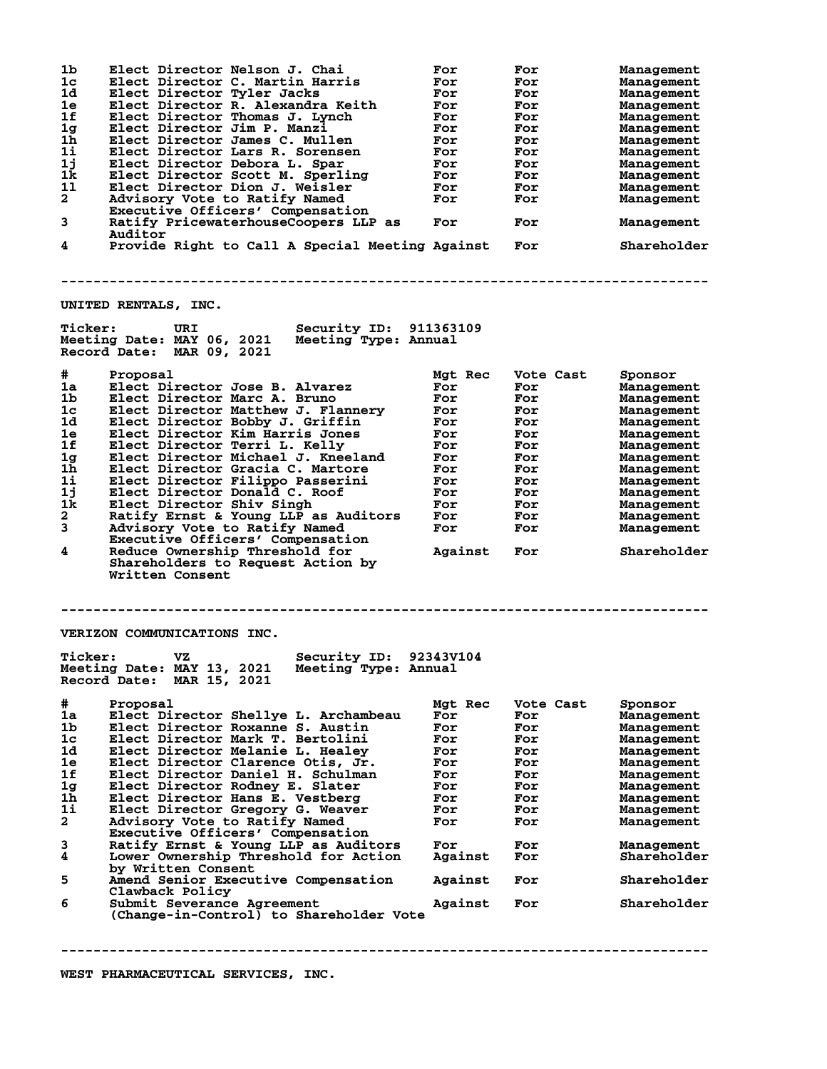| 1b             | Elect Director Nelson J. Chai                   | For     | For       | Management  |
|----------------|-------------------------------------------------|---------|-----------|-------------|
| 1c             | Elect Director C. Martin Harris                 | For     | For       | Management  |
| 1d             | Elect Director Tyler Jacks                      | For     | For       | Management  |
| 1e             | Elect Director R. Alexandra Keith               | For     | For       | Management  |
| 1f             | Elect Director Thomas J. Lynch                  | For     | For       | Management  |
| 1 <sub>g</sub> | Elect Director Jim P. Manzi                     | For     | For       | Management  |
| 1h             | Elect Director James C. Mullen                  | For     | For       | Management  |
| 11             | Elect Director Lars R. Sorensen                 | For     | For       | Management  |
| 1j             | Elect Director Debora L. Spar                   | For     | For       | Management  |
| 1k             |                                                 |         | For       |             |
|                | Elect Director Scott M. Sperling                | For     |           | Management  |
| 11             | Elect Director Dion J. Weisler                  | For     | For       | Management  |
| $\mathbf{2}$   | Advisory Vote to Ratify Named                   | For     | For       | Management  |
|                | Executive Officers' Compensation                |         |           |             |
| 3              | Ratify PricewaterhouseCoopers LLP as            | For     | For       | Management  |
|                | Auditor                                         |         |           |             |
| 4              | Provide Right to Call A Special Meeting Against |         | For       | Shareholder |
|                |                                                 |         |           |             |
|                |                                                 |         |           |             |
|                |                                                 |         |           |             |
|                |                                                 |         |           |             |
|                | UNITED RENTALS, INC.                            |         |           |             |
|                |                                                 |         |           |             |
| <b>Ticker:</b> | <b>Security ID: 911363109</b><br>URI            |         |           |             |
|                |                                                 |         |           |             |
|                | Meeting Date: MAY 06, 2021 Meeting Type: Annual |         |           |             |
|                | Record Date: MAR 09, 2021                       |         |           |             |
|                |                                                 |         |           |             |
| #.             | Proposal                                        | Mgt Rec | Vote Cast | Sponsor     |
| 1a             | Elect Director Jose B. Alvarez                  | For     | For       | Management  |
| 1b             | Elect Director Marc A. Bruno                    | For     | For       | Management  |
| 1c             | Elect Director Matthew J. Flannery              | For     | For       | Management  |
| 1d             | Elect Director Bobby J. Griffin                 | For     | For       | Management  |
| 1e             | Elect Director Kim Harris Jones                 | For     | For       | Management  |
| 1f             | Elect Director Terri L. Kelly                   | For     | For       | Management  |
| 1 <sub>g</sub> | Elect Director Michael J. Kneeland              | For     | For       | Management  |
|                |                                                 |         |           |             |
| 1 <sub>h</sub> | Elect Director Gracia C. Martore                | For     | For       | Management  |
| 1i             | Elect Director Filippo Passerini                | For     | For       | Management  |
| 11             | Elect Director Donald C. Roof                   | For     | For       | Management  |
| 1k             | Elect Director Shiv Singh                       | For     | For       | Management  |
|                |                                                 |         |           |             |
| $\mathbf{2}$   | Ratify Ernst & Young LLP as Auditors            | For     | For       | Management  |
|                |                                                 | For     | For       |             |
| 3              | Advisory Vote to Ratify Named                   |         |           | Management  |
|                | Executive Officers' Compensation                |         |           |             |
| 4              | Reduce Ownership Threshold for                  | Against | For       | Shareholder |
|                | Shareholders to Request Action by               |         |           |             |
|                | Written Consent                                 |         |           |             |
|                |                                                 |         |           |             |
|                |                                                 |         |           |             |
|                |                                                 |         |           |             |
|                |                                                 |         |           |             |
|                | VERIZON COMMUNICATIONS INC.                     |         |           |             |
|                |                                                 |         |           |             |
| <b>Ticker:</b> | Security ID: 92343V104<br>VZ.                   |         |           |             |
|                |                                                 |         |           |             |
|                | Meeting Date: MAY 13, 2021 Meeting Type: Annual |         |           |             |
|                | Record Date: MAR 15, 2021                       |         |           |             |
|                |                                                 |         |           |             |
| #              | Proposal                                        | Mgt Rec | Vote Cast | Sponsor     |
| 1a             | Elect Director Shellye L. Archambeau            | For     | For       | Management  |
| 1 <sub>b</sub> | Elect Director Roxanne S. Austin                | For     | For       | Management  |
| 1c             | Elect Director Mark T. Bertolini                | For     | For       | Management  |
| 1d             | Elect Director Melanie L. Healey                | For     | For       | Management  |
| 1e             | Elect Director Clarence Otis, Jr.               | For     | For       | Management  |
| 1f             | Elect Director Daniel H. Schulman               | For     | For       | Management  |
| 1g             | Elect Director Rodney E. Slater                 | For     | For       | Management  |
| 1 <sub>h</sub> | Elect Director Hans E. Vestberg                 | For     | For       | Management  |
| 11             |                                                 | For     | For       | Management  |
|                | Elect Director Gregory G. Weaver                |         |           |             |
| $\mathbf{2}$   | Advisory Vote to Ratify Named                   | For     | For       | Management  |
|                | Executive Officers' Compensation                |         |           |             |
| 3              | Ratify Ernst & Young LLP as Auditors            | For     | For       | Management  |
| 4              | Lower Ownership Threshold for Action            | Against | For       | Shareholder |
|                | by Written Consent                              |         |           |             |
| 5              | Amend Senior Executive Compensation             | Against | For       | Shareholder |
|                | Clawback Policy                                 |         |           |             |
| 6              | Submit Severance Agreement                      | Against | For       | Shareholder |
|                | (Change-in-Control) to Shareholder Vote         |         |           |             |
|                |                                                 |         |           |             |
|                |                                                 |         |           |             |
|                | -------------------------------------           |         |           |             |
|                |                                                 |         |           |             |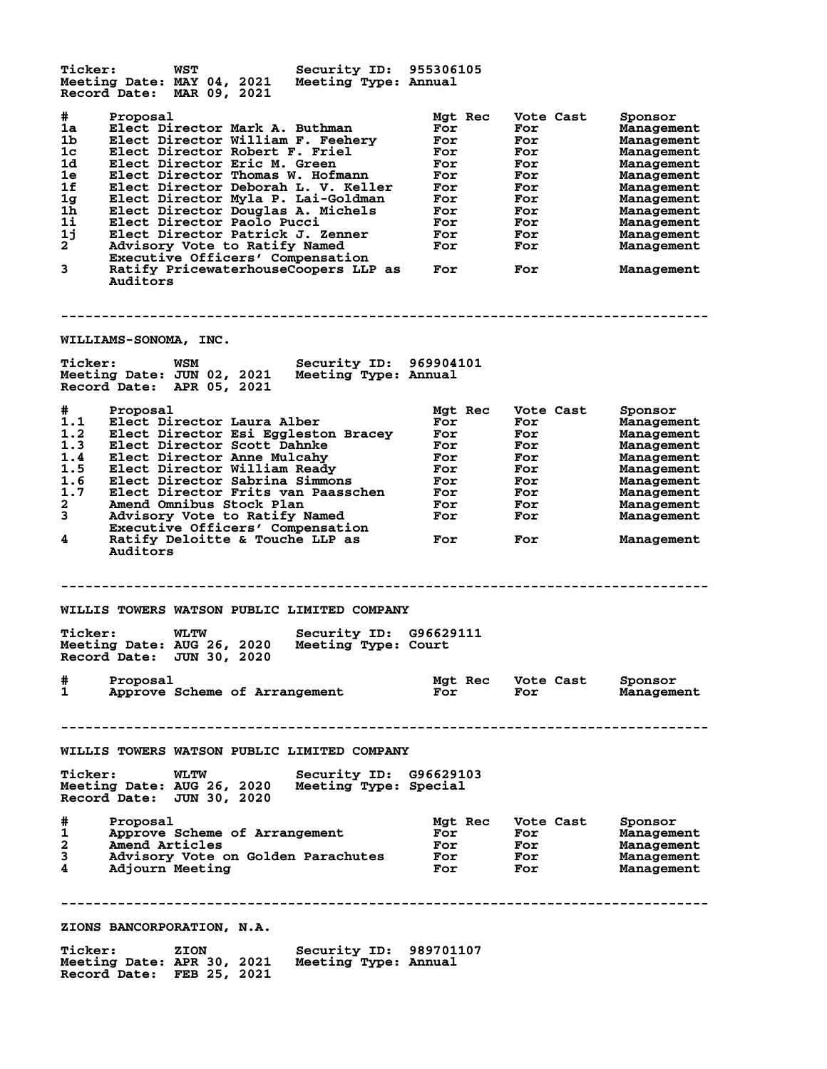**Ticker: WST Security ID: 955306105 Meeting Date: MAY 04, 2021 Meeting Type: Annual Record Date: MAR 09, 2021 # Proposal Mgt Rec Vote Cast Sponsor 1a Elect Director Mark A. Buthman For For Management 1b Elect Director William F. Feehery For For Management 1c Elect Director Robert F. Friel For For Management 1d Elect Director Eric M. Green For For Management 1e Elect Director Thomas W. Hofmann For For Management 1f Elect Director Deborah L. V. Keller For For Management 1g Elect Director Myla P. Lai-Goldman For For Management 1h Elect Director Douglas A. Michels For For Management 1i Elect Director Paolo Pucci For For Management 1j Elect Director Patrick J. Zenner For For Management 2 Advisory Vote to Ratify Named For For Management Executive Officers' Compensation 3 Ratify PricewaterhouseCoopers LLP as For For Management Auditors -------------------------------------------------------------------------------- WILLIAMS-SONOMA, INC. Ticker: WSM Security ID: 969904101 Meeting Date: JUN 02, 2021 Meeting Type: Annual Record Date: APR 05, 2021 # Proposal Mgt Rec Vote Cast Sponsor 1.1 Elect Director Laura Alber For For Management 1.2 Elect Director Esi Eggleston Bracey For For Management 1.3 Elect Director Scott Dahnke For For Management 1.4 Elect Director Anne Mulcahy For For Management 1.5 Elect Director William Ready For For Management 1.6 Elect Director Sabrina Simmons For For Management 1.7 Elect Director Frits van Paasschen For For Management 2 Amend Omnibus Stock Plan For For Management 3 Advisory Vote to Ratify Named For For Management Executive Officers' Compensation 4 Ratify Deloitte & Touche LLP as For For Management Auditors -------------------------------------------------------------------------------- WILLIS TOWERS WATSON PUBLIC LIMITED COMPANY Ticker: WLTW Security ID: G96629111 Meeting Date: AUG 26, 2020 Meeting Type: Court Record Date: JUN 30, 2020 # Proposal Mgt Rec Vote Cast Sponsor 1 Approve Scheme of Arrangement For For Management -------------------------------------------------------------------------------- WILLIS TOWERS WATSON PUBLIC LIMITED COMPANY Ticker: WLTW Security ID: G96629103 Meeting Date: AUG 26, 2020 Meeting Type: Special Record Date: JUN 30, 2020 # Proposal Mgt Rec Vote Cast Sponsor 1 Approve Scheme of Arrangement For For Management 2 Amend Articles For For Management 3 Advisory Vote on Golden Parachutes For For Management 4 Adjourn Meeting For For Management -------------------------------------------------------------------------------- ZIONS BANCORPORATION, N.A. Ticker: ZION Security ID: 989701107**<br>Meeting Date: APR 30, 2021 Meeting Type: Annual<br>Reserve Price: FFB 35, 2021 **Meeting Date: APR 30, 2021 Meeting Type: Annual Record Date: FEB 25, 2021**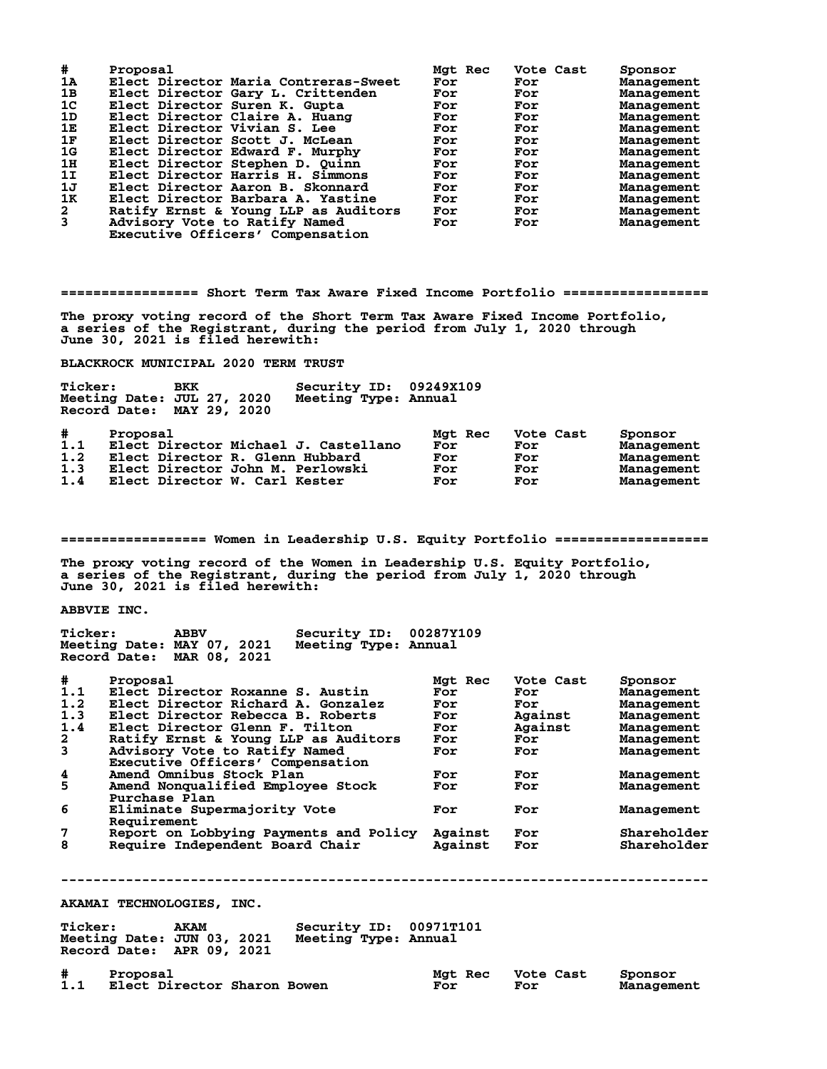| #              | Proposal                             | Mgt Rec | Vote Cast | Sponsor    |
|----------------|--------------------------------------|---------|-----------|------------|
| 1A             | Elect Director Maria Contreras-Sweet | For     | For       | Management |
| 1B             | Elect Director Gary L. Crittenden    | For     | For       | Management |
| 1 <sup>c</sup> | Elect Director Suren K. Gupta        | For     | For       | Management |
| 1D             | Elect Director Claire A. Huang       | For     | For       | Management |
| 1Е             | Elect Director Vivian S. Lee         | For     | For       | Management |
| 1F             | Elect Director Scott J. McLean       | For     | For       | Management |
| 1G             | Elect Director Edward F. Murphy      | For     | For       | Management |
| 1H             | Elect Director Stephen D. Quinn      | For     | For       | Management |
| 1I             | Elect Director Harris H. Simmons     | For     | For       | Management |
| 1J             | Elect Director Aaron B. Skonnard     | For     | For       | Management |
| 1K             | Elect Director Barbara A. Yastine    | For     | For       | Management |
| $\mathbf{2}$   | Ratify Ernst & Young LLP as Auditors | For     | For       | Management |
| 3              | Advisory Vote to Ratify Named        | For     | For       | Management |
|                | Executive Officers' Compensation     |         |           |            |

**================= Short Term Tax Aware Fixed Income Portfolio ==================**

**The proxy voting record of the Short Term Tax Aware Fixed Income Portfolio, a series of the Registrant, during the period from July 1, 2020 through June 30, 2021 is filed herewith:**

**BLACKROCK MUNICIPAL 2020 TERM TRUST**

| Ticker:                       | Meeting Date: JUL 27, 2020<br>Record Date: MAY 29, 2020 | BKK | Security ID:<br>Meeting Type: Annual                                                                        | 09249X109                           |                                       |                                                                 |
|-------------------------------|---------------------------------------------------------|-----|-------------------------------------------------------------------------------------------------------------|-------------------------------------|---------------------------------------|-----------------------------------------------------------------|
| #<br>1.1<br>1.2<br>1.3<br>1.4 | Proposal<br>Elect Director W. Carl Kester               |     | Elect Director Michael J. Castellano<br>Elect Director R. Glenn Hubbard<br>Elect Director John M. Perlowski | Mgt Rec<br>For<br>For<br>For<br>For | Vote Cast<br>For<br>For<br>For<br>For | Sponsor<br>Management<br>Management<br>Management<br>Management |

**================== Women in Leadership U.S. Equity Portfolio ===================**

**The proxy voting record of the Women in Leadership U.S. Equity Portfolio, a series of the Registrant, during the period from July 1, 2020 through June 30, 2021 is filed herewith:**

**ABBVIE INC.**

| <b>Ticker:</b>             | <b>ABBV</b> | Security ID: 00287Y109 |  |
|----------------------------|-------------|------------------------|--|
| Meeting Date: MAY 07, 2021 |             | Meeting Type: Annual   |  |
| Record Date: MAR 08, 2021  |             |                        |  |

| #              | Proposal                               | Mgt Rec | Vote Cast | Sponsor     |
|----------------|----------------------------------------|---------|-----------|-------------|
| 1.1            | Elect Director Roxanne S. Austin       | For     | For       | Management  |
| 1.2            | Elect Director Richard A. Gonzalez     | For     | For       | Management  |
| 1.3            | Elect Director Rebecca B. Roberts      | For     | Against   | Management  |
| 1.4            | Elect Director Glenn F. Tilton         | For     | Against   | Management  |
| $\mathbf{2}$   | Ratify Ernst & Young LLP as Auditors   | For     | For       | Management  |
| $\overline{3}$ | Advisory Vote to Ratify Named          | For     | For       | Management  |
|                | Executive Officers' Compensation       |         |           |             |
| 4              | Amend Omnibus Stock Plan               | For     | For       | Management  |
| 5              | Amend Nonqualified Employee Stock      | For     | For       | Management  |
|                | Purchase Plan                          |         |           |             |
| 6              | Eliminate Supermajority Vote           | For     | For       | Management  |
|                | Requirement                            |         |           |             |
| 7              | Report on Lobbying Payments and Policy | Against | For       | Shareholder |
| 8              | Require Independent Board Chair        | Against | For       | Shareholder |

**--------------------------------------------------------------------------------**

**AKAMAI TECHNOLOGIES, INC.**

| Ticker:<br>Meeting Date: JUN 03, 2021<br>Record Date: APR 09, 2021 | AKAM | Security ID: 00971T101<br>Meeting Type: Annual |  |
|--------------------------------------------------------------------|------|------------------------------------------------|--|
| .                                                                  |      |                                                |  |

**# Proposal Mgt Rec Vote Cast Sponsor Elect Director Sharon Bowen**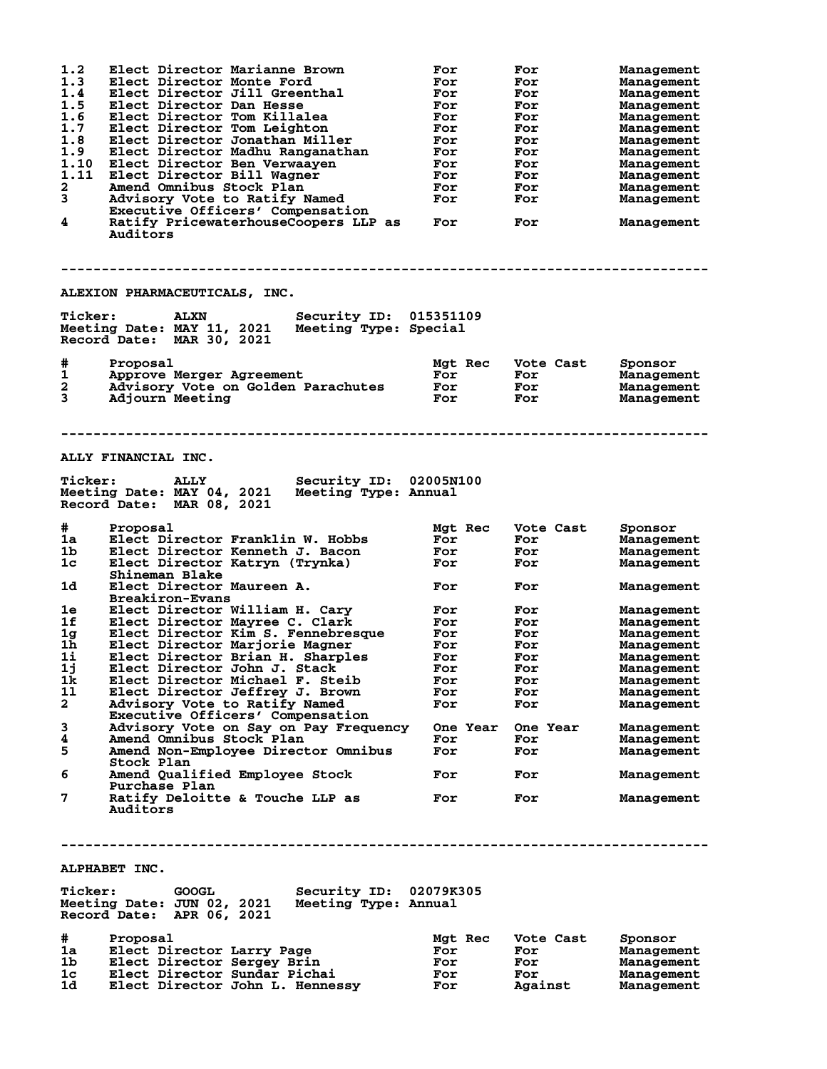|                | Elect Director Marianne Brown                                                                                                                              |                | For               | Management               |
|----------------|------------------------------------------------------------------------------------------------------------------------------------------------------------|----------------|-------------------|--------------------------|
| 1.2<br>1.3     |                                                                                                                                                            | For            |                   |                          |
|                | Elect Director Monte Ford                                                                                                                                  | For            | For               | Management               |
| 1.4            | Elect Director Jill Greenthal                                                                                                                              | For            | For               | Management               |
| 1.5            | Elect Director Dan Hesse                                                                                                                                   | For            | For               | Management               |
| 1.6            | Elect Director Tom Killalea                                                                                                                                | For            | For               | Management               |
| 1.7            |                                                                                                                                                            |                |                   |                          |
|                | Elect Director Tom Leighton                                                                                                                                | For            | For               | Management               |
| 1.8            | Elect Director Jonathan Miller                                                                                                                             | For            | For               | Management               |
| 1.9            | Elect Director Madhu Ranganathan                                                                                                                           | For            | For               | Management               |
| 1.10           |                                                                                                                                                            | For            | For               |                          |
|                | Elect Director Ben Verwaayen                                                                                                                               |                |                   | Management               |
| 1.11           | Elect Director Bill Wagner                                                                                                                                 | For            | For               | Management               |
| $\mathbf{2}$   | Amend Omnibus Stock Plan                                                                                                                                   | For            | For               | Management               |
| 3              | Advisory Vote to Ratify Named                                                                                                                              | For            | For               | Management               |
|                |                                                                                                                                                            |                |                   |                          |
|                | Executive Officers' Compensation                                                                                                                           |                |                   |                          |
| 4              | Ratify PricewaterhouseCoopers LLP as<br>Auditors                                                                                                           | For            | For               | Management               |
| <b>Ticker:</b> | ALEXION PHARMACEUTICALS, INC.<br>Security ID: 015351109<br><b>ALXN</b><br>Meeting Date: MAY 11, 2021<br>Meeting Type: Special<br>Record Date: MAR 30, 2021 |                |                   |                          |
|                |                                                                                                                                                            |                |                   |                          |
|                |                                                                                                                                                            |                |                   |                          |
| #              | Proposal                                                                                                                                                   | <b>Mat Rec</b> | Vote Cast         | Sponsor                  |
| 1              | Approve Merger Agreement                                                                                                                                   | For            | For               | Management               |
| 2              | Advisory Vote on Golden Parachutes                                                                                                                         | For            | For               | Management               |
| 3              |                                                                                                                                                            |                |                   |                          |
|                | Adjourn Meeting                                                                                                                                            | For            | For               | Management               |
|                |                                                                                                                                                            |                |                   |                          |
|                | ALLY FINANCIAL INC.                                                                                                                                        |                |                   |                          |
| <b>Ticker:</b> | Security ID: 02005N100<br><b>ALLY</b>                                                                                                                      |                |                   |                          |
|                | Meeting Date: MAY 04, 2021<br>Meeting Type: Annual                                                                                                         |                |                   |                          |
|                |                                                                                                                                                            |                |                   |                          |
|                | Record Date: MAR 08, 2021                                                                                                                                  |                |                   |                          |
|                |                                                                                                                                                            |                |                   |                          |
|                |                                                                                                                                                            |                |                   |                          |
| #              | Proposal                                                                                                                                                   | Mgt Rec        | Vote Cast         | Sponsor                  |
| 1a             | Elect Director Franklin W. Hobbs                                                                                                                           | For            | For               | Management               |
| 1b             |                                                                                                                                                            |                |                   |                          |
|                | Elect Director Kenneth J. Bacon                                                                                                                            | For            | For               | Management               |
| 1 <sub>c</sub> | Elect Director Katryn (Trynka)                                                                                                                             | For            | For               | Management               |
|                | Shineman Blake                                                                                                                                             |                |                   |                          |
|                |                                                                                                                                                            |                |                   |                          |
| 1d             | Elect Director Maureen A.                                                                                                                                  | For            | For               | Management               |
|                | <b>Breakiron-Evans</b>                                                                                                                                     |                |                   |                          |
| 1e             |                                                                                                                                                            |                |                   |                          |
|                |                                                                                                                                                            |                |                   |                          |
|                | Elect Director William H. Cary                                                                                                                             | For            | For               | Management               |
| 1f             | Elect Director Mayree C. Clark                                                                                                                             | For            | For               | Management               |
| 1 <sub>g</sub> | Elect Director Kim S. Fennebresque                                                                                                                         | For            | For               | Management               |
|                |                                                                                                                                                            |                |                   |                          |
| 1 <sub>h</sub> | Elect Director Marjorie Magner                                                                                                                             | For            | For               | Management               |
| 1i             | Elect Director Brian H. Sharples                                                                                                                           | For            | For               | Management               |
| 1j             | Elect Director John J. Stack                                                                                                                               | For            | For               | Management               |
| 1k             | Elect Director Michael F. Steib                                                                                                                            | For            | For               | Management               |
|                |                                                                                                                                                            |                |                   |                          |
| 11             | Elect Director Jeffrey J. Brown                                                                                                                            | For            | For               | Management               |
| $\mathbf{2}$   | Advisory Vote to Ratify Named                                                                                                                              | For            | For               | Management               |
|                | Executive Officers' Compensation                                                                                                                           |                |                   |                          |
|                |                                                                                                                                                            |                |                   |                          |
| 3              | Advisory Vote on Say on Pay Frequency                                                                                                                      |                | One Year One Year | Management               |
| 4              | Amend Omnibus Stock Plan                                                                                                                                   | For            | For               | Management               |
| 5              | Amend Non-Employee Director Omnibus                                                                                                                        | For            | For               | Management               |
|                | Stock Plan                                                                                                                                                 |                |                   |                          |
|                |                                                                                                                                                            |                |                   |                          |
| 6              | Amend Qualified Employee Stock                                                                                                                             | For            | For               | Management               |
|                | Purchase Plan                                                                                                                                              |                |                   |                          |
| 7              | Ratify Deloitte & Touche LLP as                                                                                                                            | For            | For               | Management               |
|                | Auditors<br>ALPHABET INC.                                                                                                                                  |                |                   |                          |
|                |                                                                                                                                                            |                |                   |                          |
| <b>Ticker:</b> | Security ID: 02079K305<br>GOOGL                                                                                                                            |                |                   |                          |
|                | Meeting Date: JUN 02, 2021 Meeting Type: Annual                                                                                                            |                |                   |                          |
|                | Record Date: APR 06, 2021                                                                                                                                  |                |                   |                          |
|                |                                                                                                                                                            |                |                   |                          |
|                |                                                                                                                                                            |                |                   |                          |
| #              | Proposal                                                                                                                                                   | Mgt Rec        | Vote Cast         | Sponsor                  |
| 1a -           | Elect Director Larry Page                                                                                                                                  | For            | For               | Management               |
| 1b -<br>1c     | Elect Director Sergey Brin<br>Elect Director Sundar Pichai                                                                                                 | For<br>For     | For<br>For        | Management<br>Management |

**1d Elect Director John L. Hennessy For Against Management**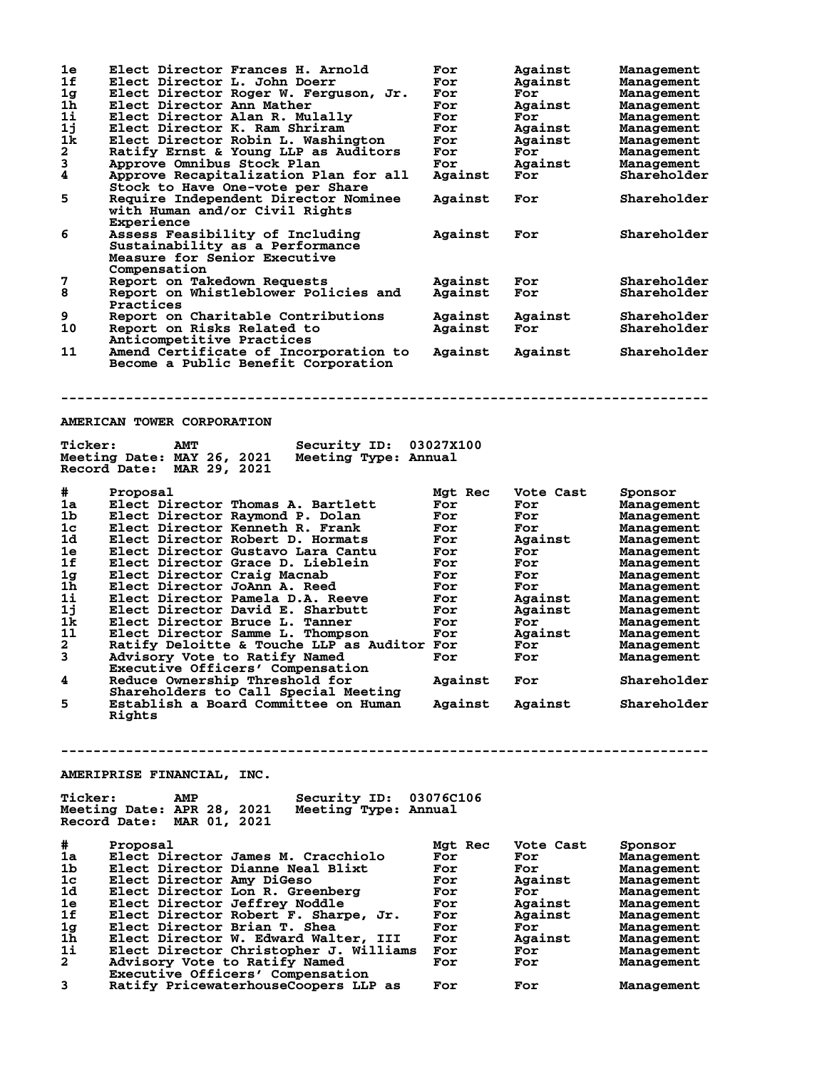| 1e                 | Elect Director Frances H. Arnold                                        | For              | Against        | Management               |
|--------------------|-------------------------------------------------------------------------|------------------|----------------|--------------------------|
| 1f                 | Elect Director L. John Doerr                                            | For              | Against        | Management               |
| 1 <sub>g</sub>     | Elect Director Roger W. Ferguson, Jr.                                   | For              | For            | Management               |
| 1h                 | Elect Director Ann Mather                                               | For              | Against        | Management               |
| 1i                 | Elect Director Alan R. Mulally                                          | For              | For            | Management               |
| 1j                 | Elect Director K. Ram Shriram                                           | For              | Against        | Management               |
| 1k                 | Elect Director Robin L. Washington                                      | For              | Against        | Management               |
| $\mathbf{2}$       | Ratify Ernst & Young LLP as Auditors                                    | For              | For            | Management               |
| 3                  | Approve Omnibus Stock Plan                                              | For              | Against        | Management               |
| 4                  | Approve Recapitalization Plan for all                                   | Against          | For            | Shareholder              |
|                    | Stock to Have One-vote per Share                                        |                  |                |                          |
| 5                  | <b>Require Independent Director Nominee</b>                             | Against          | For            | Shareholder              |
|                    | with Human and/or Civil Rights                                          |                  |                |                          |
|                    | Experience                                                              |                  |                |                          |
| 6                  | Assess Feasibility of Including                                         | Against          | For            | Shareholder              |
|                    | Sustainability as a Performance                                         |                  |                |                          |
|                    | Measure for Senior Executive                                            |                  |                |                          |
|                    | Compensation                                                            |                  |                |                          |
| 7                  | Report on Takedown Requests                                             | Against          | For            | Shareholder              |
| 8                  | Report on Whistleblower Policies and                                    | Against          | For            | Shareholder              |
|                    | Practices                                                               |                  |                |                          |
| 9                  | Report on Charitable Contributions                                      | Against          | Against        | Shareholder              |
| 10                 | Report on Risks Related to                                              | Against          | For            | Shareholder              |
|                    | Anticompetitive Practices                                               |                  |                |                          |
| 11                 | Amend Certificate of Incorporation to                                   | Against          | Against        | Shareholder              |
|                    | Become a Public Benefit Corporation                                     |                  |                |                          |
|                    |                                                                         |                  |                |                          |
|                    |                                                                         |                  |                |                          |
|                    |                                                                         |                  |                |                          |
|                    |                                                                         |                  |                |                          |
|                    | AMERICAN TOWER CORPORATION                                              |                  |                |                          |
|                    |                                                                         |                  |                |                          |
| <b>Ticker:</b>     | <b>AMT</b><br>Security ID:                                              | <b>03027X100</b> |                |                          |
|                    | Meeting Date: MAY 26, 2021<br>Meeting Type: Annual                      |                  |                |                          |
|                    | Record Date: MAR 29, 2021                                               |                  |                |                          |
|                    |                                                                         |                  |                |                          |
| #                  | Proposal                                                                | Mgt Rec          | Vote Cast      | Sponsor                  |
| 1a                 | Elect Director Thomas A. Bartlett                                       | For              | For            | Management               |
|                    |                                                                         |                  |                |                          |
| 1b                 | Elect Director Raymond P. Dolan                                         | For              | For            | Management               |
| 1 <sub>c</sub>     | Elect Director Kenneth R. Frank                                         | For              | For            | Management               |
| 1d                 | Elect Director Robert D. Hormats                                        | For              | Against        | Management               |
| 1e                 | Elect Director Gustavo Lara Cantu                                       | For              | For            | Management               |
| 1f                 | Elect Director Grace D. Lieblein                                        | For              | For            | Management               |
| 1 <sub>g</sub>     | Elect Director Craig Macnab                                             | For              | For            | Management               |
| 1h                 | Elect Director JoAnn A. Reed                                            | For              | For            | Management               |
| 1i                 | Elect Director Pamela D.A. Reeve                                        | For              | Against        | Management               |
| 1j                 | Elect Director David E. Sharbutt                                        | For              | Against        | Management               |
| 1k                 |                                                                         | For              | For            |                          |
| 11                 | Elect Director Bruce L. Tanner                                          | For              |                | Management               |
|                    | Elect Director Samme L. Thompson                                        |                  | Against        | Management               |
| $\mathbf{2}$       | Ratify Deloitte & Touche LLP as Auditor For                             |                  | For            | Management               |
| 3                  | Advisory Vote to Ratify Named                                           | For              | For            | Management               |
| 4                  | Executive Officers' Compensation<br>Reduce Ownership Threshold for      | Against          | For            | Shareholder              |
|                    | Shareholders to Call Special Meeting                                    |                  |                |                          |
| 5                  | Establish a Board Committee on Human                                    |                  |                | Shareholder              |
|                    | Rights                                                                  | Against          | Against        |                          |
|                    |                                                                         |                  |                |                          |
|                    |                                                                         |                  |                |                          |
|                    |                                                                         |                  |                |                          |
|                    |                                                                         |                  |                |                          |
|                    | AMERIPRISE FINANCIAL, INC.                                              |                  |                |                          |
|                    |                                                                         |                  |                |                          |
| <b>Ticker:</b>     | Security ID: 03076C106<br>AMP                                           |                  |                |                          |
|                    | Meeting Date: APR 28, 2021<br>Meeting Type: Annual                      |                  |                |                          |
|                    | Record Date: MAR 01, 2021                                               |                  |                |                          |
|                    |                                                                         |                  |                |                          |
| #                  | Proposal                                                                | Mgt Rec          | Vote Cast      | Sponsor                  |
| 1a                 | Elect Director James M. Cracchiolo                                      | For              | For            | Management               |
| 1b                 | Elect Director Dianne Neal Blixt                                        | For              | For            | Management               |
| 1c                 |                                                                         | For              |                |                          |
| 1d                 | Elect Director Amy DiGeso                                               | For              | Against<br>For | Management               |
| 1e                 | Elect Director Lon R. Greenberg                                         |                  |                | Management               |
|                    | Elect Director Jeffrey Noddle                                           | For              | Against        | Management               |
| 1f                 | Elect Director Robert F. Sharpe, Jr.                                    | For              | Against        | Management               |
| 1 <sub>g</sub>     | Elect Director Brian T. Shea                                            | For              | For            | Management               |
| 1h                 | Elect Director W. Edward Walter, III                                    | For              | Against        | Management               |
| 1i<br>$\mathbf{2}$ | Elect Director Christopher J. Williams<br>Advisory Vote to Ratify Named | For<br>For       | For<br>For     | Management<br>Management |

**3 Ratify PricewaterhouseCoopers LLP as For For Management**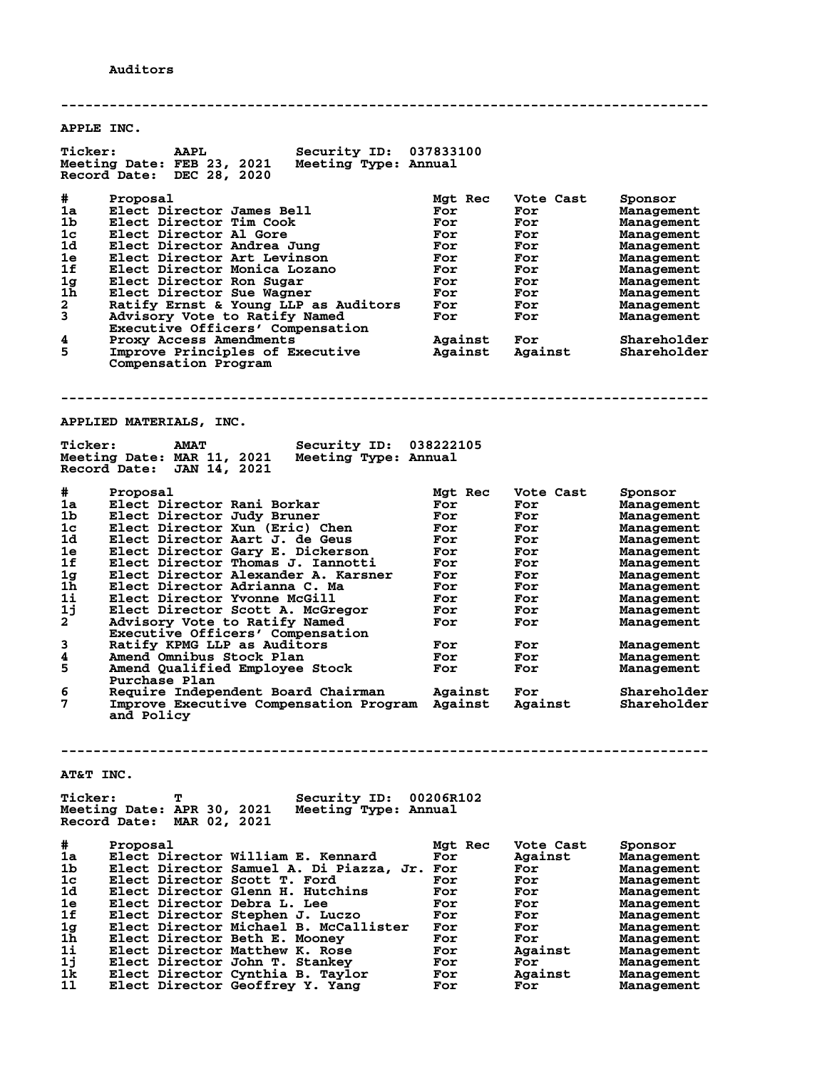**-------------------------------------------------------------------------------- APPLE INC. Ticker: AAPL Security ID: 037833100 Meeting Date: FEB 23, 2021 Meeting Type: Annual Record Date: DEC 28, 2020 # Proposal Mgt Rec Vote Cast Sponsor 1a Elect Director James Bell For For Management 1b Elect Director Tim Cook For For Management 1c Elect Director Al Gore For For Management 1d Elect Director Andrea Jung For For Management 1e Elect Director Art Levinson For For Management 1f Elect Director Monica Lozano For For Management 1g Elect Director Ron Sugar For For Management 1h Elect Director Sue Wagner For For Management 2 Ratify Ernst & Young LLP as Auditors For For Management 3 Advisory Vote to Ratify Named For For Management Executive Officers' Compensation 4 Proxy Access Amendments Against For Shareholder 5 Improve Principles of Executive Against Against Shareholder Compensation Program -------------------------------------------------------------------------------- APPLIED MATERIALS, INC. Ticker: AMAT Security ID: 038222105 Meeting Date: MAR 11, 2021 Meeting Type: Annual** Meeting Date: MAR 11, 2021<br>Record Date: JAN 14, 2021 **# Proposal Mgt Rec Vote Cast Sponsor 1a Elect Director Rani Borkar For For Management 1b Elect Director Judy Bruner For For Management 1c Elect Director Xun (Eric) Chen For For Management 1d Elect Director Aart J. de Geus For For Management 1e Elect Director Gary E. Dickerson For For Management 1f Elect Director Thomas J. Iannotti For For Management 1g Elect Director Alexander A. Karsner For For Management 1h Elect Director Adrianna C. Ma For For Management 1i Elect Director Yvonne McGill For For Management 1j Elect Director Scott A. McGregor For For Management 2 Advisory Vote to Ratify Named For For Management Executive Officers' Compensation 3 Ratify KPMG LLP as Auditors For For Management 4 Amend Omnibus Stock Plan For For Management 5 Amend Qualified Employee Stock For For Management Purchase Plan 6 Require Independent Board Chairman Against For Shareholder 7 Improve Executive Compensation Program Against Against Shareholder and Policy -------------------------------------------------------------------------------- AT&T INC. Ticker: T Security ID: 00206R102 Meeting Date: APR 30, 2021 Meeting Type: Annual Record Date: MAR 02, 2021 # Proposal Mgt Rec Vote Cast Sponsor 1a Elect Director William E. Kennard For Against Management 1b Elect Director Samuel A. Di Piazza, Jr. For For Management 1c Elect Director Scott T. Ford For For Management 1d Elect Director Glenn H. Hutchins For For Management 1e Elect Director Debra L. Lee For For Management 1f Elect Director Stephen J. Luczo For For Management 1g Elect Director Michael B. McCallister For For Management 1h Elect Director Beth E. Mooney For For Management 1i Elect Director Matthew K. Rose For Against Management 1j Elect Director John T. Stankey For For Management 1k Elect Director Cynthia B. Taylor For Against Management 1l Elect Director Geoffrey Y. Yang For For Management**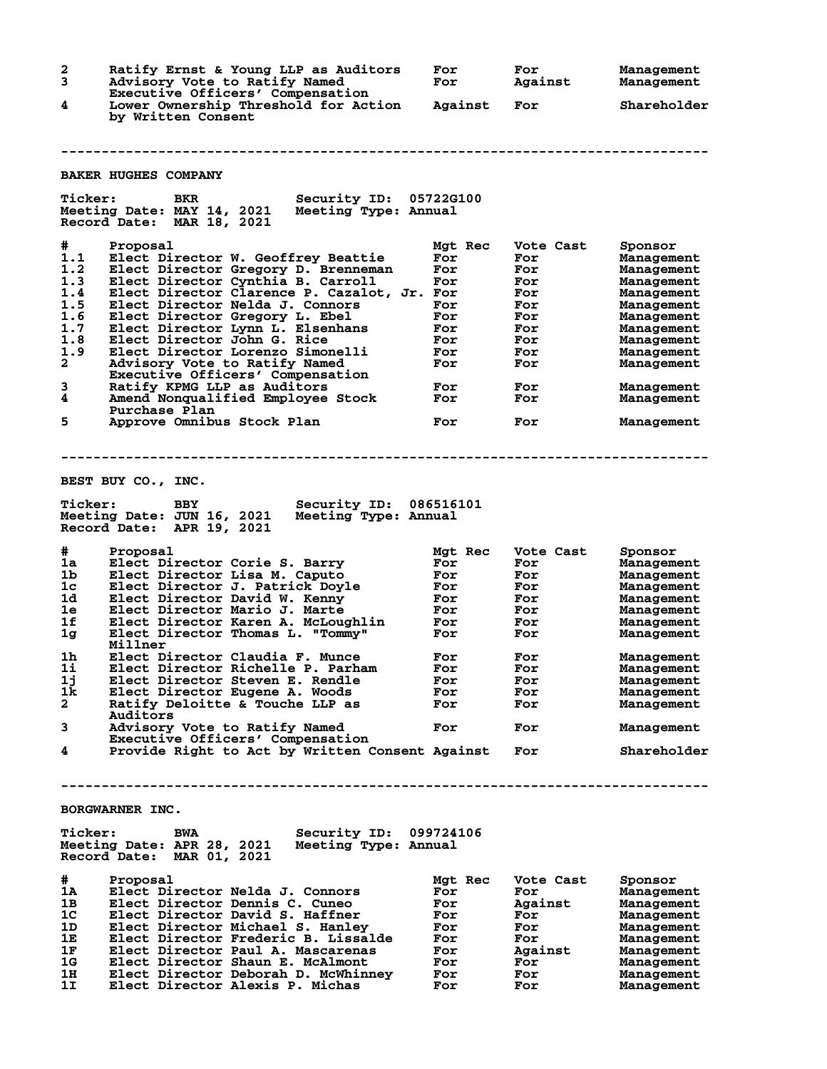**2 Ratify Ernst & Young LLP as Auditors For For Management 3 Advisory Vote to Ratify Named For Against Management Executive Officers' Compensation 4 Lower Ownership Threshold for Action Against For Shareholder by Written Consent -------------------------------------------------------------------------------- BAKER HUGHES COMPANY Ticker: BKR Security ID: 05722G100 Meeting Date: MAY 14, 2021 Meeting Type: Annual Record Date: MAR 18, 2021 # Proposal Mgt Rec Vote Cast Sponsor 1.1 Elect Director W. Geoffrey Beattie For For Management 1.2 Elect Director Gregory D. Brenneman For For Management 1.3 Elect Director Cynthia B. Carroll For For Management 1.4 Elect Director Clarence P. Cazalot, Jr. For For Management 1.5 Elect Director Nelda J. Connors For For Management 1.6 Elect Director Gregory L. Ebel For For Management 1.7 Elect Director Lynn L. Elsenhans For For Management 1.8 Elect Director John G. Rice For For Management 1.9 Elect Director Lorenzo Simonelli For For Management 2 Advisory Vote to Ratify Named For For Management Executive Officers' Compensation 3 Ratify KPMG LLP as Auditors For For Management 4 Amend Nonqualified Employee Stock For For Management Purchase Plan 5 Approve Omnibus Stock Plan For For Management -------------------------------------------------------------------------------- BEST BUY CO., INC. Ticker: BBY Security ID: 086516101 Meeting Date: JUN 16, 2021 Meeting Type: Annual Record Date: APR 19, 2021 # Proposal Mgt Rec Vote Cast Sponsor 1a Elect Director Corie S. Barry For For Management 1b Elect Director Lisa M. Caputo For For Management 1c Elect Director J. Patrick Doyle For For Management 1d Elect Director David W. Kenny For For Management 1e Elect Director Mario J. Marte For For Management 1f Elect Director Karen A. McLoughlin For For Management 1g Elect Director Thomas L. "Tommy" For For Management Millner 1h Elect Director Claudia F. Munce For For Management 1i Elect Director Richelle P. Parham For For Management 1j Elect Director Steven E. Rendle For For Management 1k Elect Director Eugene A. Woods For For Management 2 Ratify Deloitte & Touche LLP as For For Management Auditors 3 Advisory Vote to Ratify Named For For Management Executive Officers' Compensation 4 Provide Right to Act by Written Consent Against For Shareholder -------------------------------------------------------------------------------- BORGWARNER INC. Ticker: BWA Security ID: 099724106 Meeting Date: APR 28, 2021 Meeting Type: Annual Record Date: MAR 01, 2021 # Proposal Mgt Rec Vote Cast Sponsor 1A Elect Director Nelda J. Connors For For Management 1B Elect Director Dennis C. Cuneo For Against Management 1C Elect Director David S. Haffner For For Management 1D Elect Director Michael S. Hanley For For Management 1E Elect Director Frederic B. Lissalde For For Management 1F Elect Director Paul A. Mascarenas For Against Management 1G Elect Director Shaun E. McAlmont For For Management 1H Elect Director Deborah D. McWhinney For For Management 1I Elect Director Alexis P. Michas For For Management**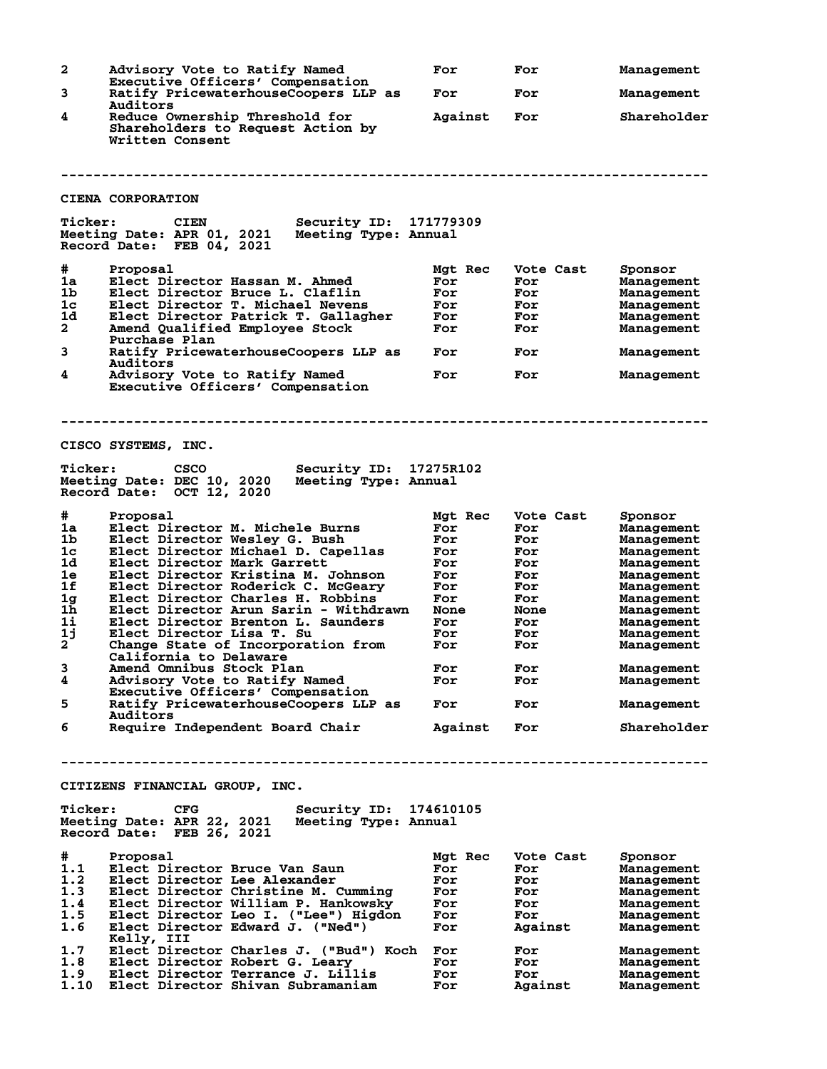| 2                    | Advisory Vote to Ratify Named                                                                                           | For         | For            | Management               |
|----------------------|-------------------------------------------------------------------------------------------------------------------------|-------------|----------------|--------------------------|
| 3                    | Executive Officers' Compensation<br>Ratify PricewaterhouseCoopers LLP as                                                | For         | For            | Management               |
|                      | Auditors                                                                                                                |             |                |                          |
| 4                    | Reduce Ownership Threshold for<br>Shareholders to Request Action by<br>Written Consent                                  | Against     | For            | Shareholder              |
|                      |                                                                                                                         |             |                |                          |
|                      | <b>CIENA CORPORATION</b>                                                                                                |             |                |                          |
| <b>Ticker:</b>       | Security ID: 171779309<br><b>CIEN</b><br>Meeting Date: APR 01, 2021 Meeting Type: Annual<br>Record Date: FEB 04, 2021   |             |                |                          |
| #                    | Proposal                                                                                                                | Mgt Rec     | Vote Cast      | Sponsor                  |
| 1a                   | Elect Director Hassan M. Ahmed                                                                                          | For         | For            | Management               |
| 1b.                  | Elect Director Bruce L. Claflin                                                                                         | For         | For            | Management               |
| 1 <sub>c</sub><br>1d | Elect Director T. Michael Nevens                                                                                        | For         | For            | Management               |
| $\mathbf{2}$         | Elect Director Patrick T. Gallagher<br>Amend Qualified Employee Stock                                                   | For<br>For  | For<br>For     | Management<br>Management |
| 3                    | Purchase Plan<br>Ratify PricewaterhouseCoopers LLP as                                                                   | For         | For            | Management               |
|                      | Auditors                                                                                                                |             |                |                          |
| 4                    | Advisory Vote to Ratify Named<br>Executive Officers' Compensation                                                       | For         | For            | Management               |
|                      |                                                                                                                         |             |                |                          |
|                      | CISCO SYSTEMS, INC.                                                                                                     |             |                |                          |
| <b>Ticker:</b>       | CSCO<br>Security ID: 17275R102<br>Meeting Date: DEC 10, 2020<br>Meeting Type: Annual<br>Record Date: OCT 12, 2020       |             |                |                          |
| #                    | Proposal                                                                                                                | Mgt Rec     | Vote Cast      | Sponsor                  |
| 1a                   | Elect Director M. Michele Burns                                                                                         | For         | For            | Management               |
| 1b                   | Elect Director Wesley G. Bush                                                                                           | For         | For            | Management               |
| 1 <sub>c</sub>       | Elect Director Michael D. Capellas                                                                                      | For         | For            | Management               |
| 1d                   | Elect Director Mark Garrett                                                                                             | For         | For            | Management               |
| 1e<br>1f             | Elect Director Kristina M. Johnson                                                                                      | For         | For            | Management               |
| 1 <sub>g</sub>       | Elect Director Roderick C. McGeary<br>Elect Director Charles H. Robbins                                                 | For<br>For  | For<br>For     | Management<br>Management |
| 1 <sub>h</sub>       | Elect Director Arun Sarin - Withdrawn                                                                                   | <b>None</b> | <b>None</b>    | Management               |
| 1i                   | Elect Director Brenton L. Saunders                                                                                      | For         | For            | Management               |
| 1j                   | Elect Director Lisa T. Su                                                                                               | For         | For            | Management               |
| $\mathbf{2}$         | Change State of Incorporation from                                                                                      | For         | For            | Management               |
| 3                    | California to Delaware<br>Amend Omnibus Stock Plan                                                                      | For         |                |                          |
| 4                    | Advisory Vote to Ratify Named                                                                                           | For         | For<br>For     | Management<br>Management |
|                      | Executive Officers' Compensation                                                                                        |             |                |                          |
| 5                    | Ratify PricewaterhouseCoopers LLP as                                                                                    | For         | For            | Management               |
| 6                    | Auditors<br>Require Independent Board Chair                                                                             | Against     | For            | Shareholder              |
|                      |                                                                                                                         |             |                |                          |
|                      | CITIZENS FINANCIAL GROUP, INC.                                                                                          |             |                |                          |
| <b>Ticker:</b>       | <b>CFG</b><br>Security ID: 174610105<br>Meeting Date: APR 22, 2021<br>Meeting Type: Annual<br>Record Date: FEB 26, 2021 |             |                |                          |
| #                    | Proposal                                                                                                                | Mgt Rec     | Vote Cast      | Sponsor                  |
| 1.1                  | Elect Director Bruce Van Saun                                                                                           | For         | For            | Management               |
| 1.2                  | Elect Director Lee Alexander                                                                                            | For         | For            | Management               |
| 1.3                  | Elect Director Christine M. Cumming                                                                                     | For         | For            | Management               |
| 1.4                  | Elect Director William P. Hankowsky                                                                                     | For         | For            | Management               |
| 1.5<br>1.6           | Elect Director Leo I. ("Lee") Higdon<br>Elect Director Edward J. ("Ned")                                                | For<br>For  | For<br>Against | Management<br>Management |
|                      | Kelly, III                                                                                                              |             |                |                          |
| 1.7                  | Elect Director Charles J. ("Bud") Koch                                                                                  | For         | For            | Management               |
| 1.8                  | Elect Director Robert G. Leary                                                                                          | For         | For            | Management               |
| 1.9                  | Elect Director Terrance J. Lillis                                                                                       | For         | For            | Management               |
| 1.10                 | Elect Director Shivan Subramaniam                                                                                       | For         | Against        | Management               |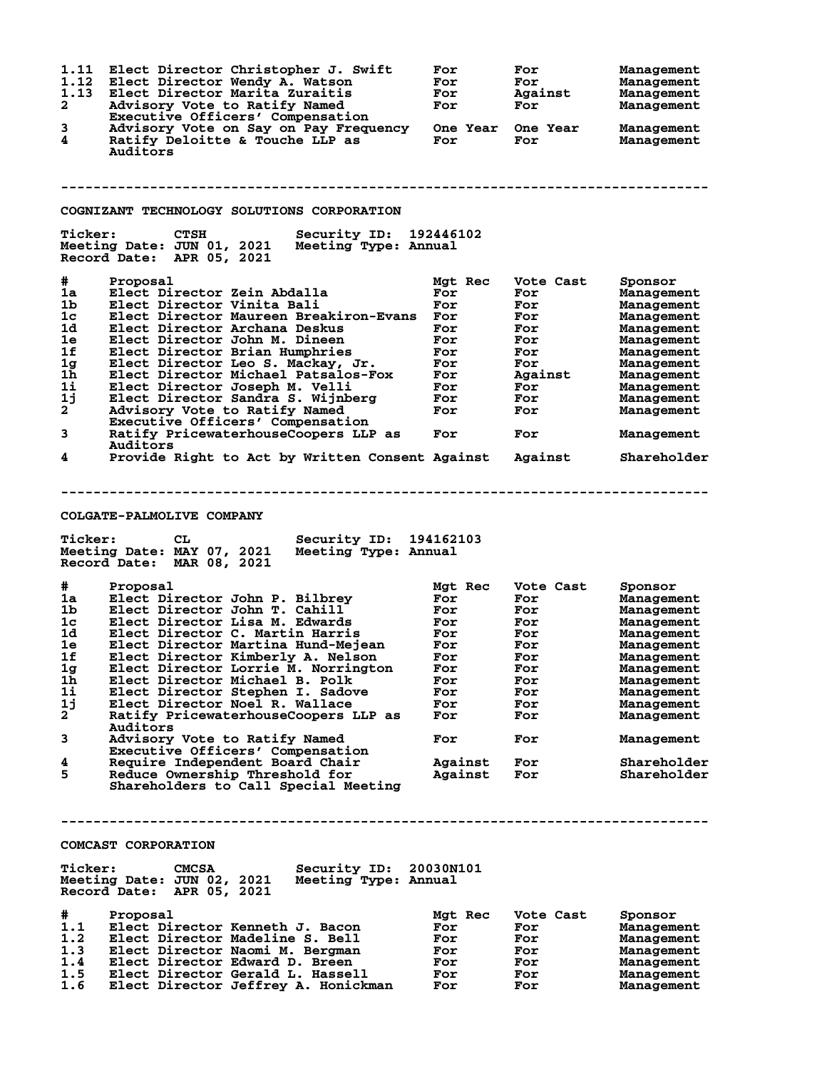| 1.11<br>1.12<br>1.13<br>2<br>3 | Elect Director Christopher J. Swift<br>Elect Director Wendy A. Watson<br>Elect Director Marita Zuraitis<br>Advisory Vote to Ratify Named<br>Executive Officers' Compensation<br>Advisory Vote on Say on Pay Frequency | For<br>For<br>For<br>For<br><b>One Year</b> | For<br>For<br>Against<br>For<br>One Year | Management<br>Management<br>Management<br>Management<br>Management |
|--------------------------------|-----------------------------------------------------------------------------------------------------------------------------------------------------------------------------------------------------------------------|---------------------------------------------|------------------------------------------|--------------------------------------------------------------------|
| 4                              | Ratify Deloitte & Touche LLP as<br>Auditors                                                                                                                                                                           | For                                         | For                                      | Management                                                         |
|                                | COGNIZANT TECHNOLOGY SOLUTIONS CORPORATION                                                                                                                                                                            |                                             |                                          |                                                                    |
| <b>Ticker:</b>                 | <b>CTSH</b><br>Security ID: 192446102<br>Meeting Date: JUN 01, 2021<br>Meeting Type: Annual<br>Record Date: APR 05, 2021                                                                                              |                                             |                                          |                                                                    |
| #                              | Proposal                                                                                                                                                                                                              | Mgt Rec                                     | Vote Cast                                | Sponsor                                                            |
| 1a                             | Elect Director Zein Abdalla                                                                                                                                                                                           | For                                         | For                                      | Management                                                         |
| 1 <sub>b</sub>                 | Elect Director Vinita Bali                                                                                                                                                                                            | For                                         | For                                      | Management                                                         |
| $1c$                           | Elect Director Maureen Breakiron-Evans                                                                                                                                                                                | For                                         | For                                      | Management                                                         |
| 1d<br>1e                       | Elect Director Archana Deskus<br>Elect Director John M. Dineen                                                                                                                                                        | For                                         | For                                      | Management                                                         |
| 1f                             | Elect Director Brian Humphries                                                                                                                                                                                        | For<br>For                                  | For<br>For                               | Management<br>Management                                           |
| 1 <sub>g</sub>                 | Elect Director Leo S. Mackay, Jr.                                                                                                                                                                                     | For                                         | For                                      | Management                                                         |
| 1 <sub>h</sub>                 | Elect Director Michael Patsalos-Fox                                                                                                                                                                                   | For                                         | Against                                  | Management                                                         |
| 1i                             | Elect Director Joseph M. Velli                                                                                                                                                                                        | For                                         | For                                      | Management                                                         |
| 1j                             | Elect Director Sandra S. Wijnberg                                                                                                                                                                                     | For                                         | For                                      | Management                                                         |
| $\mathbf{2}$                   | Advisory Vote to Ratify Named<br>Executive Officers' Compensation                                                                                                                                                     | For                                         | For                                      | Management                                                         |
| 3                              | Ratify PricewaterhouseCoopers LLP as<br>Auditors                                                                                                                                                                      | For                                         | For                                      | Management                                                         |
| 4                              | Provide Right to Act by Written Consent Against                                                                                                                                                                       |                                             | Against                                  | Shareholder                                                        |
| <b>Ticker:</b><br>#            | Security ID: 194162103<br>CL<br>Meeting Date: MAY 07, 2021<br>Meeting Type: Annual<br>Record Date: MAR 08, 2021<br>Proposal                                                                                           | Mgt Rec                                     | Vote Cast                                | Sponsor                                                            |
| 1a                             | Elect Director John P. Bilbrey                                                                                                                                                                                        | For                                         | For                                      | Management                                                         |
| 1b.                            | Elect Director John T. Cahill                                                                                                                                                                                         | For                                         | For                                      | Management                                                         |
| 1c                             | Elect Director Lisa M. Edwards                                                                                                                                                                                        | For                                         | For                                      | Management                                                         |
| 1d                             | Elect Director C. Martin Harris                                                                                                                                                                                       | For                                         | For                                      | Management                                                         |
| 1e                             | Elect Director Martina Hund-Mejean                                                                                                                                                                                    | For                                         | For                                      | Management                                                         |
| 1f<br>$1g$                     | Elect Director Kimberly A. Nelson<br>Elect Director Lorrie M. Norrington                                                                                                                                              | For                                         | For                                      | Management<br>Management                                           |
| 1h                             | Elect Director Michael B. Polk                                                                                                                                                                                        | For<br>For                                  | For<br>For                               | Management                                                         |
| $1\mathbf{i}$                  | Elect Director Stephen I. Sadove                                                                                                                                                                                      | For                                         | For                                      | Management                                                         |
| 1j                             | Elect Director Noel R. Wallace                                                                                                                                                                                        | For                                         | For                                      | Management                                                         |
| $\mathbf{2}$                   | Ratify PricewaterhouseCoopers LLP as                                                                                                                                                                                  | For                                         | For                                      | Management                                                         |
| 3                              | Auditors<br>Advisory Vote to Ratify Named                                                                                                                                                                             | For                                         | For                                      | Management                                                         |
| 4                              | Executive Officers' Compensation<br>Require Independent Board Chair                                                                                                                                                   | Against                                     | For                                      | Shareholder                                                        |
| 5                              | Reduce Ownership Threshold for<br>Shareholders to Call Special Meeting                                                                                                                                                | Against                                     | For                                      | Shareholder                                                        |
|                                |                                                                                                                                                                                                                       |                                             |                                          |                                                                    |
|                                | COMCAST CORPORATION                                                                                                                                                                                                   |                                             |                                          |                                                                    |
| <b>Ticker:</b>                 | Security ID: 20030N101<br><b>CMCSA</b><br>Meeting Date: JUN 02, 2021<br>Meeting Type: Annual<br>Record Date: APR 05, 2021                                                                                             |                                             |                                          |                                                                    |
| #                              | Proposal                                                                                                                                                                                                              | Mgt Rec                                     | Vote Cast                                | Sponsor                                                            |
| 1.1                            |                                                                                                                                                                                                                       | For                                         | For                                      | Management                                                         |
| 1.2                            | Elect Director Kenneth J. Bacon                                                                                                                                                                                       |                                             |                                          |                                                                    |
|                                | Elect Director Madeline S. Bell                                                                                                                                                                                       | For                                         | For                                      | Management                                                         |
| 1.3                            | Elect Director Naomi M. Bergman                                                                                                                                                                                       | For                                         | For                                      | Management                                                         |
| 1.4<br>1.5                     | Elect Director Edward D. Breen<br>Elect Director Gerald L. Hassell                                                                                                                                                    | For<br>For                                  | For<br>For                               | Management<br>Management                                           |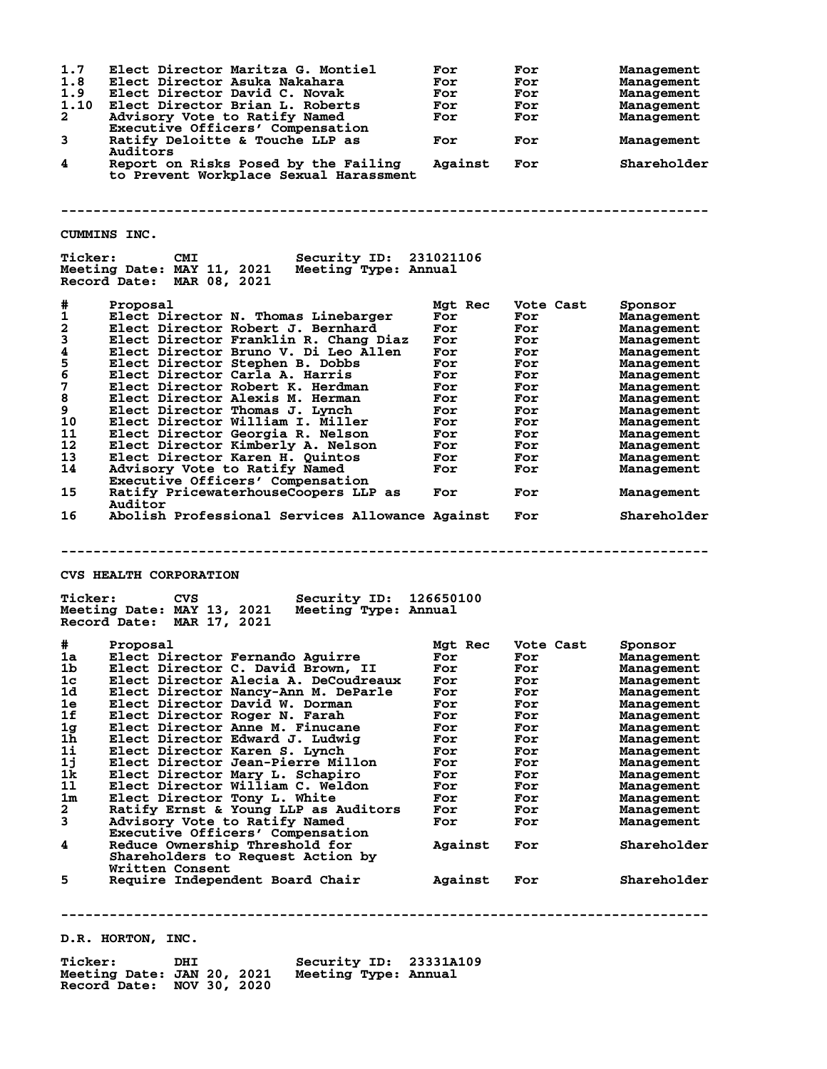| 1.7<br>1.8<br>1.9<br>1.10<br>$\mathbf{2}$ | Elect Director Maritza G. Montiel<br>Elect Director Asuka Nakahara<br>Elect Director David C. Novak<br>Elect Director Brian L. Roberts<br>Advisory Vote to Ratify Named<br>Executive Officers' Compensation | For<br>For<br>For<br>For<br>For | For<br>For<br>For<br>For<br>For | <b>Management</b><br><b>Management</b><br><b>Management</b><br>Management<br><b>Management</b> |
|-------------------------------------------|-------------------------------------------------------------------------------------------------------------------------------------------------------------------------------------------------------------|---------------------------------|---------------------------------|------------------------------------------------------------------------------------------------|
| 3                                         | Ratify Deloitte & Touche LLP as<br>Auditors                                                                                                                                                                 | For                             | For                             | <b>Management</b>                                                                              |
| 4                                         | Report on Risks Posed by the Failing<br>to Prevent Workplace Sexual Harassment                                                                                                                              | Against                         | For                             | Shareholder                                                                                    |
|                                           | CUMMINS INC.                                                                                                                                                                                                |                                 |                                 |                                                                                                |
| <b>Ticker:</b>                            | CMI<br><b>Security ID:</b><br>Meeting Date: MAY 11, 2021 Meeting Type: Annual<br>Record Date: MAR 08, 2021                                                                                                  | 231021106                       |                                 |                                                                                                |
| #                                         | Proposal                                                                                                                                                                                                    | Mgt Rec                         | Vote Cast                       | Sponsor                                                                                        |
| $\mathbf{1}$                              | Elect Director N. Thomas Linebarger                                                                                                                                                                         | For                             | For                             | <b>Management</b>                                                                              |
| 2                                         | Elect Director Robert J. Bernhard                                                                                                                                                                           | For                             | For                             | Management                                                                                     |
| 3<br>4                                    | Elect Director Franklin R. Chang Diaz<br>Elect Director Bruno V. Di Leo Allen                                                                                                                               | For<br>For                      | For<br>For                      | <b>Management</b>                                                                              |
| 5                                         | Elect Director Stephen B. Dobbs                                                                                                                                                                             | For                             | For                             | <b>Management</b><br>Management                                                                |
| 6                                         | Elect Director Carla A. Harris                                                                                                                                                                              | For                             | For                             | Management                                                                                     |
| 7                                         | Elect Director Robert K. Herdman                                                                                                                                                                            | For                             | For                             | <b>Management</b>                                                                              |
| 8                                         | Elect Director Alexis M. Herman                                                                                                                                                                             | For                             | For                             | <b>Management</b>                                                                              |
| 9<br>10                                   | Elect Director Thomas J. Lynch<br>Elect Director William I. Miller                                                                                                                                          | For<br>For                      | For<br>For                      | <b>Management</b>                                                                              |
| 11                                        | Elect Director Georgia R. Nelson                                                                                                                                                                            | For                             | For                             | <b>Management</b><br>Management                                                                |
| 12                                        | Elect Director Kimberly A. Nelson                                                                                                                                                                           | For                             | For                             | <b>Management</b>                                                                              |
| 13                                        | Elect Director Karen H. Quintos                                                                                                                                                                             | For                             | For                             | <b>Management</b>                                                                              |
| 14                                        | Advisory Vote to Ratify Named                                                                                                                                                                               | For                             | For                             | <b>Management</b>                                                                              |
| 15                                        | Executive Officers' Compensation<br>Ratify PricewaterhouseCoopers LLP as                                                                                                                                    | For                             | For                             | <b>Management</b>                                                                              |
|                                           | Auditor                                                                                                                                                                                                     |                                 |                                 |                                                                                                |
| 16                                        | Abolish Professional Services Allowance Against                                                                                                                                                             |                                 | For                             | Shareholder                                                                                    |
| <b>Ticker:</b>                            | <b>CVS HEALTH CORPORATION</b><br><b>Security ID:</b><br>CVS                                                                                                                                                 | 126650100                       |                                 |                                                                                                |
|                                           | Meeting Date: MAY 13, 2021<br>Meeting Type: Annual<br>Record Date: MAR 17, 2021                                                                                                                             |                                 |                                 |                                                                                                |
| #                                         | Proposal                                                                                                                                                                                                    | Mgt Rec                         | Vote Cast                       | Sponsor                                                                                        |
| 1a                                        | Elect Director Fernando Aguirre                                                                                                                                                                             | For                             | For                             | <b>Management</b>                                                                              |
| 1b.                                       | Elect Director C. David Brown, II                                                                                                                                                                           | For                             | For                             | <b>Management</b>                                                                              |
| 1c<br>1d                                  | Elect Director Alecia A. DeCoudreaux<br>Elect Director Nancy-Ann M. DeParle                                                                                                                                 | For<br>For                      | For<br>For                      | <b>Management</b><br><b>Management</b>                                                         |
| 1e                                        | Elect Director David W. Dorman                                                                                                                                                                              | For                             | For                             | <b>Management</b>                                                                              |
| 1f                                        | Elect Director Roger N. Farah                                                                                                                                                                               | For                             | For                             | Management                                                                                     |
| 1 <sub>g</sub>                            | Elect Director Anne M. Finucane                                                                                                                                                                             | For                             | For                             | Management                                                                                     |
| 1 <sub>h</sub>                            | Elect Director Edward J. Ludwig                                                                                                                                                                             | For                             | For                             | <b>Management</b>                                                                              |
| 1i                                        | Elect Director Karen S. Lynch<br>Elect Director Jean-Pierre Millon                                                                                                                                          | For<br>For                      | For<br>For                      | Management<br>Management                                                                       |
| 1j<br>1k                                  | Elect Director Mary L. Schapiro                                                                                                                                                                             | For                             | For                             | Management                                                                                     |
| 11                                        | Elect Director William C. Weldon                                                                                                                                                                            | For                             | For                             | Management                                                                                     |
| 1m                                        | Elect Director Tony L. White                                                                                                                                                                                | For                             | For                             | Management                                                                                     |
| 2                                         | Ratify Ernst & Young LLP as Auditors                                                                                                                                                                        | For                             | For                             | Management                                                                                     |
| 3                                         | Advisory Vote to Ratify Named                                                                                                                                                                               | For                             | For                             | Management                                                                                     |
| 4                                         | Executive Officers' Compensation<br>Reduce Ownership Threshold for<br>Shareholders to Request Action by                                                                                                     | Against                         | For                             | Shareholder                                                                                    |
| 5                                         | Written Consent<br>Require Independent Board Chair                                                                                                                                                          | Against                         | For                             | Shareholder                                                                                    |
|                                           |                                                                                                                                                                                                             |                                 |                                 |                                                                                                |
|                                           | D.R. HORTON, INC.                                                                                                                                                                                           |                                 |                                 |                                                                                                |

**Ticker: DHI Security ID: 23331A109 Meeting Date: JAN 20, 2021 Meeting Type: Annual**

**Record Date: NOV 30, 2020**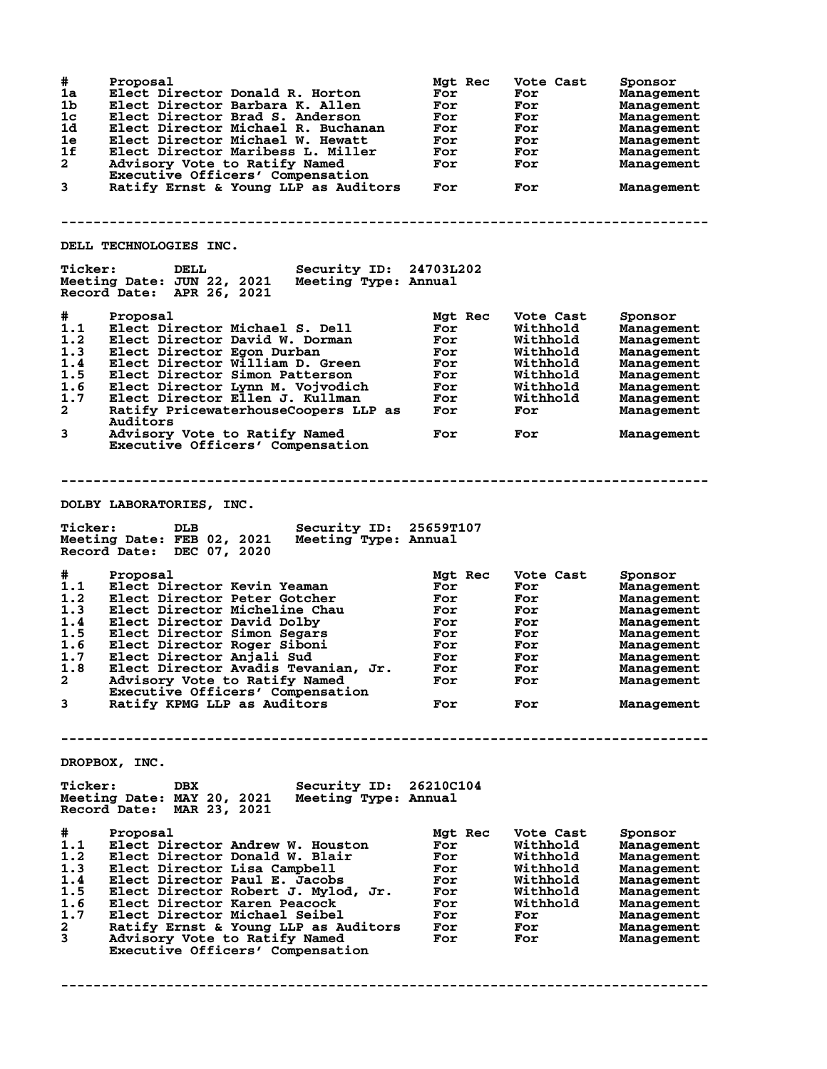| #<br>1a<br>1b<br>1c<br>1d<br>1e<br>1f<br>$\mathbf{2}$<br>3                | Proposal<br>Elect Director Donald R. Horton<br>Elect Director Barbara K. Allen<br>Elect Director Brad S. Anderson<br>Elect Director Michael R. Buchanan<br>Elect Director Michael W. Hewatt<br>Elect Director Maribess L. Miller<br>Advisory Vote to Ratify Named<br>Executive Officers' Compensation<br>Ratify Ernst & Young LLP as Auditors<br>DELL TECHNOLOGIES INC.                | Mgt Rec<br>For<br>For<br>For<br>For<br>For<br>For<br>For<br>For               | Vote Cast<br>For<br>For<br>For<br>For<br>For<br>For<br>For<br>For                                           | Sponsor<br>Management<br>Management<br>Management<br>Management<br>Management<br>Management<br>Management<br>Management                             |
|---------------------------------------------------------------------------|----------------------------------------------------------------------------------------------------------------------------------------------------------------------------------------------------------------------------------------------------------------------------------------------------------------------------------------------------------------------------------------|-------------------------------------------------------------------------------|-------------------------------------------------------------------------------------------------------------|-----------------------------------------------------------------------------------------------------------------------------------------------------|
| <b>Ticker:</b>                                                            | Security ID: 24703L202<br>DELL<br>Meeting Date: JUN 22, 2021<br>Meeting Type: Annual<br>Record Date: APR 26, 2021                                                                                                                                                                                                                                                                      |                                                                               |                                                                                                             |                                                                                                                                                     |
| #<br>1.1<br>1.2<br>1.3<br>1.4<br>1.5<br>1.6<br>1.7<br>$\overline{a}$<br>3 | Proposal<br>Elect Director Michael S. Dell<br>Elect Director David W. Dorman<br>Elect Director Egon Durban<br>Elect Director William D. Green<br>Elect Director Simon Patterson<br>Elect Director Lynn M. Vojvodich<br>Elect Director Ellen J. Kullman<br>Ratify PricewaterhouseCoopers LLP as<br><b>Auditors</b><br>Advisory Vote to Ratify Named<br>Executive Officers' Compensation | Mgt Rec<br>For<br>For<br>For<br>For<br>For<br>For<br>For<br>For<br>For        | Vote Cast<br>Withhold<br>Withhold<br>Withhold<br>Withhold<br>Withhold<br>Withhold<br>Withhold<br>For<br>For | Sponsor<br>Management<br>Management<br>Management<br>Management<br>Management<br>Management<br>Management<br>Management<br>Management               |
|                                                                           |                                                                                                                                                                                                                                                                                                                                                                                        |                                                                               |                                                                                                             |                                                                                                                                                     |
| <b>Ticker:</b>                                                            | DOLBY LABORATORIES, INC.<br>Security ID:<br>DLB<br>Meeting Date: FEB 02, 2021<br>Meeting Type: Annual<br>Record Date: DEC 07, 2020                                                                                                                                                                                                                                                     | 25659T107                                                                     |                                                                                                             |                                                                                                                                                     |
| #<br>1.1<br>1.2<br>1.3<br>1.4<br>1.5<br>1.6<br>1.7<br>1.8<br>2<br>3       | Proposal<br>Elect Director Kevin Yeaman<br>Elect Director Peter Gotcher<br>Elect Director Micheline Chau<br>Elect Director David Dolby<br>Elect Director Simon Segars<br>Elect Director Roger Siboni<br>Elect Director Anjali Sud<br>Elect Director Avadis Tevanian, Jr.<br>Advisory Vote to Ratify Named<br>Executive Officers' Compensation<br>Ratify KPMG LLP as Auditors           | Mgt Rec<br>For<br>For<br>For<br>For<br>For<br>For<br>For<br>For<br>For<br>For | Vote Cast<br>For<br>For<br>For<br>For<br>For<br>For<br>For<br>For<br>For<br>For                             | Sponsor<br>Management<br>Management<br>Management<br>Management<br>Management<br>Management<br>Management<br>Management<br>Management<br>Management |
|                                                                           | DROPBOX, INC.                                                                                                                                                                                                                                                                                                                                                                          |                                                                               |                                                                                                             |                                                                                                                                                     |
| <b>Ticker:</b>                                                            | Security ID: 26210C104<br><b>DBX</b><br>Meeting Date: MAY 20, 2021<br>Meeting Type: Annual<br>Record Date: MAR 23, 2021                                                                                                                                                                                                                                                                |                                                                               |                                                                                                             |                                                                                                                                                     |
| #<br>1.1<br>1.2<br>1.3<br>1.4<br>1.5<br>1.6<br>1.7<br>2<br>3              | Proposal<br>Elect Director Andrew W. Houston<br>Elect Director Donald W. Blair<br>Elect Director Lisa Campbell<br>Elect Director Paul E. Jacobs<br>Elect Director Robert J. Mylod, Jr.<br>Elect Director Karen Peacock<br>Elect Director Michael Seibel<br>Ratify Ernst & Young LLP as Auditors<br>Advisory Vote to Ratify Named<br>Executive Officers' Compensation                   | Mgt Rec<br>For<br>For<br>For<br>For<br>For<br>For<br>For<br>For<br>For        | Vote Cast<br>Withhold<br>Withhold<br>Withhold<br>Withhold<br>Withhold<br>Withhold<br>For<br>For<br>For      | Sponsor<br>Management<br>Management<br>Management<br>Management<br>Management<br>Management<br>Management<br>Management<br>Management               |

**--------------------------------------------------------------------------------**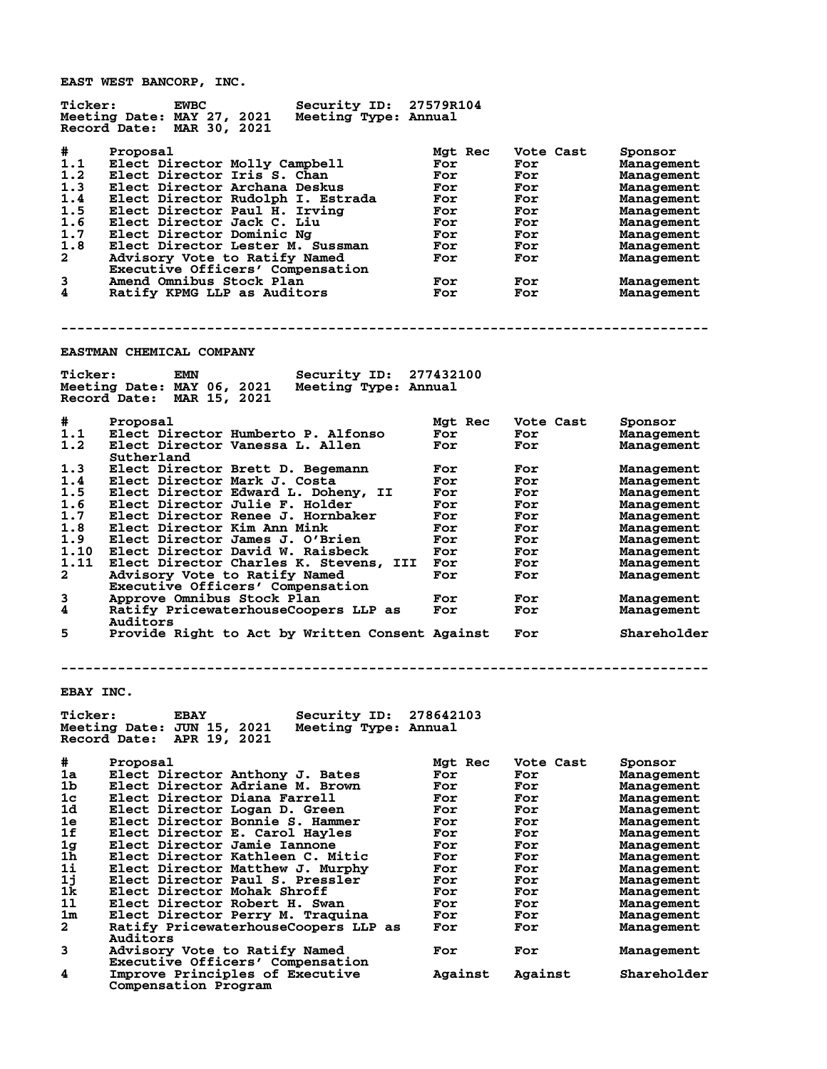**EAST WEST BANCORP, INC.**

| <b>Ticker:</b> | <b>EWBC</b>                       | Security ID: 27579R104 |         |           |            |
|----------------|-----------------------------------|------------------------|---------|-----------|------------|
|                | Meeting Date: MAY 27, 2021        | Meeting Type: Annual   |         |           |            |
|                | MAR 30, 2021<br>Record Date:      |                        |         |           |            |
| #              | Proposal                          |                        | Mgt Rec | Vote Cast | Sponsor    |
| 1.1            | Elect Director Molly Campbell     |                        | For     | For       | Management |
| 1.2            | Elect Director Iris S. Chan       |                        | For     | For       | Management |
| 1.3            | Elect Director Archana Deskus     |                        | For     | For       | Management |
| 1.4            | Elect Director Rudolph I. Estrada |                        | For     | For       | Management |
| 1.5            | Elect Director Paul H. Irving     |                        | For     | For       | Management |
| 1.6            | Elect Director Jack C. Liu        |                        | For     | For       | Management |
| 1.7            | Elect Director Dominic Ng         |                        | For     | For       | Management |
| 1.8            | Elect Director Lester M. Sussman  |                        | For     | For       | Management |
| $\mathbf{2}$   | Advisory Vote to Ratify Named     |                        | For     | For       | Management |
|                | Executive Officers' Compensation  |                        |         |           |            |
| 3              | Amend Omnibus Stock Plan          |                        | For     | For       | Management |
| 4              | Ratify KPMG LLP as Auditors       |                        | For     | For       | Management |
|                |                                   |                        |         |           |            |

**--------------------------------------------------------------------------------**

## **EASTMAN CHEMICAL COMPANY**

| <b>Ticker:</b> | Security ID:<br>EMN                                | 277432100 |           |             |
|----------------|----------------------------------------------------|-----------|-----------|-------------|
|                | Meeting Date: MAY 06, 2021<br>Meeting Type: Annual |           |           |             |
|                | MAR 15, 2021<br>Record Date:                       |           |           |             |
|                |                                                    |           |           |             |
| #              | Proposal                                           | Mgt Rec   | Vote Cast | Sponsor     |
| 1.1            | Elect Director Humberto P. Alfonso                 | For       | For       | Management  |
| 1.2            | Elect Director Vanessa L. Allen                    | For       | For       | Management  |
|                | Sutherland                                         |           |           |             |
| 1.3            | Elect Director Brett D. Begemann                   | For       | For       | Management  |
| 1.4            | Elect Director Mark J. Costa                       | For       | For       | Management  |
| 1.5            | Elect Director Edward L. Dohenv, II                | For       | For       | Management  |
| 1.6            | Elect Director Julie F. Holder                     | For       | For       | Management  |
| 1.7            | Elect Director Renee J. Hornbaker                  | For       | For       | Management  |
| 1.8            | Elect Director Kim Ann Mink                        | For       | For       | Management  |
| 1.9            | Elect Director James J. O'Brien                    | For       | For       | Management  |
| 1.10           | Elect Director David W. Raisbeck                   | For       | For       | Management  |
| 1.11           | Elect Director Charles K. Stevens, III             | For       | For       | Management  |
| $\mathbf{2}$   | Advisory Vote to Ratify Named                      | For       | For       | Management  |
|                | Executive Officers' Compensation                   |           |           |             |
| 3              | Approve Omnibus Stock Plan                         | For       | For       | Management  |
| 4              | Ratify PricewaterhouseCoopers LLP as               | For       | For       | Management  |
|                | Auditors                                           |           |           |             |
| 5              | Provide Right to Act by Written Consent Against    |           | For       | Shareholder |

**--------------------------------------------------------------------------------**

**EBAY INC.**

| <b>Ticker:</b> | <b>EBAY</b><br>Meeting Date: JUN 15, 2021<br>Record Date:<br>APR 19, 2021 | Security ID:<br>Meeting Type: Annual | 278642103      |                  |                       |
|----------------|---------------------------------------------------------------------------|--------------------------------------|----------------|------------------|-----------------------|
| #<br>1a        | Proposal<br>Elect Director Anthony J. Bates                               |                                      | Mgt Rec<br>For | Vote Cast<br>For | Sponsor<br>Management |
| 1b             | Elect Director Adriane M. Brown                                           |                                      | For            | For              | Management            |
| 1 <sub>c</sub> | Elect Director Diana Farrell                                              |                                      | For            | For              | Management            |
| 1d             | Elect Director Logan D. Green                                             |                                      | For            | For              | Management            |
| 1e             | Elect Director Bonnie S. Hammer                                           |                                      | For            | For              | Management            |
| 1f             | Elect Director E. Carol Havles                                            |                                      | For            | For              | Management            |
| 1g             | Elect Director Jamie Iannone                                              |                                      | For            | For              | Management            |
| 1 <sub>h</sub> | Elect Director Kathleen C. Mitic                                          |                                      | For            | For              | Management            |
| $1\text{i}$    | Elect Director Matthew J. Murphy                                          |                                      | For            | For              | Management            |
| 1j             | Elect Director Paul S. Pressler                                           |                                      | For            | For              | Management            |
| 1k             | Elect Director Mohak Shroff                                               |                                      | For            | For              | Management            |
| 11             | Elect Director Robert H. Swan                                             |                                      | For            | For              | Management            |
| 1m             | Elect Director Perry M. Traquina                                          |                                      | For            | For              | Management            |
| $\overline{a}$ | Ratify PricewaterhouseCoopers LLP as                                      |                                      | For            | For              | Management            |
|                | Auditors                                                                  |                                      |                |                  |                       |
| 3              | Advisory Vote to Ratify Named                                             |                                      | For            | For              | Management            |
|                | Executive Officers' Compensation                                          |                                      |                |                  |                       |
| 4              | Improve Principles of Executive                                           |                                      | Against        | Against          | Shareholder           |
|                | Compensation Program                                                      |                                      |                |                  |                       |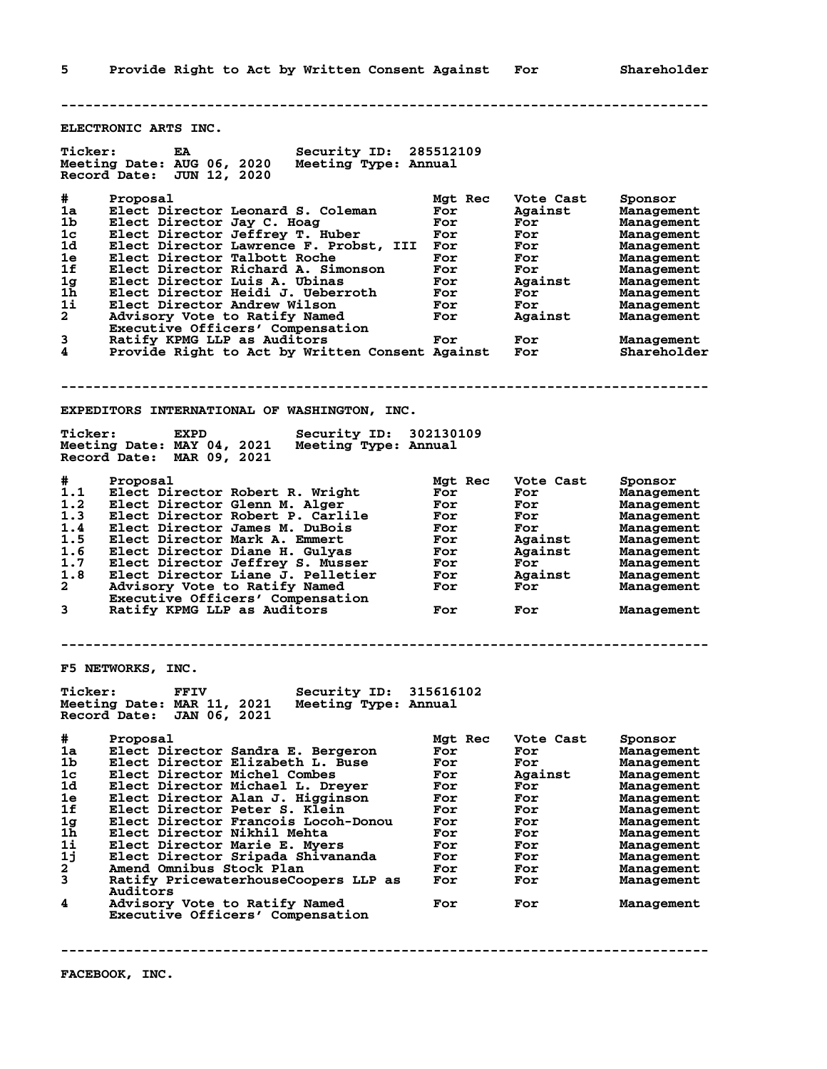**-------------------------------------------------------------------------------- ELECTRONIC ARTS INC. Ticker: EA Security ID: 285512109 Meeting Date: AUG 06, 2020 Meeting Type: Annual Record Date: JUN 12, 2020 # Proposal Mgt Rec Vote Cast Sponsor 1a Elect Director Leonard S. Coleman For Against Management 1b Elect Director Jay C. Hoag For For Management 1c Elect Director Jeffrey T. Huber For For Management 1d Elect Director Lawrence F. Probst, III For For Management 1e Elect Director Talbott Roche For For Management 1f Elect Director Richard A. Simonson For For Management 1g Elect Director Luis A. Ubinas For Against Management 1h Elect Director Heidi J. Ueberroth For For Management 1i Elect Director Andrew Wilson For For Management 2 Advisory Vote to Ratify Named For Against Management Executive Officers' Compensation 3 Ratify KPMG LLP as Auditors For For Management 4 Provide Right to Act by Written Consent Against For Shareholder -------------------------------------------------------------------------------- EXPEDITORS INTERNATIONAL OF WASHINGTON, INC. Ticker: EXPD Security ID: 302130109 Meeting Date: MAY 04, 2021 Meeting Type: Annual Record Date: MAR 09, 2021 # Proposal Mgt Rec Vote Cast Sponsor 1.1 Elect Director Robert R. Wright For For Management 1.2 Elect Director Glenn M. Alger For For Management 1.3 Elect Director Robert P. Carlile For For Management 1.4 Elect Director James M. DuBois For For Management 1.5 Elect Director Mark A. Emmert For Against Management 1.6 Elect Director Diane H. Gulyas For Against Management 1.7 Elect Director Jeffrey S. Musser For For Management 1.8 Elect Director Liane J. Pelletier For Against Management 2 Advisory Vote to Ratify Named For For Management Executive Officers' Compensation 3 Ratify KPMG LLP as Auditors For For Management -------------------------------------------------------------------------------- F5 NETWORKS, INC. Ticker: FFIV Security ID: 315616102 Meeting Date: MAR 11, 2021 Meeting Type: Annual Record Date: JAN 06, 2021 # Proposal Mgt Rec Vote Cast Sponsor 1a Elect Director Sandra E. Bergeron For For Management 1b Elect Director Elizabeth L. Buse For For Management 1c Elect Director Michel Combes For Against Management 1d Elect Director Michael L. Dreyer For For Management 1e Elect Director Alan J. Higginson For For Management 1f Elect Director Peter S. Klein For For Management 1g Elect Director Francois Locoh-Donou For For Management 1h Elect Director Nikhil Mehta For For Management 1i Elect Director Marie E. Myers For For Management 1j Elect Director Sripada Shivananda For For Management 2 Amend Omnibus Stock Plan For For Management 3 Ratify PricewaterhouseCoopers LLP as For For Management Auditors 4 Advisory Vote to Ratify Named For For Management Executive Officers' Compensation**

**--------------------------------------------------------------------------------**

**5 Provide Right to Act by Written Consent Against For Shareholder**

**FACEBOOK, INC.**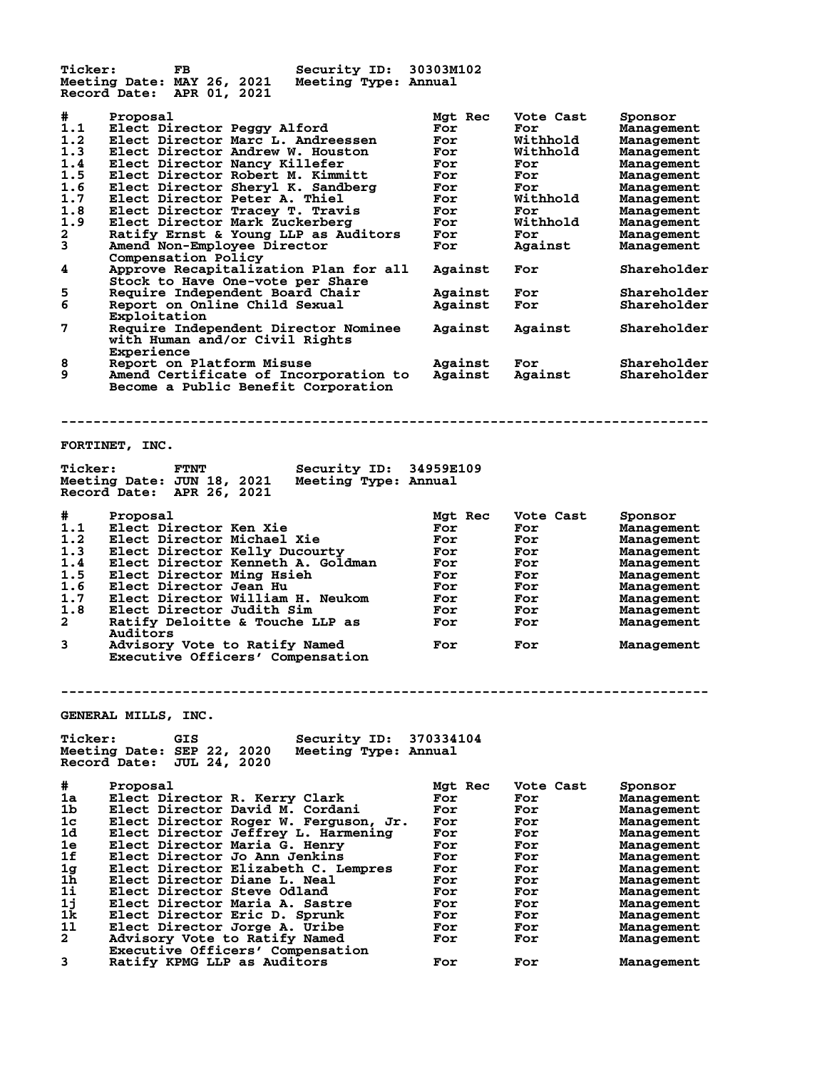**Ticker: FB Security ID: 30303M102 Meeting Date: MAY 26, 2021 Meeting Type: Annual Record Date: APR 01, 2021 # Proposal Mgt Rec Vote Cast Sponsor 1.1 Elect Director Peggy Alford For For Management 1.2 Elect Director Marc L. Andreessen For Withhold Management 1.3 Elect Director Andrew W. Houston For Withhold Management 1.4 Elect Director Nancy Killefer For For Management 1.5 Elect Director Robert M. Kimmitt For For Management 1.6 Elect Director Sheryl K. Sandberg For For Management 1.7 Elect Director Peter A. Thiel For Withhold Management 1.8 Elect Director Tracey T. Travis For For Management 1.9 Elect Director Mark Zuckerberg For Withhold Management 2 Ratify Ernst & Young LLP as Auditors For For Management 3 Amend Non-Employee Director For Against Management Compensation Policy 4 Approve Recapitalization Plan for all Against For Shareholder Stock to Have One-vote per Share 5 Require Independent Board Chair**<br> **5 Require Independent Board Chair**<br> **5 Report on Online Child Sexual Against For** Shareholder Report on Online Child Sexual  **Exploitation 7 Require Independent Director Nominee Against Against Shareholder with Human and/or Civil Rights Experience 8 Report on Platform Misuse Against For Shareholder 9 Amend Certificate of Incorporation to Against Against Shareholder Become a Public Benefit Corporation -------------------------------------------------------------------------------- FORTINET, INC. Ticker: FTNT Security ID: 34959E109 Meeting Date: JUN 18, 2021 Meeting Type: Annual Record Date: APR 26, 2021 # Proposal Mgt Rec Vote Cast Sponsor 1.1 Elect Director Ken Xie For For Management 1.2 Elect Director Michael Xie For For Management 1.3 Elect Director Kelly Ducourty For For Management 1.4 Elect Director Kenneth A. Goldman For For Management 1.5 Elect Director Ming Hsieh For For Management 1.6 Elect Director Jean Hu For For Management 1.7 Elect Director William H. Neukom For For Management 1.8 Elect Director Judith Sim For For Management 2 Ratify Deloitte & Touche LLP as For For Management Auditors** anditors<br> **3** Advisory Vote to Ratify Named Tor For Management  **Executive Officers' Compensation -------------------------------------------------------------------------------- GENERAL MILLS, INC. Ticker: GIS Security ID: 370334104 Meeting Date: SEP 22, 2020 Meeting Type: Annual Record Date: JUL 24, 2020 # Proposal Mgt Rec Vote Cast Sponsor 1a Elect Director R. Kerry Clark For For Management 1b Elect Director David M. Cordani For For Management 1c Elect Director Roger W. Ferguson, Jr. For For Management 1d Elect Director Jeffrey L. Harmening For For Management 1e Elect Director Maria G. Henry For For Management 1f Elect Director Jo Ann Jenkins For For Management 1g Elect Director Elizabeth C. Lempres For For Management 1h Elect Director Diane L. Neal For For Management 1i Elect Director Steve Odland For For Management 1j Elect Director Maria A. Sastre For For Management 1k Elect Director Eric D. Sprunk For For Management 1l Elect Director Jorge A. Uribe For For Management 2 Advisory Vote to Ratify Named For For Management Executive Officers' Compensation 3 Ratify KPMG LLP as Auditors For For Management**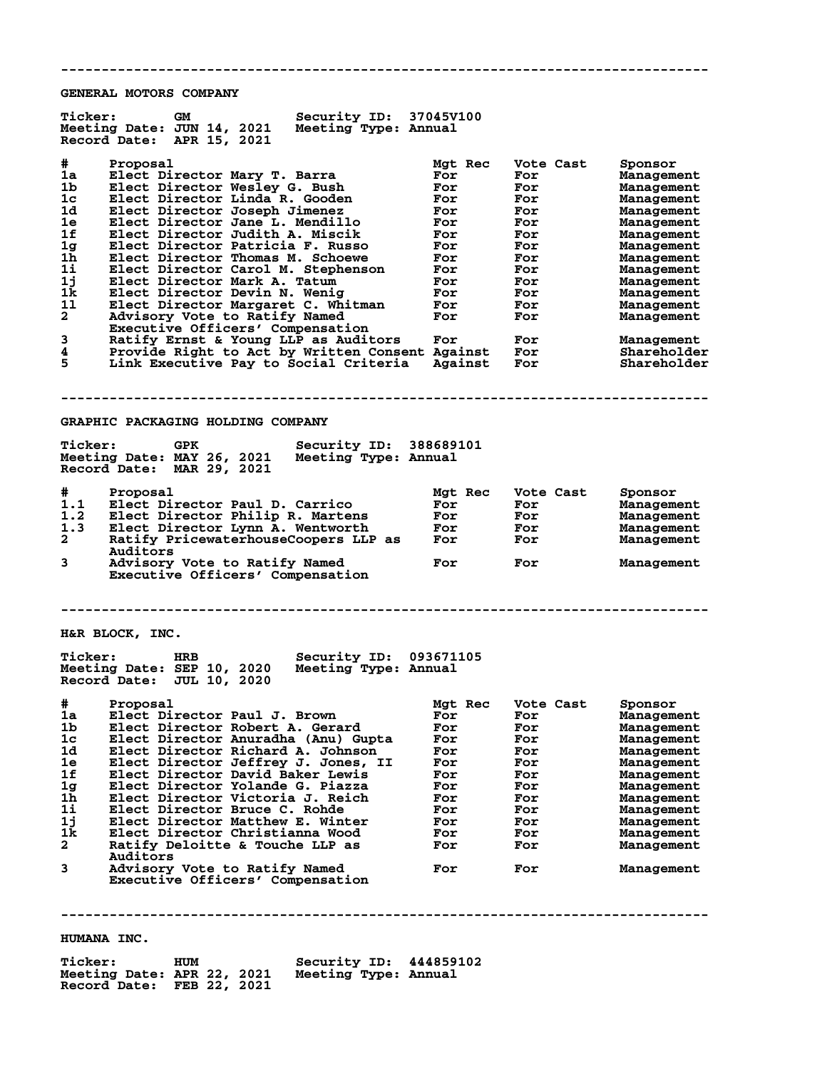**GENERAL MOTORS COMPANY**

| <b>Ticker:</b><br>Security ID: 37045V100<br>GМ<br>Meeting Date: JUN 14, 2021<br>Meeting Type: Annual<br>Record Date: APR 15, 2021                                                                                                                                                                                                                                                                                                                                                                                                                                                                                          |                                                                                                    |                                                                                                      |                                                                                                                                                                                                                                                       |
|----------------------------------------------------------------------------------------------------------------------------------------------------------------------------------------------------------------------------------------------------------------------------------------------------------------------------------------------------------------------------------------------------------------------------------------------------------------------------------------------------------------------------------------------------------------------------------------------------------------------------|----------------------------------------------------------------------------------------------------|------------------------------------------------------------------------------------------------------|-------------------------------------------------------------------------------------------------------------------------------------------------------------------------------------------------------------------------------------------------------|
| #<br>Proposal<br>1a<br>Elect Director Mary T. Barra<br>1 <sub>b</sub><br>Elect Director Wesley G. Bush<br>1c<br>Elect Director Linda R. Gooden<br>1d<br>Elect Director Joseph Jimenez<br>1e<br>Elect Director Jane L. Mendillo<br>1f<br>Elect Director Judith A. Miscik<br>1 <sub>g</sub><br>Elect Director Patricia F. Russo<br>1h<br>Elect Director Thomas M. Schoewe                                                                                                                                                                                                                                                    | Mgt Rec<br>For<br>For<br>For<br>For<br>For<br>For<br>For<br>For                                    | Vote Cast<br>For<br>For<br>For<br>For<br>For<br>For<br>For<br>For                                    | Sponsor<br>Management<br>Management<br>Management<br>Management<br>Management<br>Management<br><b>Management</b><br>Management                                                                                                                        |
| 1i<br>Elect Director Carol M. Stephenson<br>1j<br>Elect Director Mark A. Tatum<br>1k<br>Elect Director Devin N. Wenig<br>11<br>Elect Director Margaret C. Whitman<br>$\mathbf{2}$<br>Advisory Vote to Ratify Named<br>Executive Officers' Compensation                                                                                                                                                                                                                                                                                                                                                                     | For<br>For<br>For<br>For<br>For                                                                    | For<br>For<br>For<br>For<br>For                                                                      | Management<br>Management<br>Management<br>Management<br>Management                                                                                                                                                                                    |
| 3<br>Ratify Ernst & Young LLP as Auditors<br>4<br>Provide Right to Act by Written Consent Against For<br>5<br>Link Executive Pay to Social Criteria                                                                                                                                                                                                                                                                                                                                                                                                                                                                        | For<br>Against                                                                                     | For<br>For                                                                                           | Management<br>Shareholder<br>Shareholder                                                                                                                                                                                                              |
| GRAPHIC PACKAGING HOLDING COMPANY                                                                                                                                                                                                                                                                                                                                                                                                                                                                                                                                                                                          |                                                                                                    |                                                                                                      |                                                                                                                                                                                                                                                       |
| <b>Ticker:</b><br><b>GPK</b><br><b>Security ID:</b><br>Meeting Date: MAY 26, 2021<br>Meeting Type: Annual<br>Record Date: MAR 29, 2021                                                                                                                                                                                                                                                                                                                                                                                                                                                                                     | 388689101                                                                                          |                                                                                                      |                                                                                                                                                                                                                                                       |
| #<br>Proposal<br>1.1<br>Elect Director Paul D. Carrico<br>1.2<br>Elect Director Philip R. Martens<br>1.3<br>Elect Director Lynn A. Wentworth<br>$\mathbf{2}$<br>Ratify PricewaterhouseCoopers LLP as<br>Auditors<br>3<br>Advisory Vote to Ratify Named<br>Executive Officers' Compensation                                                                                                                                                                                                                                                                                                                                 | Mgt Rec<br>For<br>For<br><b>For</b><br>For<br>For                                                  | Vote Cast<br>For<br>For<br>For<br>For<br>For                                                         | Sponsor<br><b>Management</b><br>Management<br>Management<br>Management<br>Management                                                                                                                                                                  |
| H&R BLOCK, INC.                                                                                                                                                                                                                                                                                                                                                                                                                                                                                                                                                                                                            |                                                                                                    |                                                                                                      |                                                                                                                                                                                                                                                       |
| <b>Ticker:</b><br><b>Security ID:</b><br>HRB<br>Meeting Date: SEP 10, 2020<br>Meeting Type: Annual<br>Record Date: JUL 10, 2020                                                                                                                                                                                                                                                                                                                                                                                                                                                                                            | 093671105                                                                                          |                                                                                                      |                                                                                                                                                                                                                                                       |
| #<br>Proposal<br>Elect Director Paul J. Brown<br>ıa<br>Elect Director Robert A. Gerard<br>1b.<br>1c<br>Elect Director Anuradha (Anu) Gupta<br>Elect Director Richard A. Johnson<br>1d<br>Elect Director Jeffrey J. Jones, II<br>1e<br>1f<br>Elect Director David Baker Lewis<br>1g<br>Elect Director Yolande G. Piazza<br>1h<br>Elect Director Victoria J. Reich<br>1i<br>Elect Director Bruce C. Rohde<br>11<br>Elect Director Matthew E. Winter<br>Elect Director Christianna Wood<br>1k.<br>2.<br>Ratify Deloitte & Touche LLP as<br>Auditors<br>3<br>Advisory Vote to Ratify Named<br>Executive Officers' Compensation | Mgt Rec<br>For<br>For<br>For<br>For<br>For<br>For<br>For<br>For<br>For<br>For<br>For<br>For<br>For | Vote Cast<br>For<br>For<br>For<br>For<br>For<br>For<br>For<br>For<br>For<br>For<br>For<br>For<br>For | Sponsor<br>Management<br><b>Management</b><br>Management<br><b>Management</b><br>Management<br><b>Management</b><br><b>Management</b><br><b>Management</b><br><b>Management</b><br><b>Management</b><br>Management<br><b>Management</b><br>Management |
| HUMANA INC.                                                                                                                                                                                                                                                                                                                                                                                                                                                                                                                                                                                                                |                                                                                                    |                                                                                                      |                                                                                                                                                                                                                                                       |
|                                                                                                                                                                                                                                                                                                                                                                                                                                                                                                                                                                                                                            |                                                                                                    |                                                                                                      |                                                                                                                                                                                                                                                       |

**--------------------------------------------------------------------------------**

**Ticker: HUM Security ID: 444859102 Meeting Date: APR 22, 2021 Meeting Type: Annual Record Date: FEB 22, 2021**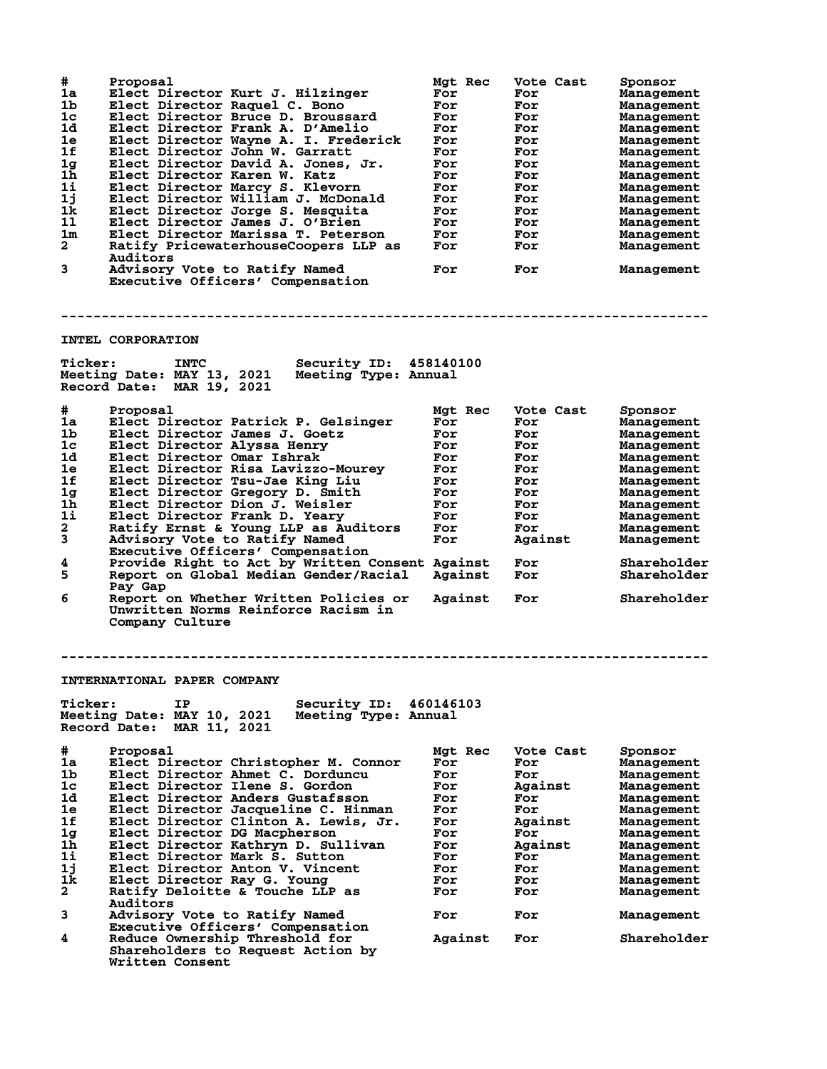| #<br>1a<br>1b<br>1 <sub>c</sub><br>1d<br>1e<br>1f<br>1 <sub>g</sub><br>1 <sub>h</sub><br>$1\mathbf{i}$<br>1j<br>1k<br>11<br>1m<br>$\overline{a}$<br>3 | Proposal<br>Elect Director Kurt J. Hilzinger<br>Elect Director Raquel C. Bono<br>Elect Director Bruce D. Broussard<br>Elect Director Frank A. D'Amelio<br>Elect Director Wayne A. I. Frederick<br>Elect Director John W. Garratt<br>Elect Director David A. Jones, Jr.<br>Elect Director Karen W. Katz<br>Elect Director Marcy S. Klevorn<br>Elect Director William J. McDonald<br>Elect Director Jorge S. Mesquita<br>Elect Director James J. O'Brien<br>Elect Director Marissa T. Peterson<br>Ratify PricewaterhouseCoopers LLP as<br>Auditors<br>Advisory Vote to Ratify Named<br>Executive Officers' Compensation | Mgt Rec<br>For<br>For<br>For<br>For<br>For<br>For<br>For<br>For<br>For<br>For<br>For<br>For<br>For<br>For<br>For | Vote Cast<br>For<br>For<br>For<br>For<br>For<br>For<br>For<br>For<br>For<br>For<br>For<br>For<br>For<br>For<br>For | Sponsor<br>Management<br>Management<br>Management<br>Management<br><b>Management</b><br>Management<br><b>Management</b><br>Management<br><b>Management</b><br><b>Management</b><br><b>Management</b><br>Management<br><b>Management</b><br>Management<br>Management |
|-------------------------------------------------------------------------------------------------------------------------------------------------------|-----------------------------------------------------------------------------------------------------------------------------------------------------------------------------------------------------------------------------------------------------------------------------------------------------------------------------------------------------------------------------------------------------------------------------------------------------------------------------------------------------------------------------------------------------------------------------------------------------------------------|------------------------------------------------------------------------------------------------------------------|--------------------------------------------------------------------------------------------------------------------|---------------------------------------------------------------------------------------------------------------------------------------------------------------------------------------------------------------------------------------------------------------------|
|                                                                                                                                                       |                                                                                                                                                                                                                                                                                                                                                                                                                                                                                                                                                                                                                       |                                                                                                                  |                                                                                                                    |                                                                                                                                                                                                                                                                     |
|                                                                                                                                                       | INTEL CORPORATION                                                                                                                                                                                                                                                                                                                                                                                                                                                                                                                                                                                                     |                                                                                                                  |                                                                                                                    |                                                                                                                                                                                                                                                                     |
| <b>Ticker:</b>                                                                                                                                        | Security ID: 458140100<br><b>INTC</b><br>Meeting Date: MAY 13, 2021<br>Meeting Type: Annual<br>Record Date: MAR 19, 2021                                                                                                                                                                                                                                                                                                                                                                                                                                                                                              |                                                                                                                  |                                                                                                                    |                                                                                                                                                                                                                                                                     |
| #                                                                                                                                                     | Proposal                                                                                                                                                                                                                                                                                                                                                                                                                                                                                                                                                                                                              | Mgt Rec                                                                                                          | Vote Cast                                                                                                          | Sponsor                                                                                                                                                                                                                                                             |
| 1a                                                                                                                                                    | Elect Director Patrick P. Gelsinger                                                                                                                                                                                                                                                                                                                                                                                                                                                                                                                                                                                   | For                                                                                                              | For                                                                                                                | Management                                                                                                                                                                                                                                                          |
| 1b                                                                                                                                                    | Elect Director James J. Goetz                                                                                                                                                                                                                                                                                                                                                                                                                                                                                                                                                                                         | For                                                                                                              | For                                                                                                                | Management                                                                                                                                                                                                                                                          |
| 1 <sub>c</sub>                                                                                                                                        | Elect Director Alyssa Henry                                                                                                                                                                                                                                                                                                                                                                                                                                                                                                                                                                                           | For                                                                                                              | For                                                                                                                | Management                                                                                                                                                                                                                                                          |
| 1d                                                                                                                                                    | Elect Director Omar Ishrak                                                                                                                                                                                                                                                                                                                                                                                                                                                                                                                                                                                            | For                                                                                                              | For                                                                                                                | <b>Management</b>                                                                                                                                                                                                                                                   |
| 1e<br>1f                                                                                                                                              | Elect Director Risa Lavizzo-Mourey                                                                                                                                                                                                                                                                                                                                                                                                                                                                                                                                                                                    | For                                                                                                              | For                                                                                                                | Management                                                                                                                                                                                                                                                          |
| 1 <sub>g</sub>                                                                                                                                        | Elect Director Tsu-Jae King Liu<br>Elect Director Gregory D. Smith                                                                                                                                                                                                                                                                                                                                                                                                                                                                                                                                                    | For<br>For                                                                                                       | For<br>For                                                                                                         | Management<br><b>Management</b>                                                                                                                                                                                                                                     |
| 1 <sub>h</sub>                                                                                                                                        | Elect Director Dion J. Weisler                                                                                                                                                                                                                                                                                                                                                                                                                                                                                                                                                                                        | For                                                                                                              | For                                                                                                                | <b>Management</b>                                                                                                                                                                                                                                                   |
| 11                                                                                                                                                    | Elect Director Frank D. Yeary                                                                                                                                                                                                                                                                                                                                                                                                                                                                                                                                                                                         | For                                                                                                              | For                                                                                                                | <b>Management</b>                                                                                                                                                                                                                                                   |
| $\mathbf{2}$                                                                                                                                          | Ratify Ernst & Young LLP as Auditors                                                                                                                                                                                                                                                                                                                                                                                                                                                                                                                                                                                  | For                                                                                                              | For                                                                                                                | Management                                                                                                                                                                                                                                                          |
| 3                                                                                                                                                     | Advisory Vote to Ratify Named<br>Executive Officers' Compensation                                                                                                                                                                                                                                                                                                                                                                                                                                                                                                                                                     | For                                                                                                              | Against                                                                                                            | Management                                                                                                                                                                                                                                                          |
| 4<br>5                                                                                                                                                | Provide Right to Act by Written Consent Against<br>Report on Global Median Gender/Racial                                                                                                                                                                                                                                                                                                                                                                                                                                                                                                                              | Against                                                                                                          | For<br>For                                                                                                         | Shareholder<br>Shareholder                                                                                                                                                                                                                                          |
| 6                                                                                                                                                     | Pay Gap<br>Report on Whether Written Policies or<br>Unwritten Norms Reinforce Racism in<br>Company Culture                                                                                                                                                                                                                                                                                                                                                                                                                                                                                                            | Against                                                                                                          | For                                                                                                                | Shareholder                                                                                                                                                                                                                                                         |
|                                                                                                                                                       |                                                                                                                                                                                                                                                                                                                                                                                                                                                                                                                                                                                                                       |                                                                                                                  |                                                                                                                    |                                                                                                                                                                                                                                                                     |
|                                                                                                                                                       | INTERNATIONAL PAPER COMPANY                                                                                                                                                                                                                                                                                                                                                                                                                                                                                                                                                                                           |                                                                                                                  |                                                                                                                    |                                                                                                                                                                                                                                                                     |
| <b>Ticker:</b>                                                                                                                                        | Security ID: 460146103<br>IΡ<br>Meeting Date: MAY 10, 2021<br>Meeting Type: Annual<br>Record Date: MAR 11, 2021                                                                                                                                                                                                                                                                                                                                                                                                                                                                                                       |                                                                                                                  |                                                                                                                    |                                                                                                                                                                                                                                                                     |
| #                                                                                                                                                     | Proposal                                                                                                                                                                                                                                                                                                                                                                                                                                                                                                                                                                                                              | Mat Rec                                                                                                          | Vote Cast                                                                                                          | Sponsor                                                                                                                                                                                                                                                             |
| 1a                                                                                                                                                    | Elect Director Christopher M. Connor                                                                                                                                                                                                                                                                                                                                                                                                                                                                                                                                                                                  | For                                                                                                              | For                                                                                                                | Management                                                                                                                                                                                                                                                          |
| 1b                                                                                                                                                    | Elect Director Ahmet C. Dorduncu                                                                                                                                                                                                                                                                                                                                                                                                                                                                                                                                                                                      | For                                                                                                              | For                                                                                                                | Management                                                                                                                                                                                                                                                          |
| 1c                                                                                                                                                    | Elect Director Ilene S. Gordon                                                                                                                                                                                                                                                                                                                                                                                                                                                                                                                                                                                        | For                                                                                                              | Against                                                                                                            | <b>Management</b>                                                                                                                                                                                                                                                   |
| 1d                                                                                                                                                    | Elect Director Anders Gustafsson                                                                                                                                                                                                                                                                                                                                                                                                                                                                                                                                                                                      | For                                                                                                              | For                                                                                                                | <b>Management</b>                                                                                                                                                                                                                                                   |
| 1e                                                                                                                                                    | Elect Director Jacqueline C. Hinman                                                                                                                                                                                                                                                                                                                                                                                                                                                                                                                                                                                   | For                                                                                                              | For                                                                                                                | Management                                                                                                                                                                                                                                                          |
| 1f                                                                                                                                                    | Elect Director Clinton A. Lewis, Jr.                                                                                                                                                                                                                                                                                                                                                                                                                                                                                                                                                                                  | For                                                                                                              | Against                                                                                                            | <b>Management</b>                                                                                                                                                                                                                                                   |
| 1 <sub>g</sub><br>$1\bar{h}$                                                                                                                          | Elect Director DG Macpherson                                                                                                                                                                                                                                                                                                                                                                                                                                                                                                                                                                                          | For                                                                                                              | For                                                                                                                | <b>Management</b>                                                                                                                                                                                                                                                   |
| 1i                                                                                                                                                    | Elect Director Kathryn D. Sullivan<br>Elect Director Mark S. Sutton                                                                                                                                                                                                                                                                                                                                                                                                                                                                                                                                                   | For<br>For                                                                                                       | Against<br>For                                                                                                     | <b>Management</b><br><b>Management</b>                                                                                                                                                                                                                              |
| 1j                                                                                                                                                    | Elect Director Anton V. Vincent                                                                                                                                                                                                                                                                                                                                                                                                                                                                                                                                                                                       | For                                                                                                              | For                                                                                                                | <b>Management</b>                                                                                                                                                                                                                                                   |
| 1k                                                                                                                                                    | Elect Director Ray G. Young                                                                                                                                                                                                                                                                                                                                                                                                                                                                                                                                                                                           | For                                                                                                              | For                                                                                                                | <b>Management</b>                                                                                                                                                                                                                                                   |
| $\mathbf{2}$                                                                                                                                          | Ratify Deloitte & Touche LLP as                                                                                                                                                                                                                                                                                                                                                                                                                                                                                                                                                                                       | For                                                                                                              | For                                                                                                                | <b>Management</b>                                                                                                                                                                                                                                                   |
|                                                                                                                                                       | Auditors                                                                                                                                                                                                                                                                                                                                                                                                                                                                                                                                                                                                              |                                                                                                                  |                                                                                                                    |                                                                                                                                                                                                                                                                     |
| 3                                                                                                                                                     | Advisory Vote to Ratify Named<br>Executive Officers' Compensation                                                                                                                                                                                                                                                                                                                                                                                                                                                                                                                                                     | For                                                                                                              | For                                                                                                                | <b>Management</b>                                                                                                                                                                                                                                                   |
| 4                                                                                                                                                     | Reduce Ownership Threshold for<br>Shareholders to Request Action by<br>Written Consent                                                                                                                                                                                                                                                                                                                                                                                                                                                                                                                                | Against                                                                                                          | For                                                                                                                | Shareholder                                                                                                                                                                                                                                                         |
|                                                                                                                                                       |                                                                                                                                                                                                                                                                                                                                                                                                                                                                                                                                                                                                                       |                                                                                                                  |                                                                                                                    |                                                                                                                                                                                                                                                                     |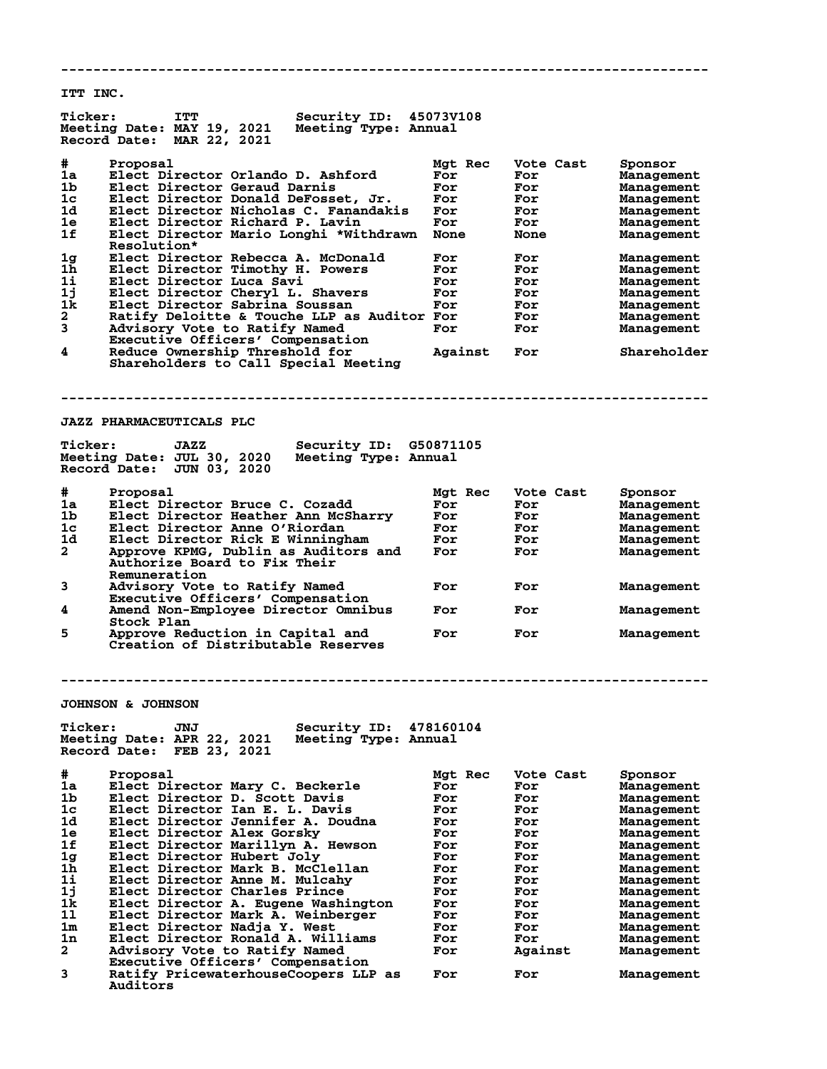**-------------------------------------------------------------------------------- ITT INC. Ticker: ITT Security ID: 45073V108 Meeting Date: MAY 19, 2021 Meeting Type: Annual Record Date: MAR 22, 2021 #** Proposal<br>1a Elect Director Orlando D. Ashford Mgt Rec Vote Cast Sponsor<br>1b Elect Director Geraud Darnis For For Management<br>1c Elect Director Donald DeFosset Trumpers Trumpers To **1** Elect Director Orlando D. Ashford For For Management<br> **1** Elect Director Geraud Darnis For For Management **1b Elect Director Geraud Darnis For For Management 1c Elect Director Donald DeFosset, Jr. For For Management 1d Elect Director Nicholas C. Fanandakis For For Management 1e Elect Director Richard P. Lavin For For Management 1f Elect Director Mario Longhi \*Withdrawn None None Management Resolution\***<br>**1g** Elect Direct<br>**1h** Elect Direct **1g Elect Director Rebecca A. McDonald For For Management 1h Elect Director Timothy H. Powers For For Management 1i Elect Director Luca Savi For For Management 1j Elect Director Cheryl L. Shavers For For Management 1k Elect Director Sabrina Soussan For For Management 2 Ratify Deloitte & Touche LLP as Auditor For For Management 3 Advisory Vote to Ratify Named For For Management Ratify Deloitte & Touche LLP as A<br>3 Advisory Vote to Ratify Named<br>Executive Officers' Compensation<br>4 Reduce Ownership Threshold for 4 Reduce Ownership Threshold for Against For Shareholder Shareholders to Call Special Meeting -------------------------------------------------------------------------------- JAZZ PHARMACEUTICALS PLC Ticker: JAZZ Security ID: G50871105 Meeting Date: JUL 30, 2020 Meeting Type: Annual Record Date: JUN 03, 2020 # Proposal Mgt Rec Vote Cast Sponsor 1a Elect Director Bruce C. Cozadd For For Management 1b Elect Director Heather Ann McSharry For For Management 1c Elect Director Anne O'Riordan For For Management 1d Elect Director Rick E Winningham For For Management 2 Approve KPMG, Dublin as Auditors and For For Management 2 Approve KPMG, Dublin as Audit<br>Authorize Board to Fix Their Remuneration**<br>3 Advisory Vote Advisory Vote to Ratify Named **For** For **For** Management  **Executive Officers' Compensation 4 Amend Non-Employee Director Omnibus For For Management Stock Plan 5 Approve Reduction in Capital and For For Management Creation of Distributable Reserves -------------------------------------------------------------------------------- JOHNSON & JOHNSON Ticker: JNJ Security ID: 478160104 Meeting Date: APR 22, 2021 Meeting Type: Annual Record Date: FEB 23, 2021 # Proposal Mgt Rec Vote Cast Sponsor 1a Elect Director Mary C. Beckerle For For Management 1b Elect Director D. Scott Davis For For Management 1c Elect Director Ian E. L. Davis For For Management 1d Elect Director Jennifer A. Doudna For For Management 1e Elect Director Alex Gorsky For For Management 1f Elect Director Marillyn A. Hewson For For Management 1g Elect Director Hubert Joly For For Management 1h Elect Director Mark B. McClellan For For Management 1i Elect Director Anne M. Mulcahy For For Management 1j Elect Director Charles Prince For For Management 1k Elect Director A. Eugene Washington For For Management 1l Elect Director Mark A. Weinberger For For Management 1m Elect Director Nadja Y. West For For Management 1n Elect Director Ronald A. Williams For For Management 2 Advisory Vote to Ratify Named For Against Management Executive Officers' Compensation Executive Officers' Compensation**<br>
3 Ratify PricewaterhouseCoopers LLP as For For Management

 **Auditors**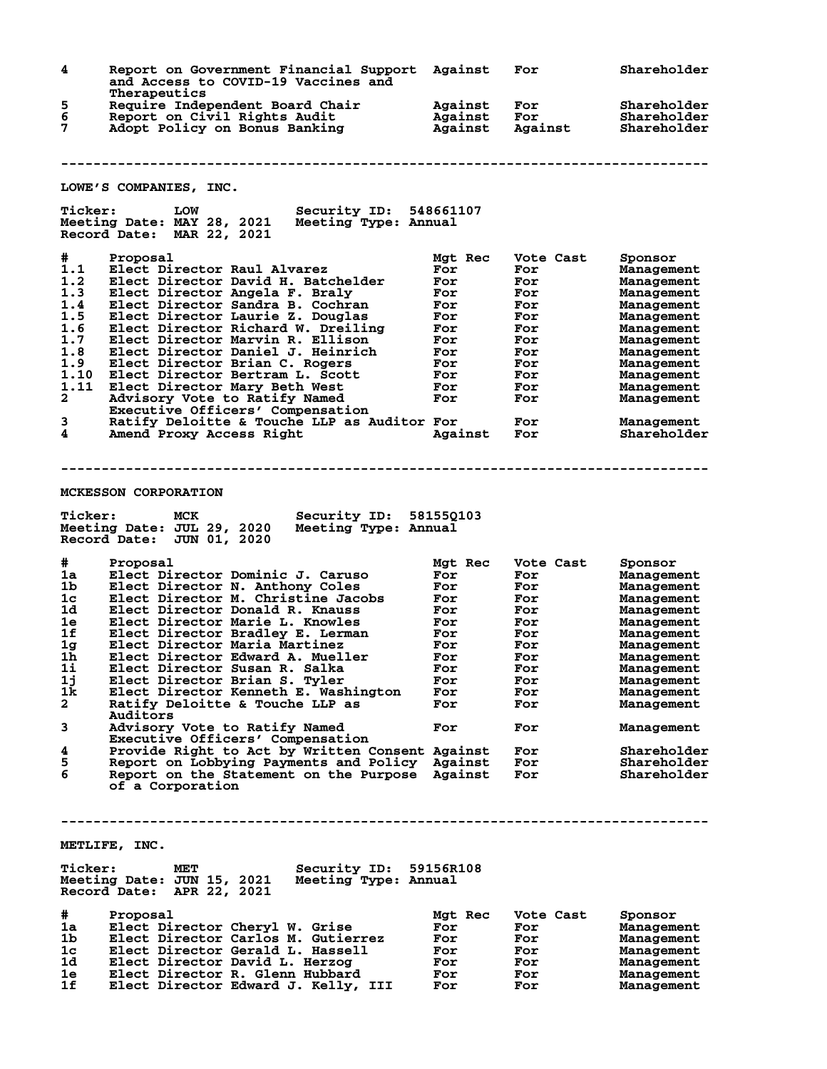| 4                   | Report on Government Financial Support<br>and Access to COVID-19 Vaccines and<br>Therapeutics                             | Against                       | For                   | Shareholder                               |
|---------------------|---------------------------------------------------------------------------------------------------------------------------|-------------------------------|-----------------------|-------------------------------------------|
| 5<br>6<br>7         | Require Independent Board Chair<br>Report on Civil Rights Audit<br>Adopt Policy on Bonus Banking                          | Against<br>Against<br>Against | For<br>For<br>Against | Shareholder<br>Shareholder<br>Shareholder |
|                     |                                                                                                                           |                               |                       |                                           |
|                     | LOWE'S COMPANIES, INC.                                                                                                    |                               |                       |                                           |
| <b>Ticker:</b>      | <b>LOW</b><br><b>Security ID:</b>                                                                                         | 548661107                     |                       |                                           |
|                     | Meeting Date: MAY 28, 2021<br>Meeting Type: Annual<br>Record Date: MAR 22, 2021                                           |                               |                       |                                           |
| #                   | Proposal                                                                                                                  | Mgt Rec                       | Vote Cast             | Sponsor                                   |
| 1.1                 | Elect Director Raul Alvarez                                                                                               | For                           | For                   | Management                                |
| 1.2<br>1.3          | Elect Director David H. Batchelder<br>Elect Director Angela F. Braly                                                      | For<br>For                    | For<br>For            | Management                                |
| 1.4                 | Elect Director Sandra B. Cochran                                                                                          | For                           | For                   | Management<br>Management                  |
| 1.5                 | Elect Director Laurie Z. Douglas                                                                                          | For                           | For                   | Management                                |
| 1.6                 | Elect Director Richard W. Dreiling                                                                                        | For                           | For                   | Management                                |
| 1.7                 | Elect Director Marvin R. Ellison                                                                                          | For                           | For                   | Management                                |
| 1.8                 | Elect Director Daniel J. Heinrich                                                                                         | For                           | For                   | Management                                |
| 1.9                 | Elect Director Brian C. Rogers                                                                                            | For                           | For                   | Management                                |
| 1.10                | Elect Director Bertram L. Scott                                                                                           | For                           | For                   | Management                                |
| 1.11<br>2           | Elect Director Mary Beth West                                                                                             | For<br>For                    | For<br>For            | Management                                |
|                     | Advisory Vote to Ratify Named<br>Executive Officers' Compensation                                                         |                               |                       | Management                                |
| 3                   | Ratify Deloitte & Touche LLP as Auditor For                                                                               |                               | For                   | Management                                |
| 4                   | Amend Proxy Access Right                                                                                                  | Against                       | For                   | Shareholder                               |
| <b>Ticker:</b><br># | MCK<br><b>Security ID:</b><br>Meeting Date: JUL 29, 2020<br>Meeting Type: Annual<br>Record Date: JUN 01, 2020<br>Proposal | 58155Q103<br>Mgt Rec          | Vote Cast             | Sponsor                                   |
| 1a                  | Elect Director Dominic J. Caruso                                                                                          | For                           | For                   | Management                                |
| 1b                  | Elect Director N. Anthony Coles                                                                                           | For                           | For                   | Management                                |
| 1 <sub>c</sub>      | Elect Director M. Christine Jacobs                                                                                        | For                           | For                   | Management                                |
| 1d                  | Elect Director Donald R. Knauss                                                                                           | For                           | For                   | Management                                |
| 1e<br>1f            | Elect Director Marie L. Knowles<br>Elect Director Bradley E. Lerman                                                       | For                           | For                   | Management                                |
| 1 <sub>g</sub>      | Elect Director Maria Martinez                                                                                             | For<br>For                    | For<br>For            | Management<br>Management                  |
| 1h                  | Elect Director Edward A. Mueller                                                                                          | For                           | For                   | Management                                |
| 1i                  | Elect Director Susan R. Salka                                                                                             | For                           | For                   | Management                                |
| 1j                  | Elect Director Brian S. Tyler                                                                                             | For                           | For                   | Management                                |
| 1k                  | Elect Director Kenneth E. Washington                                                                                      | For                           | For                   | Management                                |
| $\mathbf{2}$        | Ratify Deloitte & Touche LLP as                                                                                           | For                           | For                   | Management                                |
| 3                   | Auditors<br>Advisory Vote to Ratify Named                                                                                 | For                           | For                   | Management                                |
|                     | Executive Officers' Compensation                                                                                          |                               |                       |                                           |
| 4                   | Provide Right to Act by Written Consent Against                                                                           |                               | For                   | Shareholder                               |
| 5                   | Report on Lobbying Payments and Policy Against                                                                            |                               | For                   | Shareholder                               |
| 6                   | Report on the Statement on the Purpose Against<br>of a Corporation                                                        |                               | For                   | Shareholder                               |
|                     | METLIFE, INC.                                                                                                             |                               |                       |                                           |
| <b>Ticker:</b>      | Security ID: 59156R108<br>MET<br>Meeting Date: JUN 15, 2021<br>Meeting Type: Annual<br>Record Date: APR 22, 2021          |                               |                       |                                           |
| #                   | Proposal                                                                                                                  | Mgt Rec                       | Vote Cast             |                                           |
| 1a                  | Elect Director Cheryl W. Grise                                                                                            | For                           | For                   | Sponsor<br>Management                     |
| 1 <sub>b</sub>      | Elect Director Carlos M. Gutierrez                                                                                        | For                           | For                   | Management                                |
| 1 <sub>c</sub>      | Elect Director Gerald L. Hassell                                                                                          | For                           | For                   | Management                                |
| 1d                  | Elect Director David L. Herzog                                                                                            | For                           | For                   | Management                                |
| 1e                  | Elect Director R. Glenn Hubbard                                                                                           | For                           | For                   | Management                                |
| 1f                  | Elect Director Edward J. Kelly, III                                                                                       | For                           | For                   | Management                                |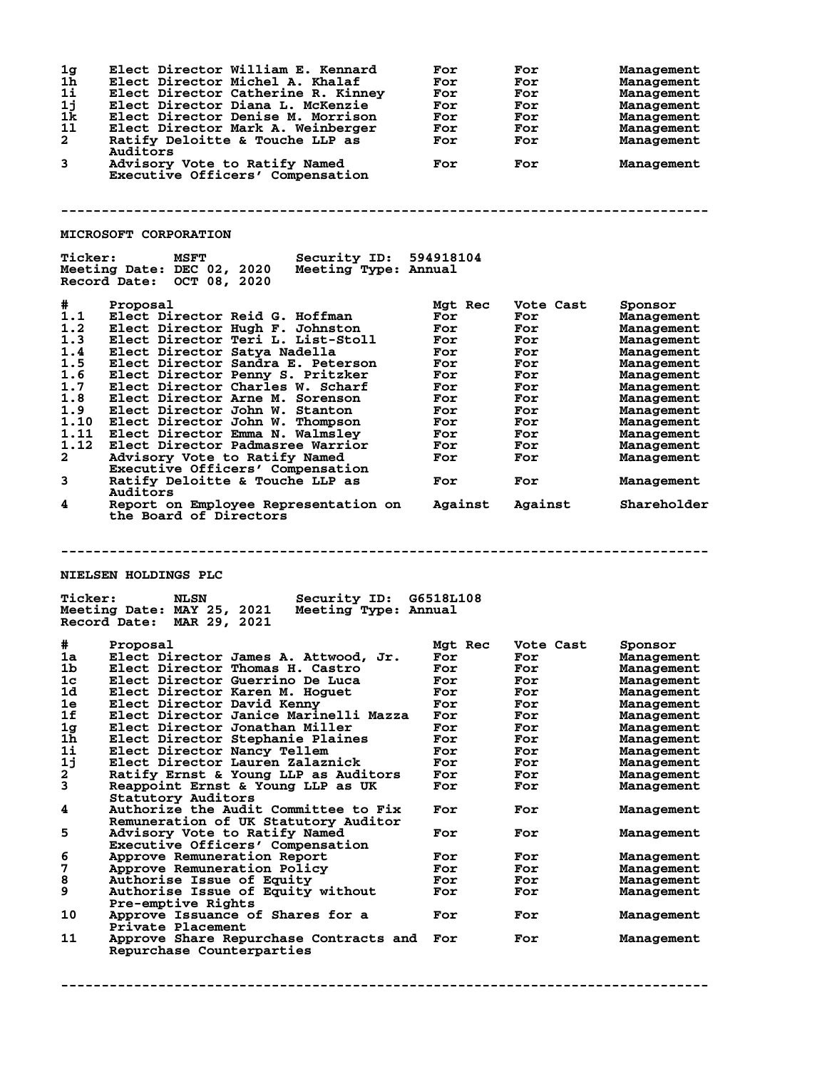| 1j<br>1k<br>11<br>$\mathbf{2}$<br>3                                                                                                          | Elect Director William E. Kennard<br>Elect Director Michel A. Khalaf<br>Elect Director Catherine R. Kinney<br>Elect Director Diana L. McKenzie<br>Elect Director Denise M. Morrison<br>Elect Director Mark A. Weinberger<br>Ratify Deloitte & Touche LLP as<br>Auditors<br>Advisory Vote to Ratify Named<br>Executive Officers' Compensation<br><b>MICROSOFT CORPORATION</b>                                                                                                                                                                                                                                                    | For<br>For<br>For<br>For<br>For<br>For<br>For<br>For                                                      | For<br>For<br>For<br>For<br>For<br>For<br>For<br>For                                                        | Management<br>Management<br>Management<br>Management<br>Management<br>Management<br>Management<br>Management                                                                                                |
|----------------------------------------------------------------------------------------------------------------------------------------------|---------------------------------------------------------------------------------------------------------------------------------------------------------------------------------------------------------------------------------------------------------------------------------------------------------------------------------------------------------------------------------------------------------------------------------------------------------------------------------------------------------------------------------------------------------------------------------------------------------------------------------|-----------------------------------------------------------------------------------------------------------|-------------------------------------------------------------------------------------------------------------|-------------------------------------------------------------------------------------------------------------------------------------------------------------------------------------------------------------|
| <b>Ticker:</b>                                                                                                                               | MSFT<br><b>Security ID: 594918104</b><br>Meeting Date: DEC 02, 2020<br>Meeting Type: Annual<br>Record Date: OCT 08, 2020                                                                                                                                                                                                                                                                                                                                                                                                                                                                                                        |                                                                                                           |                                                                                                             |                                                                                                                                                                                                             |
| #<br>1.1<br>1.2<br>1.3<br>1.4<br>1.5<br>1.6<br>1.7<br>1.8<br>1.9<br>1.10<br>1.11<br>1.12<br>$\mathbf{2}$<br>3                                | Proposal<br>Elect Director Reid G. Hoffman<br>Elect Director Hugh F. Johnston<br>Elect Director Teri L. List-Stoll<br>Elect Director Satva Nadella<br>Elect Director Sandra E. Peterson<br>Elect Director Penny S. Pritzker<br>Elect Director Charles W. Scharf<br>Elect Director Arne M. Sorenson<br>Elect Director John W. Stanton<br>Elect Director John W. Thompson<br>Elect Director Emma N. Walmsley<br>Elect Director Padmasree Warrior<br>Advisory Vote to Ratify Named<br>Executive Officers' Compensation<br>Ratify Deloitte & Touche LLP as                                                                          | Mgt Rec<br>For<br>For<br>For<br>For<br>For<br>For<br>For<br>For<br>For<br>For<br>For<br>For<br>For<br>For | Vote Cast<br>For<br>For<br>For<br>For<br>For<br>For<br>For<br>For<br>For<br>For<br>For<br>For<br>For<br>For | Sponsor<br>Management<br>Management<br>Management<br>Management<br>Management<br>Management<br>Management<br>Management<br>Management<br>Management<br>Management<br>Management<br>Management               |
| 4                                                                                                                                            | Auditors<br>Report on Employee Representation on<br>the Board of Directors                                                                                                                                                                                                                                                                                                                                                                                                                                                                                                                                                      | Against                                                                                                   | Against                                                                                                     | Management<br>Shareholder                                                                                                                                                                                   |
| <b>NIELSEN HOLDINGS PLC</b><br><b>Ticker:</b><br><b>NLSN</b><br>Security ID: G6518L108<br>Meeting Date: MAY 25, 2021<br>Meeting Type: Annual |                                                                                                                                                                                                                                                                                                                                                                                                                                                                                                                                                                                                                                 |                                                                                                           |                                                                                                             |                                                                                                                                                                                                             |
|                                                                                                                                              | Record Date: MAR 29, 2021                                                                                                                                                                                                                                                                                                                                                                                                                                                                                                                                                                                                       |                                                                                                           |                                                                                                             |                                                                                                                                                                                                             |
| #<br>1a<br>ıb<br>1 <sub>c</sub><br>1d<br>1e<br>1f<br>1g<br>$1\bar{h}$<br>$1\text{i}$<br>1j<br>2<br>3<br>4<br>5                               | Proposal<br>Elect Director James A. Attwood, Jr.<br>Elect Director Thomas H. Castro<br>Elect Director Guerrino De Luca<br>Elect Director Karen M. Hoguet<br>Elect Director David Kenny<br>Elect Director Janice Marinelli Mazza<br>Elect Director Jonathan Miller<br>Elect Director Stephanie Plaines<br>Elect Director Nancy Tellem<br>Elect Director Lauren Zalaznick<br>Ratify Ernst & Young LLP as Auditors<br>Reappoint Ernst & Young LLP as UK<br>Statutory Auditors<br>Authorize the Audit Committee to Fix<br>Remuneration of UK Statutory Auditor<br>Advisory Vote to Ratify Named<br>Executive Officers' Compensation | Mgt Rec<br>For<br>For<br>For<br>For<br>For<br>For<br>For<br>For<br>For<br>For<br>For<br>For<br>For<br>For | Vote Cast<br>For<br>For<br>For<br>For<br>For<br>For<br>For<br>For<br>For<br>For<br>For<br>For<br>For<br>For | Sponsor<br>Management<br>Management<br>Management<br>Management<br>Management<br>Management<br>Management<br>Management<br>Management<br>Management<br>Management<br>Management<br>Management<br>Management |

## **--------------------------------------------------------------------------------**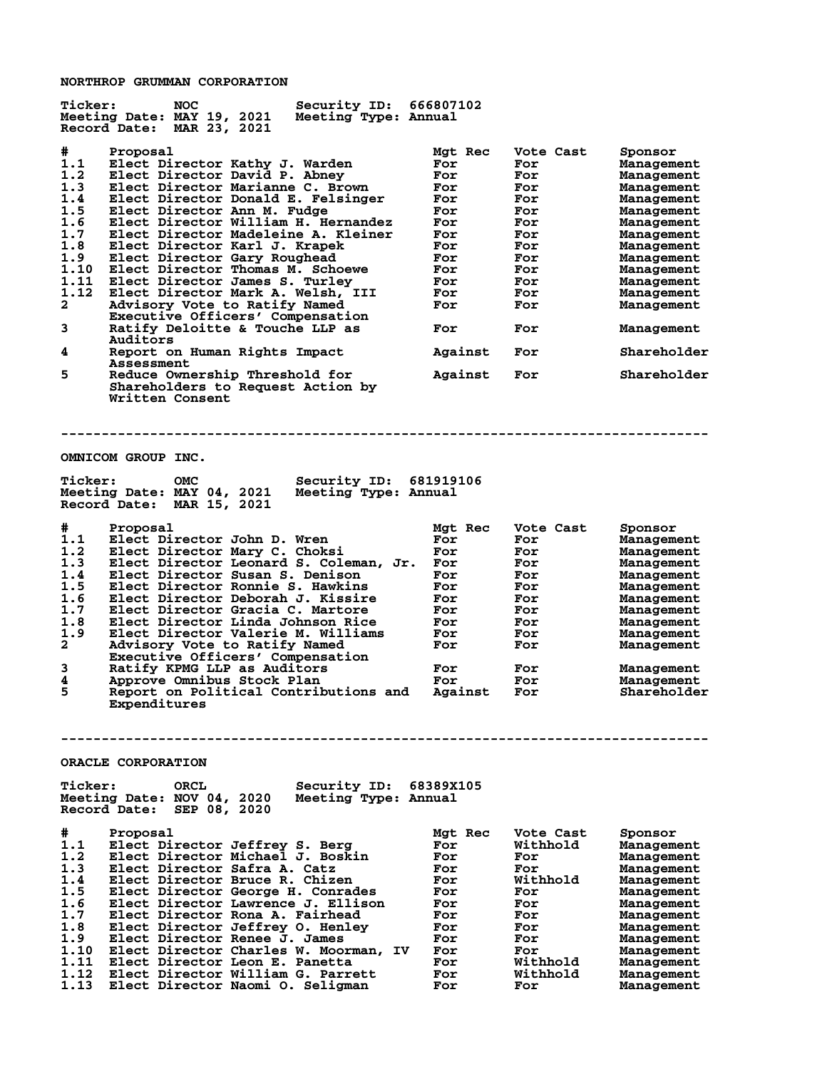**NORTHROP GRUMMAN CORPORATION**

**Ticker: NOC Security ID: 666807102 Meeting Date: MAY 19, 2021 Meeting Type: Annual Record Date: MAR 23, 2021 # Proposal Mgt Rec Vote Cast Sponsor 1.1 Elect Director Kathy J. Warden For For Management 1.2 Elect Director David P. Abney For For Management 1.3 Elect Director Marianne C. Brown For For Management 1.4 Elect Director Donald E. Felsinger For For Management 1.5 Elect Director Ann M. Fudge For For Management 1.6 Elect Director William H. Hernandez For For Management 1.7 Elect Director Madeleine A. Kleiner For For Management 1.8 Elect Director Karl J. Krapek For For Management 1.9 Elect Director Gary Roughead For For Management 1.10 Elect Director Thomas M. Schoewe For For Management 1.11 Elect Director James S. Turley For For Management 1.12 Elect Director Mark A. Welsh, III For For Management 2 Advisory Vote to Ratify Named For For Management Executive Officers' Compensation 3 Ratify Deloitte & Touche LLP as For For Management Auditors 4 Report on Human Rights Impact Against For Shareholder** Assessment<br>5 Reduce Owne **5 Reduce Ownership Threshold for Against For Shareholder Shareholders to Request Action by Written Consent -------------------------------------------------------------------------------- OMNICOM GROUP INC. Ticker: OMC Security ID: 681919106 Meeting Date: MAY 04, 2021 Meeting Type: Annual Record Date: MAR 15, 2021 # Proposal Mgt Rec Vote Cast Sponsor 1.1 Elect Director John D. Wren For For Management 1.2 Elect Director Mary C. Choksi For For Management 1.3 Elect Director Leonard S. Coleman, Jr. For For Management 1.4 Elect Director Susan S. Denison For For Management 1.5 Elect Director Ronnie S. Hawkins For For Management 1.6 Elect Director Deborah J. Kissire For For Management 1.7 Elect Director Gracia C. Martore For For Management 1.8 Elect Director Linda Johnson Rice For For Management 1.9 Elect Director Valerie M. Williams For For Management 2 Advisory Vote to Ratify Named For For Management Executive Officers' Compensation 3 Ratify KPMG LLP as Auditors For For Management 4 Approve Omnibus Stock Plan For For Management 5 Report on Political Contributions and Against For Shareholder Expenditures -------------------------------------------------------------------------------- ORACLE CORPORATION Ticker: ORCL Security ID: 68389X105 Meeting Date: NOV 04, 2020 Meeting Type: Annual Record Date: SEP 08, 2020 # Proposal Mgt Rec Vote Cast Sponsor 1.1 Elect Director Jeffrey S. Berg For Withhold Management 1.2 Elect Director Michael J. Boskin For For Management 1.3 Elect Director Safra A. Catz For For Management 1.4 Elect Director Bruce R. Chizen For Withhold Management 1.5 Elect Director George H. Conrades For For Management 1.6 Elect Director Lawrence J. Ellison For For Management 1.7 Elect Director Rona A. Fairhead For For Management 1.8 Elect Director Jeffrey O. Henley For For Management 1.9 Elect Director Renee J. James For For Management 1.10 Elect Director Charles W. Moorman, IV For For Management 1.11 Elect Director Leon E. Panetta For Withhold Management 1.12 Elect Director William G. Parrett For Withhold Management 1.13 Elect Director Naomi O. Seligman For For Management**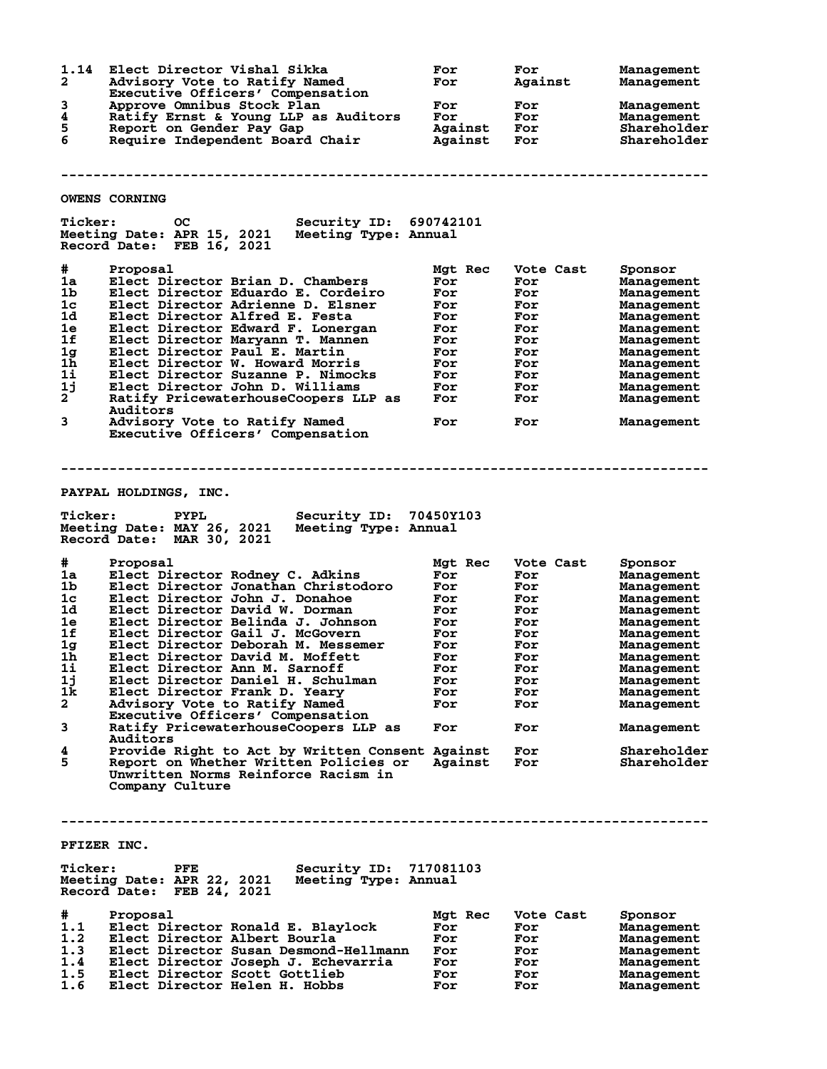| 1.14<br>$\mathbf{2}$<br>3                                                                                      | Elect Director Vishal Sikka<br>Advisory Vote to Ratify Named<br>Executive Officers' Compensation<br>Approve Omnibus Stock Plan                                                                                                                                                                                                                                                                                                                                                                                                                                                                                                                                                                | For<br>For<br>For                                                                                             | For<br>Against<br>For                                                                                              | <b>Management</b><br>Management<br>Management                                                                                                                                                                                             |
|----------------------------------------------------------------------------------------------------------------|-----------------------------------------------------------------------------------------------------------------------------------------------------------------------------------------------------------------------------------------------------------------------------------------------------------------------------------------------------------------------------------------------------------------------------------------------------------------------------------------------------------------------------------------------------------------------------------------------------------------------------------------------------------------------------------------------|---------------------------------------------------------------------------------------------------------------|--------------------------------------------------------------------------------------------------------------------|-------------------------------------------------------------------------------------------------------------------------------------------------------------------------------------------------------------------------------------------|
| 4<br>5<br>6                                                                                                    | Ratify Ernst & Young LLP as Auditors<br>Report on Gender Pay Gap<br>Require Independent Board Chair                                                                                                                                                                                                                                                                                                                                                                                                                                                                                                                                                                                           | For<br>Against<br>Against                                                                                     | For<br>For<br>For                                                                                                  | <b>Management</b><br>Shareholder<br>Shareholder                                                                                                                                                                                           |
|                                                                                                                |                                                                                                                                                                                                                                                                                                                                                                                                                                                                                                                                                                                                                                                                                               |                                                                                                               |                                                                                                                    |                                                                                                                                                                                                                                           |
|                                                                                                                | <b>OWENS CORNING</b>                                                                                                                                                                                                                                                                                                                                                                                                                                                                                                                                                                                                                                                                          |                                                                                                               |                                                                                                                    |                                                                                                                                                                                                                                           |
| <b>Ticker:</b>                                                                                                 | <b>OC</b><br>Security ID: 690742101<br>Meeting Date: APR 15, 2021<br>Meeting Type: Annual<br>Record Date: FEB 16, 2021                                                                                                                                                                                                                                                                                                                                                                                                                                                                                                                                                                        |                                                                                                               |                                                                                                                    |                                                                                                                                                                                                                                           |
| #<br>1a<br>1 <sub>b</sub><br>1 <sub>c</sub><br>1d<br>1e<br>1f<br>1g<br>$1\bar{h}$<br>1i<br>1j                  | Proposal<br>Elect Director Brian D. Chambers<br>Elect Director Eduardo E. Cordeiro<br>Elect Director Adrienne D. Elsner<br>Elect Director Alfred E. Festa<br>Elect Director Edward F. Lonergan<br>Elect Director Maryann T. Mannen<br>Elect Director Paul E. Martin<br>Elect Director W. Howard Morris<br>Elect Director Suzanne P. Nimocks<br>Elect Director John D. Williams                                                                                                                                                                                                                                                                                                                | Mgt Rec<br>For<br>For<br>For<br>For<br>For<br>For<br>For<br>For<br>For<br>For                                 | Vote Cast<br>For<br>For<br>For<br>For<br>For<br>For<br>For<br>For<br>For<br>For                                    | Sponsor<br><b>Management</b><br>Management<br>Management<br>Management<br>Management<br>Management<br>Management<br>Management<br>Management<br>Management                                                                                |
| $2^{-}$                                                                                                        | Ratify PricewaterhouseCoopers LLP as<br>Auditors                                                                                                                                                                                                                                                                                                                                                                                                                                                                                                                                                                                                                                              | For                                                                                                           | For                                                                                                                | Management                                                                                                                                                                                                                                |
| 3                                                                                                              | Advisory Vote to Ratify Named<br>Executive Officers' Compensation                                                                                                                                                                                                                                                                                                                                                                                                                                                                                                                                                                                                                             | For                                                                                                           | For                                                                                                                | Management                                                                                                                                                                                                                                |
| <b>Ticker:</b>                                                                                                 | PAYPAL HOLDINGS, INC.<br>Security ID: 70450Y103<br><b>PYPL</b><br>Meeting Date: MAY 26, 2021<br>Meeting Type: Annual<br>Record Date: MAR 30, 2021                                                                                                                                                                                                                                                                                                                                                                                                                                                                                                                                             |                                                                                                               |                                                                                                                    |                                                                                                                                                                                                                                           |
| #<br>1a<br>1b<br>1 <sub>c</sub><br>1d<br>1e<br>1f<br>1g<br>1h<br>1i<br>1j<br>1k<br>$\mathbf{2}$<br>3<br>4<br>5 | Proposal<br>Elect Director Rodney C. Adkins<br>Elect Director Jonathan Christodoro<br>Elect Director John J. Donahoe<br>Elect Director David W. Dorman<br>Elect Director Belinda J. Johnson<br>Elect Director Gail J. McGovern<br>Elect Director Deborah M. Messemer<br>Elect Director David M. Moffett<br>Elect Director Ann M. Sarnoff<br>Elect Director Daniel H. Schulman<br>Elect Director Frank D. Yeary<br>Advisory Vote to Ratify Named<br>Executive Officers' Compensation<br>Ratify PricewaterhouseCoopers LLP as<br>Auditors<br>Provide Right to Act by Written Consent Against<br>Report on Whether Written Policies or<br>Unwritten Norms Reinforce Racism in<br>Company Culture | Mgt Rec<br>For<br>For<br>For<br>For<br>For<br>For<br>For<br>For<br>For<br>For<br>For<br>For<br>For<br>Against | Vote Cast<br>For<br>For<br>For<br>For<br>For<br>For<br>For<br>For<br>For<br>For<br>For<br>For<br>For<br>For<br>For | Sponsor<br><b>Management</b><br>Management<br>Management<br>Management<br><b>Management</b><br>Management<br>Management<br>Management<br>Management<br>Management<br>Management<br>Management<br>Management<br>Shareholder<br>Shareholder |
| PFIZER INC.                                                                                                    |                                                                                                                                                                                                                                                                                                                                                                                                                                                                                                                                                                                                                                                                                               |                                                                                                               |                                                                                                                    |                                                                                                                                                                                                                                           |
| <b>Ticker:</b>                                                                                                 | Security ID: 717081103<br>PFE<br>Meeting Date: APR 22, 2021<br>Meeting Type: Annual<br>Record Date: FEB 24, 2021                                                                                                                                                                                                                                                                                                                                                                                                                                                                                                                                                                              |                                                                                                               |                                                                                                                    |                                                                                                                                                                                                                                           |
| #<br>1.1<br>1.2<br>1.3<br>1.4<br>1.5<br>1.6                                                                    | Proposal<br>Elect Director Ronald E. Blaylock<br>Elect Director Albert Bourla<br>Elect Director Susan Desmond-Hellmann<br>Elect Director Joseph J. Echevarria<br>Elect Director Scott Gottlieb<br>Elect Director Helen H. Hobbs                                                                                                                                                                                                                                                                                                                                                                                                                                                               | Mgt Rec<br>For<br>For<br>For<br>For<br>For<br>For                                                             | Vote Cast<br>For<br>For<br>For<br>For<br>For<br>For                                                                | Sponsor<br>Management<br>Management<br>Management<br>Management<br>Management<br>Management                                                                                                                                               |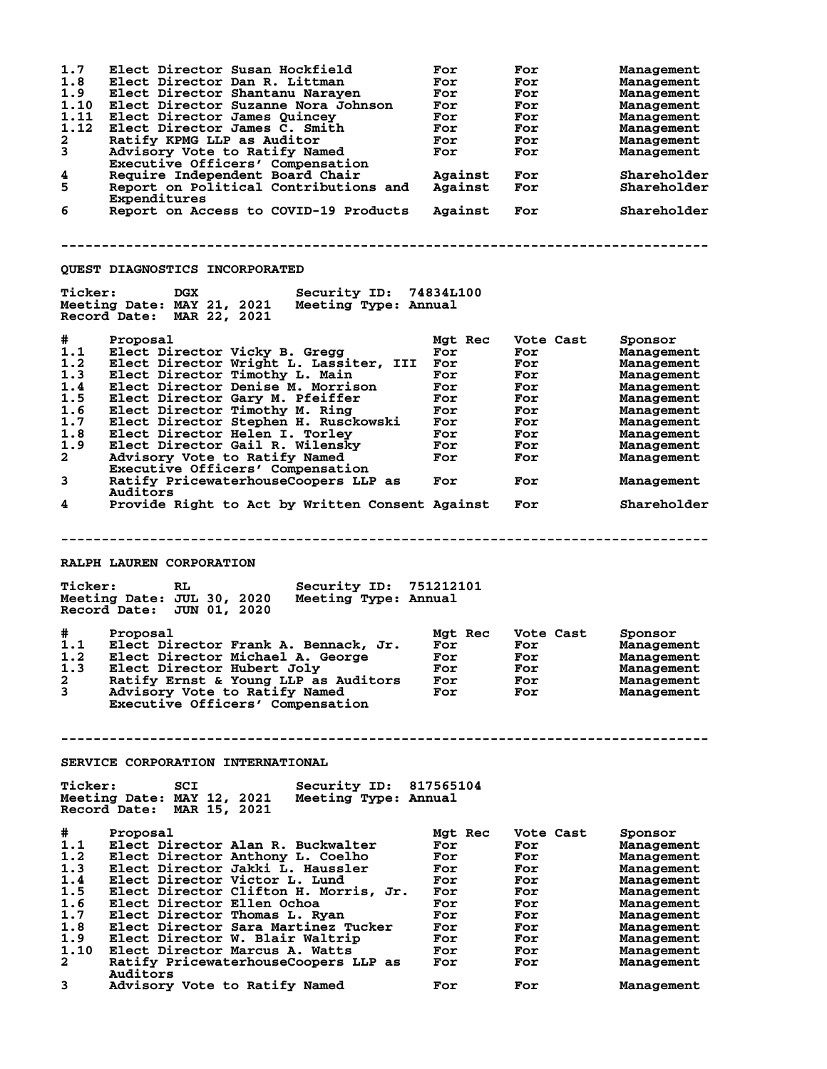| 1.7<br>1.8<br>1.9<br>1.10<br>1.11<br>1.12<br>2<br>3<br>4<br>5<br>6                                                              | Elect Director Susan Hockfield<br>Elect Director Dan R. Littman<br>Elect Director Shantanu Narayen<br>Elect Director Suzanne Nora Johnson<br>Elect Director James Quincey<br>Elect Director James C. Smith<br>Ratify KPMG LLP as Auditor<br>Advisory Vote to Ratify Named<br>Executive Officers' Compensation<br>Require Independent Board Chair<br>Report on Political Contributions and<br>Expenditures<br>Report on Access to COVID-19 Products                                                                                                                                                                                                                                                                                                                                                 | For<br>For<br>For<br>For<br>For<br>For<br>For<br>For<br>Against<br>Against<br>Against                                       | For<br>For<br>For<br>For<br>For<br>For<br>For<br>For<br>For<br>For<br>For                                                       | Management<br>Management<br>Management<br>Management<br>Management<br>Management<br>Management<br>Management<br>Shareholder<br>Shareholder<br>Shareholder                                                                             |
|---------------------------------------------------------------------------------------------------------------------------------|----------------------------------------------------------------------------------------------------------------------------------------------------------------------------------------------------------------------------------------------------------------------------------------------------------------------------------------------------------------------------------------------------------------------------------------------------------------------------------------------------------------------------------------------------------------------------------------------------------------------------------------------------------------------------------------------------------------------------------------------------------------------------------------------------|-----------------------------------------------------------------------------------------------------------------------------|---------------------------------------------------------------------------------------------------------------------------------|---------------------------------------------------------------------------------------------------------------------------------------------------------------------------------------------------------------------------------------|
|                                                                                                                                 |                                                                                                                                                                                                                                                                                                                                                                                                                                                                                                                                                                                                                                                                                                                                                                                                    |                                                                                                                             |                                                                                                                                 |                                                                                                                                                                                                                                       |
|                                                                                                                                 | QUEST DIAGNOSTICS INCORPORATED                                                                                                                                                                                                                                                                                                                                                                                                                                                                                                                                                                                                                                                                                                                                                                     |                                                                                                                             |                                                                                                                                 |                                                                                                                                                                                                                                       |
| <b>Ticker:</b>                                                                                                                  | <b>DGX</b><br>Security ID: 74834L100<br>Meeting Date: MAY 21, 2021<br>Meeting Type: Annual<br>Record Date: MAR 22, 2021                                                                                                                                                                                                                                                                                                                                                                                                                                                                                                                                                                                                                                                                            |                                                                                                                             |                                                                                                                                 |                                                                                                                                                                                                                                       |
| #<br>1.1<br>1.2<br>1.3<br>1.4<br>1.5<br>1.6<br>1.7<br>1.8<br>1.9<br>$\mathbf{2}$<br>3<br>4<br><b>Ticker:</b><br>#<br>1.1<br>1.2 | Proposal<br>Elect Director Vicky B. Gregg<br>Elect Director Wright L. Lassiter, III<br>Elect Director Timothy L. Main<br>Elect Director Denise M. Morrison<br>Elect Director Gary M. Pfeiffer<br>Elect Director Timothy M. Ring<br>Elect Director Stephen H. Rusckowski<br>Elect Director Helen I. Torley<br>Elect Director Gail R. Wilensky<br>Advisory Vote to Ratify Named<br>Executive Officers' Compensation<br>Ratify PricewaterhouseCoopers LLP as<br>Auditors<br>Provide Right to Act by Written Consent Against<br>RALPH LAUREN CORPORATION<br>RL.<br>Security ID: 751212101<br>Meeting Date: JUL 30, 2020<br>Meeting Type: Annual<br>Record Date: JUN 01, 2020<br>Proposal<br>Elect Director Frank A. Bennack, Jr.<br>Elect Director Michael A. George<br>1.3 Elect Director Hubert Joly | Mgt Rec<br>For<br>For<br>For<br>For<br>For<br>For<br>For<br>For<br>For<br>For<br>For<br>Mgt Rec<br>For<br>For<br><b>For</b> | Vote Cast<br>For<br>For<br>For<br>For<br>For<br>For<br>For<br>For<br>For<br>For<br>For<br>For<br>Vote Cast<br>For<br>For<br>For | Sponsor<br>Management<br>Management<br>Management<br>Management<br>Management<br>Management<br>Management<br>Management<br>Management<br>Management<br>Management<br>Shareholder<br>Sponsor<br>Management<br>Management<br>Management |
| $\mathbf{2}$<br>3                                                                                                               | Ratify Ernst & Young LLP as Auditors<br>Advisory Vote to Ratify Named<br>Executive Officers' Compensation                                                                                                                                                                                                                                                                                                                                                                                                                                                                                                                                                                                                                                                                                          | For<br>For                                                                                                                  | For<br>For                                                                                                                      | Management<br>Management                                                                                                                                                                                                              |
|                                                                                                                                 |                                                                                                                                                                                                                                                                                                                                                                                                                                                                                                                                                                                                                                                                                                                                                                                                    |                                                                                                                             |                                                                                                                                 |                                                                                                                                                                                                                                       |
|                                                                                                                                 | SERVICE CORPORATION INTERNATIONAL                                                                                                                                                                                                                                                                                                                                                                                                                                                                                                                                                                                                                                                                                                                                                                  |                                                                                                                             |                                                                                                                                 |                                                                                                                                                                                                                                       |
| <b>Ticker:</b>                                                                                                                  | SCI<br>Security ID: 817565104<br>Meeting Date: MAY 12, 2021<br>Meeting Type: Annual<br>Record Date: MAR 15, 2021                                                                                                                                                                                                                                                                                                                                                                                                                                                                                                                                                                                                                                                                                   |                                                                                                                             |                                                                                                                                 |                                                                                                                                                                                                                                       |
| #<br>1.1<br>1.2<br>1.3<br>1.4<br>1.5<br>1.6<br>1.7<br>1.8<br>1.9<br>1.10<br>2                                                   | Proposal<br>Elect Director Alan R. Buckwalter<br>Elect Director Anthony L. Coelho<br>Elect Director Jakki L. Haussler<br>Elect Director Victor L. Lund<br>Elect Director Clifton H. Morris, Jr.<br>Elect Director Ellen Ochoa<br>Elect Director Thomas L. Ryan<br>Elect Director Sara Martinez Tucker<br>Elect Director W. Blair Waltrip<br>Elect Director Marcus A. Watts<br>Ratify PricewaterhouseCoopers LLP as<br>Auditors                                                                                                                                                                                                                                                                                                                                                                     | Mgt Rec<br>For<br>For<br>For<br>For<br>For<br>For<br>For<br>For<br>For<br>For<br>For                                        | Vote Cast<br>For<br>For<br>For<br>For<br>For<br>For<br>For<br>For<br>For<br>For<br>For                                          | Sponsor<br>Management<br>Management<br>Management<br>Management<br>Management<br>Management<br>Management<br>Management<br>Management<br>Management<br>Management                                                                     |
| 3                                                                                                                               | Advisory Vote to Ratify Named                                                                                                                                                                                                                                                                                                                                                                                                                                                                                                                                                                                                                                                                                                                                                                      | For                                                                                                                         | For                                                                                                                             | Management                                                                                                                                                                                                                            |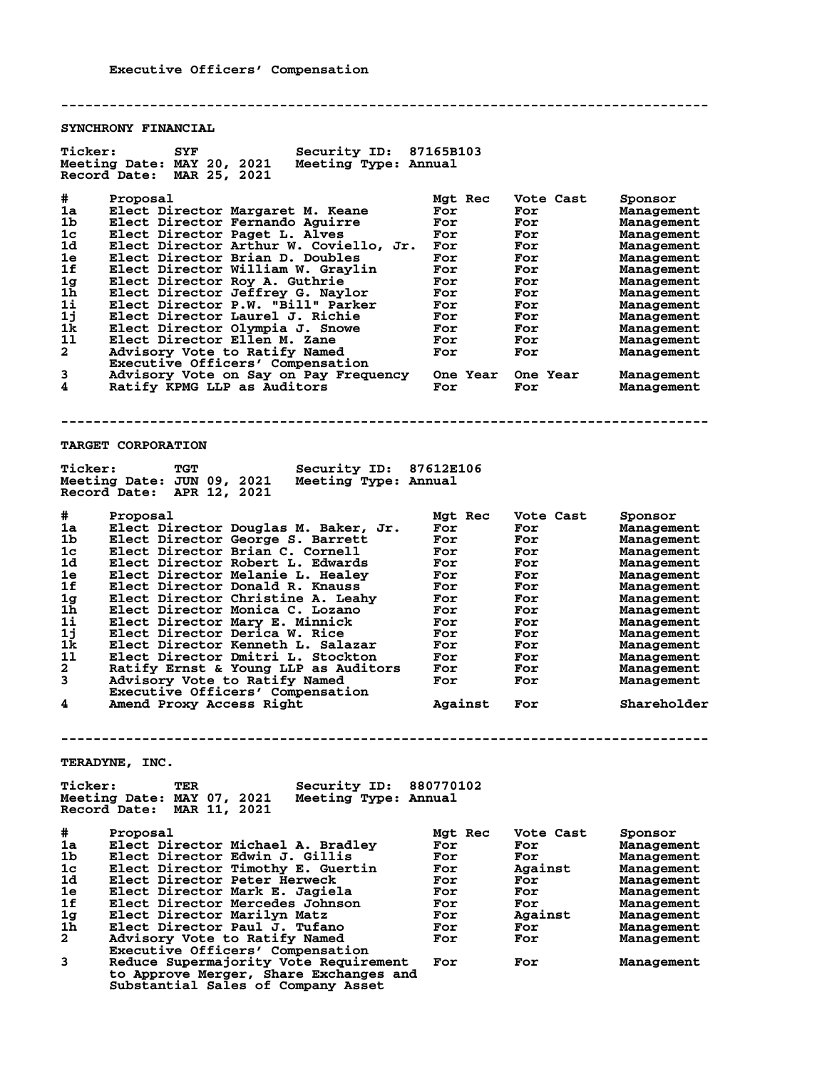**-------------------------------------------------------------------------------- SYNCHRONY FINANCIAL Ticker: SYF Security ID: 87165B103 Meeting Date: MAY 20, 2021 Meeting Type: Annual Record Date: MAR 25, 2021 # Proposal Mgt Rec Vote Cast Sponsor 1a Elect Director Margaret M. Keane For For Management 1b Elect Director Fernando Aguirre For For Management 1c Elect Director Paget L. Alves For For Management 1d Elect Director Arthur W. Coviello, Jr. For For Management 1e Elect Director Brian D. Doubles For For Management 1f Elect Director William W. Graylin For For Management 1g Elect Director Roy A. Guthrie For For Management 1h Elect Director Jeffrey G. Naylor For For Management 1i Elect Director P.W. "Bill" Parker For For Management 1j Elect Director Laurel J. Richie For For Management 1k Elect Director Olympia J. Snowe For For Management 1l Elect Director Ellen M. Zane For For Management 2 Advisory Vote to Ratify Named For For Management Executive Officers' Compensation 3 Advisory Vote on Say on Pay Frequency One Year One Year Management 4 Ratify KPMG LLP as Auditors For For Management -------------------------------------------------------------------------------- TARGET CORPORATION Ticker: TGT Security ID: 87612E106 Meeting Date: JUN 09, 2021 Meeting Type: Annual Record Date: APR 12, 2021 # Proposal Mgt Rec Vote Cast Sponsor 1a Elect Director Douglas M. Baker, Jr. For For Management 1b Elect Director George S. Barrett For For Management 1c Elect Director Brian C. Cornell For For Management 1d Elect Director Robert L. Edwards For For Management 1e Elect Director Melanie L. Healey For For Management 1f Elect Director Donald R. Knauss For For Management 1g Elect Director Christine A. Leahy For For Management 1h Elect Director Monica C. Lozano For For Management 1i Elect Director Mary E. Minnick For For Management 1j Elect Director Derica W. Rice For For Management 1k Elect Director Kenneth L. Salazar For For Management 1l Elect Director Dmitri L. Stockton For For Management 2 Ratify Ernst & Young LLP as Auditors For For Management 3 Advisory Vote to Ratify Named For For Management Executive Officers' Compensation 4 Amend Proxy Access Right Against For Shareholder -------------------------------------------------------------------------------- TERADYNE, INC. Ticker: TER Security ID: 880770102 Meeting Date: MAY 07, 2021 Meeting Type: Annual Record Date: MAR 11, 2021 # Proposal Mgt Rec Vote Cast Sponsor 1a Elect Director Michael A. Bradley For For Management 1b Elect Director Edwin J. Gillis For For Management 1c Elect Director Timothy E. Guertin For Against Management 1d Elect Director Peter Herweck For For Management 1e Elect Director Mark E. Jagiela For For Management**

**1f Elect Director Mercedes Johnson For For Management 1g Elect Director Marilyn Matz For Against Management 1h Elect Director Paul J. Tufano For For Management 2 Advisory Vote to Ratify Named For For Management Executive Officers' Compensation**

**3 Reduce Supermajority Vote Requirement For For Management to Approve Merger, Share Exchanges and Substantial Sales of Company Asset**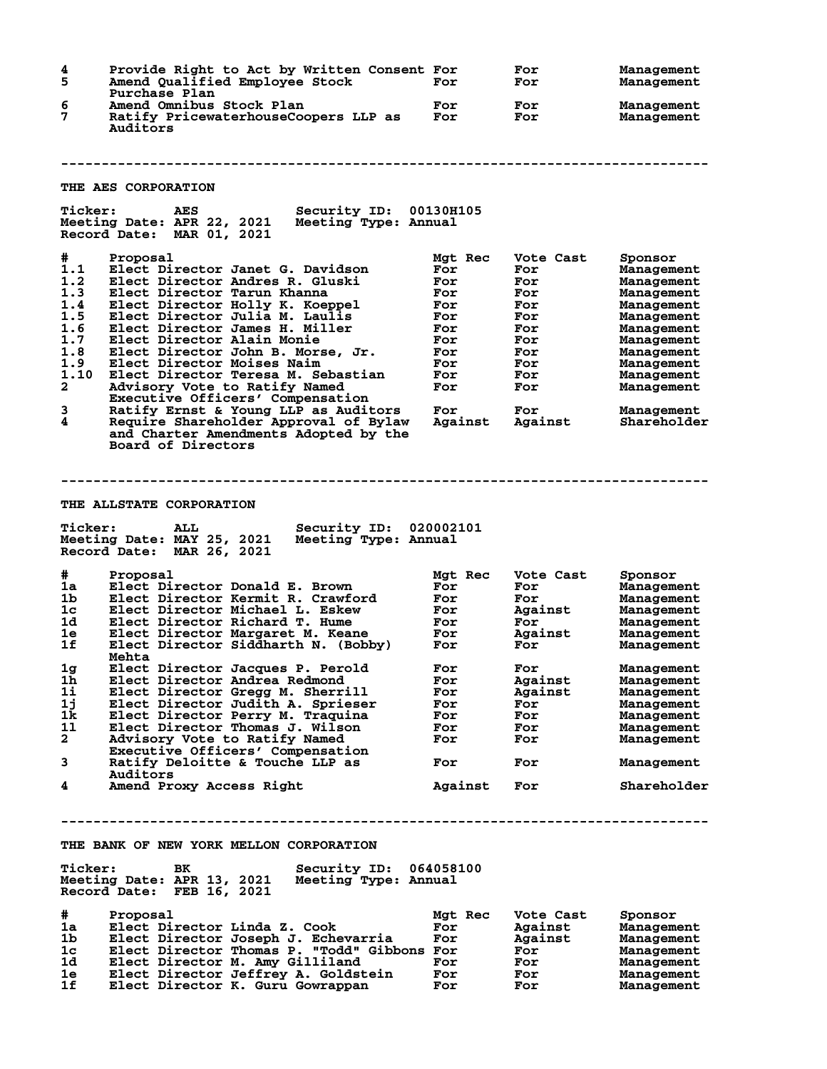| 4<br>5                                                                                             | Provide Right to Act by Written Consent For<br>Amend Qualified Employee Stock<br>Purchase Plan                                                                                                                                                                                                                                                                                                                                                                                                                                                                                    | For                                                                                                    | For<br>For                                                                                               | Management<br>Management                                                                                                                                                                       |
|----------------------------------------------------------------------------------------------------|-----------------------------------------------------------------------------------------------------------------------------------------------------------------------------------------------------------------------------------------------------------------------------------------------------------------------------------------------------------------------------------------------------------------------------------------------------------------------------------------------------------------------------------------------------------------------------------|--------------------------------------------------------------------------------------------------------|----------------------------------------------------------------------------------------------------------|------------------------------------------------------------------------------------------------------------------------------------------------------------------------------------------------|
| 6<br>7                                                                                             | Amend Omnibus Stock Plan<br>Ratify PricewaterhouseCoopers LLP as<br>Auditors                                                                                                                                                                                                                                                                                                                                                                                                                                                                                                      | For<br>For                                                                                             | For<br>For                                                                                               | Management<br>Management                                                                                                                                                                       |
|                                                                                                    |                                                                                                                                                                                                                                                                                                                                                                                                                                                                                                                                                                                   |                                                                                                        |                                                                                                          |                                                                                                                                                                                                |
|                                                                                                    | THE AES CORPORATION                                                                                                                                                                                                                                                                                                                                                                                                                                                                                                                                                               |                                                                                                        |                                                                                                          |                                                                                                                                                                                                |
| <b>Ticker:</b>                                                                                     | Security ID: 00130H105<br>AES<br>Meeting Date: APR 22, 2021<br>Meeting Type: Annual<br>Record Date: MAR 01, 2021                                                                                                                                                                                                                                                                                                                                                                                                                                                                  |                                                                                                        |                                                                                                          |                                                                                                                                                                                                |
| #<br>1.1<br>1.2<br>1.3<br>1.4<br>1.5<br>1.6<br>1.7<br>1.8<br>1.9<br>1.10<br>$\mathbf{2}$<br>3<br>4 | Proposal<br>Elect Director Janet G. Davidson<br>Elect Director Andres R. Gluski<br>Elect Director Tarun Khanna<br>Elect Director Holly K. Koeppel<br>Elect Director Julia M. Laulis<br>Elect Director James H. Miller<br>Elect Director Alain Monie<br>Elect Director John B. Morse, Jr.<br>Elect Director Moises Naim<br>Elect Director Teresa M. Sebastian<br>Advisory Vote to Ratify Named<br>Executive Officers' Compensation<br>Ratify Ernst & Young LLP as Auditors<br>Require Shareholder Approval of Bylaw<br>and Charter Amendments Adopted by the<br>Board of Directors | Mgt Rec<br>For<br>For<br>For<br>For<br>For<br>For<br>For<br>For<br>For<br>For<br>For<br>For<br>Against | Vote Cast<br>For<br>For<br>For<br>For<br>For<br>For<br>For<br>For<br>For<br>For<br>For<br>For<br>Against | Sponsor<br>Management<br>Management<br>Management<br>Management<br>Management<br>Management<br>Management<br>Management<br>Management<br>Management<br>Management<br>Management<br>Shareholder |
|                                                                                                    |                                                                                                                                                                                                                                                                                                                                                                                                                                                                                                                                                                                   |                                                                                                        |                                                                                                          |                                                                                                                                                                                                |
|                                                                                                    | <b>THE ALLSTATE CORPORATION</b>                                                                                                                                                                                                                                                                                                                                                                                                                                                                                                                                                   |                                                                                                        |                                                                                                          |                                                                                                                                                                                                |
| <b>Ticker:</b>                                                                                     | Security ID: 020002101<br><b>ALL</b><br>Meeting Date: MAY 25, 2021<br>Meeting Type: Annual<br>Record Date: MAR 26, 2021                                                                                                                                                                                                                                                                                                                                                                                                                                                           |                                                                                                        |                                                                                                          |                                                                                                                                                                                                |
| #                                                                                                  | Proposal                                                                                                                                                                                                                                                                                                                                                                                                                                                                                                                                                                          | Mgt Rec                                                                                                | Vote Cast                                                                                                | Sponsor                                                                                                                                                                                        |
| 1a                                                                                                 | Elect Director Donald E. Brown                                                                                                                                                                                                                                                                                                                                                                                                                                                                                                                                                    | For                                                                                                    | For                                                                                                      | Management                                                                                                                                                                                     |
| 1 <sub>b</sub>                                                                                     | Elect Director Kermit R. Crawford                                                                                                                                                                                                                                                                                                                                                                                                                                                                                                                                                 | For                                                                                                    | For                                                                                                      | Management                                                                                                                                                                                     |
| 1c                                                                                                 | Elect Director Michael L. Eskew                                                                                                                                                                                                                                                                                                                                                                                                                                                                                                                                                   | For                                                                                                    | Against                                                                                                  | Management                                                                                                                                                                                     |
| 1d.                                                                                                | Elect Director Richard T. Hume                                                                                                                                                                                                                                                                                                                                                                                                                                                                                                                                                    | For                                                                                                    | For                                                                                                      | Management                                                                                                                                                                                     |
| 1e                                                                                                 | Elect Director Margaret M. Keane                                                                                                                                                                                                                                                                                                                                                                                                                                                                                                                                                  | For                                                                                                    | Against                                                                                                  | Management                                                                                                                                                                                     |
| 1f                                                                                                 | Elect Director Siddharth N. (Bobby)                                                                                                                                                                                                                                                                                                                                                                                                                                                                                                                                               | For                                                                                                    | For                                                                                                      | Management                                                                                                                                                                                     |
|                                                                                                    | Mehta                                                                                                                                                                                                                                                                                                                                                                                                                                                                                                                                                                             |                                                                                                        |                                                                                                          |                                                                                                                                                                                                |
| $1g$<br>$1\bar{h}$                                                                                 | Elect Director Jacques P. Perold<br>Elect Director Andrea Redmond                                                                                                                                                                                                                                                                                                                                                                                                                                                                                                                 | For                                                                                                    | For                                                                                                      | Management                                                                                                                                                                                     |
| $1\text{i}$                                                                                        |                                                                                                                                                                                                                                                                                                                                                                                                                                                                                                                                                                                   | For                                                                                                    | Against                                                                                                  | Management                                                                                                                                                                                     |
| 1j                                                                                                 | Elect Director Gregg M. Sherrill                                                                                                                                                                                                                                                                                                                                                                                                                                                                                                                                                  | For                                                                                                    | Against                                                                                                  | Management                                                                                                                                                                                     |
| 1k                                                                                                 | Elect Director Judith A. Sprieser<br>Elect Director Perry M. Traquina                                                                                                                                                                                                                                                                                                                                                                                                                                                                                                             | For<br>For                                                                                             | For<br>For                                                                                               | Management<br>Management                                                                                                                                                                       |
| 11                                                                                                 | Elect Director Thomas J. Wilson                                                                                                                                                                                                                                                                                                                                                                                                                                                                                                                                                   |                                                                                                        |                                                                                                          |                                                                                                                                                                                                |
| $\mathbf{2}$                                                                                       | Advisory Vote to Ratify Named                                                                                                                                                                                                                                                                                                                                                                                                                                                                                                                                                     | For<br>For                                                                                             | For<br>For                                                                                               | Management<br>Management                                                                                                                                                                       |
|                                                                                                    |                                                                                                                                                                                                                                                                                                                                                                                                                                                                                                                                                                                   |                                                                                                        |                                                                                                          |                                                                                                                                                                                                |
| 3                                                                                                  | Executive Officers' Compensation<br>Ratify Deloitte & Touche LLP as                                                                                                                                                                                                                                                                                                                                                                                                                                                                                                               | For                                                                                                    | For                                                                                                      | Management                                                                                                                                                                                     |
| 4                                                                                                  | Auditors<br>Amend Proxy Access Right                                                                                                                                                                                                                                                                                                                                                                                                                                                                                                                                              | Against                                                                                                | For                                                                                                      | Shareholder                                                                                                                                                                                    |
| <b>Ticker:</b><br>#                                                                                | THE BANK OF NEW YORK MELLON CORPORATION<br>Security ID: 064058100<br>BK<br>Meeting Type: Annual<br>Meeting Date: APR 13, 2021<br>Record Date: FEB 16, 2021<br>Proposal                                                                                                                                                                                                                                                                                                                                                                                                            | Mgt Rec                                                                                                | Vote Cast                                                                                                | Sponsor                                                                                                                                                                                        |
| 1a                                                                                                 | Elect Director Linda Z. Cook                                                                                                                                                                                                                                                                                                                                                                                                                                                                                                                                                      | For                                                                                                    | Against                                                                                                  | Management                                                                                                                                                                                     |
| 1b                                                                                                 | Elect Director Joseph J. Echevarria                                                                                                                                                                                                                                                                                                                                                                                                                                                                                                                                               | For                                                                                                    | Against                                                                                                  | Management                                                                                                                                                                                     |
| 1 <sub>c</sub>                                                                                     | Elect Director Thomas P. "Todd" Gibbons For                                                                                                                                                                                                                                                                                                                                                                                                                                                                                                                                       |                                                                                                        | For                                                                                                      | Management                                                                                                                                                                                     |
| 1d                                                                                                 | Elect Director M. Amy Gilliland                                                                                                                                                                                                                                                                                                                                                                                                                                                                                                                                                   | For                                                                                                    | For                                                                                                      | Management                                                                                                                                                                                     |
| 1e                                                                                                 | Elect Director Jeffrey A. Goldstein                                                                                                                                                                                                                                                                                                                                                                                                                                                                                                                                               | For                                                                                                    | For                                                                                                      | Management                                                                                                                                                                                     |
| 1f                                                                                                 | Elect Director K. Guru Gowrappan                                                                                                                                                                                                                                                                                                                                                                                                                                                                                                                                                  | For                                                                                                    | For                                                                                                      | Management                                                                                                                                                                                     |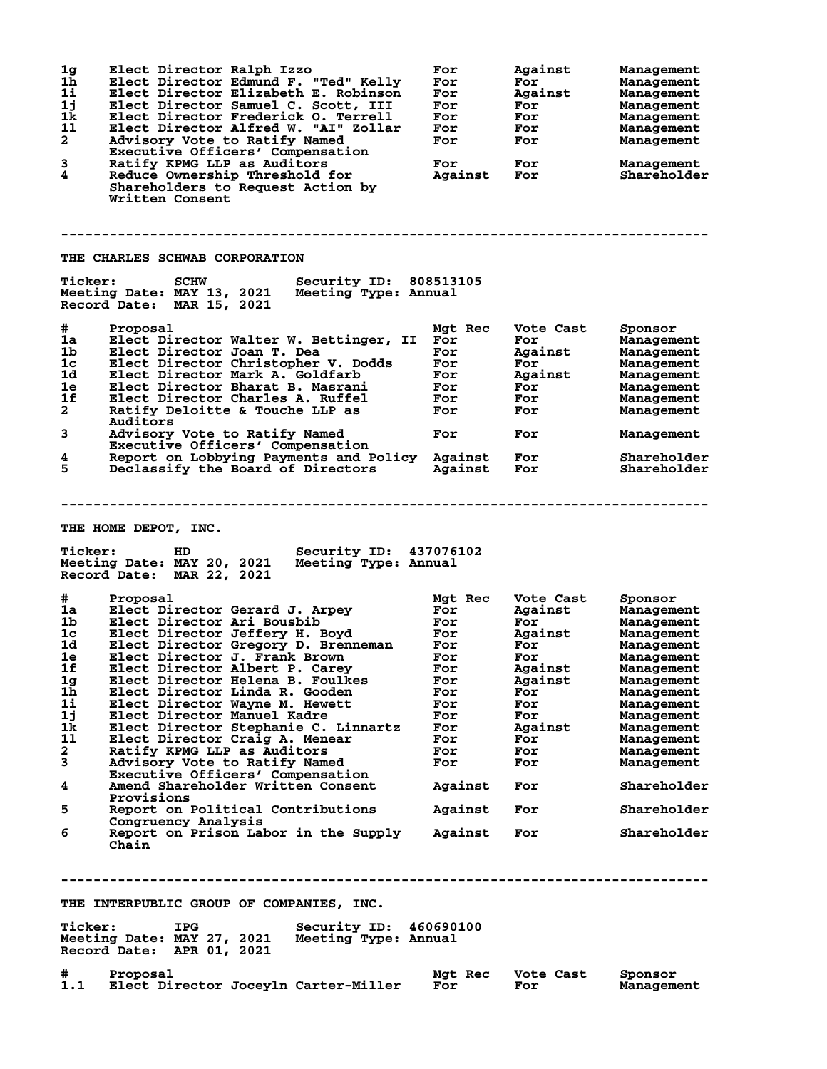| 1 <sub>g</sub><br>1 <sub>h</sub><br>1i<br>1j<br>1k<br>11<br>$\mathbf{2}$<br>3<br>$\overline{\mathbf{4}}$ | Elect Director Ralph Izzo<br>Elect Director Edmund F. "Ted" Kelly<br>Elect Director Elizabeth E. Robinson<br>Elect Director Samuel C. Scott, III<br>Elect Director Frederick O. Terrell<br>Elect Director Alfred W. "AI" Zollar<br>Advisory Vote to Ratify Named<br>Executive Officers' Compensation<br>Ratify KPMG LLP as Auditors<br>Reduce Ownership Threshold for<br>Shareholders to Request Action by<br>Written Consent | For<br>For<br>For<br>For<br>For<br>For<br>For<br>For<br>Against | Against<br>For<br>Against<br>For<br>For<br>For<br>For<br>For<br>For | Management<br>Management<br>Management<br>Management<br>Management<br>Management<br>Management<br>Management<br>Shareholder |  |
|----------------------------------------------------------------------------------------------------------|-------------------------------------------------------------------------------------------------------------------------------------------------------------------------------------------------------------------------------------------------------------------------------------------------------------------------------------------------------------------------------------------------------------------------------|-----------------------------------------------------------------|---------------------------------------------------------------------|-----------------------------------------------------------------------------------------------------------------------------|--|
|                                                                                                          | THE CHARLES SCHWAB CORPORATION                                                                                                                                                                                                                                                                                                                                                                                                |                                                                 |                                                                     |                                                                                                                             |  |
| <b>Ticker:</b>                                                                                           | Security ID: 808513105<br><b>SCHW</b><br>Meeting Date: MAY 13, 2021<br>Meeting Type: Annual<br>Record Date: MAR 15, 2021                                                                                                                                                                                                                                                                                                      |                                                                 |                                                                     |                                                                                                                             |  |
| #                                                                                                        | Proposal                                                                                                                                                                                                                                                                                                                                                                                                                      | Mgt Rec                                                         | Vote Cast                                                           | Sponsor                                                                                                                     |  |
| 1a                                                                                                       | Elect Director Walter W. Bettinger, II                                                                                                                                                                                                                                                                                                                                                                                        | For                                                             | For                                                                 | Management                                                                                                                  |  |
| 1b                                                                                                       | Elect Director Joan T. Dea                                                                                                                                                                                                                                                                                                                                                                                                    | For                                                             | Against                                                             | Management                                                                                                                  |  |
| 1c                                                                                                       | Elect Director Christopher V. Dodds                                                                                                                                                                                                                                                                                                                                                                                           | For                                                             | For                                                                 | Management                                                                                                                  |  |
| 1d                                                                                                       | Elect Director Mark A. Goldfarb                                                                                                                                                                                                                                                                                                                                                                                               | For                                                             | Against                                                             | Management                                                                                                                  |  |
| 1e                                                                                                       | Elect Director Bharat B. Masrani                                                                                                                                                                                                                                                                                                                                                                                              | For                                                             | For                                                                 | Management                                                                                                                  |  |
| 1f                                                                                                       | Elect Director Charles A. Ruffel                                                                                                                                                                                                                                                                                                                                                                                              | For                                                             | For                                                                 | Management                                                                                                                  |  |
| $\mathbf{2}$                                                                                             | Ratify Deloitte & Touche LLP as                                                                                                                                                                                                                                                                                                                                                                                               | For                                                             | For                                                                 | Management                                                                                                                  |  |
| 3                                                                                                        | Auditors<br>Advisory Vote to Ratify Named                                                                                                                                                                                                                                                                                                                                                                                     | For                                                             | For                                                                 | Management                                                                                                                  |  |
|                                                                                                          | Executive Officers' Compensation                                                                                                                                                                                                                                                                                                                                                                                              |                                                                 |                                                                     |                                                                                                                             |  |
| 4<br>5                                                                                                   | Report on Lobbying Payments and Policy<br>Declassify the Board of Directors                                                                                                                                                                                                                                                                                                                                                   | Against<br>Against                                              | For<br>For                                                          | Shareholder<br>Shareholder                                                                                                  |  |
|                                                                                                          | THE HOME DEPOT, INC.<br><b>Ticker:</b><br>437076102<br>HD<br>Security ID:<br>Meeting Date: MAY 20, 2021<br>Meeting Type: Annual                                                                                                                                                                                                                                                                                               |                                                                 |                                                                     |                                                                                                                             |  |
|                                                                                                          | Record Date: MAR 22, 2021                                                                                                                                                                                                                                                                                                                                                                                                     |                                                                 |                                                                     |                                                                                                                             |  |
| #                                                                                                        | Proposal                                                                                                                                                                                                                                                                                                                                                                                                                      | Mgt Rec                                                         | Vote Cast                                                           | Sponsor                                                                                                                     |  |
| 1a                                                                                                       | Elect Director Gerard J. Arpey                                                                                                                                                                                                                                                                                                                                                                                                | For                                                             | Against                                                             | Management                                                                                                                  |  |
| 1 <sub>b</sub>                                                                                           | Elect Director Ari Bousbib                                                                                                                                                                                                                                                                                                                                                                                                    | For                                                             | For                                                                 | Management                                                                                                                  |  |
| 1c                                                                                                       | Elect Director Jeffery H. Boyd                                                                                                                                                                                                                                                                                                                                                                                                | For                                                             | Against                                                             | Management                                                                                                                  |  |
| 1d                                                                                                       | Elect Director Gregory D. Brenneman                                                                                                                                                                                                                                                                                                                                                                                           | For                                                             | For                                                                 | Management                                                                                                                  |  |
| 1e                                                                                                       | Elect Director J. Frank Brown                                                                                                                                                                                                                                                                                                                                                                                                 | For                                                             | For                                                                 | Management                                                                                                                  |  |
| 1f                                                                                                       | Elect Director Albert P. Carey                                                                                                                                                                                                                                                                                                                                                                                                | For                                                             | Against                                                             | Management                                                                                                                  |  |
| 1 <sub>g</sub>                                                                                           | Elect Director Helena B. Foulkes                                                                                                                                                                                                                                                                                                                                                                                              | For                                                             | Against                                                             | Management                                                                                                                  |  |
| 1h                                                                                                       | Elect Director Linda R. Gooden                                                                                                                                                                                                                                                                                                                                                                                                | For                                                             | For                                                                 | Management                                                                                                                  |  |
| 1i                                                                                                       | Elect Director Wayne M. Hewett                                                                                                                                                                                                                                                                                                                                                                                                | For                                                             | For                                                                 | Management                                                                                                                  |  |
| 1j                                                                                                       | Elect Director Manuel Kadre                                                                                                                                                                                                                                                                                                                                                                                                   | For                                                             | For                                                                 | Management                                                                                                                  |  |
| 1k                                                                                                       | Elect Director Stephanie C. Linnartz                                                                                                                                                                                                                                                                                                                                                                                          | For                                                             | Against                                                             | Management                                                                                                                  |  |
| 11                                                                                                       | Elect Director Craig A. Menear                                                                                                                                                                                                                                                                                                                                                                                                | For                                                             | For                                                                 | Management                                                                                                                  |  |
| $\mathbf{2}$                                                                                             | Ratify KPMG LLP as Auditors                                                                                                                                                                                                                                                                                                                                                                                                   | For                                                             | For                                                                 | Management                                                                                                                  |  |
| 3                                                                                                        | Advisory Vote to Ratify Named<br>Executive Officers' Compensation                                                                                                                                                                                                                                                                                                                                                             | For                                                             | For                                                                 | Management                                                                                                                  |  |
| 4                                                                                                        | Amend Shareholder Written Consent<br>Provisions                                                                                                                                                                                                                                                                                                                                                                               | Against                                                         | For                                                                 | Shareholder                                                                                                                 |  |
| 5                                                                                                        | Report on Political Contributions<br>Congruency Analysis                                                                                                                                                                                                                                                                                                                                                                      | Against                                                         | For                                                                 | Shareholder                                                                                                                 |  |
| 6                                                                                                        | Report on Prison Labor in the Supply<br>Chain                                                                                                                                                                                                                                                                                                                                                                                 | Against                                                         | For                                                                 | Shareholder                                                                                                                 |  |
|                                                                                                          |                                                                                                                                                                                                                                                                                                                                                                                                                               |                                                                 |                                                                     |                                                                                                                             |  |
|                                                                                                          | THE INTERPUBLIC GROUP OF COMPANIES, INC.                                                                                                                                                                                                                                                                                                                                                                                      |                                                                 |                                                                     |                                                                                                                             |  |
| <b>Ticker:</b>                                                                                           | Security ID: 460690100<br>IPG<br>Meeting Date: MAY 27, 2021<br>Meeting Type: Annual<br>Record Date: APR 01, 2021                                                                                                                                                                                                                                                                                                              |                                                                 |                                                                     |                                                                                                                             |  |
| #<br>1.1                                                                                                 | Proposal<br>Elect Director Joceyln Carter-Miller                                                                                                                                                                                                                                                                                                                                                                              | Mgt Rec<br>For                                                  | Vote Cast<br>For                                                    | Sponsor<br>Management                                                                                                       |  |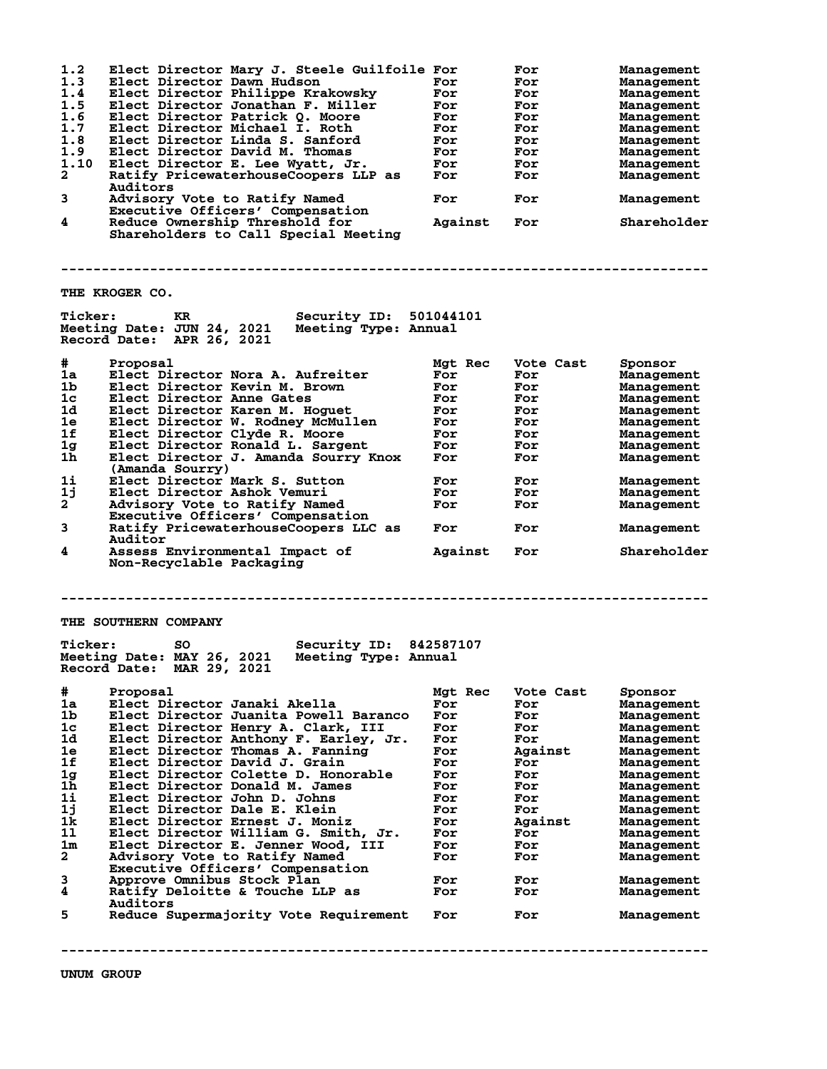| 1.2<br>1.3<br>1.4 | Elect Director Mary J. Steele Guilfoile For<br>Elect Director Dawn Hudson<br>Elect Director Philippe Krakowsky     | For<br>For | For<br>For<br>For | Management<br>Management<br>Management |
|-------------------|--------------------------------------------------------------------------------------------------------------------|------------|-------------------|----------------------------------------|
| 1.5               |                                                                                                                    |            |                   |                                        |
|                   | Elect Director Jonathan F. Miller                                                                                  | For        | For               | Management                             |
| 1.6               | Elect Director Patrick Q. Moore                                                                                    | For        | For               | Management                             |
| 1.7               | Elect Director Michael I. Roth                                                                                     | For        | For               | Management                             |
| 1.8               | Elect Director Linda S. Sanford                                                                                    | For        | For               | Management                             |
| 1.9               | Elect Director David M. Thomas                                                                                     | For        | For               | Management                             |
| 1.10              | Elect Director E. Lee Wyatt, Jr.                                                                                   | For        | For               | Management                             |
| $\mathbf{2}$      | Ratify PricewaterhouseCoopers LLP as                                                                               | For        | For               | Management                             |
|                   | Auditors                                                                                                           |            |                   |                                        |
|                   |                                                                                                                    |            |                   |                                        |
| 3                 | Advisory Vote to Ratify Named                                                                                      | For        | For               | Management                             |
|                   | Executive Officers' Compensation                                                                                   |            |                   |                                        |
| 4                 | Reduce Ownership Threshold for                                                                                     | Against    | For               | Shareholder                            |
|                   | Shareholders to Call Special Meeting                                                                               |            |                   |                                        |
|                   | THE KROGER CO.                                                                                                     |            |                   |                                        |
| <b>Ticker:</b>    | <b>Security ID: 501044101</b><br>KR                                                                                |            |                   |                                        |
|                   | Meeting Date: JUN 24, 2021 Meeting Type: Annual<br>Record Date: APR 26, 2021                                       |            |                   |                                        |
| #                 | Proposal                                                                                                           | Mgt Rec    | Vote Cast         | Sponsor                                |
| 1a                | Elect Director Nora A. Aufreiter                                                                                   | For        | For               | Management                             |
| 1 <sub>b</sub>    | Elect Director Kevin M. Brown                                                                                      | For        | For               | Management                             |
| 1 <sub>c</sub>    | Elect Director Anne Gates                                                                                          | For        | For               | Management                             |
| 1d                | Elect Director Karen M. Hoguet                                                                                     | For        | For               | Management                             |
| 1e                | Elect Director W. Rodney McMullen                                                                                  | For        | For               | Management                             |
| 1f                |                                                                                                                    |            | For               |                                        |
|                   | Elect Director Clyde R. Moore                                                                                      | For        |                   | Management                             |
| 1g                | Elect Director Ronald L. Sargent                                                                                   | For        | For               | Management                             |
| $1\bar{h}$        | Elect Director J. Amanda Sourry Knox<br>(Amanda Sourry)                                                            | For        | For               | Management                             |
| 1i                | Elect Director Mark S. Sutton                                                                                      | For        | For               | Management                             |
| 1j                | Elect Director Ashok Vemuri                                                                                        | For        | For               | Management                             |
| $2^{-}$           | Advisory Vote to Ratify Named                                                                                      | For        | For               | Management                             |
|                   | Executive Officers' Compensation                                                                                   |            |                   |                                        |
| 3                 | Ratify PricewaterhouseCoopers LLC as<br>Auditor                                                                    | For        | For               | Management                             |
| 4                 | Assess Environmental Impact of<br>Non-Recyclable Packaging                                                         | Against    | For               | Shareholder                            |
| <b>Ticker:</b>    | THE SOUTHERN COMPANY<br><b>Security ID: 842587107</b><br>SO.<br>Meeting Date: MAY 26, 2021<br>Meeting Type: Annual |            |                   |                                        |
|                   | Record Date: MAR 29, 2021                                                                                          |            |                   |                                        |
| #                 | Proposal                                                                                                           | Mgt Rec    | Vote Cast         | Sponsor                                |
| 1a                | Elect Director Janaki Akella                                                                                       | For        | For               | Management                             |
| 1b                | Elect Director Juanita Powell Baranco                                                                              | For        | For               | Management                             |
| 1 <sub>c</sub>    | Elect Director Henry A. Clark, III                                                                                 | For        | For               | Management                             |
| 1d                | Elect Director Anthony F. Earley, Jr.                                                                              | For        | For               | Management                             |
| 1e                | Elect Director Thomas A. Fanning                                                                                   | For        | Against           | Management                             |
| 1f                | Elect Director David J. Grain                                                                                      | For        | For               | Management                             |
| 1g                | Elect Director Colette D. Honorable                                                                                | For        | For               | Management                             |
| 1h                | Elect Director Donald M. James                                                                                     | For        | For               | Management                             |
| $1\mathbf{i}$     | Elect Director John D. Johns                                                                                       |            |                   |                                        |
|                   |                                                                                                                    | For        | For               | Management                             |
| 1j                | Elect Director Dale E. Klein                                                                                       | For        | For               | Management                             |
| 1k                | Elect Director Ernest J. Moniz                                                                                     | For        | Against           | Management                             |
| 11                | Elect Director William G. Smith, Jr.                                                                               | For        | For               | Management                             |
| 1m                | Elect Director E. Jenner Wood, III                                                                                 | For        | For               | Management                             |
| 2                 | Advisory Vote to Ratify Named                                                                                      | For        | For               | Management                             |
|                   | Executive Officers' Compensation                                                                                   |            |                   |                                        |
| 3                 | Approve Omnibus Stock Plan                                                                                         | For        | For               | Management                             |
| 4                 | Ratify Deloitte & Touche LLP as                                                                                    | For        | For               | Management                             |
|                   | Auditors                                                                                                           |            |                   |                                        |
| 5                 | Reduce Supermajority Vote Requirement                                                                              | For        | For               | Management                             |
|                   |                                                                                                                    |            |                   |                                        |
|                   |                                                                                                                    |            |                   |                                        |

**UNUM GROUP**